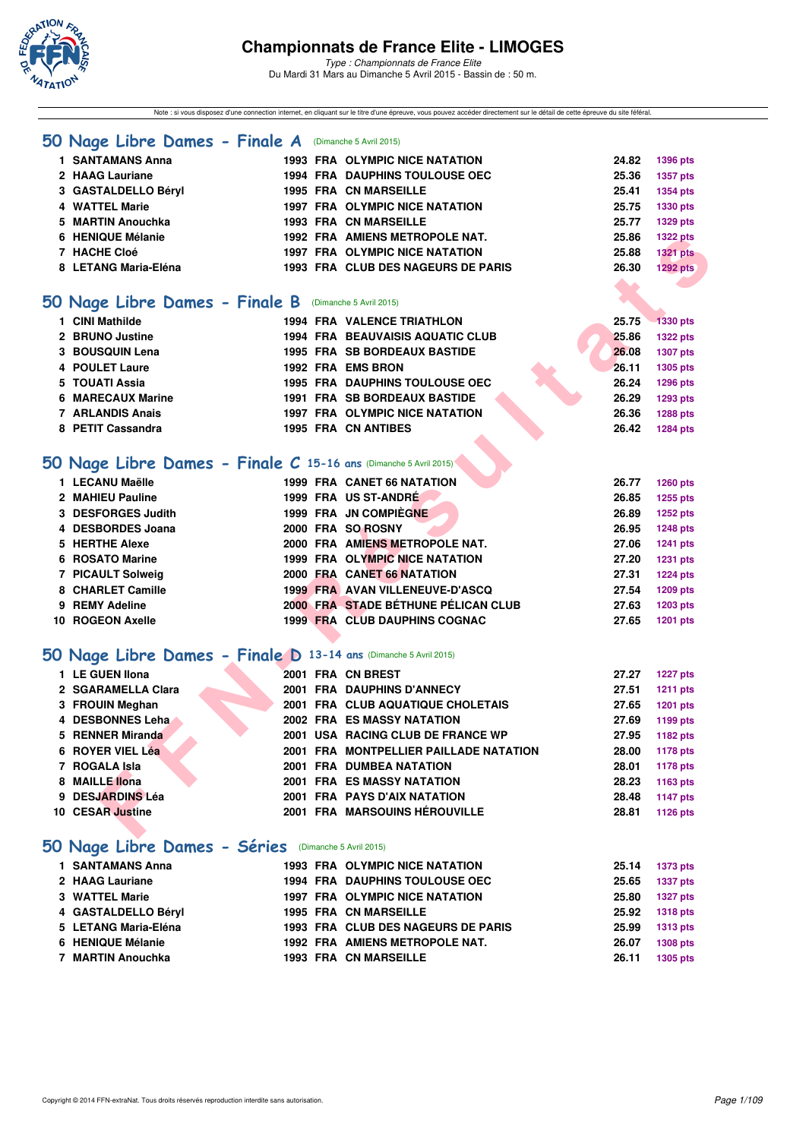

*Type : Championnats de France Elite* Du Mardi 31 Mars au Dimanche 5 Avril 2015 - Bassin de : 50 m.

Note : si vous disposez d'une connection internet, en cliquant sur le titre d'une épreuve, vous pouvez accéder directement sur le détail de cette épreuve du site féféral.

|  |  |  | 50 Nage Libre Dames - Finale A |  |  |  | (Dimanche 5 Avril 2015) |
|--|--|--|--------------------------------|--|--|--|-------------------------|
|--|--|--|--------------------------------|--|--|--|-------------------------|

| 1 SANTAMANS Anna     |  | <b>1993 FRA OLYMPIC NICE NATATION</b> | 24.82            | <b>1396 pts</b> |
|----------------------|--|---------------------------------------|------------------|-----------------|
| 2 HAAG Lauriane      |  | <b>1994 FRA DAUPHINS TOULOUSE OEC</b> | 25.36            | 1357 pts        |
| 3 GASTALDELLO Béryl  |  | <b>1995 FRA CN MARSEILLE</b>          | 25.41            | 1354 pts        |
| 4 WATTEL Marie       |  | <b>1997 FRA OLYMPIC NICE NATATION</b> | 25.75            | 1330 pts        |
| 5 MARTIN Anouchka    |  | <b>1993 FRA CN MARSEILLE</b>          | 25.77            | 1329 pts        |
| 6 HENIQUE Mélanie    |  | 1992 FRA AMIENS METROPOLE NAT.        | 25.86            | <b>1322 pts</b> |
| 7 HACHE Cloé         |  | <b>1997 FRA OLYMPIC NICE NATATION</b> | 25.88            | <b>1321 pts</b> |
| 8 LETANG Maria-Eléna |  | 1993 FRA CLUB DES NAGEURS DE PARIS    | 26.30            | 1292 pts        |
|                      |  |                                       | <b>START AND</b> |                 |

#### **[50 Nage Libre Dames - Finale B](http://www.ffnatation.fr/webffn/resultats.php?idact=nat&go=epr&idcpt=27187&idepr=1)** (Dimanche 5 Avril 2015)

| 1 CINI Mathilde   |  | 1994 FRA VALENCE TRIATHLON              |  | 25.75 | <b>1330 pts</b> |
|-------------------|--|-----------------------------------------|--|-------|-----------------|
| 2 BRUNO Justine   |  | <b>1994 FRA BEAUVAISIS AQUATIC CLUB</b> |  | 25.86 | <b>1322 pts</b> |
| 3 BOUSQUIN Lena   |  | <b>1995 FRA SB BORDEAUX BASTIDE</b>     |  | 26,08 | 1307 pts        |
| 4 POULET Laure    |  | 1992 FRA EMS BRON                       |  | 26.11 | 1305 pts        |
| 5 TOUATI Assia    |  | <b>1995 FRA DAUPHINS TOULOUSE OEC</b>   |  | 26.24 | <b>1296 pts</b> |
| 6 MARECAUX Marine |  | <b>1991 FRA SB BORDEAUX BASTIDE</b>     |  | 26.29 | 1293 pts        |
| 7 ARLANDIS Anais  |  | <b>1997 FRA OLYMPIC NICE NATATION</b>   |  | 26.36 | <b>1288 pts</b> |
| 8 PETIT Cassandra |  | <b>1995 FRA CN ANTIBES</b>              |  | 26.42 | 1284 pts        |
|                   |  |                                         |  |       |                 |

# **[50 Nage Libre Dames - Finale C](http://www.ffnatation.fr/webffn/resultats.php?idact=nat&go=epr&idcpt=27187&idepr=1) 15-16 ans** (Dimanche 5 Avril 2015)

| 1 LECANU Maëlle    |  | <b>1999 FRA CANET 66 NATATION</b>    | 26.77 | 1260 pts        |
|--------------------|--|--------------------------------------|-------|-----------------|
| 2 MAHIEU Pauline   |  | 1999 FRA US ST-ANDRÉ                 | 26.85 | 1255 pts        |
| 3 DESFORGES Judith |  | 1999 FRA JN COMPIÈGNE                | 26.89 | <b>1252 pts</b> |
| 4 DESBORDES Joana  |  | 2000 FRA SO ROSNY                    | 26.95 | <b>1248 pts</b> |
| 5 HERTHE Alexe     |  | 2000 FRA AMIENS METROPOLE NAT.       | 27.06 | <b>1241 pts</b> |
| 6 ROSATO Marine    |  | 1999 FRA OLYMPIC NICE NATATION       | 27.20 | <b>1231 pts</b> |
| 7 PICAULT Solweig  |  | 2000 FRA CANET 66 NATATION           | 27.31 | <b>1224 pts</b> |
| 8 CHARLET Camille  |  | 1999 FRA AVAN VILLENEUVE-D'ASCQ      | 27.54 | 1209 pts        |
| 9 REMY Adeline     |  | 2000 FRA STADE BÉTHUNE PÉLICAN CLUB  | 27.63 | 1203 pts        |
| 10 ROGEON Axelle   |  | <b>1999 FRA CLUB DAUPHINS COGNAC</b> | 27.65 | <b>1201 pts</b> |

# **[50 Nage Libre Dames - Finale D](http://www.ffnatation.fr/webffn/resultats.php?idact=nat&go=epr&idcpt=27187&idepr=1) 13-14 ans** (Dimanche 5 Avril 2015)

| 6 HENIQUE Mélanie                                                |  | 1992 FRA AMIENS METROPOLE NAT.          | 25.86 | <b>1322 pts</b> |
|------------------------------------------------------------------|--|-----------------------------------------|-------|-----------------|
| 7 HACHE Cloé                                                     |  | <b>1997 FRA OLYMPIC NICE NATATION</b>   | 25.88 | <b>1321 pts</b> |
| 8 LETANG Maria-Eléna                                             |  | 1993 FRA CLUB DES NAGEURS DE PARIS      | 26.30 | <b>1292 pts</b> |
|                                                                  |  |                                         |       |                 |
| 50 Nage Libre Dames - Finale B (Dimanche 5 Avril 2015)           |  |                                         |       |                 |
| 1 CINI Mathilde                                                  |  | <b>1994 FRA VALENCE TRIATHLON</b>       | 25.75 | <b>1330 pts</b> |
| 2 BRUNO Justine                                                  |  | <b>1994 FRA BEAUVAISIS AQUATIC CLUB</b> | 25.86 | <b>1322 pts</b> |
| 3 BOUSQUIN Lena                                                  |  | <b>1995 FRA SB BORDEAUX BASTIDE</b>     | 26.08 | <b>1307 pts</b> |
| <b>4 POULET Laure</b>                                            |  | 1992 FRA EMS BRON                       | 26.11 | 1305 pts        |
| 5 TOUATI Assia                                                   |  | <b>1995 FRA DAUPHINS TOULOUSE OEC</b>   | 26.24 | 1296 pts        |
| 6 MARECAUX Marine                                                |  | <b>1991 FRA SB BORDEAUX BASTIDE</b>     | 26.29 | 1293 pts        |
| 7 ARLANDIS Anais                                                 |  | 1997 FRA OLYMPIC NICE NATATION          | 26.36 | 1288 pts        |
| 8 PETIT Cassandra                                                |  | <b>1995 FRA CN ANTIBES</b>              | 26.42 | 1284 pts        |
|                                                                  |  |                                         |       |                 |
| 50 Nage Libre Dames - Finale C 15-16 ans (Dimanche 5 Avril 2015) |  |                                         |       |                 |
| 1 LECANU Maëlle                                                  |  | 1999 FRA CANET 66 NATATION              | 26.77 | 1260 pts        |
| 2 MAHIEU Pauline                                                 |  | 1999 FRA US ST-ANDRÉ                    | 26.85 | 1255 pts        |
| 3 DESFORGES Judith                                               |  | 1999 FRA JN COMPIEGNE                   | 26.89 | 1252 pts        |
| 4 DESBORDES Joana                                                |  | 2000 FRA SO ROSNY                       | 26.95 | <b>1248 pts</b> |
| 5 HERTHE Alexe                                                   |  | 2000 FRA AMIENS METROPOLE NAT.          | 27.06 | 1241 pts        |
| 6 ROSATO Marine                                                  |  | 1999 FRA OLYMPIC NICE NATATION          | 27.20 | <b>1231 pts</b> |
| 7 PICAULT Solweig                                                |  | 2000 FRA CANET 66 NATATION              | 27.31 | <b>1224 pts</b> |
| 8 CHARLET Camille                                                |  | 1999 FRA AVAN VILLENEUVE-D'ASCQ         | 27.54 | 1209 pts        |
| 9 REMY Adeline                                                   |  | 2000 FRA STADE BÉTHUNE PÉLICAN CLUB     | 27.63 | 1203 pts        |
| 10 ROGEON Axelle                                                 |  | <b>1999 FRA CLUB DAUPHINS COGNAC</b>    | 27.65 | <b>1201 pts</b> |
|                                                                  |  |                                         |       |                 |
| 50 Nage Libre Dames - Finale D 13-14 ans (Dimanche 5 Avril 2015) |  |                                         |       |                 |
| 1 LE GUEN Ilona                                                  |  | 2001 FRA CN BREST                       | 27.27 | <b>1227 pts</b> |
| 2 SGARAMELLA Clara                                               |  | 2001 FRA DAUPHINS D'ANNECY              | 27.51 | <b>1211 pts</b> |
| 3 FROUIN Meghan                                                  |  | 2001 FRA CLUB AQUATIQUE CHOLETAIS       | 27.65 | 1201 pts        |
| 4 DESBONNES Leha                                                 |  | 2002 FRA ES MASSY NATATION              | 27.69 | 1199 pts        |
| 5 RENNER Miranda                                                 |  | 2001 USA RACING CLUB DE FRANCE WP       | 27.95 | 1182 pts        |
| 6 ROYER VIEL Léa                                                 |  | 2001 FRA MONTPELLIER PAILLADE NATATION  | 28.00 | <b>1178 pts</b> |
| 7 ROGALA Isla                                                    |  | 2001 FRA DUMBEA NATATION                | 28.01 | <b>1178 pts</b> |
| 8 MAILLE llona                                                   |  | <b>2001 FRA ES MASSY NATATION</b>       | 28.23 | 1163 pts        |
| 9 DESJARDINS Léa                                                 |  | 2001 FRA PAYS D'AIX NATATION            | 28.48 | 1147 pts        |
| 10 CESAR Justine                                                 |  | 2001 FRA MARSOUINS HÉROUVILLE           | 28.81 | 1126 pts        |
|                                                                  |  |                                         |       |                 |

# **[50 Nage Libre Dames - Séries](http://www.ffnatation.fr/webffn/resultats.php?idact=nat&go=epr&idcpt=27187&idepr=1)** (Dimanche 5 Avril 2015)

| 1 SANTAMANS Anna     |  | <b>1993 FRA OLYMPIC NICE NATATION</b> | 25.14 | 1373 pts        |
|----------------------|--|---------------------------------------|-------|-----------------|
| 2 HAAG Lauriane      |  | <b>1994 FRA DAUPHINS TOULOUSE OEC</b> | 25.65 | <b>1337 pts</b> |
| 3 WATTEL Marie       |  | 1997 FRA OLYMPIC NICE NATATION        | 25.80 | 1327 pts        |
| 4 GASTALDELLO Béryl  |  | <b>1995 FRA CN MARSEILLE</b>          | 25.92 | <b>1318 pts</b> |
| 5 LETANG Maria-Eléna |  | 1993 FRA CLUB DES NAGEURS DE PARIS    | 25.99 | 1313 pts        |
| 6 HENIQUE Mélanie    |  | 1992 FRA AMIENS METROPOLE NAT.        | 26.07 | <b>1308 pts</b> |
| 7 MARTIN Anouchka    |  | <b>1993 FRA CN MARSEILLE</b>          | 26.11 | 1305 pts        |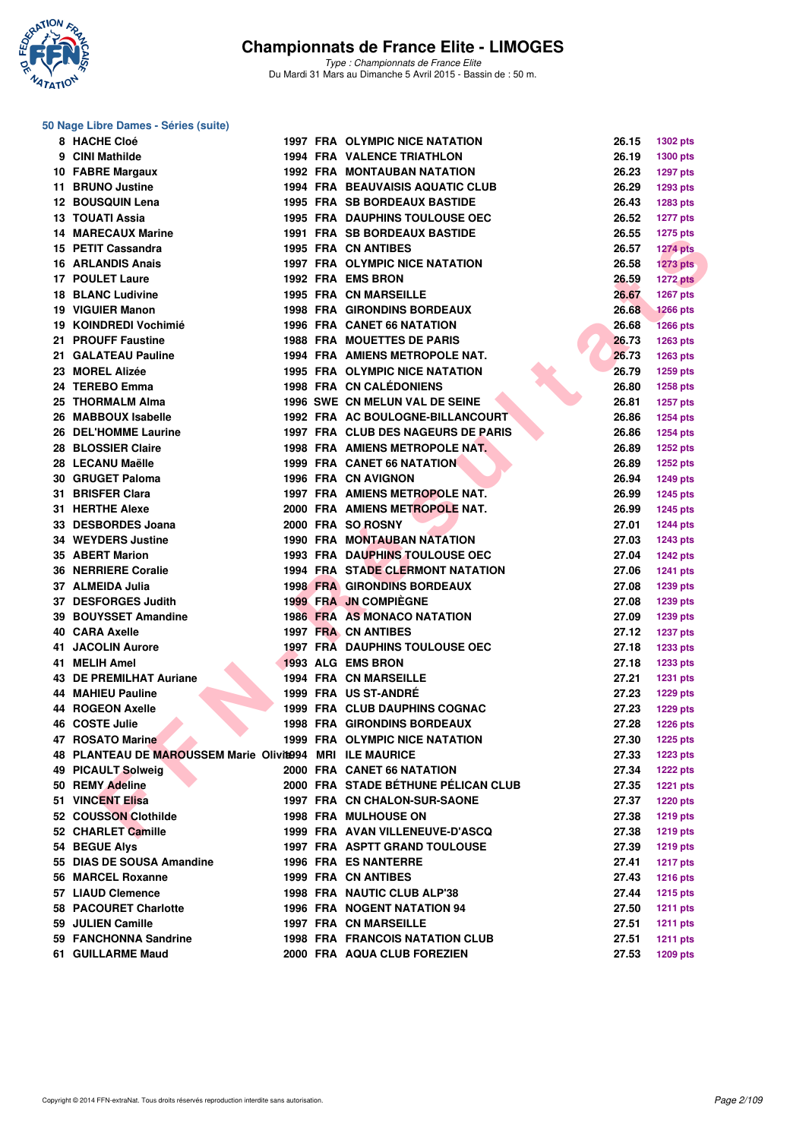

*Type : Championnats de France Elite* Du Mardi 31 Mars au Dimanche 5 Avril 2015 - Bassin de : 50 m.

#### **50 Nage Libre Dames - Séries (suite)**

| 8 HACHE Cloé                                             |  | <b>1997 FRA OLYMPIC NICE NATATION</b>                                         | 26.15          | 1302 pts        |
|----------------------------------------------------------|--|-------------------------------------------------------------------------------|----------------|-----------------|
| 9 CINI Mathilde                                          |  | <b>1994 FRA VALENCE TRIATHLON</b>                                             | 26.19          | 1300 pts        |
| 10 FABRE Margaux                                         |  | <b>1992 FRA MONTAUBAN NATATION</b>                                            | 26.23          | <b>1297 pts</b> |
| 11 BRUNO Justine                                         |  | <b>1994 FRA BEAUVAISIS AQUATIC CLUB</b>                                       | 26.29          | 1293 pts        |
| 12 BOUSQUIN Lena                                         |  | <b>1995 FRA SB BORDEAUX BASTIDE</b>                                           | 26.43          | 1283 pts        |
| 13 TOUATI Assia                                          |  | <b>1995 FRA DAUPHINS TOULOUSE OEC</b>                                         | 26.52          | <b>1277 pts</b> |
| <b>14 MARECAUX Marine</b>                                |  | <b>1991 FRA SB BORDEAUX BASTIDE</b>                                           | 26.55          | <b>1275 pts</b> |
| 15 PETIT Cassandra                                       |  | 1995 FRA CN ANTIBES                                                           | 26.57          | <b>1274 pts</b> |
| <b>16 ARLANDIS Anais</b>                                 |  | 1997 FRA OLYMPIC NICE NATATION                                                | 26.58          | $1273$ pts      |
| <b>17 POULET Laure</b>                                   |  | 1992 FRA EMS BRON                                                             | 26.59          | <b>1272 pts</b> |
| <b>18 BLANC Ludivine</b>                                 |  | <b>1995 FRA CN MARSEILLE</b>                                                  | 26.67          | 1267 pts        |
| 19 VIGUIER Manon                                         |  | <b>1998 FRA GIRONDINS BORDEAUX</b>                                            | 26.68          | <b>1266 pts</b> |
| 19 KOINDREDI Vochimié                                    |  | <b>1996 FRA CANET 66 NATATION</b>                                             | 26.68          | <b>1266 pts</b> |
| 21 PROUFF Faustine                                       |  | <b>1988 FRA MOUETTES DE PARIS</b>                                             | 26.73          | 1263 pts        |
| 21 GALATEAU Pauline                                      |  | 1994 FRA AMIENS METROPOLE NAT.                                                | 26.73          | <b>1263 pts</b> |
| 23 MOREL Alizée                                          |  | <b>1995 FRA OLYMPIC NICE NATATION</b>                                         | 26.79          | <b>1259 pts</b> |
| 24 TEREBO Emma                                           |  | <b>1998 FRA CN CALÉDONIENS</b>                                                | 26.80          | <b>1258 pts</b> |
| 25 THORMALM Alma                                         |  | 1996 SWE CN MELUN VAL DE SEINE                                                | 26.81          | <b>1257 pts</b> |
| 26 MABBOUX Isabelle                                      |  | 1992 FRA AC BOULOGNE-BILLANCOURT                                              | 26.86          | <b>1254 pts</b> |
| 26 DEL'HOMME Laurine                                     |  | 1997 FRA CLUB DES NAGEURS DE PARIS                                            | 26.86          | 1254 pts        |
| 28 BLOSSIER Claire                                       |  | 1998 FRA AMIENS METROPOLE NAT.                                                | 26.89          | <b>1252 pts</b> |
| 28 LECANU Maëlle                                         |  | <b>1999 FRA CANET 66 NATATION</b>                                             | 26.89          | <b>1252 pts</b> |
| 30 GRUGET Paloma                                         |  | 1996 FRA CN AVIGNON                                                           | 26.94          | <b>1249 pts</b> |
| 31 BRISFER Clara                                         |  | 1997 FRA AMIENS METROPOLE NAT.                                                | 26.99          | <b>1245 pts</b> |
| 31 HERTHE Alexe                                          |  | 2000 FRA AMIENS METROPOLE NAT.                                                | 26.99          | <b>1245 pts</b> |
| 33 DESBORDES Joana                                       |  | 2000 FRA SO ROSNY                                                             | 27.01          | <b>1244 pts</b> |
| 34 WEYDERS Justine                                       |  | 1990 FRA MONTAUBAN NATATION                                                   | 27.03          |                 |
| 35 ABERT Marion                                          |  |                                                                               | 27.04          | <b>1243 pts</b> |
|                                                          |  | <b>1993 FRA DAUPHINS TOULOUSE OEC</b>                                         |                | <b>1242 pts</b> |
| <b>36 NERRIERE Coralie</b>                               |  | <b>1994 FRA STADE CLERMONT NATATION</b><br><b>1998 FRA GIRONDINS BORDEAUX</b> | 27.06<br>27.08 | <b>1241 pts</b> |
| 37 ALMEIDA Julia                                         |  |                                                                               |                | 1239 pts        |
| 37 DESFORGES Judith                                      |  | <b>1999 FRA JN COMPIEGNE</b>                                                  | 27.08          | 1239 pts        |
| 39 BOUYSSET Amandine                                     |  | <b>1986 FRA AS MONACO NATATION</b>                                            | 27.09          | 1239 pts        |
| 40 CARA Axelle                                           |  | 1997 FRA CN ANTIBES                                                           | 27.12          | <b>1237 pts</b> |
| <b>41 JACOLIN Aurore</b>                                 |  | <b>1997 FRA DAUPHINS TOULOUSE OEC</b>                                         | 27.18          | <b>1233 pts</b> |
| 41 MELIH Amel                                            |  | 1993 ALG EMS BRON                                                             | 27.18          | 1233 pts        |
| <b>43 DE PREMILHAT Auriane</b>                           |  | <b>1994 FRA CN MARSEILLE</b>                                                  | 27.21          | <b>1231 pts</b> |
| <b>44 MAHIEU Pauline</b>                                 |  | 1999 FRA US ST-ANDRÉ                                                          | 27.23          | <b>1229 pts</b> |
| 44 ROGEON Axelle                                         |  | <b>1999 FRA CLUB DAUPHINS COGNAC</b>                                          | 27.23          | 1229 pts        |
| 46 COSTE Julie                                           |  | <b>1998 FRA GIRONDINS BORDEAUX</b>                                            | 27.28          | <b>1226 pts</b> |
| 47 ROSATO Marine                                         |  | <b>1999 FRA OLYMPIC NICE NATATION</b>                                         | 27.30          | 1225 pts        |
| 48 PLANTEAU DE MAROUSSEM Marie Olivit994 MRI ILE MAURICE |  |                                                                               | 27.33          | <b>1223 pts</b> |
| 49 PICAULT Solweig                                       |  | 2000 FRA CANET 66 NATATION                                                    | 27.34          | <b>1222 pts</b> |
| 50 REMY Adeline                                          |  | 2000 FRA STADE BÉTHUNE PÉLICAN CLUB                                           | 27.35          | <b>1221 pts</b> |
| <b>51 VINCENT Elisa</b>                                  |  | 1997 FRA CN CHALON-SUR-SAONE                                                  | 27.37          | <b>1220 pts</b> |
| 52 COUSSON Clothilde                                     |  | 1998 FRA MULHOUSE ON                                                          | 27.38          | <b>1219 pts</b> |
| 52 CHARLET Camille                                       |  | 1999 FRA AVAN VILLENEUVE-D'ASCQ                                               | 27.38          | 1219 pts        |
| 54 BEGUE Alys                                            |  | <b>1997 FRA ASPTT GRAND TOULOUSE</b>                                          | 27.39          | <b>1219 pts</b> |
| 55 DIAS DE SOUSA Amandine                                |  | <b>1996 FRA ES NANTERRE</b>                                                   | 27.41          | <b>1217 pts</b> |
| 56 MARCEL Roxanne                                        |  | <b>1999 FRA CN ANTIBES</b>                                                    | 27.43          | <b>1216 pts</b> |
| 57 LIAUD Clemence                                        |  | 1998 FRA NAUTIC CLUB ALP'38                                                   | 27.44          | <b>1215 pts</b> |
| 58 PACOURET Charlotte                                    |  | 1996 FRA NOGENT NATATION 94                                                   | 27.50          | <b>1211 pts</b> |
| 59 JULIEN Camille                                        |  | <b>1997 FRA CN MARSEILLE</b>                                                  | 27.51          | <b>1211 pts</b> |
| 59 FANCHONNA Sandrine                                    |  | <b>1998 FRA FRANCOIS NATATION CLUB</b>                                        | 27.51          | <b>1211 pts</b> |
| 61 GUILLARME Maud                                        |  | 2000 FRA AQUA CLUB FOREZIEN                                                   | 27.53          | 1209 pts        |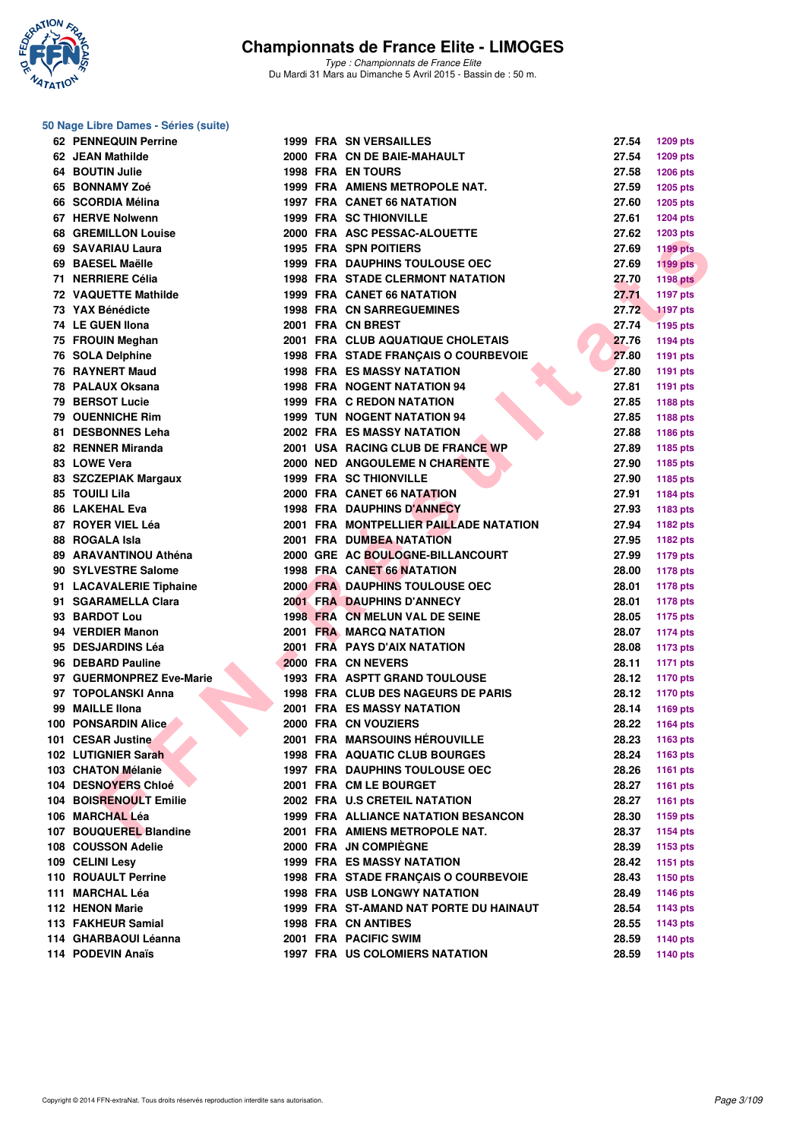

*Type : Championnats de France Elite* Du Mardi 31 Mars au Dimanche 5 Avril 2015 - Bassin de : 50 m.

#### **50 Nage Libre Dames - Séries (suite)**

| <b>62 PENNEQUIN Perrine</b>   |  | 1999 FRA SN VERSAILLES                    | 27.54 | <b>1209 pts</b> |
|-------------------------------|--|-------------------------------------------|-------|-----------------|
| 62 JEAN Mathilde              |  | 2000 FRA CN DE BAIE-MAHAULT               | 27.54 | <b>1209 pts</b> |
| 64 BOUTIN Julie               |  | <b>1998 FRA EN TOURS</b>                  | 27.58 | <b>1206 pts</b> |
| 65 BONNAMY Zoé                |  | 1999 FRA AMIENS METROPOLE NAT.            | 27.59 | <b>1205 pts</b> |
| 66 SCORDIA Mélina             |  | <b>1997 FRA CANET 66 NATATION</b>         | 27.60 | <b>1205 pts</b> |
| 67 HERVE Nolwenn              |  | <b>1999 FRA SC THIONVILLE</b>             | 27.61 | 1204 pts        |
| <b>68 GREMILLON Louise</b>    |  | 2000 FRA ASC PESSAC-ALOUETTE              | 27.62 | <b>1203 pts</b> |
| 69 SAVARIAU Laura             |  | 1995 FRA SPN POITIERS                     | 27.69 | <b>1199 pts</b> |
| 69 BAESEL Maëlle              |  | <b>1999 FRA DAUPHINS TOULOUSE OEC</b>     | 27.69 | <b>1199 pts</b> |
| 71 NERRIERE Célia             |  | <b>1998 FRA STADE CLERMONT NATATION</b>   | 27.70 | <b>1198 pts</b> |
| 72 VAQUETTE Mathilde          |  | <b>1999 FRA CANET 66 NATATION</b>         | 27.71 | 1197 pts        |
| 73 YAX Bénédicte              |  | <b>1998 FRA CN SARREGUEMINES</b>          | 27.72 | <b>1197 pts</b> |
| 74 LE GUEN Ilona              |  | 2001 FRA CN BREST                         | 27.74 | <b>1195 pts</b> |
| 75 FROUIN Meghan              |  | 2001 FRA CLUB AQUATIQUE CHOLETAIS         | 27.76 | <b>1194 pts</b> |
| 76 SOLA Delphine              |  | 1998 FRA STADE FRANCAIS O COURBEVOIE      | 27.80 | <b>1191 pts</b> |
| 76 RAYNERT Maud               |  | <b>1998 FRA ES MASSY NATATION</b>         | 27.80 | <b>1191 pts</b> |
| 78 PALAUX Oksana              |  | <b>1998 FRA NOGENT NATATION 94</b>        | 27.81 | <b>1191 pts</b> |
| 79 BERSOT Lucie               |  | 1999 FRA C REDON NATATION                 | 27.85 | 1188 pts        |
| 79 OUENNICHE Rim              |  | <b>1999 TUN NOGENT NATATION 94</b>        | 27.85 |                 |
| 81 DESBONNES Leha             |  | <b>2002 FRA ES MASSY NATATION</b>         | 27.88 | 1188 pts        |
| 82 RENNER Miranda             |  | 2001 USA RACING CLUB DE FRANCE WP         | 27.89 | 1186 pts        |
| 83 LOWE Vera                  |  | <b>2000 NED ANGOULEME N CHARENTE</b>      |       | 1185 pts        |
|                               |  |                                           | 27.90 | 1185 pts        |
| 83 SZCZEPIAK Margaux          |  | <b>1999 FRA SC THIONVILLE</b>             | 27.90 | 1185 pts        |
| 85 TOUILI Lila                |  | 2000 FRA CANET 66 NATATION                | 27.91 | 1184 pts        |
| 86 LAKEHAL Eva                |  | <b>1998 FRA DAUPHINS D'ANNECY</b>         | 27.93 | 1183 pts        |
| 87 ROYER VIEL Léa             |  | 2001 FRA MONTPELLIER PAILLADE NATATION    | 27.94 | <b>1182 pts</b> |
| 88 ROGALA Isla                |  | 2001 FRA DUMBEA NATATION                  | 27.95 | <b>1182 pts</b> |
| 89 ARAVANTINOU Athéna         |  | 2000 GRE AC BOULOGNE-BILLANCOURT          | 27.99 | <b>1179 pts</b> |
| 90 SYLVESTRE Salome           |  | <b>1998 FRA CANET 66 NATATION</b>         | 28.00 | <b>1178 pts</b> |
| 91 LACAVALERIE Tiphaine       |  | 2000 FRA DAUPHINS TOULOUSE OEC            | 28.01 | <b>1178 pts</b> |
| 91 SGARAMELLA Clara           |  | 2001 FRA DAUPHINS D'ANNECY                | 28.01 | <b>1178 pts</b> |
| 93 BARDOT Lou                 |  | 1998 FRA CN MELUN VAL DE SEINE            | 28.05 | <b>1175 pts</b> |
| 94 VERDIER Manon              |  | 2001 FRA MARCQ NATATION                   | 28.07 | <b>1174 pts</b> |
| 95 DESJARDINS Léa             |  | 2001 FRA PAYS D'AIX NATATION              | 28.08 | 1173 pts        |
| 96 DEBARD Pauline             |  | 2000 FRA CN NEVERS                        | 28.11 | <b>1171 pts</b> |
| 97 GUERMONPREZ Eve-Marie      |  | 1993 FRA ASPTT GRAND TOULOUSE             | 28.12 | <b>1170 pts</b> |
| 97 TOPOLANSKI Anna            |  | <b>1998 FRA CLUB DES NAGEURS DE PARIS</b> | 28.12 | <b>1170 pts</b> |
| 99 MAILLE Ilona               |  | <b>2001 FRA ES MASSY NATATION</b>         | 28.14 | <b>1169 pts</b> |
| 100 PONSARDIN Alice           |  | 2000 FRA CN VOUZIERS                      | 28.22 | <b>1164 pts</b> |
| 101 CESAR Justine             |  | 2001 FRA MARSOUINS HÉROUVILLE             | 28.23 | 1163 pts        |
| 102 LUTIGNIER Sarah           |  | <b>1998 FRA AQUATIC CLUB BOURGES</b>      | 28.24 | 1163 pts        |
| 103 CHATON Mélanie            |  | <b>1997 FRA DAUPHINS TOULOUSE OEC</b>     | 28.26 | 1161 pts        |
| 104 DESNOYERS Chloé           |  | 2001 FRA CM LE BOURGET                    | 28.27 | 1161 $pts$      |
| <b>104 BOISRENOULT Emilie</b> |  | 2002 FRA U.S CRETEIL NATATION             | 28.27 | <b>1161 pts</b> |
| 106 MARCHAL Léa               |  | 1999 FRA ALLIANCE NATATION BESANCON       | 28.30 | 1159 pts        |
| 107 BOUQUEREL Blandine        |  | 2001 FRA AMIENS METROPOLE NAT.            | 28.37 | 1154 pts        |
| 108 COUSSON Adelie            |  | 2000 FRA JN COMPIÈGNE                     | 28.39 | 1153 pts        |
| 109 CELINI Lesy               |  | <b>1999 FRA ES MASSY NATATION</b>         | 28.42 | 1151 pts        |
| 110 ROUAULT Perrine           |  | 1998 FRA STADE FRANÇAIS O COURBEVOIE      | 28.43 | 1150 pts        |
| 111 MARCHAL Léa               |  | <b>1998 FRA USB LONGWY NATATION</b>       | 28.49 | <b>1146 pts</b> |
| 112 HENON Marie               |  | 1999 FRA ST-AMAND NAT PORTE DU HAINAUT    | 28.54 | <b>1143 pts</b> |
| 113 FAKHEUR Samial            |  | 1998 FRA CN ANTIBES                       | 28.55 | <b>1143 pts</b> |
| 114 GHARBAOUI Léanna          |  | 2001 FRA PACIFIC SWIM                     | 28.59 | <b>1140 pts</b> |
| 114 PODEVIN Anaïs             |  | <b>1997 FRA US COLOMIERS NATATION</b>     | 28.59 | 1140 pts        |
|                               |  |                                           |       |                 |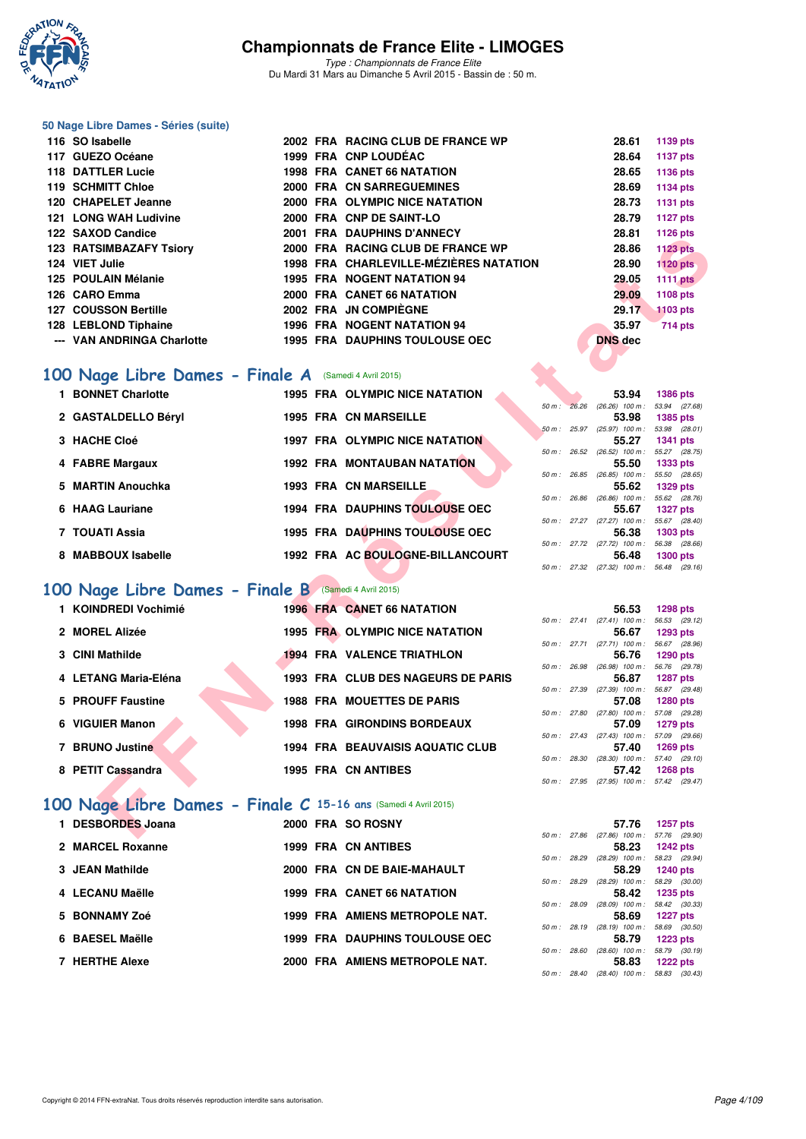

*Type : Championnats de France Elite* Du Mardi 31 Mars au Dimanche 5 Avril 2015 - Bassin de : 50 m.

#### **50 Nage Libre Dames - Séries (suite)**

| 116 SO Isabelle                                       |  | 2002 FRA RACING CLUB DE FRANCE WP      | 28.61          | 1139 pts        |
|-------------------------------------------------------|--|----------------------------------------|----------------|-----------------|
| 117 GUEZO Océane                                      |  | 1999 FRA CNP LOUDÉAC                   | 28.64          | <b>1137 pts</b> |
| 118 DATTLER Lucie                                     |  | <b>1998 FRA CANET 66 NATATION</b>      | 28.65          | 1136 pts        |
| 119 SCHMITT Chloe                                     |  | 2000 FRA CN SARREGUEMINES              | 28.69          | 1134 pts        |
| 120 CHAPELET Jeanne                                   |  | 2000 FRA OLYMPIC NICE NATATION         | 28.73          | <b>1131 pts</b> |
| <b>121 LONG WAH Ludivine</b>                          |  | 2000 FRA CNP DE SAINT-LO               | 28.79          | <b>1127 pts</b> |
| 122 SAXOD Candice                                     |  | 2001 FRA DAUPHINS D'ANNECY             | 28.81          | 1126 pts        |
| <b>123 RATSIMBAZAFY Tsiory</b>                        |  | 2000 FRA RACING CLUB DE FRANCE WP      | 28.86          | <b>1123 pts</b> |
| 124 VIET Julie                                        |  | 1998 FRA CHARLEVILLE-MÉZIÈRES NATATION | 28.90          | <b>1120 pts</b> |
| 125 POULAIN Mélanie                                   |  | <b>1995 FRA NOGENT NATATION 94</b>     | 29.05          | 1111 pts        |
| 126 CARO Emma                                         |  | 2000 FRA CANET 66 NATATION             | 29.09          | <b>1108 pts</b> |
| <b>127 COUSSON Bertille</b>                           |  | 2002 FRA JN COMPIÈGNE                  | 29.17          | <b>1103 pts</b> |
| 128 LEBLOND Tiphaine                                  |  | <b>1996 FRA NOGENT NATATION 94</b>     | 35.97          | 714 pts         |
| --- VAN ANDRINGA Charlotte                            |  | <b>1995 FRA DAUPHINS TOULOUSE OEC</b>  | <b>DNS</b> dec |                 |
|                                                       |  |                                        |                |                 |
| 100 Nage Libre Dames - Finale A (Samedi 4 Avril 2015) |  |                                        |                |                 |
|                                                       |  |                                        |                |                 |

# [100 Nage Libre Dames - Finale A](http://www.ffnatation.fr/webffn/resultats.php?idact=nat&go=epr&idcpt=27187&idepr=2) (Samedi 4 Avril 2015)

| IZZ JANUD UQIIUIUT      |                                                                                                                                                                                                                                                               |  |                                                                                                                                                                                                                                                                                                                                                                                                                                                                                                                                                                                                                                                                                                                                                                                                                                                                                                                                                                                                                               |                                        | 20.O I | פוען ט <b>ב</b> ו ו                                                                                                                                                                                                                                                                                                                                                                                                                                                                                                                                                                                                                                                                                                                                                                                                                                                                               |
|-------------------------|---------------------------------------------------------------------------------------------------------------------------------------------------------------------------------------------------------------------------------------------------------------|--|-------------------------------------------------------------------------------------------------------------------------------------------------------------------------------------------------------------------------------------------------------------------------------------------------------------------------------------------------------------------------------------------------------------------------------------------------------------------------------------------------------------------------------------------------------------------------------------------------------------------------------------------------------------------------------------------------------------------------------------------------------------------------------------------------------------------------------------------------------------------------------------------------------------------------------------------------------------------------------------------------------------------------------|----------------------------------------|--------|---------------------------------------------------------------------------------------------------------------------------------------------------------------------------------------------------------------------------------------------------------------------------------------------------------------------------------------------------------------------------------------------------------------------------------------------------------------------------------------------------------------------------------------------------------------------------------------------------------------------------------------------------------------------------------------------------------------------------------------------------------------------------------------------------------------------------------------------------------------------------------------------------|
| 123 RATSIMBAZAFY Tsiory |                                                                                                                                                                                                                                                               |  |                                                                                                                                                                                                                                                                                                                                                                                                                                                                                                                                                                                                                                                                                                                                                                                                                                                                                                                                                                                                                               |                                        | 28.86  | <b>1123 pts</b>                                                                                                                                                                                                                                                                                                                                                                                                                                                                                                                                                                                                                                                                                                                                                                                                                                                                                   |
| 124 VIET Julie          |                                                                                                                                                                                                                                                               |  |                                                                                                                                                                                                                                                                                                                                                                                                                                                                                                                                                                                                                                                                                                                                                                                                                                                                                                                                                                                                                               |                                        | 28.90  | <b>1120 pts</b>                                                                                                                                                                                                                                                                                                                                                                                                                                                                                                                                                                                                                                                                                                                                                                                                                                                                                   |
| 125 POULAIN Mélanie     |                                                                                                                                                                                                                                                               |  |                                                                                                                                                                                                                                                                                                                                                                                                                                                                                                                                                                                                                                                                                                                                                                                                                                                                                                                                                                                                                               |                                        | 29.05  | <b>1111 pts</b>                                                                                                                                                                                                                                                                                                                                                                                                                                                                                                                                                                                                                                                                                                                                                                                                                                                                                   |
| 126 CARO Emma           |                                                                                                                                                                                                                                                               |  |                                                                                                                                                                                                                                                                                                                                                                                                                                                                                                                                                                                                                                                                                                                                                                                                                                                                                                                                                                                                                               |                                        | 29.09  | 1108 pts                                                                                                                                                                                                                                                                                                                                                                                                                                                                                                                                                                                                                                                                                                                                                                                                                                                                                          |
| 127 COUSSON Bertille    |                                                                                                                                                                                                                                                               |  |                                                                                                                                                                                                                                                                                                                                                                                                                                                                                                                                                                                                                                                                                                                                                                                                                                                                                                                                                                                                                               |                                        | 29.17  | 1103 pts                                                                                                                                                                                                                                                                                                                                                                                                                                                                                                                                                                                                                                                                                                                                                                                                                                                                                          |
|                         |                                                                                                                                                                                                                                                               |  |                                                                                                                                                                                                                                                                                                                                                                                                                                                                                                                                                                                                                                                                                                                                                                                                                                                                                                                                                                                                                               |                                        |        | <b>714 pts</b>                                                                                                                                                                                                                                                                                                                                                                                                                                                                                                                                                                                                                                                                                                                                                                                                                                                                                    |
|                         |                                                                                                                                                                                                                                                               |  |                                                                                                                                                                                                                                                                                                                                                                                                                                                                                                                                                                                                                                                                                                                                                                                                                                                                                                                                                                                                                               |                                        |        |                                                                                                                                                                                                                                                                                                                                                                                                                                                                                                                                                                                                                                                                                                                                                                                                                                                                                                   |
|                         |                                                                                                                                                                                                                                                               |  |                                                                                                                                                                                                                                                                                                                                                                                                                                                                                                                                                                                                                                                                                                                                                                                                                                                                                                                                                                                                                               |                                        |        |                                                                                                                                                                                                                                                                                                                                                                                                                                                                                                                                                                                                                                                                                                                                                                                                                                                                                                   |
|                         |                                                                                                                                                                                                                                                               |  |                                                                                                                                                                                                                                                                                                                                                                                                                                                                                                                                                                                                                                                                                                                                                                                                                                                                                                                                                                                                                               |                                        |        |                                                                                                                                                                                                                                                                                                                                                                                                                                                                                                                                                                                                                                                                                                                                                                                                                                                                                                   |
|                         |                                                                                                                                                                                                                                                               |  |                                                                                                                                                                                                                                                                                                                                                                                                                                                                                                                                                                                                                                                                                                                                                                                                                                                                                                                                                                                                                               |                                        |        |                                                                                                                                                                                                                                                                                                                                                                                                                                                                                                                                                                                                                                                                                                                                                                                                                                                                                                   |
| 1 BONNET Charlotte      |                                                                                                                                                                                                                                                               |  |                                                                                                                                                                                                                                                                                                                                                                                                                                                                                                                                                                                                                                                                                                                                                                                                                                                                                                                                                                                                                               |                                        | 53.94  | 1386 pts                                                                                                                                                                                                                                                                                                                                                                                                                                                                                                                                                                                                                                                                                                                                                                                                                                                                                          |
|                         |                                                                                                                                                                                                                                                               |  |                                                                                                                                                                                                                                                                                                                                                                                                                                                                                                                                                                                                                                                                                                                                                                                                                                                                                                                                                                                                                               |                                        |        |                                                                                                                                                                                                                                                                                                                                                                                                                                                                                                                                                                                                                                                                                                                                                                                                                                                                                                   |
|                         |                                                                                                                                                                                                                                                               |  |                                                                                                                                                                                                                                                                                                                                                                                                                                                                                                                                                                                                                                                                                                                                                                                                                                                                                                                                                                                                                               |                                        |        | <b>1385 pts</b>                                                                                                                                                                                                                                                                                                                                                                                                                                                                                                                                                                                                                                                                                                                                                                                                                                                                                   |
| 3 HACHE Cloé            |                                                                                                                                                                                                                                                               |  |                                                                                                                                                                                                                                                                                                                                                                                                                                                                                                                                                                                                                                                                                                                                                                                                                                                                                                                                                                                                                               |                                        | 55.27  | <b>1341 pts</b>                                                                                                                                                                                                                                                                                                                                                                                                                                                                                                                                                                                                                                                                                                                                                                                                                                                                                   |
|                         |                                                                                                                                                                                                                                                               |  |                                                                                                                                                                                                                                                                                                                                                                                                                                                                                                                                                                                                                                                                                                                                                                                                                                                                                                                                                                                                                               |                                        |        |                                                                                                                                                                                                                                                                                                                                                                                                                                                                                                                                                                                                                                                                                                                                                                                                                                                                                                   |
| 4 FABRE Margaux         |                                                                                                                                                                                                                                                               |  |                                                                                                                                                                                                                                                                                                                                                                                                                                                                                                                                                                                                                                                                                                                                                                                                                                                                                                                                                                                                                               |                                        | 55.50  | 1333 pts                                                                                                                                                                                                                                                                                                                                                                                                                                                                                                                                                                                                                                                                                                                                                                                                                                                                                          |
|                         |                                                                                                                                                                                                                                                               |  |                                                                                                                                                                                                                                                                                                                                                                                                                                                                                                                                                                                                                                                                                                                                                                                                                                                                                                                                                                                                                               |                                        |        |                                                                                                                                                                                                                                                                                                                                                                                                                                                                                                                                                                                                                                                                                                                                                                                                                                                                                                   |
|                         |                                                                                                                                                                                                                                                               |  |                                                                                                                                                                                                                                                                                                                                                                                                                                                                                                                                                                                                                                                                                                                                                                                                                                                                                                                                                                                                                               |                                        |        | <b>1329 pts</b>                                                                                                                                                                                                                                                                                                                                                                                                                                                                                                                                                                                                                                                                                                                                                                                                                                                                                   |
| 6 HAAG Lauriane         |                                                                                                                                                                                                                                                               |  |                                                                                                                                                                                                                                                                                                                                                                                                                                                                                                                                                                                                                                                                                                                                                                                                                                                                                                                                                                                                                               |                                        | 55.67  | <b>1327 pts</b>                                                                                                                                                                                                                                                                                                                                                                                                                                                                                                                                                                                                                                                                                                                                                                                                                                                                                   |
|                         |                                                                                                                                                                                                                                                               |  |                                                                                                                                                                                                                                                                                                                                                                                                                                                                                                                                                                                                                                                                                                                                                                                                                                                                                                                                                                                                                               |                                        |        |                                                                                                                                                                                                                                                                                                                                                                                                                                                                                                                                                                                                                                                                                                                                                                                                                                                                                                   |
|                         |                                                                                                                                                                                                                                                               |  |                                                                                                                                                                                                                                                                                                                                                                                                                                                                                                                                                                                                                                                                                                                                                                                                                                                                                                                                                                                                                               |                                        |        | <b>1303 pts</b>                                                                                                                                                                                                                                                                                                                                                                                                                                                                                                                                                                                                                                                                                                                                                                                                                                                                                   |
|                         |                                                                                                                                                                                                                                                               |  |                                                                                                                                                                                                                                                                                                                                                                                                                                                                                                                                                                                                                                                                                                                                                                                                                                                                                                                                                                                                                               |                                        |        | <b>1300 pts</b>                                                                                                                                                                                                                                                                                                                                                                                                                                                                                                                                                                                                                                                                                                                                                                                                                                                                                   |
|                         |                                                                                                                                                                                                                                                               |  |                                                                                                                                                                                                                                                                                                                                                                                                                                                                                                                                                                                                                                                                                                                                                                                                                                                                                                                                                                                                                               |                                        |        |                                                                                                                                                                                                                                                                                                                                                                                                                                                                                                                                                                                                                                                                                                                                                                                                                                                                                                   |
|                         |                                                                                                                                                                                                                                                               |  |                                                                                                                                                                                                                                                                                                                                                                                                                                                                                                                                                                                                                                                                                                                                                                                                                                                                                                                                                                                                                               |                                        |        |                                                                                                                                                                                                                                                                                                                                                                                                                                                                                                                                                                                                                                                                                                                                                                                                                                                                                                   |
|                         |                                                                                                                                                                                                                                                               |  |                                                                                                                                                                                                                                                                                                                                                                                                                                                                                                                                                                                                                                                                                                                                                                                                                                                                                                                                                                                                                               |                                        |        |                                                                                                                                                                                                                                                                                                                                                                                                                                                                                                                                                                                                                                                                                                                                                                                                                                                                                                   |
| 1 KOINDREDI Vochimié    |                                                                                                                                                                                                                                                               |  |                                                                                                                                                                                                                                                                                                                                                                                                                                                                                                                                                                                                                                                                                                                                                                                                                                                                                                                                                                                                                               |                                        | 56.53  | <b>1298 pts</b>                                                                                                                                                                                                                                                                                                                                                                                                                                                                                                                                                                                                                                                                                                                                                                                                                                                                                   |
|                         |                                                                                                                                                                                                                                                               |  |                                                                                                                                                                                                                                                                                                                                                                                                                                                                                                                                                                                                                                                                                                                                                                                                                                                                                                                                                                                                                               |                                        |        |                                                                                                                                                                                                                                                                                                                                                                                                                                                                                                                                                                                                                                                                                                                                                                                                                                                                                                   |
|                         |                                                                                                                                                                                                                                                               |  |                                                                                                                                                                                                                                                                                                                                                                                                                                                                                                                                                                                                                                                                                                                                                                                                                                                                                                                                                                                                                               |                                        |        | <b>1293 pts</b>                                                                                                                                                                                                                                                                                                                                                                                                                                                                                                                                                                                                                                                                                                                                                                                                                                                                                   |
|                         |                                                                                                                                                                                                                                                               |  |                                                                                                                                                                                                                                                                                                                                                                                                                                                                                                                                                                                                                                                                                                                                                                                                                                                                                                                                                                                                                               |                                        |        | 1290 pts                                                                                                                                                                                                                                                                                                                                                                                                                                                                                                                                                                                                                                                                                                                                                                                                                                                                                          |
|                         |                                                                                                                                                                                                                                                               |  |                                                                                                                                                                                                                                                                                                                                                                                                                                                                                                                                                                                                                                                                                                                                                                                                                                                                                                                                                                                                                               |                                        |        |                                                                                                                                                                                                                                                                                                                                                                                                                                                                                                                                                                                                                                                                                                                                                                                                                                                                                                   |
| 4 LETANG Maria-Eléna    |                                                                                                                                                                                                                                                               |  |                                                                                                                                                                                                                                                                                                                                                                                                                                                                                                                                                                                                                                                                                                                                                                                                                                                                                                                                                                                                                               |                                        | 56.87  | <b>1287 pts</b>                                                                                                                                                                                                                                                                                                                                                                                                                                                                                                                                                                                                                                                                                                                                                                                                                                                                                   |
|                         |                                                                                                                                                                                                                                                               |  |                                                                                                                                                                                                                                                                                                                                                                                                                                                                                                                                                                                                                                                                                                                                                                                                                                                                                                                                                                                                                               |                                        |        |                                                                                                                                                                                                                                                                                                                                                                                                                                                                                                                                                                                                                                                                                                                                                                                                                                                                                                   |
|                         |                                                                                                                                                                                                                                                               |  |                                                                                                                                                                                                                                                                                                                                                                                                                                                                                                                                                                                                                                                                                                                                                                                                                                                                                                                                                                                                                               |                                        |        | 1280 pts                                                                                                                                                                                                                                                                                                                                                                                                                                                                                                                                                                                                                                                                                                                                                                                                                                                                                          |
|                         |                                                                                                                                                                                                                                                               |  |                                                                                                                                                                                                                                                                                                                                                                                                                                                                                                                                                                                                                                                                                                                                                                                                                                                                                                                                                                                                                               |                                        |        | <b>1279 pts</b>                                                                                                                                                                                                                                                                                                                                                                                                                                                                                                                                                                                                                                                                                                                                                                                                                                                                                   |
|                         |                                                                                                                                                                                                                                                               |  |                                                                                                                                                                                                                                                                                                                                                                                                                                                                                                                                                                                                                                                                                                                                                                                                                                                                                                                                                                                                                               |                                        |        |                                                                                                                                                                                                                                                                                                                                                                                                                                                                                                                                                                                                                                                                                                                                                                                                                                                                                                   |
| 7 BRUNO Justine         |                                                                                                                                                                                                                                                               |  |                                                                                                                                                                                                                                                                                                                                                                                                                                                                                                                                                                                                                                                                                                                                                                                                                                                                                                                                                                                                                               |                                        | 57.40  | <b>1269 pts</b>                                                                                                                                                                                                                                                                                                                                                                                                                                                                                                                                                                                                                                                                                                                                                                                                                                                                                   |
|                         |                                                                                                                                                                                                                                                               |  |                                                                                                                                                                                                                                                                                                                                                                                                                                                                                                                                                                                                                                                                                                                                                                                                                                                                                                                                                                                                                               |                                        |        |                                                                                                                                                                                                                                                                                                                                                                                                                                                                                                                                                                                                                                                                                                                                                                                                                                                                                                   |
|                         |                                                                                                                                                                                                                                                               |  |                                                                                                                                                                                                                                                                                                                                                                                                                                                                                                                                                                                                                                                                                                                                                                                                                                                                                                                                                                                                                               |                                        |        | <b>1268 pts</b>                                                                                                                                                                                                                                                                                                                                                                                                                                                                                                                                                                                                                                                                                                                                                                                                                                                                                   |
|                         |                                                                                                                                                                                                                                                               |  |                                                                                                                                                                                                                                                                                                                                                                                                                                                                                                                                                                                                                                                                                                                                                                                                                                                                                                                                                                                                                               |                                        |        |                                                                                                                                                                                                                                                                                                                                                                                                                                                                                                                                                                                                                                                                                                                                                                                                                                                                                                   |
|                         |                                                                                                                                                                                                                                                               |  |                                                                                                                                                                                                                                                                                                                                                                                                                                                                                                                                                                                                                                                                                                                                                                                                                                                                                                                                                                                                                               |                                        |        |                                                                                                                                                                                                                                                                                                                                                                                                                                                                                                                                                                                                                                                                                                                                                                                                                                                                                                   |
|                         |                                                                                                                                                                                                                                                               |  |                                                                                                                                                                                                                                                                                                                                                                                                                                                                                                                                                                                                                                                                                                                                                                                                                                                                                                                                                                                                                               |                                        |        | 1257 pts                                                                                                                                                                                                                                                                                                                                                                                                                                                                                                                                                                                                                                                                                                                                                                                                                                                                                          |
|                         |                                                                                                                                                                                                                                                               |  |                                                                                                                                                                                                                                                                                                                                                                                                                                                                                                                                                                                                                                                                                                                                                                                                                                                                                                                                                                                                                               |                                        |        |                                                                                                                                                                                                                                                                                                                                                                                                                                                                                                                                                                                                                                                                                                                                                                                                                                                                                                   |
|                         | 128 LEBLOND Tiphaine<br>--- VAN ANDRINGA Charlotte<br>2 GASTALDELLO Béryl<br>5 MARTIN Anouchka<br>7 TOUATI Assia<br>8 MABBOUX Isabelle<br>2 MOREL Alizée<br>3 CINI Mathilde<br>5 PROUFF Faustine<br>6 VIGUIER Manon<br>8 PETIT Cassandra<br>1 DESBORDES Joana |  | ZUVI FRA DAUFIIING D'ANNECT<br>2000 FRA RACING CLUB DE FRANCE WP<br><b>1995 FRA NOGENT NATATION 94</b><br>2000 FRA CANET 66 NATATION<br>2002 FRA JN COMPIÈGNE<br>1996 FRA NOGENT NATATION 94<br>1995 FRA DAUPHINS TOULOUSE OEC<br>00 Nage Libre Dames - Finale A (Samedi 4 Avril 2015)<br>1995 FRA OLYMPIC NICE NATATION<br><b>1995 FRA CN MARSEILLE</b><br>1997 FRA OLYMPIC NICE NATATION<br><b>1992 FRA MONTAUBAN NATATION</b><br><b>1993 FRA CN MARSEILLE</b><br>1994 FRA DAUPHINS TOULOUSE OEC<br><b>1995 FRA DAUPHINS TOULOUSE OEC</b><br>1992 FRA AC BOULOGNE-BILLANCOURT<br>00 Nage Libre Dames - Finale B (Samedi 4 Avril 2015)<br>1996 FRA CANET 66 NATATION<br>1995 FRA OLYMPIC NICE NATATION<br><b>1994 FRA VALENCE TRIATHLON</b><br>1993 FRA CLUB DES NAGEURS DE PARIS<br><b>1988 FRA MOUETTES DE PARIS</b><br><b>1998 FRA GIRONDINS BORDEAUX</b><br><b>1994 FRA BEAUVAISIS AQUATIC CLUB</b><br><b>1995 FRA CN ANTIBES</b><br>00 Nage Libre Dames - Finale C 15-16 ans (Samedi 4 Avril 2015)<br>2000 FRA SO ROSNY | 1998 FRA CHARLEVILLE-MÉZIÈRES NATATION |        | 35.97<br><b>DNS</b> dec<br>50 m : 26.26 (26.26) 100 m : 53.94 (27.68)<br>53.98<br>50 m: 25.97 (25.97) 100 m: 53.98 (28.01)<br>50 m: 26.52 (26.52) 100 m: 55.27 (28.75)<br>50 m: 26.85 (26.85) 100 m: 55.50 (28.65)<br>55.62<br>50 m : 26.86 (26.86) 100 m : 55.62 (28.76)<br>50 m: 27.27 (27.27) 100 m: 55.67 (28.40)<br>56.38<br>50 m: 27.72 (27.72) 100 m: 56.38 (28.66)<br>56.48<br>50 m: 27.32 (27.32) 100 m: 56.48 (29.16)<br>50 m: 27.41 (27.41) 100 m: 56.53 (29.12)<br>56.67<br>50 m: 27.71 (27.71) 100 m: 56.67 (28.96)<br>56.76<br>50 m: 26.98 (26.98) 100 m: 56.76 (29.78)<br>50 m: 27.39 (27.39) 100 m: 56.87 (29.48)<br>57.08<br>50 m: 27.80 (27.80) 100 m: 57.08 (29.28)<br>57.09<br>50 m: 27.43 (27.43) 100 m: 57.09 (29.66)<br>50 m: 28.30 (28.30) 100 m: 57.40 (29.10)<br>57.42<br>50 m: 27.95 (27.95) 100 m: 57.42 (29.47)<br>57.76<br>50 m: 27.86 (27.86) 100 m: 57.76 (29.90) |

# **[100 Nage Libre Dames - Finale B](http://www.ffnatation.fr/webffn/resultats.php?idact=nat&go=epr&idcpt=27187&idepr=2)** (Samedi 4 Avril 2015)

| 1 KOINDREDI Vochimié |  | <b>1996 FRA CANET 66 NATATION</b>  |                | 56.53                         | 1298 pts   |  |
|----------------------|--|------------------------------------|----------------|-------------------------------|------------|--|
|                      |  |                                    |                | $50 m$ : 27.41 (27.41) 100 m: | 56.53 (29. |  |
| 2 MOREL Alizée       |  | 1995 FRA OLYMPIC NICE NATATION     |                | 56.67                         | 1293 pts   |  |
|                      |  |                                    | $50 m$ : 27.71 | $(27.71)$ 100 m :             | 56.67 (28. |  |
| 3 CINI Mathilde      |  | <b>1994 FRA VALENCE TRIATHLON</b>  |                | 56.76                         | 1290 pts   |  |
|                      |  |                                    | 50 m : 26.98   | $(26.98)$ 100 m :             | 56.76 (29. |  |
| 4 LETANG Maria-Eléna |  | 1993 FRA CLUB DES NAGEURS DE PARIS |                | 56.87                         | 1287 pts   |  |
|                      |  |                                    | 50 m : 27.39   | $(27.39)$ 100 m :             | 56.87 (29. |  |
| 5 PROUFF Faustine    |  | <b>1988 FRA MOUETTES DE PARIS</b>  |                | 57.08                         | 1280 pts   |  |
|                      |  |                                    | 50 m : 27.80   | $(27.80)$ 100 m :             | 57.08 (29. |  |
| 6 VIGUIER Manon      |  | <b>1998 FRA GIRONDINS BORDEAUX</b> |                | 57.09                         | 1279 pts   |  |
|                      |  |                                    | 50 m: 27.43    | $(27.43)$ 100 m :             | 57.09 (29. |  |
| 7 BRUNO Justine      |  | 1994 FRA BEAUVAISIS AQUATIC CLUB   |                | 57.40                         | 1269 pts   |  |
|                      |  |                                    | 50 m : 28.30   | $(28.30)$ 100 m :             | 57.40 (29. |  |
| 8 PETIT Cassandra    |  | <b>1995 FRA CN ANTIBES</b>         |                | 57.42                         | 1268 pts   |  |

# **[100 Nage Libre Dames - Finale C](http://www.ffnatation.fr/webffn/resultats.php?idact=nat&go=epr&idcpt=27187&idepr=2) 15-16 ans** (Samedi 4 Avril 2015)

| 1 DESBORDES Joana | 2000 FRA SO ROSNY                     |                |              | 57.76                                 | 1257 pts        |  |
|-------------------|---------------------------------------|----------------|--------------|---------------------------------------|-----------------|--|
|                   |                                       |                |              | 50 m: 27.86 (27.86) 100 m: 57.76 (29. |                 |  |
| 2 MARCEL Roxanne  | <b>1999 FRA CN ANTIBES</b>            |                |              | 58.23                                 | <b>1242 pts</b> |  |
|                   |                                       | 50 m :         | 28.29        | $(28.29)$ 100 m :                     | 58.23 (29.      |  |
| 3 JEAN Mathilde   | 2000 FRA CN DE BAIE-MAHAULT           |                |              | 58.29                                 | 1240 pts        |  |
|                   |                                       |                | 50 m : 28.29 | $(28.29)$ 100 m : 58.29 (30.          |                 |  |
| 4 LECANU Maëlle   | <b>1999 FRA CANET 66 NATATION</b>     |                |              | 58.42                                 | 1235 pts        |  |
|                   |                                       | 50 m :         | 28.09        | $(28.09)$ 100 m : 58.42 (30.          |                 |  |
| 5 BONNAMY Zoé     | <b>1999 FRA AMIENS METROPOLE NAT.</b> |                |              | 58.69                                 | 1227 pts        |  |
|                   |                                       | $50 m$ : 28.19 |              | $(28.19)$ 100 m :                     | 58.69 (30.      |  |
| 6 BAESEL Maëlle   | <b>1999 FRA DAUPHINS TOULOUSE OEC</b> |                |              | 58.79                                 | 1223 pts        |  |
|                   |                                       | 50 m :         | 28.60        | $(28.60)$ 100 m :                     | 58.79 (30.      |  |
| 7 HERTHE Alexe    | 2000 FRA AMIENS METROPOLE NAT.        |                |              | 58.83                                 | <b>1222 pts</b> |  |
|                   |                                       |                |              |                                       |                 |  |

|             | JU.JJ                        | י טשבאו         |
|-------------|------------------------------|-----------------|
| 50 m: 27.41 | $(27.41)$ 100 m :            | 56.53 (29.12)   |
|             |                              | 56.67 1293 pts  |
|             | 50 m: 27.71 (27.71) 100 m:   | 56.67 (28.96)   |
|             | 56.76                        | 1290 pts        |
|             | 50 m: 26.98 (26.98) 100 m:   | 56.76 (29.78)   |
|             |                              | 56.87 1287 pts  |
|             | 50 m: 27.39 (27.39) 100 m:   | 56.87 (29.48)   |
|             | 57.08                        | <b>1280 pts</b> |
|             | 50 m: 27.80 (27.80) 100 m:   | 57.08 (29.28)   |
|             |                              | 57.09 1279 pts  |
|             | 50 m: 27.43 (27.43) 100 m:   | 57.09 (29.66)   |
|             | 57.40                        | $1269$ pts      |
|             | 50 m: 28.30 (28.30) 100 m:   | 57.40 (29.10)   |
|             |                              | 57.42 1268 pts  |
|             | 50 m : 27.95 (27.95) 100 m : | 57.42 (29.47)   |
|             |                              |                 |

|             |                              | 57.76                          | 1257 $p$ ts     |               |
|-------------|------------------------------|--------------------------------|-----------------|---------------|
|             | 50 m: 27.86 (27.86) 100 m:   |                                | 57.76 (29.90)   |               |
|             |                              | 58.23                          | $1242$ pts      |               |
|             | 50 m : 28.29 (28.29) 100 m : |                                | 58.23 (29.94)   |               |
|             |                              | 58.29 1240 pts                 |                 |               |
|             | 50 m : 28.29 (28.29) 100 m : |                                | 58.29 (30.00)   |               |
|             |                              | 58.42                          | <b>1235 pts</b> |               |
| 50 m: 28.09 | $(28.09)$ 100 m :            |                                |                 | 58.42 (30.33) |
|             |                              | 58.69 1227 pts                 |                 |               |
|             | 50 m: 28.19 (28.19) 100 m:   |                                | 58.69 (30.50)   |               |
|             |                              | 58.79                          | $1223$ pts      |               |
|             | 50 m : 28.60 (28.60) 100 m : |                                |                 | 58.79 (30.19) |
|             |                              | 58.83 1222 pts                 |                 |               |
|             |                              | $50 m$ : 28.40 (28.40) 100 m : |                 | 58.83 (30.43) |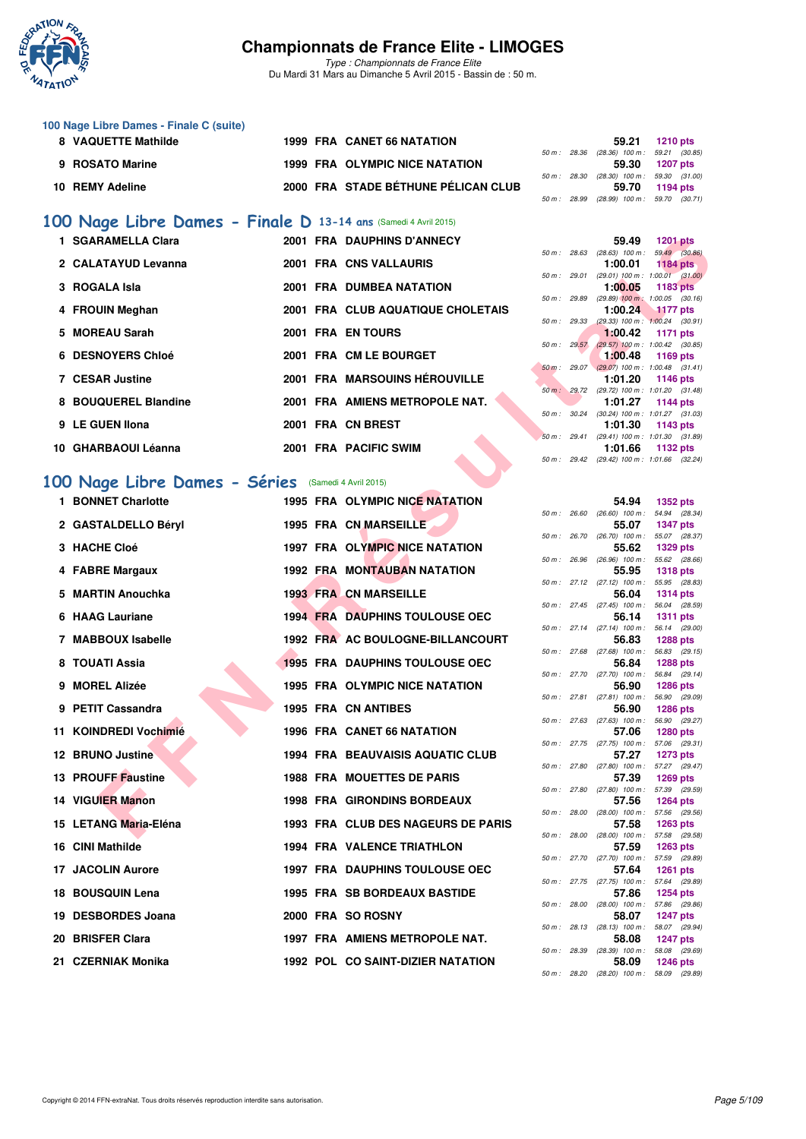

*Type : Championnats de France Elite* Du Mardi 31 Mars au Dimanche 5 Avril 2015 - Bassin de : 50 m.

#### **100 Nage Libre Dames - Finale C (suite)**

| 8 VAQUETTE Mathilde |  | 1999 FRA CANET 66 NATATION          |  | 59.21 1210 pts                             |  |
|---------------------|--|-------------------------------------|--|--------------------------------------------|--|
|                     |  |                                     |  | 50 m: 28.36 (28.36) 100 m: 59.21 (30.85)   |  |
| 9 ROSATO Marine     |  | 1999 FRA OLYMPIC NICE NATATION      |  | 59.30 1207 pts                             |  |
|                     |  |                                     |  | 50 m: 28.30 (28.30) 100 m: 59.30 (31.00)   |  |
| 10 REMY Adeline     |  | 2000 FRA STADE BÉTHUNE PÉLICAN CLUB |  | 59.70 1194 pts                             |  |
|                     |  |                                     |  | 50 m : 28.99 (28.99) 100 m : 59.70 (30.71) |  |

# **[100 Nage Libre Dames - Finale D](http://www.ffnatation.fr/webffn/resultats.php?idact=nat&go=epr&idcpt=27187&idepr=2) 13-14 ans** (Samedi 4 Avril 2015)

| 1 SGARAMELLA Clara   |  | 2001 FRA DAUPHINS D'ANNECY           |              | 59.49                                                       | <b>1201 pts</b> |  |
|----------------------|--|--------------------------------------|--------------|-------------------------------------------------------------|-----------------|--|
| 2 CALATAYUD Levanna  |  | 2001 FRA CNS VALLAURIS               | 50 m : 28.63 | $(28.63)$ 100 m : 59.49 (30.<br>1:00.01                     |                 |  |
|                      |  |                                      | 50 m : 29.01 | $(29.01)$ 100 m : 1:00.01 $(31.$                            | <b>1184 pts</b> |  |
| 3 ROGALA Isla        |  | <b>2001 FRA DUMBEA NATATION</b>      |              | $1:00.05$ 1183 pts                                          |                 |  |
|                      |  |                                      | 50 m : 29.89 | $(29.89)$ 100 m : 1:00.05 (30.                              |                 |  |
| 4 FROUIN Meghan      |  | 2001 FRA CLUB AQUATIQUE CHOLETAIS    |              | 1:00.24 1177 pts                                            |                 |  |
|                      |  |                                      | 50 m : 29.33 | $(29.33)$ 100 m : 1:00.24 (30.                              |                 |  |
| 5 MOREAU Sarah       |  | 2001 FRA EN TOURS                    |              | 1:00.42 1171 pts                                            |                 |  |
|                      |  |                                      |              | 50 m : 29.57 (29.57) 100 m : 1:00.42 (30.                   |                 |  |
| 6 DESNOYERS Chloé    |  | 2001 FRA CM LE BOURGET               |              | 1:00.48 1169 pts                                            |                 |  |
| 7 CESAR Justine      |  | <b>2001 FRA MARSOUINS HÉROUVILLE</b> |              | 50 m : 29.07 (29.07) 100 m : 1:00.48 (31.                   |                 |  |
|                      |  |                                      |              | 1:01.20 1146 pts<br>50 m: 29.72 (29.72) 100 m: 1:01.20 (31. |                 |  |
| 8 BOUQUEREL Blandine |  | 2001 FRA AMIENS METROPOLE NAT.       |              | 1:01.27                                                     | 1144 pts        |  |
|                      |  |                                      | 50 m : 30.24 | $(30.24)$ 100 m : 1:01.27 (31.                              |                 |  |
| 9 LE GUEN Ilona      |  | 2001 FRA CN BREST                    |              | $1:01.30$ 1143 pts                                          |                 |  |
|                      |  |                                      | 50 m: 29.41  | $(29.41)$ 100 m : 1:01.30 (31.                              |                 |  |
| 10 GHARBAOUI Léanna  |  | 2001 FRA PACIFIC SWIM                |              | 1:01.66 1132 pts                                            |                 |  |
|                      |  |                                      |              |                                                             |                 |  |

# **[100 Nage Libre Dames - Séries](http://www.ffnatation.fr/webffn/resultats.php?idact=nat&go=epr&idcpt=27187&idepr=2)** (Samedi 4 Avril 2015)

| 1 SGARAMELLA Clara           |  | <b>2001 FRA DAUPHINS D'ANNECY</b>       |              |              | 59.49                                                 | <b>1201 pts</b>                  |  |
|------------------------------|--|-----------------------------------------|--------------|--------------|-------------------------------------------------------|----------------------------------|--|
| 2 CALATAYUD Levanna          |  | 2001 FRA CNS VALLAURIS                  |              |              | 50 m: 28.63 (28.63) 100 m: 59.49 (30.86)<br>1:00.01   | <b>1184 pts</b>                  |  |
| 3 ROGALA Isla                |  | <b>2001 FRA DUMBEA NATATION</b>         |              | 50 m : 29.01 | $(29.01)$ 100 m : 1:00.01 $(31.00)$<br>1:00.05        | 1183 pts                         |  |
| 4 FROUIN Meghan              |  | 2001 FRA CLUB AQUATIQUE CHOLETAIS       | 50 m : 29.89 |              | $(29.89)$ 100 m : 1:00.05 $(30.16)$<br>1:00.24        | <b>1177 pts</b>                  |  |
|                              |  |                                         | 50 m: 29.33  |              | $(29.33)$ 100 m : 1:00.24 $(30.91)$                   |                                  |  |
| 5 MOREAU Sarah               |  | 2001 FRA EN TOURS                       | 50 m: 29.57  |              | 1:00.42<br>$(29.57)$ 100 m : 1:00.42 $(30.85)$        | 1171 pts                         |  |
| <b>6 DESNOYERS Chloé</b>     |  | 2001 FRA CM LE BOURGET                  |              |              | 1:00.48                                               | 1169 pts                         |  |
| <b>7 CESAR Justine</b>       |  | 2001 FRA MARSOUINS HÉROUVILLE           | 50 m: 29.07  |              | $(29.07)$ 100 m : 1:00.48 $(31.41)$<br>1:01.20        | 1146 pts                         |  |
| 8 BOUQUEREL Blandine         |  | 2001 FRA AMIENS METROPOLE NAT.          |              |              | 50 m: 29.72 (29.72) 100 m: 1:01.20 (31.48)<br>1:01.27 | 1144 pts                         |  |
|                              |  |                                         |              |              | 50 m: 30.24 (30.24) 100 m: 1:01.27 (31.03)            |                                  |  |
| 9 LE GUEN Ilona              |  | 2001 FRA CN BREST                       |              |              | 1:01.30<br>50 m: 29.41 (29.41) 100 m: 1:01.30 (31.89) | 1143 pts                         |  |
| 10 GHARBAOUI Léanna          |  | 2001 FRA PACIFIC SWIM                   |              |              | 1:01.66                                               | 1132 pts                         |  |
|                              |  |                                         |              |              | 50 m: 29.42 (29.42) 100 m: 1:01.66 (32.24)            |                                  |  |
| 00 Nage Libre Dames - Séries |  | (Samedi 4 Avril 2015)                   |              |              |                                                       |                                  |  |
| 1 BONNET Charlotte           |  | 1995 FRA OLYMPIC NICE NATATION          |              |              | 54.94                                                 | 1352 pts                         |  |
| 2 GASTALDELLO Béryl          |  | 1995 FRA CN MARSEILLE                   | 50 m: 26.60  |              | $(26.60)$ 100 m : 54.94 $(28.34)$<br>55.07            | <b>1347 pts</b>                  |  |
| 3 HACHE Cloé                 |  | 1997 FRA OLYMPIC NICE NATATION          |              |              | 50 m: 26.70 (26.70) 100 m: 55.07 (28.37)<br>55.62     | <b>1329 pts</b>                  |  |
|                              |  |                                         | 50 m : 26.96 |              | $(26.96)$ 100 m :                                     | 55.62 (28.66)                    |  |
| 4 FABRE Margaux              |  | <b>1992 FRA MONTAUBAN NATATION</b>      |              |              | 55.95<br>50 m : 27.12 (27.12) 100 m :                 | <b>1318 pts</b><br>55.95 (28.83) |  |
| 5 MARTIN Anouchka            |  | <b>1993 FRA CN MARSEILLE</b>            |              |              | 56.04                                                 | <b>1314 pts</b>                  |  |
| 6 HAAG Lauriane              |  | <b>1994 FRA DAUPHINS TOULOUSE OEC</b>   |              |              | $50 m$ : 27.45 (27.45) $100 m$ :<br>56.14             | 56.04 (28.59)<br><b>1311 pts</b> |  |
|                              |  |                                         |              |              | $50 m$ : 27.14 (27.14) 100 m :                        | 56.14 (29.00)                    |  |
| 7 MABBOUX Isabelle           |  | 1992 FRA AC BOULOGNE-BILLANCOURT        |              |              | 56.83<br>50 m : 27.68 (27.68) 100 m :                 | <b>1288 pts</b><br>56.83 (29.15) |  |
| 8 TOUATI Assia               |  | 1995 FRA DAUPHINS TOULOUSE OEC          |              |              | 56.84<br>50 m : 27.70 (27.70) 100 m :                 | <b>1288 pts</b><br>56.84 (29.14) |  |
| 9 MOREL Alizée               |  | <b>1995 FRA OLYMPIC NICE NATATION</b>   |              |              | 56.90                                                 | <b>1286 pts</b>                  |  |
| 9 PETIT Cassandra            |  | <b>1995 FRA CN ANTIBES</b>              |              |              | 50 m : 27.81 (27.81) 100 m :<br>56.90                 | 56.90 (29.09)<br><b>1286 pts</b> |  |
|                              |  |                                         | 50 m: 27.63  |              | $(27.63)$ 100 m :                                     | 56.90 (29.27)                    |  |
| 11 KOINDREDI Vochimié        |  | <b>1996 FRA CANET 66 NATATION</b>       |              |              | 57.06<br>50 m: 27.75 (27.75) 100 m: 57.06 (29.31)     | <b>1280 pts</b>                  |  |
| <b>12 BRUNO Justine</b>      |  | <b>1994 FRA BEAUVAISIS AQUATIC CLUB</b> |              |              | 57.27<br>50 m: 27.80 (27.80) 100 m: 57.27 (29.47)     | 1273 pts                         |  |
| 13 PROUFF Faustine           |  | 1988 FRA MOUETTES DE PARIS              |              |              | 57.39                                                 | <b>1269 pts</b>                  |  |
| 14 VIGUIER Manon             |  | <b>1998 FRA GIRONDINS BORDEAUX</b>      |              |              | 50 m: 27.80 (27.80) 100 m: 57.39 (29.59)<br>57.56     | <b>1264 pts</b>                  |  |
|                              |  |                                         |              |              | 50 m: 28.00 (28.00) 100 m: 57.56 (29.56)              |                                  |  |
| 15 LETANG Maria-Eléna        |  | 1993 FRA CLUB DES NAGEURS DE PARIS      |              |              | 57.58<br>50 m: 28.00 (28.00) 100 m: 57.58 (29.58)     | <b>1263 pts</b>                  |  |
| 16 CINI Mathilde             |  | <b>1994 FRA VALENCE TRIATHLON</b>       |              |              | 57.59                                                 | <b>1263 pts</b>                  |  |
| 17 JACOLIN Aurore            |  | <b>1997 FRA DAUPHINS TOULOUSE OEC</b>   |              |              | 50 m : 27.70 (27.70) 100 m :<br>57.64                 | 57.59 (29.89)<br><b>1261 pts</b> |  |
| 18 BOUSQUIN Lena             |  | 1995 FRA SB BORDEAUX BASTIDE            |              |              | 50 m: 27.75 (27.75) 100 m: 57.64 (29.89)<br>57.86     | <b>1254 pts</b>                  |  |
|                              |  |                                         |              |              | 50 m : 28.00 (28.00) 100 m :                          | 57.86 (29.86)                    |  |
| 19 DESBORDES Joana           |  | 2000 FRA SO ROSNY                       |              |              | 58.07<br>50 m : 28.13 (28.13) 100 m :                 | <b>1247 pts</b><br>58.07 (29.94) |  |
| 20 BRISFER Clara             |  | 1997 FRA AMIENS METROPOLE NAT.          |              |              | 58.08                                                 | <b>1247 pts</b>                  |  |
| 21 CZERNIAK Monika           |  | 1992 POL CO SAINT-DIZIER NATATION       |              |              | 50 m : 28.39 (28.39) 100 m :<br>58.09                 | 58.08 (29.69)<br><b>1246 pts</b> |  |
|                              |  |                                         |              |              |                                                       |                                  |  |

|                | 59.49                      | 1201 pts                          |
|----------------|----------------------------|-----------------------------------|
| 50 m: 28.63    |                            | $(28.63)$ 100 m : 59.49 $(30.86)$ |
|                |                            | $1:00.01$ 1184 pts                |
| 50 m: 29.01    | $(29.01)$ 100 m :          | $1:00.01$ $(31.00)$               |
|                | 1:00.05                    | 1183 pts                          |
| 50 m: 29.89    | $(29.89)$ 100 m :          | $1:00.05$ $(30.16)$               |
|                | 1:00.24                    | <b>1177 pts</b>                   |
| $50 m$ : 29.33 | $(29.33)$ 100 m :          | $1:00.24$ (30.91)                 |
|                | 1:00.42                    | 1171 pts                          |
| 50 m: 29.57    | $(29.57)$ 100 m :          | $1:00.42$ $(30.85)$               |
|                | 1:00.48                    | 1169 pts                          |
| 50 m: 29.07    | $(29.07) 100 m$ :          | $1:00.48$ $(31.41)$               |
|                | 1:01.20                    | 1146 pts                          |
| $50 m$ : 29.72 | $(29.72)$ 100 m :          | 1:01.20 (31.48)                   |
|                | 1:01.27                    | 1144 pts                          |
| 50 m :         | 30.24 (30.24) 100 m :      | 1:01.27 (31.03)                   |
|                |                            | $1:01.30$ 1143 pts                |
|                | 50 m: 29.41 (29.41) 100 m: | 1:01.30 (31.89)                   |
|                |                            | $1:01.66$ 1132 pts                |
| 50 m: 29.42    | $(29.42)$ 100 m :          | 1:01.66 (32.24)                   |

|             |       | 54.94             | 1352 pts        |
|-------------|-------|-------------------|-----------------|
| 50 m: 26.60 |       | $(26.60)$ 100 m : | 54.94 (28.34)   |
|             |       | 55.07             | 1347 pts        |
| $50 m$ :    | 26.70 | $(26.70)$ 100 m : | 55.07 (28.37)   |
|             |       | 55.62             | <b>1329 pts</b> |
| $50 m$ :    | 26.96 | $(26.96)$ 100 m : | 55.62 (28.66)   |
|             |       | 55.95             | 1318 pts        |
| $50 m$ :    | 27.12 | $(27.12)$ 100 m : | 55.95 (28.83)   |
|             |       | 56.04             | 1314 pts        |
| $50 m$ :    | 27.45 | $(27.45)$ 100 m : | 56.04 (28.59)   |
|             |       | 56.14             | 1311 pts        |
| $50 m$ :    | 27.14 | $(27.14)$ 100 m : | 56.14 (29.00)   |
|             |       | 56.83             | 1288 pts        |
| $50 m$ :    | 27.68 | $(27.68)$ 100 m : | 56.83 (29.15)   |
|             |       | 56.84             | 1288 pts        |
| $50 m$ :    | 27.70 | $(27.70)$ 100 m : | 56.84 (29.14)   |
|             |       | 56.90             | 1286 pts        |
| $50 m$ :    | 27.81 | $(27.81)$ 100 m : | 56.90 (29.09)   |
|             |       | 56.90             | 1286 pts        |
| $50 m$ :    | 27.63 | $(27.63)$ 100 m : | 56.90 (29.27)   |
|             |       | 57.06             | 1280 pts        |
| $50 m$ :    | 27.75 | $(27.75)$ 100 m : | 57.06 (29.31)   |
|             |       | 57.27             | <b>1273 pts</b> |
| $50 m$ :    | 27.80 | $(27.80)$ 100 m : | 57.27 (29.47)   |
|             |       | 57.39             | 1269 pts        |
| 50 m:       | 27.80 | $(27.80)$ 100 m : | 57.39 (29.59)   |
|             |       | 57.56             | 1264 pts        |
| 50 m:       | 28.00 | $(28.00)$ 100 m : | 57.56 (29.56)   |
|             |       | 57.58             | 1263 pts        |
| $50 m$ :    | 28.00 | $(28.00)$ 100 m : | 57.58 (29.58)   |
|             |       | 57.59             | 1263 pts        |
| $50 m$ :    | 27.70 | $(27.70)$ 100 m : | 57.59 (29.89)   |
|             |       | 57.64             | 1261 pts        |
| $50 m$ :    | 27.75 | $(27.75)$ 100 m : | 57.64 (29.89)   |
|             |       | 57.86             | 1254 pts        |
| $50 m$ :    | 28.00 | $(28.00)$ 100 m : | 57.86 (29.86)   |
|             |       | 58.07             | 1247 pts        |
| $50 m$ :    | 28.13 | $(28.13)$ 100 m : | 58.07 (29.94)   |
|             |       | 58.08             | <b>1247 pts</b> |
| $50 m$ :    | 28.39 | $(28.39)$ 100 m : | 58.08 (29.69)   |
|             |       | 58.09             | 1246 pts        |
| $50 m$ :    | 28.20 | $(28.20)$ 100 m : | 58.09 (29.89)   |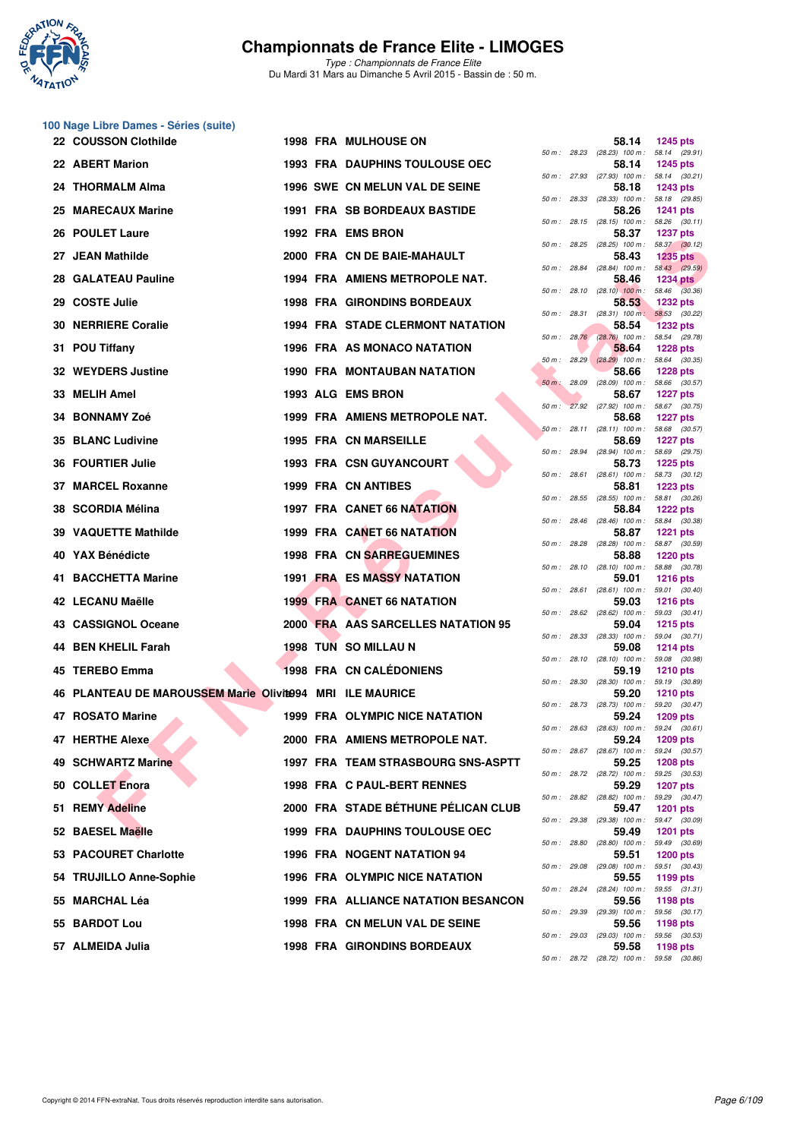

|    | 100 Nage Libre Dames - Séries (suite)                     |  |                                         |              |              |                                                     |                                  |
|----|-----------------------------------------------------------|--|-----------------------------------------|--------------|--------------|-----------------------------------------------------|----------------------------------|
|    | 22 COUSSON Clothilde                                      |  | <b>1998 FRA MULHOUSE ON</b>             | 50 m: 28.23  |              | 58.14<br>$(28.23)$ 100 m : 58.14 $(29.91)$          | <b>1245 pts</b>                  |
|    | 22 ABERT Marion                                           |  | <b>1993 FRA DAUPHINS TOULOUSE OEC</b>   |              |              | 58.14<br>50 m: 27.93 (27.93) 100 m: 58.14 (30.21)   | <b>1245 pts</b>                  |
|    | 24 THORMALM Alma                                          |  | 1996 SWE CN MELUN VAL DE SEINE          |              |              | 58.18                                               | 1243 pts                         |
|    | 25 MARECAUX Marine                                        |  | <b>1991 FRA SB BORDEAUX BASTIDE</b>     |              |              | 50 m: 28.33 (28.33) 100 m:<br>58.26                 | 58.18 (29.85)<br><b>1241 pts</b> |
|    | 26 POULET Laure                                           |  | 1992 FRA EMS BRON                       |              |              | 50 m: 28.15 (28.15) 100 m: 58.26 (30.11)<br>58.37   | <b>1237 pts</b>                  |
|    | 27 JEAN Mathilde                                          |  | 2000 FRA CN DE BAIE-MAHAULT             |              |              | 50 m: 28.25 (28.25) 100 m: 58.37 (30.12)<br>58.43   | <b>1235 pts</b>                  |
| 28 | <b>GALATEAU Pauline</b>                                   |  | 1994 FRA AMIENS METROPOLE NAT.          | 50 m : 28.84 |              | $(28.84)$ 100 m : 58.43 $(29.59)$<br>58.46          | <b>1234 pts</b>                  |
| 29 | <b>COSTE Julie</b>                                        |  | <b>1998 FRA GIRONDINS BORDEAUX</b>      |              |              | 50 m : 28.10 (28.10) 100 m : 58.46 (30.36)<br>58.53 | <b>1232 pts</b>                  |
| 30 | <b>NERRIERE Coralie</b>                                   |  | <b>1994 FRA STADE CLERMONT NATATION</b> |              |              | 50 m: 28.31 (28.31) 100 m: 58.53 (30.22)<br>58.54   | <b>1232 pts</b>                  |
| 31 | <b>POU Tiffany</b>                                        |  | 1996 FRA AS MONACO NATATION             |              |              | 50 m : 28.76 (28.76) 100 m : 58.54 (29.78)<br>58.64 | <b>1228 pts</b>                  |
|    | 32 WEYDERS Justine                                        |  | 1990 FRA MONTAUBAN NATATION             |              | 50 m: 28.29  | $(28.29)$ 100 m :<br>58.66                          | 58.64 (30.35)<br><b>1228 pts</b> |
| 33 | <b>MELIH Amel</b>                                         |  | 1993 ALG EMS BRON                       |              |              | 50 m : 28.09 (28.09) 100 m : 58.66 (30.57)<br>58.67 | <b>1227 pts</b>                  |
|    |                                                           |  |                                         |              |              | 50 m: 27.92 (27.92) 100 m: 58.67 (30.75)            |                                  |
|    | 34 BONNAMY Zoé                                            |  | 1999 FRA AMIENS METROPOLE NAT.          |              |              | 58.68<br>50 m: 28.11 (28.11) 100 m: 58.68 (30.57)   | <b>1227 pts</b>                  |
|    | 35 BLANC Ludivine                                         |  | <b>1995 FRA CN MARSEILLE</b>            |              |              | 58.69<br>50 m : 28.94 (28.94) 100 m : 58.69 (29.75) | <b>1227 pts</b>                  |
|    | 36 FOURTIER Julie                                         |  | <b>1993 FRA CSN GUYANCOURT</b>          | 50 m : 28.61 |              | 58.73<br>$(28.61)$ 100 m : 58.73 $(30.12)$          | <b>1225 pts</b>                  |
|    | 37 MARCEL Roxanne                                         |  | 1999 FRA CN ANTIBES                     |              |              | 58.81<br>50 m: 28.55 (28.55) 100 m: 58.81 (30.26)   | <b>1223 pts</b>                  |
|    | 38 SCORDIA Mélina                                         |  | 1997 FRA CANET 66 NATATION              |              |              | 58.84<br>50 m: 28.46 (28.46) 100 m: 58.84 (30.38)   | <b>1222 pts</b>                  |
|    | 39 VAQUETTE Mathilde                                      |  | 1999 FRA CANET 66 NATATION              | 50 m: 28.28  |              | 58.87<br>$(28.28)$ 100 m : 58.87 $(30.59)$          | <b>1221 pts</b>                  |
|    | 40 YAX Bénédicte                                          |  | 1998 FRA CN SARREGUEMINES               |              |              | 58.88                                               | <b>1220 pts</b>                  |
|    | 41 BACCHETTA Marine                                       |  | 1991 FRA ES MASSY NATATION              |              |              | 50 m: 28.10 (28.10) 100 m: 58.88 (30.78)<br>59.01   | <b>1216 pts</b>                  |
|    | 42 LECANU Maëlle                                          |  | <b>1999 FRA CANET 66 NATATION</b>       | 50 m: 28.61  |              | $(28.61)$ 100 m : 59.01 $(30.40)$<br>59.03          | <b>1216 pts</b>                  |
|    | 43 CASSIGNOL Oceane                                       |  | 2000 FRA AAS SARCELLES NATATION 95      |              |              | 50 m: 28.62 (28.62) 100 m: 59.03 (30.41)<br>59.04   | <b>1215 pts</b>                  |
|    | 44 BEN KHELIL Farah                                       |  | <b>1998 TUN SO MILLAU N</b>             | 50 m: 28.33  |              | $(28.33)$ 100 m :<br>59.08                          | 59.04 (30.71)<br><b>1214 pts</b> |
|    | 45 TEREBO Emma                                            |  | <b>1998 FRA CN CALÉDONIENS</b>          |              |              | 50 m: 28.10 (28.10) 100 m: 59.08 (30.98)<br>59.19   | <b>1210 pts</b>                  |
|    | 46 PLANTEAU DE MAROUSSEM Marie Olivite994 MRI ILE MAURICE |  |                                         | 50 m : 28.30 |              | $(28.30)$ 100 m : 59.19 $(30.89)$<br>59.20          | <b>1210 pts</b>                  |
|    | 47 ROSATO Marine                                          |  | 1999 FRA OLYMPIC NICE NATATION          | 50 m : 28.73 |              | $(28.73)$ 100 m : 59.20 $(30.47)$<br>59.24          | <b>1209 pts</b>                  |
|    | <b>47 HERTHE Alexe</b>                                    |  | 2000 FRA AMIENS METROPOLE NAT.          |              |              | 50 m: 28.63 (28.63) 100 m: 59.24 (30.61)<br>59.24   | <b>1209 pts</b>                  |
|    | 49 SCHWARTZ Marine                                        |  | 1997 FRA TEAM STRASBOURG SNS-ASPTT      |              |              | 50 m: 28.67 (28.67) 100 m: 59.24 (30.57)<br>59.25   |                                  |
|    |                                                           |  |                                         |              |              | 50 m: 28.72 (28.72) 100 m: 59.25 (30.53)            | <b>1208 pts</b>                  |
|    | 50 COLLET Enora                                           |  | 1998 FRA C PAUL-BERT RENNES             |              |              | 59.29<br>50 m: 28.82 (28.82) 100 m: 59.29 (30.47)   | <b>1207 pts</b>                  |
|    | 51 REMY Adeline                                           |  | 2000 FRA STADE BÉTHUNE PÉLICAN CLUB     |              |              | 59.47<br>50 m : 29.38 (29.38) 100 m :               | <b>1201 pts</b><br>59.47 (30.09) |
|    | 52 BAESEL Maëlle                                          |  | <b>1999 FRA DAUPHINS TOULOUSE OEC</b>   |              | 50 m : 28.80 | 59.49<br>$(28.80)$ 100 m : 59.49 $(30.69)$          | 1201 pts                         |
|    | 53 PACOURET Charlotte                                     |  | <b>1996 FRA NOGENT NATATION 94</b>      |              |              | 59.51<br>50 m: 29.08 (29.08) 100 m: 59.51 (30.43)   | <b>1200 pts</b>                  |
|    | 54 TRUJILLO Anne-Sophie                                   |  | 1996 FRA OLYMPIC NICE NATATION          |              |              | 59.55<br>50 m : 28.24 (28.24) 100 m :               | 1199 pts<br>59.55 (31.31)        |
|    | 55 MARCHAL Léa                                            |  | 1999 FRA ALLIANCE NATATION BESANCON     |              |              | 59.56                                               | 1198 pts                         |
|    | 55 BARDOT Lou                                             |  | 1998 FRA CN MELUN VAL DE SEINE          |              |              | 50 m : 29.39 (29.39) 100 m : 59.56 (30.17)<br>59.56 | 1198 pts                         |
|    | 57 ALMEIDA Julia                                          |  | 1998 FRA GIRONDINS BORDEAUX             |              |              | 50 m: 29.03 (29.03) 100 m: 59.56 (30.53)<br>59.58   | 1198 pts                         |

|              |       | 58.14                      | 1245 pts                            |
|--------------|-------|----------------------------|-------------------------------------|
| 50 m :       | 28.23 | $(28.23)$ 100 m :          | 58.14<br>(29.91)                    |
|              |       | 58.14                      | 1245 pts                            |
| $50 m$ :     | 27.93 | $(27.93)$ 100 m :<br>58.18 | 58.14<br>(30.21)<br>1243 pts        |
| $50 m$ :     | 28.33 | $(28.33)$ 100 m :          | 58.18<br>(29.85)                    |
| 50 m :       | 28.15 | 58.26<br>$(28.15)$ 100 m : | 1241 pts<br>58.26<br>(30.11)        |
|              |       | 58.37                      | <b>1237 pts</b>                     |
| 50 m :       | 28.25 | $(28.25)$ 100 m :          | 58.37<br>(30.12)                    |
| $50 m$ :     | 28.84 | 58.43<br>$(28.84)$ 100 m : | <b>1235 pts</b><br>58.43 (29.59)    |
|              |       | 58.46                      | <b>1234 pts</b>                     |
| $50 m$ :     | 28.10 | $(28.10)$ 100 m :<br>58.53 | 58.46<br>(30.36)<br>1232 pts        |
| $50 m$ :     | 28.31 | $(28.31)$ 100 m;           | 58.53<br>(30.22)                    |
|              |       | 58.54                      | <b>1232 pts</b>                     |
| $50 m$ :     | 28.76 | $(28.76)$ 100 m :<br>58.64 | 58.54<br>(29.78)<br><b>1228 pts</b> |
| 50 m :       | 28.29 | $(28.29)$ 100 m :          | 58.64<br>(30.35)                    |
|              |       | 58.66                      | <b>1228 pts</b>                     |
| $50 m$ :     | 28.09 | $(28.09)$ 100 m :          | 58.66<br>(30.57)                    |
| $50 m$ :     | 27.92 | 58.67<br>$(27.92)$ 100 m : | 1227 pts<br>58.67<br>(30.75)        |
|              |       | 58.68                      | <b>1227 pts</b>                     |
| $50 m$ :     | 28.11 | $(28.11)$ 100 m :          | 58.68<br>(30.57)                    |
| $50 m$ :     | 28.94 | 58.69<br>$(28.94)$ 100 m : | 1227 pts<br>58.69<br>(29.75)        |
|              |       | 58.73                      | 1225 pts                            |
| $50 m$ :     | 28.61 | $(28.61)$ 100 m :          | 58.73<br>(30.12)                    |
| $50 m$ :     | 28.55 | 58.81<br>$(28.55)$ 100 m : | 1223 pts<br>58.81<br>(30.26)        |
|              |       | 58.84                      | <b>1222 pts</b>                     |
| $50 m$ :     | 28.46 | $(28.46)$ 100 m :          | 58.84<br>(30.38)                    |
|              |       | 58.87                      | 1221 pts                            |
| $50 m$ :     | 28.28 | $(28.28)$ 100 m :<br>58.88 | 58.87 (30.59)<br>1220 pts           |
| 50 m :       | 28.10 | $(28.10)$ 100 m :          | 58.88<br>(30.78)                    |
| $50 m$ :     | 28.61 | 59.01<br>$(28.61)$ 100 m : | 1216 pts<br>59.01<br>(30.40)        |
|              |       | 59.03                      | <b>1216 pts</b>                     |
| $50 m$ :     | 28.62 | $(28.62)$ 100 m :          | 59.03<br>(30.41)                    |
| 50 m :       | 28.33 | 59.04<br>$(28.33)$ 100 m : | 1215 pts<br>59.04<br>(30.71)        |
|              |       | 59.08                      | 1214 pts                            |
| $50 m$ :     | 28.10 | $(28.10)$ 100 m :          | 59.08<br>(30.98)                    |
| $50 m$ :     | 28.30 | 59.19<br>$(28.30)$ 100 m : | 1210 pts<br>59.19<br>(30.89)        |
|              |       | 59.20                      | 1210 pts                            |
| $50 m$ :     | 28.73 | $(28.73)$ 100 m :          | 59.20<br>(30.47)                    |
| $50 m$ :     | 28.63 | 59.24<br>$(28.63)$ 100 m : | 1209 pts<br>59.24<br>(30.61)        |
|              |       | 59.24                      | 1209 pts                            |
| $50 m$ :     | 28.67 | $(28.67)$ 100 m :          | 59.24<br>(30.57)                    |
| $50 m$ :     | 28.72 | 59.25<br>$(28.72)$ 100 m : | 1208 pts<br>59.25<br>(30.53)        |
|              |       | 59.29                      | <b>1207 pts</b>                     |
| $50 m$ :     | 28.82 | $(28.82)$ 100 m :          | 59.29<br>(30.47)                    |
| $50 m$ :     | 29.38 | 59.47<br>$(29.38)$ 100 m : | 1201<br>pts<br>59.47<br>(30.09)     |
|              |       | 59.49                      | 1201<br>pts                         |
| $50 m$ :     | 28.80 | $(28.80)$ 100 m :          | 59.49<br>(30.69)                    |
| $50 m$ :     | 29.08 | 59.51<br>$(29.08)$ 100 m : | <b>1200 pts</b><br>59.51<br>(30.43) |
|              |       | 59.55                      | 1199 pts                            |
| $50 m$ :     | 28.24 | $(28.24)$ 100 m :          | 59.55<br>(31.31)                    |
| 50 m :       | 29.39 | 59.56<br>$(29.39)$ 100 m : | 1198 pts<br>59.56<br>(30.17)        |
|              |       | 59.56                      | <b>1198 pts</b>                     |
| $50 m$ :     | 29.03 | $(29.03)$ 100 m :          | 59.56<br>(30.53)                    |
| 50 m : 28.72 |       | 59.58<br>$(28.72)$ 100 m : | 1198 pts<br>59.58<br>(30.86)        |
|              |       |                            |                                     |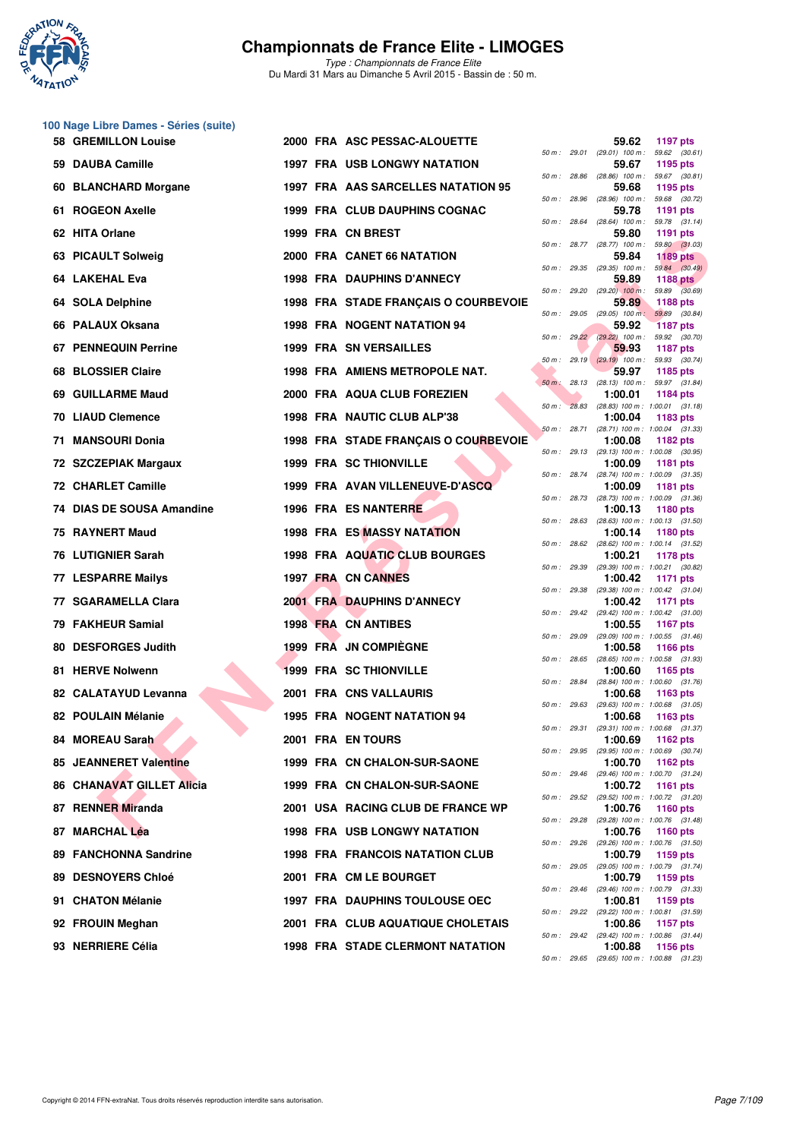

| 100 Nage Libre Dames - Séries (suite) |  |  |  |
|---------------------------------------|--|--|--|
|---------------------------------------|--|--|--|

|     | 58 GREMILLON Louise       |  | 2000 FRA ASC PESSAC-ALOUETTE            |              |              | 59.62                                                 | <b>1197 pts</b>                  |  |
|-----|---------------------------|--|-----------------------------------------|--------------|--------------|-------------------------------------------------------|----------------------------------|--|
|     | 59 DAUBA Camille          |  | <b>1997 FRA USB LONGWY NATATION</b>     | 50 m: 29.01  |              | $(29.01)$ 100 m : 59.62 $(30.61)$<br>59.67            | 1195 pts                         |  |
|     | 60 BLANCHARD Morgane      |  | 1997 FRA AAS SARCELLES NATATION 95      | 50 m: 28.86  |              | $(28.86)$ 100 m : 59.67 $(30.81)$<br>59.68            | 1195 pts                         |  |
|     | 61 ROGEON Axelle          |  | 1999 FRA CLUB DAUPHINS COGNAC           | 50 m: 28.96  |              | $(28.96)$ 100 m :<br>59.78                            | 59.68 (30.72)<br>1191 pts        |  |
|     | 62 HITA Orlane            |  | 1999 FRA CN BREST                       | 50 m: 28.64  |              | $(28.64)$ 100 m : 59.78 $(31.14)$<br>59.80            | 1191 pts                         |  |
|     | 63 PICAULT Solweig        |  | 2000 FRA CANET 66 NATATION              |              |              | 50 m : 28.77 (28.77) 100 m :<br>59.84                 | 59.80 (31.03)<br><b>1189 pts</b> |  |
| 64. | <b>LAKEHAL Eva</b>        |  | <b>1998 FRA DAUPHINS D'ANNECY</b>       | 50 m: 29.35  |              | $(29.35)$ 100 m : 59.84 $(30.49)$<br>59.89            | 1188 pts                         |  |
|     | 64 SOLA Delphine          |  | 1998 FRA STADE FRANÇAIS O COURBEVOIE    |              | 50 m : 29.20 | $(29.20)$ 100 m :<br>59.89                            | 59.89 (30.69)<br><b>1188 pts</b> |  |
|     | 66 PALAUX Oksana          |  | 1998 FRA NOGENT NATATION 94             | 50 m: 29.05  |              | $(29.05)$ 100 m : 59.89 $(30.84)$<br>59.92            | <b>1187 pts</b>                  |  |
|     | 67 PENNEQUIN Perrine      |  | <b>1999 FRA SN VERSAILLES</b>           |              |              | 50 m : 29.22 (29.22) 100 m : 59.92 (30.70)<br>59.93   | 1187 pts                         |  |
|     | 68 BLOSSIER Claire        |  | 1998 FRA AMIENS METROPOLE NAT.          |              |              | $50 m$ : 29.19 $(29.19)$ 100 m:<br>59.97              | 59.93 (30.74)<br>1185 pts        |  |
| 69  | <b>GUILLARME Maud</b>     |  | 2000 FRA AQUA CLUB FOREZIEN             |              |              | 50 m: 28.13 (28.13) 100 m: 59.97 (31.84)<br>1:00.01   | 1184 pts                         |  |
|     | 70 LIAUD Clemence         |  | 1998 FRA NAUTIC CLUB ALP'38             | $50 m$ :     | 28.83        | $(28.83)$ 100 m : 1:00.01 $(31.18)$<br>1:00.04        | 1183 pts                         |  |
| 71  | <b>MANSOURI Donia</b>     |  | 1998 FRA STADE FRANÇAIS O COURBEVOIE    |              | 50 m: 28.71  | (28.71) 100 m: 1:00.04 (31.33)<br>1:00.08             | 1182 pts                         |  |
|     | 72 SZCZEPIAK Margaux      |  | <b>1999 FRA SC THIONVILLE</b>           |              |              | 50 m: 29.13 (29.13) 100 m: 1:00.08 (30.95)<br>1:00.09 | <b>1181 pts</b>                  |  |
|     | 72 CHARLET Camille        |  | 1999 FRA AVAN VILLENEUVE-D'ASCQ         |              | 50 m : 28.74 | $(28.74)$ 100 m : 1:00.09 $(31.35)$<br>1:00.09        | 1181 pts                         |  |
|     | 74 DIAS DE SOUSA Amandine |  | 1996 FRA ES NANTERRE                    |              | 50 m : 28.73 | (28.73) 100 m: 1:00.09 (31.36)<br>1:00.13             | 1180 pts                         |  |
|     | 75 RAYNERT Maud           |  | <b>1998 FRA ES MASSY NATATION</b>       | 50 m: 28.63  |              | $(28.63)$ 100 m : 1:00.13 $(31.50)$<br>1:00.14        | <b>1180 pts</b>                  |  |
|     | 76 LUTIGNIER Sarah        |  | 1998 FRA AQUATIC CLUB BOURGES           | 50 m: 28.62  |              | (28.62) 100 m: 1:00.14 (31.52)<br>1:00.21             | 1178 pts                         |  |
|     | 77 LESPARRE Mailys        |  | 1997 FRA CN CANNES                      |              | 50 m : 29.39 | (29.39) 100 m: 1:00.21 (30.82)<br>1:00.42             | <b>1171 pts</b>                  |  |
|     | 77 SGARAMELLA Clara       |  | <b>2001 FRA DAUPHINS D'ANNECY</b>       | 50 m: 29.38  |              | (29.38) 100 m : 1:00.42 (31.04)<br>1:00.42            | 1171 pts                         |  |
|     | 79 FAKHEUR Samial         |  | 1998 FRA CN ANTIBES                     |              |              | 50 m: 29.42 (29.42) 100 m: 1:00.42 (31.00)<br>1:00.55 | <b>1167 pts</b>                  |  |
|     | 80 DESFORGES Judith       |  | 1999 FRA JN COMPIEGNE                   | 50 m : 29.09 |              | (29.09) 100 m: 1:00.55 (31.46)<br>1:00.58             | <b>1166 pts</b>                  |  |
|     | 81 HERVE Nolwenn          |  | <b>1999 FRA SC THIONVILLE</b>           |              | 50 m: 28.65  | $(28.65)$ 100 m : 1:00.58 $(31.93)$<br>1:00.60        | 1165 pts                         |  |
|     | 82 CALATAYUD Levanna      |  | 2001 FRA CNS VALLAURIS                  | 50 m : 28.84 |              | (28.84) 100 m : 1:00.60 (31.76)<br>1:00.68            | 1163 pts                         |  |
|     | 82 POULAIN Mélanie        |  | 1995 FRA NOGENT NATATION 94             |              | 50 m : 29.63 | $(29.63)$ 100 m : 1:00.68 $(31.05)$<br>1:00.68        | 1163 pts                         |  |
|     | 84 MOREAU Sarah           |  | 2001 FRA EN TOURS                       |              | 50 m : 29.31 | (29.31) 100 m: 1:00.68 (31.37)<br>1:00.69             | 1162 pts                         |  |
|     | 85 JEANNERET Valentine    |  | 1999 FRA CN CHALON-SUR-SAONE            |              |              | 50 m: 29.95 (29.95) 100 m: 1:00.69 (30.74)<br>1:00.70 | 1162 $pts$                       |  |
|     | 86 CHANAVAT GILLET Alicia |  | 1999 FRA CN CHALON-SUR-SAONE            |              |              | 50 m: 29.46 (29.46) 100 m: 1:00.70 (31.24)<br>1:00.72 | 1161 pts                         |  |
|     | 87 RENNER Miranda         |  | 2001 USA RACING CLUB DE FRANCE WP       |              |              | 50 m: 29.52 (29.52) 100 m: 1:00.72 (31.20)<br>1:00.76 | <b>1160 pts</b>                  |  |
|     | 87 MARCHAL Léa            |  | <b>1998 FRA USB LONGWY NATATION</b>     |              | 50 m : 29.28 | (29.28) 100 m: 1:00.76 (31.48)<br>1:00.76             | 1160 pts                         |  |
| 89. | <b>FANCHONNA Sandrine</b> |  | <b>1998 FRA FRANCOIS NATATION CLUB</b>  |              | 50 m : 29.26 | (29.26) 100 m: 1:00.76 (31.50)<br>1:00.79             | 1159 pts                         |  |
|     | 89 DESNOYERS Chloé        |  | 2001 FRA CM LE BOURGET                  |              |              | 50 m: 29.05 (29.05) 100 m: 1:00.79 (31.74)<br>1:00.79 | 1159 pts                         |  |
| 91. | <b>CHATON Mélanie</b>     |  | <b>1997 FRA DAUPHINS TOULOUSE OEC</b>   |              |              | 50 m: 29.46 (29.46) 100 m: 1:00.79 (31.33)<br>1:00.81 | 1159 pts                         |  |
|     | 92 FROUIN Meghan          |  | 2001 FRA CLUB AQUATIQUE CHOLETAIS       |              |              | 50 m: 29.22 (29.22) 100 m: 1:00.81 (31.59)<br>1:00.86 | <b>1157 pts</b>                  |  |
|     | 93 NERRIERE Célia         |  | <b>1998 FRA STADE CLERMONT NATATION</b> |              |              | 50 m: 29.42 (29.42) 100 m: 1:00.86 (31.44)<br>1:00.88 | 1156 pts                         |  |
|     |                           |  |                                         |              |              | 50 m: 29.65 (29.65) 100 m: 1:00.88 (31.23)            |                                  |  |

|          |       | 59.62                        | 1197 pts                            |
|----------|-------|------------------------------|-------------------------------------|
| 50 m :   | 29.01 | $(29.01)$ 100 m :            | 59.62<br>(30.61)                    |
|          |       | 59.67                        | 1195 pts                            |
| $50 m$ : | 28.86 | $(28.86)$ 100 m :<br>59.68   | 59.67<br>(30.81)<br>1195 pts        |
| $50 m$ : | 28.96 | $(28.96)$ 100 m :            | 59.68<br>(30.72)                    |
|          |       | 59.78                        | 1191<br>pts                         |
| $50 m$ : | 28.64 | $(28.64)$ 100 m :<br>59.80   | (31.14)<br>59.78<br>1191<br>pts     |
| $50 m$ : | 28.77 | $(28.77)$ 100 m :            | 59.80<br>(31.03)                    |
|          |       | 59.84                        | <b>1189 pts</b>                     |
| $50 m$ : | 29.35 | $(29.35)$ 100 m :<br>59.89   | 59.84<br>(30.49)<br>1188 pts        |
| $50 m$ : | 29.20 | $(29.20)$ 100 m :            | 59.89<br>(30.69)                    |
| $50 m$ : |       | 59.89                        | 1188 pts                            |
|          | 29.05 | $(29.05)$ 100 m;<br>59.92    | 59.89<br>(30.84)<br><b>1187 pts</b> |
| 50 m :   | 29.22 | $(29.22)$ 100 m :            | 59.92<br>(30.70)                    |
|          |       | 59.93                        | <b>1187 pts</b>                     |
| $50 m$ : | 29.19 | $(29.19)$ 100 m :<br>59.97   | 59.93<br>(30.74)<br>1185 pts        |
| $50 m$ : | 28.13 | $(28.13)$ 100 m :            | (31.84)<br>59.97                    |
|          | 28.83 | 1:00.01<br>$(28.83) 100 m$ : | 1184 pts                            |
| 50 m :   |       | 1:00.04                      | 1:00.01<br>(31.18)<br>1183 pts      |
| $50 m$ : | 28.71 | (28.71) 100 m :              | 1:00.04<br>(31.33)                  |
| $50 m$ : | 29.13 | 1:00.08<br>$(29.13) 100 m$ : | 1182 pts<br>1:00.08<br>(30.95)      |
|          |       | 1:00.09                      | 1181 pts                            |
| $50 m$ : | 28.74 | $(28.74) 100 m$ :            | 1:00.09<br>(31.35)                  |
| $50 m$ : | 28.73 | 1:00.09<br>(28.73) 100 m :   | 1181<br>pts<br>1:00.09<br>(31.36)   |
|          |       | 1:00.13                      | 1180 pts                            |
| $50 m$ : | 28.63 | $(28.63)$ 100 m :            | 1:00.13<br>(31.50)                  |
| $50 m$ : | 28.62 | 1:00.14<br>$(28.62)$ 100 m : | 1180 pts<br>1:00.14<br>(31.52)      |
|          |       | 1:00.21                      | 1178 pts                            |
| $50 m$ : | 29.39 | (29.39) 100 m :<br>1:00.42   | 1:00.21<br>(30.82)<br>1171<br>pts   |
| 50 m :   | 29.38 | (29.38) 100 m :              | 1:00.42<br>(31.04)                  |
|          | 29.42 | 1:00.42                      | 1171 pts                            |
| 50 m :   |       | (29.42) 100 m :<br>1:00.55   | 1:00.42<br>(31.00)<br>1167 pts      |
| $50 m$ : | 29.09 | $(29.09)$ 100 m :            | 1:00.55<br>(31.46)                  |
| 50 m :   | 28.65 | 1:00.58<br>$(28.65)$ 100 m : | 1166 pts<br>1:00.58<br>(31.93)      |
|          |       | 1:00.60                      | 1165 pts                            |
| $50 m$ : | 28.84 | $(28.84) 100 m$ :            | 1:00.60<br>(31.76)                  |
| $50 m$ : | 29.63 | 1:00.68<br>$(29.63) 100 m$ : | 1163 pts<br>1:00.68<br>(31.05)      |
|          |       | 1:00.68                      | 1163 pts                            |
| 50 m :   | 29.31 | $(29.31)$ 100 m :<br>1:00.69 | 1:00.68<br>(31.37)<br>1162 pts      |
| 50 m :   | 29.95 | $(29.95) 100 m$ :            | (30.74)<br>1:00.69                  |
|          |       | 1:00.70                      | 1162 pts                            |
| $50 m$ : | 29.46 | $(29.46) 100 m$ :<br>1:00.72 | 1:00.70<br>(31.24)<br>1161<br>pts   |
| $50 m$ : | 29.52 | $(29.52)$ 100 m :            | 1:00.72<br>(31.20)                  |
| $50 m$ : | 29.28 | 1:00.76<br>(29.28) 100 m :   | 1160 pts<br>1:00.76<br>(31.48)      |
|          |       | 1:00.76                      | 1160 pts                            |
| $50 m$ : | 29.26 | (29.26) 100 m :              | 1:00.76<br>(31.50)                  |
| $50 m$ : | 29.05 | 1:00.79<br>(29.05) 100 m :   | 1159 pts<br>1:00.79<br>(31.74)      |
|          |       | 1:00.79                      | 1159 pts                            |
| $50 m$ : | 29.46 | (29.46) 100 m :<br>1:00.81   | 1:00.79<br>(31.33)                  |
| $50 m$ : | 29.22 | (29.22) 100 m :              | 1159 pts<br>(31.59)<br>1:00.81      |
|          |       | 1:00.86                      | 1157 pts                            |
| $50 m$ : | 29.42 | $(29.42)$ 100 m :<br>1:00.88 | 1:00.86<br>(31.44)<br>1156 pts      |
| $50 m$ : | 29.65 | $(29.65)$ 100 m :            | 1:00.88<br>(31.23)                  |
|          |       |                              |                                     |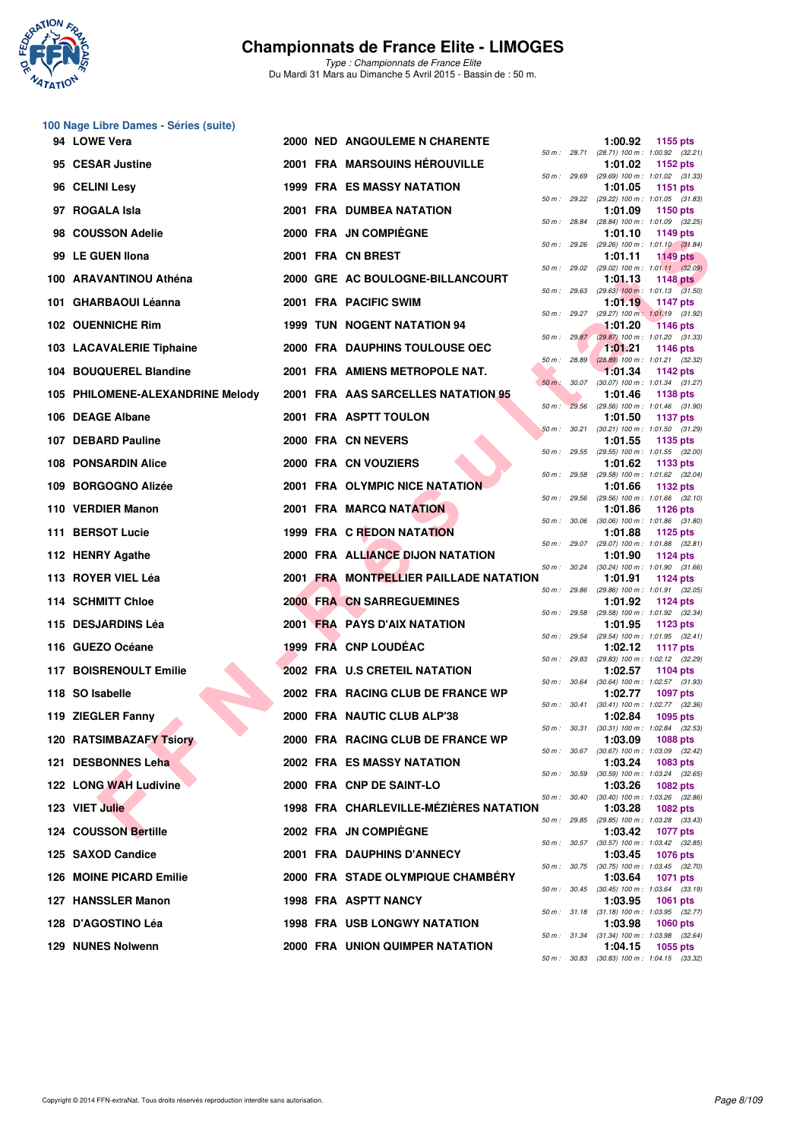

| 100 Nage Libre Dames - Séries (suite) |  |                                        |              |              |                                                                            |
|---------------------------------------|--|----------------------------------------|--------------|--------------|----------------------------------------------------------------------------|
| 94 LOWE Vera                          |  | 2000 NED ANGOULEME N CHARENTE          |              |              | 1:00.92<br>1155 pts<br>50 m: 28.71 (28.71) 100 m: 1:00.92 (32.21)          |
| 95 CESAR Justine                      |  | 2001 FRA MARSOUINS HÉROUVILLE          |              |              | 1:01.02<br>1152 pts<br>50 m: 29.69 (29.69) 100 m: 1:01.02 (31.33)          |
| 96 CELINI Lesy                        |  | <b>1999 FRA ES MASSY NATATION</b>      |              | 50 m : 29.22 | 1:01.05<br>1151 pts<br>(29.22) 100 m: 1:01.05 (31.83)                      |
| 97 ROGALA Isla                        |  | <b>2001 FRA DUMBEA NATATION</b>        |              |              | 1:01.09<br><b>1150 pts</b>                                                 |
| 98 COUSSON Adelie                     |  | 2000 FRA JN COMPIEGNE                  | 50 m : 28.84 |              | (28.84) 100 m : 1:01.09 (32.25)<br>1:01.10<br>1149 pts                     |
| 99 LE GUEN Ilona                      |  | 2001 FRA CN BREST                      |              |              | 50 m: 29.26 (29.26) 100 m: 1:01.10 (31.84)<br>1:01.11<br>$1149$ pts        |
| 100 ARAVANTINOU Athéna                |  | 2000 GRE AC BOULOGNE-BILLANCOURT       |              |              | 50 m : 29.02 (29.02) 100 m : 1:01.11 (32.09)<br>1:01.13<br><b>1148 pts</b> |
| 101 GHARBAOUI Léanna                  |  | 2001 FRA PACIFIC SWIM                  |              |              | 50 m : 29.63 (29.63) 100 m : 1:01.13 (31.50)<br>1:01.19<br>1147 pts        |
| 102 OUENNICHE Rim                     |  | 1999 TUN NOGENT NATATION 94            |              | 50 m : 29.27 | (29.27) 100 m: 1:01.19 (31.92)<br>1:01.20<br><b>1146 pts</b>               |
| 103 LACAVALERIE Tiphaine              |  | 2000 FRA DAUPHINS TOULOUSE OEC         |              | 50 m: 29.87  | (29.87) 100 m: 1:01.20 (31.33)<br>1:01.21<br><b>1146 pts</b>               |
| 104 BOUQUEREL Blandine                |  | 2001 FRA AMIENS METROPOLE NAT.         |              | 50 m: 28.89  | $(28.89)$ 100 m : 1:01.21 $(32.32)$<br>1:01.34<br>1142 pts                 |
| 105 PHILOMENE-ALEXANDRINE Melody      |  | 2001 FRA AAS SARCELLES NATATION 95     | $50 m$ :     | 30.07        | $(30.07)$ 100 m : 1:01.34 $(31.27)$<br>1:01.46<br>1138 pts                 |
| 106 DEAGE Albane                      |  | 2001 FRA ASPTT TOULON                  |              |              | 50 m : 29.56 (29.56) 100 m : 1:01.46 (31.90)<br>1:01.50<br><b>1137 pts</b> |
| 107 DEBARD Pauline                    |  | 2000 FRA CN NEVERS                     |              | 50 m: 30.21  | $(30.21)$ 100 m : 1:01.50 $(31.29)$<br>1:01.55<br>1135 pts                 |
| <b>108 PONSARDIN Alice</b>            |  | 2000 FRA CN VOUZIERS                   |              |              | 50 m: 29.55 (29.55) 100 m: 1:01.55 (32.00)<br>1:01.62<br>1133 pts          |
| 109 BORGOGNO Alizée                   |  | 2001 FRA OLYMPIC NICE NATATION         | 50 m : 29.58 |              | (29.58) 100 m: 1:01.62 (32.04)<br>1:01.66<br>1132 pts                      |
| 110 VERDIER Manon                     |  | 2001 FRA MARCQ NATATION                | 50 m : 29.56 |              | $(29.56)$ 100 m : 1:01.66 $(32.10)$<br>1:01.86<br><b>1126 pts</b>          |
| 111 BERSOT Lucie                      |  | 1999 FRA C REDON NATATION              |              |              | 50 m: 30.06 (30.06) 100 m: 1:01.86 (31.80)<br>1:01.88<br>1125 pts          |
| 112 HENRY Agathe                      |  | 2000 FRA ALLIANCE DIJON NATATION       |              |              | 50 m: 29.07 (29.07) 100 m: 1:01.88 (32.81)<br>1:01.90<br><b>1124 pts</b>   |
| 113 ROYER VIEL Léa                    |  | 2001 FRA MONTPELLIER PAILLADE NATATION |              |              | 50 m : 30.24 (30.24) 100 m : 1:01.90 (31.66)<br>1:01.91<br>1124 pts        |
| 114 SCHMITT Chloe                     |  | <b>2000 FRA CN SARREGUEMINES</b>       | 50 m : 29.86 |              | (29.86) 100 m: 1:01.91 (32.05)<br>1:01.92<br><b>1124 pts</b>               |
| 115 DESJARDINS Léa                    |  | 2001 FRA PAYS D'AIX NATATION           |              | 50 m : 29.58 | (29.58) 100 m: 1:01.92 (32.34)<br>1:01.95<br>1123 pts                      |
| 116 GUEZO Océane                      |  | 1999 FRA CNP LOUDEAC                   |              | 50 m : 29.54 | (29.54) 100 m: 1:01.95 (32.41)<br>1:02.12<br><b>1117 pts</b>               |
| 117 BOISRENOULT Emilie                |  | 2002 FRA U.S CRETEIL NATATION          | 50 m : 29.83 |              | (29.83) 100 m: 1:02.12 (32.29)<br>1:02.57<br>1104 pts                      |
| 118 SO Isabelle                       |  | 2002 FRA RACING CLUB DE FRANCE WP      |              |              | 50 m: 30.64 (30.64) 100 m: 1:02.57 (31.93)<br>1:02.77<br>1097 pts          |
| 119 ZIEGLER Fanny                     |  | 2000 FRA NAUTIC CLUB ALP'38            |              |              | 50 m: 30.41 (30.41) 100 m: 1:02.77 (32.36)<br>1:02.84<br>1095 pts          |
| 120 RATSIMBAZAFY Tsiory               |  | 2000 FRA RACING CLUB DE FRANCE WP      |              |              | 50 m : 30.31 (30.31) 100 m : 1:02.84 (32.53)<br>1:03.09<br>1088 pts        |
| 121 DESBONNES Leha                    |  | 2002 FRA ES MASSY NATATION             |              |              | 50 m: 30.67 (30.67) 100 m: 1:03.09 (32.42)<br>1:03.24<br>1083 pts          |
| 122 LONG WAH Ludivine                 |  | 2000 FRA CNP DE SAINT-LO               | 50 m : 30.59 |              | (30.59) 100 m: 1:03.24 (32.65)                                             |
|                                       |  | 1998 FRA CHARLEVILLE-MÉZIÈRES NATATION |              | 50 m : 30.40 | 1:03.26<br>1082 pts<br>(30.40) 100 m: 1:03.26 (32.86)                      |
| 123 VIET Julie                        |  |                                        |              |              | 1:03.28<br>1082 pts<br>50 m: 29.85 (29.85) 100 m: 1:03.28 (33.43)          |
| <b>124 COUSSON Bertille</b>           |  | 2002 FRA JN COMPIEGNE                  |              |              | 1:03.42<br><b>1077 pts</b><br>50 m: 30.57 (30.57) 100 m: 1:03.42 (32.85)   |
| 125 SAXOD Candice                     |  | 2001 FRA DAUPHINS D'ANNECY             |              |              | 1:03.45<br>1076 pts<br>50 m: 30.75 (30.75) 100 m: 1:03.45 (32.70)          |
| 126 MOINE PICARD Emilie               |  | 2000 FRA STADE OLYMPIQUE CHAMBERY      |              |              | 1:03.64<br><b>1071 pts</b><br>50 m : 30.45 (30.45) 100 m : 1:03.64 (33.19) |
| 127 HANSSLER Manon                    |  | 1998 FRA ASPTT NANCY                   |              |              | 1:03.95<br>1061 pts<br>50 m: 31.18 (31.18) 100 m: 1:03.95 (32.77)          |
| 128 D'AGOSTINO Léa                    |  | <b>1998 FRA USB LONGWY NATATION</b>    |              |              | 1:03.98<br>1060 pts<br>50 m: 31.34 (31.34) 100 m: 1:03.98 (32.64)          |
| 129 NUNES Nolwenn                     |  | <b>2000 FRA UNION QUIMPER NATATION</b> |              |              | 1:04.15<br>1055 pts<br>50 m: 30.83 (30.83) 100 m: 1:04.15 (33.32)          |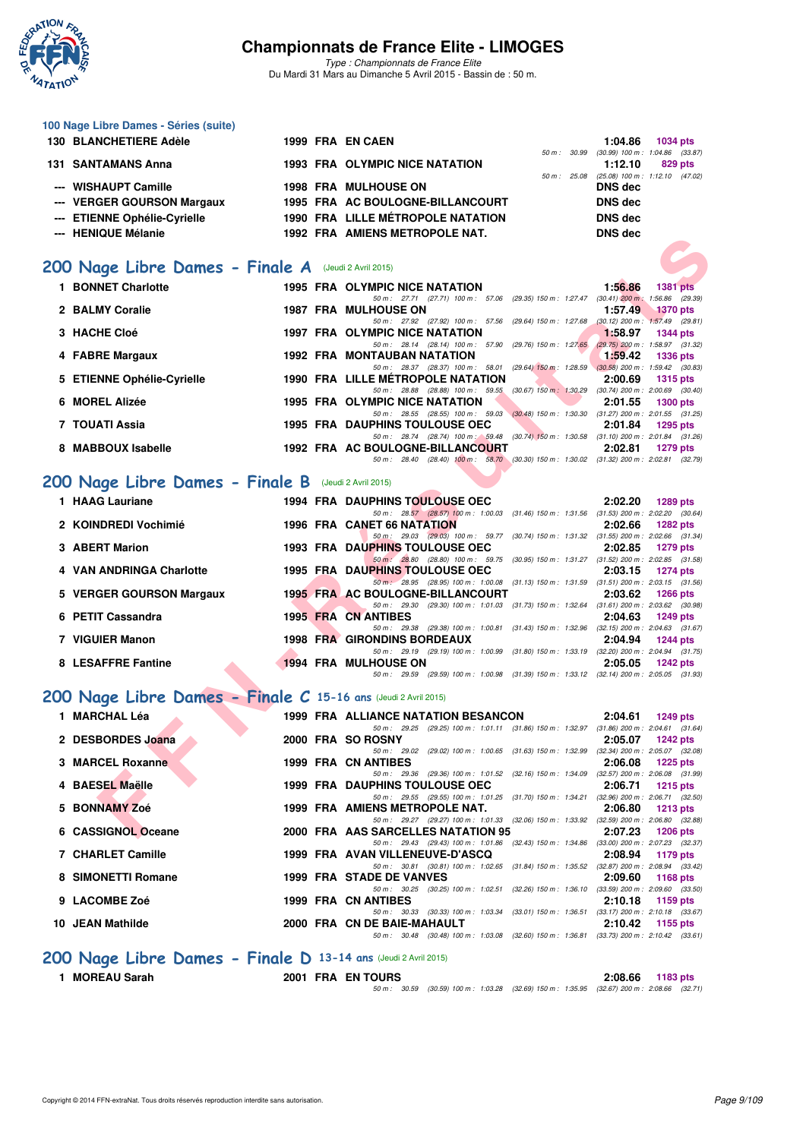

**100 Nage Libre Dames - Séries (suite)**

# **Championnats de France Elite - LIMOGES**

*Type : Championnats de France Elite* Du Mardi 31 Mars au Dimanche 5 Avril 2015 - Bassin de : 50 m.

| 130 BLANCHETIERE Adèle          |  | 1999 FRA EN CAEN                                        |                  | 1:04.86        | 1034 pts                                       |
|---------------------------------|--|---------------------------------------------------------|------------------|----------------|------------------------------------------------|
| <b>131 SANTAMANS Anna</b>       |  | <b>1993 FRA OLYMPIC NICE NATATION</b>                   | 50 m: 30.99      | 1:12.10        | $(30.99)$ 100 m : 1:04.86 $(33.87)$<br>829 pts |
| --- WISHAUPT Camille            |  | <b>1998 FRA MULHOUSE ON</b>                             | $50 m$ : $25.08$ | <b>DNS</b> dec | $(25.08)$ 100 m : 1:12.10 $(47.02)$            |
| --- VERGER GOURSON Margaux      |  | 1995 FRA AC BOULOGNE-BILLANCOURT                        |                  | <b>DNS</b> dec |                                                |
| --- ETIENNE Ophélie-Cyrielle    |  | <b>1990 FRA LILLE MÉTROPOLE NATATION</b>                |                  | <b>DNS</b> dec |                                                |
| --- HENIQUE Mélanie             |  | 1992 FRA AMIENS METROPOLE NAT.                          |                  | <b>DNS</b> dec |                                                |
| 200 Nage Libre Dames - Finale A |  | (Jeudi 2 Avril 2015)                                    |                  |                |                                                |
| <b>BONNET Charlotte</b>         |  | <b>1995 FRA OLYMPIC NICE NATATION</b>                   |                  | 1:56.86        | <b>1381 pts</b>                                |
|                                 |  | 50 m: 27.71 (27.71) 100 m: 57.06 (29.35) 150 m: 1:27.47 |                  |                | $(30.41)$ 200 m : 1:56.86 $(29.39)$            |

|                            |  |                                          |  |                         | 50 m : 27.71 (27.71) 100 m : 57.06 (29.35) 150 m : 1.27.47 (30.41) 200 m : 1.56.86 (29.39) |                                     |                 |  |
|----------------------------|--|------------------------------------------|--|-------------------------|--------------------------------------------------------------------------------------------|-------------------------------------|-----------------|--|
| 2 BALMY Coralie            |  | <b>1987 FRA MULHOUSE ON</b>              |  |                         |                                                                                            | 1:57.49                             | <b>1370 pts</b> |  |
|                            |  |                                          |  |                         | 50 m: 27.92 (27.92) 100 m: 57.56 (29.64) 150 m: 1:27.68 (30.12) 200 m: 1:57.49 (29.81)     |                                     |                 |  |
| 3 HACHE Cloé               |  | 1997 FRA OLYMPIC NICE NATATION           |  |                         |                                                                                            | 1:58.97                             | 1344 pts        |  |
|                            |  | 50 m: 28.14 (28.14) 100 m: 57.90         |  |                         | (29.76) 150 m : 1:27.65                                                                    | $(29.75)$ 200 m : 1:58.97 $(31.32)$ |                 |  |
| 4 FABRE Margaux            |  | <b>1992 FRA MONTAUBAN NATATION</b>       |  |                         |                                                                                            | 1:59.42                             | <b>1336 pts</b> |  |
|                            |  |                                          |  |                         | 50 m: 28.37 (28.37) 100 m: 58.01 (29.64) 150 m: 1:28.59                                    | $(30.58)$ 200 m : 1:59.42 $(30.83)$ |                 |  |
| 5 ETIENNE Ophélie-Cyrielle |  | <b>1990 FRA LILLE METROPOLE NATATION</b> |  |                         |                                                                                            | 2:00.69                             | $1315$ pts      |  |
|                            |  | 50 m: 28.88                              |  | $(28.88)$ 100 m : 59.55 | $(30.67)$ 150 m : 1:30.29                                                                  | $(30.74)$ 200 m : 2:00.69 $(30.40)$ |                 |  |
| 6 MOREL Alizée             |  | <b>1995 FRA OLYMPIC NICE NATATION</b>    |  |                         |                                                                                            | 2:01.55                             | 1300 pts        |  |
|                            |  | 50 m: 28.55 (28.55) 100 m: 59.03         |  |                         | $(30.48)$ 150 m : 1:30.30                                                                  | $(31.27)$ 200 m : 2:01.55 $(31.25)$ |                 |  |
| 7 TOUATI Assia             |  | <b>1995 FRA DAUPHINS TOULOUSE OEC</b>    |  |                         |                                                                                            | 2:01.84                             | $1295$ pts      |  |
|                            |  | 50 m : 28.74                             |  |                         | (28.74) 100 m : 59.48 (30.74) 150 m : 1:30.58                                              | $(31.10)$ 200 m : 2:01.84 $(31.26)$ |                 |  |
| 8 MABBOUX Isabelle         |  | 1992 FRA AC BOULOGNE-BILLANCOURT         |  |                         |                                                                                            | 2:02.81                             | 1279 pts        |  |
|                            |  |                                          |  |                         | 50 m: 28.40 (28.40) 100 m: 58.70 (30.30) 150 m: 1:30.02 (31.32) 200 m: 2:02.81 (32.79)     |                                     |                 |  |

# **[200 Nage Libre Dames - Finale B](http://www.ffnatation.fr/webffn/resultats.php?idact=nat&go=epr&idcpt=27187&idepr=3)** (Jeudi 2 Avril 2015)

| סווסוסוט בעשות דיי                                            | 1994 FRA AMILING METROFOLE NAT.                                                                                                 | DING ACC                                                                              |
|---------------------------------------------------------------|---------------------------------------------------------------------------------------------------------------------------------|---------------------------------------------------------------------------------------|
| 00 Nage Libre Dames - Finale A (Jeudi 2 Avril 2015)           |                                                                                                                                 |                                                                                       |
|                                                               |                                                                                                                                 |                                                                                       |
| 1 BONNET Charlotte                                            | <b>1995 FRA OLYMPIC NICE NATATION</b>                                                                                           | 1:56.86<br><b>1381 pts</b>                                                            |
| 2 BALMY Coralie                                               | 50 m: 27.71 (27.71) 100 m: 57.06 (29.35) 150 m: 1:27.47 (30.41) 200 m: 1:56.86 (29.39)                                          |                                                                                       |
|                                                               | <b>1987 FRA MULHOUSE ON</b><br>50 m: 27.92 (27.92) 100 m: 57.56                                                                 | 1:57.49<br><b>1370 pts</b><br>(29.64) 150 m : 1:27.68 (30.12) 200 m : 1:57.49 (29.81) |
| 3 HACHE Cloé                                                  | 1997 FRA OLYMPIC NICE NATATION                                                                                                  | 1.58.97<br><b>1344 pts</b>                                                            |
|                                                               | 50 m: 28.14 (28.14) 100 m: 57.90                                                                                                | (29.76) 150 m : 1:27.65 (29.75) 200 m : 1:58.97 (31.32)                               |
| 4 FABRE Margaux                                               | <b>1992 FRA MONTAUBAN NATATION</b>                                                                                              | 1:59.42<br><b>1336 pts</b>                                                            |
|                                                               | 50 m: 28.37 (28.37) 100 m: 58.01 (29.64) 150 m: 1.28.59 (30.58) 200 m: 1.59.42 (30.83)                                          |                                                                                       |
| 5 ETIENNE Ophélie-Cyrielle                                    | <b>1990 FRA LILLE METROPOLE NATATION</b>                                                                                        | 2:00.69<br><b>1315 pts</b>                                                            |
|                                                               | 50 m: 28.88 (28.88) 100 m: 59.55 (30.67) 150 m: 1:30.29 (30.74) 200 m: 2:00.69 (30.40)                                          |                                                                                       |
| 6 MOREL Alizée                                                | 1995 FRA OLYMPIC NICE NATATION                                                                                                  | 2:01.55<br><b>1300 pts</b>                                                            |
| 7 TOUATI Assia                                                | 50 m: 28.55 (28.55) 100 m: 59.03 (30.48) 150 m: 1:30.30 (31.27) 200 m: 2:01.55 (31.25)<br><b>1995 FRA DAUPHINS TOULOUSE OEC</b> | 2:01.84<br><b>1295 pts</b>                                                            |
|                                                               | 50 m: 28.74 (28.74) 100 m: 59.48 (30.74) 150 m: 1:30.58 (31.10) 200 m: 2:01.84 (31.26)                                          |                                                                                       |
| 8 MABBOUX Isabelle                                            | 1992 FRA AC BOULOGNE-BILLANCOURT                                                                                                | 2:02.81<br><b>1279 pts</b>                                                            |
|                                                               | 50 m: 28.40 (28.40) 100 m: 58.70 (30.30) 150 m: 1:30.02 (31.32) 200 m: 2:02.81 (32.79)                                          |                                                                                       |
|                                                               |                                                                                                                                 |                                                                                       |
| OO Nage Libre Dames - Finale B (Jeudi 2 Avril 2015)           |                                                                                                                                 |                                                                                       |
| 1 HAAG Lauriane                                               | <b>1994 FRA DAUPHINS TOULOUSE OEC</b>                                                                                           | 2:02.20<br>1289 pts                                                                   |
|                                                               | 50 m: 28.57 (28.57) 100 m: 1:00.03 (31.46) 150 m: 1:31.56 (31.53) 200 m: 2:02.20 (30.64)                                        |                                                                                       |
| 2 KOINDREDI Vochimié                                          | 1996 FRA CANET 66 NATATION                                                                                                      | 2:02.66<br><b>1282 pts</b>                                                            |
|                                                               | 50 m: 29.03 (29.03) 100 m: 59.77 (30.74) 150 m: 1:31.32 (31.55) 200 m: 2:02.66 (31.34)                                          |                                                                                       |
| <b>3 ABERT Marion</b>                                         | <b>1993 FRA DAUPHINS TOULOUSE OEC</b>                                                                                           | 2:02.85<br><b>1279 pts</b>                                                            |
|                                                               | 50 m: 28.80 (28.80) 100 m: 59.75 (30.95) 150 m: 1.31.27 (31.52) 200 m: 2.02.85 (31.58)                                          |                                                                                       |
| 4 VAN ANDRINGA Charlotte                                      | <b>1995 FRA DAUPHINS TOULOUSE OEC</b>                                                                                           | 2:03.15<br><b>1274 pts</b>                                                            |
|                                                               | 50 m: 28.95 (28.95) 100 m: 1:00.08 (31.13) 150 m: 1:31.59 (31.51) 200 m: 2:03.15 (31.56)                                        |                                                                                       |
| 5 VERGER GOURSON Margaux                                      | 1995 FRA AC BOULOGNE-BILLANCOURT                                                                                                | 2:03.62<br><b>1266 pts</b>                                                            |
| 6 PETIT Cassandra                                             | 50 m: 29.30 (29.30) 100 m: 1:01.03 (31.73) 150 m: 1:32.64 (31.61) 200 m: 2:03.62 (30.98)<br><b>1995 FRA CN ANTIBES</b>          |                                                                                       |
|                                                               | 50 m: 29.38 (29.38) 100 m: 1:00.81 (31.43) 150 m: 1:32.96 (32.15) 200 m: 2:04.63 (31.67)                                        | 2:04.63<br><b>1249 pts</b>                                                            |
| 7 VIGUIER Manon                                               | 1998 FRA GIRONDINS BORDEAUX                                                                                                     | 2:04.94<br><b>1244 pts</b>                                                            |
|                                                               | 50 m: 29.19 (29.19) 100 m: 1.00.99 (31.80) 150 m: 1.33.19 (32.20) 200 m: 2.04.94 (31.75)                                        |                                                                                       |
| 8 LESAFFRE Fantine                                            | <b>1994 FRA MULHOUSE ON</b>                                                                                                     | 2:05.05<br><b>1242 pts</b>                                                            |
|                                                               | 50 m: 29.59 (29.59) 100 m: 1:00.98 (31.39) 150 m: 1:33.12 (32.14) 200 m: 2:05.05 (31.93)                                        |                                                                                       |
|                                                               |                                                                                                                                 |                                                                                       |
| 00 Nage Libre Dames - Finale C 15-16 ans (Jeudi 2 Avril 2015) |                                                                                                                                 |                                                                                       |
| 1 MARCHAL Léa                                                 | 1999 FRA ALLIANCE NATATION BESANCON                                                                                             | 2:04.61<br><b>1249 pts</b>                                                            |
|                                                               | 50 m: 29.25 (29.25) 100 m: 1:01.11 (31.86) 150 m: 1:32.97 (31.86) 200 m: 2:04.61 (31.64)                                        |                                                                                       |
| 2 DESBORDES Joana                                             | 2000 FRA SO ROSNY                                                                                                               | 2:05.07<br><b>1242 pts</b>                                                            |
|                                                               | 50 m: 29.02 (29.02) 100 m: 1:00.65 (31.63) 150 m: 1:32.99 (32.34) 200 m: 2:05.07 (32.08)                                        |                                                                                       |
| 3 MARCEL Roxanne                                              | 1999 FRA CN ANTIBES                                                                                                             | 2:06.08<br><b>1225 pts</b>                                                            |
|                                                               | 50 m: 29.36 (29.36) 100 m: 1:01.52 (32.16) 150 m: 1:34.09 (32.57) 200 m: 2:06.08 (31.99)                                        |                                                                                       |
| 4 BAESEL Maëlle                                               | <b>1999 FRA DAUPHINS TOULOUSE OEC</b>                                                                                           | 2:06.71<br><b>1215 pts</b>                                                            |
|                                                               | 50 m: 29.55 (29.55) 100 m: 1:01.25 (31.70) 150 m: 1:34.21 (32.96) 200 m: 2:06.71 (32.50)                                        |                                                                                       |
| 5 BONNAMY Zoé                                                 | 1999 FRA AMIENS METROPOLE NAT.                                                                                                  | 2:06.80<br>1213 pts                                                                   |
| 6 CASSIGNOL Oceane                                            | 50 m: 29.27 (29.27) 100 m: 1:01.33 (32.06) 150 m: 1:33.92 (32.59) 200 m: 2:06.80 (32.88)<br>2000 FRA AAS SARCELLES NATATION 95  | 2:07.23                                                                               |
|                                                               |                                                                                                                                 | <b>1206 pts</b>                                                                       |

# **[200 Nage Libre Dames - Finale C](http://www.ffnatation.fr/webffn/resultats.php?idact=nat&go=epr&idcpt=27187&idepr=3) 15-16 ans** (Jeudi 2 Avril 2015)

| 1 MARCHAL Léa      |  | 1999 FRA ALLIANCE NATATION BESANCON                                                                                        | 2:04.61 | 1249 pts                            |
|--------------------|--|----------------------------------------------------------------------------------------------------------------------------|---------|-------------------------------------|
| 2 DESBORDES Joana  |  | (29.25) 100 m: 1:01.11 (31.86) 150 m: 1:32.97 (31.86) 200 m: 2:04.61 (31.64)<br>$50 m$ : 29.25<br>2000 FRA SO ROSNY        | 2:05.07 | 1242 pts                            |
|                    |  | 50 m: 29.02 (29.02) 100 m: 1:00.65 (31.63) 150 m: 1:32.99 (32.34) 200 m: 2:05.07 (32.08)                                   |         |                                     |
| 3 MARCEL Roxanne   |  | 1999 FRA CN ANTIBES                                                                                                        | 2:06.08 | $1225$ pts                          |
| 4 BAESEL Maëlle    |  | 50 m : 29.36 (29.36) 100 m : 1:01.52 (32.16) 150 m : 1:34.09                                                               |         | $(32.57)$ 200 m : 2:06.08 $(31.99)$ |
|                    |  | 1999 FRA DAUPHINS TOULOUSE OEC<br>50 m: 29.55 (29.55) 100 m: 1:01.25 (31.70) 150 m: 1:34.21 (32.96) 200 m: 2:06.71 (32.50) | 2:06.71 | 1215 pts                            |
| 5 BONNAMY Zoé      |  | 1999 FRA AMIENS METROPOLE NAT.                                                                                             | 2:06.80 | 1213 pts                            |
|                    |  | 50 m: 29.27 (29.27) 100 m: 1:01.33 (32.06) 150 m: 1:33.92 (32.59) 200 m: 2:06.80 (32.88)                                   |         |                                     |
| 6 CASSIGNOL Oceane |  | 2000 FRA AAS SARCELLES NATATION 95                                                                                         | 2:07.23 | 1206 pts                            |
|                    |  | 50 m: 29.43 (29.43) 100 m: 1:01.86 (32.43) 150 m: 1:34.86 (33.00) 200 m: 2:07.23 (32.37)                                   |         |                                     |
| 7 CHARLET Camille  |  | 1999 FRA AVAN VILLENEUVE-D'ASCQ                                                                                            | 2:08.94 | 1179 pts                            |
|                    |  | 50 m: 30.81 (30.81) 100 m: 1:02.65 (31.84) 150 m: 1:35.52 (32.87) 200 m: 2:08.94 (33.42)                                   |         |                                     |
| 8 SIMONETTI Romane |  | <b>1999 FRA STADE DE VANVES</b>                                                                                            | 2:09.60 | 1168 pts                            |
|                    |  | 50 m : 30.25 (30.25) 100 m : 1:02.51 (32.26) 150 m : 1:36.10                                                               |         | $(33.59)$ 200 m : 2:09.60 $(33.50)$ |
| 9 LACOMBE Zoé      |  | 1999 FRA CN ANTIBES                                                                                                        | 2:10.18 | 1159 pts                            |
|                    |  | 50 m : 30.33 (30.33) 100 m : 1:03.34 (33.01) 150 m : 1:36.51                                                               |         | $(33.17)$ 200 m : 2:10.18 $(33.67)$ |
| 10 JEAN Mathilde   |  | 2000 FRA CN DE BAIE-MAHAULT                                                                                                | 2:10.42 | 1155 pts                            |
|                    |  | 50 m: 30.48 (30.48) 100 m: 1:03.08 (32.60) 150 m: 1:36.81 (33.73) 200 m: 2:10.42 (33.61)                                   |         |                                     |

### **[200 Nage Libre Dames - Finale D](http://www.ffnatation.fr/webffn/resultats.php?idact=nat&go=epr&idcpt=27187&idepr=3) 13-14 ans** (Jeudi 2 Avril 2015)

| 1 MOREAU Sarah |  |
|----------------|--|

*50 m : 30.59 (30.59) 100 m : 1:03.28 (32.69) 150 m : 1:35.95 (32.67) 200 m : 2:08.66 (32.71)*

**1 MOREAU SARAH 2001 FRA EN TOURS 1183** pts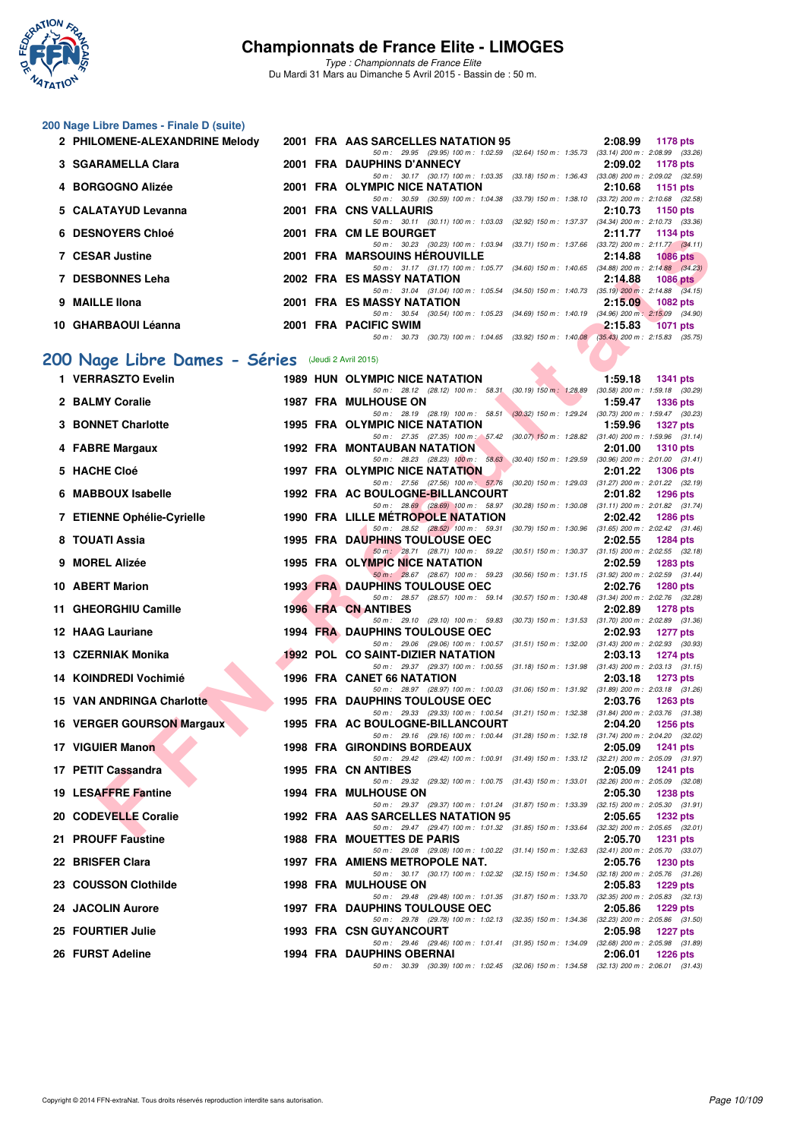

*Type : Championnats de France Elite* Du Mardi 31 Mars au Dimanche 5 Avril 2015 - Bassin de : 50 m.

#### **200 Nage Libre Dames - Finale D (suite)**

| 2 PHILOMENE-ALEXANDRINE Melody |  | 2001 FRA AAS SARCELLES NATATION 95                                                                     |         | 2:08.99 1178 pts                    |
|--------------------------------|--|--------------------------------------------------------------------------------------------------------|---------|-------------------------------------|
|                                |  | 50 m: 29.95 (29.95) 100 m: 1:02.59 (32.64) 150 m: 1:35.73                                              |         | $(33.14)$ 200 m : 2:08.99 $(33.26)$ |
| 3 SGARAMELLA Clara             |  | 2001 FRA DAUPHINS D'ANNECY                                                                             | 2:09.02 | 1178 pts                            |
|                                |  | 50 m: 30.17 (30.17) 100 m: 1:03.35 (33.18) 150 m: 1:36.43                                              |         | $(33.08)$ 200 m : 2:09.02 $(32.59)$ |
| 4 BORGOGNO Alizée              |  | 2001 FRA OLYMPIC NICE NATATION                                                                         | 2:10.68 | 1151 pts                            |
|                                |  | 50 m : 30.59 (30.59) 100 m : 1:04.38 (33.79) 150 m : 1:38.10                                           |         | $(33.72)$ 200 m : 2:10.68 $(32.58)$ |
| 5 CALATAYUD Levanna            |  | 2001 FRA CNS VALLAURIS                                                                                 | 2:10.73 | 1150 pts                            |
|                                |  | 50 m: 30.11 (30.11) 100 m: 1:03.03 (32.92) 150 m: 1:37.37                                              |         | $(34.34)$ 200 m : 2:10.73 $(33.36)$ |
| <b>6 DESNOYERS Chloé</b>       |  | 2001 FRA CM LE BOURGET                                                                                 | 2:11.77 | 1134 pts                            |
|                                |  | 50 m: 30.23 (30.23) 100 m: 1:03.94 (33.71) 150 m: 1:37.66                                              |         | $(33.72)$ 200 m : 2:11.77 $(34.11)$ |
| 7 CESAR Justine                |  | <b>2001 FRA MARSOUINS HEROUVILLE</b>                                                                   | 2:14.88 | <b>1086 pts</b>                     |
|                                |  | 50 m: 31.17 (31.17) 100 m: 1:05.77 (34.60) 150 m: 1:40.65                                              |         | $(34.88)$ 200 m : 2:14.88 $(34.23)$ |
| 7 DESBONNES Leha               |  | 2002 FRA ES MASSY NATATION                                                                             | 2:14.88 | <b>1086 pts</b>                     |
|                                |  | 50 m : 31.04 (31.04) 100 m : 1:05.54 (34.50) 150 m : 1:40.73                                           |         | $(35.19)$ 200 m : 2:14.88 $(34.15)$ |
| 9 MAILLE IIona                 |  | <b>2001 FRA ES MASSY NATATION</b>                                                                      | 2:15.09 | 1082 pts                            |
|                                |  | 50 m: 30.54 (30.54) 100 m: 1:05.23 (34.69) 150 m: 1:40.19 (34.96) 200 m: 2:15.09 (34.90)               |         |                                     |
| 10 GHARBAOUI Léanna            |  | 2001 FRA PACIFIC SWIM                                                                                  | 2:15.83 | <b>1071 pts</b>                     |
|                                |  | $(30.73)$ 100 m : 1:04.65 $(33.92)$ 150 m : 1:40.08 $(35.43)$ 200 m : 2:15.83 $(35.75)$<br>50 m: 30.73 |         |                                     |
|                                |  |                                                                                                        |         |                                     |

# **[200 Nage Libre Dames - Séries](http://www.ffnatation.fr/webffn/resultats.php?idact=nat&go=epr&idcpt=27187&idepr=3)** (Jeudi 2 Avril 2015)

| <b>DESINOTERS CHICE</b>                           |  | <b>FRA VIVILE DUURGEI</b>                                                                                                            |         | 4. II. II II. III. III. DIS |
|---------------------------------------------------|--|--------------------------------------------------------------------------------------------------------------------------------------|---------|-----------------------------|
| 7 CESAR Justine                                   |  | 50 m: 30.23 (30.23) 100 m: 1:03.94 (33.71) 150 m: 1:37.66 (33.72) 200 m: 2:11.77 (34.11)<br><b>2001 FRA MARSOUINS HEROUVILLE</b>     | 2:14.88 | <b>1086 pts</b>             |
| 7 DESBONNES Leha                                  |  | 50 m: 31.17 (31.17) 100 m: 1:05.77 (34.60) 150 m: 1:40.65 (34.88) 200 m: 2:14.88 (34.23)<br>2002 FRA ES MASSY NATATION               | 2:14.88 | 1086 $pts$                  |
|                                                   |  | 50 m: 31.04 (31.04) 100 m: 1:05.54 (34.50) 150 m: 1:40.73 (35.19) 200 m: 2:14.88 (34.15)                                             |         |                             |
| 9 MAILLE IIona                                    |  | 2001 FRA ES MASSY NATATION<br>50 m: 30.54 (30.54) 100 m: 1:05.23 (34.69) 150 m: 1:40.19 (34.96) 200 m: 2:15.09 (34.90)               | 2:15.09 | 1082 pts                    |
| 10 GHARBAOUI Léanna                               |  | 2001 FRA PACIFIC SWIM                                                                                                                | 2:15.83 | <b>1071 pts</b>             |
|                                                   |  | 50 m: 30.73 (30.73) 100 m: 1:04.65 (33.92) 150 m: 1:40.08 (35.43) 200 m: 2:15.83 (35.75)                                             |         |                             |
| 00 Nage Libre Dames - Séries (Jeudi 2 Avril 2015) |  |                                                                                                                                      |         |                             |
| 1 VERRASZTO Evelin                                |  | <b>1989 HUN OLYMPIC NICE NATATION</b>                                                                                                | 1:59.18 | <b>1341 pts</b>             |
| 2 BALMY Coralie                                   |  | 50 m: 28.12 (28.12) 100 m: 58.31 (30.19) 150 m: 1:28.89 (30.58) 200 m: 1:59.18 (30.29)                                               | 1:59.47 |                             |
|                                                   |  | <b>1987 FRA MULHOUSE ON</b><br>50 m: 28.19 (28.19) 100 m: 58.51 (30.32) 150 m: 1:29.24 (30.73) 200 m: 1:59.47 (30.23)                |         | <b>1336 pts</b>             |
| <b>3 BONNET Charlotte</b>                         |  | <b>1995 FRA OLYMPIC NICE NATATION</b>                                                                                                | 1:59.96 | 1327 pts                    |
| 4 FABRE Margaux                                   |  | 50 m: 27.35 (27.35) 100 m: 57.42 (30.07) 150 m: 1:28.82 (31.40) 200 m: 1:59.96 (31.14)<br>1992 FRA MONTAUBAN NATATION                | 2:01.00 | <b>1310 pts</b>             |
|                                                   |  | 50 m: 28.23 (28.23) 100 m: 58.63 (30.40) 150 m: 1.29.59 (30.96) 200 m: 2:01.00 (31.41)                                               |         |                             |
| 5 HACHE Cloé                                      |  | 1997 FRA OLYMPIC NICE NATATION<br>50 m: 27.56 (27.56) 100 m: 57.76 (30.20) 150 m: 1:29.03 (31.27) 200 m: 2:01.22 (32.19)             | 2:01.22 | <b>1306 pts</b>             |
| 6 MABBOUX Isabelle                                |  | 1992 FRA AC BOULOGNE-BILLANCOURT                                                                                                     | 2:01.82 | 1296 pts                    |
|                                                   |  | 50 m: 28.69 (28.69) 100 m: 58.97 (30.28) 150 m: 1:30.08 (31.11) 200 m: 2:01.82 (31.74)                                               |         |                             |
| 7 ETIENNE Ophélie-Cyrielle                        |  | <b>1990 FRA LILLE METROPOLE NATATION</b><br>50 m: 28.52 (28.52) 100 m: 59.31 (30.79) 150 m: 1:30.96 (31.65) 200 m: 2:02.42 (31.46)   | 2:02.42 | <b>1286 pts</b>             |
| 8 TOUATI Assia                                    |  | <b>1995 FRA DAUPHINS TOULOUSE OEC</b>                                                                                                | 2:02.55 | <b>1284 pts</b>             |
|                                                   |  | 50 m: 28.71 (28.71) 100 m: 59.22 (30.51) 150 m: 1:30.37 (31.15) 200 m: 2:02.55 (32.18)                                               |         |                             |
| 9 MOREL Alizée                                    |  | 1995 FRA OLYMPIC NICE NATATION<br>50 m: 28.67 (28.67) 100 m: 59.23 (30.56) 150 m: 1.31.15 (31.92) 200 m: 2.02.59 (31.44)             | 2:02.59 | <b>1283 pts</b>             |
| 10 ABERT Marion                                   |  | <b>1993 FRA DAUPHINS TOULOUSE OEC</b>                                                                                                | 2:02.76 | 1280 pts                    |
| 11 GHEORGHIU Camille                              |  | 50 m: 28.57 (28.57) 100 m: 59.14 (30.57) 150 m: 1:30.48 (31.34) 200 m: 2:02.76 (32.28)                                               |         |                             |
|                                                   |  | 1996 FRA CN ANTIBES<br>50 m: 29.10 (29.10) 100 m: 59.83 (30.73) 150 m: 1:31.53 (31.70) 200 m: 2:02.89 (31.36)                        | 2:02.89 | 1278 pts                    |
| 12 HAAG Lauriane                                  |  | <b>1994 FRA DAUPHINS TOULOUSE OEC</b>                                                                                                | 2:02.93 | 1277 pts                    |
| 13 CZERNIAK Monika                                |  | 50 m: 29.06 (29.06) 100 m: 1:00.57 (31.51) 150 m: 1:32.00 (31.43) 200 m: 2:02.93 (30.93)<br><b>1992 POL CO SAINT-DIZIER NATATION</b> | 2:03.13 | <b>1274 pts</b>             |
|                                                   |  | 50 m: 29.37 (29.37) 100 m: 1:00.55 (31.18) 150 m: 1:31.98 (31.43) 200 m: 2:03.13 (31.15)                                             |         |                             |
| 14 KOINDREDI Vochimié                             |  | 1996 FRA CANET 66 NATATION<br>50 m: 28.97 (28.97) 100 m: 1:00.03 (31.06) 150 m: 1:31.92 (31.89) 200 m: 2:03.18 (31.26)               | 2:03.18 | <b>1273 pts</b>             |
| 15 VAN ANDRINGA Charlotte                         |  | <b>1995 FRA DAUPHINS TOULOUSE OEC</b>                                                                                                | 2:03.76 | <b>1263 pts</b>             |
|                                                   |  | 50 m: 29.33 (29.33) 100 m: 1:00.54 (31.21) 150 m: 1:32.38 (31.84) 200 m: 2:03.76 (31.38)                                             |         |                             |
| 16 VERGER GOURSON Margaux                         |  | 1995 FRA AC BOULOGNE-BILLANCOURT<br>50 m: 29.16 (29.16) 100 m: 1:00.44 (31.28) 150 m: 1:32.18 (31.74) 200 m: 2:04.20 (32.02)         | 2:04.20 | <b>1256 pts</b>             |
| 17 VIGUIER Manon                                  |  | 1998 FRA GIRONDINS BORDEAUX                                                                                                          | 2:05.09 | <b>1241 pts</b>             |
|                                                   |  | 50 m: 29.42 (29.42) 100 m: 1:00.91 (31.49) 150 m: 1:33.12 (32.21) 200 m: 2:05.09 (31.97)                                             |         |                             |
| 17 PETIT Cassandra                                |  | 1995 FRA CN ANTIBES<br>50 m: 29.32 (29.32) 100 m: 1:00.75 (31.43) 150 m: 1:33.01 (32.26) 200 m: 2:05.09 (32.08)                      | 2:05.09 | 1241 pts                    |
| 19 LESAFFRE Fantine                               |  | <b>1994 FRA MULHOUSE ON</b>                                                                                                          | 2:05.30 | 1238 pts                    |
| 20 CODEVELLE Coralie                              |  | 50 m: 29.37 (29.37) 100 m: 1:01.24 (31.87) 150 m: 1:33.39 (32.15) 200 m: 2:05.30 (31.91)<br>1992 FRA AAS SARCELLES NATATION 95       | 2:05.65 | 1232 pts                    |
|                                                   |  | 50 m: 29.47 (29.47) 100 m: 1:01.32 (31.85) 150 m: 1:33.64 (32.32) 200 m: 2:05.65 (32.01)                                             |         |                             |
| 21 PROUFF Faustine                                |  | <b>1988 FRA MOUETTES DE PARIS</b>                                                                                                    | 2:05.70 | 1231 pts                    |
| 22 BRISFER Clara                                  |  | 50 m: 29.08 (29.08) 100 m: 1:00.22 (31.14) 150 m: 1:32.63 (32.41) 200 m: 2:05.70 (33.07)<br>1997 FRA AMIENS METROPOLE NAT.           | 2:05.76 | <b>1230 pts</b>             |
|                                                   |  | 50 m: 30.17 (30.17) 100 m: 1:02.32 (32.15) 150 m: 1:34.50 (32.18) 200 m: 2:05.76 (31.26)                                             |         |                             |
| 23 COUSSON Clothilde                              |  | <b>1998 FRA MULHOUSE ON</b><br>50 m: 29.48 (29.48) 100 m: 1:01.35 (31.87) 150 m: 1:33.70 (32.35) 200 m: 2:05.83 (32.13)              | 2:05.83 | <b>1229 pts</b>             |
| 24 JACOLIN Aurore                                 |  | <b>1997 FRA DAUPHINS TOULOUSE OEC</b>                                                                                                | 2:05.86 | <b>1229 pts</b>             |
|                                                   |  | 50 m: 29.78 (29.78) 100 m: 1:02.13 (32.35) 150 m: 1:34.36 (32.23) 200 m: 2:05.86 (31.50)                                             |         |                             |
| 25 FOURTIER Julie                                 |  | <b>1993 FRA CSN GUYANCOURT</b><br>50 m: 29.46 (29.46) 100 m: 1:01.41 (31.95) 150 m: 1:34.09 (32.68) 200 m: 2:05.98 (31.89)           | 2:05.98 | <b>1227 pts</b>             |
| 26 FURST Adeline                                  |  | 1994 FRA DAUPHINS OBERNAI                                                                                                            | 2:06.01 | <b>1226 pts</b>             |
|                                                   |  | 50 m: 30.39 (30.39) 100 m: 1:02.45 (32.06) 150 m: 1:34.58 (32.13) 200 m: 2:06.01 (31.43)                                             |         |                             |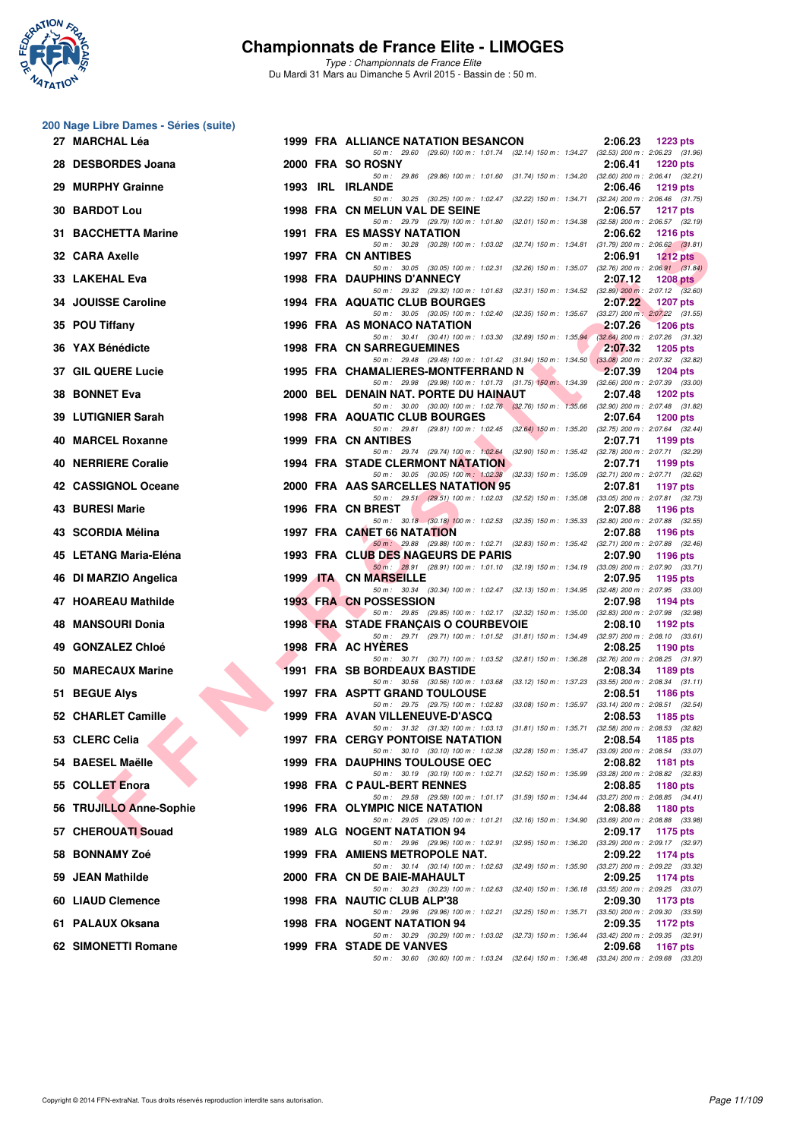

| 200 Nage Libre Dames - Séries (suite) |  |  |  |  |
|---------------------------------------|--|--|--|--|
|---------------------------------------|--|--|--|--|

| 27 MARCHAL Léa             |  | 1999 FRA ALLIANCE NATATION BESANCON                                                                                                 | 2:06.23 | 1223 pts                                        |
|----------------------------|--|-------------------------------------------------------------------------------------------------------------------------------------|---------|-------------------------------------------------|
| 28 DESBORDES Joana         |  | 50 m: 29.60 (29.60) 100 m: 1:01.74 (32.14) 150 m: 1:34.27 (32.53) 200 m: 2:06.23 (31.96)<br>2000 FRA SO ROSNY                       | 2:06.41 | <b>1220 pts</b>                                 |
| 29 MURPHY Grainne          |  | 50 m: 29.86 (29.86) 100 m: 1:01.60 (31.74) 150 m: 1:34.20 (32.60) 200 m: 2:06.41 (32.21)<br>1993 IRL IRLANDE                        | 2:06.46 | <b>1219 pts</b>                                 |
| <b>30 BARDOT Lou</b>       |  | 50 m: 30.25 (30.25) 100 m: 1:02.47 (32.22) 150 m: 1:34.71 (32.24) 200 m: 2:06.46 (31.75)<br>1998 FRA CN MELUN VAL DE SEINE          | 2:06.57 | <b>1217 pts</b>                                 |
| 31 BACCHETTA Marine        |  | 50 m: 29.79 (29.79) 100 m: 1:01.80 (32.01) 150 m: 1:34.38 (32.58) 200 m: 2:06.57 (32.19)<br><b>1991 FRA ES MASSY NATATION</b>       | 2:06.62 | <b>1216 pts</b>                                 |
| 32 CARA Axelle             |  | 50 m: 30.28 (30.28) 100 m: 1:03.02 (32.74) 150 m: 1:34.81 (31.79) 200 m: 2:06.62 (31.81)<br><b>1997 FRA CN ANTIBES</b>              | 2:06.91 | 1212 pts                                        |
| 33 LAKEHAL Eva             |  | 50 m: 30.05 (30.05) 100 m: 1:02.31 (32.26) 150 m: 1:35.07 (32.76) 200 m: 2:06.91 (31.84)<br><b>1998 FRA DAUPHINS D'ANNECY</b>       | 2:07.12 | 1208 $pts$                                      |
| 34 JOUISSE Caroline        |  | 50 m: 29.32 (29.32) 100 m: 1:01.63 (32.31) 150 m: 1:34.52 (32.89) 200 m: 2:07.12 (32.60)<br>1994 FRA AQUATIC CLUB BOURGES           | 2:07.22 | <b>1207 pts</b>                                 |
| 35 POU Tiffany             |  | 50 m: 30.05 (30.05) 100 m: 1:02.40 (32.35) 150 m: 1:35.67 (33.27) 200 m: 2:07.22 (31.55)<br>1996 FRA AS MONACO NATATION             | 2:07.26 | <b>1206 pts</b>                                 |
| 36 YAX Bénédicte           |  | 50 m: 30.41 (30.41) 100 m: 1:03.30 (32.89) 150 m: 1:35.94 (32.64) 200 m: 2:07.26 (31.32)<br><b>1998 FRA CN SARREGUEMINES</b>        | 2:07.32 | <b>1205 pts</b>                                 |
| 37 GIL QUERE Lucie         |  | 50 m: 29.48 (29.48) 100 m: 1:01.42 (31.94) 150 m: 1:34.50 (33.08) 200 m: 2:07.32 (32.82)<br>1995 FRA CHAMALIERES-MONTFERRAND N      | 2:07.39 | 1204 pts                                        |
| 38 BONNET Eva              |  | 50 m: 29.98 (29.98) 100 m: 1:01.73 (31.75) 150 m: 1:34.39 (32.66) 200 m: 2:07.39 (33.00)<br>2000 BEL DENAIN NAT. PORTE DU HAINAUT   | 2:07.48 | <b>1202 pts</b>                                 |
| 39 LUTIGNIER Sarah         |  | 50 m: 30.00 (30.00) 100 m: 1:02.76 (32.76) 150 m: 1:35.66 (32.90) 200 m: 2:07.48 (31.82)<br><b>1998 FRA AQUATIC CLUB BOURGES</b>    | 2:07.64 | <b>1200 pts</b>                                 |
| 40 MARCEL Roxanne          |  | 50 m: 29.81 (29.81) 100 m: 1:02.45 (32.64) 150 m: 1:35.20 (32.75) 200 m: 2:07.64 (32.44)<br>1999 FRA CN ANTIBES                     | 2:07.71 | 1199 pts                                        |
| <b>40 NERRIERE Coralie</b> |  | 50 m: 29.74 (29.74) 100 m: 1:02.64 (32.90) 150 m: 1:35.42 (32.78) 200 m: 2:07.71 (32.29)<br><b>1994 FRA STADE CLERMONT NATATION</b> | 2:07.71 | 1199 pts                                        |
| 42 CASSIGNOL Oceane        |  | 50 m: 30.05 (30.05) 100 m: 1:02.38 (32.33) 150 m: 1:35.09 (32.71) 200 m: 2:07.71 (32.62)<br>2000 FRA AAS SARCELLES NATATION 95      | 2:07.81 |                                                 |
|                            |  | 50 m: 29.51 (29.51) 100 m: 1:02.03 (32.52) 150 m: 1:35.08 (33.05) 200 m: 2:07.81 (32.73)                                            |         | 1197 pts                                        |
| 43 BURESI Marie            |  | 1996 FRA CN BREST<br>50 m: 30.18 (30.18) 100 m: 1:02.53 (32.35) 150 m: 1:35.33 (32.80) 200 m: 2:07.88 (32.55)                       | 2:07.88 | 1196 pts                                        |
| 43 SCORDIA Mélina          |  | 1997 FRA CANET 66 NATATION<br>50 m : 29.88 (29.88) 100 m : 1:02.71 (32.83) 150 m : 1:35.42 (32.71) 200 m : 2:07.88 (32.46)          | 2:07.88 | 1196 pts                                        |
| 45 LETANG Maria-Eléna      |  | 1993 FRA CLUB DES NAGEURS DE PARIS<br>50 m: 28.91 (28.91) 100 m: 1:01.10 (32.19) 150 m: 1:34.19 (33.09) 200 m: 2:07.90 (33.71)      | 2:07.90 | 1196 pts                                        |
| 46 DI MARZIO Angelica      |  | 1999 ITA CN MARSEILLE<br>50 m: 30.34 (30.34) 100 m: 1:02.47 (32.13) 150 m: 1:34.95 (32.48) 200 m: 2:07.95 (33.00)                   | 2:07.95 | 1195 pts                                        |
| 47 HOAREAU Mathilde        |  | 1993 FRA CN POSSESSION<br>50 m: 29.85 (29.85) 100 m: 1:02.17 (32.32) 150 m: 1:35.00 (32.83) 200 m: 2:07.98 (32.98)                  | 2:07.98 | 1194 pts                                        |
| 48 MANSOURI Donia          |  | 1998 FRA STADE FRANÇAIS O COURBEVOIE<br>50 m: 29.71 (29.71) 100 m: 1:01.52 (31.81) 150 m: 1:34.49 (32.97) 200 m: 2:08.10 (33.61)    | 2:08.10 | 1192 pts                                        |
| 49 GONZALEZ Chloé          |  | 1998 FRA AC HYERES<br>50 m: 30.71 (30.71) 100 m: 1:03.52 (32.81) 150 m: 1:36.28 (32.76) 200 m: 2:08.25 (31.97)                      | 2:08.25 | 1190 pts                                        |
| 50 MARECAUX Marine         |  | 1991 FRA SB BORDEAUX BASTIDE<br>50 m: 30.56 (30.56) 100 m: 1:03.68 (33.12) 150 m: 1:37.23 (33.55) 200 m: 2:08.34 (31.11)            | 2:08.34 | 1189 pts                                        |
| 51 BEGUE Alys              |  | <b>1997 FRA ASPTT GRAND TOULOUSE</b><br>50 m: 29.75 (29.75) 100 m: 1:02.83 (33.08) 150 m: 1:35.97 (33.14) 200 m: 2:08.51 (32.54)    | 2:08.51 | 1186 pts                                        |
| 52 CHARLET Camille         |  | 1999 FRA AVAN VILLENEUVE-D'ASCQ<br>50 m: 31.32 (31.32) 100 m: 1:03.13 (31.81) 150 m: 1:35.71 (32.58) 200 m: 2:08.53 (32.82)         | 2:08.53 | 1185 pts                                        |
| 53 CLERC Celia             |  | <b>1997 FRA CERGY PONTOISE NATATION</b><br>50 m: 30.10 (30.10) 100 m: 1:02.38 (32.28) 150 m: 1:35.47 (33.09) 200 m: 2:08.54 (33.07) | 2:08.54 | 1185 pts                                        |
| 54 BAESEL Maëlle           |  | <b>1999 FRA DAUPHINS TOULOUSE OEC</b><br>50 m: 30.19 (30.19) 100 m: 1:02.71 (32.52) 150 m: 1:35.99 (33.28) 200 m: 2:08.82 (32.83)   | 2:08.82 | 1181 pts                                        |
| 55 COLLET Enora            |  | 1998 FRA C PAUL-BERT RENNES                                                                                                         | 2:08.85 | 1180 pts                                        |
| 56 TRUJILLO Anne-Sophie    |  | 50 m: 29.58 (29.58) 100 m: 1:01.17 (31.59) 150 m: 1:34.44 (33.27) 200 m: 2:08.85 (34.41)<br>1996 FRA OLYMPIC NICE NATATION          | 2:08.88 | 1180 pts                                        |
| 57 CHEROUATI Souad         |  | 50 m : 29.05 (29.05) 100 m : 1:01.21 (32.16) 150 m : 1:34.90 (33.69) 200 m : 2:08.88 (33.98)<br>1989 ALG NOGENT NATATION 94         | 2:09.17 | 1175 pts                                        |
| 58 BONNAMY Zoé             |  | 50 m : 29.96 (29.96) 100 m : 1:02.91 (32.95) 150 m : 1:36.20<br>1999 FRA AMIENS METROPOLE NAT.                                      | 2:09.22 | $(33.29)$ 200 m : 2:09.17 $(32.97)$<br>1174 pts |
| 59 JEAN Mathilde           |  | 50 m : 30.14 (30.14) 100 m : 1:02.63<br>(32.49) 150 m : 1:35.90<br>2000 FRA CN DE BAIE-MAHAULT                                      | 2:09.25 | (33.27) 200 m : 2:09.22 (33.32)<br>1174 pts     |
| 60 LIAUD Clemence          |  | 50 m: 30.23 (30.23) 100 m: 1:02.63<br>(32.40) 150 m: 1:36.18 (33.55) 200 m: 2:09.25 (33.07)<br>1998 FRA NAUTIC CLUB ALP'38          | 2:09.30 | 1173 pts                                        |
| 61 PALAUX Oksana           |  | 50 m : 29.96 (29.96) 100 m : 1:02.21<br>(32.25) 150 m: 1:35.71 (33.50) 200 m: 2:09.30 (33.59)<br>1998 FRA NOGENT NATATION 94        | 2:09.35 | 1172 pts                                        |
| 62 SIMONETTI Romane        |  | 50 m: 30.29 (30.29) 100 m: 1:03.02<br>(32.73) 150 m: 1:36.44 (33.42) 200 m: 2:09.35 (32.91)<br>1999 FRA STADE DE VANVES             | 2:09.68 | 1167 pts                                        |
|                            |  | 50 m: 30.60 (30.60) 100 m: 1:03.24 (32.64) 150 m: 1:36.48 (33.24) 200 m: 2:09.68 (33.20)                                            |         |                                                 |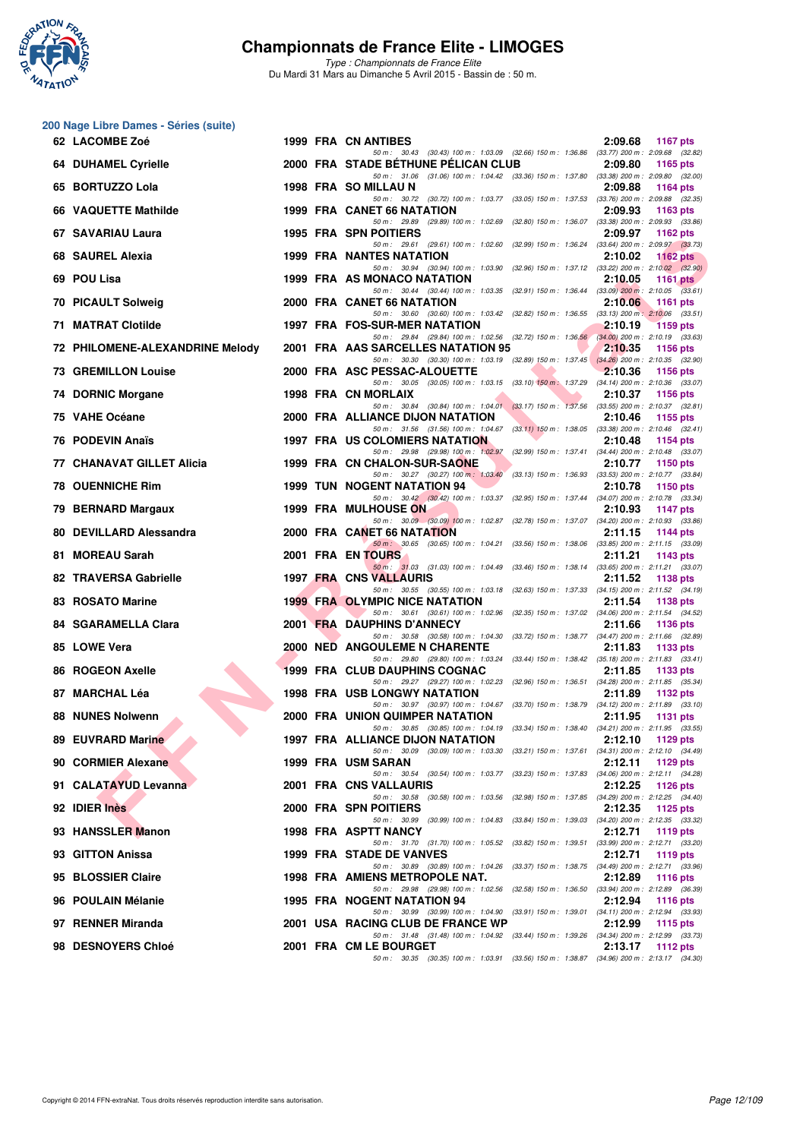

*Type : Championnats de France Elite* Du Mardi 31 Mars au Dimanche 5 Avril 2015 - Bassin de : 50 m.

#### **200 Nage Libre Dames - Séries (suite)**

| 62 LACOMBE Zoé                   |  | 1999 FRA CN ANTIBES                                                                                                               | 2:09.68<br><b>1167 pts</b>                                                                  |
|----------------------------------|--|-----------------------------------------------------------------------------------------------------------------------------------|---------------------------------------------------------------------------------------------|
| 64 DUHAMEL Cyrielle              |  | 50 m: 30.43 (30.43) 100 m: 1:03.09 (32.66) 150 m: 1:36.86 (33.77) 200 m: 2:09.68 (32.82)<br>2000 FRA STADE BETHUNE PELICAN CLUB   | 2:09.80<br>1165 pts                                                                         |
| 65 BORTUZZO Lola                 |  | 50 m: 31.06 (31.06) 100 m: 1:04.42 (33.36) 150 m: 1:37.80 (33.38) 200 m: 2:09.80 (32.00)<br>1998 FRA SO MILLAU N                  | 2:09.88<br>1164 pts                                                                         |
| 66 VAQUETTE Mathilde             |  | 50 m: 30.72 (30.72) 100 m: 1:03.77 (33.05) 150 m: 1:37.53 (33.76) 200 m: 2:09.88 (32.35)<br>1999 FRA CANET 66 NATATION            | 2:09.93<br>1163 pts                                                                         |
| 67 SAVARIAU Laura                |  | 50 m: 29.89 (29.89) 100 m: 1:02.69 (32.80) 150 m: 1:36.07 (33.38) 200 m: 2:09.93 (33.86)<br><b>1995 FRA SPN POITIERS</b>          | 2:09.97<br>1162 pts                                                                         |
| 68 SAUREL Alexia                 |  | 50 m: 29.61 (29.61) 100 m: 1:02.60 (32.99) 150 m: 1:36.24 (33.64) 200 m: 2:09.97 (33.73)<br><b>1999 FRA NANTES NATATION</b>       | 2:10.02<br>1162 pts                                                                         |
| 69 POU Lisa                      |  | 50 m: 30.94 (30.94) 100 m: 1:03.90 (32.96) 150 m: 1:37.12 (33.22) 200 m: 2:10.02 (32.90)<br>1999 FRA AS MONACO NATATION           | 2:10.05<br>1161 $pts$                                                                       |
| 70 PICAULT Solweig               |  | 50 m: 30.44 (30.44) 100 m: 1:03.35 (32.91) 150 m: 1:36.44 (33.09) 200 m: 2:10.05 (33.61)<br>2000 FRA CANET 66 NATATION            | 2:10.06<br>1161 pts                                                                         |
|                                  |  | 50 m: 30.60 (30.60) 100 m: 1:03.42 (32.82) 150 m: 1:36.55 (33.13) 200 m: 2:10.06 (33.51)<br>1997 FRA FOS-SUR-MER NATATION         |                                                                                             |
| 71 MATRAT Clotilde               |  | 50 m: 29.84 (29.84) 100 m: 1:02.56 (32.72) 150 m: 1:36.56 (34.00) 200 m: 2:10.19 (33.63)                                          | 2:10.19<br><b>1159 pts</b>                                                                  |
| 72 PHILOMENE-ALEXANDRINE Melody  |  | 2001 FRA AAS SARCELLES NATATION 95<br>50 m: 30.30 (30.30) 100 m: 1:03.19 (32.89) 150 m: 1:37.45 (34.26) 200 m: 2:10.35 (32.90)    | 2:10.35<br>1156 pts                                                                         |
| <b>73 GREMILLON Louise</b>       |  | 2000 FRA ASC PESSAC-ALOUETTE<br>50 m: 30.05 (30.05) 100 m: 1:03.15 (33.10) 150 m: 1:37.29 (34.14) 200 m: 2:10.36 (33.07)          | 2:10.36<br>1156 pts                                                                         |
| 74 DORNIC Morgane                |  | 1998 FRA CN MORLAIX<br>50 m: 30.84 (30.84) 100 m: 1:04.01 (33.17) 150 m: 1:37.56 (33.55) 200 m: 2:10.37 (32.81)                   | 2:10.37<br>1156 pts                                                                         |
| 75 VAHE Océane                   |  | 2000 FRA ALLIANCE DIJON NATATION<br>50 m: 31.56 (31.56) 100 m: 1:04.67 (33.11) 150 m: 1:38.05 (33.38) 200 m: 2:10.46 (32.41)      | 2:10.46<br>1155 pts                                                                         |
| 76 PODEVIN Anaïs                 |  | <b>1997 FRA US COLOMIERS NATATION</b><br>50 m: 29.98 (29.98) 100 m: 1:02.97 (32.99) 150 m: 1:37.41 (34.44) 200 m: 2:10.48 (33.07) | 2:10.48<br>1154 pts                                                                         |
| <b>77 CHANAVAT GILLET Alicia</b> |  | 1999 FRA CN CHALON-SUR-SAONE<br>50 m: 30.27 (30.27) 100 m: 1:03.40                                                                | 2:10.77<br><b>1150 pts</b><br>$(33.13)$ 150 m : 1:36.93 $(33.53)$ 200 m : 2:10.77 $(33.84)$ |
| 78 OUENNICHE Rim                 |  | <b>1999 TUN NOGENT NATATION 94</b><br>50 m: 30.42 (30.42) 100 m: 1:03.37 (32.95) 150 m: 1:37.44 (34.07) 200 m: 2:10.78 (33.34)    | 2:10.78<br>1150 pts                                                                         |
| 79 BERNARD Margaux               |  | <b>1999 FRA MULHOUSE ON</b><br>50 m: 30.09 (30.09) 100 m: 1:02.87 (32.78) 150 m: 1:37.07 (34.20) 200 m: 2:10.93 (33.86)           | 2:10.93<br><b>1147 pts</b>                                                                  |
| 80 DEVILLARD Alessandra          |  | 2000 FRA CANET 66 NATATION                                                                                                        | 2:11.15<br>1144 pts                                                                         |
| 81 MOREAU Sarah                  |  | 50 m: 30.65 (30.65) 100 m: 1:04.21 (33.56) 150 m: 1:38.06 (33.85) 200 m: 2:11.15 (33.09)<br>2001 FRA ENTOURS                      | 2:11.21<br>1143 pts                                                                         |
| <b>82 TRAVERSA Gabrielle</b>     |  | 50 m: 31.03 (31.03) 100 m: 1:04.49 (33.46) 150 m: 1:38.14 (33.65) 200 m: 2:11.21 (33.07)<br>1997 FRA CNS VALLAURIS                | 2:11.52<br>1138 pts                                                                         |
| 83 ROSATO Marine                 |  | 50 m: 30.55 (30.55) 100 m: 1:03.18<br><b>1999 FRA OLYMPIC NICE NATATION</b>                                                       | (32.63) 150 m : 1:37.33 (34.15) 200 m : 2:11.52 (34.19)<br>2:11.54<br>1138 pts              |
| 84 SGARAMELLA Clara              |  | 50 m: 30.61 (30.61) 100 m: 1:02.96<br>2001 FRA DAUPHINS D'ANNECY                                                                  | (32.35) 150 m : 1:37.02 (34.06) 200 m : 2:11.54 (34.52)<br>2:11.66<br>1136 pts              |
| 85 LOWE Vera                     |  | 50 m: 30.58 (30.58) 100 m: 1:04.30 (33.72) 150 m: 1:38.77 (34.47) 200 m: 2:11.66 (32.89)<br><b>2000 NED ANGOULEME N CHARENTE</b>  | 2:11.83<br>1133 pts                                                                         |
| <b>86 ROGEON Axelle</b>          |  | 50 m: 29.80 (29.80) 100 m: 1:03.24 (33.44) 150 m: 1:38.42 (35.18) 200 m: 2:11.83 (33.41)<br>1999 FRA CLUB DAUPHINS COGNAC         | 2:11.85<br>1133 pts                                                                         |
| 87 MARCHAL Léa                   |  | 50 m: 29.27 (29.27) 100 m: 1:02.23 (32.96) 150 m: 1:36.51 (34.28) 200 m: 2:11.85 (35.34)<br><b>1998 FRA USB LONGWY NATATION</b>   | 2:11.89<br>1132 pts                                                                         |
| 88 NUNES Nolwenn                 |  | 50 m: 30.97 (30.97) 100 m: 1:04.67 (33.70) 150 m: 1:38.79 (34.12) 200 m: 2:11.89 (33.10)<br>2000 FRA UNION QUIMPER NATATION       | 2:11.95<br><b>1131 pts</b>                                                                  |
| 89 EUVRARD Marine                |  | 50 m: 30.85 (30.85) 100 m: 1:04.19 (33.34) 150 m: 1:38.40 (34.21) 200 m: 2:11.95 (33.55)<br>1997 FRA ALLIANCE DIJON NATATION      | 2:12.10<br>1129 pts                                                                         |
| 90 CORMIER Alexane               |  | 50 m: 30.09 (30.09) 100 m: 1:03.30<br>1999 FRA USM SARAN                                                                          | (33.21) 150 m: 1:37.61 (34.31) 200 m: 2:12.10 (34.49)<br>2:12.11<br>1129 pts                |
| 91 CALATAYUD Levanna             |  | 50 m: 30.54 (30.54) 100 m: 1:03.77<br>2001 FRA CNS VALLAURIS                                                                      | (33.23) 150 m: 1:37.83 (34.06) 200 m: 2:12.11 (34.28)<br>2:12.25<br>1126 pts                |
| 92 IDIER Inès                    |  | 50 m : 30.58 (30.58) 100 m : 1:03.56<br>2000 FRA SPN POITIERS                                                                     | (32.98) 150 m: 1:37.85 (34.29) 200 m: 2:12.25 (34.40)<br>2:12.35<br>1125 pts                |
| 93 HANSSLER Manon                |  | 50 m : 30.99<br>$(30.99)$ 100 m : 1:04.83<br><b>1998 FRA ASPTT NANCY</b>                                                          | $(33.84)$ 150 m : 1:39.03 $(34.20)$ 200 m : 2:12.35 $(33.32)$<br>2:12.71<br>1119 pts        |
| 93 GITTON Anissa                 |  | 50 m: 31.70 (31.70) 100 m: 1:05.52<br>$(33.82)$ 150 m : 1:39.51<br>1999 FRA STADE DE VANVES                                       | $(33.99)$ 200 m : 2:12.71 $(33.20)$<br>2:12.71<br>1119 pts                                  |
| 95 BLOSSIER Claire               |  | 50 m : 30.89 (30.89) 100 m : 1:04.26<br>(33.37) 150 m : 1:38.75<br>1998 FRA AMIENS METROPOLE NAT.                                 | (34.49) 200 m : 2:12.71 (33.96)<br>2:12.89<br><b>1116 pts</b>                               |
|                                  |  | 50 m: 29.98 (29.98) 100 m: 1:02.56                                                                                                | (32.58) 150 m: 1:36.50 (33.94) 200 m: 2:12.89 (36.39)                                       |
| 96 POULAIN Mélanie               |  | 1995 FRA NOGENT NATATION 94<br>50 m: 30.99 (30.99) 100 m: 1:04.90                                                                 | 2:12.94<br><b>1116 pts</b><br>(33.91) 150 m: 1:39.01 (34.11) 200 m: 2:12.94 (33.93)         |
| 97 RENNER Miranda                |  | 2001 USA RACING CLUB DE FRANCE WP<br>50 m: 31.48 (31.48) 100 m: 1:04.92 (33.44) 150 m: 1:39.26 (34.34) 200 m: 2:12.99 (33.73)     | 2:12.99<br>1115 pts                                                                         |
| 98 DESNOYERS Chloé               |  | 2001 FRA CM LE BOURGET<br>50 m: 30.35 (30.35) 100 m: 1:03.91 (33.56) 150 m: 1:38.87 (34.96) 200 m: 2:13.17 (34.30)                | 2:13.17<br>1112 pts                                                                         |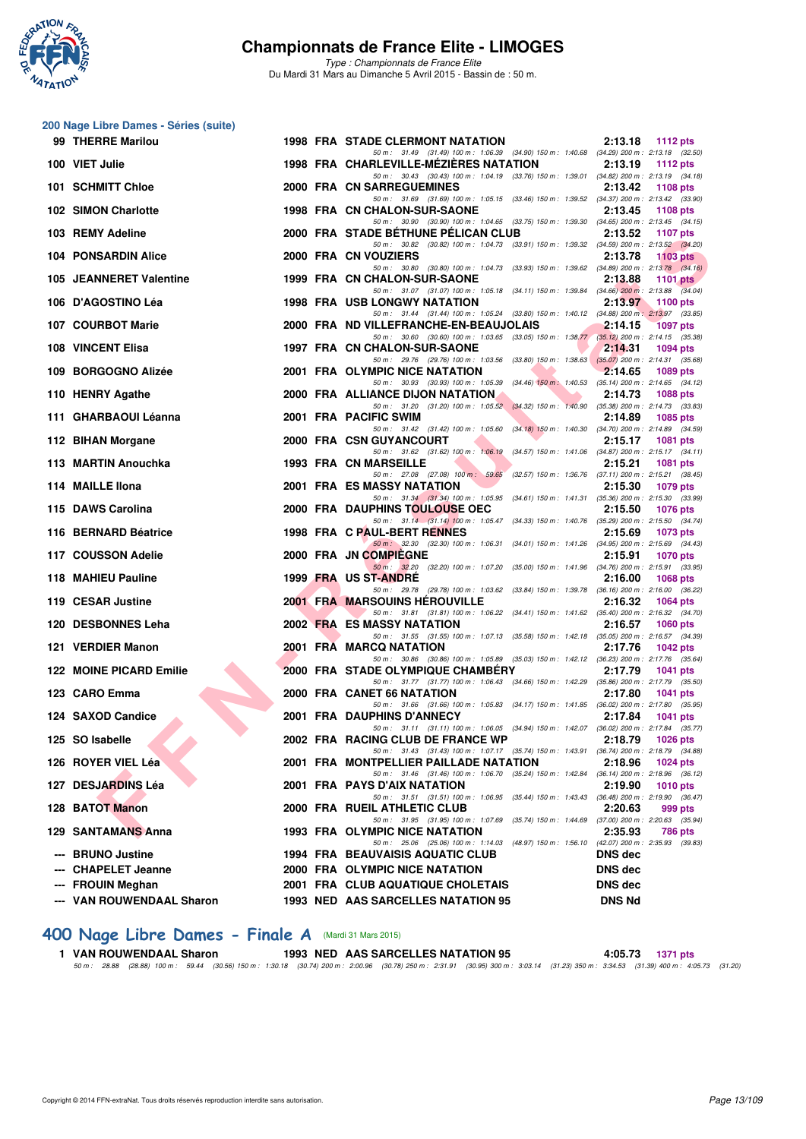

**200 Nage Libre Dames - Séries (suite)**

# **Championnats de France Elite - LIMOGES**

*Type : Championnats de France Elite* Du Mardi 31 Mars au Dimanche 5 Avril 2015 - Bassin de : 50 m.

| 99 THERRE Marilou              |  | 1998 FRA STADE CLERMONT NATATION                                                                                                   | 2:13.18<br><b>1112 pts</b> |
|--------------------------------|--|------------------------------------------------------------------------------------------------------------------------------------|----------------------------|
| 100 VIET Julie                 |  | 50 m: 31.49 (31.49) 100 m: 1:06.39 (34.90) 150 m: 1:40.68 (34.29) 200 m: 2:13.18 (32.50)<br>1998 FRA CHARLEVILLE-MEZIERES NATATION | 2:13.19<br>1112 $pts$      |
| 101 SCHMITT Chloe              |  | 50 m: 30.43 (30.43) 100 m: 1:04.19 (33.76) 150 m: 1:39.01 (34.82) 200 m: 2:13.19 (34.18)<br>2000 FRA CN SARREGUEMINES              | 2:13.42<br>1108 pts        |
| <b>102 SIMON Charlotte</b>     |  | 50 m: 31.69 (31.69) 100 m: 1:05.15 (33.46) 150 m: 1:39.52 (34.37) 200 m: 2:13.42 (33.90)<br>1998 FRA CN CHALON-SUR-SAONE           | 2:13.45<br>1108 pts        |
| 103 REMY Adeline               |  | 50 m: 30.90 (30.90) 100 m: 1:04.65 (33.75) 150 m: 1:39.30 (34.65) 200 m: 2:13.45 (34.15)<br>2000 FRA STADE BETHUNE PELICAN CLUB    | 2:13.52<br><b>1107 pts</b> |
|                                |  | 50 m: 30.82 (30.82) 100 m: 1:04.73 (33.91) 150 m: 1:39.32 (34.59) 200 m: 2:13.52 (34.20)                                           |                            |
| <b>104 PONSARDIN Alice</b>     |  | 2000 FRA CN VOUZIERS<br>50 m: 30.80 (30.80) 100 m: 1:04.73 (33.93) 150 m: 1:39.62 (34.89) 200 m: 2:13.78 (34.16)                   | 2:13.78<br>1103 pts        |
| 105 JEANNERET Valentine        |  | 1999 FRA CN CHALON-SUR-SAONE                                                                                                       | 2:13.88<br>1101 $pts$      |
| 106 D'AGOSTINO Léa             |  | 50 m: 31.07 (31.07) 100 m: 1:05.18 (34.11) 150 m: 1:39.84 (34.66) 200 m: 2:13.88 (34.04)<br>1998 FRA USB LONGWY NATATION           | 2:13.97<br>1100 pts        |
| 107 COURBOT Marie              |  | 50 m: 31.44 (31.44) 100 m: 1:05.24 (33.80) 150 m: 1:40.12 (34.88) 200 m: 2:13.97 (33.85)<br>2000 FRA ND VILLEFRANCHE-EN-BEAUJOLAIS | 2:14.15<br><b>1097 pts</b> |
| 108 VINCENT Elisa              |  | 50 m: 30.60 (30.60) 100 m: 1:03.65 (33.05) 150 m: 1:38.77 (35.12) 200 m: 2:14.15 (35.38)<br>1997 FRA CN CHALON-SUR-SAONE           | 2:14.31<br>1094 pts        |
|                                |  | 50 m: 29.76 (29.76) 100 m: 1:03.56 (33.80) 150 m: 1:38.63 (35.07) 200 m: 2:14.31 (35.68)                                           |                            |
| 109 BORGOGNO Alizée            |  | 2001 FRA OLYMPIC NICE NATATION<br>50 m: 30.93 (30.93) 100 m: 1:05.39 (34.46) 150 m: 1:40.53 (35.14) 200 m: 2:14.65 (34.12)         | 2:14.65<br>1089 pts        |
| 110 HENRY Agathe               |  | 2000 FRA ALLIANCE DIJON NATATION                                                                                                   | 2:14.73<br>1088 pts        |
| 111 GHARBAOUI Léanna           |  | 50 m: 31.20 (31.20) 100 m: 1:05.52 (34.32) 150 m: 1:40.90 (35.38) 200 m: 2:14.73 (33.83)<br>2001 FRA PACIFIC SWIM                  | 2:14.89<br>1085 pts        |
|                                |  | 50 m: 31.42 (31.42) 100 m: 1:05.60 (34.18) 150 m: 1:40.30 (34.70) 200 m: 2:14.89 (34.59)                                           |                            |
| 112 BIHAN Morgane              |  | 2000 FRA CSN GUYANCOURT<br>50 m: 31.62 (31.62) 100 m: 1:06.19 (34.57) 150 m: 1:41.06 (34.87) 200 m: 2:15.17 (34.11)                | 2:15.17<br>1081 pts        |
| 113 MARTIN Anouchka            |  | 1993 FRA CN MARSEILLE                                                                                                              | 2:15.21<br>1081 pts        |
| 114 MAILLE Ilona               |  | 50 m: 27.08 (27.08) 100 m: 59.65 (32.57) 150 m: 1:36.76 (37.11) 200 m: 2:15.21 (38.45)<br>2001 FRA ES MASSY NATATION               | 2:15.30<br>1079 pts        |
| 115 DAWS Carolina              |  | 50 m: 31.34 (31.34) 100 m: 1:05.95 (34.61) 150 m: 1:41.31 (35.36) 200 m: 2:15.30 (33.99)<br>2000 FRA DAUPHINS TOULOUSE OEC         | 2:15.50<br><b>1076 pts</b> |
|                                |  | 50 m: 31.14 (31.14) 100 m: 1:05.47 (34.33) 150 m: 1:40.76 (35.29) 200 m: 2:15.50 (34.74)                                           |                            |
| 116 BERNARD Béatrice           |  | 1998 FRA C PAUL-BERT RENNES<br>50 m: 32.30 (32.30) 100 m: 1:06.31 (34.01) 150 m: 1:41.26 (34.95) 200 m: 2:15.69 (34.43)            | 2:15.69<br>1073 pts        |
| 117 COUSSON Adelie             |  | 2000 FRA JN COMPIEGNE                                                                                                              | 2:15.91<br>1070 pts        |
| 118 MAHIEU Pauline             |  | 50 m: 32.20 (32.20) 100 m: 1:07.20 (35.00) 150 m: 1:41.96 (34.76) 200 m: 2:15.91 (33.95)<br>1999 FRA US ST-ANDRE                   | 2:16.00<br>1068 pts        |
| 119 CESAR Justine              |  | 50 m: 29.78 (29.78) 100 m: 1:03.62 (33.84) 150 m: 1:39.78 (36.16) 200 m: 2:16.00 (36.22)<br><b>2001 FRA MARSOUINS HEROUVILLE</b>   | 2:16.32<br>1064 pts        |
|                                |  | 50 m: 31.81 (31.81) 100 m: 1:06.22 (34.41) 150 m: 1:41.62 (35.40) 200 m: 2:16.32 (34.70)                                           |                            |
| 120 DESBONNES Leha             |  | <b>2002 FRA ES MASSY NATATION</b><br>50 m: 31.55 (31.55) 100 m: 1:07.13 (35.58) 150 m: 1:42.18 (35.05) 200 m: 2:16.57 (34.39)      | 2:16.57<br>1060 pts        |
| 121 VERDIER Manon              |  | 2001 FRA MARCQ NATATION<br>50 m: 30.86 (30.86) 100 m: 1:05.89 (35.03) 150 m: 1:42.12 (36.23) 200 m: 2:17.76 (35.64)                | 2:17.76<br>1042 $pts$      |
| <b>122 MOINE PICARD Emilie</b> |  | 2000 FRA STADE OLYMPIQUE CHAMBERY                                                                                                  | 2:17.79<br>1041 pts        |
| 123 CARO Emma                  |  | 50 m: 31.77 (31.77) 100 m: 1.06.43 (34.66) 150 m: 1.42.29 (35.86) 200 m: 2.17.79 (35.50)<br>2000 FRA CANET 66 NATATION             | 2:17.80<br>1041 pts        |
|                                |  | 50 m: 31.66 (31.66) 100 m: 1:05.83 (34.17) 150 m: 1:41.85 (36.02) 200 m: 2:17.80 (35.95)                                           |                            |
| 124 SAXOD Candice              |  | 2001 FRA DAUPHINS D'ANNECY<br>50 m: 31.11 (31.11) 100 m: 1:06.05 (34.94) 150 m: 1:42.07 (36.02) 200 m: 2:17.84 (35.77)             | 2:17.84<br>1041 pts        |
| 125 SO Isabelle                |  | 2002 FRA RACING CLUB DE FRANCE WP<br>50 m: 31.43 (31.43) 100 m: 1:07.17 (35.74) 150 m: 1:43.91 (36.74) 200 m: 2:18.79 (34.88)      | 2:18.79 1026 pts           |
| 126 ROYER VIEL Léa             |  | 2001 FRA MONTPELLIER PAILLADE NATATION                                                                                             | 2:18.96<br>1024 pts        |
| 127 DESJARDINS Léa             |  | 50 m: 31.46 (31.46) 100 m: 1:06.70 (35.24) 150 m: 1:42.84 (36.14) 200 m: 2:18.96 (36.12)<br>2001 FRA PAYS D'AIX NATATION           | 2:19.90<br><b>1010 pts</b> |
|                                |  | 50 m: 31.51 (31.51) 100 m: 1:06.95 (35.44) 150 m: 1:43.43 (36.48) 200 m: 2:19.90 (36.47)                                           |                            |
| 128 BATOT Manon                |  | 2000 FRA RUEIL ATHLETIC CLUB<br>50 m: 31.95 (31.95) 100 m: 1.07.69 (35.74) 150 m: 1.44.69 (37.00) 200 m: 2:20.63 (35.94)           | 2:20.63<br>999 pts         |
| 129 SANTAMANS Anna             |  | 1993 FRA OLYMPIC NICE NATATION<br>50 m: 25.06 (25.06) 100 m: 1:14.03 (48.97) 150 m: 1:56.10 (42.07) 200 m: 2:35.93 (39.83)         | 2:35.93<br>786 pts         |
| --- BRUNO Justine              |  | <b>1994 FRA BEAUVAISIS AQUATIC CLUB</b>                                                                                            | <b>DNS</b> dec             |
| --- CHAPELET Jeanne            |  | 2000 FRA OLYMPIC NICE NATATION                                                                                                     | <b>DNS</b> dec             |
| --- FROUIN Meghan              |  | 2001 FRA CLUB AQUATIQUE CHOLETAIS                                                                                                  | <b>DNS</b> dec             |
| --- VAN ROUWENDAAL Sharon      |  | 1993 NED AAS SARCELLES NATATION 95                                                                                                 | <b>DNS Nd</b>              |

#### **[400 Nage Libre Dames - Finale A](http://www.ffnatation.fr/webffn/resultats.php?idact=nat&go=epr&idcpt=27187&idepr=4)** (Mardi 31 Mars 2015)

1 VAN ROUWENDAAL Sharon 1993 NED AAS SARCELLES NATATION 95 4:05.73 1371 pts<br>50 50 60 67 - 38.88 (28.88) 100 m : 59.44 (30.56) 150 m : 1:30.18 (30.74) 200 m : 2:00.96 (30.78) 200 m : 2:3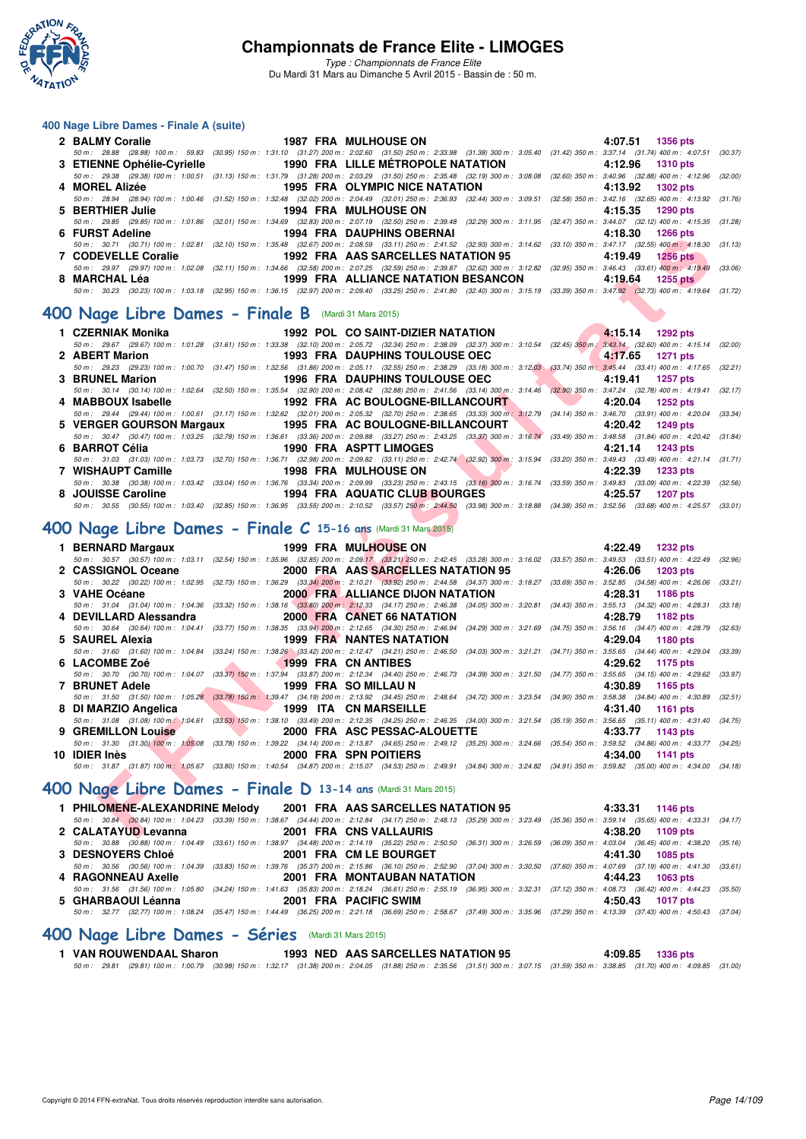

*Type : Championnats de France Elite* Du Mardi 31 Mars au Dimanche 5 Avril 2015 - Bassin de : 50 m.

#### **400 Nage Libre Dames - Finale A (suite)**

| 50 m: 28.88 (28.88) 100 m: 59.83 (30.95) 150 m: 1:31.10 (31.27) 200 m: 2:02.60 (31.50) 250 m: 2:33.98 (31.38) 300 m: 3:05.40 (31.42) 350 m: 3:37.14 (31.74) 400 m: 4:07.51 (30.37)           |
|----------------------------------------------------------------------------------------------------------------------------------------------------------------------------------------------|
|                                                                                                                                                                                              |
| 50 m : 29.38 (29.38) 100 m : 1:00.51 (31.13) 150 m : 1:31.79 (31.28) 200 m : 2:03.29 (31.50) 250 m : 2:35.48 (32.19) 300 m : 3:08.08 (32.60) 350 m : 3:40.96 (32.88) 400 m : 4:12.96 (32.89) |
|                                                                                                                                                                                              |
| 50 m: 28.94 (28.94) 100 m: 1:00.46 (31.52) 150 m: 1:32.48 (32.02) 200 m: 2:04.49 (32.01) 250 m: 2:36.93 (32.44) 300 m: 3:09.51 (32.58) 350 m: 3:42.16 (32.65) 400 m: 4:13.92 (31.76)         |
|                                                                                                                                                                                              |
| 50 m : 29.85 (29.85) 100 m : 1:01.86 (32.01) 150 m : 1:34.69 (32.83) 200 m : 2:07.19 (32.50) 250 m : 2:39.48 (32.29) 300 m : 3:11.95 (32.47) 350 m : 3:44.07 (32.12) 400 m : 4:15.35 (31.28) |
|                                                                                                                                                                                              |
| 50 m: 30.71 (30.71) 100 m: 1:02.81 (32.10) 150 m: 1:35.48 (32.67) 200 m: 2:08.59 (33.11) 250 m: 2:41.52 (32.93) 300 m: 3:14.62 (33.10) 350 m: 3:47.17 (32.55) 400 m: 4:18.30 (31.13)         |
|                                                                                                                                                                                              |
| 50 m : 29.97 (29.97) 100 m : 1:02.08 (32.11) 150 m : 1:34.66 (32.58) 200 m : 2:07.25 (32.59) 250 m : 2:39.87 (32.62) 300 m : 3:12.82 (32.95) 350 m : 3:46.43 (33.61) 400 m : 4:19.49 (33.06) |
|                                                                                                                                                                                              |
| 50 m : 30.23 (30.23) 100 m : 1:03.18 (32.95) 150 m : 1:36.15 (32.97) 200 m : 2:09.40 (33.25) 250 m : 2:41.80 (32.40) 300 m : 3:15.19 (33.39) 350 m : 3:47.92 (32.73) 400 m : 4:19.64 (31.72) |
|                                                                                                                                                                                              |

#### **[400 Nage Libre Dames - Finale B](http://www.ffnatation.fr/webffn/resultats.php?idact=nat&go=epr&idcpt=27187&idepr=4)** (Mardi 31 Mars 2015)

| 1 CZERNIAK Monika                                                      | 1992 POL CO SAINT-DIZIER NATATION 4:15.14 1292 pts                               |                                                                                                                                                                                              |
|------------------------------------------------------------------------|----------------------------------------------------------------------------------|----------------------------------------------------------------------------------------------------------------------------------------------------------------------------------------------|
|                                                                        |                                                                                  | 50 m : 29.67 (29.67) 100 m : 1:01.28 (31.61) 150 m : 1:33.38 (32.10) 200 m : 2:05.72 (32.34) 250 m : 2:38.09 (32.37) 300 m : 3:10.54 (32.45) 350 m : 3:43.14 (32.60) 400 m : 4:15.14 (32.00) |
| 2 ABERT Marion                                                         | 1993 FRA DAUPHINS TOULOUSE OEC <b>The CONTACT 1993</b> FRA DAUPHINS TOULOUSE OEC |                                                                                                                                                                                              |
|                                                                        |                                                                                  | 50 m: 29.23 (29.23) 100 m: 1:00.70 (31.47) 150 m: 1:32.56 (31.86) 200 m: 2:05.11 (32.55) 250 m: 2:38.29 (33.18) 300 m: 3:12.03 (33.74) 350 m: 3:45.44 (33.41) 400 m: 4:17.65 (32.21)         |
| 3 BRUNEL Marion 1956 FRA DAUPHINS TOULOUSE OEC 4:19.41 1257 pts        |                                                                                  |                                                                                                                                                                                              |
|                                                                        |                                                                                  | 50 m : 30.14 (30.14) 100 m : 1:02.64 (32.50) 150 m : 1:35.54 (32.90) 200 m : 2:08.42 (32.88) 250 m : 2:41.56 (33.14) 300 m : 3:14.46 (32.90) 350 m : 3:47.24 (32.78) 400 m : 4:19.41 (32.77) |
| 4.20.04 1252 pts = 1992 FRA AC BOULOGNE-BILLANCOURT = 4:20.04 1252 pts |                                                                                  |                                                                                                                                                                                              |
|                                                                        |                                                                                  | 50 m : 29.44 (29.44) 100 m : 1:00.61 (31.17) 150 m : 1:32.62 (32.01) 200 m : 2:05.32 (32.70) 250 m : 2:38.65 (33.33) 300 m : 3:12.79 (34.14) 350 m : 3:46.70 (33.91) 400 m : 4:20.04 (33.34) |
| 5 VERGER GOURSON Margaux 1995 FRA AC BOULOGNE-BILLANCOURT              |                                                                                  | 4:20.42 1249 pts                                                                                                                                                                             |
|                                                                        |                                                                                  | 50 m: 30.47 (30.47) 100 m: 1:03.25 (32.78) 150 m: 1:36.61 (33.36) 200 m: 2:09.88 (33.27) 250 m: 2:43.25 (33.37) 300 m: 3:16.74 (33.49) 350 m: 3:48.58 (31.84) 400 m: 4:20.42 (31.84)         |
| 6 BARROT Célia                                                         | <b>EXAMPLE 1990 FRAMP ASPTT LIMOGES</b>                                          | 4:21.14 1243 pts                                                                                                                                                                             |
|                                                                        |                                                                                  | 50 m: 31.03 (31.03) 100 m: 1:03.73 (32.70) 150 m: 1:36.71 (32.98) 200 m: 2:09.82 (33.11) 250 m: 2:42.74 (32.92) 300 m: 3:15.94 (33.20) 350 m: 3:49.43 (33.49) 400 m: 4:21.14 (31.71)         |
| 7 WISHAUPT Camille <b>1998 FRA MULHOUSE ON</b>                         |                                                                                  | 4:22.39 1233 pts                                                                                                                                                                             |
|                                                                        |                                                                                  | 50 m : 30.38 (30.38) 100 m : 1:03.42 (33.04) 150 m : 1:36.76 (33.34) 200 m : 2:09.99 (33.23) 250 m : 2:43.15 (33.16) 300 m : 3:16.74 (33.59) 350 m : 3:49.83 (33.09) 400 m : 4:22.39 (32.56) |
|                                                                        |                                                                                  | 4:25.57<br>1207 pts                                                                                                                                                                          |
|                                                                        |                                                                                  | 50 m: 30.55 (30.55) 100 m: 1:03.40 (32.85) 150 m: 1:36.95 (33.55) 200 m: 2:10.52 (33.57) 250 m: 2:44.50 (33.98) 300 m: 3:18.88 (34.38) 350 m: 3:52.56 (33.68) 400 m: 4:25.57 (33.01)         |

# **[400 Nage Libre Dames - Finale C](http://www.ffnatation.fr/webffn/resultats.php?idact=nat&go=epr&idcpt=27187&idepr=4) 15-16 ans** (Mardi 31 Mars 2015)

| <b>FUNJI AUCING</b>                                                                                                                                                                                         |                                                                                                                                                                                                                                      |  | 1994 FRA DAUFILING ODERNAL              |                           |                          | 4.10.30 | בוע טטבו           |         |
|-------------------------------------------------------------------------------------------------------------------------------------------------------------------------------------------------------------|--------------------------------------------------------------------------------------------------------------------------------------------------------------------------------------------------------------------------------------|--|-----------------------------------------|---------------------------|--------------------------|---------|--------------------|---------|
| 50 m: 30.71 (30.71) 100 m: 1:02.81 (32.10) 150 m: 1:35.48 (32.67) 200 m: 2:08.59 (33.11) 250 m: 2:41.52 (32.93) 300 m: 3:14.62 (33.10) 350 m: 3:47.17 (32.55) 400 m: 4:18.30 (31.13)                        |                                                                                                                                                                                                                                      |  |                                         |                           |                          |         |                    |         |
| 7 CODEVELLE Coralie                                                                                                                                                                                         | 1992 FRA AAS SARCELLES NATATION 95                                                                                                                                                                                                   |  |                                         |                           |                          | 4:19.49 | <b>1256 pts</b>    |         |
| 50 m: 29.97 (29.97) 100 m: 1:02.08 (32.11) 150 m: 1:34.66 (32.58) 200 m: 2:07.25 (32.59) 250 m: 2:39.87 (32.62) 300 m: 3:12.82 (32.95) 350 m: 3:46.43 (33.61) 400 m: 4:19.49 (33.06)                        |                                                                                                                                                                                                                                      |  |                                         |                           |                          |         |                    |         |
| 8 MARCHAL Léa                                                                                                                                                                                               |                                                                                                                                                                                                                                      |  | 1999 FRA ALLIANCE NATATION BESANCON     |                           |                          |         | $4:19.64$ 1255 pts |         |
| 50 m: 30.23 (30.23) 100 m: 1:03.18 (32.95) 150 m: 1:36.15 (32.97) 200 m: 2:09.40 (33.25) 250 m: 2:41.80 (32.40) 300 m: 3:15.19 (33.39) 350 m: 3:47.92 (32.73) 400 m: 4:19.64 (31.72)                        |                                                                                                                                                                                                                                      |  |                                         |                           |                          |         |                    |         |
|                                                                                                                                                                                                             |                                                                                                                                                                                                                                      |  |                                         |                           |                          |         |                    |         |
| <b>00 Nage Libre Dames - Finale B (Mardi 31 Mars 2015)</b>                                                                                                                                                  |                                                                                                                                                                                                                                      |  |                                         |                           |                          |         |                    |         |
|                                                                                                                                                                                                             |                                                                                                                                                                                                                                      |  |                                         |                           |                          |         |                    |         |
| 1 CZERNIAK Monika                                                                                                                                                                                           |                                                                                                                                                                                                                                      |  | 1992 POL CO SAINT-DIZIER NATATION       |                           |                          |         | 4:15.14 1292 pts   |         |
| 50 m : 29.67 (29.67) 100 m : 1:01.28 (31.61) 150 m : 1:33.38 (32.10) 200 m : 2:05.72 (32.34) 250 m : 2:38.09 (32.37) 300 m : 3:10.54 (32.45) 350 m : 3:43.14 (32.60) 400 m : 4:15.14 (32.00)                |                                                                                                                                                                                                                                      |  |                                         |                           |                          |         |                    |         |
| 2 ABERT Marion                                                                                                                                                                                              |                                                                                                                                                                                                                                      |  | <b>1993 FRA DAUPHINS TOULOUSE OEC</b>   |                           |                          | 4:17.65 | <b>1271 pts</b>    |         |
| 50 m: 29.23 (29.23) 100 m: 1:00.70 (31.47) 150 m: 1:32.56 (31.86) 200 m: 2:05.11 (32.55) 250 m: 2:38.29 (33.18) 300 m: 3:12.03 (33.74) 350 m: 3:45.44 (33.41) 400 m: 4:17.65 (32.21)                        |                                                                                                                                                                                                                                      |  |                                         |                           |                          |         |                    |         |
| 3 BRUNEL Marion                                                                                                                                                                                             |                                                                                                                                                                                                                                      |  | <b>1996 FRA DAUPHINS TOULOUSE OEC</b>   |                           |                          | 4:19.41 | 1257 pts           |         |
| 50 m : 30.14 (30.14) 100 m : 1:02.64 (32.50) 150 m : 1:35.54 (32.90) 200 m : 2:08.42 (32.88) 250 m : 2:41.56 (33.14) 300 m : 3:14.46 (32.90) 350 m : 3:47.24 (32.78) 400 m : 4:19.41 (32.17)                |                                                                                                                                                                                                                                      |  |                                         |                           |                          |         |                    |         |
| 4 MABBOUX Isabelle                                                                                                                                                                                          | 1992 FRA AC BOULOGNE-BILLANCOURT                                                                                                                                                                                                     |  |                                         |                           | <b>Contract Contract</b> | 4:20.04 | 1252 pts           |         |
| 50 m: 29.44 (29.44) 100 m: 1:00.61 (31.17) 150 m: 1:32.62 (32.01) 200 m: 2:05.32 (32.70) 250 m: 2:38.65 (33.33) 300 m: 3:12.79 (34.14) 350 m: 3:46.70 (33.91) 400 m: 4:20.04 (33.34)                        |                                                                                                                                                                                                                                      |  |                                         |                           |                          |         |                    |         |
| 5 VERGER GOURSON Margaux 1995 FRA AC BOULOGNE-BILLANCOURT                                                                                                                                                   |                                                                                                                                                                                                                                      |  |                                         |                           |                          | 4:20.42 | 1249 pts           |         |
| 50 m: 30.47 (30.47) 100 m: 1:03.25 (32.78) 150 m: 1:36.61 (33.36) 200 m: 2:09.88 (33.27) 250 m: 2:43.25 (33.37) 300 m: 3:16.74 (33.49) 350 m: 3:48.58 (31.84) 400 m: 4:20.42 (31.84)                        |                                                                                                                                                                                                                                      |  |                                         |                           |                          |         |                    |         |
| 6 BARROT Célia                                                                                                                                                                                              |                                                                                                                                                                                                                                      |  | <b>1990 FRA ASPTT LIMOGES</b>           | <b>The Second Service</b> |                          | 4:21.14 | 1243 pts           |         |
| 50 m: 31.03 (31.03) 100 m: 1:03.73 (32.70) 150 m: 1:36.71 (32.98) 200 m: 2:09.82 (33.11) 250 m: 2:42.74 (32.92) 300 m: 3:15.94 (33.20) 350 m: 3:49.43 (33.49) 400 m: 4:21.14 (31.71)                        |                                                                                                                                                                                                                                      |  |                                         |                           |                          |         |                    |         |
| 7 WISHAUPT Camille                                                                                                                                                                                          |                                                                                                                                                                                                                                      |  | <b>1998 FRA MULHOUSE ON</b>             |                           |                          | 4:22.39 | 1233 pts           |         |
| 50 m: 30.38 (30.38) 100 m: 1:03.42 (33.04) 150 m: 1:36.76 (33.34) 200 m: 2:09.99 (33.23) 250 m: 2:43.15 (33.16) 300 m: 3:16.74 (33.59) 350 m: 3:49.83 (33.09) 400 m: 4:22.39 (32.56)                        |                                                                                                                                                                                                                                      |  |                                         |                           |                          |         |                    |         |
| 8 JOUISSE Caroline <b>1994 FRA AQUATIC CLUB BOURGES</b>                                                                                                                                                     |                                                                                                                                                                                                                                      |  |                                         |                           |                          |         |                    |         |
|                                                                                                                                                                                                             |                                                                                                                                                                                                                                      |  |                                         |                           |                          | 4:25.57 | 1207 pts           |         |
| 50 m: 30.55 (30.55) 100 m: 1:03.40 (32.85) 150 m: 1:36.95 (33.55) 200 m: 2:10.52 (33.57) 250 m: 2:44.50 (33.98) 300 m: 3:18.88 (34.38) 350 m: 3:52.56 (33.68) 400 m: 4:25.57 (33.01)                        |                                                                                                                                                                                                                                      |  |                                         |                           |                          |         |                    |         |
| 00 Nage Libre Dames - Finale C 15-16 ans (Mardi 31 Mars 2015)                                                                                                                                               |                                                                                                                                                                                                                                      |  |                                         |                           |                          |         |                    |         |
|                                                                                                                                                                                                             |                                                                                                                                                                                                                                      |  |                                         |                           |                          |         |                    |         |
|                                                                                                                                                                                                             |                                                                                                                                                                                                                                      |  |                                         |                           |                          |         |                    |         |
|                                                                                                                                                                                                             |                                                                                                                                                                                                                                      |  |                                         |                           |                          |         |                    |         |
| 1 BERNARD Margaux                                                                                                                                                                                           |                                                                                                                                                                                                                                      |  | 1999 FRA MULHOUSE ON                    |                           |                          |         | 4:22.49 1232 pts   |         |
| 50 m: 30.57 (30.57) 100 m: 1:03.11 (32.54) 150 m: 1:35.96 (32.85) 200 m: 2:09.17 (33.21) 250 m: 2:42.45 (33.28) 300 m: 3:16.02 (33.57) 350 m: 3:49.53 (33.51) 400 m: 4:22.49 (32.96)                        |                                                                                                                                                                                                                                      |  |                                         |                           |                          |         |                    |         |
| 2 CASSIGNOL Oceane                                                                                                                                                                                          |                                                                                                                                                                                                                                      |  | 2000 FRA AAS SARCELLES NATATION 95      |                           |                          | 4:26.06 | 1203 pts           |         |
| 50 m : 30.22 (30.22) 100 m : 1:02.95 (32.73) 150 m : 1:36.29 (33.34) 200 m : 2:10.21 (33.92) 250 m : 2:44.58 (34.37) 300 m : 3:18.27 (33.69) 350 m : 3:52.85 (34.58) 400 m : 4:26.06 (33.21)                |                                                                                                                                                                                                                                      |  |                                         |                           |                          |         |                    |         |
| 3 VAHE Océane                                                                                                                                                                                               |                                                                                                                                                                                                                                      |  | <b>2000 FRA ALLIANCE DIJON NATATION</b> |                           |                          | 4:28.31 | 1186 pts           |         |
| 50 m: 31.04 (31.04) 100 m: 1:04.36 (33.32) 150 m: 1:38.16 (33.80) 200 m: 2:12.33 (34.17) 250 m: 2:46.38 (34.05) 300 m: 3:20.81 (34.43) 350 m: 3:55.13 (34.32) 400 m: 4:28.31                                |                                                                                                                                                                                                                                      |  |                                         |                           |                          |         |                    | (33.18) |
| 4 DEVILLARD Alessandra                                                                                                                                                                                      |                                                                                                                                                                                                                                      |  | <b>2000 FRA CANET 66 NATATION</b>       |                           |                          | 4:28.79 | 1182 pts           |         |
| 50 m: 30.64 (30.64) 100 m: 1:04.41 (33.77) 150 m: 1:38.35 (33.94) 200 m: 2:12.65 (34.30) 250 m: 2:46.94 (34.29) 300 m: 3:21.69 (34.75) 350 m: 3:56.16 (34.47) 400 m: 4:28.79                                |                                                                                                                                                                                                                                      |  |                                         |                           |                          |         |                    | (32.63) |
| 5 SAUREL Alexia                                                                                                                                                                                             |                                                                                                                                                                                                                                      |  | <b>1999 FRA NANTES NATATION</b>         |                           |                          | 4:29.04 | 1180 pts           |         |
| 50 m: 31.60 (31.60) 100 m: 1:04.84 (33.24) 150 m: 1:38.26 (33.42) 200 m: 2:12.47 (34.21) 250 m: 2:46.50 (34.03) 300 m: 3:21.21 (34.71) 350 m: 3:55.65 (34.44) 400 m: 4:29.04                                |                                                                                                                                                                                                                                      |  |                                         |                           |                          |         |                    | (33.39) |
| 6 LACOMBE Zoé                                                                                                                                                                                               |                                                                                                                                                                                                                                      |  | <b>1999 FRA CN ANTIBES</b>              |                           |                          | 4:29.62 | 1175 pts           |         |
| 50 m: 30.70 (30.70) 100 m: 1:04.07 (33.37) 150 m: 1:37.94 (33.87) 200 m: 2:12.34 (34.40) 250 m: 2:46.73 (34.39) 300 m: 3:21.50 (34.77) 350 m: 3:55.65 (34.15) 400 m: 4:29.62 (33.97)                        |                                                                                                                                                                                                                                      |  |                                         |                           |                          |         |                    |         |
| 7 BRUNET Adele                                                                                                                                                                                              |                                                                                                                                                                                                                                      |  | 1999 FRA SO MILLAU N                    |                           |                          | 4:30.89 | 1165 pts           |         |
| 50 m: 31.50 (31.50) 100 m: 1:05.28 (33.78) 150 m: 1:39.47 (34.19) 200 m: 2:13.92 (34.45) 250 m: 2:48.64 (34.72) 300 m: 3:23.54 (34.90) 350 m: 3:58.38 (34.84) 400 m: 4:30.89 (32.51)                        |                                                                                                                                                                                                                                      |  |                                         |                           |                          |         |                    |         |
| 8 DI MARZIO Angelica                                                                                                                                                                                        | <u>the contract of the contract of the contract of the contract of the contract of the contract of the contract of the contract of the contract of the contract of the contract of the contract of the contract of the contract </u> |  | 1999 ITA CN MARSEILLE                   |                           |                          | 4:31.40 | 1161 pts           |         |
| 50 m: 31.08 (31.08) 100 m: 1:04.61 (33.53) 150 m: 1:38.10 (33.49) 200 m: 2:12.35 (34.25) 250 m: 2:46.35 (34.00) 300 m: 3:21.54 (35.19) 350 m: 3:56.65 (35.11) 400 m: 4:31.40 (34.75)                        |                                                                                                                                                                                                                                      |  |                                         |                           |                          |         |                    |         |
| 9 GREMILLON Louise                                                                                                                                                                                          | v.                                                                                                                                                                                                                                   |  | 2000 FRA ASC PESSAC-ALOUETTE            |                           |                          |         | 4:33.77 1143 pts   |         |
| 50 m: 31.30 (31.30) 100 m: 1:05.08 (33.78) 150 m: 1:39.22 (34.14) 200 m: 2:13.87 (34.65) 250 m: 2:49.12 (35.25) 300 m: 3:24.66 (35.54) 350 m: 3:59.52 (34.86) 400 m: 4:33.77 (34.25)                        |                                                                                                                                                                                                                                      |  |                                         |                           |                          |         |                    |         |
| 10 IDIER Inès                                                                                                                                                                                               |                                                                                                                                                                                                                                      |  | 2000 FRA SPN POITIERS                   |                           |                          | 4:34.00 | 1141 pts           |         |
| 50 m: 31.87 (31.87) 100 m: 1.05.67 (33.80) 150 m: 1:40.54 (34.87) 200 m: 2:15.07 (34.53) 250 m: 2:49.91 (34.84) 300 m: 3:24.82 (34.91) 350 m: 3:59.82 (35.00) 400 m: 4:34.00 (34.18)                        |                                                                                                                                                                                                                                      |  |                                         |                           |                          |         |                    |         |
|                                                                                                                                                                                                             |                                                                                                                                                                                                                                      |  |                                         |                           |                          |         |                    |         |
|                                                                                                                                                                                                             |                                                                                                                                                                                                                                      |  |                                         |                           |                          |         |                    |         |
| 00 Nage Libre Dames - Finale D 13-14 ans (Mardi 31 Mars 2015)                                                                                                                                               |                                                                                                                                                                                                                                      |  |                                         |                           |                          |         |                    |         |
| 1 PHILOMENE-ALEXANDRINE Melody                                                                                                                                                                              |                                                                                                                                                                                                                                      |  | 2001 FRA AAS SARCELLES NATATION 95      |                           |                          | 4:33.31 | 1146 pts           |         |
| 50 m: 30.84 (30.84) 100 m: 1:04.23 (33.39) 150 m: 1:38.67 (34.44) 200 m: 2:12.84 (34.17) 250 m: 2:48.13 (35.29) 300 m: 3:23.49 (35.36) 350 m: 3:59.14 (35.65) 400 m: 4:33.31 (34.17)<br>2 CALATAYUD Levanna | 2001 FRA CNS VALLAURIS                                                                                                                                                                                                               |  |                                         |                           |                          |         | 4:38.20 1109 pts   |         |

# **[400 Nage Libre Dames - Finale D](http://www.ffnatation.fr/webffn/resultats.php?idact=nat&go=epr&idcpt=27187&idepr=4) 13-14 ans** (Mardi 31 Mars 2015)

| 1 PHILOMENE-ALEXANDRINE Melody                 |                        | 2001 FRA AAS SARCELLES NATATION 95 | 4:33.31 1146 pts                                                                                                                                                                             |
|------------------------------------------------|------------------------|------------------------------------|----------------------------------------------------------------------------------------------------------------------------------------------------------------------------------------------|
|                                                |                        |                                    | 50 m: 30.84 (30.84) 100 m: 1:04.23 (33.39) 150 m: 1:38.67 (34.44) 200 m: 2:12.84 (34.17) 250 m: 2:48.13 (35.29) 300 m: 3:23.49 (35.36) 350 m: 3:59.14 (35.65) 400 m: 4:33.31 (34.17)         |
| 2 CALATAYUD Levanna                            | 2001 FRA CNS VALLAURIS |                                    | 4:38.20 1109 pts                                                                                                                                                                             |
|                                                |                        |                                    | 50 m: 30.88 (30.88) 100 m: 1:04.49 (33.61) 150 m: 1:38.97 (34.48) 200 m: 2:14.19 (35.22) 250 m: 2:50.50 (36.31) 300 m: 3:26.59 (36.09) 350 m: 4:03.04 (36.45) 400 m: 4:38.20 (35.16)         |
| 3 DESNOYERS Chloé 2001 FRA CM LE BOURGET       |                        |                                    | 4:41.30 1085 pts                                                                                                                                                                             |
|                                                |                        |                                    | 50 m : 30.56 (30.56) 100 m : 1:04.39 (33.83) 150 m : 1:39.76 (35.37) 200 m : 2:15.86 (36.10) 250 m : 2:52.90 (37.04) 300 m : 3:30.50 (37.60) 350 m : 4:07.69 (37.19) 400 m : 4:41.30 (33.61) |
| 4 RAGONNEAU Axelle 2001 FRA MONTAUBAN NATATION |                        |                                    | 4:44.23 1063 pts                                                                                                                                                                             |
|                                                |                        |                                    | 50 m: 31.56 (31.56) 100 m: 1:05.80 (34.24) 150 m: 1:41.63 (35.83) 200 m: 2:18.24 (36.61) 250 m: 2:55.19 (36.95) 300 m: 3:32.31 (37.12) 350 m: 4:08.73 (36.42) 400 m: 4:44.23 (35.50)         |
| 5 GHARBAOUI Léanna 2001 FRA PACIFIC SWIM       |                        |                                    | 4:50.43 1017 pts                                                                                                                                                                             |
|                                                |                        |                                    | 50 m: 32.77 (32.77) 100 m: 1:08.24 (35.47) 150 m: 1:44.49 (36.25) 200 m: 2:21.18 (36.69) 250 m: 2:58.67 (37.49) 300 m: 3:35.96 (37.29) 350 m: 4:13.39 (37.43) 400 m: 4:50.43 (37.04)         |
|                                                |                        |                                    |                                                                                                                                                                                              |

#### **[400 Nage Libre Dames - Séries](http://www.ffnatation.fr/webffn/resultats.php?idact=nat&go=epr&idcpt=27187&idepr=4)** (Mardi 31 Mars 2015)

**1 VAN ROUWENDAAL Sharon 1993 NED AAS SARCELLES NATATION 95 4:09.85 1336 pts**

*50 m : 29.81 (29.81) 100 m : 1:00.79 (30.98) 150 m : 1:32.17 (31.38) 200 m : 2:04.05 (31.88) 250 m : 2:35.56 (31.51) 300 m : 3:07.15 (31.59) 350 m : 3:38.85 (31.70) 400 m : 4:09.85 (31.00)*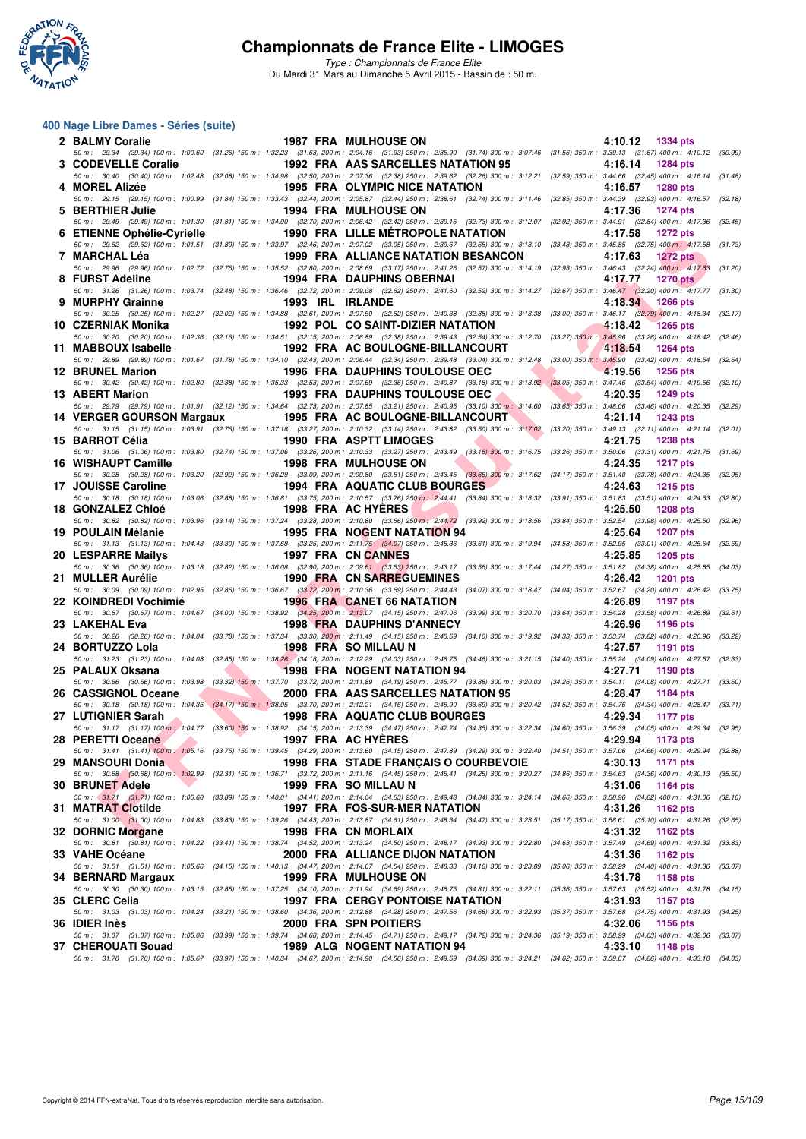

*Type : Championnats de France Elite* Du Mardi 31 Mars au Dimanche 5 Avril 2015 - Bassin de : 50 m.

#### **400 Nage Libre Dames - Séries (suite)**

| 2 BALMY Coralie            |                                                   | <b>1987 FRA MULHOUSE ON</b>                                                                                                                                                                                                                                                                                                                                                                                                                         |                               | 4:10.12 1334 pts                                                               |         |
|----------------------------|---------------------------------------------------|-----------------------------------------------------------------------------------------------------------------------------------------------------------------------------------------------------------------------------------------------------------------------------------------------------------------------------------------------------------------------------------------------------------------------------------------------------|-------------------------------|--------------------------------------------------------------------------------|---------|
| 3 CODEVELLE Coralie        |                                                   | 50 m: 29.34 (29.34) 100 m: 1:00.60 (31.26) 150 m: 1:32.23 (31.63) 200 m: 2:04.16 (31.93) 250 m: 2:35.90 (31.74) 300 m: 3:07.46 (31.56) 350 m: 3:39.13 (31.67) 400 m: 4:10.12 (30.99)<br>1992 FRA AAS SARCELLES NATATION 95                                                                                                                                                                                                                          |                               | 4:16.14<br>1284 pts                                                            |         |
|                            |                                                   | 50 m: 30.40 (30.40) 100 m: 1:02.48 (32.08) 150 m: 1:34.98 (32.50) 200 m: 2:07.36 (32.38) 250 m: 2:39.62 (32.26) 300 m: 3:12.21 (32.59) 350 m: 3:44.66 (32.45) 400 m: 4:16.14 (31.48)                                                                                                                                                                                                                                                                |                               |                                                                                |         |
| 4 MOREL Alizée             |                                                   | 1995 FRA OLYMPIC NICE NATATION<br>50 m: 29.15 (29.15) 100 m: 1:00.99 (31.84) 150 m: 1:33.43 (32.44) 200 m: 2:05.87 (32.44) 250 m: 2:38.61 (32.74) 300 m: 3:11.46 (32.85) 350 m: 3:44.39 (32.93) 400 m: 4:16.57 (32.18)                                                                                                                                                                                                                              |                               | 4:16.57<br><b>1280 pts</b>                                                     |         |
| 5 BERTHIER Julie           |                                                   | <b>1994 FRA MULHOUSE ON</b>                                                                                                                                                                                                                                                                                                                                                                                                                         |                               | 4:17.36<br><b>1274 pts</b>                                                     |         |
|                            |                                                   | 50 m: 29.49 (29.49) 100 m: 1:01.30 (31.81) 150 m: 1:34.00 (32.70) 200 m: 2:06.42 (32.42) 250 m: 2:39.15 (32.73) 300 m: 3:12.07 (32.92) 350 m: 3:44.91 (32.84) 400 m: 4:17.36 (32.45)                                                                                                                                                                                                                                                                |                               |                                                                                |         |
| 6 ETIENNE Ophélie-Cyrielle |                                                   | 1990 FRA LILLE MÉTROPOLE NATATION<br>50 m: 29.62 (29.62) 100 m: 1:01.51 (31.89) 150 m: 1:33.97 (32.46) 200 m: 2:07.02 (33.05) 250 m: 2:39.67 (32.65) 300 m: 3:13.10 (33.43) 350 m: 3:45.85 (32.75) 400 m: 4:17.58 (31.73)                                                                                                                                                                                                                           |                               | 4:17.58<br><b>1272 pts</b>                                                     |         |
| 7 MARCHAL Léa              |                                                   | 1999 FRA ALLIANCE NATATION BESANCON                                                                                                                                                                                                                                                                                                                                                                                                                 |                               | 4:17.63<br><b>1272 pts</b>                                                     |         |
| 8 FURST Adeline            |                                                   | 50 m: 29.96 (29.96) 100 m: 1:02.72 (32.76) 150 m: 1:35.52 (32.80) 200 m: 2:08.69 (33.17) 250 m: 2:41.26 (32.57) 300 m: 3:14.19 (32.93) 350 m: 3:46.43 (32.24) 400 m: 4:17.63 (31.20)<br><b>1994 FRA DAUPHINS OBERNAI</b>                                                                                                                                                                                                                            |                               | 4:17.77<br><b>1270 pts</b>                                                     |         |
|                            |                                                   | 50 m: 31.26 (31.26) 100 m: 1:03.74 (32.48) 150 m: 1:36.46 (32.72) 200 m: 2:09.08 (32.62) 250 m: 2:41.60 (32.52) 300 m: 3:14.27 (32.67) 350 m: 3:46.47 (32.20) 400 m: 4:17.77 (31.30)                                                                                                                                                                                                                                                                |                               |                                                                                |         |
| 9 MURPHY Grainne           |                                                   | 1993 IRL IRLANDE                                                                                                                                                                                                                                                                                                                                                                                                                                    |                               | 4:18.34 1266 pts                                                               |         |
| 10 CZERNIAK Monika         |                                                   | 50 m: 30.25 (30.25) 100 m: 1:02.27 (32.02) 150 m: 1:34.88 (32.61) 200 m: 2:07.50 (32.62) 250 m: 2:40.38 (32.88) 300 m: 3:13.38 (33.00) 350 m: 3:46.17 (32.79) 400 m: 4:18.34 (32.17)<br>1992 POL CO SAINT-DIZIER NATATION                                                                                                                                                                                                                           |                               | 4:18.42<br><b>1265 pts</b>                                                     |         |
|                            |                                                   | 50 m: 30.20 (30.20) 100 m: 1:02.36 (32.16) 150 m: 1:34.51 (32.15) 200 m: 2:06.89 (32.38) 250 m: 2:39.43 (32.54) 300 m: 3:12.70 (33.27) 350 m: 3:45.96 (33.26) 400 m: 4:18.42 (32.46)                                                                                                                                                                                                                                                                |                               |                                                                                |         |
| 11 MABBOUX Isabelle        |                                                   | 1992 FRA AC BOULOGNE-BILLANCOURT<br>50 m : 29.89 (29.89) 100 m : 1:01.67 (31.78) 150 m : 1:34.10 (32.43) 200 m : 2:06.44 (32.34) 250 m : 2:39.48 (33.04) 300 m : 3:12.48 (33.00) 350 m : 3:45.90 (33.42) 400 m : 4:18.54 (32.64)                                                                                                                                                                                                                    |                               | 4:18.54<br><b>1264 pts</b>                                                     |         |
| <b>12 BRUNEL Marion</b>    |                                                   | <b>Service Contract Contract Contract Contract</b><br><b>1996 FRA DAUPHINS TOULOUSE OEC</b>                                                                                                                                                                                                                                                                                                                                                         |                               | 4:19.56<br><b>1256 pts</b>                                                     |         |
|                            |                                                   | 50 m: 30.42 (30.42) 100 m: 1:02.80 (32.38) 150 m: 1:35.33 (32.53) 200 m: 2:07.69 (32.36) 250 m: 2:40.87 (33.18) 300 m: 3:13.92 (33.05) 350 m: 3:47.46 (33.54) 400 m: 4:19.56 (32.10)<br><b>All Contracts</b><br><b>1993 FRA DAUPHINS TOULOUSE OEC</b>                                                                                                                                                                                               | <b>The Contract of Street</b> | 4:20.35                                                                        |         |
| 13 ABERT Marion            |                                                   | 50 m: 29.79 (29.79) 100 m: 1:01.91 (32.12) 150 m: 1:34.64 (32.73) 200 m: 2:07.85 (33.21) 250 m: 2:40.95 (33.10) 300 m: 3:14.60 (33.65) 350 m: 3:48.06 (33.46) 400 m: 4:20.35 (32.29)                                                                                                                                                                                                                                                                |                               | 1249 pts                                                                       |         |
|                            |                                                   | 14 VERGER GOURSON Margaux 1995 FRA AC BOULOGNE-BILLANCOURT                                                                                                                                                                                                                                                                                                                                                                                          |                               | 4:21.14<br>1243 pts                                                            |         |
| 15 BARROT Célia            |                                                   | 50 m: 31.15 (31.15) 100 m: 1:03.91 (32.76) 150 m: 1:37.18 (33.27) 200 m: 2:10.32 (33.14) 250 m: 2:43.82 (33.50) 300 m: 3:17.02 (33.20) 350 m: 3:49.13 (32.11) 400 m: 4:21.14 (32.01)<br>1990 FRA ASPTT LIMOGES                                                                                                                                                                                                                                      |                               | 4:21.75<br>1238 pts                                                            |         |
|                            |                                                   | 50 m: 31.06 (31.06) 100 m: 1:03.80 (32.74) 150 m: 1:37.06 (33.26) 200 m: 2:10.33 (33.27) 250 m: 2:43.49 (33.16) 300 m: 3:16.75 (33.26) 350 m: 3:50.06 (33.31) 400 m: 4:21.75 (31.69)                                                                                                                                                                                                                                                                |                               |                                                                                |         |
| 16 WISHAUPT Camille        |                                                   | <b>The Contract of the Contract of the Contract of the Contract of the Contract of the Contract of the Contract of the Contract of the Contract of the Contract of the Contract of the Contract of the Contract of the Contract </b><br><b>1998 FRA MULHOUSE ON</b><br>50 m: 30.28 (30.28) 100 m: 1:03.20 (32.92) 150 m: 1:36.29 (33.09) 200 m: 2:09.80 (33.51) 250 m: 2:43.45 (33.65) 300 m: 3:17.62 (34.17) 350 m: 3:51.40 (33.78) 400 m: 4:24.35 |                               | 4:24.35<br><b>1217 pts</b>                                                     | (32.95) |
| 17 JOUISSE Caroline        |                                                   | 1994 FRA AQUATIC CLUB BOURGES                                                                                                                                                                                                                                                                                                                                                                                                                       |                               | 4:24.63<br><b>1215 pts</b>                                                     |         |
|                            |                                                   | 50 m: 30.18 (30.18) 100 m: 1:03.06 (32.88) 150 m: 1:36.81 (33.75) 200 m: 2:10.57 (33.76) 250 m; 2:44.41 (33.84) 300 m: 3:18.32 (33.91) 350 m: 3:51.83 (33.51) 400 m: 4:24.63 (32.80)                                                                                                                                                                                                                                                                |                               |                                                                                |         |
| 18 GONZALEZ Chloé          |                                                   | 1998 FRA AC HYERES<br>50 m : 30.82 (30.82) 100 m : 1:03.96 (33.14) 150 m : 1:37.24 (33.28) 200 m : 2:10.80 (33.56) 250 m : 2:44.72 (33.92) 300 m : 3:18.56 (33.84) 350 m : 3:52.54 (33.98) 400 m : 4:25.50 (32.96)                                                                                                                                                                                                                                  |                               | 4:25.50<br><b>1208 pts</b>                                                     |         |
| 19 POULAIN Mélanie         |                                                   | 1995 FRA NOGENT NATATION 94                                                                                                                                                                                                                                                                                                                                                                                                                         |                               | 4:25.64<br>1207 pts                                                            |         |
| 20 LESPARRE Mailys         |                                                   | 50 m: 31.13 (31.13) 100 m: 1:04.43 (33.30) 150 m: 1:37.68 (33.25) 200 m: 2:11.75 (34.07) 250 m: 2:45.36 (33.61) 300 m: 3:19.94 (34.58) 350 m: 3:52.95 (33.01) 400 m: 4:25.64<br>1997 FRA CN CANNES                                                                                                                                                                                                                                                  |                               | 4:25.85<br>1205 pts                                                            | (32.69) |
|                            |                                                   | 50 m: 30.36 (30.36) 100 m: 1:03.18 (32.82) 150 m: 1:36.08 (32.90) 200 m: 2:09.61 (33.53) 250 m: 2:43.17 (33.56) 300 m: 3:17.44 (34.27) 350 m: 3:51.82 (34.38) 400 m: 4:25.85 (34.03)                                                                                                                                                                                                                                                                |                               |                                                                                |         |
| 21 MULLER Aurélie          |                                                   | 1990 FRA CN SARREGUEMINES<br>50 m: 30.09 (30.09) 100 m: 1:02.95 (32.86) 150 m: 1:36.67 (33.72) 200 m: 2:10.36 (33.69) 250 m: 2:44.43 (34.07) 300 m: 3:18.47 (34.04) 350 m: 3:52.67 (34.20) 400 m: 4:26.42 (33.75)                                                                                                                                                                                                                                   |                               | 4:26.42<br>1201 pts                                                            |         |
| 22 KOINDREDI Vochimié      |                                                   | <b>1996 FRA CANET 66 NATATION</b>                                                                                                                                                                                                                                                                                                                                                                                                                   |                               | 4:26.89<br>1197 pts                                                            |         |
| 23 LAKEHAL Eva             |                                                   | 50 m: 30.67 (30.67) 100 m: 1:04.67 (34.00) 150 m: 1:38.92 (34.25) 200 m: 2:13.07 (34.15) 250 m: 2:47.06 (33.99) 300 m: 3:20.70 (33.64) 350 m: 3:54.28 (33.58) 400 m: 4:26.89<br><b>1998 FRA DAUPHINS D'ANNECY</b>                                                                                                                                                                                                                                   |                               | 4:26.96<br>1196 pts                                                            | (32.61) |
|                            |                                                   | 50 m : 30.26 (30.26) 100 m : 1:04.04 (33.78) 150 m : 1:37.34 (33.30) 200 m : 2:11.49 (34.15) 250 m : 2:45.59 (34.10) 300 m : 3:19.92 (34.33) 350 m : 3:53.74 (33.82) 400 m : 4:26.96                                                                                                                                                                                                                                                                |                               |                                                                                | (33.22) |
| 24 BORTUZZO Lola           |                                                   | 1998 FRA SO MILLAU N                                                                                                                                                                                                                                                                                                                                                                                                                                |                               | 4:27.57<br><b>1191 pts</b>                                                     |         |
| 25 PALAUX Oksana           | <b><i>Contract Contract Contract Contract</i></b> | 50 m: 31.23 (31.23) 100 m: 1:04.08 (32.85) 150 m: 1:38.26 (34.18) 200 m: 2:12.29 (34.03) 250 m: 2:46.75 (34.46) 300 m: 3:21.15 (34.40) 350 m: 3:55.24 (34.09) 400 m: 4:27.57 (32.33)<br><b>1998 FRA NOGENT NATATION 94</b>                                                                                                                                                                                                                          |                               | 4:27.71<br>1190 pts                                                            |         |
|                            |                                                   | 50 m: 30.66 (30.66) 100 m: 1:03.98 (33.32) 150 m: 1:37.70 (33.72) 200 m: 2:11.89 (34.19) 250 m: 2:45.77 (33.88) 300 m: 3:20.03 (34.26) 350 m: 3:54.11 (34.08) 400 m: 4:27.71 (33.60)                                                                                                                                                                                                                                                                |                               |                                                                                |         |
| 26 CASSIGNOL Oceane        | $\sim$                                            | 2000 FRA AAS SARCELLES NATATION 95<br>50 m: 30.18 (30.18) 100 m: 1:04.35 (34.17) 150 m: 1:38.05 (33.70) 200 m: 2:12.21 (34.16) 250 m: 2:45.90 (33.69) 300 m: 3:20.42 (34.52) 350 m: 3:54.76 (34.34) 400 m: 4:28.47 (33.71)                                                                                                                                                                                                                          |                               | 4:28.47<br>1184 pts                                                            |         |
| 27 LUTIGNIER Sarah         |                                                   | 1998 FRA AQUATIC CLUB BOURGES                                                                                                                                                                                                                                                                                                                                                                                                                       |                               | 4:29.34 1177 pts                                                               |         |
| 28 PERETTI Oceane          |                                                   | 50 m: 31.17 (31.17) 100 m: 1:04.77 (33.60) 150 m: 1:38.92 (34.15) 200 m: 2:13.39 (34.47) 250 m: 2:47.74 (34.35) 300 m: 3:22.34 (34.60) 350 m: 3:56.39 (34.05) 400 m: 4:29.34 (32.95)<br>1997 FRA AC HYERES                                                                                                                                                                                                                                          |                               | 4:29.94 1173 pts                                                               |         |
|                            |                                                   | 50 m : 31.41 (31.41) 100 m : 1:05.16 (33.75) 150 m : 1:39.45 (34.29) 200 m : 2:13.60 (34.15) 250 m : 2:47.89 (34.29) 300 m : 3:22.40 (34.51) 350 m : 3:57.06 (34.66) 400 m : 4:29.94                                                                                                                                                                                                                                                                |                               |                                                                                | (32.88) |
| 29 MANSOURI Donia          |                                                   | 1998 FRA STADE FRANÇAIS O COURBEVOIE                                                                                                                                                                                                                                                                                                                                                                                                                |                               | 4:30.13<br>1171 pts                                                            |         |
| 30 BRUNET Adele            |                                                   | 50 m: 30.68 (30.68) 100 m: 1:02.99 (32.31) 150 m: 1:36.71 (33.72) 200 m: 2:11.16 (34.45) 250 m: 2:45.41 (34.25) 300 m: 3:20.27 (34.86) 350 m: 3:54.63 (34.36) 400 m: 4:30.13<br>1999 FRA SO MILLAU N                                                                                                                                                                                                                                                |                               | 4:31.06<br>1164 pts                                                            | (35.50) |
|                            |                                                   | 50 m : 31.71 (31.71) 100 m : 1:05.60 (33.89) 150 m : 1:40.01 (34.41) 200 m : 2:14.64 (34.63) 250 m : 2:49.48 (34.84) 300 m : 3:24.14 (34.66) 350 m : 3:58.96 (34.82) 400 m : 4:31.06                                                                                                                                                                                                                                                                |                               |                                                                                | (32.10) |
| 31 MATRAT Clotilde         |                                                   | 1997 FRA FOS-SUR-MER NATATION<br>50 m : 31.00 (31.00) 100 m : 1:04.83 (33.83) 150 m : 1:39.26 (34.43) 200 m : 2:13.87 (34.61) 250 m : 2:48.34 (34.47) 300 m : 3:23.51                                                                                                                                                                                                                                                                               |                               | 4:31.26<br>1162 pts<br>$(35.17)$ 350 m : 3:58.61 $(35.10)$ 400 m : 4:31.26     | (32.65) |
| 32 DORNIC Morgane          |                                                   | 1998 FRA CN MORLAIX                                                                                                                                                                                                                                                                                                                                                                                                                                 |                               | 4:31.32<br>1162 pts                                                            |         |
| 33 VAHE Océane             |                                                   | 50 m : 30.81 (30.81) 100 m : 1:04.22 (33.41) 150 m : 1:38.74 (34.52) 200 m : 2:13.24 (34.50) 250 m : 2:48.17 (34.93) 300 m : 3:22.80<br>2000 FRA ALLIANCE DIJON NATATION                                                                                                                                                                                                                                                                            |                               | (34.63) 350 m : 3:57.49 (34.69) 400 m : 4:31.32 (33.83)<br>4:31.36<br>1162 pts |         |
|                            |                                                   | 50 m : 31.51 (31.51) 100 m : 1:05.66 (34.15) 150 m : 1:40.13 (34.47) 200 m : 2:14.67 (34.54) 250 m : 2:48.83 (34.16) 300 m : 3:23.89                                                                                                                                                                                                                                                                                                                |                               | (35.06) 350 m : 3:58.29 (34.40) 400 m : 4:31.36 (33.07)                        |         |
| 34 BERNARD Margaux         |                                                   | 1999 FRA MULHOUSE ON<br>50 m : 30.30 (30.30) 100 m : 1:03.15 (32.85) 150 m : 1:37.25 (34.10) 200 m : 2:11.94 (34.69) 250 m : 2:46.75 (34.81) 300 m : 3:22.11                                                                                                                                                                                                                                                                                        |                               | 4:31.78<br>1158 pts<br>(35.36) 350 m : 3:57.63 (35.52) 400 m : 4:31.78         | (34.15) |
| 35 CLERC Celia             |                                                   | <b>1997 FRA CERGY PONTOISE NATATION</b>                                                                                                                                                                                                                                                                                                                                                                                                             |                               | 4:31.93<br>1157 pts                                                            |         |
|                            |                                                   | 50 m : 31.03 (31.03) 100 m : 1:04.24 (33.21) 150 m : 1:38.60 (34.36) 200 m : 2:12.88 (34.28) 250 m : 2:47.56 (34.68) 300 m : 3:22.93 (35.37) 350 m : 3:57.68 (34.75) 400 m : 4:31.93                                                                                                                                                                                                                                                                |                               |                                                                                | (34.25) |
| 36 IDIER Inès              |                                                   | 2000 FRA SPN POITIERS<br>50 m : 31.07 (31.07) 100 m : 1:05.06 (33.99) 150 m : 1:39.74 (34.68) 200 m : 2:14.45 (34.71) 250 m : 2:49.17 (34.72) 300 m : 3:24.36 (35.19) 350 m : 3:58.99 (34.63) 400 m : 4:32.06 (33.07)                                                                                                                                                                                                                               |                               | 4:32.06<br>1156 pts                                                            |         |
| 37 CHEROUATI Souad         |                                                   | 1989 ALG NOGENT NATATION 94                                                                                                                                                                                                                                                                                                                                                                                                                         |                               | 4:33.10<br>1148 pts                                                            |         |
|                            |                                                   | 50 m : 31.70 (31.70) 100 m : 1:05.67 (33.97) 150 m : 1:40.34 (34.67) 200 m : 2:14.90 (34.56) 250 m : 2:49.59 (34.69) 300 m : 3:24.21 (34.62) 350 m : 3:59.07 (34.86) 400 m : 4:33.10 (34.03)                                                                                                                                                                                                                                                        |                               |                                                                                |         |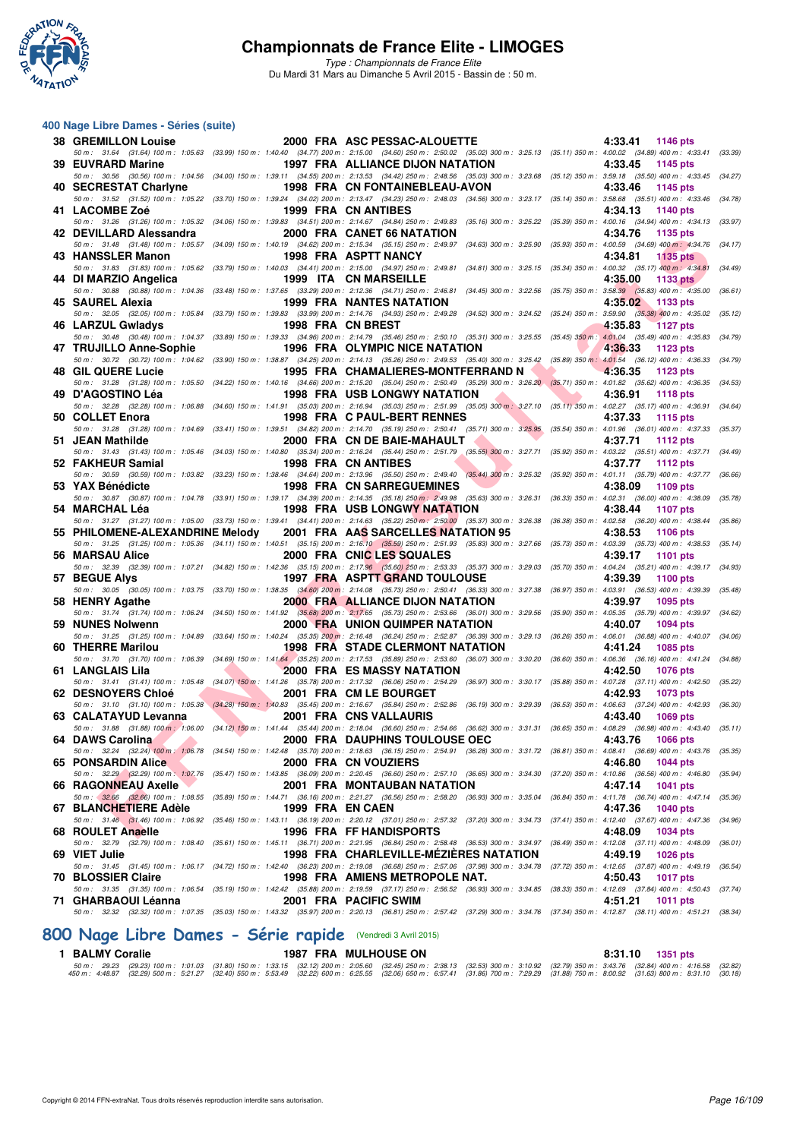

*Type : Championnats de France Elite* Du Mardi 31 Mars au Dimanche 5 Avril 2015 - Bassin de : 50 m.

#### **400 Nage Libre Dames - Séries (suite)**

| <b>38 GREMILLON Louise</b>      |                   | 2000 FRA ASC PESSAC-ALOUETTE                                                                                                                                                                                                                                                                                                                                                                                  | 4:33.41<br>1146 pts                                                                 |         |
|---------------------------------|-------------------|---------------------------------------------------------------------------------------------------------------------------------------------------------------------------------------------------------------------------------------------------------------------------------------------------------------------------------------------------------------------------------------------------------------|-------------------------------------------------------------------------------------|---------|
| 39 EUVRARD Marine               |                   | 50 m: 31.64 (31.64) 100 m: 1:05.63 (33.99) 150 m: 1:40.40 (34.77) 200 m: 2:15.00 (34.60) 250 m: 2:50.02 (35.02) 300 m: 3:25.13 (35.11) 350 m: 4:00.02 (34.89) 400 m: 4:33.41 (33.39)<br><b>1997 FRA ALLIANCE DIJON NATATION</b>                                                                                                                                                                               | 4:33.45<br>1145 pts                                                                 |         |
|                                 |                   | 50 m: 30.56 (30.56) 100 m: 1:04.56 (34.00) 150 m: 1:39.11 (34.55) 200 m: 2:13.53 (34.42) 250 m: 2:48.56 (35.03) 300 m: 3:23.68 (35.12) 350 m: 3:59.18 (35.50) 400 m: 4:33.45 (34.27)                                                                                                                                                                                                                          |                                                                                     |         |
| 40 SECRESTAT Charlyne           |                   | 1998 FRA CN FONTAINEBLEAU-AVON<br>50 m: 31.52 (31.52) 100 m: 1:05.22 (33.70) 150 m: 1:39.24 (34.02) 200 m: 2:13.47 (34.23) 250 m: 2:48.03 (34.56) 300 m: 3:23.17 (35.14) 350 m: 3:58.68 (35.51) 400 m: 4:33.46                                                                                                                                                                                                | 4:33.46<br>1145 pts                                                                 | (34.78) |
| 41 LACOMBE Zoé                  |                   | 1999 FRA CN ANTIBES                                                                                                                                                                                                                                                                                                                                                                                           | 4:34.13<br>1140 pts                                                                 |         |
| 42 DEVILLARD Alessandra         |                   | 50 m: 31.26 (31.26) 100 m: 1:05.32 (34.06) 150 m: 1:39.83 (34.51) 200 m: 2:14.67 (34.84) 250 m: 2:49.83 (35.16) 300 m: 3:25.22 (35.39) 350 m: 4:00.16 (34.94) 400 m: 4:34.13<br>2000 FRA CANET 66 NATATION                                                                                                                                                                                                    | 4:34.76<br>1135 pts                                                                 | (33.97) |
|                                 |                   | 50 m : 31.48 (31.48) 100 m : 1:05.57 (34.09) 150 m : 1:40.19 (34.62) 200 m : 2:15.34 (35.15) 250 m : 2:49.97 (34.63) 300 m : 3:25.90 (35.93) 350 m : 4:00.59 (34.69) 400 m : 4:34.76 (34.17)                                                                                                                                                                                                                  |                                                                                     |         |
| 43 HANSSLER Manon               |                   | 1998 FRA ASPTT NANCY<br>50 m: 31.83 (31.83) 100 m: 1:05.62 (33.79) 150 m: 1:40.03 (34.41) 200 m: 2:15.00 (34.97) 250 m: 2:49.81 (34.81) 300 m: 3:25.15 (35.34) 350 m: 4:00.32 (35.17) 400 m: 4:34.81                                                                                                                                                                                                          | 4:34.81<br>$1135$ pts                                                               | (34.49) |
| 44 DI MARZIO Angelica           |                   | 1999 ITA CN MARSEILLE                                                                                                                                                                                                                                                                                                                                                                                         | 4:35.00<br>1133 pts                                                                 |         |
| 45 SAUREL Alexia                |                   | 50 m: 30.88 (30.88) 100 m: 1:04.36 (33.48) 150 m: 1:37.65 (33.29) 200 m: 2:12.36 (34.71) 250 m: 2:46.81 (34.45) 300 m: 3:22.56 (35.75) 350 m: 3:58.39 (35.83) 400 m: 4:35.00 (36.61)<br><b>1999 FRA NANTES NATATION</b>                                                                                                                                                                                       | 4:35.02<br>1133 pts                                                                 |         |
|                                 |                   | 50 m: 32.05 (32.05) 100 m: 1:05.84 (33.79) 150 m: 1:39.83 (33.99) 200 m: 2:14.76 (34.93) 250 m: 2:49.28 (34.52) 300 m: 3:24.52 (35.24) 350 m: 3:59.90 (35.38) 400 m: 4:35.02                                                                                                                                                                                                                                  |                                                                                     | (35.12) |
| 46 LARZUL Gwladys               | 1998 FRA CN BREST | 50 m: 30.48 (30.48) 100 m: 1:04.37 (33.89) 150 m: 1:39.33 (34.96) 200 m: 2:14.79 (35.46) 250 m: 2:50.10 (35.31) 300 m: 3:25.55 (35.45) 350 m: 4:01.04 (35.49) 400 m: 4:35.83                                                                                                                                                                                                                                  | 4:35.83<br><b>1127 pts</b>                                                          | (34.79) |
| 47 TRUJILLO Anne-Sophie         |                   | 1996 FRA OLYMPIC NICE NATATION                                                                                                                                                                                                                                                                                                                                                                                | 4:36.33<br>1123 pts                                                                 |         |
| 48 GIL QUERE Lucie              |                   | 50 m: 30.72 (30.72) 100 m: 1:04.62 (33.90) 150 m: 1:38.87 (34.25) 200 m: 2:14.13 (35.26) 250 m: 2:49.53 (35.40) 300 m: 3:25.42 (35.89) 350 m: 4:01.54 (36.12) 400 m: 4:36.33<br>1995 FRA CHAMALIERES-MONTFERRAND N                                                                                                                                                                                            | 4:36.35<br>1123 pts                                                                 | (34.79) |
|                                 |                   | 50 m: 31.28 (31.28) 100 m: 1:05.50 (34.22) 150 m: 1:40.16 (34.66) 200 m: 2:15.20 (35.04) 250 m: 2:50.49 (35.29) 300 m: 3:26.20 (35.71) 350 m: 4:01.82 (35.62) 400 m: 4:36.35 (34.53)                                                                                                                                                                                                                          |                                                                                     |         |
| 49 D'AGOSTINO Léa               |                   | <b>1998 FRA USB LONGWY NATATION</b><br>50 m : 32.28 (32.28) 100 m : 1:06.88 (34.60) 150 m : 1:41.91 (35.03) 200 m : 2:16.94 (35.03) 250 m : 2:51.99 (35.05) 300 m : 3:27.10 (35.11) 350 m : 4:02.27 (35.17) 400 m : 4:36.91 (34.64)                                                                                                                                                                           | 4:36.91<br><b>1118 pts</b>                                                          |         |
| 50 COLLET Enora                 |                   | 1998 FRA C PAUL-BERT RENNES                                                                                                                                                                                                                                                                                                                                                                                   | 4:37.33<br>1115 pts                                                                 |         |
| 51 JEAN Mathilde                |                   | 50 m : 31.28 (31.28) 100 m : 1:04.69 (33.41) 150 m : 1:39.51 (34.82) 200 m : 2:14.70 (35.19) 250 m : 2:50.41 (35.71) 300 m : 3:25.95<br>2000 FRA CN DE BAIE-MAHAULT                                                                                                                                                                                                                                           | $(35.54)$ 350 m : 4:01.96 $(36.01)$ 400 m : 4:37.33<br>4:37.71<br><b>1112 pts</b>   | (35.37) |
|                                 |                   | 50 m: 31.43 (31.43) 100 m: 1:05.46 (34.03) 150 m: 1:40.80 (35.34) 200 m: 2:16.24 (35.44) 250 m: 2:51.79 (35.55) 300 m: 3:27.71                                                                                                                                                                                                                                                                                | (35.92) 350 m : 4:03.22 (35.51) 400 m : 4:37.71 (34.49)                             |         |
| 52 FAKHEUR Samial               |                   | 1998 FRA CN ANTIBES<br>50 m : 30.59 (30.59) 100 m : 1:03.82 (33.23) 150 m : 1:38.46 (34.64) 200 m : 2:13.96 (35.50) 250 m : 2:49.40 (35.44) 300 m : 3:25.32                                                                                                                                                                                                                                                   | 4:37.77<br><b>1112 pts</b><br>(35.92) 350 m: 4:01.11 (35.79) 400 m: 4:37.77         | (36.66) |
| 53 YAX Bénédicte                |                   | <b>1998 FRA CN SARREGUEMINES</b>                                                                                                                                                                                                                                                                                                                                                                              | 4:38.09<br>1109 pts                                                                 |         |
| 54 MARCHAL Léa                  |                   | 50 m : 30.87 (30.87) 100 m : 1:04.78 (33.91) 150 m : 1:39.17 (34.39) 200 m : 2:14.35 (35.18) 250 m : 2:49.98 (35.63) 300 m : 3:26.31<br><b>1998 FRA USB LONGWY NATATION</b>                                                                                                                                                                                                                                   | $(36.33)$ 350 m : 4:02.31 $(36.00)$ 400 m : 4:38.09<br>4:38.44<br>1107 pts          | (35.78) |
|                                 |                   | 50 m : 31.27 (31.27) 100 m : 1:05.00 (33.73) 150 m : 1:39.41 (34.41) 200 m : 2:14.63 (35.22) 250 m : 2:50.00 (35.37) 300 m : 3:26.38 (36.38) 350 m : 4:02.58 (36.20) 400 m : 4:38.44                                                                                                                                                                                                                          |                                                                                     | (35.86) |
|                                 |                   |                                                                                                                                                                                                                                                                                                                                                                                                               |                                                                                     |         |
| 55 PHILOMENE-ALEXANDRINE Melody |                   | 2001 FRA AAS SARCELLES NATATION 95                                                                                                                                                                                                                                                                                                                                                                            | 4:38.53<br>1106 pts                                                                 |         |
| 56 MARSAU Alice                 |                   | 50 m: 31.25 (31.25) 100 m: 1:05.36 (34.11) 150 m: 1:40.51 (35.15) 200 m: 2:16.10 (35.59) 250 m: 2:51.93 (35.83) 300 m: 3:27.66<br>2000 FRA CNIC LES SQUALES                                                                                                                                                                                                                                                   | $(35.73)$ 350 m : 4:03.39 $(35.73)$ 400 m : 4:38.53<br>4:39.17<br><b>1101 pts</b>   | (35.14) |
|                                 |                   | 50 m: 32.39 (32.39) 100 m: 1:07.21 (34.82) 150 m: 1:42.36 (35.15) 200 m: 2:17.96 (35.60) 250 m: 2:53.33 (35.37) 300 m: 3:29.03                                                                                                                                                                                                                                                                                | $(35.70)$ 350 m : 4:04.24 $(35.21)$ 400 m : 4:39.17 $(34.93)$                       |         |
| 57 BEGUE Alys                   |                   | 1997 FRA ASPTT GRAND TOULOUSE<br>50 m: 30.05 (30.05) 100 m: 1:03.75 (33.70) 150 m: 1:38.35 (34.60) 200 m: 2:14.08 (35.73) 250 m: 2:50.41 (36.33) 300 m: 3:27.38                                                                                                                                                                                                                                               | 4:39.39<br>1100 pts<br>$(36.97)$ 350 m : 4:03.91 $(36.53)$ 400 m : 4:39.39          | (35.48) |
| 58 HENRY Agathe                 |                   | <b>2000 FRA ALLIANCE DIJON NATATION</b>                                                                                                                                                                                                                                                                                                                                                                       | 4:39.97<br>1095 pts                                                                 |         |
| 59 NUNES Nolwenn                |                   | 50 m: 31.74 (31.74) 100 m: 1:06.24 (34.50) 150 m: 1:41.92 (35.68) 200 m: 2:17.65 (35.73) 250 m: 2:53.66 (36.01) 300 m: 3:29.56 (35.90) 350 m: 4:05.35 (35.79) 400 m: 4:39.97<br><b>2000 FRA UNION QUIMPER NATATION</b>                                                                                                                                                                                        | 4:40.07<br><b>1094 pts</b>                                                          | (34.62) |
|                                 |                   | 50 m: 31.25 (31.25) 100 m: 1:04.89 (33.64) 150 m: 1:40.24 (35.35) 200 m: 2:16.48 (36.24) 250 m: 2:52.87 (36.39) 300 m: 3:29.13 (36.26) 350 m: 4:06.01 (36.88) 400 m: 4:40.07                                                                                                                                                                                                                                  |                                                                                     | (34.06) |
| 60 THERRE Marilou               |                   | <b>1998 FRA STADE CLERMONT NATATION</b><br>50 m : 31.70 (31.70) 100 m : 1:06.39 (34.69) 150 m : 1:41.64 (35.25) 200 m : 2:17.53 (35.89) 250 m : 2:53.60 (36.07) 300 m : 3:30.20 (36.60) 350 m : 4:06.36 (36.16) 400 m : 4:41.24 (34.88)                                                                                                                                                                       | 4:41.24<br><b>1085 pts</b>                                                          |         |
| 61 LANGLAIS Lila                |                   | <b>2000 FRA ES MASSY NATATION</b>                                                                                                                                                                                                                                                                                                                                                                             | 4:42.50<br>1076 pts                                                                 |         |
| 62 DESNOYERS Chloé              |                   | 50 m: 31.41 (31.41) 100 m: 1:05.48 (34.07) 150 m: 1:41.26 (35.78) 200 m: 2:17.32 (36.06) 250 m: 2:54.29 (36.97) 300 m: 3:30.17 (35.88) 350 m: 4:07.28 (37.11) 400 m: 4:42.50 (35.22)<br>2001 FRA CM LE BOURGET                                                                                                                                                                                                | 4:42.93<br>1073 pts                                                                 |         |
|                                 |                   | 50 m : 31.10 (31.10) 100 m : 1:05.38 (34.28) 150 m : 1:40.83 (35.45) 200 m : 2:16.67 (35.84) 250 m : 2:52.86 (36.19) 300 m : 3:29.39 (36.53) 350 m : 4:06.63 (37.24) 400 m : 4:42.93 (36.30)                                                                                                                                                                                                                  |                                                                                     |         |
| 63 CALATAYUD Levanna            |                   | 2001 FRA CNS VALLAURIS<br>50 m: 31.88 (31.88) 100 m: 1:06.00 (34.12) 150 m: 1:41.44 (35.44) 200 m: 2:18.04 (36.60) 250 m: 2:54.66 (36.62) 300 m: 3:31.31 (36.65) 350 m: 4:08.29 (36.98) 400 m: 4:43.40 (35.11)                                                                                                                                                                                                | 4:43.40<br>1069 pts                                                                 |         |
| 64 DAWS Carolina                |                   | 2000 FRA DAUPHINS TOULOUSE OEC<br>50 m: 32.24 (32.24) 100 m: 1:06.78 (34.54) 150 m: 1:42.48 (35.70) 200 m: 2:18.63 (36.15) 250 m: 2:54.91 (36.28) 300 m: 3:31.72 (36.81) 350 m: 4:08.41 (36.69) 400 m: 4:43.76                                                                                                                                                                                                | 4:43.76 1066 pts                                                                    | (35.35) |
| 65 PONSARDIN Alice              |                   | 2000 FRA CN VOUZIERS                                                                                                                                                                                                                                                                                                                                                                                          | 4:46.80<br>1044 pts                                                                 |         |
|                                 |                   | 50 m : 32.29 (32.29) 100 m : 1:07.76 (35.47) 150 m : 1:43.85 (36.09) 200 m : 2:20.45 (36.60) 250 m : 2:57.10 (36.65) 300 m : 3:34.30 (37.20) 350 m : 4:10.86 (36.56) 400 m : 4:46.80 (35.94)                                                                                                                                                                                                                  |                                                                                     |         |
| 66 RAGONNEAU Axelle             |                   | 2001 FRA MONTAUBAN NATATION<br>50 m : (32.66 (32.66) 100 m : 1:08.55 (35.89) 150 m : 1:44.71 (36.16) 200 m : 2:21.27 (36.56) 250 m : 2:58.20 (36.93) 300 m : 3:35.04                                                                                                                                                                                                                                          | 4:47.14<br><b>1041 pts</b><br>(36.84) 350 m: 4:11.78 (36.74) 400 m: 4:47.14 (35.36) |         |
| 67 BLANCHETIERE Adèle           | 1999 FRA EN CAEN  |                                                                                                                                                                                                                                                                                                                                                                                                               | 4:47.36<br><b>1040 pts</b>                                                          |         |
| 68 ROULET Anaelle               |                   | 50 m: 31.46 (31.46) 100 m: 1:06.92 (35.46) 150 m: 1:43.11 (36.19) 200 m: 2:20.12 (37.01) 250 m: 2:57.32 (37.20) 300 m: 3:34.73 (37.41) 350 m: 4:12.40 (37.67) 400 m: 4:47.36 (34.96)<br><b>1996 FRA FF HANDISPORTS</b>                                                                                                                                                                                        | 4:48.09<br>1034 pts                                                                 |         |
|                                 |                   | 50 m : 32.79 (32.79) 100 m : 1:08.40 (35.61) 150 m : 1:45.11 (36.71) 200 m : 2:21.95 (36.84) 250 m : 2:58.48 (36.53) 300 m : 3:34.97                                                                                                                                                                                                                                                                          | $(36.49)$ 350 m : 4:12.08 $(37.11)$ 400 m : 4:48.09 $(36.01)$                       |         |
| 69 VIET Julie                   |                   | 1998 FRA CHARLEVILLE-MEZIERES NATATION<br>50 m : 31.45 (31.45) 100 m : 1:06.17 (34.72) 150 m : 1:42.40 (36.23) 200 m : 2:19.08 (36.68) 250 m : 2:57.06 (37.98) 300 m : 3:34.78                                                                                                                                                                                                                                | 4:49.19<br>1026 pts<br>(37.72) 350 m : 4:12.65 (37.87) 400 m : 4:49.19 (36.54)      |         |
| 70 BLOSSIER Claire              |                   | 1998 FRA AMIENS METROPOLE NAT.                                                                                                                                                                                                                                                                                                                                                                                | 4:50.43<br><b>1017 pts</b>                                                          |         |
| 71 GHARBAOUI Léanna             |                   | 50 m : 31.35 (31.35) 100 m : 1:06.54 (35.19) 150 m : 1:42.42 (35.88) 200 m : 2:19.59 (37.17) 250 m : 2:56.52 (36.93) 300 m : 3:34.85 (38.33) 350 m : 4:12.69 (37.84) 400 m : 4:50.43 (37.74)<br>2001 FRA PACIFIC SWIM<br>50 m: 32.32 (32.32) 100 m: 1:07.35 (35.03) 150 m: 1:43.32 (35.97) 200 m: 2:20.13 (36.81) 250 m: 2:57.42 (37.29) 300 m: 3:34.76 (37.34) 350 m: 4:12.87 (38.11) 400 m: 4:51.21 (38.34) | 4:51.21<br><b>1011 pts</b>                                                          |         |

# **[800 Nage Libre Dames - Série rapide](http://www.ffnatation.fr/webffn/resultats.php?idact=nat&go=epr&idcpt=27187&idepr=5)** (Vendredi 3 Avril 2015)

#### **1 BALMY Coralie 1987 FRA MULHOUSE ON 8:31.10 1351 pts** 50 m; 29.23 (29.23) 100 m; 1:01.03 (31.80) 150 m; 1:33.15 (32.12) 200 m; 2:05.60 (32.45) 250 m; 3:05.13 (32.59) 300 m; 3:110 m; 3:110 507 m; 3:110 m; 4:48.87 (32.29) 500 m; 4:16.58 (32.89) 500 m; 4:48.87 (32.89) 500 m; 4:4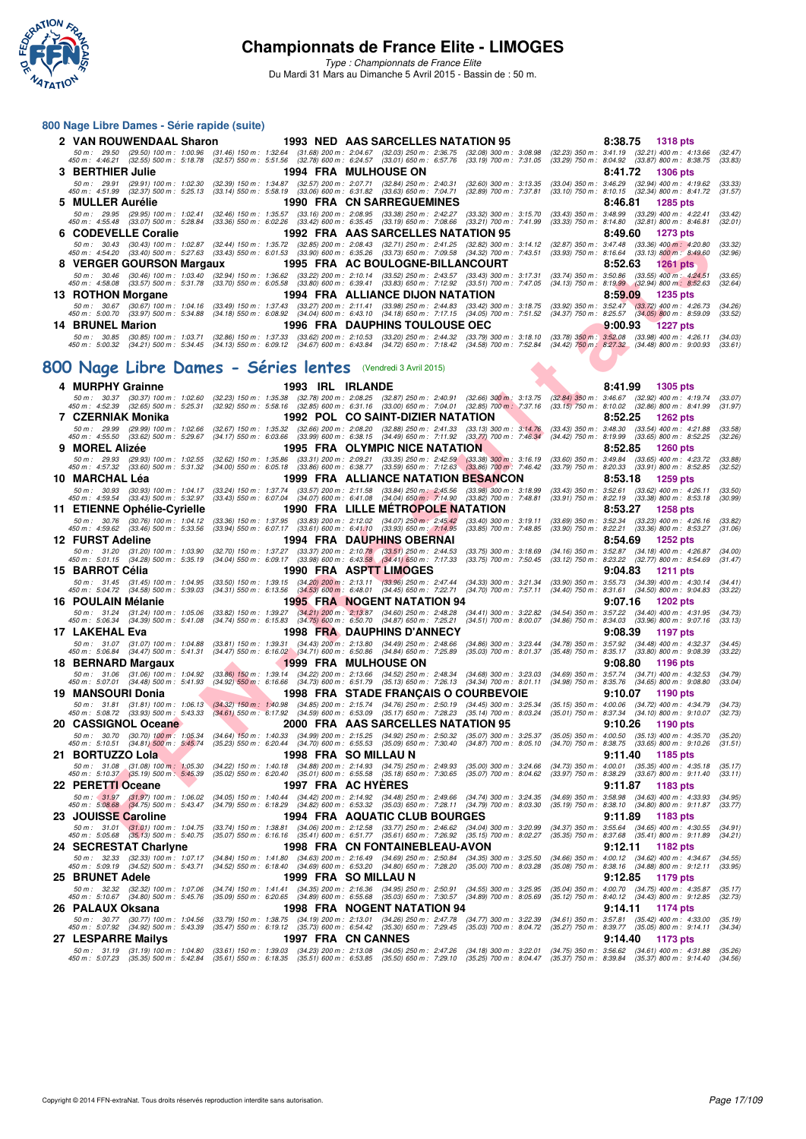

*Type : Championnats de France Elite* Du Mardi 31 Mars au Dimanche 5 Avril 2015 - Bassin de : 50 m.

#### **800 Nage Libre Dames - Série rapide (suite)**

|                         |                   |  |  | 2 VAN ROUWENDAAL Sharon 1993 NED AAS SARCELLES NATATION 95                                                                                                                                                                                                                                                                      |  |                                                         | 8:38.75 1318 pts   |                    |
|-------------------------|-------------------|--|--|---------------------------------------------------------------------------------------------------------------------------------------------------------------------------------------------------------------------------------------------------------------------------------------------------------------------------------|--|---------------------------------------------------------|--------------------|--------------------|
|                         |                   |  |  | 50 m: 29.50 (29.50) 100 m: 1:00.96 (31.46) 150 m: 1:32.64 (31.68) 200 m: 2:04.67 (32.03) 250 m: 2:36.75 (32.08) 300 m: 3:08.98 (32.23) 350 m: 3:41.19 (32.21) 400 m: 4:13.66<br>450 m : 4:46.21 (32.55) 500 m : 5:18.78 (32.57) 550 m : 5:51.56 (32.78) 600 m : 6:24.57 (33.01) 650 m : 6:57.76 (33.19) 700 m : 7:31.05         |  | (33.29) 750 m : 8:04.92 (33.87) 800 m : 8:38.75         |                    | (32.47)<br>(33.83) |
| 3 BERTHIER Julie        |                   |  |  | <b>1994 FRA MULHOUSE ON</b>                                                                                                                                                                                                                                                                                                     |  |                                                         | 8:41.72 1306 pts   |                    |
|                         |                   |  |  | 50 m: 29.91 (29.91) 100 m: 1:02.30 (32.39) 150 m: 1:34.87 (32.57) 200 m: 2:07.71 (32.84) 250 m: 2:40.31 (32.60) 300 m: 3:13.35 (33.04) 350 m: 3:46.29 (32.94) 400 m: 4:19.62<br>450 m : 4:51.99 (32.37) 500 m : 5:25.13 (33.14) 550 m : 5:58.19 (33.06) 600 m : 6:31.82 (33.63) 650 m : 7:04.71 (32.89) 700 m : 7:37.81         |  | $(33.10)$ 750 m : 8:10.15 $(32.34)$ 800 m : 8:41.72     |                    | (33.33)<br>(31.57) |
| 5 MULLER Aurélie        |                   |  |  | 1990 FRA CN SARREGUEMINES                                                                                                                                                                                                                                                                                                       |  |                                                         | 8:46.81 1285 pts   |                    |
|                         |                   |  |  | 50 m : 29.95 (29.95) 100 m : 1:02.41 (32.46) 150 m : 1:35.57 (33.16) 200 m : 2:08.95 (33.38) 250 m : 2:42.27 (33.32) 300 m : 3:15.70 (33.43) 350 m : 3:48.99 (33.29) 400 m : 4:22.41<br>450 m : 4:55.48 (33.07) 500 m : 5:28.84 (33.36) 550 m : 6:02.26 (33.42) 600 m : 6:35.45 (33.19) 650 m : 7:08.66 (33.21) 700 m : 7:41.99 |  | $(33.33)$ 750 m : 8:14.80 $(32.81)$ 800 m : 8:46.81     |                    | (33.42)<br>(32.01) |
|                         |                   |  |  | 6 CODEVELLE Coralie          1992 FRA AAS SARCELLES NATATION 95                                                                                                                                                                                                                                                                 |  |                                                         | 8:49.60 1273 pts   |                    |
|                         |                   |  |  | 50 m: 30.43 (30.43) 100 m: 1:02.87 (32.44) 150 m: 1:35.72 (32.85) 200 m: 2:08.43 (32.71) 250 m: 2:41.25 (32.82) 300 m: 3:14.12 (32.87) 350 m: 3:47.48 (33.36) 400 m: 4:20.80<br>450 m : 4:54.20 (33.40) 500 m : 5:27.63 (33.43) 550 m : 6:01.53 (33.90) 600 m : 6:35.26 (33.73) 650 m : 7:09.58 (34.32) 700 m : 7:43.51         |  | $(33.93)$ 750 m : 8:16.64 $(33.13)$ 800 m : 8:49.60     |                    | (33.32)<br>(32.96) |
|                         |                   |  |  |                                                                                                                                                                                                                                                                                                                                 |  |                                                         |                    |                    |
|                         |                   |  |  | 8 VERGER GOURSON Margaux               1995 FRA AC BOULOGNE-BILLANCOURT                                                                                                                                                                                                                                                         |  |                                                         | $8:52.63$ 1261 pts |                    |
|                         |                   |  |  | 50 m : 30.46 (30.46) 100 m : 1:03.40 (32.94) 150 m : 1:36.62 (33.22) 200 m : 2:10.14 (33.52) 250 m : 2:43.57 (33.43) 300 m : 3:17.31 (33.74) 350 m : 3:50.86 (33.55) 400 m : 4:24.51<br>450 m : 4:58.08 (33.57) 500 m : 5:31.78 (33.70) 550 m : 6:05.58 (33.80) 600 m : 6:39.41 (33.83) 650 m : 7:12.92 (33.51) 700 m : 7:47.05 |  | $(34.13)$ 750 m : 8:19.99 $(32.94)$ 800 m : 8:52.63     |                    | (33.65)<br>(32.64) |
|                         | 13 ROTHON Morgane |  |  | 1994 FRA ALLIANCE DIJON NATATION                                                                                                                                                                                                                                                                                                |  |                                                         | 8:59.09 1235 pts   |                    |
|                         |                   |  |  | 50 m : 30.67 (30.67) 100 m : 1:04.16 (33.49) 150 m : 1:37.43 (33.27) 200 m : 2:11.41 (33.98) 250 m : 2:44.83 (33.42) 300 m : 3:18.75 (33.92) 350 m : 3:52.47 (33.72) 400 m : 4:26.73<br>450 m : 5:00.70 (33.97) 500 m : 5:34.88 (34.18) 550 m : 6:08.92 (34.04) 600 m : 6:43.10 (34.18) 650 m : 7:17.15 (34.05) 700 m : 7:51.52 |  | $(34.37)$ 750 m : 8:25.57 $(34.05)$ 800 m : 8:59.09     |                    | (34.26)<br>(33.52) |
| <b>14 BRUNEL Marion</b> |                   |  |  | 1996 FRA DAUPHINS TOULOUSE OEC                                                                                                                                                                                                                                                                                                  |  |                                                         | $9:00.93$ 1227 pts |                    |
|                         |                   |  |  | 50 m: 30.85 (30.85) 100 m: 1:03.71 (32.86) 150 m: 1:37.33 (33.62) 200 m: 2:10.53 (33.20) 250 m: 2:44.32 (33.79) 300 m: 3:18.10 (33.78) 350 m: 3:52.08 (33.98) 400 m: 4:26.11<br>450 m : 5:00.32 (34.21) 500 m : 5:34.45 (34.13) 550 m : 6:09.12 (34.67) 600 m : 6:43.84 (34.72) 650 m : 7:18.42 (34.58) 700 m : 7:52.84         |  | $(34.42)$ 750 m $: 8:27.32$ $(34.48)$ 800 m $: 9:00.93$ |                    | (34.03)<br>(33.61) |
|                         |                   |  |  | 00 Nage Libre Dames - Séries lentes (Vendredi 3 Avril 2015)                                                                                                                                                                                                                                                                     |  |                                                         |                    |                    |

# **[800 Nage Libre Dames - Séries lentes](http://www.ffnatation.fr/webffn/resultats.php?idact=nat&go=epr&idcpt=27187&idepr=5)** (Vendredi 3 Avril 2015)

| v | <b>UUULVELLE UUIQIIE</b>                                                        |                                                        |                                                      | 1994 FRA AAJ                                    |                                                                                                                                              |                                                                                                                                                                                                                    |                                                          | 0.49.00<br><b>IZIJ</b> pis                                                                                                                                                              |                    |
|---|---------------------------------------------------------------------------------|--------------------------------------------------------|------------------------------------------------------|-------------------------------------------------|----------------------------------------------------------------------------------------------------------------------------------------------|--------------------------------------------------------------------------------------------------------------------------------------------------------------------------------------------------------------------|----------------------------------------------------------|-----------------------------------------------------------------------------------------------------------------------------------------------------------------------------------------|--------------------|
|   |                                                                                 |                                                        |                                                      |                                                 |                                                                                                                                              | 50 m : 30.43 (30.43) 100 m : 1:02.87 (32.44) 150 m : 1:35.72 (32.85) 200 m : 2:08.43 (32.71) 250 m : 2:41.25 (32.82) 300 m : 3:14.12                                                                               | (32.87) 350 m : 3:47.48                                  | $(33.36)$ 400 m : 4:20.80                                                                                                                                                               | (33.32)            |
|   |                                                                                 |                                                        |                                                      |                                                 |                                                                                                                                              | 450 m : 4:54.20 (33.40) 500 m : 5:27.63 (33.43) 550 m : 6:01.53 (33.90) 600 m : 6:35.26 (33.73) 650 m : 7:09.58 (34.32) 700 m : 7:43.51                                                                            |                                                          | $(33.93)$ 750 m : 8:16.64 $(33.13)$ 800 m : 8:49.60                                                                                                                                     | (32.96)            |
|   | 8 VERGER GOURSON Margaux                                                        |                                                        |                                                      |                                                 | 1995 FRA AC BOULOGNE-BILLANCOURT                                                                                                             |                                                                                                                                                                                                                    |                                                          | 8:52.63<br>1261 pts                                                                                                                                                                     |                    |
|   | 50 m : 30.46 (30.46) 100 m : 1:03.40<br>450 m : 4:58.08 (33.57) 500 m : 5:31.78 |                                                        | $(32.94)$ 150 m : 1:36.62<br>(33.70) 550 m : 6:05.58 |                                                 |                                                                                                                                              | (33.22) 200 m: 2:10.14 (33.52) 250 m: 2:43.57 (33.43) 300 m: 3:17.31<br>(33.80) 600 m : 6:39.41 (33.83) 650 m : 7:12.92 (33.51) 700 m : 7:47.05                                                                    | $(33.74)$ 350 m : 3.50.86<br>$(34.13)$ 750 m : $8:19.99$ | $(33.55)$ 400 m : 4:24.51<br>$(32.94)$ 800 m : 8:52.63                                                                                                                                  | (33.65)<br>(32.64) |
|   | 13 ROTHON Morgane                                                               |                                                        |                                                      |                                                 | 1994 FRA ALLIANCE DIJON NATATION                                                                                                             |                                                                                                                                                                                                                    |                                                          | 8:59.09<br><b>1235 pts</b>                                                                                                                                                              |                    |
|   | 50 m : 30.67                                                                    | $(30.67)$ 100 m : 1:04.16                              | $(33.49)$ 150 m : 1:37.43                            | $(33.27)$ 200 m : 2:11.41                       |                                                                                                                                              | (33.98) 250 m : 2:44.83 (33.42) 300 m : 3:18.75                                                                                                                                                                    | $(33.92)$ 350 m : 3:52.47                                | $(33.72)$ 400 m : 4:26.73                                                                                                                                                               | (34.26)            |
|   | 450 m : 5:00.70                                                                 | $(33.97)$ 500 m : 5:34.88                              | $(34.18)$ 550 m : 6:08.92                            | $(34.04)$ 600 m : 6:43.10                       |                                                                                                                                              | (34.18) 650 m: 7:17.15 (34.05) 700 m: 7:51.52                                                                                                                                                                      | (34.37) 750 m : 8:25.57                                  | $(34.05)$ 800 m : 8:59.09                                                                                                                                                               | (33.52)            |
|   | <b>14 BRUNEL Marion</b>                                                         |                                                        |                                                      |                                                 | <b>1996 FRA DAUPHINS TOULOUSE OEC</b>                                                                                                        |                                                                                                                                                                                                                    |                                                          | 9:00.93<br><b>1227 pts</b>                                                                                                                                                              |                    |
|   |                                                                                 |                                                        |                                                      |                                                 |                                                                                                                                              | 50 m: 30.85 (30.85) 100 m: 1:03.71 (32.86) 150 m: 1:37.33 (33.62) 200 m: 2:10.53 (33.20) 250 m: 2:44.32 (33.79) 300 m: 3:18.10                                                                                     | $(33.78)$ 350 m : 3:52.08                                | $(33.98)$ 400 m : 4:26.11                                                                                                                                                               | (34.03)            |
|   |                                                                                 |                                                        |                                                      |                                                 |                                                                                                                                              | 450 m : 5:00.32 (34.21) 500 m : 5:34.45 (34.13) 550 m : 6:09.12 (34.67) 600 m : 6:43.84 (34.72) 650 m : 7:18.42 (34.58) 700 m : 7:52.84                                                                            |                                                          | $(34.42)$ 750 m $: 8:27.32$ $(34.48)$ 800 m $: 9:00.93$                                                                                                                                 | (33.61)            |
|   |                                                                                 |                                                        |                                                      |                                                 |                                                                                                                                              |                                                                                                                                                                                                                    |                                                          |                                                                                                                                                                                         |                    |
|   |                                                                                 |                                                        |                                                      |                                                 | 00 Nage Libre Dames - Séries lentes (Vendredi 3 Avril 2015)                                                                                  |                                                                                                                                                                                                                    |                                                          |                                                                                                                                                                                         |                    |
|   | 4 MURPHY Grainne                                                                |                                                        |                                                      | 1993 IRL IRLANDE                                |                                                                                                                                              |                                                                                                                                                                                                                    |                                                          | 8:41.99<br>1305 pts                                                                                                                                                                     |                    |
|   |                                                                                 |                                                        |                                                      |                                                 |                                                                                                                                              |                                                                                                                                                                                                                    |                                                          | 50 m: 30.37 (30.37) 100 m: 1:02.60 (32.23) 150 m: 1:35.38 (32.78) 200 m: 2:08.25 (32.87) 250 m: 2:40.91 (32.66) 300 m: 3:13.75 (32.84) 350 m: 3:46.67 (32.92) 400 m: 4:19.74            | (33.07)            |
|   |                                                                                 |                                                        |                                                      |                                                 |                                                                                                                                              |                                                                                                                                                                                                                    |                                                          | 450 m : 4:52.39 (32.65) 500 m : 5:25.31 (32.92) 550 m : 5:58.16 (32.85) 600 m : 6:31.16 (33.00) 650 m : 7:04.01 (32.85) 700 m : 7:37.16 (33.15) 750 m : 8:10.02 (32.86) 800 m : 8:41.99 | (31.97)            |
|   | 7 CZERNIAK Monika                                                               |                                                        |                                                      |                                                 | 1992 POL CO SAINT-DIZIER NATATION                                                                                                            |                                                                                                                                                                                                                    |                                                          | 8:52.25<br><b>1262 pts</b>                                                                                                                                                              |                    |
|   | 50 m : 29.99                                                                    | (29.99) 100 m : 1:02.66                                |                                                      |                                                 |                                                                                                                                              | $(32.67)$ 150 m : 1:35.32 $(32.66)$ 200 m : 2:08.20 $(32.88)$ 250 m : 2:41.33 $(33.13)$ 300 m : 3:14.76                                                                                                            | $(33.43)$ 350 m : 3:48.30                                | $(33.54)$ 400 m : 4:21.88                                                                                                                                                               | (33.58)            |
|   | 450 m: 4:55.50 (33.62) 500 m: 5:29.67                                           |                                                        |                                                      |                                                 |                                                                                                                                              | $(34.17)$ 550 m : 6:03.66 $(33.99)$ 600 m : 6:38.15 $(34.49)$ 650 m : 7:11.92 $(33.77)$ 700 m : 7:46.34                                                                                                            |                                                          | (34.42) 750 m: 8:19.99 (33.65) 800 m: 8:52.25                                                                                                                                           | (32.26)            |
|   | 9 MOREL Alizée                                                                  |                                                        |                                                      |                                                 | 1995 FRA OLYMPIC NICE NATATION                                                                                                               |                                                                                                                                                                                                                    |                                                          | 8:52.85<br><b>1260 pts</b>                                                                                                                                                              |                    |
|   | 50 m: 29.93 (29.93) 100 m: 1:02.55                                              |                                                        |                                                      |                                                 |                                                                                                                                              | (32.62) 150 m : 1:35.86 (33.31) 200 m : 2:09.21 (33.35) 250 m : 2:42.59 (33.38) 300 m : 3:16.19                                                                                                                    |                                                          | (33.60) 350 m : 3:49.84 (33.65) 400 m : 4:23.72                                                                                                                                         | (33.88)<br>(32.52) |
|   | 450 m : 4:57.32 (33.60) 500 m : 5:31.32                                         |                                                        |                                                      |                                                 |                                                                                                                                              | $(34.00)$ 550 m : 6:05.18 $(33.86)$ 600 m : 6:38.77 $(33.59)$ 650 m : 7:12.63 $(33.86)$ 700 m : 7:46.42                                                                                                            |                                                          | (33.79) 750 m : 8:20.33 (33.91) 800 m : 8:52.85                                                                                                                                         |                    |
|   | 10 MARCHAL Lèa                                                                  |                                                        |                                                      |                                                 | 1999 FRA ALLIANCE NATATION BESANCON                                                                                                          |                                                                                                                                                                                                                    |                                                          | 8:53.18<br>1259 pts                                                                                                                                                                     |                    |
|   | 50 m : 30.93<br>450 m : 4:59.54                                                 | $(30.93)$ 100 m : 1:04.17<br>$(33.43)$ 500 m : 5:32.97 |                                                      |                                                 |                                                                                                                                              | $(33.24)$ 150 m : 1:37.74 $(33.57)$ 200 m : 2:11.58 $(33.84)$ 250 m : 2:45.56 $(33.98)$ 300 m : 3:18.99<br>$(33.43)$ 550 m : 6:07.04 $(34.07)$ 600 m : 6:41.08 $(34.04)$ 650 m : 7:14.90 $(33.82)$ 700 m : 7:48.81 | (33.43) 350 m : 3:52.61                                  | $(33.62)$ 400 m : 4:26.11<br>(33.91) 750 m: 8:22.19 (33.38) 800 m: 8:53.18                                                                                                              | (33.50)<br>(30.99) |
|   | 11 ETIENNE Ophélie-Cyrielle                                                     |                                                        |                                                      |                                                 | <b>1990 FRA LILLE METROPOLE NATATION</b>                                                                                                     |                                                                                                                                                                                                                    |                                                          | 8:53.27<br><b>1258 pts</b>                                                                                                                                                              |                    |
|   | 50 m: 30.76 (30.76) 100 m: 1:04.12                                              |                                                        |                                                      |                                                 |                                                                                                                                              | (33.36) 150 m : 1:37.95 (33.83) 200 m : 2:12.02 (34.07) 250 m : 2:45.42 (33.40) 300 m : 3:19.11                                                                                                                    |                                                          | (33.69) 350 m : 3:52.34 (33.23) 400 m : 4:26.16                                                                                                                                         | (33.82)            |
|   | 450 m : 4:59.62 (33.46) 500 m : 5:33.56                                         |                                                        |                                                      |                                                 | $(33.94)$ 550 m : 6:07.17 $(33.61)$ 600 m : 6:41.10 $(33.93)$ 650 m : 7:14.95                                                                | (33.85) 700 m : 7:48.85                                                                                                                                                                                            |                                                          | (33.90) 750 m : 8:22.21 (33.36) 800 m : 8:53.27                                                                                                                                         | (31.06)            |
|   | <b>12 FURST Adeline</b>                                                         |                                                        |                                                      |                                                 | 1994 FRA DAUPHINS OBERNAI                                                                                                                    |                                                                                                                                                                                                                    |                                                          | 8:54.69<br><b>1252 pts</b>                                                                                                                                                              |                    |
|   | 50 m: 31.20 (31.20) 100 m: 1:03.90                                              |                                                        | $(32.70)$ 150 m : 1:37.27                            |                                                 | (33.37) 200 m : 2:10.78 (33.51) 250 m : 2:44.53                                                                                              | $(33.75)$ 300 m : 3:18.69                                                                                                                                                                                          | $(34.16)$ 350 m : 3:52.87                                | $(34.18)$ 400 m : 4:26.87                                                                                                                                                               | (34.00)            |
|   | 450 m : 5:01.15 (34.28) 500 m : 5:35.19                                         |                                                        |                                                      |                                                 | (34.04) 550 m: 6:09.17 (33.98) 600 m: 6:43.58 (34.41) 650 m: 7:17.33                                                                         | $(33.75)$ 700 m : 7:50.45                                                                                                                                                                                          | (33.12) 750 m : 8:23.22                                  | $(32.77)$ 800 m : 8:54.69                                                                                                                                                               | (31.47)            |
|   | 15 BARROT Célia                                                                 |                                                        |                                                      |                                                 | 1990 FRA ASPTT LIMOGES                                                                                                                       |                                                                                                                                                                                                                    |                                                          | 9:04.83<br><b>1211 pts</b>                                                                                                                                                              |                    |
|   | 50 m: 31.45 (31.45) 100 m: 1:04.95<br>450 m : 5:04.72                           | (34.58) 500 m : 5:39.03                                | $(34.31)$ 550 m : 6:13.56                            | (34.53) 600 m : 6:48.01                         | (33.50) 150 m: 1:39.15 (34.20) 200 m: 2:13.11 (33.96) 250 m: 2:47.44<br>$(34.45)$ 650 m : 7:22.71                                            | $(34.33)$ 300 m : 3:21.34<br>$(34.70)$ 700 m : 7:57.11                                                                                                                                                             | $(34.40)$ 750 m : $8:31.61$                              | (33.90) 350 m: 3:55.73 (34.39) 400 m: 4:30.14<br>$(34.50)$ 800 m : 9:04.83                                                                                                              | (34.41)<br>(33.22) |
|   | 16 POULAIN Mélanie                                                              |                                                        |                                                      |                                                 | <b>1995 FRA NOGENT NATATION 94</b>                                                                                                           |                                                                                                                                                                                                                    |                                                          | 9:07.16<br><b>1202 pts</b>                                                                                                                                                              |                    |
|   | 50 m: 31.24 (31.24) 100 m: 1:05.06                                              |                                                        |                                                      |                                                 | (33.82) 150 m: 1:39.27 (34.21) 200 m: 2:13.87 (34.60) 250 m: 2:48.28                                                                         | $(34.41)$ 300 m : 3:22.82                                                                                                                                                                                          |                                                          | (34.54) 350 m: 3:57.22 (34.40) 400 m: 4:31.95                                                                                                                                           | (34.73)            |
|   | 450 m : 5:06.34 (34.39) 500 m : 5:41.08                                         |                                                        |                                                      |                                                 | (34.74) 550 m : 6:15.83 (34.75) 600 m : 6:50.70 (34.87) 650 m : 7:25.21                                                                      | $(34.51)$ 700 m : 8:00.07                                                                                                                                                                                          | (34.86) 750 m : 8:34.03                                  | $(33.96)$ 800 m : 9:07.16                                                                                                                                                               | (33.13)            |
|   | 17 LAKEHAL Eva                                                                  |                                                        |                                                      |                                                 | 1998 FRA DAUPHINS D'ANNECY                                                                                                                   |                                                                                                                                                                                                                    |                                                          | 9:08.39<br>1197 pts                                                                                                                                                                     |                    |
|   | 50 m: 31.07 (31.07) 100 m: 1:04.88                                              |                                                        |                                                      |                                                 | (33.81) 150 m: 1:39.31 (34.43) 200 m: 2:13.80 (34.49) 250 m: 2:48.66                                                                         | $(34.86)$ 300 m : 3:23.44                                                                                                                                                                                          |                                                          | (34.78) 350 m : 3:57.92 (34.48) 400 m : 4:32.37                                                                                                                                         | (34.45)            |
|   | 450 m : 5:06.84 (34.47) 500 m : 5:41.31                                         |                                                        |                                                      |                                                 | (34.47) 550 m: 6:16.02 (34.71) 600 m: 6:50.86 (34.84) 650 m: 7:25.89                                                                         | $(35.03)$ 700 m : 8:01.37                                                                                                                                                                                          |                                                          | (35.48) 750 m: 8:35.17 (33.80) 800 m: 9:08.39                                                                                                                                           | (33.22)            |
|   | 18 BERNARD Margaux                                                              |                                                        |                                                      |                                                 | <b>1999 FRA MULHOUSE ON</b>                                                                                                                  |                                                                                                                                                                                                                    |                                                          | 9:08.80<br>1196 pts                                                                                                                                                                     |                    |
|   | 50 m: 31.06 (31.06) 100 m: 1:04.92<br>450 m: 5:07.01 (34.48) 500 m: 5:41.93     |                                                        |                                                      |                                                 | (33.86) 150 m: 1:39.14 (34.22) 200 m: 2:13.66 (34.52) 250 m: 2:48.34<br>(34.92) 550 m: 6:16.66 (34.73) 600 m: 6:51.79 (35.13) 650 m: 7:26.13 | $(34.68)$ 300 m : 3:23.03<br>$(34.34)$ 700 m : 8:01.11                                                                                                                                                             |                                                          | (34.69) 350 m: 3:57.74 (34.71) 400 m: 4:32.53<br>(34.98) 750 m : 8:35.76 (34.65) 800 m : 9:08.80                                                                                        | (34.79)<br>(33.04) |
|   | 19  MANSOURI Donia                                                              |                                                        |                                                      |                                                 | 1998 FRA STADE FRANÇAIS O COURBEVOIE                                                                                                         |                                                                                                                                                                                                                    |                                                          | 9:10.07<br>1190 pts                                                                                                                                                                     |                    |
|   |                                                                                 |                                                        |                                                      |                                                 |                                                                                                                                              | 50 m: 31.81 (31.81) 100 m: 1:06.13 (34.32) 150 m: 1:40.98 (34.85) 200 m: 2:15.74 (34.76) 250 m: 2:50.19 (34.45) 300 m: 3:25.34                                                                                     |                                                          | (35.15) 350 m: 4:00.06 (34.72) 400 m: 4:34.79                                                                                                                                           | (34.73)            |
|   | 450 m : 5:08.72 (33.93) 500 m : 5:43.33                                         |                                                        |                                                      |                                                 | (34.61) 550 m: 6:17.92 (34.59) 600 m: 6:53.09 (35.17) 650 m: 7:28.23                                                                         | $(35.14)$ 700 m : 8:03.24                                                                                                                                                                                          |                                                          | (35.01) 750 m: 8:37.34 (34.10) 800 m: 9:10.07                                                                                                                                           | (32.73)            |
|   | 20 CASSIGNOL Oceane                                                             |                                                        |                                                      |                                                 | 2000 FRA   AAS SARCELLES NATATION 95                                                                                                         |                                                                                                                                                                                                                    |                                                          | 9:10.26<br>1190 pts                                                                                                                                                                     |                    |
|   | 50 m : 30.70 (30.70) 100 m : 1:05.34                                            |                                                        |                                                      |                                                 |                                                                                                                                              | (34.64) 150 m: 1:40.33 (34.99) 200 m: 2:15.25 (34.92) 250 m: 2:50.32 (35.07) 300 m: 3:25.37                                                                                                                        |                                                          | $(35.05)$ 350 m : 4:00.50 $(35.13)$ 400 m : 4:35.70                                                                                                                                     | (35.20)            |
|   | 450 m : 5:10.51 (34.81) 500 m : 5:45.74                                         |                                                        |                                                      |                                                 | (35.23) 550 m : 6:20.44 (34.70) 600 m : 6:55.53 (35.09) 650 m : 7:30.40                                                                      | $(34.87)$ 700 m : 8:05.10                                                                                                                                                                                          |                                                          | (34.70) 750 m : 8:38.75 (33.65) 800 m : 9:10.26                                                                                                                                         | (31.51)            |
|   | 21 BORTUZZO Lola                                                                |                                                        |                                                      |                                                 | 1998 FRA SO MILLAU N                                                                                                                         |                                                                                                                                                                                                                    |                                                          | 9:11.40<br>1185 pts                                                                                                                                                                     |                    |
|   | 50 m : 31.08 (31.08) 100 m : 1:05.30<br>450 m : 5:10.37 (35.19) 500 m : 5:45.39 |                                                        |                                                      |                                                 | $(35.02)$ 550 m : 6:20.40 $(35.01)$ 600 m : 6:55.58 $(35.18)$ 650 m : 7:30.65                                                                | (34.22) 150 m: 1:40.18 (34.88) 200 m: 2:14.93 (34.75) 250 m: 2:49.93 (35.00) 300 m: 3:24.66<br>(35.07) 700 m : 8:04.62                                                                                             |                                                          | (34.73) 350 m: 4:00.01 (35.35) 400 m: 4:35.18<br>(33.97) 750 m : 8:38.29 (33.67) 800 m : 9:11.40                                                                                        | (35.17)<br>(33.11) |
|   | 22 PERETTI Oceane                                                               |                                                        |                                                      |                                                 | 1997 FRA AC HYERES                                                                                                                           |                                                                                                                                                                                                                    |                                                          | 9:11.87<br>1183 pts                                                                                                                                                                     |                    |
|   | 50 m: 31.97                                                                     | $(31.97)$ 100 m : 1:06.02                              |                                                      |                                                 |                                                                                                                                              | (34.05) 150 m: 1:40.44 (34.42) 200 m: 2:14.92 (34.48) 250 m: 2:49.66 (34.74) 300 m: 3:24.35                                                                                                                        |                                                          | $(34.69)$ 350 m : 3:58.98 $(34.63)$ 400 m : 4:33.93                                                                                                                                     | (34.95)            |
|   | 450 m : 5:08.68 (34.75) 500 m : 5:43.47                                         |                                                        |                                                      |                                                 |                                                                                                                                              | $(34.79)$ 550 m : 6:18.29 $(34.82)$ 600 m : 6:53.32 $(35.03)$ 650 m : 7:28.11 $(34.79)$ 700 m : 8:03.30                                                                                                            |                                                          | (35.19) 750 m: 8:38.10 (34.80) 800 m: 9:11.87                                                                                                                                           | (33.77)            |
|   | 23 JOUISSE Caroline                                                             |                                                        |                                                      |                                                 | <b>1994 FRA AQUATIC CLUB BOURGES</b>                                                                                                         |                                                                                                                                                                                                                    |                                                          | 9:11.89<br>1183 pts                                                                                                                                                                     |                    |
|   | 50 m : 31.01 (31.01) 100 m : 1:04.75                                            |                                                        |                                                      |                                                 |                                                                                                                                              | (33.74) 150 m : 1:38.81 (34.06) 200 m : 2:12.58 (33.77) 250 m : 2:46.62 (34.04) 300 m : 3:20.99                                                                                                                    |                                                          | $(34.37)$ 350 m : 3:55.64 $(34.65)$ 400 m : 4:30.55                                                                                                                                     | (34.91)            |
|   | 450 m : 5:05.68 (35.13) 500 m : 5:40.75                                         |                                                        |                                                      |                                                 |                                                                                                                                              | (35.07) 550 m : 6:16.16 (35.41) 600 m : 6:51.77 (35.61) 650 m : 7:26.92 (35.15) 700 m : 8:02.27                                                                                                                    |                                                          | $(35.35)$ 750 m : 8:37.68 $(35.41)$ 800 m : 9:11.89                                                                                                                                     | (34.21)            |
|   | 24 SECRESTAT Charlyne                                                           |                                                        |                                                      |                                                 | 1998 FRA CN FONTAINEBLEAU-AVON                                                                                                               |                                                                                                                                                                                                                    |                                                          | 9:12.11<br>1182 pts                                                                                                                                                                     |                    |
|   | 50 m: 32.33 (32.33) 100 m: 1:07.17<br>450 m : 5:09.19 (34.52) 500 m : 5:43.71   |                                                        |                                                      |                                                 | (34.84) 150 m: 1:41.80 (34.63) 200 m: 2:16.49 (34.69) 250 m: 2:50.84<br>(34.52) 550 m: 6:18.40 (34.69) 600 m: 6:53.20 (34.80) 650 m: 7:28.20 | $(34.35)$ 300 m : 3:25.50                                                                                                                                                                                          |                                                          | (34.66) 350 m : 4:00.12 (34.62) 400 m : 4:34.67<br>(35.08) 750 m : 8:38.16 (34.88) 800 m : 9:12.11                                                                                      | (34.55)            |
|   |                                                                                 |                                                        |                                                      |                                                 |                                                                                                                                              | $(35.00)$ 700 m : 8:03.28                                                                                                                                                                                          |                                                          |                                                                                                                                                                                         | (33.95)            |
|   | 25 BRUNET Adele                                                                 |                                                        |                                                      |                                                 | 1999 FRA SO MILLAU N<br>(34.74) 150 m: 1:41.41 (34.35) 200 m: 2:16.36 (34.95) 250 m: 2:50.91                                                 |                                                                                                                                                                                                                    |                                                          | 9:12.85<br>1179 pts<br>(35.04) 350 m : 4:00.70 (34.75) 400 m : 4:35.87                                                                                                                  |                    |
|   | 50 m: 32.32 (32.32) 100 m: 1:07.06<br>450 m: 5:10.67 (34.80) 500 m: 5:45.76     |                                                        |                                                      |                                                 | $(35.09)$ 550 m : 6:20.65 $(34.89)$ 600 m : 6:55.68 $(35.03)$ 650 m : 7:30.57                                                                | $(34.55)$ 300 m : 3:25.95<br>$(34.89)$ 700 m : 8:05.69                                                                                                                                                             |                                                          | (35.12) 750 m : 8:40.12 (34.43) 800 m : 9:12.85                                                                                                                                         | (35.17)<br>(32.73) |
|   | 26   PALAUX Oksana                                                              |                                                        |                                                      |                                                 | 1998 FRA NOGENT NATATION 94                                                                                                                  |                                                                                                                                                                                                                    |                                                          | 9:14.11<br><b>1174 pts</b>                                                                                                                                                              |                    |
|   | 50 m : 30.77                                                                    | $(30.77)$ 100 m : 1:04.56                              |                                                      | (33.79) 150 m : 1:38.75 (34.19) 200 m : 2:13.01 | $(34.26)$ 250 m : 2:47.78                                                                                                                    | $(34.77)$ 300 m : 3:22.39                                                                                                                                                                                          |                                                          | (34.61) 350 m : 3:57.81 (35.42) 400 m : 4:33.00                                                                                                                                         | (35.19)            |
|   | 450 m : 5:07.92 (34.92) 500 m : 5:43.39                                         |                                                        |                                                      |                                                 | (35.47) 550 m: 6:19.12 (35.73) 600 m: 6:54.42 (35.30) 650 m: 7:29.45                                                                         | $(35.03)$ 700 m : 8:04.72                                                                                                                                                                                          |                                                          | (35.27) 750 m : 8:39.77 (35.05) 800 m : 9:14.11                                                                                                                                         | (34.34)            |
|   | 27   LESPARRE Mailys                                                            |                                                        |                                                      |                                                 | 1997 FRA CN CANNES                                                                                                                           |                                                                                                                                                                                                                    |                                                          | 9:14.40<br>1173 pts                                                                                                                                                                     |                    |
|   | 50 m: 31.19 (31.19) 100 m: 1:04.80                                              |                                                        |                                                      |                                                 | (33.61) 150 m: 1:39.03 (34.23) 200 m: 2:13.08 (34.05) 250 m: 2:47.26                                                                         | $(34.18)$ 300 m : 3:22.01                                                                                                                                                                                          |                                                          | (34.75) 350 m : 3:56.62 (34.61) 400 m : 4:31.88 (35.26)                                                                                                                                 |                    |
|   | 450 m : 5:07.23 (35.35) 500 m : 5:42.84                                         |                                                        |                                                      |                                                 | (35.61) 550 m: 6:18.35 (35.51) 600 m: 6:53.85 (35.50) 650 m: 7:29.10                                                                         | $(35.25)$ 700 m : 8:04.47                                                                                                                                                                                          |                                                          | (35.37) 750 m : 8:39.84 (35.37) 800 m : 9:14.40                                                                                                                                         | (34.56)            |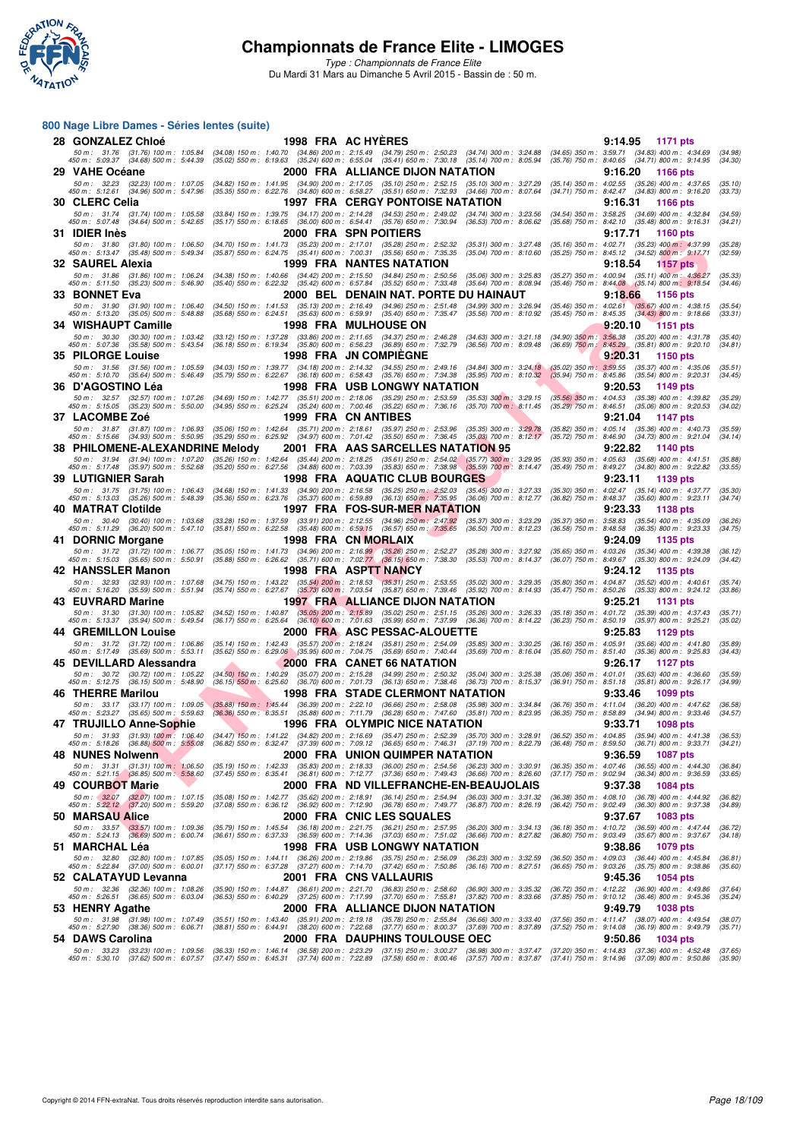

*Type : Championnats de France Elite* Du Mardi 31 Mars au Dimanche 5 Avril 2015 - Bassin de : 50 m.

#### **800 Nage Libre Dames - Séries lentes (suite)**

| 28 GONZALEZ Chloé                                                                                                               |                                                                                                                                                 | 1998 FRA AC HYERES                                                                                                                                                                                                                                                                                        | 9:14.95<br>1171 pts                                                                                                             |
|---------------------------------------------------------------------------------------------------------------------------------|-------------------------------------------------------------------------------------------------------------------------------------------------|-----------------------------------------------------------------------------------------------------------------------------------------------------------------------------------------------------------------------------------------------------------------------------------------------------------|---------------------------------------------------------------------------------------------------------------------------------|
| 450 m : 5:09.37 (34.68) 500 m : 5:44.39                                                                                         |                                                                                                                                                 | 50 m: 31.76 (31.76) 100 m: 1:05.84 (34.08) 150 m: 1:40.70 (34.86) 200 m: 2:15.49 (34.79) 250 m: 2:50.23 (34.74) 300 m: 3:24.88<br>50 m: 5:09.37 (34.68) 500 m: 5:44.39 (35.02) 550 m: 6:19.63 (35.24) 600 m: 6:55.04 (35.41) 650                                                                          | (34.65) 350 m : 3:59.71 (34.83) 400 m : 4:34.69<br>(34.98)<br>(35.76) 750 m : 8:40.65 (34.71) 800 m : 9:14.95<br>(34.30)        |
| 29 VAHE Océane                                                                                                                  |                                                                                                                                                 | 2000 FRA ALLIANCE DIJON NATATION                                                                                                                                                                                                                                                                          | 9:16.20<br><b>1166 pts</b>                                                                                                      |
| 50 m: 32.23 (32.23) 100 m: 1:07.05                                                                                              |                                                                                                                                                 | (34.82) 150 m: 1:41.95 (34.90) 200 m: 2:17.05 (35.10) 250 m: 2:52.15 (35.10) 300 m: 3:27.29                                                                                                                                                                                                               | (35.14) 350 m: 4:02.55 (35.26) 400 m: 4:37.65<br>(35.10)                                                                        |
| 450 m: 5:12.61 (34.96) 500 m: 5:47.96<br>30 CLERC Celia                                                                         |                                                                                                                                                 | (35.35) 550 m : 6:22.76 (34.80) 600 m : 6:58.27 (35.51) 650 m : 7:32.93 (34.66) 700 m : 8:07.64<br><b>1997 FRA CERGY PONTOISE NATATION</b>                                                                                                                                                                | (34.71) 750 m : 8:42.47 (34.83) 800 m : 9:16.20<br>(33.73)<br>9:16.31<br><b>1166 pts</b>                                        |
| 50 m: 31.74 (31.74) 100 m: 1:05.58                                                                                              |                                                                                                                                                 | (33.84) 150 m : 1:39.75 (34.17) 200 m : 2:14.28 (34.53) 250 m : 2:49.02 (34.74) 300 m : 3:23.56                                                                                                                                                                                                           | (34.54) 350 m: 3:58.25 (34.69) 400 m: 4:32.84<br>(34.59)                                                                        |
| 450 m : 5:07.48 (34.64) 500 m : 5:42.65                                                                                         |                                                                                                                                                 | (35.17) 550 m: 6:18.65 (36.00) 600 m: 6:54.41 (35.76) 650 m: 7:30.94 (36.53) 700 m: 8:06.62                                                                                                                                                                                                               | (35.68) 750 m: 8:42.10 (35.48) 800 m: 9:16.31<br>(34.21)                                                                        |
| 31 IDIER Inės                                                                                                                   |                                                                                                                                                 | 2000 FRA SPN POITIERS                                                                                                                                                                                                                                                                                     | 9:17.71<br><b>1160 pts</b>                                                                                                      |
| 50 m: 31.80 (31.80) 100 m: 1:06.50<br>450 m: 5:13.47 (35.48) 500 m: 5:49.34                                                     | (34.70) 150 m : 1:41.73<br>$(35.87)$ 550 m : 6:24.75 $(35.41)$ 600 m : 7:00.31 $(35.56)$ 650 m : 7:35.35                                        | (35.23) 200 m: 2:17.01 (35.28) 250 m: 2:52.32<br>$(35.31)$ 300 m : 3:27.48<br>$(35.04)$ 700 m : 8:10.60                                                                                                                                                                                                   | (35.16) 350 m: 4:02.71 (35.23) 400 m: 4:37.99<br>(35.28)<br>(35.25) 750 m : 8:45.12 (34.52) 800 m : 9:17.71<br>(32.59)          |
| 32 SAUREL Alexia                                                                                                                |                                                                                                                                                 | 1999 FRA NANTES NATATION                                                                                                                                                                                                                                                                                  | 9:18.54<br>1157 pts                                                                                                             |
| 50 m : 31.86<br>(31.86) 100 m : 1:06.24<br>450 m : 5:11.50                                                                      | $(34.38)$ 150 m : 1:40.66<br>(35.40) 550 m: 6:22.32 (35.42) 600 m: 6:57.84 (35.52) 650 m: 7:33.48                                               | (34.42) 200 m: 2:15.50 (34.84) 250 m: 2:50.56<br>$(35.06)$ 300 m : 3:25.83<br>$(35.64)$ 700 m : 8:08.94                                                                                                                                                                                                   | (35.27) 350 m : 4:00.94 (35.11) 400 m : 4:36.27<br>(35.33)                                                                      |
| (35.23) 500 m : 5:46.90<br>33   BONNET Eva                                                                                      |                                                                                                                                                 | 2000   BEL   DENAIN NAT. PORTE DU HAINAUT                                                                                                                                                                                                                                                                 | $(35.46)$ 750 m : 8:44.08 $(35.14)$ 800 m : 9:18.54<br>(34.46)<br>9:18.66<br><b>1156 pts</b>                                    |
| 50 m: 31.90 (31.90) 100 m: 1:06.40                                                                                              | $(34.50)$ 150 m : 1:41.53                                                                                                                       | $(35.13)$ 200 m : 2:16.49 $(34.96)$ 250 m : 2:51.48<br>$(34.99)$ 300 m : 3:26.94                                                                                                                                                                                                                          | $(35.67)$ 400 m : 4:38.15<br>$(35.46)$ 350 m : 4:02.61<br>(35.54)                                                               |
| $(35.05)$ 500 m : 5:48.88<br>450 m : 5:13.20                                                                                    | $(35.63)$ 600 m : 6:59.91<br>(35.68) 550 m : 6:24.51                                                                                            | $(35.40)$ 650 m : 7:35.47<br>$(35.56)$ 700 m : 8:10.92                                                                                                                                                                                                                                                    | $(35.45)$ 750 m : 8:45.35<br>$(34.43)$ 800 m : 9:18.66<br>(33.31)                                                               |
| 34 WISHAUPT Camille<br>50 m: 30.30 (30.30) 100 m: 1:03.42                                                                       | (33.12) 150 m: 1:37.28 (33.86) 200 m: 2:11.65 (34.37) 250 m: 2:46.28                                                                            | <b>1998 FRA MULHOUSE ON</b><br>$(34.63)$ 300 m : 3:21.18                                                                                                                                                                                                                                                  | 9:20.10<br>[1151 pts<br>$(34.90)$ $350$ m : $3.56.38$ $(35.20)$ $400$ m : $4.31.78$<br>(35.40)                                  |
| 450 m: 5:07.36 (35.58) 500 m: 5:43.54                                                                                           | $(36.18)$ 550 m : 6:19.34                                                                                                                       | (35.80) 600 m : 6:56.23 (36.89) 650 m : 7:32.79<br>$(36.56)$ 700 m : 8:09.48                                                                                                                                                                                                                              | (34.81)<br>(36.69) 750 m: 8:45.29 (35.81) 800 m: 9:20.10                                                                        |
| <b>35 PILORGE Louise</b>                                                                                                        |                                                                                                                                                 | 1998 FRA JN COMPIEGNE                                                                                                                                                                                                                                                                                     | 9:20.31<br><b>1150 pts</b>                                                                                                      |
| 50 m: 31.56 (31.56) 100 m: 1:05.59<br>450 m: 5:10.70 (35.64) 500 m: 5:46.49                                                     | (34.03) 150 m : 1:39.77<br>(35.79) 550 m : 6:22.67 (36.18) 600 m : 6:58.43 (35.76) 650 m : 7:34.38                                              | (34.18) 200 m : 2:14.32 (34.55) 250 m : 2:49.16<br>$(34.84)$ 300 m : 3:24.18<br>$(35.95)$ 700 m : 8:10.32                                                                                                                                                                                                 | $(35.02)$ 350 m : 3:59.55<br>$(35.37)$ 400 m : 4:35.06<br>(35.51)<br>(35.94) 750 m : 8:45.86 (35.54) 800 m : 9:20.31<br>(34.45) |
| 36 D'AGOSTINO Lèa                                                                                                               |                                                                                                                                                 | 1998 FRA USB LONGWY NATATION                                                                                                                                                                                                                                                                              | 9:20.53<br>1149 pts                                                                                                             |
| 50 m: 32.57 (32.57) 100 m: 1:07.26                                                                                              | (34.69) 150 m : 1:42.77 (35.51) 200 m : 2:18.06 (35.29) 250 m : 2:53.59                                                                         | $(35.53)$ 300 m; 3:29.15                                                                                                                                                                                                                                                                                  | $(35.56)$ 350 m : 4:04.53 $(35.38)$ 400 m : 4:39.82<br>(35.29)                                                                  |
| 450 m : 5:15.05 (35.23) 500 m : 5:50.00<br>37   LACOMBE Zoé                                                                     | (34.95) 550 m: 6:25.24 (35.24) 600 m: 7:00.46 (35.22) 650 m: 7:36.16                                                                            | $(35.70)$ 700 m : 8:11.45<br>1999 FRA CN ANTIBES                                                                                                                                                                                                                                                          | (35.29) 750 m : 8:46.51 (35.06) 800 m : 9:20.53<br>(34.02)<br>9:21.04<br>1147 pts                                               |
| 50 m: 31.87 (31.87) 100 m: 1:06.93                                                                                              | (35.06) 150 m : 1:42.64 (35.71) 200 m : 2:18.61 (35.97) 250 m : 2:53.96                                                                         | $(35.35)$ 300 m : 3:29.78                                                                                                                                                                                                                                                                                 | (35.82) 350 m: 4:05.14 (35.36) 400 m: 4:40.73<br>(35.59)                                                                        |
| 450 m: 5:15.66 (34.93) 500 m: 5:50.95                                                                                           | (35.29) 550 m : 6:25.92 (34.97) 600 m : 7:01.42 (35.50) 650 m : 7:36.45                                                                         | $(35.03)$ 700 m : 8:12.17                                                                                                                                                                                                                                                                                 | (35.72) 750 m : 8:46.90<br>$(34.73)$ 800 m : 9:21.04<br>(34.14)                                                                 |
| 38 PHILOMENE-ALEXANDRINE Melody<br>50 m: 31.94 (31.94) 100 m: 1:07.20                                                           |                                                                                                                                                 | 2001 FRA AAS SARCELLES NATATION 95<br>(35.26) 150 m : 1:42.64 (35.44) 200 m : 2:18.25 (35.61) 250 m : 2:54.02 (35.77) 300 m : 3:29.95                                                                                                                                                                     | 9:22.82<br>1140 pts<br>$(35.93)$ 350 m : 4:05.63 $(35.68)$ 400 m : 4:41.51<br>(35.88)                                           |
| 450 m: 5:17.48 (35.97) 500 m: 5:52.68                                                                                           |                                                                                                                                                 | $(35.20)$ 550 m : 6:27.56 $(34.88)$ 600 m : 7:03.39 $(35.83)$ 650 m : 7:38.98 $(35.59)$ 700 m : 8:14.47                                                                                                                                                                                                   | (35.49) 750 m : 8:49.27 (34.80) 800 m : 9:22.82<br>(33.55)                                                                      |
| 39 LUTIGNIER Sarah                                                                                                              |                                                                                                                                                 | 1998 FRA AQUATIC CLUB BOURGES                                                                                                                                                                                                                                                                             | 9:23.11<br>1139 pts                                                                                                             |
| 50 m: 31.75<br>(31.75) 100 m : 1:06.43<br>450 m: 5:13.03 (35.26) 500 m: 5:48.39                                                 |                                                                                                                                                 | $(34.68)\ \ 150\ m:\ \ 1:41.33\quad \  (34.90)\ \ 200\ m:\ \ 2:16.58\quad \  (35.25)\ \ 250\ m:\ \ 2:52.03\quad \  (35.45)\ \ 300\ m:\ \ 3:27.33\quad \  (35.36)\ \ 550\ m:\ \ 6:23.76\quad \  (35.37)\ \ 600\ m:\ \ 6:59.89\quad \  (36.13)\ \ 650\ m:\ \ 7:35.95\quad \  (36.06)\ \ 700\ m:\ \ 8:12.77$ | (35.30) 350 m : 4:02.47 (35.14) 400 m : 4:37.77<br>(35.30)<br>(36.82) 750 m: 8:48.37 (35.60) 800 m: 9:23.11<br>(34.74)          |
| 40 MATRAT Clotilde                                                                                                              |                                                                                                                                                 | 1997 FRA FOS-SUR-MER NATATION                                                                                                                                                                                                                                                                             | 9:23.33<br><b>1138 pts</b>                                                                                                      |
| 50 m: 30.40 (30.40) 100 m: 1:03.68                                                                                              | $(33.28)$ 150 m : 1:37.59                                                                                                                       | (33.91) 200 m : 2:12.55 (34.96) 250 m : 2:47.92 (35.37) 300 m : 3:23.29                                                                                                                                                                                                                                   | (35.37) 350 m : 3:58.83<br>$(35.54)$ 400 m : 4:35.09<br>(36.26)                                                                 |
| 450 m : 5:11.29 (36.20) 500 m : 5:47.10<br>41 DORNIC Morgane                                                                    |                                                                                                                                                 | (35.81) 550 m : 6:22.58 (35.48) 600 m : 6:59.15 (36.57) 650 m : 7:35.65 (36.50) 700 m : 8:12.23<br>1998 FRA CN MORLAIX                                                                                                                                                                                    | (36.58) 750 m : 8:48.58 (36.35) 800 m : 9:23.33<br>(34.75)<br>9:24.09<br>1135 pts                                               |
| 50 m: 31.72 (31.72) 100 m: 1:06.77                                                                                              | $(35.05)$ 150 m : 1:41.73                                                                                                                       | (34.96) 200 m : 2:16.99 (35.26) 250 m : 2:52.27<br>$(35.28)$ 300 m : 3:27.92                                                                                                                                                                                                                              | (35.65) 350 m: 4:03.26 (35.34) 400 m: 4:39.38<br>(36.12)                                                                        |
| 450 m : 5:15.03 (35.65) 500 m : 5:50.91                                                                                         | $(35.88)$ 550 m : 6:26.62 $(35.71)$ 600 m : 7:02.77 $(36.15)$ 650 m : 7:38.30                                                                   | $(35.53)$ 700 m : 8:14.37                                                                                                                                                                                                                                                                                 | (36.07) 750 m : 8:49.67 (35.30) 800 m : 9:24.09<br>(34.42)                                                                      |
| 42 HANSSLER Manon<br>50 m: 32.93 (32.93) 100 m: 1:07.68                                                                         | (34.75) 150 m : 1:43.22<br>$(35.54)$ 200 m : 2:18.53                                                                                            | 1998 FRA ASPTT NANCY<br>$(35.31)$ 250 m : 2:53.55<br>$(35.02)$ 300 m : 3:29.35                                                                                                                                                                                                                            | 9:24.12<br>1135 pts<br>$(35.80)$ 350 m : 4:04.87<br>$(35.52)$ 400 m : 4:40.61<br>(35.74)                                        |
| 450 m : 5:16.20<br>(35.59) 500 m : 5:51.94                                                                                      | $(35.73)$ 600 m : 7:03.54<br>$(35.74)$ 550 m : 6:27.67                                                                                          | $(35.87)$ 650 m : 7:39.46<br>$(35.92)$ 700 m : 8:14.93                                                                                                                                                                                                                                                    | $(35.47)$ 750 m : 8:50.26<br>(33.86)<br>(35.33) 800 m : 9:24.12                                                                 |
| 43 EUVRARD Marine                                                                                                               |                                                                                                                                                 | 1997 FRA ALLIANCE DIJON NATATION                                                                                                                                                                                                                                                                          | 9:25.21<br><b>1131 pts</b>                                                                                                      |
| 50 m: 31.30 (31.30) 100 m: 1:05.82<br>450 m : 5:13.37 (35.94) 500 m : 5:49.54                                                   | $(34.52)$ 150 m : 1:40.87<br>$(36.17)$ 550 m : 6:25.64                                                                                          | $(35.05)$ 200 m : 2:15.89 $(35.02)$ 250 m : 2:51.15<br>$(35.26)$ 300 m : 3:26.33<br>(36.10) 600 m : 7:01.63 (35.99) 650 m : 7:37.99<br>$(36.36)$ 700 m : 8:14.22                                                                                                                                          | (35.18) 350 m: 4:01.72 (35.39) 400 m: 4:37.43<br>(35.71)<br>(35.02)<br>(36.23) 750 m : 8:50.19<br>$(35.97)$ 800 m : 9:25.21     |
| <b>44 GREMILLON Louise</b>                                                                                                      |                                                                                                                                                 | 2000 FRA ASC PESSAC-ALOUETTE                                                                                                                                                                                                                                                                              | 9:25.83<br>1129 pts                                                                                                             |
| 50 m: 31.72 (31.72) 100 m: 1:06.86                                                                                              | (35.14) 150 m: 1:42.43 (35.57) 200 m: 2:18.24 (35.81) 250 m: 2:54.09                                                                            | $(35.85)$ 300 m : 3:30.25                                                                                                                                                                                                                                                                                 | (36.16) 350 m : 4:05.91<br>$(35.66)$ 400 m : 4:41.80<br>(35.89)                                                                 |
| 450 m: 5:17.49 (35.69) 500 m: 5:53.11<br>45 DEVILLARD Alessandra                                                                | (35.62) 550 m : 6:29.06 (35.95) 600 m : 7:04.75 (35.69) 650 m : 7:40.44                                                                         | $(35.69)$ 700 m : 8:16.04<br>2000 FRA CANET 66 NATATION                                                                                                                                                                                                                                                   | (35.60) 750 m: 8:51.40 (35.36) 800 m: 9:25.83<br>(34.43)<br>9:26.17<br>1127 pts                                                 |
| 50 m: 30.72 (30.72) 100 m: 1:05.22                                                                                              | $(34.50)$ 150 m : 1:40.29                                                                                                                       | (35.07) 200 m : 2:15.28 (34.99) 250 m : 2:50.32<br>$(35.04)$ 300 m : 3:25.38                                                                                                                                                                                                                              | $(35.06)$ 350 m : 4:01.01<br>$(35.63)$ 400 m : 4:36.60<br>(35.59)                                                               |
| 450 m : 5:12.75 (36.15) 500 m : 5:48.90<br>46 THERRE Marilou                                                                    | $(36.15)$ 550 m : 6:25.60                                                                                                                       | (36.70) 600 m : 7:01.73 (36.13) 650 m : 7:38.46<br>$(36.73)$ 700 m : 8:15.37<br>1998 FRA STADE CLERMONT NATATION                                                                                                                                                                                          | (36.91) 750 m: 8:51.18 (35.81) 800 m: 9:26.17<br>(34.99)<br>9:33.46<br>1099 pts                                                 |
|                                                                                                                                 |                                                                                                                                                 | 50 m : 33.17 (33.17) 100 m : 1:09.05 (35.88) 150 m : 1:45.44 (36.39) 200 m : 2:22.10 (36.66) 250 m : 2:58.08 (35.98) 300 m : 3:34.84 (36.76) 350 m : 4:11.04 (36.20) 400 m : 4:47.62                                                                                                                      | (36.58)                                                                                                                         |
| 450 m : 5:23.27 (35.65) 500 m : 5:59.63 (36.36) 550 m : 6:35.51 (35.88) 600 m : 7:11.79 (36.28) 650 m : 7:47.60                 |                                                                                                                                                 |                                                                                                                                                                                                                                                                                                           | (35.81) 700 m: 8:23.95 (36.35) 750 m: 8:58.89 (34.94) 800 m: 9:33.46<br>(34.57)                                                 |
| 47 TRUJILLO Anne-Sophie                                                                                                         |                                                                                                                                                 | 1996 FRA OLYMPIC NICE NATATION<br>50 m : 31.93 (31.93) 100 m : 1:06.40 (34.47) 150 m : 1:41.22 (34.82) 200 m : 2:16.69 (35.47) 250 m : 2:52.39 (35.70) 300 m : 3:28.91 (36.52) 350 m : 4:04.85 (35.94) 400 m : 4:41.38                                                                                    | 9:33.71<br><b>1098 pts</b><br>(36.53)                                                                                           |
| 450 m : 5:18.26 (36.88) 500 m : 5:55.08 (36.82) 550 m :                                                                         | 6:32.47                                                                                                                                         | (37.39) 600 m : 7:09.12 (36.65) 650 m : 7:46.31 (37.19) 700 m : 8:22.79                                                                                                                                                                                                                                   | $(36.48)$ 750 m :<br>8:59.50 (36.71) 800 m : 9:33.71                                                                            |
| 48 NUNES Nolwenn                                                                                                                |                                                                                                                                                 | 2000 FRA UNION QUIMPER NATATION                                                                                                                                                                                                                                                                           | 9:36.59<br><b>1087 pts</b>                                                                                                      |
| 50 m : 31.31 (31.31) 100 m : 1:06.50<br>450 m : 5:21.15 (36.85) 500 m : 5:58.60                                                 |                                                                                                                                                 | (35.19) 150 m : 1:42.33 (35.83) 200 m : 2:18.33 (36.00) 250 m : 2:54.56 (36.23) 300 m : 3:30.91<br>(37.45) 550 m : 6:35.41 (36.81) 600 m : 7:12.77 (37.36) 650 m : 7:49.43 (36.66) 700 m : 8:26.60                                                                                                        | $(36.35)$ 350 m : 4:07.46 $(36.55)$ 400 m : 4:44.30<br>(36.84)<br>(37.17) 750 m : 9:02.94 (36.34) 800 m : 9:36.59<br>(33.65)    |
| 49 COURBOT Marie                                                                                                                |                                                                                                                                                 | 2000 FRA ND VILLEFRANCHE-EN-BEAUJOLAIS                                                                                                                                                                                                                                                                    | 9:37.38<br><b>1084 pts</b>                                                                                                      |
| $50 \text{ m}:$ $32.07$ $(32.07)$ $100 \text{ m}:$ $1.07.15$<br>$450 \text{ m}:$ $5.22.12$ $(37.20)$ $500 \text{ m}:$ $5.59.20$ | (35.08) 150 m: 1:42.77 (35.62) 200 m: 2:18.91 (36.14) 250 m: 2:54.94<br>(37.08) 550 m: 6:36.12 (36.92) 600 m: 7:12.90 (36.78) 650 m: 7:49.77    | $(36.03)$ 300 m : 3:31.32<br>$(36.87)$ 700 m : 8:26.19                                                                                                                                                                                                                                                    | (36.38) 350 m : 4:08.10 (36.78) 400 m : 4:44.92<br>(36.82)<br>(36.42) 750 m : 9:02.49 (36.30) 800 m : 9:37.38<br>(34.89)        |
| 50 MARSAU Alice                                                                                                                 |                                                                                                                                                 | 2000 FRA CNIC LES SQUALES                                                                                                                                                                                                                                                                                 | 9:37.67<br>1083 pts                                                                                                             |
| 50 m: 33.57 (33.57) 100 m: 1:09.36                                                                                              | (35.79) 150 m: 1:45.54 (36.18) 200 m: 2:21.75 (36.21) 250 m: 2:57.95                                                                            | $(36.20)$ 300 m : 3:34.13                                                                                                                                                                                                                                                                                 | (36.18) 350 m : 4:10.72 (36.59) 400 m : 4:47.44<br>(36.72)                                                                      |
| 450 m : 5:24.13 (36.69) 500 m : 6:00.74                                                                                         | (36.61) 550 m: 6:37.33 (36.59) 600 m: 7:14.36 (37.03) 650 m: 7:51.02                                                                            | $(36.66)$ 700 m : 8:27.82                                                                                                                                                                                                                                                                                 | (36.80) 750 m : 9:03.49 (35.67) 800 m : 9:37.67<br>(34.18)<br>1079 pts                                                          |
| 51  MARCHAL Léa<br>50 m : 32.80 (32.80) 100 m : 1:07.85                                                                         | (35.05) 150 m: 1:44.11 (36.26) 200 m: 2:19.86 (35.75) 250 m: 2:56.09                                                                            | 1998 FRA USB LONGWY NATATION<br>$(36.23)$ 300 m : 3:32.59                                                                                                                                                                                                                                                 | 9:38.86<br>(36.50) 350 m : 4:09.03 (36.44) 400 m : 4:45.84<br>(36.81)                                                           |
| 450 m : 5:22.84 (37.00) 500 m : 6:00.01                                                                                         | (37.17) 550 m: 6:37.28 (37.27) 600 m: 7:14.70 (37.42) 650 m: 7:50.86                                                                            | $(36.16)$ 700 m : 8:27.51                                                                                                                                                                                                                                                                                 | (36.65) 750 m: 9:03.26 (35.75) 800 m: 9:38.86<br>(35.60)                                                                        |
| 52 CALATAYUD Levanna                                                                                                            |                                                                                                                                                 | 2001 FRA CNSVALLAURIS                                                                                                                                                                                                                                                                                     | 9:45.36<br>1054 pts                                                                                                             |
| 50 m: 32.36 (32.36) 100 m: 1:08.26<br>450 m : 5:26.51 (36.65) 500 m : 6:03.04                                                   | (35.90) 150 m: 1:44.87 (36.61) 200 m: 2:21.70 (36.83) 250 m: 2:58.60<br>(36.53) 550 m : 6:40.29 (37.25) 600 m : 7:17.99 (37.70) 650 m : 7:55.81 | $(36.90)$ 300 m : 3:35.32<br>$(37.82)$ 700 m : 8:33.66                                                                                                                                                                                                                                                    | (36.72) 350 m : 4:12.22 (36.90) 400 m : 4:49.86<br>(37.64)<br>(37.85) 750 m : 9:10.12 (36.46) 800 m : 9:45.36<br>(35.24)        |
| 53 HENRY Agathe                                                                                                                 |                                                                                                                                                 | 2000 FRA ALLIANCE DIJON NATATION                                                                                                                                                                                                                                                                          | 9:49.79<br><b>1038 pts</b>                                                                                                      |
| 50 m: 31.98 (31.98) 100 m: 1:07.49<br>450 m : 5:27.90 (38.36) 500 m : 6:06.71                                                   | (35.51) 150 m: 1:43.40 (35.91) 200 m: 2:19.18 (35.78) 250 m: 2:55.84                                                                            | (36.66) 300 m : 3:33.40<br>(38.81) 550 m : 6:44.91 (38.20) 600 m : 7:22.68 (37.77) 650 m : 8:00.37 (37.69) 700 m : 8:37.89                                                                                                                                                                                | (37.56) 350 m: 4:11.47 (38.07) 400 m: 4:49.54<br>(38.07)<br>(37.52) 750 m : 9:14.08 (36.19) 800 m : 9:49.79<br>(35.71)          |
| 54 DAWS Carolina                                                                                                                |                                                                                                                                                 | 2000 FRA DAUPHINS TOULOUSE OEC                                                                                                                                                                                                                                                                            | 9:50.86<br>1034 pts                                                                                                             |
| 50 m : 33.23 (33.23) 100 m : 1:09.56                                                                                            |                                                                                                                                                 | (36.33) 150 m : 1:46.14 (36.58) 200 m : 2:23.29 (37.15) 250 m : 3:00.27 (36.98) 300 m : 3:37.47 (37.20) 350 m : 4:14.83 (37.36) 400 m : 4:52.48                                                                                                                                                           | (37.65)                                                                                                                         |
|                                                                                                                                 |                                                                                                                                                 | 450 m : 5:30.10 (37.62) 500 m : 6:07.57 (37.47) 550 m : 6:45.31 (37.74) 600 m : 7:22.89 (37.58) 650 m : 8:00.46 (37.57) 700 m : 8:37.87 (37.41) 750 m : 9:14.96 (37.09) 800 m : 9:50.86                                                                                                                   | (35.90)                                                                                                                         |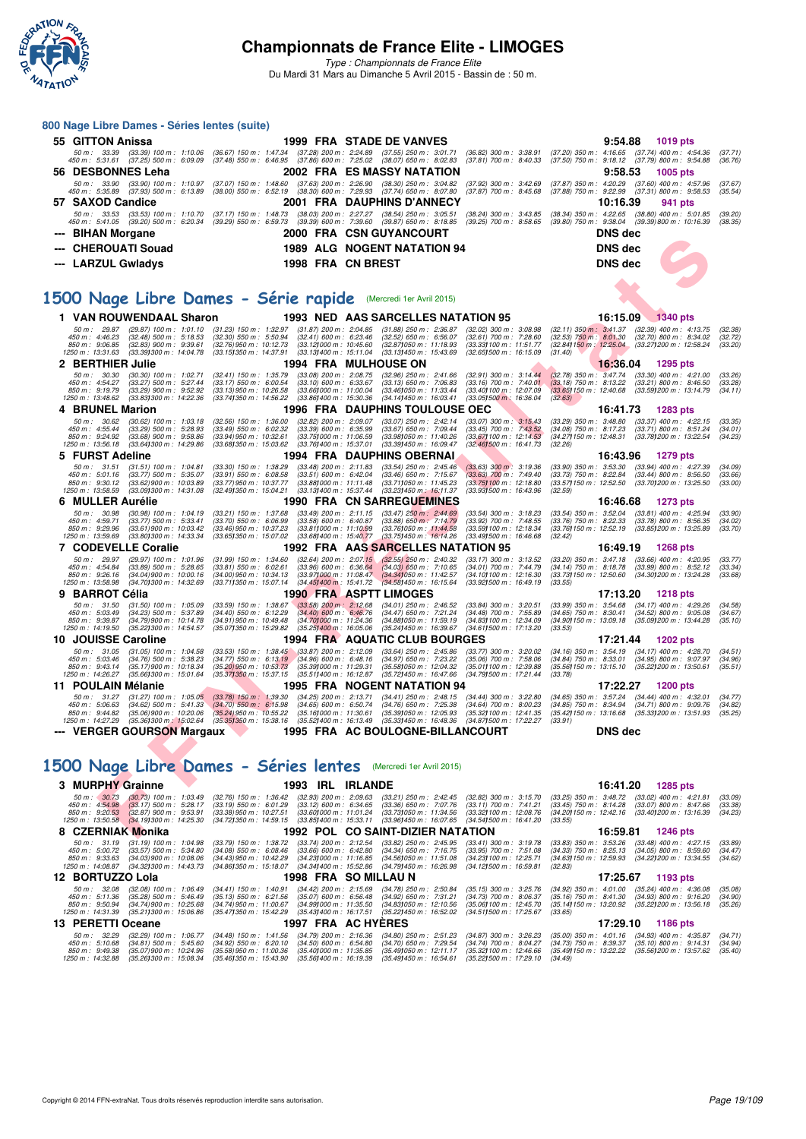

*Type : Championnats de France Elite* Du Mardi 31 Mars au Dimanche 5 Avril 2015 - Bassin de : 50 m.

### **800 Nage Libre Dames - Séries lentes (suite)**

|   | 800 Nage Libre Dames - Series lentes (suite)                                                                    |                                                                                                                                                                                      |                                                                               |                                                                                                                  |                                                                                                                              |
|---|-----------------------------------------------------------------------------------------------------------------|--------------------------------------------------------------------------------------------------------------------------------------------------------------------------------------|-------------------------------------------------------------------------------|------------------------------------------------------------------------------------------------------------------|------------------------------------------------------------------------------------------------------------------------------|
|   | 55 GITTON Anissa                                                                                                |                                                                                                                                                                                      | <b>1999 FRA STADE DE VANVES</b>                                               |                                                                                                                  | 9:54.88<br>1019 pts                                                                                                          |
|   | 450 m : 5:31.61 (37.25) 500 m : 6:09.09                                                                         | 50 m : 33.39 (33.39) 100 m : 1:10.06 (36.67) 150 m : 1:47.34 (37.28) 200 m : 2:24.89 (37.55) 250 m : 3:01.71<br>(37.48) 550 m: 6:46.95 (37.86) 600 m: 7:25.02 (38.07) 650 m: 8:02.83 |                                                                               | $(36.82)$ 300 m : 3:38.91<br>$(37.81)$ 700 m : 8:40.33                                                           | (37.20) 350 m : 4:16.65 (37.74) 400 m : 4:54.36<br>(37.71)<br>(37.50) 750 m : 9:18.12 (37.79) 800 m : 9:54.88<br>(36.76)     |
|   | 56 DESBONNES Leha                                                                                               |                                                                                                                                                                                      | 2002 FRA ES MASSY NATATION                                                    |                                                                                                                  | 9:58.53<br>1005 pts                                                                                                          |
|   | 50 m: 33.90 (33.90) 100 m: 1:10.97                                                                              | $(37.63)$ 200 m : 2:26.90<br>$(37.07)$ 150 m : 1:48.60                                                                                                                               | $(38.30)$ 250 m : 3:04.82                                                     | $(37.92)$ 300 m : 3:42.69<br>(37.87) 350 m : 4:20.29                                                             | $(37.60)$ 400 m : 4:57.96<br>(37.67)                                                                                         |
|   | 450 m: 5:35.89 (37.93) 500 m: 6:13.89                                                                           | (38.00) 550 m : 6:52.19 (38.30) 600 m : 7:29.93 (37.74) 650 m : 8:07.80                                                                                                              |                                                                               | $(37.87)$ 700 m : 8:45.68                                                                                        | (37.88) 750 m: 9:22.99 (37.31) 800 m: 9:58.53<br>(35.54)                                                                     |
|   | 57 SAXOD Candice<br>50 m: 33.53 (33.53) 100 m: 1:10.70                                                          | $(37.17)$ 150 m : 1:48.73                                                                                                                                                            | 2001 FRA DAUPHINS D'ANNECY<br>(38.03) 200 m : 2:27.27 (38.54) 250 m : 3:05.51 | $(38.24)$ 300 m : 3:43.85                                                                                        | 10:16.39<br>941 pts<br>$(38.34)$ 350 m : 4:22.65 $(38.80)$ 400 m : 5:01.85<br>(39.20)                                        |
|   | 450 m : 5:41.05 (39.20) 500 m : 6:20.34 (39.29) 550 m : 6:59.73 (39.39) 600 m : 7:39.60 (39.87) 650 m : 8:18.85 |                                                                                                                                                                                      |                                                                               | $(39.25)$ 700 m : 8:58.65                                                                                        | (39.80) 750 m : 9:38.04 (39.39) 800 m : 10:16.39<br>(38.35)                                                                  |
|   | --- BIHAN Morgane                                                                                               |                                                                                                                                                                                      | 2000 FRA CSN GUYANCOURT                                                       |                                                                                                                  | <b>DNS</b> dec                                                                                                               |
|   | <b>CHEROUATI Souad</b>                                                                                          |                                                                                                                                                                                      | 1989 ALG NOGENT NATATION 94                                                   |                                                                                                                  | <b>DNS</b> dec                                                                                                               |
|   | --- LARZUL Gwladys                                                                                              | 1998 FRA CN BREST                                                                                                                                                                    |                                                                               |                                                                                                                  | DNS dec                                                                                                                      |
|   |                                                                                                                 |                                                                                                                                                                                      |                                                                               |                                                                                                                  |                                                                                                                              |
|   | 1500 Nage Libre Dames - Série rapide (Mercredi 1er Avril 2015)                                                  |                                                                                                                                                                                      |                                                                               |                                                                                                                  |                                                                                                                              |
|   | 1 VAN ROUWENDAAL Sharon                                                                                         |                                                                                                                                                                                      | <b>1993 NED AAS SARCELLES NATATION 95</b>                                     |                                                                                                                  | 16:15.09 1340 pts                                                                                                            |
|   | $(29.87)$ 100 m : 1:01.10<br>50 m: 29.87<br>450 m: 4:46.23<br>$(32.48)$ 500 m : 5:18.53                         | $(31.23)$ 150 m : 1:32.97<br>$(31.87)$ 200 m : 2:04.85<br>$(32.30)$ 550 m : 5:50.94<br>$(32.41)$ 600 m : 6:23.46                                                                     | $(31.88)$ 250 m : 2:36.87<br>$(32.52)$ 650 m : 6:56.07                        | (32.02) 300 m : 3:08.98<br>$(32.61)$ 700 m : 7:28.60<br>$(32.53)$ 750 m : 8:01.30                                | $(32.11)$ 350 m : 3:41.37 $(32.39)$ 400 m : 4:13.75<br>(32.38)<br>$(32.70)$ 800 m : 8:34.02<br>(32.72)                       |
|   | 850 m : 9:06.85<br>$(32.83)$ 900 m : 9:39.61                                                                    | (32.76) 950 m : 10:12.73<br>(33.12) 000 m: 10:45.60                                                                                                                                  | (32.87) 050 m: 11:18.93                                                       | (33.33) 100 m : 11:51.77                                                                                         | (32.84) 150 m : 12:25.04 (33.27) 200 m : 12:58.24<br>(33.20)                                                                 |
|   | 1250 m: 13:31.63<br>(33.39) 300 m : 14:04.78<br>2 BERTHIER Julie                                                | (33.151350 m : 14:37.91<br>(33.131400 m: 15:11.04                                                                                                                                    | (33.13) 450 m : 15:43.69<br>1994 FRA MULHOUSE ON                              | (32.651500 m : 16:15.09<br>(31.40)                                                                               | 16:36.04<br>1295 pts                                                                                                         |
|   | 50 m: 30.30<br>$(30.30)$ 100 m : 1:02.71                                                                        | (32.41) 150 m : 1:35.79<br>$(33.08)$ 200 m : 2:08.75                                                                                                                                 | $(32.96)$ 250 m : 2:41.66                                                     | $(32.78)$ 350 m : 3:47.74<br>(32.91) 300 m : 3:14.44                                                             | $(33.30)$ 400 m : 4:21.00<br>(33.26)                                                                                         |
|   | 450 m: 4:54.27<br>(33.27) 500 m : 5:27.44<br>850 m : 9:19.79<br>$(33.29)$ 900 m : 9:52.92                       | $(33.17)$ 550 m : 6:00.54<br>(33.10) 600 m : 6:33.67<br>(33.13) 950 m: 10:26.58<br>(33.66) 000 m: 11:00.04                                                                           | $(33.13)$ 650 m : 7:06.83<br>(33.46) 050 m : 11:33.44                         | $(33.16)$ 700 m : 7:40.01<br>$(33.18)$ 750 m : 8:13.22<br>(33.40) 100 m : 12:07.09<br>(33.65) 150 m : 12:40.68   | $(33.21)$ 800 m : 8:46.50<br>(33.28)<br>(33.59) 200 m : 13:14.79<br>(34.11)                                                  |
|   | 1250 m : 13:48.62<br>(33.831300 m: 14:22.36                                                                     | (33.741350 m : 14:56.22<br>(33.861400 m: 15:30.36                                                                                                                                    | (34.141450 m : 16.03.41                                                       | $(33.05)500 \text{ m}$ : 16:36.04<br>(32.63)                                                                     |                                                                                                                              |
|   | 4 BRUNEL Marion                                                                                                 |                                                                                                                                                                                      | <b>1996 FRA DAUPHINS TOULOUSE OEC</b>                                         |                                                                                                                  | 16:41.73<br>1283 pts                                                                                                         |
|   | 50 m: 30.62<br>$(30.62)$ 100 m : 1:03.18<br>450 m: 4:55.44<br>$(33.29)$ 500 m : 5:28.93                         | $(32.82)$ 200 m : $2:09.07$<br>$(32.56)$ 150 m : 1:36.00<br>$(33.49)$ 550 m : 6:02.32<br>$(33.39)$ 600 m : 6:35.99                                                                   | $(33.07)$ 250 m : 2:42.14<br>$(33.67)$ 650 m : 7:09.44                        | $(33.07)$ 300 m : 3:15.43<br>$(33.29)$ 350 m : 3:48.80<br>$(33.45)$ 700 m : 7:43.52<br>$(34.08)$ 750 m : 8:17.23 | $(33.37)$ 400 m : 4:22.15<br>(33.35)<br>$(33.71)$ 800 m : 8:51.24<br>(34.01)                                                 |
|   | 850 m : 9:24.92<br>$(33.68)$ 900 m : 9:58.86<br>1250 m: 13:56.18<br>(33.64) 300 m : 14:29.86                    | (33.94) 950 m : 10:32.61<br>(33.75) 000 m: 11:06.59<br>(33.681350 m: 15:03.62)<br>(33.76) 400 m : 15:37.01                                                                           | (33.98) 050 m: 11:40.26<br>(33.39) 450 m : 16:09.47                           | (33.671100 m: 12:14.53)<br>(34.27) 150 m : 12:48.31<br>(32.46) 500 m : 16:41.73<br>(32.26)                       | (33.78) 200 m : 13:22.54<br>(34.23)                                                                                          |
|   | 5 FURST Adeline                                                                                                 |                                                                                                                                                                                      | 1994 FRA DAUPHINS OBERNAI                                                     |                                                                                                                  | 16:43.96<br>1279 pts                                                                                                         |
|   | 50 m: 31.51<br>$(31.51)$ 100 m : 1:04.81                                                                        | $(33.30)$ 150 m : 1:38.29<br>$(33.48)$ 200 m : 2:11.83                                                                                                                               | $(33.54)$ 250 m : 2:45.46                                                     | $(33.63)$ 300 m : 3:19.36<br>$(33.90)$ 350 m : 3:53.30                                                           | $(33.94)$ 400 m : 4:27.39<br>(34.09)                                                                                         |
|   | 450 m: 5:01.16<br>$(33.77)$ 500 m : 5:35.07<br>850 m : 9:30.12<br>(33.62) 900 m : 10:03.89                      | $(33.51)$ 600 m : 6:42.04<br>$(33.91)$ 550 m : 6:08.58<br>(33.77) 950 m : 10:37.77<br>(33.88) 000 m: 11:11.48                                                                        | $(33.46)$ 650 m : 7:15.67<br>(33.711050 m: 11:45.23)                          | $(33.63)$ 700 m : 7:49.40<br>$(33.73)$ 750 m : 8:22.84<br>(33.75) 100 m : 12:18.80<br>(33.571150 m : 12:52.50    | $(33.44)$ 800 m : 8:56.50<br>(33.66)<br>(33.70) 200 m : 13:25.50<br>(33.00)                                                  |
|   | 1250 m: 13:58.59<br>(33.09) 300 m : 14:31.08                                                                    | (32.49) 350 m : 15:04.21<br>(33.13) 400 m : 15:37.44                                                                                                                                 | (33.23) 450 m : 16:11.37                                                      | (33.931500 m: 16:43.96<br>(32.59)                                                                                |                                                                                                                              |
|   | 6 MULLER Aurélie<br>50 m: 30.98<br>$(30.98)$ 100 m : 1:04.19                                                    | (33.21) 150 m: 1:37.68<br>$(33.49)$ 200 m : 2:11.15                                                                                                                                  | <b>1990 FRA CN SARREGUEMINES</b><br>$(33.47)$ 250 m : 2:44.69                 | $(33.54)$ 350 m : 3:52.04<br>(33.54) 300 m : 3:18.23                                                             | 16:46.68<br><b>1273 pts</b><br>$(33.81)$ 400 m : 4:25.94<br>(33.90)                                                          |
|   | 450 m: 4:59.71<br>$(33.77)$ 500 m : 5:33.41                                                                     | $(33.58)$ 600 m : 6:40.87<br>$(33.70)$ 550 m : 6:06.99                                                                                                                               | $(33.88)$ 650 m : 7:14.79                                                     | $(33.92)$ 700 m : 7:48.55<br>$(33.76)$ 750 m : 8:22.33                                                           | $(33.78)$ 800 m : 8:56.35<br>(34.02)                                                                                         |
|   | 850 m : 9:29.96<br>$(33.61)$ 900 m : 10:03.42<br>1250 m : 13:59.69<br>(33.80) 300 m : 14:33.34                  | $(33.46)$ 950 m : 10:37.23<br>(33.811000 m: 11:10.99)<br>(33.68) 400 m : 15:40.77<br>(33.65) 350 m : 15:07.02                                                                        | (33.761050 m : 11:44.58<br>(33.75) 450 m : 16:14.26                           | (33.59) 100 m : 12:18.34<br>(33.76) 150 m : 12:52.19<br>$(33.49)500 \text{ m}$ : 16:46.68<br>(32.42)             | (33.85) 200 m : 13:25.89<br>(33.70)                                                                                          |
|   | <b>7 CODEVELLE Coralie</b>                                                                                      |                                                                                                                                                                                      | 1992 FRA AAS SARCELLES NATATION 95                                            |                                                                                                                  | 16:49.19<br><b>1268 pts</b>                                                                                                  |
|   | 50 m: 29.97<br>(29.97) 100 m : 1:01.96<br>450 m : 4:54.84<br>$(33.89)$ 500 m : 5:28.65                          | $(32.64)$ 200 m : 2:07.15<br>$(31.99)$ 150 m : 1:34.60<br>$(33.96)$ 600 m : 6:36.64<br>$(33.81)$ 550 m : 6:02.61                                                                     | $(32.55)$ 250 m : 2:40.32<br>$(34.03)$ 650 m : 7:10.65                        | $(33.17)$ 300 m : 3:13.52<br>$(33.20)$ 350 m : 3:47.18<br>$(34.01)$ 700 m : 7:44.79<br>$(34.14)$ 750 m : 8:18.78 | $(33.66)$ 400 m : 4:20.95<br>(33.77)<br>$(33.99)$ 800 m : 8:52.12<br>(33.34)                                                 |
|   | 850 m: 9:26.16<br>(34.04) 900 m : 10:00.16                                                                      | (33.971000 m: 11:08.47)<br>(34.00) 950 m : 10:34.13                                                                                                                                  | (34.34) 050 m: 11:42.57                                                       | (33.73) 150 m : 12:50.60<br>(34.10) 100 m : 12:16.30                                                             | (34.30) 200 m : 13:24.28<br>(33.68)                                                                                          |
| 9 | 1250 m: 13:58.98<br>(34.70) 300 m : 14:32.69<br><b>BARROT Célia</b>                                             | (34.45) 400 m : 15:41.72<br>(33.711350 m: 15:07.14                                                                                                                                   | $(34.58)1450 \text{ m}$ : 16:15.64<br><b>1990 FRA ASPTT LIMOGES</b>           | (33.92) 500 m : 16:49.19<br>(33.55)                                                                              | 17:13.20<br><b>1218 pts</b>                                                                                                  |
|   | 50 m: 31.50<br>$(31.50)$ 100 m : 1:05.09                                                                        | $(33.59)$ 150 m : 1:38.67<br>$(33.58)$ 200 m : 2:12.68                                                                                                                               | $(34.01)$ 250 m : 2:46.52                                                     | $(33.84)$ 300 m : 3:20.51<br>(33.99) 350 m : 3:54.68                                                             | $(34.17)$ 400 m : 4:29.26<br>(34.58)                                                                                         |
|   | 450 m: 5:03.49<br>$(34.23)$ 500 m : 5:37.89<br>850 m : 9:39.87<br>(34.79) 900 m : 10:14.78                      | $(34.40)$ 600 m : 6:46.76<br>$(34.40)$ 550 m : 6:12.29<br>(34.91) 950 m : 10:49.48<br>(34.701000 m: 11:24.36                                                                         | $(34.47)$ 650 m : 7:21.24<br>(34.88) 050 m: 11:59.19                          | (34.48) 700 m : 7:55.89<br>$(34.65)$ 750 m : 8:30.41<br>(34.83) 100 m : 12:34.09<br>(34.90) 150 m : 13:09.18     | $(34.52)$ 800 m : 9:05.08<br>(34.67)<br>(35.09) 200 m : 13:44.28<br>(35.10)                                                  |
|   | 1250 m: 14:19.50<br>(35.22) 300 m : 14:54.57                                                                    | (35.07) 350 m : 15:29.82<br>(35.251400 m: 16:05.06                                                                                                                                   | (35.24) 450 m : 16:39.67                                                      | (34.611500 m: 17:13.20<br>(33.53)                                                                                |                                                                                                                              |
|   | 10 JOUISSE Caroline                                                                                             |                                                                                                                                                                                      | 1994 FRA AQUATIC CLUB BOURGES                                                 |                                                                                                                  | 17:21.44<br><b>1202 pts</b>                                                                                                  |
|   | 50 m: 31.05<br>$(31.05)$ 100 m : 1:04.58<br>450 m: 5:03.46<br>$(34.76)$ 500 m : 5:38.23                         | $(33.53)$ 150 m : 1:38.45<br>$(33.87)$ 200 m : 2:12.09<br>$(34.77)$ 550 m : 6:13.19<br>(34.96) 600 m : 6:48.16                                                                       | $(33.64)$ 250 m : 2:45.86<br>$(34.97)$ 650 m : 7:23.22                        | (33.77) 300 m : 3:20.02<br>$(35.06)$ 700 m : 7:58.06<br>$(34.84)$ 750 m : 8:33.01                                | (34.16) 350 m: 3:54.19 (34.17) 400 m: 4:28.70<br>(34.51)<br>$(34.95)$ 800 m : 9:07.97<br>(34.96)                             |
|   | 850 m: 9:43.14<br>(35.17) 900 m : 10:18.34<br>1250 m : 14:26.27<br>(35.66) 300 m : 15:01.64                     | (35.20) 950 m : 10:53.73<br>(35.391000 m: 11:29.31<br>(35.371350 m : 15:37.15<br>(35.511400 m: 16:12.87                                                                              | (35.58) 050 m: 12:04.32<br>$(35.72)450 \text{ m}$ : 16:47.66                  | (35.011100 m: 12:39.88<br>(34.791500 m: 17:21.44<br>(33.78)                                                      | (35.56) 150 m: 13:15.10 (35.22) 200 m: 13:50.61<br>(35.51)                                                                   |
|   | 11 POULAIN Mélanie                                                                                              |                                                                                                                                                                                      | <b>1995 FRA NOGENT NATATION 94</b>                                            |                                                                                                                  | 17:22.27<br><b>1200 pts</b>                                                                                                  |
|   | 50 m: 31.27<br>$(31.27)$ 100 m : 1.05.05                                                                        | $(33.78)$ 150 m : 1:39.30<br>$(34.25)$ 200 m : 2:13.71                                                                                                                               | $(34.41)$ 250 m : 2:48.15                                                     | $(34.65)$ 350 m : 3:57.24<br>$(34.44)$ 300 m : 3:22.80                                                           | $(34.44)$ 400 m : 4:32.01<br>(34.77)                                                                                         |
|   | 450 m : 5:06.63<br>$(34.62)$ 500 m : 5:41.33<br>850 m : 9:44.82<br>$(35.06)$ 900 m : 10:20.06                   | $(34.70)$ 550 m : 6:15.98<br>$(34.65)$ 600 m : 6:50.74<br>(35.16) 000 m: 11:30.61<br>(35.24) 950 m : 10:55.22                                                                        | $(34.76)$ 650 m : 7:25.38<br>(35.39) 050 m : 12:05.93                         | $(34.64)$ 700 m : 8:00.23<br>$(34.85)$ 750 m : 8:34.94<br>(35.32) 100 m : 12:41.35                               | $(34.71)$ 800 m : 9:09.76<br>(34.82)<br>(35.42) 150 m : 13:16.68 (35.33) 200 m : 13:51.93<br>(35.25)                         |
|   | (35.36) 300 m : 15:02.64<br>1250 m : 14:27.29                                                                   | (35.35) 350 m : 15:38.16                                                                                                                                                             | (35.52) 400 m : 16:13.49 (35.33) 450 m : 16:48.36                             | (34.871500 m: 17:22.27<br>(33.91)                                                                                |                                                                                                                              |
|   | <b>VERGER GOURSON Margaux</b>                                                                                   |                                                                                                                                                                                      | 1995 FRA AC BOULOGNE-BILLANCOURT                                              |                                                                                                                  | <b>DNS</b> dec                                                                                                               |
|   |                                                                                                                 |                                                                                                                                                                                      |                                                                               |                                                                                                                  |                                                                                                                              |
|   | 1500 Nage Libre Dames - Séries lentes (Mercredi 1er Avril 2015)                                                 |                                                                                                                                                                                      |                                                                               |                                                                                                                  |                                                                                                                              |
|   | 3 MURPHY Grainne                                                                                                | 1993 IRL IRLANDE                                                                                                                                                                     |                                                                               |                                                                                                                  | 16:41.20<br>1285 pts                                                                                                         |
|   | 50 m : 30.73<br>(30.73) 100 m : 1:03.49<br>450 m : 4:54.98<br>(33.17) 500 m : 5:28.17                           | (32.76) 150 m : 1:36.42 (32.93) 200 m : 2:09.63<br>$(33.19)$ 550 m : 6:01.29<br>$(33.12)$ 600 m : 6:34.65                                                                            | (33.21) 250 m : 2:42.45<br>$(33.36)$ 650 m : 7:07.76                          | $(32.82)$ 300 m : 3:15.70<br>$(33.11)$ 700 m : 7:41.21                                                           | (33.25) 350 m : 3:48.72 (33.02) 400 m : 4:21.81<br>(33.09)<br>$(33.45)$ 750 m : 8:14.28 $(33.07)$ 800 m : 8:47.66<br>(33.38) |
|   | $(32.87)$ 900 m : 9:53.91<br>850 m : 9:20.53                                                                    | (33.38) 950 m : 10:27.51<br>$(33.60)000 \text{ m}$ : 11:01.24                                                                                                                        | (33.73) 050 m : 11:34.56                                                      | (33.32) 100 m : 12:08.76                                                                                         | (34.201150 m: 12:42.16 (33.401200 m: 13:16.39)<br>(34.23)                                                                    |
|   | 1250 m: 13:50.58 (34.191300 m: 14:25.30)<br>8 CZERNIAK Monika                                                   | (34.72) 350 m : 14:59.15 (33.85) 400 m : 15:33.11 (33.96) 450 m : 16:07.65                                                                                                           | 1992 POL CO SAINT-DIZIER NATATION                                             | (34.541500 m : 16:41.20<br>(33.55)                                                                               | 16:59.81<br><b>1246 pts</b>                                                                                                  |
|   |                                                                                                                 |                                                                                                                                                                                      |                                                                               |                                                                                                                  |                                                                                                                              |

#### **[1500 Nage Libre Dames - Séries lentes](http://www.ffnatation.fr/webffn/resultats.php?idact=nat&go=epr&idcpt=27187&idepr=6)** (Mercredi 1er Avril 2015)

3 MURPHY Grainne 103.49 (32.76) 150 m: 1:36.42 (32.93) 200 m: 2:09.63 (33.21) 250 m: 2:42.45 (32.82) 300 m: 3:15.70 (33.25) 350 m: 3:48.72 (33.02) 400 m: 4:21.81 (33.09) 3 m: 4:24.86 (32.82) 300 m: 3:15.70 (33.25) 350 m: **8 CZERNIAK Monika**<br> **8 CZERNIAK Monika**<br> **8 COLOGY (31.19)** 100 m: 1:04.98 (33.79) 150 m: 1:38.72 (33.74) 200 m: 2:12.54 (33.82) 250 m: 2:45.95 (33.41) 300 m: 3:19.78 (33.83) 350 m: 3:59.26 (33.48) 400 m: 4:27.15<br> **8 m:** 50 m : 31.19 (31.19) 100 m : 1:04.98 (33.79) 150 m : 1:38.72 (33.74) 200 m : 2:12.54 (33.82) 250 m : 2:45.95 (33.41) 300 m : 3:19.78 (33.83) 350 m : 3:53.26 (33.48) 400 m : 4:27.15 (33.89) 350 m : 3:53.26 (31.19) 100 m : 5 **12 BORTUZZO Lola 1998 FRA SO MILLAU N**<br>
50 m : 32.08 (32.08) 100 m : 1:06.49 (34.41) 150 m : 1:40.91 (34.42) 200 m : 2:15.69 (34.78) 250 m : 2:50.84 (35.15) 300 m : 3:25.76 (34.92) 350 m : 4:01.00 (35.24) 400 m : 4:36.08<br> 50 m : 32.08 (32.08) 100 m : 1:06.49 (34.41) 150 m : 1:40.91 (34.42) 200 m : 2:15.69 (34.78) 250 m : 2:50.84 (35.15) 300 m : 3:25.76 (34.92) 350 m : 4:01.00 (35.24) 400 m : 4:36.08 (35.08)<br>19.00 m : 5:11.36 (35.24) 500 m : **13 PERETTI Oceane** 1997 FRA AC HYÈRES 17:29.10 1186 pts<br>
50 m: 32.29 (32.29) 100 m: 1:06.77 (34.48) 150 m: 1:41.56 (34.79) 200 m: 2:16.36 (34.80) 250 m: 2:51.23 (34.87) 300 m: 3:26.23 (35.00) 350 m: 4:01.16 (34.93) 400 m: 50 m : 32.29 (32.29) 100 m : 1:06.77 (34.48) 150 m : 1:41.56 (34.79) 200 m : 2:16.36 (34.80) 250 m : 2:51.23 (34.87) 300 m : 3:26.23 (35.00) 350 m : 4:01.16 (34.93) 400 m : 4:35.87 (34.71)<br>450 m : 5:10.68 (34.81) 500 m : 5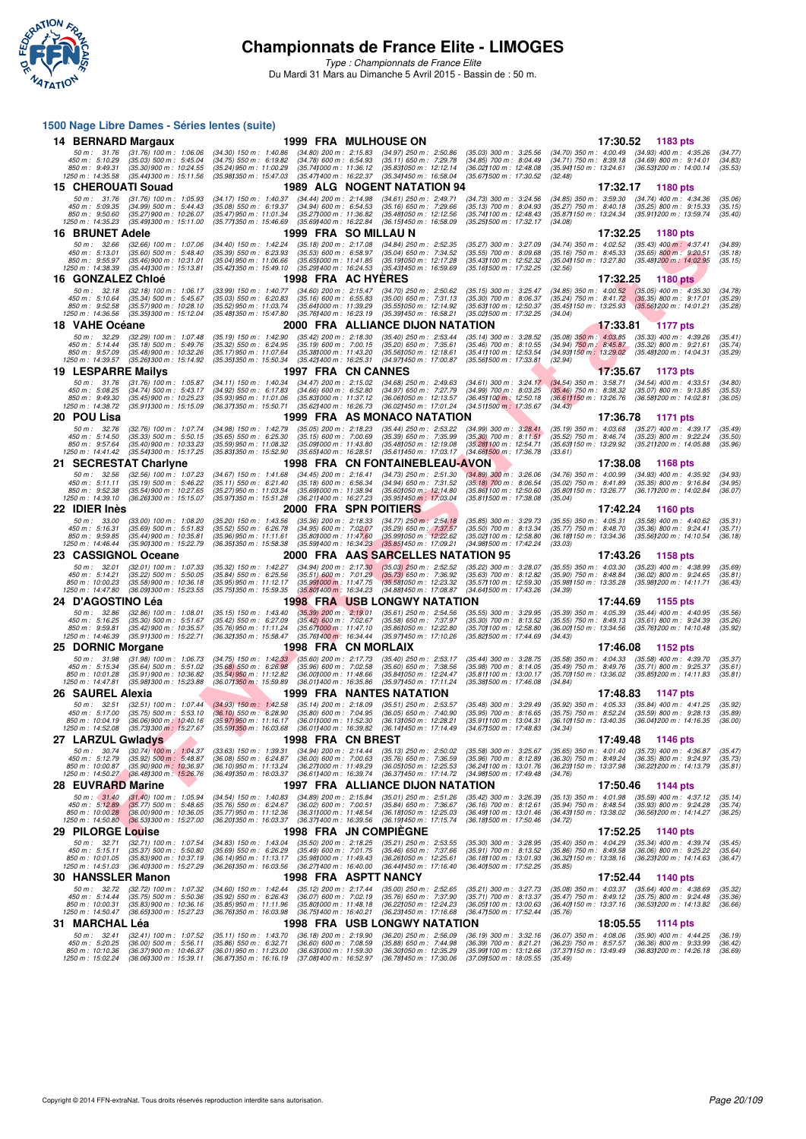

*Type : Championnats de France Elite* Du Mardi 31 Mars au Dimanche 5 Avril 2015 - Bassin de : 50 m.

#### **1500 Nage Libre Dames - Séries lentes (suite)**

| 14 BERNARD Margaux                                                     |                                                                                                                           |                                                                                                                                                                                                                                | 1999 FRA MULHOUSE ON                                                                                           |                                                                                                              | 17:30.52                                                                                                                                        | 1183 pts                                                                                   |                               |
|------------------------------------------------------------------------|---------------------------------------------------------------------------------------------------------------------------|--------------------------------------------------------------------------------------------------------------------------------------------------------------------------------------------------------------------------------|----------------------------------------------------------------------------------------------------------------|--------------------------------------------------------------------------------------------------------------|-------------------------------------------------------------------------------------------------------------------------------------------------|--------------------------------------------------------------------------------------------|-------------------------------|
| 50 m: 31.76<br>450 m: 5:10.29<br>850 m : 9:49.31<br>1250 m: 14:35.58   | $(31.76)$ 100 m : 1:06.06<br>$(35.03)$ 500 m : 5:45.04<br>$(35.30)$ 900 m : 10:24.55<br>$(35.44)300 \text{ m}$ : 15:11.56 | $(34.30)$ 150 m : 1:40.86<br>$(34.80)$ 200 m : 2:15.83<br>$(34.75)$ 550 m : 6:19.82<br>$(34.78)$ 600 m : 6:54.93<br>(35.741000 m: 11:36.12<br>(35.24) 950 m : 11:00.29<br>(35.47) 400 m : 16:22.37<br>(35.981350 m: 15:47.03   | $(34.97)$ 250 m : 2:50.86<br>$(35.11)$ 650 m : 7:29.78<br>(35.83) 050 m : 12:12.14<br>(35.34) 450 m : 16:58.04 | $(35.03)$ 300 m : 3:25.56<br>(34.85) 700 m : 8:04.49<br>(36.02) 100 m : 12:48.08<br>(35.671500 m: 17:30.52   | (34.70) 350 m : 4:00.49 (34.93) 400 m : 4:35.26<br>(34.71) 750 m: 8:39.18 (34.69) 800 m: 9:14.01<br>(35.94 <b>)</b> 150 m : 13:24.61<br>(32.48) | (36.53) 200 m : 14:00.14                                                                   | (34.77)<br>(34.83)<br>(35.53) |
| 15 CHEROUATI Souad                                                     |                                                                                                                           |                                                                                                                                                                                                                                | 1989 ALG NOGENT NATATION 94                                                                                    |                                                                                                              | 17:32.17                                                                                                                                        | 1180 pts                                                                                   |                               |
| 50 m : 31.76<br>450 m: 5:09.35<br>850 m : 9:50.60<br>1250 m: 14:35.23  | $(31.76)$ 100 m : 1:05.93<br>$(34.99)$ 500 m : 5:44.43<br>(35.27) 900 m : 10:26.07<br>(35.49) 300 m : 15:11.00            | $(34.44)$ 200 m : 2:14.98<br>$(34.17)$ 150 m : 1:40.37<br>$(35.08)$ 550 m : 6:19.37<br>$(34.94)$ 600 m : 6:54.53<br>(35.47) 950 m : 11:01.34<br>(35.271000 m: 11:36.82<br>(35.77) 350 m : 15:46.69<br>(35.691400 m: 16:22.84   | $(34.61)$ 250 m : 2:49.71<br>$(35.16)$ 650 m : 7:29.66<br>(35.48) 050 m: 12:12.56<br>(36.15) 450 m : 16:58.09  | $(34.73)$ 300 m : 3:24.56<br>$(35.13)$ 700 m : 8:04.93<br>(35.74) 100 m : 12:48.43<br>(35.251500 m: 17:32.17 | $(34.85)$ 350 m : 3:59.30<br>$(35.27)$ 750 m : 8:40.18<br>(35.871150 m: 13:24.34 (35.911200 m: 13:59.74)<br>(34.08)                             | $(34.74)$ 400 m : 4:34.36<br>$(35.25)$ 800 m : 9:15.33                                     | (35.06)<br>(35.15)<br>(35.40) |
| 16 BRUNET Adele                                                        |                                                                                                                           |                                                                                                                                                                                                                                | 1999 FRA SO MILLAU N                                                                                           |                                                                                                              | 17:32.25                                                                                                                                        | 1180 pts                                                                                   |                               |
| 50 m: 32.66<br>450 m: 5:13.01<br>850 m : 9:55.97<br>1250 m : 14:38.39  | $(32.66)$ 100 m : 1:07.06<br>$(35.60)$ 500 m : 5:48.40<br>$(35.46)$ 900 m : 10:31.01<br>$(35.44)300 \text{ m}$ : 15:13.81 | $(35.18)$ 200 m : 2:17.08<br>$(34.40)$ 150 m : 1:42.24<br>(35.39) 550 m : 6:23.93<br>$(35.53)$ 600 m : 6:58.97<br>(35.651000 m: 11:41.85<br>$(35.04)$ 950 m : 11:06.66<br>(35.42) 350 m : 15:49.10<br>(35.29) 400 m : 16:24.53 | $(34.84)$ 250 m : 2:52.35<br>$(35.04)$ 650 m : 7:34.52<br>(35.19) 050 m : 12:17.28<br>(35.43) 450 m : 16:59.69 | (35.27) 300 m : 3:27.09<br>$(35.55)$ 700 m : 8:09.68<br>(35.43) 100 m : 12:52.32<br>(35.16) 500 m : 17:32.25 | (34.74) 350 m : 4:02.52<br>$(35.16)$ 750 m : 8:45.33<br>(35.04) 150 m : 13:27.80<br>(32.56)                                                     | $(35.43)$ 400 m : 4:37.41<br>$(35.65) 800 \text{ m}$ : 9:20.51<br>(35.48) 200 m : 14:02.95 | (34.89)<br>(35.18)<br>(35.15) |
| 16 GONZALEZ Chloé                                                      |                                                                                                                           |                                                                                                                                                                                                                                | 1998 FRA AC HYERES                                                                                             |                                                                                                              | 17:32.25                                                                                                                                        | <b>1180 pts</b>                                                                            |                               |
| 50 m: 32.18<br>450 m: 5:10.64<br>850 m : 9:52.58<br>1250 m: 14:36.56   | $(32.18)$ 100 m : 1:06.17<br>(35.34) 500 m : 5:45.67<br>(35.57) 900 m : 10:28.10<br>(35.351300 m : 15:12.04               | (33.99) 150 m : 1:40.77<br>$(34.60)$ 200 m : 2:15.47<br>$(35.03)$ 550 m : 6:20.83<br>$(35.16)$ 600 m : 6.55.83<br>(35.52) 950 m : 11:03.74<br>(35.641000 m: 11:39.29)                                                          | $(34.70)$ 250 m : 2:50.62<br>$(35.00)$ 650 m : 7:31.13<br>(35.55) 050 m: 12:14.92                              | $(35.15)$ 300 m : 3:25.47<br>$(35.30)$ 700 m : 8:06.37<br>(35.63) 100 m : 12:50.37                           | $(34.85)$ 350 m : $4:00.52$<br>$(35.24)$ 750 m : $8.41.72$<br>(35.45) 150 m : 13:25.93                                                          | $(35.05)$ 400 m : 4:35.30<br>$(35.35) 800 m$ : 9:17.01<br>$(35.56)200$ m : 14:01.21        | (34.78)<br>(35.29)<br>(35.28) |
| 18 VAHE Océane                                                         |                                                                                                                           | (35.48) 350 m : 15:47.80<br>(35.76) 400 m : 16:23.19                                                                                                                                                                           | (35.39) 450 m : 16:58.21<br>2000 FRA ALLIANCE DIJON NATATION                                                   | (35.02) 500 m : 17:32.25                                                                                     | (34.04)<br>17:33.81                                                                                                                             | <b>1177 pts</b>                                                                            |                               |
| 50 m: 32.29                                                            | $(32.29)$ 100 m : 1:07.48                                                                                                 | $(35.42)$ 200 m : 2:18.30<br>$(35.19)$ 150 m : 1:42.90                                                                                                                                                                         | $(35.40)$ 250 m : 2:53.44                                                                                      | $(35.14)$ 300 m : 3:28.52                                                                                    | $(35.08)$ 350 m : 4:03.85 $(35.33)$ 400 m : 4:39.26                                                                                             |                                                                                            | (35.41)                       |
| 450 m : 5:14.44<br>850 m : 9:57.09                                     | $(35.18)$ 500 m : 5:49.76<br>$(35.48)$ 900 m : 10:32.26                                                                   | $(35.32)$ 550 m : 6:24.95<br>$(35.19)$ 600 m : 7:00.15<br>(35.17) 950 m : 11:07.64<br>(35.38) 000 m: 11:43.20                                                                                                                  | $(35.20)$ 650 m : 7:35.61<br>(35.56) 050 m: 12:18.61                                                           | $(35.46)$ 700 m : 8:10.55<br>(35.41) 100 m: 12:53.54                                                         | (34.94) 750 m : 8:45.87 (35.32) 800 m : 9:21.61<br>(34.93) 150 m : 13:29.02 (35.48) 200 m : 14:04.31                                            |                                                                                            | (35.74)<br>(35.29)            |
| 1250 m: 14:39.57                                                       | (35.26) 300 m : 15:14.92                                                                                                  | (35.35) 350 m : 15:50.34<br>(35.42) 400 m : 16:25.31                                                                                                                                                                           | (34.97) 450 m : 17:00.87                                                                                       | (35.561500 m: 17:33.81                                                                                       | (32.94)                                                                                                                                         |                                                                                            |                               |
| 19 LESPARRE Mailys                                                     |                                                                                                                           |                                                                                                                                                                                                                                | 1997 FRA CN CANNES                                                                                             |                                                                                                              | 17:35.67                                                                                                                                        | 1173 pts                                                                                   |                               |
| 50 m : 31.76<br>450 m: 5:08.25                                         | $(31.76)$ 100 m : 1:05.87<br>$(34.74)$ 500 m : 5:43.17                                                                    | $(34.11)$ 150 m : 1:40.34<br>$(34.47)$ 200 m : 2:15.02<br>$(34.92)$ 550 m : 6:17.83<br>$(34.66)$ 600 m : 6:52.80                                                                                                               | $(34.68)$ 250 m : 2:49.63<br>(34.97) 650 m : 7:27.79                                                           | $(34.61)$ 300 m : 3:24.17<br>$(34.99)$ 700 m : 8:03.25                                                       | $(34.54)$ 350 m : 3:58.71<br>$(35.46)$ 750 m : 8:38.32                                                                                          | $(34.54)$ 400 m : 4:33.51<br>$(35.07)$ 800 m : 9:13.85                                     | (34.80)<br>(35.53)            |
| 850 m: 9:49.30<br>1250 m: 14:38.72                                     | $(35.45)$ 900 m : 10:25.23<br>(35.911300 m: 15:15.09)                                                                     | (35.83) 000 m: 11:37.12<br>$(35.93)$ 950 m : 11:01.06<br>(35.621400 m : 16:26.73)<br>(36.37) 350 m : 15:50.71                                                                                                                  | (36.06) 050 m: 12:13.57<br>(36.02) 450 m : 17:01.24                                                            | (36.45) 100 m : 12:50.18<br>(34.511500 m: 17:35.67                                                           | (36.61) 150 m : 13:26.76<br>(34.43)                                                                                                             | (36.58) 200 m : 14:02.81                                                                   | (36.05)                       |
| 20 POU Lisa                                                            |                                                                                                                           |                                                                                                                                                                                                                                | 1999 FRA AS MONACO NATATION                                                                                    |                                                                                                              | 17:36.78                                                                                                                                        | 1171 pts                                                                                   |                               |
| 50 m: 32.76                                                            | (32.76) 100 m : 1:07.74                                                                                                   | (34.98) 150 m : 1:42.79<br>$(35.05)$ 200 m : 2:18.23                                                                                                                                                                           | $(35.44)$ 250 m : 2:53.22                                                                                      | $(34.99)$ 300 m : 3:28.41                                                                                    | $(35.19)$ 350 m : 4:03.68                                                                                                                       | (35.27) 400 m : 4:39.17                                                                    | (35.49)                       |
| 450 m: 5:14.50<br>850 m : 9:57.64                                      | $(35.33)$ 500 m : 5:50.15<br>$(35.40)$ 900 m : 10:33.23                                                                   | $(35.65)$ 550 m : 6:25.30<br>$(35.15)$ 600 m : 7:00.69<br>(35.59) 950 m : 11:08.32<br>(35.09) 000 m: 11:43.80                                                                                                                  | $(35.39)$ 650 m : 7:35.99<br>(35.48) 050 m: 12:19.08                                                           | $(35.30)$ 700 m : $8:11.51$<br>(35.281100 m : 12:54.71                                                       | $(35.52)$ 750 m : 8:46.74<br>(35.63) 150 m : 13:29.92                                                                                           | $(35.23)$ 800 m : 9:22.24<br>(35.21) 200 m : 14:05.88                                      | (35.50)<br>(35.96)            |
| 1250 m: 14:41.42                                                       | (35.54) 300 m : 15:17.25                                                                                                  | (35.83) 350 m : 15:52.90<br>(35.651400 m: 16:28.51                                                                                                                                                                             | (35.611450 m : 17:03.17                                                                                        | $(34.66)500 \text{ m}$ : 17:36.78                                                                            | (33.61)                                                                                                                                         |                                                                                            |                               |
|                                                                        | 21 SECRESTAT Charlyne                                                                                                     |                                                                                                                                                                                                                                | <b>1998 FRA CN FONTAINEBLEAU-AVON</b>                                                                          |                                                                                                              | 17:38.08                                                                                                                                        | 1168 pts                                                                                   |                               |
| 50 m: 32.56<br>450 m : 5:11.11                                         | $(32.56)$ 100 m : 1:07.23<br>$(35.19)$ 500 m : 5:46.22                                                                    | $(34.45)$ 200 m : 2:16.41<br>$(34.67)$ 150 m : 1:41.68<br>$(35.18)$ 600 m : 6:56.34<br>$(35.11)$ 550 m : 6:21.40                                                                                                               | $(34.73)$ 250 m : 2:51.30<br>$(34.94)$ 650 m : 7:31.52                                                         | $(34.89)$ 300 m : 3:26.06<br>$(35.18)$ 700 m : 8:06.54                                                       | $(34.76)$ 350 m : 4:00.99<br>$(35.02)$ 750 m : 8:41.89                                                                                          | $(34.93)$ 400 m : 4:35.92<br>$(35.35)$ 800 m : 9:16.84                                     | (34.93)<br>(34.95)            |
| 850 m: 9:52.38<br>1250 m: 14:39.10                                     | (35.54) 900 m : 10:27.65<br>(36.26) 300 m : 15:15.07                                                                      | (35.691000 m: 11:38.94<br>(35.27) 950 m : 11:03.34<br>(35.97) 350 m : 15:51.28<br>(36.211400 m: 16:27.23)                                                                                                                      | (35.60) 050 m : 12:14.80<br>(35.95) 450 m : 17:03.04                                                           | (35.86) 100 m : 12:50.60<br>(35.811500 m: 17:38.08                                                           | (35.80) 150 m : 13:26.77<br>(35.04)                                                                                                             | (36.17) 200 m : 14:02.84                                                                   | (36.07)                       |
| 22 IDIER Inès                                                          |                                                                                                                           |                                                                                                                                                                                                                                | 2000 FRA SPN POITIERS                                                                                          |                                                                                                              | 17:42.24                                                                                                                                        | <b>1160 pts</b>                                                                            |                               |
| 50 m : 33.00                                                           | $(33.00)$ 100 m : 1:08.20                                                                                                 | $(35.20)$ 150 m : 1:43.56<br>$(35.36)$ 200 m : 2:18.33                                                                                                                                                                         | $(34.77)$ 250 m : 2:54.18                                                                                      | $(35.85)$ 300 m : 3:29.73                                                                                    | $(35.55)$ 350 m : 4:05.31                                                                                                                       | $(35.58)$ 400 m : 4:40.62                                                                  | (35.31)                       |
| 450 m : 5:16.31<br>850 m: 9:59.85                                      | (35.69) 500 m : 5.51.83<br>$(35.44)$ 900 m : 10:35.81                                                                     | $(35.52)$ 550 m : 6:26.78<br>$(34.95)$ 600 m : 7:02.07<br>(35.96) 950 m: 11:11.61<br>(35.80) 000 m: 11:47.60                                                                                                                   | $(35.29)$ 650 m : 7:37.57<br>(35.99) 050 m : 12:22.62                                                          | $(35.50)$ 700 m : 8:13.34<br>(35.02) 100 m : 12:58.80                                                        | $(35.77)$ 750 m : 8:48.70<br>(36.18) 150 m : 13:34.36                                                                                           | $(35.36)$ 800 m : 9:24.41<br>(35.56) 200 m : 14:10.54                                      | (35.71)<br>(36.18)            |
| 1250 m: 14:46.44                                                       | (35.90) 300 m : 15:22.79                                                                                                  |                                                                                                                                                                                                                                | (35.85) 450 m : 17:09.21                                                                                       |                                                                                                              |                                                                                                                                                 |                                                                                            |                               |
|                                                                        |                                                                                                                           | (36.35) 350 m : 15:58.38<br>(35.591400 m : 16:34.23)                                                                                                                                                                           |                                                                                                                | (34.981500 m: 17:42.24)                                                                                      | (33.03)                                                                                                                                         |                                                                                            |                               |
| 23 CASSIGNOL Oceane                                                    |                                                                                                                           |                                                                                                                                                                                                                                | 2000 FRA AAS SARCELLES NATATION 95                                                                             |                                                                                                              | 17:43.26                                                                                                                                        | 1158 pts                                                                                   |                               |
| 50 m: 32.01<br>450 m: 5:14.21<br>850 m : 10:00.23<br>1250 m : 14:47.80 | $(32.01)$ 100 m : 1:07.33<br>$(35.22)$ 500 m : 5:50.05<br>$(35.58)$ 900 m : 10:36.18                                      | (35.32) 150 m : 1:42.27<br>$(34.94)$ 200 m : 2:17.30<br>$(35.84)$ 550 m : 6:25.56<br>$(35.51)$ 600 m : 7:01.29<br>(35.95) 950 m : 11:12.17<br>(35.991000 m: 11:47.75                                                           | $(35.03)$ 250 m : 2:52.52<br>(35.73) 650 m : 7:36.92<br>(35.58) 050 m : 12:23.32                               | (35.22) 300 m : 3:28.07<br>$(35.63)$ 700 m : 8:12.82<br>(35.57) 100 m : 12:59.30                             | $(35.55)$ 350 m : 4:03.30<br>$(35.90)$ 750 m : 8:48.84<br>(35.98) 150 m : 13:35.28                                                              | $(35.23)$ 400 m : 4:38.99<br>$(36.02)$ 800 m : 9:24.65<br>(35.98) 200 m : 14:11.71         | (35.69)<br>(35.81)<br>(36.43) |
| 24 D'AGOSTINO Léa                                                      | (36.09) 300 m : 15:23.55                                                                                                  | (35.75) 350 m : 15:59.35<br>(35.80) 400 m : 16:34.23                                                                                                                                                                           | (34.88) 450 m : 17:08.87<br><b>1998 FRA USB LONGWY NATATION</b>                                                | (34.641500 m : 17:43.26)                                                                                     | (34.39)<br>17:44.69                                                                                                                             | 1155 pts                                                                                   |                               |
| 50 m: 32.86                                                            | $(32.86)$ 100 m : 1:08.01                                                                                                 | $(35.39)$ 200 m : 2:19.01<br>$(35.15)$ 150 m : 1:43.40                                                                                                                                                                         | $(35.61)$ 250 m : 2:54.56                                                                                      | (35.55) 300 m : 3:29.95                                                                                      | $(35.39)$ 350 m : 4:05.39                                                                                                                       | $(35.44)$ 400 m : 4:40.95                                                                  | (35.56)                       |
| 450 m : 5:16.25<br>850 m : 9:59.81                                     | $(35.30)$ 500 m : 5:51.67<br>(35.42) 900 m : 10:35.57                                                                     | $(35.42)$ 550 m : 6:27.09<br>$(35.42)$ 600 m : 7:02.67<br>(35.76) 950 m : 11:11.24<br>(35.671000 m: 11:47.10                                                                                                                   | (35.58) 650 m : 7:37.97<br>(35.86) 050 m: 12:22.80                                                             | $(35.30)$ 700 m : 8:13.52<br>(35.70) 100 m : 12:58.80                                                        | $(35.55)$ 750 m : 8:49.13<br>(36.00) 150 m : 13:34.56 (35.76) 200 m : 14:10.48                                                                  | (35.61) 800 m : 9:24.39                                                                    | (35.26)<br>(35.92)            |
| 1250 m: 14:46.39                                                       | (35.911300 m: 15:22.71                                                                                                    | (36.32) 350 m : 15:58.47<br>(35.76) 400 m : 16:34.44                                                                                                                                                                           | (35.97) 450 m : 17:10.26                                                                                       | (35.82) 500 m : 17:44.69                                                                                     | (34.43)                                                                                                                                         |                                                                                            |                               |
| 25 DORNIC Morgane                                                      |                                                                                                                           |                                                                                                                                                                                                                                | 1998 FRA CN MORLAIX                                                                                            |                                                                                                              | 17:46.08                                                                                                                                        | 1152 pts                                                                                   |                               |
| 50 m: 31.98<br>450 m : 5:15.34                                         | $(31.98)$ 100 m : 1:06.73<br>(35.64) 500 m : 5.51.02                                                                      | $(34.75)$ 150 m : 1:42.33<br>$(35.60)$ 200 m : 2:17.73<br>$(35.96)$ 600 m : 7:02.58<br>$(35.68)$ 550 m : 6:26.98                                                                                                               | $(35.40)$ 250 m : 2:53.17<br>$(35.60)$ 650 m : 7:38.56                                                         | $(35.44)$ 300 m : 3:28.75<br>(35.98) 700 m : 8:14.05                                                         | $(35.58)$ 350 m : 4:04.33<br>$(35.49)$ 750 m : 8:49.76                                                                                          | $(35.58)$ 400 m : 4:39.70<br>$(35.71)$ 800 m : 9:25.37                                     | (35.37)<br>(35.61)            |
| 850 m: 10:01.28<br>1250 m: 14:47.81                                    | $(35.91)$ 900 m : 10:36.82<br>(35.98) 300 m : 15:23.88                                                                    | (35.54) 950 m : 11:12.82<br>(36.001000 m: 11:48.66<br>(36.07) 350 m : 15:59.89<br>(36.011400 m: 16:35.86                                                                                                                       | (35.84) 050 m: 12:24.47<br>(35.97) 450 m : 17:11.24                                                            | (35.81) 100 m : 13:00.17<br>(35.381500 m: 17:46.08                                                           | (35.70) 150 m : 13:36.02<br>(34.84)                                                                                                             | (35.85) 200 m : 14:11.83                                                                   | (35.81)                       |
| 26 SAUREL Alexia                                                       |                                                                                                                           |                                                                                                                                                                                                                                | <b>1999 FRA NANTES NATATION</b>                                                                                |                                                                                                              | 17:48.83                                                                                                                                        | 1147 pts                                                                                   |                               |
| 50 m: 32.51                                                            | $(32.51)$ 100 m : 1:07.44                                                                                                 | $(34.93)$ 150 m : 1:42.58<br>$(35.14)$ 200 m : 2:18.09                                                                                                                                                                         | $(35.51)$ 250 m : 2:53.57                                                                                      | $(35.48)$ 300 m : 3:29.49                                                                                    | (35.92) 350 m : 4:05.33                                                                                                                         | $(35.84)$ 400 m : 4:41.25                                                                  | (35.92)                       |
| 450 m: 5:17.00<br>850 m: 10:04.19                                      | $(35.75)$ 500 m : 5:53.10<br>(36.06) 900 m ; 10:40.16                                                                     | $(36.10)$ 550 m : 6:28.90<br>$(35.80)$ 600 m : 7:04.95<br>(35.97) 950 m : 11:16.17<br>(36.011000 m: 11:52.30                                                                                                                   | $(36.05)$ 650 m : 7:40.90<br>(36.13) 050 m: 12:28.21                                                           | $(35.95)$ 700 m : 8:16.65<br>(35.911100 m: 13:04.31                                                          | (35.75) 750 m : 8:52.24<br>(36.10) 150 m : 13:40.35                                                                                             | $(35.59)$ 800 m : 9:28.13<br>(36.041200 m: 14:16.35                                        | (35.89)<br>(36.00)            |
| 1250 m : 14:52.08                                                      | $(35.73)300 \text{ m}$ : 15:27.67                                                                                         | (35.59)350 m : 16:03.68<br>(36.011400 m : 16:39.82                                                                                                                                                                             | (36.14) 450 m : 17:14.49                                                                                       | (34.671500 m: 17:48.83)                                                                                      | (34.34)                                                                                                                                         |                                                                                            |                               |
| 27 LARZUL Gwladys<br>50 m : 30.74                                      |                                                                                                                           | 1998 FRA CN BREST<br>$(33.63)$ 150 m : 1:39.31<br>$(34.94)$ 200 m : 2:14.44                                                                                                                                                    | $(35.13)$ 250 m : 2:50.02                                                                                      | $(35.58)$ 300 m : 3:25.67                                                                                    | 17:49.48<br>$(35.65)$ 350 m : 4:01.40                                                                                                           | 1146 pts<br>$(35.73)$ 400 m : 4:36.87                                                      | (35.47)                       |
| 450 m : 5:12.79                                                        | (30.74) 100 m : 1:04.37<br>$(35.92)$ 500 m : 5:48.87                                                                      | $(36.08)$ 550 m : 6:24.87<br>$(36.00)$ 600 m : 7:00.63                                                                                                                                                                         | $(35.76)$ 650 m : 7:36.59                                                                                      | $(35.96)$ 700 m : 8:12.89                                                                                    | $(36.30)$ 750 m : 8:49.24                                                                                                                       | $(36.35)$ 800 m : 9:24.97                                                                  | (35.73)                       |
| 850 m : 10:00.87<br>1250 m : 14:50.27                                  | $(35.90)$ 900 m : 10:36.97<br>(36.48) 300 m : 15:26.76                                                                    | (36.10) 950 m: 11:13.24<br>(36.271000 m: 11:49.29)<br>(36.491350 m: 16:03.37)<br>(36.611400 m : 16:39.74                                                                                                                       | (36.05) 050 m : 12:25.53<br>(36.371450 m : 17:14.72)                                                           | (36.24) 100 m : 13:01.76<br>(34.98) 500 m : 17:49.48                                                         | (36.23) 150 m : 13:37.98<br>(34.76)                                                                                                             | (36.22) 200 m : 14:13.79                                                                   | (35.81)                       |
| 28 EUVRARD Marine                                                      |                                                                                                                           |                                                                                                                                                                                                                                | 1997 FRA ALLIANCE DIJON NATATION                                                                               |                                                                                                              | 17:50.46                                                                                                                                        | 1144 pts                                                                                   |                               |
| 50 m: 31.40                                                            | $(31.40)$ 100 m : 1:05.94                                                                                                 | $(34.54)$ 150 m : 1:40.83<br>$(34.89)$ 200 m : 2:15.84                                                                                                                                                                         | $(35.01)$ 250 m : 2:51.26                                                                                      | $(35.42)$ 300 m : 3:26.39                                                                                    | (35.13) 350 m : 4:01.98                                                                                                                         | $(35.59)$ 400 m : 4:37.12                                                                  | (35.14)                       |
| 450 m : 5:12.89<br>850 m: 10:00.28                                     | (35.77) 500 m : 5:48.65<br>$(36.00)$ 900 m : 10:36.05                                                                     | $(36.02)$ 600 m : 7:00.51<br>$(35.76)$ 550 m : 6:24.67<br>(35.77) 950 m : 11:12.36<br>(36.311000 m: 11:48.54                                                                                                                   | $(35.84)$ 650 m : 7:36.67<br>(36.181050 m: 12:25.03)                                                           | $(36.16)$ 700 m : 8:12.61<br>(36.49) 100 m : 13:01.46                                                        | $(35.94)$ 750 m : 8:48.54<br>(36.43) 150 m : 13:38.02                                                                                           | $(35.93)$ 800 m : 9:24.28<br>(36.56) 200 m : 14:14.27                                      | (35.74)<br>(36.25)            |
| 1250 m : 14:50.80                                                      | $(36.53)300 \text{ m}$ : 15:27.00                                                                                         | (36.201350 m : 16:03.37<br>$(36.37)400 \text{ m}$ : 16:39.56                                                                                                                                                                   | (36.19) 450 m : 17:15.74                                                                                       | (36.181500 m: 17:50.46                                                                                       | (34.72)                                                                                                                                         |                                                                                            |                               |
| 29 PILORGE Louise                                                      | $(32.71)$ 100 m : 1:07.54                                                                                                 | $(34.83)$ 150 m : 1:43.04                                                                                                                                                                                                      | 1998 FRA JN COMPIEGNE                                                                                          |                                                                                                              | 17:52.25<br>$(35.40)$ 350 m : 4:04.29                                                                                                           | 1140 pts                                                                                   |                               |
| 50 m: 32.71<br>450 m : 5:15.11                                         | $(35.37)$ 500 m : 5:50.80                                                                                                 | $(35.50)$ 200 m : 2:18.25<br>$(35.69)$ 550 m : 6:26.29<br>$(35.49)$ 600 m : 7:01.75                                                                                                                                            | $(35.21)$ 250 m : 2:53.55<br>$(35.46)$ 650 m : 7:37.66                                                         | $(35.30)$ 300 m : 3:28.95<br>$(35.91)$ 700 m : 8:13.52                                                       | $(35.86)$ 750 m : $8:49.58$                                                                                                                     | $(35.34)$ 400 m : 4:39.74<br>$(36.06)$ 800 m : 9:25.22                                     | (35.45)<br>(35.64)            |
| 850 m: 10:01.05<br>1250 m : 14:51.03                                   | (35.83) 900 m : 10:37.19<br>(36.401300 m: 15:27.29)                                                                       | (35.98) 000 m: 11:49.43<br>(36.14) 950 m : 11:13.17<br>(36.26) 350 m : 16:03.56<br>(36.271400 m : 16:40.00                                                                                                                     | (36.26) 050 m: 12:25.61<br>(36.44) 450 m : 17:16.40                                                            | (36.18) 100 m : 13:01.93<br>(36.401500 m: 17:52.25)                                                          | (36.32) 150 m : 13:38.16<br>(35.85)                                                                                                             | (36.23) 200 m : 14:14.63                                                                   | (36.47)                       |
| 30 HANSSLER Manon                                                      |                                                                                                                           |                                                                                                                                                                                                                                | 1998 FRA ASPTT NANCY                                                                                           |                                                                                                              | 17:52.44                                                                                                                                        | 1140 pts                                                                                   |                               |
| 50 m: 32.72                                                            | (32.72) 100 m : 1:07.32                                                                                                   | $(35.12)$ 200 m : 2:17.44<br>$(34.60)$ 150 m : 1:42.44                                                                                                                                                                         | $(35.00)$ 250 m : 2:52.65                                                                                      | $(35.21)$ 300 m : 3:27.73                                                                                    | $(35.08)$ 350 m : 4:03.37 $(35.64)$ 400 m : 4:38.69                                                                                             |                                                                                            | (35.32)                       |
| 450 m : 5:14.44<br>850 m : 10:00.31                                    | $(35.75)$ 500 m : 5:50.36<br>$(35.83)$ 900 m : 10:36.16                                                                   | $(35.92)$ 550 m : 6:26.43<br>$(36.07)$ 600 m : 7:02.19<br>$(35.85)$ 950 m : 11:11.96<br>$(35.80)000 \text{ m}$ : 11:48.18                                                                                                      | $(35.76)$ 650 m : 7:37.90<br>(36.22) 050 m: 12:24.23                                                           | $(35.71)$ 700 m : 8:13.37<br>(36.05) 100 m : 13:00.63                                                        | $(35.47)$ 750 m : 8:49.12<br>(36.40) 150 m : 13:37.16 (36.53) 200 m : 14:13.82                                                                  | (35.75) 800 m : 9:24.48                                                                    | (35.36)<br>(36.66)            |
| 1250 m : 14:50.47                                                      | (36.651300 m : 15:27.23                                                                                                   | (36.761350 m : 16:03.98<br>(36.75) 400 m : 16:40.21                                                                                                                                                                            | (36.23) 450 m : 17:16.68                                                                                       | (36.471500 m : 17:52.44)                                                                                     | (35.76)                                                                                                                                         |                                                                                            |                               |
| 31 MARCHAL Léa<br>50 m: 32.41                                          | $(32.41)$ 100 m : 1:07.52                                                                                                 | $(35.11)$ 150 m : 1:43.70<br>$(36.18)$ 200 m : 2:19.90                                                                                                                                                                         | 1998 FRA USB LONGWY NATATION<br>$(36.20)$ 250 m : 2:56.09                                                      | $(36.19)$ 300 m : 3:32.16                                                                                    | 18:05.55<br>$(36.07)$ 350 m : 4:08.06                                                                                                           | 1114 pts<br>$(35.90)$ 400 m : 4:44.25                                                      | (36.19)                       |
| 450 m : 5:20.25<br>850 m : 10:10.36<br>1250 m : 15:02.24               | $(36.00)$ 500 m : 5:56.11<br>(36.37) 900 m : 10:46.37<br>(36.06) 300 m : 15:39.11                                         | $(35.86)$ 550 m : 6:32.71<br>$(36.60)$ 600 m : 7:08.59<br>$(36.01)$ 950 m : 11:23.00<br>(36.63) 000 m : 11:59.30<br>(36.871350 m : 16:16.19<br>(37.08) 400 m : 16:52.97                                                        | $(35.88)$ 650 m : 7:44.98<br>(36.30) 050 m : 12:35.29<br>(36.78) 450 m : 17:30.06                              | $(36.39)$ 700 m : 8:21.21<br>(35.99) 100 m : 13:12.66<br>(37.091500 m: 18:05.55                              | $(36.23)$ 750 m : 8:57.57<br>(37.37 <b>)</b> 150 m : 13:49.49<br>(35.49)                                                                        | $(36.36)$ 800 m : 9:33.99<br>(36.83) 200 m : 14:26.18                                      | (36.42)<br>(36.69)            |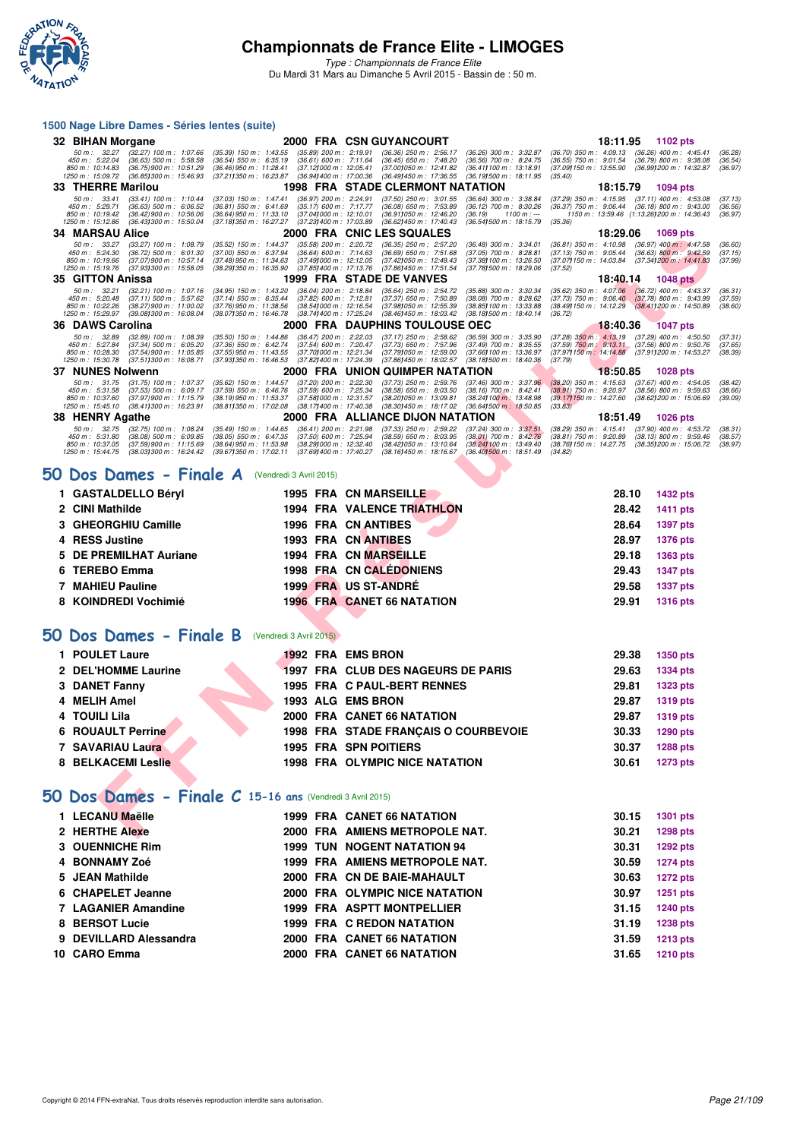

*Type : Championnats de France Elite* Du Mardi 31 Mars au Dimanche 5 Avril 2015 - Bassin de : 50 m.

#### **1500 Nage Libre Dames - Séries lentes (suite)**

|    | 32 BIHAN Morgane                                                                                                                                                                                   |                                                                                                                                                                                                                                  | 2000 FRA CSN GUYANCOURT                                                                                                                                                                                                           | 18:11.95<br>1102 pts                                                                                                                                                                                                       |  |
|----|----------------------------------------------------------------------------------------------------------------------------------------------------------------------------------------------------|----------------------------------------------------------------------------------------------------------------------------------------------------------------------------------------------------------------------------------|-----------------------------------------------------------------------------------------------------------------------------------------------------------------------------------------------------------------------------------|----------------------------------------------------------------------------------------------------------------------------------------------------------------------------------------------------------------------------|--|
|    | 50 m : 32.27<br>$(32.27)$ 100 m : 1:07.66<br>450 m : 5:22.04<br>$(36.63)$ 500 m : 5:58.58<br>850 m : 10:14.83<br>(36.75) 900 m : 10:51.29<br>1250 m: 15:09.72<br>(36.85) 300 m : 15:46.93          | $(35.39)$ 150 m : 1:43.55<br>$(35.89)$ 200 m : 2:19.91<br>$(36.61)$ 600 m : 7:11.64<br>(36.54) 550 m : 6:35.19<br>(36.46) 950 m : 11:28.41<br>(37.12) 000 m: 12:05.41<br>(37.211350 m: 16:23.87<br>(36.941400 m: 17:00.36        | $(36.36)$ 250 m : 2:56.17<br>(36.26) 300 m : 3:32.87<br>$(36.45)$ 650 m : 7:48.20<br>(36.56) 700 m : 8:24.75<br>(37.001050 m: 12:41.82<br>(36.41) 100 m: 13:18.91<br>(36.49) 450 m : 17:36.55<br>(36.191500 m: 18:11.95           | (36.70) 350 m : 4:09.13<br>$(36.26)$ 400 m : 4:45.41<br>(36.28)<br>$(36.55)$ 750 m : $9:01.54$<br>$(36.79)$ 800 m : 9:38.08<br>(36.54)<br>(37.09) 150 m : 13:55.90<br>(36.99) 200 m : 14:32.87<br>(36.97)<br>(35.40)       |  |
|    | 33 THERRE Marilou                                                                                                                                                                                  |                                                                                                                                                                                                                                  | 1998 FRA STADE CLERMONT NATATION                                                                                                                                                                                                  | 18:15.79<br>1094 pts                                                                                                                                                                                                       |  |
|    | 50 m: 33.41<br>$(33.41)$ 100 m : 1:10.44<br>450 m: 5:29.71<br>$(36.63)$ 500 m : 6:06.52<br>850 m: 10:19.42<br>$(36.42)$ 900 m : 10:56.06<br>1250 m : 15:12.86<br>$(36.43)300 \text{ m}$ : 15:50.04 | $(37.03)$ 150 m : 1:47.41<br>(36.97) 200 m : 2:24.91<br>$(36.81)$ 550 m : 6:41.69<br>$(35.17)$ 600 m : 7:17.77<br>$(36.64)$ 950 m : 11:33.10<br>(37.041000 m: 12:10.01<br>(37.18) 350 m : 16:27.27<br>(37.23) 400 m : 17:03.89   | $(37.50)$ 250 m : 3:01.55<br>(36.64) 300 m : 3:38.84<br>$(36.08)$ 650 m : 7:53.89<br>$(36.12)$ 700 m : 8:30.26<br>(36.911050 m: 12:46.20<br>(36.19)<br>$1100 m: -$<br>(36.62) 450 m : 17:40.43<br>(36.541500 m : 18:15.79         | (37.29) 350 m : 4:15.95<br>$(37.11)$ 400 m : 4:53.08<br>(37.13)<br>$(36.37)$ 750 m : 9:06.44<br>$(36.18)$ 800 m : 9:43.00<br>(36.56)<br>1150 m: 13:59.46 (1:13.261200 m: 14:36.43)<br>(36.97)<br>(35.36)                   |  |
|    | 34 MARSAU Alice                                                                                                                                                                                    |                                                                                                                                                                                                                                  | 2000 FRA CNIC LES SQUALES                                                                                                                                                                                                         | 18:29.06<br>1069 pts                                                                                                                                                                                                       |  |
|    | $50 m$ : $33.27$<br>(33.27) 100 m: 1:08.79<br>450 m : 5:24.30<br>$(36.72)$ 500 m : 6:01.30<br>850 m : 10:19.66<br>(37.07) 900 m : 10:57.14<br>(37.93) 300 m : 15:58.05<br>1250 m: 15:19.76         | $(35.52)$ 150 m : 1:44.37<br>$(35.58)$ 200 m : 2:20.72<br>$(37.00)$ 550 m : 6:37.94<br>(36.64) 600 m : 7:14.63<br>(37.48) 950 m : 11:34.63<br>(37.49) 000 m: 12:12.05<br>(38.29) 350 m : 16:35.90<br>(37.85) 400 m : 17:13.76    | $(36.35)$ 250 m : 2:57.20<br>$(36.48)$ 300 m : 3:34.01<br>$(36.69)$ 650 m : 7:51.68<br>$(37.05)$ 700 m : 8:28.81<br>(37.42) 050 m: 12:49.43<br>(37.38) 100 m : 13:26.50<br>(37.781500 m: 18:29.06<br>(37.86) 450 m : 17:51.54     | $(36.81)$ 350 m : 4:10.98<br>$(36.97)$ 400 m : 4:47.58<br>(36.60)<br>$(37.13)$ 750 m : $9:05.44$<br>$(36.63)$ 800 m : 9:42.59<br>(37.15)<br>(37.07) 150 m : 14:03.84<br>(37.34) 200 m : 14:41.83<br>(37.99)<br>(37.52)     |  |
|    | 35 GITTON Anissa                                                                                                                                                                                   |                                                                                                                                                                                                                                  | 1999 FRA STADE DE VANVES                                                                                                                                                                                                          | 18:40.14<br><b>1048 pts</b>                                                                                                                                                                                                |  |
|    | 50 m: 32.21<br>$(32.21)$ 100 m : 1:07.16<br>450 m: 5:20.48<br>$(37.11)$ 500 m : 5:57.62<br>850 m : 10:22.26<br>$(38.27)$ 900 m : 11:00.02<br>1250 m : 15:29.97<br>(39.08) 300 m : 16:08.04         | $(34.95)$ 150 m : 1:43.20<br>$(36.04)$ 200 m : 2:18.84<br>$(37.82)$ 600 m : 7:12.81<br>$(37.14)$ 550 m : 6:35.44<br>(38.54) 000 m : 12:16.54<br>(37.76) 950 m : 11:38.56<br>(38.07) 350 m : 16:46.78<br>(38.74) 400 m : 17:25.24 | $(35.64)$ 250 m : 2:54.72<br>$(35.88)$ 300 m : 3:30.34<br>$(38.08)$ 700 m : 8:28.62<br>$(37.37)$ 650 m : 7:50.89<br>(37.98) 050 m : 12:55.39<br>(38.85) 100 m : 13:33.88<br>(38.46) 450 m : 18:03.42<br>(38.18) 500 m : 18:40.14  | (35.62) 350 m : 4:07.06 (36.72) 400 m : 4:43.37<br>(36.31)<br>$(37.73)$ 750 m : 9:06.40<br>(37.78) 800 m : 9:43.99<br>(37.59)<br>$(38.41)200 \text{ m}$ : 14:50.89<br>(38.49) 150 m : 14:12.29<br>(38.60)<br>(36.72)       |  |
|    | 36 DAWS Carolina                                                                                                                                                                                   |                                                                                                                                                                                                                                  | 2000 FRA DAUPHINS TOULOUSE OEC                                                                                                                                                                                                    | 18:40.36<br><b>1047 pts</b>                                                                                                                                                                                                |  |
|    | 50 m: 32.89<br>$(32.89)$ 100 m : 1:08.39<br>450 m : 5:27.84<br>$(37.34)$ 500 m : 6:05.20<br>850 m: 10:28.30<br>$(37.54)$ 900 m : 11:05.85<br>(37.511300 m: 16:08.71<br>1250 m : 15:30.78           | $(36.47)$ 200 m : 2:22.03<br>$(35.50)$ 150 m : 1:44.86<br>$(37.36)$ 550 m : 6:42.74<br>(37.54) 600 m : 7:20.47<br>$(37.55)$ 950 m : 11:43.55<br>(37.701000 m: 12:21.34<br>(37.93) 350 m : 16:46.53<br>(37.82) 400 m : 17:24.39   | $(37.17)$ 250 m : 2:58.62<br>(36.59) 300 m : 3:35.90<br>$(37.73)$ 650 m : 7:57.96<br>$(37.49)$ 700 m : 8:35.55<br>(37.79) 050 m : 12:59.00<br>(37.66) 100 m : 13:36.97<br>(37.86) 450 m : 18:02.57<br>(38.18) 500 m : 18:40.36    | $(37.28)$ 350 m : 4:13.19 $(37.29)$ 400 m : 4:50.50<br>(37.31)<br>(37.59) 750 m : 9:13.11 (37.56) 800 m : 9:50.76<br>(37.97) 150 m : 14:14.88 (37.91) 200 m : 14:53.27<br>(37.65)<br>(38.39)<br>(37.79)                    |  |
|    | 37 NUNES Nolwenn                                                                                                                                                                                   |                                                                                                                                                                                                                                  | 2000 FRA UNION QUIMPER NATATION                                                                                                                                                                                                   | 18:50.85<br><b>1028 pts</b>                                                                                                                                                                                                |  |
|    | 50 m: 31.75<br>$(31.75)$ 100 m : 1:07.37<br>450 m: 5:31.58<br>$(37.53)$ 500 m : 6:09.17<br>(37.97) 900 m : 11:15.79<br>850 m : 10:37.60<br>1250 m: 15:45.10<br>(38.41) 300 m : 16:23.91            | $(35.62)$ 150 m : 1:44.57<br>$(37.20)$ 200 m : 2:22.30<br>$(37.59)$ 600 m : 7:25.34<br>$(37.59)$ 550 m : 6:46.76<br>(37.58) 000 m : 12:31.57<br>(38.19) 950 m : 11:53.37<br>(38.811350 m: 17:02.08<br>(38.17) 400 m : 17:40.38   | $(37.73)$ 250 m : 2:59.76<br>$(37.46)$ 300 m : 3:37.96<br>$(38.58)$ 650 m : $8.03.50$<br>$(38.16)$ 700 m : 8:42.41<br>(38.20) 050 m : 13:09.81<br>(38.24) 100 m : 13:48.98<br>(38.30) 450 m : 18:17.02<br>(36.641500 m : 18:50.85 | $(37.67)$ 400 m : 4:54.05<br>$(38.20)$ 350 m : 4:15.63<br>(38.42)<br>$(38.91)$ 750 m : 9:20.97<br>(38.56) 800 m : 9.59.63<br>(38.66)<br>(39.17) 150 m : 14:27.60<br>(38.62) 200 m : 15:06.69<br>(39.09)<br>(33.83)         |  |
|    | 38 HENRY Agathe                                                                                                                                                                                    |                                                                                                                                                                                                                                  | 2000 FRA ALLIANCE DIJON NATATION                                                                                                                                                                                                  | 18:51.49<br><b>1026 pts</b>                                                                                                                                                                                                |  |
|    | 50 m: 32.75<br>$(32.75)$ 100 m : 1:08.24<br>450 m : 5:31.80<br>(38.08) 500 m : 6:09.85<br>850 m : 10:37.05<br>$(37.59)$ 900 m : 11:15.69<br>(38.03) 300 m : 16:24.42<br>1250 m: 15:44.75           | (36.41) 200 m: 2:21.98<br>(35.49) 150 m: 1:44.65<br>$(38.05)$ 550 m : 6:47.35<br>(37.50) 600 m : 7:25.94<br>(38.291000 m: 12:32.40<br>$(38.64)$ 950 m : 11:53.98<br>(39.671350 m: 17:02.11<br>(37.69) 400 m : 17:40.27           | (37.33) 250 m : 2:59.22<br>$(37.24)$ 300 m : 3:37.51<br>$(38.59)$ 650 m : 8:03.95<br>$(38.01)$ 700 m : 8:42.76<br>(38.241100 m: 13.49.40)<br>(38.42) 050 m: 13:10.64<br>(38.16) 450 m : 18:16.67<br>(36.40) 500 m: 18:51.49       | $(37.90)$ 400 m : 4:53.72<br>(38.29) 350 m : 4:15.41<br>(38.31)<br>$(38.81)$ 750 m : 9:20.89<br>$(38.13)$ 800 m : 9:59.46<br>(38.57)<br>(38.76 <b>1</b> 150 m : 14:27.75<br>(38.35) 200 m : 15:06.72<br>(38.97)<br>(34.82) |  |
|    | 50 Dos Dames - Finale A (Vendredi 3 Avril 2015)                                                                                                                                                    |                                                                                                                                                                                                                                  |                                                                                                                                                                                                                                   |                                                                                                                                                                                                                            |  |
|    |                                                                                                                                                                                                    |                                                                                                                                                                                                                                  |                                                                                                                                                                                                                                   |                                                                                                                                                                                                                            |  |
|    | 1 GASTALDELLO Béryl                                                                                                                                                                                |                                                                                                                                                                                                                                  | 1995 FRA CN MARSEILLE                                                                                                                                                                                                             | 28.10<br>1432 pts                                                                                                                                                                                                          |  |
|    | 2 CINI Mathilde                                                                                                                                                                                    |                                                                                                                                                                                                                                  | <b>1994 FRA VALENCE TRIATHLON</b>                                                                                                                                                                                                 | 28.42<br><b>1411 pts</b>                                                                                                                                                                                                   |  |
|    | 3 GHEORGHIU Camille                                                                                                                                                                                |                                                                                                                                                                                                                                  | <b>1996 FRA CN ANTIBES</b>                                                                                                                                                                                                        | 28.64<br>1397 pts                                                                                                                                                                                                          |  |
|    | <b>RESS Justine</b>                                                                                                                                                                                |                                                                                                                                                                                                                                  |                                                                                                                                                                                                                                   |                                                                                                                                                                                                                            |  |
| 5  |                                                                                                                                                                                                    |                                                                                                                                                                                                                                  | <b>1993 FRA CN ANTIBES</b>                                                                                                                                                                                                        | 28.97<br><b>1376 pts</b>                                                                                                                                                                                                   |  |
|    | DE PREMILHAT Auriane                                                                                                                                                                               |                                                                                                                                                                                                                                  | 1994 FRA CN MARSEILLE                                                                                                                                                                                                             | 29.18<br>1363 pts                                                                                                                                                                                                          |  |
|    | <b>TEREBO Emma</b>                                                                                                                                                                                 |                                                                                                                                                                                                                                  | <b>1998 FRA CN CALEDONIENS</b>                                                                                                                                                                                                    | 29.43<br><b>1347 pts</b>                                                                                                                                                                                                   |  |
| 7  | <b>MAHIEU Pauline</b><br>8 KOINDREDI Vochimié                                                                                                                                                      |                                                                                                                                                                                                                                  | <b>1999 FRA US ST-ANDRE</b>                                                                                                                                                                                                       | 29.58<br><b>1337 pts</b><br>29.91                                                                                                                                                                                          |  |
| JО | Dos Dames - Finale B (Vendredi 3 Avril 2015)                                                                                                                                                       |                                                                                                                                                                                                                                  | <b>1996 FRA CANET 66 NATATION</b>                                                                                                                                                                                                 | <b>1316 pts</b>                                                                                                                                                                                                            |  |
|    | 1 POULET Laure                                                                                                                                                                                     |                                                                                                                                                                                                                                  | 1992 FRA EMS BRON                                                                                                                                                                                                                 | 29.38<br>1350 pts                                                                                                                                                                                                          |  |
|    | 2 DEL'HOMME Laurine                                                                                                                                                                                |                                                                                                                                                                                                                                  | 1997 FRA CLUB DES NAGEURS DE PARIS                                                                                                                                                                                                | 29.63<br>1334 pts                                                                                                                                                                                                          |  |
|    | 3 DANET Fanny                                                                                                                                                                                      |                                                                                                                                                                                                                                  | <b>1995 FRA C PAUL-BERT RENNES</b>                                                                                                                                                                                                | 29.81<br><b>1323 pts</b>                                                                                                                                                                                                   |  |
| 4  | <b>MELIH Amel</b>                                                                                                                                                                                  | 1993 ALG EMS BRON                                                                                                                                                                                                                |                                                                                                                                                                                                                                   | 29.87                                                                                                                                                                                                                      |  |
| 4  | <b>TOUILI Lila</b>                                                                                                                                                                                 |                                                                                                                                                                                                                                  | 2000 FRA CANET 66 NATATION                                                                                                                                                                                                        | <b>1319 pts</b><br>29.87                                                                                                                                                                                                   |  |
|    | <b>6 ROUAULT Perrine</b>                                                                                                                                                                           |                                                                                                                                                                                                                                  |                                                                                                                                                                                                                                   | <b>1319 pts</b><br>30.33                                                                                                                                                                                                   |  |
|    | 7 SAVARIAU Laura                                                                                                                                                                                   |                                                                                                                                                                                                                                  | 1998 FRA STADE FRANÇAIS O COURBEVOIE<br><b>1995 FRA SPN POITIERS</b>                                                                                                                                                              | 1290 pts<br>30.37                                                                                                                                                                                                          |  |
|    | 8 BELKACEMI Leslie                                                                                                                                                                                 |                                                                                                                                                                                                                                  | <b>1998 FRA OLYMPIC NICE NATATION</b>                                                                                                                                                                                             | 1288 pts<br>30.61<br><b>1273 pts</b>                                                                                                                                                                                       |  |
|    | 50 Dos Dames - Finale C 15-16 ans (Vendredi 3 Avril 2015)                                                                                                                                          |                                                                                                                                                                                                                                  |                                                                                                                                                                                                                                   |                                                                                                                                                                                                                            |  |
|    | 1 LECANU Maëlle                                                                                                                                                                                    |                                                                                                                                                                                                                                  | <b>1999 FRA CANET 66 NATATION</b>                                                                                                                                                                                                 | 30.15<br>1301 pts                                                                                                                                                                                                          |  |

#### [50 Dos Dames - Finale A](http://www.ffnatation.fr/webffn/resultats.php?idact=nat&go=epr&idcpt=27187&idepr=11) (Vendredi 3 Avril 2015)

| 1 GASTALDELLO Béryl    |  | <b>1995 FRA CN MARSEILLE</b>      | 28.10 | <b>1432 pts</b> |
|------------------------|--|-----------------------------------|-------|-----------------|
| 2 CINI Mathilde        |  | <b>1994 FRA VALENCE TRIATHLON</b> | 28.42 | 1411 pts        |
| 3 GHEORGHIU Camille    |  | <b>1996 FRA CN ANTIBES</b>        | 28.64 | <b>1397 pts</b> |
| 4 RESS Justine         |  | 1993 FRA CN ANTIBES               | 28.97 | 1376 pts        |
| 5 DE PREMILHAT Auriane |  | 1994 FRA CN MARSEILLE             | 29.18 | 1363 pts        |
| 6 TEREBO Emma          |  | <b>1998 FRA CN CALÉDONIENS</b>    | 29.43 | <b>1347 pts</b> |
| 7 MAHIEU Pauline       |  | 1999 FRA US ST-ANDRÉ              | 29.58 | <b>1337 pts</b> |
| 8 KOINDREDI Vochimié   |  | <b>1996 FRA CANET 66 NATATION</b> | 29.91 | <b>1316 pts</b> |

# **[50 Dos Dames - Finale B](http://www.ffnatation.fr/webffn/resultats.php?idact=nat&go=epr&idcpt=27187&idepr=11)** (Vendredi 3 Avril 2015)

| 1 POULET Laure           |  | 1992 FRA EMS BRON                     | 29.38 | <b>1350 pts</b> |
|--------------------------|--|---------------------------------------|-------|-----------------|
| 2 DEL'HOMME Laurine      |  | 1997 FRA CLUB DES NAGEURS DE PARIS    | 29.63 | <b>1334 pts</b> |
| 3 DANET Fanny            |  | 1995 FRA C PAUL-BERT RENNES           | 29.81 | 1323 pts        |
| 4 MELIH Amel             |  | 1993 ALG EMS BRON                     | 29.87 | 1319 pts        |
| 4 TOUILI Lila            |  | 2000 FRA CANET 66 NATATION            | 29.87 | 1319 pts        |
| <b>6 ROUAULT Perrine</b> |  | 1998 FRA STADE FRANCAIS O COURBEVOIE  | 30.33 | 1290 pts        |
| 7 SAVARIAU Laura         |  | <b>1995 FRA SPN POITIERS</b>          | 30.37 | <b>1288 pts</b> |
| 8 BELKACEMI Leslie       |  | <b>1998 FRA OLYMPIC NICE NATATION</b> | 30.61 | 1273 pts        |

# **[50 Dos Dames - Finale C](http://www.ffnatation.fr/webffn/resultats.php?idact=nat&go=epr&idcpt=27187&idepr=11) 15-16 ans** (Vendredi 3 Avril 2015)

| 1 LECANU Maëlle        |  | 1999 FRA CANET 66 NATATION         | 30.15 | 1301 pts        |
|------------------------|--|------------------------------------|-------|-----------------|
| 2 HERTHE Alexe         |  | 2000 FRA AMIENS METROPOLE NAT.     | 30.21 | <b>1298 pts</b> |
| 3 OUENNICHE Rim        |  | <b>1999 TUN NOGENT NATATION 94</b> | 30.31 | 1292 pts        |
| 4 BONNAMY Zoé          |  | 1999 FRA AMIENS METROPOLE NAT.     | 30.59 | <b>1274 pts</b> |
| 5 JEAN Mathilde        |  | 2000 FRA CN DE BAIE-MAHAULT        | 30.63 | <b>1272 pts</b> |
| 6 CHAPELET Jeanne      |  | 2000 FRA OLYMPIC NICE NATATION     | 30.97 | 1251 pts        |
| 7 LAGANIER Amandine    |  | 1999 FRA ASPTT MONTPELLIER         | 31.15 | <b>1240 pts</b> |
| 8 BERSOT Lucie         |  | 1999 FRA C REDON NATATION          | 31.19 | 1238 pts        |
| 9 DEVILLARD Alessandra |  | 2000 FRA CANET 66 NATATION         | 31.59 | <b>1213 pts</b> |
| 10 CARO Emma           |  | 2000 FRA CANET 66 NATATION         | 31.65 | <b>1210 pts</b> |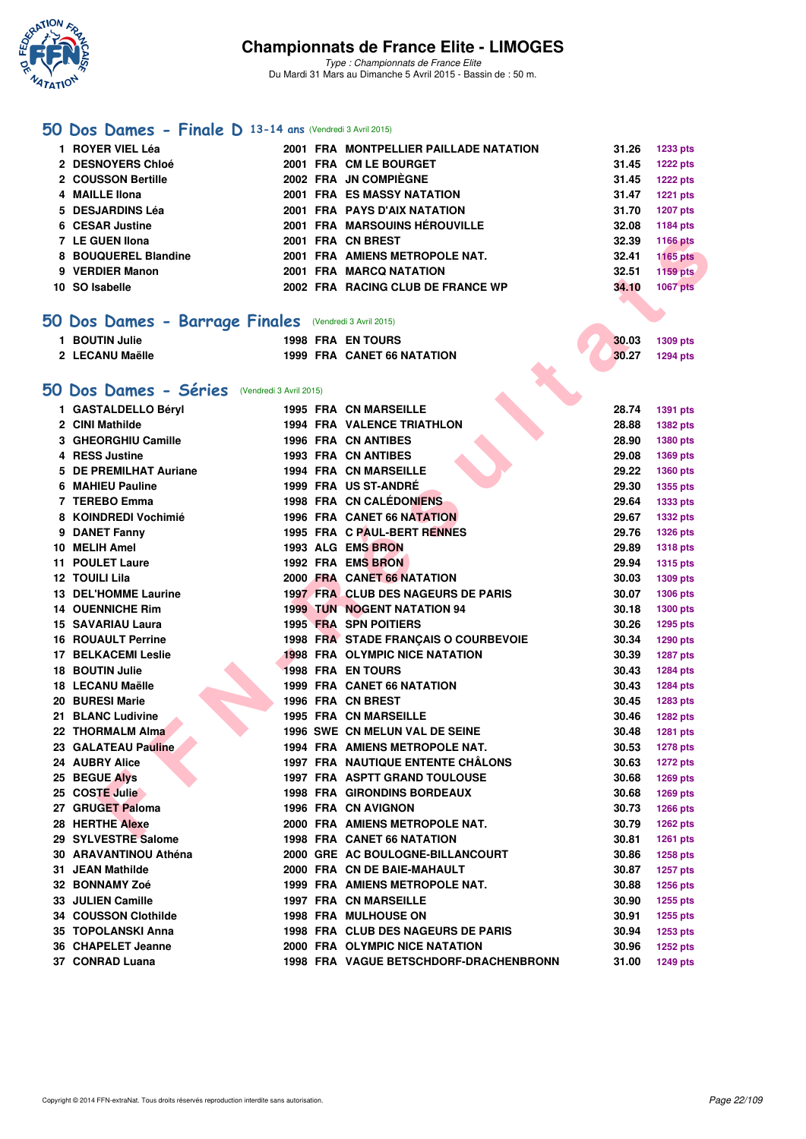

*Type : Championnats de France Elite* Du Mardi 31 Mars au Dimanche 5 Avril 2015 - Bassin de : 50 m.

# **[50 Dos Dames - Finale D](http://www.ffnatation.fr/webffn/resultats.php?idact=nat&go=epr&idcpt=27187&idepr=11) 13-14 ans** (Vendredi 3 Avril 2015)

|     | 1 ROYER VIEL Léa                                       |  | 2001 FRA MONTPELLIER PAILLADE NATATION   | 31.26 | 1233 pts        |
|-----|--------------------------------------------------------|--|------------------------------------------|-------|-----------------|
|     | 2 DESNOYERS Chloé                                      |  | 2001 FRA CM LE BOURGET                   | 31.45 | <b>1222 pts</b> |
|     | 2 COUSSON Bertille                                     |  | 2002 FRA JN COMPIÈGNE                    | 31.45 | <b>1222 pts</b> |
|     | 4 MAILLE IIona                                         |  | <b>2001 FRA ES MASSY NATATION</b>        | 31.47 | <b>1221 pts</b> |
|     | 5 DESJARDINS Léa                                       |  | 2001 FRA PAYS D'AIX NATATION             | 31.70 | <b>1207 pts</b> |
|     | 6 CESAR Justine                                        |  | 2001 FRA MARSOUINS HÉROUVILLE            | 32.08 | 1184 pts        |
|     | 7 LE GUEN Ilona                                        |  | 2001 FRA CN BREST                        | 32.39 | <b>1166 pts</b> |
|     | 8 BOUQUEREL Blandine                                   |  | 2001 FRA AMIENS METROPOLE NAT.           | 32.41 | <b>1165 pts</b> |
|     | 9 VERDIER Manon                                        |  | 2001 FRA MARCQ NATATION                  | 32.51 | 1159 pts        |
|     | 10 SO Isabelle                                         |  | 2002 FRA RACING CLUB DE FRANCE WP        | 34.10 | <b>1067 pts</b> |
|     |                                                        |  |                                          |       |                 |
|     | 50 Dos Dames - Barrage Finales (Vendredi 3 Avril 2015) |  |                                          |       |                 |
|     | 1 BOUTIN Julie                                         |  | <b>1998 FRA EN TOURS</b>                 | 30.03 |                 |
|     |                                                        |  |                                          |       | 1309 pts        |
|     | 2 LECANU Maëlle                                        |  | <b>1999 FRA CANET 66 NATATION</b>        | 30.27 | <b>1294 pts</b> |
|     |                                                        |  |                                          |       |                 |
|     | 50 Dos Dames - Séries (Vendredi 3 Avril 2015)          |  |                                          |       |                 |
|     | 1 GASTALDELLO Béryl                                    |  | <b>1995 FRA CN MARSEILLE</b>             | 28.74 | 1391 pts        |
|     | 2 CINI Mathilde                                        |  | <b>1994 FRA VALENCE TRIATHLON</b>        | 28.88 | 1382 pts        |
|     | 3 GHEORGHIU Camille                                    |  | <b>1996 FRA CN ANTIBES</b>               | 28.90 | 1380 pts        |
|     | 4 RESS Justine                                         |  | <b>1993 FRA CN ANTIBES</b>               | 29.08 | 1369 pts        |
|     | 5 DE PREMILHAT Auriane                                 |  | <b>1994 FRA CN MARSEILLE</b>             | 29.22 | <b>1360 pts</b> |
|     | 6 MAHIEU Pauline                                       |  | 1999 FRA US ST-ANDRÉ                     | 29.30 | 1355 pts        |
|     | 7 TEREBO Emma                                          |  | 1998 FRA CN CALEDONIENS                  | 29.64 | 1333 pts        |
|     | 8 KOINDREDI Vochimié                                   |  | 1996 FRA CANET 66 NATATION               | 29.67 | <b>1332 pts</b> |
|     | 9 DANET Fanny                                          |  | 1995 FRA C PAUL-BERT RENNES              | 29.76 | <b>1326 pts</b> |
|     | 10 MELIH Amel                                          |  | 1993 ALG EMS BRON                        | 29.89 | <b>1318 pts</b> |
| 11  | <b>POULET Laure</b>                                    |  | 1992 FRA EMS BRON                        | 29.94 | <b>1315 pts</b> |
|     | <b>12 TOUILI Lila</b>                                  |  | 2000 FRA CANET 66 NATATION               | 30.03 | 1309 pts        |
| 13. | <b>DEL'HOMME Laurine</b>                               |  | 1997 FRA CLUB DES NAGEURS DE PARIS       | 30.07 | 1306 pts        |
|     | <b>14 OUENNICHE Rim</b>                                |  | <b>1999 TUN NOGENT NATATION 94</b>       | 30.18 | <b>1300 pts</b> |
|     | 15 SAVARIAU Laura                                      |  | 1995 FRA SPN POITIERS                    | 30.26 | 1295 pts        |
|     | <b>16 ROUAULT Perrine</b>                              |  | 1998 FRA STADE FRANÇAIS O COURBEVOIE     | 30.34 | 1290 pts        |
|     | <b>17 BELKACEMI Leslie</b>                             |  | <b>1998 FRA OLYMPIC NICE NATATION</b>    | 30.39 | <b>1287 pts</b> |
|     | <b>18 BOUTIN Julie</b>                                 |  | <b>1998 FRA EN TOURS</b>                 | 30.43 | 1284 pts        |
|     | 18 LECANU Maëlle                                       |  | <b>1999 FRA CANET 66 NATATION</b>        | 30.43 | <b>1284 pts</b> |
|     | 20 BURESI Marie                                        |  | 1996 FRA CN BREST                        | 30.45 | 1283 pts        |
|     | 21 BLANC Ludivine                                      |  | <b>1995 FRA CN MARSEILLE</b>             | 30.46 | <b>1282 pts</b> |
|     | 22 THORMALM Alma                                       |  | <b>1996 SWE CN MELUN VAL DE SEINE</b>    | 30.48 | 1281 pts        |
|     | 23 GALATEAU Pauline                                    |  | 1994 FRA AMIENS METROPOLE NAT.           | 30.53 | 1278 pts        |
|     | 24 AUBRY Alice                                         |  | <b>1997 FRA NAUTIQUE ENTENTE CHALONS</b> | 30.63 | <b>1272 pts</b> |
|     | 25 BEGUE Alys                                          |  | <b>1997 FRA ASPTT GRAND TOULOUSE</b>     | 30.68 | 1269 pts        |
|     | 25 COSTE Julie                                         |  | <b>1998 FRA GIRONDINS BORDEAUX</b>       | 30.68 | 1269 pts        |
|     | 27 GRUGET Paloma                                       |  | 1996 FRA CN AVIGNON                      | 30.73 | <b>1266 pts</b> |
|     | <b>28 HERTHE Alexe</b>                                 |  | 2000 FRA AMIENS METROPOLE NAT.           | 30.79 | <b>1262 pts</b> |
|     | 29 SYLVESTRE Salome                                    |  | <b>1998 FRA CANET 66 NATATION</b>        | 30.81 | 1261 pts        |
|     | 30 ARAVANTINOU Athéna                                  |  | 2000 GRE AC BOULOGNE-BILLANCOURT         | 30.86 | 1258 pts        |
|     | 31 JEAN Mathilde                                       |  | 2000 FRA CN DE BAIE-MAHAULT              | 30.87 | 1257 pts        |
|     | 32 BONNAMY Zoé                                         |  | 1999 FRA AMIENS METROPOLE NAT.           | 30.88 | 1256 pts        |
|     | 33 JULIEN Camille                                      |  | <b>1997 FRA CN MARSEILLE</b>             | 30.90 | 1255 pts        |
|     | 34 COUSSON Clothilde                                   |  | <b>1998 FRA MULHOUSE ON</b>              | 30.91 | 1255 pts        |
|     | 35 TOPOLANSKI Anna                                     |  | 1998 FRA CLUB DES NAGEURS DE PARIS       | 30.94 | 1253 pts        |
|     | 36 CHAPELET Jeanne                                     |  | 2000 FRA OLYMPIC NICE NATATION           | 30.96 | <b>1252 pts</b> |
|     | 37 CONRAD Luana                                        |  | 1998 FRA VAGUE BETSCHDORF-DRACHENBRONN   | 31.00 | 1249 pts        |
|     |                                                        |  |                                          |       |                 |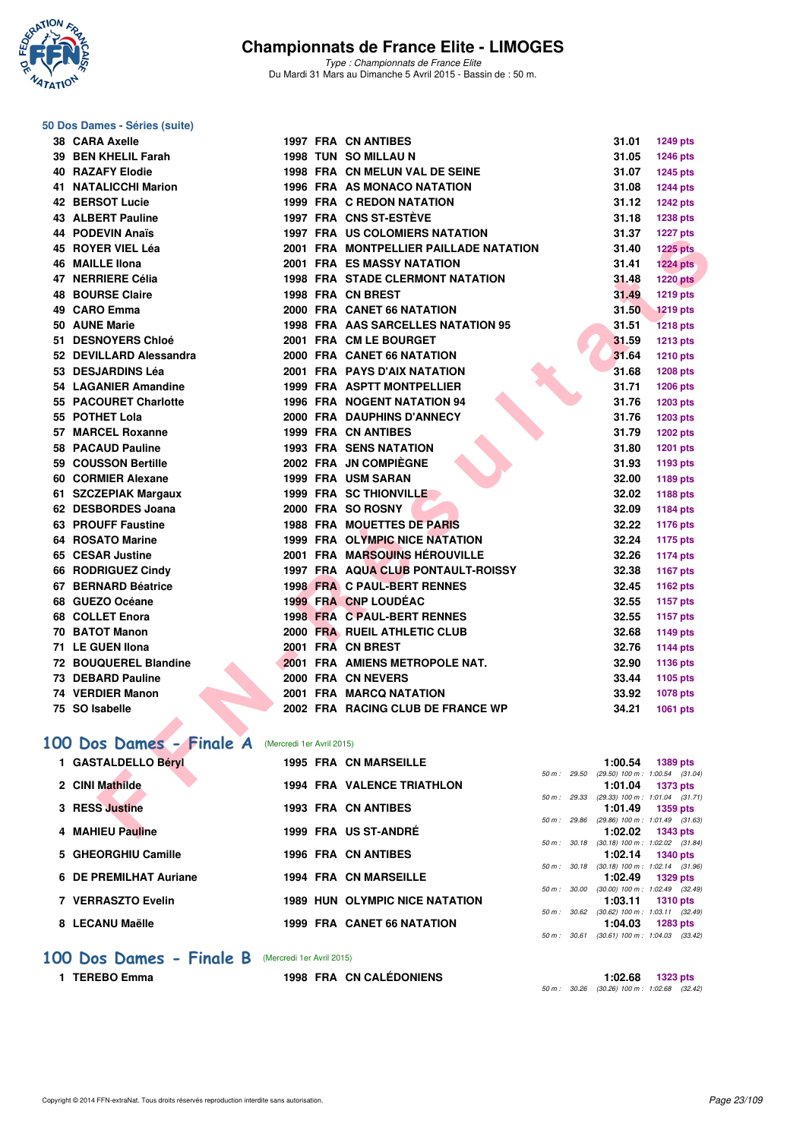

*Type : Championnats de France Elite* Du Mardi 31 Mars au Dimanche 5 Avril 2015 - Bassin de : 50 m.

# **50 Dos Dames - Séries (suite)**

| 38 CARA Axelle                                    |  | <b>1997 FRA CN ANTIBES</b>              |             | 31.01   | <b>1249 pts</b>                                               |
|---------------------------------------------------|--|-----------------------------------------|-------------|---------|---------------------------------------------------------------|
| 39 BEN KHELIL Farah                               |  | 1998 TUN SO MILLAU N                    |             | 31.05   | <b>1246 pts</b>                                               |
| <b>40 RAZAFY Elodie</b>                           |  | 1998 FRA CN MELUN VAL DE SEINE          |             | 31.07   | 1245 pts                                                      |
| <b>41 NATALICCHI Marion</b>                       |  | 1996 FRA AS MONACO NATATION             |             | 31.08   | 1244 pts                                                      |
| <b>42 BERSOT Lucie</b>                            |  | <b>1999 FRA C REDON NATATION</b>        |             | 31.12   | <b>1242 pts</b>                                               |
| <b>43 ALBERT Pauline</b>                          |  | <b>1997 FRA CNS ST-ESTÈVE</b>           |             | 31.18   | 1238 pts                                                      |
| <b>44 PODEVIN Anaïs</b>                           |  | <b>1997 FRA US COLOMIERS NATATION</b>   |             | 31.37   | <b>1227 pts</b>                                               |
| 45 ROYER VIEL Léa                                 |  | 2001 FRA MONTPELLIER PAILLADE NATATION  |             | 31.40   | <b>1225 pts</b>                                               |
| 46 MAILLE Ilona                                   |  | <b>2001 FRA ES MASSY NATATION</b>       |             | 31.41   | <b>1224 pts</b>                                               |
| 47 NERRIERE Célia                                 |  | <b>1998 FRA STADE CLERMONT NATATION</b> |             | 31.48   | <b>1220 pts</b>                                               |
| <b>48 BOURSE Claire</b>                           |  | 1998 FRA CN BREST                       |             | 31.49   | 1219 pts                                                      |
| 49 CARO Emma                                      |  | 2000 FRA CANET 66 NATATION              |             | 31.50   | <b>1219 pts</b>                                               |
| 50 AUNE Marie                                     |  | 1998 FRA AAS SARCELLES NATATION 95      |             | 31.51   | <b>1218 pts</b>                                               |
| 51 DESNOYERS Chloé                                |  | 2001 FRA CM LE BOURGET                  |             | 31.59   | <b>1213 pts</b>                                               |
| 52 DEVILLARD Alessandra                           |  | 2000 FRA CANET 66 NATATION              |             | 31.64   | <b>1210 pts</b>                                               |
| 53 DESJARDINS Léa                                 |  | 2001 FRA PAYS D'AIX NATATION            |             | 31.68   | <b>1208 pts</b>                                               |
| 54 LAGANIER Amandine                              |  | 1999 FRA ASPTT MONTPELLIER              |             | 31.71   | 1206 pts                                                      |
| 55 PACOURET Charlotte                             |  | <b>1996 FRA NOGENT NATATION 94</b>      |             | 31.76   | 1203 pts                                                      |
| 55 POTHET Lola                                    |  | 2000 FRA DAUPHINS D'ANNECY              |             | 31.76   | 1203 pts                                                      |
| 57 MARCEL Roxanne                                 |  | <b>1999 FRA CN ANTIBES</b>              |             | 31.79   | <b>1202 pts</b>                                               |
| 58 PACAUD Pauline                                 |  | <b>1993 FRA SENS NATATION</b>           |             | 31.80   | <b>1201 pts</b>                                               |
| 59 COUSSON Bertille                               |  | 2002 FRA JN COMPIEGNE                   |             | 31.93   | 1193 pts                                                      |
| 60 CORMIER Alexane                                |  | 1999 FRA USM SARAN                      |             | 32.00   | 1189 pts                                                      |
| 61 SZCZEPIAK Margaux                              |  | <b>1999 FRA SC THIONVILLE</b>           |             | 32.02   | 1188 pts                                                      |
| 62 DESBORDES Joana                                |  | 2000 FRA SO ROSNY                       |             | 32.09   | 1184 pts                                                      |
| 63 PROUFF Faustine                                |  | <b>1988 FRA MOUETTES DE PARIS</b>       |             | 32.22   | 1176 pts                                                      |
| 64 ROSATO Marine                                  |  | 1999 FRA OLYMPIC NICE NATATION          |             | 32.24   | 1175 pts                                                      |
| 65 CESAR Justine                                  |  | <b>2001 FRA MARSOUINS HÉROUVILLE</b>    |             | 32.26   | <b>1174 pts</b>                                               |
| 66 RODRIGUEZ Cindy                                |  | 1997 FRA AQUA CLUB PONTAULT-ROISSY      |             | 32.38   | 1167 pts                                                      |
| 67 BERNARD Béatrice                               |  | <b>1998 FRA C PAUL-BERT RENNES</b>      |             | 32.45   | 1162 pts                                                      |
| 68 GUEZO Océane                                   |  | 1999 FRA CNP LOUDEAC                    |             | 32.55   | 1157 pts                                                      |
| 68 COLLET Enora                                   |  | 1998 FRA C PAUL-BERT RENNES             |             | 32.55   | 1157 pts                                                      |
| 70 BATOT Manon                                    |  | 2000 FRA RUEIL ATHLETIC CLUB            |             | 32.68   | 1149 pts                                                      |
| 71 LE GUEN IIona                                  |  | 2001 FRA CN BREST                       |             | 32.76   | 1144 pts                                                      |
| 72 BOUQUEREL Blandine                             |  | 2001 FRA AMIENS METROPOLE NAT.          |             | 32.90   | 1136 pts                                                      |
| 73 DEBARD Pauline                                 |  | 2000 FRA CN NEVERS                      |             | 33.44   | 1105 pts                                                      |
| 74 VERDIER Manon                                  |  | 2001 FRA MARCQ NATATION                 |             | 33.92   | 1078 pts                                                      |
| 75 SO Isabelle                                    |  | 2002 FRA RACING CLUB DE FRANCE WP       |             | 34.21   | 1061 pts                                                      |
|                                                   |  |                                         |             |         |                                                               |
| 00 Dos Dames - Finale A (Mercredi 1er Avril 2015) |  |                                         |             |         |                                                               |
| 1 GASTALDELLO Béryl                               |  | <b>1995 FRA CN MARSEILLE</b>            |             | 1:00.54 | <b>1389 pts</b>                                               |
|                                                   |  |                                         | 50 m: 29.50 |         | $(29.50)$ 100 m : 1:00.54 $(31.04)$                           |
| 2 CINI Mathilde                                   |  | <b>1994 FRA VALENCE TRIATHLON</b>       |             | 1:01.04 | <b>1373 pts</b>                                               |
| 3 RESS Justine                                    |  | <b>1993 FRA CN ANTIBES</b>              |             | 1:01.49 | 50 m: 29.33 (29.33) 100 m: 1:01.04 (31.71)<br><b>1359 pts</b> |
|                                                   |  |                                         | 50 m: 29.86 |         | $(29.86)$ 100 m : 1:01.49 $(31.63)$                           |
| 4 MAHIEU Pauline                                  |  | 1999 FRA US ST-ANDRÉ                    |             | 1:02.02 | 1343 pts                                                      |

# [100 Dos Dames - Finale A](http://www.ffnatation.fr/webffn/resultats.php?idact=nat&go=epr&idcpt=27187&idepr=12) (Mercredi 1er Avril 2015)

| 1 GASTALDELLO Béryl    |  | <b>1995 FRA CN MARSEILLE</b>          |                          | 1:00.54                                        | 1389 pts        |  |
|------------------------|--|---------------------------------------|--------------------------|------------------------------------------------|-----------------|--|
|                        |  |                                       | 50 m : 29.50             | $(29.50)$ 100 m : 1:00.54 $(31.04)$            |                 |  |
| 2 CINI Mathilde        |  | <b>1994 FRA VALENCE TRIATHLON</b>     | 50 m: 29.33              | 1:01.04<br>$(29.33)$ 100 m : 1:01.04 $(31.71)$ | <b>1373 pts</b> |  |
| 3 RESS Justine         |  | <b>1993 FRA CN ANTIBES</b>            |                          | 1:01.49                                        | 1359 pts        |  |
|                        |  |                                       | 50 m : 29.86             | $(29.86)$ 100 m : 1:01.49 $(31.63)$            |                 |  |
| 4 MAHIEU Pauline       |  | 1999 FRA US ST-ANDRÉ                  |                          | 1:02.02                                        | <b>1343 pts</b> |  |
|                        |  |                                       | 50 m: 30.18              | $(30.18)$ 100 m : 1:02.02 $(31.84)$            |                 |  |
| 5 GHEORGHIU Camille    |  | <b>1996 FRA CN ANTIBES</b>            |                          | 1:02.14                                        | <b>1340 pts</b> |  |
|                        |  |                                       | 50 m: 30.18              | $(30.18)$ 100 m : 1:02.14 $(31.96)$            |                 |  |
| 6 DE PREMILHAT Auriane |  | <b>1994 FRA CN MARSEILLE</b>          |                          | 1:02.49                                        | 1329 pts        |  |
|                        |  |                                       | 50 m : 30.00             | $(30.00)$ 100 m : 1:02.49 $(32.49)$            |                 |  |
| 7 VERRASZTO Evelin     |  | <b>1989 HUN OLYMPIC NICE NATATION</b> |                          | 1:03.11                                        | <b>1310 pts</b> |  |
|                        |  |                                       | 50 m: 30.62              | $(30.62)$ 100 m : 1:03.11 $(32.49)$            |                 |  |
| 8 LECANU Maëlle        |  | <b>1999 FRA CANET 66 NATATION</b>     |                          | 1:04.03                                        | 1283 pts        |  |
|                        |  |                                       | $50 \text{ m}$ : $30.61$ | $(30.61)$ 100 m : 1:04.03 $(33.42)$            |                 |  |

#### **[100 Dos Dames - Finale B](http://www.ffnatation.fr/webffn/resultats.php?idact=nat&go=epr&idcpt=27187&idepr=12)** (Mercredi 1er Avril 2015)

**1 TEREBO Emma 1998 FRA CN CALÉDONIENS 1:02.68 1323 pts** *50 m : 30.26 (30.26) 100 m : 1:02.68 (32.42)*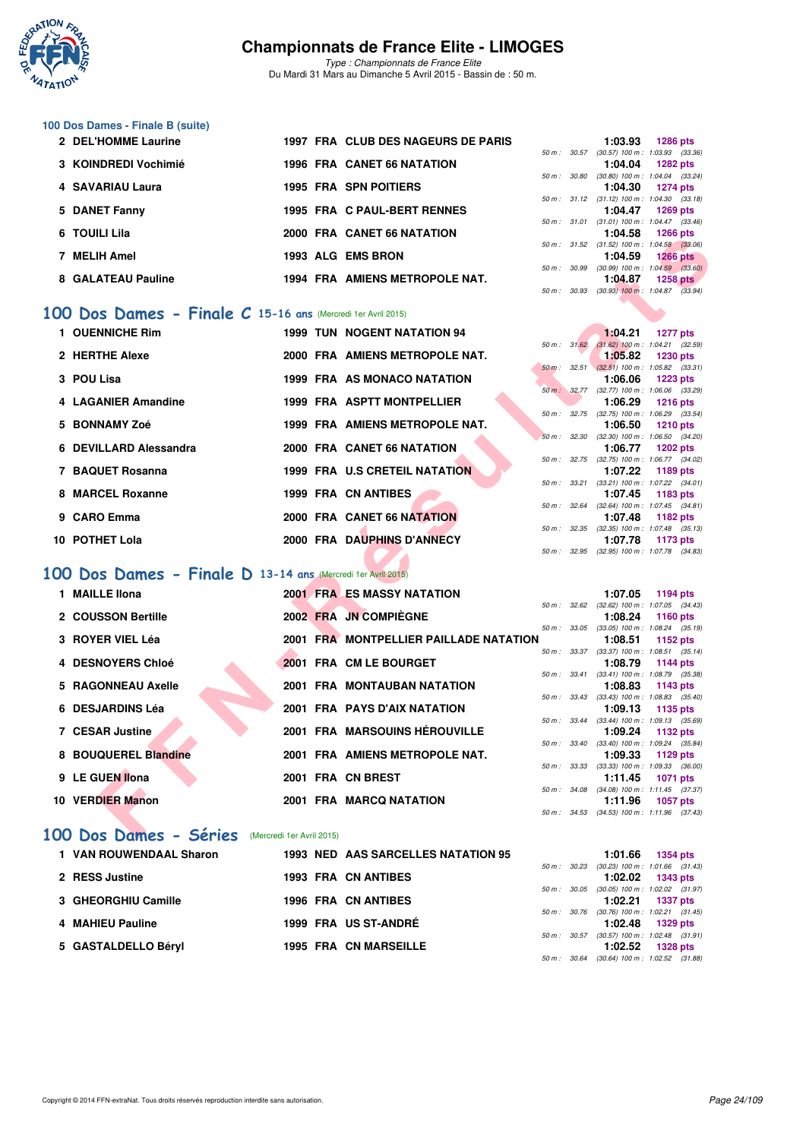

*Type : Championnats de France Elite* Du Mardi 31 Mars au Dimanche 5 Avril 2015 - Bassin de : 50 m.

# **100 Dos Dames - Finale B (suite)**

| 2 DEL'HOMME Laurine  |  | 1997 FRA CLUB DES NAGEURS DE PARIS |                          | 1:03.93                                               | <b>1286 pts</b> |  |
|----------------------|--|------------------------------------|--------------------------|-------------------------------------------------------|-----------------|--|
| 3 KOINDREDI Vochimié |  | 1996 FRA CANET 66 NATATION         | $50 \text{ m}$ : $30.57$ | $(30.57)$ 100 m : 1:03.93 $(33.36)$<br>1:04.04        | $1282$ pts      |  |
|                      |  |                                    | 50 m: 30.80              | $(30.80)$ 100 m : 1:04.04 $(33.24)$                   |                 |  |
| 4 SAVARIAU Laura     |  | <b>1995 FRA SPN POITIERS</b>       |                          | 1:04.30<br>50 m: 31.12 (31.12) 100 m: 1:04.30 (33.18) | <b>1274 pts</b> |  |
| 5 DANET Fanny        |  | 1995 FRA C PAUL-BERT RENNES        |                          | 1:04.47                                               | $1269$ pts      |  |
| 6 TOUILI Lila        |  | 2000 FRA CANET 66 NATATION         | 50 m : 31.01             | $(31.01)$ 100 m : 1:04.47 $(33.46)$<br>1:04.58        | $1266$ pts      |  |
| 7 MELIH Amel         |  | 1993 ALG EMS BRON                  | $50 \text{ m}$ : $31.52$ | $(31.52)$ 100 m : 1:04.58 $(33.06)$<br>1:04.59        | $1266$ pts      |  |
| 8 GALATEAU Pauline   |  | 1994 FRA AMIENS METROPOLE NAT.     | $50 \text{ m}$ : $30.99$ | $(30.99)$ 100 m : 1:04.59 $(33.60)$<br>1:04.87        | $1258$ pts      |  |
|                      |  |                                    | 50 m: 30.93              | $(30.93)$ 100 m : 1:04.87 $(33.94)$                   |                 |  |

### **[100 Dos Dames - Finale C](http://www.ffnatation.fr/webffn/resultats.php?idact=nat&go=epr&idcpt=27187&idepr=12) 15-16 ans** (Mercredi 1er Avril 2015)

| TUUILI LIIG                                                 |  | ZUUU FRA CANEI OU NATATION             |             | 1.04.JO                                               |                 |  |
|-------------------------------------------------------------|--|----------------------------------------|-------------|-------------------------------------------------------|-----------------|--|
| 7 MELIH Amel                                                |  | 1993 ALG EMS BRON                      |             | 50 m: 31.52 (31.52) 100 m: 1:04.58 (33.06)<br>1:04.59 | $1266$ pts      |  |
|                                                             |  |                                        |             | 50 m : 30.99 (30.99) 100 m : 1:04.59 (33.60)          |                 |  |
| 8 GALATEAU Pauline                                          |  | 1994 FRA AMIENS METROPOLE NAT.         |             | 1:04.87                                               | $1258$ pts      |  |
|                                                             |  |                                        |             | 50 m: 30.93 (30.93) 100 m: 1:04.87 (33.94)            |                 |  |
| 00 Dos Dames - Finale C 15-16 ans (Mercredi 1er Avril 2015) |  |                                        |             |                                                       |                 |  |
| 1 OUENNICHE Rim                                             |  | <b>1999 TUN NOGENT NATATION 94</b>     |             | 1:04.21                                               | <b>1277 pts</b> |  |
|                                                             |  |                                        | 50 m: 31.62 | $(31.62)$ 100 m : 1:04.21 $(32.59)$                   |                 |  |
| 2 HERTHE Alexe                                              |  | 2000 FRA AMIENS METROPOLE NAT.         |             | 1:05.82<br>50 m: 32.51 (32.51) 100 m: 1:05.82 (33.31) | <b>1230 pts</b> |  |
| 3 POU Lisa                                                  |  | 1999 FRA AS MONACO NATATION            |             | 1:06.06                                               | 1223 pts        |  |
|                                                             |  |                                        |             | 50 m: 32.77 (32.77) 100 m: 1:06.06 (33.29)            |                 |  |
| 4 LAGANIER Amandine                                         |  | 1999 FRA ASPTT MONTPELLIER             |             | 1:06.29                                               | <b>1216 pts</b> |  |
| 5 BONNAMY Zoé                                               |  | 1999 FRA AMIENS METROPOLE NAT.         |             | 50 m: 32.75 (32.75) 100 m: 1:06.29 (33.54)<br>1:06.50 | <b>1210 pts</b> |  |
|                                                             |  |                                        |             | 50 m: 32.30 (32.30) 100 m: 1:06.50 (34.20)            |                 |  |
| 6 DEVILLARD Alessandra                                      |  | 2000 FRA CANET 66 NATATION             |             | 1:06.77                                               | <b>1202 pts</b> |  |
|                                                             |  |                                        |             | 50 m: 32.75 (32.75) 100 m: 1:06.77 (34.02)            |                 |  |
| 7 BAQUET Rosanna                                            |  | 1999 FRA U.S CRETEIL NATATION          |             | 1:07.22                                               | 1189 pts        |  |
| 8 MARCEL Roxanne                                            |  | <b>1999 FRA CN ANTIBES</b>             |             | 50 m: 33.21 (33.21) 100 m: 1:07.22 (34.01)<br>1:07.45 | 1183 pts        |  |
|                                                             |  |                                        |             | 50 m: 32.64 (32.64) 100 m: 1:07.45 (34.81)            |                 |  |
| 9 CARO Emma                                                 |  | 2000 FRA CANET 66 NATATION             |             | 1:07.48                                               | 1182 pts        |  |
|                                                             |  |                                        |             | 50 m: 32.35 (32.35) 100 m: 1:07.48 (35.13)            |                 |  |
| 10 POTHET Lola                                              |  | 2000 FRA DAUPHINS D'ANNECY             |             | 1:07.78<br>50 m: 32.95 (32.95) 100 m: 1:07.78 (34.83) | 1173 pts        |  |
|                                                             |  |                                        |             |                                                       |                 |  |
| 00 Dos Dames - Finale D 13-14 ans (Mercredi 1er Avril 2015) |  |                                        |             |                                                       |                 |  |
| 1 MAILLE IIona                                              |  | <b>2001 FRA ES MASSY NATATION</b>      |             | 1:07.05                                               | 1194 pts        |  |
|                                                             |  |                                        |             | 50 m: 32.62 (32.62) 100 m: 1:07.05 (34.43)            |                 |  |
| 2 COUSSON Bertille                                          |  | 2002 FRA JN COMPIEGNE                  |             | 1:08.24                                               | 1160 $pts$      |  |
| 3 ROYER VIEL Léa                                            |  | 2001 FRA MONTPELLIER PAILLADE NATATION |             | 50 m: 33.05 (33.05) 100 m: 1:08.24 (35.19)<br>1:08.51 | 1152 pts        |  |
|                                                             |  |                                        |             | 50 m: 33.37 (33.37) 100 m: 1:08.51 (35.14)            |                 |  |
| 4 DESNOYERS Chloé                                           |  | 2001 FRA CM LE BOURGET                 |             | 1:08.79                                               | <b>1144 pts</b> |  |
|                                                             |  |                                        |             | 50 m: 33.41 (33.41) 100 m: 1:08.79 (35.38)            |                 |  |
| 5 RAGONNEAU Axelle                                          |  | 2001 FRA MONTAUBAN NATATION            |             | 1:08.83<br>50 m: 33.43 (33.43) 100 m: 1:08.83 (35.40) | 1143 pts        |  |
| 6 DESJARDINS Léa                                            |  | <b>2001 FRA PAYS D'AIX NATATION</b>    |             | 1:09.13                                               | 1135 pts        |  |
|                                                             |  |                                        |             | 50 m: 33.44 (33.44) 100 m: 1:09.13 (35.69)            |                 |  |
| <b>7 CESAR Justine</b>                                      |  | <b>2001 FRA MARSOUINS HÉROUVILLE</b>   |             | 1:09.24                                               | 1132 pts        |  |
| 8 BOUQUEREL Blandine                                        |  | 2001 FRA AMIENS METROPOLE NAT.         |             | 50 m: 33.40 (33.40) 100 m: 1:09.24 (35.84)<br>1:09.33 | 1129 pts        |  |
|                                                             |  |                                        | 50 m: 33.33 | $(33.33)$ 100 m : 1:09.33 $(36.00)$                   |                 |  |
| 9 LE GUEN Ilona                                             |  | 2001 FRA CN BREST                      |             | 1:11.45                                               | <b>1071 pts</b> |  |
|                                                             |  |                                        |             | 50 m: 34.08 (34.08) 100 m: 1:11.45 (37.37)            |                 |  |
| 10 VERDIER Manon                                            |  | 2001 FRA MARCQ NATATION                |             | 1:11.96                                               | <b>1057 pts</b> |  |
|                                                             |  |                                        |             | 50 m: 34.53 (34.53) 100 m: 1:11.96 (37.43)            |                 |  |
| 00 Dos Dames - Séries (Mercredi 1er Avril 2015)             |  |                                        |             |                                                       |                 |  |

#### **[100 Dos Dames - Finale D](http://www.ffnatation.fr/webffn/resultats.php?idact=nat&go=epr&idcpt=27187&idepr=12) 13-14 ans** (Mercredi 1er Avril 2015)

| 1 MAILLE Ilona       |  | <b>2001 FRAMES MASSY NATATION</b>      |                  | 1:07.05                                               | 1194 pts |
|----------------------|--|----------------------------------------|------------------|-------------------------------------------------------|----------|
| 2 COUSSON Bertille   |  | 2002 FRA JN COMPIÈGNE                  | 50 m: 32.62      | $(32.62)$ 100 m : 1:07.05 (34.<br>1:08.24<br>1160 pts |          |
| 3 ROYER VIEL Léa     |  | 2001 FRA MONTPELLIER PAILLADE NATATION | 50 m : 33.05     | $(33.05)$ 100 m : 1:08.24 (35.<br>1:08.51 1152 pts    |          |
| 4 DESNOYERS Chloé    |  | 2001 FRA CM LE BOURGET                 | 50 m : 33.37     | $(33.37)$ 100 m : 1:08.51 (35.<br>1:08.79 1144 pts    |          |
| 5 RAGONNEAU Axelle   |  | <b>2001 FRA MONTAUBAN NATATION</b>     | 50 m: 33.41      | $(33.41)$ 100 m : 1:08.79 (35.<br>1:08.83<br>1143 pts |          |
| 6 DESJARDINS Léa     |  | 2001 FRA PAYS D'AIX NATATION           | 50 m : 33.43     | $(33.43)$ 100 m : 1:08.83 (35.<br>1:09.13<br>1135 pts |          |
| 7 CESAR Justine      |  | 2001 FRA MARSOUINS HÉROUVILLE          | 50 m : 33.44     | $(33.44)$ 100 m : 1:09.13 (35.<br>1:09.24<br>1132 pts |          |
| 8 BOUQUEREL Blandine |  | 2001 FRA AMIENS METROPOLE NAT.         | 50 m: 33.40      | $(33.40)$ 100 m : 1:09.24 (35.<br>1:09.33<br>1129 pts |          |
| 9 LE GUEN Ilona      |  | 2001 FRA CN BREST                      | 50 m : 33.33     | $(33.33)$ 100 m : 1:09.33 (36.<br>1:11.45<br>1071 pts |          |
| 10 VERDIER Manon     |  | <b>2001 FRA MARCQ NATATION</b>         | 50 m : 34.08     | $(34.08)$ 100 m : 1:11.45 (37.<br>1:11.96<br>1057 pts |          |
|                      |  |                                        | $50 m$ : $34.53$ | $(34.53)$ 100 m : 1:11.96 (37.                        |          |

#### **[100 Dos Dames - Séries](http://www.ffnatation.fr/webffn/resultats.php?idact=nat&go=epr&idcpt=27187&idepr=12)** (Mercredi 1er Avril 2015)

| 1 VAN ROUWENDAAL Sharon |  | 1993 NED AAS SARCELLES NATATION 95 |  | 1:01.66 1354 pts                                          |  |
|-------------------------|--|------------------------------------|--|-----------------------------------------------------------|--|
|                         |  |                                    |  | 50 m: 30.23 (30.23) 100 m: 1:01.66 (31.                   |  |
| 2 RESS Justine          |  | <b>1993 FRA CN ANTIBES</b>         |  | $1:02.02$ 1343 pts                                        |  |
|                         |  |                                    |  | 50 m: 30.05 (30.05) 100 m: 1:02.02 (31.                   |  |
| 3 GHEORGHIU Camille     |  | <b>1996 FRA CN ANTIBES</b>         |  | 1:02.21 1337 pts                                          |  |
|                         |  |                                    |  | 50 m: 30.76 (30.76) 100 m: 1:02.21 (31.                   |  |
| 4 MAHIEU Pauline        |  | 1999 FRA US ST-ANDRÉ               |  | 1:02.48 1329 pts                                          |  |
|                         |  |                                    |  | 50 m: 30.57 (30.57) 100 m: 1:02.48 (31.                   |  |
| 5 GASTALDELLO Béryl     |  | <b>1995 FRA CN MARSEILLE</b>       |  | 1:02.52 1328 pts                                          |  |
|                         |  |                                    |  | $F0 \, m \cdot 20.64$ (20.64) $100 \, m \cdot 102.52$ (21 |  |

|  | $1:01.66$ 1354 pts                         |
|--|--------------------------------------------|
|  | 50 m: 30.23 (30.23) 100 m: 1:01.66 (31.43) |
|  | $1:02.02$ 1343 pts                         |
|  | 50 m: 30.05 (30.05) 100 m: 1:02.02 (31.97) |
|  | $1:02.21$ 1337 pts                         |
|  | 50 m: 30.76 (30.76) 100 m: 1:02.21 (31.45) |
|  | $1:02.48$ 1329 pts                         |
|  | 50 m: 30.57 (30.57) 100 m: 1:02.48 (31.91) |
|  | $1:02.52$ 1328 pts                         |
|  | 50 m: 30.64 (30.64) 100 m: 1:02.52 (31.88) |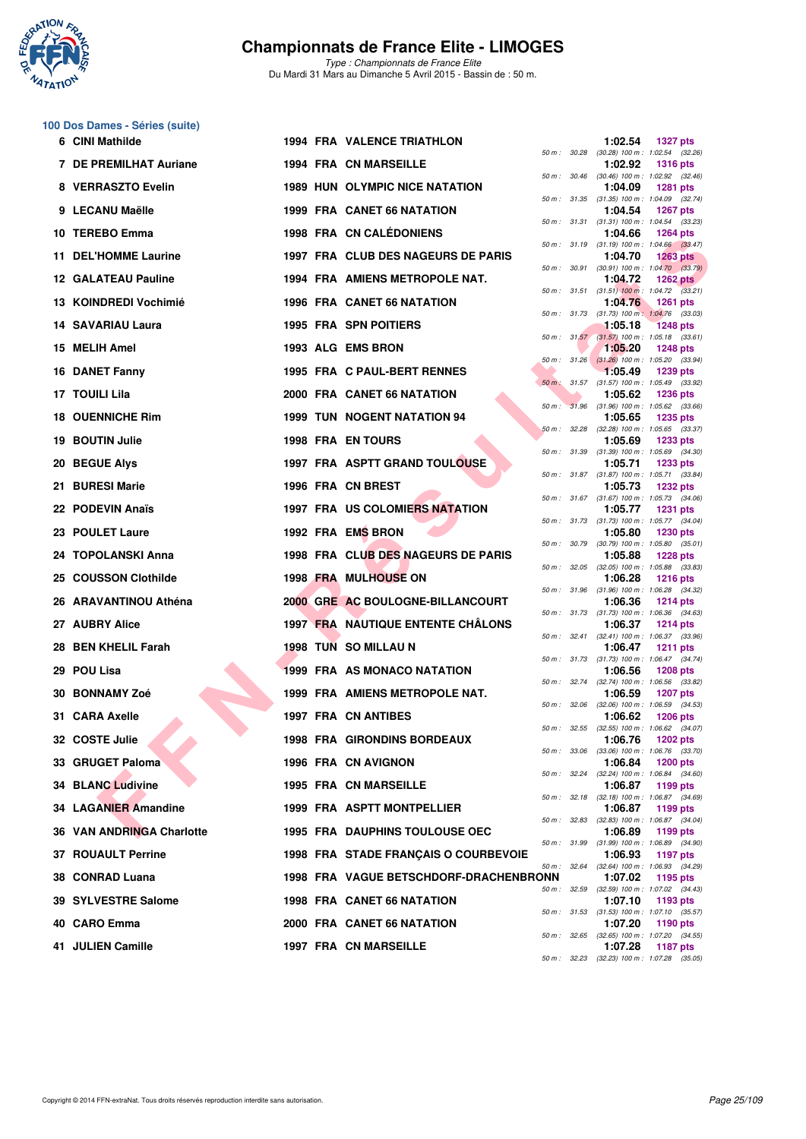

*Type : Championnats de France Elite* Du Mardi 31 Mars au Dimanche 5 Avril 2015 - Bassin de : 50 m.

# **100 Dos Dames - Séries (suite)**

| 6 CINI Mathilde            |  | <b>1994 FRA VALENCE TRIATHLON</b>        |              | 1:02.54 | <b>1327 pts</b>                                                 |
|----------------------------|--|------------------------------------------|--------------|---------|-----------------------------------------------------------------|
| 7 DE PREMILHAT Auriane     |  | <b>1994 FRA CN MARSEILLE</b>             |              | 1:02.92 | 50 m: 30.28 (30.28) 100 m: 1:02.54 (32.26)<br><b>1316 pts</b>   |
| 8 VERRASZTO Evelin         |  | <b>1989 HUN OLYMPIC NICE NATATION</b>    |              | 1:04.09 | 50 m: 30.46 (30.46) 100 m: 1:02.92 (32.46)<br><b>1281 pts</b>   |
| 9 LECANU Maëlle            |  | <b>1999 FRA CANET 66 NATATION</b>        |              | 1:04.54 | 50 m: 31.35 (31.35) 100 m: 1:04.09 (32.74)<br>1267 pts          |
| 10 TEREBO Emma             |  | <b>1998 FRA CN CALÉDONIENS</b>           |              | 1:04.66 | 50 m: 31.31 (31.31) 100 m: 1:04.54 (33.23)<br><b>1264 pts</b>   |
| 11 DEL'HOMME Laurine       |  | 1997 FRA CLUB DES NAGEURS DE PARIS       |              | 1:04.70 | 50 m: 31.19 (31.19) 100 m: 1:04.66 (33.47)<br>$1263$ pts        |
| <b>12 GALATEAU Pauline</b> |  | 1994 FRA AMIENS METROPOLE NAT.           |              | 1:04.72 | 50 m : 30.91 (30.91) 100 m : 1:04.70 (33.79)<br>1262 $pts$      |
| 13 KOINDREDI Vochimié      |  | <b>1996 FRA CANET 66 NATATION</b>        |              | 1:04.76 | 50 m: 31.51 (31.51) 100 m: 1:04.72 (33.21)<br><b>1261 pts</b>   |
| 14 SAVARIAU Laura          |  |                                          |              |         | 50 m: 31.73 (31.73) 100 m: 1:04.76 (33.03)<br><b>1248 pts</b>   |
|                            |  | 1995 FRA SPN POITIERS                    |              | 1:05.18 | 50 m: 31.57 (31.57) 100 m: 1:05.18 (33.61)                      |
| 15 MELIH Amel              |  | 1993 ALG EMS BRON                        |              | 1:05.20 | <b>1248 pts</b><br>50 m : 31.26 (31.26) 100 m : 1:05.20 (33.94) |
| <b>16 DANET Fanny</b>      |  | 1995 FRA C PAUL-BERT RENNES              |              | 1:05.49 | 1239 pts<br>50 m : 31.57 (31.57) 100 m : 1:05.49 (33.92)        |
| 17 TOUILI Lila             |  | 2000 FRA CANET 66 NATATION               |              | 1:05.62 | <b>1236 pts</b><br>50 m : 31.96 (31.96) 100 m : 1:05.62 (33.66) |
| <b>18 OUENNICHE Rim</b>    |  | <b>1999 TUN NOGENT NATATION 94</b>       |              | 1:05.65 | <b>1235 pts</b>                                                 |
| <b>19 BOUTIN Julie</b>     |  | <b>1998 FRA EN TOURS</b>                 |              | 1:05.69 | 50 m: 32.28 (32.28) 100 m: 1:05.65 (33.37)<br>1233 pts          |
| <b>20 BEGUE Alvs</b>       |  | <b>1997 FRA ASPTT GRAND TOULOUSE</b>     |              | 1:05.71 | 50 m: 31.39 (31.39) 100 m: 1:05.69 (34.30)<br><b>1233 pts</b>   |
| 21 BURESI Marie            |  | 1996 FRA CN BREST                        |              | 1:05.73 | 50 m: 31.87 (31.87) 100 m: 1:05.71 (33.84)<br>1232 pts          |
|                            |  |                                          |              |         | 50 m: 31.67 (31.67) 100 m: 1:05.73 (34.06)                      |
| 22 PODEVIN Anaïs           |  | <b>1997 FRA US COLOMIERS NATATION</b>    |              | 1:05.77 | <b>1231 pts</b><br>50 m: 31.73 (31.73) 100 m: 1:05.77 (34.04)   |
| 23 POULET Laure            |  | 1992 FRA EMS BRON                        |              | 1:05.80 | <b>1230 pts</b><br>50 m : 30.79 (30.79) 100 m : 1:05.80 (35.01) |
| 24 TOPOLANSKI Anna         |  | 1998 FRA CLUB DES NAGEURS DE PARIS       |              | 1:05.88 | <b>1228 pts</b>                                                 |
| 25 COUSSON Clothilde       |  | 1998 FRA MULHOUSE ON                     |              | 1:06.28 | 50 m : 32.05 (32.05) 100 m : 1:05.88 (33.83)<br><b>1216 pts</b> |
| 26 ARAVANTINOU Athéna      |  | 2000 GRE AC BOULOGNE-BILLANCOURT         |              | 1:06.36 | 50 m : 31.96 (31.96) 100 m : 1:06.28 (34.32)<br><b>1214 pts</b> |
| 27 AUBRY Alice             |  | <b>1997 FRA NAUTIQUE ENTENTE CHÂLONS</b> |              | 1:06.37 | 50 m: 31.73 (31.73) 100 m: 1:06.36 (34.63)<br><b>1214 pts</b>   |
| 28 BEN KHELIL Farah        |  | <b>1998 TUN SO MILLAU N</b>              |              | 1:06.47 | 50 m: 32.41 (32.41) 100 m: 1:06.37 (33.96)<br>1211 $pts$        |
| 29 POU Lisa                |  | <b>1999 FRA AS MONACO NATATION</b>       |              | 1:06.56 | 50 m: 31.73 (31.73) 100 m: 1:06.47 (34.74)<br><b>1208 pts</b>   |
|                            |  |                                          |              |         | 50 m: 32.74 (32.74) 100 m: 1:06.56 (33.82)                      |
| <b>30 BONNAMY Zoé</b>      |  | 1999 FRA AMIENS METROPOLE NAT.           |              | 1:06.59 | <b>1207 pts</b><br>50 m: 32.06 (32.06) 100 m: 1:06.59 (34.53)   |
| 31 CARA Axelle             |  | 1997 FRA CN ANTIBES                      |              | 1:06.62 | <b>1206 pts</b><br>50 m: 32.55 (32.55) 100 m: 1:06.62 (34.07)   |
| 32 COSTE Julie             |  | 1998 FRA GIRONDINS BORDEAUX              |              | 1:06.76 | 1202 pts                                                        |
| 33 GRUGET Paloma           |  | 1996 FRA CN AVIGNON                      |              | 1:06.84 | 50 m: 33.06 (33.06) 100 m: 1:06.76 (33.70)<br><b>1200 pts</b>   |
| <b>34 BLANC Ludivine</b>   |  | <b>1995 FRA CN MARSEILLE</b>             | 50 m : 32.24 | 1:06.87 | $(32.24)$ 100 m : 1:06.84 $(34.60)$<br>1199 pts                 |
| 34 LAGANIER Amandine       |  | 1999 FRA ASPTT MONTPELLIER               |              | 1:06.87 | 50 m: 32.18 (32.18) 100 m: 1:06.87 (34.69)<br>1199 pts          |
| 36 VAN ANDRINGA Charlotte  |  | <b>1995 FRA DAUPHINS TOULOUSE OEC</b>    |              | 1:06.89 | 50 m: 32.83 (32.83) 100 m: 1:06.87 (34.04)<br>1199 pts          |
| 37 ROUAULT Perrine         |  | 1998 FRA STADE FRANÇAIS O COURBEVOIE     | 50 m : 31.99 | 1:06.93 | $(31.99)$ 100 m : 1:06.89 $(34.90)$<br>1197 pts                 |
|                            |  |                                          |              |         | 50 m: 32.64 (32.64) 100 m: 1:06.93 (34.29)                      |
| 38 CONRAD Luana            |  | 1998 FRA VAGUE BETSCHDORF-DRACHENBRONN   |              | 1:07.02 | 1195 pts<br>50 m: 32.59 (32.59) 100 m: 1:07.02 (34.43)          |
| 39 SYLVESTRE Salome        |  | 1998 FRA CANET 66 NATATION               |              | 1:07.10 | 1193 pts<br>50 m: 31.53 (31.53) 100 m: 1:07.10 (35.57)          |
| 40 CARO Emma               |  | 2000 FRA CANET 66 NATATION               |              | 1:07.20 | 1190 pts<br>50 m: 32.65 (32.65) 100 m: 1:07.20 (34.55)          |
| 41 JULIEN Camille          |  | 1997 FRA CN MARSEILLE                    |              | 1:07.28 | 1187 pts                                                        |

| $50 m$ :     | 30.28 | 1:02.54<br>$(30.28)$ 100 m : | <b>1327 pts</b><br>1:02.54 (32.26)    |
|--------------|-------|------------------------------|---------------------------------------|
|              |       | 1:02.92                      | <b>1316 pts</b>                       |
| $50 m$ :     | 30.46 | $(30.46) 100 m$ :<br>1:04.09 | 1:02.92<br>(32.46)<br>1281 pts        |
| $50 m$ :     | 31.35 | $(31.35) 100 m$ :            | (32.74)<br>1:04.09                    |
|              | 31.31 | 1:04.54                      | <b>1267 pts</b>                       |
| $50 m$ :     |       | $(31.31) 100 m$ :<br>1:04.66 | 1:04.54<br>(33.23)<br>1264 pts        |
| $50 m$ :     | 31.19 | $(31.19) 100 m$ :            | (33.47)<br>1:04.66                    |
| $50 m$ :     | 30.91 | 1:04.70<br>$(30.91)$ 100 m : | <b>1263 pts</b><br>1:04.70<br>(33.79) |
|              |       | 1:04.72                      | <b>1262 pts</b>                       |
| $50 m$ :     | 31.51 | $(31.51)$ 100 m :<br>1:04.76 | 1:04.72<br>(33.21)<br><b>1261 pts</b> |
| $50 m$ :     | 31.73 | $(31.73) 100 m$ :            | 1:04.76<br>(33.03)                    |
| $50 m$ :     | 31.57 | 1:05.18<br>$(31.57) 100 m$ : | <b>1248 pts</b><br>1:05.18 (33.61)    |
|              |       | 1:05.20                      | <b>1248 pts</b>                       |
| $50 m$ :     | 31.26 | $(31.26)$ 100 m :            | 1:05.20<br>(33.94)                    |
| $50 m$ :     | 31.57 | 1:05.49<br>$(31.57) 100 m$ : | 1239 pts<br>1:05.49<br>(33.92)        |
|              |       | 1:05.62                      | <b>1236 pts</b>                       |
| $50 m$ :     | 31.96 | $(31.96) 100 m$ :<br>1:05.65 | 1:05.62<br>(33.66)<br><b>1235 pts</b> |
| $50 m$ :     | 32.28 | $(32.28) 100 m$ :            | 1:05.65<br>(33.37)                    |
| $50 m$ :     | 31.39 | 1:05.69<br>$(31.39) 100 m$ : | <b>1233 pts</b><br>1:05.69            |
|              |       | 1:05.71                      | (34.30)<br><b>1233 pts</b>            |
| $50 m$ :     | 31.87 | (31.87) 100 m :              | 1:05.71<br>(33.84)                    |
| $50 m$ :     | 31.67 | 1:05.73<br>$(31.67) 100 m$ : | <b>1232 pts</b><br>1:05.73<br>(34.06) |
|              |       | 1:05.77                      | 1231 pts                              |
| $50 m$ :     | 31.73 | $(31.73) 100 m$ :<br>1:05.80 | 1:05.77<br>(34.04)<br><b>1230 pts</b> |
| $50 m$ :     | 30.79 | $(30.79)$ 100 m :            | 1:05.80<br>(35.01)                    |
| $50 m$ :     | 32.05 | 1:05.88<br>$(32.05)$ 100 m : | <b>1228 pts</b>                       |
|              |       | 1:06.28                      | 1:05.88<br>(33.83)<br><b>1216 pts</b> |
| $50 m$ :     | 31.96 | $(31.96) 100 m$ :            | 1:06.28<br>(34.32)                    |
| $50 m$ :     | 31.73 | 1:06.36<br>(31.73) 100 m :   | <b>1214 pts</b><br>1:06.36 (34.63)    |
|              |       | 1:06.37                      | 1214 pts                              |
| $50 m$ :     | 32.41 | $(32.41)$ 100 m :<br>1:06.47 | 1:06.37<br>(33.96)<br><b>1211 pts</b> |
| $50 m$ :     | 31.73 | $(31.73) 100 m$ :            | 1:06.47 (34.74)                       |
| $50 m$ :     | 32.74 | 1:06.56<br>$(32.74)$ 100 m : | <b>1208 pts</b><br>1:06.56<br>(33.82) |
|              |       | 1:06.59                      | <b>1207 pts</b>                       |
| $50 m$ :     | 32.06 | (32.06) 100 m :<br>1:06.62   | 1:06.59<br>(34.53)<br><b>1206 pts</b> |
| 50 m : 32.55 |       | (32.55) 100 m :              | 1:06.62 (34.07)                       |
| $50 m$ :     | 33.06 | 1:06.76<br>$(33.06)$ 100 m : | <b>1202 pts</b><br>1:06.76<br>(33.70) |
|              |       | 1:06.84                      | <b>1200 pts</b>                       |
| $50 m$ :     | 32.24 | $(32.24) 100 m$ :            | 1:06.84<br>(34.60)                    |
| $50 m$ :     | 32.18 | 1:06.87<br>$(32.18) 100 m$ : | 1199 pts<br>1:06.87<br>(34.69)        |
|              |       | 1:06.87                      | 1199 pts                              |
| $50 m$ :     | 32.83 | $(32.83)$ 100 m :<br>1:06.89 | 1:06.87<br>(34.04)<br>1199 pts        |
| $50 m$ :     | 31.99 | $(31.99) 100 m$ :            | 1:06.89<br>(34.90)                    |
| 50 m :       | 32.64 | 1:06.93<br>$(32.64) 100 m$ : | 1197 pts<br>1:06.93<br>(34.29)        |
| )NN          |       | 1:07.02                      | 1195 pts                              |
| $50 m$ :     | 32.59 | (32.59) 100 m :<br>1:07.10   | 1:07.02<br>(34.43)<br>1193 pts        |
| 50 m :       | 31.53 | $(31.53) 100 m$ :            | 1:07.10<br>(35.57)                    |
| $50 m$ :     | 32.65 | 1:07.20<br>$(32.65)$ 100 m : | 1190 pts<br>1:07.20<br>(34.55)        |
|              |       | 1:07.28                      | 1187 pts                              |
| $50 m$ :     | 32.23 | $(32.23)$ 100 m :            | 1:07.28<br>(35.05)                    |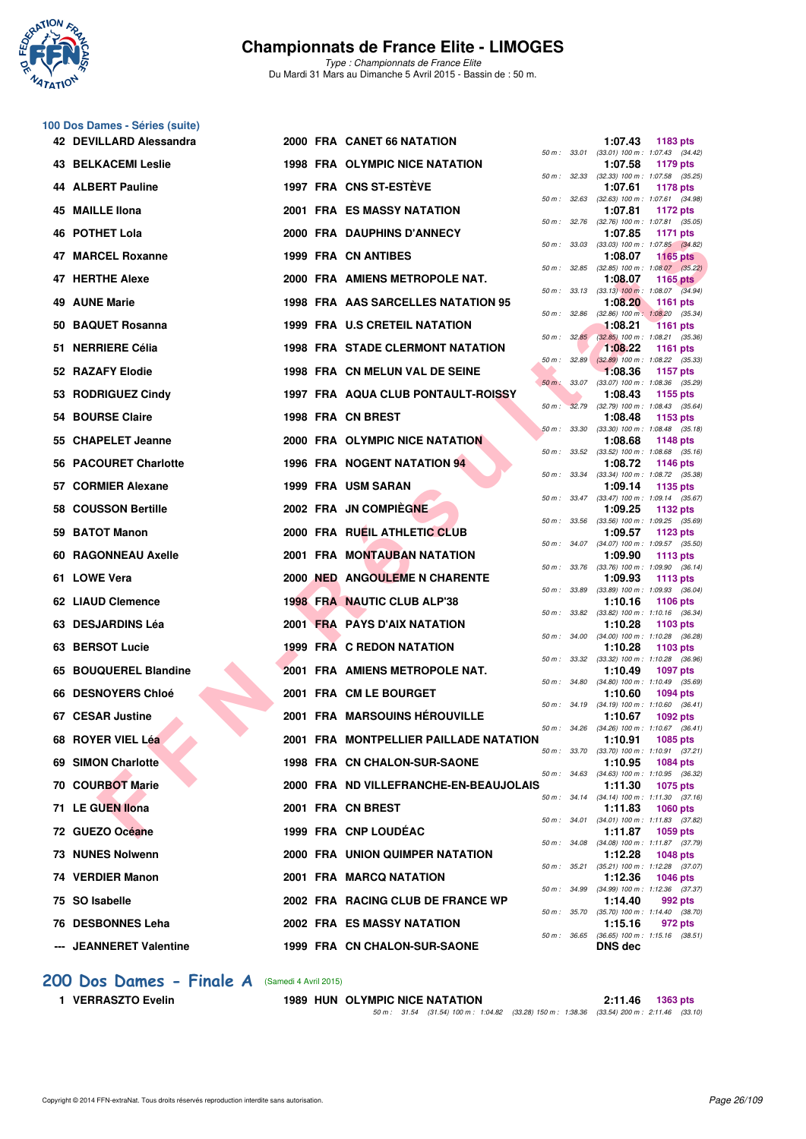

**100 Dos Dames - Séries (suite)**

# **Championnats de France Elite - LIMOGES**

*Type : Championnats de France Elite* Du Mardi 31 Mars au Dimanche 5 Avril 2015 - Bassin de : 50 m.

|     | 42 DEVILLARD Alessandra    |  | 2000 FRA CANET 66 NATATION              |                |              | 1:07.43        | 1183 pts                                                        |
|-----|----------------------------|--|-----------------------------------------|----------------|--------------|----------------|-----------------------------------------------------------------|
|     | <b>43 BELKACEMI Leslie</b> |  | <b>1998 FRA OLYMPIC NICE NATATION</b>   |                | 50 m : 33.01 | 1:07.58        | $(33.01)$ 100 m : 1:07.43 $(34.42)$<br>1179 pts                 |
|     | 44 ALBERT Pauline          |  | 1997 FRA CNS ST-ESTÈVE                  |                |              | 1:07.61        | 50 m: 32.33 (32.33) 100 m: 1:07.58 (35.25)<br>1178 pts          |
|     | 45 MAILLE IIona            |  | <b>2001 FRA ES MASSY NATATION</b>       | 50 m: 32.63    |              | 1:07.81        | $(32.63)$ 100 m : 1:07.61 $(34.98)$<br>1172 pts                 |
|     | 46 POTHET Lola             |  | <b>2000 FRA DAUPHINS D'ANNECY</b>       | 50 m: 32.76    |              | 1:07.85        | $(32.76)$ 100 m : 1:07.81 $(35.05)$<br><b>1171 pts</b>          |
|     | 47 MARCEL Roxanne          |  | 1999 FRA CN ANTIBES                     | 50 m: 33.03    |              | 1:08.07        | $(33.03)$ 100 m : 1:07.85 $(34.82)$<br>1165 $pts$               |
|     | 47 HERTHE Alexe            |  | 2000 FRA AMIENS METROPOLE NAT.          | 50 m: 32.85    |              | 1:08.07        | $(32.85)$ 100 m : 1:08.07 $(35.22)$<br>1165 pts                 |
|     | 49 AUNE Marie              |  | 1998 FRA AAS SARCELLES NATATION 95      |                |              | 1:08.20        | 50 m : 33.13 (33.13) 100 m : 1:08.07 (34.94)<br><b>1161 pts</b> |
|     | 50 BAQUET Rosanna          |  | <b>1999 FRA U.S CRETEIL NATATION</b>    | 50 m: 32.86    |              | 1:08.21        | $(32.86)$ 100 m : 1:08.20 $(35.34)$<br><b>1161 pts</b>          |
|     | 51 NERRIERE Célia          |  | <b>1998 FRA STADE CLERMONT NATATION</b> |                |              | 1:08.22        | 50 m : 32.85 (32.85) 100 m : 1:08.21 (35.36)<br><b>1161 pts</b> |
|     | 52 RAZAFY Elodie           |  | 1998 FRA CN MELUN VAL DE SEINE          |                | 50 m: 32.89  | 1:08.36        | $(32.89)$ 100 m : 1:08.22 $(35.33)$                             |
|     |                            |  |                                         |                | 50 m: 33.07  |                | 1157 pts<br>(33.07) 100 m : 1:08.36 (35.29)                     |
|     | 53 RODRIGUEZ Cindy         |  | 1997 FRA AQUA CLUB PONTAULT-ROISSY      | $50 m$ :       | 32.79        | 1:08.43        | 1155 pts<br>$(32.79)$ 100 m : 1:08.43 $(35.64)$                 |
|     | 54 BOURSE Claire           |  | 1998 FRA CN BREST                       | 50 m: 33.30    |              | 1:08.48        | 1153 $pts$<br>$(33.30)$ 100 m : 1:08.48 $(35.18)$               |
| 55. | <b>CHAPELET Jeanne</b>     |  | 2000 FRA OLYMPIC NICE NATATION          |                |              | 1:08.68        | 1148 pts<br>50 m : 33.52 (33.52) 100 m : 1:08.68 (35.16)        |
|     | 56 PACOURET Charlotte      |  | 1996 FRA NOGENT NATATION 94             |                | 50 m : 33.34 | 1:08.72        | 1146 pts<br>$(33.34)$ 100 m : 1:08.72 $(35.38)$                 |
|     | 57 CORMIER Alexane         |  | <b>1999 FRA USM SARAN</b>               |                |              | 1:09.14        | 1135 pts<br>50 m: 33.47 (33.47) 100 m: 1:09.14 (35.67)          |
|     | 58 COUSSON Bertille        |  | 2002 FRA JN COMPIEGNE                   |                |              | 1:09.25        | 1132 pts                                                        |
|     | 59 BATOT Manon             |  | 2000 FRA RUEIL ATHLETIC CLUB            | $50 m$ : 33.56 |              | 1:09.57        | $(33.56)$ 100 m : 1:09.25 $(35.69)$<br>1123 $pts$               |
| 60  | <b>RAGONNEAU Axelle</b>    |  | 2001 FRA MONTAUBAN NATATION             |                | 50 m : 34.07 | 1:09.90        | $(34.07)$ 100 m : 1:09.57 $(35.50)$<br>1113 $pts$               |
|     | 61 LOWE Vera               |  | <b>2000 NED ANGOULEME N CHARENTE</b>    |                |              | 1:09.93        | 50 m : 33.76 (33.76) 100 m : 1:09.90 (36.14)<br>1113 $pts$      |
|     | 62 LIAUD Clemence          |  | 1998 FRA NAUTIC CLUB ALP'38             | 50 m : 33.89   |              | 1:10.16        | $(33.89)$ 100 m : 1:09.93 $(36.04)$<br><b>1106 pts</b>          |
|     | 63 DESJARDINS Léa          |  | 2001 FRA PAYS D'AIX NATATION            |                |              | 1:10.28        | 50 m: 33.82 (33.82) 100 m: 1:10.16 (36.34)<br>1103 $pts$        |
|     | 63 BERSOT Lucie            |  | 1999 FRA C REDON NATATION               | 50 m: 34.00    |              | 1:10.28        | $(34.00)$ 100 m : 1:10.28 $(36.28)$<br>1103 $pts$               |
|     | 65 BOUQUEREL Blandine      |  | 2001 FRA AMIENS METROPOLE NAT.          |                |              | 1:10.49        | 50 m: 33.32 (33.32) 100 m: 1:10.28 (36.96)<br>1097 pts          |
|     | 66 DESNOYERS Chloé         |  | 2001 FRA CM LE BOURGET                  | 50 m : 34.80   |              | 1:10.60        | $(34.80)$ 100 m : 1:10.49 $(35.69)$<br>1094 pts                 |
|     |                            |  |                                         |                |              |                | 50 m: 34.19 (34.19) 100 m: 1:10.60 (36.41)                      |
|     | 67 CESAR Justine           |  | <b>2001 FRA MARSOUINS HEROUVILLE</b>    |                | 50 m : 34.26 | 1:10.67        | 1092 pts<br>$(34.26)$ 100 m : 1:10.67 $(36.41)$                 |
|     | 68 ROYER VIEL Léa          |  | 2001 FRA MONTPELLIER PAILLADE NATATION  |                |              |                | 1:10.91 1085 pts<br>50 m: 33.70 (33.70) 100 m: 1:10.91 (37.21)  |
|     | 69 SIMON Charlotte         |  | 1998 FRA CN CHALON-SUR-SAONE            |                |              | 1:10.95        | 1084 pts<br>50 m: 34.63 (34.63) 100 m: 1:10.95 (36.32)          |
|     | <b>70 COURBOT Marie</b>    |  | 2000 FRA ND VILLEFRANCHE-EN-BEAUJOLAIS  |                |              | 1:11.30        | 1075 pts<br>50 m: 34.14 (34.14) 100 m: 1:11.30 (37.16)          |
|     | 71 LE GUEN Ilona           |  | 2001 FRA CN BREST                       |                |              | 1:11.83        | 1060 pts<br>50 m: 34.01 (34.01) 100 m: 1:11.83 (37.82)          |
|     | 72 GUEZO Océane            |  | 1999 FRA CNP LOUDÉAC                    |                |              | 1:11.87        | 1059 pts                                                        |
|     | 73 NUNES Nolwenn           |  | <b>2000 FRA UNION QUIMPER NATATION</b>  |                |              | 1:12.28        | 50 m: 34.08 (34.08) 100 m: 1:11.87 (37.79)<br><b>1048 pts</b>   |
|     | 74 VERDIER Manon           |  | 2001 FRA MARCQ NATATION                 |                |              | 1:12.36        | 50 m: 35.21 (35.21) 100 m: 1:12.28 (37.07)<br>1046 pts          |
|     | 75 SO Isabelle             |  | 2002 FRA RACING CLUB DE FRANCE WP       |                |              | 1:14.40        | 50 m: 34.99 (34.99) 100 m: 1:12.36 (37.37)<br>992 pts           |
|     | 76 DESBONNES Leha          |  | <b>2002 FRA ES MASSY NATATION</b>       |                |              | 1:15.16        | 50 m: 35.70 (35.70) 100 m: 1:14.40 (38.70)<br>972 pts           |
|     | --- JEANNERET Valentine    |  | 1999 FRA CN CHALON-SUR-SAONE            |                | 50 m : 36.65 | <b>DNS</b> dec | $(36.65)$ 100 m : 1:15.16 $(38.51)$                             |

#### **[200 Dos Dames - Finale A](http://www.ffnatation.fr/webffn/resultats.php?idact=nat&go=epr&idcpt=27187&idepr=13)** (Samedi 4 Avril 2015)

**1 VERRASZTO Evelin 1989 HUN OLYMPIC NICE NATATION 2:11.46 1363 pts** *50 m : 31.54 (31.54) 100 m : 1:04.82 (33.28) 150 m : 1:38.36 (33.54) 200 m : 2:11.46 (33.10)*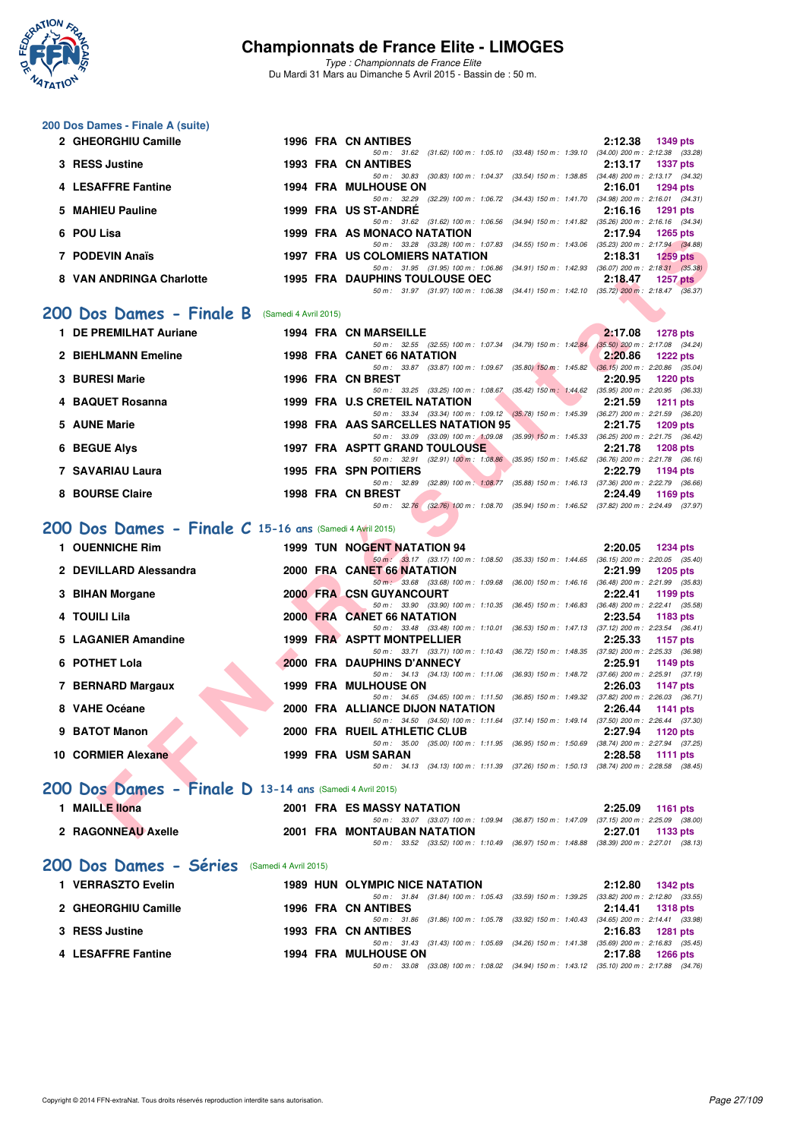

*Type : Championnats de France Elite* Du Mardi 31 Mars au Dimanche 5 Avril 2015 - Bassin de : 50 m.

# **200 Dos Dames - Finale A (suite)**

| 2 GHEORGHIU Camille                                                   |  | 1996 FRA CN ANTIBES                   |                                                                                          |                                                                              |         | 2:12.38 1349 pts                    |
|-----------------------------------------------------------------------|--|---------------------------------------|------------------------------------------------------------------------------------------|------------------------------------------------------------------------------|---------|-------------------------------------|
|                                                                       |  | $50 \text{ m}$ : 31.62                |                                                                                          | (31.62) 100 m: 1:05.10 (33.48) 150 m: 1:39.10 (34.00) 200 m: 2:12.38 (33.28) |         |                                     |
| 3 RESS Justine                                                        |  | <b>1993 FRA CN ANTIBES</b>            |                                                                                          |                                                                              | 2:13.17 | 1337 pts                            |
|                                                                       |  | 50 m : 30.83                          |                                                                                          | $(30.83)$ 100 m : 1:04.37 $(33.54)$ 150 m : 1:38.85                          |         | $(34.48)$ 200 m : 2:13.17 $(34.32)$ |
| 4 LESAFFRE Fantine                                                    |  | <b>1994 FRA MULHOUSE ON</b>           |                                                                                          |                                                                              | 2:16.01 | 1294 pts                            |
|                                                                       |  | 50 m : 32.29                          |                                                                                          | (32.29) 100 m: 1:06.72 (34.43) 150 m: 1:41.70 (34.98) 200 m: 2:16.01 (34.31) |         |                                     |
| 5 MAHIEU Pauline                                                      |  | 1999 FRA US ST-ANDRE                  |                                                                                          |                                                                              |         | $2:16.16$ 1291 pts                  |
|                                                                       |  |                                       | 50 m: 31.62 (31.62) 100 m: 1:06.56 (34.94) 150 m: 1:41.82                                |                                                                              |         | $(35.26)$ 200 m : 2:16.16 $(34.34)$ |
| 6 POU Lisa                                                            |  | 1999 FRA AS MONACO NATATION           |                                                                                          |                                                                              | 2:17.94 | 1265 pts                            |
|                                                                       |  |                                       | 50 m: 33.28 (33.28) 100 m: 1:07.83 (34.55) 150 m: 1:43.06                                |                                                                              |         | $(35.23)$ 200 m : 2:17.94 $(34.88)$ |
| 7 PODEVIN Anaïs                                                       |  | <b>1997 FRA US COLOMIERS NATATION</b> |                                                                                          |                                                                              | 2:18.31 | <b>1259 pts</b>                     |
|                                                                       |  |                                       | 50 m : 31.95 (31.95) 100 m : 1.06.86                                                     | $(34.91)$ 150 m : 1:42.93                                                    |         | $(36.07)$ 200 m : 2:18.31 $(35.38)$ |
| 8 VAN ANDRINGA Charlotte                                              |  | <b>1995 FRA DAUPHINS TOULOUSE OEC</b> |                                                                                          |                                                                              | 2:18.47 | 1257 pts                            |
|                                                                       |  |                                       | 50 m: 31.97 (31.97) 100 m: 1:06.38 (34.41) 150 m: 1:42.10 (35.72) 200 m: 2:18.47 (36.37) |                                                                              |         |                                     |
|                                                                       |  |                                       |                                                                                          |                                                                              |         |                                     |
| $\overline{00}$ Dos Dames - Finale R $_{{\sf (Samedi 4 Avril 2015)}}$ |  |                                       |                                                                                          |                                                                              |         |                                     |

#### **[200 Dos Dames - Finale B](http://www.ffnatation.fr/webffn/resultats.php?idact=nat&go=epr&idcpt=27187&idepr=13)** (Samedi 4 Avril 2015)

| 1 DE PREMILHAT Auriane |  | <b>1994 FRA CN MARSEILLE</b>                                                                         |                           | 2:17.08 | <b>1278 pts</b>                                   |
|------------------------|--|------------------------------------------------------------------------------------------------------|---------------------------|---------|---------------------------------------------------|
| 2 BIEHLMANN Emeline    |  | 50 m: 32.55 (32.55) 100 m: 1:07.34 (34.79) 150 m: 1:42.84<br><b>1998 FRA CANET 66 NATATION</b>       |                           | 2:20.86 | $(35.50)$ 200 m : 2:17.08 $(34.24)$<br>$1222$ pts |
| 3 BURESI Marie         |  | $(33.87)$ 100 m : 1:09.67 $(35.80)$ 150 m : 1:45.82<br>50 m : 33.87<br>1996 FRA CN BREST             |                           | 2:20.95 | $(36.15)$ 200 m : 2:20.86 $(35.04)$<br>$1220$ pts |
| 4 BAQUET Rosanna       |  | 50 m: 33.25 (33.25) 100 m: 1:08.67<br>1999 FRA U.S CRETEIL NATATION                                  | $(35.42)$ 150 m : 1:44.62 | 2:21.59 | $(35.95)$ 200 m : 2:20.95 $(36.33)$<br>1211 $pts$ |
| 5 AUNE Marie           |  | 50 m: 33.34 (33.34) 100 m: 1:09.12 (35.78) 150 m: 1:45.39<br>1998 FRA AAS SARCELLES NATATION 95      |                           | 2:21.75 | $(36.27)$ 200 m : 2:21.59 $(36.20)$<br>1209 pts   |
| 6 BEGUE Alys           |  | 50 m : 33.09 (33.09) 100 m : 1:09.08 (35.99) 150 m : 1:45.33<br><b>1997 FRA ASPTT GRAND TOULOUSE</b> |                           | 2:21.78 | $(36.25)$ 200 m : 2:21.75 $(36.42)$<br>$1208$ pts |
| 7 SAVARIAU Laura       |  | 50 m: 32.91 (32.91) 100 m: 1:08.86<br><b>1995 FRA SPN POITIERS</b>                                   | $(35.95)$ 150 m : 1:45.62 | 2:22.79 | $(36.76)$ 200 m : 2:21.78 $(36.16)$<br>1194 $pts$ |
| 8 BOURSE Claire        |  | $(32.89)$ 100 m : 1:08.77<br>$50 \text{ m}$ : 32.89<br>1998 FRA CN BREST                             | $(35.88)$ 150 m : 1:46.13 | 2:24.49 | $(37.36)$ 200 m : 2:22.79 $(36.66)$<br>1169 $pts$ |
|                        |  | 50 m : 32.76 (32.76) 100 m : 1:08.70 (35.94) 150 m : 1:46.52                                         |                           |         | $(37.82)$ 200 m : 2:24.49 $(37.97)$               |

# **[200 Dos Dames - Finale C](http://www.ffnatation.fr/webffn/resultats.php?idact=nat&go=epr&idcpt=27187&idepr=13) 15-16 ans** (Samedi 4 Avril 2015)

| гоо цэа                                                 |  | I 222 FRA AJ MUNACO NATATION                                                                                                      | 4. I I .J4<br>ו גע <i>ש</i> בו |
|---------------------------------------------------------|--|-----------------------------------------------------------------------------------------------------------------------------------|--------------------------------|
| 7 PODEVIN Anaïs                                         |  | 50 m: 33.28 (33.28) 100 m: 1:07.83 (34.55) 150 m: 1:43.06 (35.23) 200 m: 2:17.94 (34.88)<br><b>1997 FRA US COLOMIERS NATATION</b> | 2:18.31<br>$1259$ pts          |
|                                                         |  | 50 m: 31.95 (31.95) 100 m: 1.06.86 (34.91) 150 m: 1.42.93 (36.07) 200 m: 2:18.31 (35.38)                                          |                                |
| 8 VAN ANDRINGA Charlotte                                |  | <b>1995 FRA DAUPHINS TOULOUSE OEC</b>                                                                                             | 2:18.47<br>1257 $p$ ts         |
|                                                         |  | 50 m: 31.97 (31.97) 100 m: 1.06.38 (34.41) 150 m: 1.42.10 (35.72) 200 m: 2.18.47 (36.37)                                          |                                |
| <b>00 Dos Dames - Finale B</b> (Samedi 4 Avril 2015)    |  |                                                                                                                                   |                                |
|                                                         |  |                                                                                                                                   |                                |
| 1 DE PREMILHAT Auriane                                  |  | <b>1994 FRA CN MARSEILLE</b>                                                                                                      | 2:17.08<br><b>1278 pts</b>     |
|                                                         |  | 50 m: 32.55 (32.55) 100 m: 1.07.34 (34.79) 150 m: 1.42.84 (35.50) 200 m: 2.17.08 (34.24)                                          |                                |
| 2 BIEHLMANN Emeline                                     |  | <b>1998 FRA CANET 66 NATATION</b><br>50 m: 33.87 (33.87) 100 m: 1:09.67 (35.80) 150 m: 1:45.82 (36.15) 200 m: 2:20.86 (35.04)     | 2:20.86<br><b>1222 pts</b>     |
| 3 BURESI Marie                                          |  | 1996 FRA CN BREST                                                                                                                 | 2:20.95<br><b>1220 pts</b>     |
|                                                         |  | 50 m: 33.25 (33.25) 100 m: 1:08.67 (35.42) 150 m: 1:44.62 (35.95) 200 m: 2:20.95 (36.33)                                          |                                |
| 4 BAQUET Rosanna                                        |  | 1999 FRA U.S CRETEIL NATATION                                                                                                     | 2:21.59<br><b>1211 pts</b>     |
|                                                         |  | 50 m: 33.34 (33.34) 100 m: 1:09.12 (35.78) 150 m: 1:45.39 (36.27) 200 m: 2:21.59 (36.20)                                          |                                |
| 5 AUNE Marie                                            |  | 1998 FRA AAS SARCELLES NATATION 95                                                                                                | 2:21.75<br>1209 pts            |
|                                                         |  | 50 m: 33.09 (33.09) 100 m: 1:09.08 (35.99) 150 m: 1:45.33 (36.25) 200 m: 2:21.75 (36.42)                                          |                                |
| 6 BEGUE Alys                                            |  | <b>1997 FRA ASPTT GRAND TOULOUSE</b>                                                                                              | 2:21.78<br><b>1208 pts</b>     |
|                                                         |  | 50 m: 32.91 (32.91) 100 m: 1:08.86 (35.95) 150 m: 1:45.62 (36.76) 200 m: 2:21.78 (36.16)                                          |                                |
| 7 SAVARIAU Laura                                        |  | <b>1995 FRA SPN POITIERS</b>                                                                                                      | 2:22.79<br>1194 pts            |
|                                                         |  | 50 m: 32.89 (32.89) 100 m: 1:08.77 (35.88) 150 m: 1:46.13 (37.36) 200 m: 2:22.79 (36.66)                                          |                                |
| 8 BOURSE Claire                                         |  | 1998 FRA CN BREST                                                                                                                 | 2:24.49<br>1169 pts            |
|                                                         |  | 50 m: 32.76 (32.76) 100 m: 1.08.70 (35.94) 150 m: 1.46.52 (37.82) 200 m: 2:24.49 (37.97)                                          |                                |
| 00 Dos Dames - Finale C 15-16 ans (Samedi 4 Avril 2015) |  |                                                                                                                                   |                                |
| 1 OUENNICHE Rim                                         |  | 1999 TUN NOGENT NATATION 94                                                                                                       | 2:20.05<br><b>1234 pts</b>     |
|                                                         |  | 50 m: 33.17 (33.17) 100 m: 1.08.50 (35.33) 150 m: 1.44.65 (36.15) 200 m: 2.20.05 (35.40)                                          |                                |
| 2 DEVILLARD Alessandra                                  |  | 2000 FRA CANET 66 NATATION                                                                                                        | 2:21.99<br><b>1205 pts</b>     |
|                                                         |  | 50 m: 33.68 (33.68) 100 m: 1:09.68 (36.00) 150 m: 1:46.16 (36.48) 200 m: 2:21.99 (35.83)                                          |                                |
| 3 BIHAN Morgane                                         |  | <b>2000 FRA CSN GUYANCOURT</b>                                                                                                    | 2:22.41<br>1199 pts            |
|                                                         |  | 50 m: 33.90 (33.90) 100 m: 1:10.35 (36.45) 150 m: 1:46.83 (36.48) 200 m: 2:22.41 (35.58)                                          |                                |
| 4 TOUILI Lila                                           |  | 2000 FRA CANET 66 NATATION<br>50 m: 33.48 (33.48) 100 m: 1:10.01 (36.53) 150 m: 1:47.13 (37.12) 200 m: 2:23.54 (36.41)            | 2:23.54<br>1183 pts            |
| 5 LAGANIER Amandine                                     |  | 1999 FRA ASPTT MONTPELLIER                                                                                                        | 2:25.33<br><b>1157 pts</b>     |
|                                                         |  | 50 m: 33.71 (33.71) 100 m: 1:10.43 (36.72) 150 m: 1:48.35 (37.92) 200 m: 2:25.33 (36.98)                                          |                                |
| 6 POTHET Lola                                           |  | 2000 FRA DAUPHINS D'ANNECY                                                                                                        | 2:25.91<br>1149 pts            |
|                                                         |  | 50 m: 34.13 (34.13) 100 m: 1:11.06 (36.93) 150 m: 1:48.72 (37.66) 200 m: 2:25.91 (37.19)                                          |                                |
| 7 BERNARD Margaux                                       |  | <b>1999 FRA MULHOUSE ON</b>                                                                                                       | 2:26.03<br><b>1147 pts</b>     |
|                                                         |  | 50 m: 34.65 (34.65) 100 m: 1:11.50 (36.85) 150 m: 1:49.32 (37.82) 200 m: 2:26.03 (36.71)                                          |                                |
| 8 VAHE Océane                                           |  | 2000 FRA ALLIANCE DIJON NATATION                                                                                                  | 2:26.44<br><b>1141 pts</b>     |
|                                                         |  | 50 m: 34.50 (34.50) 100 m: 1:11.64 (37.14) 150 m: 1:49.14 (37.50) 200 m: 2:26.44 (37.30)                                          |                                |
| 9 BATOT Manon                                           |  | 2000 FRA RUEIL ATHLETIC CLUB                                                                                                      | 2:27.94<br>1120 pts            |
| 10 CORMIER Alexane                                      |  | 50 m: 35.00 (35.00) 100 m: 1:11.95 (36.95) 150 m: 1:50.69 (38.74) 200 m: 2:27.94 (37.25)                                          |                                |
|                                                         |  | 1999 FRA USM SARAN<br>50 m: 34.13 (34.13) 100 m: 1:11.39 (37.26) 150 m: 1:50.13 (38.74) 200 m: 2:28.58 (38.45)                    | 2:28.58<br>1111 $pts$          |
|                                                         |  |                                                                                                                                   |                                |
| 00 Dos Dames - Finale D 13-14 ans (Samedi 4 Avril 2015) |  |                                                                                                                                   |                                |
| 1 MAILLE Ilona                                          |  | <b>2001 FRA ES MASSY NATATION</b>                                                                                                 | 2:25.09                        |
|                                                         |  | 50 m: 33.07 (33.07) 100 m: 1:09.94 (36.87) 150 m: 1:47.09 (37.15) 200 m: 2:25.09 (38.00)                                          | <b>1161 pts</b>                |
| 2 RAGONNEAU Axelle                                      |  | 2001 FRA MONTAUBAN NATATION                                                                                                       | 2:27.01<br>1133 pts            |
|                                                         |  |                                                                                                                                   |                                |

# **[200 Dos Dames - Finale D](http://www.ffnatation.fr/webffn/resultats.php?idact=nat&go=epr&idcpt=27187&idepr=13) 13-14 ans** (Samedi 4 Avril 2015)

| 1 MAILLE IIona                               | 2001 FRA ES MASSY NATATION                                                                   | 2:25.09                             | 1161 $pts$      |
|----------------------------------------------|----------------------------------------------------------------------------------------------|-------------------------------------|-----------------|
|                                              | 50 m: 33.07 (33.07) 100 m: 1:09.94 (36.87) 150 m: 1:47.09                                    | $(37.15)$ 200 m : 2:25.09 $(38.00)$ |                 |
| 2 RAGONNEAU Axelle                           | <b>2001 FRA MONTAUBAN NATATION</b>                                                           | 2:27.01                             | $1133$ pts      |
|                                              | 50 m: 33.52 (33.52) 100 m: 1:10.49 (36.97) 150 m: 1:48.88 (38.39) 200 m: 2:27.01 (38.13)     |                                     |                 |
| 200 Dos Dames - Séries (Samedi 4 Avril 2015) |                                                                                              |                                     |                 |
| 1 VERRASZTO Evelin                           | <b>1989 HUN OLYMPIC NICE NATATION</b>                                                        | 2:12.80                             | <b>1342 pts</b> |
|                                              | 50 m: 31.84 (31.84) 100 m: 1:05.43 (33.59) 150 m: 1:39.25                                    | $(33.82)$ 200 m : 2:12.80 $(33.55)$ |                 |
| 2 GHEORGHIU Camille                          | 1996 FRA CN ANTIBES                                                                          | 2:14.41                             | 1318 pts        |
|                                              | 50 m : 31.86 (31.86) 100 m : 1:05.78 (33.92) 150 m : 1:40.43 (34.65) 200 m : 2:14.41 (33.98) |                                     |                 |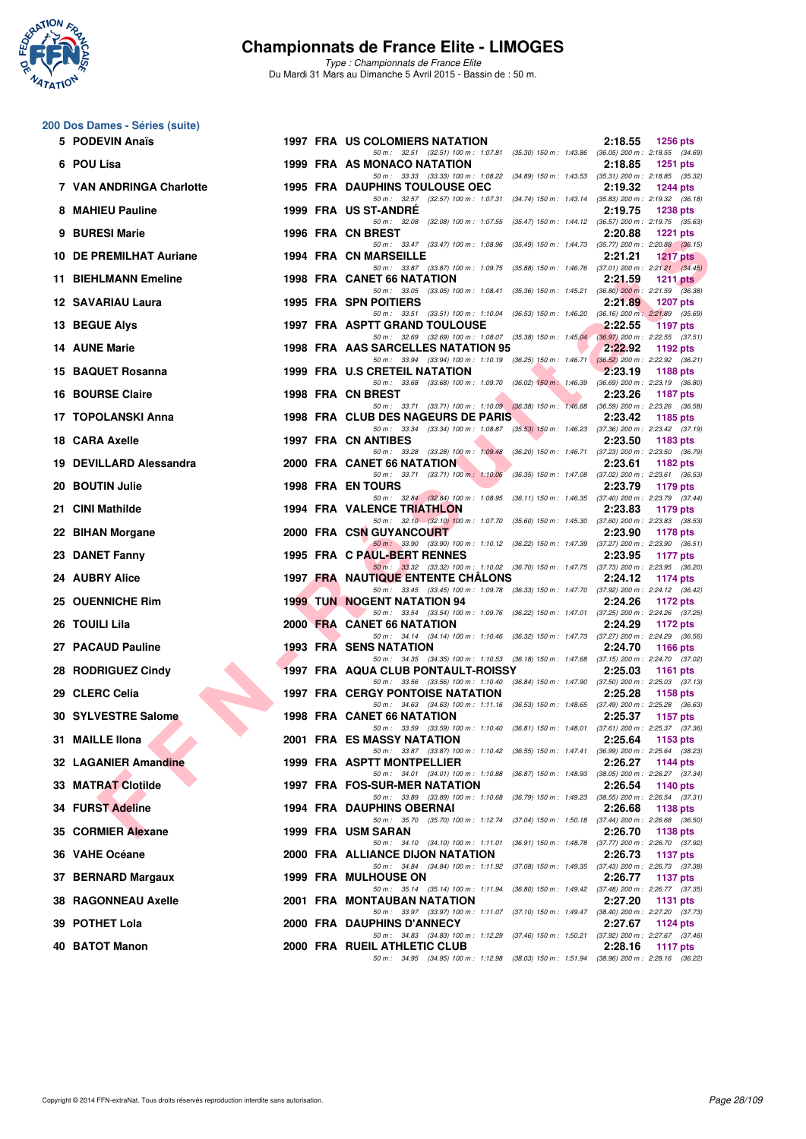

*Type : Championnats de France Elite* Du Mardi 31 Mars au Dimanche 5 Avril 2015 - Bassin de : 50 m.

# **200 Dos Dames - Séries (suite)**

| 5 PODEVIN Anaïs            |  | <b>1997 FRA US COLOMIERS NATATION</b><br>2:18.55<br><b>1256 pts</b>                                                                                         |
|----------------------------|--|-------------------------------------------------------------------------------------------------------------------------------------------------------------|
| 6 POU Lisa                 |  | 50 m: 32.51 (32.51) 100 m: 1:07.81 (35.30) 150 m: 1:43.86 (36.05) 200 m: 2:18.55 (34.69)<br>1999 FRA AS MONACO NATATION<br>2:18.85<br><b>1251 pts</b>       |
| 7 VAN ANDRINGA Charlotte   |  | 50 m: 33.33 (33.33) 100 m: 1:08.22 (34.89) 150 m: 1:43.53 (35.31) 200 m: 2:18.85 (35.32)<br><b>1995 FRA DAUPHINS TOULOUSE OEC</b><br>2:19.32<br>1244 pts    |
| 8 MAHIEU Pauline           |  | 50 m: 32.57 (32.57) 100 m: 1:07.31 (34.74) 150 m: 1:43.14 (35.83) 200 m: 2:19.32 (36.18)<br>1999 FRA US ST-ANDRE<br>2:19.75<br><b>1238 pts</b>              |
| 9 BURESI Marie             |  | 50 m: 32.08 (32.08) 100 m: 1:07.55 (35.47) 150 m: 1:44.12 (36.57) 200 m: 2:19.75 (35.63)<br>1996 FRA CN BREST<br>2:20.88<br><b>1221 pts</b>                 |
| 10 DE PREMILHAT Auriane    |  | 50 m: 33.47 (33.47) 100 m: 1:08.96 (35.49) 150 m: 1:44.73 (35.77) 200 m: 2:20.88 (36.15)<br>1994 FRA CN MARSEILLE<br>2:21.21<br>1217 $pts$                  |
| 11 BIEHLMANN Emeline       |  | 50 m: 33.87 (33.87) 100 m: 1:09.75 (35.88) 150 m: 1:46.76 (37.01) 200 m: 2:21.21 (34.45)<br>1998 FRA CANET 66 NATATION<br>2:21.59<br>$1211$ pts             |
| 12 SAVARIAU Laura          |  | 50 m: 33.05 (33.05) 100 m: 1:08.41 (35.36) 150 m: 1:45.21 (36.80) 200 m: 2:21.59 (36.38)<br>1995 FRA SPN POITIERS<br>2:21.89<br>1207 pts                    |
| <b>13 BEGUE Alys</b>       |  | 50 m: 33.51 (33.51) 100 m: 1:10.04 (36.53) 150 m: 1:46.20 (36.16) 200 m: 2:21.89 (35.69)<br>1997 FRA ASPTT GRAND TOULOUSE<br>2:22.55<br><b>1197 pts</b>     |
| 14 AUNE Marie              |  | 50 m: 32.69 (32.69) 100 m: 1:08.07 (35.38) 150 m: 1:45.04 (36.97) 200 m: 2:22.55 (37.51)<br>1998 FRA AAS SARCELLES NATATION 95<br>2:22.92<br>1192 pts       |
| 15 BAQUET Rosanna          |  | 50 m: 33.94 (33.94) 100 m: 1:10.19 (36.25) 150 m: 1:46.71 (36.52) 200 m: 2:22.92 (36.21)<br>1999 FRA U.S CRETEIL NATATION<br>2:23.19<br>1188 pts            |
| <b>16 BOURSE Claire</b>    |  | 50 m: 33.68 (33.68) 100 m: 1:09.70 (36.02) 150 m: 1:46.39 (36.69) 200 m: 2:23.19 (36.80)<br>1998 FRA CN BREST<br>2:23.26<br><b>1187 pts</b>                 |
| 17 TOPOLANSKI Anna         |  | 50 m: 33.71 (33.71) 100 m: 1:10.09 (36.38) 150 m: 1:46.68 (36.59) 200 m: 2:23.26 (36.58)<br>1998 FRA CLUB DES NAGEURS DE PARIS<br>2:23.42<br>1185 $pts$     |
| 18 CARA Axelle             |  | 50 m: 33.34 (33.34) 100 m: 1:08.87 (35.53) 150 m: 1:46.23 (37.36) 200 m: 2:23.42 (37.19)<br>1997 FRA CN ANTIBES<br>2:23.50<br>1183 $pts$                    |
| 19   DEVILLARD Alessandra  |  | 50 m: 33.28 (33.28) 100 m: 1:09.48 (36.20) 150 m: 1:46.71 (37.23) 200 m: 2:23.50 (36.79)<br>2000 FRA CANET 66 NATATION<br>2:23.61<br>1182 pts               |
| 20   BOUTIN Julie          |  | 50 m: 33.71 (33.71) 100 m: 1:10.06 (36.35) 150 m: 1:47.08 (37.02) 200 m: 2:23.61 (36.53)<br><b>1998 FRA EN TOURS</b><br>2:23.79<br>1179 pts                 |
| 21 CINI Mathilde           |  | 50 m: 32.84 (32.84) 100 m: 1:08.95 (36.11) 150 m: 1:46.35 (37.40) 200 m: 2:23.79 (37.44)<br><b>1994 FRA VALENCE TRIATHLON</b><br>2:23.83<br>1179 pts        |
| 22 BIHAN Morgane           |  | 50 m: 32.10 (32.10) 100 m: 1:07.70 (35.60) 150 m: 1:45.30 (37.60) 200 m: 2:23.83 (38.53)<br>2000 FRA CSN GUYANCOURT<br>2:23.90<br>1178 pts                  |
| 23 DANET Fanny             |  | 50 m: 33.90 (33.90) 100 m: 1:10.12 (36.22) 150 m: 1:47.39 (37.27) 200 m: 2:23.90 (36.51)<br>1995 FRA C PAUL-BERT RENNES<br>2:23.95<br>1177 $pts$            |
| 24 AUBRY Alice             |  | 50 m: 33.32 (33.32) 100 m: 1:10.02 (36.70) 150 m: 1:47.75 (37.73) 200 m: 2:23.95 (36.20)<br><b>1997 FRA NAUTIQUE ENTENTE CHALONS</b><br>2:24.12<br>1174 pts |
| 25 OUENNICHE Rim           |  | 50 m: 33.45 (33.45) 100 m: 1:09.78 (36.33) 150 m: 1:47.70 (37.92) 200 m: 2:24.12 (36.42)<br><b>1999 TUN NOGENT NATATION 94</b><br>2:24.26<br>1172 pts       |
| 26   TOUILI Lila           |  | 50 m: 33.54 (33.54) 100 m: 1:09.76 (36.22) 150 m: 1:47.01 (37.25) 200 m: 2:24.26 (37.25)<br>2000 FRA CANET 66 NATATION<br>2:24.29                           |
|                            |  | 1172 pts<br>50 m: 34.14 (34.14) 100 m: 1:10.46 (36.32) 150 m: 1:47.73 (37.27) 200 m: 2:24.29 (36.56)                                                        |
| 27 PACAUD Pauline          |  | <b>1993 FRA SENS NATATION</b><br>2:24.70<br>1166 pts<br>50 m: 34.35 (34.35) 100 m: 1:10.53 (36.18) 150 m: 1:47.68 (37.15) 200 m: 2:24.70 (37.02)            |
| 28 RODRIGUEZ Cindy         |  | 1997 FRA AQUA CLUB PONTAULT-ROISSY<br>2:25.03<br>1161 pts<br>50 m: 33.56 (33.56) 100 m: 1:10.40 (36.84) 150 m: 1:47.90 (37.50) 200 m: 2:25.03 (37.13)       |
| 29 CLERC Celia             |  | <b>1997 FRA CERGY PONTOISE NATATION</b><br>2:25.28<br>1158 pts<br>50 m: 34.63 (34.63) 100 m: 1:11.16 (36.53) 150 m: 1:48.65 (37.49) 200 m: 2:25.28 (36.63)  |
| <b>30 SYLVESTRE Salome</b> |  | <b>1998 FRA CANET 66 NATATION</b><br>2:25.37<br>1157 pts<br>50 m: 33.59 (33.59) 100 m: 1:10.40 (36.81) 150 m: 1:48.01 (37.61) 200 m: 2:25.37 (37.36)        |
| 31 MAILLE Ilona            |  | 2001 FRA ES MASSY NATATION<br>2:25.64<br>1153 pts<br>50 m: 33.87 (33.87) 100 m: 1:10.42 (36.55) 150 m: 1:47.41 (36.99) 200 m: 2:25.64 (38.23)               |
| 32 LAGANIER Amandine       |  | 1999 FRA ASPTT MONTPELLIER<br>2:26.27<br>1144 pts<br>50 m: 34.01 (34.01) 100 m: 1:10.88 (36.87) 150 m: 1:48.93 (38.05) 200 m: 2:26.27 (37.34)               |
| 33 MATRAT Clotilde         |  | 1997 FRA FOS-SUR-MER NATATION<br>2:26.54<br>1140 pts<br>50 m: 33.89 (33.89) 100 m: 1:10.68 (36.79) 150 m: 1:49.23 (38.55) 200 m: 2:26.54 (37.31)            |
| 34 FURST Adeline           |  | <b>1994 FRA DAUPHINS OBERNAI</b><br>2:26.68<br>1138 pts<br>50 m: 35.70 (35.70) 100 m: 1:12.74 (37.04) 150 m: 1:50.18 (37.44) 200 m: 2:26.68 (36.50)         |
| 35 CORMIER Alexane         |  | 1999 FRA USM SARAN<br>2:26.70<br>1138 pts<br>50 m: 34.10 (34.10) 100 m: 1:11.01 (36.91) 150 m: 1:48.78 (37.77) 200 m: 2:26.70 (37.92)                       |
| 36 VAHE Océane             |  | 2000 FRA ALLIANCE DIJON NATATION<br>2:26.73<br><b>1137 pts</b><br>50 m: 34.84 (34.84) 100 m: 1:11.92 (37.08) 150 m: 1:49.35 (37.43) 200 m: 2:26.73 (37.38)  |
| 37 BERNARD Margaux         |  | <b>1999 FRA MULHOUSE ON</b><br>2:26.77<br>1137 pts<br>50 m: 35.14 (35.14) 100 m: 1:11.94 (36.80) 150 m: 1:49.42 (37.48) 200 m: 2:26.77 (37.35)              |
| 38 RAGONNEAU Axelle        |  | 2001 FRA MONTAUBAN NATATION<br>2:27.20<br>1131 pts<br>50 m: 33.97 (33.97) 100 m: 1:11.07 (37.10) 150 m: 1:49.47 (38.40) 200 m: 2:27.20 (37.73)              |
| 39 POTHET Lola             |  | 2000 FRA DAUPHINS D'ANNECY<br>2:27.67<br>1124 pts<br>50 m: 34.83 (34.83) 100 m: 1:12.29 (37.46) 150 m: 1:50.21 (37.92) 200 m: 2:27.67 (37.46)               |
| 40 BATOT Manon             |  | 2000 FRA RUEIL ATHLETIC CLUB<br>2:28.16<br><b>1117 pts</b><br>50 m: 34.95 (34.95) 100 m: 1:12.98 (38.03) 150 m: 1:51.94 (38.96) 200 m: 2:28.16 (36.22)      |
|                            |  |                                                                                                                                                             |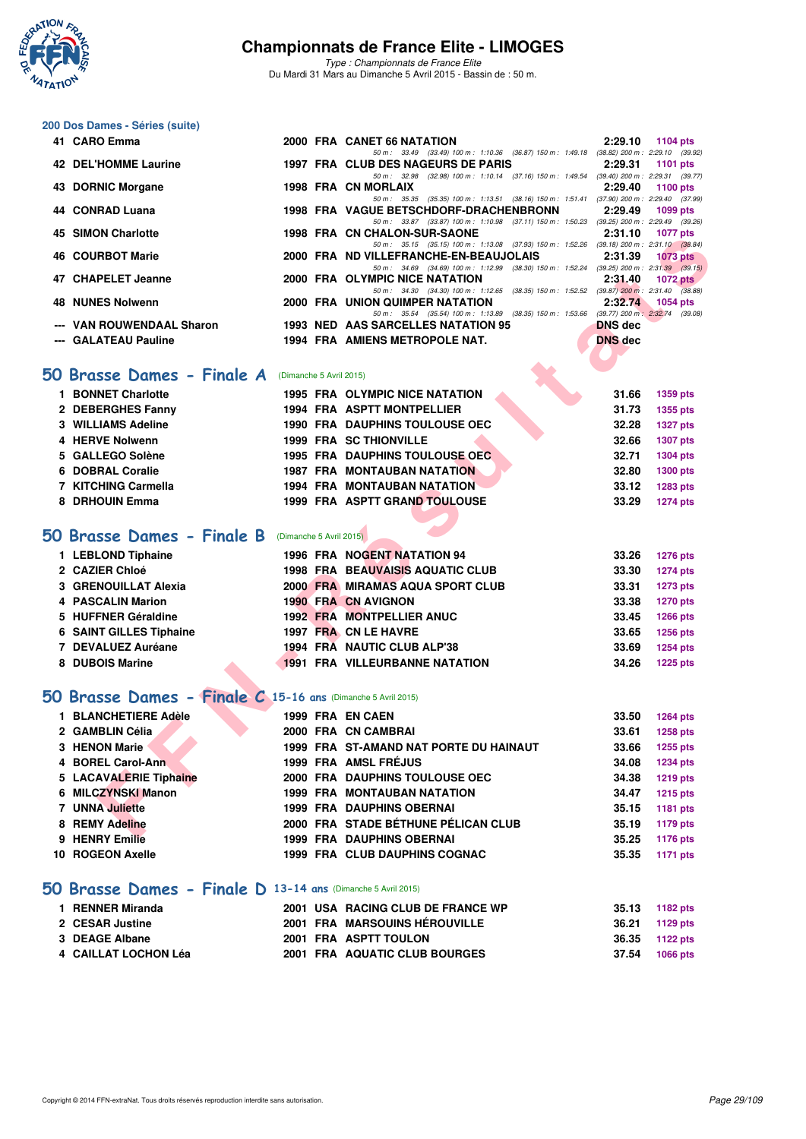

*Type : Championnats de France Elite* Du Mardi 31 Mars au Dimanche 5 Avril 2015 - Bassin de : 50 m.

# **200 Dos Dames - Séries (suite)**

| 41 CARO Emma                                             |  | 2000 FRA CANET 66 NATATION                                                               |                | 2:29.10 1104 pts |
|----------------------------------------------------------|--|------------------------------------------------------------------------------------------|----------------|------------------|
|                                                          |  | 50 m: 33.49 (33.49) 100 m: 1:10.36 (36.87) 150 m: 1:49.18 (38.82) 200 m: 2:29.10 (39.92) |                |                  |
| 42 DEL'HOMME Laurine                                     |  | 1997 FRA CLUB DES NAGEURS DE PARIS                                                       |                | 2:29.31 1101 pts |
|                                                          |  | 50 m: 32.98 (32.98) 100 m: 1:10.14 (37.16) 150 m: 1:49.54 (39.40) 200 m: 2:29.31 (39.77) |                |                  |
| 43 DORNIC Morgane                                        |  | 1998 FRA CN MORLAIX                                                                      | 2:29.40        | 1100 pts         |
|                                                          |  | 50 m: 35.35 (35.35) 100 m: 1:13.51 (38.16) 150 m: 1:51.41 (37.90) 200 m: 2:29.40 (37.99) |                |                  |
| 44 CONRAD Luana                                          |  | 1998 FRA VAGUE BETSCHDORF-DRACHENBRONN 2:29.49                                           |                | 1099 pts         |
|                                                          |  | 50 m: 33.87 (33.87) 100 m: 1:10.98 (37.11) 150 m: 1:50.23 (39.25) 200 m: 2:29.49 (39.26) |                |                  |
| 45 SIMON Charlotte                                       |  | <b>1998 FRA CN CHALON-SUR-SAONE</b>                                                      |                | 2:31.10 1077 pts |
|                                                          |  | 50 m: 35.15 (35.15) 100 m: 1:13.08 (37.93) 150 m: 1:52.26 (39.18) 200 m: 2:31.10 (38.84) |                |                  |
| <b>46 COURBOT Marie</b>                                  |  | 2000 FRA ND VILLEFRANCHE-EN-BEAUJOLAIS                                                   |                | 2:31.39 1073 pts |
|                                                          |  | 50 m: 34.69 (34.69) 100 m: 1:12.99 (38.30) 150 m: 1:52.24 (39.25) 200 m: 2:31.39 (39.15) |                |                  |
| 47 CHAPELET Jeanne                                       |  | 2000 FRA OLYMPIC NICE NATATION                                                           | 2:31.40        | $1072$ pts       |
|                                                          |  | 50 m: 34.30 (34.30) 100 m: 1:12.65 (38.35) 150 m: 1:52.52 (39.87) 200 m: 2:31.40 (38.88) |                |                  |
| 48 NUNES Nolwenn                                         |  | 2000 FRA UNION QUIMPER NATATION                                                          | 2:32.74        | 1054 pts         |
|                                                          |  | 50 m: 35.54 (35.54) 100 m: 1:13.89 (38.35) 150 m: 1:53.66 (39.77) 200 m: 2:32.74 (39.08) |                |                  |
| --- VAN ROUWENDAAL Sharon                                |  | 1993 NED AAS SARCELLES NATATION 95                                                       | <b>DNS</b> dec |                  |
| --- GALATEAU Pauline                                     |  | 1994 FRA AMIENS METROPOLE NAT.                                                           | <b>DNS</b> dec |                  |
|                                                          |  |                                                                                          |                |                  |
|                                                          |  |                                                                                          |                |                  |
| <b>O Brasse Dames - Finale A</b> (Dimanche 5 Avril 2015) |  |                                                                                          |                |                  |
|                                                          |  |                                                                                          |                |                  |
|                                                          |  |                                                                                          |                |                  |

#### **[50 Brasse Dames - Finale A](http://www.ffnatation.fr/webffn/resultats.php?idact=nat&go=epr&idcpt=27187&idepr=21)** (Dimanche 5 Avril 2015)

| 1 BONNET Charlotte  | <b>1995 FRA OLYMPIC NICE NATATION</b> | 31.66 | 1359 pts        |
|---------------------|---------------------------------------|-------|-----------------|
| 2 DEBERGHES Fanny   | <b>1994 FRA ASPTT MONTPELLIER</b>     | 31.73 | 1355 pts        |
| 3 WILLIAMS Adeline  | <b>1990 FRA DAUPHINS TOULOUSE OEC</b> | 32.28 | <b>1327 pts</b> |
| 4 HERVE Nolwenn     | <b>1999 FRA SC THIONVILLE</b>         | 32.66 | <b>1307 pts</b> |
| 5 GALLEGO Solène    | <b>1995 FRA DAUPHINS TOULOUSE OEC</b> | 32.71 | 1304 pts        |
| 6 DOBRAL Coralie    | <b>1987 FRA MONTAUBAN NATATION</b>    | 32.80 | <b>1300 pts</b> |
| 7 KITCHING Carmella | <b>1994 FRA MONTAUBAN NATATION</b>    | 33.12 | 1283 pts        |
| 8 DRHOUIN Emma      | 1999 FRA ASPTT GRAND TOULOUSE         | 33.29 | 1274 pts        |

# **[50 Brasse Dames - Finale B](http://www.ffnatation.fr/webffn/resultats.php?idact=nat&go=epr&idcpt=27187&idepr=21)** (Dimanche 5 Avril 2015)

| 1 LEBLOND Tiphaine             |  | 1996 FRA NOGENT NATATION 94             | 33.26 | <b>1276 pts</b> |
|--------------------------------|--|-----------------------------------------|-------|-----------------|
| 2 CAZIER Chloé                 |  | <b>1998 FRA BEAUVAISIS AQUATIC CLUB</b> | 33.30 | <b>1274 pts</b> |
| 3 GRENOUILLAT Alexia           |  | 2000 FRA MIRAMAS AQUA SPORT CLUB        | 33.31 | <b>1273 pts</b> |
| 4 PASCALIN Marion              |  | <b>1990 FRA CN AVIGNON</b>              | 33.38 | <b>1270 pts</b> |
| 5 HUFFNER Géraldine            |  | <b>1992 FRA MONTPELLIER ANUC</b>        | 33.45 | <b>1266 pts</b> |
| <b>6 SAINT GILLES Tiphaine</b> |  | 1997 FRA CN LE HAVRE                    | 33.65 | 1256 pts        |
| 7 DEVALUEZ Auréane             |  | 1994 FRA NAUTIC CLUB ALP'38             | 33.69 | <b>1254 pts</b> |
| 8 DUBOIS Marine                |  | <b>1991 FRA VILLEURBANNE NATATION</b>   | 34.26 | <b>1225 pts</b> |

# **[50 Brasse Dames - Finale C](http://www.ffnatation.fr/webffn/resultats.php?idact=nat&go=epr&idcpt=27187&idepr=21) 15-16 ans** (Dimanche 5 Avril 2015)

| <b>JIMUN UNAIURE</b>                                         |                         | <b>CN CHALON-SUR-SAUNE</b>                                                                                                         | 2.JI.IV        | $1011 \mu s$    |
|--------------------------------------------------------------|-------------------------|------------------------------------------------------------------------------------------------------------------------------------|----------------|-----------------|
| <b>46 COURBOT Marie</b>                                      |                         | 50 m: 35.15 (35.15) 100 m: 1:13.08 (37.93) 150 m: 1:52.26 (39.18) 200 m: 2:31.10 (38.84)<br>2000 FRA ND VILLEFRANCHE-EN-BEAUJOLAIS | 2:31.39        | <b>1073 pts</b> |
|                                                              |                         | 50 m: 34.69 (34.69) 100 m: 1:12.99 (38.30) 150 m: 1:52.24 (39.25) 200 m: 2:31.39 (39.15)                                           |                |                 |
| 47 CHAPELET Jeanne                                           |                         | 2000 FRA OLYMPIC NICE NATATION<br>50 m: 34.30 (34.30) 100 m: 1:12.65 (38.35) 150 m: 1:52.52 (39.87) 200 m: 2:31.40 (38.88)         | 2:31.40        | 1072 $p$ ts     |
| <b>48 NUNES Nolwenn</b>                                      |                         | <b>2000 FRA UNION QUIMPER NATATION</b>                                                                                             | 2:32.74        | 1054 pts        |
| --- VAN ROUWENDAAL Sharon                                    |                         | 50 m: 35.54 (35.54) 100 m: 1:13.89 (38.35) 150 m: 1:53.66 (39.77) 200 m: 2:32.74 (39.08)<br>1993 NED AAS SARCELLES NATATION 95     | <b>DNS</b> dec |                 |
| --- GALATEAU Pauline                                         |                         | 1994 FRA AMIENS METROPOLE NAT.                                                                                                     | <b>DNS</b> dec |                 |
|                                                              |                         |                                                                                                                                    |                |                 |
| 50 Brasse Dames - Finale A                                   | (Dimanche 5 Avril 2015) |                                                                                                                                    |                |                 |
| 1 BONNET Charlotte                                           |                         | <b>1995 FRA OLYMPIC NICE NATATION</b>                                                                                              | 31.66          | 1359 pts        |
| 2 DEBERGHES Fanny                                            |                         | 1994 FRA ASPTT MONTPELLIER                                                                                                         | 31.73          | 1355 pts        |
| 3 WILLIAMS Adeline                                           |                         | <b>1990 FRA DAUPHINS TOULOUSE OEC</b>                                                                                              | 32.28          | <b>1327 pts</b> |
| 4 HERVE Nolwenn                                              |                         | <b>1999 FRA SC THIONVILLE</b>                                                                                                      | 32.66          | <b>1307 pts</b> |
| 5 GALLEGO Solène                                             |                         | 1995 FRA DAUPHINS TOULOUSE OEC                                                                                                     | 32.71          | 1304 pts        |
| 6 DOBRAL Coralie                                             |                         | <b>1987 FRA MONTAUBAN NATATION</b>                                                                                                 | 32.80          | 1300 pts        |
| 7 KITCHING Carmella                                          |                         | <b>1994 FRA MONTAUBAN NATATION</b>                                                                                                 | 33.12          | 1283 pts        |
| 8 DRHOUIN Emma                                               |                         | 1999 FRA ASPTT GRAND TOULOUSE                                                                                                      | 33.29          | <b>1274 pts</b> |
|                                                              |                         |                                                                                                                                    |                |                 |
| 50 Brasse Dames - Finale B (Dimanche 5 Avril 2015)           |                         |                                                                                                                                    |                |                 |
| 1 LEBLOND Tiphaine                                           |                         | 1996 FRA NOGENT NATATION 94                                                                                                        | 33.26          | <b>1276 pts</b> |
| 2 CAZIER Chloé                                               |                         | 1998 FRA BEAUVAISIS AQUATIC CLUB                                                                                                   | 33.30          | <b>1274 pts</b> |
| 3 GRENOUILLAT Alexia                                         |                         | 2000 FRA MIRAMAS AQUA SPORT CLUB                                                                                                   | 33.31          | 1273 pts        |
| 4 PASCALIN Marion                                            |                         | <b>1990 FRA CN AVIGNON</b>                                                                                                         | 33.38          | <b>1270 pts</b> |
| 5 HUFFNER Géraldine                                          |                         | <b>1992 FRA MONTPELLIER ANUC</b>                                                                                                   | 33.45          | 1266 pts        |
| 6 SAINT GILLES Tiphaine                                      |                         | 1997 FRA CN LE HAVRE                                                                                                               | 33.65          | 1256 pts        |
| 7 DEVALUEZ Auréane                                           |                         | 1994 FRA NAUTIC CLUB ALP'38                                                                                                        | 33.69          | <b>1254 pts</b> |
| 8 DUBOIS Marine                                              |                         | <b>1991 FRA VILLEURBANNE NATATION</b>                                                                                              | 34.26          | <b>1225 pts</b> |
|                                                              |                         |                                                                                                                                    |                |                 |
| 50 Brasse Dames - Finale C 15-16 ans (Dimanche 5 Avril 2015) |                         |                                                                                                                                    |                |                 |
| 1 BLANCHETIERE Adèle                                         |                         | 1999 FRA EN CAEN                                                                                                                   | 33.50          | <b>1264 pts</b> |
| 2 GAMBLIN Célia                                              |                         | 2000 FRA CN CAMBRAI                                                                                                                | 33.61          | <b>1258 pts</b> |
| 3 HENON Marie                                                |                         | 1999 FRA ST-AMAND NAT PORTE DU HAINAUT                                                                                             | 33.66          | 1255 pts        |
| 4 BOREL Carol-Ann                                            |                         | 1999 FRA AMSL FRÉJUS                                                                                                               | 34.08          | <b>1234 pts</b> |
| 5 LACAVALERIE Tiphaine                                       |                         | 2000 FRA DAUPHINS TOULOUSE OEC                                                                                                     | 34.38          | <b>1219 pts</b> |
| 6 MILCZYNSKI Manon                                           |                         | <b>1999 FRA MONTAUBAN NATATION</b>                                                                                                 | 34.47          | <b>1215 pts</b> |
| 7 UNNA Juliette                                              |                         | <b>1999 FRA DAUPHINS OBERNAI</b>                                                                                                   | 35.15          | 1181 pts        |
| 8 REMY Adeline                                               |                         | 2000 FRA STADE BÉTHUNE PÉLICAN CLUB                                                                                                | 35.19          | <b>1179 pts</b> |
| 9 HENRY Emilie                                               |                         | <b>1999 FRA DAUPHINS OBERNAI</b>                                                                                                   | 35.25          | 1176 pts        |
| 10 ROGEON Axelle                                             |                         | 1999 FRA CLUB DAUPHINS COGNAC                                                                                                      | 35.35          | 1171 pts        |
|                                                              |                         |                                                                                                                                    |                |                 |

#### **[50 Brasse Dames - Finale D](http://www.ffnatation.fr/webffn/resultats.php?idact=nat&go=epr&idcpt=27187&idepr=21) 13-14 ans** (Dimanche 5 Avril 2015)

| 1 RENNER Miranda     | 2001 USA RACING CLUB DE FRANCE WP | 35.13<br>1182 pts |  |
|----------------------|-----------------------------------|-------------------|--|
| 2 CESAR Justine      | 2001 FRA MARSOUINS HÉROUVILLE     | 36.21<br>1129 pts |  |
| 3 DEAGE Albane       | 2001 FRA ASPTT TOULON             | 36.35<br>1122 pts |  |
| 4 CAILLAT LOCHON Léa | 2001 FRA AQUATIC CLUB BOURGES     | 37.54<br>1066 pts |  |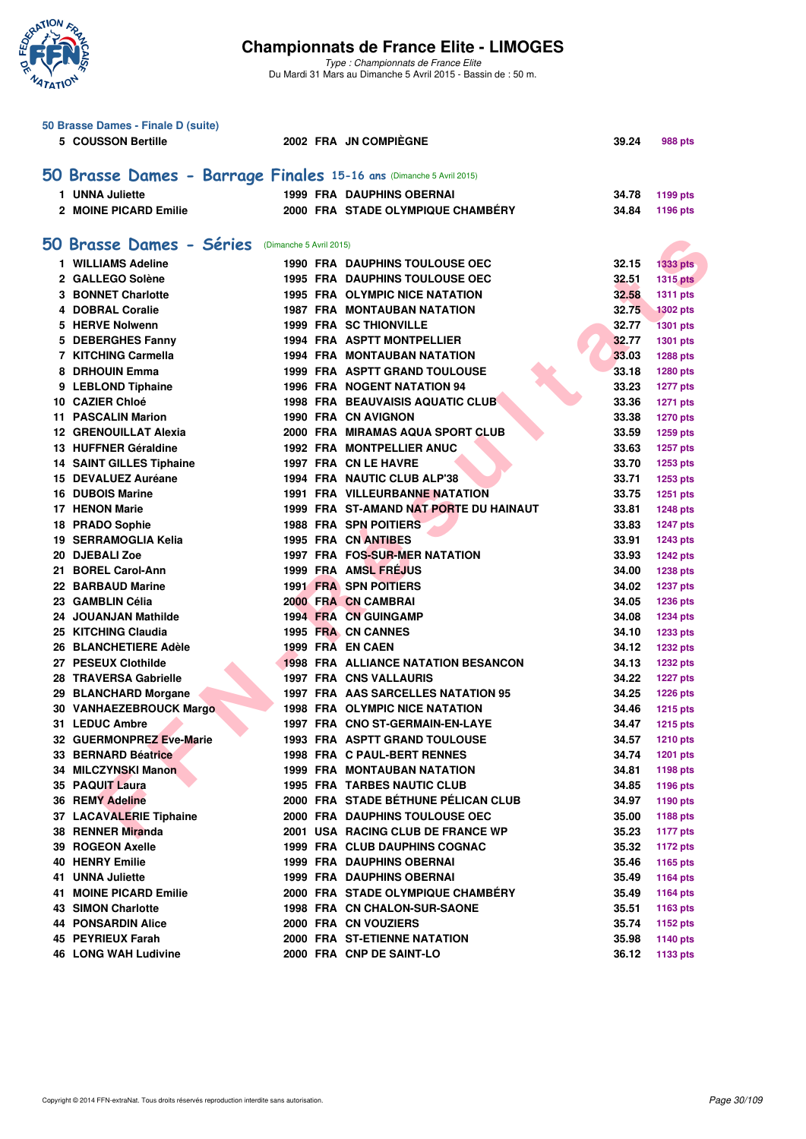

|     | 50 Brasse Dames - Finale D (suite)                                  |  |                                            |       |                 |
|-----|---------------------------------------------------------------------|--|--------------------------------------------|-------|-----------------|
|     | 5 COUSSON Bertille                                                  |  | 2002 FRA JN COMPIEGNE                      | 39.24 | <b>988 pts</b>  |
|     |                                                                     |  |                                            |       |                 |
|     |                                                                     |  |                                            |       |                 |
|     | 50 Brasse Dames - Barrage Finales 15-16 ans (Dimanche 5 Avril 2015) |  |                                            |       |                 |
|     | 1 UNNA Juliette                                                     |  | <b>1999 FRA DAUPHINS OBERNAI</b>           | 34.78 | 1199 pts        |
|     | 2 MOINE PICARD Emilie                                               |  | 2000 FRA STADE OLYMPIQUE CHAMBÉRY          | 34.84 | 1196 pts        |
|     |                                                                     |  |                                            |       |                 |
|     | 50 Brasse Dames - Séries (Dimanche 5 Avril 2015)                    |  |                                            |       |                 |
|     | 1 WILLIAMS Adeline                                                  |  | <b>1990 FRA DAUPHINS TOULOUSE OEC</b>      | 32.15 | <b>1333 pts</b> |
|     | 2 GALLEGO Solène                                                    |  | <b>1995 FRA DAUPHINS TOULOUSE OEC</b>      | 32.51 | <b>1315 pts</b> |
|     | 3 BONNET Charlotte                                                  |  | <b>1995 FRA OLYMPIC NICE NATATION</b>      | 32.58 | <b>1311 pts</b> |
|     | 4 DOBRAL Coralie                                                    |  | <b>1987 FRA MONTAUBAN NATATION</b>         | 32.75 | <b>1302 pts</b> |
|     | 5 HERVE Nolwenn                                                     |  | <b>1999 FRA SC THIONVILLE</b>              | 32.77 | <b>1301 pts</b> |
|     | 5 DEBERGHES Fanny                                                   |  | <b>1994 FRA ASPTT MONTPELLIER</b>          | 32.77 | 1301 pts        |
|     | 7 KITCHING Carmella                                                 |  | <b>1994 FRA MONTAUBAN NATATION</b>         | 33.03 | 1288 pts        |
|     | 8 DRHOUIN Emma                                                      |  | <b>1999 FRA ASPTT GRAND TOULOUSE</b>       | 33.18 | 1280 pts        |
|     | 9 LEBLOND Tiphaine                                                  |  | 1996 FRA NOGENT NATATION 94                | 33.23 | <b>1277 pts</b> |
|     | 10 CAZIER Chloé                                                     |  | <b>1998 FRA BEAUVAISIS AQUATIC CLUB</b>    | 33.36 | <b>1271 pts</b> |
|     | <b>11 PASCALIN Marion</b>                                           |  | 1990 FRA CN AVIGNON                        | 33.38 | <b>1270 pts</b> |
|     | <b>12 GRENOUILLAT Alexia</b>                                        |  | 2000 FRA MIRAMAS AQUA SPORT CLUB           | 33.59 |                 |
|     | 13 HUFFNER Géraldine                                                |  | <b>1992 FRA MONTPELLIER ANUC</b>           | 33.63 | 1259 pts        |
|     | <b>14 SAINT GILLES Tiphaine</b>                                     |  | 1997 FRA CN LE HAVRE                       | 33.70 | 1257 pts        |
|     | 15 DEVALUEZ Auréane                                                 |  | 1994 FRA NAUTIC CLUB ALP'38                | 33.71 | 1253 pts        |
|     |                                                                     |  |                                            |       | 1253 pts        |
|     | <b>16 DUBOIS Marine</b>                                             |  | <b>1991 FRA VILLEURBANNE NATATION</b>      | 33.75 | 1251 pts        |
|     | 17 HENON Marie                                                      |  | 1999 FRA ST-AMAND NAT PORTE DU HAINAUT     | 33.81 | <b>1248 pts</b> |
|     | 18 PRADO Sophie                                                     |  | <b>1988 FRA SPN POITIERS</b>               | 33.83 | <b>1247 pts</b> |
|     | 19 SERRAMOGLIA Kelia                                                |  | 1995 FRA CN ANTIBES                        | 33.91 | <b>1243 pts</b> |
|     | 20 DJEBALI Zoe                                                      |  | 1997 FRA FOS-SUR-MER NATATION              | 33.93 | <b>1242 pts</b> |
|     | 21 BOREL Carol-Ann                                                  |  | 1999 FRA AMSL FRÉJUS                       | 34.00 | <b>1238 pts</b> |
|     | 22 BARBAUD Marine                                                   |  | <b>1991 FRA SPN POITIERS</b>               | 34.02 | <b>1237 pts</b> |
|     | 23 GAMBLIN Célia                                                    |  | 2000 FRA CN CAMBRAI                        | 34.05 | 1236 pts        |
|     | 24 JOUANJAN Mathilde                                                |  | <b>1994 FRA CN GUINGAMP</b>                | 34.08 | <b>1234 pts</b> |
|     | 25 KITCHING Claudia                                                 |  | 1995 FRA CN CANNES                         | 34.10 | 1233 pts        |
|     | 26 BLANCHETIERE Adèle                                               |  | 1999 FRA EN CAEN                           | 34.12 | <b>1232 pts</b> |
|     | 27 PESEUX Clothilde                                                 |  | <b>1998 FRA ALLIANCE NATATION BESANCON</b> | 34.13 | <b>1232 pts</b> |
|     | 28 TRAVERSA Gabrielle                                               |  | <b>1997 FRA CNS VALLAURIS</b>              | 34.22 | <b>1227 pts</b> |
|     | 29 BLANCHARD Morgane                                                |  | 1997 FRA AAS SARCELLES NATATION 95         | 34.25 | <b>1226 pts</b> |
|     | 30 VANHAEZEBROUCK Margo                                             |  | <b>1998 FRA OLYMPIC NICE NATATION</b>      | 34.46 | <b>1215 pts</b> |
|     | 31 LEDUC Ambre                                                      |  | 1997 FRA CNO ST-GERMAIN-EN-LAYE            | 34.47 | <b>1215 pts</b> |
|     | 32 GUERMONPREZ Eve-Marie                                            |  | <b>1993 FRA ASPTT GRAND TOULOUSE</b>       | 34.57 | <b>1210 pts</b> |
|     | 33 BERNARD Béatrice                                                 |  | 1998 FRA C PAUL-BERT RENNES                | 34.74 | <b>1201 pts</b> |
|     | 34 MILCZYNSKI Manon                                                 |  | <b>1999 FRA MONTAUBAN NATATION</b>         | 34.81 | 1198 pts        |
|     | 35 PAQUIT Laura                                                     |  | <b>1995 FRA TARBES NAUTIC CLUB</b>         | 34.85 | 1196 pts        |
|     | <b>36 REMY Adeline</b>                                              |  | 2000 FRA STADE BÉTHUNE PÉLICAN CLUB        | 34.97 | 1190 pts        |
|     | 37 LACAVALERIE Tiphaine                                             |  | 2000 FRA DAUPHINS TOULOUSE OEC             | 35.00 | <b>1188 pts</b> |
|     | 38 RENNER Miranda                                                   |  | 2001 USA RACING CLUB DE FRANCE WP          | 35.23 | <b>1177 pts</b> |
|     | 39 ROGEON Axelle                                                    |  | <b>1999 FRA CLUB DAUPHINS COGNAC</b>       | 35.32 | <b>1172 pts</b> |
|     | <b>40 HENRY Emilie</b>                                              |  | <b>1999 FRA DAUPHINS OBERNAI</b>           | 35.46 | 1165 pts        |
|     | 41 UNNA Juliette                                                    |  | <b>1999 FRA DAUPHINS OBERNAI</b>           | 35.49 | 1164 pts        |
| 41. | <b>MOINE PICARD Emilie</b>                                          |  | 2000 FRA STADE OLYMPIQUE CHAMBERY          | 35.49 | 1164 pts        |
|     | <b>43 SIMON Charlotte</b>                                           |  | 1998 FRA CN CHALON-SUR-SAONE               | 35.51 | 1163 pts        |
|     | <b>44 PONSARDIN Alice</b>                                           |  | 2000 FRA CN VOUZIERS                       | 35.74 | 1152 pts        |
|     | 45 PEYRIEUX Farah                                                   |  | 2000 FRA ST-ETIENNE NATATION               | 35.98 | 1140 pts        |
|     | <b>46 LONG WAH Ludivine</b>                                         |  | 2000 FRA CNP DE SAINT-LO                   | 36.12 | 1133 pts        |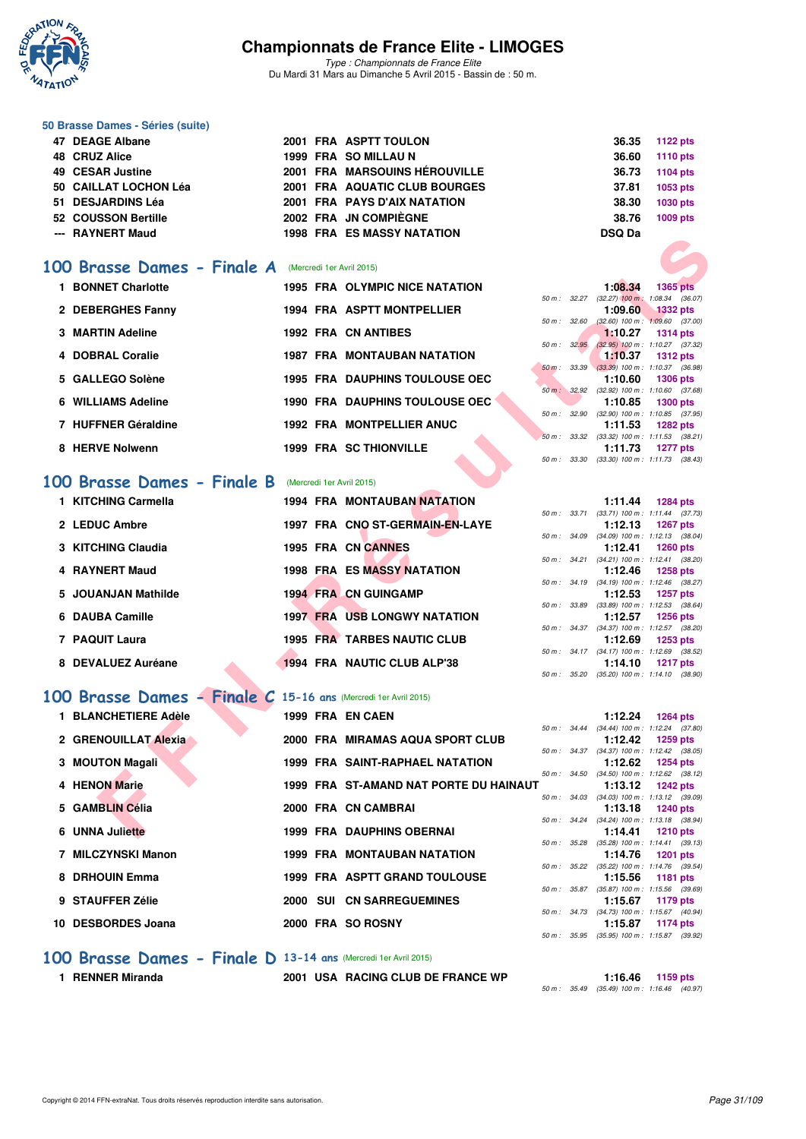

*Type : Championnats de France Elite* Du Mardi 31 Mars au Dimanche 5 Avril 2015 - Bassin de : 50 m.

#### **50 Brasse Dames - Séries (suite)**

| 47 DEAGE Albane |                                                                                                                            |  |                                                                                                                                                                                                               | 36.35 1122 pts  |
|-----------------|----------------------------------------------------------------------------------------------------------------------------|--|---------------------------------------------------------------------------------------------------------------------------------------------------------------------------------------------------------------|-----------------|
|                 |                                                                                                                            |  | 36.60                                                                                                                                                                                                         | <b>1110 pts</b> |
|                 |                                                                                                                            |  | 36.73                                                                                                                                                                                                         | 1104 pts        |
|                 |                                                                                                                            |  | 37.81                                                                                                                                                                                                         | 1053 pts        |
|                 |                                                                                                                            |  | 38.30                                                                                                                                                                                                         | 1030 pts        |
|                 |                                                                                                                            |  | 38.76                                                                                                                                                                                                         | 1009 pts        |
|                 |                                                                                                                            |  | <b>DSQ Da</b>                                                                                                                                                                                                 |                 |
|                 | 48 CRUZ Alice<br>49 CESAR Justine<br>50 CAILLAT LOCHON Léa<br>51 DESJARDINS Léa<br>52 COUSSON Bertille<br>--- RAYNERT Maud |  | 2001 FRA ASPTT TOULON<br>1999 FRA SO MILLAU N<br>2001 FRA MARSOUINS HÉROUVILLE<br>2001 FRA AQUATIC CLUB BOURGES<br>2001 FRA PAYS D'AIX NATATION<br>2002 FRA JN COMPIÈGNE<br><b>1998 FRA ES MASSY NATATION</b> |                 |

#### **[100 Brasse Dames - Finale A](http://www.ffnatation.fr/webffn/resultats.php?idact=nat&go=epr&idcpt=27187&idepr=22)** (Mercredi 1er Avril 2015)

|                                                                |  | IJJO FRA EJ MAJJI NAIAIIUN             |              |                                                       |                 |  |
|----------------------------------------------------------------|--|----------------------------------------|--------------|-------------------------------------------------------|-----------------|--|
| 00 Brasse Dames - Finale A (Mercredi 1er Avril 2015)           |  |                                        |              |                                                       |                 |  |
| 1 BONNET Charlotte                                             |  | <b>1995 FRA OLYMPIC NICE NATATION</b>  |              | 1:08.34                                               | 1365 pts        |  |
|                                                                |  |                                        |              | 50 m: 32.27 (32.27) 100 m: 1:08.34 (36.07)            |                 |  |
| 2 DEBERGHES Fanny                                              |  | <b>1994 FRA ASPTT MONTPELLIER</b>      |              | 1:09.60                                               | <b>1332 pts</b> |  |
| 3 MARTIN Adeline                                               |  |                                        | 50 m: 32.60  | $(32.60)$ 100 m : 1:09.60 $(37.00)$                   |                 |  |
|                                                                |  | 1992 FRA CN ANTIBES                    | 50 m: 32.95  | 1:10.27<br>$(32.95)$ 100 m : 1:10.27 $(37.32)$        | <b>1314 pts</b> |  |
| 4 DOBRAL Coralie                                               |  | <b>1987 FRA MONTAUBAN NATATION</b>     |              | 1:10.37                                               | <b>1312 pts</b> |  |
|                                                                |  |                                        | 50 m : 33.39 | $(33.39)$ 100 m : 1:10.37 $(36.98)$                   |                 |  |
| 5 GALLEGO Solène                                               |  | <b>1995 FRA DAUPHINS TOULOUSE OEC</b>  |              | 1:10.60                                               | <b>1306 pts</b> |  |
|                                                                |  |                                        |              | 50 m: 32.92 (32.92) 100 m: 1:10.60 (37.68)            |                 |  |
| 6 WILLIAMS Adeline                                             |  | <b>1990 FRA DAUPHINS TOULOUSE OEC</b>  |              | 1:10.85<br>50 m: 32.90 (32.90) 100 m: 1:10.85 (37.95) | <b>1300 pts</b> |  |
| 7 HUFFNER Géraldine                                            |  | <b>1992 FRA MONTPELLIER ANUC</b>       |              | 1:11.53                                               | <b>1282 pts</b> |  |
|                                                                |  |                                        |              | 50 m: 33.32 (33.32) 100 m: 1:11.53 (38.21)            |                 |  |
| 8 HERVE Nolwenn                                                |  | <b>1999 FRA SC THIONVILLE</b>          |              | 1:11.73                                               | <b>1277 pts</b> |  |
|                                                                |  |                                        | 50 m: 33.30  | $(33.30)$ 100 m : 1:11.73 $(38.43)$                   |                 |  |
| <b>00 Brasse Dames - Finale B</b> (Mercredi 1er Avril 2015)    |  |                                        |              |                                                       |                 |  |
| 1 KITCHING Carmella                                            |  | <b>1994 FRA MONTAUBAN NATATION</b>     |              | 1:11.44                                               | <b>1284 pts</b> |  |
|                                                                |  |                                        |              | 50 m: 33.71 (33.71) 100 m: 1:11.44 (37.73)            |                 |  |
| 2 LEDUC Ambre                                                  |  | 1997 FRA CNO ST-GERMAIN-EN-LAYE        |              | 1:12.13                                               | <b>1267 pts</b> |  |
| 3 KITCHING Claudia                                             |  | 1995 FRA CN CANNES                     |              | 50 m: 34.09 (34.09) 100 m: 1:12.13 (38.04)<br>1:12.41 | <b>1260 pts</b> |  |
|                                                                |  |                                        |              | 50 m: 34.21 (34.21) 100 m: 1:12.41 (38.20)            |                 |  |
| 4 RAYNERT Maud                                                 |  | <b>1998 FRA ES MASSY NATATION</b>      |              | 1:12.46                                               | <b>1258 pts</b> |  |
|                                                                |  |                                        |              | 50 m: 34.19 (34.19) 100 m: 1:12.46 (38.27)            |                 |  |
| 5 JOUANJAN Mathilde                                            |  | <b>1994 FRA CN GUINGAMP</b>            |              | 1:12.53                                               | <b>1257 pts</b> |  |
|                                                                |  |                                        |              | 50 m: 33.89 (33.89) 100 m: 1:12.53 (38.64)            |                 |  |
| 6 DAUBA Camille                                                |  | <b>1997 FRA USB LONGWY NATATION</b>    |              | 1:12.57<br>50 m: 34.37 (34.37) 100 m: 1:12.57 (38.20) | <b>1256 pts</b> |  |
| 7 PAQUIT Laura                                                 |  | <b>1995 FRA TARBES NAUTIC CLUB</b>     |              | 1:12.69                                               | <b>1253 pts</b> |  |
|                                                                |  |                                        |              | 50 m: 34.17 (34.17) 100 m: 1:12.69 (38.52)            |                 |  |
| 8 DEVALUEZ Auréane                                             |  | 1994 FRA NAUTIC CLUB ALP'38            |              | 1:14.10                                               | <b>1217 pts</b> |  |
|                                                                |  |                                        |              | 50 m: 35.20 (35.20) 100 m: 1:14.10 (38.90)            |                 |  |
| 00 Brasse Dames - Finale C 15-16 ans (Mercredi 1er Avril 2015) |  |                                        |              |                                                       |                 |  |
| 1 BLANCHETIERE Adèle                                           |  | 1999 FRA EN CAEN                       |              | 1:12.24                                               | <b>1264 pts</b> |  |
|                                                                |  |                                        |              | 50 m: 34.44 (34.44) 100 m: 1:12.24 (37.80)            |                 |  |
| 2 GRENOUILLAT Alexia                                           |  | 2000 FRA MIRAMAS AQUA SPORT CLUB       |              | 1:12.42                                               | <b>1259 pts</b> |  |
| 3 MOUTON Magali                                                |  | <b>1999 FRA SAINT-RAPHAEL NATATION</b> |              | 50 m: 34.37 (34.37) 100 m: 1:12.42 (38.05)            |                 |  |
|                                                                |  |                                        |              | 1:12.62<br>50 m: 34.50 (34.50) 100 m: 1:12.62 (38.12) | <b>1254 pts</b> |  |
| 4 HENON Marie                                                  |  | 1999 FRA ST-AMAND NAT PORTE DU HAINAUT |              | 1:13.12                                               | <b>1242 pts</b> |  |
|                                                                |  |                                        |              | 50 m: 34.03 (34.03) 100 m: 1:13.12 (39.09)            |                 |  |
| 5 GAMBLIN Célia                                                |  | 2000 FRA CN CAMBRAI                    |              | 1:13.18                                               | 1240 pts        |  |
|                                                                |  |                                        |              | 50 m: 34.24 (34.24) 100 m: 1:13.18 (38.94)            |                 |  |
| 6 UNNA Juliette                                                |  | <b>1999 FRA DAUPHINS OBERNAI</b>       |              | 1:14.41                                               | <b>1210 pts</b> |  |

### **[100 Brasse Dames - Finale B](http://www.ffnatation.fr/webffn/resultats.php?idact=nat&go=epr&idcpt=27187&idepr=22)** (Mercredi 1er Avril 2015)

|                                                                                                                                                                |  |                                                                                                                                                                                                                                                                             | 1:12.57 |                                                            |                                                                                                                                                                                                                                                                                                                                                                                                                              |
|----------------------------------------------------------------------------------------------------------------------------------------------------------------|--|-----------------------------------------------------------------------------------------------------------------------------------------------------------------------------------------------------------------------------------------------------------------------------|---------|------------------------------------------------------------|------------------------------------------------------------------------------------------------------------------------------------------------------------------------------------------------------------------------------------------------------------------------------------------------------------------------------------------------------------------------------------------------------------------------------|
|                                                                                                                                                                |  |                                                                                                                                                                                                                                                                             | 1:12.69 |                                                            |                                                                                                                                                                                                                                                                                                                                                                                                                              |
|                                                                                                                                                                |  |                                                                                                                                                                                                                                                                             | 1:14.10 |                                                            |                                                                                                                                                                                                                                                                                                                                                                                                                              |
| 1 KITCHING Carmella<br>2 LEDUC Ambre<br>3 KITCHING Claudia<br>4 RAYNERT Maud<br>5 JOUANJAN Mathilde<br>6 DAUBA Camille<br>7 PAQUIT Laura<br>8 DEVALUEZ Auréane |  | <b>1994 FRA MONTAUBAN NATATION</b><br>1997 FRA CNO ST-GERMAIN-EN-LAYE<br>1995 FRA CN CANNES<br><b>1998 FRA ES MASSY NATATION</b><br><b>1994 FRA CN GUINGAMP</b><br><b>1997 FRA USB LONGWY NATATION</b><br><b>1995 FRA TARBES NAUTIC CLUB</b><br>1994 FRA NAUTIC CLUB ALP'38 |         | $50 m$ : $33.71$<br>1:12.13<br>50 m: 34.09<br>50 m : 33.89 | 1:11.44 1284 pts<br>$(33.71)$ 100 m : 1:11.44 (37.<br>1267 pts<br>$(34.09)$ 100 m : 1:12.13 $(38.$<br>$1:12.41$ 1260 pts<br>50 m: 34.21 (34.21) 100 m: 1:12.41 (38.<br>1:12.46 1258 pts<br>50 m: 34.19 (34.19) 100 m: 1:12.46 (38.<br>1:12.53 $1257 \text{ pts}$<br>$(33.89)$ 100 m : 1:12.53 (38.<br>1256 pts<br>50 m: 34.37 (34.37) 100 m: 1:12.57 (38.<br>1253 pts<br>50 m: 34.17 (34.17) 100 m: 1:12.69 (38.<br>1217 pts |

#### **[100 Brasse Dames - Finale C](http://www.ffnatation.fr/webffn/resultats.php?idact=nat&go=epr&idcpt=27187&idepr=22) 15-16 ans** (Mercredi 1er Avril 2015)

| 1 BLANCHETIERE Adèle   |  | 1999 FRA EN CAEN                       |              | 1:12.24                                                     | 1264 pts |  |
|------------------------|--|----------------------------------------|--------------|-------------------------------------------------------------|----------|--|
|                        |  |                                        | 50 m : 34.44 | $(34.44)$ 100 m : 1:12.24 (37.                              |          |  |
| 2 GRENOUILLAT Alexia   |  | 2000 FRA MIRAMAS AQUA SPORT CLUB       |              | 1:12.42 1259 pts<br>50 m: 34.37 (34.37) 100 m: 1:12.42 (38. |          |  |
| 3 MOUTON Magali        |  | <b>1999 FRA SAINT-RAPHAEL NATATION</b> |              | 1:12.62 1254 pts                                            |          |  |
|                        |  |                                        | 50 m : 34.50 | $(34.50)$ 100 m : 1:12.62 $(38.$                            |          |  |
| 4 HENON Marie          |  | 1999 FRA ST-AMAND NAT PORTE DU HAINAUT |              | 1:13.12 1242 pts                                            |          |  |
| 5 GAMBLIN Célia        |  | 2000 FRA CN CAMBRAI                    | 50 m: 34.03  | $(34.03)$ 100 m : 1:13.12 (39.<br>1:13.18 1240 pts          |          |  |
|                        |  |                                        |              | 50 m: 34.24 (34.24) 100 m: 1:13.18 (38.                     |          |  |
| <b>6 UNNA Juliette</b> |  | <b>1999 FRA DAUPHINS OBERNAI</b>       |              | 1:14.41 $1210 \text{ pts}$                                  |          |  |
| 7 MILCZYNSKI Manon     |  | <b>1999 FRA MONTAUBAN NATATION</b>     | 50 m : 35.28 | $(35.28)$ 100 m : 1:14.41 (39.<br>1:14.76 1201 pts          |          |  |
|                        |  |                                        | 50 m : 35.22 | $(35.22)$ 100 m : 1:14.76 (39.                              |          |  |
| 8 DRHOUIN Emma         |  | <b>1999 FRA ASPTT GRAND TOULOUSE</b>   |              | 1:15.56 1181 pts                                            |          |  |
|                        |  |                                        | 50 m : 35.87 | $(35.87)$ 100 m : 1:15.56 (39.                              |          |  |
| 9 STAUFFER Zélie       |  | 2000 SUI CN SARREGUEMINES              | 50 m : 34.73 | 1:15.67                                                     | 1179 pts |  |
| 10 DESBORDES Joana     |  | 2000 FRA SO ROSNY                      |              | $(34.73)$ 100 m : 1:15.67 (40.<br>1:15.87                   | 1174 pts |  |
|                        |  |                                        |              |                                                             |          |  |

#### **[100 Brasse Dames - Finale D](http://www.ffnatation.fr/webffn/resultats.php?idact=nat&go=epr&idcpt=27187&idepr=22) 13-14 ans** (Mercredi 1er Avril 2015)

| 1 RENNER Miranda |  |
|------------------|--|
|                  |  |

**1 RENNER Miranda 2001 USA RACING CLUB DE FRANCE WP 1:16.46 1159 pts**

|                |       | 1:08.34                      | <b>1365 pts</b>     |  |
|----------------|-------|------------------------------|---------------------|--|
|                |       | 50 m : 32.27 (32.27) 100 m : | 1:08.34 (36.07)     |  |
|                |       | 1:09.60                      | <b>1332 pts</b>     |  |
|                |       | 50 m: 32.60 (32.60) 100 m:   | 1:09.60 (37.00)     |  |
|                |       | 1:10.27                      | <b>1314 pts</b>     |  |
| 50 m: 32.95    |       | $(32.95)$ 100 m :            | 1:10.27 (37.32)     |  |
|                |       | $1:10.37$ 1312 pts           |                     |  |
| $50m$ :        | 33.39 | $(33.39)$ 100 m :            | 1:10.37 (36.98)     |  |
|                |       | 1:10.60                      | 1306 pts            |  |
| 50 m : 32.92   |       | $(32.92)$ 100 m :            | $1:10.60$ $(37.68)$ |  |
|                |       | 1:10.85                      | <b>1300 pts</b>     |  |
| $50 m$ :       | 32.90 | $(32.90)$ 100 m :            | $1:10.85$ (37.95)   |  |
|                |       | 1:11.53                      | 1282 pts            |  |
| $50 m$ : 33.32 |       | $(33.32)$ 100 m :            | $1:11.53$ $(38.21)$ |  |
|                |       | 1:11,73                      | 1277 pts            |  |
| 50 m : 33.30   |       | $(33.30)$ 100 m :            | $1:11.73$ (38.43)   |  |
|                |       |                              |                     |  |

|                  |       | 1:11.44                    | <b>1284 pts</b>     |
|------------------|-------|----------------------------|---------------------|
| $50 m$ :         | 33.71 | $(33.71)$ 100 m :          | $1:11.44$ (37.73)   |
|                  |       | 1:12.13                    | <b>1267 pts</b>     |
| $50 m$ :         | 34.09 | $(34.09)$ 100 m :          | $1:12.13$ $(38.04)$ |
|                  |       | 1:12.41                    | 1260 pts            |
| $50 m$ :         | 34.21 | $(34.21)$ 100 m :          | $1:12.41$ (38.20)   |
|                  |       |                            | $1:12.46$ 1258 pts  |
| $50 m$ :         | 34.19 | $(34.19) 100 m$ :          | $1:12.46$ (38.27)   |
|                  |       |                            |                     |
|                  |       | 1:12.53                    | 1257 pts            |
| $50 m$ :         | 33.89 | $(33.89)$ 100 m :          | $1:12.53$ $(38.64)$ |
|                  |       |                            | 1:12.57 1256 pts    |
| $50 m$ : $34.37$ |       | $(34.37)$ 100 m :          | $1:12.57$ $(38.20)$ |
|                  |       |                            | 1:12.69 1253 pts    |
|                  |       | 50 m: 34.17 (34.17) 100 m: | $1:12.69$ $(38.52)$ |
|                  |       |                            | $1:14.10$ 1217 pts  |

|          | 1:12.24                                                                               | 1264 pts                                                                       |                                                                                                                                                                                        |
|----------|---------------------------------------------------------------------------------------|--------------------------------------------------------------------------------|----------------------------------------------------------------------------------------------------------------------------------------------------------------------------------------|
|          | $(34.44) 100 m$ :                                                                     | $1:12.24$ $(37.80)$                                                            |                                                                                                                                                                                        |
|          |                                                                                       |                                                                                |                                                                                                                                                                                        |
|          | $(34.37) 100 m$ :                                                                     | $1:12.42$ (38.05)                                                              |                                                                                                                                                                                        |
|          | 1:12.62                                                                               | 1254 pts                                                                       |                                                                                                                                                                                        |
| $50 m$ : | $(34.50)$ 100 m :                                                                     | $1:12.62$ $(38.12)$                                                            |                                                                                                                                                                                        |
|          |                                                                                       |                                                                                |                                                                                                                                                                                        |
|          |                                                                                       | $1:13.12$ (39.09)                                                              |                                                                                                                                                                                        |
|          |                                                                                       |                                                                                |                                                                                                                                                                                        |
|          | $(34.24)$ 100 m :                                                                     | $1:13.18$ (38.94)                                                              |                                                                                                                                                                                        |
|          | 1:14.41                                                                               | <b>1210 pts</b>                                                                |                                                                                                                                                                                        |
|          | $(35.28) 100 m$ :                                                                     | $1:14.41$ (39.13)                                                              |                                                                                                                                                                                        |
|          |                                                                                       |                                                                                |                                                                                                                                                                                        |
|          | $(35.22)$ 100 m :                                                                     | $1:14.76$ (39.54)                                                              |                                                                                                                                                                                        |
|          |                                                                                       |                                                                                |                                                                                                                                                                                        |
|          | $(35.87) 100 m$ :                                                                     | 1:15.56 (39.69)                                                                |                                                                                                                                                                                        |
|          |                                                                                       |                                                                                |                                                                                                                                                                                        |
|          |                                                                                       | 1:15.67 (40.94)                                                                |                                                                                                                                                                                        |
|          |                                                                                       |                                                                                |                                                                                                                                                                                        |
|          |                                                                                       | 1:15.87 (39.92)                                                                |                                                                                                                                                                                        |
|          | 50 m : 34.37<br>34.50<br>50 m : 34.24<br>50 m : 35.28<br>50 m : 35.22<br>50 m : 35.87 | $50 m$ : $34.44$<br>50 m: 34.03 (34.03) 100 m:<br>50 m : 34.73 (34.73) 100 m : | 1:12.42 1259 pts<br>1:13.12 $1242 \text{ pts}$<br>$1:13.18$ 1240 pts<br>1:14.76 1201 pts<br>$1:15.56$ 1181 pts<br>1:15.67 1179 pts<br>1:15.87 1174 pts<br>50 m : 35.95 (35.95) 100 m : |

*50 m : 35.49 (35.49) 100 m : 1:16.46 (40.97)*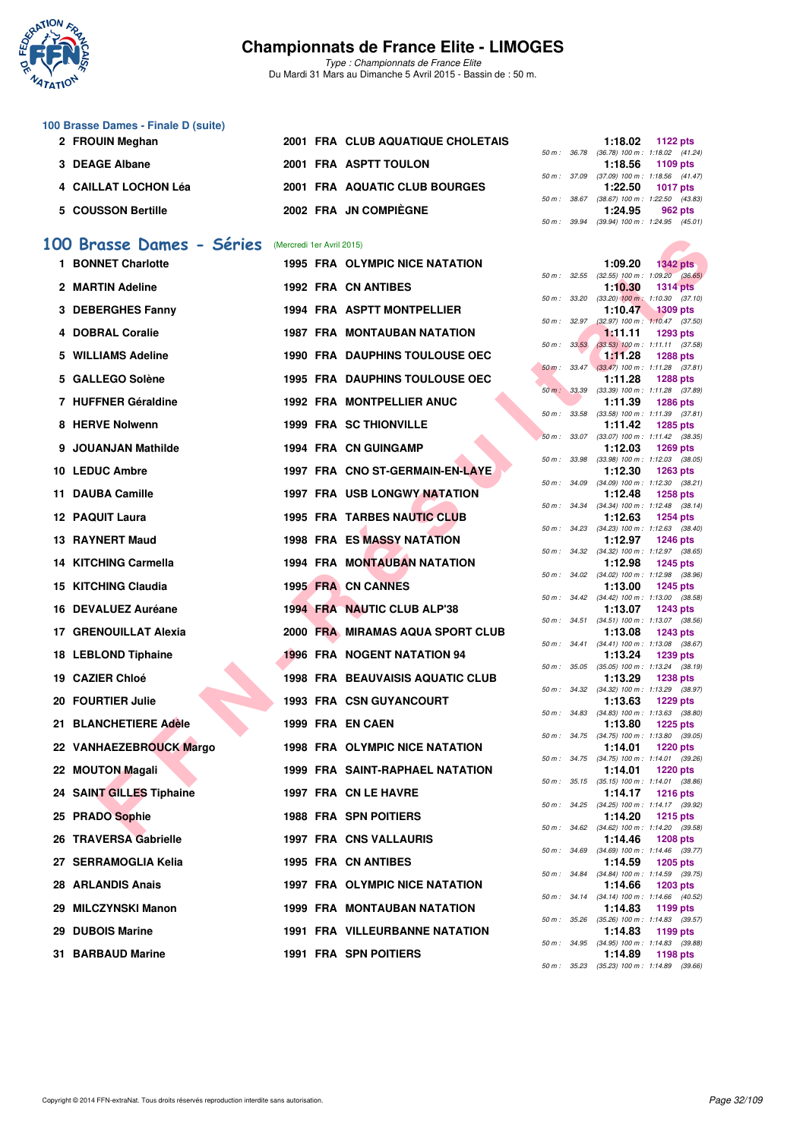

*Type : Championnats de France Elite* Du Mardi 31 Mars au Dimanche 5 Avril 2015 - Bassin de : 50 m.

| 100 Brasse Dames - Finale D (suite) |                                   |              |                                                                                                                                                                                                                                                                                                                                                                                      |
|-------------------------------------|-----------------------------------|--------------|--------------------------------------------------------------------------------------------------------------------------------------------------------------------------------------------------------------------------------------------------------------------------------------------------------------------------------------------------------------------------------------|
| 2 FROUIN Meghan                     | 2001 FRA CLUB AQUATIQUE CHOLETAIS |              | 1:18.02<br>1122 pts                                                                                                                                                                                                                                                                                                                                                                  |
|                                     |                                   |              | 50 m: 36.78 (36.78) 100 m: 1:18.02 (41.                                                                                                                                                                                                                                                                                                                                              |
| 3 DEAGE Albane                      | 2001 FRA ASPTT TOULON             |              | 1:18.56<br>1109 pts                                                                                                                                                                                                                                                                                                                                                                  |
|                                     |                                   |              | 50 m: 37.09 (37.09) 100 m: 1:18.56 (41.                                                                                                                                                                                                                                                                                                                                              |
| 4 CAILLAT LOCHON Léa                | 2001 FRA AQUATIC CLUB BOURGES     |              | 1:22.50<br>1017 pts                                                                                                                                                                                                                                                                                                                                                                  |
|                                     |                                   | 50 m : 38.67 | (38.67) 100 m : 1:22.50 (43.                                                                                                                                                                                                                                                                                                                                                         |
| 5 COUSSON Bertille                  | 2002 FRA JN COMPIÈGNE             |              | 1:24.95<br>962 pts                                                                                                                                                                                                                                                                                                                                                                   |
|                                     |                                   |              | $\overline{a}$ $\overline{a}$ $\overline{a}$ $\overline{a}$ $\overline{a}$ $\overline{a}$ $\overline{a}$ $\overline{a}$ $\overline{a}$ $\overline{a}$ $\overline{a}$ $\overline{a}$ $\overline{a}$ $\overline{a}$ $\overline{a}$ $\overline{a}$ $\overline{a}$ $\overline{a}$ $\overline{a}$ $\overline{a}$ $\overline{a}$ $\overline{a}$ $\overline{a}$ $\overline{a}$ $\overline{$ |

#### **[100 Brasse Dames - Séries](http://www.ffnatation.fr/webffn/resultats.php?idact=nat&go=epr&idcpt=27187&idepr=22)** (Mercredi 1er Avril 2015)

| 00 Brasse Dames - Séries | (Mercredi 1er Avril 2015) |                                         |              |                |                                                                          |
|--------------------------|---------------------------|-----------------------------------------|--------------|----------------|--------------------------------------------------------------------------|
| 1 BONNET Charlotte       |                           | <b>1995 FRA OLYMPIC NICE NATATION</b>   |              | 1:09.20        | $1342$ pts                                                               |
| 2 MARTIN Adeline         |                           | 1992 FRA CN ANTIBES                     |              | 1:10.30        | 50 m : 32.55 (32.55) 100 m : 1:09.20 (36.65)<br><b>1314 pts</b>          |
| 3 DEBERGHES Fanny        |                           | <b>1994 FRA ASPTT MONTPELLIER</b>       | 50 m : 33.20 | 1:10.47        | $(33.20)$ 100 m : 1:10.30 $(37.10)$<br><b>1309 pts</b>                   |
|                          |                           |                                         | 50 m: 32.97  |                | $(32.97)$ 100 m : 1:10.47 $(37.50)$                                      |
| 4 DOBRAL Coralie         |                           | <b>1987 FRA MONTAUBAN NATATION</b>      | 50 m: 33.53  | 1:11.11        | 1293 pts<br>$(33.53)$ 100 m : 1:11.11 $(37.58)$                          |
| 5 WILLIAMS Adeline       |                           | <b>1990 FRA DAUPHINS TOULOUSE OEC</b>   |              | <b>1:11.28</b> | <b>1288 pts</b>                                                          |
| 5 GALLEGO Solène         |                           | 1995 FRA DAUPHINS TOULOUSE OEC          |              | 1:11.28        | 50 m: 33.47 (33.47) 100 m: 1:11.28 (37.81)<br><b>1288 pts</b>            |
|                          |                           |                                         |              |                | 50 m : 33.39 (33.39) 100 m : 1:11.28 (37.89)                             |
| 7 HUFFNER Géraldine      |                           | <b>1992 FRA MONTPELLIER ANUC</b>        | 50 m : 33.58 | 1:11.39        | <b>1286 pts</b><br>$(33.58)$ 100 m : 1:11.39 $(37.81)$                   |
| 8 HERVE Nolwenn          |                           | 1999 FRA SC THIONVILLE                  |              | 1:11.42        | <b>1285 pts</b>                                                          |
| 9 JOUANJAN Mathilde      |                           | 1994 FRA CN GUINGAMP                    |              | 1:12.03        | 50 m: 33.07 (33.07) 100 m: 1:11.42 (38.35)<br><b>1269 pts</b>            |
| 10 LEDUC Ambre           |                           | 1997 FRA CNO ST-GERMAIN-EN-LAYE         | 50 m : 33.98 |                | $(33.98)$ 100 m : 1:12.03 $(38.05)$                                      |
|                          |                           |                                         | 50 m : 34.09 | 1:12.30        | <b>1263 pts</b><br>$(34.09)$ 100 m : 1:12.30 $(38.21)$                   |
| 11 DAUBA Camille         |                           | <b>1997 FRA USB LONGWY NATATION</b>     |              | 1:12.48        | <b>1258 pts</b>                                                          |
| <b>12 PAQUIT Laura</b>   |                           | 1995 FRA TARBES NAUTIC CLUB             |              | 1:12.63        | 50 m: 34.34 (34.34) 100 m: 1:12.48 (38.14)<br><b>1254 pts</b>            |
|                          |                           |                                         |              |                | 50 m: 34.23 (34.23) 100 m: 1:12.63 (38.40)                               |
| 13 RAYNERT Maud          |                           | <b>1998 FRA ES MASSY NATATION</b>       |              | 1:12.97        | <b>1246 pts</b><br>50 m: 34.32 (34.32) 100 m: 1:12.97 (38.65)            |
| 14 KITCHING Carmella     |                           | <b>1994 FRA MONTAUBAN NATATION</b>      |              | 1:12.98        | <b>1245 pts</b>                                                          |
|                          |                           |                                         |              |                | 50 m: 34.02 (34.02) 100 m: 1:12.98 (38.96)                               |
| 15 KITCHING Claudia      |                           | 1995 FRA CN CANNES                      |              | 1:13.00        | <b>1245 pts</b><br>50 m: 34.42 (34.42) 100 m: 1:13.00 (38.58)            |
| 16 DEVALUEZ Auréane      |                           | 1994 FRA NAUTIC CLUB ALP'38             |              | 1:13.07        | <b>1243 pts</b>                                                          |
| 17 GRENOUILLAT Alexia    |                           | 2000 FRA MIRAMAS AQUA SPORT CLUB        |              | 1:13.08        | 50 m: 34.51 (34.51) 100 m: 1:13.07 (38.56)<br><b>1243 pts</b>            |
|                          |                           |                                         |              |                | 50 m: 34.41 (34.41) 100 m: 1:13.08 (38.67)                               |
| 18 LEBLOND Tiphaine      |                           | 1996 FRA NOGENT NATATION 94             |              | 1:13.24        | <b>1239 pts</b><br>50 m: 35.05 (35.05) 100 m: 1:13.24 (38.19)            |
| 19 CAZIER Chloé          |                           | <b>1998 FRA BEAUVAISIS AQUATIC CLUB</b> |              | 1:13.29        | <b>1238 pts</b>                                                          |
| 20 FOURTIER Julie        |                           | <b>1993 FRA CSN GUYANCOURT</b>          |              | 1:13.63        | 50 m: 34.32 (34.32) 100 m: 1:13.29 (38.97)<br><b>1229 pts</b>            |
|                          |                           |                                         |              |                | 50 m: 34.83 (34.83) 100 m: 1:13.63 (38.80)                               |
| 21 BLANCHETIERE Adèle    |                           | 1999 FRA EN CAEN                        | 50 m : 34.75 | 1:13.80        | <b>1225 pts</b><br>$(34.75)$ 100 m : 1:13.80 $(39.05)$                   |
| 22 VANHAEZEBROUCK Margo  |                           | <b>1998 FRA OLYMPIC NICE NATATION</b>   |              | 1:14.01        | <b>1220 pts</b>                                                          |
| 22 MOUTON Magali         |                           | <b>1999 FRA SAINT-RAPHAEL NATATION</b>  |              | 1:14.01        | 50 m: 34.75 (34.75) 100 m: 1:14.01 (39.26)<br><b>1220 pts</b>            |
|                          |                           |                                         |              |                | 50 m: 35.15 (35.15) 100 m: 1:14.01 (38.86)                               |
| 24 SAINT GILLES Tiphaine |                           | 1997 FRA CN LE HAVRE                    |              | 1:14.17        | 1216 pts<br>50 m: 34.25 (34.25) 100 m: 1:14.17 (39.92)                   |
| 25 PRADO Sophie          |                           | <b>1988 FRA SPN POITIERS</b>            |              | 1:14.20        | 1215 $pts$                                                               |
| 26 TRAVERSA Gabrielle    |                           | <b>1997 FRA CNS VALLAURIS</b>           |              | 1:14.46        | 50 m: 34.62 (34.62) 100 m: 1:14.20 (39.58)<br>1208 pts                   |
|                          |                           |                                         |              |                | 50 m: 34.69 (34.69) 100 m: 1:14.46 (39.77)                               |
| 27 SERRAMOGLIA Kelia     |                           | 1995 FRA CN ANTIBES                     |              | 1:14.59        | 1205 pts<br>50 m: 34.84 (34.84) 100 m: 1:14.59 (39.75)                   |
| <b>28 ARLANDIS Anais</b> |                           | <b>1997 FRA OLYMPIC NICE NATATION</b>   |              | 1:14.66        | 1203 pts                                                                 |
| 29 MILCZYNSKI Manon      |                           | <b>1999 FRA MONTAUBAN NATATION</b>      |              | 1:14.83        | 50 m: 34.14 (34.14) 100 m: 1:14.66 (40.52)<br>1199 pts                   |
|                          |                           |                                         |              |                | 50 m: 35.26 (35.26) 100 m: 1:14.83 (39.57)                               |
| 29 DUBOIS Marine         |                           | 1991 FRA VILLEURBANNE NATATION          |              | 1:14.83        | 1199 pts<br>50 m: 34.95 (34.95) 100 m: 1:14.83 (39.88)                   |
| 31 BARBAUD Marine        |                           | 1991 FRA SPN POITIERS                   |              | 1:14.89        | 1198 pts                                                                 |
|                          |                           |                                         |              |                | $50 \text{ m}$ : $35.23$ $(35.23)$ $100 \text{ m}$ : $1:14.89$ $(39.66)$ |

|  | 1:18.02 $1122 \text{ pts}$                 |
|--|--------------------------------------------|
|  | 50 m: 36.78 (36.78) 100 m: 1:18.02 (41.24) |
|  | $1:18.56$ 1109 pts                         |
|  | 50 m: 37.09 (37.09) 100 m: 1:18.56 (41.47) |
|  |                                            |
|  | 1:22.50 1017 pts                           |
|  | 50 m: 38.67 (38.67) 100 m: 1:22.50 (43.83) |
|  | $1:24.95$ 962 pts                          |

|          |       | 1:09.20                      | 1342 pts                       |
|----------|-------|------------------------------|--------------------------------|
| $50 m$ : | 32.55 | $(32.55)$ 100 m :            | 1:09.20<br>(36.65)             |
|          |       | 1:10.30                      | <b>1314 pts</b>                |
| $50 m$ : | 33.20 | $(33.20)$ 100 m :            | 1:10.30<br>(37.10)             |
|          |       | 1:10.47                      | <b>1309 pts</b>                |
| $50 m$ : | 32.97 | $(32.97)$ 100 m :            | 1:10.47<br>(37.50)             |
|          |       | 1:11.11                      | 1293 pts                       |
| $50 m$ : | 33.53 | $(33.53)$ 100 m :            | 1:11.11<br>(37.58)             |
|          |       | 1:11.28                      | <b>1288 pts</b>                |
| $50 m$ : | 33.47 | $(33.47)$ 100 m :            | 1:11.28<br>(37.81)             |
|          |       | 1:11.28                      | 1288 pts                       |
| $50 m$ : | 33.39 | $(33.39)$ 100 m :            | 1:11.28 (37.89)                |
|          |       | 1:11.39                      | <b>1286 pts</b>                |
| $50 m$ : | 33.58 | $(33.58)$ 100 m :            | 1:11.39<br>(37.81)             |
|          |       | 1:11.42                      | 1285 pts                       |
| $50 m$ : | 33.07 | $(33.07)$ 100 m :            | 1:11.42<br>(38.35)             |
|          |       | 1:12.03                      | 1269 pts                       |
| 50 m :   | 33.98 | $(33.98) 100 m$ :            | 1:12.03<br>(38.05)             |
|          |       | 1:12.30                      | <b>1263 pts</b>                |
| $50 m$ : | 34.09 | (34.09) 100 m :              | 1:12.30<br>(38.21)             |
|          |       | 1:12.48                      | <b>1258 pts</b>                |
| $50 m$ : | 34.34 | $(34.34) 100 m$ :            | 1:12.48 (38.14)                |
|          |       | 1:12.63                      | <b>1254 pts</b>                |
| $50 m$ : | 34.23 | $(34.23)$ 100 m :            | 1:12.63 (38.40)                |
|          |       | 1:12.97                      | <b>1246 pts</b>                |
| $50 m$ : | 34.32 | $(34.32)$ 100 m :            | 1:12.97 (38.65)                |
|          |       | 1:12.98                      | 1245 pts                       |
| $50 m$ : | 34.02 | (34.02) 100 m :              | 1:12.98<br>(38.96)             |
|          |       | 1:13.00                      | <b>1245 pts</b>                |
| 50 m :   | 34.42 | $(34.42)$ 100 m :            | 1:13.00<br>(38.58)             |
|          |       | 1:13.07                      | <b>1243 pts</b>                |
| $50 m$ : | 34.51 | $(34.51)$ 100 m :            | 1:13.07<br>(38.56)             |
|          |       | 1:13.08                      | <b>1243 pts</b>                |
| $50 m$ : | 34.41 | (34.41) 100 m :              | 1:13.08<br>(38.67)             |
|          |       | 1:13.24                      | 1239 pts                       |
| 50 m :   | 35.05 | $(35.05)$ 100 m :            | 1:13.24 (38.19)                |
|          |       | 1:13.29                      | <b>1238 pts</b>                |
| $50 m$ : | 34.32 | (34.32) 100 m :              | 1:13.29<br>(38.97)             |
|          |       | 1:13.63                      | 1229 pts                       |
| $50 m$ : | 34.83 | $(34.83) 100 m$ :<br>1:13.80 | 1:13.63<br>(38.80)<br>1225 pts |
| 50 m :   | 34.75 | $(34.75)$ 100 m :            | (39.05)<br>1:13.80             |
|          |       | 1:14.01                      | <b>1220 pts</b>                |
| $50 m$ : | 34.75 | $(34.75) 100 m$ :            | 1:14.01<br>(39.26)             |
|          |       | 1:14.01                      | <b>1220 pts</b>                |
| $50 m$ : | 35.15 | $(35.15) 100 m$ :            | 1:14.01<br>(38.86)             |
|          |       | 1:14.17                      | <b>1216 pts</b>                |
| $50 m$ : | 34.25 | $(34.25)$ 100 m :            | 1:14.17 (39.92)                |
|          |       | 1:14.20                      | <b>1215 pts</b>                |
| $50 m$ : | 34.62 | (34.62) 100 m :              | 1:14.20 (39.58)                |
|          |       | 1:14.46                      | 1208 pts                       |
| 50 m :   | 34.69 | $(34.69)$ 100 m :            | 1:14.46 (39.77)                |
|          |       | 1:14.59                      | <b>1205 pts</b>                |
| 50 m :   | 34.84 | $(34.84) 100 m$ :            | 1:14.59<br>(39.75)             |
|          |       | 1:14.66                      | 1203 pts                       |
| $50 m$ : | 34.14 | (34.14) 100 m:               | 1:14.66<br>(40.52)             |
|          |       | 1:14.83                      | 1199 pts                       |
| $50 m$ : | 35.26 | $(35.26) 100 m$ :            | 1:14.83<br>(39.57)             |
|          |       | 1:14.83                      | 1199 pts                       |
| $50 m$ : | 34.95 | $(34.95)$ 100 m :            | 1:14.83<br>(39.88)             |
|          |       | 1:14.89                      | 1198 pts                       |
| 50 m :   | 35.23 | $(35.23)$ 100 m :            | 1:14.89<br>(39.66)             |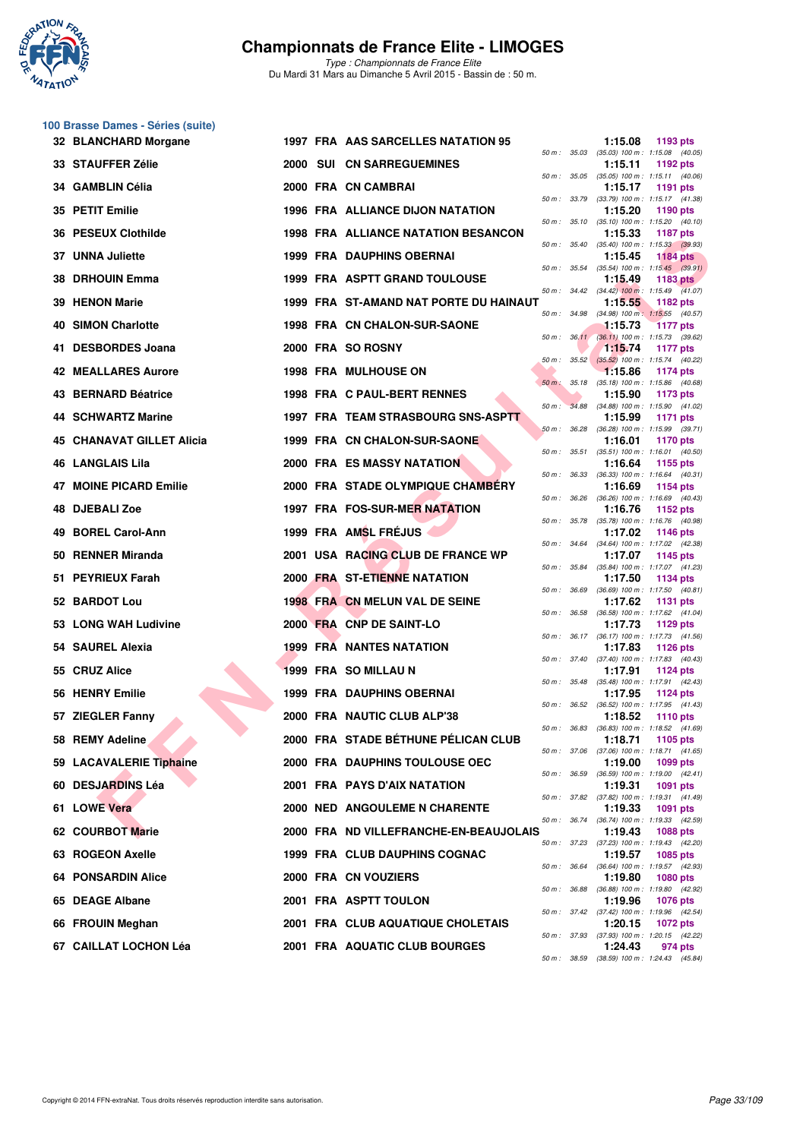

**100 Brasse Dames - Séries (suite)**

# **Championnats de France Elite - LIMOGES**

|    | 32 BLANCHARD Morgane             |  | 1997 FRA AAS SARCELLES NATATION 95         |                  |                  | 1:15.08 | 1193 pts                                                 |
|----|----------------------------------|--|--------------------------------------------|------------------|------------------|---------|----------------------------------------------------------|
|    | 33 STAUFFER Zélie                |  | <b>2000 SUI CN SARREGUEMINES</b>           |                  | 50 m : 35.03     | 1:15.11 | $(35.03)$ 100 m : 1:15.08 $(40.05)$<br>1192 $pts$        |
|    | 34 GAMBLIN Célia                 |  | 2000 FRA CN CAMBRAI                        |                  | 50 m : 35.05     | 1:15.17 | $(35.05)$ 100 m : 1:15.11 $(40.06)$<br>1191 pts          |
|    | 35 PETIT Emilie                  |  | <b>1996 FRA ALLIANCE DIJON NATATION</b>    | 50 m : 33.79     |                  | 1:15.20 | (33.79) 100 m: 1:15.17 (41.38)<br>1190 pts               |
|    | 36 PESEUX Clothilde              |  | <b>1998 FRA ALLIANCE NATATION BESANCON</b> | 50 m: 35.10      |                  | 1:15.33 | $(35.10)$ 100 m : 1:15.20 $(40.10)$<br><b>1187 pts</b>   |
|    | 37 UNNA Juliette                 |  | 1999 FRA DAUPHINS OBERNAI                  |                  | 50 m : 35.40     | 1:15.45 | $(35.40)$ 100 m : 1:15.33 $(39.93)$<br><b>1184 pts</b>   |
|    | 38 DRHOUIN Emma                  |  | 1999 FRA ASPTT GRAND TOULOUSE              |                  | 50 m : 35.54     | 1:15.49 | $(35.54)$ 100 m : 1:15.45 $(39.91)$<br>1183 pts          |
|    | 39 HENON Marie                   |  | 1999 FRA ST-AMAND NAT PORTE DU HAINAUT     |                  |                  | 1:15.55 | 50 m: 34.42 (34.42) 100 m: 1:15.49 (41.07)<br>1182 pts   |
|    | 40 SIMON Charlotte               |  | <b>1998 FRA CN CHALON-SUR-SAONE</b>        |                  | 50 m : 34.98     | 1:15.73 | $(34.98)$ 100 m : 1:15.55 $(40.57)$<br><b>1177 pts</b>   |
| 41 | <b>DESBORDES Joana</b>           |  | 2000 FRA SO ROSNY                          |                  | 50 m: 36.11      | 1:15.74 | (36.11) 100 m : 1:15.73 (39.62)<br><b>1177 pts</b>       |
|    | <b>42 MEALLARES Aurore</b>       |  | <b>1998 FRA MULHOUSE ON</b>                |                  | $50 m$ : $35.52$ | 1:15.86 | $(35.52)$ 100 m : 1:15.74 $(40.22)$<br>1174 pts          |
|    | 43 BERNARD Béatrice              |  | 1998 FRA C PAUL-BERT RENNES                | 50 m: 35.18      |                  | 1:15.90 | $(35.18)$ 100 m : 1:15.86 $(40.68)$<br>1173 pts          |
|    | <b>44 SCHWARTZ Marine</b>        |  | 1997 FRA TEAM STRASBOURG SNS-ASPTT         |                  |                  | 1:15.99 | 50 m: 34.88 (34.88) 100 m: 1:15.90 (41.02)<br>1171 pts   |
|    | <b>45 CHANAVAT GILLET Alicia</b> |  | 1999 FRA CN CHALON-SUR-SAONE               | $50 m$ : $36.28$ |                  | 1:16.01 | $(36.28)$ 100 m : 1:15.99 $(39.71)$<br><b>1170 pts</b>   |
|    | 46 LANGLAIS Lila                 |  | <b>2000 FRA ES MASSY NATATION</b>          |                  | 50 m : 35.51     | 1:16.64 | $(35.51)$ 100 m : 1:16.01 $(40.50)$<br>1155 pts          |
|    | <b>47 MOINE PICARD Emilie</b>    |  | 2000 FRA STADE OLYMPIQUE CHAMBERY          | 50 m: 36.33      |                  | 1:16.69 | $(36.33)$ 100 m : 1:16.64 $(40.31)$<br>1154 pts          |
| 48 | <b>DJEBALI Zoe</b>               |  | 1997 FRA FOS-SUR-MER NATATION              | 50 m : 36.26     |                  | 1:16.76 | (36.26) 100 m: 1:16.69 (40.43)<br>1152 $pts$             |
|    | 49 BOREL Carol-Ann               |  | 1999 FRA AMSL FRÉJUS                       |                  |                  | 1:17.02 | 50 m: 35.78 (35.78) 100 m: 1:16.76 (40.98)<br>1146 pts   |
|    | 50 RENNER Miranda                |  | 2001 USA RACING CLUB DE FRANCE WP          |                  | 50 m : 34.64     | 1:17.07 | $(34.64)$ 100 m : 1:17.02 $(42.38)$<br>1145 pts          |
|    | 51 PEYRIEUX Farah                |  | 2000 FRA ST-ETIENNE NATATION               |                  |                  | 1:17.50 | 50 m: 35.84 (35.84) 100 m: 1:17.07 (41.23)<br>1134 pts   |
|    | 52 BARDOT Lou                    |  | 1998 FRA CN MELUN VAL DE SEINE             | 50 m : 36.69     |                  | 1:17.62 | $(36.69)$ 100 m : 1:17.50 $(40.81)$<br>1131 pts          |
|    | 53 LONG WAH Ludivine             |  | 2000 FRA CNP DE SAINT-LO                   |                  | 50 m : 36.58     | 1:17.73 | $(36.58)$ 100 m : 1:17.62 $(41.04)$<br>1129 $pts$        |
|    | 54 SAUREL Alexia                 |  | <b>1999 FRA NANTES NATATION</b>            |                  | 50 m : 36.17     | 1:17.83 | (36.17) 100 m: 1:17.73 (41.56)<br>1126 $pts$             |
|    | 55 CRUZ Alice                    |  | 1999 FRA SO MILLAU N                       |                  | 50 m : 37.40     | 1:17.91 | $(37.40)$ 100 m : 1:17.83 $(40.43)$<br>1124 $pts$        |
|    | 56 HENRY Emilie                  |  | <b>1999 FRA DAUPHINS OBERNAI</b>           |                  |                  | 1:17.95 | 50 m: 35.48 (35.48) 100 m: 1:17.91 (42.43)<br>1124 $pts$ |
|    | 57 ZIEGLER Fanny                 |  | 2000 FRA NAUTIC CLUB ALP'38                |                  | 50 m : 36.52     | 1:18.52 | $(36.52)$ 100 m : 1:17.95 $(41.43)$<br>1110 pts          |
|    | 58 REMY Adeline                  |  | 2000 FRA STADE BÉTHUNE PÉLICAN CLUB        | 50 m : 36.83     |                  | 1:18.71 | $(36.83)$ 100 m : 1:18.52 $(41.69)$<br>1105 pts          |
|    | 59 LACAVALERIE Tiphaine          |  | 2000 FRA DAUPHINS TOULOUSE OEC             |                  |                  | 1:19.00 | 50 m : 37.06 (37.06) 100 m : 1:18.71 (41.65)<br>1099 pts |
|    | 60 DESJARDINS Léa                |  | 2001 FRA PAYS D'AIX NATATION               |                  | 50 m : 36.59     | 1:19.31 | $(36.59)$ 100 m : 1:19.00 $(42.41)$<br><b>1091 pts</b>   |
|    | 61 LOWE Vera                     |  | <b>2000 NED ANGOULEME N CHARENTE</b>       |                  |                  | 1:19.33 | 50 m: 37.82 (37.82) 100 m: 1:19.31 (41.49)<br>1091 pts   |
|    | 62 COURBOT Marie                 |  | 2000 FRA ND VILLEFRANCHE-EN-BEAUJOLAIS     |                  |                  | 1:19.43 | 50 m: 36.74 (36.74) 100 m: 1:19.33 (42.59)<br>1088 pts   |
|    | 63 ROGEON Axelle                 |  | 1999 FRA CLUB DAUPHINS COGNAC              |                  |                  | 1:19.57 | 50 m: 37.23 (37.23) 100 m: 1:19.43 (42.20)<br>1085 pts   |
|    | <b>64 PONSARDIN Alice</b>        |  | 2000 FRA CN VOUZIERS                       |                  |                  | 1:19.80 | 50 m: 36.64 (36.64) 100 m: 1:19.57 (42.93)<br>1080 pts   |
|    | 65 DEAGE Albane                  |  | 2001 FRA ASPTT TOULON                      |                  | 50 m : 36.88     | 1:19.96 | (36.88) 100 m: 1:19.80 (42.92)<br>1076 pts               |
|    | 66 FROUIN Meghan                 |  | 2001 FRA CLUB AQUATIQUE CHOLETAIS          |                  |                  | 1:20.15 | 50 m: 37.42 (37.42) 100 m: 1:19.96 (42.54)<br>1072 pts   |
|    | 67 CAILLAT LOCHON Léa            |  | 2001 FRA AQUATIC CLUB BOURGES              |                  |                  | 1:24.43 | 50 m : 37.93 (37.93) 100 m : 1:20.15 (42.22)<br>974 pts  |
|    |                                  |  |                                            |                  |                  |         | 50 m: 38.59 (38.59) 100 m: 1:24.43 (45.84)               |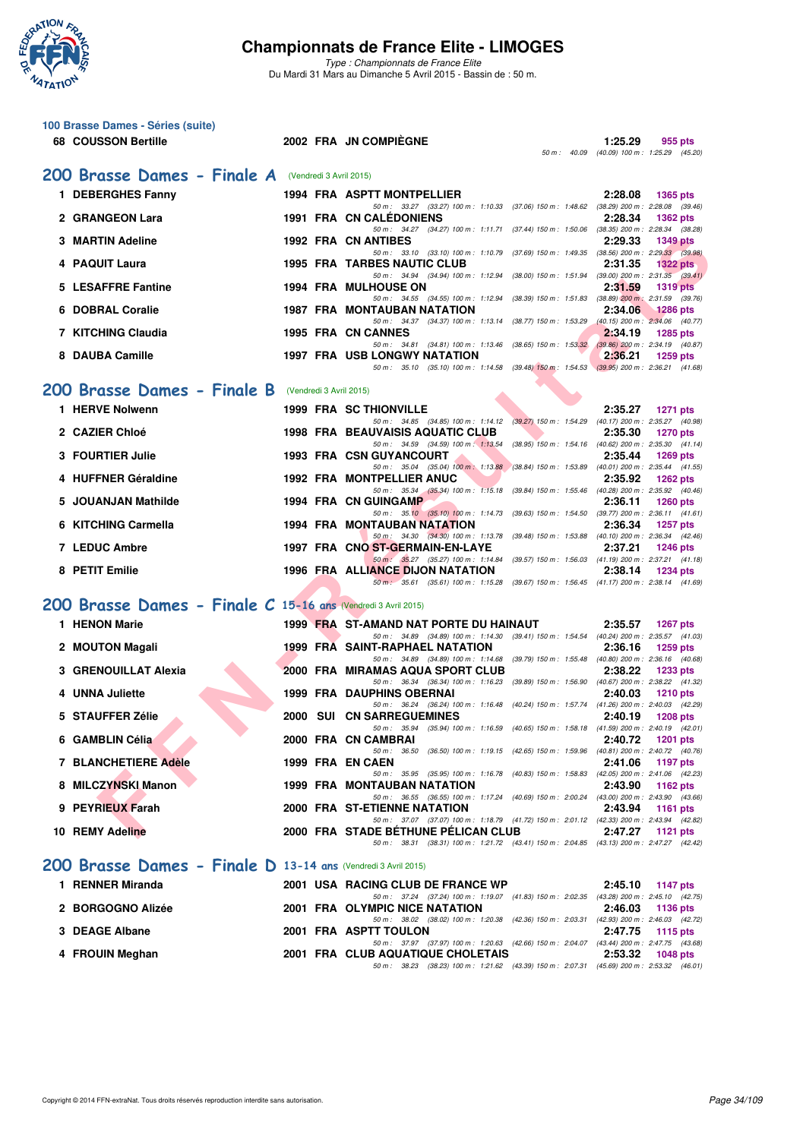

| 100 Brasse Dames - Séries (suite)<br>68 COUSSON Bertille      |                         | 2002 FRA JN COMPIEGNE                                                                                                               |             | 1:25.29                                    |
|---------------------------------------------------------------|-------------------------|-------------------------------------------------------------------------------------------------------------------------------------|-------------|--------------------------------------------|
|                                                               |                         |                                                                                                                                     | 50 m: 40.09 | 955 pts<br>(40.09) 100 m : 1:25.29 (45.20) |
| 200 Brasse Dames - Finale A (Vendredi 3 Avril 2015)           |                         |                                                                                                                                     |             |                                            |
| 1 DEBERGHES Fanny                                             |                         | <b>1994 FRA ASPTT MONTPELLIER</b>                                                                                                   |             | 2:28.08<br><b>1365 pts</b>                 |
| 2 GRANGEON Lara                                               |                         | 50 m: 33.27 (33.27) 100 m: 1:10.33 (37.06) 150 m: 1:48.62 (38.29) 200 m: 2:28.08 (39.46)<br><b>1991 FRA CN CALEDONIENS</b>          |             | 2:28.34<br><b>1362 pts</b>                 |
| 3 MARTIN Adeline                                              |                         | 50 m: 34.27 (34.27) 100 m: 1:11.71 (37.44) 150 m: 1:50.06 (38.35) 200 m: 2:28.34 (38.28)<br><b>1992 FRA CN ANTIBES</b>              |             | 2:29.33<br>1349 pts                        |
| 4 PAQUIT Laura                                                |                         | 50 m: 33.10 (33.10) 100 m: 1:10.79 (37.69) 150 m: 1:49.35 (38.56) 200 m: 2:29.33 (39.98)<br><b>1995 FRA TARBES NAUTIC CLUB</b>      |             | 2:31.35<br><b>1322 pts</b>                 |
| 5 LESAFFRE Fantine                                            |                         | 50 m: 34.94 (34.94) 100 m: 1:12.94 (38.00) 150 m: 1:51.94 (39.00) 200 m: 2:31.35 (39.41)<br><b>1994 FRA MULHOUSE ON</b>             |             | 2:31.59<br><b>1319 pts</b>                 |
| 6 DOBRAL Coralie                                              |                         | 50 m: 34.55 (34.55) 100 m: 1:12.94 (38.39) 150 m: 1:51.83 (38.89) 200 m: 2:31.59 (39.76)<br><b>1987 FRA MONTAUBAN NATATION</b>      |             | 2:34.06<br><b>1286 pts</b>                 |
|                                                               |                         | 50 m: 34.37 (34.37) 100 m: 1:13.14 (38.77) 150 m: 1:53.29 (40.15) 200 m: 2:34.06 (40.77)                                            |             |                                            |
| 7 KITCHING Claudia                                            |                         | <b>1995 FRA CN CANNES</b><br>50 m: 34.81 (34.81) 100 m: 1:13.46 (38.65) 150 m: 1:53.32 (39.86) 200 m: 2:34.19 (40.87)               |             | 2:34.19<br><b>1285 pts</b>                 |
| 8 DAUBA Camille                                               |                         | <b>1997 FRA USB LONGWY NATATION</b><br>50 m: 35.10 (35.10) 100 m: 1:14.58 (39.48) 150 m: 1:54.53 (39.95) 200 m: 2:36.21 (41.68)     |             | 2:36.21<br>1259 pts                        |
| 200 Brasse Dames - Finale B                                   | (Vendredi 3 Avril 2015) |                                                                                                                                     |             |                                            |
| 1 HERVE Nolwenn                                               |                         | <b>1999 FRA SC THIONVILLE</b>                                                                                                       |             | 2:35.27<br><b>1271 pts</b>                 |
| 2 CAZIER Chloé                                                |                         | 50 m: 34.85 (34.85) 100 m: 1:14.12 (39.27) 150 m: 1:54.29 (40.17) 200 m: 2:35.27 (40.98)<br><b>1998 FRA BEAUVAISIS AQUATIC CLUB</b> |             | 2:35.30<br><b>1270 pts</b>                 |
| 3 FOURTIER Julie                                              |                         | 50 m: 34.59 (34.59) 100 m: 1:13.54 (38.95) 150 m: 1:54.16 (40.62) 200 m: 2:35.30 (41.14)<br><b>1993 FRA CSN GUYANCOURT</b>          |             | 2:35.44<br><b>1269 pts</b>                 |
| 4 HUFFNER Géraldine                                           |                         | 50 m: 35.04 (35.04) 100 m: 1:13.88 (38.84) 150 m: 1:53.89 (40.01) 200 m: 2:35.44 (41.55)<br><b>1992 FRA MONTPELLIER ANUC</b>        |             | 2:35.92<br><b>1262 pts</b>                 |
| 5 JOUANJAN Mathilde                                           |                         | 50 m: 35.34 (35.34) 100 m: 1:15.18 (39.84) 150 m: 1:55.46 (40.28) 200 m: 2:35.92 (40.46)                                            |             |                                            |
|                                                               |                         | 1994 FRA CN GUINGAMP<br>50 m: 35.10 (35.10) 100 m: 1:14.73 (39.63) 150 m: 1:54.50 (39.77) 200 m: 2:36.11 (41.61)                    |             | 2:36.11<br><b>1260 pts</b>                 |
| 6 KITCHING Carmella                                           |                         | 1994 FRA MONTAUBAN NATATION<br>50 m: 34.30 (34.30) 100 m: 1:13.78 (39.48) 150 m: 1:53.88 (40.10) 200 m: 2:36.34 (42.46)             |             | 2:36.34<br><b>1257 pts</b>                 |
| <b>7 LEDUC Ambre</b>                                          |                         | 1997 FRA CNO ST-GERMAIN-EN-LAYE<br>50 m : 35.27 (35.27) 100 m : 1:14.84 (39.57) 150 m : 1:56.03 (41.19) 200 m : 2:37.21 (41.18)     |             | 2:37.21<br><b>1246 pts</b>                 |
| 8 PETIT Emilie                                                |                         | 1996 FRA ALLIANCE DIJON NATATION<br>50 m: 35.61 (35.61) 100 m: 1:15.28 (39.67) 150 m: 1:56.45 (41.17) 200 m: 2:38.14 (41.69)        |             | 2:38.14<br><b>1234 pts</b>                 |
| 200 Brasse Dames - Finale C 15-16 ans (Vendredi 3 Avril 2015) |                         |                                                                                                                                     |             |                                            |
| 1 HENON Marie                                                 |                         | 1999 FRA ST-AMAND NAT PORTE DU HAINAUT                                                                                              |             | 2:35.57<br><b>1267 pts</b>                 |
| 2 MOUTON Magali                                               |                         | 50 m: 34.89 (34.89) 100 m: 1:14.30 (39.41) 150 m: 1:54.54 (40.24) 200 m: 2:35.57 (41.03)<br><b>1999 FRA SAINT-RAPHAEL NATATION</b>  |             | 2:36.16<br><b>1259 pts</b>                 |
| 3 GRENOUILLAT Alexia                                          |                         | 50 m: 34.89 (34.89) 100 m: 1:14.68 (39.79) 150 m: 1:55.48 (40.80) 200 m: 2:36.16 (40.68)<br>2000 FRA MIRAMAS AQUA SPORT CLUB        |             | 2:38.22                                    |
|                                                               |                         | 50 m: 36.34 (36.34) 100 m: 1:16.23 (39.89) 150 m: 1:56.90 (40.67) 200 m: 2:38.22 (41.32)                                            |             | <b>1233 pts</b>                            |
| 4 UNNA Juliette                                               |                         | 1999 FRA DAUPHINS OBERNAI<br>50 m: 36.24 (36.24) 100 m: 1:16.48 (40.24) 150 m: 1:57.74 (41.26) 200 m: 2:40.03 (42.29)               |             | 2:40.03<br><b>1210 pts</b>                 |
| 5 STAUFFER Zélie                                              |                         | 2000 SUI CN SARREGUEMINES<br>50 m : 35.94 (35.94) 100 m : 1:16.59 (40.65) 150 m : 1:58.18 (41.59) 200 m : 2:40.19 (42.01)           |             | 2:40.19<br><b>1208 pts</b>                 |
| 6 GAMBLIN Célia                                               |                         | 2000 FRA CN CAMBRAI<br>50 m: 36.50 (36.50) 100 m: 1:19.15 (42.65) 150 m: 1:59.96 (40.81) 200 m: 2:40.72 (40.76)                     |             | 2:40.72<br>1201 pts                        |
| 7 BLANCHETIERE Adèle                                          |                         | 1999 FRA EN CAEN<br>50 m: 35.95 (35.95) 100 m: 1:16.78 (40.83) 150 m: 1:58.83 (42.05) 200 m: 2:41.06 (42.23)                        |             | 2:41.06<br>1197 pts                        |
| 8 MILCZYNSKI Manon                                            |                         | 1999 FRA MONTAUBAN NATATION<br>50 m: 36.55 (36.55) 100 m: 1:17.24 (40.69) 150 m: 2:00.24 (43.00) 200 m: 2:43.90 (43.66)             |             | 2:43.90<br>1162 pts                        |
| 9 PEYRIEUX Farah                                              |                         | 2000 FRA ST-ETIENNE NATATION                                                                                                        |             | 2:43.94<br>1161 pts                        |
| 10 REMY Adeline                                               |                         | 50 m: 37.07 (37.07) 100 m: 1:18.79 (41.72) 150 m: 2:01.12 (42.33) 200 m: 2:43.94 (42.82)<br>2000 FRA STADE BETHUNE PELICAN CLUB     |             | 2:47.27<br><b>1121 pts</b>                 |
|                                                               |                         | 50 m: 38.31 (38.31) 100 m: 1:21.72 (43.41) 150 m: 2:04.85 (43.13) 200 m: 2:47.27 (42.42)                                            |             |                                            |
| 200 Brasse Dames - Finale D 13-14 ans (Vendredi 3 Avril 2015) |                         |                                                                                                                                     |             |                                            |
| 1 RENNER Miranda                                              |                         | 2001 USA RACING CLUB DE FRANCE WP<br>50 m: 37.24 (37.24) 100 m: 1:19.07 (41.83) 150 m: 2:02.35 (43.28) 200 m: 2:45.10 (42.75)       |             | 2:45.10<br>1147 pts                        |
| 2 BORGOGNO Alizée                                             |                         | 2001 FRA OLYMPIC NICE NATATION<br>50 m: 38.02 (38.02) 100 m: 1:20.38 (42.36) 150 m: 2:03.31 (42.93) 200 m: 2:46.03 (42.72)          |             | 2:46.03<br>1136 pts                        |
| 3 DEAGE Albane                                                |                         | 2001 FRA ASPTT TOULON<br>50 m : 37.97 (37.97) 100 m : 1:20.63 (42.66) 150 m : 2:04.07 (43.44) 200 m : 2:47.75 (43.68)               |             | 2:47.75<br>1115 pts                        |
| 4 FROUIN Meghan                                               |                         | 2001 FRA CLUB AQUATIQUE CHOLETAIS<br>50 m: 38.23 (38.23) 100 m: 1:21.62 (43.39) 150 m: 2:07.31 (45.69) 200 m: 2:53.32 (46.01)       |             | 2:53.32<br>1048 pts                        |
|                                                               |                         |                                                                                                                                     |             |                                            |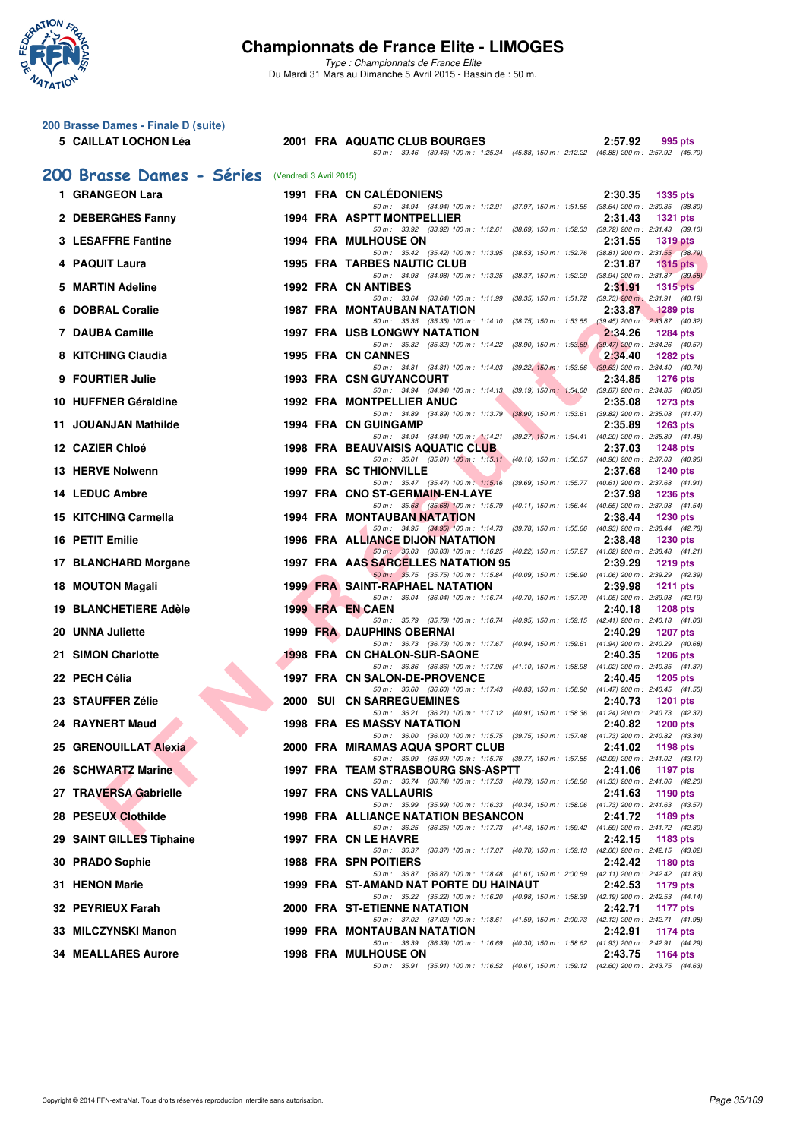

| 200 Brasse Dames - Finale D (suite)               |  |                                                                                                                                    |                            |
|---------------------------------------------------|--|------------------------------------------------------------------------------------------------------------------------------------|----------------------------|
| 5 CAILLAT LOCHON Léa                              |  | 2001 FRA AQUATIC CLUB BOURGES                                                                                                      | 2:57.92<br>995 pts         |
|                                                   |  | 50 m: 39.46 (39.46) 100 m: 1:25.34 (45.88) 150 m: 2:12.22 (46.88) 200 m: 2:57.92 (45.70)                                           |                            |
| 200 Brasse Dames - Séries (Vendredi 3 Avril 2015) |  |                                                                                                                                    |                            |
| 1 GRANGEON Lara                                   |  | <b>1991 FRA CN CALEDONIENS</b><br>50 m: 34.94 (34.94) 100 m: 1:12.91 (37.97) 150 m: 1:51.55 (38.64) 200 m: 2:30.35 (38.80)         | 2:30.35<br><b>1335 pts</b> |
| 2 DEBERGHES Fanny                                 |  | 1994 FRA ASPTT MONTPELLIER                                                                                                         | 2:31.43<br><b>1321 pts</b> |
| <b>3 LESAFFRE Fantine</b>                         |  | 50 m: 33.92 (33.92) 100 m: 1:12.61 (38.69) 150 m: 1:52.33 (39.72) 200 m: 2:31.43 (39.10)<br><b>1994 FRA MULHOUSE ON</b>            | 2:31.55<br><b>1319 pts</b> |
| 4 PAQUIT Laura                                    |  | 50 m: 35.42 (35.42) 100 m: 1:13.95 (38.53) 150 m: 1:52.76 (38.81) 200 m: 2:31.55 (38.79)<br><b>1995 FRA TARBES NAUTIC CLUB</b>     | 2:31.87<br>$1315$ pts      |
|                                                   |  | 50 m: 34.98 (34.98) 100 m: 1:13.35 (38.37) 150 m: 1:52.29 (38.94) 200 m: 2:31.87 (39.58)                                           |                            |
| 5 MARTIN Adeline                                  |  | <b>1992 FRA CN ANTIBES</b><br>50 m: 33.64 (33.64) 100 m: 1:11.99 (38.35) 150 m: 1:51.72 (39.73) 200 m: 2:31.91 (40.19)             | 2:31.91<br><b>1315 pts</b> |
| 6 DOBRAL Coralie                                  |  | 1987 FRA MONTAUBAN NATATION<br>50 m: 35.35 (35.35) 100 m: 1:14.10 (38.75) 150 m: 1:53.55 (39.45) 200 m: 2:33.87 (40.32)            | 2:33.87<br><b>1289 pts</b> |
| 7 DAUBA Camille                                   |  | 1997 FRA USB LONGWY NATATION                                                                                                       | 2:34.26<br><b>1284 pts</b> |
| 8 KITCHING Claudia                                |  | 50 m: 35.32 (35.32) 100 m: 1:14.22 (38.90) 150 m: 1:53.69 (39.47) 200 m: 2:34.26 (40.57)<br><b>1995 FRA CN CANNES</b>              | 2:34.40<br><b>1282 pts</b> |
| 9 FOURTIER Julie                                  |  | 50 m: 34.81 (34.81) 100 m: 1:14.03 (39.22) 150 m: 1:53.66 (39.63) 200 m: 2:34.40 (40.74)<br><b>1993 FRA CSN GUYANCOURT</b>         | 2:34.85<br><b>1276 pts</b> |
|                                                   |  | 50 m: 34.94 (34.94) 100 m: 1:14.13 (39.19) 150 m: 1:54.00 (39.87) 200 m: 2:34.85 (40.85)                                           |                            |
| 10 HUFFNER Géraldine                              |  | <b>1992 FRA MONTPELLIER ANUC</b><br>50 m: 34.89 (34.89) 100 m: 1:13.79 (38.90) 150 m: 1:53.61 (39.82) 200 m: 2:35.08 (41.47)       | 2:35.08<br><b>1273 pts</b> |
| 11 JOUANJAN Mathilde                              |  | 1994 FRA CN GUINGAMP<br>50 m: 34.94 (34.94) 100 m: 1:14.21 (39.27) 150 m: 1:54.41 (40.20) 200 m: 2:35.89 (41.48)                   | 2:35.89<br><b>1263 pts</b> |
| 12 CAZIER Chloé                                   |  | <b>1998 FRA BEAUVAISIS AQUATIC CLUB</b>                                                                                            | 2:37.03<br><b>1248 pts</b> |
| 13 HERVE Nolwenn                                  |  | 50 m: 35.01 (35.01) 100 m: 1:15.11 (40.10) 150 m: 1:56.07 (40.96) 200 m: 2:37.03 (40.96)<br><b>1999 FRA SC THIONVILLE</b>          | 2:37.68<br><b>1240 pts</b> |
| 14 LEDUC Ambre                                    |  | 50 m: 35.47 (35.47) 100 m: 1:15.16 (39.69) 150 m: 1:55.77 (40.61) 200 m: 2:37.68 (41.91)<br>1997 FRA CNO ST-GERMAIN-EN-LAYE        | 2:37.98<br><b>1236 pts</b> |
|                                                   |  | 50 m: 35.68 (35.68) 100 m: 1:15.79 (40.11) 150 m: 1:56.44 (40.65) 200 m: 2:37.98 (41.54)                                           |                            |
| 15 KITCHING Carmella                              |  | <b>1994 FRA MONTAUBAN NATATION</b><br>50 m: 34.95 (34.95) 100 m: 1:14.73 (39.78) 150 m: 1:55.66 (40.93) 200 m: 2:38.44 (42.78)     | 2:38.44<br><b>1230 pts</b> |
| 16 PETIT Emilie                                   |  | 1996 FRA ALLIANCE DIJON NATATION<br>50 m: 36.03 (36.03) 100 m: 1:16.25 (40.22) 150 m: 1:57.27 (41.02) 200 m: 2:38.48 (41.21)       | 2:38.48<br>1230 pts        |
| 17 BLANCHARD Morgane                              |  | 1997 FRA AAS SARCELLES NATATION 95                                                                                                 | 2:39.29<br><b>1219 pts</b> |
| 18 MOUTON Magali                                  |  | 50 m: 35.75 (35.75) 100 m: 1:15.84 (40.09) 150 m: 1:56.90 (41.06) 200 m: 2:39.29 (42.39)<br><b>1999 FRA SAINT-RAPHAEL NATATION</b> | 2:39.98<br>1211 $pts$      |
| <b>19 BLANCHETIERE Adèle</b>                      |  | 50 m: 36.04 (36.04) 100 m: 1:16.74 (40.70) 150 m: 1:57.79 (41.05) 200 m: 2:39.98 (42.19)<br>1999 FRA EN CAEN                       | 2:40.18<br><b>1208 pts</b> |
| 20 UNNA Juliette                                  |  | 50 m: 35.79 (35.79) 100 m: 1:16.74 (40.95) 150 m: 1:59.15 (42.41) 200 m: 2:40.18 (41.03)<br>1999 FRA DAUPHINS OBERNAI              | 2:40.29<br><b>1207 pts</b> |
|                                                   |  | 50 m: 36.73 (36.73) 100 m: 1:17.67 (40.94) 150 m: 1:59.61 (41.94) 200 m: 2:40.29 (40.68)                                           |                            |
| 21 SIMON Charlotte                                |  | <b>1998 FRA CN CHALON-SUR-SAONE</b><br>50 m: 36.86 (36.86) 100 m: 1:17.96 (41.10) 150 m: 1:58.98 (41.02) 200 m: 2:40.35 (41.37)    | 2:40.35<br><b>1206 pts</b> |
| 22 PECH Célia                                     |  | 1997 FRA CN SALON-DE-PROVENCE<br>50 m: 36.60 (36.60) 100 m: 1:17.43 (40.83) 150 m: 1:58.90 (41.47) 200 m: 2:40.45 (41.55)          | 2:40.45<br><b>1205 pts</b> |
| 23 STAUFFER Zélie                                 |  | 2000 SUI CN SARREGUEMINES                                                                                                          | 2:40.73<br><b>1201 pts</b> |
| 24 RAYNERT Maud                                   |  | 50 m: 36.21 (36.21) 100 m: 1:17.12 (40.91) 150 m: 1:58.36 (41.24) 200 m: 2:40.73 (42.37)<br><b>1998 FRA ES MASSY NATATION</b>      | 2:40.82<br>1200 pts        |
| 25 GRENOUILLAT Alexia                             |  | 50 m: 36.00 (36.00) 100 m: 1:15.75 (39.75) 150 m: 1:57.48 (41.73) 200 m: 2:40.82 (43.34)<br>2000 FRA MIRAMAS AQUA SPORT CLUB       | 2:41.02 1198 pts           |
| 26 SCHWARTZ Marine                                |  | 50 m: 35.99 (35.99) 100 m: 1:15.76 (39.77) 150 m: 1:57.85 (42.09) 200 m: 2:41.02 (43.17)<br>1997 FRA TEAM STRASBOURG SNS-ASPTT     | 2:41.06<br>1197 pts        |
|                                                   |  | 50 m: 36.74 (36.74) 100 m: 1:17.53 (40.79) 150 m: 1:58.86 (41.33) 200 m: 2:41.06 (42.20)                                           |                            |
| 27 TRAVERSA Gabrielle                             |  | 1997 FRA CNS VALLAURIS<br>50 m: 35.99 (35.99) 100 m: 1:16.33 (40.34) 150 m: 1:58.06 (41.73) 200 m: 2:41.63 (43.57)                 | 2:41.63<br>1190 pts        |
| 28 PESEUX Clothilde                               |  | 1998 FRA ALLIANCE NATATION BESANCON<br>50 m: 36.25 (36.25) 100 m: 1:17.73 (41.48) 150 m: 1:59.42 (41.69) 200 m: 2:41.72 (42.30)    | 2:41.72<br>1189 pts        |
| 29 SAINT GILLES Tiphaine                          |  | 1997 FRA CN LE HAVRE                                                                                                               | 2:42.15<br>1183 pts        |
| 30 PRADO Sophie                                   |  | 50 m: 36.37 (36.37) 100 m: 1:17.07 (40.70) 150 m: 1:59.13 (42.06) 200 m: 2:42.15 (43.02)<br><b>1988 FRA SPN POITIERS</b>           | 2:42.42<br>1180 pts        |
| 31 HENON Marie                                    |  | 50 m: 36.87 (36.87) 100 m: 1:18.48 (41.61) 150 m: 2:00.59 (42.11) 200 m: 2:42.42 (41.83)<br>1999 FRA ST-AMAND NAT PORTE DU HAINAUT | 2:42.53<br>1179 pts        |
| 32 PEYRIEUX Farah                                 |  | 50 m: 35.22 (35.22) 100 m: 1:16.20 (40.98) 150 m: 1:58.39 (42.19) 200 m: 2:42.53 (44.14)<br>2000 FRA ST-ETIENNE NATATION           |                            |
|                                                   |  | 50 m: 37.02 (37.02) 100 m: 1:18.61 (41.59) 150 m: 2:00.73 (42.12) 200 m: 2:42.71 (41.98)                                           | 2:42.71<br>1177 pts        |
| 33 MILCZYNSKI Manon                               |  | 1999 FRA MONTAUBAN NATATION<br>50 m : 36.39 (36.39) 100 m : 1:16.69 (40.30) 150 m : 1:58.62 (41.93) 200 m : 2:42.91 (44.29)        | 2:42.91<br>1174 pts        |
| <b>34 MEALLARES Aurore</b>                        |  | <b>1998 FRA MULHOUSE ON</b><br>50 m: 35.91 (35.91) 100 m: 1:16.52 (40.61) 150 m: 1:59.12 (42.60) 200 m: 2:43.75 (44.63)            | 2:43.75<br>1164 pts        |
|                                                   |  |                                                                                                                                    |                            |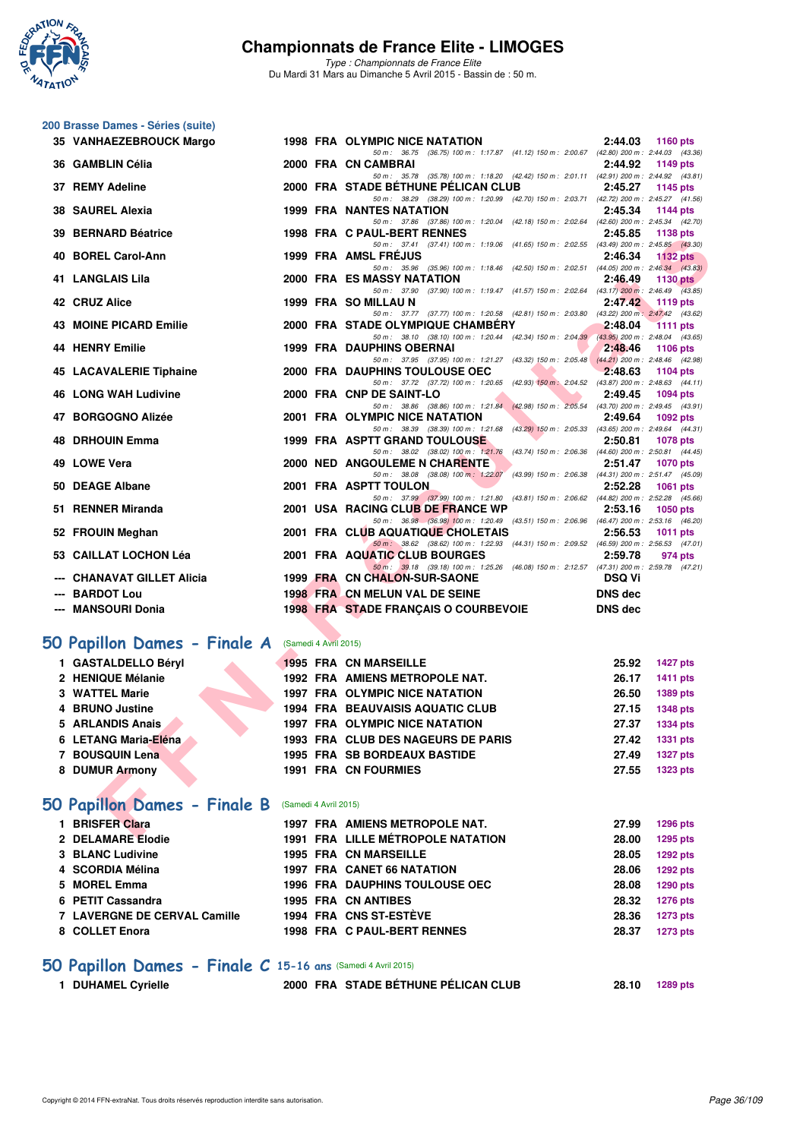

**200 Brasse Dames - Séries (suite)**

# **Championnats de France Elite - LIMOGES**

*Type : Championnats de France Elite* Du Mardi 31 Mars au Dimanche 5 Avril 2015 - Bassin de : 50 m.

| 35 VANHAEZEBROUCK Margo                            |  | 1998 FRA OLYMPIC NICE NATATION                                                                                                | 2:44.03        | 1160 pts            |
|----------------------------------------------------|--|-------------------------------------------------------------------------------------------------------------------------------|----------------|---------------------|
| 36 GAMBLIN Célia                                   |  | 50 m: 36.75 (36.75) 100 m: 1:17.87 (41.12) 150 m: 2:00.67 (42.80) 200 m: 2:44.03 (43.36)<br>2000 FRA CN CAMBRAI               | 2:44.92        | 1149 pts            |
|                                                    |  | 50 m: 35.78 (35.78) 100 m: 1:18.20 (42.42) 150 m: 2:01.11 (42.91) 200 m: 2:44.92 (43.81)                                      |                |                     |
| 37 REMY Adeline                                    |  | 2000 FRA STADE BÉTHUNE PÉLICAN CLUB                                                                                           | 2:45.27        | 1145 pts            |
| 38 SAUREL Alexia                                   |  | 50 m: 38.29 (38.29) 100 m: 1:20.99 (42.70) 150 m: 2:03.71 (42.72) 200 m: 2:45.27 (41.56)<br><b>1999 FRA NANTES NATATION</b>   | 2:45.34        | <b>1144 pts</b>     |
|                                                    |  | 50 m: 37.86 (37.86) 100 m: 1:20.04 (42.18) 150 m: 2:02.64 (42.60) 200 m: 2:45.34 (42.70)                                      |                |                     |
| 39 BERNARD Béatrice                                |  | 1998 FRA C PAUL-BERT RENNES                                                                                                   | 2:45.85        | 1138 pts            |
|                                                    |  | 50 m: 37.41 (37.41) 100 m: 1:19.06 (41.65) 150 m: 2:02.55 (43.49) 200 m: 2:45.85 (43.30)                                      |                |                     |
| 40 BOREL Carol-Ann                                 |  | <b>1999 FRA AMSL FREJUS</b><br>50 m : 35.96 (35.96) 100 m : 1:18.46 (42.50) 150 m : 2:02.51 (44.05) 200 m : 2:46.34 (43.83)   | 2:46.34        | $1132$ pts          |
| <b>41 LANGLAIS Lila</b>                            |  | <b>2000 FRA ES MASSY NATATION</b>                                                                                             | 2:46.49        | 1130 pts            |
|                                                    |  | 50 m: 37.90 (37.90) 100 m: 1:19.47 (41.57) 150 m: 2:02.64 (43.17) 200 m: 2:46.49 (43.85)                                      |                |                     |
| 42 CRUZ Alice                                      |  | 1999 FRA SO MILLAU N                                                                                                          |                | 2:47.42 1119 pts    |
| <b>43 MOINE PICARD Emilie</b>                      |  | 50 m: 37.77 (37.77) 100 m: 1:20.58 (42.81) 150 m: 2:03.80 (43.22) 200 m: 2:47.42 (43.62)<br>2000 FRA STADE OLYMPIQUE CHAMBERY | 2:48.04        | <b>1111 pts</b>     |
|                                                    |  | 50 m: 38.10 (38.10) 100 m: 1:20.44 (42.34) 150 m: 2:04.39 (43.95) 200 m: 2:48.04 (43.65)                                      |                |                     |
| <b>44 HENRY Emilie</b>                             |  | <b>1999 FRA DAUPHINS OBERNAI</b>                                                                                              | 2:48.46        | 1106 pts            |
|                                                    |  | 50 m: 37.95 (37.95) 100 m: 1:21.27 (43.32) 150 m: 2:05.48 (44.21) 200 m: 2:48.46 (42.98)<br><b>MAG</b>                        |                |                     |
| <b>45 LACAVALERIE Tiphaine</b>                     |  | 2000 FRA DAUPHINS TOULOUSE OEC<br>50 m: 37.72 (37.72) 100 m: 1:20.65 (42.93) 150 m: 2:04.52 (43.87) 200 m: 2:48.63 (44.11)    | 2:48.63        | 1104 $pts$          |
| <b>46 LONG WAH Ludivine</b>                        |  | 2000 FRA CNP DE SAINT-LO                                                                                                      | 2:49.45        | <b>1094 pts</b>     |
|                                                    |  | 50 m: 38.86 (38.86) 100 m: 1:21.84 (42.98) 150 m: 2:05.54 (43.70) 200 m: 2:49.45 (43.91)                                      |                |                     |
| 47 BORGOGNO Alizée                                 |  | 2001 FRA OLYMPIC NICE NATATION                                                                                                | 2:49.64        | 1092 pts            |
| <b>48 DRHOUIN Emma</b>                             |  | 50 m: 38.39 (38.39) 100 m: 1:21.68 (43.29) 150 m: 2:05.33 (43.65) 200 m: 2:49.64 (44.31)<br>1999 FRA ASPTT GRAND TOULOUSE     | 2:50.81        | 1078 pts            |
|                                                    |  | 50 m : 38.02 (38.02) 100 m : 1:21.76 (43.74) 150 m : 2:06.36 (44.60) 200 m : 2:50.81 (44.45)                                  |                |                     |
| 49 LOWE Vera                                       |  | <b>2000 NED ANGOULEME N CHARENTE</b>                                                                                          | 2:51.47        | <b>1070 pts</b>     |
|                                                    |  | 50 m: 38.08 (38.08) 100 m: 1:22.07 (43.99) 150 m: 2:06.38 (44.31) 200 m: 2:51.47 (45.09)                                      |                |                     |
| 50 DEAGE Albane                                    |  | 2001 FRA ASPTT TOULON<br>50 m: 37.99 (37.99) 100 m: 1:21.80 (43.81) 150 m: 2:06.62 (44.82) 200 m: 2:52.28 (45.66)             | 2:52.28        | 1061 pts            |
| 51 RENNER Miranda                                  |  | 2001 USA RACING CLUB DE FRANCE WP                                                                                             | 2:53.16        | 1050 pts            |
|                                                    |  | 50 m: 36.98 (36.98) 100 m: 1:20.49 (43.51) 150 m: 2:06.96 (46.47) 200 m: 2:53.16 (46.20)                                      |                |                     |
| 52 FROUIN Meghan                                   |  | 2001 FRA CLUB AQUATIQUE CHOLETAIS                                                                                             | 2:56.53        | 1011 $pts$          |
| 53 CAILLAT LOCHON Léa                              |  | $50 m$ : 38.62 (38.62) 100 m: 1:22.93 (44.31) 150 m: 2:09.52 (46.59) 200 m: 2:56.53 (47.01)<br>2001 FRA AQUATIC CLUB BOURGES  | 2:59.78        | 974 pts             |
|                                                    |  | 50 m: 39.18 (39.18) 100 m: 1:25.26 (46.08) 150 m: 2:12.57 (47.31) 200 m: 2:59.78 (47.21)                                      |                |                     |
| --- CHANAVAT GILLET Alicia                         |  | 1999 FRA CN CHALON-SUR-SAONE                                                                                                  | <b>DSQ Vi</b>  |                     |
| --- BARDOT Lou                                     |  | 1998 FRA CN MELUN VAL DE SEINE                                                                                                | <b>DNS</b> dec |                     |
| --- MANSOURI Donia                                 |  | 1998 FRA STADE FRANÇAIS O COURBEVOIE                                                                                          | <b>DNS</b> dec |                     |
|                                                    |  |                                                                                                                               |                |                     |
| 50 Papillon Dames - Finale A (Samedi 4 Avril 2015) |  |                                                                                                                               |                |                     |
| 1 GASTALDELLO Béryl                                |  | <b>1995 FRA CN MARSEILLE</b>                                                                                                  | 25.92          | <b>1427 pts</b>     |
| 2 HENIQUE Mélanie                                  |  | 1992 FRA AMIENS METROPOLE NAT.                                                                                                | 26.17          | <b>1411 pts</b>     |
| 3 WATTEL Marie                                     |  | 1997 FRA OLYMPIC NICE NATATION                                                                                                | 26.50          | 1389 pts            |
| 4 BRUNO Justine                                    |  | <b>1994 FRA BEAUVAISIS AQUATIC CLUB</b>                                                                                       | 27.15          | <b>1348 pts</b>     |
| 5 ARLANDIS Anais                                   |  | 1997 FRA OLYMPIC NICE NATATION                                                                                                | 27.37          | <b>1334 pts</b>     |
|                                                    |  |                                                                                                                               |                |                     |
| 6 LETANG Maria-Eléna                               |  | 1993 FRA CLUB DES NAGEURS DE PARIS                                                                                            | 27.42          | 1331 pts            |
| 7 BOUSQUIN Lena                                    |  | 1995 FRA SB BORDEAUX BASTIDE                                                                                                  | 27.49          | <b>1327 pts</b>     |
| 8 DUMUR Armony                                     |  | 1991 FRA CN FOURMIES                                                                                                          | 27.55          | <b>1323 pts</b>     |
|                                                    |  |                                                                                                                               |                |                     |
| 50 Papillon Dames - Finale B (Samedi 4 Avril 2015) |  |                                                                                                                               |                |                     |
| 1 BRISFER Clara                                    |  | 1997 FRA AMIENS METROPOLE NAT.                                                                                                | 27.99          | 1296 pts            |
| $\alpha$ belamericate                              |  | 1001 FBA ILLE MÉTRODOLE MATATION                                                                                              |                | $00.00$ $000$ $000$ |

# **[50 Papillon Dames - Finale A](http://www.ffnatation.fr/webffn/resultats.php?idact=nat&go=epr&idcpt=27187&idepr=31)** (Samedi 4 Avril 2015)

| 1 GASTALDELLO Béryl  | <b>1995 FRA CN MARSEILLE</b>          | 25.92 | <b>1427 pts</b> |
|----------------------|---------------------------------------|-------|-----------------|
| 2 HENIQUE Mélanie    | 1992 FRA AMIENS METROPOLE NAT.        | 26.17 | 1411 pts        |
| 3 WATTEL Marie       | <b>1997 FRA OLYMPIC NICE NATATION</b> | 26.50 | 1389 pts        |
| 4 BRUNO Justine      | 1994 FRA BEAUVAISIS AQUATIC CLUB      | 27.15 | <b>1348 pts</b> |
| 5 ARLANDIS Anais     | <b>1997 FRA OLYMPIC NICE NATATION</b> | 27.37 | 1334 pts        |
| 6 LETANG Maria-Eléna | 1993 FRA CLUB DES NAGEURS DE PARIS    | 27.42 | 1331 pts        |
| 7 BOUSQUIN Lena      | <b>1995 FRA SB BORDEAUX BASTIDE</b>   | 27.49 | <b>1327 pts</b> |
| 8 DUMUR Armony       | <b>1991 FRA CN FOURMIES</b>           | 27.55 | <b>1323 pts</b> |
|                      |                                       |       |                 |

# **[50 Papillon Dames - Finale B](http://www.ffnatation.fr/webffn/resultats.php?idact=nat&go=epr&idcpt=27187&idepr=31)** (Samedi 4 Avril 2015)

| <b>BRISFER Clara</b>         | 1997 FRA AMIENS METROPOLE NAT.        | 27.99 | <b>1296 pts</b> |
|------------------------------|---------------------------------------|-------|-----------------|
| 2 DELAMARE Elodie            | 1991 FRA LILLE MÉTROPOLE NATATION     | 28.00 | 1295 pts        |
| 3 BLANC Ludivine             | <b>1995 FRA CN MARSEILLE</b>          | 28.05 | <b>1292 pts</b> |
| 4 SCORDIA Mélina             | <b>1997 FRA CANET 66 NATATION</b>     | 28.06 | <b>1292 pts</b> |
| 5 MOREL Emma                 | <b>1996 FRA DAUPHINS TOULOUSE OEC</b> | 28.08 | 1290 pts        |
| 6 PETIT Cassandra            | 1995 FRA CN ANTIBES                   | 28.32 | <b>1276 pts</b> |
| 7 LAVERGNE DE CERVAL Camille | <b>1994 FRA CNS ST-ESTÈVE</b>         | 28.36 | <b>1273 pts</b> |
| 8 COLLET Enora               | 1998 FRA C PAUL-BERT RENNES           | 28.37 | <b>1273 pts</b> |
|                              |                                       |       |                 |

# **50 Papillon Dames - Finale C** 15-16 ans (Samedi 4 Avril 2015)<br>1 DUHAMEL Cyrielle 2000 FRA STADE BÉTHI

| 1 DUHAMEL Cyrielle | 2000 FRA STADE BÉTHUNE PÉLICAN CLUB |  | 28.10 1289 pts |
|--------------------|-------------------------------------|--|----------------|
|--------------------|-------------------------------------|--|----------------|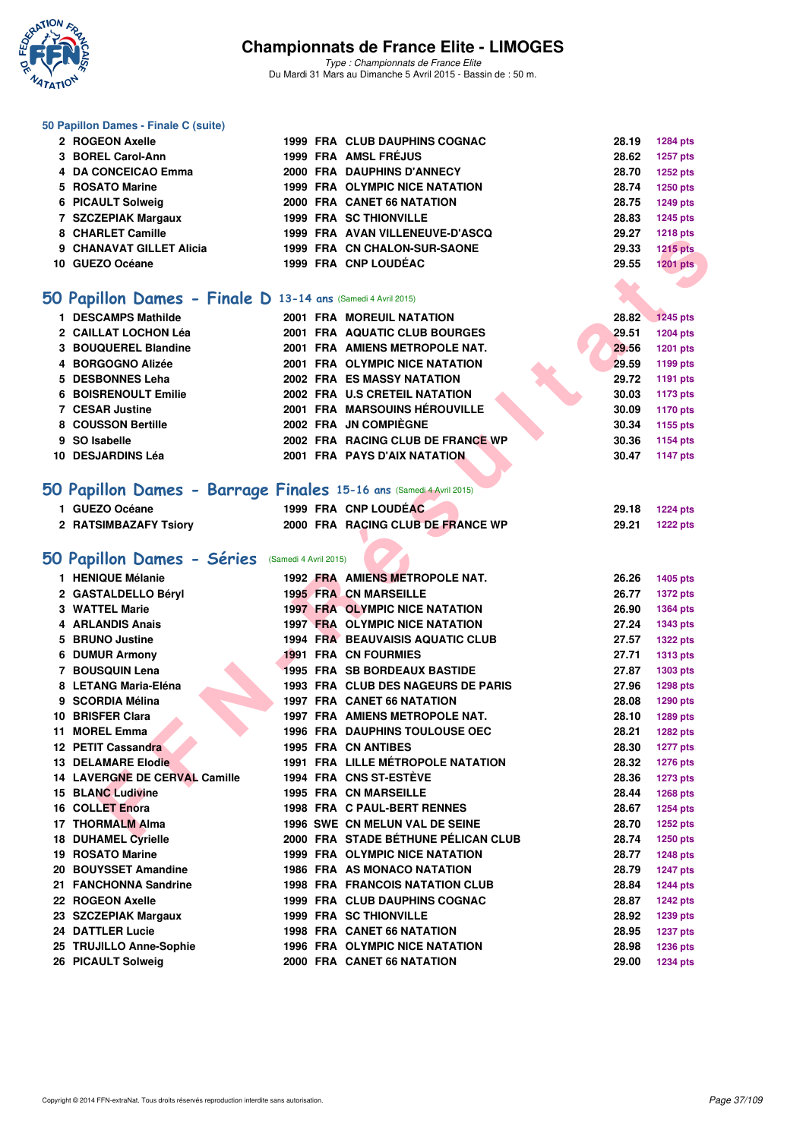

*Type : Championnats de France Elite* Du Mardi 31 Mars au Dimanche 5 Avril 2015 - Bassin de : 50 m.

#### **50 Papillon Dames - Finale C (suite)**

|    | 2 ROGEON Axelle                                              |  | 1999 FRA CLUB DAUPHINS COGNAC         | 28.19 | <b>1284 pts</b> |
|----|--------------------------------------------------------------|--|---------------------------------------|-------|-----------------|
|    | 3 BOREL Carol-Ann                                            |  | 1999 FRA AMSL FRÉJUS                  | 28.62 | 1257 pts        |
|    | <b>DA CONCEICAO Emma</b>                                     |  | 2000 FRA DAUPHINS D'ANNECY            | 28.70 | <b>1252 pts</b> |
|    | 5 ROSATO Marine                                              |  | <b>1999 FRA OLYMPIC NICE NATATION</b> | 28.74 | 1250 pts        |
|    | 6 PICAULT Solweig                                            |  | 2000 FRA CANET 66 NATATION            | 28.75 | <b>1249 pts</b> |
|    | 7 SZCZEPIAK Margaux                                          |  | <b>1999 FRA SC THIONVILLE</b>         | 28.83 | <b>1245 pts</b> |
|    | 8 CHARLET Camille                                            |  | 1999 FRA AVAN VILLENEUVE-D'ASCQ       | 29.27 | <b>1218 pts</b> |
| 9  | <b>CHANAVAT GILLET Alicia</b>                                |  | 1999 FRA CN CHALON-SUR-SAONE          | 29.33 | <b>1215 pts</b> |
| 10 | <b>GUEZO Océane</b>                                          |  | 1999 FRA CNP LOUDÉAC                  | 29.55 | <b>1201 pts</b> |
|    |                                                              |  |                                       |       |                 |
|    | 50 Papillon Dames - Finale D 13-14 ans (Samedi 4 Avril 2015) |  |                                       |       |                 |
|    | 1 DESCAMPS Mathilde                                          |  | <b>2001 FRA MOREUIL NATATION</b>      | 28.82 | <b>1245 pts</b> |
|    | 2 CAILLAT LOCHON Léa                                         |  | 2001 FRA AQUATIC CLUB BOURGES         | 29.51 | <b>1204 pts</b> |
|    | 3 BOUQUEREL Blandine                                         |  | 2001 FRA AMIENS METROPOLE NAT.        | 29.56 | <b>1201 pts</b> |
|    | 4 BORGOGNO Alizée                                            |  | 2001 FRA OLYMPIC NICE NATATION        | 29.59 | <b>1199 pts</b> |
|    | 5 DESBONNES Leha                                             |  | <b>2002 FRA ES MASSY NATATION</b>     | 29.72 | 1191 pts        |
| 6. | <b>BOISRENOULT Emilie</b>                                    |  | 2002 FRA U.S CRETEIL NATATION         | 30.03 | <b>1173 pts</b> |
|    | <b>7 CESAR Justine</b>                                       |  | <b>2001 FRA MARSOUINS HÉROUVILLE</b>  | 30.09 | <b>1170 pts</b> |
|    | 8 COUSSON Bertille                                           |  | 2002 FRA JN COMPIÈGNE                 | 30.34 | 1155 pts        |
| 9  | SO Isabelle                                                  |  | 2002 FRA RACING CLUB DE FRANCE WP     | 30.36 | 1154 pts        |
| 10 | <b>DESJARDINS Léa</b>                                        |  | 2001 FRA PAYS D'AIX NATATION          | 30.47 | <b>1147 pts</b> |
|    |                                                              |  |                                       |       |                 |

## **[50 Papillon Dames - Barrage Finales](http://www.ffnatation.fr/webffn/resultats.php?idact=nat&go=epr&idcpt=27187&idepr=31) 15-16 ans** (Samedi 4 Avril 2015)

|                                                                     |  |                                                      |       | 1410 pm         |
|---------------------------------------------------------------------|--|------------------------------------------------------|-------|-----------------|
| 9 CHANAVAT GILLET Alicia                                            |  | 1999 FRA CN CHALON-SUR-SAONE                         | 29.33 | <b>1215 pts</b> |
| 10 GUEZO Océane                                                     |  | 1999 FRA CNP LOUDÉAC                                 | 29.55 | <b>1201 pts</b> |
|                                                                     |  |                                                      |       |                 |
| 50 Papillon Dames - Finale D 13-14 ans (Samedi 4 Avril 2015)        |  |                                                      |       |                 |
| 1 DESCAMPS Mathilde                                                 |  | 2001 FRA MOREUIL NATATION                            | 28.82 | <b>1245 pts</b> |
| 2 CAILLAT LOCHON Léa                                                |  | 2001 FRA AQUATIC CLUB BOURGES                        | 29.51 | <b>1204 pts</b> |
| 3 BOUQUEREL Blandine                                                |  | 2001 FRA AMIENS METROPOLE NAT.                       | 29.56 | <b>1201 pts</b> |
| 4 BORGOGNO Alizée                                                   |  | 2001 FRA OLYMPIC NICE NATATION                       | 29.59 | 1199 pts        |
| 5 DESBONNES Leha                                                    |  | <b>2002 FRA ES MASSY NATATION</b>                    | 29.72 | 1191 pts        |
| 6 BOISRENOULT Emilie                                                |  | 2002 FRA U.S CRETEIL NATATION                        | 30.03 | <b>1173 pts</b> |
| 7 CESAR Justine                                                     |  | 2001 FRA MARSOUINS HÉROUVILLE                        | 30.09 | <b>1170 pts</b> |
| 8 COUSSON Bertille                                                  |  | 2002 FRA JN COMPIÈGNE                                | 30.34 | 1155 pts        |
| 9 SO Isabelle                                                       |  | 2002 FRA RACING CLUB DE FRANCE WP                    | 30.36 | <b>1154 pts</b> |
| 10 DESJARDINS Léa                                                   |  | 2001 FRA PAYS D'AIX NATATION                         | 30.47 | <b>1147 pts</b> |
|                                                                     |  |                                                      |       |                 |
| 50 Papillon Dames - Barrage Finales 15-16 ans (Samedi 4 Avril 2015) |  |                                                      |       |                 |
| 1 GUEZO Océane                                                      |  | 1999 FRA CNP LOUDÉAC                                 | 29.18 | <b>1224 pts</b> |
| 2 RATSIMBAZAFY Tsiory                                               |  | 2000 FRA RACING CLUB DE FRANCE WP                    | 29.21 | <b>1222 pts</b> |
|                                                                     |  |                                                      |       |                 |
| 50 Papillon Dames - Séries (Samedi 4 Avril 2015)                    |  |                                                      |       |                 |
| 1 HENIQUE Mélanie                                                   |  | 1992 FRA AMIENS METROPOLE NAT.                       | 26.26 | 1405 pts        |
| 2 GASTALDELLO Béryl                                                 |  | <b>1995 FRA CN MARSEILLE</b>                         | 26.77 | <b>1372 pts</b> |
| 3 WATTEL Marie                                                      |  | <b>1997 FRA OLYMPIC NICE NATATION</b>                | 26.90 | 1364 pts        |
| 4 ARLANDIS Anais                                                    |  | 1997 FRA OLYMPIC NICE NATATION                       | 27.24 | <b>1343 pts</b> |
| 5 BRUNO Justine                                                     |  | 1994 FRA BEAUVAISIS AQUATIC CLUB                     | 27.57 | <b>1322 pts</b> |
| 6 DUMUR Armony                                                      |  | <b>1991 FRA CN FOURMIES</b>                          | 27.71 | <b>1313 pts</b> |
| 7 BOUSQUIN Lena                                                     |  | 1995 FRA SB BORDEAUX BASTIDE                         | 27.87 | 1303 pts        |
| 8 LETANG Maria-Eléna                                                |  | 1993 FRA CLUB DES NAGEURS DE PARIS                   | 27.96 | <b>1298 pts</b> |
| 9 SCORDIA Mélina                                                    |  | 1997 FRA CANET 66 NATATION                           | 28.08 | <b>1290 pts</b> |
| 10 BRISFER Clara                                                    |  | 1997 FRA AMIENS METROPOLE NAT.                       | 28.10 | 1289 pts        |
| 11 MOREL Emma                                                       |  | 1996 FRA DAUPHINS TOULOUSE OEC                       | 28.21 | <b>1282 pts</b> |
| 12 PETIT Cassandra                                                  |  | <b>1995 FRA CN ANTIBES</b>                           | 28.30 | <b>1277 pts</b> |
| <b>13 DELAMARE Elodie</b>                                           |  | 1991 FRA LILLE MÉTROPOLE NATATION                    | 28.32 | <b>1276 pts</b> |
| 14 LAVERGNE DE CERVAL Camille                                       |  | 1994 FRA CNS ST-ESTÈVE                               | 28.36 | <b>1273 pts</b> |
| <b>15 BLANC Ludivine</b>                                            |  | <b>1995 FRA CN MARSEILLE</b>                         | 28.44 | 1268 pts        |
| <b>16 COLLET Enora</b>                                              |  | 1998 FRA C PAUL-BERT RENNES                          | 28.67 | <b>1254 pts</b> |
| 17 THORMALM Alma                                                    |  | 1996 SWE CN MELUN VAL DE SEINE                       | 28.70 | <b>1252 pts</b> |
| <b>18 DUHAMEL Cyrielle</b>                                          |  | 2000 FRA STADE BÉTHUNE PÉLICAN CLUB                  | 28.74 | <b>1250 pts</b> |
| 19 ROSATO Marine                                                    |  | 1999 FRA OLYMPIC NICE NATATION                       | 28.77 | <b>1248 pts</b> |
| 20 BOUYSSET Amandine                                                |  | 1986 FRA AS MONACO NATATION                          | 28.79 | <b>1247 pts</b> |
| 21 FANCHONNA Sandrine                                               |  | <b>1998 FRA FRANCOIS NATATION CLUB</b>               | 28.84 |                 |
| 22 ROGEON Axelle                                                    |  | 1999 FRA CLUB DAUPHINS COGNAC                        | 28.87 | <b>1244 pts</b> |
|                                                                     |  |                                                      |       | <b>1242 pts</b> |
| 23 SZCZEPIAK Margaux<br>24 DATTLER Lucie                            |  | 1999 FRA SC THIONVILLE<br>1998 FRA CANET 66 NATATION | 28.92 | 1239 pts        |
|                                                                     |  |                                                      | 28.95 | <b>1237 pts</b> |
| 25 TRUJILLO Anne-Sophie                                             |  | 1996 FRA OLYMPIC NICE NATATION                       | 28.98 | <b>1236 pts</b> |
| 26 PICAULT Solweig                                                  |  | 2000 FRA CANET 66 NATATION                           | 29.00 | 1234 pts        |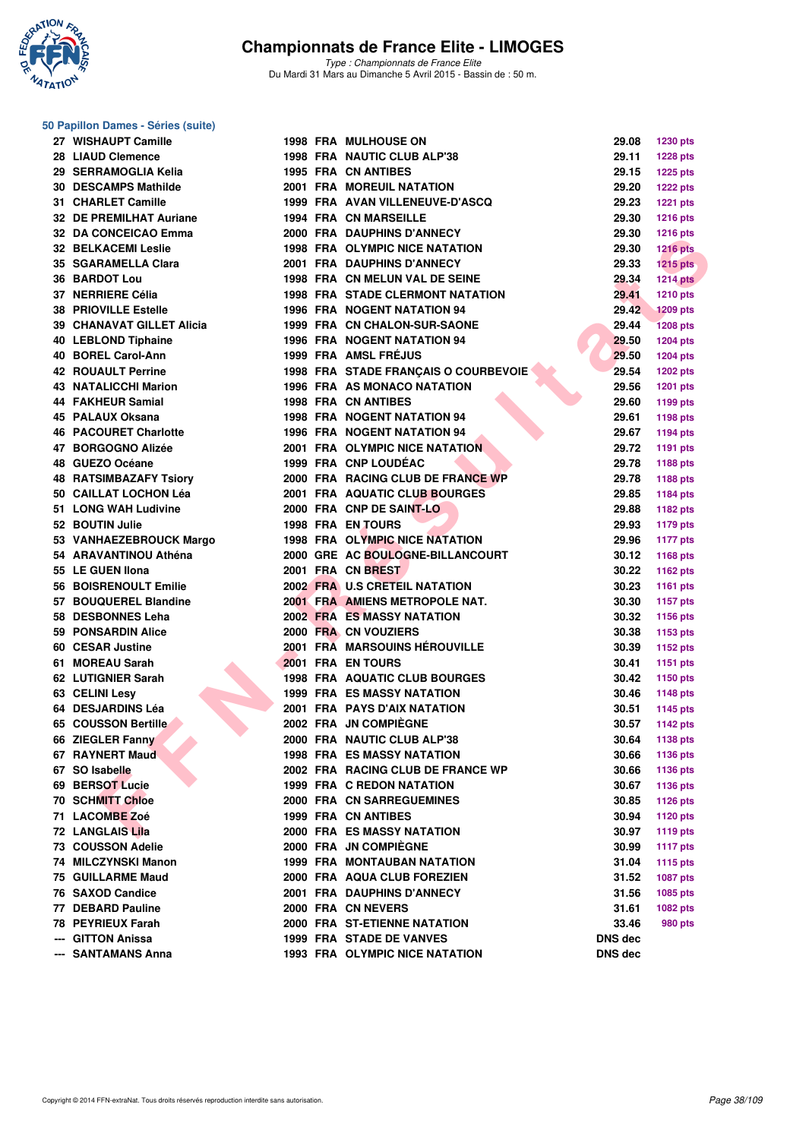

*Type : Championnats de France Elite* Du Mardi 31 Mars au Dimanche 5 Avril 2015 - Bassin de : 50 m.

#### **50 Papillon Dames - Séries (suite)**

| 27 WISHAUPT Camille          |  | <b>1998 FRA MULHOUSE ON</b>             | 29.08          | 1230 pts        |
|------------------------------|--|-----------------------------------------|----------------|-----------------|
| <b>28 LIAUD Clemence</b>     |  | 1998 FRA NAUTIC CLUB ALP'38             | 29.11          | <b>1228 pts</b> |
| 29  SERRAMOGLIA Kelia        |  | <b>1995 FRA CN ANTIBES</b>              | 29.15          | 1225 pts        |
| 30 DESCAMPS Mathilde         |  | 2001 FRA MOREUIL NATATION               | 29.20          | <b>1222 pts</b> |
| 31 CHARLET Camille           |  | 1999 FRA AVAN VILLENEUVE-D'ASCQ         | 29.23          | <b>1221 pts</b> |
| 32 DE PREMILHAT Auriane      |  | <b>1994 FRA CN MARSEILLE</b>            | 29.30          | <b>1216 pts</b> |
| 32 DA CONCEICAO Emma         |  | 2000 FRA DAUPHINS D'ANNECY              | 29.30          | <b>1216 pts</b> |
| <b>32 BELKACEMI Leslie</b>   |  | <b>1998 FRA OLYMPIC NICE NATATION</b>   | 29.30          | <b>1216 pts</b> |
| 35 SGARAMELLA Clara          |  | 2001 FRA DAUPHINS D'ANNECY              | 29.33          | $1215$ pts      |
| 36 BARDOT Lou                |  | 1998 FRA CN MELUN VAL DE SEINE          | 29.34          | <b>1214 pts</b> |
| 37 NERRIERE Célia            |  | <b>1998 FRA STADE CLERMONT NATATION</b> | 29.41          | <b>1210 pts</b> |
| <b>38 PRIOVILLE Estelle</b>  |  | <b>1996 FRA NOGENT NATATION 94</b>      | 29.42          | <b>1209 pts</b> |
| 39   CHANAVAT GILLET Alicia  |  | 1999 FRA CN CHALON-SUR-SAONE            | 29.44          | <b>1208 pts</b> |
| 40 LEBLOND Tiphaine          |  | <b>1996 FRA NOGENT NATATION 94</b>      | 29.50          | <b>1204 pts</b> |
| 40 BOREL Carol-Ann           |  | 1999 FRA AMSL FRÉJUS                    | 29.50          | <b>1204 pts</b> |
| <b>42 ROUAULT Perrine</b>    |  | 1998 FRA STADE FRANÇAIS O COURBEVOIE    | 29.54          | <b>1202 pts</b> |
| 43 NATALICCHI Marion         |  | 1996 FRA AS MONACO NATATION             | 29.56          | <b>1201 pts</b> |
| 44 FAKHEUR Samial            |  | <b>1998 FRA CN ANTIBES</b>              | 29.60          | 1199 pts        |
| 45 PALAUX Oksana             |  | <b>1998 FRA NOGENT NATATION 94</b>      | 29.61          | 1198 pts        |
| <b>46 PACOURET Charlotte</b> |  | <b>1996 FRA NOGENT NATATION 94</b>      | 29.67          | 1194 pts        |
| 47 BORGOGNO Alizée           |  | 2001 FRA OLYMPIC NICE NATATION          | 29.72          | <b>1191 pts</b> |
| 48 GUEZO Océane              |  | 1999 FRA CNP LOUDÉAC                    | 29.78          | 1188 pts        |
| 48 RATSIMBAZAFY Tsiory       |  | 2000 FRA RACING CLUB DE FRANCE WP       | 29.78          |                 |
| 50   CAILLAT LOCHON Léa      |  | 2001 FRA AQUATIC CLUB BOURGES           | 29.85          | 1188 pts        |
| 51 LONG WAH Ludivine         |  | 2000 FRA CNP DE SAINT-LO                | 29.88          | 1184 pts        |
| 52 BOUTIN Julie              |  | <b>1998 FRA EN TOURS</b>                | 29.93          | 1182 pts        |
|                              |  |                                         |                | 1179 pts        |
| 53 VANHAEZEBROUCK Margo      |  | <b>1998 FRA OLYMPIC NICE NATATION</b>   | 29.96          | <b>1177 pts</b> |
| 54 ARAVANTINOU Athéna        |  | 2000 GRE AC BOULOGNE-BILLANCOURT        | 30.12          | 1168 pts        |
| 55 LE GUEN IIona             |  | 2001 FRA CN BREST                       | 30.22          | 1162 pts        |
| 56 BOISRENOULT Emilie        |  | 2002 FRA U.S CRETEIL NATATION           | 30.23          | 1161 pts        |
| 57 BOUQUEREL Blandine        |  | 2001 FRA AMIENS METROPOLE NAT.          | 30.30          | <b>1157 pts</b> |
| 58 DESBONNES Leha            |  | <b>2002 FRA ES MASSY NATATION</b>       | 30.32          | <b>1156 pts</b> |
| 59 PONSARDIN Alice           |  | 2000 FRA CN VOUZIERS                    | 30.38          | 1153 pts        |
| 60 CESAR Justine             |  | 2001 FRA MARSOUINS HÉROUVILLE           | 30.39          | 1152 pts        |
| 61 MOREAU Sarah              |  | 2001 FRA EN TOURS                       | 30.41          | 1151 pts        |
| 62 LUTIGNIER Sarah           |  | 1998 FRA AQUATIC CLUB BOURGES           | 30.42          | 1150 pts        |
| 63 CELINI Lesv               |  | <b>1999 FRA ES MASSY NATATION</b>       | 30.46          | <b>1148 pts</b> |
| 64 DESJARDINS Léa            |  | <b>2001 FRA PAYS D'AIX NATATION</b>     | 30.51          | 1145 pts        |
| 65 COUSSON Bertille          |  | 2002 FRA JN COMPIÈGNE                   | 30.57          | 1142 pts        |
| 66 ZIEGLER Fanny             |  | 2000 FRA NAUTIC CLUB ALP'38             | 30.64          | 1138 pts        |
| 67 RAYNERT Maud              |  | <b>1998 FRA ES MASSY NATATION</b>       | 30.66          | 1136 pts        |
| 67 SO Isabelle               |  | 2002 FRA RACING CLUB DE FRANCE WP       | 30.66          | <b>1136 pts</b> |
| 69 BERSOT Lucie              |  | 1999 FRA C REDON NATATION               | 30.67          | <b>1136 pts</b> |
| 70 SCHMITT Chloe             |  | 2000 FRA CN SARREGUEMINES               | 30.85          | <b>1126 pts</b> |
| 71 LACOMBE Zoé               |  | 1999 FRA CN ANTIBES                     | 30.94          | <b>1120 pts</b> |
| 72   LANGLAIS Lila           |  | 2000 FRA ES MASSY NATATION              | 30.97          | 1119 pts        |
| 73 COUSSON Adelie            |  | 2000 FRA JN COMPIEGNE                   | 30.99          | <b>1117 pts</b> |
| 74 MILCZYNSKI Manon          |  | <b>1999 FRA MONTAUBAN NATATION</b>      | 31.04          | <b>1115 pts</b> |
| 75 GUILLARME Maud            |  | 2000 FRA AQUA CLUB FOREZIEN             | 31.52          | 1087 pts        |
| 76 SAXOD Candice             |  | <b>2001 FRA DAUPHINS D'ANNECY</b>       | 31.56          | 1085 pts        |
| 77 DEBARD Pauline            |  | 2000 FRA CN NEVERS                      | 31.61          | <b>1082 pts</b> |
| 78 PEYRIEUX Farah            |  | 2000 FRA ST-ETIENNE NATATION            | 33.46          | 980 pts         |
| --- GITTON Anissa            |  | 1999 FRA STADE DE VANVES                | <b>DNS dec</b> |                 |
| --- SANTAMANS Anna           |  | 1993 FRA OLYMPIC NICE NATATION          | <b>DNS</b> dec |                 |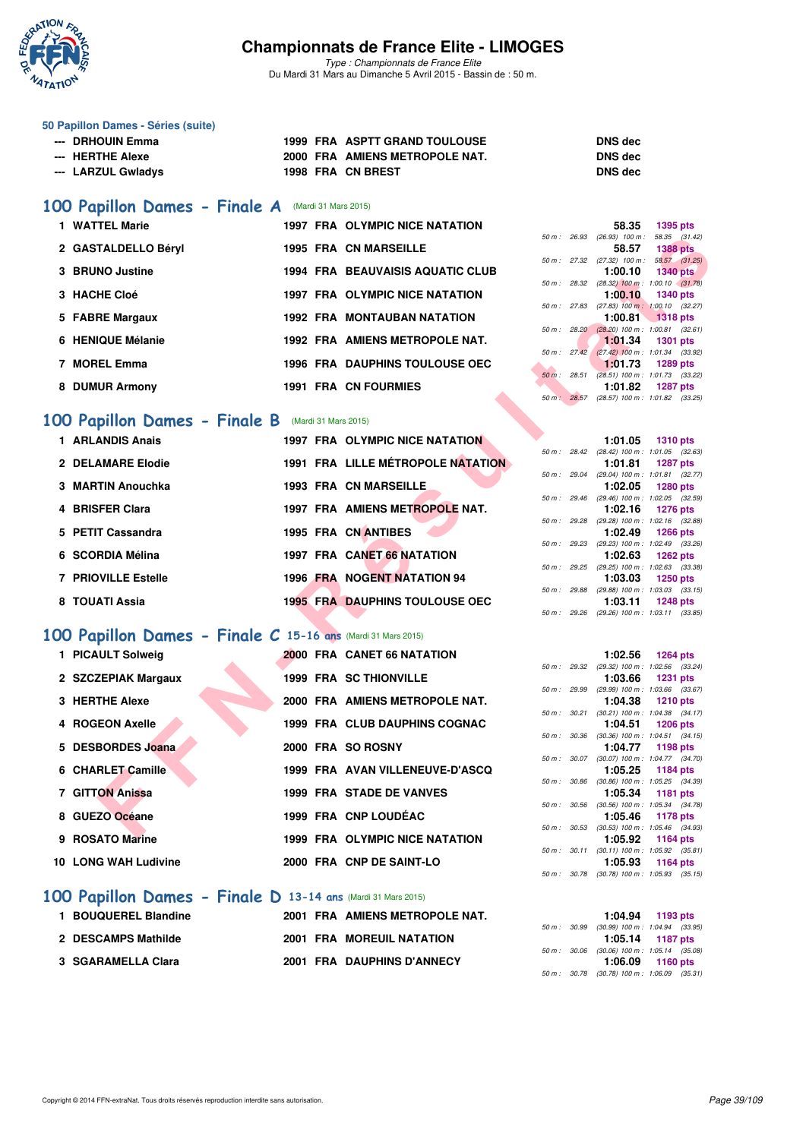

*Type : Championnats de France Elite* Du Mardi 31 Mars au Dimanche 5 Avril 2015 - Bassin de : 50 m.

#### **50 Papillon Dames - Séries (suite)**

| --- DRHOUIN Emma   | <b>1999 FRA ASPTT GRAND TOULOUSE</b> | <b>DNS</b> dec |
|--------------------|--------------------------------------|----------------|
| --- HERTHE Alexe   | 2000 FRA AMIENS METROPOLE NAT.       | <b>DNS</b> dec |
| --- LARZUL Gwladys | 1998 FRA CN BREST                    | <b>DNS</b> dec |
|                    |                                      |                |

# **[100 Papillon Dames - Finale A](http://www.ffnatation.fr/webffn/resultats.php?idact=nat&go=epr&idcpt=27187&idepr=32)** (Mardi 31 Mars 2015)

| 1 WATTEL Marie      | <b>1997 FRA OLYMPIC NICE NATATION</b>   |                        | 58.35                                     | 1395 pts                      |
|---------------------|-----------------------------------------|------------------------|-------------------------------------------|-------------------------------|
|                     | <b>1995 FRA CN MARSEILLE</b>            | 26.93<br>50 m :        | $(26.93)$ 100 m :                         | 58.35 (31.                    |
| 2 GASTALDELLO Béryl |                                         |                        | 58.57<br>50 m : 27.32 (27.32) 100 m :     | <b>1388 pts</b><br>58.57 (31. |
| 3 BRUNO Justine     | <b>1994 FRA BEAUVAISIS AQUATIC CLUB</b> |                        | 1:00.10                                   | <b>1340 pts</b>               |
|                     |                                         | 50 m : 28.32           | $(28.32)$ 100 m : 1:00.10 (31.            |                               |
| 3 HACHE Cloé        | <b>1997 FRA OLYMPIC NICE NATATION</b>   | 50 m : 27.83           | 1:00.10<br>$(27.83)$ 100 m : 1:00.10 (32. | 1340 pts                      |
| 5 FABRE Margaux     | <b>1992 FRA MONTAUBAN NATATION</b>      |                        |                                           | $1:00.81$ 1318 pts            |
|                     |                                         |                        | 50 m : 28.20 (28.20) 100 m : 1:00.81 (32. |                               |
| 6 HENIQUE Mélanie   | 1992 FRA AMIENS METROPOLE NAT.          | $50 \text{ m}$ : 27.42 | 1:01.34<br>$(27.42)$ 100 m : 1:01.34 (33. | 1301 pts                      |
| 7 MOREL Emma        | <b>1996 FRA DAUPHINS TOULOUSE OEC</b>   |                        | 1:01.73                                   | 1289 pts                      |
|                     |                                         | $50 m$ :<br>28.51      | $(28.51)$ 100 m : 1:01.73 (33.            |                               |
| 8 DUMUR Armony      | <b>1991 FRA CN FOURMIES</b>             |                        | 1:01.82                                   | 1287 pts                      |

## **[100 Papillon Dames - Finale B](http://www.ffnatation.fr/webffn/resultats.php?idact=nat&go=epr&idcpt=27187&idepr=32)** (Mardi 31 Mars 2015)

| 1 ARLANDIS Anais    |                                                                              |  |                                                                                                                                                                                                                                                                           |             |                                                                                                                      |                                                                                                                                                                                                                                                                                                                                                                                    |
|---------------------|------------------------------------------------------------------------------|--|---------------------------------------------------------------------------------------------------------------------------------------------------------------------------------------------------------------------------------------------------------------------------|-------------|----------------------------------------------------------------------------------------------------------------------|------------------------------------------------------------------------------------------------------------------------------------------------------------------------------------------------------------------------------------------------------------------------------------------------------------------------------------------------------------------------------------|
|                     |                                                                              |  |                                                                                                                                                                                                                                                                           |             |                                                                                                                      |                                                                                                                                                                                                                                                                                                                                                                                    |
|                     |                                                                              |  |                                                                                                                                                                                                                                                                           |             |                                                                                                                      |                                                                                                                                                                                                                                                                                                                                                                                    |
| 3 MARTIN Anouchka   |                                                                              |  |                                                                                                                                                                                                                                                                           |             |                                                                                                                      |                                                                                                                                                                                                                                                                                                                                                                                    |
| 4 BRISFER Clara     |                                                                              |  |                                                                                                                                                                                                                                                                           |             |                                                                                                                      |                                                                                                                                                                                                                                                                                                                                                                                    |
|                     |                                                                              |  |                                                                                                                                                                                                                                                                           |             |                                                                                                                      |                                                                                                                                                                                                                                                                                                                                                                                    |
|                     |                                                                              |  |                                                                                                                                                                                                                                                                           |             |                                                                                                                      |                                                                                                                                                                                                                                                                                                                                                                                    |
|                     |                                                                              |  |                                                                                                                                                                                                                                                                           |             |                                                                                                                      |                                                                                                                                                                                                                                                                                                                                                                                    |
| 7 PRIOVILLE Estelle |                                                                              |  |                                                                                                                                                                                                                                                                           | 1:03.03     |                                                                                                                      |                                                                                                                                                                                                                                                                                                                                                                                    |
|                     |                                                                              |  |                                                                                                                                                                                                                                                                           |             |                                                                                                                      |                                                                                                                                                                                                                                                                                                                                                                                    |
|                     | 2 DELAMARE Elodie<br>5 PETIT Cassandra<br>6 SCORDIA Mélina<br>8 TOUATI Assia |  | <b>1997 FRA OLYMPIC NICE NATATION</b><br><b>1991 FRA LILLE MÉTROPOLE NATATION</b><br>1993 FRA CN MARSEILLE<br>1997 FRA AMIENS METROPOLE NAT.<br>1995 FRA CN ANTIBES<br>1997 FRA CANET 66 NATATION<br>1996 FRA NOGENT NATATION 94<br><b>1995 FRA DAUPHINS TOULOUSE OEC</b> | 50 m: 29.88 | 50 m: 28.42<br>1:01.81<br>50 m: 29.04<br>50 m : 29.46<br>50 m: 29.28<br>$50 \text{ m}$ : 29.23<br>1:02.63<br>1:03.11 | $1:01.05$ 1310 pts<br>$(28.42)$ 100 m : 1:01.05 $(32.$<br>1287 pts<br>(29.04) 100 m: 1:01.81 (32.<br>1:02.05 1280 pts<br>$(29.46)$ 100 m : 1:02.05 (32.<br>1:02.16 1276 pts<br>(29.28) 100 m : 1:02.16 (32.<br>1:02.49 1266 pts<br>(29.23) 100 m : 1:02.49 (33.<br>1262 pts<br>50 m : 29.25 (29.25) 100 m : 1:02.63 (33.<br>1250 pts<br>$(29.88)$ 100 m : 1:03.03 (33.<br>1248 pts |

# **[100 Papillon Dames - Finale C](http://www.ffnatation.fr/webffn/resultats.php?idact=nat&go=epr&idcpt=27187&idepr=32) 15-16 ans** (Mardi 31 Mars 2015)

|                                                             |                                          | 50 m: 26.93    |         | $(26.93)$ 100 m : 58.35 $(31.42)$                               |
|-------------------------------------------------------------|------------------------------------------|----------------|---------|-----------------------------------------------------------------|
| 2 GASTALDELLO Béryl                                         | <b>1995 FRA CN MARSEILLE</b>             |                | 58.57   | <b>1388 pts</b>                                                 |
| 3 BRUNO Justine                                             | <b>1994 FRA BEAUVAISIS AQUATIC CLUB</b>  |                | 1:00.10 | 50 m: 27.32 (27.32) 100 m: 58.57 (31.25)<br><b>1340 pts</b>     |
|                                                             |                                          | 50 m : 28.32   |         | $(28.32)$ 100 m : 1:00.10 $(31.78)$                             |
| 3 HACHE Cloé                                                | <b>1997 FRA OLYMPIC NICE NATATION</b>    |                | 1:00.10 | <b>1340 pts</b><br>50 m : 27.83 (27.83) 100 m : 1:00.10 (32.27) |
| 5 FABRE Margaux                                             | <b>1992 FRA MONTAUBAN NATATION</b>       |                | 1:00.81 | <b>1318 pts</b>                                                 |
|                                                             |                                          |                |         | 50 m: 28.20 (28.20) 100 m: 1:00.81 (32.61)                      |
| 6 HENIQUE Mélanie                                           | 1992 FRA AMIENS METROPOLE NAT.           | 50 m : 27.42   | 1:01.34 | <b>1301 pts</b><br>$(27.42)$ 100 m : 1:01.34 $(33.92)$          |
| 7 MOREL Emma                                                | <b>1996 FRA DAUPHINS TOULOUSE OEC</b>    |                | 1:01.73 | <b>1289 pts</b>                                                 |
|                                                             |                                          | 50 m: 28.51    |         | $(28.51)$ 100 m : 1:01.73 $(33.22)$                             |
| 8 DUMUR Armony                                              | <b>1991 FRA CN FOURMIES</b>              |                | 1:01.82 | <b>1287 pts</b>                                                 |
|                                                             |                                          | 50 m: 28.57    |         | (28.57) 100 m: 1:01.82 (33.25)                                  |
| <b>00 Papillon Dames - Finale B</b> (Mardi 31 Mars 2015)    |                                          |                |         |                                                                 |
| 1 ARLANDIS Anais                                            | 1997 FRA OLYMPIC NICE NATATION           |                | 1:01.05 | <b>1310 pts</b>                                                 |
|                                                             |                                          | $50 m$ : 28.42 |         | (28.42) 100 m: 1:01.05 (32.63)                                  |
| 2 DELAMARE Elodie                                           | <b>1991 FRA LILLE MÉTROPOLE NATATION</b> | 50 m : 29.04   | 1:01.81 | <b>1287 pts</b><br>(29.04) 100 m: 1:01.81 (32.77)               |
| 3 MARTIN Anouchka                                           | <b>1993 FRA CN MARSEILLE</b>             |                | 1:02.05 | <b>1280 pts</b>                                                 |
|                                                             |                                          |                |         | 50 m : 29.46 (29.46) 100 m : 1:02.05 (32.59)                    |
| 4 BRISFER Clara                                             | 1997 FRA AMIENS METROPOLE NAT.           |                | 1:02.16 | <b>1276 pts</b>                                                 |
| 5 PETIT Cassandra                                           | <b>1995 FRA CN ANTIBES</b>               | 50 m : 29.28   | 1:02.49 | (29.28) 100 m: 1:02.16 (32.88)<br><b>1266 pts</b>               |
|                                                             |                                          | 50 m : 29.23   |         | (29.23) 100 m: 1:02.49 (33.26)                                  |
| 6 SCORDIA Mélina                                            | 1997 FRA CANET 66 NATATION               |                | 1:02.63 | <b>1262 pts</b>                                                 |
|                                                             |                                          |                |         | 50 m: 29.25 (29.25) 100 m: 1:02.63 (33.38)                      |
| <b>7 PRIOVILLE Estelle</b>                                  | 1996 FRA NOGENT NATATION 94              | 50 m : 29.88   | 1:03.03 | <b>1250 pts</b><br>$(29.88)$ 100 m : 1:03.03 $(33.15)$          |
| 8 TOUATI Assia                                              | <b>1995 FRA DAUPHINS TOULOUSE OEC</b>    |                | 1:03.11 | <b>1248 pts</b>                                                 |
|                                                             |                                          |                |         | 50 m: 29.26 (29.26) 100 m: 1:03.11 (33.85)                      |
| OO Papillon Dames - Finale C 15-16 ans (Mardi 31 Mars 2015) |                                          |                |         |                                                                 |
| 1 PICAULT Solweig                                           | 2000 FRA CANET 66 NATATION               |                | 1:02.56 | <b>1264 pts</b>                                                 |
|                                                             |                                          |                |         | 50 m: 29.32 (29.32) 100 m: 1:02.56 (33.24)                      |
| 2 SZCZEPIAK Margaux                                         | <b>1999 FRA SC THIONVILLE</b>            |                | 1:03.66 | <b>1231 pts</b>                                                 |
|                                                             |                                          | 50 m : 29.99   |         | (29.99) 100 m: 1:03.66 (33.67)                                  |
| 3 HERTHE Alexe                                              | 2000 FRA AMIENS METROPOLE NAT.           | 50 m : 30.21   | 1:04.38 | <b>1210 pts</b><br>$(30.21)$ 100 m : 1:04.38 $(34.17)$          |
| 4 ROGEON Axelle                                             | 1999 FRA CLUB DAUPHINS COGNAC            |                | 1:04.51 | <b>1206 pts</b>                                                 |
|                                                             |                                          |                |         | 50 m: 30.36 (30.36) 100 m: 1:04.51 (34.15)                      |
| 5 DESBORDES Joana                                           | 2000 FRA SO ROSNY                        | 50 m: 30.07    | 1:04.77 | 1198 pts                                                        |
| 6 CHARLET Camille                                           | 1999 FRA AVAN VILLENEUVE-D'ASCQ          |                | 1:05.25 | $(30.07)$ 100 m : 1:04.77 $(34.70)$<br>1184 pts                 |
|                                                             |                                          | 50 m : 30.86   |         | $(30.86)$ 100 m : 1:05.25 $(34.39)$                             |
| <b>7 GITTON Anissa</b>                                      | <b>1999 FRA STADE DE VANVES</b>          |                | 1:05.34 | 1181 pts                                                        |
| 8 GUEZO Océane                                              | 1999 FRA CNP LOUDEAC                     | 50 m : 30.56   |         | $(30.56)$ 100 m : 1:05.34 $(34.78)$                             |
|                                                             |                                          | 50 m : 30.53   | 1:05.46 | 1178 pts<br>(30.53) 100 m: 1:05.46 (34.93)                      |
| 9 ROSATO Marine                                             | 1999 FRA OLYMPIC NICE NATATION           |                | 1:05.92 | <b>1164 pts</b>                                                 |
|                                                             |                                          | 50 m : 30.11   |         | $(30.11)$ 100 m : 1:05.92 $(35.81)$                             |
| 10 LONG WAH Ludivine                                        | 2000 FRA CNP DE SAINT-LO                 |                | 1:05.93 | <b>1164 pts</b>                                                 |

## **[100 Papillon Dames - Finale D](http://www.ffnatation.fr/webffn/resultats.php?idact=nat&go=epr&idcpt=27187&idepr=32) 13-14 ans** (Mardi 31 Mars 2015)

| 1 BOUQUEREL Blandine | 2001 FRA AMIENS METROPOLE NAT. |  | 1:04.94                                   | 1193 pts |  |
|----------------------|--------------------------------|--|-------------------------------------------|----------|--|
|                      |                                |  | 50 m: 30.99 (30.99) 100 m: 1:04.94 (33.   |          |  |
| 2 DESCAMPS Mathilde  | 2001 FRA MOREUIL NATATION      |  | 1:05.14 1187 pts                          |          |  |
|                      |                                |  | 50 m : 30.06 (30.06) 100 m : 1:05.14 (35. |          |  |
| 3 SGARAMELLA Clara   | 2001 FRA DAUPHINS D'ANNECY     |  | 1:06.09                                   | 1160 pts |  |
|                      |                                |  |                                           |          |  |

| <b>DNS</b> dec |  |
|----------------|--|
| <b>DNS</b> dec |  |
| DNS dec        |  |

|                        | 58.35                          | <b>1395 pts</b>     |  |
|------------------------|--------------------------------|---------------------|--|
| $50 m$ : 26.93         | $(26.93)$ 100 m :              | 58.35 (31.42)       |  |
|                        | 58.57 1388 pts                 |                     |  |
| 50 m : 27.32           | $(27.32)$ 100 m :              | 58.57 (31.25)       |  |
|                        | $1:00.10$ $1340$ pts           |                     |  |
| 50 m: 28.32            | $(28.32)$ 100 m :              | $1:00.10$ $(31.78)$ |  |
|                        | $1:00,10$ 1340 pts             |                     |  |
|                        | 50 m: 27.83 (27.83) 100 m:     | $1:00.10$ $(32.27)$ |  |
|                        | 1:00.81                        | $\sqrt{1318}$ pts   |  |
| 50 m: 28.20            | $(28.20)$ 100 m :              | $1:00.81$ $(32.61)$ |  |
|                        | 1:01.34                        | 1301 pts            |  |
| $50 \text{ m}$ : 27.42 | $(27.42)$ 100 m :              | 1:01.34 (33.92)     |  |
|                        | $1:01.73$ 1289 pts             |                     |  |
|                        | $50 m$ : 28.51 (28.51) 100 m : | 1:01.73 (33.22)     |  |
|                        | 1:01.82 1287 pts               |                     |  |
| $50 m$ : 28.57         | $(28.57)$ 100 m :              | 1:01.82 (33.25)     |  |

|              | 1:01.05                        | <b>1310 pts</b>     |  |
|--------------|--------------------------------|---------------------|--|
| 50 m : 28.42 | $(28.42)$ 100 m :              | $1:01.05$ $(32.63)$ |  |
|              | 1:01.81 1287 pts               |                     |  |
| 50 m : 29.04 | $(29.04)$ 100 m :              | $1:01.81$ (32.77)   |  |
|              | 1:02.05 1280 pts               |                     |  |
|              | 50 m: 29.46 (29.46) 100 m:     | $1:02.05$ $(32.59)$ |  |
|              | $1:02.16$ 1276 pts             |                     |  |
| 50 m : 29.28 | $(29.28)$ 100 m :              | $1:02.16$ $(32.88)$ |  |
|              | 1:02.49 1266 pts               |                     |  |
| 50 m : 29.23 | $(29.23)$ 100 m :              | 1:02.49 (33.26)     |  |
|              | $1:02.63$ 1262 pts             |                     |  |
| 50 m : 29.25 | $(29.25)$ 100 m :              | 1:02.63 (33.38)     |  |
|              | 1:03.03 1250 pts               |                     |  |
| 50 m : 29.88 | $(29.88) 100 m$ :              | $1:03.03$ $(33.15)$ |  |
|              | $1:03.11$ 1248 pts             |                     |  |
| 50 m : 29.26 | (29.26) 100 m: 1:03.11 (33.85) |                     |  |

|             |              | 1:02.56                            | 1264 pts            |  |
|-------------|--------------|------------------------------------|---------------------|--|
| 50 m: 29.32 |              | $(29.32)$ 100 m :                  | 1:02.56 (33.24)     |  |
|             |              | 1:03.66 1231 pts                   |                     |  |
|             | 50 m : 29.99 | $(29.99)$ 100 m :                  | 1:03.66 (33.67)     |  |
|             |              | 1:04.38                            | $1210$ pts          |  |
|             | 50 m : 30.21 | $(30.21)$ 100 m :                  | $1:04.38$ $(34.17)$ |  |
|             |              | 1:04.51                            | 1206 pts            |  |
|             | 50 m : 30.36 | $(30.36)$ 100 m :                  | $1:04.51$ $(34.15)$ |  |
|             |              | 1:04.77 1198 pts                   |                     |  |
|             | 50 m : 30.07 | $(30.07)$ 100 m :                  | 1:04.77 (34.70)     |  |
|             |              | 1:05.25 1184 pts                   |                     |  |
|             | 50 m : 30.86 | $(30.86)$ 100 m :                  | 1:05.25 (34.39)     |  |
|             |              | 1:05.34                            | 1181 pts            |  |
|             | 50 m : 30.56 | $(30.56)$ 100 m :                  | 1:05.34 (34.78)     |  |
|             |              | 1:05.46                            | 1178 pts            |  |
|             | 50 m : 30.53 | $(30.53)$ 100 m :                  | 1:05.46 (34.93)     |  |
|             |              | 1:05.92 1164 pts                   |                     |  |
|             |              | $50 m$ : $30.11$ $(30.11) 100 m$ : | $1:05.92$ $(35.81)$ |  |
|             |              | $1:05.93$ 1164 pts                 |                     |  |
|             |              | 50 m : 30.78 (30.78) 100 m :       | $1:05.93$ $(35.15)$ |  |
|             |              |                                    |                     |  |

|  | $1:04.94$ 1193 pts                           |
|--|----------------------------------------------|
|  | 50 m: 30.99 (30.99) 100 m: 1:04.94 (33.95)   |
|  | $1:05.14$ 1187 pts                           |
|  | 50 m: 30.06 (30.06) 100 m: 1:05.14 (35.08)   |
|  | $1:06.09$ 1160 pts                           |
|  | 50 m : 30.78 (30.78) 100 m : 1:06.09 (35.31) |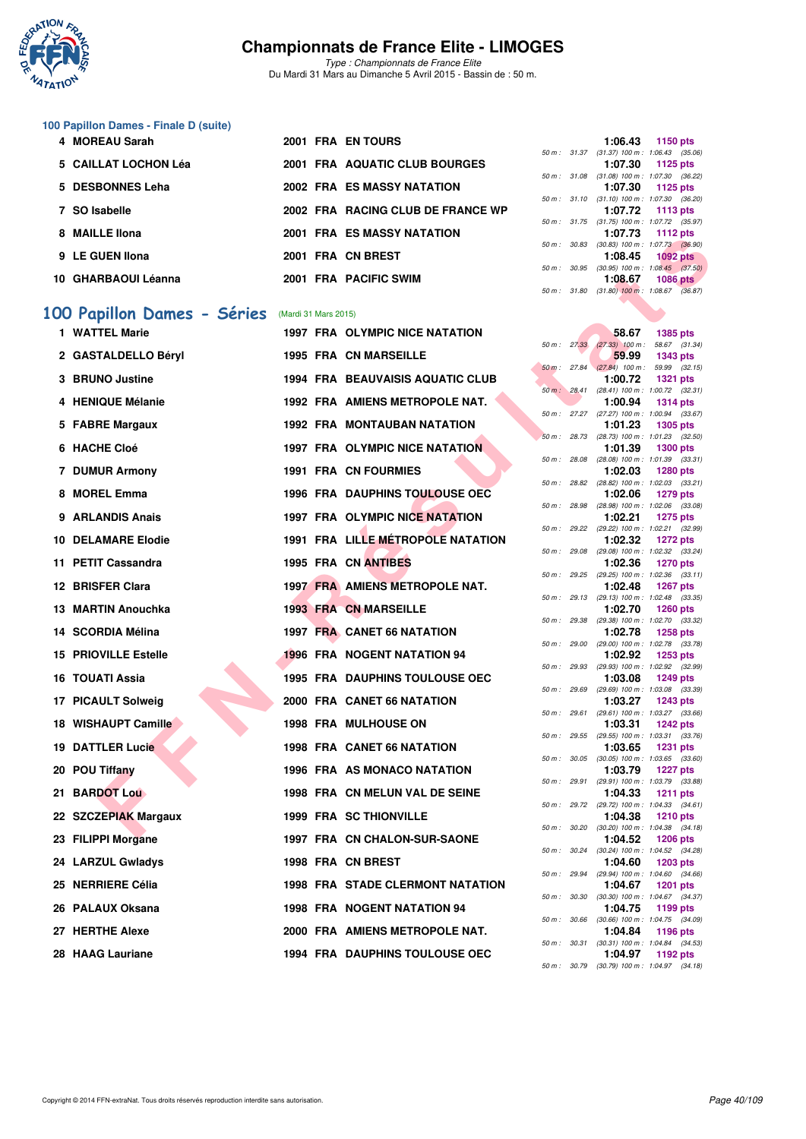

*Type : Championnats de France Elite* Du Mardi 31 Mars au Dimanche 5 Avril 2015 - Bassin de : 50 m.

#### **100 Papillon Dames - Finale D (suite)**

| 4 MOREAU Sarah       |  | 2001 FRA EN TOURS                 |             |              | 1:06.43 1150 pts                        |                 |  |
|----------------------|--|-----------------------------------|-------------|--------------|-----------------------------------------|-----------------|--|
|                      |  |                                   |             |              | 50 m: 31.37 (31.37) 100 m: 1:06.43 (35. |                 |  |
| 5 CAILLAT LOCHON Léa |  | 2001 FRA AQUATIC CLUB BOURGES     |             |              | 1:07.30 1125 pts                        |                 |  |
|                      |  |                                   |             | 50 m : 31.08 | $(31.08)$ 100 m : 1:07.30 $(36.$        |                 |  |
| 5 DESBONNES Leha     |  | <b>2002 FRA ES MASSY NATATION</b> |             |              | 1:07.30 1125 pts                        |                 |  |
|                      |  |                                   |             |              | 50 m: 31.10 (31.10) 100 m: 1:07.30 (36. |                 |  |
| 7 SO Isabelle        |  | 2002 FRA RACING CLUB DE FRANCE WP |             |              | $1:07.72$ 1113 pts                      |                 |  |
|                      |  |                                   |             |              | 50 m: 31.75 (31.75) 100 m: 1:07.72 (35. |                 |  |
| 8 MAILLE IIona       |  | <b>2001 FRA ES MASSY NATATION</b> |             |              | 1:07.73 1112 pts                        |                 |  |
|                      |  |                                   | 50 m: 30.83 |              | $(30.83)$ 100 m : 1:07.73 (36.          |                 |  |
| 9 LE GUEN IIona      |  | 2001 FRA CN BREST                 |             |              | 1:08.45                                 | <b>1092 pts</b> |  |
|                      |  |                                   | 50 m: 30.95 |              | $(30.95)$ 100 m : 1.08.45 $(37)$        |                 |  |
| 10 GHARBAOUI Léanna  |  | 2001 FRA PACIFIC SWIM             |             |              | 1:08.67                                 | <b>1086 pts</b> |  |
|                      |  |                                   |             |              |                                         |                 |  |

# **[100 Papillon Dames - Séries](http://www.ffnatation.fr/webffn/resultats.php?idact=nat&go=epr&idcpt=27187&idepr=32)** (Mardi 31 Mars 2015)

| <b>IVIAILLE IIVIIA</b>      |                      | ZUUI FRA EJ MAJJI NAIAIIUN              |              |              |         | حتار على ال                                                     |  |
|-----------------------------|----------------------|-----------------------------------------|--------------|--------------|---------|-----------------------------------------------------------------|--|
| 9 LE GUEN Ilona             |                      | 2001 FRA CN BREST                       |              |              | 1:08.45 | 50 m : 30.83 (30.83) 100 m : 1:07.73 (36.90)<br><b>1092 pts</b> |  |
| 10 GHARBAOUI Léanna         |                      | 2001 FRA PACIFIC SWIM                   |              |              | 1:08.67 | 50 m : 30.95 (30.95) 100 m : 1:08.45 (37.50)<br>1086 $pts$      |  |
|                             |                      |                                         |              |              |         | 50 m: 31.80 (31.80) 100 m: 1:08.67 (36.87)                      |  |
| 00 Papillon Dames - Séries  | (Mardi 31 Mars 2015) |                                         |              |              |         |                                                                 |  |
| 1 WATTEL Marie              |                      | 1997 FRA OLYMPIC NICE NATATION          |              |              | 58.67   | <b>1385 pts</b>                                                 |  |
| 2 GASTALDELLO Béryl         |                      | 1995 FRA CN MARSEILLE                   | 50 m: 27.33  |              | 59.99   | $(27.33)$ 100 m : 58.67 $(31.34)$<br>1343 pts                   |  |
|                             |                      |                                         |              | 50 m: 27.84  |         | $(27.84)$ 100 m : 59.99 $(32.15)$                               |  |
| 3 BRUNO Justine             |                      | <b>1994 FRA BEAUVAISIS AQUATIC CLUB</b> |              |              | 1:00.72 | <b>1321 pts</b><br>50 m: 28.41 (28.41) 100 m: 1:00.72 (32.31)   |  |
| 4 HENIQUE Mélanie           |                      | 1992 FRA AMIENS METROPOLE NAT.          |              |              | 1:00.94 | <b>1314 pts</b>                                                 |  |
| 5 FABRE Margaux             |                      | <b>1992 FRA MONTAUBAN NATATION</b>      |              |              | 1:01.23 | 50 m: 27.27 (27.27) 100 m: 1:00.94 (33.67)<br>1305 pts          |  |
|                             |                      |                                         |              | 50 m: 28.73  |         | $(28.73)$ 100 m : 1:01.23 $(32.50)$                             |  |
| 6 HACHE Cloé                |                      | 1997 FRA OLYMPIC NICE NATATION.         |              | 50 m : 28.08 | 1:01.39 | <b>1300 pts</b><br>$(28.08)$ 100 m : 1:01.39 $(33.31)$          |  |
| 7 DUMUR Armony              |                      | <b>1991 FRA CN FOURMIES</b>             |              |              | 1:02.03 | <b>1280 pts</b>                                                 |  |
| 8 MOREL Emma                |                      | <b>1996 FRA DAUPHINS TOULOUSE OEC</b>   |              |              | 1:02.06 | 50 m : 28.82 (28.82) 100 m : 1:02.03 (33.21)<br><b>1279 pts</b> |  |
|                             |                      |                                         |              | 50 m : 28.98 |         | $(28.98)$ 100 m : 1:02.06 $(33.08)$                             |  |
| 9 ARLANDIS Anais            |                      | 1997 FRA OLYMPIC NICE NATATION          |              | 50 m : 29.22 | 1:02.21 | <b>1275 pts</b><br>(29.22) 100 m: 1:02.21 (32.99)               |  |
| <b>10 DELAMARE Elodie</b>   |                      | 1991 FRA LILLE MÉTROPOLE NATATION       |              |              | 1:02.32 | <b>1272 pts</b>                                                 |  |
| 11 PETIT Cassandra          |                      | 1995 FRA CN ANTIBES                     |              |              | 1:02.36 | 50 m : 29.08 (29.08) 100 m : 1:02.32 (33.24)<br><b>1270 pts</b> |  |
| 12 BRISFER Clara            |                      |                                         |              | 50 m : 29.25 |         | $(29.25)$ 100 m : 1:02.36 $(33.11)$                             |  |
|                             |                      | <b>1997 FRA AMIENS METROPOLE NAT.</b>   |              |              | 1:02.48 | <b>1267 pts</b><br>50 m: 29.13 (29.13) 100 m: 1:02.48 (33.35)   |  |
| 13 MARTIN Anouchka          |                      | <b>1993 FRA CN MARSEILLE</b>            |              |              | 1:02.70 | <b>1260 pts</b>                                                 |  |
| 14 SCORDIA Mélina           |                      | 1997 FRA CANET 66 NATATION              |              |              | 1:02.78 | 50 m : 29.38 (29.38) 100 m : 1:02.70 (33.32)<br><b>1258 pts</b> |  |
|                             |                      |                                         |              | 50 m : 29.00 |         | (29.00) 100 m : 1:02.78 (33.78)                                 |  |
| <b>15 PRIOVILLE Estelle</b> |                      | <b>1996 FRA NOGENT NATATION 94</b>      |              |              | 1:02.92 | <b>1253 pts</b><br>50 m : 29.93 (29.93) 100 m : 1:02.92 (32.99) |  |
| <b>16 TOUATI Assia</b>      |                      | <b>1995 FRA DAUPHINS TOULOUSE OEC</b>   |              |              | 1:03.08 | <b>1249 pts</b>                                                 |  |
| 17 PICAULT Solweig          |                      | 2000 FRA CANET 66 NATATION              | 50 m : 29.69 |              | 1:03.27 | (29.69) 100 m : 1:03.08 (33.39)<br><b>1243 pts</b>              |  |
| 18 WISHAUPT Camille         |                      | 1998 FRA MULHOUSE ON                    |              |              | 1:03.31 | 50 m: 29.61 (29.61) 100 m: 1:03.27 (33.66)<br><b>1242 pts</b>   |  |
|                             |                      |                                         | 50 m: 29.55  |              |         | (29.55) 100 m: 1:03.31 (33.76)                                  |  |
| <b>19 DATTLER Lucie</b>     |                      | 1998 FRA CANET 66 NATATION              |              |              | 1:03.65 | <b>1231 pts</b><br>50 m : 30.05 (30.05) 100 m : 1:03.65 (33.60) |  |
| 20 POU Tiffany              |                      | 1996 FRA AS MONACO NATATION             |              |              | 1:03.79 | <b>1227 pts</b>                                                 |  |
| 21 BARDOT Lou               |                      | 1998 FRA CN MELUN VAL DE SEINE          |              |              | 1:04.33 | 50 m: 29.91 (29.91) 100 m: 1:03.79 (33.88)<br><b>1211 pts</b>   |  |
|                             |                      |                                         |              |              |         | 50 m: 29.72 (29.72) 100 m: 1:04.33 (34.61)                      |  |
| 22 SZCZEPIAK Margaux        |                      | <b>1999 FRA SC THIONVILLE</b>           |              |              | 1:04.38 | <b>1210 pts</b><br>50 m : 30.20 (30.20) 100 m : 1:04.38 (34.18) |  |
| 23 FILIPPI Morgane          |                      | 1997 FRA CN CHALON-SUR-SAONE            |              |              | 1:04.52 | 1206 pts                                                        |  |
| 24 LARZUL Gwladys           |                      | 1998 FRA CN BREST                       |              |              | 1:04.60 | 50 m : 30.24 (30.24) 100 m : 1:04.52 (34.28)<br><b>1203 pts</b> |  |
|                             |                      |                                         |              |              |         | 50 m : 29.94 (29.94) 100 m : 1:04.60 (34.66)                    |  |
| 25 NERRIERE Célia           |                      | <b>1998 FRA STADE CLERMONT NATATION</b> |              |              | 1:04.67 | 1201 pts<br>50 m: 30.30 (30.30) 100 m: 1:04.67 (34.37)          |  |
| 26 PALAUX Oksana            |                      | <b>1998 FRA NOGENT NATATION 94</b>      |              |              | 1:04.75 | 1199 pts                                                        |  |
| 27 HERTHE Alexe             |                      | 2000 FRA AMIENS METROPOLE NAT.          |              |              | 1:04.84 | 50 m : 30.66 (30.66) 100 m : 1:04.75 (34.09)<br>1196 pts        |  |
|                             |                      |                                         |              |              |         | 50 m: 30.31 (30.31) 100 m: 1:04.84 (34.53)                      |  |
| 28 HAAG Lauriane            |                      | 1994 FRA DAUPHINS TOULOUSE OEC          |              |              | 1:04.97 | 1192 pts                                                        |  |

|          |             | 1:06.43           | <b>1150 pts</b>     |  |
|----------|-------------|-------------------|---------------------|--|
|          | 50 m: 31.37 | $(31.37) 100 m$ : | $1:06.43$ $(35.06)$ |  |
|          |             | 1:07.30           | 1125 pts            |  |
| $50 m$ : | 31.08       | $(31.08) 100 m$ : | 1:07.30 (36.22)     |  |
|          |             | 1:07.30           | 1125 pts            |  |
| $50 m$ : | 31.10       | $(31.10)$ 100 m : | 1:07.30 (36.20)     |  |
|          |             | 1:07.72           | 1113 pts            |  |
| $50 m$ : | 31.75       | $(31.75)$ 100 m : | 1:07.72 (35.97)     |  |
|          |             | 1:07.73 1112 pts  |                     |  |
| $50 m$ : | 30.83       | $(30.83)$ 100 m : | 1:07.73 (36.90)     |  |
|          |             | 1:08.45 1092 pts  |                     |  |
| $50 m$ : | 30.95       | $(30.95)$ 100 m : | $1:08.45$ $(37.50)$ |  |
|          |             | 1:08.67 1086 pts  |                     |  |
| $50 m$ : | 31.80       | $(31.80)$ 100 m : | 1:08.67 (36.87)     |  |
|          |             |                   |                     |  |

|          |       | 58.67                        | 1385 pts            |                |
|----------|-------|------------------------------|---------------------|----------------|
| $50 m$ : | 27.33 | $(27.33)$ 100 m :            | 58.67               | (31.34)        |
|          |       | 59.99                        | 1343 pts            |                |
| $50 m$ : | 27.84 | $(27.84)$ 100 m :            | 59.99               | (32.15)        |
|          |       | 1:00.72                      | 1321                | pts            |
| $50 m$ : | 28.41 | $(28.41)$ 100 m :            | 1:00.72             | (32.31)        |
|          |       | 1:00.94                      | <b>1314 pts</b>     |                |
| $50 m$ : | 27.27 | (27.27) 100 m :              | 1:00.94             | (33.67)        |
|          |       | 1:01.23                      | 1305 pts            |                |
| $50 m$ : | 28.73 | (28.73) 100 m :              | 1:01.23             | (32.50)        |
|          |       | 1:01.39                      | 1300 pts            |                |
| $50 m$ : | 28.08 | (28.08) 100 m :              | 1:01.39             | (33.31)        |
|          |       | 1:02.03                      | 1280 pts            |                |
| $50 m$ : | 28.82 | $(28.82)$ 100 m :            | 1:02.03             | (33.21)        |
|          |       | 1:02.06                      | <b>1279 pts</b>     |                |
| $50 m$ : | 28.98 | (28.98) 100 m :              | 1:02.06             | (33.08)        |
|          |       | 1:02.21                      | 1275 pts            |                |
| $50 m$ : | 29.22 | $(29.22)$ 100 m :            | 1:02.21             | (32.99)        |
|          | 29.08 | 1:02.32<br>$(29.08) 100 m$ : | 1272 pts            |                |
| $50 m$ : |       |                              | 1:02.32             | (33.24)        |
| $50 m$ : | 29.25 | 1:02.36<br>(29.25) 100 m :   | 1270 pts<br>1:02.36 | (33.11)        |
|          |       | 1:02.48                      | 1267                | pts            |
| $50 m$ : | 29.13 | $(29.13) 100 m$ :            | 1:02.48             | (33.35)        |
|          |       | 1:02.70                      | 1260 pts            |                |
| $50 m$ : | 29.38 | $(29.38) 100 m$ :            | 1:02.70             | (33.32)        |
|          |       | 1:02.78                      | 1258 pts            |                |
| $50 m$ : | 29.00 | $(29.00)$ 100 m :            | 1:02.78             | (33.78)        |
|          |       | 1:02.92                      | 1253                | pts            |
| $50 m$ : | 29.93 | (29.93) 100 m :              | 1:02.92             | (32.99)        |
|          |       | 1:03.08                      | 1249 pts            |                |
| $50 m$ : | 29.69 | (29.69) 100 m :              | 1:03.08             | (33.39)        |
|          |       | 1:03.27                      | 1243 pts            |                |
| $50 m$ : | 29.61 | $(29.61)$ 100 m :            | 1:03.27             | (33.66)        |
|          |       | 1:03.31                      | 1242                | pts            |
| $50 m$ : | 29.55 | (29.55) 100 m :              | 1:03.31             | (33.76)        |
|          |       | 1:03.65                      | 1231                | pts            |
| $50 m$ : | 30.05 | $(30.05)$ 100 m :            | 1:03.65             | (33.60)        |
|          |       | 1:03.79                      | 1227                | pts            |
| $50 m$ : | 29.91 | (29.91) 100 m :              | 1:03.79             | (33.88)        |
|          |       | 1:04.33                      | 1211                | pts            |
| $50 m$ : | 29.72 | (29.72) 100 m :              | 1:04.33             | (34.61)        |
| $50 m$ : | 30.20 | 1:04.38<br>$(30.20)$ 100 m : | 1210<br>1:04.38     | pts<br>(34.18) |
|          |       | 1:04.52                      | 1206                | pts            |
| $50 m$ : | 30.24 | $(30.24)$ 100 m :            | 1:04.52             | (34.28)        |
|          |       | 1:04.60                      | 1203                | pts            |
| $50 m$ : | 29.94 | (29.94) 100 m :              | 1:04.60             | (34.66)        |
|          |       | 1:04.67                      | 1201                | pts            |
| $50 m$ : | 30.30 | $(30.30)$ 100 m :            | 1:04.67             | (34.37)        |
|          |       | 1:04.75                      | 1199                | pts            |
| $50 m$ : | 30.66 | $(30.66) 100 m$ :            | 1:04.75             | (34.09)        |
|          |       | 1:04.84                      | 1196 pts            |                |
| $50 m$ : | 30.31 | $(30.31)$ 100 m :            | 1:04.84             | (34.53)        |
|          |       | 1:04.97                      | 1192 pts            |                |
| $50 m$ : | 30.79 | $(30.79)$ 100 m :            | 1:04.97             | (34.18)        |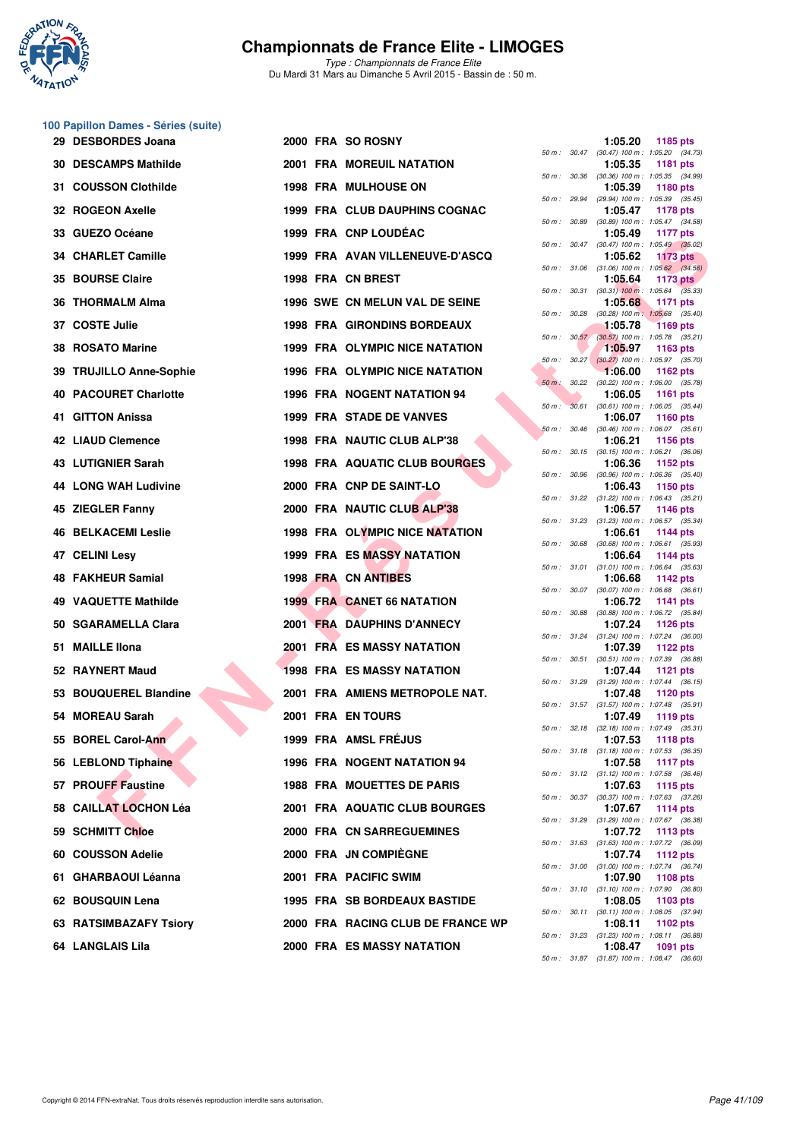

*Type : Championnats de France Elite* Du Mardi 31 Mars au Dimanche 5 Avril 2015 - Bassin de : 50 m.

#### **100 Papillon Dames - Séries (suite)**

| 29 DESBORDES Joana           |  | 2000 FRA SO ROSNY                     |              |              | 1:05.20                                                 | 1185 pts        |  |
|------------------------------|--|---------------------------------------|--------------|--------------|---------------------------------------------------------|-----------------|--|
| <b>30 DESCAMPS Mathilde</b>  |  | <b>2001 FRA MOREUIL NATATION</b>      |              |              | 50 m: 30.47 (30.47) 100 m: 1:05.20 (34.73)<br>1:05.35   | <b>1181 pts</b> |  |
| 31 COUSSON Clothilde         |  | <b>1998 FRA MULHOUSE ON</b>           | 50 m: 30.36  |              | $(30.36)$ 100 m : 1:05.35 $(34.99)$<br>1:05.39          | 1180 pts        |  |
| 32 ROGEON Axelle             |  | 1999 FRA CLUB DAUPHINS COGNAC         |              | 50 m : 29.94 | (29.94) 100 m : 1:05.39 (35.45)<br>1:05.47              | 1178 pts        |  |
| 33 GUEZO Océane              |  | 1999 FRA CNP LOUDEAC                  | 50 m : 30.89 |              | $(30.89)$ 100 m : 1:05.47 $(34.58)$<br>1:05.49          | 1177 pts        |  |
| 34 CHARLET Camille           |  | 1999 FRA AVAN VILLENEUVE-D'ASCQ       |              |              | 50 m : 30.47 (30.47) 100 m : 1:05.49 (35.02)<br>1:05.62 | <b>1173 pts</b> |  |
| <b>35 BOURSE Claire</b>      |  | 1998 FRA CN BREST                     |              |              | 50 m : 31.06 (31.06) 100 m : 1:05.62 (34.56)<br>1:05.64 | 1173 $pts$      |  |
| 36 THORMALM Alma             |  | <b>1996 SWE CN MELUN VAL DE SEINE</b> |              | 50 m : 30.31 | $(30.31)$ 100 m : 1:05.64 $(35.33)$<br>1:05.68          | 1171 pts        |  |
| 37 COSTE Julie               |  | 1998 FRA GIRONDINS BORDEAUX           | 50 m : 30.28 |              | $(30.28)$ 100 m : 1:05.68 $(35.40)$<br>1:05.78          | <b>1169 pts</b> |  |
|                              |  |                                       |              | 50 m: 30.57  | $(30.57)$ 100 m : 1:05.78 $(35.21)$                     |                 |  |
| 38 ROSATO Marine             |  | <b>1999 FRA OLYMPIC NICE NATATION</b> |              |              | 1:05.97<br>50 m : 30.27 (30.27) 100 m : 1:05.97 (35.70) | 1163 pts        |  |
| 39 TRUJILLO Anne-Sophie      |  | <b>1996 FRA OLYMPIC NICE NATATION</b> | $50 m$ :     | 30.22        | 1:06.00<br>$(30.22)$ 100 m : 1:06.00 $(35.78)$          | 1162 pts        |  |
| <b>40 PACOURET Charlotte</b> |  | <b>1996 FRA NOGENT NATATION 94</b>    | $50 m$ :     | 30.61        | 1:06.05<br>$(30.61)$ 100 m : 1:06.05 $(35.44)$          | <b>1161 pts</b> |  |
| 41 GITTON Anissa             |  | <b>1999 FRA STADE DE VANVES</b>       | 50 m: 30.46  |              | 1:06.07<br>$(30.46)$ 100 m : 1:06.07 $(35.61)$          | 1160 pts        |  |
| 42 LIAUD Clemence            |  | 1998 FRA NAUTIC CLUB ALP'38           |              |              | 1:06.21<br>50 m: 30.15 (30.15) 100 m: 1:06.21 (36.06)   | <b>1156 pts</b> |  |
| 43 LUTIGNIER Sarah           |  | 1998 FRA AQUATIC CLUB BOURGES         | 50 m : 30.96 |              | 1:06.36<br>$(30.96)$ 100 m : 1:06.36 $(35.40)$          | 1152 pts        |  |
| 44 LONG WAH Ludivine         |  | 2000 FRA CNP DE SAINT-LO              |              |              | 1:06.43                                                 | 1150 pts        |  |
| 45 ZIEGLER Fanny             |  | 2000 FRA NAUTIC CLUB ALP'38           |              |              | 50 m: 31.22 (31.22) 100 m: 1:06.43 (35.21)<br>1:06.57   | 1146 pts        |  |
| <b>46 BELKACEMI Leslie</b>   |  | 1998 FRA OLYMPIC NICE NATATION        |              |              | 50 m: 31.23 (31.23) 100 m: 1:06.57 (35.34)<br>1:06.61   | <b>1144 pts</b> |  |
| 47 CELINI Lesy               |  | <b>1999 FRA ES MASSY NATATION</b>     | 50 m : 30.68 |              | $(30.68)$ 100 m : 1:06.61 $(35.93)$<br>1:06.64          | 1144 pts        |  |
| 48 FAKHEUR Samial            |  | 1998 FRA CN ANTIBES                   |              |              | 50 m: 31.01 (31.01) 100 m: 1:06.64 (35.63)<br>1:06.68   | 1142 pts        |  |
| 49 VAQUETTE Mathilde         |  | <b>1999 FRA CANET 66 NATATION</b>     | 50 m: 30.07  |              | $(30.07)$ 100 m : 1:06.68 $(36.61)$<br>1:06.72          | 1141 pts        |  |
| 50 SGARAMELLA Clara          |  | <b>2001 FRA DAUPHINS D'ANNECY</b>     | 50 m : 30.88 |              | $(30.88)$ 100 m : 1:06.72 $(35.84)$<br>1:07.24          | 1126 pts        |  |
| 51 MAILLE Ilona              |  | <b>2001 FRA ES MASSY NATATION</b>     |              |              | 50 m: 31.24 (31.24) 100 m: 1:07.24 (36.00)<br>1:07.39   | 1122 pts        |  |
| 52 RAYNERT Maud              |  | <b>1998 FRA ES MASSY NATATION</b>     |              | 50 m : 30.51 | $(30.51)$ 100 m : 1:07.39 $(36.88)$<br>1:07.44          | 1121 $pts$      |  |
| 53 BOUQUEREL Blandine        |  | 2001 FRA AMIENS METROPOLE NAT.        |              |              | 50 m: 31.29 (31.29) 100 m: 1:07.44 (36.15)<br>1:07.48   | 1120 pts        |  |
|                              |  |                                       |              |              | 50 m: 31.57 (31.57) 100 m: 1:07.48 (35.91)              |                 |  |
| 54 MOREAU Sarah              |  | 2001 FRA EN TOURS                     |              |              | 1:07.49<br>50 m: 32.18 (32.18) 100 m: 1:07.49 (35.31)   | 1119 pts        |  |
| 55 BOREL Carol-Ann           |  | 1999 FRA AMSL FRÉJUS                  |              |              | 1:07.53<br>50 m: 31.18 (31.18) 100 m: 1:07.53 (36.35)   | <b>1118 pts</b> |  |
| 56 LEBLOND Tiphaine          |  | <b>1996 FRA NOGENT NATATION 94</b>    |              |              | 1:07.58<br>50 m: 31.12 (31.12) 100 m: 1:07.58 (36.46)   | <b>1117 pts</b> |  |
| 57 PROUFF Faustine           |  | <b>1988 FRA MOUETTES DE PARIS</b>     |              |              | 1:07.63<br>50 m: 30.37 (30.37) 100 m: 1:07.63 (37.26)   | 1115 pts        |  |
| 58 CAILLAT LOCHON Léa        |  | 2001 FRA AQUATIC CLUB BOURGES         |              |              | 1:07.67<br>50 m: 31.29 (31.29) 100 m: 1:07.67 (36.38)   | 1114 pts        |  |
| 59 SCHMITT Chloe             |  | <b>2000 FRA CN SARREGUEMINES</b>      |              |              | 1:07.72                                                 | 1113 pts        |  |
| 60 COUSSON Adelie            |  | 2000 FRA JN COMPIÈGNE                 |              |              | 50 m: 31.63 (31.63) 100 m: 1:07.72 (36.09)<br>1:07.74   | <b>1112 pts</b> |  |
| 61 GHARBAOUI Léanna          |  | 2001 FRA PACIFIC SWIM                 |              |              | 50 m: 31.00 (31.00) 100 m: 1:07.74 (36.74)<br>1:07.90   | 1108 pts        |  |
| 62 BOUSQUIN Lena             |  | <b>1995 FRA SB BORDEAUX BASTIDE</b>   |              |              | 50 m : 31.10 (31.10) 100 m : 1:07.90 (36.80)<br>1:08.05 | 1103 pts        |  |
| 63 RATSIMBAZAFY Tsiory       |  | 2000 FRA RACING CLUB DE FRANCE WP     |              |              | 50 m: 30.11 (30.11) 100 m: 1:08.05 (37.94)<br>1:08.11   | 1102 pts        |  |
| 64 LANGLAIS Lila             |  | <b>2000 FRA ES MASSY NATATION</b>     |              |              | 50 m : 31.23 (31.23) 100 m : 1:08.11 (36.88)<br>1:08.47 | 1091 pts        |  |
|                              |  |                                       |              |              |                                                         |                 |  |

|          |       | 1:05.20                      | 1185 pts                              |
|----------|-------|------------------------------|---------------------------------------|
| 50 m :   | 30.47 | $(30.47) 100 m$ :            | 1:05.20 (34.73)                       |
|          | 30.36 | 1:05.35                      | 1181 pts<br>1:05.35                   |
| $50 m$ : |       | $(30.36)$ 100 m :<br>1:05.39 | (34.99)<br>1180 pts                   |
| $50 m$ : | 29.94 | $(29.94) 100 m$ :            | 1:05.39<br>(35.45)                    |
| $50 m$ : | 30.89 | 1:05.47<br>$(30.89)$ 100 m : | 1178 pts<br>1:05.47<br>(34.58)        |
|          |       | 1:05.49                      | <b>1177 pts</b>                       |
| $50 m$ : | 30.47 | $(30.47) 100 m$ :<br>1:05.62 | 1:05.49 (35.02)<br><b>1173 pts</b>    |
| $50 m$ : | 31.06 | $(31.06) 100 m$ :            | 1:05.62 (34.56)                       |
| $50 m$ : | 30.31 | 1:05.64<br>$(30.31)$ 100 m : | <b>1173 pts</b><br>$1:05.64$ (35.33)  |
|          |       | 1:05.68                      | 1171 pts                              |
| $50 m$ : | 30.28 | $(30.28)$ 100 m :<br>1:05.78 | 1:05.68<br>(35.40)<br><b>1169 pts</b> |
| 50 m :   | 30.57 | $(30.57)$ 100 m :            | 1:05.78<br>(35.21)                    |
|          |       | 1:05.97                      | 1163 pts                              |
| $50 m$ : | 30.27 | $(30.27)$ 100 m :<br>1:06.00 | 1:05.97<br>(35.70)<br>1162 pts        |
| $50 m$ : | 30.22 | $(30.22)$ 100 m :            | 1:06.00<br>(35.78)                    |
| $50 m$ : | 30.61 | 1:06.05<br>$(30.61)$ 100 m : | 1161 pts<br>1:06.05<br>(35.44)        |
|          |       | 1:06.07                      | 1160 pts                              |
| 50 m :   | 30.46 | $(30.46) 100 m$ :            | 1:06.07<br>(35.61)                    |
| $50 m$ : | 30.15 | 1:06.21<br>$(30.15)$ 100 m : | 1156 pts<br>1:06.21<br>(36.06)        |
|          |       | 1:06.36                      | 1152 pts                              |
| $50 m$ : | 30.96 | $(30.96)$ 100 m :<br>1:06.43 | 1:06.36<br>(35.40)<br>1150 pts        |
| $50 m$ : | 31.22 | $(31.22)$ 100 m :            | 1:06.43<br>(35.21)                    |
| $50 m$ : | 31.23 | 1:06.57<br>$(31.23) 100 m$ : | 1146 pts<br>1:06.57<br>(35.34)        |
|          |       | 1:06.61                      | 1144 pts                              |
| $50 m$ : | 30.68 | $(30.68) 100 m$ :<br>1:06.64 | 1:06.61<br>(35.93)<br><b>1144 pts</b> |
| $50 m$ : | 31.01 | $(31.01) 100 m$ :            | 1:06.64 (35.63)                       |
|          |       | 1:06.68                      | 1142 pts                              |
| $50 m$ : | 30.07 | $(30.07)$ 100 m :<br>1:06.72 | 1:06.68<br>(36.61)<br>1141 pts        |
| $50 m$ : | 30.88 | $(30.88) 100 m$ :            | 1:06.72<br>(35.84)                    |
| $50 m$ : | 31.24 | 1:07.24<br>$(31.24) 100 m$ : | 1126 pts<br>1:07.24<br>(36.00)        |
|          |       | 1:07.39                      | 1122 pts                              |
| 50 m :   | 30.51 | $(30.51)$ 100 m :<br>1:07.44 | 1:07.39<br>(36.88)<br>1121 pts        |
| $50 m$ : | 31.29 | $(31.29) 100 m$ :            | 1:07.44<br>(36.15)                    |
| $50 m$ : | 31.57 | 1:07.48<br>$(31.57) 100 m$ : | <b>1120 pts</b><br>1:07.48<br>(35.91) |
|          |       | 1:07.49                      | 1119 pts                              |
| $50 m$ : | 32.18 | $(32.18) 100 m$ :<br>1:07.53 | 1:07.49<br>(35.31)<br>1118 pts        |
| $50 m$ : | 31.18 | (31.18) 100 m :              | 1:07.53<br>(36.35)                    |
|          |       | 1:07.58                      | <b>1117 pts</b>                       |
| $50 m$ : | 31.12 | $(31.12) 100 m$ :<br>1:07.63 | 1:07.58<br>(36.46)<br><b>1115 pts</b> |
| $50 m$ : | 30.37 | $(30.37)$ 100 m :            | 1:07.63<br>(37.26)                    |
| $50 m$ : | 31.29 | 1:07.67<br>(31.29) 100 m :   | 1114 pts<br>1:07.67<br>(36.38)        |
|          |       | 1:07.72                      | 1113 pts                              |
| $50 m$ : | 31.63 | $(31.63) 100 m$ :<br>1:07.74 | 1:07.72<br>(36.09)<br>1112 pts        |
| $50 m$ : | 31.00 | $(31.00) 100 m$ :            | 1:07.74<br>(36.74)                    |
|          | 31.10 | 1:07.90                      | 1108 pts                              |
| $50 m$ : |       | $(31.10) 100 m$ :<br>1:08.05 | 1:07.90<br>(36.80)<br>1103 pts        |
| $50 m$ : | 30.11 | $(30.11)$ 100 m :            | 1:08.05<br>(37.94)                    |
| $50 m$ : | 31.23 | 1:08.11<br>(31.23) 100 m :   | 1102 pts<br>1:08.11<br>(36.88)        |
|          |       | 1:08.47                      | 1091 pts                              |
| $50 m$ : | 31.87 | (31.87) 100 m :              | 1:08.47 (36.60)                       |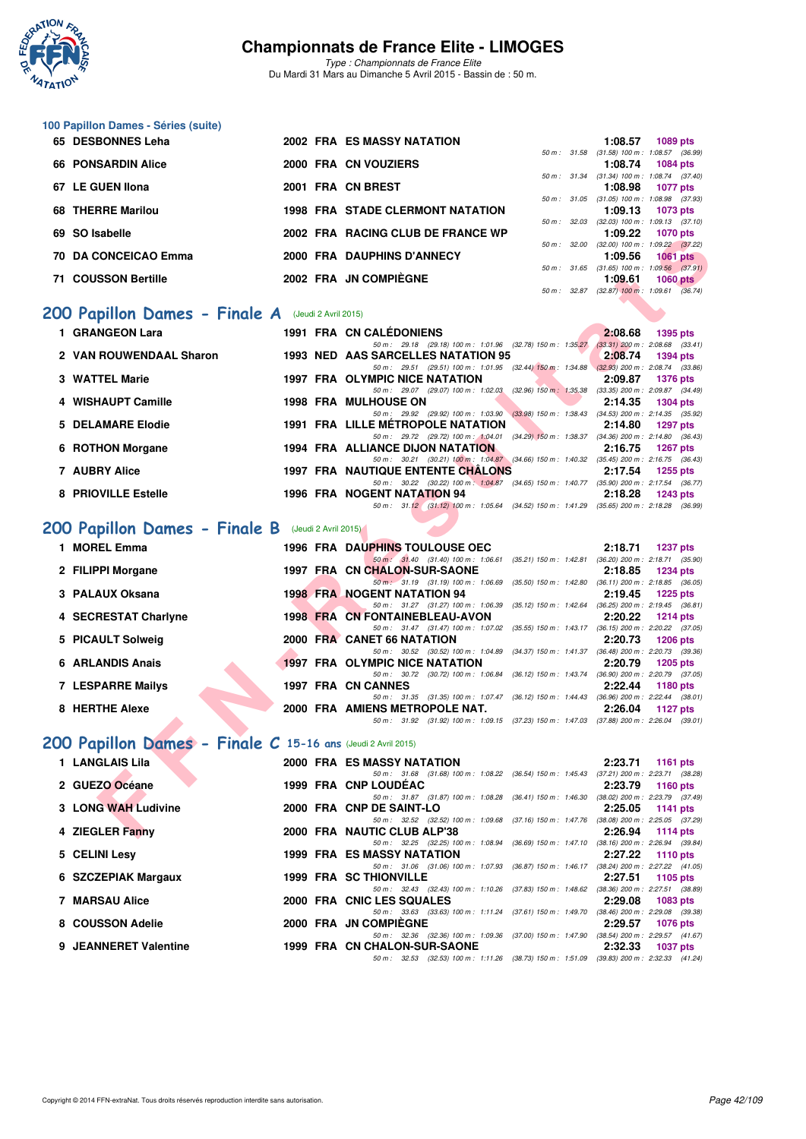

**100 Papillon Dames - Séries (suite)**

## **Championnats de France Elite - LIMOGES**

*Type : Championnats de France Elite* Du Mardi 31 Mars au Dimanche 5 Avril 2015 - Bassin de : 50 m.

|   | 65 DESBONNES Leha                                            |  | <b>2002 FRA ES MASSY NATATION</b>                                                                                                    |              | 1:08.57 | 1089 pts                                                      |
|---|--------------------------------------------------------------|--|--------------------------------------------------------------------------------------------------------------------------------------|--------------|---------|---------------------------------------------------------------|
|   | <b>66 PONSARDIN Alice</b>                                    |  | 2000 FRA CN VOUZIERS                                                                                                                 |              | 1:08.74 | 50 m: 31.58 (31.58) 100 m: 1:08.57 (36.99)<br><b>1084 pts</b> |
|   | 67 LE GUEN Ilona                                             |  | 2001 FRA CN BREST                                                                                                                    |              | 1:08.98 | 50 m: 31.34 (31.34) 100 m: 1:08.74 (37.40)<br><b>1077 pts</b> |
|   | 68 THERRE Marilou                                            |  | <b>1998 FRA STADE CLERMONT NATATION</b>                                                                                              |              |         | 50 m: 31.05 (31.05) 100 m: 1:08.98 (37.93)                    |
|   |                                                              |  |                                                                                                                                      | 50 m : 32.03 | 1:09.13 | <b>1073 pts</b><br>$(32.03)$ 100 m : 1:09.13 $(37.10)$        |
|   | 69 SO Isabelle                                               |  | 2002 FRA RACING CLUB DE FRANCE WP                                                                                                    |              | 1:09.22 | <b>1070 pts</b><br>50 m: 32.00 (32.00) 100 m: 1:09.22 (37.22) |
|   | 70 DA CONCEICAO Emma                                         |  | 2000 FRA DAUPHINS D'ANNECY                                                                                                           |              | 1:09.56 | <b>1061 pts</b>                                               |
|   | 71 COUSSON Bertille                                          |  | 2002 FRA JN COMPIÈGNE                                                                                                                |              | 1:09.61 | 50 m: 31.65 (31.65) 100 m: 1:09.56 (37.91)<br>$1060$ pts      |
|   |                                                              |  |                                                                                                                                      |              |         | 50 m : 32.87 (32.87) 100 m : 1:09.61 (36.74)                  |
|   | 200 Papillon Dames - Finale A (Jeudi 2 Avril 2015)           |  |                                                                                                                                      |              |         |                                                               |
|   | 1 GRANGEON Lara                                              |  | 1991 FRA CN CALÉDONIENS                                                                                                              |              | 2:08.68 | <b>1395 pts</b>                                               |
|   | 2 VAN ROUWENDAAL Sharon                                      |  | 50 m: 29.18 (29.18) 100 m: 1:01.96 (32.78) 150 m: 1:35.27 (33.31) 200 m: 2:08.68 (33.41)<br>1993 NED AAS SARCELLES NATATION 95       |              | 2:08.74 | <b>1394 pts</b>                                               |
|   |                                                              |  | 50 m: 29.51 (29.51) 100 m: 1:01.95 (32.44) 150 m: 1:34.88 (32.93) 200 m: 2:08.74 (33.86)                                             |              |         |                                                               |
|   | 3 WATTEL Marie                                               |  | 1997 FRA OLYMPIC NICE NATATION<br>50 m: 29.07 (29.07) 100 m: 1:02.03 (32.96) 150 m: 1:35.38 (33.35) 200 m: 2:09.87 (34.49)           |              | 2:09.87 | <b>1376 pts</b>                                               |
|   | 4 WISHAUPT Camille                                           |  | <b>1998 FRA MULHOUSE ON</b><br>50 m: 29.92 (29.92) 100 m: 1:03.90 (33.98) 150 m: 1:38.43 (34.53) 200 m: 2:14.35 (35.92)              |              | 2:14.35 | <b>1304 pts</b>                                               |
| 5 | <b>DELAMARE Elodie</b>                                       |  | <b>1991 FRA LILLE METROPOLE NATATION</b>                                                                                             |              | 2:14.80 | <b>1297 pts</b>                                               |
|   | 6 ROTHON Morgane                                             |  | 50 m: 29.72 (29.72) 100 m: 1:04.01 (34.29) 150 m: 1:38.37 (34.36) 200 m: 2:14.80 (36.43)<br>1994 FRA ALLIANCE DIJON NATATION         |              | 2:16.75 | <b>1267 pts</b>                                               |
|   |                                                              |  | 50 m: 30.21 (30.21) 100 m: 1:04.87 (34.66) 150 m: 1:40.32 (35.45) 200 m: 2:16.75 (36.43)                                             |              |         |                                                               |
|   | 7 AUBRY Alice                                                |  | <b>1997 FRA NAUTIQUE ENTENTE CHALONS</b><br>50 m: 30.22 (30.22) 100 m: 1:04.87 (34.65) 150 m: 1:40.77 (35.90) 200 m: 2:17.54 (36.77) |              | 2:17.54 | <b>1255 pts</b>                                               |
|   | 8 PRIOVILLE Estelle                                          |  | 1996 FRA NOGENT NATATION 94                                                                                                          |              | 2:18.28 | <b>1243 pts</b>                                               |
|   |                                                              |  | 50 m: 31.12 (31.12) 100 m: 1:05.64 (34.52) 150 m: 1:41.29 (35.65) 200 m: 2:18.28 (36.99)                                             |              |         |                                                               |
|   | 200 Papillon Dames - Finale B (Jeudi 2 Avril 2015)           |  |                                                                                                                                      |              |         |                                                               |
|   | 1 MOREL Emma                                                 |  | 1996 FRA DAUPHINS TOULOUSE OEC                                                                                                       |              | 2:18.71 | <b>1237 pts</b>                                               |
|   | 2 FILIPPI Morgane                                            |  | 50 m: 31.40 (31.40) 100 m: 1:06.61 (35.21) 150 m: 1:42.81 (36.20) 200 m: 2:18.71 (35.90)<br>1997 FRA CN CHALON-SUR-SAONE             |              | 2:18.85 | <b>1234 pts</b>                                               |
|   |                                                              |  | 50 m: 31.19 (31.19) 100 m: 1:06.69 (35.50) 150 m: 1:42.80 (36.11) 200 m: 2:18.85 (36.05)                                             |              |         |                                                               |
|   | 3 PALAUX Oksana                                              |  | <b>1998 FRA NOGENT NATATION 94</b><br>50 m: 31.27 (31.27) 100 m: 1:06.39 (35.12) 150 m: 1:42.64 (36.25) 200 m: 2:19.45 (36.81)       |              | 2:19.45 | <b>1225 pts</b>                                               |
|   | 4 SECRESTAT Charlyne                                         |  | 1998 FRA CN FONTAINEBLEAU-AVON                                                                                                       |              | 2:20.22 | <b>1214 pts</b>                                               |
|   | 5 PICAULT Solweig                                            |  | 50 m: 31.47 (31.47) 100 m: 1:07.02 (35.55) 150 m: 1:43.17 (36.15) 200 m: 2:20.22 (37.05)<br>2000 FRA CANET 66 NATATION               |              | 2:20.73 | <b>1206 pts</b>                                               |
|   |                                                              |  | 50 m: 30.52 (30.52) 100 m: 1:04.89 (34.37) 150 m: 1:41.37 (36.48) 200 m: 2:20.73 (39.36)                                             |              |         |                                                               |
|   | 6 ARLANDIS Anais                                             |  | <b>1997 FRA OLYMPIC NICE NATATION</b><br>50 m: 30.72 (30.72) 100 m: 1:06.84 (36.12) 150 m: 1:43.74 (36.90) 200 m: 2:20.79 (37.05)    |              | 2:20.79 | <b>1205 pts</b>                                               |
|   | 7 LESPARRE Mailys                                            |  | 1997 FRA CN CANNES                                                                                                                   |              | 2:22.44 | 1180 pts                                                      |
|   | 8 HERTHE Alexe                                               |  | 50 m: 31.35 (31.35) 100 m: 1:07.47 (36.12) 150 m: 1:44.43 (36.96) 200 m: 2:22.44 (38.01)<br>2000 FRA AMIENS METROPOLE NAT.           |              | 2:26.04 | <b>1127 pts</b>                                               |
|   |                                                              |  | 50 m: 31.92 (31.92) 100 m: 1:09.15 (37.23) 150 m: 1:47.03 (37.88) 200 m: 2:26.04 (39.01)                                             |              |         |                                                               |
|   | 200 Papillon Dames - Finale C 15-16 ans (Jeudi 2 Avril 2015) |  |                                                                                                                                      |              |         |                                                               |
|   | 1 LANGLAIS Lila                                              |  | 2000 FRA ES MASSY NATATION                                                                                                           |              | 2:23.71 | 1161 pts                                                      |
|   |                                                              |  | 50 m: 31.68 (31.68) 100 m: 1:08.22 (36.54) 150 m: 1:45.43 (37.21) 200 m: 2:23.71 (38.28)                                             |              |         |                                                               |
|   | 2 GUEZO Océane                                               |  | 1999 FRA CNP LOUDEAC<br>50 m: 31.87 (31.87) 100 m: 1:08.28 (36.41) 150 m: 1:46.30                                                    |              | 2:23.79 | 1160 pts<br>(38.02) 200 m : 2:23.79 (37.49)                   |
|   | 3 LONG WAH Ludivine                                          |  | 2000 FRA CNP DE SAINT-LO                                                                                                             |              | 2:25.05 | 1141 pts                                                      |
|   | 4 ZIEGLER Fanny                                              |  | 50 m: 32.52 (32.52) 100 m: 1:09.68 (37.16) 150 m: 1:47.76 (38.08) 200 m: 2:25.05 (37.29)<br>2000 FRA NAUTIC CLUB ALP'38              |              | 2:26.94 | 1114 pts                                                      |
|   |                                                              |  | 50 m: 32.25 (32.25) 100 m: 1:08.94 (36.69) 150 m: 1:47.10 (38.16) 200 m: 2:26.94 (39.84)                                             |              |         |                                                               |
|   | 5 CELINI Lesy                                                |  | 1999 FRA ES MASSY NATATION                                                                                                           |              | 2:27.22 | <b>1110 pts</b>                                               |

**8 COUSSON Adelie 2000 FRA JN COMPIÈGNE 2:29.57 1076 pts** *50 m : 32.36 (32.36) 100 m : 1:09.36 (37.00) 150 m : 1:47.90 (38.54) 200 m : 2:29.57 (41.67)* **9 JEANNERET Valentine 1999 FRA CN CHALON-SUR-SAONE 2:32.33 1037 pts**

**6 SZCZEPIAK Margaux 1999 FRA SC THIONVILLE 2:27.51 1105 pts**

**7 MARSAU Alice 2000 FRA CNIC LES SQUALES** 

*50 m : 31.06 (31.06) 100 m : 1:07.93 (36.87) 150 m : 1:46.17 (38.24) 200 m : 2:27.22 (41.05)*<br>**HIONVILLE** 2:27.51 1105 pts

*50 m : 32.43 (32.43) 100 m : 1:10.26 (37.83) 150 m : 1:48.62 (38.36) 200 m : 2:27.51 (38.89)*<br> **LES SQUALES** 2:29.08 1083 pts

*50 m : 32.53 (32.53) 100 m : 1:11.26 (38.73) 150 m : 1:51.09 (39.83) 200 m : 2:32.33 (41.24)*

1999 1101 1101 *50 m : 33.63* (33.63) 100 m : 1:11.24 (37.61) 150 m : 1:49.70 (38.46) 200 m : 2:29.08 (39.38)<br>**2000 FRA JN COMPIÈGNE** 2:29.57 1076 pts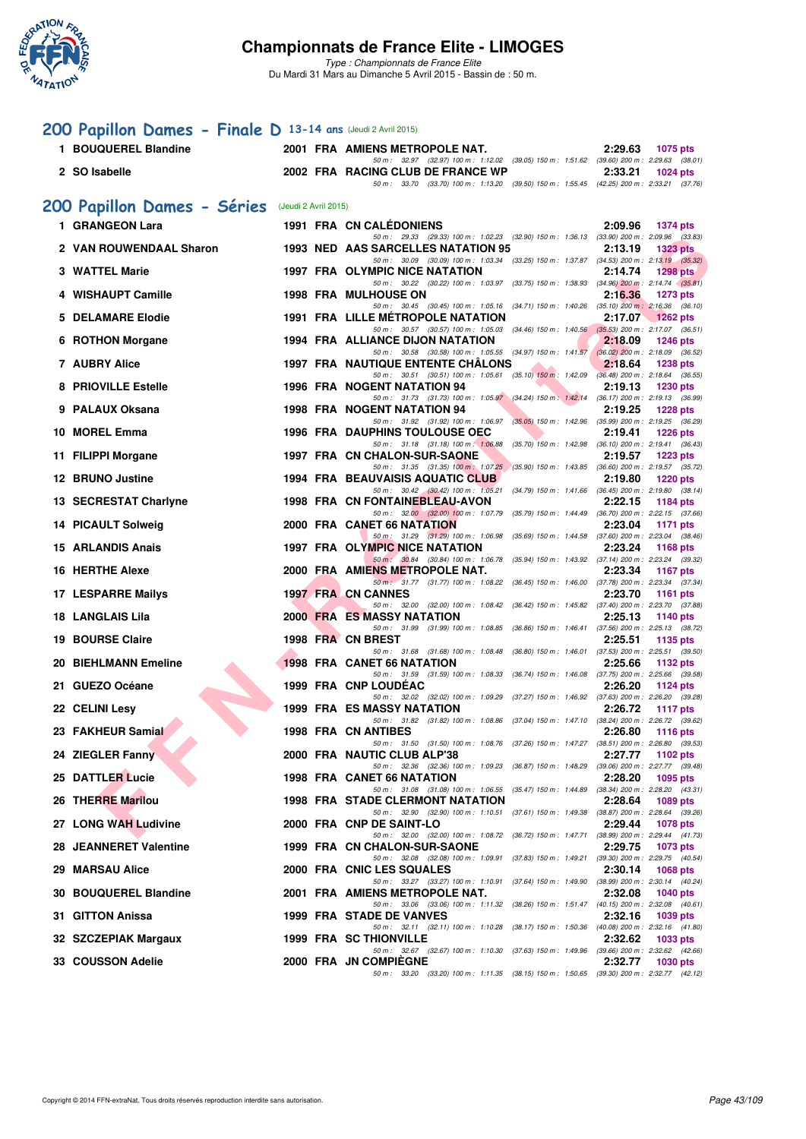

*Type : Championnats de France Elite* Du Mardi 31 Mars au Dimanche 5 Avril 2015 - Bassin de : 50 m.

# **[200 Papillon Dames - Finale D](http://www.ffnatation.fr/webffn/resultats.php?idact=nat&go=epr&idcpt=27187&idepr=33) 13-14 ans** (Jeudi 2 Avril 2015)

|   | 1 BOUQUEREL Blandine        |                      | 2001 FRA AMIENS METROPOLE NAT.                                                                                                       | 2:29.63<br>1075 pts        |
|---|-----------------------------|----------------------|--------------------------------------------------------------------------------------------------------------------------------------|----------------------------|
|   | 2 SO Isabelle               |                      | 50 m: 32.97 (32.97) 100 m: 1:12.02 (39.05) 150 m: 1:51.62 (39.60) 200 m: 2:29.63 (38.01)<br>2002 FRA RACING CLUB DE FRANCE WP        | 2:33.21<br>$1024$ pts      |
|   |                             |                      | 50 m: 33.70 (33.70) 100 m: 1:13.20 (39.50) 150 m: 1:55.45 (42.25) 200 m: 2:33.21 (37.76)                                             |                            |
|   | 200 Papillon Dames - Séries | (Jeudi 2 Avril 2015) |                                                                                                                                      |                            |
|   | 1 GRANGEON Lara             |                      | <b>1991 FRA CN CALEDONIENS</b><br>50 m: 29.33 (29.33) 100 m: 1:02.23 (32.90) 150 m: 1:36.13 (33.90) 200 m: 2:09.96 (33.83)           | 2:09.96 1374 pts           |
|   | 2 VAN ROUWENDAAL Sharon     |                      | 1993 NED AAS SARCELLES NATATION 95                                                                                                   | 2:13.19<br><b>1323 pts</b> |
|   | 3 WATTEL Marie              |                      | 50 m: 30.09 (30.09) 100 m: 1:03.34 (33.25) 150 m: 1:37.87 (34.53) 200 m: 2:13.19 (35.32)<br>1997 FRA OLYMPIC NICE NATATION           | 2:14.74<br>1298 pts        |
|   | 4 WISHAUPT Camille          |                      | 50 m: 30.22 (30.22) 100 m: 1:03.97 (33.75) 150 m: 1:38.93 (34.96) 200 m: 2:14.74 (35.81)<br><b>1998 FRA MULHOUSE ON</b>              | 2:16.36<br><b>1273 pts</b> |
| 5 | <b>DELAMARE Elodie</b>      |                      | 50 m: 30.45 (30.45) 100 m: 1:05.16 (34.71) 150 m: 1:40.26 (35.10) 200 m: 2:16.36 (36.10)<br><b>1991 FRA LILLE METROPOLE NATATION</b> | $2:17.07$ 1262 pts         |
|   | 6 ROTHON Morgane            |                      | 50 m: 30.57 (30.57) 100 m: 1:05.03 (34.46) 150 m: 1:40.56 (35.53) 200 m: 2:17.07 (36.51)<br>1994 FRA ALLIANCE DIJON NATATION         | 2:18.09<br><b>1246 pts</b> |
|   | 7 AUBRY Alice               |                      | 50 m: 30.58 (30.58) 100 m: 1:05.55 (34.97) 150 m: 1:41.57 (36.02) 200 m: 2:18.09 (36.52)<br><b>1997 FRA NAUTIQUE ENTENTE CHALONS</b> | 2:18.64<br><b>1238 pts</b> |
|   |                             |                      | 50 m: 30.51 (30.51) 100 m: 1:05.61 (35.10) 150 m: 1:42.09 (36.48) 200 m: 2:18.64 (36.55)                                             |                            |
|   | 8 PRIOVILLE Estelle         |                      | 1996 FRA NOGENT NATATION 94<br>50 m: 31.73 (31.73) 100 m: 1:05.97 (34.24) 150 m: 1:42.14 (36.17) 200 m: 2:19.13 (36.99)              | 2:19.13<br>1230 pts        |
|   | 9 PALAUX Oksana             |                      | <b>1998 FRA NOGENT NATATION 94</b><br>50 m: 31.92 (31.92) 100 m: 1:06.97 (35.05) 150 m: 1:42.96 (35.99) 200 m: 2:19.25 (36.29)       | 2:19.25<br><b>1228 pts</b> |
|   | 10 MOREL Emma               |                      | <b>1996 FRA DAUPHINS TOULOUSE OEC</b><br>50 m: 31.18 (31.18) 100 m: 1:06.88 (35.70) 150 m: 1:42.98 (36.10) 200 m: 2:19.41 (36.43)    | 2:19.41<br><b>1226 pts</b> |
|   | 11 FILIPPI Morgane          |                      | 1997 FRA CN CHALON-SUR-SAONE                                                                                                         | 2:19.57<br>$1223$ pts      |
|   | 12 BRUNO Justine            |                      | 50 m: 31.35 (31.35) 100 m: 1:07.25 (35.90) 150 m: 1:43.85 (36.60) 200 m: 2:19.57 (35.72)<br><b>1994 FRA BEAUVAISIS AQUATIC CLUB</b>  | 2:19.80<br>1220 pts        |
|   | 13 SECRESTAT Charlyne       |                      | 50 m: 30.42 (30.42) 100 m: 1.05.21 (34.79) 150 m: 1.41.66 (36.45) 200 m: 2.19.80 (38.14)<br>1998 FRA CN FONTAINEBLEAU-AVON           | 2:22.15<br>1184 pts        |
|   | 14 PICAULT Solweig          |                      | 50 m: 32.00 (32.00) 100 m: 1:07.79 (35.79) 150 m: 1:44.49 (36.70) 200 m: 2:22.15 (37.66)<br>2000 FRA CANET 66 NATATION               | 2:23.04<br>1171 pts        |
|   | <b>15 ARLANDIS Anais</b>    |                      | 50 m: 31.29 (31.29) 100 m: 1:06.98 (35.69) 150 m: 1:44.58 (37.60) 200 m: 2:23.04 (38.46)<br>1997 FRA OLYMPIC NICE NATATION           | 2:23.24<br><b>1168 pts</b> |
|   | <b>16 HERTHE Alexe</b>      |                      | 50 m: 30.84 (30.84) 100 m: 1:06.78 (35.94) 150 m: 1:43.92 (37.14) 200 m: 2:23.24 (39.32)                                             |                            |
|   |                             |                      | 2000 FRA AMIENS METROPOLE NAT.<br>50 m: 31.77 (31.77) 100 m: 1:08.22 (36.45) 150 m: 1:46.00 (37.78) 200 m: 2:23.34 (37.34)           | 2:23.34<br>1167 pts        |
|   | 17 LESPARRE Mailys          |                      | <b>1997 FRA CN CANNES</b><br>50 m: 32.00 (32.00) 100 m: 1:08.42 (36.42) 150 m: 1:45.82 (37.40) 200 m: 2:23.70 (37.88)                | 2:23.70<br>1161 pts        |
|   | <b>18 LANGLAIS Lila</b>     |                      | <b>2000 FRA ES MASSY NATATION</b><br>50 m: 31.99 (31.99) 100 m: 1:08.85 (36.86) 150 m: 1:46.41 (37.56) 200 m: 2:25.13 (38.72)        | 2:25.13<br>1140 pts        |
|   | <b>19 BOURSE Claire</b>     |                      | 1998 FRA CN BREST<br>50 m: 31.68 (31.68) 100 m: 1:08.48 (36.80) 150 m: 1:46.01 (37.53) 200 m: 2:25.51 (39.50)                        | 2:25.51<br>1135 pts        |
|   | 20 BIEHLMANN Emeline        |                      | <b>1998 FRA CANET 66 NATATION</b>                                                                                                    | 2:25.66<br>1132 pts        |
|   | 21 GUEZO Océane             |                      | 50 m: 31.59 (31.59) 100 m: 1:08.33 (36.74) 150 m: 1:46.08 (37.75) 200 m: 2:25.66 (39.58)<br>1999 FRA CNP LOUDEAC                     | 2:26.20<br>1124 pts        |
|   | 22 CELINI Lesy              |                      | 50 m: 32.02 (32.02) 100 m: 1:09.29 (37.27) 150 m: 1:46.92 (37.63) 200 m: 2:26.20 (39.28)<br><b>1999 FRA ES MASSY NATATION</b>        | 2:26.72<br>1117 pts        |
|   | 23 FAKHEUR Samial           |                      | 50 m: 31.82 (31.82) 100 m: 1:08.86 (37.04) 150 m: 1:47.10 (38.24) 200 m: 2:26.72 (39.62)<br><b>1998 FRA CN ANTIBES</b>               | 2:26.80<br><b>1116 pts</b> |
|   | 24 ZIEGLER Fanny            |                      | 50 m: 31.50 (31.50) 100 m: 1:08.76 (37.26) 150 m: 1:47.27 (38.51) 200 m: 2:26.80 (39.53)<br>2000 FRA NAUTIC CLUB ALP'38              | 2:27.77<br>1102 pts        |
|   | 25 DATTLER Lucie            |                      | 50 m: 32.36 (32.36) 100 m: 1:09.23 (36.87) 150 m: 1:48.29 (39.06) 200 m: 2:27.77 (39.48)                                             |                            |
|   |                             |                      | 1998 FRA CANET 66 NATATION<br>50 m: 31.08 (31.08) 100 m: 1:06.55 (35.47) 150 m: 1:44.89 (38.34) 200 m: 2:28.20 (43.31)               | 2:28.20<br>1095 pts        |
|   | 26 THERRE Marilou           |                      | 1998 FRA STADE CLERMONT NATATION<br>50 m : 32.90 (32.90) 100 m : 1:10.51 (37.61) 150 m : 1:49.38 (38.87) 200 m : 2:28.64 (39.26)     | 2:28.64<br>1089 pts        |
|   | 27 LONG WAH Ludivine        |                      | 2000 FRA CNP DE SAINT-LO<br>50 m: 32.00 (32.00) 100 m: 1:08.72 (36.72) 150 m: 1:47.71 (38.99) 200 m: 2:29.44 (41.73)                 | 2:29.44<br>1078 pts        |
|   | 28 JEANNERET Valentine      |                      | 1999 FRA CN CHALON-SUR-SAONE<br>50 m: 32.08 (32.08) 100 m: 1:09.91 (37.83) 150 m: 1:49.21 (39.30) 200 m: 2:29.75 (40.54)             | 2:29.75<br>1073 pts        |
|   | <b>29 MARSAU Alice</b>      |                      | 2000 FRA CNIC LES SQUALES                                                                                                            | 2:30.14<br>1068 pts        |
|   | 30 BOUQUEREL Blandine       |                      | 50 m: 33.27 (33.27) 100 m: 1:10.91 (37.64) 150 m: 1:49.90 (38.99) 200 m: 2:30.14 (40.24)<br>2001 FRA AMIENS METROPOLE NAT.           | 2:32.08<br>1040 pts        |
|   | 31 GITTON Anissa            |                      | 50 m: 33.06 (33.06) 100 m: 1:11.32 (38.26) 150 m: 1:51.47 (40.15) 200 m: 2:32.08 (40.61)<br>1999 FRA STADE DE VANVES                 | 2:32.16<br>1039 pts        |
|   | 32 SZCZEPIAK Margaux        |                      | 50 m: 32.11 (32.11) 100 m: 1:10.28 (38.17) 150 m: 1:50.36 (40.08) 200 m: 2:32.16 (41.80)<br>1999 FRA SC THIONVILLE                   | 2:32.62<br>1033 pts        |
|   |                             |                      | 50 m: 32.67 (32.67) 100 m: 1:10.30 (37.63) 150 m: 1:49.96 (39.66) 200 m: 2:32.62 (42.66)<br>2000 FRA JN COMPIEGNE                    |                            |
|   | 33 COUSSON Adelie           |                      | 50 m: 33.20 (33.20) 100 m: 1:11.35 (38.15) 150 m: 1:50.65 (39.30) 200 m: 2:32.77 (42.12)                                             | 2:32.77<br><b>1030 pts</b> |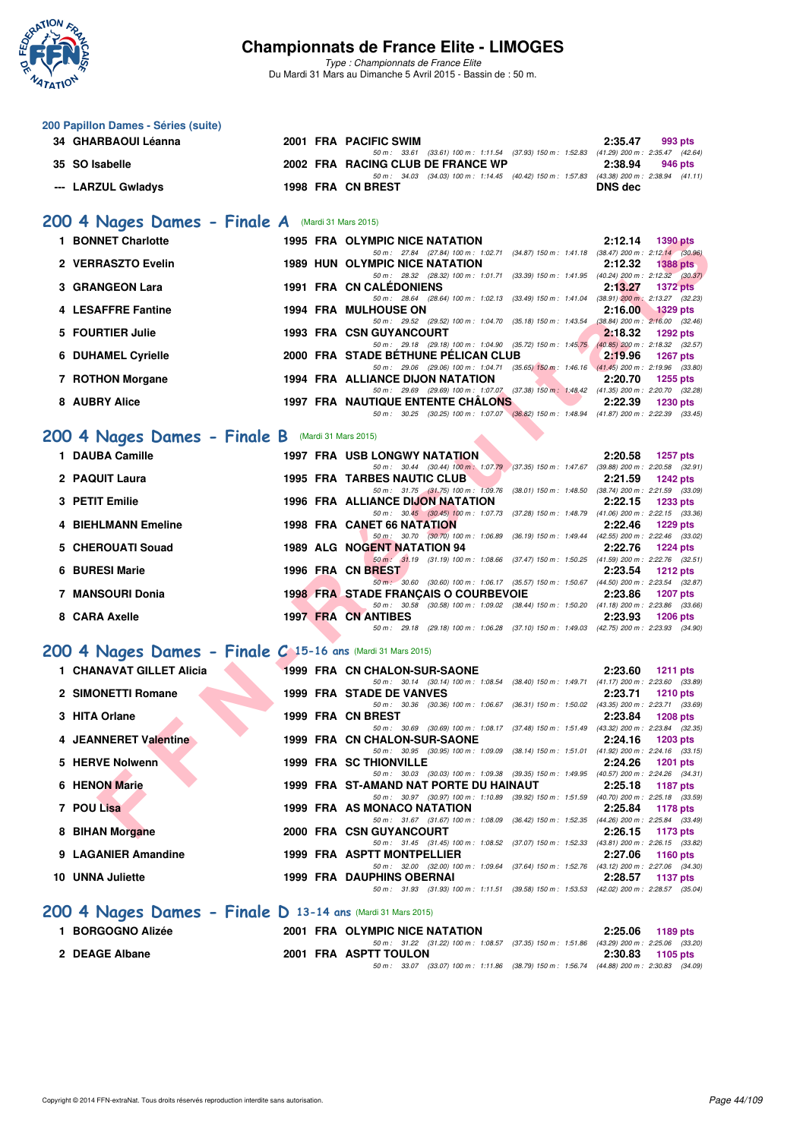

**200 Papillon Dames - Séries (suite)**

# **Championnats de France Elite - LIMOGES**

*Type : Championnats de France Elite* Du Mardi 31 Mars au Dimanche 5 Avril 2015 - Bassin de : 50 m.

| 34 GHARBAOUI Léanna        |                                                             |  | 2001 FRA PACIFIC SWIM                                                                                                                       | 2:35.47<br>993 pts         |  |
|----------------------------|-------------------------------------------------------------|--|---------------------------------------------------------------------------------------------------------------------------------------------|----------------------------|--|
| 35 SO Isabelle             |                                                             |  | 50 m: 33.61 (33.61) 100 m: 1:11.54 (37.93) 150 m: 1:52.83 (41.29) 200 m: 2:35.47 (42.64)<br>2002 FRA RACING CLUB DE FRANCE WP               | 2:38.94<br>946 pts         |  |
| --- LARZUL Gwladys         |                                                             |  | 50 m: 34.03 (34.03) 100 m: 1:14.45 (40.42) 150 m: 1:57.83 (43.38) 200 m: 2:38.94 (41.11)<br>1998 FRA CN BREST                               | <b>DNS dec</b>             |  |
|                            |                                                             |  |                                                                                                                                             |                            |  |
|                            | 200 4 Nages Dames - Finale A (Mardi 31 Mars 2015)           |  |                                                                                                                                             |                            |  |
| 1 BONNET Charlotte         |                                                             |  | 1995 FRA OLYMPIC NICE NATATION<br>50 m: 27.84 (27.84) 100 m: 1:02.71 (34.87) 150 m: 1:41.18 (38.47) 200 m: 2:12.14 (30.96)                  | 2:12.14<br>1390 pts        |  |
| 2 VERRASZTO Evelin         |                                                             |  | <b>1989 HUN OLYMPIC NICE NATATION</b>                                                                                                       | 2:12.32<br><b>1388 pts</b> |  |
| 3 GRANGEON Lara            |                                                             |  | 50 m: 28.32 (28.32) 100 m: 1:01.71 (33.39) 150 m: 1:41.95 (40.24) 200 m: 2:12.32 (30.37)<br><b>1991 FRA CN CALEDONIENS</b>                  | 2:13.27<br><b>1372 pts</b> |  |
| 4 LESAFFRE Fantine         |                                                             |  | 50 m: 28.64 (28.64) 100 m: 1:02.13 (33.49) 150 m: 1:41.04 (38.91) 200 m: 2:13.27 (32.23)<br><b>1994 FRA MULHOUSE ON</b>                     | 2:16.00<br><b>1329 pts</b> |  |
| 5 FOURTIER Julie           |                                                             |  | 50 m: 29.52 (29.52) 100 m: 1:04.70 (35.18) 150 m: 1:43.54 (38.84) 200 m: 2:16.00 (32.46)<br><b>1993 FRA CSN GUYANCOURT</b>                  | 2:18.32<br><b>1292 pts</b> |  |
| <b>6 DUHAMEL Cyrielle</b>  |                                                             |  | 50 m: 29.18 (29.18) 100 m: 1:04.90 (35.72) 150 m: 1:45.75 (40.85) 200 m: 2:18.32 (32.57)<br>2000 FRA STADE BÉTHUNE PÉLICAN CLUB             | 2:19.96<br><b>1267 pts</b> |  |
| 7 ROTHON Morgane           |                                                             |  | 50 m: 29.06 (29.06) 100 m: 1:04.71 (35.65) 150 m: 1:46.16 (41.45) 200 m: 2:19.96 (33.80)<br>1994 FRA ALLIANCE DIJON NATATION                | 2:20.70<br><b>1255 pts</b> |  |
|                            |                                                             |  | 50 m: 29.69 (29.69) 100 m: 1:07.07 (37.38) 150 m: 1:48.42 (41.35) 200 m: 2:20.70 (32.28)                                                    |                            |  |
| 8 AUBRY Alice              |                                                             |  | <b>1997 FRA NAUTIQUE ENTENTE CHALONS</b><br>50 m: 30.25 (30.25) 100 m: 1:07.07 (36.82) 150 m: 1:48.94 (41.87) 200 m: 2:22.39 (33.45)        | 2:22.39<br><b>1230 pts</b> |  |
|                            | 200 4 Nages Dames - Finale B (Mardi 31 Mars 2015)           |  |                                                                                                                                             |                            |  |
| 1 DAUBA Camille            |                                                             |  | <b>1997 FRA USB LONGWY NATATION</b>                                                                                                         | 2:20.58<br>1257 pts        |  |
| 2 PAQUIT Laura             |                                                             |  | 50 m: 30.44 (30.44) 100 m: 1:07.79 (37.35) 150 m: 1:47.67 (39.88) 200 m: 2:20.58 (32.91)<br><b>1995 FRA TARBES NAUTIC CLUB</b>              | 2:21.59<br><b>1242 pts</b> |  |
|                            |                                                             |  | 50 m: 31.75 (31.75) 100 m: 1:09.76 (38.01) 150 m: 1:48.50 (38.74) 200 m: 2:21.59 (33.09)                                                    |                            |  |
| 3 PETIT Emilie             |                                                             |  | 1996 FRA ALLIANCE DIJON NATATION<br>50 m: 30.45 (30.45) 100 m: 1:07.73 (37.28) 150 m: 1:48.79 (41.06) 200 m: 2:22.15 (33.36)                | 2:22.15<br><b>1233 pts</b> |  |
| <b>4 BIEHLMANN Emeline</b> |                                                             |  | 1998 FRA CANET 66 NATATION<br>50 m: 30.70 (30.70) 100 m: 1:06.89 (36.19) 150 m: 1:49.44 (42.55) 200 m: 2:22.46 (33.02)                      | 2:22.46<br><b>1229 pts</b> |  |
| 5 CHEROUATI Souad          |                                                             |  | 1989 ALG NOGENT NATATION 94                                                                                                                 | 2:22.76<br>$1224$ pts      |  |
| 6 BURESI Marie             |                                                             |  | 50 m: 31.19 (31.19) 100 m: 1:08.66 (37.47) 150 m: 1:50.25 (41.59) 200 m: 2:22.76 (32.51)<br>1996 FRA CN BREST                               | 2:23.54<br><b>1212 pts</b> |  |
| 7 MANSOURI Donia           |                                                             |  | 50 m · 30.60 (30.60) 100 m · 1:06.17 (35.57) 150 m · 1:50.67 (44.50) 200 m · 2:23.54 (32.87)<br><b>1998 FRAISTADE FRANÇAIS O COURBEVOIE</b> | 2:23.86<br><b>1207 pts</b> |  |
| 8 CARA Axelle              |                                                             |  | 50 m: 30.58 (30.58) 100 m: 1:09.02 (38.44) 150 m: 1:50.20 (41.18) 200 m: 2:23.86 (33.66)<br><b>1997 FRA CN ANTIBES</b>                      | 2:23.93<br><b>1206 pts</b> |  |
|                            |                                                             |  | 50 m: 29.18 (29.18) 100 m: 1:06.28 (37.10) 150 m: 1:49.03 (42.75) 200 m: 2:23.93 (34.90)                                                    |                            |  |
|                            | 200 4 Nages Dames - Finale C 15-16 ans (Mardi 31 Mars 2015) |  |                                                                                                                                             |                            |  |
| 1 CHANAVAT GILLET Alicia   |                                                             |  | 1999 FRA CN CHALON-SUR-SAONE                                                                                                                | 2:23.60<br><b>1211 pts</b> |  |
| 2 SIMONETTI Romane         |                                                             |  | 50 m: 30.14 (30.14) 100 m: 1:08.54 (38.40) 150 m: 1:49.71 (41.17) 200 m: 2:23.60 (33.89)<br>1999 FRA STADE DE VANVES                        | 2:23.71<br>1210 pts        |  |
|                            |                                                             |  | 50 m: 30.36 (30.36) 100 m: 1:06.67 (36.31) 150 m: 1:50.02 (43.35) 200 m: 2:23.71 (33.69)                                                    |                            |  |
| 3 HITA Orlane              |                                                             |  | 1999 FRA CN BREST<br>50 m: 30.69 (30.69) 100 m: 1:08.17 (37.48) 150 m: 1:51.49 (43.32) 200 m: 2:23.84 (32.35)                               | 2:23.84<br><b>1208 pts</b> |  |
| 4 JEANNERET Valentine      |                                                             |  | 1999 FRA CN CHALON-SUR-SAONE                                                                                                                | 2:24.16 1203 pts           |  |
| 5 HERVE Nolwenn            |                                                             |  | 50 m: 30.95 (30.95) 100 m: 1:09.09 (38.14) 150 m: 1:51.01 (41.92) 200 m: 2:24.16 (33.15)<br><b>1999 FRA SC THIONVILLE</b>                   | 2:24.26<br><b>1201 pts</b> |  |
|                            |                                                             |  | 50 m: 30.03 (30.03) 100 m: 1:09.38 (39.35) 150 m: 1:49.95 (40.57) 200 m: 2:24.26 (34.31)                                                    |                            |  |
| 6 HENON Marie              |                                                             |  | 1999 FRA ST-AMAND NAT PORTE DU HAINAUT<br>50 m: 30.97 (30.97) 100 m: 1:10.89 (39.92) 150 m: 1:51.59 (40.70) 200 m: 2:25.18 (33.59)          | 2:25.18<br>1187 pts        |  |
| 7 POU Lisa                 |                                                             |  | 1999 FRA AS MONACO NATATION                                                                                                                 | 2:25.84<br>1178 pts        |  |
| 8 BIHAN Morgane            |                                                             |  | 50 m: 31.67 (31.67) 100 m: 1:08.09 (36.42) 150 m: 1:52.35 (44.26) 200 m: 2:25.84 (33.49)<br>2000 FRA CSN GUYANCOURT                         | 2:26.15<br>1173 pts        |  |
| 9 LAGANIER Amandine        |                                                             |  | 50 m: 31.45 (31.45) 100 m: 1:08.52 (37.07) 150 m: 1:52.33 (43.81) 200 m: 2:26.15 (33.82)<br>1999 FRA ASPTT MONTPELLIER                      | 2:27.06<br>1160 pts        |  |
| 10 UNNA Juliette           |                                                             |  | 50 m: 32.00 (32.00) 100 m: 1:09.64 (37.64) 150 m: 1:52.76 (43.12) 200 m: 2:27.06 (34.30)<br><b>1999 FRA DAUPHINS OBERNAI</b>                | 2:28.57<br>1137 pts        |  |
|                            |                                                             |  | 50 m: 31.93 (31.93) 100 m: 1:11.51 (39.58) 150 m: 1:53.53 (42.02) 200 m: 2:28.57 (35.04)                                                    |                            |  |
|                            | 200 4 Nages Dames - Finale D 13-14 ans (Mardi 31 Mars 2015) |  |                                                                                                                                             |                            |  |
| 1 BORGOGNO Alizée          |                                                             |  | 2001 FRA OLYMPIC NICE NATATION                                                                                                              | 2:25.06<br>1189 pts        |  |
| 2 DEAGE Albane             |                                                             |  | 50 m: 31.22 (31.22) 100 m: 1:08.57 (37.35) 150 m: 1:51.86 (43.29) 200 m: 2:25.06 (33.20)<br>2001 FRA ASPTT TOULON                           | 2:30.83<br>1105 pts        |  |

*50 m : 33.07 (33.07) 100 m : 1:11.86 (38.79) 150 m : 1:56.74 (44.88) 200 m : 2:30.83 (34.09)*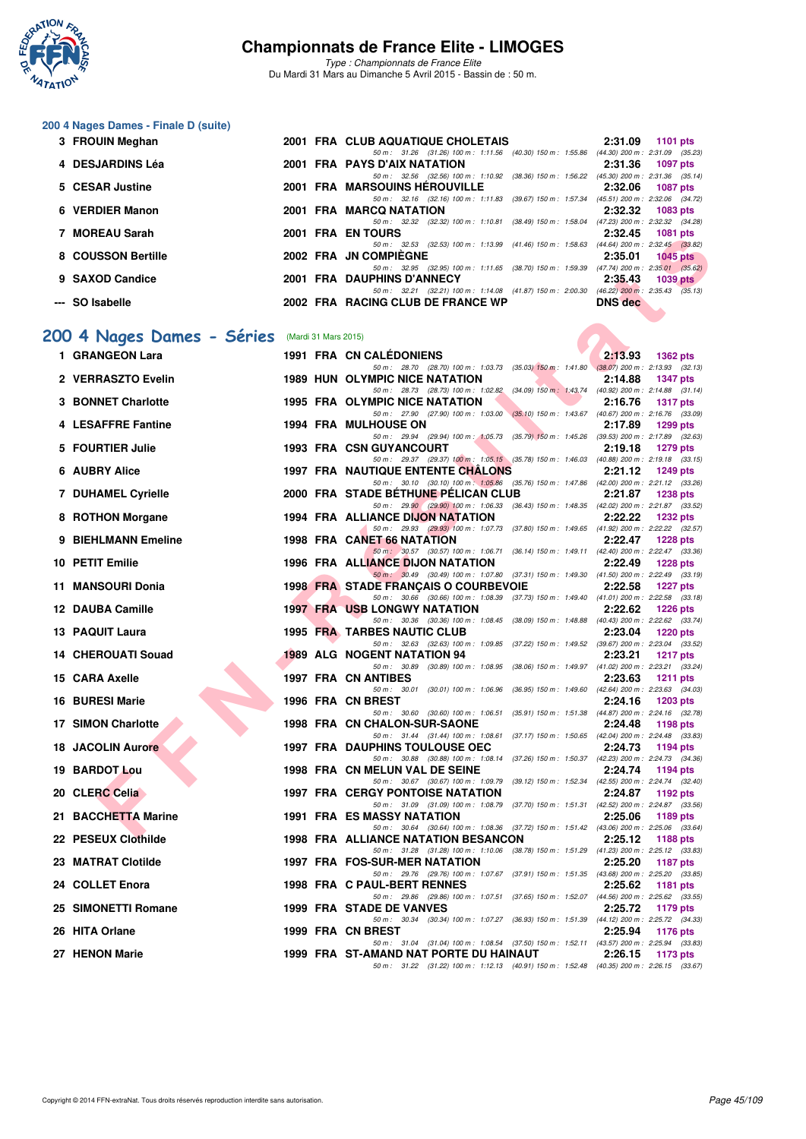

*Type : Championnats de France Elite* Du Mardi 31 Mars au Dimanche 5 Avril 2015 - Bassin de : 50 m.

# **200 4 Nages Dames - Finale D (suite)**

| 3 FROUIN Meghan    |  | 2001 FRA CLUB AQUATIQUE CHOLETAIS                                                        |                | 2:31.09 1101 pts                    |
|--------------------|--|------------------------------------------------------------------------------------------|----------------|-------------------------------------|
|                    |  | 50 m: 31.26 (31.26) 100 m: 1:11.56 (40.30) 150 m: 1:55.86 (44.30) 200 m: 2:31.09 (35.23) |                |                                     |
| 4 DESJARDINS Léa   |  | 2001 FRA PAYS D'AIX NATATION                                                             |                | 2:31.36 1097 pts                    |
|                    |  | 50 m : 32.56 (32.56) 100 m : 1:10.92 (38.36) 150 m : 1:56.22                             |                | $(45.30)$ 200 m : 2:31.36 $(35.14)$ |
| 5 CESAR Justine    |  | 2001 FRA MARSOUINS HEROUVILLE                                                            | 2:32.06        | 1087 pts                            |
|                    |  | 50 m: 32.16 (32.16) 100 m: 1:11.83 (39.67) 150 m: 1:57.34 (45.51) 200 m: 2:32.06 (34.72) |                |                                     |
| 6 VERDIER Manon    |  | 2001 FRA MARCQ NATATION                                                                  | 2:32.32        | 1083 pts                            |
|                    |  | 50 m: 32.32 (32.32) 100 m: 1:10.81 (38.49) 150 m: 1:58.04 (47.23) 200 m: 2:32.32 (34.28) |                |                                     |
| 7 MOREAU Sarah     |  | 2001 FRA EN TOURS                                                                        | 2:32.45        | 1081 pts                            |
|                    |  | 50 m: 32.53 (32.53) 100 m: 1:13.99 (41.46) 150 m: 1:58.63 (44.64) 200 m: 2:32.45 (33.82) |                |                                     |
| 8 COUSSON Bertille |  | 2002 FRA JN COMPIEGNE                                                                    | 2:35.01        | <b>1045 pts</b>                     |
|                    |  | 50 m: 32.95 (32.95) 100 m: 1:11.65 (38.70) 150 m: 1:59.39 (47.74) 200 m: 2:35.01 (35.62) |                |                                     |
| 9 SAXOD Candice    |  | 2001 FRA DAUPHINS D'ANNECY                                                               | 2:35.43        | $1039$ pts                          |
|                    |  | 50 m: 32.21 (32.21) 100 m: 1:14.08 (41.87) 150 m: 2:00.30 (46.22) 200 m: 2:35.43 (35.13) |                |                                     |
| --- SO Isabelle    |  | 2002 FRA RACING CLUB DE FRANCE WP                                                        | <b>DNS</b> dec |                                     |

# **[200 4 Nages Dames - Séries](http://www.ffnatation.fr/webffn/resultats.php?idact=nat&go=epr&idcpt=27187&idepr=41)** (Mardi 31 Mars 2015)

| <b>IVIUNEAU JAIAII</b>                         |  | ZUUI FNA EN IUUNJ                                                                                                                       | 2.92.49        | <b>TUOT PIS</b> |
|------------------------------------------------|--|-----------------------------------------------------------------------------------------------------------------------------------------|----------------|-----------------|
| 8 COUSSON Bertille                             |  | 50 m: 32.53 (32.53) 100 m: 1:13.99 (41.46) 150 m: 1:58.63 (44.64) 200 m: 2:32.45 (33.82)<br>2002 FRA JN COMPIEGNE                       | 2:35.01        | 1045 $pts$      |
|                                                |  | 50 m: 32.95 (32.95) 100 m: 1:11.65 (38.70) 150 m: 1:59.39 (47.74) 200 m: 2:35.01 (35.62)                                                |                |                 |
| 9 SAXOD Candice                                |  | 2001 FRA DAUPHINS D'ANNECY<br>50 m: 32.21 (32.21) 100 m: 1:14.08 (41.87) 150 m: 2:00.30 (46.22) 200 m: 2:35.43 (35.13)                  | 2:35.43        | $1039$ pts      |
| --- SO Isabelle                                |  | 2002 FRA RACING CLUB DE FRANCE WP                                                                                                       | <b>DNS</b> dec |                 |
|                                                |  |                                                                                                                                         |                |                 |
| 00 4 Nages Dames - Séries (Mardi 31 Mars 2015) |  |                                                                                                                                         |                |                 |
| 1 GRANGEON Lara                                |  | <b>1991 FRA CN CALEDONIENS</b>                                                                                                          | 2:13.93        | 1362 pts        |
|                                                |  | 50 m: 28.70 (28.70) 100 m: 1:03.73 (35.03) 150 m: 1:41.80 (38.07) 200 m: 2:13.93 (32.13)                                                |                |                 |
| 2 VERRASZTO Evelin                             |  | <b>1989 HUN OLYMPIC NICE NATATION</b>                                                                                                   | 2:14.88        | <b>1347 pts</b> |
| <b>3 BONNET Charlotte</b>                      |  | 50 m: 28.73 (28.73) 100 m: 1:02.82 (34.09) 150 m: 1:43.74 (40.92) 200 m: 2:14.88 (31.14)<br><b>1995 FRA OLYMPIC NICE NATATION</b>       | 2:16.76        | <b>1317 pts</b> |
|                                                |  | 50 m: 27.90 (27.90) 100 m: 1.03.00 (35.10) 150 m: 1.43.67 (40.67) 200 m: 2.16.76 (33.09)                                                |                |                 |
| 4 LESAFFRE Fantine                             |  | <b>1994 FRA MULHOUSE ON</b>                                                                                                             | 2:17.89        | 1299 pts        |
| 5 FOURTIER Julie                               |  | 50 m: 29.94 (29.94) 100 m: 1:05.73 (35.79) 150 m: 1:45.26 (39.53) 200 m: 2:17.89 (32.63)<br><b>1993 FRA CSN GUYANCOURT</b>              | 2:19.18        | 1279 pts        |
|                                                |  | 50 m: 29.37 (29.37) 100 m: 1:05.15 (35.78) 150 m: 1:46.03 (40.88) 200 m: 2:19.18 (33.15)                                                |                |                 |
| 6 AUBRY Alice                                  |  | <b>1997 FRA NAUTIQUE ENTENTE CHALONS</b>                                                                                                | 2:21.12        | <b>1249 pts</b> |
| <b>7 DUHAMEL Cyrielle</b>                      |  | 50 m: 30.10 (30.10) 100 m: 1:05.86 (35.76) 150 m: 1:47.86 (42.00) 200 m: 2:21.12 (33.26)<br>2000 FRA STADE BETHUNE PELICAN CLUB         | 2:21.87        | <b>1238 pts</b> |
|                                                |  | 50 m: 29.90 (29.90) 100 m: 1:06.33 (36.43) 150 m: 1:48.35 (42.02) 200 m: 2:21.87 (33.52)                                                |                |                 |
| 8 ROTHON Morgane                               |  | 1994 FRA ALLIANCE DIJON NATATION<br>50 m: 29.93 (29.93) 100 m: 1.07.73 (37.80) 150 m: 1.49.65 (41.92) 200 m: 2.22.22 (32.57)            | 2:22.22        | <b>1232 pts</b> |
| 9 BIEHLMANN Emeline                            |  | 1998 FRA CANET 66 NATATION                                                                                                              | 2:22.47        | <b>1228 pts</b> |
|                                                |  | 50 m: 30.57 (30.57) 100 m: 1:06.71 (36.14) 150 m: 1:49.11 (42.40) 200 m: 2:22.47 (33.36)                                                |                |                 |
| 10 PETIT Emilie                                |  | 1996 FRA ALLIANCE DIJON NATATION                                                                                                        | 2:22.49        | <b>1228 pts</b> |
| 11 MANSOURI Donia                              |  | 50 m: 30.49 (30.49) 100 m: 1:07.80 (37.31) 150 m: 1:49.30 (41.50) 200 m: 2:22.49 (33.19)<br><b>1998 FRANSTADE FRANÇAIS O COURBEVOIE</b> | 2:22.58        | <b>1227 pts</b> |
|                                                |  | 50 m: 30.66 (30.66) 100 m: 1:08.39 (37.73) 150 m: 1:49.40 (41.01) 200 m: 2:22.58 (33.18)                                                |                |                 |
| 12 DAUBA Camille                               |  | <b>1997 FRA USB LONGWY NATATION</b><br>50 m: 30.36 (30.36) 100 m: 1:08.45 (38.09) 150 m: 1:48.88 (40.43) 200 m: 2:22.62 (33.74)         | 2:22.62        | <b>1226 pts</b> |
| 13 PAQUIT Laura                                |  | 1995 FRA TARBES NAUTIC CLUB                                                                                                             | 2:23.04        | <b>1220 pts</b> |
|                                                |  | 50 m: 32.63 (32.63) 100 m: 1:09.85 (37.22) 150 m: 1:49.52 (39.67) 200 m: 2:23.04 (33.52)                                                |                |                 |
| <b>14 CHEROUATI Souad</b>                      |  | <b>1989 ALG NOGENT NATATION 94</b><br>50 m: 30.89 (30.89) 100 m: 1:08.95 (38.06) 150 m: 1:49.97 (41.02) 200 m: 2:23.21 (33.24)          | 2:23.21        | <b>1217 pts</b> |
| 15 CARA Axelle                                 |  | 1997 FRA CN ANTIBES                                                                                                                     | 2:23.63        | <b>1211 pts</b> |
|                                                |  | 50 m: 30.01 (30.01) 100 m: 1:06.96 (36.95) 150 m: 1:49.60 (42.64) 200 m: 2:23.63 (34.03)                                                |                |                 |
| 16 BURESI Marie                                |  | 1996 FRA CN BREST<br>50 m: 30.60 (30.60) 100 m: 1:06.51 (35.91) 150 m: 1:51.38 (44.87) 200 m: 2:24.16 (32.78)                           | 2:24.16        | <b>1203 pts</b> |
| <b>17 SIMON Charlotte</b>                      |  | <b>1998 FRA CN CHALON-SUR-SAONE</b>                                                                                                     | 2:24.48        | 1198 pts        |
|                                                |  | 50 m: 31.44 (31.44) 100 m: 1:08.61 (37.17) 150 m: 1:50.65 (42.04) 200 m: 2:24.48 (33.83)                                                |                |                 |
| <b>18 JACOLIN Aurore</b>                       |  | <b>1997 FRA DAUPHINS TOULOUSE OEC</b><br>50 m: 30.88 (30.88) 100 m: 1:08.14 (37.26) 150 m: 1:50.37 (42.23) 200 m: 2:24.73 (34.36)       | 2:24.73        | 1194 pts        |
| 19 BARDOT Lou                                  |  | 1998 FRA CN MELUN VAL DE SEINE                                                                                                          | 2:24.74        | 1194 pts        |
| 20 CLERC Celia                                 |  | 50 m: 30.67 (30.67) 100 m: 1:09.79 (39.12) 150 m: 1:52.34 (42.55) 200 m: 2:24.74 (32.40)<br><b>1997 FRA CERGY PONTOISE NATATION</b>     | 2:24.87        | 1192 pts        |
|                                                |  | 50 m: 31.09 (31.09) 100 m: 1:08.79 (37.70) 150 m: 1:51.31 (42.52) 200 m: 2:24.87 (33.56)                                                |                |                 |
| 21 BACCHETTA Marine                            |  | 1991 FRA ES MASSY NATATION                                                                                                              | 2:25.06        | 1189 pts        |
| 22 PESEUX Clothilde                            |  | 50 m: 30.64 (30.64) 100 m: 1:08.36 (37.72) 150 m: 1:51.42 (43.06) 200 m: 2:25.06 (33.64)<br>1998 FRA ALLIANCE NATATION BESANCON         | 2:25.12        | 1188 pts        |
|                                                |  | 50 m: 31.28 (31.28) 100 m: 1:10.06 (38.78) 150 m: 1:51.29 (41.23) 200 m: 2:25.12 (33.83)                                                |                |                 |
| 23 MATRAT Clotilde                             |  | 1997 FRA FOS-SUR-MER NATATION                                                                                                           | 2:25.20        | <b>1187 pts</b> |
| 24 COLLET Enora                                |  | 50 m: 29.76 (29.76) 100 m: 1:07.67 (37.91) 150 m: 1:51.35 (43.68) 200 m: 2:25.20 (33.85)<br>1998 FRA C PAUL-BERT RENNES                 | 2:25.62        | 1181 pts        |
|                                                |  | 50 m: 29.86 (29.86) 100 m: 1:07.51 (37.65) 150 m: 1:52.07 (44.56) 200 m: 2:25.62 (33.55)                                                |                |                 |
| 25 SIMONETTI Romane                            |  | 1999 FRA STADE DE VANVES                                                                                                                | 2:25.72        | 1179 pts        |
| 26 HITA Orlane                                 |  | 50 m: 30.34 (30.34) 100 m: 1:07.27 (36.93) 150 m: 1:51.39 (44.12) 200 m: 2:25.72 (34.33)<br>1999 FRA CN BREST                           | 2:25.94        | 1176 pts        |
|                                                |  | 50 m: 31.04 (31.04) 100 m: 1:08.54 (37.50) 150 m: 1:52.11 (43.57) 200 m: 2:25.94 (33.83)                                                |                |                 |
| 27 HENON Marie                                 |  | 1999 FRA ST-AMAND NAT PORTE DU HAINAUT                                                                                                  | 2:26.15        | 1173 pts        |
|                                                |  | 50 m: 31.22 (31.22) 100 m: 1:12.13 (40.91) 150 m: 1:52.48 (40.35) 200 m: 2:26.15 (33.67)                                                |                |                 |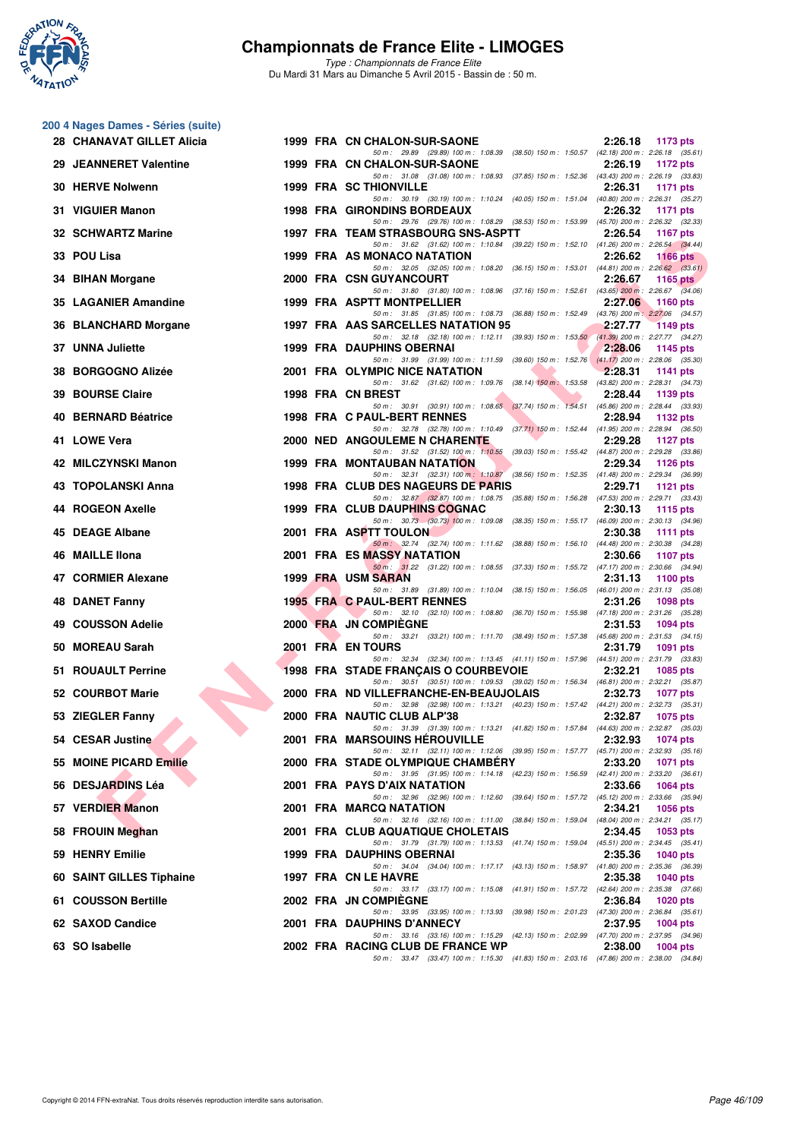

**200 4 Nages Dames - Séries (suite)**

# **Championnats de France Elite - LIMOGES**

| 28 CHANAVAT GILLET Alicia   | 1999 FRA CN CHALON-SUR-SAONE                                                                                                       | 2:26.18<br><b>1173 pts</b> |
|-----------------------------|------------------------------------------------------------------------------------------------------------------------------------|----------------------------|
| 29 JEANNERET Valentine      | 50 m: 29.89 (29.89) 100 m: 1:08.39 (38.50) 150 m: 1:50.57 (42.18) 200 m: 2:26.18 (35.61)<br>1999 FRA CN CHALON-SUR-SAONE           | 2:26.19<br>1172 pts        |
| 30 HERVE Nolwenn            | 50 m: 31.08 (31.08) 100 m: 1:08.93 (37.85) 150 m: 1:52.36 (43.43) 200 m: 2:26.19 (33.83)<br><b>1999 FRA SC THIONVILLE</b>          | 2:26.31<br>1171 pts        |
| 31 VIGUIER Manon            | 50 m: 30.19 (30.19) 100 m: 1:10.24 (40.05) 150 m: 1:51.04 (40.80) 200 m: 2:26.31 (35.27)<br><b>1998 FRA GIRONDINS BORDEAUX</b>     | 2:26.32<br>1171 pts        |
| 32 SCHWARTZ Marine          | 50 m: 29.76 (29.76) 100 m: 1:08.29 (38.53) 150 m: 1:53.99 (45.70) 200 m: 2:26.32 (32.33)<br>1997 FRA TEAM STRASBOURG SNS-ASPTT     | 2:26.54<br>1167 pts        |
| 33 POU Lisa                 | 50 m: 31.62 (31.62) 100 m: 1:10.84 (39.22) 150 m: 1:52.10 (41.26) 200 m: 2:26.54 (34.44)<br>1999 FRA AS MONACO NATATION            | 2:26.62<br><b>1166 pts</b> |
| 34 BIHAN Morgane            | 50 m: 32.05 (32.05) 100 m: 1:08.20 (36.15) 150 m: 1:53.01 (44.81) 200 m: 2:26.62 (33.61)<br>2000 FRA CSN GUYANCOURT                | 2:26.67                    |
|                             | 50 m: 31.80 (31.80) 100 m: 1:08.96 (37.16) 150 m: 1:52.61 (43.65) 200 m: 2:26.67 (34.06)                                           | 1165 pts                   |
| 35 LAGANIER Amandine        | 1999 FRA ASPTT MONTPELLIER<br>50 m: 31.85 (31.85) 100 m: 1:08.73 (36.88) 150 m: 1:52.49 (43.76) 200 m: 2:27.06 (34.57)             | 2:27.06<br>1160 $pts$      |
| 36 BLANCHARD Morgane        | 1997 FRA AAS SARCELLES NATATION 95<br>50 m: 32.18 (32.18) 100 m: 1:12.11 (39.93) 150 m: 1:53.50 (41.39) 200 m: 2:27.77 (34.27)     | 2:27.77<br>1149 pts        |
| <b>UNNA Juliette</b><br>37. | 1999 FRA DAUPHINS OBERNAI<br>50 m: 31.99 (31.99) 100 m: 1:11.59 (39.60) 150 m: 1:52.76 (41.17) 200 m: 2:28.06 (35.30)              | 2:28.06<br>1145 pts        |
| 38 BORGOGNO Alizée          | 2001 FRA OLYMPIC NICE NATATION<br>50 m: 31.62 (31.62) 100 m: 1:09.76 (38.14) 150 m: 1:53.58 (43.82) 200 m: 2:28.31 (34.73)         | 2:28.31<br>1141 pts        |
| 39 BOURSE Claire            | 1998 FRA CN BREST<br>50 m: 30.91 (30.91) 100 m: 1:08.65 (37.74) 150 m: 1:54.51 (45.86) 200 m: 2:28.44 (33.93)                      | 2:28.44<br>1139 pts        |
| 40 BERNARD Béatrice         | 1998 FRA C PAUL-BERT RENNES                                                                                                        | 2:28.94<br>1132 pts        |
| 41 LOWE Vera                | 50 m: 32.78 (32.78) 100 m: 1:10.49 (37.71) 150 m: 1:52.44 (41.95) 200 m: 2:28.94 (36.50)<br>2000 NED ANGOULEME N CHARENTE          | 2:29.28<br>1127 $pts$      |
| 42 MILCZYNSKI Manon         | 50 m: 31.52 (31.52) 100 m: 1:10.55 (39.03) 150 m: 1:55.42 (44.87) 200 m: 2:29.28 (33.86)<br><b>1999 FRA MONTAUBAN NATATION</b>     | 2:29.34<br>1126 pts        |
| 43 TOPOLANSKI Anna          | 50 m: 32.31 (32.31) 100 m: 1:10.87 (38.56) 150 m: 1:52.35 (41.48) 200 m: 2:29.34 (36.99)<br>1998 FRA CLUB DES NAGEURS DE PARIS     | 2:29.71<br>1121 pts        |
| 44 ROGEON Axelle            | 50 m: 32.87 (32.87) 100 m: 1:08.75 (35.88) 150 m: 1:56.28 (47.53) 200 m: 2:29.71 (33.43)<br>1999 FRA CLUB DAUPHINS COGNAC          | 2:30.13<br>1115 pts        |
| 45 DEAGE Albane             | 50 m: 30.73 (30.73) 100 m: 1:09.08 (38.35) 150 m: 1:55.17 (46.09) 200 m: 2:30.13 (34.96)<br><b>2001 FRA ASPTT TOULON</b>           | 2:30.38<br>1111 pts        |
| 46 MAILLE Ilona             | 50 m: 32.74 (32.74) 100 m: 1:11.62 (38.88) 150 m: 1:56.10 (44.48) 200 m: 2:30.38 (34.28)<br>2001 FRA ES MASSY NATATION             | 2:30.66<br>1107 pts        |
| 47 CORMIER Alexane          | 50 m: 31.22 (31.22) 100 m: 1:08.55 (37.33) 150 m: 1:55.72 (47.17) 200 m: 2:30.66 (34.94)<br>1999 FRA USM SARAN                     | 2:31.13<br>1100 $pts$      |
|                             | 50 m: 31.89 (31.89) 100 m: 1:10.04 (38.15) 150 m: 1:56.05 (46.01) 200 m: 2:31.13 (35.08)                                           |                            |
| <b>DANET Fanny</b><br>48.   | 1995 FRA C PAUL-BERT RENNES<br>50 m: 32.10 (32.10) 100 m: 1:08.80 (36.70) 150 m: 1:55.98 (47.18) 200 m: 2:31.26 (35.28)            | 2:31.26<br>1098 pts        |
| <b>COUSSON Adelie</b><br>49 | 2000 FRA JN COMPIEGNE<br>50 m: 33.21 (33.21) 100 m: 1:11.70 (38.49) 150 m: 1:57.38 (45.68) 200 m: 2:31.53 (34.15)                  | 2:31.53<br>1094 pts        |
| 50 MOREAU Sarah             | 2001 FRA EN TOURS<br>50 m: 32.34 (32.34) 100 m: 1:13.45 (41.11) 150 m: 1:57.96 (44.51) 200 m: 2:31.79 (33.83)                      | 2:31.79<br>1091 pts        |
| 51 ROUAULT Perrine          | 1998 FRA STADE FRANCAIS O COURBEVOIE<br>50 m: 30.51 (30.51) 100 m: 1:09.53 (39.02) 150 m: 1:56.34 (46.81) 200 m: 2:32.21 (35.87)   | 2:32.21<br>1085 pts        |
| 52 COURBOT Marie            | 2000 FRA ND VILLEFRANCHE-EN-BEAUJOLAIS<br>50 m: 32.98 (32.98) 100 m: 1:13.21 (40.23) 150 m: 1:57.42 (44.21) 200 m: 2:32.73 (35.31) | 2:32.73<br>1077 pts        |
| 53 ZIEGLER Fanny            | 2000 FRA NAUTIC CLUB ALP'38                                                                                                        | 2:32.87<br>1075 pts        |
| 54 CESAR Justine            | 50 m: 31.39 (31.39) 100 m: 1:13.21 (41.82) 150 m: 1:57.84 (44.63) 200 m: 2:32.87 (35.03)<br>2001 FRA MARSOUINS HEROUVILLE          | 2:32.93<br><b>1074 pts</b> |
| 55 MOINE PICARD Emilie      | 50 m: 32.11 (32.11) 100 m: 1:12.06 (39.95) 150 m: 1:57.77 (45.71) 200 m: 2:32.93 (35.16)<br>2000 FRA STADE OLYMPIQUE CHAMBERY      | 2:33.20<br><b>1071 pts</b> |
| 56 DESJARDINS Léa           | 50 m: 31.95 (31.95) 100 m: 1:14.18 (42.23) 150 m: 1:56.59 (42.41) 200 m: 2:33.20 (36.61)<br>2001 FRA PAYS D'AIX NATATION           | 2:33.66<br>1064 pts        |
| 57 VERDIER Manon            | 50 m: 32.96 (32.96) 100 m: 1:12.60 (39.64) 150 m: 1:57.72 (45.12) 200 m: 2:33.66 (35.94)<br>2001 FRA MARCQ NATATION                | 2:34.21<br>1056 pts        |
| 58 FROUIN Meghan            | 50 m: 32.16 (32.16) 100 m: 1:11.00 (38.84) 150 m: 1:59.04 (48.04) 200 m: 2:34.21 (35.17)<br>2001 FRA CLUB AQUATIQUE CHOLETAIS      | 2:34.45<br>1053 pts        |
| 59 HENRY Emilie             | 50 m: 31.79 (31.79) 100 m: 1:13.53 (41.74) 150 m: 1:59.04 (45.51) 200 m: 2:34.45 (35.41)<br>1999 FRA DAUPHINS OBERNAI              | 2:35.36<br><b>1040 pts</b> |
|                             | 50 m: 34.04 (34.04) 100 m: 1:17.17 (43.13) 150 m: 1:58.97 (41.80) 200 m: 2:35.36 (36.39)                                           |                            |
| 60 SAINT GILLES Tiphaine    | 1997 FRA CN LE HAVRE<br>50 m: 33.17 (33.17) 100 m: 1:15.08 (41.91) 150 m: 1:57.72 (42.64) 200 m: 2:35.38 (37.66)                   | 2:35.38<br><b>1040 pts</b> |
| 61 COUSSON Bertille         | 2002 FRA JN COMPIEGNE<br>50 m : 33.95 (33.95) 100 m : 1:13.93 (39.98) 150 m : 2:01.23 (47.30) 200 m : 2:36.84 (35.61)              | 2:36.84<br>1020 pts        |
| 62 SAXOD Candice            | 2001 FRA DAUPHINS D'ANNECY<br>50 m : 33.16 (33.16) 100 m : 1:15.29 (42.13) 150 m : 2:02.99 (47.70) 200 m : 2:37.95 (34.96)         | 2:37.95<br>1004 pts        |
| 63 SO Isabelle              | 2002 FRA RACING CLUB DE FRANCE WP<br>50 m: 33.47 (33.47) 100 m: 1:15.30 (41.83) 150 m: 2:03.16 (47.86) 200 m: 2:38.00 (34.84)      | 2:38.00<br>1004 $pts$      |
|                             |                                                                                                                                    |                            |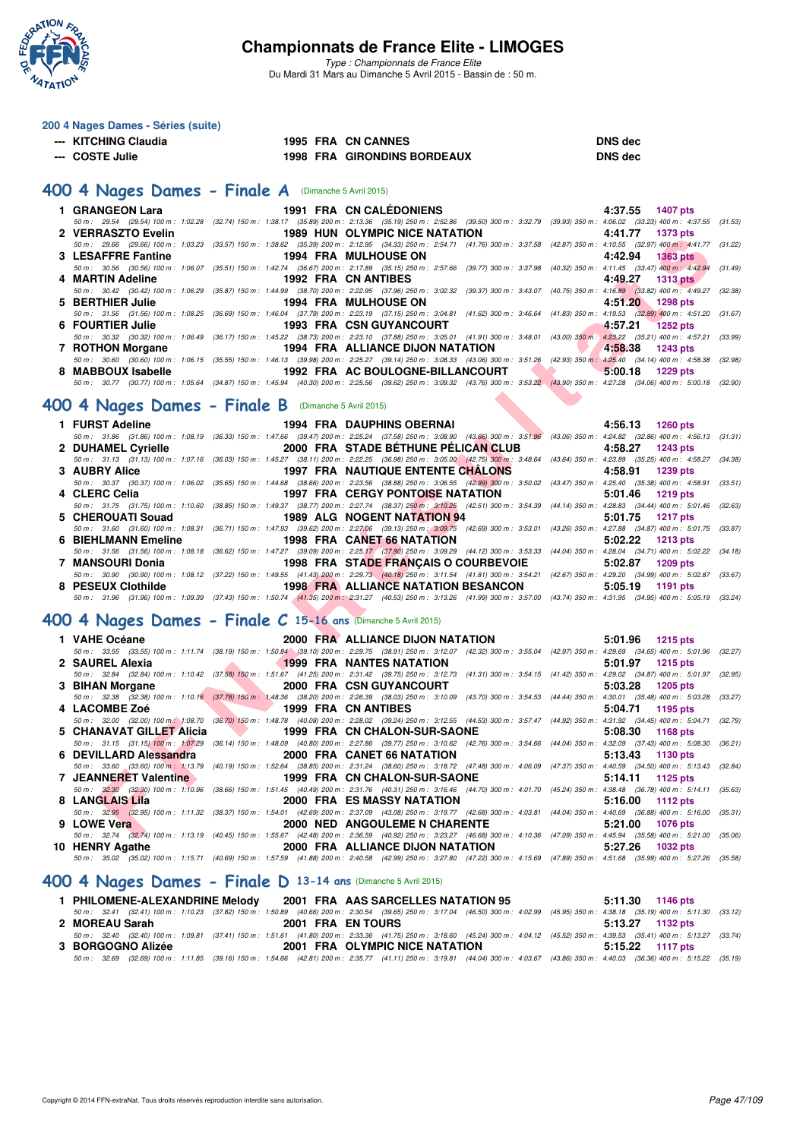

*Type : Championnats de France Elite* Du Mardi 31 Mars au Dimanche 5 Avril 2015 - Bassin de : 50 m.

| 200 4 Nages Dames - Séries (suite)                             |  |                                                                                                                                                                                                                                                           |                                                                                |         |
|----------------------------------------------------------------|--|-----------------------------------------------------------------------------------------------------------------------------------------------------------------------------------------------------------------------------------------------------------|--------------------------------------------------------------------------------|---------|
| --- KITCHING Claudia                                           |  | 1995 FRA CN CANNES                                                                                                                                                                                                                                        | <b>DNS</b> dec                                                                 |         |
| --- COSTE Julie                                                |  | 1995 FRA CN CANNES<br>1998 FRA GIRONDINS BORDEAUX                                                                                                                                                                                                         | <b>DNS</b> dec                                                                 |         |
|                                                                |  |                                                                                                                                                                                                                                                           |                                                                                |         |
| 400 4 Nages Dames - Finale A (Dimanche 5 Avril 2015)           |  |                                                                                                                                                                                                                                                           |                                                                                |         |
| 1 GRANGEON Lara                                                |  | 1991 FRA CN CALÉDONIENS                                                                                                                                                                                                                                   | 4:37.55 1407 pts                                                               |         |
|                                                                |  | 50 m: 29.54 (29.54) 100 m: 1:02.28 (32.74) 150 m: 1:38.17 (35.89) 200 m: 2:13.36 (35.19) 250 m: 2:52.86 (39.50) 300 m: 3:32.79 (39.93) 350 m: 4:06.02 (33.23) 400 m: 4:37.55 (31.53                                                                       |                                                                                |         |
| 2 VERRASZTO Evelin                                             |  | <b>1989 HUN OLYMPIC NICE NATATION</b>                                                                                                                                                                                                                     | 4:41.77<br>1373 pts                                                            |         |
|                                                                |  | 50 m : 29.66 (29.66) 100 m : 1:03.23 (33.57) 150 m : 1:38.62 (35.39) 200 m : 2:12.95 (34.33) 250 m : 2:54.71 (41.76) 300 m : 3:37.58 (42.87) 350 m : 4:10.55 (32.97) 400 m : 4:41.77 (31.22                                                               |                                                                                |         |
| 3 LESAFFRE Fantine                                             |  | <b>1994 FRA MULHOUSE ON</b><br>50 m: 30.56 (30.56) 100 m: 1:06.07 (35.51) 150 m: 1:42.74 (36.67) 200 m: 2:17.89 (35.15) 250 m: 2:57.66 (39.77) 300 m: 3:37.98 (40.32) 350 m: 4:11.45 (33.47) 400 m: 4:42.94                                               | 4:42.94<br><b>1363 pts</b>                                                     | (31.49) |
| 4 MARTIN Adeline                                               |  | 1992 FRA CN ANTIBES                                                                                                                                                                                                                                       | 4:49.27<br><b>1313 pts</b>                                                     |         |
|                                                                |  | 50 m : 30.42 (30.42) 100 m : 1:06.29 (35.87) 150 m : 1:44.99 (38.70) 200 m : 2:22.95 (37.96) 250 m : 3:02.32 (39.37) 300 m : 3:43.07 (40.75) 350 m : 4:16.89 (33.82) 400 m : 4:49.27 (32.38                                                               |                                                                                |         |
| 5 BERTHIER Julie                                               |  | <b>1994 FRA MULHOUSE ON</b>                                                                                                                                                                                                                               | 4:51.20<br>1298 pts                                                            |         |
|                                                                |  | 50 m: 31.56 (31.56) 100 m: 1:08.25 (36.69) 150 m: 1:46.04 (37.79) 200 m: 2:23.19 (37.15) 250 m: 3:04.81 (41.62) 300 m: 3:46.64 (41.83) 350 m: 4:19.53 (32.89) 400 m: 4:51.20                                                                              |                                                                                | (31.67) |
| 6 FOURTIER Julie                                               |  | <b>1993 FRA CSN GUYANCOURT</b>                                                                                                                                                                                                                            | 4:57.21<br><b>1252 pts</b>                                                     |         |
| 7 ROTHON Morgane                                               |  | 50 m: 30.32 (30.32) 100 m: 1:06.49 (36.17) 150 m: 1:45.22 (38.73) 200 m: 2:23.10 (37.88) 250 m: 3:05.01 (41.91) 300 m: 3:48.01 (43.00) 350 m: 4:23.22 (35.21) 400 m: 4:57.21<br>1994 FRA ALLIANCE DIJON NATATION                                          | 4:58.38                                                                        | (33.99) |
|                                                                |  | 50 m : 30.60 (30.60) 100 m : 1:06.15 (35.55) 150 m : 1:46.13 (39.98) 200 m : 2:25.27 (39.14) 250 m : 3:08.33 (43.06) 300 m : 3:51.26 (42.93) 350 m : 4:25.40 (34.14) 400 m : 4:58.38 (32.98                                                               | <b>1243 pts</b>                                                                |         |
| 8 MABBOUX Isabelle                                             |  | 1992 FRA AC BOULOGNE-BILLANCOURT                                                                                                                                                                                                                          | 5:00.18<br>1229 pts                                                            |         |
|                                                                |  | 50 m : 30.77 (30.77) 100 m : 1:05.64 (34.87) 150 m : 1:45.94 (40.30) 200 m : 2:25.56 (39.62) 250 m : 3:09.32 (43.76) 300 m : 3:53.22 (43.90) 350 m : 4:27.28 (34.06) 400 m : 5:00.18 (32.90                                                               |                                                                                |         |
|                                                                |  |                                                                                                                                                                                                                                                           |                                                                                |         |
| 400 4 Nages Dames - Finale B (Dimanche 5 Avril 2015)           |  |                                                                                                                                                                                                                                                           |                                                                                |         |
| 1 FURST Adeline                                                |  | <b>1994 FRA DAUPHINS OBERNAI</b>                                                                                                                                                                                                                          | 4:56.13 1260 pts                                                               |         |
|                                                                |  | 50 m : 31.86 (31.86) 100 m : 1:08.19 (36.33) 150 m : 1:47.66 (39.47) 200 m : 2:25.24 (37.58) 250 m : 3:08.90 (43.66) 300 m : 3:51.96 (43.06) 350 m : 4:24.82 (32.86) 400 m : 4:56.13 (31.31                                                               |                                                                                |         |
| 2 DUHAMEL Cyrielle                                             |  | 2000 FRA STADE BETHUNE PELICAN CLUB                                                                                                                                                                                                                       | 4:58.27<br>1243 pts                                                            |         |
|                                                                |  | 50 m : 31.13 (31.13) 100 m : 1:07.16 (36.03) 150 m : 1:45.27 (38.11) 200 m : 2:22.25 (36.98) 250 m : 3:05.00 (42.75) 300 m : 3:48.64 (43.64) 350 m : 4:23.89 (35.25) 400 m : 4:58.27 (34.38)                                                              |                                                                                |         |
| 3 AUBRY Alice                                                  |  | <b>1997 FRA NAUTIQUE ENTENTE CHALONS</b>                                                                                                                                                                                                                  | 4:58.91<br><b>1239 pts</b>                                                     |         |
| 4 CLERC Celia                                                  |  | 50 m: 30.37 (30.37) 100 m: 1:06.02 (35.65) 150 m: 1:44.68 (38.66) 200 m: 2:23.56 (38.88) 250 m: 3:06.55 (42.99) 300 m: 3:50.02 (43.47) 350 m: 4:25.40 (35.38) 400 m: 4:58.91 (33.51<br><b>1997 FRA CERGY PONTOISE NATATION</b>                            | 5:01.46<br><b>1219 pts</b>                                                     |         |
|                                                                |  | 50 m: 31.75 (31.75) 100 m: 1:10.60 (38.85) 150 m: 1:49.37 (38.77) 200 m: 2:27.74 (38.37) 250 m: 3:10.25 (42.51) 300 m: 3:54.39 (44.14) 350 m: 4:28.83 (34.44) 400 m: 5:01.46 (32.63)                                                                      |                                                                                |         |
| 5 CHEROUATI Souad                                              |  | 1989 ALG NOGENT NATATION 94                                                                                                                                                                                                                               | 5:01.75<br><b>1217 pts</b>                                                     |         |
|                                                                |  | 50 m: 31.60 (31.60) 100 m: 1:08.31 (36.71) 150 m: 1:47.93 (39.62) 200 m: 2:27.06 (39.13) 250 m: 3:09.75 (42.69) 300 m: 3:53.01 (43.26) 350 m: 4:27.88 (34.87) 400 m: 5:01.75 (33.87)                                                                      |                                                                                |         |
| <b>6 BIEHLMANN Emeline</b>                                     |  | 1998 FRA CANET 66 NATATION                                                                                                                                                                                                                                | 5:02.22<br>1213 pts                                                            |         |
|                                                                |  | 50 m : 31.56 (31.56) 100 m : 1:08.18 (36.62) 150 m : 1:47.27 (39.09) 200 m : 2:25.17 (37.90) 250 m : 3:09.29 (44.12) 300 m : 3:53.33 (44.04) 350 m : 4:28.04 (34.71) 400 m : 5:02.22 (34.18)                                                              |                                                                                |         |
| 7 MANSOURI Donia                                               |  | 1998 FRA STADE FRANÇAIS O COURBEVOIE<br>50 m: 30.90 (30.90) 100 m: 1:08.12 (37.22) 150 m: 1:49.55 (41.43) 200 m: 2:29.73 (40.18) 250 m: 3:11.54 (41.81) 300 m: 3:54.21 (42.67) 350 m: 4:29.20 (34.99) 400 m: 5:02.87 (33.67                               | 5:02.87<br>1209 pts                                                            |         |
| 8 PESEUX Clothilde                                             |  | 1998 FRA ALLIANCE NATATION BESANCON                                                                                                                                                                                                                       | 5:05.19<br><b>1191 pts</b>                                                     |         |
|                                                                |  | 50 m: 31.96 (31.96) 100 m: 1:09.39 (37.43) 150 m: 1:50.74 (41.35) 200 m: 2:31.27 (40.53) 250 m: 3:13.26 (41.99) 300 m: 3:57.00 (43.74) 350 m: 4:31.95 (34.95) 400 m: 5:05.19 (33.24)                                                                      |                                                                                |         |
|                                                                |  |                                                                                                                                                                                                                                                           |                                                                                |         |
| 400 4 Nages Dames - Finale C 15-16 ans (Dimanche 5 Avril 2015) |  |                                                                                                                                                                                                                                                           |                                                                                |         |
| 1 VAHE Océane                                                  |  | 2000 FRA ALLIANCE DIJON NATATION                                                                                                                                                                                                                          | 5:01.96<br>1215 pts                                                            |         |
|                                                                |  | 50 m: 33.55 (33.55) 100 m: 1:11.74 (38.19) 150 m: 1:50.84 (39.10) 200 m: 2:29.75 (38.91) 250 m: 3:12.07 (42.32) 300 m: 3:55.04 (42.97) 350 m: 4:29.69 (34.65) 400 m: 5:01.96 (32.27                                                                       |                                                                                |         |
| 2 SAUREL Alexia                                                |  | <b>1999 FRA NANTES NATATION</b>                                                                                                                                                                                                                           | 5:01.97<br><b>1215 pts</b>                                                     |         |
|                                                                |  | 50 m: 32.84 (32.84) 100 m: 1:10.42 (37.58) 150 m: 1:51.67 (41.25) 200 m: 2:31.42 (39.75) 250 m: 3:12.73 (41.31) 300 m: 3:54.15 (41.42) 350 m: 4:29.02 (34.87) 400 m: 5:01.97 (32.95                                                                       |                                                                                |         |
| 3 BIHAN Morgane                                                |  | 2000 FRA CSN GUYANCOURT<br>50 m :    32.38    (32.38)  100 m :   1:10.16    (37.78)  150 m :   1:48.36    (38.20)  200 m :   2:26.39   (38.03)  250 m :   3:10.09    (43.70)  300 m :   3:54.53    (44.44)  350 m :   4:30.01    (35.48)  400 m :   5:03. | 5:03.28<br><b>1205 pts</b>                                                     |         |
| 4 LACOMBE Zoé                                                  |  | 1999 FRA CN ANTIBES                                                                                                                                                                                                                                       | 5:04.71<br>1195 pts                                                            |         |
|                                                                |  | 50 m : 32.00 (32.00) 100 m : 1:08.70 (36.70) 150 m : 1:48.78 (40.08) 200 m : 2:28.02 (39.24) 250 m : 3:12.55 (44.53) 300 m : 3:57.47 (44.92) 350 m : 4:31.92 (34.45) 400 m : 5:04.71 (32.79                                                               |                                                                                |         |
| 5 CHANAVAT GILLET Alicia                                       |  | 1999 FRA CN CHALON-SUR-SAONE                                                                                                                                                                                                                              | 5:08.30<br>1168 pts                                                            |         |
|                                                                |  | 50 m: 31.15 (31.15) 100 m: 1:07.29 (36.14) 150 m: 1:48.09 (40.80) 200 m: 2:27.86 (39.77) 250 m: 3:10.62 (42.76) 300 m: 3:54.66                                                                                                                            | (44.04) 350 m: 4:32.09 (37.43) 400 m: 5:08.30                                  | (36.21) |
| 6 DEVILLARD Alessandra                                         |  | <b>2000 FRA CANET 66 NATATION</b>                                                                                                                                                                                                                         | 5:13.43<br>1130 pts                                                            |         |
|                                                                |  | 50 m : 33.60 (33.60) 100 m : 1:13.79 (40.19) 150 m : 1:52.64 (38.85) 200 m : 2:31.24 (38.60) 250 m : 3:18.72 (47.48) 300 m : 4:06.09                                                                                                                      | (47.37) 350 m: 4:40.59 (34.50) 400 m: 5:13.43                                  | (32.84) |
| 7 JEANNERET Valentine                                          |  | 1999 FRA CN CHALON-SUR-SAONE<br>50 m : 32.30 (32.30) 100 m : 1:10.96 (38.66) 150 m : 1:51.45 (40.49) 200 m : 2:31.76 (40.31) 250 m : 3:16.46 (44.70) 300 m : 4:01.70                                                                                      | 5:14.11<br>1125 pts<br>(45.24) 350 m : 4:38.48 (36.78) 400 m : 5:14.11 (35.63) |         |
| 8 LANGLAIS Lila                                                |  | <b>2000 FRA ES MASSY NATATION</b>                                                                                                                                                                                                                         | 5:16.00<br>1112 pts                                                            |         |
|                                                                |  | 50 m : 32.95 (32.95) 100 m : 1:11.32 (38.37) 150 m : 1:54.01 (42.69) 200 m : 2:37.09 (43.08) 250 m : 3:19.77 (42.68) 300 m : 4:03.81                                                                                                                      | (44.04) 350 m : 4:40.69 (36.88) 400 m : 5:16.00 (35.31)                        |         |
| 9 LOWE Vera                                                    |  | <b>2000 NED ANGOULEME N CHARENTE</b>                                                                                                                                                                                                                      | 5:21.00<br><b>1076 pts</b>                                                     |         |
|                                                                |  | 50 m; 32.74 (32.74) 100 m; 1:13.19 (40.45) 150 m; 1:55.67 (42.48) 200 m; 2:36.59 (40.92) 250 m; 3:23.27 (46.68) 300 m; 4:10.36 (47.09) 350 m; 4:45.94 (35.58) 400 m; 5:21.00 (35.06                                                                       |                                                                                |         |

#### **[400 4 Nages Dames - Finale C](http://www.ffnatation.fr/webffn/resultats.php?idact=nat&go=epr&idcpt=27187&idepr=42) 15-16 ans** (Dimanche 5 Avril 2015)

| 1 VAHE Océane                     | 2000 FRA ALLIANCE DIJON NATATION                                                                                                                                                           | 5:01.96 1215 pts           |
|-----------------------------------|--------------------------------------------------------------------------------------------------------------------------------------------------------------------------------------------|----------------------------|
|                                   | 50 m: 33.55 (33.55) 100 m: 1:11.74 (38.19) 150 m: 1:50.84 (39.10) 200 m: 2:29.75 (38.91) 250 m: 3:12.07 (42.32) 300 m: 3:55.04 (42.97) 350 m: 4:29.69 (34.65) 400 m: 5:01.96 (32.27)       |                            |
|                                   | 2 SAUREL Alexia 2 SAUREL Alexia 2 SAURE 2 SAURE 2 SAURE 2 SAURE 2 SAURE 2 SAURE 2 SAURE 2 SAURE 2 SAURE 2 SAUR                                                                             | $5:01.97$ 1215 pts         |
|                                   | 50 m: 32.84 (32.84) 100 m: 1:10.42 (37.58) 150 m: 1:51.67 (41.25) 200 m: 2:31.42 (39.75) 250 m: 3:12.73 (41.31) 300 m: 3:54.15 (41.42) 350 m: 4:29.02 (34.87) 400 m: 5:01.97 (32.95)       |                            |
| 3 BIHAN Morgane                   | <b>EXAMPLE 2000 FRA CSN GUYANCOURT</b>                                                                                                                                                     | 5:03.28 1205 pts           |
|                                   | 50 m: 32.38 (32.38) 100 m: 1:10.16 (37.78) 150 m: 1:48.36 (38.20) 200 m: 2:26.39 (38.03) 250 m: 3:10.09 (43.70) 300 m: 3:54.53 (44.44) 350 m: 4:30.01 (35.48) 400 m: 5:03.28 (33.27)       |                            |
| 4 LACOMBE Zoé 1999 FRA CN ANTIBES |                                                                                                                                                                                            | 5:04.71 1195 pts           |
|                                   | 50 m : 32.00 (32.00) 100 m 1:08.70 (36.70) 150 m : 1:48.78 (40.08) 200 m : 2:28.02 (39.24) 250 m : 3:12.55 (44.53) 300 m : 3:57.47 (44.92) 350 m : 4:31.92 (34.45) 400 m : 5:04.71 (32.79) |                            |
|                                   | 5 CHANAVAT GILLET Alicia 1999 FRA CN CHALON-SUR-SAONE                                                                                                                                      | $5:08.30$ 1168 pts         |
|                                   | 50 m: 31.15 (31.15) 100 m: 1:07.29 (36.14) 150 m: 1:48.09 (40.80) 200 m: 2:27.86 (39.77) 250 m: 3:10.62 (42.76) 300 m: 3:54.66 (44.04) 350 m: 4:32.09 (37.43) 400 m: 5:08.30 (36.21)       |                            |
|                                   |                                                                                                                                                                                            | 5:13.43 1130 pts           |
|                                   | 50 m: 33.60 (33.60) 100 m: 1:13.79 (40.19) 150 m: 1:52.64 (38.85) 200 m: 2:31.24 (38.60) 250 m: 3:18.72 (47.48) 300 m: 4:06.09 (47.37) 350 m: 4:40.59 (34.50) 400 m: 5:13.43 (32.84)       |                            |
|                                   | 7 JEANNERET Valentine 1999 FRA CN CHALON-SUR-SAONE                                                                                                                                         | $5:14.11$ 1125 pts         |
|                                   | 50 m: 32.30 (32.30) 100 m: 1:10.96 (38.66) 150 m: 1:51.45 (40.49) 200 m: 2:31.76 (40.31) 250 m: 3:16.46 (44.70) 300 m: 4:01.70 (45.24) 350 m: 4:38.48 (36.78) 400 m: 5:14.11 (35.63)       |                            |
| 8 LANGLAIS Lila                   | <b>2000 FRA ES MASSY NATATION</b>                                                                                                                                                          | $5:16.00$ 1112 pts         |
|                                   | 50 m: 32.95 (32.95) 100 m: 1:11.32 (38.37) 150 m: 1:54.01 (42.69) 200 m: 2:37.09 (43.08) 250 m: 3:19.77 (42.68) 300 m: 4:03.81 (44.04) 350 m: 4:40.69 (36.88) 400 m: 5:16.00 (35.31)       |                            |
| 9 LOWE Vera                       | 2000 NED ANGOULEME N CHARENTE                                                                                                                                                              | 5:21.00 1076 pts           |
|                                   | 50 m: 32.74 (32.74) 100 m: 1:13.19 (40.45) 150 m: 1:55.67 (42.48) 200 m: 2:36.59 (40.92) 250 m: 3:23.27 (46.68) 300 m: 4:10.36 (47.09) 350 m: 4:45.94 (35.58) 400 m: 5:21.00 (35.06)       |                            |
| 10 HENRY Agathe                   | <b>2000 FRA ALLIANCE DIJON NATATION</b>                                                                                                                                                    | 5:27.26<br><b>1032 pts</b> |
|                                   | 50 m: 35.02 (35.02) 100 m: 1:15.71 (40.69) 150 m: 1:57.59 (41.88) 200 m: 2:40.58 (42.99) 250 m: 3:27.80 (47.22) 300 m: 4:15.69 (47.89) 350 m: 4:51.68 (35.99) 400 m: 5:27.26 (35.58)       |                            |

### **[400 4 Nages Dames - Finale D](http://www.ffnatation.fr/webffn/resultats.php?idact=nat&go=epr&idcpt=27187&idepr=42) 13-14 ans** (Dimanche 5 Avril 2015)

| 1 PHILOMENE-ALEXANDRINE Melody | 2001 FRA AAS SARCELLES NATATION 95 | $5:11.30$ 1146 pts                                                                                                                                                                           |
|--------------------------------|------------------------------------|----------------------------------------------------------------------------------------------------------------------------------------------------------------------------------------------|
|                                |                                    | 50 m: 32.41 (32.41) 100 m: 1:10.23 (37.82) 150 m: 1:50.89 (40.66) 200 m: 2:30.54 (39.65) 250 m: 3:17.04 (46.50) 300 m: 4:02.99 (45.95) 350 m: 4:38.18 (35.19) 400 m: 5:11.30 (33.12)         |
| 2 MOREAU Sarah                 | <b>2001 FRA EN TOURS</b>           | 5:13.27 1132 pts                                                                                                                                                                             |
|                                |                                    | 50 m: 32.40 (32.40) 100 m: 1:09.81 (37.41) 150 m: 1:51.61 (41.80) 200 m: 2:33.36 (41.75) 250 m: 3:18.60 (45.24) 300 m: 4:04.12 (45.52) 350 m: 4:39.53 (35.41) 400 m: 5:13.27 (33.74)         |
| 3 BORGOGNO Alizée              | 2001 FRA OLYMPIC NICE NATATION     | 5:15.22 1117 pts                                                                                                                                                                             |
|                                |                                    | 50 m : 32.69 (32.69) 100 m : 1:11.85 (39.16) 150 m : 1:54.66 (42.81) 200 m : 2:35.77 (41.11) 250 m : 3:19.81 (44.04) 300 m : 4:03.67 (43.86) 350 m : 4:40.03 (36.36) 400 m : 5:15.22 (35.19) |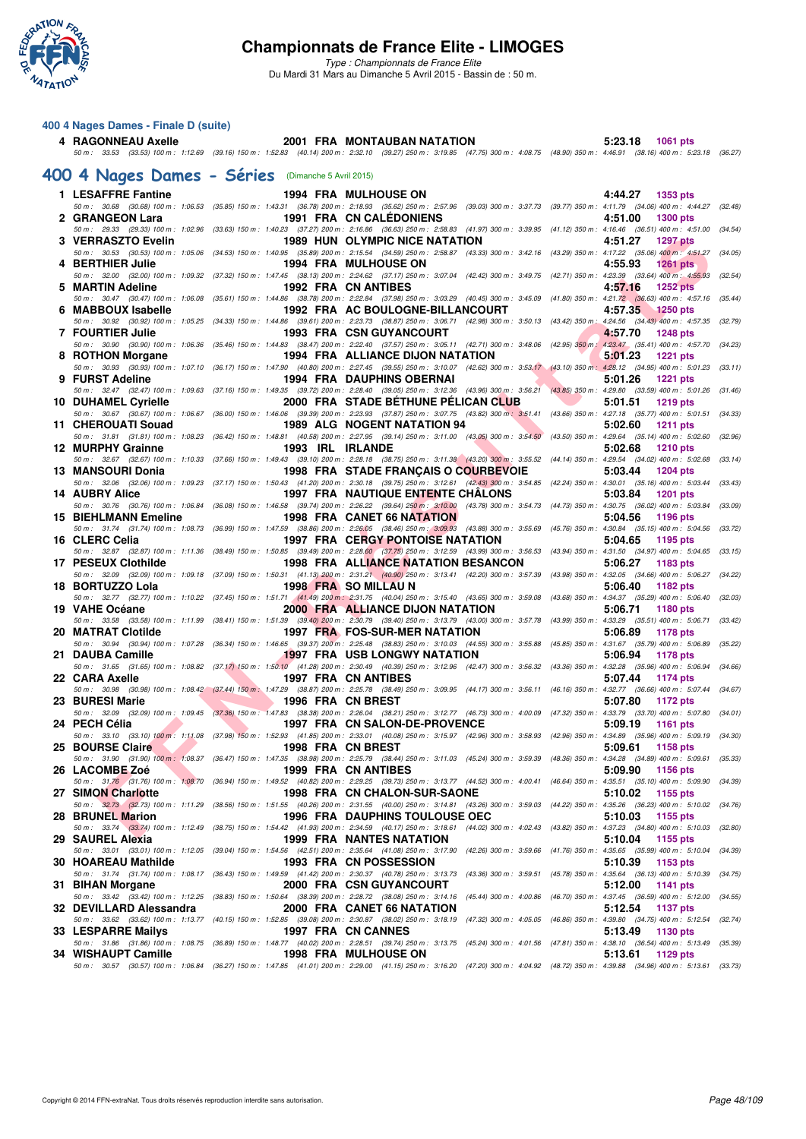

*Type : Championnats de France Elite* Du Mardi 31 Mars au Dimanche 5 Avril 2015 - Bassin de : 50 m.

#### **400 4 Nages Dames - Finale D (suite)**

**4 RAGONNEAU Axelle 2001 FRA MONTAUBAN NATATION 5:23.18 1061 pts** *50 m : 33.53 (33.53) 100 m : 1:12.69 (39.16) 150 m : 1:52.83 (40.14) 200 m : 2:32.10 (39.27) 250 m : 3:19.85 (47.75) 300 m : 4:08.75 (48.90) 350 m : 4:46.91 (38.16) 400 m : 5:23.18 (36.27)*

## **[400 4 Nages Dames - Séries](http://www.ffnatation.fr/webffn/resultats.php?idact=nat&go=epr&idcpt=27187&idepr=42)** (Dimanche 5 Avril 2015)

| 1 LESAFFRE Fantine          |                  | <b>1994 FRA MULHOUSE ON</b>                                                                                                                                                                                                         | 4:44.27 1353 pts                                                       |         |
|-----------------------------|------------------|-------------------------------------------------------------------------------------------------------------------------------------------------------------------------------------------------------------------------------------|------------------------------------------------------------------------|---------|
| 2 GRANGEON Lara             |                  | 50 m : 30.68 (30.68) 100 m : 1:06.53 (35.85) 150 m : 1:43.31 (36.78) 200 m : 2:18.93 (35.62) 250 m : 2:57.96 (39.03) 300 m : 3:37.73 (39.77) 350 m : 4:11.79 (34.06) 400 m : 4:44.27 (32.48)<br>1991 FRA CN CALEDONIENS             | 4:51.00<br><b>1300 pts</b>                                             |         |
|                             |                  | 50 m: 29.33 (29.33) 100 m: 1:02.96 (33.63) 150 m: 1:40.23 (37.27) 200 m: 2:16.86 (36.63) 250 m: 2:58.83 (41.97) 300 m: 3:39.95 (41.12) 350 m: 4:16.46 (36.51) 400 m: 4:51.00 (34.54)                                                |                                                                        |         |
| 3 VERRASZTO Evelin          |                  | <b>1989 HUN OLYMPIC NICE NATATION</b>                                                                                                                                                                                               | 4:51.27<br><b>1297 pts</b>                                             |         |
| 4 BERTHIER Julie            |                  | 50 m: 30.53 (30.53) 100 m: 1:05.06 (34.53) 150 m: 1:40.95 (35.89) 200 m: 2:15.54 (34.59) 250 m: 2:58.87 (43.33) 300 m: 3:42.16 (43.29) 350 m: 4:17.22 (35.06) 400 m: 4:51.27<br><b>1994 FRA MULHOUSE ON</b>                         | 4:55.93<br><b>1261 pts</b>                                             | (34.05) |
|                             |                  | 50 m: 32.00 (32.00) 100 m: 1:09.32 (37.32) 150 m: 1:47.45 (38.13) 200 m: 2:24.62 (37.17) 250 m: 3:07.04 (42.42) 300 m: 3:49.75 (42.71) 350 m: 4:23.39 (33.64) 400 m: 4:55.93 (32.54)                                                |                                                                        |         |
| 5 MARTIN Adeline            |                  | <b>1992 FRA CN ANTIBES</b>                                                                                                                                                                                                          | 4:57.16<br><b>1252 pts</b>                                             |         |
| 6 MABBOUX Isabelle          |                  | 50 m: 30.47 (30.47) 100 m: 1:06.08 (35.61) 150 m: 1:44.86 (38.78) 200 m: 2:22.84 (37.98) 250 m: 3:03.29 (40.45) 300 m: 3:45.09 (41.80) 350 m: 4:21.72 (36.63) 400 m: 4:57.16 (35.44)<br>1992 FRA AC BOULOGNE-BILLANCOURT            | 4:57.35 1250 pts                                                       |         |
|                             |                  | 50 m: 30.92 (30.92) 100 m: 1:05.25 (34.33) 150 m: 1:44.86 (39.61) 200 m: 2:23.73 (38.87) 250 m: 3:06.71 (42.98) 300 m: 3:50.13 (43.42) 350 m: 4:24.56 (34.43) 400 m: 4:57.35 (32.79)                                                |                                                                        |         |
| <b>7 FOURTIER Julie</b>     |                  | 1993 FRA CSN GUYANCOURT                                                                                                                                                                                                             | 4:57.70<br>1248 pts                                                    |         |
| 8 ROTHON Morgane            |                  | 50 m : 30.90 (30.90) 100 m : 1:06.36 (35.46) 150 m : 1:44.83 (38.47) 200 m : 2:22.40 (37.57) 250 m : 3:05.11 (42.71) 300 m : 3:48.06 (42.95) 350 m : 4:23.47 (35.41) 400 m : 4:57.70 (34.23)<br>1994 FRA ALLIANCE DIJON NATATION    | 5:01.23<br><b>1221 pts</b>                                             |         |
|                             |                  | 50 m : 30.93 (30.93) 100 m : 1:07.10 (36.17) 150 m : 1:47.90 (40.80) 200 m : 2:27.45 (39.55) 250 m : 3:10.07 (42.62) 300 m : 3:53.17 (43.10) 350 m : 4:28.12 (34.95) 400 m : 5:01.23 (33.11)                                        |                                                                        |         |
| 9 FURST Adeline             |                  | <b>1994 FRA DAUPHINS OBERNAI</b>                                                                                                                                                                                                    | 5:01.26<br><b>1221 pts</b>                                             |         |
| 10 DUHAMEL Cyrielle         |                  | 50 m : 32.47 (32.47) 100 m : 1:09.63 (37.16) 150 m : 1:49.35 (39.72) 200 m : 2:28.40 (39.05) 250 m : 3:12.36 (43.96) 300 m : 3:56.21 (43.85) 350 m : 4:29.80 (33.59) 400 m : 5:01.26<br>2000 FRA STADE BETHUNE PELICAN CLUB         | 5:01.51<br>1219 pts                                                    | (31.46) |
|                             |                  | 50 m: 30.67 (30.67) 100 m: 1:06.67 (36.00) 150 m: 1:46.06 (39.39) 200 m: 2:23.93 (37.87) 250 m: 3:07.75 (43.82) 300 m: 3:51.41 (43.66) 350 m: 4:27.18 (35.77) 400 m: 5:01.51                                                        |                                                                        | (34.33) |
| 11 CHEROUATI Souad          |                  | 1989 ALG NOGENT NATATION 94                                                                                                                                                                                                         | 5:02.60<br><b>1211 pts</b>                                             |         |
| 12 MURPHY Grainne           | 1993 IRL IRLANDE | 50 m: 31.81 (31.81) 100 m: 1:08.23 (36.42) 150 m: 1:48.81 (40.58) 200 m: 2:27.95 (39.14) 250 m: 3:11.00 (43.05) 300 m: 3:54.50 (43.50) 350 m: 4:29.64 (35.14) 400 m: 5:02.60                                                        | 5:02.68<br>1210 pts                                                    | (32.96) |
|                             |                  | 50 m: 32.67 (32.67) 100 m: 1:10.33 (37.66) 150 m: 1:49.43 (39.10) 200 m: 2:28.18 (38.75) 250 m: 3:11.38 (43.20) 300 m: 3:55.52 (44.14) 350 m: 4:29.54 (34.02) 400 m: 5:02.68 (33.14)                                                |                                                                        |         |
| 13 MANSOURI Donia           |                  | 1998 FRA STADE FRANCAIS O COURBEVOIE                                                                                                                                                                                                | 5:03.44<br>1204 pts                                                    |         |
| <b>14 AUBRY Alice</b>       |                  | 50 m: 32.06 (32.06) 100 m: 1:09.23 (37.17) 150 m: 1:50.43 (41.20) 200 m: 2:30.18 (39.75) 250 m: 3:12.61 (42.43) 300 m: 3:54.85 (42.24) 350 m: 4:30.01 (35.16) 400 m: 5:03.44<br><b>1997 FRA NAUTIQUE ENTENTE CHALONS</b>            | 5:03.84<br><b>1201 pts</b>                                             | (33.43) |
|                             |                  | 50 m: 30.76 (30.76) 100 m: 1:06.84 (36.08) 150 m: 1:46.58 (39.74) 200 m: 2:26.22 (39.64) 250 m: 3:10.00 (43.78) 300 m: 3:54.73 (44.73) 350 m: 4:30.75 (36.02) 400 m: 5:03.84 (33.09)                                                |                                                                        |         |
| <b>15 BIEHLMANN Emeline</b> |                  | <b>1998 FRA CANET 66 NATATION</b><br>50 m: 31.74 (31.74) 100 m: 1:08.73 (36.99) 150 m: 1:47.59 (38.86) 200 m: 2:26.05 (38.46) 250 m: 3:09.93 (43.88) 300 m: 3:55.69 (45.76) 350 m: 4:30.84 (35.15) 400 m: 5:04.56                   | 5:04.56<br>1196 pts                                                    |         |
| 16 CLERC Celia              |                  | <b>1997 FRA CERGY PONTOISE NATATION</b>                                                                                                                                                                                             | 5:04.65<br>1195 pts                                                    | (33.72) |
|                             |                  | 50 m: 32.87 (32.87) 100 m: 1:11.36 (38.49) 150 m: 1:50.85 (39.49) 200 m: 2:28.60 (37.75) 250 m: 3:12.59 (43.99) 300 m: 3:56.53 (43.94) 350 m: 4:31.50 (34.97) 400 m: 5:04.65 (33.15)                                                |                                                                        |         |
| 17 PESEUX Clothilde         |                  | 1998 FRA ALLIANCE NATATION BESANCON<br>50 m : 32.09 (32.09) 100 m : 1:09.18 (37.09) 150 m : 1:50.31 (41.13) 200 m : 2:31.21 (40.90) 250 m : 3:13.41 (42.20) 300 m : 3:57.39 (43.98) 350 m : 4:32.05 (34.66) 400 m : 5:06.27 (34.22) | 5:06.27<br>1183 pts                                                    |         |
| 18 BORTUZZO Lola            |                  | 1998 FRA SO MILLAU N                                                                                                                                                                                                                | 5:06.40<br>1182 pts                                                    |         |
|                             |                  | 50 m: 32.77 (32.77) 100 m: 1:10.22 (37.45) 150 m: 1:51.71 (41.49) 200 m: 2:31.75 (40.04) 250 m: 3:15.40 (43.65) 300 m: 3:59.08 (43.68) 350 m: 4:34.37 (35.29) 400 m: 5:06.40                                                        |                                                                        | (32.03) |
| 19 VAHE Océane              |                  | 2000 FRA ALLIANCE DIJON NATATION<br>50 m: 33.58 (33.58) 100 m: 1:11.99 (38.41) 150 m: 1:51.39 (39.40) 200 m: 2:30.79 (39.40) 250 m: 3:13.79 (43.00) 300 m: 3:57.78 (43.99) 350 m: 4:33.29 (35.51) 400 m: 5:06.71 (33.42)            | 5:06.71<br>1180 pts                                                    |         |
| 20 MATRAT Clotilde          |                  | 1997 FRA FOS-SUR-MER NATATION                                                                                                                                                                                                       | 5:06.89<br>1178 pts                                                    |         |
|                             |                  | 50 m: 30.94 (30.94) 100 m: 1:07.28 (36.34) 150 m: 1:46.65 (39.37) 200 m: 2:25.48 (38.83) 250 m: 3:10.03 (44.55) 300 m: 3:55.88 (45.85) 350 m: 4:31.67 (35.79) 400 m: 5:06.89                                                        |                                                                        | (35.22) |
| 21 DAUBA Camille            |                  | <b>1997 FRA USB LONGWY NATATION</b><br>50 m: 31.65 (31.65) 100 m: 1:08.82 (37.17) 150 m: 1:50.10 (41.28) 200 m: 2:30.49 (40.39) 250 m: 3:12.96 (42.47) 300 m: 3:56.32 (43.36) 350 m: 4:32.28 (35.96) 400 m: 5:06.94                 | 5:06.94<br>1178 pts                                                    | (34.66) |
| 22 CARA Axelle              |                  | 1997 FRA CN ANTIBES                                                                                                                                                                                                                 | 5:07.44<br>1174 pts                                                    |         |
|                             |                  | 50 m: 30.98 (30.98) 100 m: 1:08.42 (37.44) 150 m: 1:47.29 (38.87) 200 m: 2:25.78 (38.49) 250 m: 3:09.95 (44.17) 300 m: 3:56.11 (46.16) 350 m: 4:32.77 (36.66) 400 m: 5:07.44<br>1996 FRA CN BREST                                   |                                                                        | (34.67) |
| 23 BURESI Marie             |                  | 50 m : 32.09 (32.09) 100 m : 1:09.45 (37.36) 150 m : 1:47.83 (38.38) 200 m : 2:26.04 (38.21) 250 m : 3:12.77 (46.73) 300 m : 4:00.09 (47.32) 350 m : 4:33.79 (33.70) 400 m : 5:07.80                                                | 5:07.80<br>1172 pts                                                    | (34.01) |
| 24 PECH Célia               |                  | 1997 FRA CN SALON-DE-PROVENCE                                                                                                                                                                                                       | 5:09.19<br>1161 pts                                                    |         |
| 25 BOURSE Claire            |                  | 50 m: 33.10 (33.10) 100 m: 1:11.08 (37.98) 150 m: 1:52.93 (41.85) 200 m: 2:33.01 (40.08) 250 m: 3:15.97 (42.96) 300 m: 3:58.93 (42.96) 350 m: 4:34.89 (35.96) 400 m: 5:09.19 (34.30)<br>1998 FRA CN BREST                           | 5:09.61<br>1158 pts                                                    |         |
|                             |                  | 50 m: 31.90 (31.90) 100 m: 108.37 (36.47) 150 m: 1:47.35 (38.98) 200 m: 2:25.79 (38.44) 250 m: 3:11.03 (45.24) 300 m: 3:59.39 (48.36) 350 m: 4:34.28 (34.89) 400 m: 5:09.61 (35.33)                                                 |                                                                        |         |
| 26 LACOMBE Zoé              |                  | 1999 FRA CN ANTIBES                                                                                                                                                                                                                 | 5:09.90<br>1156 pts                                                    |         |
| 27 SIMON Charlotte          |                  | 50 m: 31.76 (31.76) 100 m: 1:08.70 (36.94) 150 m: 1:49.52 (40.82) 200 m: 2:29.25 (39.73) 250 m: 3:13.77 (44.52) 300 m: 4:00.41 (46.64) 350 m: 4:35.51 (35.10) 400 m: 5:09.90 (34.39)<br>1998 FRA CN CHALON-SUR-SAONE                | 5:10.02 1155 pts                                                       |         |
|                             |                  | 50 m: 32.73 (32.73) 100 m: 1:11.29 (38.56) 150 m: 1:51.55 (40.26) 200 m: 2:31.55 (40.00) 250 m: 3:14.81 (43.26) 300 m: 3:59.03 (44.22) 350 m: 4:35.26 (36.23) 400 m: 5:10.02                                                        |                                                                        | (34.76) |
| 28 BRUNEL Marion            |                  | 1996 FRA DAUPHINS TOULOUSE OEC                                                                                                                                                                                                      | 5:10.03<br>1155 pts                                                    |         |
| 29 SAUREL Alexia            |                  | 50 m: 33.74 (33.74) 100 m: 1:12.49 (38.75) 150 m: 1:54.42 (41.93) 200 m: 2:34.59 (40.17) 250 m: 3:18.61 (44.02) 300 m: 4:02.43<br><b>1999 FRA NANTES NATATION</b>                                                                   | (43.82) 350 m : 4:37.23 (34.80) 400 m : 5:10.03<br>5:10.04<br>1155 pts | (32.80) |
|                             |                  | 50 m: 33.01 (33.01) 100 m: 1:12.05 (39.04) 150 m: 1:54.56 (42.51) 200 m: 2:35.64 (41.08) 250 m: 3:17.90 (42.26) 300 m: 3:59.66 (41.76) 350 m: 4:35.65 (35.99) 400 m: 5:10.04                                                        |                                                                        | (34.39) |
| 30 HOAREAU Mathilde         |                  | 1993 FRA CN POSSESSION                                                                                                                                                                                                              | 5:10.39<br>1153 pts                                                    |         |
| 31 BIHAN Morgane            |                  | 50 m : 31.74 (31.74) 100 m : 1:08.17 (36.43) 150 m : 1:49.59 (41.42) 200 m : 2:30.37 (40.78) 250 m : 3:13.73 (43.36) 300 m : 3:59.51 (45.78) 350 m : 4:35.64 (36.13) 400 m : 5:10.39<br>2000 FRA CSN GUYANCOURT                     | 5:12.00<br>1141 pts                                                    | (34.75) |
|                             |                  | 50 m: 33.42 (33.42) 100 m: 1:12.25 (38.83) 150 m: 1:50.64 (38.39) 200 m: 2:28.72 (38.08) 250 m: 3:14.16 (45.44) 300 m: 4:00.86                                                                                                      | (46.70) 350 m: 4:37.45 (36.59) 400 m: 5:12.00 (34.55)                  |         |
| 32 DEVILLARD Alessandra     |                  | 2000 FRA CANET 66 NATATION                                                                                                                                                                                                          | 5:12.54<br>1137 pts                                                    |         |
| 33 LESPARRE Mailys          |                  | 50 m : 33.62 (33.62) 100 m : 1:13.77 (40.15) 150 m : 1:52.85 (39.08) 200 m : 2:30.87 (38.02) 250 m : 3:18.19 (47.32) 300 m : 4:05.05<br>1997 FRA CN CANNES                                                                          | (46.86) 350 m : 4:39.80 (34.75) 400 m : 5:12.54<br>5:13.49<br>1130 pts | (32.74) |
|                             |                  | 50 m : 31.86 (31.86) 100 m : 1:08.75 (36.89) 150 m : 1:48.77 (40.02) 200 m : 2:28.51 (39.74) 250 m : 313.75 (45.24) 300 m : 4:01.56 (47.81) 350 m : 4:38.10 (36.54) 400 m : 5:13.49 (35.39)                                         |                                                                        |         |
| 34 WISHAUPT Camille         |                  | 1998 FRA MULHOUSE ON                                                                                                                                                                                                                | 5:13.61<br>1129 pts                                                    |         |
|                             |                  | 50 m: 30.57 (30.57) 100 m: 1:06.84 (36.27) 150 m: 1:47.85 (41.01) 200 m: 2:29.00 (41.15) 250 m: 3:16.20 (47.20) 300 m: 4:04.92 (48.72) 350 m: 4:39.88 (34.96) 400 m: 5:13.61 (33.73)                                                |                                                                        |         |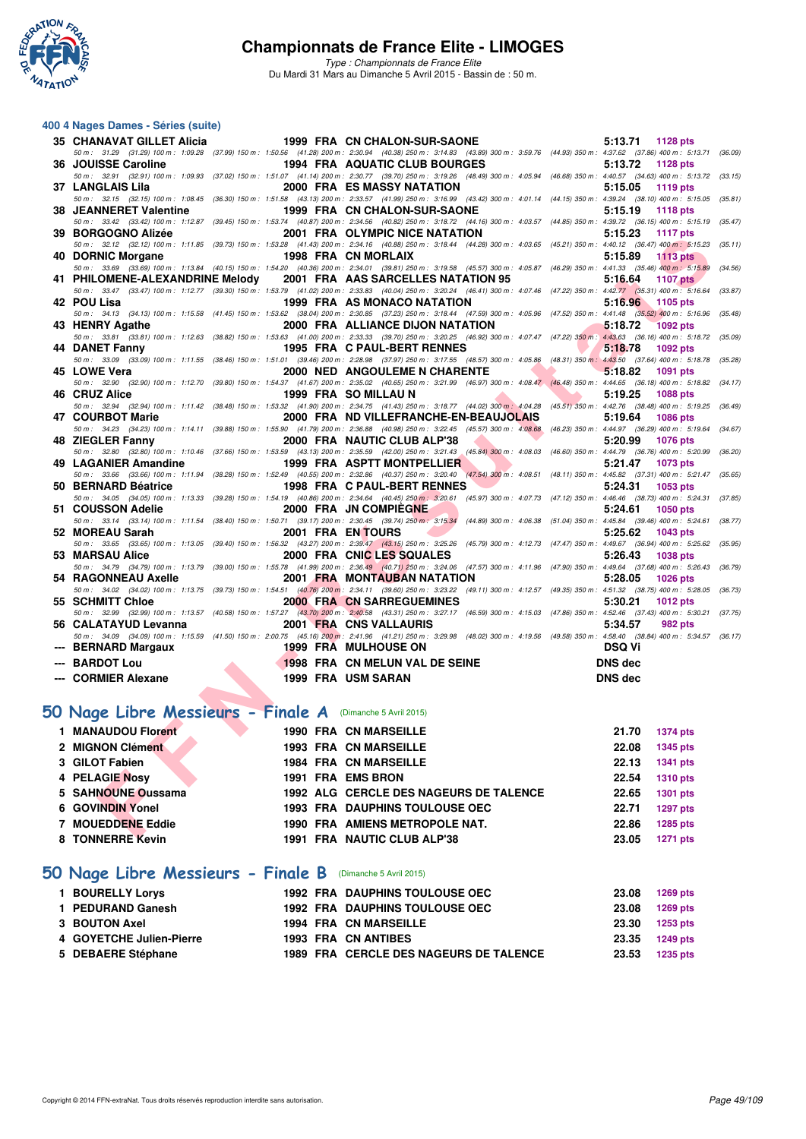

*Type : Championnats de France Elite* Du Mardi 31 Mars au Dimanche 5 Avril 2015 - Bassin de : 50 m.

#### **400 4 Nages Dames - Séries (suite)**

| 35   CHANAVAT GILLET Alicia                                                                                                                                                                                                    |  | 1999 FRA CN CHALON-SUR-SAONE                                                                                                                                                                                                                   |                    | 5:13.71 1128 pts              |         |
|--------------------------------------------------------------------------------------------------------------------------------------------------------------------------------------------------------------------------------|--|------------------------------------------------------------------------------------------------------------------------------------------------------------------------------------------------------------------------------------------------|--------------------|-------------------------------|---------|
| 36 JOUISSE Caroline                                                                                                                                                                                                            |  | 50 m: 31.29 (31.29) 100 m: 1:09.28 (37.99) 150 m: 1:50.56 (41.28) 200 m: 2:30.94 (40.38) 250 m: 3:14.83 (43.89) 300 m: 3:59.76 (44.93) 350 m: 4:37.62 (37.66) 400 m: 5:13.71 (36.09)<br>1994 FRA AQUATIC CLUB BOURGES                          |                    | 5:13.72<br>1128 pts           |         |
|                                                                                                                                                                                                                                |  | 50 m: 32.91 (32.91) 100 m: 1:09.93 (37.02) 150 m: 1:51.07 (41.14) 200 m: 2:30.77 (39.70) 250 m: 3:19.26 (48.49) 300 m: 4:05.94 (46.68) 350 m: 4:40.57 (34.63) 400 m: 5:13.72 (33.15)                                                           |                    |                               |         |
| 37 LANGLAIS Lila                                                                                                                                                                                                               |  | 2000 FRA ES MASSY NATATION<br>50 m: 32.15 (32.15) 100 m: 1:08.45 (36.30) 150 m: 1:51.58 (43.13) 200 m: 2:33.57 (41.99) 250 m: 3:16.99 (43.42) 300 m: 4:01.14 (44.15) 350 m: 4:39.24 (38.10) 400 m: 5:15.05 (35.81)                             |                    | 5:15.05<br>1119 pts           |         |
|                                                                                                                                                                                                                                |  |                                                                                                                                                                                                                                                |                    | 5:15.19<br>1118 pts           |         |
|                                                                                                                                                                                                                                |  | 50 m: 33.42 (33.42) 100 m: 1:12.87 (39.45) 150 m: 1:53.74 (40.87) 200 m: 2:34.56 (40.82) 250 m: 3:18.72 (44.16) 300 m: 4:03.57 (44.85) 350 m: 4:39.72 (36.15) 400 m: 5:15.19 (35.47)                                                           |                    |                               |         |
|                                                                                                                                                                                                                                |  |                                                                                                                                                                                                                                                |                    | 5:15.23<br><b>1117 pts</b>    |         |
|                                                                                                                                                                                                                                |  | 50 m: 32.12 (32.12) 100 m: 1:11.85 (39.73) 150 m: 1:53.28 (41.43) 200 m: 2:34.16 (40.88) 250 m: 3:18.44 (44.28) 300 m: 4:03.65 (45.21) 350 m: 4:40.12 (36.47) 400 m: 5:15.23 (35.11)                                                           |                    |                               |         |
| 40 DORNIC Morgane 1998 FRA CN MORLAIX                                                                                                                                                                                          |  | 50 m: 33.69 (33.69) 100 m: 1:13.84 (40.15) 150 m: 1:54.20 (40.36) 200 m: 2:34.01 (39.81) 250 m: 3:19.58 (45.57) 300 m: 4:05.87 (46.29) 350 m: 4:41.33 (35.46) 400 m: 5:15.89                                                                   |                    | 5:15.89<br><b>1113 pts</b>    | (34.56) |
|                                                                                                                                                                                                                                |  | 41 PHILOMENE-ALEXANDRINE Melody  2001 FRA AAS SARCELLES NATATION 95                                                                                                                                                                            |                    | 5:16.64<br>1107 pts           |         |
|                                                                                                                                                                                                                                |  | 50 m: 33.47 (33.47) 100 m: 1:12.77 (39.30) 150 m: 1:53.79 (41.02) 200 m: 2:33.83 (40.04) 250 m: 3:20.24 (46.41) 300 m: 4:07.46 (47.22) 350 m: 4:42.77 (35.31) 400 m: 5:16.64 (33.87)                                                           |                    |                               |         |
| 42 POU Lisa                                                                                                                                                                                                                    |  | 1999 FRA AS MONACO NATATION                                                                                                                                                                                                                    |                    | 5:16.96 1105 pts              |         |
|                                                                                                                                                                                                                                |  | 50 m: 34.13 (34.13) 100 m: 1:15.58 (41.45) 150 m: 1:53.62 (38.04) 200 m: 2:30.85 (37.23) 250 m: 3:18.44 (47.59) 300 m: 4:05.96 (47.52) 350 m: 4:41.48 (35.52) 400 m: 5:16.96 (35.48)                                                           |                    |                               |         |
| 43 HENRY Agathe <b>All Accords</b>                                                                                                                                                                                             |  | 2000 FRA ALLIANCE DIJON NATATION<br>50 m : 33.81 (33.81) 100 m : 1:12.63 (38.82) 150 m : 1:53.63 (41.00) 200 m : 2:33.33 (39.70) 250 m : 3:20.25 (46.92) 300 m : 4:07.47 (47.22) 350 m : 4:43.63 (36.16) 400 m : 5:18.72 (35.09)               |                    | $-5:18.72$<br><b>1092 pts</b> |         |
| 44 DANET Fanny                                                                                                                                                                                                                 |  | <b><i>Committee Committee Committee Committee Committee Committee Committee Committee Committee Committee Committee</i></b><br><b>1995 FRA C PAUL-BERT RENNES</b>                                                                              |                    | 5:18.78<br>1092 pts           |         |
|                                                                                                                                                                                                                                |  | 50 m : 33.09 (33.09) 100 m : 1:11.55 (38.46) 150 m : 1:51.01 (39.46) 200 m : 2:28.98 (37.97) 250 m : 3:17.55 (48.57) 300 m : 4:05.86 (48.31) 350 m : 4:43.50 (37.64) 400 m : 5:18.78 (35.28)                                                   |                    |                               |         |
| 45 LOWE Vera and the control of the control of the control of the control of the control of the control of the control of the control of the control of the control of the control of the control of the control of the contro |  | 2000 NED ANGOULEME N CHARENTE                                                                                                                                                                                                                  |                    | 5:18.82 1091 pts              |         |
|                                                                                                                                                                                                                                |  | 50 m: 32.90 (32.90) 100 m: 1:12.70 (39.80) 150 m: 1:54.37 (41.67) 200 m: 2:35.02 (40.65) 250 m: 3:21.99 (46.97) 300 m: 4:08.47 (46.48) 350 m: 4:44.65 (36.18) 400 m: 5:18.82 (34.17)                                                           |                    |                               |         |
| 46 CRUZ Alice                                                                                                                                                                                                                  |  | 1999 FRA SO MILLAU N<br>50 m: 32.94 (32.94) 100 m: 1:11.42 (38.48) 150 m: 1:53.32 (41.90) 200 m: 2:34.75 (41.43) 250 m: 3:18.77 (44.02) 300 m: 4:04.28 (45.51) 350 m: 4:42.76 (38.48) 400 m: 5:19.25 (36.49)                                   | <b>The Company</b> | 5:19.25<br><b>1088 pts</b>    |         |
|                                                                                                                                                                                                                                |  | 47 COURBOT Marie 2000 FRA ND VILLEFRANCHE-EN-BEAUJOLAIS                                                                                                                                                                                        |                    | 5:19.64<br>1086 pts           |         |
|                                                                                                                                                                                                                                |  | 50 m: 34.23 (34.23) 100 m: 1:14.11 (39.88) 150 m: 1:55.90 (41.79) 200 m: 2:36.88 (40.98) 250 m: 3:22.45 (45.57) 300 m: 4:08.68 (46.23) 350 m: 4:44.97 (36.29) 400 m: 5:19.64 (34.67)                                                           |                    |                               |         |
| 48 ZIEGLER Fanny                                                                                                                                                                                                               |  | 2000 FRA NAUTIC CLUB ALP'38                                                                                                                                                                                                                    |                    | 5:20.99<br><b>1076 pts</b>    |         |
|                                                                                                                                                                                                                                |  | 50 m : 32.80 (32.80) 100 m : 1:10.46 (37.66) 150 m : 1:53.59 (43.13) 200 m : 2:35.59 (42.00) 250 m : 321.43 (45.84) 300 m : 4:08.03 (46.60) 350 m : 4:44.79 (36.76) 400 m : 5:20.99 (36.20)<br>49 LAGANIER Amandine 1999 FRA ASPTT MONTPELLIER |                    |                               |         |
|                                                                                                                                                                                                                                |  | 50 m: 33.66 (33.66) 100 m: 1:11.94 (38.28) 150 m: 1:52.49 (40.55) 200 m: 2:32.86 (40.37) 250 m: 3:20.40 (47.54) 300 m: 4:08.51 (48.11) 350 m: 4:45.82 (37.31) 400 m: 5:21.47 (35.65)                                                           |                    | 5:21.47<br>1073 pts           |         |
| 50 BERNARD Béatrice                                                                                                                                                                                                            |  | 1998 FRA C PAUL-BERT RENNES                                                                                                                                                                                                                    |                    | 5:24.31<br>1053 pts           |         |
|                                                                                                                                                                                                                                |  | 50 m: 34.05 (34.05) 100 m: 1:13.33 (39.28) 150 m: 1:54.19 (40.86) 200 m: 2:34.64 (40.45) 250 m: 3:20.61 (45.97) 300 m: 4:07.73 (47.12) 350 m: 4:46.46 (38.73) 400 m: 5:24.31 (37.85)                                                           |                    |                               |         |
| 51 COUSSON Adelie                                                                                                                                                                                                              |  | 2000 FRA JN COMPIEGNE                                                                                                                                                                                                                          |                    | 5:24.61<br>1050 pts           |         |
| 52 MOREAU Sarah National State of the Sea                                                                                                                                                                                      |  | $50\,m:~~33.14~~(33.14)~100\,m:~~1:11.54~~(38.40)~150\,m:~~1:50.71~~(39.17)~200\,m:~~2:30.45~~(39.74)~250\,m:~~3:15.34~~(44.89)~300\,m:~~4:06.38~~(51.04)~350\,m:~~4:45.84~~(39.46)~400\,m:~~5:24.61~~(38.77)~10.31~(39.78)~11.22~(30.19)~11.$ |                    | 5:25.62                       |         |
|                                                                                                                                                                                                                                |  | 2001 FRA EN TOURS<br>50 m: 33.65 (33.65) 100 m: 1:13.05 (39.40) 150 m: 1:56.32 (43.27) 200 m: 2:39.47 (43.15) 250 m: 3:25.26 (45.79) 300 m: 4:12.73 (47.47) 350 m: 4:49.67 (36.94) 400 m: 5:25.62 (35.95)                                      |                    | 1043 pts                      |         |
| 53 MARSAU Alice                                                                                                                                                                                                                |  | 2000 FRA CNIC LES SQUALES                                                                                                                                                                                                                      |                    | 5:26.43<br>1038 pts           |         |
|                                                                                                                                                                                                                                |  | 50 m : 34.79 (34.79) 100 m : 1:13.79 (39.00) 150 m : 1:55.78 (41.99) 200 m : 2:36.49 (40.71) 250 m : 3:24.06 (47.57) 300 m : 4:11.96 (47.90) 350 m : 4:49.64 (37.68) 400 m : 5:26.43 (36.79)                                                   |                    |                               |         |
| 54 RAGONNEAU Axelle                                                                                                                                                                                                            |  | 2001 FRA MONTAUBAN NATATION                                                                                                                                                                                                                    |                    | 5:28.05<br><b>1026 pts</b>    |         |
| 55 SCHMITT Chloe                                                                                                                                                                                                               |  | 50 m: 34.02 (34.02) 100 m: 1:13.75 (39.73) 150 m: 1:54.51 (40.76) 200 m: 2:34.11 (39.60) 250 m: 3:23.22 (49.11) 300 m: 4:12.57 (49.35) 350 m: 4:51.32 (38.75) 400 m: 5:28.05 (36.73)<br><b>2000 FRA CN SARREGUEMINES</b>                       |                    | 5:30.21<br>1012 pts           |         |
|                                                                                                                                                                                                                                |  | 50 m: 32.99 (32.99) 100 m: 1:13.57 (40.58) 150 m: 1:57.27 (43.70) 200 m: 2:40.58 (43.31) 250 m: 3:27.17 (46.59) 300 m: 4:15.03 (47.86) 350 m: 4:52.46 (37.43) 400 m: 5:30.21 (37.75)                                                           |                    |                               |         |
| 56 CALATAYUD Levanna 2001 FRA CNS VALLAURIS                                                                                                                                                                                    |  |                                                                                                                                                                                                                                                |                    | 5:34.57<br>982 pts            |         |
|                                                                                                                                                                                                                                |  | 50 m : 34.09 (34.09) 100 m : 1:15.59 (41.50) 150 m : 2:00.75 (45.16) 200 m : 2:41.96 (41.21) 250 m : 3:29.98 (48.02) 300 m : 4:19.56 (49.58) 350 m : 4:58.40 (38.84) 400 m : 5:34.57 (36.17)                                                   |                    |                               |         |
| --- BERNARD Margaux                                                                                                                                                                                                            |  | <b>1999 FRA MULHOUSE ON</b>                                                                                                                                                                                                                    |                    | <b>DSQ Vi</b>                 |         |
| --- BARDOT Lou                                                                                                                                                                                                                 |  | 1998 FRA CN MELUN VAL DE SEINE<br>1999 FRA USM SARAN                                                                                                                                                                                           |                    | <b>DNS</b> dec                |         |
| --- CORMIER Alexane                                                                                                                                                                                                            |  |                                                                                                                                                                                                                                                |                    | DNS dec                       |         |
|                                                                                                                                                                                                                                |  |                                                                                                                                                                                                                                                |                    |                               |         |
| 10 Nage Libre Messieurs - Finale A (Dimanche 5 Avril 2015)                                                                                                                                                                     |  |                                                                                                                                                                                                                                                |                    |                               |         |
| 1 MANAUDOU Florent                                                                                                                                                                                                             |  | 1990 FRA CN MARSEILLE                                                                                                                                                                                                                          |                    | 21.70<br>1374 pts             |         |
|                                                                                                                                                                                                                                |  | <b>1993 FRA CN MARSEILLE</b>                                                                                                                                                                                                                   |                    | 22.08                         |         |
| 2 MIGNON Clément<br>3 GILOT Fabien<br>4 PELAGIE Nosy<br>5 SAHNOUNE Oussama<br>6 GOVINDIN Yonel                                                                                                                                 |  |                                                                                                                                                                                                                                                |                    | <b>1345 pts</b>               |         |
|                                                                                                                                                                                                                                |  | <b>1984 FRA CN MARSEILLE</b>                                                                                                                                                                                                                   |                    | 22.13<br>1341 pts             |         |
|                                                                                                                                                                                                                                |  | 1991 FRA EMS BRON                                                                                                                                                                                                                              |                    | 22.54<br><b>1310 pts</b>      |         |
|                                                                                                                                                                                                                                |  | <b>1992 ALG CERCLE DES NAGEURS DE TALENCE</b>                                                                                                                                                                                                  |                    | 22.65<br>1301 pts             |         |
|                                                                                                                                                                                                                                |  | <b>1993 FRA DAUPHINS TOULOUSE OEC</b>                                                                                                                                                                                                          |                    | 22.71<br><b>1297 pts</b>      |         |
| 7 MOUEDDENE Eddie                                                                                                                                                                                                              |  | 1990 FRA AMIENS METROPOLE NAT.                                                                                                                                                                                                                 |                    | 22.86<br>1285 pts             |         |
| $0.70$ WEDDE Kans                                                                                                                                                                                                              |  | 4004 EDA NAUTIO OLUD ALDIOO                                                                                                                                                                                                                    |                    | $00.05 - 4074$                |         |

# **[50 Nage Libre Messieurs - Finale A](http://www.ffnatation.fr/webffn/resultats.php?idact=nat&go=epr&idcpt=27187&idepr=51)** (Dimanche 5 Avril 2015)

| 1 MANAUDOU Florent       | <b>1990 FRA CN MARSEILLE</b>           | 21.70 | <b>1374 pts</b> |
|--------------------------|----------------------------------------|-------|-----------------|
| 2 MIGNON Clément         | <b>1993 FRA CN MARSEILLE</b>           | 22.08 | 1345 pts        |
| 3 GILOT Fabien           | <b>1984 FRA CN MARSEILLE</b>           | 22.13 | 1341 pts        |
| 4 PELAGIE Nosy           | 1991 FRA EMS BRON                      | 22.54 | <b>1310 pts</b> |
| 5 SAHNOUNE Oussama       | 1992 ALG CERCLE DES NAGEURS DE TALENCE | 22.65 | 1301 pts        |
| 6 GOVINDIN Yonel         | <b>1993 FRA DAUPHINS TOULOUSE OEC</b>  | 22.71 | 1297 pts        |
| <b>7 MOUEDDENE Eddie</b> | 1990 FRA AMIENS METROPOLE NAT.         | 22.86 | 1285 pts        |
| 8 TONNERRE Kevin         | 1991 FRA NAUTIC CLUB ALP'38            | 23.05 | 1271 pts        |

# **[50 Nage Libre Messieurs - Finale B](http://www.ffnatation.fr/webffn/resultats.php?idact=nat&go=epr&idcpt=27187&idepr=51)** (Dimanche 5 Avril 2015)

| 1 BOURELLY Lorys         |  | <b>1992 FRA DAUPHINS TOULOUSE OEC</b>  | 23.08 | 1269 pts |
|--------------------------|--|----------------------------------------|-------|----------|
| 1 PEDURAND Ganesh        |  | <b>1992 FRA DAUPHINS TOULOUSE OEC</b>  | 23.08 | 1269 pts |
| 3 BOUTON Axel            |  | <b>1994 FRA CN MARSEILLE</b>           | 23.30 | 1253 pts |
| 4 GOYETCHE Julien-Pierre |  | 1993 FRA CN ANTIBES                    | 23.35 | 1249 pts |
| 5 DEBAERE Stéphane       |  | 1989 FRA CERCLE DES NAGEURS DE TALENCE | 23.53 | 1235 pts |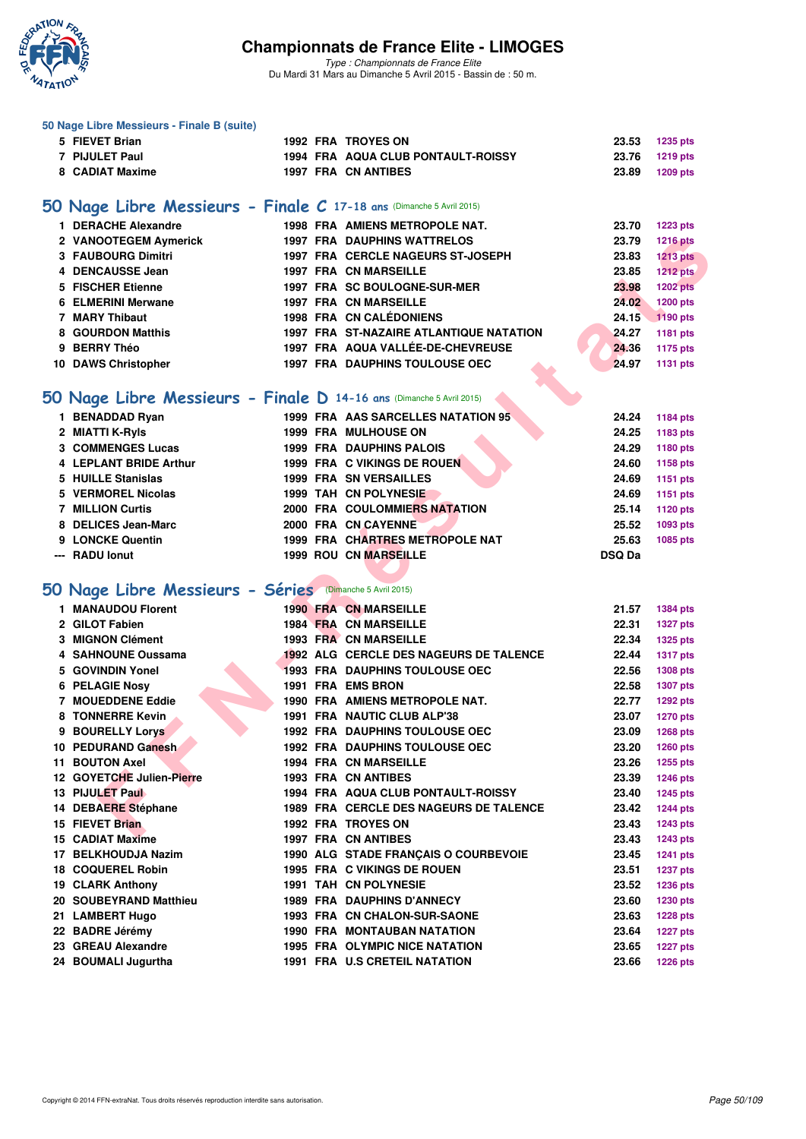

|   | 50 Nage Libre Messieurs - Finale B (suite)                           |  |                                                |               |                 |
|---|----------------------------------------------------------------------|--|------------------------------------------------|---------------|-----------------|
|   | 5 FIEVET Brian                                                       |  | <b>1992 FRA TROYES ON</b>                      | 23.53         | <b>1235 pts</b> |
|   | 7 PIJULET Paul                                                       |  | 1994 FRA AQUA CLUB PONTAULT-ROISSY             | 23.76         | 1219 pts        |
|   | 8 CADIAT Maxime                                                      |  | 1997 FRA CN ANTIBES                            | 23.89         | <b>1209 pts</b> |
|   |                                                                      |  |                                                |               |                 |
|   | 50 Nage Libre Messieurs - Finale C 17-18 ans (Dimanche 5 Avril 2015) |  |                                                |               |                 |
|   |                                                                      |  |                                                |               |                 |
|   | 1 DERACHE Alexandre                                                  |  | 1998 FRA AMIENS METROPOLE NAT.                 | 23.70         | <b>1223 pts</b> |
|   | 2 VANOOTEGEM Aymerick                                                |  | <b>1997 FRA DAUPHINS WATTRELOS</b>             | 23.79         | <b>1216 pts</b> |
|   | 3 FAUBOURG Dimitri                                                   |  | 1997 FRA CERCLE NAGEURS ST-JOSEPH              | 23.83         | <b>1213 pts</b> |
|   | 4 DENCAUSSE Jean                                                     |  | <b>1997 FRA CN MARSEILLE</b>                   | 23.85         | <b>1212 pts</b> |
|   | 5 FISCHER Etienne                                                    |  | 1997 FRA SC BOULOGNE-SUR-MER                   | 23.98         | <b>1202 pts</b> |
| 6 | <b>ELMERINI Merwane</b>                                              |  | <b>1997 FRA CN MARSEILLE</b>                   | 24.02         | 1200 pts        |
|   | 7 MARY Thibaut                                                       |  | 1998 FRA CN CALÉDONIENS                        | 24.15         | 1190 pts        |
|   | 8 GOURDON Matthis                                                    |  | <b>1997 FRA ST-NAZAIRE ATLANTIQUE NATATION</b> | 24.27         | 1181 pts        |
|   | 9 BERRY Théo                                                         |  | 1997 FRA AQUA VALLÉE-DE-CHEVREUSE              | 24.36         | <b>1175 pts</b> |
|   | 10 DAWS Christopher                                                  |  | 1997 FRA DAUPHINS TOULOUSE OEC                 | 24.97         | <b>1131 pts</b> |
|   |                                                                      |  |                                                |               |                 |
|   | 50 Nage Libre Messieurs - Finale D 14-16 ans (Dimanche 5 Avril 2015) |  |                                                |               |                 |
|   | 1 BENADDAD Ryan                                                      |  | 1999 FRA AAS SARCELLES NATATION 95             | 24.24         | <b>1184 pts</b> |
|   | 2 MIATTI K-Ryls                                                      |  | <b>1999 FRA MULHOUSE ON</b>                    | 24.25         | 1183 pts        |
|   | <b>3 COMMENGES Lucas</b>                                             |  | <b>1999 FRA DAUPHINS PALOIS</b>                | 24.29         | 1180 pts        |
|   | 4 LEPLANT BRIDE Arthur                                               |  | 1999 FRA C VIKINGS DE ROUEN                    | 24.60         |                 |
|   | 5 HUILLE Stanislas                                                   |  |                                                |               | 1158 pts        |
|   |                                                                      |  | <b>1999 FRA SN VERSAILLES</b>                  | 24.69         | 1151 pts        |
|   | 5 VERMOREL Nicolas                                                   |  | 1999 TAH CN POLYNESIE                          | 24.69         | 1151 pts        |
|   | <b>7 MILLION Curtis</b>                                              |  | 2000 FRA COULOMMIERS NATATION                  | 25.14         | 1120 pts        |
|   | 8 DELICES Jean-Marc                                                  |  | 2000 FRA CN CAYENNE                            | 25.52         | 1093 pts        |
|   | 9 LONCKE Quentin                                                     |  | 1999 FRA CHARTRES METROPOLE NAT                | 25.63         | 1085 pts        |
|   | --- RADU lonut                                                       |  | <b>1999 ROU CN MARSEILLE</b>                   |               |                 |
|   |                                                                      |  |                                                | <b>DSQ Da</b> |                 |
|   |                                                                      |  |                                                |               |                 |
|   | 50 Nage Libre Messieurs - Séries (Dimanche 5 Avril 2015)             |  |                                                |               |                 |
|   | 1 MANAUDOU Florent                                                   |  | <b>1990 FRA CN MARSEILLE</b>                   | 21.57         | <b>1384 pts</b> |
|   | 2 GILOT Fabien                                                       |  | 1984 FRA CN MARSEILLE                          | 22.31         |                 |
|   | 3 MIGNON Clément                                                     |  | <b>1993 FRA CN MARSEILLE</b>                   |               | <b>1327 pts</b> |
|   |                                                                      |  |                                                | 22.34         | <b>1325 pts</b> |
|   | 4 SAHNOUNE Oussama                                                   |  | 1992 ALG CERCLE DES NAGEURS DE TALENCE         | 22.44         | <b>1317 pts</b> |
|   | 5 GOVINDIN Yonel                                                     |  | 1993 FRA DAUPHINS TOULOUSE OEC                 | 22.56         | 1308 pts        |
|   | 6 PELAGIE Nosy                                                       |  | 1991 FRA EMS BRON                              | 22.58         | <b>1307 pts</b> |
|   | 7 MOUEDDENE Eddie                                                    |  | 1990 FRA AMIENS METROPOLE NAT.                 | 22.77         | <b>1292 pts</b> |
|   | 8 TONNERRE Kevin                                                     |  | 1991 FRA NAUTIC CLUB ALP'38                    | 23.07         | <b>1270 pts</b> |
|   | 9 BOURELLY Lorys                                                     |  | <b>1992 FRA DAUPHINS TOULOUSE OEC</b>          | 23.09         | <b>1268 pts</b> |
|   | 10 PEDURAND Ganesh                                                   |  | <b>1992 FRA DAUPHINS TOULOUSE OEC</b>          | 23.20         | <b>1260 pts</b> |
|   | 11 BOUTON Axel                                                       |  | <b>1994 FRA CN MARSEILLE</b>                   | 23.26         | <b>1255 pts</b> |
|   | 12 GOYETCHE Julien-Pierre                                            |  | 1993 FRA CN ANTIBES                            | 23.39         | <b>1246 pts</b> |
|   | 13 PIJULET Paul                                                      |  | 1994 FRA AQUA CLUB PONTAULT-ROISSY             | 23.40         | <b>1245 pts</b> |
|   | 14 DEBAERE Stéphane                                                  |  | 1989 FRA CERCLE DES NAGEURS DE TALENCE         | 23.42         | <b>1244 pts</b> |
|   | 15 FIEVET Brian                                                      |  | <b>1992 FRA TROYES ON</b>                      | 23.43         | <b>1243 pts</b> |
|   | 15 CADIAT Maxime                                                     |  | <b>1997 FRA CN ANTIBES</b>                     | 23.43         | <b>1243 pts</b> |
|   | 17 BELKHOUDJA Nazim                                                  |  | 1990 ALG STADE FRANÇAIS O COURBEVOIE           | 23.45         | <b>1241 pts</b> |
|   | 18 COQUEREL Robin                                                    |  | 1995 FRA C VIKINGS DE ROUEN                    | 23.51         | <b>1237 pts</b> |
|   | 19 CLARK Anthony                                                     |  | 1991 TAH CN POLYNESIE                          | 23.52         | 1236 pts        |
|   | 20 SOUBEYRAND Matthieu                                               |  | <b>1989 FRA DAUPHINS D'ANNECY</b>              | 23.60         | <b>1230 pts</b> |
|   | 21 LAMBERT Hugo                                                      |  | 1993 FRA CN CHALON-SUR-SAONE                   | 23.63         | <b>1228 pts</b> |
|   | 22 BADRE Jérémy                                                      |  | <b>1990 FRA MONTAUBAN NATATION</b>             | 23.64         | <b>1227 pts</b> |
|   | 23 GREAU Alexandre                                                   |  | 1995 FRA OLYMPIC NICE NATATION                 | 23.65         | <b>1227 pts</b> |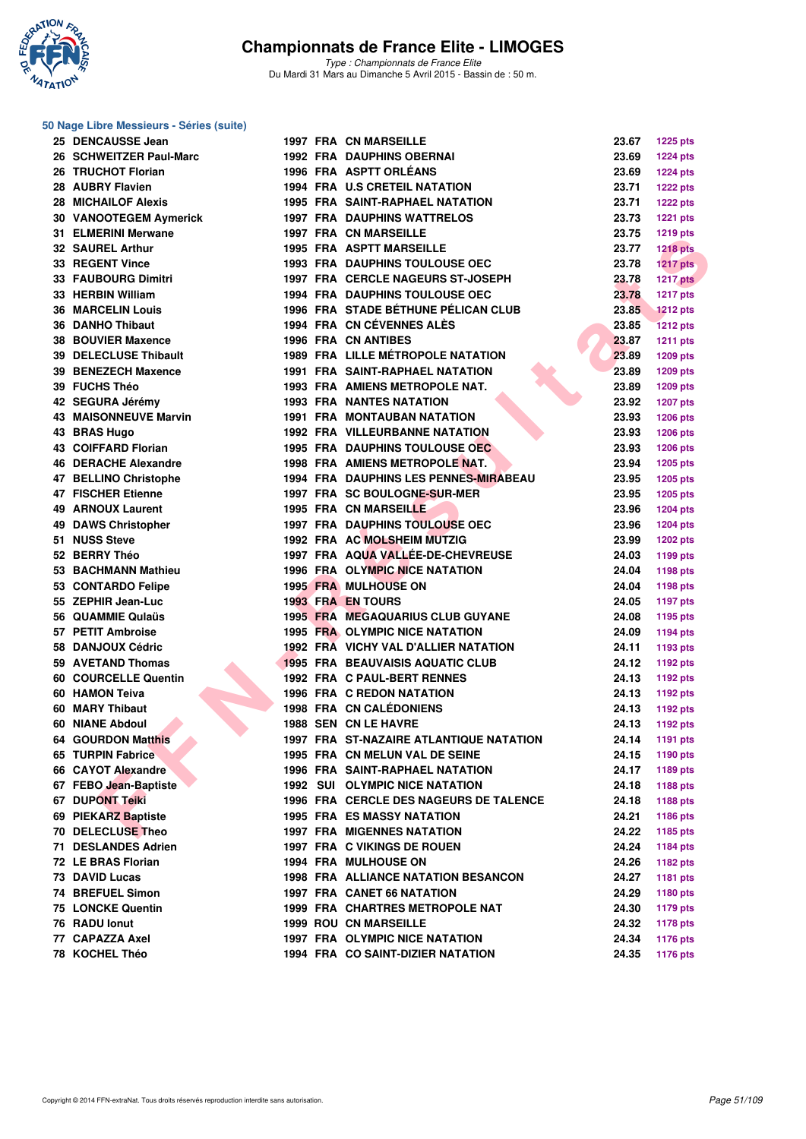

*Type : Championnats de France Elite* Du Mardi 31 Mars au Dimanche 5 Avril 2015 - Bassin de : 50 m.

#### **50 Nage Libre Messieurs - Séries (suite)**

| 25 DENCAUSSE Jean              |  | <b>1997 FRA CN MARSEILLE</b>                   | 23.67 | <b>1225 pts</b> |
|--------------------------------|--|------------------------------------------------|-------|-----------------|
| 26 SCHWEITZER Paul-Marc        |  | <b>1992 FRA DAUPHINS OBERNAI</b>               | 23.69 | <b>1224 pts</b> |
| 26 TRUCHOT Florian             |  | 1996 FRA ASPTT ORLÉANS                         | 23.69 | <b>1224 pts</b> |
| 28 AUBRY Flavien               |  | <b>1994 FRA U.S CRETEIL NATATION</b>           | 23.71 | <b>1222 pts</b> |
| 28 MICHAILOF Alexis            |  | <b>1995 FRA SAINT-RAPHAEL NATATION</b>         | 23.71 | <b>1222 pts</b> |
| 30 VANOOTEGEM Aymerick         |  | <b>1997 FRA DAUPHINS WATTRELOS</b>             | 23.73 | <b>1221 pts</b> |
| 31 ELMERINI Merwane            |  | <b>1997 FRA CN MARSEILLE</b>                   | 23.75 | <b>1219 pts</b> |
| <b>32 SAUREL Arthur</b>        |  | <b>1995 FRA ASPTT MARSEILLE</b>                | 23.77 | <b>1218 pts</b> |
| 33 REGENT Vince                |  | <b>1993 FRA DAUPHINS TOULOUSE OEC</b>          | 23.78 | <b>1217 pts</b> |
| 33 FAUBOURG Dimitri            |  | 1997 FRA CERCLE NAGEURS ST-JOSEPH              | 23.78 | <b>1217 pts</b> |
| 33 HERBIN William              |  | <b>1994 FRA DAUPHINS TOULOUSE OEC</b>          | 23.78 | <b>1217 pts</b> |
| <b>36 MARCELIN Louis</b>       |  | 1996 FRA STADE BÉTHUNE PÉLICAN CLUB            | 23.85 | <b>1212 pts</b> |
| 36 DANHO Thibaut               |  | 1994 FRA CN CÉVENNES ALÈS                      | 23.85 | <b>1212 pts</b> |
| 38 BOUVIER Maxence             |  | <b>1996 FRA CN ANTIBES</b>                     | 23.87 | <b>1211 pts</b> |
| 39 DELECLUSE Thibault          |  | <b>1989 FRA LILLE MÉTROPOLE NATATION</b>       | 23.89 | 1209 pts        |
| 39 BENEZECH Maxence            |  | <b>1991 FRA SAINT-RAPHAEL NATATION</b>         | 23.89 | <b>1209 pts</b> |
| 39 FUCHS Théo                  |  | <b>1993 FRA AMIENS METROPOLE NAT.</b>          | 23.89 | <b>1209 pts</b> |
| 42 SEGURA Jérémy               |  | <b>1993 FRA NANTES NATATION</b>                | 23.92 | <b>1207 pts</b> |
| <b>43 MAISONNEUVE Marvin</b>   |  | <b>1991 FRA MONTAUBAN NATATION</b>             | 23.93 | <b>1206 pts</b> |
| 43 BRAS Hugo                   |  | <b>1992 FRA VILLEURBANNE NATATION</b>          | 23.93 | <b>1206 pts</b> |
| 43 COIFFARD Florian            |  | <b>1995 FRA DAUPHINS TOULOUSE OEC</b>          | 23.93 | <b>1206 pts</b> |
| <b>46 DERACHE Alexandre</b>    |  | 1998 FRA AMIENS METROPOLE NAT.                 | 23.94 | <b>1205 pts</b> |
| 47 BELLINO Christophe          |  | <b>1994 FRA DAUPHINS LES PENNES-MIRABEAU</b>   | 23.95 | <b>1205 pts</b> |
| 47 FISCHER Etienne             |  | 1997 FRA SC BOULOGNE-SUR-MER                   | 23.95 |                 |
| 49 ARNOUX Laurent              |  | 1995 FRA CN MARSEILLE                          | 23.96 | <b>1205 pts</b> |
| 49 DAWS Christopher            |  | <b>1997 FRA DAUPHINS TOULOUSE OEC</b>          | 23.96 | <b>1204 pts</b> |
|                                |  | 1992 FRA AC MOLSHEIM MUTZIG                    |       | <b>1204 pts</b> |
| 51 NUSS Steve<br>52 BERRY Théo |  | 1997 FRA AQUA VALLÉE-DE-CHEVREUSE              | 23.99 | <b>1202 pts</b> |
|                                |  |                                                | 24.03 | 1199 pts        |
| 53 BACHMANN Mathieu            |  | 1996 FRA OLYMPIC NICE NATATION                 | 24.04 | <b>1198 pts</b> |
| 53 CONTARDO Felipe             |  | <b>1995 FRA MULHOUSE ON</b>                    | 24.04 | <b>1198 pts</b> |
| 55 ZEPHIR Jean-Luc             |  | <b>1993 FRA EN TOURS</b>                       | 24.05 | <b>1197 pts</b> |
| 56 QUAMMIE Qulaüs              |  | <b>1995 FRA MEGAQUARIUS CLUB GUYANE</b>        | 24.08 | 1195 pts        |
| 57 PETIT Ambroise              |  | 1995 FRA OLYMPIC NICE NATATION                 | 24.09 | <b>1194 pts</b> |
| 58 DANJOUX Cédric              |  | 1992 FRA VICHY VAL D'ALLIER NATATION           | 24.11 | 1193 pts        |
| 59 AVETAND Thomas              |  | <b>1995 FRA BEAUVAISIS AQUATIC CLUB</b>        | 24.12 | 1192 pts        |
| 60 COURCELLE Quentin           |  | <b>1992 FRA C PAUL-BERT RENNES</b>             | 24.13 | 1192 pts        |
| 60 HAMON Teiva                 |  | <b>1996 FRA C REDON NATATION</b>               | 24.13 | 1192 pts        |
| 60 MARY Thibaut                |  | <b>1998 FRA CN CALÉDONIENS</b>                 | 24.13 | 1192 pts        |
| 60 NIANE Abdoul                |  | 1988 SEN CN LE HAVRE                           | 24.13 | 1192 pts        |
| <b>64 GOURDON Matthis</b>      |  | <b>1997 FRA ST-NAZAIRE ATLANTIQUE NATATION</b> | 24.14 | 1191 pts        |
| 65 TURPIN Fabrice              |  | 1995 FRA CN MELUN VAL DE SEINE                 | 24.15 | 1190 pts        |
| 66 CAYOT Alexandre             |  | 1996 FRA SAINT-RAPHAEL NATATION                | 24.17 | 1189 pts        |
| 67 FEBO Jean-Baptiste          |  | <b>1992 SUI OLYMPIC NICE NATATION</b>          | 24.18 | 1188 pts        |
| <b>67 DUPONT Teiki</b>         |  | 1996 FRA CERCLE DES NAGEURS DE TALENCE         | 24.18 | 1188 pts        |
| 69 PIEKARZ Baptiste            |  | <b>1995 FRA ES MASSY NATATION</b>              | 24.21 | 1186 pts        |
| 70 DELECLUSE Theo              |  | <b>1997 FRA MIGENNES NATATION</b>              | 24.22 | 1185 pts        |
| 71 DESLANDES Adrien            |  | 1997 FRA C VIKINGS DE ROUEN                    | 24.24 | 1184 pts        |
| 72 LE BRAS Florian             |  | <b>1994 FRA MULHOUSE ON</b>                    | 24.26 | 1182 pts        |
| 73 DAVID Lucas                 |  | <b>1998 FRA ALLIANCE NATATION BESANCON</b>     | 24.27 | 1181 pts        |
| 74 BREFUEL Simon               |  | 1997 FRA CANET 66 NATATION                     | 24.29 | 1180 pts        |
| 75 LONCKE Quentin              |  | 1999 FRA CHARTRES METROPOLE NAT                | 24.30 | 1179 pts        |
| 76 RADU lonut                  |  | <b>1999 ROU CN MARSEILLE</b>                   | 24.32 | <b>1178 pts</b> |
| 77 CAPAZZA Axel                |  | 1997 FRA OLYMPIC NICE NATATION                 | 24.34 | <b>1176 pts</b> |
| 78 KOCHEL Théo                 |  | 1994 FRA CO SAINT-DIZIER NATATION              | 24.35 | 1176 pts        |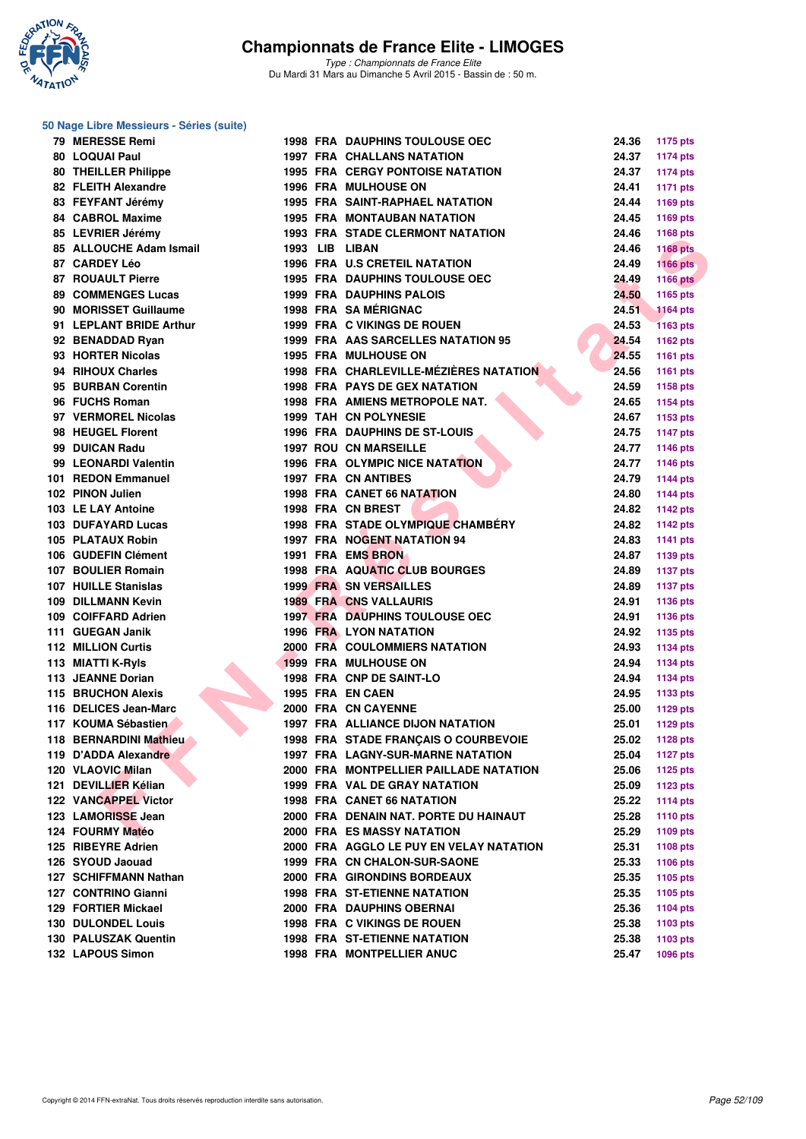

*Type : Championnats de France Elite* Du Mardi 31 Mars au Dimanche 5 Avril 2015 - Bassin de : 50 m.

#### **50 Nage Libre Messieurs - Séries (suite)**

| 79 MERESSE Remi           |  | <b>1998 FRA DAUPHINS TOULOUSE OEC</b>    | 24.36 | <b>1175 pts</b> |
|---------------------------|--|------------------------------------------|-------|-----------------|
| 80 LOQUAI Paul            |  | <b>1997 FRA CHALLANS NATATION</b>        | 24.37 | <b>1174 pts</b> |
| 80 THEILLER Philippe      |  | <b>1995 FRA CERGY PONTOISE NATATION</b>  | 24.37 | <b>1174 pts</b> |
| 82 FLEITH Alexandre       |  | <b>1996 FRA MULHOUSE ON</b>              | 24.41 | <b>1171 pts</b> |
| 83 FEYFANT Jérémy         |  | <b>1995 FRA SAINT-RAPHAEL NATATION</b>   | 24.44 | 1169 pts        |
| 84 CABROL Maxime          |  | <b>1995 FRA MONTAUBAN NATATION</b>       | 24.45 | 1169 pts        |
| 85 LEVRIER Jérémy         |  | <b>1993 FRA STADE CLERMONT NATATION</b>  | 24.46 | 1168 pts        |
| 85 ALLOUCHE Adam Ismail   |  | 1993 LIB LIBAN                           | 24.46 | <b>1168 pts</b> |
| 87 CARDEY Léo             |  | <b>1996 FRA U.S CRETEIL NATATION</b>     | 24.49 | <b>1166 pts</b> |
| <b>87 ROUAULT Pierre</b>  |  | 1995 FRA DAUPHINS TOULOUSE OEC           | 24.49 | <b>1166 pts</b> |
| <b>89 COMMENGES Lucas</b> |  | <b>1999 FRA DAUPHINS PALOIS</b>          | 24.50 | 1165 pts        |
| 90 MORISSET Guillaume     |  | 1998 FRA SA MÉRIGNAC                     | 24.51 | <b>1164 pts</b> |
| 91 LEPLANT BRIDE Arthur   |  | 1999 FRA C VIKINGS DE ROUEN              | 24.53 | <b>1163 pts</b> |
| 92 BENADDAD Ryan          |  | 1999 FRA AAS SARCELLES NATATION 95       | 24.54 | 1162 pts        |
| 93 HORTER Nicolas         |  | <b>1995 FRA MULHOUSE ON</b>              | 24.55 | 1161 pts        |
| 94 RIHOUX Charles         |  | 1998 FRA CHARLEVILLE-MÉZIÈRES NATATION   | 24.56 | <b>1161 pts</b> |
| 95 BURBAN Corentin        |  | <b>1998 FRA PAYS DE GEX NATATION</b>     | 24.59 | 1158 pts        |
| 96 FUCHS Roman            |  | 1998 FRA AMIENS METROPOLE NAT.           | 24.65 | <b>1154 pts</b> |
| 97 VERMOREL Nicolas       |  | <b>1999 TAH CN POLYNESIE</b>             | 24.67 | 1153 pts        |
| 98 HEUGEL Florent         |  | <b>1996 FRA DAUPHINS DE ST-LOUIS</b>     | 24.75 | <b>1147 pts</b> |
| 99 DUICAN Radu            |  | <b>1997 ROU CN MARSEILLE</b>             | 24.77 | <b>1146 pts</b> |
| 99 LEONARDI Valentin      |  | 1996 FRA OLYMPIC NICE NATATION           | 24.77 | 1146 pts        |
| 101 REDON Emmanuel        |  | <b>1997 FRA CN ANTIBES</b>               | 24.79 | 1144 pts        |
| 102 PINON Julien          |  | 1998 FRA CANET 66 NATATION               | 24.80 |                 |
| 103 LE LAY Antoine        |  | 1998 FRA CN BREST                        | 24.82 | <b>1144 pts</b> |
|                           |  |                                          |       | <b>1142 pts</b> |
| 103 DUFAYARD Lucas        |  | 1998 FRA STADE OLYMPIQUE CHAMBERY        | 24.82 | 1142 pts        |
| 105 PLATAUX Robin         |  | 1997 FRA NOGENT NATATION 94              | 24.83 | <b>1141 pts</b> |
| 106 GUDEFIN Clément       |  | 1991 FRA EMS BRON                        | 24.87 | 1139 pts        |
| 107 BOULIER Romain        |  | <b>1998 FRA AQUATIC CLUB BOURGES</b>     | 24.89 | <b>1137 pts</b> |
| 107 HUILLE Stanislas      |  | <b>1999 FRA SN VERSAILLES</b>            | 24.89 | <b>1137 pts</b> |
| 109 DILLMANN Kevin        |  | <b>1989 FRA CNS VALLAURIS</b>            | 24.91 | 1136 pts        |
| 109 COIFFARD Adrien       |  | <b>1997 FRA DAUPHINS TOULOUSE OEC</b>    | 24.91 | 1136 pts        |
| 111 GUEGAN Janik          |  | <b>1996 FRA LYON NATATION</b>            | 24.92 | 1135 pts        |
| 112 MILLION Curtis        |  | <b>2000 FRA COULOMMIERS NATATION</b>     | 24.93 | <b>1134 pts</b> |
| 113 MIATTI K-Ryls         |  | <b>1999 FRA MULHOUSE ON</b>              | 24.94 | 1134 pts        |
| 113 JEANNE Dorian         |  | 1998 FRA CNP DE SAINT-LO                 | 24.94 | 1134 pts        |
| <b>115 BRUCHON Alexis</b> |  | 1995 FRA EN CAEN                         | 24.95 | 1133 pts        |
| 116 DELICES Jean-Marc     |  | 2000 FRA CN CAYENNE                      | 25.00 | 1129 pts        |
| 117 KOUMA Sébastien       |  | <b>1997 FRA ALLIANCE DIJON NATATION</b>  | 25.01 | 1129 pts        |
| 118 BERNARDINI Mathieu    |  | 1998 FRA STADE FRANCAIS O COURBEVOIE     | 25.02 | <b>1128 pts</b> |
| 119 D'ADDA Alexandre      |  | <b>1997 FRA LAGNY-SUR-MARNE NATATION</b> | 25.04 | 1127 pts        |
| 120 VLAOVIC Milan         |  | 2000 FRA MONTPELLIER PAILLADE NATATION   | 25.06 | <b>1125 pts</b> |
| 121 DEVILLIER Kélian      |  | 1999 FRA VAL DE GRAY NATATION            | 25.09 | <b>1123 pts</b> |
| 122 VANCAPPEL Victor      |  | <b>1998 FRA CANET 66 NATATION</b>        | 25.22 | <b>1114 pts</b> |
| 123 LAMORISSE Jean        |  | 2000 FRA DENAIN NAT. PORTE DU HAINAUT    | 25.28 | 1110 pts        |
| 124 FOURMY Matéo          |  | <b>2000 FRA ES MASSY NATATION</b>        | 25.29 | 1109 pts        |
| 125 RIBEYRE Adrien        |  | 2000 FRA AGGLO LE PUY EN VELAY NATATION  | 25.31 | 1108 pts        |
| 126 SYOUD Jaouad          |  | 1999 FRA CN CHALON-SUR-SAONE             | 25.33 | <b>1106 pts</b> |
| 127 SCHIFFMANN Nathan     |  | 2000 FRA GIRONDINS BORDEAUX              | 25.35 | 1105 pts        |
| 127 CONTRINO Gianni       |  | <b>1998 FRA ST-ETIENNE NATATION</b>      | 25.35 | 1105 pts        |
| 129 FORTIER Mickael       |  | 2000 FRA DAUPHINS OBERNAI                | 25.36 | <b>1104 pts</b> |
| 130 DULONDEL Louis        |  | 1998 FRA C VIKINGS DE ROUEN              | 25.38 | 1103 pts        |
| 130 PALUSZAK Quentin      |  | <b>1998 FRA ST-ETIENNE NATATION</b>      | 25.38 | 1103 pts        |
| 132 LAPOUS Simon          |  | 1998 FRA MONTPELLIER ANUC                | 25.47 | 1096 pts        |
|                           |  |                                          |       |                 |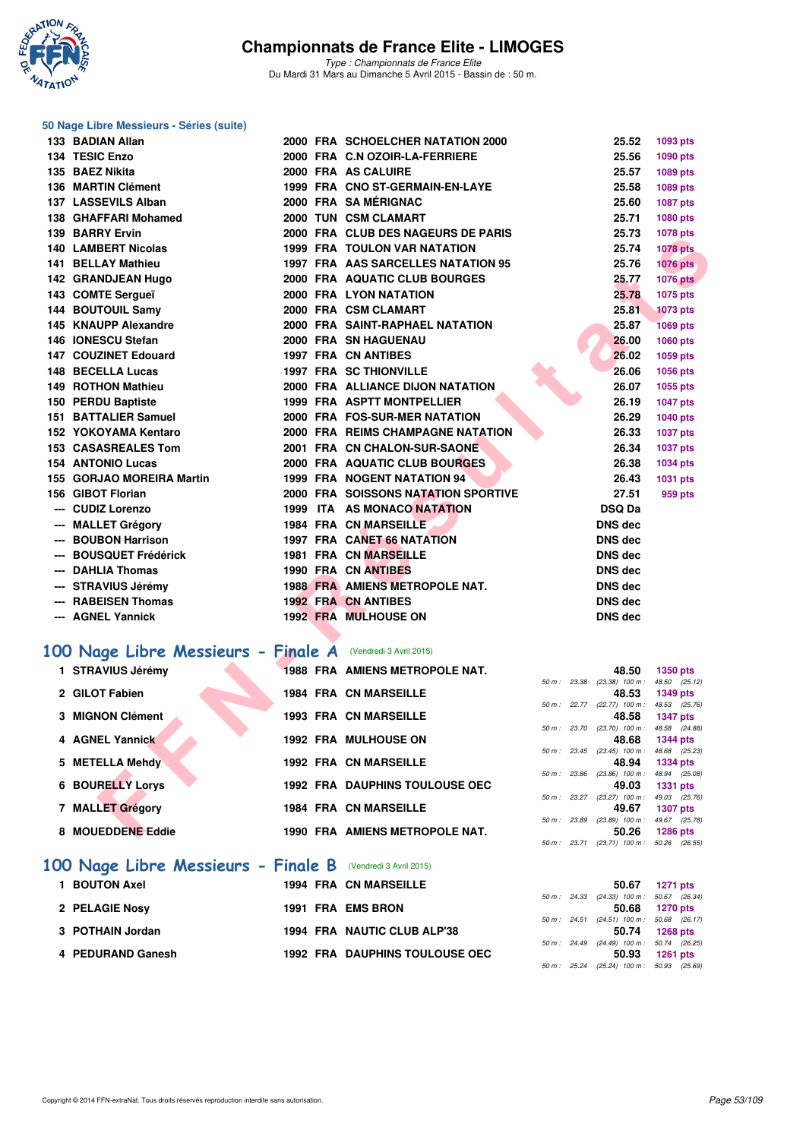

*Type : Championnats de France Elite* Du Mardi 31 Mars au Dimanche 5 Avril 2015 - Bassin de : 50 m.

|   | 50 Nage Libre Messieurs - Séries (suite)                    |  |                                       |                              |                                                   |                 |
|---|-------------------------------------------------------------|--|---------------------------------------|------------------------------|---------------------------------------------------|-----------------|
|   | 133 BADIAN Allan                                            |  | 2000 FRA SCHOELCHER NATATION 2000     |                              | 25.52                                             | 1093 pts        |
|   | 134 TESIC Enzo                                              |  | 2000 FRA C.N OZOIR-LA-FERRIERE        |                              | 25.56                                             | 1090 pts        |
|   | 135 BAEZ Nikita                                             |  | 2000 FRA AS CALUIRE                   |                              | 25.57                                             | 1089 pts        |
|   | 136 MARTIN Clément                                          |  | 1999 FRA CNO ST-GERMAIN-EN-LAYE       |                              | 25.58                                             | 1089 pts        |
|   | 137 LASSEVILS Alban                                         |  | 2000 FRA SA MÉRIGNAC                  |                              | 25.60                                             | 1087 pts        |
|   | 138 GHAFFARI Mohamed                                        |  | 2000 TUN CSM CLAMART                  |                              | 25.71                                             | 1080 pts        |
|   | 139 BARRY Ervin                                             |  | 2000 FRA CLUB DES NAGEURS DE PARIS    |                              | 25.73                                             | 1078 pts        |
|   | 140 LAMBERT Nicolas                                         |  | 1999 FRA TOULON VAR NATATION          |                              | 25.74                                             | <b>1078 pts</b> |
|   | 141 BELLAY Mathieu                                          |  | 1997 FRA AAS SARCELLES NATATION 95    |                              | 25.76                                             | <b>1076 pts</b> |
|   | 142 GRANDJEAN Hugo                                          |  | 2000 FRA AQUATIC CLUB BOURGES         |                              | 25.77                                             | <b>1076 pts</b> |
|   | 143 COMTE Sergueï                                           |  | 2000 FRA LYON NATATION                |                              | 25.78                                             | 1075 pts        |
|   | 144 BOUTOUIL Samy                                           |  | 2000 FRA CSM CLAMART                  |                              | 25.81                                             | <b>1073 pts</b> |
|   | 145 KNAUPP Alexandre                                        |  | 2000 FRA SAINT-RAPHAEL NATATION       |                              | 25.87                                             | <b>1069 pts</b> |
|   | 146 IONESCU Stefan                                          |  | 2000 FRA SN HAGUENAU                  |                              | 26.00                                             | 1060 pts        |
|   | 147 COUZINET Edouard                                        |  | <b>1997 FRA CN ANTIBES</b>            |                              | 26.02                                             | 1059 pts        |
|   | 148 BECELLA Lucas                                           |  | <b>1997 FRA SC THIONVILLE</b>         |                              | 26.06                                             | 1056 pts        |
|   | 149 ROTHON Mathieu                                          |  | 2000 FRA ALLIANCE DIJON NATATION      |                              | 26.07                                             | 1055 pts        |
|   | 150 PERDU Baptiste                                          |  | 1999 FRA ASPTT MONTPELLIER            |                              | 26.19                                             | <b>1047 pts</b> |
|   | 151 BATTALIER Samuel                                        |  | 2000 FRA FOS-SUR-MER NATATION         |                              | 26.29                                             | 1040 pts        |
|   | 152 YOKOYAMA Kentaro                                        |  | 2000 FRA REIMS CHAMPAGNE NATATION     |                              | 26.33                                             | <b>1037 pts</b> |
|   | <b>153 CASASREALES Tom</b>                                  |  | 2001 FRA CN CHALON-SUR-SAONE          |                              | 26.34                                             | 1037 pts        |
|   | <b>154 ANTONIO Lucas</b>                                    |  | 2000 FRA AQUATIC CLUB BOURGES         |                              | 26.38                                             | 1034 pts        |
|   | 155 GORJAO MOREIRA Martin                                   |  | 1999 FRA NOGENT NATATION 94           |                              | 26.43                                             | 1031 pts        |
|   | 156 GIBOT Florian                                           |  | 2000 FRA SOISSONS NATATION SPORTIVE   |                              | 27.51                                             | 959 pts         |
|   | --- CUDIZ Lorenzo                                           |  | 1999 ITA AS MONACO NATATION           |                              | <b>DSQ Da</b>                                     |                 |
|   | --- MALLET Grégory                                          |  | 1984 FRA CN MARSEILLE                 |                              | <b>DNS dec</b>                                    |                 |
|   | --- BOUBON Harrison                                         |  | 1997 FRA CANET 66 NATATION            |                              | <b>DNS dec</b>                                    |                 |
|   | --- BOUSQUET Frédérick                                      |  | <b>1981 FRA CN MARSEILLE</b>          |                              | <b>DNS dec</b>                                    |                 |
|   | --- DAHLIA Thomas                                           |  | 1990 FRA CN ANTIBES                   |                              | <b>DNS dec</b>                                    |                 |
|   | --- STRAVIUS Jérémy                                         |  | <b>1988 FRA AMIENS METROPOLE NAT.</b> |                              | <b>DNS dec</b>                                    |                 |
|   | --- RABEISEN Thomas                                         |  | <b>1992 FRA CN ANTIBES</b>            |                              | <b>DNS dec</b>                                    |                 |
|   | --- AGNEL Yannick                                           |  | <b>1992 FRA MULHOUSE ON</b>           |                              | <b>DNS dec</b>                                    |                 |
|   |                                                             |  |                                       |                              |                                                   |                 |
|   | 100 Nage Libre Messieurs - Finale A (Vendredi 3 Avril 2015) |  |                                       |                              |                                                   |                 |
|   | 1 STRAVIUS Jérémy                                           |  | <b>1988 FRA AMIENS METROPOLE NAT.</b> |                              | 48.50                                             | 1350 pts        |
|   |                                                             |  |                                       |                              | 50 m : 23.38 (23.38) 100 m : 48.50 (25.12)        |                 |
|   | 2 GILOT Fabien                                              |  | <b>1984 FRA CN MARSEILLE</b>          |                              | 48.53                                             | 1349 pts        |
|   | 3 MIGNON Clément                                            |  | <b>1993 FRA CN MARSEILLE</b>          |                              | 50 m: 22.77 (22.77) 100 m: 48.53 (25.76)<br>48.58 | <b>1347 pts</b> |
|   |                                                             |  |                                       | 50 m : 23.70 (23.70) 100 m : |                                                   | 48.58 (24.88)   |
|   | 4 AGNEL Yannick                                             |  | <b>1992 FRA MULHOUSE ON</b>           |                              | 48.68                                             | <b>1344 pts</b> |
| 5 | <b>METELLA Mehdy</b>                                        |  | <b>1992 FRA CN MARSEILLE</b>          |                              | 50 m: 23.45 (23.45) 100 m: 48.68 (25.23)<br>48.94 | 1334 pts        |
|   |                                                             |  |                                       | 50 m: 23.86 (23.86) 100 m:   |                                                   | 48.94 (25.08)   |
| 6 | <b>BOURELLY Lorys</b>                                       |  | <b>1992 FRA DAUPHINS TOULOUSE OEC</b> |                              | 49.03                                             | 1331 pts        |
|   | 7 MALLET Grégory                                            |  | 1984 FRA CN MARSEILLE                 |                              | 50 m: 23.27 (23.27) 100 m: 49.03 (25.76)<br>49.67 | <b>1307 pts</b> |
|   |                                                             |  |                                       |                              | 50 m : 23.89 (23.89) 100 m :                      | 49.67 (25.78)   |
|   | 8 MOUEDDENE Eddie                                           |  | 1990 FRA AMIENS METROPOLE NAT.        |                              | 50.26                                             | 1286 pts        |

| 100 Nage Libre Messieurs - Finale B (Vendredi 3 Avril 2015) |                                       |  |                                                |                 |
|-------------------------------------------------------------|---------------------------------------|--|------------------------------------------------|-----------------|
| <b>BOUTON Axel</b>                                          | <b>1994 FRA CN MARSEILLE</b>          |  | 50.67                                          | 1271 pts        |
| 2 PELAGIE Nosy                                              | 1991 FRA EMS BRON                     |  | 50 m: 24.33 (24.33) 100 m: 50.67 (26.<br>50.68 | 1270 pts        |
| 3 POTHAIN Jordan                                            | 1994 FRA NAUTIC CLUB ALP'38           |  | 50 m: 24.51 (24.51) 100 m: 50.68 (26.<br>50.74 | 1268 pts        |
| 4 PEDURAND Ganesh                                           | <b>1992 FRA DAUPHINS TOULOUSE OEC</b> |  | 50 m: 24.49 (24.49) 100 m: 50.74 (26.<br>50.93 | <b>1261 pts</b> |

|              |                              | 48.53          | 1349 DIS        |                 |
|--------------|------------------------------|----------------|-----------------|-----------------|
|              | 50 m : 22.77 (22.77) 100 m : |                |                 | 48.53 (25.76)   |
|              |                              | 48.58          | <b>1347 pts</b> |                 |
|              | 50 m : 23.70 (23.70) 100 m : |                |                 | 48.58 (24.88)   |
|              |                              | 48.68          | <b>1344 pts</b> |                 |
|              | 50 m: 23.45 (23.45) 100 m:   |                |                 | 48.68 (25.23)   |
|              |                              | 48.94          |                 | <b>1334 pts</b> |
|              | 50 m : 23.86 (23.86) 100 m : |                |                 | 48.94 (25.08)   |
|              |                              | 49.03          | <b>1331 pts</b> |                 |
|              | 50 m: 23.27 (23.27) 100 m:   |                |                 | 49.03 (25.76)   |
|              |                              | 49.67          | <b>1307 pts</b> |                 |
| 50 m : 23.89 | $(23.89)$ 100 m :            |                |                 | 49.67 (25.78)   |
|              |                              | 50.26 1286 pts |                 |                 |
|              | 50 m: 23.71 (23.71) 100 m:   |                |                 | 50.26 (26.55)   |
|              |                              |                |                 |                 |
|              |                              |                |                 |                 |

|  | 50.67                          | 1271 pts                                 |
|--|--------------------------------|------------------------------------------|
|  | $50 m$ : 24.33 (24.33) 100 m : | 50.67 (26.34)                            |
|  | 50.68                          | 1270 pts                                 |
|  |                                | 50 m: 24.51 (24.51) 100 m: 50.68 (26.17) |
|  | 50.74                          | 1268 pts                                 |
|  |                                | 50 m: 24.49 (24.49) 100 m: 50.74 (26.25) |
|  | 50.93                          | 1261 pts                                 |
|  |                                | 50 m: 25.24 (25.24) 100 m: 50.93 (25.69) |
|  |                                |                                          |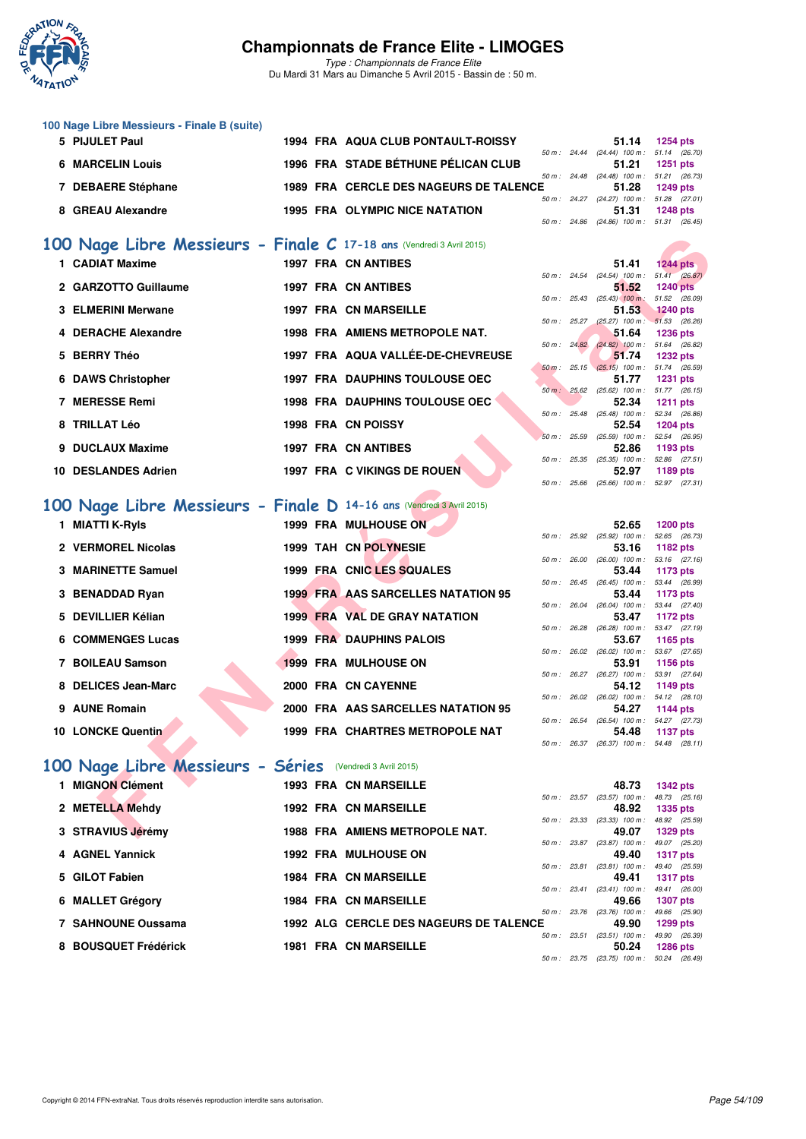

*Type : Championnats de France Elite* Du Mardi 31 Mars au Dimanche 5 Avril 2015 - Bassin de : 50 m.

| 100 Nage Libre Messieurs - Finale B (suite) |  |                                           |                        |                        |                                   |                 |
|---------------------------------------------|--|-------------------------------------------|------------------------|------------------------|-----------------------------------|-----------------|
| 5 PIJULET Paul                              |  | <b>1994 FRA AQUA CLUB PONTAULT-ROISSY</b> |                        |                        | 51.14                             | 1254 pts        |
|                                             |  |                                           |                        | $50 \text{ m}$ : 24.44 | $(24.44)$ 100 m : 51.14 $(26.70)$ |                 |
| <b>6 MARCELIN Louis</b>                     |  | 1996 FRA STADE BÉTHUNE PÉLICAN CLUB       |                        |                        | 51.21                             | $1251$ pts      |
|                                             |  |                                           | $50 \text{ m}$ : 24.48 |                        | $(24.48)$ 100 m : 51.21 $(26.73)$ |                 |
| 7 DEBAERE Stéphane                          |  | 1989 FRA CERCLE DES NAGEURS DE TALENCE    |                        |                        | 51.28                             | 1249 pts        |
|                                             |  |                                           | $50 \text{ m}$ : 24.27 |                        | $(24.27)$ 100 m : 51.28 $(27.01)$ |                 |
| 8 GREAU Alexandre                           |  | <b>1995 FRA OLYMPIC NICE NATATION</b>     |                        |                        | 51.31                             | <b>1248 pts</b> |
|                                             |  |                                           |                        | 50 m : 24.86           | $(24.86)$ 100 m : 51.31 $(26.45)$ |                 |

### **[100 Nage Libre Messieurs - Finale C](http://www.ffnatation.fr/webffn/resultats.php?idact=nat&go=epr&idcpt=27187&idepr=52) 17-18 ans** (Vendredi 3 Avril 2015)

| 00 Nage Libre Messieurs - Finale C 17-18 ans (Vendredi 3 Avril 2015) |  |                                                                         |              |                                                                                                  |                                  |  |
|----------------------------------------------------------------------|--|-------------------------------------------------------------------------|--------------|--------------------------------------------------------------------------------------------------|----------------------------------|--|
| 1 CADIAT Maxime                                                      |  | <b>1997 FRA CN ANTIBES</b>                                              |              | 51.41                                                                                            | $1244$ pts                       |  |
| 2 GARZOTTO Guillaume                                                 |  | <b>1997 FRA CN ANTIBES</b>                                              |              | 50 m: 24.54 (24.54) 100 m: 51.41 (26.87)<br>51.52                                                | <b>1240 pts</b>                  |  |
| <b>3 ELMERINI Merwane</b>                                            |  | <b>1997 FRA CN MARSEILLE</b>                                            |              | 50 m : 25.43 (25.43) 100 m :<br>51.53                                                            | 51.52 (26.09)<br><b>1240 pts</b> |  |
| 4 DERACHE Alexandre                                                  |  | 1998 FRA AMIENS METROPOLE NAT.                                          |              | 50 m: 25.27 (25.27) 100 m: 51.53 (26.26)<br>51.64                                                | <b>1236 pts</b>                  |  |
| 5 BERRY Théo                                                         |  | 1997 FRA AQUA VALLÉE-DE-CHEVREUSE                                       | 50 m: 24.82  | $(24.82)$ 100 m : 51.64 (26.82)<br>51.74<br>$50 \text{ m}$ : 25.15 (25.15) 100 m : 51.74 (26.59) | <b>1232 pts</b>                  |  |
| 6 DAWS Christopher                                                   |  | <b>1997 FRA DAUPHINS TOULOUSE OEC</b>                                   |              | 51.77<br>50 m: 25.62 (25.62) 100 m: 51.77 (26.15)                                                | <b>1231 pts</b>                  |  |
| 7 MERESSE Remi                                                       |  | <b>1998 FRA DAUPHINS TOULOUSE OEC</b>                                   |              | 52.34<br>50 m: 25.48 (25.48) 100 m: 52.34 (26.86)                                                | <b>1211 pts</b>                  |  |
| 8 TRILLAT Léo                                                        |  | 1998 FRA CN POISSY                                                      |              | 52.54<br>50 m: 25.59 (25.59) 100 m: 52.54 (26.95)                                                | <b>1204 pts</b>                  |  |
| 9 DUCLAUX Maxime                                                     |  | <b>1997 FRA CN ANTIBES</b>                                              | 50 m : 25.35 | 52.86<br>$(25.35)$ 100 m :                                                                       | 1193 pts<br>52.86 (27.51)        |  |
| <b>10 DESLANDES Adrien</b>                                           |  | 1997 FRA C VIKINGS DE ROUEN                                             |              | 52.97<br>50 m: 25.66 (25.66) 100 m: 52.97 (27.31)                                                | 1189 pts                         |  |
| 00 Nage Libre Messieurs - Finale D 14-16 ans (Vendredi 3 Avril 2015) |  |                                                                         |              |                                                                                                  |                                  |  |
| 1 MIATTI K-Ryls                                                      |  | 1999 FRA MULHOUSE ON                                                    |              | 52.65<br>50 m : 25.92 (25.92) 100 m : 52.65 (26.73)                                              | <b>1200 pts</b>                  |  |
| 2 VERMOREL Nicolas                                                   |  | 1999 TAH CN POLYNESIE                                                   |              | 53.16<br>50 m: 26.00 (26.00) 100 m: 53.16 (27.16)                                                | 1182 pts                         |  |
| 3 MARINETTE Samuel                                                   |  | 1999 FRA CNIC LES SQUALES                                               |              | 53.44<br>50 m: 26.45 (26.45) 100 m: 53.44 (26.99)                                                | 1173 pts                         |  |
| 3 BENADDAD Ryan                                                      |  | <b>1999 FRA AAS SARCELLES NATATION 95</b>                               | 50 m : 26.04 | 53.44<br>$(26.04)$ 100 m :                                                                       | 1173 pts<br>53.44 (27.40)        |  |
| 5 DEVILLIER Kélian<br><b>6 COMMENGES Lucas</b>                       |  | <b>1999 FRA VAL DE GRAY NATATION</b><br><b>1999 FRA DAUPHINS PALOIS</b> |              | 53.47<br>50 m: 26.28 (26.28) 100 m: 53.47 (27.19)<br>53.67                                       | 1172 pts                         |  |
| 7 BOILEAU Samson                                                     |  | <b>1999 FRA MULHOUSE ON</b>                                             |              | 50 m: 26.02 (26.02) 100 m: 53.67 (27.65)<br>53.91                                                | 1165 pts<br><b>1156 pts</b>      |  |
| 8 DELICES Jean-Marc                                                  |  | 2000 FRA CN CAYENNE                                                     |              | 50 m : 26.27 (26.27) 100 m : 53.91 (27.64)<br>54.12                                              | 1149 pts                         |  |
| 9 AUNE Romain                                                        |  | 2000 FRA AAS SARCELLES NATATION 95                                      |              | 50 m: 26.02 (26.02) 100 m: 54.12 (28.10)<br>54.27                                                | 1144 pts                         |  |
| 10 LONCKE Quentin                                                    |  | 1999 FRA CHARTRES METROPOLE NAT                                         |              | 50 m: 26.54 (26.54) 100 m: 54.27 (27.73)<br>54.48                                                | 1137 pts                         |  |
| 00 Nage Libre Messieurs - Séries (Vendredi 3 Avril 2015)             |  |                                                                         |              | 50 m: 26.37 (26.37) 100 m: 54.48 (28.11)                                                         |                                  |  |
|                                                                      |  |                                                                         |              |                                                                                                  |                                  |  |
| 1 MIGNON Clément                                                     |  | <b>1993 FRA CN MARSEILLE</b>                                            |              | 48.73<br>50 m: 23.57 (23.57) 100 m: 48.73 (25.16)                                                | <b>1342 pts</b>                  |  |
| 2 METELLA Mehdy                                                      |  | <b>1992 FRA CN MARSEILLE</b>                                            |              | 48.92<br>50 m : 23.33 (23.33) 100 m :                                                            | <b>1335 pts</b><br>48.92 (25.59) |  |
| 3 STRAVIUS Jérémy                                                    |  | 1988 FRA AMIENS METROPOLE NAT.                                          |              | 49.07                                                                                            | <b>1329 pts</b>                  |  |

#### **[100 Nage Libre Messieurs - Finale D](http://www.ffnatation.fr/webffn/resultats.php?idact=nat&go=epr&idcpt=27187&idepr=52) 14-16 ans** (Vendredi 3 Avril 2015)

| 1 MIATTI K-Ryls          |  | <b>1999 FRA MULHOUSE ON</b>               |                | 52.65                                | <b>1200 pts</b>        |  |
|--------------------------|--|-------------------------------------------|----------------|--------------------------------------|------------------------|--|
|                          |  |                                           |                | $50 m$ : $25.92$ $(25.92)$ $100 m$ : | 52.65 (26.             |  |
| 2 VERMOREL Nicolas       |  | 1999 TAH CN POLYNESIE                     |                | 53.16                                | 1182 pts               |  |
|                          |  |                                           | 50 m : 26.00   | $(26.00)$ 100 m :                    | 53.16 (27.             |  |
| 3 MARINETTE Samuel       |  | 1999 FRA CNIC LES SQUALES                 |                | 53.44                                | 1173 pts               |  |
|                          |  |                                           | 50 m : 26.45   | $(26.45)$ 100 m :                    | 53.44 (26.             |  |
| 3 BENADDAD Ryan          |  | <b>1999 FRA AAS SARCELLES NATATION 95</b> |                | 53.44                                | 1173 pts               |  |
|                          |  |                                           | 50 m : 26.04   | $(26.04)$ 100 m :                    | 53.44 (27.             |  |
| 5 DEVILLIER Kélian       |  | <b>1999 FRA VAL DE GRAY NATATION</b>      |                | 53.47                                | 1172 pts               |  |
|                          |  |                                           | 50 m : 26.28   | $(26.28)$ 100 m :                    | 53.47 (27.             |  |
| <b>6 COMMENGES Lucas</b> |  | <b>1999 FRA DAUPHINS PALOIS</b>           |                | 53.67                                | 1165 pts               |  |
| 7 BOILEAU Samson         |  | <b>1999 FRA MULHOUSE ON</b>               | 50 m : 26.02   | $(26.02)$ 100 m :<br>53.91           | 53.67 (27.             |  |
|                          |  |                                           |                | 50 m : 26.27 (26.27) 100 m :         | 1156 pts<br>53.91 (27. |  |
| 8 DELICES Jean-Marc      |  | 2000 FRA CN CAYENNE                       |                | 54.12                                | 1149 pts               |  |
|                          |  |                                           | $50 m$ : 26.02 | $(26.02)$ 100 m :                    | 54.12 (28.             |  |
| 9 AUNE Romain            |  | 2000 FRA AAS SARCELLES NATATION 95        |                | 54.27                                | 1144 pts               |  |
|                          |  |                                           | 50 m : 26.54   | $(26.54)$ 100 m :                    | 54.27 (27.             |  |
| 10 LONCKE Quentin        |  | 1999 FRA CHARTRES METROPOLE NAT           |                | 54.48                                | 1137 pts               |  |
|                          |  |                                           |                |                                      |                        |  |

|              |              | 52.65                        | $1200$ pts     |
|--------------|--------------|------------------------------|----------------|
|              |              | 50 m: 25.92 (25.92) 100 m:   | 52.65 (26.73)  |
|              |              | 53.16                        | 1182 $pts$     |
| 50 m : 26.00 |              | $(26.00)$ 100 m :            | 53.16 (27.16)  |
|              |              | 53.44                        | 1173 $pts$     |
|              | 50 m : 26.45 | $(26.45)$ 100 m :            | 53.44 (26.99)  |
|              |              | 53.44                        | 1173 pts       |
|              |              | 50 m: 26.04 (26.04) 100 m:   | 53.44 (27.40)  |
|              |              | 53.47                        | 1172 pts       |
|              |              | 50 m: 26.28 (26.28) 100 m:   | 53.47 (27.19)  |
|              |              | 53.67                        | 1165 $pts$     |
|              |              | 50 m: 26.02 (26.02) 100 m:   | 53.67 (27.65)  |
|              |              | 53.91                        | 1156 pts       |
|              |              | 50 m: 26.27 (26.27) 100 m:   | 53.91 (27.64)  |
|              |              | 54.12                        | 1149 pts       |
|              |              | 50 m: 26.02 (26.02) 100 m:   | 54.12 (28.10)  |
|              |              | 54.27                        | 1144 $pts$     |
|              |              | 50 m: 26.54 (26.54) 100 m:   | 54.27 (27.73)  |
|              |              |                              | 54.48 1137 pts |
|              |              | 50 m : 26.37 (26.37) 100 m : | 54.48 (28.11)  |

#### **[100 Nage Libre Messieurs - Séries](http://www.ffnatation.fr/webffn/resultats.php?idact=nat&go=epr&idcpt=27187&idepr=52)** (Vendredi 3 Avril 2015)

| 1 MIGNON Clément     |  | <b>1993 FRA CN MARSEILLE</b>           |                        | 48.73                             | <b>1342 pts</b> |  |
|----------------------|--|----------------------------------------|------------------------|-----------------------------------|-----------------|--|
|                      |  |                                        | $50 m$ : 23.57         | $(23.57)$ 100 m :                 | 48.73 (25.16)   |  |
| 2 METELLA Mehdy      |  | <b>1992 FRA CN MARSEILLE</b>           |                        | 48.92                             | 1335 pts        |  |
|                      |  |                                        | 50 m : 23.33           | $(23.33)$ 100 m :                 | 48.92 (25.59)   |  |
| 3 STRAVIUS Jérémy    |  | <b>1988 FRA AMIENS METROPOLE NAT.</b>  |                        | 49.07                             | <b>1329 pts</b> |  |
|                      |  |                                        | 50 m: 23.87            | $(23.87)$ 100 m :                 | 49.07 (25.20)   |  |
| 4 AGNEL Yannick      |  | <b>1992 FRA MULHOUSE ON</b>            |                        | 49.40                             | <b>1317 pts</b> |  |
|                      |  |                                        | $50 \text{ m}$ : 23.81 | $(23.81)$ 100 m :                 | 49.40 (25.59)   |  |
| 5 GILOT Fabien       |  | <b>1984 FRA CN MARSEILLE</b>           |                        | 49.41                             | <b>1317 pts</b> |  |
|                      |  |                                        | 50 m: 23.41            | $(23.41)$ 100 m :                 | 49.41 (26.00)   |  |
| 6 MALLET Grégory     |  | <b>1984 FRA CN MARSEILLE</b>           |                        | 49.66                             | <b>1307 pts</b> |  |
|                      |  |                                        | 50 m : 23.76           | $(23.76)$ 100 m :                 | 49.66 (25.90)   |  |
| 7 SAHNOUNE Oussama   |  | 1992 ALG CERCLE DES NAGEURS DE TALENCE |                        | 49.90                             | $1299$ pts      |  |
|                      |  |                                        | 50 m: 23.51            | $(23.51)$ 100 m :                 | 49.90 (26.39)   |  |
| 8 BOUSQUET Frédérick |  | <b>1981 FRA CN MARSEILLE</b>           |                        | 50.24                             | <b>1286 pts</b> |  |
|                      |  |                                        | 50 m : 23.75           | $(23.75)$ 100 m : 50.24 $(26.49)$ |                 |  |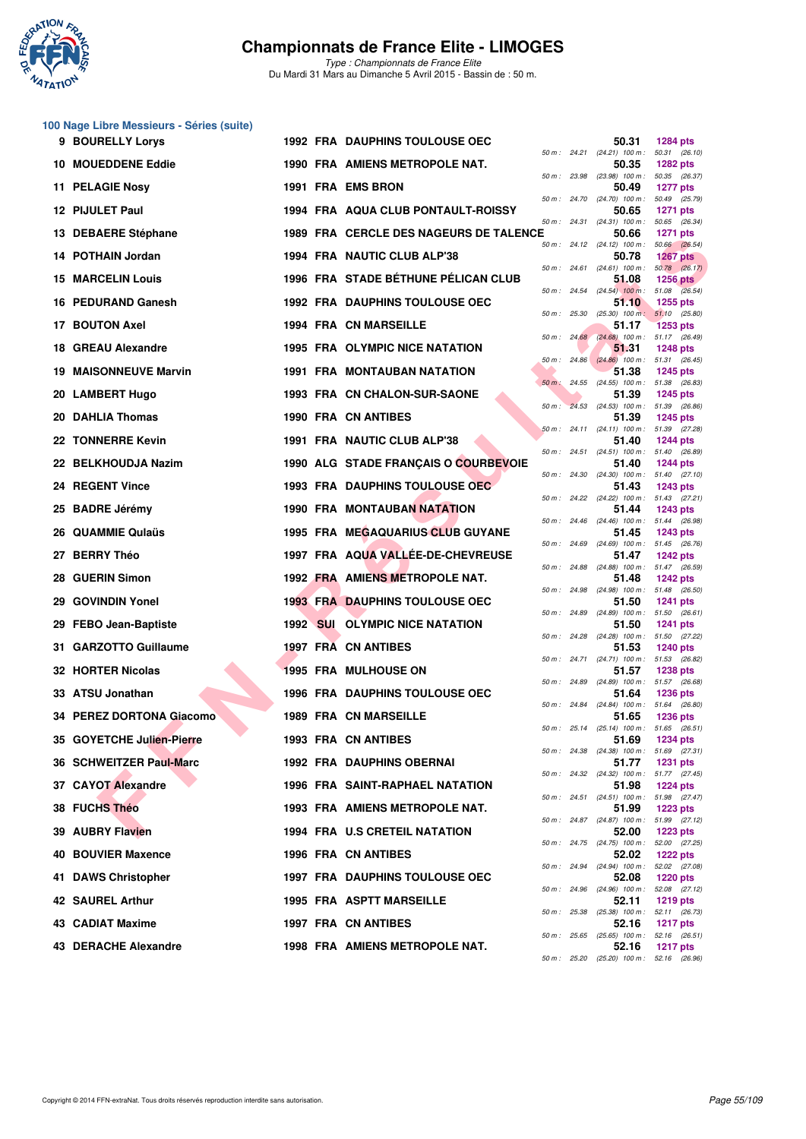

|    | 100 Nage Libre Messieurs - Séries (suite) |  |                                        |  |                                                     |                 |
|----|-------------------------------------------|--|----------------------------------------|--|-----------------------------------------------------|-----------------|
|    | 9 BOURELLY Lorys                          |  | <b>1992 FRA DAUPHINS TOULOUSE OEC</b>  |  | 50.31<br>50 m: 24.21 (24.21) 100 m: 50.31 (26.10)   | <b>1284 pts</b> |
|    | <b>10 MOUEDDENE Eddie</b>                 |  | 1990 FRA AMIENS METROPOLE NAT.         |  | 50.35<br>50 m: 23.98 (23.98) 100 m: 50.35 (26.37)   | <b>1282 pts</b> |
|    | 11 PELAGIE Nosy                           |  | 1991 FRA EMS BRON                      |  | 50.49<br>50 m: 24.70 (24.70) 100 m: 50.49 (25.79)   | <b>1277 pts</b> |
|    | 12 PIJULET Paul                           |  | 1994 FRA AQUA CLUB PONTAULT-ROISSY     |  | 50.65<br>50 m: 24.31 (24.31) 100 m: 50.65 (26.34)   | <b>1271 pts</b> |
|    | 13 DEBAERE Stéphane                       |  | 1989 FRA CERCLE DES NAGEURS DE TALENCE |  | 50.66                                               | <b>1271 pts</b> |
|    | 14 POTHAIN Jordan                         |  | 1994 FRA NAUTIC CLUB ALP'38            |  | 50 m: 24.12 (24.12) 100 m: 50.66 (26.54)<br>50.78   | <b>1267 pts</b> |
|    | <b>15 MARCELIN Louis</b>                  |  | 1996 FRA STADE BÉTHUNE PÉLICAN CLUB    |  | 50 m: 24.61 (24.61) 100 m: 50.78 (26.17)<br>51.08   | <b>1256 pts</b> |
|    | 16 PEDURAND Ganesh                        |  | <b>1992 FRA DAUPHINS TOULOUSE OEC</b>  |  | 50 m : 24.54 (24.54) 100 m : 51.08 (26.54)<br>51.10 | 1255 pts        |
|    | 17 BOUTON Axel                            |  | <b>1994 FRA CN MARSEILLE</b>           |  | 50 m: 25.30 (25.30) 100 m: 51.10 (25.80)<br>51.17   | <b>1253 pts</b> |
|    | 18 GREAU Alexandre                        |  | <b>1995 FRA OLYMPIC NICE NATATION</b>  |  | 50 m: 24.68 (24.68) 100 m: 51.17 (26.49)<br>51.31   | <b>1248 pts</b> |
|    | <b>19 MAISONNEUVE Marvin</b>              |  | 1991 FRA MONTAUBAN NATATION            |  | 50 m: 24.86 (24.86) 100 m: 51.31 (26.45)<br>51.38   | <b>1245 pts</b> |
|    | 20 LAMBERT Hugo                           |  | 1993 FRA CN CHALON-SUR-SAONE           |  | 50 m: 24.55 (24.55) 100 m: 51.38 (26.83)<br>51.39   | <b>1245 pts</b> |
|    | 20 DAHLIA Thomas                          |  | <b>1990 FRA CN ANTIBES</b>             |  | 50 m : 24.53 (24.53) 100 m : 51.39 (26.86)<br>51.39 | <b>1245 pts</b> |
|    | 22 TONNERRE Kevin                         |  | 1991 FRA NAUTIC CLUB ALP'38            |  | 50 m: 24.11 (24.11) 100 m: 51.39 (27.28)<br>51.40   | <b>1244 pts</b> |
|    | 22 BELKHOUDJA Nazim                       |  | 1990 ALG STADE FRANÇAIS O COURBEVOIE   |  | 50 m: 24.51 (24.51) 100 m: 51.40 (26.89)<br>51.40   | <b>1244 pts</b> |
|    | 24 REGENT Vince                           |  | <b>1993 FRA DAUPHINS TOULOUSE OEC</b>  |  | 50 m: 24.30 (24.30) 100 m: 51.40 (27.10)            |                 |
|    |                                           |  |                                        |  | 51.43<br>50 m: 24.22 (24.22) 100 m: 51.43 (27.21)   | 1243 pts        |
|    | 25 BADRE Jérémy                           |  | <b>1990 FRA MONTAUBAN NATATION</b>     |  | 51.44<br>50 m: 24.46 (24.46) 100 m: 51.44 (26.98)   | <b>1243 pts</b> |
|    | 26 QUAMMIE Qulaüs                         |  | 1995 FRA MEGAQUARIUS CLUB GUYANE       |  | 51.45<br>50 m: 24.69 (24.69) 100 m: 51.45 (26.76)   | 1243 pts        |
| 27 | <b>BERRY Théo</b>                         |  | 1997 FRA AQUA VALLÉE-DE-CHEVREUSE      |  | 51.47<br>50 m: 24.88 (24.88) 100 m: 51.47 (26.59)   | <b>1242 pts</b> |
|    | 28 GUERIN Simon                           |  | 1992 FRA AMIENS METROPOLE NAT.         |  | 51.48<br>50 m: 24.98 (24.98) 100 m: 51.48 (26.50)   | <b>1242 pts</b> |
|    | 29 GOVINDIN Yonel                         |  | <b>1993 FRA DAUPHINS TOULOUSE OEC</b>  |  | 51.50<br>50 m: 24.89 (24.89) 100 m: 51.50 (26.61)   | <b>1241 pts</b> |
|    | 29 FEBO Jean-Baptiste                     |  | <b>1992 SUI OLYMPIC NICE NATATION</b>  |  | 51.50<br>50 m: 24.28 (24.28) 100 m: 51.50 (27.22)   | 1241 pts        |
|    | 31 GARZOTTO Guillaume                     |  | <b>1997 FRA CN ANTIBES</b>             |  | 51.53<br>50 m: 24.71 (24.71) 100 m: 51.53 (26.82)   | <b>1240 pts</b> |
|    | 32 HORTER Nicolas                         |  | <b>1995 FRA MULHOUSE ON</b>            |  | 51.57<br>50 m: 24.89 (24.89) 100 m: 51.57 (26.68)   | <b>1238 pts</b> |
|    | 33 ATSU Jonathan                          |  | <b>1996 FRA DAUPHINS TOULOUSE OEC</b>  |  | 51.64<br>50 m: 24.84 (24.84) 100 m: 51.64 (26.80)   | <b>1236 pts</b> |
|    | 34 PEREZ DORTONA Giacomo                  |  | <b>1989 FRA CN MARSEILLE</b>           |  | 51.65                                               | <b>1236 pts</b> |
|    | 35 GOYETCHE Julien-Pierre                 |  | 1993 FRA CN ANTIBES                    |  | 50 m: 25.14 (25.14) 100 m: 51.65 (26.51)<br>51.69   | <b>1234 pts</b> |
|    | 36 SCHWEITZER Paul-Marc                   |  | <b>1992 FRA DAUPHINS OBERNAI</b>       |  | 50 m: 24.38 (24.38) 100 m: 51.69 (27.31)<br>51.77   | <b>1231 pts</b> |
|    | 37 CAYOT Alexandre                        |  | <b>1996 FRA SAINT-RAPHAEL NATATION</b> |  | 50 m: 24.32 (24.32) 100 m: 51.77 (27.45)<br>51.98   | <b>1224 pts</b> |
|    | 38 FUCHS Théo                             |  | 1993 FRA AMIENS METROPOLE NAT.         |  | 50 m: 24.51 (24.51) 100 m: 51.98 (27.47)<br>51.99   | 1223 pts        |
|    | 39 AUBRY Flavien                          |  | 1994 FRA U.S CRETEIL NATATION          |  | 50 m: 24.87 (24.87) 100 m: 51.99 (27.12)<br>52.00   | <b>1223 pts</b> |
| 40 | <b>BOUVIER Maxence</b>                    |  | 1996 FRA CN ANTIBES                    |  | 50 m: 24.75 (24.75) 100 m: 52.00 (27.25)<br>52.02   | <b>1222 pts</b> |
|    | 41 DAWS Christopher                       |  | <b>1997 FRA DAUPHINS TOULOUSE OEC</b>  |  | 50 m: 24.94 (24.94) 100 m: 52.02 (27.08)<br>52.08   | <b>1220 pts</b> |
|    | 42 SAUREL Arthur                          |  | <b>1995 FRA ASPTT MARSEILLE</b>        |  | 50 m: 24.96 (24.96) 100 m: 52.08 (27.12)<br>52.11   | 1219 pts        |
|    | 43 CADIAT Maxime                          |  | 1997 FRA CN ANTIBES                    |  | 50 m: 25.38 (25.38) 100 m: 52.11 (26.73)<br>52.16   | <b>1217 pts</b> |
|    | 43 DERACHE Alexandre                      |  | 1998 FRA AMIENS METROPOLE NAT.         |  | 50 m: 25.65 (25.65) 100 m: 52.16 (26.51)<br>52.16   | <b>1217 pts</b> |
|    |                                           |  |                                        |  | 50 m: 25.20 (25.20) 100 m: 52.16 (26.96)            |                 |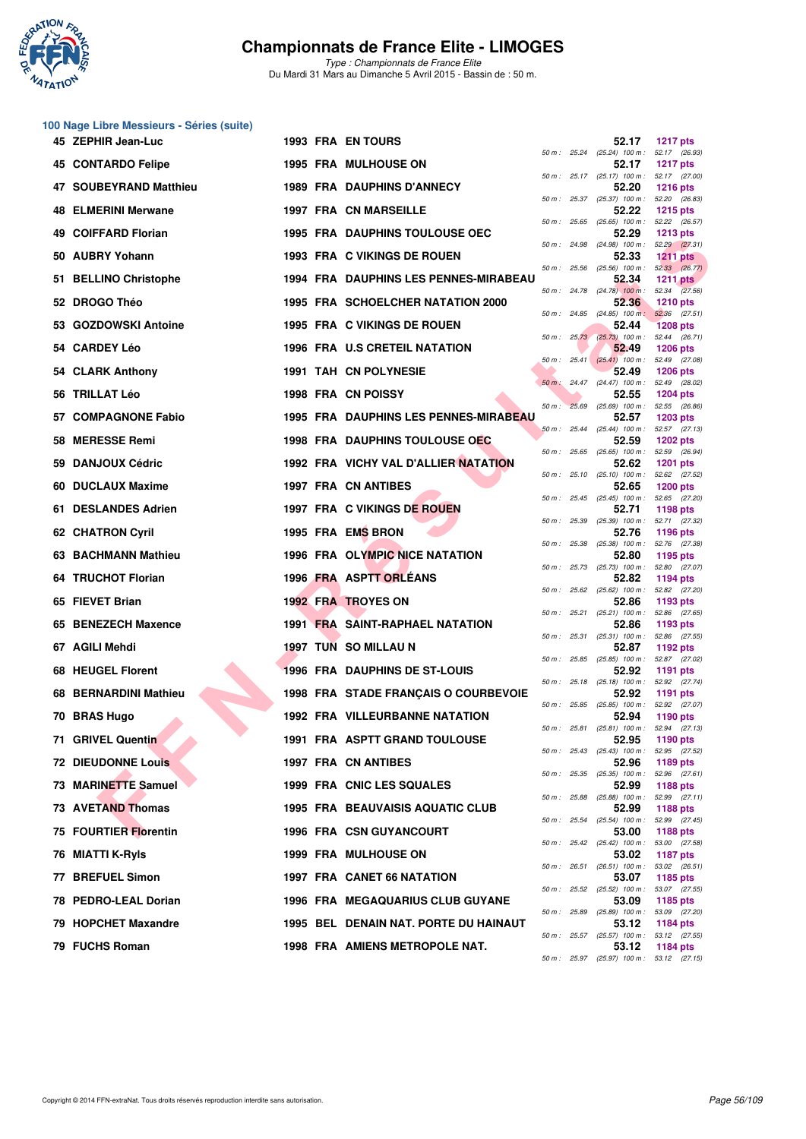

|     | 100 Nage Libre Messieurs - Séries (suite) |  |                                              |              |                                                     |                           |
|-----|-------------------------------------------|--|----------------------------------------------|--------------|-----------------------------------------------------|---------------------------|
|     | 45 ZEPHIR Jean-Luc                        |  | <b>1993 FRA EN TOURS</b>                     |              | 52.17<br>50 m: 25.24 (25.24) 100 m: 52.17 (26.93)   | <b>1217 pts</b>           |
|     | 45 CONTARDO Felipe                        |  | <b>1995 FRA MULHOUSE ON</b>                  |              | 52.17<br>50 m: 25.17 (25.17) 100 m: 52.17 (27.00)   | <b>1217 pts</b>           |
|     | 47 SOUBEYRAND Matthieu                    |  | <b>1989 FRA DAUPHINS D'ANNECY</b>            |              | 52.20                                               | <b>1216 pts</b>           |
|     | <b>48 ELMERINI Merwane</b>                |  | <b>1997 FRA CN MARSEILLE</b>                 |              | 50 m: 25.37 (25.37) 100 m: 52.20 (26.83)<br>52.22   | 1215 pts                  |
| 49. | <b>COIFFARD Florian</b>                   |  | 1995 FRA DAUPHINS TOULOUSE OEC               | 50 m: 25.65  | $(25.65)$ 100 m : 52.22 $(26.57)$<br>52.29          | <b>1213 pts</b>           |
|     | 50 AUBRY Yohann                           |  | 1993 FRA C VIKINGS DE ROUEN                  |              | 50 m: 24.98 (24.98) 100 m: 52.29 (27.31)<br>52.33   | <b>1211 pts</b>           |
|     | 51 BELLINO Christophe                     |  | 1994 FRA DAUPHINS LES PENNES-MIRABEAU        | 50 m: 25.56  | $(25.56)$ 100 m : $52.33$ $(26.77)$<br>52.34        | <b>1211 pts</b>           |
|     | 52 DROGO Théo                             |  | 1995 FRA SCHOELCHER NATATION 2000            |              | 50 m : 24.78 (24.78) 100 m : 52.34 (27.56)<br>52.36 | <b>1210 pts</b>           |
|     |                                           |  |                                              |              | $50 m$ : 24.85 (24.85) 100 m:                       | 52.36 (27.51)             |
|     | 53 GOZDOWSKI Antoine                      |  | 1995 FRA C VIKINGS DE ROUEN                  |              | 52.44<br>50 m: 25.73 (25.73) 100 m: 52.44 (26.71)   | <b>1208 pts</b>           |
|     | 54 CARDEY Léo                             |  | <b>1996 FRA U.S CRETEIL NATATION</b>         |              | 52.49<br>50 m: 25.41 (25.41) 100 m: 52.49 (27.08)   | <b>1206 pts</b>           |
|     | 54 CLARK Anthony                          |  | 1991 TAH CN POLYNESIE                        |              | 52.49<br>50 m: 24.47 (24.47) 100 m: 52.49 (28.02)   | <b>1206 pts</b>           |
|     | 56 TRILLAT Léo                            |  | 1998 FRA CN POISSY                           |              | 52.55<br>50 m : 25.69 (25.69) 100 m : 52.55 (26.86) | <b>1204 pts</b>           |
| 57  | <b>COMPAGNONE Fabio</b>                   |  | <b>1995 FRA DAUPHINS LES PENNES-MIRABEAU</b> |              | 52.57<br>50 m: 25.44 (25.44) 100 m: 52.57 (27.13)   | <b>1203 pts</b>           |
|     | 58 MERESSE Remi                           |  | 1998 FRA DAUPHINS TOULOUSE OFC               |              | 52.59<br>50 m: 25.65 (25.65) 100 m: 52.59 (26.94)   | <b>1202 pts</b>           |
| 59  | <b>DANJOUX Cédric</b>                     |  | 1992 FRA VICHY VAL D'ALLIER NATATION         |              | 52.62                                               | <b>1201 pts</b>           |
|     | 60 DUCLAUX Maxime                         |  | <b>1997 FRA CN ANTIBES</b>                   |              | 50 m: 25.10 (25.10) 100 m: 52.62 (27.52)<br>52.65   | <b>1200 pts</b>           |
| 61  | <b>DESLANDES Adrien</b>                   |  | 1997 FRA C VIKINGS DE ROUEN                  |              | 50 m: 25.45 (25.45) 100 m: 52.65 (27.20)<br>52.71   | 1198 pts                  |
|     | <b>62 CHATRON Cyril</b>                   |  | 1995 FRA EMS BRON                            |              | 50 m: 25.39 (25.39) 100 m: 52.71 (27.32)<br>52.76   | 1196 pts                  |
| 63. | <b>BACHMANN Mathieu</b>                   |  | 1996 FRA OLYMPIC NICE NATATION               |              | 50 m: 25.38 (25.38) 100 m: 52.76 (27.38)<br>52.80   | 1195 pts                  |
|     | 64 TRUCHOT Florian                        |  | 1996 FRA ASPTT ORLEANS                       |              | 50 m: 25.73 (25.73) 100 m: 52.80 (27.07)<br>52.82   | 1194 pts                  |
|     | 65 FIEVET Brian                           |  | <b>1992 FRA TROYES ON</b>                    | 50 m: 25.62  | $(25.62)$ 100 m : 52.82 $(27.20)$<br>52.86          | 1193 pts                  |
|     | 65 BENEZECH Maxence                       |  | <b>1991 FRA SAINT-RAPHAEL NATATION</b>       |              | 50 m: 25.21 (25.21) 100 m: 52.86 (27.65)<br>52.86   | 1193 pts                  |
|     |                                           |  |                                              | 50 m: 25.31  | $(25.31)$ 100 m : 52.86 $(27.55)$                   |                           |
|     | 67 AGILI Mehdi                            |  | <b>1997 TUN SO MILLAU N</b>                  | 50 m : 25.85 | 52.87<br>(25.85) 100 m : 52.87 (27.02)              | 1192 pts                  |
| 68  | <b>HEUGEL Florent</b>                     |  | 1996 FRA DAUPHINS DE ST-LOUIS                |              | 52.92<br>50 m: 25.18 (25.18) 100 m: 52.92 (27.74)   | 1191 pts                  |
|     | 68 BERNARDINI Mathieu                     |  | 1998 FRA STADE FRANÇAIS O COURBEVOIE         | 50 m : 25.85 | 52.92<br>$(25.85)$ 100 m : 52.92 $(27.07)$          | <b>1191 pts</b>           |
|     | 70 BRAS Hugo                              |  | <b>1992 FRA VILLEURBANNE NATATION</b>        |              | 52.94<br>50 m: 25.81 (25.81) 100 m: 52.94 (27.13)   | 1190 pts                  |
|     | 71 GRIVEL Quentin                         |  | 1991 FRA ASPTT GRAND TOULOUSE                |              | 52.95<br>50 m: 25.43 (25.43) 100 m: 52.95 (27.52)   | 1190 pts                  |
|     | <b>72 DIEUDONNE Louis</b>                 |  | 1997 FRA CN ANTIBES                          |              | 52.96<br>50 m: 25.35 (25.35) 100 m:                 | 1189 pts<br>52.96 (27.61) |
|     | 73 MARINETTE Samuel                       |  | 1999 FRA CNIC LES SQUALES                    |              | 52.99                                               | 1188 pts                  |
|     | 73 AVETAND Thomas                         |  | <b>1995 FRA BEAUVAISIS AQUATIC CLUB</b>      | 50 m : 25.88 | $(25.88)$ 100 m : 52.99 $(27.11)$<br>52.99          | 1188 pts                  |
|     | 75 FOURTIER Florentin                     |  | <b>1996 FRA CSN GUYANCOURT</b>               |              | 50 m: 25.54 (25.54) 100 m: 52.99 (27.45)<br>53.00   | 1188 pts                  |
|     | 76 MIATTI K-Ryls                          |  | 1999 FRA MULHOUSE ON                         |              | 50 m : 25.42 (25.42) 100 m : 53.00 (27.58)<br>53.02 | 1187 pts                  |
| 77  | <b>BREFUEL Simon</b>                      |  | 1997 FRA CANET 66 NATATION                   |              | 50 m: 26.51 (26.51) 100 m: 53.02 (26.51)<br>53.07   | 1185 pts                  |
|     | 78 PEDRO-LEAL Dorian                      |  | <b>1996 FRA MEGAQUARIUS CLUB GUYANE</b>      |              | 50 m: 25.52 (25.52) 100 m: 53.07 (27.55)<br>53.09   | 1185 pts                  |
|     | 79 HOPCHET Maxandre                       |  | 1995 BEL DENAIN NAT. PORTE DU HAINAUT        |              | 50 m : 25.89 (25.89) 100 m : 53.09 (27.20)<br>53.12 | 1184 pts                  |
|     | 79 FUCHS Roman                            |  | 1998 FRA AMIENS METROPOLE NAT.               |              | 50 m: 25.57 (25.57) 100 m: 53.12 (27.55)            |                           |
|     |                                           |  |                                              |              | 53.12<br>50 m: 25.97 (25.97) 100 m: 53.12 (27.15)   | 1184 pts                  |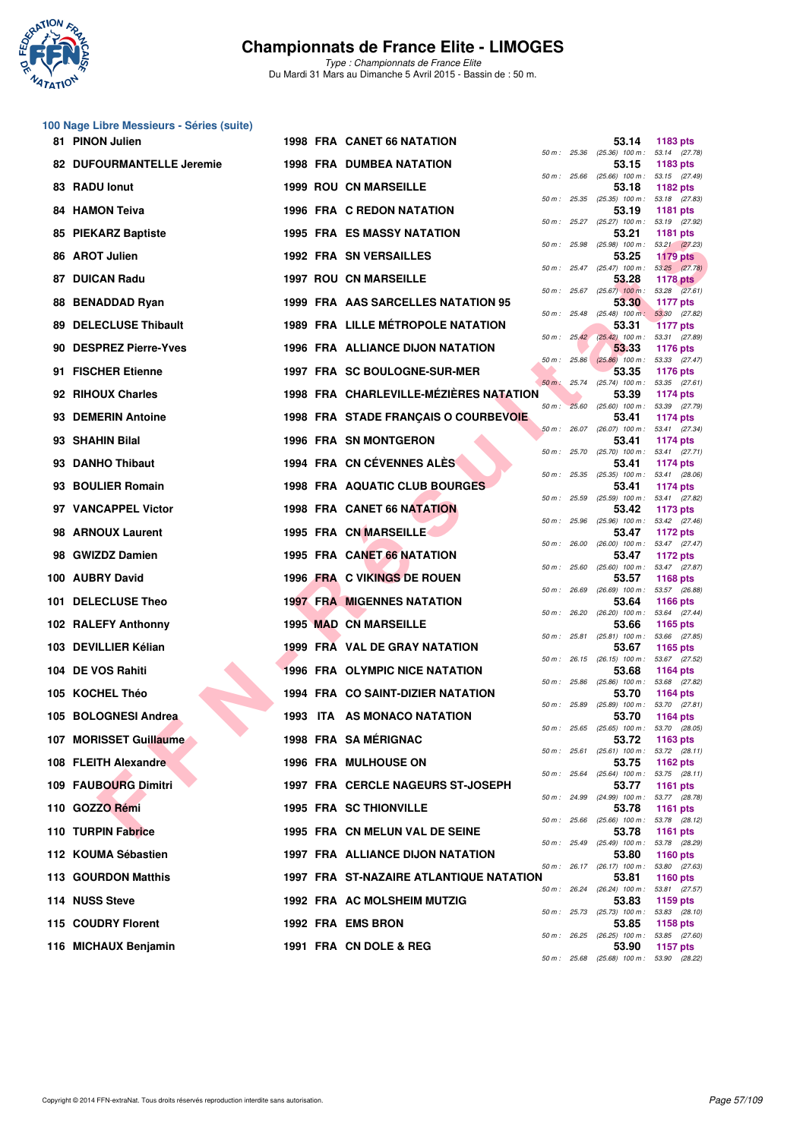

*Type : Championnats de France Elite* Du Mardi 31 Mars au Dimanche 5 Avril 2015 - Bassin de : 50 m.

#### **100 Nage Libre Messieurs - Séries (suite)**

|     | 81 PINON Julien              |  | <b>1998 FRA CANET 66 NATATION</b>        |              |              | 53.14                                               | 1183 pts                         |
|-----|------------------------------|--|------------------------------------------|--------------|--------------|-----------------------------------------------------|----------------------------------|
|     | 82 DUFOURMANTELLE Jeremie    |  | <b>1998 FRA DUMBEA NATATION</b>          | 50 m: 25.36  |              | $(25.36)$ 100 m : 53.14 $(27.78)$<br>53.15          | 1183 pts                         |
|     | 83 RADU lonut                |  | <b>1999 ROU CN MARSEILLE</b>             | 50 m: 25.66  |              | $(25.66)$ 100 m : 53.15 $(27.49)$<br>53.18          | 1182 pts                         |
|     | <b>84 HAMON Teiva</b>        |  | <b>1996 FRA C REDON NATATION</b>         |              |              | 50 m: 25.35 (25.35) 100 m: 53.18 (27.83)<br>53.19   | 1181 pts                         |
| 85  | <b>PIEKARZ Baptiste</b>      |  | <b>1995 FRA ES MASSY NATATION</b>        |              |              | 50 m: 25.27 (25.27) 100 m: 53.19 (27.92)<br>53.21   | 1181 pts                         |
|     | 86 AROT Julien               |  | <b>1992 FRA SN VERSAILLES</b>            |              |              | 50 m: 25.98 (25.98) 100 m: 53.21 (27.23)<br>53.25   | <b>1179 pts</b>                  |
|     | 87 DUICAN Radu               |  | <b>1997 ROU CN MARSEILLE</b>             |              |              | 50 m : 25.47 (25.47) 100 m :<br>53.28               | 53.25 (27.78)<br><b>1178 pts</b> |
|     | 88 BENADDAD Ryan             |  | 1999 FRA AAS SARCELLES NATATION 95       |              |              | 50 m : 25.67 (25.67) 100 m : 53.28 (27.61)<br>53.30 | <b>1177 pts</b>                  |
|     | <b>89 DELECLUSE Thibault</b> |  | <b>1989 FRA LILLE MÉTROPOLE NATATION</b> | 50 m: 25.48  |              | $(25.48)$ 100 m : 53.30 $(27.82)$<br>53.31          | <b>1177 pts</b>                  |
| 90. | <b>DESPREZ Pierre-Yves</b>   |  | 1996 FRA ALLIANCE DIJON NATATION         |              |              | 50 m : 25.42 (25.42) 100 m : 53.31 (27.89)<br>53.33 | <b>1176 pts</b>                  |
|     | 91 FISCHER Etienne           |  | 1997 FRA SC BOULOGNE-SUR-MER             |              |              | 50 m : 25.86 (25.86) 100 m : 53.33 (27.47)<br>53.35 | 1176 pts                         |
|     | 92 RIHOUX Charles            |  | 1998 FRA CHARLEVILLE-MÉZIÈRES NATATION   |              | 50 m: 25.74  | $(25.74)$ 100 m : 53.35 $(27.61)$<br>53.39          | 1174 pts                         |
|     | 93 DEMERIN Antoine           |  | 1998 FRA STADE FRANÇAIS O COURBEVOIE     | $50 m$ :     | 25.60        | (25.60) 100 m : 53.39 (27.79)<br>53.41              | 1174 pts                         |
|     | 93 SHAHIN Bilal              |  | 1996 FRA SN MONTGERON                    |              |              | 50 m: 26.07 (26.07) 100 m: 53.41 (27.34)<br>53.41   | 1174 pts                         |
|     | 93 DANHO Thibaut             |  | 1994 FRA CN CÉVENNES ALÈS                | 50 m: 25.70  |              | $(25.70)$ 100 m : 53.41 $(27.71)$<br>53.41          | 1174 pts                         |
|     | 93 BOULIER Romain            |  | <b>1998 FRA AQUATIC CLUB BOURGES</b>     | 50 m: 25.35  |              | (25.35) 100 m: 53.41 (28.06)<br>53.41               | 1174 pts                         |
|     | 97 VANCAPPEL Victor          |  | <b>1998 FRA CANET 66 NATATION</b>        | 50 m: 25.59  |              | $(25.59)$ 100 m : 53.41 $(27.82)$<br>53.42          | 1173 pts                         |
|     | 98 ARNOUX Laurent            |  | 1995 FRA CN MARSEILLE                    |              |              | 50 m: 25.96 (25.96) 100 m: 53.42 (27.46)<br>53.47   | 1172 pts                         |
|     | 98 GWIZDZ Damien             |  | 1995 FRA CANET 66 NATATION               | 50 m: 26.00  |              | $(26.00)$ 100 m : 53.47 $(27.47)$<br>53.47          | 1172 pts                         |
|     | 100 AUBRY David              |  | 1996 FRA C VIKINGS DE ROUEN              |              |              | 50 m: 25.60 (25.60) 100 m: 53.47 (27.87)<br>53.57   | <b>1168 pts</b>                  |
|     | 101 DELECLUSE Theo           |  | <b>1997 FRA MIGENNES NATATION</b>        | 50 m: 26.69  |              | $(26.69)$ 100 m :<br>53.64                          | 53.57 (26.88)<br><b>1166 pts</b> |
|     | 102 RALEFY Anthonny          |  | <b>1995 MAD CN MARSEILLE</b>             | 50 m: 26.20  |              | (26.20) 100 m: 53.64 (27.44)<br>53.66               | 1165 pts                         |
|     | 103 DEVILLIER Kélian         |  | 1999 FRA VAL DE GRAY NATATION            |              |              | 50 m: 25.81 (25.81) 100 m: 53.66 (27.85)<br>53.67   | 1165 pts                         |
|     | 104 DE VOS Rahiti            |  | <b>1996 FRA OLYMPIC NICE NATATION</b>    |              |              | 50 m: 26.15 (26.15) 100 m: 53.67 (27.52)<br>53.68   | <b>1164 pts</b>                  |
|     | 105 KOCHEL Théo              |  | 1994 FRA CO SAINT-DIZIER NATATION        |              |              | 50 m: 25.86 (25.86) 100 m: 53.68 (27.82)<br>53.70   | 1164 pts                         |
|     | 105 BOLOGNESI Andrea         |  | 1993 ITA AS MONACO NATATION              | 50 m : 25.89 |              | (25.89) 100 m :<br>53.70                            | 53.70 (27.81)<br><b>1164 pts</b> |
|     | 107 MORISSET Guillaume       |  | 1998 FRA SA MÉRIGNAC                     |              |              | 50 m: 25.65 (25.65) 100 m: 53.70 (28.05)<br>53.72   | 1163 pts                         |
|     | 108 FLEITH Alexandre         |  | <b>1996 FRA MULHOUSE ON</b>              |              |              | 50 m: 25.61 (25.61) 100 m: 53.72 (28.11)<br>53.75   | 1162 $pts$                       |
|     | 109 FAUBOURG Dimitri         |  | <b>1997 FRA CERCLE NAGEURS ST-JOSEPH</b> |              | 50 m : 25.64 | $(25.64)$ 100 m : 53.75 $(28.11)$<br>53.77          | 1161 pts                         |
|     | 110 GOZZO Rémi               |  | <b>1995 FRA SC THIONVILLE</b>            |              |              | 50 m: 24.99 (24.99) 100 m: 53.77 (28.78)<br>53.78   | 1161 pts                         |
|     | 110 TURPIN Fabrice           |  | 1995 FRA CN MELUN VAL DE SEINE           |              |              | 50 m : 25.66 (25.66) 100 m : 53.78 (28.12)<br>53.78 | 1161 pts                         |
|     | 112 KOUMA Sébastien          |  | <b>1997 FRA ALLIANCE DIJON NATATION</b>  |              |              | 50 m: 25.49 (25.49) 100 m:<br>53.80                 | 53.78 (28.29)<br><b>1160 pts</b> |
|     | 113 GOURDON Matthis          |  | 1997 FRA ST-NAZAIRE ATLANTIQUE NATATION  |              |              | 50 m : 26.17 (26.17) 100 m :<br>53.81               | 53.80 (27.63)<br>1160 pts        |
|     | 114 NUSS Steve               |  | 1992 FRA AC MOLSHEIM MUTZIG              |              | 50 m : 26.24 | (26.24) 100 m: 53.81 (27.57)<br>53.83               | 1159 pts                         |
|     | 115 COUDRY Florent           |  | 1992 FRA EMS BRON                        |              |              | 50 m: 25.73 (25.73) 100 m: 53.83 (28.10)<br>53.85   | 1158 pts                         |
|     | 116 MICHAUX Benjamin         |  | 1991 FRA CN DOLE & REG                   |              |              | 50 m : 26.25 (26.25) 100 m :<br>53.90               | 53.85 (27.60)<br>1157 pts        |
|     |                              |  |                                          |              |              | 50 m: 25.68 (25.68) 100 m: 53.90 (28.22)            |                                  |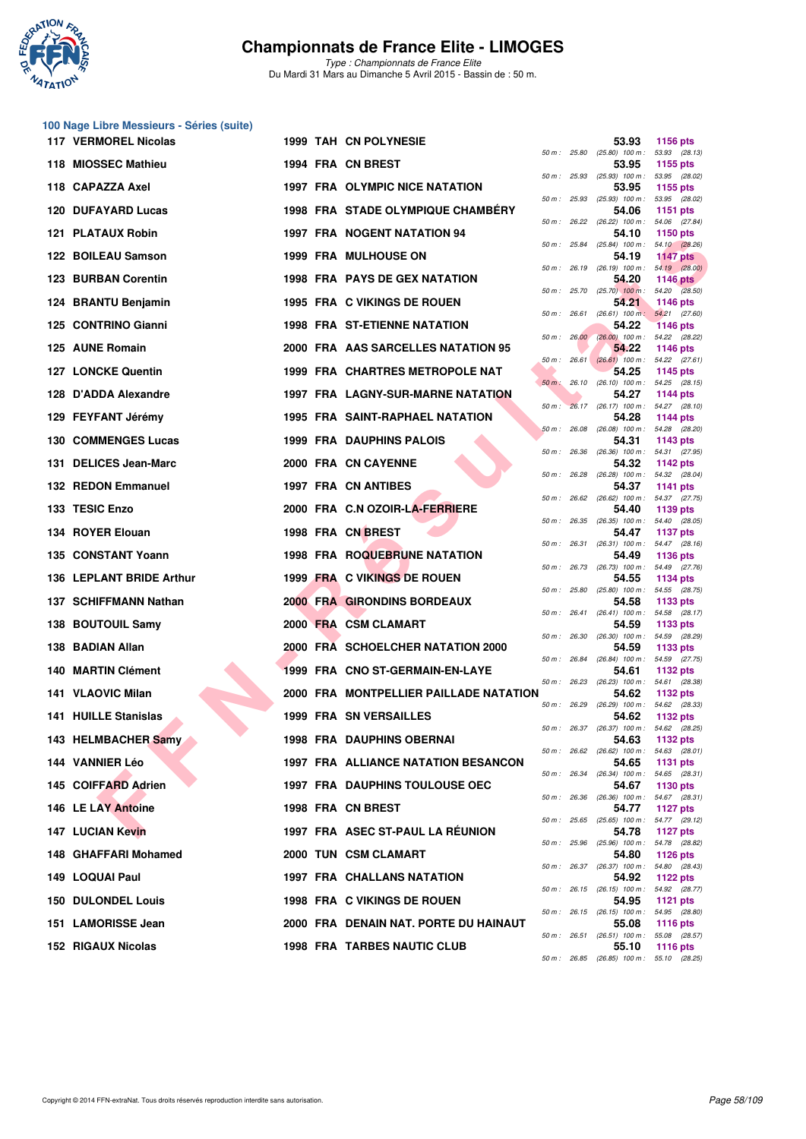

| 100 Nage Libre Messieurs - Séries (suite) |  |                                          |              |             |                                                     |                 |
|-------------------------------------------|--|------------------------------------------|--------------|-------------|-----------------------------------------------------|-----------------|
| 117 VERMOREL Nicolas                      |  | 1999 TAH CN POLYNESIE                    | 50 m : 25.80 |             | 53.93<br>$(25.80)$ 100 m : 53.93 $(28.13)$          | <b>1156 pts</b> |
| 118 MIOSSEC Mathieu                       |  | 1994 FRA CN BREST                        |              |             | 53.95<br>50 m: 25.93 (25.93) 100 m: 53.95 (28.02)   | 1155 pts        |
| 118 CAPAZZA Axel                          |  | <b>1997 FRA OLYMPIC NICE NATATION</b>    | 50 m : 25.93 |             | 53.95                                               | 1155 pts        |
| <b>120 DUFAYARD Lucas</b>                 |  | <b>1998 FRA STADE OLYMPIQUE CHAMBERY</b> |              |             | (25.93) 100 m: 53.95 (28.02)<br>54.06               | 1151 pts        |
| 121 PLATAUX Robin                         |  | <b>1997 FRA NOGENT NATATION 94</b>       |              |             | 50 m : 26.22 (26.22) 100 m : 54.06 (27.84)<br>54.10 | 1150 pts        |
| 122 BOILEAU Samson                        |  | <b>1999 FRA MULHOUSE ON</b>              |              |             | 50 m: 25.84 (25.84) 100 m: 54.10 (28.26)<br>54.19   | <b>1147 pts</b> |
| <b>123 BURBAN Corentin</b>                |  | <b>1998 FRA PAYS DE GEX NATATION</b>     | 50 m: 26.19  |             | $(26.19)$ 100 m : 54.19 $(28.00)$<br>54.20          | <b>1146 pts</b> |
| 124 BRANTU Benjamin                       |  | 1995 FRA C VIKINGS DE ROUEN              |              |             | 50 m : 25.70 (25.70) 100 m : 54.20 (28.50)<br>54.21 | 1146 pts        |
| 125 CONTRINO Gianni                       |  | <b>1998 FRA ST-ETIENNE NATATION</b>      |              |             | 50 m: 26.61 (26.61) 100 m: 54.21 (27.60)<br>54.22   | <b>1146 pts</b> |
| 125 AUNE Romain                           |  | 2000 FRA AAS SARCELLES NATATION 95       |              | 50 m: 26.00 | $(26.00)$ 100 m : 54.22 $(28.22)$<br>54.22          | <b>1146 pts</b> |
|                                           |  |                                          |              |             | 50 m: 26.61 (26.61) 100 m: 54.22 (27.61)            |                 |
| <b>127 LONCKE Quentin</b>                 |  | 1999 FRA CHARTRES METROPOLE NAT          |              | 50 m: 26.10 | 54.25<br>$(26.10)$ 100 m : 54.25 $(28.15)$          | 1145 pts        |
| 128 D'ADDA Alexandre                      |  | 1997 FRA LAGNY-SUR-MARNE NATATION        |              |             | 54.27<br>50 m: 26.17 (26.17) 100 m: 54.27 (28.10)   | 1144 pts        |
| 129 FEYFANT Jérémy                        |  | <b>1995 FRA SAINT-RAPHAEL NATATION</b>   | 50 m: 26.08  |             | 54.28<br>$(26.08)$ 100 m : 54.28 $(28.20)$          | 1144 pts        |
| <b>130 COMMENGES Lucas</b>                |  | <b>1999 FRA DAUPHINS PALOIS</b>          |              |             | 54.31<br>50 m: 26.36 (26.36) 100 m: 54.31 (27.95)   | 1143 pts        |
| 131 DELICES Jean-Marc                     |  | 2000 FRA CN CAYENNE                      |              |             | 54.32<br>50 m: 26.28 (26.28) 100 m: 54.32 (28.04)   | <b>1142 pts</b> |
| 132 REDON Emmanuel                        |  | <b>1997 FRA CN ANTIBES</b>               |              |             | 54.37                                               | <b>1141 pts</b> |
| 133 TESIC Enzo                            |  | 2000 FRA C.N OZOIR-LA-FERRIERE           |              |             | 50 m: 26.62 (26.62) 100 m: 54.37 (27.75)<br>54.40   | 1139 pts        |
| 134 ROYER Elouan                          |  | 1998 FRA CN BREST                        |              |             | 50 m: 26.35 (26.35) 100 m: 54.40 (28.05)<br>54.47   | 1137 pts        |
| 135 CONSTANT Yoann                        |  | <b>1998 FRA ROQUEBRUNE NATATION</b>      | 50 m : 26.31 |             | $(26.31)$ 100 m : 54.47 $(28.16)$<br>54.49          | <b>1136 pts</b> |
| 136 LEPLANT BRIDE Arthur                  |  | 1999 FRA C VIKINGS DE ROUEN              |              |             | 50 m: 26.73 (26.73) 100 m: 54.49 (27.76)<br>54.55   | 1134 pts        |
| 137 SCHIFFMANN Nathan                     |  | <b>2000 FRA GIRONDINS BORDEAUX</b>       | 50 m: 25.80  |             | $(25.80)$ 100 m : 54.55 (28.75)<br>54.58            | 1133 pts        |
| 138 BOUTOUIL Samy                         |  | 2000 FRA CSM CLAMART                     |              |             | 50 m: 26.41 (26.41) 100 m: 54.58 (28.17)<br>54.59   | 1133 pts        |
| 138 BADIAN Allan                          |  | 2000 FRA SCHOELCHER NATATION 2000        | 50 m: 26.30  |             | (26.30) 100 m: 54.59 (28.29)<br>54.59               | 1133 pts        |
| 140 MARTIN Clément                        |  | 1999 FRA CNO ST-GERMAIN-EN-LAYE          | 50 m : 26.84 |             | (26.84) 100 m: 54.59 (27.75)<br>54.61               | 1132 pts        |
|                                           |  |                                          |              |             | 50 m : 26.23 (26.23) 100 m : 54.61 (28.38)          |                 |
| 141 VLAOVIC Milan                         |  | 2000 FRA MONTPELLIER PAILLADE NATATION   | 50 m : 26.29 |             | 54.62<br>(26.29) 100 m: 54.62 (28.33)               | <b>1132 pts</b> |
| 141 HUILLE Stanislas                      |  | <b>1999 FRA SN VERSAILLES</b>            |              |             | 54.62<br>50 m : 26.37 (26.37) 100 m : 54.62 (28.25) | 1132 pts        |
| 143 HELMBACHER Samy                       |  | <b>1998 FRA DAUPHINS OBERNAI</b>         |              |             | 54.63<br>50 m: 26.62 (26.62) 100 m: 54.63 (28.01)   | 1132 pts        |
| 144 VANNIER Léo                           |  | 1997 FRA ALLIANCE NATATION BESANCON      |              |             | 54.65<br>50 m: 26.34 (26.34) 100 m: 54.65 (28.31)   | <b>1131 pts</b> |
| 145 COIFFARD Adrien                       |  | <b>1997 FRA DAUPHINS TOULOUSE OEC</b>    |              |             | 54.67<br>50 m : 26.36 (26.36) 100 m : 54.67 (28.31) | 1130 pts        |
| 146 LE LAY Antoine                        |  | 1998 FRA CN BREST                        |              |             | 54.77                                               | <b>1127 pts</b> |
| <b>147 LUCIAN Kevin</b>                   |  | 1997 FRA ASEC ST-PAUL LA RÉUNION         |              |             | 50 m: 25.65 (25.65) 100 m: 54.77 (29.12)<br>54.78   | <b>1127 pts</b> |
| 148 GHAFFARI Mohamed                      |  | 2000 TUN CSM CLAMART                     |              |             | 50 m : 25.96 (25.96) 100 m : 54.78 (28.82)<br>54.80 | 1126 pts        |
| 149 LOQUAI Paul                           |  | <b>1997 FRA CHALLANS NATATION</b>        |              |             | 50 m: 26.37 (26.37) 100 m: 54.80 (28.43)<br>54.92   | <b>1122 pts</b> |
| <b>150 DULONDEL Louis</b>                 |  | 1998 FRA C VIKINGS DE ROUEN              |              |             | 50 m: 26.15 (26.15) 100 m: 54.92 (28.77)<br>54.95   | <b>1121 pts</b> |
| 151 LAMORISSE Jean                        |  | 2000 FRA DENAIN NAT. PORTE DU HAINAUT    |              |             | 50 m: 26.15 (26.15) 100 m: 54.95 (28.80)<br>55.08   | <b>1116 pts</b> |
| <b>152 RIGAUX Nicolas</b>                 |  | <b>1998 FRA TARBES NAUTIC CLUB</b>       |              |             | 50 m: 26.51 (26.51) 100 m: 55.08 (28.57)<br>55.10   |                 |
|                                           |  |                                          |              |             | 50 m: 26.85 (26.85) 100 m: 55.10 (28.25)            | 1116 pts        |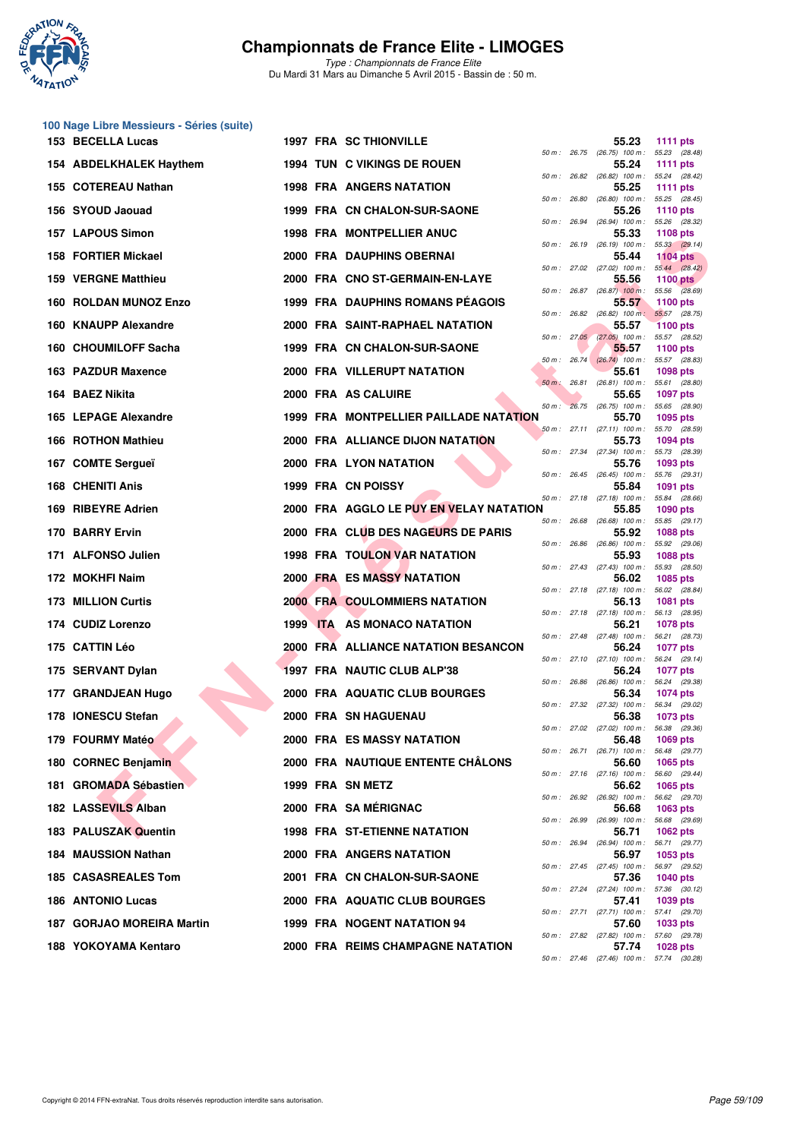

**100 Nage Libre Messieurs - Séries (suite)**

## **Championnats de France Elite - LIMOGES**

| 153 BECELLA Lucas          |                 | <b>1997 FRA SC THIONVILLE</b>                  |             |              | 55.23                                               | <b>1111 pts</b> |
|----------------------------|-----------------|------------------------------------------------|-------------|--------------|-----------------------------------------------------|-----------------|
| 154 ABDELKHALEK Haythem    |                 | <b>1994 TUN C VIKINGS DE ROUEN</b>             |             |              | 50 m: 26.75 (26.75) 100 m: 55.23 (28.48)<br>55.24   | 1111 $pts$      |
| 155 COTEREAU Nathan        |                 | <b>1998 FRA ANGERS NATATION</b>                |             |              | 50 m: 26.82 (26.82) 100 m: 55.24 (28.42)<br>55.25   | 1111 pts        |
| 156 SYOUD Jaouad           |                 | 1999 FRA CN CHALON-SUR-SAONE                   |             |              | 50 m: 26.80 (26.80) 100 m: 55.25 (28.45)<br>55.26   | <b>1110 pts</b> |
| <b>157 LAPOUS Simon</b>    |                 | <b>1998 FRA MONTPELLIER ANUC</b>               |             | 50 m : 26.94 | $(26.94)$ 100 m : 55.26 $(28.32)$<br>55.33          | <b>1108 pts</b> |
| 158 FORTIER Mickael        |                 | 2000 FRA DAUPHINS OBERNAI                      |             |              | 50 m: 26.19 (26.19) 100 m: 55.33 (29.14)<br>55.44   | <b>1104 pts</b> |
| <b>159 VERGNE Matthieu</b> |                 | 2000 FRA CNO ST-GERMAIN-EN-LAYE                |             |              | 50 m: 27.02 (27.02) 100 m: 55.44 (28.42)<br>55.56   | <b>1100 pts</b> |
| 160 ROLDAN MUNOZ Enzo      |                 | 1999 FRA DAUPHINS ROMANS PÉAGOIS               |             |              | 50 m : 26.87 (26.87) 100 m : 55.56 (28.69)<br>55.57 | 1100 $pts$      |
| 160 KNAUPP Alexandre       |                 | 2000 FRA SAINT-RAPHAEL NATATION                |             |              | 50 m : 26.82 (26.82) 100 m : 55.57 (28.75)<br>55.57 | <b>1100 pts</b> |
| 160 CHOUMILOFF Sacha       |                 | 1999 FRA CN CHALON-SUR-SAONE                   |             |              | 50 m : 27.05 (27.05) 100 m : 55.57 (28.52)<br>55.57 | <b>1100 pts</b> |
| 163 PAZDUR Maxence         |                 | <b>2000 FRA VILLERUPT NATATION</b>             |             |              | 50 m: 26.74 (26.74) 100 m: 55.57 (28.83)<br>55.61   | <b>1098 pts</b> |
| 164 BAEZ Nikita            |                 | 2000 FRA AS CALUIRE                            |             |              | 50 m : 26.81 (26.81) 100 m : 55.61 (28.80)<br>55.65 | <b>1097 pts</b> |
| 165 LEPAGE Alexandre       |                 | 1999 FRA MONTPELLIER PAILLADE NATATION         | $50 m$ :    |              | 26.75 (26.75) 100 m : 55.65 (28.90)<br>55.70        | 1095 pts        |
| 166 ROTHON Mathieu         |                 | 2000 FRA ALLIANCE DIJON NATATION               |             |              | 50 m: 27.11 (27.11) 100 m: 55.70 (28.59)<br>55.73   | <b>1094 pts</b> |
| 167 COMTE Sergueï          |                 | 2000 FRA LYON NATATION                         |             |              | 50 m: 27.34 (27.34) 100 m: 55.73 (28.39)<br>55.76   | 1093 pts        |
| <b>168 CHENITI Anis</b>    |                 | 1999 FRA CN POISSY                             |             |              | 50 m: 26.45 (26.45) 100 m: 55.76 (29.31)<br>55.84   | 1091 pts        |
| 169 RIBEYRE Adrien         |                 | <b>2000 FRA AGGLO LE PUY EN VELAY NATATION</b> |             |              | 50 m: 27.18 (27.18) 100 m: 55.84 (28.66)<br>55.85   | <b>1090 pts</b> |
| 170 BARRY Ervin            |                 | 2000 FRA CLUB DES NAGEURS DE PARIS             | 50 m: 26.68 |              | $(26.68)$ 100 m : 55.85 $(29.17)$<br>55.92          | <b>1088 pts</b> |
| 171 ALFONSO Julien         |                 | 1998 FRA TOULON VAR NATATION                   |             |              | 50 m : 26.86 (26.86) 100 m : 55.92 (29.06)<br>55.93 | <b>1088 pts</b> |
| 172 MOKHFI Naim            |                 | 2000 FRA ES MASSY NATATION                     |             |              | 50 m: 27.43 (27.43) 100 m: 55.93 (28.50)<br>56.02   | 1085 pts        |
| 173 MILLION Curtis         |                 | <b>2000 FRA COULOMMIERS NATATION</b>           |             |              | 50 m: 27.18 (27.18) 100 m: 56.02 (28.84)<br>56.13   | <b>1081 pts</b> |
| 174 CUDIZ Lorenzo          | <b>1999 ITA</b> | AS MONACO NATATION                             |             |              | 50 m: 27.18 (27.18) 100 m: 56.13 (28.95)<br>56.21   | <b>1078 pts</b> |
| 175 CATTIN Léo             |                 | 2000 FRA ALLIANCE NATATION BESANCON            |             |              | 50 m: 27.48 (27.48) 100 m: 56.21 (28.73)<br>56.24   | <b>1077 pts</b> |
| 175 SERVANT Dylan          |                 | 1997 FRA NAUTIC CLUB ALP'38                    |             |              | 50 m: 27.10 (27.10) 100 m: 56.24 (29.14)<br>56.24   | <b>1077 pts</b> |
| 177 GRANDJEAN Hugo         |                 | 2000 FRA AQUATIC CLUB BOURGES                  |             |              | 50 m : 26.86 (26.86) 100 m : 56.24 (29.38)<br>56.34 | <b>1074 pts</b> |
| 178 IONESCU Stefan         |                 | 2000 FRA SN HAGUENAU                           |             |              | 50 m: 27.32 (27.32) 100 m: 56.34 (29.02)<br>56.38   | 1073 pts        |
| 179 FOURMY Matéo           |                 | 2000 FRA ES MASSY NATATION                     |             |              | 50 m : 27.02 (27.02) 100 m : 56.38 (29.36)<br>56.48 | 1069 pts        |
| 180 CORNEC Benjamin        |                 | 2000 FRA NAUTIQUE ENTENTE CHALONS              |             |              | 50 m : 26.71 (26.71) 100 m : 56.48 (29.77)<br>56.60 | 1065 pts        |
| 181 GROMADA Sébastien      |                 | 1999 FRA SN METZ                               |             |              | 50 m: 27.16 (27.16) 100 m: 56.60 (29.44)<br>56.62   | 1065 pts        |
| 182 LASSEVILS Alban        |                 | 2000 FRA SAMÉRIGNAC                            |             |              | 50 m : 26.92 (26.92) 100 m : 56.62 (29.70)<br>56.68 | <b>1063 pts</b> |
| 183 PALUSZAK Quentin       |                 | <b>1998 FRA ST-ETIENNE NATATION</b>            |             |              | 50 m : 26.99 (26.99) 100 m : 56.68 (29.69)<br>56.71 | 1062 pts        |
| <b>184 MAUSSION Nathan</b> |                 | <b>2000 FRA ANGERS NATATION</b>                |             |              | 50 m : 26.94 (26.94) 100 m : 56.71 (29.77)<br>56.97 | 1053 pts        |
| 185 CASASREALES Tom        |                 | 2001 FRA CN CHALON-SUR-SAONE                   |             |              | 50 m: 27.45 (27.45) 100 m: 56.97 (29.52)<br>57.36   | 1040 pts        |
| <b>186 ANTONIO Lucas</b>   |                 | 2000 FRA AQUATIC CLUB BOURGES                  |             |              | 50 m: 27.24 (27.24) 100 m: 57.36 (30.12)<br>57.41   | 1039 pts        |
| 187 GORJAO MOREIRA Martin  |                 | 1999 FRA NOGENT NATATION 94                    |             |              | 50 m: 27.71 (27.71) 100 m: 57.41 (29.70)<br>57.60   | 1033 pts        |
| 188 YOKOYAMA Kentaro       |                 | 2000 FRA REIMS CHAMPAGNE NATATION              |             |              | 50 m: 27.82 (27.82) 100 m: 57.60 (29.78)<br>57.74   | 1028 pts        |
|                            |                 |                                                |             |              | 50 m : 27.46 (27.46) 100 m : 57.74 (30.28)          |                 |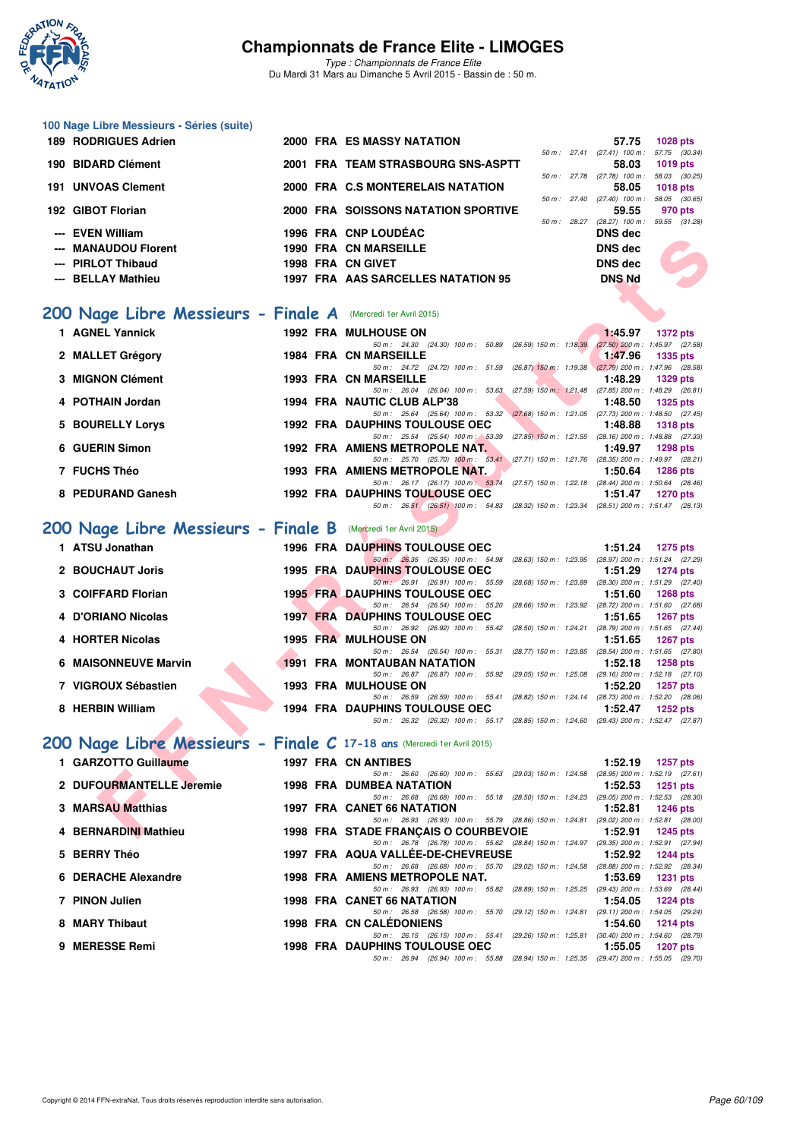

| 100 Nage Libre Messieurs - Séries (suite)<br><b>189 RODRIGUES Adrien</b> | 2000 FRA ES MASSY NATATION                                                                                                         | 57.75<br><b>1028 pts</b>                                                            |
|--------------------------------------------------------------------------|------------------------------------------------------------------------------------------------------------------------------------|-------------------------------------------------------------------------------------|
| 190 BIDARD Clément                                                       | 2001 FRA TEAM STRASBOURG SNS-ASPTT                                                                                                 | 50 m: 27.41 (27.41) 100 m: 57.75 (30.34)<br>58.03<br><b>1019 pts</b>                |
| <b>191 UNVOAS Clement</b>                                                | 2000 FRA C.S MONTERELAIS NATATION                                                                                                  | 50 m: 27.78 (27.78) 100 m: 58.03 (30.25)<br>58.05<br><b>1018 pts</b>                |
| 192 GIBOT Florian                                                        | 2000 FRA SOISSONS NATATION SPORTIVE                                                                                                | 50 m: 27.40 (27.40) 100 m: 58.05 (30.65)<br>59.55<br>970 pts                        |
| <b>EVEN William</b>                                                      | 1996 FRA CNP LOUDEAC                                                                                                               | 50 m: 28.27 (28.27) 100 m: 59.55 (31.28)<br><b>DNS</b> dec                          |
| <b>MANAUDOU Florent</b>                                                  | <b>1990 FRA CN MARSEILLE</b>                                                                                                       | <b>DNS dec</b>                                                                      |
| <b>PIRLOT Thibaud</b>                                                    | 1998 FRA CN GIVET                                                                                                                  | <b>DNS dec</b>                                                                      |
| <b>BELLAY Mathieu</b>                                                    | 1997 FRA AAS SARCELLES NATATION 95                                                                                                 | <b>DNS Nd</b>                                                                       |
| 200 Nage Libre Messieurs - Finale A (Mercredi 1er Avril 2015)            |                                                                                                                                    |                                                                                     |
| 1 AGNEL Yannick                                                          | <b>1992 FRA MULHOUSE ON</b>                                                                                                        | 1:45.97<br><b>1372 pts</b>                                                          |
| 2 MALLET Grégory                                                         | 50 m: 24.30 (24.30) 100 m: 50.89 (26.59) 150 m: 1:18.39<br><b>1984 FRA CN MARSEILLE</b>                                            | $(27.50)$ 200 m : 1:45.97 (27.58)<br>1:47.96<br><b>1335 pts</b>                     |
| 3 MIGNON Clément                                                         | 50 m: 24.72 (24.72) 100 m: 51.59 (26.87) 150 m: 1:19.38 (27.79) 200 m: 1:47.96 (28.58)<br><b>1993 FRA CN MARSEILLE</b>             | 1:48.29<br><b>1329 pts</b>                                                          |
| 4 POTHAIN Jordan                                                         | 50 m: 26.04 (26.04) 100 m: 53.63 (27.59) 150 m: 1:21.48 (27.85) 200 m: 1:48.29 (26.81)<br>1994 FRA NAUTIC CLUB ALP'38              | 1:48.50<br><b>1325 pts</b>                                                          |
| 5 BOURELLY Lorys                                                         | 50 m: 25.64 (25.64) 100 m: 53.32 (27.68) 150 m: 1:21.05 (27.73) 200 m: 1:48.50 (27.45)<br><b>1992 FRA DAUPHINS TOULOUSE OEC</b>    | 1:48.88<br><b>1318 pts</b>                                                          |
| 6 GUERIN Simon                                                           | 50 m: 25.54 (25.54) 100 m: 53.39 (27.85) 150 m: 1:21.55 (28.16) 200 m: 1:48.88 (27.33)<br>1992 FRA AMIENS METROPOLE NAT.           | 1:49.97<br><b>1298 pts</b>                                                          |
| 7 FUCHS Théo                                                             | 50 m: 25.70 (25.70) 100 m: 53.41 (27.71) 150 m: 1:21.76 (28.35) 200 m: 1:49.97 (28.21)<br>1993 FRA AMIENS METROPOLE NAT.           | 1:50.64<br><b>1286 pts</b>                                                          |
|                                                                          | 50 m: 26.17 (26.17) 100 m: 53.74 (27.57) 150 m: 1:22.18 (28.44) 200 m: 1:50.64 (28.46)                                             |                                                                                     |
| 8 PEDURAND Ganesh                                                        | <b>1992 FRA DAUPHINS TOULOUSE OEC</b><br>50 m: 26.51 (26.51) 100 m: 54.83 (28.32) 150 m: 1:23.34 (28.51) 200 m: 1:51.47 (28.13)    | 1:51.47<br><b>1270 pts</b>                                                          |
| 200 Nage Libre Messieurs - Finale B (Mercredi 1er Avril 2015)            |                                                                                                                                    |                                                                                     |
| 1 ATSU Jonathan                                                          | 1996 FRA DAUPHINS TOULOUSE OEC                                                                                                     | 1:51.24<br><b>1275 pts</b>                                                          |
| 2 BOUCHAUT Joris                                                         | 50 m : 26.35 (26.35) 100 m : 54.98<br>1995 FRA DAUPHINS TOULOUSE OEC                                                               | (28.63) 150 m: 1:23.95 (28.97) 200 m: 1:51.24 (27.29)<br>1:51.29<br><b>1274 pts</b> |
| 3 COIFFARD Florian                                                       | 50 m : 26.91 (26.91) 100 m : 55.59<br><b>1995 FRA DAUPHINS TOULOUSE OEC</b>                                                        | (28.68) 150 m: 1:23.89 (28.30) 200 m: 1:51.29 (27.40)<br>1:51.60<br><b>1268 pts</b> |
| 4 D'ORIANO Nicolas                                                       | 50 m: 26.54 (26.54) 100 m: 55.20 (28.66) 150 m: 1:23.92 (28.72) 200 m: 1:51.60 (27.68)<br><b>1997 FRA DAUPHINS TOULOUSE OEC</b>    | 1:51.65<br><b>1267 pts</b>                                                          |
| 4 HORTER Nicolas                                                         | 50 m: 26.92 (26.92) 100 m: 55.42 (28.50) 150 m: 1:24.21 (28.79) 200 m: 1:51.65 (27.44)<br>1995 FRA MULHOUSE ON                     | 1:51.65<br><b>1267 pts</b>                                                          |
| <b>6 MAISONNEUVE Marvin</b>                                              | 50 m: 26.54 (26.54) 100 m: 55.31 (28.77) 150 m: 1:23.85 (28.54) 200 m: 1:51.65 (27.80)<br><b>1991 FRA MONTAUBAN NATATION</b>       | 1:52.18<br><b>1258 pts</b>                                                          |
| 7 VIGROUX Sébastien                                                      | 50 m: 26.87 (26.87) 100 m: 55.92 (29.05) 150 m: 1:25.08 (29.16) 200 m: 1:52.18 (27.10)<br><b>1993 FRA MULHOUSE ON</b>              | 1:52.20<br><b>1257 pts</b>                                                          |
|                                                                          | 50 m: 26.59 (26.59) 100 m: 55.41 (28.82) 150 m: 1:24.14 (28.73) 200 m: 1:52.20 (28.06)                                             |                                                                                     |
| 8 HERBIN William                                                         | 1994 FRA DAUPHINS TOULOUSE OEC<br>50 m: 26.32 (26.32) 100 m: 55.17 (28.85) 150 m: 1:24.60 (29.43) 200 m: 1:52.47 (27.87)           | 1:52.47<br><b>1252 pts</b>                                                          |
| 200 Nage Libre Messieurs - Finale C 17-18 ans (Mercredi 1er Avril 2015)  |                                                                                                                                    |                                                                                     |
| 1 GARZOTTO Guillaume                                                     | 1997 FRA CN ANTIBES                                                                                                                | 1:52.19<br><b>1257 pts</b>                                                          |
| 2 DUFOURMANTELLE Jeremie                                                 | 50 m: 26.60 (26.60) 100 m: 55.63 (29.03) 150 m: 1:24.58 (28.95) 200 m: 1:52.19 (27.61)<br><b>1998 FRA DUMBEA NATATION</b>          | 1:52.53<br>1251 pts                                                                 |
| <b>3 MARSAU Matthias</b>                                                 | 50 m: 26.68 (26.68) 100 m: 55.18 (28.50) 150 m: 1:24.23 (29.05) 200 m: 1:52.53 (28.30)<br>1997 FRA CANET 66 NATATION               | 1:52.81<br><b>1246 pts</b>                                                          |
| 4 BERNARDINI Mathieu                                                     | 50 m : 26.93 (26.93) 100 m : 55.79 (28.86) 150 m : 1:24.81 (29.02) 200 m : 1:52.81 (28.00)<br>1998 FRA STADE FRANÇAIS O COURBEVOIE | 1:52.91<br>1245 pts                                                                 |
| <b>BERRY Théo</b>                                                        | 50 m: 26.78 (26.78) 100 m: 55.62 (28.84) 150 m: 1:24.97 (29.35) 200 m: 1:52.91 (27.94)<br>1997 FRA AQUA VALLEE-DE-CHEVREUSE        | 1:52.92<br>1244 pts                                                                 |
| 6 DERACHE Alexandre                                                      | 50 m: 26.68 (26.68) 100 m: 55.70 (29.02) 150 m: 1:24.58 (28.88) 200 m: 1:52.92 (28.34)<br>1998 FRA AMIENS METROPOLE NAT.           | 1:53.69<br><b>1231 pts</b>                                                          |
| 7 PINON Julien                                                           | 50 m: 26.93 (26.93) 100 m: 55.82 (28.89) 150 m: 1:25.25 (29.43) 200 m: 1:53.69 (28.44)                                             |                                                                                     |
|                                                                          | 1998 FRA CANET 66 NATATION<br>50 m: 26.58 (26.58) 100 m: 55.70 (29.12) 150 m: 1:24.81 (29.11) 200 m: 1:54.05 (29.24)               | 1:54.05<br><b>1224 pts</b>                                                          |
| 8 MARY Thibaut                                                           | 1998 FRA CN CALEDONIENS<br>50 m: 26.15 (26.15) 100 m: 55.41 (29.26) 150 m: 1:25.81 (30.40) 200 m: 1:54.60 (28.79)                  | 1:54.60<br><b>1214 pts</b>                                                          |
| 9 MERESSE Remi                                                           | <b>1998 FRA DAUPHINS TOULOUSE OEC</b><br>50 m: 26.94 (26.94) 100 m: 55.88 (28.94) 150 m: 1:25.35 (29.47) 200 m: 1:55.05 (29.70)    | 1:55.05<br>1207 pts                                                                 |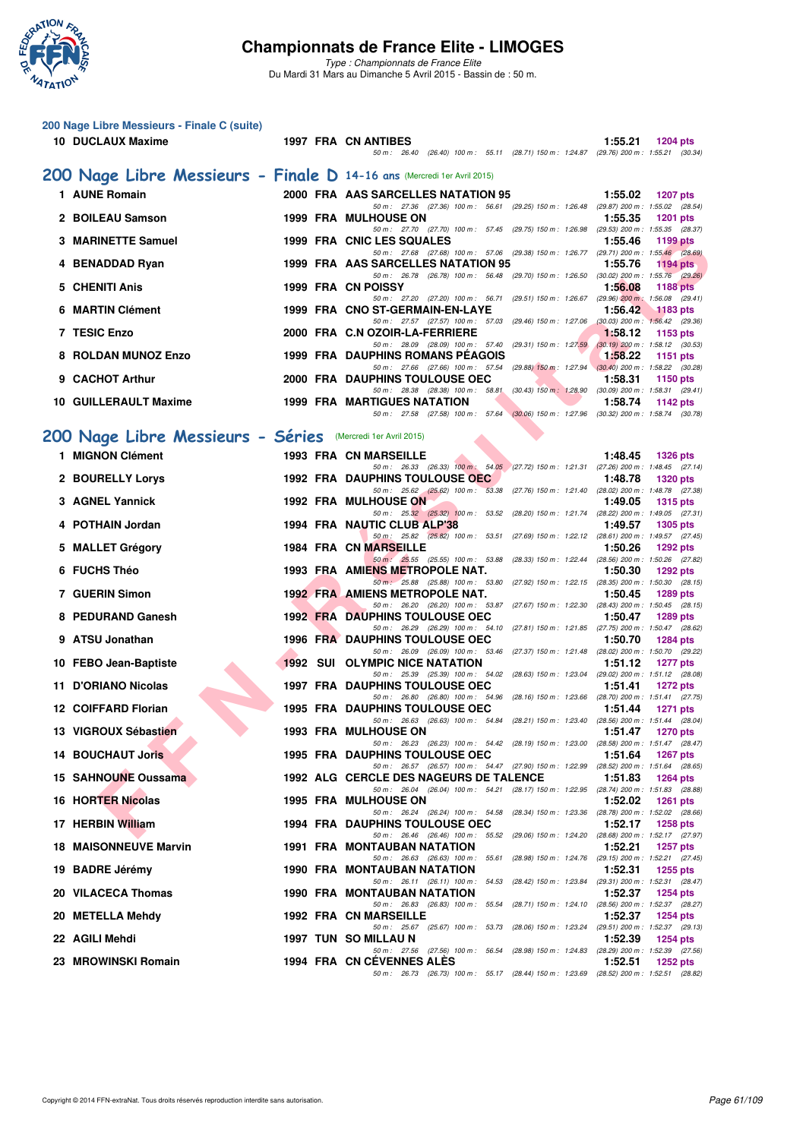

| 200 Nage Libre Messieurs - Finale C (suite)<br>10 DUCLAUX Maxime        |  | 1997 FRA CN ANTIBES<br>50 m: 26.40 (26.40) 100 m: 55.11 (28.71) 150 m: 1:24.87 (29.76) 200 m: 1:55.21 (30.34)                       | 1:55.21<br><b>1204 pts</b>                                    |
|-------------------------------------------------------------------------|--|-------------------------------------------------------------------------------------------------------------------------------------|---------------------------------------------------------------|
| 200 Nage Libre Messieurs - Finale D 14-16 ans (Mercredi 1er Avril 2015) |  |                                                                                                                                     |                                                               |
| 1 AUNE Romain                                                           |  | 2000 FRA AAS SARCELLES NATATION 95                                                                                                  | 1:55.02<br><b>1207 pts</b>                                    |
| 2 BOILEAU Samson                                                        |  | 50 m: 27.36 (27.36) 100 m: 56.61 (29.25) 150 m: 1:26.48 (29.87) 200 m: 1:55.02 (28.54)<br><b>1999 FRA MULHOUSE ON</b>               | 1:55.35<br><b>1201 pts</b>                                    |
| 3 MARINETTE Samuel                                                      |  | 50 m: 27.70 (27.70) 100 m: 57.45 (29.75) 150 m: 1:26.98 (29.53) 200 m: 1:55.35 (28.37)<br>1999 FRA CNIC LES SQUALES                 | 1:55.46<br>1199 pts                                           |
| 4 BENADDAD Ryan                                                         |  | 50 m: 27.68 (27.68) 100 m: 57.06 (29.38) 150 m: 1:26.77 (29.71) 200 m: 1:55.46 (28.69)<br>1999 FRA AAS SARCELLES NATATION 95        | 1:55.76<br>$1194$ pts                                         |
|                                                                         |  | 50 m: 26.78 (26.78) 100 m: 56.48 (29.70) 150 m: 1:26.50 (30.02) 200 m: 1:55.76 (29.26)                                              |                                                               |
| 5 CHENITI Anis                                                          |  | 1999 FRA CN POISSY<br>50 m: 27.20 (27.20) 100 m: 56.71 (29.51) 150 m: 1:26.67 (29.96) 200 m: 1:56.08 (29.41)                        | 1:56.08<br><b>1188 pts</b>                                    |
| 6 MARTIN Clément                                                        |  | 1999 FRA CNO ST-GERMAIN-EN-LAYE<br>50 m : 27.57 (27.57) 100 m : 57.03 (29.46) 150 m : 1:27.06 (30.03) 200 m : 1:56.42 (29.36)       | 1:56.42<br><b>1183 pts</b>                                    |
| 7 TESIC Enzo                                                            |  | 2000 FRA C.N OZOIR-LA-FERRIERE<br>50 m: 28.09 (28.09) 100 m: 57.40 (29.31) 150 m: 1:27.59                                           | 1:58.12<br>1153 pts<br>$(30.19)$ 200 m : 1:58.12 $(30.53)$    |
| 8 ROLDAN MUNOZ Enzo                                                     |  | 1999 FRA DAUPHINS ROMANS PÉAGOIS<br>50 m: 27.66 (27.66) 100 m: 57.54 (29.88) 150 m: 1:27.94 (30.40) 200 m: 1:58.22 (30.28)          | 1:58.22<br>1151 pts                                           |
| 9 CACHOT Arthur                                                         |  | 2000 FRA DAUPHINS TOULOUSE OEC                                                                                                      | 1:58.31<br><b>1150 pts</b>                                    |
| 10 GUILLERAULT Maxime                                                   |  | 50 m: 28.38 (28.38) 100 m: 58.81 (30.43) 150 m: 1.28.90 (30.09) 200 m: 1.58.31 (29.41)<br><b>1999 FRA MARTIGUES NATATION</b>        | 1:58.74<br>1142 $pts$                                         |
|                                                                         |  | 50 m: 27.58 (27.58) 100 m: 57.64 (30.06) 150 m: 1:27.96 (30.32) 200 m: 1:58.74 (30.78)                                              |                                                               |
| 200 Nage Libre Messieurs - Séries (Mercredi 1er Avril 2015)             |  |                                                                                                                                     |                                                               |
| 1 MIGNON Clément                                                        |  | 1993 FRA CN MARSEILLE<br>50 m: 26.33 (26.33) 100 m: 54.05 (27.72) 150 m: 1:21.31 (27.26) 200 m: 1:48.45 (27.14)                     | 1:48.45<br><b>1326 pts</b>                                    |
| 2 BOURELLY Lorys                                                        |  | <b>1992 FRA DAUPHINS TOULOUSE OEC</b><br>50 m: 25.62 (25.62) 100 m: 53.38 (27.76) 150 m: 1:21.40 (28.02) 200 m: 1:48.78 (27.38)     | 1:48.78<br><b>1320 pts</b>                                    |
| 3 AGNEL Yannick                                                         |  | 1992 FRA MULHOUSE ON<br>50 m: 25.32 (25.32) 100 m: 53.52 (28.20) 150 m: 1:21.74 (28.22) 200 m: 1:49.05 (27.31)                      | 1:49.05<br><b>1315 pts</b>                                    |
| 4 POTHAIN Jordan                                                        |  | 1994 FRA NAUTIC CLUB ALP'38                                                                                                         | 1:49.57<br><b>1305 pts</b>                                    |
| 5 MALLET Grégory                                                        |  | 50 m: 25.82 (25.82) 100 m: 53.51 (27.69) 150 m: 1:22.12 (28.61) 200 m: 1:49.57 (27.45)<br><b>1984 FRA CN MARSEILLE</b>              | 1:50.26<br><b>1292 pts</b>                                    |
| 6 FUCHS Théo                                                            |  | 50 m: 25.55 (25.55) 100 m: 53.88 (28.33) 150 m: 1:22.44 (28.56) 200 m: 1:50.26 (27.82)<br>1993 FRA AMIENS METROPOLE NAT.            | 1:50.30<br><b>1292 pts</b>                                    |
| 7 GUERIN Simon                                                          |  | 50 m : 25.88 (25.88) 100 m : 53.80 (27.92) 150 m : 1:22.15 (28.35) 200 m : 1:50.30 (28.15)<br><b>1992 FRA AMIENS METROPOLE NAT.</b> | 1:50.45<br><b>1289 pts</b>                                    |
| 8 PEDURAND Ganesh                                                       |  | 50 m: 26.20 (26.20) 100 m: 53.87 (27.67) 150 m: 1:22.30 (28.43) 200 m: 1:50.45 (28.15)<br><b>1992 FRA DAUPHINS TOULOUSE OEC</b>     | 1:50.47<br><b>1289 pts</b>                                    |
|                                                                         |  | 50 m: 26.29 (26.29) 100 m: 54.10 (27.81) 150 m: 1:21.85 (27.75) 200 m: 1:50.47 (28.62)                                              |                                                               |
| 9 ATSU Jonathan                                                         |  | <b>1996 FRA DAUPHINS TOULOUSE OEC</b><br>50 m: 26.09 (26.09) 100 m: 53.46 (27.37) 150 m: 1:21.48 (28.02) 200 m: 1:50.70 (29.22)     | 1:50.70<br><b>1284 pts</b>                                    |
| 10 FEBO Jean-Baptiste                                                   |  | <b>1992 SUI OLYMPIC NICE NATATION</b><br>50 m : 25.39 (25.39) 100 m : 54.02 (28.63) 150 m : 1:23.04 (29.02) 200 m : 1:51.12 (28.08) | 1:51.12<br><b>1277 pts</b>                                    |
| 11 D'ORIANO Nicolas                                                     |  | <b>1997 FRA DAUPHINS TOULOUSE OEC</b><br>50 m: 26.80 (26.80) 100 m: 54.96 (28.16) 150 m: 1:23.66 (28.70) 200 m: 1:51.41 (27.75)     | 1:51.41<br><b>1272 pts</b>                                    |
| 12 COIFFARD Florian                                                     |  | <b>1995 FRA DAUPHINS TOULOUSE OEC</b><br>50 m: 26.63 (26.63) 100 m: 54.84 (28.21) 150 m: 1:23.40 (28.56) 200 m: 1:51.44 (28.04)     | 1:51.44<br><b>1271 pts</b>                                    |
| 13 VIGROUX Sébastien                                                    |  | <b>1993 FRA MULHOUSE ON</b>                                                                                                         | 1:51.47<br>1270 pts                                           |
| <b>14 BOUCHAUT Joris</b>                                                |  | 50 m : 26.23 (26.23) 100 m : 54.42 (28.19) 150 m : 1:23.00 (28.58) 200 m : 1:51.47 (28.47)<br><b>1995 FRA DAUPHINS TOULOUSE OEC</b> | 1:51.64<br>1267 pts                                           |
| 15 SAHNOUNE Oussama                                                     |  | 50 m: 26.57 (26.57) 100 m: 54.47 (27.90) 150 m: 1:22.99 (28.52) 200 m: 1:51.64 (28.65)<br>1992 ALG CERCLE DES NAGEURS DE TALENCE    | 1:51.83<br><b>1264 pts</b>                                    |
| <b>16 HORTER Nicolas</b>                                                |  | 50 m: 26.04 (26.04) 100 m: 54.21 (28.17) 150 m: 1:22.95 (28.74) 200 m: 1:51.83 (28.88)<br><b>1995 FRA MULHOUSE ON</b>               | 1:52.02<br><b>1261 pts</b>                                    |
| 17 HERBIN William                                                       |  | 50 m : 26.24 (26.24) 100 m : 54.58 (28.34) 150 m : 1:23.36<br><b>1994 FRA DAUPHINS TOULOUSE OEC</b>                                 | (28.78) 200 m : 1:52.02 (28.66)<br>1:52.17<br><b>1258 pts</b> |
| <b>18 MAISONNEUVE Marvin</b>                                            |  | 50 m : 26.46 (26.46) 100 m : 55.52 (29.06) 150 m : 1:24.20<br>1991 FRA MONTAUBAN NATATION                                           | (28.68) 200 m: 1:52.17 (27.97)                                |
|                                                                         |  | 50 m : 26.63 (26.63) 100 m : 55.61 (28.98) 150 m : 1:24.76 (29.15) 200 m : 1:52.21 (27.45)                                          | 1:52.21<br>1257 pts                                           |
| 19 BADRE Jérémy                                                         |  | 1990 FRA MONTAUBAN NATATION<br>50 m: 26.11 (26.11) 100 m: 54.53 (28.42) 150 m: 1:23.84 (29.31) 200 m: 1:52.31 (28.47)               | 1:52.31<br>1255 pts                                           |
| 20 VILACECA Thomas                                                      |  | <b>1990 FRA MONTAUBAN NATATION</b><br>50 m: 26.83 (26.83) 100 m: 55.54 (28.71) 150 m: 1:24.10 (28.56) 200 m: 1:52.37 (28.27)        | 1:52.37<br>1254 pts                                           |
| 20 METELLA Mehdy                                                        |  | 1992 FRA CN MARSEILLE<br>50 m: 25.67 (25.67) 100 m: 53.73 (28.06) 150 m: 1:23.24 (29.51) 200 m: 1:52.37 (29.13)                     | 1:52.37<br><b>1254 pts</b>                                    |
| 22 AGILI Mehdi                                                          |  | 1997 TUN SO MILLAU N                                                                                                                | 1:52.39<br><b>1254 pts</b>                                    |
| 23 MROWINSKI Romain                                                     |  | 50 m: 27.56 (27.56) 100 m: 56.54 (28.98) 150 m: 1:24.83 (28.29) 200 m: 1:52.39 (27.56)<br>1994 FRA CN CEVENNES ALES                 | 1:52.51<br>1252 $pts$                                         |
|                                                                         |  | 50 m: 26.73 (26.73) 100 m: 55.17 (28.44) 150 m: 1:23.69 (28.52) 200 m: 1:52.51 (28.82)                                              |                                                               |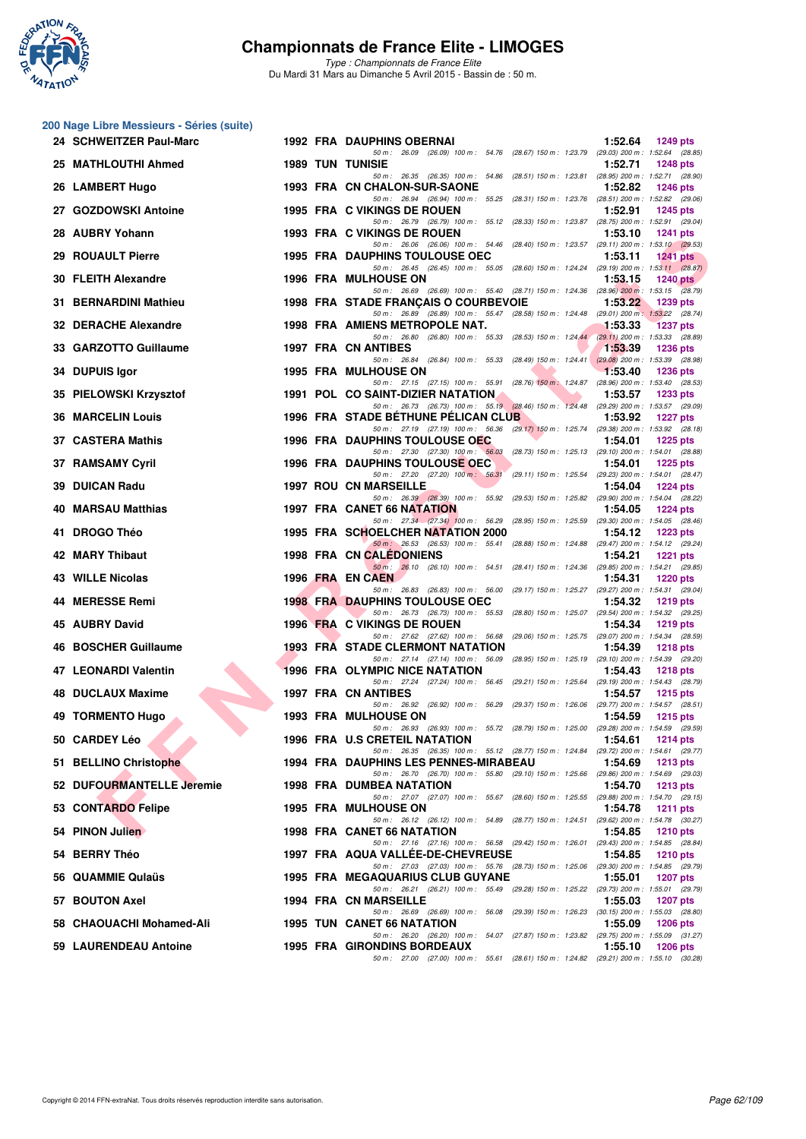

**200 Nage Libre Messieurs - Séries (suite)**

# **Championnats de France Elite - LIMOGES**

|     | 24 SCHWEITZER Paul-Marc   |  | <b>1992 FRA DAUPHINS OBERNAI</b>                                                                                                       | 1:52.64 | <b>1249 pts</b>                                        |
|-----|---------------------------|--|----------------------------------------------------------------------------------------------------------------------------------------|---------|--------------------------------------------------------|
|     | 25 MATHLOUTHI Ahmed       |  | 50 m: 26.09 (26.09) 100 m: 54.76 (28.67) 150 m: 1:23.79 (29.03) 200 m: 1:52.64 (28.85)<br><b>1989 TUN TUNISIE</b>                      | 1:52.71 | <b>1248 pts</b>                                        |
|     | 26 LAMBERT Hugo           |  | 50 m: 26.35 (26.35) 100 m: 54.86 (28.51) 150 m: 1:23.81 (28.95) 200 m: 1:52.71 (28.90)<br>1993 FRA CN CHALON-SUR-SAONE                 | 1:52.82 | <b>1246 pts</b>                                        |
|     | 27 GOZDOWSKI Antoine      |  | 50 m: 26.94 (26.94) 100 m: 55.25 (28.31) 150 m: 1:23.76 (28.51) 200 m: 1:52.82 (29.06)<br>1995 FRA C VIKINGS DE ROUEN                  | 1:52.91 | 1245 pts                                               |
|     | 28 AUBRY Yohann           |  | 50 m: 26.79 (26.79) 100 m: 55.12 (28.33) 150 m: 1:23.87 (28.75) 200 m: 1:52.91 (29.04)<br>1993 FRA C VIKINGS DE ROUEN                  | 1:53.10 | <b>1241 pts</b>                                        |
|     | 29 ROUAULT Pierre         |  | 50 m: 26.06 (26.06) 100 m: 54.46 (28.40) 150 m: 1:23.57 (29.11) 200 m: 1:53.10 (29.53)<br>1995 FRA DAUPHINS TOULOUSE OEC               | 1:53.11 | <b>1241 pts</b>                                        |
|     | 30 FLEITH Alexandre       |  | 50 m: 26.45 (26.45) 100 m: 55.05 (28.60) 150 m: 1:24.24 (29.19) 200 m: 1:53.11 (28.87)<br>1996 FRA MULHOUSE ON                         | 1:53.15 | <b>1240 pts</b>                                        |
| 31. | <b>BERNARDINI Mathieu</b> |  | 50 m: 26.69 (26.69) 100 m: 55.40 (28.71) 150 m: 1:24.36 (28.96) 200 m: 1:53.15 (28.79)<br>1998 FRA STADE FRANCAIS O COURBEVOIE         | 1:53.22 | 1239 pts                                               |
|     | 32 DERACHE Alexandre      |  | 50 m: 26.89 (26.89) 100 m: 55.47 (28.58) 150 m: 1:24.48 (29.01) 200 m: 1:53.22 (28.74)<br>1998 FRA AMIENS METROPOLE NAT.               | 1:53.33 | <b>1237 pts</b>                                        |
|     | 33 GARZOTTO Guillaume     |  | 50 m: 26.80 (26.80) 100 m: 55.33 (28.53) 150 m: 1:24.44 (29.11) 200 m: 1:53.33 (28.89)<br><b>1997 FRA CN ANTIBES</b>                   | 1:53.39 | <b>1236 pts</b>                                        |
|     | 34 DUPUIS Igor            |  | 50 m: 26.84 (26.84) 100 m: 55.33 (28.49) 150 m: 1:24.41<br><b>1995 FRA MULHOUSE ON</b>                                                 | 1:53.40 | $(29.08) 200$ m: 1:53.39 $(28.98)$<br>1236 pts         |
|     | 35 PIELOWSKI Krzysztof    |  | 50 m: 27.15 (27.15) 100 m: 55.91 (28.76) 150 m: 1:24.87 (28.96) 200 m: 1:53.40 (28.53)<br>1991 POL CO SAINT-DIZIER NATATION            | 1:53.57 | 1233 pts                                               |
|     | <b>36 MARCELIN Louis</b>  |  | 50 m: 26.73 (26.73) 100 m: 55.19 (28.46) 150 m: 1:24.48 (29.29) 200 m: 1:53.57 (29.09)<br>1996 FRA STADE BETHUNE PELICAN CLUB          | 1:53.92 | <b>1227 pts</b>                                        |
|     | 37 CASTERA Mathis         |  | 50 m: 27.19 (27.19) 100 m: 56.36 (29.17) 150 m: 1:25.74 (29.38) 200 m: 1:53.92 (28.18)<br><b>1996 FRA DAUPHINS TOULOUSE OEC</b>        | 1:54.01 | 1225 pts                                               |
|     | 37 RAMSAMY Cyril          |  | 50 m: 27.30 (27.30) 100 m: 56.03 (28.73) 150 m: 1.25.13 (29.10) 200 m: 1.54.01 (28.88)<br>1996 FRA DAUPHINS TOULOUSE OEC               | 1:54.01 | <b>1225 pts</b>                                        |
|     | 39 DUICAN Radu            |  | 50 m : 27.20 (27.20) 100 m : 56.31 (29.11) 150 m : 1:25.54<br><b>1997 ROU CN MARSEILLE</b>                                             | 1:54.04 | (29.23) 200 m: 1:54.01 (28.47)<br><b>1224 pts</b>      |
| 40  | <b>MARSAU Matthias</b>    |  | 50 m: 26.39 (26.39) 100 m: 55.92 (29.53) 150 m: 1:25.82 (29.90) 200 m: 1:54.04 (28.22)<br>1997 FRA CANET 66 NATATION                   | 1:54.05 | $1224$ pts                                             |
|     | 41 DROGO Théo             |  | 50 m : 27.34 (27.34) 100 m : 56.29<br>(28.95) 150 m: 1:25.59 (29.30) 200 m: 1:54.05 (28.46)<br>1995 FRA SCHOELCHER NATATION 2000       | 1:54.12 | <b>1223 pts</b>                                        |
|     | 42 MARY Thibaut           |  | 50 m: 26.53 (26.53) 100 m: 55.41 (28.88) 150 m: 1:24.88 (29.47) 200 m: 1:54.12 (29.24)<br><b>1998 FRA CN CALEDONIENS</b>               | 1:54.21 | <b>1221 pts</b>                                        |
|     | <b>43 WILLE Nicolas</b>   |  | 50 m: 26.10 (26.10) 100 m: 54.51 (28.41) 150 m: 1:24.36 (29.85) 200 m: 1:54.21 (29.85)<br>1996 FRA EN CAEN                             | 1:54.31 | <b>1220 pts</b>                                        |
|     | 44 MERESSE Remi           |  | 50 m: 26.83 (26.83) 100 m: 56.00 (29.17) 150 m: 1:25.27 (29.27) 200 m: 1:54.31 (29.04)<br><b>1998 FRA DAUPHINS TOULOUSE OEC</b>        | 1:54.32 | <b>1219 pts</b>                                        |
|     | <b>45 AUBRY David</b>     |  | 50 m: 26.73 (26.73) 100 m: 55.53 (28.80) 150 m: 1:25.07 (29.54) 200 m: 1:54.32 (29.25)<br>1996 FRA C VIKINGS DE ROUEN                  | 1:54.34 | <b>1219 pts</b>                                        |
|     | 46 BOSCHER Guillaume      |  | 50 m : 27.62 (27.62) 100 m : 56.68<br>(29.06) 150 m: 1:25.75 (29.07) 200 m: 1:54.34 (28.59)<br><b>1993 FRA STADE CLERMONT NATATION</b> | 1:54.39 | <b>1218 pts</b>                                        |
| 47  | <b>LEONARDI Valentin</b>  |  | 50 m: 27.14 (27.14) 100 m: 56.09<br>(28.95) 150 m: 1:25.19 (29.10) 200 m: 1:54.39 (29.20)<br><b>1996 FRA OLYMPIC NICE NATATION</b>     | 1:54.43 | <b>1218 pts</b>                                        |
|     | 48 DUCLAUX Maxime         |  | 50 m: 27.24 (27.24) 100 m: 56.45 (29.21) 150 m: 1:25.64 (29.19) 200 m: 1:54.43 (28.79)<br>1997 FRA CN ANTIBES                          | 1:54.57 | <b>1215 pts</b>                                        |
|     | 49 TORMENTO Hugo          |  | 50 m: 26.92 (26.92) 100 m: 56.29 (29.37) 150 m: 1:26.06 (29.77) 200 m: 1:54.57 (28.51)<br>1993 FRA MULHOUSE ON                         | 1:54.59 | <b>1215 pts</b>                                        |
|     | 50 CARDEY Léo             |  | 50 m: 26.93 (26.93) 100 m: 55.72 (28.79) 150 m: 1:25.00 (29.28) 200 m: 1:54.59 (29.59)<br>1996 FRA U.S CRETEIL NATATION                | 1:54.61 | 1214 pts                                               |
|     | 51 BELLINO Christophe     |  | 50 m: 26.35 (26.35) 100 m: 55.12 (28.77) 150 m: 1:24.84 (29.72) 200 m: 1:54.61 (29.77)<br>1994 FRA DAUPHINS LES PENNES-MIRABEAU        | 1:54.69 | 1213 pts                                               |
|     | 52 DUFOURMANTELLE Jeremie |  | 50 m: 26.70 (26.70) 100 m: 55.80 (29.10) 150 m: 1:25.66 (29.86) 200 m: 1:54.69 (29.03)<br><b>1998 FRA DUMBEA NATATION</b>              | 1:54.70 | <b>1213 pts</b>                                        |
|     | 53 CONTARDO Felipe        |  | 50 m: 27.07 (27.07) 100 m: 55.67 (28.60) 150 m: 1:25.55 (29.88) 200 m: 1:54.70 (29.15)<br><b>1995 FRA MULHOUSE ON</b>                  | 1:54.78 | <b>1211 pts</b>                                        |
|     | 54 PINON Julien           |  | 50 m: 26.12 (26.12) 100 m: 54.89 (28.77) 150 m: 1:24.51 (29.62) 200 m: 1:54.78 (30.27)<br><b>1998 FRA CANET 66 NATATION</b>            | 1:54.85 | <b>1210 pts</b>                                        |
|     | 54 BERRY Théo             |  | 50 m: 27.16 (27.16) 100 m: 56.58 (29.42) 150 m: 1:26.01 (29.43) 200 m: 1:54.85 (28.84)<br>1997 FRA AQUA VALLEE-DE-CHEVREUSE            | 1:54.85 | <b>1210 pts</b>                                        |
|     | 56 QUAMMIE Qulaüs         |  | 50 m: 27.03 (27.03) 100 m: 55.76 (28.73) 150 m: 1:25.06 (29.30) 200 m: 1:54.85 (29.79)<br><b>1995 FRA MEGAQUARIUS CLUB GUYANE</b>      | 1:55.01 | <b>1207 pts</b>                                        |
|     | 57 BOUTON Axel            |  | 50 m: 26.21 (26.21) 100 m: 55.49 (29.28) 150 m: 1:25.22 (29.73) 200 m: 1:55.01 (29.79)<br>1994 FRA CN MARSEILLE                        | 1:55.03 | <b>1207 pts</b>                                        |
|     | 58 CHAOUACHI Mohamed-Ali  |  | 50 m : 26.69 (26.69) 100 m : 56.08 (29.39) 150 m : 1:26.23<br>1995 TUN CANET 66 NATATION                                               | 1:55.09 | $(30.15)$ 200 m : 1:55.03 $(28.80)$<br><b>1206 pts</b> |
|     | 59 LAURENDEAU Antoine     |  | 50 m: 26.20 (26.20) 100 m: 54.07 (27.87) 150 m: 1:23.82 (29.75) 200 m: 1:55.09 (31.27)<br>1995 FRA GIRONDINS BORDEAUX                  | 1:55.10 | <b>1206 pts</b>                                        |
|     |                           |  | 50 m: 27.00 (27.00) 100 m: 55.61 (28.61) 150 m: 1:24.82 (29.21) 200 m: 1:55.10 (30.28)                                                 |         |                                                        |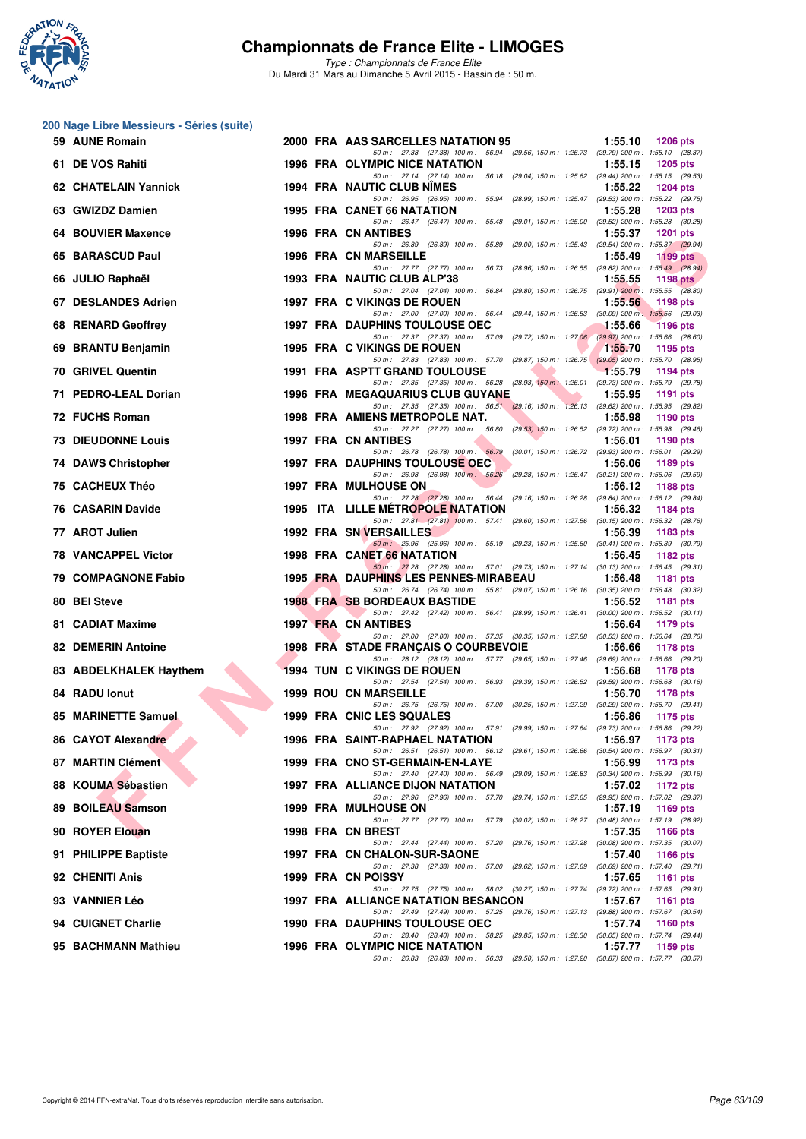

*Type : Championnats de France Elite* Du Mardi 31 Mars au Dimanche 5 Avril 2015 - Bassin de : 50 m.

#### **200 Nage Libre Messieurs - Séries (suite)**

| 59 AUNE Romain             |      | 2000 FRA AAS SARCELLES NATATION 95                                                                                                   | 1:55.10 | <b>1206 pts</b>                                        |
|----------------------------|------|--------------------------------------------------------------------------------------------------------------------------------------|---------|--------------------------------------------------------|
| 61 DE VOS Rahiti           |      | 50 m: 27.38 (27.38) 100 m: 56.94 (29.56) 150 m: 1:26.73 (29.79) 200 m: 1:55.10 (28.37)<br>1996 FRA OLYMPIC NICE NATATION             | 1:55.15 | 1205 pts                                               |
| 62 CHATELAIN Yannick       |      | 50 m: 27.14 (27.14) 100 m: 56.18 (29.04) 150 m: 1:25.62 (29.44) 200 m: 1:55.15 (29.53)<br>1994 FRA NAUTIC CLUB NIMES                 | 1:55.22 | <b>1204 pts</b>                                        |
| 63 GWIZDZ Damien           |      | 50 m: 26.95 (26.95) 100 m: 55.94 (28.99) 150 m: 1:25.47 (29.53) 200 m: 1:55.22 (29.75)<br>1995 FRA CANET 66 NATATION                 | 1:55.28 | 1203 pts                                               |
| 64 BOUVIER Maxence         |      | 50 m : 26.47 (26.47) 100 m : 55.48 (29.01) 150 m : 1:25.00 (29.52) 200 m : 1:55.28 (30.28)<br>1996 FRA CN ANTIBES                    | 1:55.37 | <b>1201 pts</b>                                        |
| 65 BARASCUD Paul           |      | 50 m: 26.89 (26.89) 100 m: 55.89 (29.00) 150 m: 1:25.43 (29.54) 200 m: 1:55.37 (29.94)<br>1996 FRA CN MARSEILLE                      | 1:55.49 | 1199 pts                                               |
| 66 JULIO Raphaël           |      | 50 m: 27.77 (27.77) 100 m: 56.73 (28.96) 150 m: 1:26.55 (29.82) 200 m: 1:55.49 (28.94)<br>1993 FRA NAUTIC CLUB ALP'38                | 1:55.55 | 1198 $pts$                                             |
| 67 DESLANDES Adrien        |      | 50 m: 27.04 (27.04) 100 m: 56.84 (29.80) 150 m: 1:26.75 (29.91) 200 m: 1:55.55 (28.80)<br>1997 FRA C VIKINGS DE ROUEN                | 1:55.56 | 1198 pts                                               |
|                            |      | 50 m: 27.00 (27.00) 100 m: 56.44 (29.44) 150 m: 1:26.53 (30.09) 200 m: 1:55.56 (29.03)                                               |         |                                                        |
| 68 RENARD Geoffrey         |      | <b>1997 FRA DAUPHINS TOULOUSE OEC</b><br>50 m: 27.37 (27.37) 100 m: 57.09<br>(29.72) 150 m : 1:27.06 (29.97) 200 m : 1:55.66 (28.60) | 1:55.66 | <b>1196 pts</b>                                        |
| 69 BRANTU Benjamin         |      | 1995 FRA C VIKINGS DE ROUEN<br>50 m: 27.83 (27.83) 100 m: 57.70 (29.87) 150 m: 1:26.75 (29.05) 200 m: 1:55.70 (28.95)                | 1:55.70 | 1195 pts                                               |
| 70 GRIVEL Quentin          |      | 1991 FRA ASPTT GRAND TOULOUSE<br>50 m : 27.35 (27.35) 100 m : 56.28 (28.93) 150 m : 1:26.01 (29.73) 200 m : 1:55.79 (29.78)          | 1:55.79 | 1194 pts                                               |
| 71 PEDRO-LEAL Dorian       |      | 1996 FRA MEGAQUARIUS CLUB GUYANE<br>50 m : 27.35 (27.35) 100 m : 56.51 (29.16) 150 m : 1:26.13 (29.62) 200 m : 1:55.95 (29.82)       | 1:55.95 | 1191 pts                                               |
| 72 FUCHS Roman             |      | 1998 FRA AMIENS METROPOLE NAT.<br>50 m: 27.27 (27.27) 100 m: 56.80<br>(29.53) 150 m: 1:26.52 (29.72) 200 m: 1:55.98 (29.46)          | 1:55.98 | 1190 pts                                               |
| <b>73 DIEUDONNE Louis</b>  |      | 1997 FRA CN ANTIBES<br>(30.01) 150 m : 1:26.72 (29.93) 200 m : 1:56.01 (29.29)<br>50 m : 26.78 (26.78) 100 m : 56.79                 | 1:56.01 | 1190 pts                                               |
| 74 DAWS Christopher        |      | <b>1997 FRA DAUPHINS TOULOUSE OEC</b><br>50 m: 26.98 (26.98) 100 m: 56.26<br>(29.28) 150 m: 1:26.47 (30.21) 200 m: 1:56.06 (29.59)   | 1:56.06 | 1189 pts                                               |
| 75 CACHEUX Théo            |      | <b>1997 FRA MULHOUSE ON</b><br>50 m : 27.28 (27.28) 100 m : 56.44 (29.16) 150 m : 1:26.28 (29.84) 200 m : 1:56.12 (29.84)            | 1:56.12 | 1188 pts                                               |
| 76 CASARIN Davide          | 1995 | ITA LILLE METROPOLE NATATION                                                                                                         | 1:56.32 | 1184 pts                                               |
| 77 AROT Julien             |      | 50 m: 27.81 (27.81) 100 m: 57.41 (29.60) 150 m: 1:27.56 (30.15) 200 m: 1:56.32 (28.76)<br><b>1992 FRA SN VERSAILLES</b>              | 1:56.39 | 1183 pts                                               |
| <b>78 VANCAPPEL Victor</b> |      | 50 m : 25.96 (25.96) 100 m : 55.19 (29.23) 150 m : 1:25.60 (30.41) 200 m : 1:56.39 (30.79)<br>1998 FRA CANET 66 NATATION             | 1:56.45 | 1182 pts                                               |
| 79 COMPAGNONE Fabio        |      | 50 m: 27.28 (27.28) 100 m: 57.01 (29.73) 150 m: 1:27.14 (30.13) 200 m: 1:56.45 (29.31)<br>1995 FRA DAUPHINS LES PENNES-MIRABEAU      | 1:56.48 | <b>1181 pts</b>                                        |
| 80 BEI Steve               |      | 50 m: 26.74 (26.74) 100 m: 55.81 (29.07) 150 m: 1:26.16 (30.35) 200 m: 1:56.48 (30.32)<br><b>1988 FRA SB BORDEAUX BASTIDE</b>        | 1:56.52 | 1181 pts                                               |
| 81 CADIAT Maxime           |      | 50 m: 27.42 (27.42) 100 m: 56.41 (28.99) 150 m: 1:26.41 (30.00) 200 m: 1:56.52 (30.11)<br>1997 FRA CN ANTIBES                        | 1:56.64 | 1179 pts                                               |
| 82 DEMERIN Antoine         |      | 50 m: 27.00 (27.00) 100 m: 57.35 (30.35) 150 m: 1:27.88 (30.53) 200 m: 1:56.64 (28.76)<br>1998 FRA STADE FRANÇAIS O COURBEVOIE       | 1:56.66 | 1178 pts                                               |
| 83 ABDELKHALEK Haythem     |      | 50 m : 28.12 (28.12) 100 m : 57.77 (29.65) 150 m : 1:27.46 (29.69) 200 m : 1:56.66 (29.20)<br><b>1994 TUN C VIKINGS DE ROUEN</b>     | 1:56.68 | 1178 pts                                               |
| 84 RADU lonut              |      | 50 m : 27.54 (27.54) 100 m : 56.93 (29.39) 150 m : 1:26.52 (29.59) 200 m : 1:56.68 (30.16)<br><b>1999 ROU CN MARSEILLE</b>           | 1:56.70 | 1178 pts                                               |
| 85 MARINETTE Samuel        |      | 50 m: 26.75 (26.75) 100 m: 57.00 (30.25) 150 m: 1:27.29 (30.29) 200 m: 1:56.70 (29.41)<br>1999 FRA CNIC LES SQUALES                  | 1:56.86 | 1175 pts                                               |
| 86 CAYOT Alexandre         |      | 50 m : 27.92 (27.92) 100 m : 57.91 (29.99) 150 m : 1:27.64 (29.73) 200 m : 1:56.86 (29.22)<br>1996 FRA SAINT-RAPHAEL NATATION        | 1:56.97 | 1173 pts                                               |
| 87 MARTIN Clément          |      | 50 m: 26.51 (26.51) 100 m: 56.12 (29.61) 150 m: 1:26.66<br>1999 FRA CNO ST-GERMAIN-EN-LAYE                                           | 1:56.99 | (30.54) 200 m : 1:56.97 (30.31)                        |
|                            |      | 50 m: 27.40 (27.40) 100 m: 56.49<br>(29.09) 150 m : 1:26.83 (30.34) 200 m : 1:56.99 (30.16)                                          |         | 1173 pts                                               |
| 88 KOUMA Sébastien         |      | 1997 FRA ALLIANCE DIJON NATATION<br>(29.74) 150 m: 1:27.65 (29.95) 200 m: 1:57.02 (29.37)<br>50 m : 27.96 (27.96) 100 m : 57.70      | 1:57.02 | 1172 pts                                               |
| 89 BOILEAU Samson          |      | 1999 FRA MULHOUSE ON<br>50 m: 27.77 (27.77) 100 m: 57.79<br>(30.02) 150 m: 1:28.27 (30.48) 200 m: 1:57.19 (28.92)                    | 1:57.19 | 1169 pts                                               |
| 90 ROYER Elouan            |      | 1998 FRA CN BREST<br>50 m : 27.44 (27.44) 100 m : 57.20<br>(29.76) 150 m : 1:27.28                                                   | 1:57.35 | <b>1166 pts</b><br>$(30.08)$ 200 m : 1:57.35 $(30.07)$ |
| 91 PHILIPPE Baptiste       |      | 1997 FRA CN CHALON-SUR-SAONE<br>50 m : 27.38 (27.38) 100 m : 57.00<br>$(29.62)$ 150 m : 1:27.69                                      | 1:57.40 | <b>1166 pts</b><br>$(30.69)$ 200 m : 1:57.40 $(29.71)$ |
| 92 CHENITI Anis            |      | 1999 FRA CN POISSY<br>50 m: 27.75 (27.75) 100 m: 58.02<br>(30.27) 150 m : 1:27.74                                                    | 1:57.65 | 1161 pts<br>(29.72) 200 m : 1:57.65 (29.91)            |
| 93 VANNIER Léo             |      | 1997 FRA ALLIANCE NATATION BESANCON<br>50 m : 27.49 (27.49) 100 m : 57.25 (29.76) 150 m : 1:27.13 (29.88) 200 m : 1:57.67 (30.54)    | 1:57.67 | 1161 pts                                               |
| 94 CUIGNET Charlie         |      | <b>1990 FRA DAUPHINS TOULOUSE OEC</b><br>50 m : 28.40 (28.40) 100 m : 58.25 (29.85) 150 m : 1:28.30                                  | 1:57.74 | <b>1160 pts</b><br>$(30.05)$ 200 m : 1:57.74 $(29.44)$ |
| 95 BACHMANN Mathieu        |      | 1996 FRA OLYMPIC NICE NATATION                                                                                                       | 1:57.77 | 1159 pts                                               |
|                            |      | 50 m : 26.83 (26.83) 100 m : 56.33 (29.50) 150 m : 1:27.20 (30.87) 200 m : 1:57.77 (30.57)                                           |         |                                                        |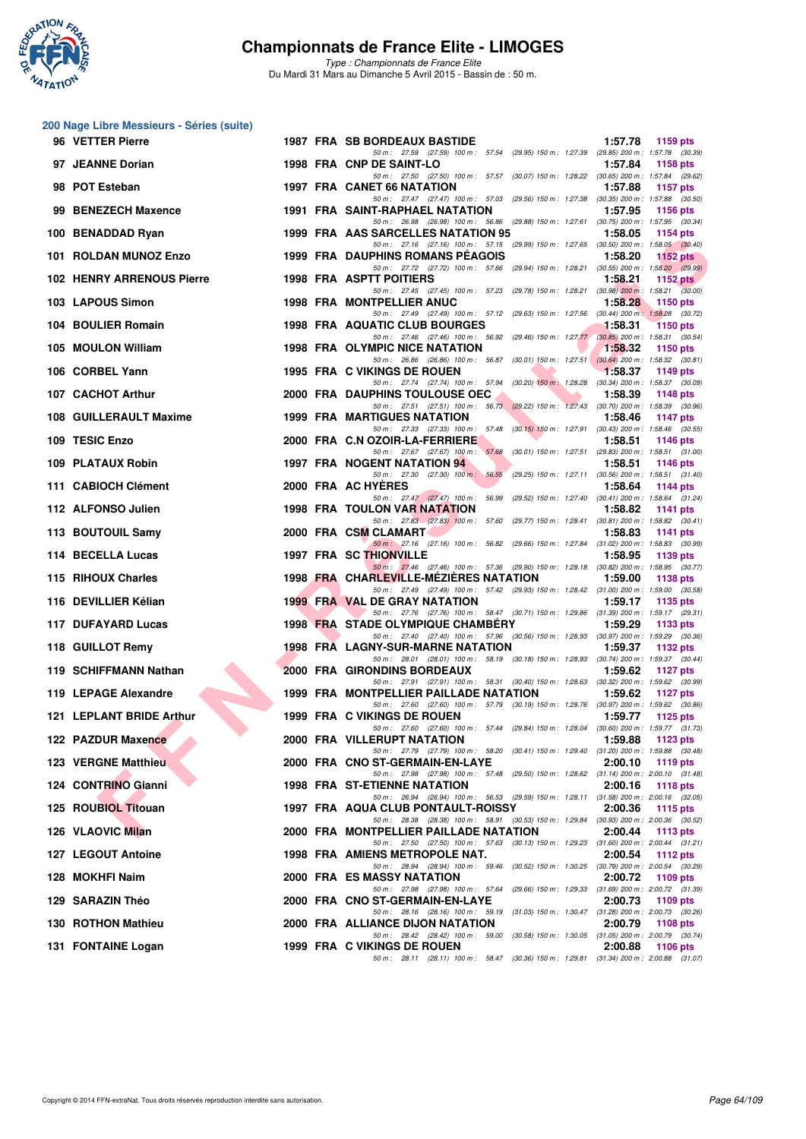

**200 Nage Libre Messieurs - Séries (suite)**

## **Championnats de France Elite - LIMOGES**

| 96 VETTER Pierre                                        |  | <b>1987 FRA SB BORDEAUX BASTIDE</b>                                                                                                | 1:57.78<br>1159 pts        |
|---------------------------------------------------------|--|------------------------------------------------------------------------------------------------------------------------------------|----------------------------|
| 97 JEANNE Dorian                                        |  | 50 m: 27.59 (27.59) 100 m: 57.54 (29.95) 150 m: 1:27.39 (29.85) 200 m: 1:57.78 (30.39)<br>1998 FRA CNP DE SAINT-LO                 | 1:57.84<br>1158 pts        |
| 98 POT Esteban                                          |  | 50 m: 27.50 (27.50) 100 m: 57.57 (30.07) 150 m: 1:28.22 (30.65) 200 m: 1:57.84 (29.62)<br>1997 FRA CANET 66 NATATION               | 1:57.88<br><b>1157 pts</b> |
| 99 BENEZECH Maxence                                     |  | 50 m: 27.47 (27.47) 100 m: 57.03 (29.56) 150 m: 1:27.38 (30.35) 200 m: 1:57.88 (30.50)<br><b>1991 FRA SAINT-RAPHAEL NATATION</b>   | 1:57.95<br><b>1156 pts</b> |
| 100 BENADDAD Ryan                                       |  | 50 m: 26.98 (26.98) 100 m: 56.86 (29.88) 150 m: 1:27.61 (30.75) 200 m: 1:57.95 (30.34)<br>1999 FRA AAS SARCELLES NATATION 95       | 1:58.05<br>1154 $pts$      |
| 101 ROLDAN MUNOZ Enzo                                   |  | 50 m: 27.16 (27.16) 100 m: 57.15 (29.99) 150 m: 1:27.65 (30.50) 200 m: 1:58.05 (30.40)<br>1999 FRA DAUPHINS ROMANS PEAGOIS         | 1:58.20<br>1152 $pts$      |
| <b>102 HENRY ARRENOUS Pierre</b>                        |  | 50 m: 27.72 (27.72) 100 m: 57.66 (29.94) 150 m: 1:28.21 (30.55) 200 m: 1:58.20 (29.99)<br><b>1998 FRA ASPTT POITIERS</b>           | 1:58.21<br>1152 $pts$      |
| 103 LAPOUS Simon                                        |  | 50 m: 27.45 (27.45) 100 m: 57.23 (29.78) 150 m: 1:28.21 (30.98) 200 m: 1:58.21 (30.00)<br><b>1998 FRA MONTPELLIER ANUC</b>         | 1:58.28<br>1150 pts        |
| 104 BOULIER Romain                                      |  | 50 m: 27.49 (27.49) 100 m: 57.12 (29.63) 150 m: 1:27.56 (30.44) 200 m: 1:58.28 (30.72)<br>1998 FRA AQUATIC CLUB BOURGES            | 1:58.31<br>1150 pts        |
| 105 MOULON William                                      |  | 50 m: 27.46 (27.46) 100 m: 56.92 (29.46) 150 m: 1:27.77 (30.85) 200 m: 1:58.31 (30.54)<br><b>1998 FRA OLYMPIC NICE NATATION</b>    | 1:58.32<br>1150 $pts$      |
| 106 CORBEL Yann                                         |  | 50 m: 26.86 (26.86) 100 m: 56.87 (30.01) 150 m: 1:27.51 (30.64) 200 m: 1:58.32 (30.81)<br>1995 FRA C VIKINGS DE ROUEN              | $-1:58.37$<br>1149 pts     |
| 107 CACHOT Arthur                                       |  | 50 m: 27.74 (27.74) 100 m: 57.94 (30.20) 150 m: 1:28.28 (30.34) 200 m: 1:58.37 (30.09)<br>2000 FRA DAUPHINS TOULOUSE OEC           | 1:58.39<br><b>1148 pts</b> |
| 108 GUILLERAULT Maxime                                  |  | 50 m: 27.51 (27.51) 100 m: 56.73 (29.22) 150 m: 1:27.43 (30.70) 200 m: 1:58.39 (30.96)<br><b>1999 FRA MARTIGUES NATATION</b>       | 1:58.46<br><b>1147 pts</b> |
| 109 TESIC Enzo                                          |  | 50 m: 27.33 (27.33) 100 m: 57.48 (30.15) 150 m: 1:27.91 (30.43) 200 m: 1:58.46 (30.55)<br>2000 FRA C.N OZOIR-LA-FERRIERE           | 1:58.51<br>1146 pts        |
| 109 PLATAUX Robin                                       |  | 50 m: 27.67 (27.67) 100 m: 57.68 (30.01) 150 m: 1.27.51 (29.83) 200 m: 1.58.51 (31.00)<br><b>1997 FRA NOGENT NATATION 94</b>       | 1:58.51<br><b>1146 pts</b> |
| 111 CABIOCH Clément                                     |  | 50 m: 27.30 (27.30) 100 m: 56.55 (29.25) 150 m: 1:27.11 (30.56) 200 m: 1:58.51 (31.40)<br>2000 FRA AC HYERES                       | 1:58.64<br><b>1144 pts</b> |
| 112 ALFONSO Julien                                      |  | 50 m: 27.47 (27.47) 100 m: 56.99 (29.52) 150 m: 1:27.40 (30.41) 200 m: 1:58.64 (31.24)<br><b>1998 FRA TOULON VAR NATATION</b>      | 1:58.82<br>1141 $pts$      |
| 113 BOUTOUIL Samy                                       |  | 50 m: 27.83 (27.83) 100 m: 57.60 (29.77) 150 m: 1:28.41 (30.81) 200 m: 1:58.82 (30.41)<br>2000 FRA CSM CLAMART                     | 1:58.83<br>1141 pts        |
| 114 BECELLA Lucas                                       |  | 50 m: 27.16 (27.16) 100 m: 56.82 (29.66) 150 m: 1:27.84 (31.02) 200 m: 1:58.83 (30.99)<br>1997 FRA SC THIONVILLE                   | 1:58.95<br>1139 $pts$      |
| 115 RIHOUX Charles                                      |  | 50 m: 27.46 (27.46) 100 m: 57.36 (29.90) 150 m: 1:28.18 (30.82) 200 m: 1:58.95 (30.77)<br>1998 FRA CHARLEVILLE-MEZIERES NATATION   | 1:59.00<br><b>1138 pts</b> |
| 116 DEVILLIER Kélian                                    |  | 50 m: 27.49 (27.49) 100 m: 57.42 (29.93) 150 m: 1:28.42 (31.00) 200 m: 1:59.00 (30.58)<br><b>1999 FRA VAL DE GRAY NATATION</b>     | 1:59.17<br>1135 pts        |
| 117 DUFAYARD Lucas                                      |  | 50 m: 27.76 (27.76) 100 m: 58.47 (30.71) 150 m: 1:29.86 (31.39) 200 m: 1:59.17 (29.31)<br><b>1998 FRA STADE OLYMPIQUE CHAMBERY</b> | 1:59.29<br>1133 $pts$      |
| 118 GUILLOT Remy                                        |  | 50 m: 27.40 (27.40) 100 m: 57.96 (30.56) 150 m: 1:28.93 (30.97) 200 m: 1:59.29 (30.36)<br><b>1998 FRA LAGNY-SUR-MARNE NATATION</b> | 1:59.37<br>1132 pts        |
| 119 SCHIFFMANN Nathan                                   |  | 50 m: 28.01 (28.01) 100 m: 58.19 (30.18) 150 m: 1:28.93 (30.74) 200 m: 1:59.37 (30.44)<br>2000 FRA GIRONDINS BORDEAUX              | 1:59.62<br>1127 $pts$      |
| 119 LEPAGE Alexandre                                    |  | 50 m: 27.91 (27.91) 100 m: 58.31 (30.40) 150 m: 1.28.63 (30.32) 200 m: 1.59.62 (30.99)<br>1999 FRA MONTPELLIER PAILLADE NATATION   | 1:59.62<br>1127 pts        |
| 121 LEPLANT BRIDE Arthur                                |  | 50 m : 27.60 (27.60) 100 m : 57.79 (30.19) 150 m : 1:28.76 (30.97) 200 m : 1:59.62 (30.86)<br>1999 FRA C VIKINGS DE ROUEN          | 1:59.77<br>1125 $p$ ts     |
| 122 PAZDUR Maxence<br><b>Contract Contract Contract</b> |  | 50 m: 27.60 (27.60) 100 m: 57.44 (29.84) 150 m: 1:28.04 (30.60) 200 m: 1:59.77 (31.73)<br>2000 FRA VILLERUPT NATATION              | 1:59.88<br>1123 pts        |
| 123 VERGNE Matthieu                                     |  | 50 m: 27.79 (27.79) 100 m: 58.20 (30.41) 150 m: 1:29.40 (31.20) 200 m: 1:59.88 (30.48)<br>2000 FRA CNO ST-GERMAIN-EN-LAYE          | 2:00.10<br>1119 pts        |
| 124 CONTRINO Gianni                                     |  | 50 m: 27.98 (27.98) 100 m: 57.48 (29.50) 150 m: 1:28.62 (31.14) 200 m: 2:00.10 (31.48)<br><b>1998 FRA ST-ETIENNE NATATION</b>      | 2:00.16<br><b>1118 pts</b> |
| 125 ROUBIOL Titouan                                     |  | 50 m: 26.94 (26.94) 100 m: 56.53 (29.59) 150 m: 1:28.11 (31.58) 200 m: 2:00.16 (32.05)<br>1997 FRA AQUA CLUB PONTAULT-ROISSY       | 2:00.36<br>1115 pts        |
| 126 VLAOVIC Milan                                       |  | 50 m: 28.38 (28.38) 100 m: 58.91 (30.53) 150 m: 1:29.84 (30.93) 200 m: 2:00.36 (30.52)<br>2000 FRA MONTPELLIER PAILLADE NATATION   | 2:00.44<br>1113 pts        |
| 127 LEGOUT Antoine                                      |  | 50 m: 27.50 (27.50) 100 m: 57.63 (30.13) 150 m: 1:29.23 (31.60) 200 m: 2:00.44 (31.21)<br>1998 FRA AMIENS METROPOLE NAT.           | 2:00.54<br><b>1112 pts</b> |
| 128 MOKHFI Naim                                         |  | 50 m: 28.94 (28.94) 100 m: 59.46 (30.52) 150 m: 1:30.25 (30.79) 200 m: 2:00.54 (30.29)<br><b>2000 FRA ES MASSY NATATION</b>        | 2:00.72<br>1109 pts        |
| 129 SARAZIN Théo                                        |  | 50 m: 27.98 (27.98) 100 m: 57.64 (29.66) 150 m: 1:29.33 (31.69) 200 m: 2:00.72 (31.39)<br>2000 FRA CNO ST-GERMAIN-EN-LAYE          | 2:00.73<br>1109 pts        |
| 130 ROTHON Mathieu                                      |  | 50 m: 28.16 (28.16) 100 m: 59.19 (31.03) 150 m: 1:30.47 (31.28) 200 m: 2:00.73 (30.26)<br>2000 FRA ALLIANCE DIJON NATATION         | 2:00.79<br>1108 pts        |
| 131 FONTAINE Logan                                      |  | 50 m: 28.42 (28.42) 100 m: 59.00 (30.58) 150 m: 1:30.05 (31.05) 200 m: 2:00.79 (30.74)<br>1999 FRA C VIKINGS DE ROUEN              | 2:00.88<br><b>1106 pts</b> |
|                                                         |  | 50 m: 28.11 (28.11) 100 m: 58.47 (30.36) 150 m: 1:29.81 (31.34) 200 m: 2:00.88 (31.07)                                             |                            |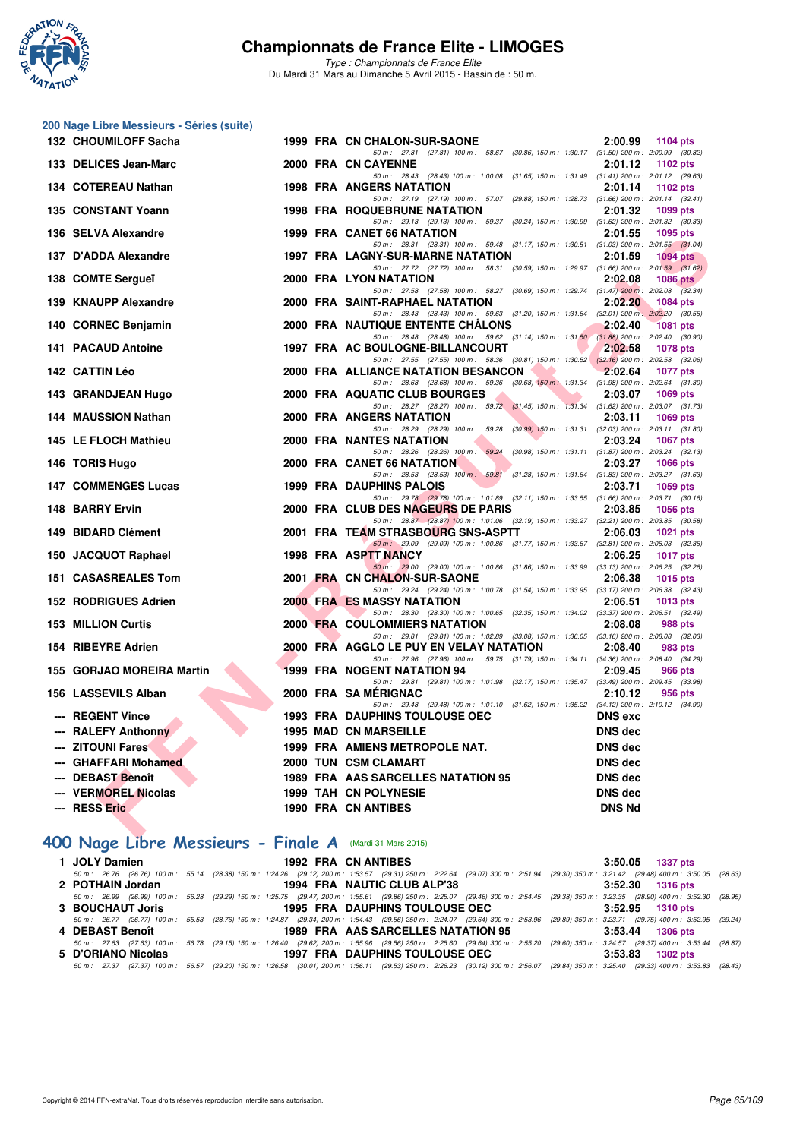

**200 Nage Libre Messieurs - Séries (suite)**

## **Championnats de France Elite - LIMOGES**

*Type : Championnats de France Elite* Du Mardi 31 Mars au Dimanche 5 Avril 2015 - Bassin de : 50 m.

| 132 CHOUMILOFF Sacha                       |  | 1999 FRA CN CHALON-SUR-SAONE                                                                                                        | 2:00.99<br>1104 pts        |
|--------------------------------------------|--|-------------------------------------------------------------------------------------------------------------------------------------|----------------------------|
| 133 DELICES Jean-Marc                      |  | 50 m: 27.81 (27.81) 100 m: 58.67 (30.86) 150 m: 1:30.17 (31.50) 200 m: 2:00.99 (30.82)<br>2000 FRA CN CAYENNE                       | 2:01.12<br>1102 pts        |
| 134 COTEREAU Nathan                        |  | 50 m: 28.43 (28.43) 100 m: 1:00.08 (31.65) 150 m: 1:31.49 (31.41) 200 m: 2:01.12 (29.63)<br><b>1998 FRA ANGERS NATATION</b>         | 2:01.14<br>1102 $pts$      |
|                                            |  | 50 m: 27.19 (27.19) 100 m: 57.07 (29.88) 150 m: 1:28.73 (31.66) 200 m: 2:01.14 (32.41)                                              |                            |
| 135 CONSTANT Yoann                         |  | <b>1998 FRA ROQUEBRUNE NATATION</b><br>50 m: 29.13 (29.13) 100 m: 59.37 (30.24) 150 m: 1:30.99 (31.62) 200 m: 2:01.32 (30.33)       | 2:01.32<br>1099 pts        |
| 136 SELVA Alexandre                        |  | 1999 FRA CANET 66 NATATION                                                                                                          | 2:01.55<br>1095 pts        |
| 137 D'ADDA Alexandre                       |  | 50 m: 28.31 (28.31) 100 m: 59.48 (31.17) 150 m: 1:30.51 (31.03) 200 m: 2:01.55 (31.04)<br>1997 FRA LAGNY-SUR-MARNE NATATION         | 2:01.59<br><b>1094 pts</b> |
|                                            |  | 50 m: 27.72 (27.72) 100 m: 58.31 (30.59) 150 m: 1.29.97 (31.66) 200 m: 2:01.59 (31.62)                                              |                            |
| 138 COMTE Sergueï                          |  | 2000 FRA LYON NATATION                                                                                                              | 2:02.08<br>1086 pts        |
| 139 KNAUPP Alexandre                       |  | 50 m: 27.58 (27.58) 100 m: 58.27 (30.69) 150 m: 1:29.74 (31.47) 200 m: 2:02.08 (32.34)<br>2000 FRA SAINT-RAPHAEL NATATION           | 2:02.20<br><b>1084 pts</b> |
|                                            |  | 50 m: 28.43 (28.43) 100 m: 59.63 (31.20) 150 m: 1:31.64 (32.01) 200 m: 2:02.20 (30.56)                                              |                            |
| 140 CORNEC Benjamin                        |  | 2000 FRA NAUTIQUE ENTENTE CHALONS<br>50 m: 28.48 (28.48) 100 m: 59.62 (31.14) 150 m: 1.31.50 (31.88) 200 m: 2.02.40 (30.90)         | 2:02.40<br><b>1081 pts</b> |
| <b>141 PACAUD Antoine</b>                  |  | 1997 FRA AC BOULOGNE-BILLANCOURT                                                                                                    | 2:02.58<br><b>1078 pts</b> |
| 142 CATTIN Léo                             |  | 50 m: 27.55 (27.55) 100 m: 58.36 (30.81) 150 m: 1.30.52 (32.16) 200 m: 2.02.58 (32.06)<br>M.<br>2000 FRA ALLIANCE NATATION BESANCON | 2:02.64<br>1077 pts        |
|                                            |  | 50 m: 28.68 (28.68) 100 m: 59.36 (30.68) 150 m: 1:31.34 (31.98) 200 m: 2:02.64 (31.30)                                              |                            |
| 143 GRANDJEAN Hugo                         |  | 2000 FRA AQUATIC CLUB BOURGES                                                                                                       | 2:03.07<br><b>1069 pts</b> |
| 144 MAUSSION Nathan                        |  | 50 m: 28.27 (28.27) 100 m: 59.72 (31.45) 150 m: 1:31.34 (31.62) 200 m: 2:03.07 (31.73)<br><b>2000 FRA ANGERS NATATION</b>           | 2:03.11<br>1069 pts        |
|                                            |  | 50 m: 28.29 (28.29) 100 m: 59.28 (30.99) 150 m: 1.31.31 (32.03) 200 m: 2.03.11 (31.80)                                              |                            |
| 145 LE FLOCH Mathieu                       |  | <b>2000 FRA NANTES NATATION</b>                                                                                                     | 2:03.24<br><b>1067 pts</b> |
| 146 TORIS Hugo                             |  | 50 m: 28.26 (28.26) 100 m: 59.24 (30.98) 150 m: 1.31.11 (31.87) 200 m: 2.03.24 (32.13)<br><b>2000 FRA CANET 66 NATATION</b>         | 2:03.27<br><b>1066 pts</b> |
|                                            |  | 50 m: 28.53 (28.53) 100 m: 59.81 (31.28) 150 m: 1:31.64 (31.83) 200 m: 2:03.27 (31.63)                                              |                            |
| <b>147 COMMENGES Lucas</b>                 |  | <b>1999 FRA DAUPHINS PALOIS</b><br>50 m: 29.78 (29.78) 100 m: 1:01.89 (32.11) 150 m: 1:33.55 (31.66) 200 m: 2:03.71 (30.16)         | 2:03.71<br>1059 pts        |
| 148 BARRY Ervin                            |  | 2000 FRA CLUB DES NAGEURS DE PARIS                                                                                                  | 2:03.85<br>1056 pts        |
|                                            |  | 50 m: 28.87 (28.87) 100 m: 1:01.06 (32.19) 150 m: 1:33.27 (32.21) 200 m: 2:03.85 (30.58)                                            |                            |
| 149 BIDARD Clément                         |  | 2001 FRA TEAM STRASBOURG SNS-ASPTT<br>50 m: 29.09 (29.09) 100 m: 1:00.86 (31.77) 150 m: 1:33.67 (32.81) 200 m: 2:06.03 (32.36)      | 2:06.03<br><b>1021 pts</b> |
| 150 JACQUOT Raphael                        |  | 1998 FRA ASPTT NANCY                                                                                                                | 2:06.25<br><b>1017 pts</b> |
| 151 CASASREALES Tom                        |  | 50 m: 29.00 (29.00) 100 m: 1.00.86 (31.86) 150 m: 1.33.99 (33.13) 200 m: 2.06.25 (32.26)<br>2001 FRA CN CHALON-SUR-SAONE            | 2:06.38<br>1015 pts        |
|                                            |  | 50 m: 29.24 (29.24) 100 m: 1:00.78 (31.54) 150 m: 1:33.95 (33.17) 200 m: 2:06.38 (32.43)                                            |                            |
| <b>152 RODRIGUES Adrien</b>                |  | <b>2000 FRA ES MASSY NATATION</b>                                                                                                   | 2:06.51<br>1013 $pts$      |
| <b>153 MILLION Curtis</b>                  |  | 50 m: 28.30 (28.30) 100 m: 1:00.65 (32.35) 150 m: 1:34.02 (33.37) 200 m: 2:06.51 (32.49)<br>2000 FRA COULOMMIERS NATATION           | 2:08.08<br>988 pts         |
|                                            |  | 50 m: 29.81 (29.81) 100 m: 1:02.89 (33.08) 150 m: 1:36.05 (33.16) 200 m: 2:08.08 (32.03)                                            |                            |
| 154 RIBEYRE Adrien                         |  | 2000 FRA AGGLO LE PUY EN VELAY NATATION<br>50 m: 27.96 (27.96) 100 m: 59.75 (31.79) 150 m: 1:34.11 (34.36) 200 m: 2:08.40 (34.29)   | 2:08.40<br>983 pts         |
| 155 GORJAO MOREIRA Martin                  |  | <b>1999 FRA NOGENT NATATION 94</b>                                                                                                  | 2:09.45<br>966 pts         |
|                                            |  | 50 m: 29.81 (29.81) 100 m: 1:01.98 (32.17) 150 m: 1:35.47 (33.49) 200 m: 2:09.45 (33.98)                                            |                            |
| 156 LASSEVILS Alban                        |  | 2000 FRA SA MÉRIGNAC<br>50 m: 29.48 (29.48) 100 m: 1.01.10 (31.62) 150 m: 1.35.22 (34.12) 200 m: 2.10.12 (34.90)                    | 2:10.12<br>956 pts         |
| <b>REGENT Vince</b>                        |  | <b>1993 FRA DAUPHINS TOULOUSE OEC</b>                                                                                               | <b>DNS</b> exc             |
| <b>RALEFY Anthonny</b>                     |  | <b>1995 MAD CN MARSEILLE</b>                                                                                                        | <b>DNS</b> dec             |
| <b>ZITOUNI Fares</b>                       |  | 1999 FRA AMIENS METROPOLE NAT.                                                                                                      | <b>DNS dec</b>             |
| <b>GHAFFARI Mohamed</b>                    |  | 2000 TUN CSM CLAMART                                                                                                                | <b>DNS</b> dec             |
| <b>DEBAST Benoît</b>                       |  | 1989 FRA AAS SARCELLES NATATION 95                                                                                                  | <b>DNS dec</b>             |
| --- VERMOREL Nicolas                       |  | 1999 TAH CN POLYNESIE                                                                                                               | <b>DNS dec</b>             |
| --- RESS Eric                              |  | <b>1990 FRA CN ANTIBES</b>                                                                                                          | <b>DNS Nd</b>              |
| <b>ALCOHOL:</b><br>$\sim$<br>$\sim$ $\sim$ |  |                                                                                                                                     |                            |

# **[400 Nage Libre Messieurs - Finale A](http://www.ffnatation.fr/webffn/resultats.php?idact=nat&go=epr&idcpt=27187&idepr=54)** (Mardi 31 Mars 2015)

| 1 JOLY Damien      |  | 1992 FRA CN ANTIBES                                                                                                                                                                        | $3:50.05$ 1337 pts |
|--------------------|--|--------------------------------------------------------------------------------------------------------------------------------------------------------------------------------------------|--------------------|
|                    |  | 50 m: 26.76 (26.76) 100 m: 55.14 (28.38) 150 m: 1:24.26 (29.12) 200 m: 1:53.57 (29.31) 250 m: 2:22.64 (29.07) 300 m: 2:51.94 (29.30) 350 m: 3:21.42 (29.48) 400 m: 3:50.05 (28.63)         |                    |
| 2 POTHAIN Jordan   |  | 1994 FRA NAUTIC CLUB ALP'38                                                                                                                                                                | $3:52.30$ 1316 pts |
|                    |  | 50 m : 26.99 (26.99) 100 m : 56.28 (29.29) 150 m : 1:25.75 (29.47) 200 m : 1:55.61 (29.86) 250 m : 2:25.07 (29.46) 300 m : 2:54.45 (29.38) 350 m : 3:23.35 (28.90) 400 m : 3:52.30 (28.95) |                    |
| 3 BOUCHAUT Joris   |  | 1995 FRA DAUPHINS TOULOUSE OEC                                                                                                                                                             | $3:52.95$ 1310 pts |
|                    |  | 50 m: 26.77 (26.77) 100 m: 55.53 (28.76) 150 m: 1:24.87 (29.34) 200 m: 1:54.43 (29.56) 250 m: 2:24.07 (29.64) 300 m: 2:53.96 (29.89) 350 m: 3:23.71 (29.75) 400 m: 3:52.95 (29.24)         |                    |
| 4 DEBAST Benoît    |  | 1989 FRA AAS SARCELLES NATATION 95                                                                                                                                                         | $3:53.44$ 1306 pts |
|                    |  | 50 m : 27.63 (27.63) 100 m : 56.78 (29.15) 150 m : 1:26.40 (29.62) 200 m : 1:55.96 (29.56) 250 m : 2:25.60 (29.64) 300 m : 2:55.20 (29.60) 350 m : 3:24.57 (29.37) 400 m : 3:53.44 (28.87) |                    |
| 5 D'ORIANO Nicolas |  | 1997 FRA DAUPHINS TOULOUSE OEC                                                                                                                                                             | $3:53.83$ 1302 pts |
|                    |  | 50 m: 27.37 (27.37) 100 m: 56.57 (29.20) 150 m: 1:26.58 (30.01) 200 m: 1:56.11 (29.53) 250 m: 2:26.23 (30.12) 300 m: 2:56.07 (29.84) 350 m: 3:25.40 (29.33) 400 m: 3:53.83 (28.43)         |                    |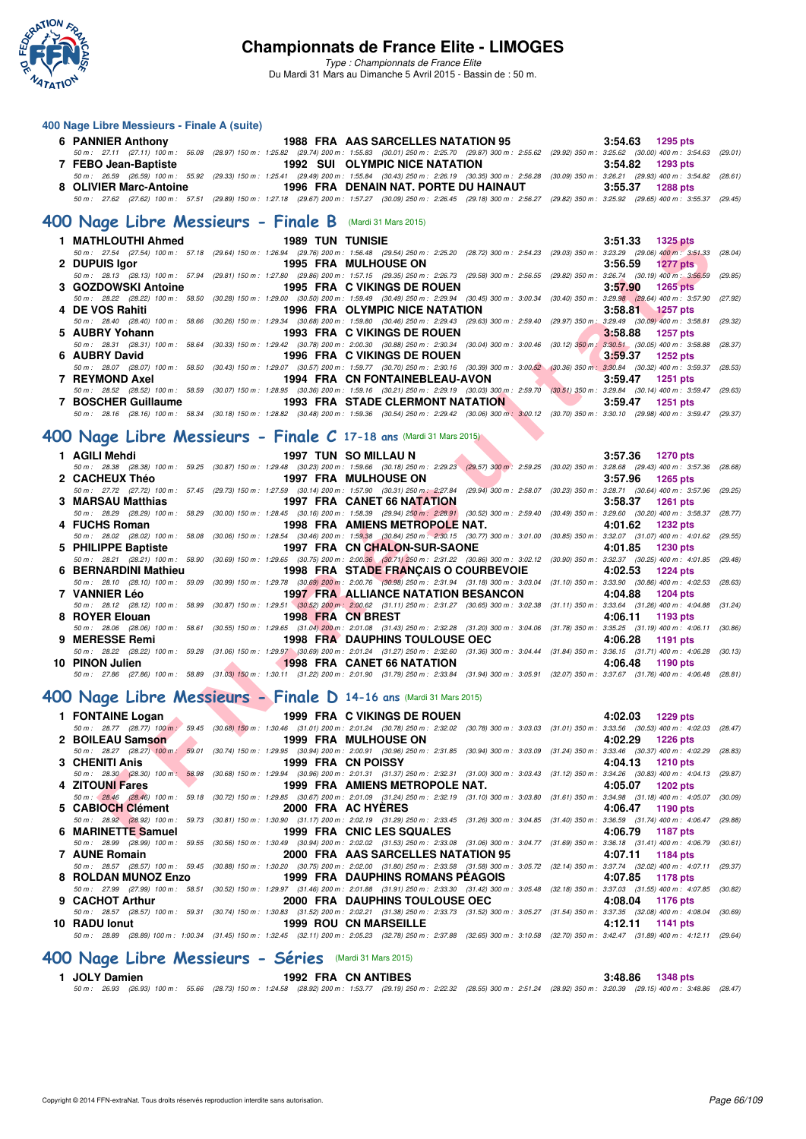

*Type : Championnats de France Elite*

Du Mardi 31 Mars au Dimanche 5 Avril 2015 - Bassin de : 50 m.

#### **400 Nage Libre Messieurs - Finale A (suite)**

| 6 PANNIER Anthony                                        | 1988 FRA AAS SARCELLES NATATION 95                                                                                                                                                         | $3:54.63$ 1295 pts |
|----------------------------------------------------------|--------------------------------------------------------------------------------------------------------------------------------------------------------------------------------------------|--------------------|
|                                                          | 50 m: 27.11 (27.11) 100 m: 56.08 (28.97) 150 m: 1:25.82 (29.74) 200 m: 1:55.83 (30.01) 250 m: 2:25.70 (29.87) 300 m: 2:55.62 (29.92) 350 m: 3:25.62 (30.00) 400 m: 3:54.63 (29.01)         |                    |
| 7 FEBO Jean-Baptiste                                     | 1992 SUI OLYMPIC NICE NATATION                                                                                                                                                             | $3:54.82$ 1293 pts |
|                                                          | 50 m : 26.59 (26.59) 100 m : 55.92 (29.33) 150 m : 1:25.41 (29.49) 200 m : 1:55.84 (30.43) 250 m : 2:26.19 (30.35) 300 m : 2:56.28 (30.09) 350 m : 3:26.21 (29.93) 400 m : 3:54.82 (28.61) |                    |
| 8 OLIVIER Marc-Antoine                                   | 1996 FRA DENAIN NAT. PORTE DU HAINAUT                                                                                                                                                      | $3:55.37$ 1288 pts |
|                                                          | 50 m : 27.62 (27.62) 100 m : 57.51 (29.89) 150 m : 1:27.18 (29.67) 200 m : 1:57.27 (30.09) 250 m : 2:26.45 (29.18) 300 m : 2:56.27 (29.82) 350 m : 3:25.92 (29.65) 400 m : 3:55.37 (29.45) |                    |
| 400 Nage Libre Messieurs - Finale B (Mardi 31 Mars 2015) |                                                                                                                                                                                            |                    |

|                     |                                                                                                                | $3:51.33$ 1325 pts                                                                                                                                                                            |
|---------------------|----------------------------------------------------------------------------------------------------------------|-----------------------------------------------------------------------------------------------------------------------------------------------------------------------------------------------|
|                     |                                                                                                                | 50 m: 27.54 (27.54) 100 m: 57.18 (29.64) 150 m: 1:26.94 (29.76) 200 m: 1:56.48 (29.54) 250 m: 2:25.20 (28.72) 300 m: 2:54.23 (29.03) 350 m: 3:23.29 (29.06) 400 m: 3:51.33 (28.04)            |
| 2 DUPUIS Igor       | <b>1995 FRA MULHOUSE ON</b>                                                                                    | $3:56.59$ 1277 pts                                                                                                                                                                            |
|                     |                                                                                                                | 50 50 m : 28.13 (28.13) 100 m : 57.94 (29.81) 150 m : 1:27.80 (29.86) 200 m : 1:57.15 (29.35) 250 m : 2:26.73 (29.58) 300 m : 2:56.55 (29.82) 350 m : 3:26.74 (30.19) 400 m : 3:56.59 (29.85) |
| 3 GOZDOWSKI Antoine | <b>1995 FRA C VIKINGS DE ROUEN</b>                                                                             | $3:57.90$ 1265 pts                                                                                                                                                                            |
|                     |                                                                                                                | 50 m : 28.22 (28.22) 100 m : 58.50 (30.28) 150 m : 1:29.00 (30.50) 200 m : 1:59.49 (30.49) 250 m : 2:29.94 (30.45) 300 m : 3:00.34 (30.40) 350 m : 3:29.98 (29.64) 400 m : 3:57.90 (27.92)    |
| 4 DE VOS Rahiti     | 1996 FRA OLYMPIC NICE NATATION                                                                                 | $3:58.81$ 1257 pts                                                                                                                                                                            |
|                     |                                                                                                                | 50 m : 28.40 (28.40) 100 m : 58.66 (30.26) 150 m : 1:29.34 (30.68) 200 m : 1:59.80 (30.46) 250 m : 2:29.43 (29.63) 300 m : 2:59.40 (29.97) 350 m : 3:29.49 (30.09) 400 m : 3:58.81 (29.32)    |
| 5 AUBRY Yohann      | 1993 FRA C VIKINGS DE ROUEN                                                                                    | 3:58.88 1257 pts                                                                                                                                                                              |
|                     |                                                                                                                | 50 m : 28.31 (28.31) 100 m : 58.64 (30.33) 150 m : 1:29.42 (30.78) 200 m : 2:00.30 (30.88) 250 m : 2:30.34 (30.04) 300 m : 3:00.46 (30.12) 350 m : 3:30.51 (30.05) 400 m : 3:58.88 (28.37)    |
| 6 AUBRY David       | 1996 FRA C VIKINGS DE ROUEN                                                                                    | 3:59.37<br>1252 pts                                                                                                                                                                           |
|                     |                                                                                                                | 50 m : 28.07 (28.07) 100 m : 58.50 (30.43) 150 m : 1:29.07 (30.57) 200 m : 1:59.77 (30.70) 250 m : 2:30.16 (30.39) 300 m : 3:00.52 (30.36) 350 m : 3:30.84 (30.32) 400 m : 3:59.37 (28.53)    |
| 7 REYMOND Axel      | 1994 FRA CN FONTAINEBLEAU-AVON                                                                                 | 3:59.47<br>1251 pts                                                                                                                                                                           |
|                     |                                                                                                                | 50 m: 28.52 (28.52) 100 m: 58.59 (30.07) 150 m: 1:28.95 (30.36) 200 m: 1:59.16 (30.21) 250 m: 2:29.19 (30.03) 300 m: 2:59.70 (30.51) 350 m: 3:29.84 (30.14) 400 m: 3:59.47 (29.63)            |
| 7 BOSCHER Guillaume | 1993 FRA STADE CLERMONT NATATION NATALLO AND THE RESERVE AND RESERVE THE RESERVE TO A LIMIT AND RESERVE THE RE | 3:59.47<br><b>1251 pts</b>                                                                                                                                                                    |
|                     |                                                                                                                | 50 m : 28.16 (28.16) 100 m : 58.34 (30.18) 150 m : 1:28.82 (30.48) 200 m : 1:59.36 (30.54) 250 m : 2:29.42 (30.06) 300 m : 3:00.12 (30.70) 350 m : 3:30.10 (29.98) 400 m : 3:59.47 (29.37)    |

# **[400 Nage Libre Messieurs - Finale C](http://www.ffnatation.fr/webffn/resultats.php?idact=nat&go=epr&idcpt=27187&idepr=54) 17-18 ans** (Mardi 31 Mars 2015)

| 1 MATHLOUTHI Ahmed                                                | <b>1989 TUN TUNISIE</b> |                                                                                                                                                                                            | 3:51.33<br>1325 pts                                            |
|-------------------------------------------------------------------|-------------------------|--------------------------------------------------------------------------------------------------------------------------------------------------------------------------------------------|----------------------------------------------------------------|
|                                                                   |                         | 50 m : 27.54 (27.54) 100 m : 57.18 (29.64) 150 m : 1:26.94 (29.76) 200 m : 1:56.48 (29.54) 250 m : 2:25.20 (28.72) 300 m : 2:54.23                                                         | (29.03) 350 m : 3:23.29 (29.06) 400 m : 3:51.33<br>(28.04)     |
| 2 DUPUIS Igor                                                     |                         | <b>1995 FRA MULHOUSE ON</b>                                                                                                                                                                | 3:56.59<br><b>1277 pts</b>                                     |
| 50 m: 28.13 (28.13) 100 m: 57.94                                  |                         | (29.81) 150 m: 1:27.80 (29.86) 200 m: 1:57.15 (29.35) 250 m: 2:26.73 (29.58) 300 m: 2:56.55                                                                                                | (29.82) 350 m : 3:26.74 (30.19) 400 m : 3:56.59<br>(29.85)     |
| 3 GOZDOWSKI Antoine                                               |                         | 1995 FRA C VIKINGS DE ROUEN                                                                                                                                                                | 3:57.90<br>1265 pts                                            |
| 50 m : 28.22 (28.22) 100 m : 58.50                                |                         | (30.28) 150 m : 1:29.00 (30.50) 200 m : 1:59.49 (30.49) 250 m : 2:29.94 (30.45) 300 m : 3:00.34                                                                                            | $(30.40)$ 350 m : 3:29.98 $(29.64)$ 400 m : 3:57.90<br>(27.92) |
| 4 DE VOS Rahiti                                                   |                         | <b>1996 FRA OLYMPIC NICE NATATION</b>                                                                                                                                                      | $3:58.81$ 1257 pts                                             |
| 50 m: 28.40 (28.40) 100 m: 58.66                                  |                         | (30.26) 150 m : 1:29.34 (30.68) 200 m : 1:59.80 (30.46) 250 m : 2:29.43 (29.63) 300 m : 2:59.40                                                                                            | (29.97) 350 m : 3:29.49 (30.09) 400 m : 3:58.81<br>(29.32)     |
| 5 AUBRY Yohann                                                    |                         | 1993 FRA C VIKINGS DE ROUEN                                                                                                                                                                | 3:58.88<br><b>1257 pts</b>                                     |
| 50 m: 28.31 (28.31) 100 m: 58.64                                  |                         | $(30.33)$ 150 m : 1:29.42 $(30.78)$ 200 m : 2:00.30 $(30.88)$ 250 m : 2:30.34 $(30.04)$ 300 m : 3:00.46                                                                                    | $(30.12)$ 350 m : 3:30.51 $(30.05)$ 400 m : 3:58.88<br>(28.37) |
| 6 AUBRY David                                                     |                         | 1996 FRA C VIKINGS DE ROUEN                                                                                                                                                                | 3:59.37<br>1252 pts                                            |
|                                                                   |                         | 50 m : 28.07 (28.07) 100 m : 58.50 (30.43) 150 m : 1:29.07 (30.57) 200 m : 1:59.77 (30.70) 250 m : 2:30.16 (30.39) 300 m : 3:00.52 (30.36) 350 m : 3:30.84 (30.32) 400 m : 3:59.37 (28.53) |                                                                |
| 7 REYMOND Axel                                                    |                         | 1994 FRA CN FONTAINEBLEAU-AVON                                                                                                                                                             | 3:59.47<br>1251 pts                                            |
|                                                                   |                         | 50 m: 28.52 (28.52) 100 m: 58.59 (30.07) 150 m: 1:28.95 (30.36) 200 m: 1:59.16 (30.21) 250 m: 2:29.19 (30.03) 300 m: 2:59.70 (30.51) 350 m: 3:29.84 (30.14) 400 m: 3:59.47 (29.63)         |                                                                |
| 7 BOSCHER Guillaume                                               |                         | <b>1993 FRA STADE CLERMONT NATATION</b>                                                                                                                                                    | 3:59.47<br><b>1251 pts</b>                                     |
|                                                                   |                         | 50 m : 28.16 (28.16) 100 m : 58.34 (30.18) 150 m : 1:28.82 (30.48) 200 m : 1:59.36 (30.54) 250 m : 2:29.42 (30.06) 300 m : 3:00.12 (30.70) 350 m : 3:30.10 (29.98) 400 m : 3:59.47 (29.37) |                                                                |
|                                                                   |                         |                                                                                                                                                                                            |                                                                |
| 00 Nage Libre Messieurs - Finale C 17-18 ans (Mardi 31 Mars 2015) |                         |                                                                                                                                                                                            |                                                                |
| 1 AGILI Mehdi                                                     |                         | <b>1997 TUN SO MILLAU N</b>                                                                                                                                                                | 3:57.36<br>1270 pts                                            |
|                                                                   |                         | 50 m : 28.38 (28.38) 100 m : 59.25 (30.87) 150 m : 1:29.48 (30.23) 200 m : 1:59.66 (30.18) 250 m : 2:29.23 (29.57) 300 m : 2:59.25 (30.02) 350 m : 3:28.68 (29.43) 400 m : 3:57.36         | (28.68)                                                        |
| 2 CACHEUX Théo                                                    |                         | <b>1997 FRA MULHOUSE ON</b>                                                                                                                                                                | 3:57.96<br>1265 pts                                            |
|                                                                   |                         | 50 m : 27.72 (27.72) 100 m : 57.45 (29.73) 150 m : 1:27.59 (30.14) 200 m : 1:57.90 (30.31) 250 m : 2:27.84 (29.94) 300 m : 2:58.07                                                         | (30.23) 350 m: 3:28.71 (30.64) 400 m: 3:57.96<br>(29.25)       |
| 3 MARSAU Matthias                                                 |                         | 1997 FRA CANET 66 NATATION                                                                                                                                                                 | 3:58.37<br><b>1261 pts</b>                                     |
|                                                                   |                         | 50 m : 28.29 (28.29) 100 m : 58.29 (30.00) 150 m : 1:28.45 (30.16) 200 m : 1:58.39 (29.94) 250 m : 2:28.91 (30.52) 300 m : 2:59.40                                                         | $(30.49)$ 350 m : 3:29.60 $(30.20)$ 400 m : 3:58.37<br>(28.77) |
| 4 FUCHS Roman                                                     |                         | 1998 FRA AMIENS METROPOLE NAT.                                                                                                                                                             | 4:01.62<br>1232 pts                                            |
| 50 m : 28.02 (28.02) 100 m : 58.08                                |                         | (30.06) 150 m : 1:28.54 (30.46) 200 m : 1:59.38 (30.84) 250 m : 2:30.15 (30.77) 300 m : 3:01.00                                                                                            | (30.85) 350 m: 3:32.07 (31.07) 400 m: 4:01.62 (29.55)          |
| 5 PHILIPPE Baptiste                                               |                         | 1997 FRA CN CHALON-SUR-SAONE                                                                                                                                                               | 4:01.85<br>1230 pts                                            |
|                                                                   |                         | 50 m: 28.21 (28.21) 100 m: 58.90 (30.69) 150 m: 1:29.65 (30.75) 200 m: 2:00.36 (30.71) 250 m: 2:31.22 (30.86) 300 m: 3:02.12 (30.90) 350 m: 3:32.37 (30.25) 400 m: 4:01.85 (29.48)         |                                                                |
| 6 BERNARDINI Mathieu                                              |                         | 1998 FRA STADE FRANCAIS O COURBEVOIE                                                                                                                                                       | 4:02.53<br>1224 pts                                            |
|                                                                   |                         | 50 m : 28.10 (28.10) 100 m : 59.09 (30.99) 150 m : 1:29.78 (30.69) 200 m : 2:00.76 (30.98) 250 m : 2:31.94 (31.18) 300 m : 3:03.04                                                         | $(31.10)$ 350 m : 3:33.90 $(30.86)$ 400 m : 4:02.53 $(28.63)$  |
| 7 VANNIER Léo                                                     |                         | <b>1997 FRA ALLIANCE NATATION BESANCON</b>                                                                                                                                                 | 4:04.88<br><b>1204 pts</b>                                     |
|                                                                   |                         | 50 m : 28.12 (28.12) 100 m : 58.99 (30.87) 150 m : 1:29.51 (30.52) 200 m : 2:00.62 (31.11) 250 m : 2:31.27 (30.65) 300 m : 3:02.38                                                         | $(31.11)$ 350 m : 3:33.64 $(31.26)$ 400 m : 4:04.88<br>(31.24) |
| 8 ROYER Elouan                                                    | 1998 FRA CN BREST       |                                                                                                                                                                                            | 4:06.11<br>1193 pts                                            |
|                                                                   |                         | 50 m : 28.06 (28.06) 100 m : 58.61 (30.55) 150 m : 1:29.65 (31.04) 200 m : 2:01.08 (31.43) 250 m : 2:32.28 (31.20) 300 m : 3:04.06                                                         | $(31.78)$ 350 m : 3:35.25 $(31.19)$ 400 m : 4:06.11 $(30.86)$  |
| 9 MERESSE Remi                                                    |                         | <b>1998 FRA DAUPHINS TOULOUSE OEC</b>                                                                                                                                                      | 4:06.28<br><b>1191 pts</b>                                     |
|                                                                   |                         | 50 m : 28.22 (28.22) 100 m : 59.28 (31.06) 150 m : 1:29.97 (30.69) 200 m : 2:01.24 (31.27) 250 m : 2:32.60 (31.36) 300 m : 3:04.44                                                         | $(31.84)$ 350 m : 3:36.15 $(31.71)$ 400 m : 4:06.28 $(30.13)$  |
| 10 PINON Julien                                                   |                         | <b>1998 FRA CANET 66 NATATION</b>                                                                                                                                                          | 4:06.48<br>1190 pts                                            |
|                                                                   |                         | 50 m: 27.86 (27.86) 100 m: 58.89 (31.03) 150 m: 1:30.11 (31.22) 200 m: 2:01.90 (31.79) 250 m: 2:33.84 (31.94) 300 m: 3:05.91 (32.07) 350 m: 3:37.67 (31.76) 400 m: 4:06.48 (28.81)         |                                                                |
|                                                                   |                         |                                                                                                                                                                                            |                                                                |
| 00 Nage Libre Messieurs - Finale D 14-16 ans (Mardi 31 Mars 2015) |                         |                                                                                                                                                                                            |                                                                |
| 1 FONTAINE Logan                                                  |                         | 1999 FRA C VIKINGS DE ROUEN                                                                                                                                                                | 4:02.03<br>1229 pts                                            |
|                                                                   |                         | 50 m : 28.77 (28.77) 100 m : 59.45 (30.68) 150 m : 1:30.46 (31.01) 200 m : 2:01.24 (30.78) 250 m : 2:32.02 (30.78) 300 m : 3:03.03                                                         | $(31.01)$ 350 m : 3:33.56 $(30.53)$ 400 m : 4:02.03 $(28.47)$  |
| 2 BOILEAU Samson                                                  |                         | <b>1999 FRA MULHOUSE ON</b>                                                                                                                                                                | 4:02.29<br><b>1226 pts</b>                                     |
|                                                                   |                         | 50 m : 28.27 (28.27) 100 m : 59.01 (30.74) 150 m : 1:29.95 (30.94) 200 m : 2:00.91 (30.96) 250 m : 2:31.85 (30.94) 300 m : 3:03.09                                                         | (31.24) 350 m: 3:33.46 (30.37) 400 m: 4:02.29<br>(28.83)       |
| 3 CHENITI Anis                                                    | 1999 FRA CN POISSY      |                                                                                                                                                                                            | 4:04.13<br><b>1210 pts</b>                                     |
|                                                                   |                         | 50 m : 28.30 (28.30) 100 m : 58.98 (30.68) 150 m : 1:29.94 (30.96) 200 m : 2:01.31 (31.37) 250 m : 2:32.31 (31.00) 300 m : 3:03.43                                                         | (31.12) 350 m: 3:34.26 (30.83) 400 m: 4:04.13 (29.87)          |
| 4 ZITOUNI Fares                                                   |                         | 1999 FRA AMIENS METROPOLE NAT.                                                                                                                                                             | 4:05.07<br><b>1202 pts</b>                                     |
|                                                                   |                         | 50 m : 28.46 (28.46) 100 m : 59.18 (30.72) 150 m : 1:29.85 (30.67) 200 m : 2:01.09 (31.24) 250 m : 2:32.19 (31.10) 300 m : 3:03.80                                                         | $(31.61)$ 350 m : 3:34.98 $(31.18)$ 400 m : 4:05.07 $(30.09)$  |
| 5 CABIOCH Clément                                                 | 2000 FRA AC HYERES      |                                                                                                                                                                                            | 4:06.47<br>1190 pts                                            |
|                                                                   |                         | 50 m: 28.92 (28.92) 100 m: 59.73 (30.81) 150 m: 1:30.90 (31.17) 200 m: 2:02.19 (31.29) 250 m: 2:33.45 (31.26) 300 m: 3:04.85 (31.40) 350 m: 3:36.59 (31.74) 400 m: 4:06.47 (29.88)         |                                                                |
| 6 MARINETTE Samuel                                                |                         | 1999 FRA CNIC LES SQUALES                                                                                                                                                                  | 4:06.79<br>1187 pts                                            |
|                                                                   |                         |                                                                                                                                                                                            |                                                                |

# **[400 Nage Libre Messieurs - Finale D](http://www.ffnatation.fr/webffn/resultats.php?idact=nat&go=epr&idcpt=27187&idepr=54) 14-16 ans** (Mardi 31 Mars 2015)

| 1 FONTAINE Logan | <b>EXAMPLE 2018 1999 FRAC VIKINGS DE ROUEN</b>                                                                                                                                                                                     | 4:02.03 1229 pts                                                                                                                                                                            |
|------------------|------------------------------------------------------------------------------------------------------------------------------------------------------------------------------------------------------------------------------------|---------------------------------------------------------------------------------------------------------------------------------------------------------------------------------------------|
|                  |                                                                                                                                                                                                                                    | 50 m: 28.77 (28.77) 100 m: 59.45 (30.68) 150 m: 1:30.46 (31.01) 200 m: 2:01.24 (30.78) 250 m: 2:32.02 (30.78) 300 m: 3:03.03 (31.01) 350 m: 3:33.56 (30.53) 400 m: 4:02.03 (28.47)          |
|                  | 2 BOILEAU Samson <b>All Accord 1999 FRA MULHOUSE ON</b>                                                                                                                                                                            | 4:02.29 1226 pts                                                                                                                                                                            |
|                  |                                                                                                                                                                                                                                    | 50 m : 28.27 (28.27) 100 m : 59.01 (30.74) 150 m : 1:29.95 (30.94) 200 m : 2:00.91 (30.96) 250 m : 2:31.85 (30.94) 300 m : 3:03.09 (31.24) 350 m : 3:33.46 (30.37) 400 m : 4:02.29 (28.83)  |
| 3 CHENITI Anis   | <b>Example 1999 FRA CN POISSY CONSIDERED ASSESSMENT OF A STATE OF A STATE OF A STATE OF A STATE OF A STATE OF A STATE OF A STATE OF A STATE OF A STATE OF A STATE OF A STATE OF A STATE OF A STATE OF A STATE OF A STATE OF A </b> | 4:04.13 1210 pts                                                                                                                                                                            |
|                  |                                                                                                                                                                                                                                    | 50 m: 28.30 (28.30) 100 m: 58.98 (30.68) 150 m: 1:29.94 (30.96) 200 m: 2:01.31 (31.37) 250 m: 2:32.31 (31.00) 300 m: 3:03.43 (31.12) 350 m: 3:34.26 (30.83) 400 m: 4:04.13 (29.87)          |
| 4 ZITOUNI Fares  | <b>Example 2018 1999 FRA AMIENS METROPOLE NAT.</b>                                                                                                                                                                                 | 4:05.07<br><b>1202 pts</b>                                                                                                                                                                  |
|                  |                                                                                                                                                                                                                                    | 50 m : (28.46 (28.46) 100 m : 59.18 (30.72) 150 m : 1:29.85 (30.67) 200 m : 2:01.09 (31.24) 250 m : 2:32.19 (31.10) 300 m : 3:03.80 (31.61) 350 m : 3:34.98 (31.18) 400 m : 4:05.07 (30.09) |
|                  | 5 CABIOCH Clément 2000 FRA AC HYERES                                                                                                                                                                                               | 4:06.47 1190 pts                                                                                                                                                                            |
|                  |                                                                                                                                                                                                                                    | 50 m : 28.92 (28.92) 100 m : 59.73 (30.81) 150 m : 1:30.90 (31.17) 200 m : 2:02.19 (31.29) 250 m : 2:33.45 (31.26) 300 m : 3:04.85 (31.40) 350 m : 3:36.59 (31.74) 400 m : 4:06.47 (29.88)  |
|                  | 6 MARINETTE Samuel 1999 FRA CNIC LES SQUALES                                                                                                                                                                                       | 4:06.79 1187 pts                                                                                                                                                                            |
|                  |                                                                                                                                                                                                                                    | 50 m: 28.99 (28.99) 100 m: 59.55 (30.56) 150 m: 1:30.49 (30.94) 200 m: 2:02.02 (31.53) 250 m: 2:33.08 (31.06) 300 m: 3:04.77 (31.69) 350 m: 3:36.18 (31.41) 400 m: 4:06.79 (30.61)          |
|                  | 7 AUNE Romain 1184 pts 2000 FRA AAS SARCELLES NATATION 95 4:07.11 1184 pts                                                                                                                                                         |                                                                                                                                                                                             |
|                  |                                                                                                                                                                                                                                    | 50 m: 28.57 (28.57) 100 m: 59.45 (30.88) 150 m: 1:30.20 (30.75) 200 m: 2:02.00 (31.80) 250 m: 2:33.58 (31.58) 300 m: 3:05.72 (32.14) 350 m: 3:37.74 (32.02) 400 m: 4:07.11 (29.37)          |
|                  | 8 ROLDAN MUNOZ Enzo 1999 FRA DAUPHINS ROMANS PEAGOIS 4:07.85 1178 pts                                                                                                                                                              |                                                                                                                                                                                             |
|                  |                                                                                                                                                                                                                                    | 50 m: 27.99 (27.99) 100 m: 58.51 (30.52) 150 m: 1:29.97 (31.46) 200 m: 2:01.88 (31.91) 250 m: 2:33.30 (31.42) 300 m: 3:05.48 (32.18) 350 m: 3:37.03 (31.55) 400 m: 4:07.85 (30.82)          |
| 9 CACHOT Arthur  | <b>2000 FRA DAUPHINS TOULOUSE OEC</b>                                                                                                                                                                                              | 4:08.04 1176 pts                                                                                                                                                                            |
|                  |                                                                                                                                                                                                                                    | 50 m: 28.57 (28.57) 100 m: 59.31 (30.74) 150 m: 1:30.83 (31.52) 200 m: 2:02.21 (31.38) 250 m: 2:33.73 (31.52) 300 m: 3:05.27 (31.54) 350 m: 3:37.35 (32.08) 400 m: 4:08.04 (30.69)          |
| 10 RADU lonut    | <b>1999 ROU CN MARSEILLE</b>                                                                                                                                                                                                       | $4:12.11$ 1141 pts                                                                                                                                                                          |
|                  |                                                                                                                                                                                                                                    | 50 m: 28.89 (28.89) 100 m: 1:00.34 (31.45) 150 m: 1:32.45 (32.11) 200 m: 2:05.23 (32.78) 250 m: 2:37.88 (32.65) 300 m: 3:10.58 (32.70) 350 m: 3:42.47 (31.89) 400 m: 4:12.11 (29.64)        |
|                  |                                                                                                                                                                                                                                    |                                                                                                                                                                                             |

## **[400 Nage Libre Messieurs - Séries](http://www.ffnatation.fr/webffn/resultats.php?idact=nat&go=epr&idcpt=27187&idepr=54)** (Mardi 31 Mars 2015)

|  | <b>JOLY Damien</b> |  | <b>1992 FRA CN ANTIBES</b> |  |                                                                                                                                                                                    | 3:48.86 1348 pts |  |
|--|--------------------|--|----------------------------|--|------------------------------------------------------------------------------------------------------------------------------------------------------------------------------------|------------------|--|
|  |                    |  |                            |  | 50 m; 26.93 (26.93) 100 m; 55.66 (28.73) 150 m; 1:24.58 (28.92) 200 m; 1:53.77 (29.19) 250 m; 2:22.32 (28.55) 300 m; 2:51.24 (28.92) 350 m; 3:20.39 (29.15) 400 m; 3:48.86 (28.47) |                  |  |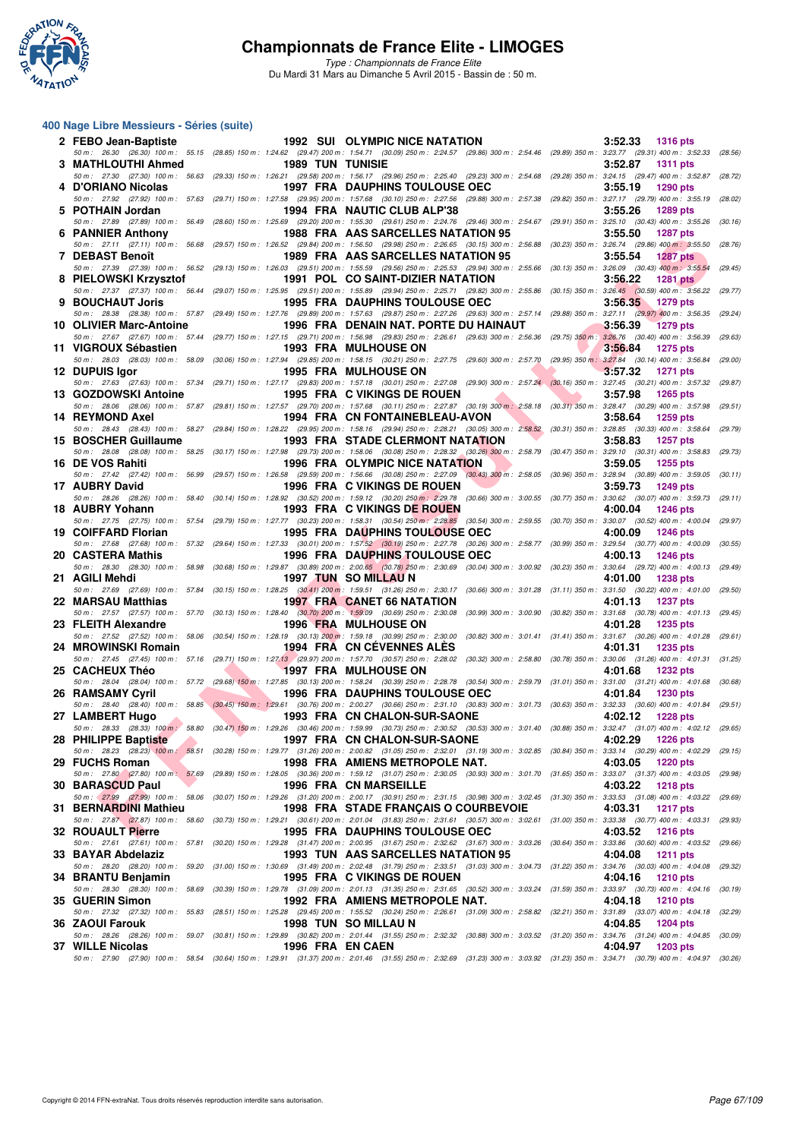

*Type : Championnats de France Elite* Du Mardi 31 Mars au Dimanche 5 Avril 2015 - Bassin de : 50 m.

#### **400 Nage Libre Messieurs - Séries (suite)**

| 2 FEBO Jean-Baptiste    |                |                         | 1992 SUI OLYMPIC NICE NATATION                                                                                                                                                                                                      | 3:52.33<br>1316 pts        |         |
|-------------------------|----------------|-------------------------|-------------------------------------------------------------------------------------------------------------------------------------------------------------------------------------------------------------------------------------|----------------------------|---------|
| 3 MATHLOUTHI Ahmed      |                | <b>1989 TUN TUNISIE</b> | 50 m: 26.30 (26.30) 100 m: 55.15 (28.85) 150 m: 1:24.62 (29.47) 200 m: 1:54.71 (30.09) 250 m: 2:24.57 (29.86) 300 m: 2:54.46 (29.89) 350 m: 3:23.77 (29.31) 400 m: 3:52.33 (28.56)                                                  | 3:52.87<br><b>1311 pts</b> |         |
| 4 D'ORIANO Nicolas      |                |                         | 50 m: 27.30 (27.30) 100 m: 56.63 (29.33) 150 m: 1:26.21 (29.58) 200 m: 1:56.17 (29.96) 250 m: 2:25.40 (29.23) 300 m: 2:54.68 (29.28) 350 m: 3:24.15 (29.47) 400 m: 3:52.87 (28.72)<br><b>1997 FRA DAUPHINS TOULOUSE OEC</b>         | 3:55.19<br><b>1290 pts</b> |         |
|                         |                |                         | 50 m: 27.92 (27.92) 100 m: 57.63 (29.71) 150 m: 1:27.58 (29.95) 200 m: 1:57.68 (30.10) 250 m: 2:27.56 (29.88) 300 m: 2:57.38 (29.82) 350 m: 3:27.17 (29.79) 400 m: 3:55.19                                                          |                            | (28.02) |
| 5 POTHAIN Jordan        |                |                         | 1994 FRA NAUTIC CLUB ALP'38<br>50 m: 27.89 (27.89) 100 m: 56.49 (28.60) 150 m: 1:25.69 (29.20) 200 m: 1:55.30 (29.61) 250 m: 2:24.76 (29.46) 300 m: 2:54.67 (29.91) 350 m: 3:25.10 (30.43) 400 m: 3:55.26                           | 3:55.26<br>1289 pts        | (30.16) |
| 6 PANNIER Anthony       |                |                         | 1988 FRA AAS SARCELLES NATATION 95                                                                                                                                                                                                  | 3:55.50<br><b>1287 pts</b> |         |
| 7 DEBAST Benoît         |                |                         | 50 m: 27.11 (27.11) 100 m: 56.68 (29.57) 150 m: 1:26.52 (29.84) 200 m: 1:56.50 (29.98) 250 m: 2:26.65 (30.15) 300 m: 2:56.88 (30.23) 350 m: 3:26.74 (29.86) 400 m: 3:55.50 (28.76)<br>1989 FRA AAS SARCELLES NATATION 95            | 3:55.54<br><b>1287 pts</b> |         |
| 8 PIELOWSKI Krzysztof   |                |                         | 50 m: 27.39 (27.39) 100 m: 56.52 (29.13) 150 m: 1:26.03 (29.51) 200 m: 1:55.59 (29.56) 250 m: 2:25.53 (29.94) 300 m: 2:55.66 (30.13) 350 m: 3:26.09 (30.43) 400 m: 3:55.54<br>1991 POL CO SAINT-DIZIER NATATION                     | 3:56.22<br><b>1281 pts</b> | (29.45) |
|                         |                |                         | 50 m: 27.37 (27.37) 100 m: 56.44 (29.07) 150 m: 1:25.95 (29.51) 200 m: 1:55.89 (29.94) 250 m: 2:25.71 (29.82) 300 m: 2:55.86 (30.15) 350 m: 3:26.45 (30.59) 400 m: 3:56.22 (29.77)                                                  |                            |         |
| 9 BOUCHAUT Joris        |                |                         | <b>1995 FRA DAUPHINS TOULOUSE OEC</b><br>50 m: 28.38 (28.38) 100 m: 57.87 (29.49) 150 m: 1:27.76 (29.89) 200 m: 1:57.63 (29.87) 250 m: 2:27.26 (29.63) 300 m: 2:57.14 (29.88) 350 m: 3:27.11 (29.97) 400 m: 3:56.35 (29.24)         | 3:56.35 1279 pts           |         |
| 10 OLIVIER Marc-Antoine |                |                         | 1996 FRA DENAIN NAT. PORTE DU HAINAUT                                                                                                                                                                                               | 3:56.39<br><b>1279 pts</b> |         |
| 11 VIGROUX Sébastien    |                |                         | 50 m: 27.67 (27.67) 100 m: 57.44 (29.77) 150 m: 1:27.15 (29.71) 200 m: 1:56.98 (29.83) 250 m: 2:26.61 (29.63) 300 m: 2:56.36 (29.75) 350 m: 3:26.76 (30.40) 400 m: 3:56.39 (29.63)<br><b>1993 FRA MULHOUSE ON</b>                   | 3:56.84<br><b>1275 pts</b> |         |
| 12 DUPUIS Igor          |                |                         | 50 m : 28.03 (28.03) 100 m : 58.09 (30.06) 150 m : 1:27.94 (29.85) 200 m : 1:58.15 (30.21) 250 m : 2:27.75 (29.60) 300 m : 2:57.70 (29.95) 350 m : 3:27.84 (30.14) 400 m : 3:56.84<br><b>1995 FRA MULHOUSE ON</b>                   | 3:57.32<br><b>1271 pts</b> | (29.00) |
|                         |                |                         | 50 m: 27.63 (27.63) 100 m: 57.34 (29.71) 150 m: 1:27.17 (29.83) 200 m: 1:57.18 (30.01) 250 m: 2:27.08 (29.90) 300 m: 2:57.24 (30.16) 350 m: 3:27.45 (30.21) 400 m: 3:57.32 (29.87)                                                  |                            |         |
| 13 GOZDOWSKI Antoine    |                |                         | <b>1995 FRA C VIKINGS DE ROUEN</b><br>50 m: 28.06 (28.06) 100 m: 57.87 (29.81) 150 m: 1:27.57 (29.70) 200 m: 1:57.68 (30.11) 250 m: 2:27.87 (30.19) 300 m: 2:58.18 (30.31) 350 m: 3:28.47 (30.29) 400 m: 3:57.98 (29.51)            | 3:57.98<br>1265 pts        |         |
| 14 REYMOND Axel         |                |                         | 1994 FRA CN FONTAINEBLEAU-AVON                                                                                                                                                                                                      | 3:58.64<br>1259 pts        |         |
| 15 BOSCHER Guillaume    |                |                         | 50 m: 28.43 (28.43) 100 m: 58.27 (29.84) 150 m: 1:28.22 (29.95) 200 m: 1:58.16 (29.94) 250 m: 2:28.21 (30.05) 300 m: 2:58.52 (30.31) 350 m: 3:28.85 (30.33) 400 m: 3:58.64<br><b>1993 FRA STADE CLERMONT NATATION</b>               | 3:58.83<br>1257 pts        | (29.79) |
| 16 DE VOS Rahiti        |                |                         | 50 m : 28.08 (28.08) 100 m : 58.25 (30.17) 150 m : 1:27.98 (29.73) 200 m : 1:58.06 (30.08) 250 m : 2:28.32 (30.26) 300 m : 2:58.79 (30.47) 350 m : 3:29.10 (30.31) 400 m : 3:58.83 (29.73)<br><b>1996 FRA OLYMPIC NICE NATATION</b> | 3:59.05<br>1255 pts        |         |
|                         |                |                         | 50 m: 27.42 (27.42) 100 m: 56.99 (29.57) 150 m: 1:26.58 (29.59) 200 m: 1:56.66 (30.08) 250 m: 2:27.09 (30.43) 300 m: 2:58.05 (30.96) 350 m: 3:28.94 (30.89) 400 m: 3:59.05                                                          |                            | (30.11) |
| 17 AUBRY David          |                |                         | 1996 FRA C VIKINGS DE ROUEN<br>50 m: 28.26 (28.26) 100 m: 58.40 (30.14) 150 m: 1:28.92 (30.52) 200 m: 1:59.12 (30.20) 250 m: 2:29.78 (30.66) 300 m: 3:00.55 (30.77) 350 m: 3:30.62 (30.07) 400 m: 3:59.73 (29.11)                   | 3:59.73<br>1249 pts        |         |
| 18 AUBRY Yohann         |                |                         | 1993 FRA C VIKINGS DE ROUEN                                                                                                                                                                                                         | 4:00.04<br><b>1246 pts</b> |         |
| 19 COIFFARD Florian     |                |                         | 50 m: 27.75 (27.75) 100 m: 57.54 (29.79) 150 m: 1:27.77 (30.23) 200 m: 1:58.31 (30.54) 250 m: 2:28.85 (30.54) 300 m: 2:59.55 (30.70) 350 m: 3:30.07 (30.52) 400 m: 4:00.04 (29.97)<br><b>1995 FRA DAUPHINS TOULOUSE OEC</b>         | 4:00.09<br><b>1246 pts</b> |         |
|                         |                |                         | 50 m: 27.68 (27.68) 100 m: 57.32 (29.64) 150 m: 1:27.33 (30.01) 200 m: 1:57.52 (30.19) 250 m: 2:27.78 (30.26) 300 m: 2:58.77 (30.99) 350 m: 3:29.54 (30.77) 400 m: 4:00.09 (30.55)<br><b>1996 FRA DAUPHINS TOULOUSE OEC</b>         | 4:00.13<br>1246 pts        |         |
| 20 CASTERA Mathis       |                |                         | 50 m : 28.30 (28.30) 100 m : 58.98 (30.68) 150 m : 1:29.87 (30.89) 200 m : 2:00.65 (30.78) 250 m : 2:30.69 (30.04) 300 m : 3:00.92 (30.23) 350 m : 3:30.64 (29.72) 400 m : 4:00.13 (29.49)                                          |                            |         |
| 21 AGILI Mehdi          |                |                         | 1997 TUN SO MILLAU N<br>50 m: 27.69 (27.69) 100 m: 57.84 (30.15) 150 m: 1:28.25 (30.41) 200 m: 1:59.51 (31.26) 250 m: 2:30.17 (30.66) 300 m: 3:01.28 (31.11) 350 m: 3:31.50 (30.22) 400 m: 4:01.00 (29.50)                          | 4:01.00<br><b>1238 pts</b> |         |
| 22 MARSAU Matthias      |                |                         | <b>1997 FRA CANET 66 NATATION</b>                                                                                                                                                                                                   | 4:01.13<br><b>1237 pts</b> |         |
| 23 FLEITH Alexandre     |                |                         | 50 m: 27.57 (27.57) 100 m: 57.70 (30.13) 150 m: 1:28.40 (30.70) 200 m: 1:59.09 (30.69) 250 m: 2:30.08 (30.99) 300 m: 3:00.90 (30.82) 350 m: 3:31.68 (30.78) 400 m: 4:01.13 (29.45)<br><b>1996 FRA MULHOUSE ON</b>                   | 4:01.28<br>1235 pts        |         |
| 24 MROWINSKI Romain     |                |                         | 50 m: 27.52 (27.52) 100 m: 58.06 (30.54) 150 m: 1:28.19 (30.13) 200 m: 1:59.18 (30.99) 250 m: 2:30.00 (30.82) 300 m: 3:01.41 (31.41) 350 m: 3:31.67 (30.26) 400 m: 4:01.28 (29.61)<br>1994 FRA CN CEVENNES ALES                     | 4:01.31<br>1235 pts        |         |
|                         |                |                         | 50 m: 27.45 (27.45) 100 m: 57.16 (29.71) 150 m: 1:27.13 (29.97) 200 m: 1:57.70 (30.57) 250 m: 2:28.02 (30.32) 300 m: 2:58.80 (30.78) 350 m: 3:30.06 (31.26) 400 m: 4:01.31 (31.25)                                                  |                            |         |
| 25 CACHEUX Théo         | $\blacksquare$ |                         | <b>1997 FRA MULHOUSE ON</b><br>50 m: 28.04 (28.04) 100 m: 57.72 (29.68) 150 m: 1:27.85 (30.13) 200 m: 1:58.24 (30.39) 250 m: 2:28.78 (30.54) 300 m: 2:59.79 (31.01) 350 m: 3:31.00 (31.21) 400 m: 4:01.68 (30.68)                   | 4:01.68<br><b>1232 pts</b> |         |
| <b>26 RAMSAMY Cyril</b> |                |                         | <b>1996 FRA DAUPHINS TOULOUSE OEC</b>                                                                                                                                                                                               | 4:01.84<br>1230 pts        |         |
| 27 LAMBERT Hugo         |                |                         | 50 m: 28.40 (28.40) 100 m: 58.85 (30.45) 150 m: 1:29.61 (30.76) 200 m: 2:00.27 (30.66) 250 m: 2:31.10 (30.83) 300 m: 3:01.73 (30.63) 350 m: 3:32.33 (30.60) 400 m: 4:01.84 (29.51)<br>1993 FRA CN CHALON-SUR-SAONE                  | 4:02.12<br><b>1228 pts</b> |         |
| 28 PHILIPPE Baptiste    |                |                         | 50 m : 28.33 (28.33) 100 m : 58.80 (30.47) 150 m : 1:29.26 (30.46) 200 m : 1:59.99 (30.73) 250 m : 2:30.52 (30.53) 300 m : 3:01.40 (30.88) 350 m : 3:32.47 (31.07) 400 m : 4:02.12 (29.65)<br><b>1997 FRA CN CHALON-SUR-SAONE</b>   | 4:02.29<br>1226 pts        |         |
|                         |                |                         | 50 m: 28.23 (28.23) 100 m: 58.51 (30.28) 150 m: 1:29.77 (31.26) 200 m: 2:00.82 (31.05) 250 m: 2:32.01 (31.19) 300 m: 3:02.85 (30.84) 350 m: 3:33.14 (30.29) 400 m: 4:02.29 (29.15)                                                  |                            |         |
| 29 FUCHS Roman          |                |                         | 1998 FRA AMIENS METROPOLE NAT.<br>50 m: 27.80 (27.80) 100 m: 57.69 (29.89) 150 m: 1:28.05 (30.36) 200 m: 1:59.12 (31.07) 250 m: 2:30.05 (30.93) 300 m: 3:01.70 (31.65) 350 m: 3:33.07 (31.37) 400 m: 4:03.05 (29.98)                | 4:03.05<br><b>1220 pts</b> |         |
| 30 BARASCUD Paul        |                |                         | 1996 FRA CN MARSEILLE                                                                                                                                                                                                               | 4:03.22<br><b>1218 pts</b> |         |
| 31 BERNARDINI Mathieu   |                |                         | 50 m: 27.99 (27.99) 100 m: 58.06 (30.07) 150 m: 1:29.26 (31.20) 200 m: 2:00.17 (30.91) 250 m: 2:31.15 (30.98) 300 m: 3:02.45 (31.30) 350 m: 3:33.53 (31.08) 400 m: 4:03.22 (29.69)<br>1998 FRA STADE FRANÇAIS O COURBEVOIE          | 4:03.31<br><b>1217 pts</b> |         |
| 32 ROUAULT Pierre       |                |                         | 50 m : 27.87 (27.87) 100 m : 58.60 (30.73) 150 m : 1:29.21 (30.61) 200 m : 2:01.04 (31.83) 250 m : 2:31.61 (30.57) 300 m : 3:02.61 (31.00) 350 m : 3:33.38 (30.77) 400 m : 4:03.31<br>1995 FRA DAUPHINS TOULOUSE OEC                | 4:03.52<br>1216 pts        | (29.93) |
|                         |                |                         | 50 m : 27.61 (27.61) 100 m : 57.81 (30.20) 150 m : 1:29.28 (31.47) 200 m : 2:00.95 (31.67) 250 m : 2:22.62 (31.67) 300 m : 3:03.26 (30.64) 350 m : 3:33.86 (30.60) 400 m : 4:03.52 (29.66)                                          |                            |         |
| 33 BAYAR Abdelaziz      |                |                         | 1993 TUN AAS SARCELLES NATATION 95<br>50 m : 28.20 (28.20) 100 m : 59.20 (31.00) 150 m : 1:30.69 (31.49) 200 m : 2:02.48 (31.79) 250 m : 2:33.51 (31.03) 300 m : 3:04.73 (31.22) 350 m : 3:34.76 (30.03) 400 m : 4:04.08            | 4:04.08<br><b>1211 pts</b> | (29.32) |
| 34 BRANTU Benjamin      |                |                         | 1995 FRA C VIKINGS DE ROUEN                                                                                                                                                                                                         | 4:04.16<br><b>1210 pts</b> |         |
| 35 GUERIN Simon         |                |                         | 50 m: 28.30 (28.30) 100 m: 58.69 (30.39) 150 m: 1:29.78 (31.09) 200 m: 2:01.13 (31.35) 250 m: 2:31.65 (30.52) 300 m: 3:03.24 (31.59) 350 m: 3:33.97 (30.73) 400 m: 4:04.16 (30.19)<br>1992 FRA AMIENS METROPOLE NAT.                | 4:04.18<br><b>1210 pts</b> |         |
|                         |                |                         | 50 m : 27.32 (27.32) 100 m : 55.83 (28.51) 150 m : 1:25.28 (29.45) 200 m : 1:55.52 (30.24) 250 m : 2:26.61 (31.09) 300 m : 2:58.82 (32.21) 350 m : 3:31.89 (33.07) 400 m : 4:04.18 (32.29)                                          |                            |         |
| 36 ZAOUI Farouk         |                |                         | 1998 TUN SO MILLAU N<br>50 m: 28.26 (28.26) 100 m: 59.07 (30.81) 150 m: 1:29.89 (30.82) 200 m: 2:01.44 (31.55) 250 m: 2:32.32 (30.88) 300 m: 3:03.52 (31.20) 350 m: 3:34.76 (31.24) 400 m: 4:04.85 (30.09)                          | 4:04.85<br>1204 pts        |         |
| 37 WILLE Nicolas        |                | 1996 FRA EN CAEN        | 50 m : 27.90 (27.90) 100 m : 58.54 (30.64) 150 m : 1:29.91 (31.37) 200 m : 2:01.46 (31.55) 250 m : 2:32.69 (31.23) 300 m : 3:03.92 (31.23) 350 m : 3:34.71 (30.79) 400 m : 4:04.97 (30.26)                                          | 4:04.97<br>1203 pts        |         |
|                         |                |                         |                                                                                                                                                                                                                                     |                            |         |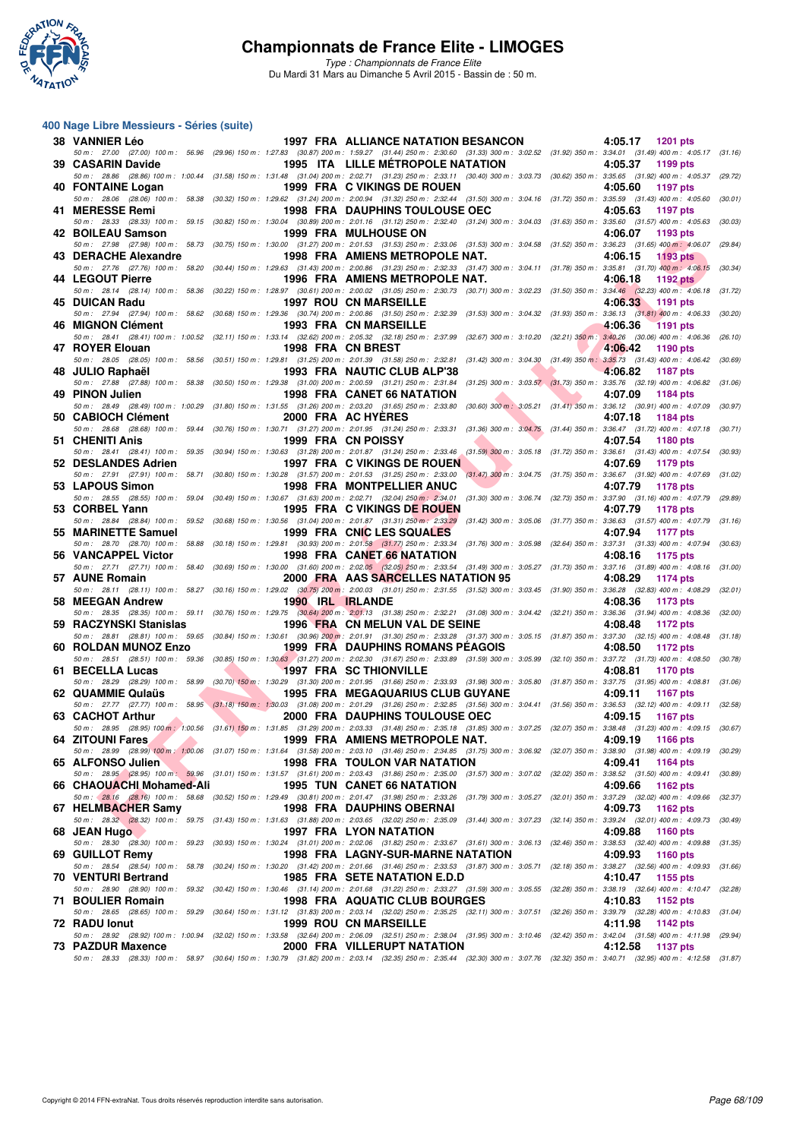

*Type : Championnats de France Elite* Du Mardi 31 Mars au Dimanche 5 Avril 2015 - Bassin de : 50 m.

#### **400 Nage Libre Messieurs - Séries (suite)**

| <b>38 VANNIER Léo</b>    |                   | <b>1997 FRA ALLIANCE NATATION BESANCON</b>                                                                                                                                                                                     | 4:05.17 1201 pts                                                               |         |
|--------------------------|-------------------|--------------------------------------------------------------------------------------------------------------------------------------------------------------------------------------------------------------------------------|--------------------------------------------------------------------------------|---------|
| 39 CASARIN Davide        |                   | 50 m: 27.00 (27.00) 100 m: 56.96 (29.96) 150 m: 1:27.83 (30.87) 200 m: 1:59.27 (31.44) 250 m: 2:30.60 (31.33) 300 m: 3:02.52 (31.92) 350 m: 3:34.01 (31.49) 400 m: 4:05.17 (31.16)<br>1995 ITA LILLE METROPOLE NATATION        | 4:05.37<br>1199 pts                                                            |         |
|                          |                   | 50 m: 28.86 (28.86) 100 m: 1:00.44 (31.58) 150 m: 1:31.48 (31.04) 200 m: 2:02.71 (31.23) 250 m: 2:33.11 (30.40) 300 m: 3:03.73 (30.62) 350 m: 3:35.65 (31.92) 400 m: 4:05.37 (29.72)                                           |                                                                                |         |
| 40 FONTAINE Logan        |                   | 1999 FRA C VIKINGS DE ROUEN<br>50 m: 28.06 (28.06) 100 m: 58.38 (30.32) 150 m: 1:29.62 (31.24) 200 m: 2:00.94 (31.32) 250 m: 2:32.44 (31.50) 300 m: 3:04.16 (31.72) 350 m: 3:35.59 (31.43) 400 m: 4:05.60                      | 4:05.60<br>1197 pts                                                            | (30.01) |
| 41 MERESSE Remi          |                   | <b>1998 FRA DAUPHINS TOULOUSE OEC</b>                                                                                                                                                                                          | 4:05.63<br>1197 pts                                                            |         |
|                          |                   | 50 m: 28.33 (28.33) 100 m: 59.15 (30.82) 150 m: 1:30.04 (30.89) 200 m: 2:01.16 (31.12) 250 m: 2:32.40 (31.24) 300 m: 3:04.03 (31.63) 350 m: 3:35.60 (31.57) 400 m: 4:05.63 (30.03)                                             |                                                                                |         |
| <b>42 BOILEAU Samson</b> |                   | 1999 FRA MULHOUSE ON<br>50 m: 27.98 (27.98) 100 m: 58.73 (30.75) 150 m: 1:30.00 (31.27) 200 m: 2:01.53 (31.53) 250 m: 2:33.06 (31.53) 300 m: 3:04.58 (31.52) 350 m: 3:36.23 (31.65) 400 m: 4:06.07 (29.84)                     | 4:06.07<br>1193 pts                                                            |         |
| 43 DERACHE Alexandre     |                   | 1998 FRA AMIENS METROPOLE NAT.                                                                                                                                                                                                 | 4:06.15<br><b>1193 pts</b>                                                     |         |
| 44 LEGOUT Pierre         |                   | 50 m: 27.76 (27.76) 100 m: 58.20 (30.44) 150 m: 1:29.63 (31.43) 200 m: 2:00.86 (31.23) 250 m: 2:32.33 (31.47) 300 m: 3:04.11 (31.78) 350 m: 3:35.81 (31.70) 400 m: 4:06.15<br>1996 FRA AMIENS METROPOLE NAT.                   | 4:06.18<br><b>1192 pts</b>                                                     | (30.34) |
|                          |                   | 50 m: 28.14 (28.14) 100 m: 58.36 (30.22) 150 m: 1:28.97 (30.61) 200 m: 2:00.02 (31.05) 250 m: 2:30.73 (30.71) 300 m: 3:02.23 (31.50) 350 m: 3:34.46 (32.23) 400 m: 4:06.18 (31.72)                                             |                                                                                |         |
| 45 DUICAN Radu           |                   | <b>1997 ROU CN MARSEILLE</b><br>50 m: 27.94 (27.94) 100 m: 58.62 (30.68) 150 m: 1:29.36 (30.74) 200 m: 2:00.86 (31.50) 250 m: 2:32.39 (31.53) 300 m: 3:04.32 (31.93) 350 m: 3:36.13 (31.81) 400 m: 4:06.33 (30.20)             | 4:06.33 1191 pts                                                               |         |
| 46 MIGNON Clément        |                   | 1993 FRA CN MARSEILLE                                                                                                                                                                                                          | 4:06.36<br><b>1191 pts</b>                                                     |         |
| 47 ROYER Elouan          | 1998 FRA CN BREST | 50 m: 28.41 (28.41) 100 m: 1:00.52 (32.11) 150 m: 1:33.14 (32.62) 200 m: 2:05.32 (32.18) 250 m: 2:37.99 (32.67) 300 m: 3:10.20 (32.21) 350 m: 3:40.26 (30.06) 400 m: 4:06.36 (26.10)                                           | 4:06.42<br>1190 pts                                                            |         |
|                          |                   | 50 m : 28.05 (28.05) 100 m : 58.56 (30.51) 150 m : 1:29.81 (31.25) 200 m : 2:01.39 (31.58) 250 m : 2:22.81 (31.42) 300 m : 3:04.30 (31.43) 350 m : 3:35.73 (31.43) 400 m : 4:06.42 (30.69)                                     |                                                                                |         |
| 48 JULIO Raphaël         |                   | 1993 FRA NAUTIC CLUB ALP'38                                                                                                                                                                                                    | 4:06.82<br>1187 pts                                                            |         |
| 49 PINON Julien          |                   | 50 m: 27.88 (27.88) 100 m: 58.38 (30.50) 150 m: 1:29.38 (31.00) 200 m: 2:00.59 (31.21) 250 m: 2:31.84 (31.25) 300 m: 3:03.57 (31.73) 350 m: 3:35.76 (32.19) 400 m: 4:06.82 (31.06)<br>1998 FRA CANET 66 NATATION               | 4:07.09<br>1184 pts                                                            |         |
|                          |                   | 50 m: 28.49 (28.49) 100 m: 1:00.29 (31.80) 150 m: 1:31.55 (31.26) 200 m: 2:03.20 (31.65) 250 m: 2:33.80 (30.60) 300 m: 3:05.21 (31.41) 350 m: 3:36.12 (30.91) 400 m: 4:07.09 (30.97)                                           |                                                                                |         |
| 50 CABIOCH Clément       |                   | 2000 FRA AC HYERES<br>50 m: 28.68 (28.68) 100 m: 59.44 (30.76) 150 m: 1:30.71 (31.27) 200 m: 2:01.95 (31.24) 250 m: 2:33.31 (31.36) 300 m: 3:04.75 (31.44) 350 m: 3:36.47 (31.72) 400 m: 4:07.18 (30.71)                       | 4:07.18<br>1184 pts                                                            |         |
| 51 CHENITI Anis          |                   | 1999 FRA CN POISSY                                                                                                                                                                                                             | 4:07.54<br>1180 pts                                                            |         |
| 52 DESLANDES Adrien      |                   | 50 m: 28.41 (28.41) 100 m: 59.35 (30.94) 150 m: 1:30.63 (31.28) 200 m: 2:01.87 (31.24) 250 m: 2:33.46 (31.59) 300 m: 3:05.18 (31.72) 350 m: 3:36.61 (31.43) 400 m: 4:07.54 (30.93)<br>1997 FRA C VIKINGS DE ROUEN              | 4:07.69<br>1179 pts                                                            |         |
|                          |                   | 50 m: 27.91 (27.91) 100 m: 58.71 (30.80) 150 m: 1:30.28 (31.57) 200 m: 2:01.53 (31.25) 250 m: 2:33.00 (31.47) 300 m: 3:04.75 (31.75) 350 m: 3:36.67 (31.92) 400 m: 4:07.69                                                     |                                                                                | (31.02) |
| 53 LAPOUS Simon          |                   | <b>1998 FRA MONTPELLIER ANUC</b>                                                                                                                                                                                               | 4:07.79<br>1178 pts                                                            |         |
| 53 CORBEL Yann           |                   | 50 m: 28.55 (28.55) 100 m: 59.04 (30.49) 150 m: 1:30.67 (31.63) 200 m: 2:02.71 (32.04) 250 m: 2:34.01 (31.30) 300 m: 3:06.74 (32.73) 350 m: 3:37.90 (31.16) 400 m: 4:07.79 (29.89)<br>1995 FRA C VIKINGS DE ROUEN              | 4:07.79<br>1178 pts                                                            |         |
|                          |                   | 50 m: 28.84 (28.84) 100 m: 59.52 (30.68) 150 m: 1:30.56 (31.04) 200 m: 2:01.87 (31.31) 250 m: 2:33.29 (31.42) 300 m: 3:05.06 (31.77) 350 m: 3:36.63 (31.57) 400 m: 4:07.79 (31.16)                                             |                                                                                |         |
| 55 MARINETTE Samuel      |                   | 1999 FRA CNIC LES SQUALES<br>50 m: 28.70 (28.70) 100 m: 58.88 (30.18) 150 m: 1:29.81 (30.93) 200 m: 2:01.58 (31.77) 250 m: 2:33.34 (31.76) 300 m: 3:05.98 (32.64) 350 m: 3:37.31 (31.33) 400 m: 4:07.94 (30.63)                | 4:07.94<br>1177 pts                                                            |         |
| 56 VANCAPPEL Victor      |                   | 1998 FRA CANET 66 NATATION                                                                                                                                                                                                     | 4:08.16<br>1175 pts                                                            |         |
| 57 AUNE Romain           |                   | 50 m: 27.71 (27.71) 100 m: 58.40 (30.69) 150 m: 1:30.00 (31.60) 200 m: 2:02.05 (32.05) 250 m: 2:33.54 (31.49) 300 m: 3:05.27 (31.73) 350 m: 3:37.16 (31.89) 400 m: 4:08.16 (31.00)<br>2000 FRA AAS SARCELLES NATATION 95       | 4:08.29<br>1174 pts                                                            |         |
|                          |                   | 50 m: 28.11 (28.11) 100 m: 58.27 (30.16) 150 m: 1:29.02 (30.75) 200 m: 2:00.03 (31.01) 250 m: 2:31.55 (31.52) 300 m: 3:03.45 (31.90) 350 m: 3:36.28 (32.83) 400 m: 4:08.29                                                     |                                                                                | (32.01) |
| 58 MEEGAN Andrew         | 1990 IRL IRLANDE  | 50 m: 28.35 (28.35) 100 m: 59.11 (30.76) 150 m: 1:29.75 (30.64) 200 m: 2:01.13 (31.38) 250 m: 2:32.21 (31.08) 300 m: 3:04.42 (32.21) 350 m: 3:36.36 (31.94) 400 m: 4:08.36 (32.00)                                             | 4:08.36<br>1173 pts                                                            |         |
| 59 RACZYNSKI Stanislas   |                   | 1996 FRA CN MELUN VAL DE SEINE                                                                                                                                                                                                 | 4:08.48<br>1172 pts                                                            |         |
|                          |                   | 50 m: 28.81 (28.81) 100 m: 59.65 (30.84) 150 m: 1:30.61 (30.96) 200 m: 2:01.91 (31.30) 250 m: 2:33.28 (31.37) 300 m: 3:05.15 (31.87) 350 m: 3:37.30 (32.15) 400 m: 4:08.48                                                     |                                                                                | (31.18) |
| 60 ROLDAN MUNOZ Enzo     |                   | <b>1999 FRA DAUPHINS ROMANS PEAGOIS</b><br>50 m: 28.51 (28.51) 100 m: 59.36 (30.85) 150 m: 1:30.63 (31.27) 200 m: 2:02.30 (31.67) 250 m: 2:33.89 (31.59) 300 m: 3:05.99 (32.10) 350 m: 3:37.72 (31.73) 400 m: 4:08.50 (30.78)  | 4:08.50<br>1172 pts                                                            |         |
| 61 BECELLA Lucas         |                   | <b>1997 FRA SC THIONVILLE</b>                                                                                                                                                                                                  | 4:08.81<br>1170 pts                                                            |         |
| 62 QUAMMIE Qulaüs        |                   | 50 m: 28.29 (28.29) 100 m: 58.99 (30.70) 150 m: 1:30.29 (31.30) 200 m: 2:01.95 (31.66) 250 m: 2:33.93 (31.98) 300 m: 3:05.80 (31.87) 350 m: 3:37.75 (31.95) 400 m: 4:08.81 (31.06)<br><b>1995 FRA MEGAQUARIUS CLUB GUYANE</b>  | 4:09.11<br><b>1167 pts</b>                                                     |         |
|                          |                   | 50 m: 27.77 (27.77) 100 m: 58.95 (31.18) 150 m: 1;30.03 (31.08) 200 m: 2:01.29 (31.26) 250 m: 2:32.85 (31.56) 300 m: 3:04.41 (31.56) 350 m: 3:36.53 (32.12) 400 m: 4:09.11 (32.58)                                             |                                                                                |         |
| 63 CACHOT Arthur         |                   | 2000 FRA DAUPHINS TOULOUSE OEC<br>50 m: 28.95 (28.95) 100 m: 1:00.56 (31.61) 150 m: 1:31.85 (31.29) 200 m: 2:03.33 (31.48) 250 m: 2:35.18 (31.85) 300 m: 3:07.25 (32.07) 350 m: 3:38.48 (31.23) 400 m: 4:09.15 (30.67)         | 4:09.15<br>1167 pts                                                            |         |
| 64 ZITOUNI Fares         |                   | 1999 FRA AMIENS METROPOLE NAT.                                                                                                                                                                                                 | 4:09.19 1166 pts                                                               |         |
| 65 ALFONSO Julien        |                   | 50 m : 28.99 (28.99) 100 m : 1:00.06 (31.07) 150 m : 1:31.64 (31.58) 200 m : 2:03.10 (31.46) 250 m : 2:34.85 (31.75) 300 m : 3:06.92 (32.07) 350 m : 3:38.90 (31.98) 400 m : 4:09.19<br><b>1998 FRA TOULON VAR NATATION</b>    |                                                                                | (30.29) |
|                          |                   | 50 m : 28.95 (28.95) 100 m : 59.96 (31.01) 150 m : 1:31.57 (31.61) 200 m : 2:03.43 (31.86) 250 m : 2:35.00 (31.57) 300 m : 3:07.02 (32.02) 350 m : 3:38.52 (31.50) 400 m : 4:09.41                                             | 4:09.41<br>1164 pts                                                            | (30.89) |
| 66 CHAOUACHI Mohamed-Ali |                   | <b>1995 TUN CANET 66 NATATION</b>                                                                                                                                                                                              | 4:09.66<br>1162 pts                                                            |         |
| 67 HELMBACHER Samy       |                   | 50 m : 28.16 (28.16) 100 m : 58.68 (30.52) 150 m : 1:29.49 (30.81) 200 m : 2:01.47 (31.98) 250 m : 2:33.26 (31.79) 300 m : 3:05.27 (32.01) 350 m : 3:37.29 (32.02) 400 m : 4:09.66<br>1998 FRA DAUPHINS OBERNAI                | 4:09.73<br>1162 pts                                                            | (32.37) |
|                          |                   | 50 m: 28.32 (28.32) 100 m: 59.75 (31.43) 150 m: 1:31.63 (31.88) 200 m: 2:03.65 (32.02) 250 m: 2:35.09 (31.44) 300 m: 3:07.23 (32.14) 350 m: 3:39.24 (32.01) 400 m: 4:09.73                                                     |                                                                                | (30.49) |
| 68 JEAN Hugo             |                   | 1997 FRA LYON NATATION<br>50 m: 28.30 (28.30) 100 m: 59.23 (30.93) 150 m: 1:30.24 (31.01) 200 m: 2:02.06 (31.82) 250 m: 2:33.67 (31.61) 300 m: 3:06.13 (32.46) 350 m: 3:38.53 (32.40) 400 m: 4:09.88 (31.35)                   | 4:09.88<br>1160 pts                                                            |         |
| 69 GUILLOT Remy          |                   | 1998 FRA LAGNY-SUR-MARNE NATATION                                                                                                                                                                                              | 4:09.93<br>1160 pts                                                            |         |
| 70 VENTURI Bertrand      |                   | 50 m : 28.54 (28.54) 100 m : 58.78 (30.24) 150 m : 1:30.20 (31.42) 200 m : 2:01.66 (31.46) 250 m : 2:33.53 (31.87) 300 m : 3:05.71<br>1985 FRA SETE NATATION E.D.D                                                             | (32.18) 350 m : 3:38.27 (32.56) 400 m : 4:09.93 (31.66)<br>4:10.47<br>1155 pts |         |
|                          |                   | 50 m: 28.90 (28.90) 100 m: 59.32 (30.42) 150 m: 1:30.46 (31.14) 200 m: 2:01.68 (31.22) 250 m: 2:33.27 (31.59) 300 m: 3:05.55 (32.28) 350 m: 3:38.19 (32.64) 400 m: 4:10.47 (32.28)                                             |                                                                                |         |
| 71 BOULIER Romain        |                   | 1998 FRA AQUATIC CLUB BOURGES                                                                                                                                                                                                  | 4:10.83<br>1152 pts                                                            |         |
| 72 RADU lonut            |                   | 50 m : 28.65 (28.65) 100 m : 59.29 (30.64) 150 m : 1:31.12 (31.83) 200 m : 2:03.14 (32.02) 250 m : 2:35.25 (32.11) 300 m : 3:07.51 (32.26) 350 m : 3:39.79 (32.28) 400 m : 4:10.83 (31.04)<br><b>1999 ROU CN MARSEILLE</b>     | 4:11.98<br>1142 pts                                                            |         |
|                          |                   | 50 m :   28.92    (28.92)  100 m :   1:00.94    (32.02)  150 m :   1:33.58    (32.64)  200 m :   2:06.09    (32.51)  250 m :   2:38.04    (31.95)  300 m :   3:10.46    (32.42)  350 m :   3:42.04    (31.58)  400 m :   4:11. |                                                                                |         |
| 73 PAZDUR Maxence        |                   | 2000 FRA VILLERUPT NATATION<br>50 m : 28.33 (28.33) 100 m : 58.97 (30.64) 150 m : 1:30.79 (31.82) 200 m : 2:03.14 (32.35) 250 m : 2:35.44 (32.30) 300 m : 3:07.76 (32.32) 350 m : 3:40.71 (32.95) 400 m : 4:12.58 (31.87)      | 4:12.58<br>1137 pts                                                            |         |
|                          |                   |                                                                                                                                                                                                                                |                                                                                |         |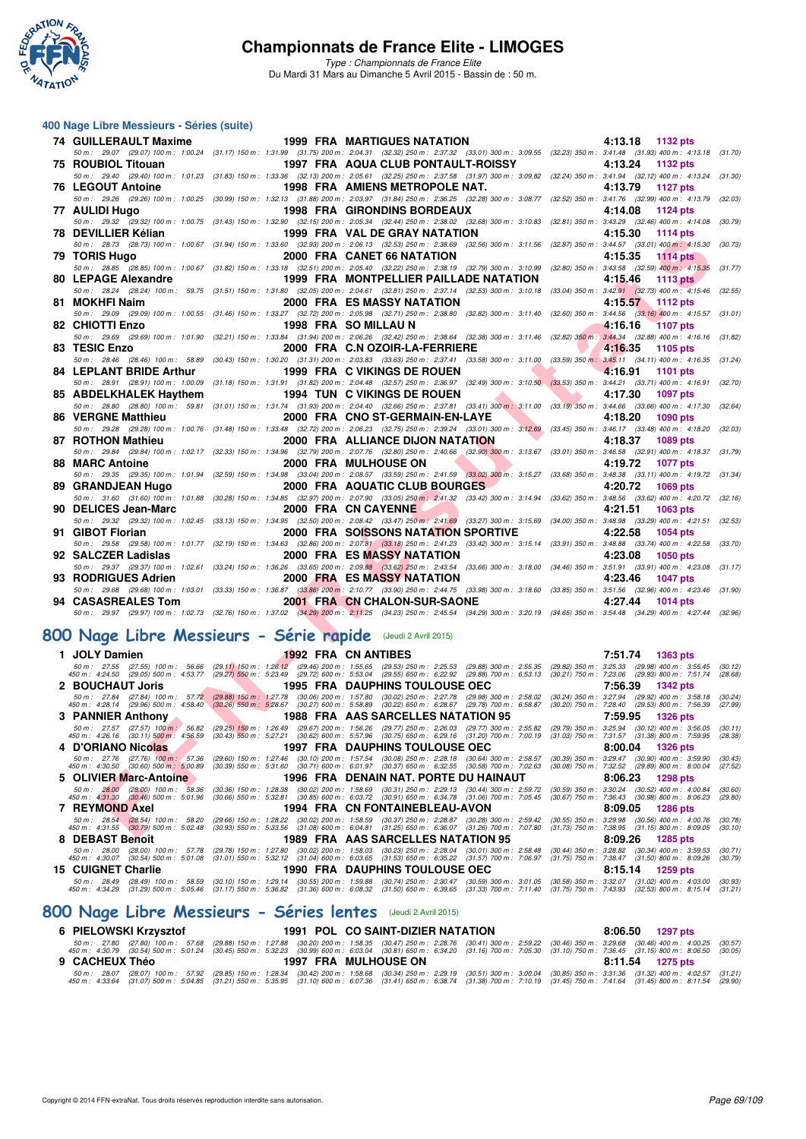

*Type : Championnats de France Elite* Du Mardi 31 Mars au Dimanche 5 Avril 2015 - Bassin de : 50 m.

#### **400 Nage Libre Messieurs - Séries (suite)**

| <b>74 GUILLERAULT Maxime</b>                                                                                                                                                                                                                                                  |                                                                                                                                                                                                                                                                                                                                                            | <b>1999 FRA MARTIGUES NATATION</b>                                                                                                                                                                                                                     |                                                                     |                                                                                                                                                                                                                                                                                                                                                                                                                                                                                                                                                                                                                                                                                                                                                                                                                                                                                                                                                                                                                                                                                                                                                                                                                                                                                                                                                                                                                                                                                                                                                                                                                                                                                                                                                                                                                                                                                                                                                                                                                                                                                                                                                                                                                                                                                                                                                           | 4:13.18<br>1132 pts                                                                                        |                                                                                                                                                                                                                                                                                                                                                                                                                                                                                                                                                                                                                                                                                                                                                                                                                                                                                                                                                                                                                                                                                                                                                                                                                                                                                                                                                                                                                                                                                                                                                                                                                                                                                                                                                                                |
|-------------------------------------------------------------------------------------------------------------------------------------------------------------------------------------------------------------------------------------------------------------------------------|------------------------------------------------------------------------------------------------------------------------------------------------------------------------------------------------------------------------------------------------------------------------------------------------------------------------------------------------------------|--------------------------------------------------------------------------------------------------------------------------------------------------------------------------------------------------------------------------------------------------------|---------------------------------------------------------------------|-----------------------------------------------------------------------------------------------------------------------------------------------------------------------------------------------------------------------------------------------------------------------------------------------------------------------------------------------------------------------------------------------------------------------------------------------------------------------------------------------------------------------------------------------------------------------------------------------------------------------------------------------------------------------------------------------------------------------------------------------------------------------------------------------------------------------------------------------------------------------------------------------------------------------------------------------------------------------------------------------------------------------------------------------------------------------------------------------------------------------------------------------------------------------------------------------------------------------------------------------------------------------------------------------------------------------------------------------------------------------------------------------------------------------------------------------------------------------------------------------------------------------------------------------------------------------------------------------------------------------------------------------------------------------------------------------------------------------------------------------------------------------------------------------------------------------------------------------------------------------------------------------------------------------------------------------------------------------------------------------------------------------------------------------------------------------------------------------------------------------------------------------------------------------------------------------------------------------------------------------------------------------------------------------------------------------------------------------------------|------------------------------------------------------------------------------------------------------------|--------------------------------------------------------------------------------------------------------------------------------------------------------------------------------------------------------------------------------------------------------------------------------------------------------------------------------------------------------------------------------------------------------------------------------------------------------------------------------------------------------------------------------------------------------------------------------------------------------------------------------------------------------------------------------------------------------------------------------------------------------------------------------------------------------------------------------------------------------------------------------------------------------------------------------------------------------------------------------------------------------------------------------------------------------------------------------------------------------------------------------------------------------------------------------------------------------------------------------------------------------------------------------------------------------------------------------------------------------------------------------------------------------------------------------------------------------------------------------------------------------------------------------------------------------------------------------------------------------------------------------------------------------------------------------------------------------------------------------------------------------------------------------|
|                                                                                                                                                                                                                                                                               |                                                                                                                                                                                                                                                                                                                                                            |                                                                                                                                                                                                                                                        |                                                                     |                                                                                                                                                                                                                                                                                                                                                                                                                                                                                                                                                                                                                                                                                                                                                                                                                                                                                                                                                                                                                                                                                                                                                                                                                                                                                                                                                                                                                                                                                                                                                                                                                                                                                                                                                                                                                                                                                                                                                                                                                                                                                                                                                                                                                                                                                                                                                           |                                                                                                            | (31.70)                                                                                                                                                                                                                                                                                                                                                                                                                                                                                                                                                                                                                                                                                                                                                                                                                                                                                                                                                                                                                                                                                                                                                                                                                                                                                                                                                                                                                                                                                                                                                                                                                                                                                                                                                                        |
|                                                                                                                                                                                                                                                                               |                                                                                                                                                                                                                                                                                                                                                            |                                                                                                                                                                                                                                                        |                                                                     |                                                                                                                                                                                                                                                                                                                                                                                                                                                                                                                                                                                                                                                                                                                                                                                                                                                                                                                                                                                                                                                                                                                                                                                                                                                                                                                                                                                                                                                                                                                                                                                                                                                                                                                                                                                                                                                                                                                                                                                                                                                                                                                                                                                                                                                                                                                                                           |                                                                                                            |                                                                                                                                                                                                                                                                                                                                                                                                                                                                                                                                                                                                                                                                                                                                                                                                                                                                                                                                                                                                                                                                                                                                                                                                                                                                                                                                                                                                                                                                                                                                                                                                                                                                                                                                                                                |
| <b>76 LEGOUT Antoine</b>                                                                                                                                                                                                                                                      |                                                                                                                                                                                                                                                                                                                                                            |                                                                                                                                                                                                                                                        |                                                                     |                                                                                                                                                                                                                                                                                                                                                                                                                                                                                                                                                                                                                                                                                                                                                                                                                                                                                                                                                                                                                                                                                                                                                                                                                                                                                                                                                                                                                                                                                                                                                                                                                                                                                                                                                                                                                                                                                                                                                                                                                                                                                                                                                                                                                                                                                                                                                           | 4:13.79<br>1127 pts                                                                                        |                                                                                                                                                                                                                                                                                                                                                                                                                                                                                                                                                                                                                                                                                                                                                                                                                                                                                                                                                                                                                                                                                                                                                                                                                                                                                                                                                                                                                                                                                                                                                                                                                                                                                                                                                                                |
| 50 m: 29.26 (29.26) 100 m: 1:00.25                                                                                                                                                                                                                                            |                                                                                                                                                                                                                                                                                                                                                            |                                                                                                                                                                                                                                                        |                                                                     |                                                                                                                                                                                                                                                                                                                                                                                                                                                                                                                                                                                                                                                                                                                                                                                                                                                                                                                                                                                                                                                                                                                                                                                                                                                                                                                                                                                                                                                                                                                                                                                                                                                                                                                                                                                                                                                                                                                                                                                                                                                                                                                                                                                                                                                                                                                                                           |                                                                                                            | (32.03)                                                                                                                                                                                                                                                                                                                                                                                                                                                                                                                                                                                                                                                                                                                                                                                                                                                                                                                                                                                                                                                                                                                                                                                                                                                                                                                                                                                                                                                                                                                                                                                                                                                                                                                                                                        |
|                                                                                                                                                                                                                                                                               |                                                                                                                                                                                                                                                                                                                                                            |                                                                                                                                                                                                                                                        |                                                                     |                                                                                                                                                                                                                                                                                                                                                                                                                                                                                                                                                                                                                                                                                                                                                                                                                                                                                                                                                                                                                                                                                                                                                                                                                                                                                                                                                                                                                                                                                                                                                                                                                                                                                                                                                                                                                                                                                                                                                                                                                                                                                                                                                                                                                                                                                                                                                           |                                                                                                            |                                                                                                                                                                                                                                                                                                                                                                                                                                                                                                                                                                                                                                                                                                                                                                                                                                                                                                                                                                                                                                                                                                                                                                                                                                                                                                                                                                                                                                                                                                                                                                                                                                                                                                                                                                                |
|                                                                                                                                                                                                                                                                               |                                                                                                                                                                                                                                                                                                                                                            |                                                                                                                                                                                                                                                        |                                                                     |                                                                                                                                                                                                                                                                                                                                                                                                                                                                                                                                                                                                                                                                                                                                                                                                                                                                                                                                                                                                                                                                                                                                                                                                                                                                                                                                                                                                                                                                                                                                                                                                                                                                                                                                                                                                                                                                                                                                                                                                                                                                                                                                                                                                                                                                                                                                                           |                                                                                                            |                                                                                                                                                                                                                                                                                                                                                                                                                                                                                                                                                                                                                                                                                                                                                                                                                                                                                                                                                                                                                                                                                                                                                                                                                                                                                                                                                                                                                                                                                                                                                                                                                                                                                                                                                                                |
|                                                                                                                                                                                                                                                                               |                                                                                                                                                                                                                                                                                                                                                            |                                                                                                                                                                                                                                                        |                                                                     |                                                                                                                                                                                                                                                                                                                                                                                                                                                                                                                                                                                                                                                                                                                                                                                                                                                                                                                                                                                                                                                                                                                                                                                                                                                                                                                                                                                                                                                                                                                                                                                                                                                                                                                                                                                                                                                                                                                                                                                                                                                                                                                                                                                                                                                                                                                                                           |                                                                                                            | (30.73)                                                                                                                                                                                                                                                                                                                                                                                                                                                                                                                                                                                                                                                                                                                                                                                                                                                                                                                                                                                                                                                                                                                                                                                                                                                                                                                                                                                                                                                                                                                                                                                                                                                                                                                                                                        |
|                                                                                                                                                                                                                                                                               |                                                                                                                                                                                                                                                                                                                                                            |                                                                                                                                                                                                                                                        |                                                                     |                                                                                                                                                                                                                                                                                                                                                                                                                                                                                                                                                                                                                                                                                                                                                                                                                                                                                                                                                                                                                                                                                                                                                                                                                                                                                                                                                                                                                                                                                                                                                                                                                                                                                                                                                                                                                                                                                                                                                                                                                                                                                                                                                                                                                                                                                                                                                           |                                                                                                            |                                                                                                                                                                                                                                                                                                                                                                                                                                                                                                                                                                                                                                                                                                                                                                                                                                                                                                                                                                                                                                                                                                                                                                                                                                                                                                                                                                                                                                                                                                                                                                                                                                                                                                                                                                                |
| 50 m: 28.85 (28.85) 100 m: 1:00.67                                                                                                                                                                                                                                            |                                                                                                                                                                                                                                                                                                                                                            |                                                                                                                                                                                                                                                        |                                                                     |                                                                                                                                                                                                                                                                                                                                                                                                                                                                                                                                                                                                                                                                                                                                                                                                                                                                                                                                                                                                                                                                                                                                                                                                                                                                                                                                                                                                                                                                                                                                                                                                                                                                                                                                                                                                                                                                                                                                                                                                                                                                                                                                                                                                                                                                                                                                                           |                                                                                                            | (31.77)                                                                                                                                                                                                                                                                                                                                                                                                                                                                                                                                                                                                                                                                                                                                                                                                                                                                                                                                                                                                                                                                                                                                                                                                                                                                                                                                                                                                                                                                                                                                                                                                                                                                                                                                                                        |
| <b>80 LEPAGE Alexandre</b>                                                                                                                                                                                                                                                    |                                                                                                                                                                                                                                                                                                                                                            |                                                                                                                                                                                                                                                        |                                                                     |                                                                                                                                                                                                                                                                                                                                                                                                                                                                                                                                                                                                                                                                                                                                                                                                                                                                                                                                                                                                                                                                                                                                                                                                                                                                                                                                                                                                                                                                                                                                                                                                                                                                                                                                                                                                                                                                                                                                                                                                                                                                                                                                                                                                                                                                                                                                                           | 4:15.46<br><b>1113 pts</b>                                                                                 |                                                                                                                                                                                                                                                                                                                                                                                                                                                                                                                                                                                                                                                                                                                                                                                                                                                                                                                                                                                                                                                                                                                                                                                                                                                                                                                                                                                                                                                                                                                                                                                                                                                                                                                                                                                |
|                                                                                                                                                                                                                                                                               |                                                                                                                                                                                                                                                                                                                                                            |                                                                                                                                                                                                                                                        |                                                                     |                                                                                                                                                                                                                                                                                                                                                                                                                                                                                                                                                                                                                                                                                                                                                                                                                                                                                                                                                                                                                                                                                                                                                                                                                                                                                                                                                                                                                                                                                                                                                                                                                                                                                                                                                                                                                                                                                                                                                                                                                                                                                                                                                                                                                                                                                                                                                           |                                                                                                            | (32.55)                                                                                                                                                                                                                                                                                                                                                                                                                                                                                                                                                                                                                                                                                                                                                                                                                                                                                                                                                                                                                                                                                                                                                                                                                                                                                                                                                                                                                                                                                                                                                                                                                                                                                                                                                                        |
|                                                                                                                                                                                                                                                                               |                                                                                                                                                                                                                                                                                                                                                            |                                                                                                                                                                                                                                                        |                                                                     |                                                                                                                                                                                                                                                                                                                                                                                                                                                                                                                                                                                                                                                                                                                                                                                                                                                                                                                                                                                                                                                                                                                                                                                                                                                                                                                                                                                                                                                                                                                                                                                                                                                                                                                                                                                                                                                                                                                                                                                                                                                                                                                                                                                                                                                                                                                                                           |                                                                                                            |                                                                                                                                                                                                                                                                                                                                                                                                                                                                                                                                                                                                                                                                                                                                                                                                                                                                                                                                                                                                                                                                                                                                                                                                                                                                                                                                                                                                                                                                                                                                                                                                                                                                                                                                                                                |
|                                                                                                                                                                                                                                                                               |                                                                                                                                                                                                                                                                                                                                                            |                                                                                                                                                                                                                                                        |                                                                     |                                                                                                                                                                                                                                                                                                                                                                                                                                                                                                                                                                                                                                                                                                                                                                                                                                                                                                                                                                                                                                                                                                                                                                                                                                                                                                                                                                                                                                                                                                                                                                                                                                                                                                                                                                                                                                                                                                                                                                                                                                                                                                                                                                                                                                                                                                                                                           |                                                                                                            |                                                                                                                                                                                                                                                                                                                                                                                                                                                                                                                                                                                                                                                                                                                                                                                                                                                                                                                                                                                                                                                                                                                                                                                                                                                                                                                                                                                                                                                                                                                                                                                                                                                                                                                                                                                |
|                                                                                                                                                                                                                                                                               |                                                                                                                                                                                                                                                                                                                                                            |                                                                                                                                                                                                                                                        |                                                                     |                                                                                                                                                                                                                                                                                                                                                                                                                                                                                                                                                                                                                                                                                                                                                                                                                                                                                                                                                                                                                                                                                                                                                                                                                                                                                                                                                                                                                                                                                                                                                                                                                                                                                                                                                                                                                                                                                                                                                                                                                                                                                                                                                                                                                                                                                                                                                           |                                                                                                            |                                                                                                                                                                                                                                                                                                                                                                                                                                                                                                                                                                                                                                                                                                                                                                                                                                                                                                                                                                                                                                                                                                                                                                                                                                                                                                                                                                                                                                                                                                                                                                                                                                                                                                                                                                                |
|                                                                                                                                                                                                                                                                               |                                                                                                                                                                                                                                                                                                                                                            |                                                                                                                                                                                                                                                        |                                                                     |                                                                                                                                                                                                                                                                                                                                                                                                                                                                                                                                                                                                                                                                                                                                                                                                                                                                                                                                                                                                                                                                                                                                                                                                                                                                                                                                                                                                                                                                                                                                                                                                                                                                                                                                                                                                                                                                                                                                                                                                                                                                                                                                                                                                                                                                                                                                                           |                                                                                                            |                                                                                                                                                                                                                                                                                                                                                                                                                                                                                                                                                                                                                                                                                                                                                                                                                                                                                                                                                                                                                                                                                                                                                                                                                                                                                                                                                                                                                                                                                                                                                                                                                                                                                                                                                                                |
|                                                                                                                                                                                                                                                                               |                                                                                                                                                                                                                                                                                                                                                            |                                                                                                                                                                                                                                                        |                                                                     |                                                                                                                                                                                                                                                                                                                                                                                                                                                                                                                                                                                                                                                                                                                                                                                                                                                                                                                                                                                                                                                                                                                                                                                                                                                                                                                                                                                                                                                                                                                                                                                                                                                                                                                                                                                                                                                                                                                                                                                                                                                                                                                                                                                                                                                                                                                                                           |                                                                                                            | (31.24)                                                                                                                                                                                                                                                                                                                                                                                                                                                                                                                                                                                                                                                                                                                                                                                                                                                                                                                                                                                                                                                                                                                                                                                                                                                                                                                                                                                                                                                                                                                                                                                                                                                                                                                                                                        |
| <b>84 LEPLANT BRIDE Arthur</b>                                                                                                                                                                                                                                                |                                                                                                                                                                                                                                                                                                                                                            |                                                                                                                                                                                                                                                        |                                                                     |                                                                                                                                                                                                                                                                                                                                                                                                                                                                                                                                                                                                                                                                                                                                                                                                                                                                                                                                                                                                                                                                                                                                                                                                                                                                                                                                                                                                                                                                                                                                                                                                                                                                                                                                                                                                                                                                                                                                                                                                                                                                                                                                                                                                                                                                                                                                                           | 4:16.91<br>1101 pts                                                                                        |                                                                                                                                                                                                                                                                                                                                                                                                                                                                                                                                                                                                                                                                                                                                                                                                                                                                                                                                                                                                                                                                                                                                                                                                                                                                                                                                                                                                                                                                                                                                                                                                                                                                                                                                                                                |
|                                                                                                                                                                                                                                                                               |                                                                                                                                                                                                                                                                                                                                                            |                                                                                                                                                                                                                                                        |                                                                     |                                                                                                                                                                                                                                                                                                                                                                                                                                                                                                                                                                                                                                                                                                                                                                                                                                                                                                                                                                                                                                                                                                                                                                                                                                                                                                                                                                                                                                                                                                                                                                                                                                                                                                                                                                                                                                                                                                                                                                                                                                                                                                                                                                                                                                                                                                                                                           |                                                                                                            |                                                                                                                                                                                                                                                                                                                                                                                                                                                                                                                                                                                                                                                                                                                                                                                                                                                                                                                                                                                                                                                                                                                                                                                                                                                                                                                                                                                                                                                                                                                                                                                                                                                                                                                                                                                |
| 85 ABDELKHALEK Haythem                                                                                                                                                                                                                                                        |                                                                                                                                                                                                                                                                                                                                                            |                                                                                                                                                                                                                                                        |                                                                     |                                                                                                                                                                                                                                                                                                                                                                                                                                                                                                                                                                                                                                                                                                                                                                                                                                                                                                                                                                                                                                                                                                                                                                                                                                                                                                                                                                                                                                                                                                                                                                                                                                                                                                                                                                                                                                                                                                                                                                                                                                                                                                                                                                                                                                                                                                                                                           | 4:17.30<br><b>1097 pts</b>                                                                                 |                                                                                                                                                                                                                                                                                                                                                                                                                                                                                                                                                                                                                                                                                                                                                                                                                                                                                                                                                                                                                                                                                                                                                                                                                                                                                                                                                                                                                                                                                                                                                                                                                                                                                                                                                                                |
| 50 m: 28.80 (28.80) 100 m: 59.81                                                                                                                                                                                                                                              |                                                                                                                                                                                                                                                                                                                                                            |                                                                                                                                                                                                                                                        |                                                                     |                                                                                                                                                                                                                                                                                                                                                                                                                                                                                                                                                                                                                                                                                                                                                                                                                                                                                                                                                                                                                                                                                                                                                                                                                                                                                                                                                                                                                                                                                                                                                                                                                                                                                                                                                                                                                                                                                                                                                                                                                                                                                                                                                                                                                                                                                                                                                           |                                                                                                            | (32.64)                                                                                                                                                                                                                                                                                                                                                                                                                                                                                                                                                                                                                                                                                                                                                                                                                                                                                                                                                                                                                                                                                                                                                                                                                                                                                                                                                                                                                                                                                                                                                                                                                                                                                                                                                                        |
|                                                                                                                                                                                                                                                                               |                                                                                                                                                                                                                                                                                                                                                            |                                                                                                                                                                                                                                                        |                                                                     |                                                                                                                                                                                                                                                                                                                                                                                                                                                                                                                                                                                                                                                                                                                                                                                                                                                                                                                                                                                                                                                                                                                                                                                                                                                                                                                                                                                                                                                                                                                                                                                                                                                                                                                                                                                                                                                                                                                                                                                                                                                                                                                                                                                                                                                                                                                                                           |                                                                                                            |                                                                                                                                                                                                                                                                                                                                                                                                                                                                                                                                                                                                                                                                                                                                                                                                                                                                                                                                                                                                                                                                                                                                                                                                                                                                                                                                                                                                                                                                                                                                                                                                                                                                                                                                                                                |
|                                                                                                                                                                                                                                                                               |                                                                                                                                                                                                                                                                                                                                                            |                                                                                                                                                                                                                                                        |                                                                     |                                                                                                                                                                                                                                                                                                                                                                                                                                                                                                                                                                                                                                                                                                                                                                                                                                                                                                                                                                                                                                                                                                                                                                                                                                                                                                                                                                                                                                                                                                                                                                                                                                                                                                                                                                                                                                                                                                                                                                                                                                                                                                                                                                                                                                                                                                                                                           |                                                                                                            |                                                                                                                                                                                                                                                                                                                                                                                                                                                                                                                                                                                                                                                                                                                                                                                                                                                                                                                                                                                                                                                                                                                                                                                                                                                                                                                                                                                                                                                                                                                                                                                                                                                                                                                                                                                |
|                                                                                                                                                                                                                                                                               |                                                                                                                                                                                                                                                                                                                                                            |                                                                                                                                                                                                                                                        |                                                                     |                                                                                                                                                                                                                                                                                                                                                                                                                                                                                                                                                                                                                                                                                                                                                                                                                                                                                                                                                                                                                                                                                                                                                                                                                                                                                                                                                                                                                                                                                                                                                                                                                                                                                                                                                                                                                                                                                                                                                                                                                                                                                                                                                                                                                                                                                                                                                           |                                                                                                            |                                                                                                                                                                                                                                                                                                                                                                                                                                                                                                                                                                                                                                                                                                                                                                                                                                                                                                                                                                                                                                                                                                                                                                                                                                                                                                                                                                                                                                                                                                                                                                                                                                                                                                                                                                                |
|                                                                                                                                                                                                                                                                               |                                                                                                                                                                                                                                                                                                                                                            |                                                                                                                                                                                                                                                        |                                                                     |                                                                                                                                                                                                                                                                                                                                                                                                                                                                                                                                                                                                                                                                                                                                                                                                                                                                                                                                                                                                                                                                                                                                                                                                                                                                                                                                                                                                                                                                                                                                                                                                                                                                                                                                                                                                                                                                                                                                                                                                                                                                                                                                                                                                                                                                                                                                                           |                                                                                                            | (31.79)                                                                                                                                                                                                                                                                                                                                                                                                                                                                                                                                                                                                                                                                                                                                                                                                                                                                                                                                                                                                                                                                                                                                                                                                                                                                                                                                                                                                                                                                                                                                                                                                                                                                                                                                                                        |
|                                                                                                                                                                                                                                                                               |                                                                                                                                                                                                                                                                                                                                                            |                                                                                                                                                                                                                                                        |                                                                     |                                                                                                                                                                                                                                                                                                                                                                                                                                                                                                                                                                                                                                                                                                                                                                                                                                                                                                                                                                                                                                                                                                                                                                                                                                                                                                                                                                                                                                                                                                                                                                                                                                                                                                                                                                                                                                                                                                                                                                                                                                                                                                                                                                                                                                                                                                                                                           |                                                                                                            | (31.34)                                                                                                                                                                                                                                                                                                                                                                                                                                                                                                                                                                                                                                                                                                                                                                                                                                                                                                                                                                                                                                                                                                                                                                                                                                                                                                                                                                                                                                                                                                                                                                                                                                                                                                                                                                        |
|                                                                                                                                                                                                                                                                               |                                                                                                                                                                                                                                                                                                                                                            |                                                                                                                                                                                                                                                        |                                                                     |                                                                                                                                                                                                                                                                                                                                                                                                                                                                                                                                                                                                                                                                                                                                                                                                                                                                                                                                                                                                                                                                                                                                                                                                                                                                                                                                                                                                                                                                                                                                                                                                                                                                                                                                                                                                                                                                                                                                                                                                                                                                                                                                                                                                                                                                                                                                                           |                                                                                                            |                                                                                                                                                                                                                                                                                                                                                                                                                                                                                                                                                                                                                                                                                                                                                                                                                                                                                                                                                                                                                                                                                                                                                                                                                                                                                                                                                                                                                                                                                                                                                                                                                                                                                                                                                                                |
|                                                                                                                                                                                                                                                                               |                                                                                                                                                                                                                                                                                                                                                            |                                                                                                                                                                                                                                                        |                                                                     |                                                                                                                                                                                                                                                                                                                                                                                                                                                                                                                                                                                                                                                                                                                                                                                                                                                                                                                                                                                                                                                                                                                                                                                                                                                                                                                                                                                                                                                                                                                                                                                                                                                                                                                                                                                                                                                                                                                                                                                                                                                                                                                                                                                                                                                                                                                                                           |                                                                                                            |                                                                                                                                                                                                                                                                                                                                                                                                                                                                                                                                                                                                                                                                                                                                                                                                                                                                                                                                                                                                                                                                                                                                                                                                                                                                                                                                                                                                                                                                                                                                                                                                                                                                                                                                                                                |
| 90 DELICES Jean-Marc                                                                                                                                                                                                                                                          |                                                                                                                                                                                                                                                                                                                                                            |                                                                                                                                                                                                                                                        |                                                                     |                                                                                                                                                                                                                                                                                                                                                                                                                                                                                                                                                                                                                                                                                                                                                                                                                                                                                                                                                                                                                                                                                                                                                                                                                                                                                                                                                                                                                                                                                                                                                                                                                                                                                                                                                                                                                                                                                                                                                                                                                                                                                                                                                                                                                                                                                                                                                           | 4:21.51<br>1063 pts                                                                                        |                                                                                                                                                                                                                                                                                                                                                                                                                                                                                                                                                                                                                                                                                                                                                                                                                                                                                                                                                                                                                                                                                                                                                                                                                                                                                                                                                                                                                                                                                                                                                                                                                                                                                                                                                                                |
|                                                                                                                                                                                                                                                                               |                                                                                                                                                                                                                                                                                                                                                            |                                                                                                                                                                                                                                                        |                                                                     |                                                                                                                                                                                                                                                                                                                                                                                                                                                                                                                                                                                                                                                                                                                                                                                                                                                                                                                                                                                                                                                                                                                                                                                                                                                                                                                                                                                                                                                                                                                                                                                                                                                                                                                                                                                                                                                                                                                                                                                                                                                                                                                                                                                                                                                                                                                                                           |                                                                                                            |                                                                                                                                                                                                                                                                                                                                                                                                                                                                                                                                                                                                                                                                                                                                                                                                                                                                                                                                                                                                                                                                                                                                                                                                                                                                                                                                                                                                                                                                                                                                                                                                                                                                                                                                                                                |
| 91 GIBOT Florian                                                                                                                                                                                                                                                              |                                                                                                                                                                                                                                                                                                                                                            |                                                                                                                                                                                                                                                        |                                                                     |                                                                                                                                                                                                                                                                                                                                                                                                                                                                                                                                                                                                                                                                                                                                                                                                                                                                                                                                                                                                                                                                                                                                                                                                                                                                                                                                                                                                                                                                                                                                                                                                                                                                                                                                                                                                                                                                                                                                                                                                                                                                                                                                                                                                                                                                                                                                                           | 4:22.58<br>1054 pts                                                                                        |                                                                                                                                                                                                                                                                                                                                                                                                                                                                                                                                                                                                                                                                                                                                                                                                                                                                                                                                                                                                                                                                                                                                                                                                                                                                                                                                                                                                                                                                                                                                                                                                                                                                                                                                                                                |
|                                                                                                                                                                                                                                                                               |                                                                                                                                                                                                                                                                                                                                                            |                                                                                                                                                                                                                                                        |                                                                     |                                                                                                                                                                                                                                                                                                                                                                                                                                                                                                                                                                                                                                                                                                                                                                                                                                                                                                                                                                                                                                                                                                                                                                                                                                                                                                                                                                                                                                                                                                                                                                                                                                                                                                                                                                                                                                                                                                                                                                                                                                                                                                                                                                                                                                                                                                                                                           |                                                                                                            |                                                                                                                                                                                                                                                                                                                                                                                                                                                                                                                                                                                                                                                                                                                                                                                                                                                                                                                                                                                                                                                                                                                                                                                                                                                                                                                                                                                                                                                                                                                                                                                                                                                                                                                                                                                |
|                                                                                                                                                                                                                                                                               |                                                                                                                                                                                                                                                                                                                                                            |                                                                                                                                                                                                                                                        |                                                                     |                                                                                                                                                                                                                                                                                                                                                                                                                                                                                                                                                                                                                                                                                                                                                                                                                                                                                                                                                                                                                                                                                                                                                                                                                                                                                                                                                                                                                                                                                                                                                                                                                                                                                                                                                                                                                                                                                                                                                                                                                                                                                                                                                                                                                                                                                                                                                           |                                                                                                            |                                                                                                                                                                                                                                                                                                                                                                                                                                                                                                                                                                                                                                                                                                                                                                                                                                                                                                                                                                                                                                                                                                                                                                                                                                                                                                                                                                                                                                                                                                                                                                                                                                                                                                                                                                                |
|                                                                                                                                                                                                                                                                               |                                                                                                                                                                                                                                                                                                                                                            |                                                                                                                                                                                                                                                        |                                                                     |                                                                                                                                                                                                                                                                                                                                                                                                                                                                                                                                                                                                                                                                                                                                                                                                                                                                                                                                                                                                                                                                                                                                                                                                                                                                                                                                                                                                                                                                                                                                                                                                                                                                                                                                                                                                                                                                                                                                                                                                                                                                                                                                                                                                                                                                                                                                                           |                                                                                                            |                                                                                                                                                                                                                                                                                                                                                                                                                                                                                                                                                                                                                                                                                                                                                                                                                                                                                                                                                                                                                                                                                                                                                                                                                                                                                                                                                                                                                                                                                                                                                                                                                                                                                                                                                                                |
| 50 m: 29.37 (29.37) 100 m: 1:02.61 (33.24) 150 m: 1:36.26 (33.65) 200 m: 2:09.88 (33.62) 250 m: 2:43.54 (33.66) 300 m: 3:18.00 (34.46) 350 m: 3:51.91 (33.91) 400 m: 4:23.08                                                                                                  |                                                                                                                                                                                                                                                                                                                                                            |                                                                                                                                                                                                                                                        |                                                                     |                                                                                                                                                                                                                                                                                                                                                                                                                                                                                                                                                                                                                                                                                                                                                                                                                                                                                                                                                                                                                                                                                                                                                                                                                                                                                                                                                                                                                                                                                                                                                                                                                                                                                                                                                                                                                                                                                                                                                                                                                                                                                                                                                                                                                                                                                                                                                           |                                                                                                            | (31.17)                                                                                                                                                                                                                                                                                                                                                                                                                                                                                                                                                                                                                                                                                                                                                                                                                                                                                                                                                                                                                                                                                                                                                                                                                                                                                                                                                                                                                                                                                                                                                                                                                                                                                                                                                                        |
| 93 RODRIGUES Adrien                                                                                                                                                                                                                                                           |                                                                                                                                                                                                                                                                                                                                                            | <b>2000 FRA ES MASSY NATATION</b>                                                                                                                                                                                                                      |                                                                     |                                                                                                                                                                                                                                                                                                                                                                                                                                                                                                                                                                                                                                                                                                                                                                                                                                                                                                                                                                                                                                                                                                                                                                                                                                                                                                                                                                                                                                                                                                                                                                                                                                                                                                                                                                                                                                                                                                                                                                                                                                                                                                                                                                                                                                                                                                                                                           | 4:23.46<br><b>1047 pts</b>                                                                                 |                                                                                                                                                                                                                                                                                                                                                                                                                                                                                                                                                                                                                                                                                                                                                                                                                                                                                                                                                                                                                                                                                                                                                                                                                                                                                                                                                                                                                                                                                                                                                                                                                                                                                                                                                                                |
| 50 m : 29.68 (29.68) 100 m : 1:03.01 (33.33) 150 m : 1:36.87 (33.86) 200 m : 2:10.77 (33.90) 250 m : 2:44.75 (33.98) 300 m : 3:18.60 (33.85) 350 m : 3:51.56 (32.96) 400 m : 4:23.46 (31.90)                                                                                  |                                                                                                                                                                                                                                                                                                                                                            |                                                                                                                                                                                                                                                        |                                                                     |                                                                                                                                                                                                                                                                                                                                                                                                                                                                                                                                                                                                                                                                                                                                                                                                                                                                                                                                                                                                                                                                                                                                                                                                                                                                                                                                                                                                                                                                                                                                                                                                                                                                                                                                                                                                                                                                                                                                                                                                                                                                                                                                                                                                                                                                                                                                                           |                                                                                                            |                                                                                                                                                                                                                                                                                                                                                                                                                                                                                                                                                                                                                                                                                                                                                                                                                                                                                                                                                                                                                                                                                                                                                                                                                                                                                                                                                                                                                                                                                                                                                                                                                                                                                                                                                                                |
| 94 CASASREALES Tom<br>50 m: 29.97 (29.97) 100 m: 1:02.73 (32.76) 150 m: 1:37.02 (34.29) 200 m: 2:11.25 (34.23) 250 m: 2:45.54 (34.29) 300 m: 3:20.19 (34.65) 350 m: 3:54.48 (34.29) 400 m: 4:27.44 (32.96)                                                                    |                                                                                                                                                                                                                                                                                                                                                            | 2001 FRA CN CHALON-SUR-SAONE                                                                                                                                                                                                                           |                                                                     |                                                                                                                                                                                                                                                                                                                                                                                                                                                                                                                                                                                                                                                                                                                                                                                                                                                                                                                                                                                                                                                                                                                                                                                                                                                                                                                                                                                                                                                                                                                                                                                                                                                                                                                                                                                                                                                                                                                                                                                                                                                                                                                                                                                                                                                                                                                                                           | 4:27.44<br><b>1014 pts</b>                                                                                 |                                                                                                                                                                                                                                                                                                                                                                                                                                                                                                                                                                                                                                                                                                                                                                                                                                                                                                                                                                                                                                                                                                                                                                                                                                                                                                                                                                                                                                                                                                                                                                                                                                                                                                                                                                                |
|                                                                                                                                                                                                                                                                               |                                                                                                                                                                                                                                                                                                                                                            |                                                                                                                                                                                                                                                        |                                                                     |                                                                                                                                                                                                                                                                                                                                                                                                                                                                                                                                                                                                                                                                                                                                                                                                                                                                                                                                                                                                                                                                                                                                                                                                                                                                                                                                                                                                                                                                                                                                                                                                                                                                                                                                                                                                                                                                                                                                                                                                                                                                                                                                                                                                                                                                                                                                                           |                                                                                                            |                                                                                                                                                                                                                                                                                                                                                                                                                                                                                                                                                                                                                                                                                                                                                                                                                                                                                                                                                                                                                                                                                                                                                                                                                                                                                                                                                                                                                                                                                                                                                                                                                                                                                                                                                                                |
| 100 Nage Libre Messieurs - Série rapide (Jeudi 2 Avril 2015)                                                                                                                                                                                                                  |                                                                                                                                                                                                                                                                                                                                                            |                                                                                                                                                                                                                                                        |                                                                     |                                                                                                                                                                                                                                                                                                                                                                                                                                                                                                                                                                                                                                                                                                                                                                                                                                                                                                                                                                                                                                                                                                                                                                                                                                                                                                                                                                                                                                                                                                                                                                                                                                                                                                                                                                                                                                                                                                                                                                                                                                                                                                                                                                                                                                                                                                                                                           |                                                                                                            |                                                                                                                                                                                                                                                                                                                                                                                                                                                                                                                                                                                                                                                                                                                                                                                                                                                                                                                                                                                                                                                                                                                                                                                                                                                                                                                                                                                                                                                                                                                                                                                                                                                                                                                                                                                |
| 1 JOLY Damien                                                                                                                                                                                                                                                                 |                                                                                                                                                                                                                                                                                                                                                            | <b>1992 FRA CN ANTIBES</b>                                                                                                                                                                                                                             |                                                                     |                                                                                                                                                                                                                                                                                                                                                                                                                                                                                                                                                                                                                                                                                                                                                                                                                                                                                                                                                                                                                                                                                                                                                                                                                                                                                                                                                                                                                                                                                                                                                                                                                                                                                                                                                                                                                                                                                                                                                                                                                                                                                                                                                                                                                                                                                                                                                           | 7:51.74<br>1363 pts                                                                                        |                                                                                                                                                                                                                                                                                                                                                                                                                                                                                                                                                                                                                                                                                                                                                                                                                                                                                                                                                                                                                                                                                                                                                                                                                                                                                                                                                                                                                                                                                                                                                                                                                                                                                                                                                                                |
|                                                                                                                                                                                                                                                                               |                                                                                                                                                                                                                                                                                                                                                            |                                                                                                                                                                                                                                                        |                                                                     |                                                                                                                                                                                                                                                                                                                                                                                                                                                                                                                                                                                                                                                                                                                                                                                                                                                                                                                                                                                                                                                                                                                                                                                                                                                                                                                                                                                                                                                                                                                                                                                                                                                                                                                                                                                                                                                                                                                                                                                                                                                                                                                                                                                                                                                                                                                                                           | (29.82) 350 m : 3:25.33 (29.98) 400 m : 3:55.45                                                            | (30.12)                                                                                                                                                                                                                                                                                                                                                                                                                                                                                                                                                                                                                                                                                                                                                                                                                                                                                                                                                                                                                                                                                                                                                                                                                                                                                                                                                                                                                                                                                                                                                                                                                                                                                                                                                                        |
| 50 m :  27.55   (27.55)  100 m :  56.66   (29.11) 150 m : 1:26.12   (29.46) 200 m : 1:55.65   (29.53) 250 m : 2:25.53   (29.88) 300 m : 2:55.35<br>450 m :  4:24.50   (29.05) 500 m :  4:53.77   (29.27) 550 m : 5:23.49   (29.72                                             |                                                                                                                                                                                                                                                                                                                                                            |                                                                                                                                                                                                                                                        |                                                                     |                                                                                                                                                                                                                                                                                                                                                                                                                                                                                                                                                                                                                                                                                                                                                                                                                                                                                                                                                                                                                                                                                                                                                                                                                                                                                                                                                                                                                                                                                                                                                                                                                                                                                                                                                                                                                                                                                                                                                                                                                                                                                                                                                                                                                                                                                                                                                           | (30.21) 750 m : 7:23.06 (29.93) 800 m : 7:51.74                                                            | (28.68)                                                                                                                                                                                                                                                                                                                                                                                                                                                                                                                                                                                                                                                                                                                                                                                                                                                                                                                                                                                                                                                                                                                                                                                                                                                                                                                                                                                                                                                                                                                                                                                                                                                                                                                                                                        |
| 2 BOUCHAUT Joris                                                                                                                                                                                                                                                              |                                                                                                                                                                                                                                                                                                                                                            | <b>1995 FRA DAUPHINS TOULOUSE OEC</b>                                                                                                                                                                                                                  |                                                                     |                                                                                                                                                                                                                                                                                                                                                                                                                                                                                                                                                                                                                                                                                                                                                                                                                                                                                                                                                                                                                                                                                                                                                                                                                                                                                                                                                                                                                                                                                                                                                                                                                                                                                                                                                                                                                                                                                                                                                                                                                                                                                                                                                                                                                                                                                                                                                           | 7:56.39<br><b>1342 pts</b>                                                                                 |                                                                                                                                                                                                                                                                                                                                                                                                                                                                                                                                                                                                                                                                                                                                                                                                                                                                                                                                                                                                                                                                                                                                                                                                                                                                                                                                                                                                                                                                                                                                                                                                                                                                                                                                                                                |
| 50 m : 27.84 (27.84) 100 m : 57.72 (29.88) 150 m : 1:27.78 (30.06) 200 m : 1:57.80 (30.02) 250 m : 2:27.78 (29.98) 300 m : 2:58.02<br>450 m : 4:28.14 (29.96) 500 m : 4:58.40 (30.26) 550 m : 5:28.67 (30.27) 600 m : 5:58.89 (30.22) 650 m : 6:28.67 (29.78) 700 m : 6:58.87 |                                                                                                                                                                                                                                                                                                                                                            |                                                                                                                                                                                                                                                        |                                                                     |                                                                                                                                                                                                                                                                                                                                                                                                                                                                                                                                                                                                                                                                                                                                                                                                                                                                                                                                                                                                                                                                                                                                                                                                                                                                                                                                                                                                                                                                                                                                                                                                                                                                                                                                                                                                                                                                                                                                                                                                                                                                                                                                                                                                                                                                                                                                                           | (30.24) 350 m: 3:27.94 (29.92) 400 m: 3:58.18<br>(30.20) 750 m : 7:28.40 (29.53) 800 m : 7:56.39           | (30.24)<br>(27.99)                                                                                                                                                                                                                                                                                                                                                                                                                                                                                                                                                                                                                                                                                                                                                                                                                                                                                                                                                                                                                                                                                                                                                                                                                                                                                                                                                                                                                                                                                                                                                                                                                                                                                                                                                             |
| 3 PANNIER Anthony                                                                                                                                                                                                                                                             |                                                                                                                                                                                                                                                                                                                                                            | 1988 FRA AAS SARCELLES NATATION 95                                                                                                                                                                                                                     |                                                                     |                                                                                                                                                                                                                                                                                                                                                                                                                                                                                                                                                                                                                                                                                                                                                                                                                                                                                                                                                                                                                                                                                                                                                                                                                                                                                                                                                                                                                                                                                                                                                                                                                                                                                                                                                                                                                                                                                                                                                                                                                                                                                                                                                                                                                                                                                                                                                           | 7:59.95<br><b>1326 pts</b>                                                                                 |                                                                                                                                                                                                                                                                                                                                                                                                                                                                                                                                                                                                                                                                                                                                                                                                                                                                                                                                                                                                                                                                                                                                                                                                                                                                                                                                                                                                                                                                                                                                                                                                                                                                                                                                                                                |
| 50 m: 27.57 (27.57) 100 m: 56.82                                                                                                                                                                                                                                              |                                                                                                                                                                                                                                                                                                                                                            |                                                                                                                                                                                                                                                        |                                                                     |                                                                                                                                                                                                                                                                                                                                                                                                                                                                                                                                                                                                                                                                                                                                                                                                                                                                                                                                                                                                                                                                                                                                                                                                                                                                                                                                                                                                                                                                                                                                                                                                                                                                                                                                                                                                                                                                                                                                                                                                                                                                                                                                                                                                                                                                                                                                                           | (29.79) 350 m: 3:25.94 (30.12) 400 m: 3:56.05                                                              | (30.11)                                                                                                                                                                                                                                                                                                                                                                                                                                                                                                                                                                                                                                                                                                                                                                                                                                                                                                                                                                                                                                                                                                                                                                                                                                                                                                                                                                                                                                                                                                                                                                                                                                                                                                                                                                        |
| 450 m : 4:26.16 (30.11) 500 m : 4:56.59                                                                                                                                                                                                                                       |                                                                                                                                                                                                                                                                                                                                                            | (29.25) 150 m : 1:26.49 (29.67) 200 m : 1:56.26 (29.77) 250 m : 2:26.03 (29.77) 300 m : 2:55.82<br>(30.43) 550 m : 5:27.21 (30.62) 600 m : 5:57.96 (30.75) 650 m : 6:29.16 (31.20) 700 m : 7:00.19                                                     |                                                                     | $(31.03)$ 750 m : 7:31.57                                                                                                                                                                                                                                                                                                                                                                                                                                                                                                                                                                                                                                                                                                                                                                                                                                                                                                                                                                                                                                                                                                                                                                                                                                                                                                                                                                                                                                                                                                                                                                                                                                                                                                                                                                                                                                                                                                                                                                                                                                                                                                                                                                                                                                                                                                                                 | $(31.38)$ 800 m : 7:59.95                                                                                  | (28.38)                                                                                                                                                                                                                                                                                                                                                                                                                                                                                                                                                                                                                                                                                                                                                                                                                                                                                                                                                                                                                                                                                                                                                                                                                                                                                                                                                                                                                                                                                                                                                                                                                                                                                                                                                                        |
| 4 D'ORIANO Nicolas<br>50 m: 27.76 (27.76) 100 m: 57.36                                                                                                                                                                                                                        |                                                                                                                                                                                                                                                                                                                                                            | <b>1997 FRA DAUPHINS TOULOUSE OEC</b><br>(29.60) 150 m: 1:27.46 (30.10) 200 m: 1:57.54 (30.08) 250 m: 2:28.18 (30.64) 300 m: 2:58.57                                                                                                                   |                                                                     |                                                                                                                                                                                                                                                                                                                                                                                                                                                                                                                                                                                                                                                                                                                                                                                                                                                                                                                                                                                                                                                                                                                                                                                                                                                                                                                                                                                                                                                                                                                                                                                                                                                                                                                                                                                                                                                                                                                                                                                                                                                                                                                                                                                                                                                                                                                                                           | 8:00.04<br><b>1326 pts</b><br>$(30.39)$ 350 m : 3:29.47 $(30.90)$ 400 m : 3:59.90                          | (30.43)                                                                                                                                                                                                                                                                                                                                                                                                                                                                                                                                                                                                                                                                                                                                                                                                                                                                                                                                                                                                                                                                                                                                                                                                                                                                                                                                                                                                                                                                                                                                                                                                                                                                                                                                                                        |
| 450 m : 4:30.50 (30.60) 500 m : 5:00.89                                                                                                                                                                                                                                       |                                                                                                                                                                                                                                                                                                                                                            | (30.39) 550 m : 5:31.60 (30.71) 600 m : 6:01.97 (30.37) 650 m : 6:32.55 (30.58) 700 m : 7:02.63                                                                                                                                                        |                                                                     |                                                                                                                                                                                                                                                                                                                                                                                                                                                                                                                                                                                                                                                                                                                                                                                                                                                                                                                                                                                                                                                                                                                                                                                                                                                                                                                                                                                                                                                                                                                                                                                                                                                                                                                                                                                                                                                                                                                                                                                                                                                                                                                                                                                                                                                                                                                                                           | $(30.08)$ 750 m : 7:32.52 $(29.89)$ 800 m : 8:00.04                                                        | (27.52)                                                                                                                                                                                                                                                                                                                                                                                                                                                                                                                                                                                                                                                                                                                                                                                                                                                                                                                                                                                                                                                                                                                                                                                                                                                                                                                                                                                                                                                                                                                                                                                                                                                                                                                                                                        |
| 5 OLIVIER Marc-Antoine                                                                                                                                                                                                                                                        |                                                                                                                                                                                                                                                                                                                                                            | 1996 FRA DENAIN NAT. PORTE DU HAINAUT                                                                                                                                                                                                                  |                                                                     |                                                                                                                                                                                                                                                                                                                                                                                                                                                                                                                                                                                                                                                                                                                                                                                                                                                                                                                                                                                                                                                                                                                                                                                                                                                                                                                                                                                                                                                                                                                                                                                                                                                                                                                                                                                                                                                                                                                                                                                                                                                                                                                                                                                                                                                                                                                                                           | 8:06.23<br><b>1298 pts</b>                                                                                 |                                                                                                                                                                                                                                                                                                                                                                                                                                                                                                                                                                                                                                                                                                                                                                                                                                                                                                                                                                                                                                                                                                                                                                                                                                                                                                                                                                                                                                                                                                                                                                                                                                                                                                                                                                                |
| 50 m: 28.00 (28.00) 100 m: 58.36                                                                                                                                                                                                                                              |                                                                                                                                                                                                                                                                                                                                                            |                                                                                                                                                                                                                                                        |                                                                     |                                                                                                                                                                                                                                                                                                                                                                                                                                                                                                                                                                                                                                                                                                                                                                                                                                                                                                                                                                                                                                                                                                                                                                                                                                                                                                                                                                                                                                                                                                                                                                                                                                                                                                                                                                                                                                                                                                                                                                                                                                                                                                                                                                                                                                                                                                                                                           | $(30.59)$ 350 m : 3:30.24 $(30.52)$ 400 m : 4:00.84<br>$(30.67)$ 750 m : 7:36.43 $(30.98)$ 800 m : 8:06.23 | (30.60)<br>(29.80)                                                                                                                                                                                                                                                                                                                                                                                                                                                                                                                                                                                                                                                                                                                                                                                                                                                                                                                                                                                                                                                                                                                                                                                                                                                                                                                                                                                                                                                                                                                                                                                                                                                                                                                                                             |
| 450 m : 4:31.30 (30.46) 500 m : 5:01.96<br>7 REYMOND Axel                                                                                                                                                                                                                     |                                                                                                                                                                                                                                                                                                                                                            | (30.36) 150 m : 1:28.38    (30.02) 200 m : 1:58.69    (30.31) 250 m : 2:29.13    (30.44) 300 m : 2:59.72<br>(30.66) 550 m : 5:32.81    (30.85) 600 m : 6:03.72    (30.91) 650 m : 6:34.78    (31.06) 700 m : 7:05.45<br>1994 FRA CN FONTAINEBLEAU-AVON |                                                                     |                                                                                                                                                                                                                                                                                                                                                                                                                                                                                                                                                                                                                                                                                                                                                                                                                                                                                                                                                                                                                                                                                                                                                                                                                                                                                                                                                                                                                                                                                                                                                                                                                                                                                                                                                                                                                                                                                                                                                                                                                                                                                                                                                                                                                                                                                                                                                           | 8:09.05<br><b>1286 pts</b>                                                                                 |                                                                                                                                                                                                                                                                                                                                                                                                                                                                                                                                                                                                                                                                                                                                                                                                                                                                                                                                                                                                                                                                                                                                                                                                                                                                                                                                                                                                                                                                                                                                                                                                                                                                                                                                                                                |
| 50 m: 28.54 (28.54) 100 m: 58.20<br>450 m : 4:31.55 (30.79) 500 m : 5:02.48 (30.93) 550 m : 5:33.56                                                                                                                                                                           |                                                                                                                                                                                                                                                                                                                                                            | (29.66) 150 m : 1:28.22 (30.02) 200 m : 1:58.59 (30.37) 250 m : 2:28.87 (30.28) 300 m : 2:59.42 (30.55) 350 m : 3:29.98 (30.56) 400 m : 4:00.76<br>(30.93) 550 m : 5:33.56 (31.08) 600 m : 6:04.81 (31.25) 650 m : 6:36.07 (31.26                      |                                                                     |                                                                                                                                                                                                                                                                                                                                                                                                                                                                                                                                                                                                                                                                                                                                                                                                                                                                                                                                                                                                                                                                                                                                                                                                                                                                                                                                                                                                                                                                                                                                                                                                                                                                                                                                                                                                                                                                                                                                                                                                                                                                                                                                                                                                                                                                                                                                                           |                                                                                                            | (30.78)<br>(30.10)                                                                                                                                                                                                                                                                                                                                                                                                                                                                                                                                                                                                                                                                                                                                                                                                                                                                                                                                                                                                                                                                                                                                                                                                                                                                                                                                                                                                                                                                                                                                                                                                                                                                                                                                                             |
|                                                                                                                                                                                                                                                                               | 75 ROUBIOL Titouan<br>77 AULIDI Hugo<br>78 DEVILLIER Kélian<br>50 m: 28.73 (28.73) 100 m: 1:00.67<br>79 TORIS Hugo<br>81 MOKHFI Naim<br>82 CHIOTTI Enzo<br>50 m: 29.69 (29.69) 100 m: 1:01.90<br>83 TESIC Enzo<br>50 m: 28.46 (28.46) 100 m: 58.89<br><b>86 VERGNE Matthieu</b><br><b>87 ROTHON Mathieu</b><br><b>88 MARC Antoine</b><br>89 GRANDJEAN Hugo | 92 SALCZER Ladislas                                                                                                                                                                                                                                    | 1998 FRA SO MILLAU N<br>2000 FRA MULHOUSE ON<br>2000 FRA CN CAYENNE | 1997 FRA AQUA CLUB PONTAULT-ROISSY<br>50 m : 29.40 (29.40) 100 m : 1:01.23 (31.83) 150 m : 1:33.36 (32.13) 200 m : 2:05.61 (32.25) 250 m : 2:37.58 (31.97) 300 m : 3:09.82<br>1998 FRA AMIENS METROPOLE NAT.<br>(30.99) 150 m: 1:32.13 (31.88) 200 m: 2:03.97 (31.84) 250 m: 2:36.25 (32.28) 300 m: 3:08.77<br><b>1998 FRA GIRONDINS BORDEAUX</b><br>50 m : 29.32 (29.32) 100 m : 1:00.75 (31.43) 150 m : 1:32.90 (32.15) 200 m : 2:05.34 (32.44) 250 m : 2:38.02 (32.68) 300 m : 3:10.83<br>1999 FRA VAL DE GRAY NATATION<br>$(31.94)$ 150 m : 1:33.60 $(32.93)$ 200 m : 2:06.13 $(32.53)$ 250 m : 2:38.69 $(32.56)$ 300 m : 3:11.56<br>2000 FRA CANET 66 NATATION<br>$(31.82)$ 150 m : 1:33.18 $(32.51)$ 200 m : 2:05.40 $(32.22)$ 250 m : 2:38.19 $(32.79)$ 300 m : 3:10.99<br>1999 FRA MONTPELLIER PAILLADE NATATION<br>50 m: 28.24 (28.24) 100 m: 59.75 (31.51) 150 m: 1:31.80 (32.05) 200 m: 2:04.61 (32.81) 250 m: 2:37.14 (32.53) 300 m: 3:10.18<br><b>2000 FRA ES MASSY NATATION</b><br>50 m: 29.09 (29.09) 100 m: 1:00.55 (31.46) 150 m: 1:33.27 (32.72) 200 m: 2:05.98 (32.71) 250 m: 2:38.80 (32.82) 300 m: 3:11.40<br>$(32.21)$ 150 m : 1:33.84 $(31.94)$ 200 m : 2:06.26 $(32.42)$ 250 m : 2:38.64 $(32.38)$ 300 m : 3:11.46<br>2000 FRA C.N OZOIR-LA-FERRIERE<br>$(30.43)$ 150 m : 1:30.20 $(31.31)$ 200 m : 2:03.83 $(33.63)$ 250 m : 2:37.41 $(33.58)$ 300 m : 3:11.00<br>1999 FRA C VIKINGS DE ROUEN<br><b>1994 TUN C VIKINGS DE ROUEN</b><br>2000 FRA CNO ST-GERMAIN-EN-LAYE<br>50 m : 29.28 (29.28) 100 m : 1:00.76 (31.48) 150 m : 1:33.48 (32.72) 200 m : 2:06.23 (32.75) 250 m : 2:39.24 (33.01) 300 m : 3:12.69<br>2000 FRA ALLIANCE DIJON NATATION<br>50 m : 29.84 (29.84) 100 m : 1:02.17 (32.33) 150 m : 1:34.96 (32.79) 200 m : 2:07.76 (32.80) 250 m : 2:40.66 (32.90) 300 m : 3:13.67<br>50 m: 29.35 (29.35) 100 m: 1:01.94 (32.59) 150 m: 1:34.98 (33.04) 200 m: 2:08.57 (33.59) 250 m: 2:41.59 (33.02) 300 m: 3:15.27<br>2000 FRA AQUATIC CLUB BOURGES<br>50 m : 31.60 (31.60) 100 m : 1:01.88 (30.28) 150 m : 1:34.85 (32.97) 200 m : 2:07.90 (33.05) 250 m : 2:41.32 (33.42) 300 m : 3:14.94<br>50 m : 29.32 (29.32) 100 m : 1:02.45 (33.13) 150 m : 1:34.95 (32.50) 200 m : 2:08.42 (33.47) 250 m : 2:41.69 (33.27) 300 m : 3:15.69<br><b>2000 FRA SOISSONS NATATION SPORTIVE</b><br><b>2000 FRA ES MASSY NATATION</b> | $(31.01)$ 150 m : 1:31.74 $(31.93)$ 200 m : 2:04.40 $(32.66)$ 250 m : 2:37.81 $(33.41)$ 300 m : 3:11.00    | 50 m: 29.07 (29.07) 100 m: 1:00.24 (31.17) 150 m: 1:31.99 (31.75) 200 m: 2:04.31 (32.32) 250 m: 2:37.32 (33.01) 300 m: 3:09.55 (32.23) 350 m: 3:41.48 (31.93) 400 m: 4:13.18<br>4:13.24<br>1132 pts<br>(32.24) 350 m: 3:41.94 (32.12) 400 m: 4:13.24 (31.30)<br>(32.52) 350 m: 3:41.76 (32.99) 400 m: 4:13.79<br>4:14.08<br>1124 pts<br>(32.81) 350 m: 3:43.29 (32.46) 400 m: 4:14.08 (30.79)<br>4:15.30<br>1114 pts<br>$(32.87)$ 350 m : 3:44.57 $(33.01)$ 400 m : 4:15.30<br>4:15.35<br><b>1114 pts</b><br>$(32.80)$ 350 m : 3:43.58 $(32.59)$ 400 m : 4:15.35<br>$(33.04)$ 350 m : 3:42.91 $(32.73)$ 400 m : 4:15.46<br>4:15.57<br>1112 pts<br>$(32.60)$ 350 m : 3:44.56 $(33.16)$ 400 m : 4:15.57 $(31.01)$<br>4:16.16<br><b>1107 pts</b><br>(32.82) 350 m: 3:44.34 (32.88) 400 m: 4:16.16 (31.82)<br>4:16.35<br>1105 pts<br>$(33.59)$ 350 m : $3.45.11$ $(34.11)$ 400 m : 4:16.35<br>50 m: 28.91 (28.91) 100 m: 1:00.09 (31.18) 150 m: 1:31.91 (31.82) 200 m: 2:04.48 (32.57) 250 m: 2:36.97 (32.49) 300 m: 3:10.50 (33.53) 350 m: 3:44.21 (33.71) 400 m: 4:16.91 (32.70)<br>$(33.19)$ 350 m : 3:44.66 $(33.66)$ 400 m : 4:17.30<br>4:18.20<br><b>1090 pts</b><br>(33.45) 350 m: 3:46.17 (33.48) 400 m: 4:18.20 (32.03)<br>4:18.37<br>1089 pts<br>$(33.01)$ 350 m : 3:46.58 $(32.91)$ 400 m : 4:18.37<br>4:19.72<br><b>1077 pts</b><br>$(33.68)$ 350 m : 3:48.38 $(33.11)$ 400 m : 4:19.72<br>4:20.72<br><b>1069 pts</b><br>$(33.62)$ 350 m : 3:48.56 $(33.62)$ 400 m : 4:20.72 $(32.16)$<br>$(34.00)$ 350 m : 3:48.98 $(33.29)$ 400 m : 4:21.51 $(32.53)$<br>50 m: 29.58 (29.58) 100 m: 1:01.77 (32.19) 150 m: 1:34.63 (32.86) 200 m: 2:07.81 (33.18) 250 m: 2:41.23 (33.42) 300 m: 3:15.14 (33.91) 350 m: 3:48.88 (33.74) 400 m: 4:22.58 (33.70)<br>4:23.08<br>1050 pts |

# **[800 Nage Libre Messieurs - Série rapide](http://www.ffnatation.fr/webffn/resultats.php?idact=nat&go=epr&idcpt=27187&idepr=55)** (Jeudi 2 Avril 2015)

| 1 JOLY Damien                             |                                                                                                                                                                                                                                                                  |                                                                                                                                                                                                    |  | <b>1992 FRA CN ANTIBES</b> |                                                 |  |                                                                                                            | 7:51.74 1363 pts |                 |                    |
|-------------------------------------------|------------------------------------------------------------------------------------------------------------------------------------------------------------------------------------------------------------------------------------------------------------------|----------------------------------------------------------------------------------------------------------------------------------------------------------------------------------------------------|--|----------------------------|-------------------------------------------------|--|------------------------------------------------------------------------------------------------------------|------------------|-----------------|--------------------|
| 50 m : 27.55                              | (27.55) 100 m : 56.66 (29.11) 150 m : 1:26.12 (29.46) 200 m : 1:55.65 (29.53) 250 m : 2:25.53 (29.88) 300 m : 2:55.35<br>450 m : 4:24.50 (29.05) 500 m : 4:53.77 (29.27) 550 m : 5:23.49 (29.72) 600 m : 5:53.04 (29.55) 650 m : 6:22.92 (29.88) 700 m : 6:53.13 |                                                                                                                                                                                                    |  |                            |                                                 |  | (29.82) 350 m : 3:25.33 (29.98) 400 m : 3:55.45<br>(30.21) 750 m : 7:23.06 (29.93) 800 m : 7:51.74         |                  |                 | (30.12)<br>(28.68) |
| 2 BOUCHAUT Joris                          |                                                                                                                                                                                                                                                                  |                                                                                                                                                                                                    |  |                            | <b>1995 FRA DAUPHINS TOULOUSE OEC</b>           |  |                                                                                                            | 7:56.39          | 1342 pts        |                    |
| 50 m : 27.84                              | (27.84) 100 m : 57.72 (29.88) 150 m : 1:27.78 (30.06) 200 m : 1:57.80<br>450 m : 4:28.14 (29.96) 500 m : 4:58.40 (30.26) 550 m : 5:28.67 (30.27) 600 m : 5:58.89 (30.22) 650 m : 6:28.67 (29.78) 700 m : 6:58.87                                                 |                                                                                                                                                                                                    |  |                            | (30.02) 250 m : 2:27.78 (29.98) 300 m : 2:58.02 |  | (30.24) 350 m : 3:27.94 (29.92) 400 m : 3:58.18<br>(30.20) 750 m : 7:28.40 (29.53) 800 m : 7:56.39         |                  |                 | (30.24)<br>(27.99) |
| 3 PANNIER Anthony                         |                                                                                                                                                                                                                                                                  |                                                                                                                                                                                                    |  |                            | 1988 FRA AAS SARCELLES NATATION 95              |  |                                                                                                            | 7:59.95 1326 pts |                 |                    |
|                                           | 50 m: 27.57 (27.57) 100 m: 56.82 (29.25) 150 m: 1:26.49 (29.67) 200 m: 1:56.26 (29.77) 250 m: 2:26.03 (29.77) 300 m: 2:55.82<br>450 m : 4:26.16 (30.11) 500 m : 4:56.59                                                                                          | (30.43) 550 m: 5:27.21 (30.62) 600 m: 5:57.96 (30.75) 650 m: 6:29.16 (31.20) 700 m: 7:00.19                                                                                                        |  |                            |                                                 |  | $(29.79)$ 350 m : 3:25.94 $(30.12)$ 400 m : 3:56.05<br>$(31.03)$ 750 m : 7:31.57 $(31.38)$ 800 m : 7:59.95 |                  |                 | (30.11)<br>(28.38) |
| 4 D'ORIANO Nicolas                        |                                                                                                                                                                                                                                                                  |                                                                                                                                                                                                    |  |                            | <b>1997 FRA DAUPHINS TOULOUSE OEC</b>           |  |                                                                                                            | 8:00.04          | <b>1326 pts</b> |                    |
|                                           | 50 m: 27.76 (27.76) 100 m: 57.36 (29.60) 150 m: 1:27.46 (30.10) 200 m: 1:57.54 (30.08) 250 m: 2:28.18 (30.64) 300 m: 2:58.57<br>450 m : 4:30.50 (30.60) 500 m : 5:00.89                                                                                          | (30.39) 550 m: 5:31.60 (30.71) 600 m: 6:01.97 (30.37) 650 m: 6:32.55 (30.58) 700 m: 7:02.63                                                                                                        |  |                            |                                                 |  | $(30.39)$ 350 m : 3:29.47 $(30.90)$ 400 m : 3:59.90<br>(30.08) 750 m : 7:32.52 (29.89) 800 m : 8:00.04     |                  |                 | (30.43)<br>(27.52) |
|                                           |                                                                                                                                                                                                                                                                  |                                                                                                                                                                                                    |  |                            |                                                 |  |                                                                                                            |                  |                 |                    |
|                                           | 5 OLIVIER Marc-Antoine                                                                                                                                                                                                                                           |                                                                                                                                                                                                    |  |                            | 1996 FRA DENAIN NAT. PORTE DU HAINAUT           |  |                                                                                                            | 8:06.23          | 1298 pts        |                    |
| $50 \text{ m}$ : 28.00<br>450 m : 4:31.30 | (28.00) 100 m : 58.36<br>(30.46) 500 m : 5:01.96                                                                                                                                                                                                                 | (30.36) 150 m : 1:28.38 (30.02) 200 m : 1:58.69 (30.31) 250 m : 2:29.13 (30.44) 300 m : 2:59.72<br>(30.66) 550 m: 5:32.81 (30.85) 600 m: 6:03.72 (30.91) 650 m: 6:34.78 (31.06) 700 m: 7:05.45     |  |                            |                                                 |  | $(30.59)$ 350 m : 3:30.24 $(30.52)$ 400 m : 4:00.84<br>$(30.67)$ 750 m : 7:36.43 $(30.98)$ 800 m : 8:06.23 |                  |                 | (30.60)<br>(29.80) |
| 7 REYMOND Axel                            |                                                                                                                                                                                                                                                                  |                                                                                                                                                                                                    |  |                            | 1994 FRA CN FONTAINEBLEAU-AVON                  |  |                                                                                                            | 8:09.05 1286 pts |                 |                    |
|                                           | 50 m : 28.54 (28.54) 100 m : 58.20<br>450 m : 4:31.55 (30.79) 500 m : 5:02.48                                                                                                                                                                                    | (29.66) 150 m : 1:28.22 (30.02) 200 m : 1:58.59 (30.37) 250 m : 2:28.87 (30.28) 300 m : 2:59.42<br>(30.93) 550 m : 5:33.56 (31.08) 600 m : 6:04.81 (31.25) 650 m : 6:36.07 (31.26) 700 m : 7:07.80 |  |                            |                                                 |  | $(30.55)$ 350 m : 3:29.98 $(30.56)$ 400 m : 4:00.76<br>$(31.73)$ 750 m : 7:38.95 $(31.15)$ 800 m : 8:09.05 |                  |                 | (30.78)<br>(30.10) |
| 8 DEBAST Benoît                           |                                                                                                                                                                                                                                                                  |                                                                                                                                                                                                    |  |                            | 1989 FRA AAS SARCELLES NATATION 95              |  |                                                                                                            | 8:09.26          | 1285 pts        |                    |
| 50 m : 28.00                              | (28.00) 100 m : 57.78 (29.78) 150 m : 1:27.80 (30.02) 200 m : 1:58.03 (30.23) 250 m : 2:28.04 (30.01) 300 m : 2:58.48<br>450 m : 4:30.07 (30.54) 500 m : 5:01.08                                                                                                 | (31.01) 550 m: 5:32.12 (31.04) 600 m: 6:03.65 (31.53) 650 m: 6:35.22 (31.57) 700 m: 7:06.97                                                                                                        |  |                            |                                                 |  | $(30.44)$ 350 m : 3:28.82 $(30.34)$ 400 m : 3:59.53<br>$(31.75)$ 750 m : 7:38.47 $(31.50)$ 800 m : 8:09.26 |                  |                 | (30.71)<br>(30.79) |
| <b>15 CUIGNET Charlie</b>                 |                                                                                                                                                                                                                                                                  |                                                                                                                                                                                                    |  |                            | 1990 FRA DAUPHINS TOULOUSE OEC                  |  |                                                                                                            | 8:15.14 1259 pts |                 |                    |

# **[800 Nage Libre Messieurs - Séries lentes](http://www.ffnatation.fr/webffn/resultats.php?idact=nat&go=epr&idcpt=27187&idepr=55)** (Jeudi 2 Avril 2015)

|                | 6 PIELOWSKI Krzysztof |                             | 1991 POL CO SAINT-DIZIER NATATION | 8:06.50 1297 pts                                                                                                                                                                                                                                                                                                                                                              |  |
|----------------|-----------------------|-----------------------------|-----------------------------------|-------------------------------------------------------------------------------------------------------------------------------------------------------------------------------------------------------------------------------------------------------------------------------------------------------------------------------------------------------------------------------|--|
|                |                       |                             |                                   | 50 m; 27.80 (27.80) 100 m; 57.68 (29.88) 150 m; 1:27.88 (30.20) 200 m; 1:58.35 (30.47) 250 m; 2:28.76 (30.41) 300 m; 2:59.22 (30.46) 350 m; 3:29.68 (30.46) 400 m; 4:00.25 (30.57)<br>450 m: 4:30.79 (30.54) 500 m: 5:01.24 (30.45) 550 m: 5:32.23 (30.99) 600 m: 6:03.04 (30.81) 650 m: 6:34.20 (31.16) 700 m: 7:05.30 (31.10) 750 m: 7:36.45 (31.15) 800 m: 8:06.50 (30.05) |  |
| 9 CACHEUX Théo |                       | <b>1997 FRA MULHOUSE ON</b> |                                   | 8:11.54 1275 pts                                                                                                                                                                                                                                                                                                                                                              |  |
|                |                       |                             |                                   | 50 m; 28.07 (28.07) 100 m; 57.92 (29.85) 150 m; 1:28.34 (30.42) 200 m; 1:58.68 (30.34) 250 m; 2:29.19 (30.51) 300 m; 3:00.04 (30.85) 350 m; 3:31.36 (31.32) 400 m; 4:02.57 (31.21)<br>450 m: 4:33.64 (31.07) 500 m: 5:04.85 (31.21) 550 m: 5:35.95 (31.10) 600 m: 6:07.36 (31.41) 650 m: 6:38.74 (31.38) 700 m: 7:10.19 (31.45) 750 m: 7:41.64 (31.45) 800 m: 8:11.54 (29.90) |  |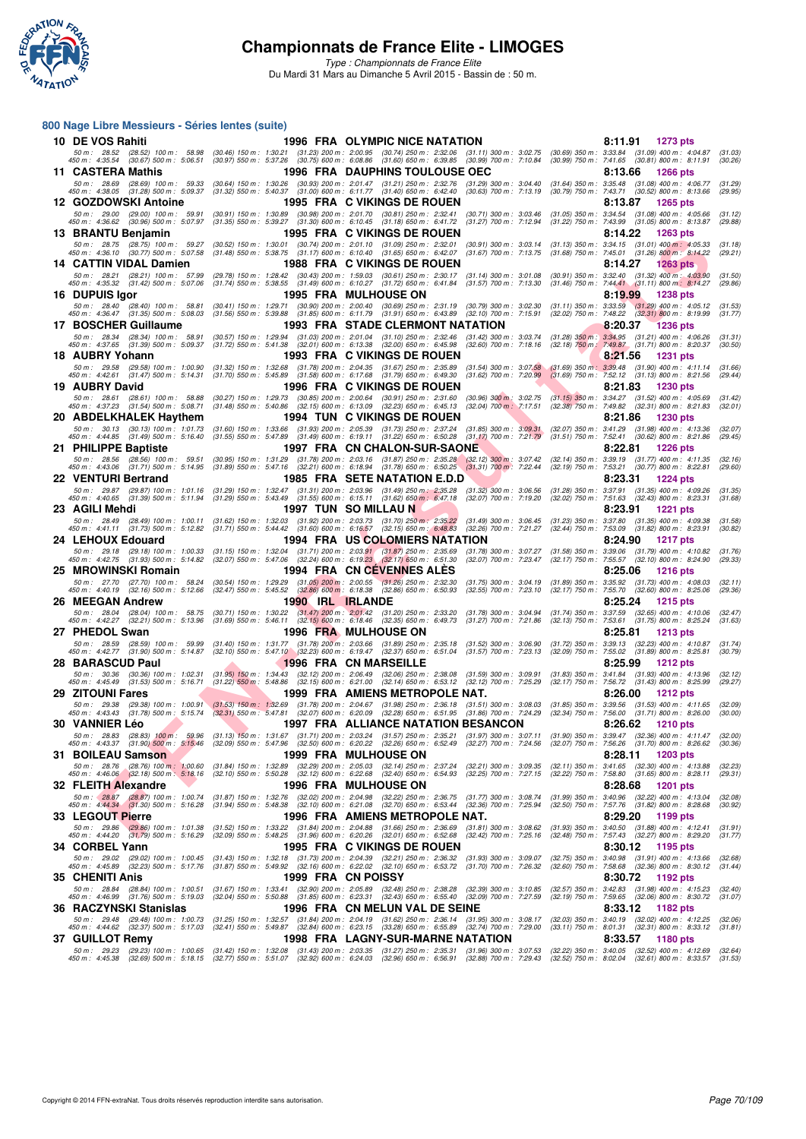

*Type : Championnats de France Elite* Du Mardi 31 Mars au Dimanche 5 Avril 2015 - Bassin de : 50 m.

#### **800 Nage Libre Messieurs - Séries lentes (suite)**

| 10 DE VOS Rahiti                                                                                                                                   |                                                                                                                                                                | <b>1996 FRA OLYMPIC NICE NATATION</b>                                                                                                                                                                                                                           | 8:11.91<br>1273 pts                                                                                                          |
|----------------------------------------------------------------------------------------------------------------------------------------------------|----------------------------------------------------------------------------------------------------------------------------------------------------------------|-----------------------------------------------------------------------------------------------------------------------------------------------------------------------------------------------------------------------------------------------------------------|------------------------------------------------------------------------------------------------------------------------------|
| 50 m: 28.52 (28.52) 100 m: 58.98<br>450 m : 4:35.54 (30.67) 500 m : 5:06.51                                                                        |                                                                                                                                                                | (30.46) 150 m: 1:30.21 (31.23) 200 m: 2:00.95 (30.74) 250 m: 2:32.06 (31.11) 300 m: 3:02.75<br>(30.97) 550 m : 5:37.26 (30.75) 600 m : 6:08.86 (31.60) 650 m : 6:39.85 (30.99) 700 m : 7:10.84                                                                  | $(30.69)$ 350 m : 3:33.84 $(31.09)$ 400 m : 4:04.87<br>(31.03)<br>(30.99) 750 m: 7:41.65 (30.81) 800 m: 8:11.91<br>(30.26)   |
| 11 CASTERA Mathis                                                                                                                                  |                                                                                                                                                                | <b>1996 FRA DAUPHINS TOULOUSE OEC</b>                                                                                                                                                                                                                           | 8:13.66<br><b>1266 pts</b>                                                                                                   |
| 50 m: 28.69 (28.69) 100 m: 59.33                                                                                                                   |                                                                                                                                                                | (30.64) 150 m: 1:30.26 (30.93) 200 m: 2:01.47 (31.21) 250 m: 2:32.76 (31.29) 300 m: 3:04.40                                                                                                                                                                     | $(31.64)$ 350 m : 3:35.48 $(31.08)$ 400 m : 4:06.77<br>(31.29)                                                               |
| 450 m : 4:38.05 (31.28) 500 m : 5:09.37                                                                                                            |                                                                                                                                                                | $(31.32)$ 550 m : 5.40.37 $(31.00)$ 600 m : 6:11.77 $(31.40)$ 650 m : 6:42.40 $(30.63)$ 700 m : 7:13.19                                                                                                                                                         | (30.79) 750 m : 7:43.71 (30.52) 800 m : 8:13.66<br>(29.95)                                                                   |
| 12 GOZDOWSKI Antoine<br>50 m : 29.00 (29.00) 100 m : 59.91                                                                                         | (30.91) 150 m: 1:30.89 (30.98) 200 m: 2:01.70 (30.81) 250 m: 2:32.41                                                                                           | 1995 FRA C VIKINGS DE ROUEN<br>$(30.71)$ 300 m : 3:03.46                                                                                                                                                                                                        | 8:13.87<br><b>1265 pts</b><br>$(31.05)$ 350 m : 3:34.54 $(31.08)$ 400 m : 4:05.66<br>(31.12)                                 |
| 450 m : 4:36.62 (30.96) 500 m : 5:07.97                                                                                                            | (31.35) 550 m: 5:39.27 (31.30) 600 m: 6:10.45 (31.18) 650 m: 6:41.72                                                                                           | $(31.27)$ 700 m : 7:12.94                                                                                                                                                                                                                                       | (31.22) 750 m: 7:43.99 (31.05) 800 m: 8:13.87<br>(29.88)                                                                     |
| 13 BRANTU Benjamin                                                                                                                                 |                                                                                                                                                                | 1995 FRA C VIKINGS DE ROUEN                                                                                                                                                                                                                                     | 8:14.22<br>1263 pts                                                                                                          |
| 50 m: 28.75 (28.75) 100 m: 59.27<br>450 m: 4:36.10 (30.77) 500 m: 5:07.58                                                                          | (30.52) 150 m: 1:30.01 (30.74) 200 m: 2:01.10 (31.09) 250 m: 2:32.01<br>$(31.48)$ 550 m : 5:38.75 $(31.17)$ 600 m : 6:10.40 $(31.65)$ 650 m : 6:42.07          | $(30.91)$ 300 m : 3:03.14<br>$(31.67)$ 700 m : 7:13.75                                                                                                                                                                                                          | $(31.13)$ 350 m : 3:34.15 $(31.01)$ 400 m : 4:05.33<br>(31.18)<br>(31.68) 750 m : 7:45.01 (31.26) 800 m : 8:14.22<br>(29.21) |
| 14 CATTIN VIDAL Damien                                                                                                                             |                                                                                                                                                                | 1988 FRA C VIKINGS DE ROUEN                                                                                                                                                                                                                                     | 8:14.27<br>1263 pts                                                                                                          |
| 50 m: 28.21 (28.21) 100 m: 57.99                                                                                                                   | (29.78) 150 m: 1:28.42 (30.43) 200 m: 1:59.03 (30.61) 250 m: 2:30.17<br>(31.74) 550 m: 5:38.55 (31.49) 600 m: 6:10.27 (31.72) 650 m: 6:41.84                   | $(31.14)$ 300 m : 3:01.08<br>$(31.57)$ 700 m : 7:13.30                                                                                                                                                                                                          | $(30.91)$ 350 m : 3:32.40 $(31.32)$ 400 m : 4:03.90<br>(31.50)                                                               |
| 450 m : 4:35.32 (31.42) 500 m : 5:07.06<br>16 DUPUIS Igor                                                                                          |                                                                                                                                                                | <b>1995 FRA MULHOUSE ON</b>                                                                                                                                                                                                                                     | $(31.46)$ 750 m : 7:44.41 $(31.11)$ 800 m : 8:14.27<br>(29.86)<br>8:19.99<br><b>1238 pts</b>                                 |
| 50 m: 28.40 (28.40) 100 m: 58.81                                                                                                                   | (30.41) 150 m : 1:29.71                                                                                                                                        | (30.90) 200 m : 2:00.40 (30.69) 250 m : 2:31.19 (30.79) 300 m : 3:02.30                                                                                                                                                                                         | $(31.11)$ 350 m : 3:33.59 $(31.29)$ 400 m : 4:05.12<br>(31.53)                                                               |
| 450 m: 4:36.47 (31.35) 500 m: 5:08.03                                                                                                              |                                                                                                                                                                | (31.56) 550 m: 5:39.88 (31.85) 600 m: 6:11.79 (31.91) 650 m: 6:43.89 (32.10) 700 m: 7:15.91                                                                                                                                                                     | (32.02) 750 m : 7:48.22 (32.31) 800 m : 8:19.99<br>(31.77)                                                                   |
| 17 BOSCHER Guillaume<br>50 m: 28.34 (28.34) 100 m: 58.91                                                                                           | (30.57) 150 m: 1:29.94 (31.03) 200 m: 2:01.04 (31.10) 250 m: 2:32.46                                                                                           | <b>1993 FRA STADE CLERMONT NATATION</b><br>$(31.42)$ 300 m : 3:03.74                                                                                                                                                                                            | 8:20.37<br>1236 pts<br>$(31.28)$ 350 m : 3:34.95 $(31.21)$ 400 m : 4:06.26                                                   |
| 450 m : 4:37.65 (31.39) 500 m : 5:09.37                                                                                                            | (31.72) 550 m: 5:41.38 (32.01) 600 m: 6:13.38 (32.00) 650 m: 6:45.98                                                                                           | $(32.60)$ 700 m : 7:18.16                                                                                                                                                                                                                                       | (31.31)<br>(32.18) 750 m: 7:49.87 (31.71) 800 m: 8:20.37<br>(30.50)                                                          |
| 18 AUBRY Yohann                                                                                                                                    |                                                                                                                                                                | 1993 FRA C VIKINGS DE ROUEN                                                                                                                                                                                                                                     | 8:21.56<br>1231 pts                                                                                                          |
| 50 m: 29.58 (29.58) 100 m: 1:00.90<br>450 m: 4:42.61 (31.47) 500 m: 5:14.31                                                                        | $(31.32)$ 150 m : 1:32.68<br>$(31.70)$ 550 m : 5:45.89                                                                                                         | (31.78) 200 m : 2:04.35 (31.67) 250 m : 2:35.89<br>$(31.54)$ 300 m : 3:07.58<br>$(31.58)$ 600 m : 6:17.68 $(31.79)$ 650 m : 6:49.30<br>$(31.62)$ 700 m : 7:20.99                                                                                                | $(31.69)$ 350 m : 3:39.48 $(31.90)$ 400 m : 4:11.14<br>(31.66)<br>(31.69) 750 m : 7:52.12 (31.13) 800 m : 8:21.56<br>(29.44) |
| 19 AUBRY David                                                                                                                                     |                                                                                                                                                                | 1996 FRA C VIKINGS DE ROUEN                                                                                                                                                                                                                                     | 8:21.83<br>1230 pts                                                                                                          |
| 50 m: 28.61 (28.61) 100 m: 58.88                                                                                                                   | (30.27) 150 m: 1:29.73 (30.85) 200 m: 2:00.64 (30.91) 250 m: 2:31.60                                                                                           | $(30.96)$ 300 m; 3:02.75                                                                                                                                                                                                                                        | $(31.15)$ 350 m : 3:34.27 $(31.52)$ 400 m : 4:05.69<br>(31.42)                                                               |
| 450 m: 4:37.23 (31.54) 500 m: 5:08.71                                                                                                              | $(31.48)$ 550 m : 5:40.86                                                                                                                                      | (32.15) 600 m: 6:13.09 (32.23) 650 m: 6:45.13<br>$(32.04)$ 700 m : 7:17.51                                                                                                                                                                                      | (32.38) 750 m: 7:49.82 (32.31) 800 m: 8:21.83<br>(32.01)<br><b>1230 pts</b>                                                  |
| 20 ABDELKHALEK Haythem<br>50 m: 30.13 (30.13) 100 m: 1:01.73                                                                                       | (31.60) 150 m: 1:33.66 (31.93) 200 m: 2:05.39 (31.73) 250 m: 2:37.24                                                                                           | <b>1994 TUN C VIKINGS DE ROUEN</b><br>$(31.85)$ 300 m : 3:09.31                                                                                                                                                                                                 | 8:21.86<br>(32.07) 350 m: 3:41.29 (31.98) 400 m: 4:13.36<br>(32.07)                                                          |
| 450 m: 4:44.85 (31.49) 500 m: 5:16.40                                                                                                              | $(31.55)$ 550 m : 5:47.89                                                                                                                                      | $(31.49)$ 600 m : 6:19.11 $(31.22)$ 650 m : 6:50.28<br>$(31.17)$ 700 m : 7:21.79                                                                                                                                                                                | $(31.51)$ 750 m : 7:52.41<br>$(30.62)$ 800 m : 8:21.86<br>(29.45)                                                            |
| 21 PHILIPPE Baptiste                                                                                                                               |                                                                                                                                                                | 1997 FRA CN CHALON-SUR-SAONE                                                                                                                                                                                                                                    | 8:22.81<br><b>1226 pts</b>                                                                                                   |
| 50 m: 28.56 (28.56) 100 m: 59.51<br>450 m: 4:43.06 (31.71) 500 m: 5:14.95                                                                          |                                                                                                                                                                | (30.95) 150 m : 1:31.29 (31.78) 200 m : 2:03.16 (31.87) 250 m : 2:35.28 (32.12) 300 m : 3:07.42<br>$(31.89)$ 550 m : 5:47.16 $(32.21)$ 600 m : 6:18.94 $(31.78)$ 650 m : 6:50.25 $(31.31)$ 700 m : 7:22.44                                                      | (32.14) 350 m: 3:39.19 (31.77) 400 m: 4:11.35<br>(32.16)<br>(32.19) 750 m: 7:53.21 (30.77) 800 m: 8:22.81<br>(29.60)         |
| <b>22 VENTURI Bertrand</b>                                                                                                                         |                                                                                                                                                                | 1985 FRA SETE NATATION E.D.D                                                                                                                                                                                                                                    | 8:23.31<br>1224 pts                                                                                                          |
| 50 m: 29.87 (29.87) 100 m: 1:01.16 (31.29) 150 m: 1:32.47 (31.31) 200 m: 2:03.96 (31.49) 250 m: 2:35.28<br>450 m : 4:40.65 (31.39) 500 m : 5:11.94 | (31.29) 550 m : 5:43.49 (31.55) 600 m : 6:15.11 (31.62) 650 m : 6:47.18                                                                                        | $(31.32)$ 300 m : 3:06.56<br>$(32.07)$ 700 m : 7:19.20                                                                                                                                                                                                          | (31.28) 350 m : 3:37.91 (31.35) 400 m : 4:09.26<br>(31.35)<br>(32.02) 750 m : 7:51.63 (32.43) 800 m : 8:23.31<br>(31.68)     |
| 23 AGILI Mehdi                                                                                                                                     |                                                                                                                                                                | <b>1997 TUN SO MILLAU N</b>                                                                                                                                                                                                                                     | 8:23.91<br><b>1221 pts</b>                                                                                                   |
| 50 m : 28.49 (28.49) 100 m : 1:00.11                                                                                                               | (31.62) 150 m : 1:32.03 (31.92) 200 m : 2:03.73 (31.70) 250 m : 2:35.22                                                                                        | $(31.49)$ 300 m : 3:06.45                                                                                                                                                                                                                                       | $(31.23)$ 350 m : 3:37.80 $(31.35)$ 400 m : 4:09.38<br>(31.58)                                                               |
| 450 m : 4:41.11 (31.73) 500 m : 5:12.82                                                                                                            | $(31.71)$ 550 m : 5:44.42 $(31.60)$ 600 m : 6:16.57 $(32.15)$ 650 m : 6:48.83                                                                                  | $(32.26)$ 700 m : 7:21.27                                                                                                                                                                                                                                       | (32.44) 750 m : 7:53.09 (31.82) 800 m : 8:23.91<br>(30.82)                                                                   |
| 24 LEHOUX Edouard<br>50 m: 29.18 (29.18) 100 m: 1:00.33                                                                                            | $(31.15)$ 150 m : 1:32.04 $(31.71)$ 200 m : 2:03.91 $(31.87)$ 250 m : 2:35.69                                                                                  | <b>1994 FRA US COLOMIERS NATATION</b><br>$(31.78)$ 300 m : 3:07.27                                                                                                                                                                                              | 8:24.90<br><b>1217 pts</b><br>$(31.58)$ 350 m : 3:39.06 $(31.79)$ 400 m : 4:10.82<br>(31.76)                                 |
| 450 m : 4:42.75 (31.93) 500 m : 5:14.82                                                                                                            | $(32.07)$ 550 m : 5:47.06 $(32.24)$ 600 m : 6:19.23 $(32.17)$ 650 m : 6:51.30                                                                                  | $(32.07)$ 700 m : 7:23.47                                                                                                                                                                                                                                       | (32.17) 750 m : 7:55.57 (32.10) 800 m : 8:24.90<br>(29.33)                                                                   |
| 25 MROWINSKI Romain                                                                                                                                |                                                                                                                                                                | 1994 FRA CN CEVENNES ALES                                                                                                                                                                                                                                       | 8:25.06<br><b>1216 pts</b>                                                                                                   |
| 50 m : 27.70 (27.70) 100 m : 58.24<br>450 m: 4:40.19 (32.16) 500 m: 5:12.66                                                                        | $(30.54)$ 150 m : 1:29.29 $(31.05)$ 200 m : 2:00.55 $(31.26)$ 250 m : 2:32.30<br>$(32.47)$ 550 m : 5:45.52 $(32.86)$ 600 m : 6:18.38 $(32.86)$ 650 m : 6:50.93 | $(31.75)$ 300 m : 3:04.19<br>(32.55) 700 m : 7:23.10                                                                                                                                                                                                            | $(31.89)$ 350 m : 3:35.92 $(31.73)$ 400 m : 4:08.03<br>(32.11)<br>(32.17) 750 m: 7:55.70 (32.60) 800 m: 8:25.06<br>(29.36)   |
| 26 MEEGAN Andrew                                                                                                                                   | 1990 IRL IRLANDE                                                                                                                                               |                                                                                                                                                                                                                                                                 | 8:25.24<br><b>1215 pts</b>                                                                                                   |
| 50 m: 28.04 (28.04) 100 m: 58.75                                                                                                                   | (30.71) 150 m : 1:30.22 (31.47) 200 m : 2:01.42 (31.20) 250 m : 2:33.20                                                                                        | $(31.78)$ 300 m : 3:04.94                                                                                                                                                                                                                                       | $(31.74)$ 350 m : 3:37.59 $(32.65)$ 400 m : 4:10.06<br>(32.47)                                                               |
| 450 m : 4:42.27 (32.21) 500 m : 5:13.96<br>27 PHEDOL Swan                                                                                          | $(31.69)$ 550 m : 5:46.11 $(32.15)$ 600 m : 6:18.46 $(32.35)$ 650 m : 6:49.73                                                                                  | $(31.27)$ 700 m : 7:21.86<br><b>1996 FRA MULHOUSE ON</b>                                                                                                                                                                                                        | (32.13) 750 m: 7:53.61 (31.75) 800 m: 8:25.24<br>(31.63)<br>8:25.81<br><b>1213 pts</b>                                       |
| 50 m: 28.59 (28.59) 100 m: 59.99                                                                                                                   | (31.40) 150 m: 1:31.77 (31.78) 200 m: 2:03.66 (31.89) 250 m: 2:35.18                                                                                           | $(31.52)$ 300 m : 3:06.90                                                                                                                                                                                                                                       | (31.72) 350 m: 3:39.13 (32.23) 400 m: 4:10.87<br>(31.74)                                                                     |
| 450 m: 4:42.77 (31.90) 500 m: 5:14.87                                                                                                              | (32.10) 550 m: 5:47.10 (32.23) 600 m: 6:19.47 (32.37) 650 m: 6:51.04                                                                                           | $(31.57)$ 700 m : 7:23.13                                                                                                                                                                                                                                       | (32.09) 750 m : 7:55.02 (31.89) 800 m : 8:25.81<br>(30.79)                                                                   |
| 28 BARASCUD Paul                                                                                                                                   | $(31.95)$ 150 m : 1:34.43                                                                                                                                      | 1996 FRA CN MARSEILLE                                                                                                                                                                                                                                           | 8:25.99<br><b>1212 pts</b><br>$(31.83)$ 350 m : 3:41.84 $(31.93)$ 400 m : 4:13.96                                            |
| 50 m : 30.36 (30.36) 100 m : 1:02.31<br>450 m : 4:45.49<br>(31.53) 500 m : 5:16.71                                                                 | $(31.22)$ 550 m : 5:48.86                                                                                                                                      | (32.12) 200 m : 2:06.49 (32.06) 250 m : 2:38.08<br>$(31.59)$ 300 m : 3:09.91<br>$(32.15)$ 600 m : 6:21.00 $(32.14)$ 650 m : 6:53.12<br>$(32.12)$ 700 m : 7:25.29                                                                                                | (32.12)<br>$(32.17)$ 750 m : 7:56.72<br>$(31.43)$ 800 m : 8:25.99<br>(29.27)                                                 |
| <b>29 ZITOUNI Fares</b>                                                                                                                            |                                                                                                                                                                | 1999 FRA AMIENS METROPOLE NAT.                                                                                                                                                                                                                                  | 8:26.00<br><b>1212 pts</b>                                                                                                   |
| 50 m : 29.38<br>450 m : 4:43.43                                                                                                                    |                                                                                                                                                                | (29.38) 100 m : 1:00.91 (31.53) 150 m : 1:32.69 (31.78) 200 m : 2:04.67 (31.98) 250 m : 2:36.18 (31.51) 300 m : 3:08.03<br>(31.78) 500 m : 5:15.74 (32.31) 550 m : 5:47.81 (32.07) 600 m : 6:20.09 (32.28) 650 m : 6:51.95 (31.86) 700 m : 7:24.29              | $(31.85)$ 350 m : 3:39.56 $(31.53)$ 400 m : 4:11.65<br>(32.09)<br>(32.34) 750 m : 7:56.00 (31.71) 800 m : 8:26.00<br>(30.00) |
| 30  VANNIER Léo                                                                                                                                    |                                                                                                                                                                | 1997 FRA ALLIANCE NATATION BESANCON                                                                                                                                                                                                                             | 8:26.62<br>1210 pts                                                                                                          |
|                                                                                                                                                    |                                                                                                                                                                | 50 m: 28.83 (28.83) 100 m: 59.96 (31.13) 150 m: 1:31.67 (31.71) 200 m: 2:03.24 (31.57) 250 m: 2:3521 (31.97) 300 m: 3:07.11 (31.90) 350 m: 3:39.47 (32.36) 400 m: 4:11.47<br>450 m: 4:43.37 (31.90) 500 m: 5:15,46 (32.09) 550 m:                               | (32.00)                                                                                                                      |
| 31 BOILEAU Samson                                                                                                                                  |                                                                                                                                                                | 1999 FRA MULHOUSE ON                                                                                                                                                                                                                                            | (30.36)<br>8:28.11<br><b>1203 pts</b>                                                                                        |
| 50 m : 28.76 (28.76) 100 m : 1:00.60                                                                                                               | (31.84) 150 m: 1:32.89 (32.29) 200 m: 2:05.03 (32.14) 250 m: 2:37.24                                                                                           | (32.21) 300 m : 3:09.35                                                                                                                                                                                                                                         | $(32.11)$ 350 m : 3:41.65 $(32.30)$ 400 m : 4:13.88<br>(32.23)                                                               |
| 450 m : 4:46.06 (32.18) 500 m : 5:18.16                                                                                                            | $(32.10)$ 550 m : 5:50.28 $(32.12)$ 600 m : 6:22.68 $(32.40)$ 650 m : 6:54.93                                                                                  | (32.25) 700 m : 7:27.15                                                                                                                                                                                                                                         | $(32.22)$ 750 m : 7:58.80 $(31.65)$ 800 m : 8:28.11<br>(29.31)                                                               |
| 32 FLEITH Alexandre                                                                                                                                | (31.87) 150 m : 1:32.76                                                                                                                                        | <b>1996 FRA MULHOUSE ON</b><br>(32.02) 200 m : 2:04.98 (32.22) 250 m : 2:36.75<br>$(31.77)$ 300 m : 3:08.74                                                                                                                                                     | 8:28.68<br>1201 pts<br>(31.99) 350 m: 3:40.96 (32.22) 400 m: 4:13.04                                                         |
| 50 m : 28.87 (28.87) 100 m : 1:00.74<br>450 m : 4:44.34 (31.30) 500 m : 5:16.28                                                                    | $(31.94)$ 550 m : 5:48.38                                                                                                                                      | $(32.10)$ 600 m : 6:21.08 $(32.70)$ 650 m : 6:53.44<br>$(32.36)$ 700 m : 7:25.94                                                                                                                                                                                | (32.08)<br>(32.50) 750 m : 7:57.76 (31.82) 800 m : 8:28.68<br>(30.92)                                                        |
| 33 LEGOUT Pierre                                                                                                                                   |                                                                                                                                                                | 1996 FRA AMIENS METROPOLE NAT.                                                                                                                                                                                                                                  | 8:29.20<br>1199 pts                                                                                                          |
| 50 m: 29.86 (29.86) 100 m: 1:01.38<br>450 m: 4:44.20 (31.79) 500 m: 5:16.29                                                                        | $(31.52)$ 150 m : 1:33.22 $(31.84)$ 200 m : 2:04.88 $(31.66)$ 250 m : 2:36.69<br>(32.09) 550 m: 5:48.25 (31.96) 600 m: 6:20.26 (32.01) 650 m: 6:52.68          | $(31.81)$ 300 m : 3:08.62<br>$(32.42)$ 700 m : 7:25.16                                                                                                                                                                                                          | $(31.93)$ 350 m : 3:40.50 $(31.88)$ 400 m : 4:12.41<br>(31.91)<br>(32.48) 750 m : 7:57.43 (32.27) 800 m : 8:29.20<br>(31.77) |
| 34 CORBEL Yann                                                                                                                                     |                                                                                                                                                                | 1995 FRA C VIKINGS DE ROUEN                                                                                                                                                                                                                                     | 8:30.12<br>1195 pts                                                                                                          |
| 50 m: 29.02 (29.02) 100 m: 1:00.45                                                                                                                 | $(31.43)$ 150 m : 1:32.18 $(31.73)$ 200 m : 2:04.39 $(32.21)$ 250 m : 2:36.32                                                                                  | $(31.93)$ 300 m : 3:09.07                                                                                                                                                                                                                                       | (32.75) 350 m : 3:40.98 (31.91) 400 m : 4:13.66<br>(32.68)                                                                   |
| 450 m : 4:45.89 (32.23) 500 m : 5:17.76                                                                                                            | $(31.87)$ 550 m : 5:49.92 $(32.16)$ 600 m : 6:22.02 $(32.10)$ 650 m : 6:53.72                                                                                  | $(31.70)$ 700 m : 7:26.32                                                                                                                                                                                                                                       | (32.60) 750 m : 7:58.68 (32.36) 800 m : 8:30.12<br>(31.44)                                                                   |
| 35 CHENITI Anis<br>50 m : 28.84 (28.84) 100 m : 1:00.51                                                                                            | (31.67) 150 m: 1:33.41 (32.90) 200 m: 2:05.89 (32.48) 250 m: 2:38.28                                                                                           | 1999 FRA CN POISSY<br>$(32.39)$ 300 m : 3:10.85                                                                                                                                                                                                                 | 8:30.72<br>1192 pts<br>(32.57) 350 m: 3:42.83 (31.98) 400 m: 4:15.23<br>(32.40)                                              |
| 450 m : 4:46.99 (31.76) 500 m : 5:19.03 (32.04) 550 m : 5:50.88 (31.85) 600 m : 6:23.31 (32.43) 650 m : 6:55.40                                    |                                                                                                                                                                | (32.09) 700 m : 7:27.59                                                                                                                                                                                                                                         | (32.19) 750 m: 7:59.65 (32.06) 800 m: 8:30.72<br>(31.07)                                                                     |
| 36   RACZYNSKI Stanislas                                                                                                                           |                                                                                                                                                                | 1996 FRA CN MELUN VAL DE SEINE                                                                                                                                                                                                                                  | 8:33.12<br>1182 pts                                                                                                          |
| 450 m: 4:44.62 (32.37) 500 m: 5:17.03                                                                                                              |                                                                                                                                                                | 50 m : 29.48 (29.48) 100 m : 1:00.73 (31.25) 150 m : 1:32.57 (31.84) 200 m : 2:04.19 (31.62) 250 m : 2:36.14 (31.95) 300 m : 3:08.17<br>$(32.41)$ 550 m : 5:49.87 $(32.84)$ 600 m : 6:23.15 $(33.28)$ 650 m : 6:55.89 $(32.74)$ 700 m : 7:29.00                 | (32.03) 350 m: 3:40.19 (32.02) 400 m: 4:12.25<br>(32.06)<br>(33.11) 750 m: 8:01.31 (32.31) 800 m: 8:33.12<br>(31.81)         |
| 37 GUILLOT Remy                                                                                                                                    |                                                                                                                                                                | 1998 FRA LAGNY-SUR-MARNE NATATION                                                                                                                                                                                                                               | 8:33.57<br>1180 pts                                                                                                          |
|                                                                                                                                                    |                                                                                                                                                                | 50 m : 29.23 (29.23) 100 m : 1:00.65 (31.42) 150 m : 1:32.08 (31.43) 200 m : 2:03.35 (31.27) 250 m : 2:35.31 (31.96) 300 m : 3:07.53<br>(32.69) 500 m : 5:18.15 (32.77) 550 m : 5:51.07 (32.92) 600 m : 6:24.03 (32.96) 650 m : 6:56.91 (32.88) 700 m : 7:29.43 | (32.22) 350 m : 3:40.05 (32.52) 400 m : 4:12.69<br>(32.64)<br>$(32.52)$ 750 m : 8:02.04 $(32.61)$ 800 m : 8:33.57 $(31.53)$  |
| 450 m : 4:45.38                                                                                                                                    |                                                                                                                                                                |                                                                                                                                                                                                                                                                 |                                                                                                                              |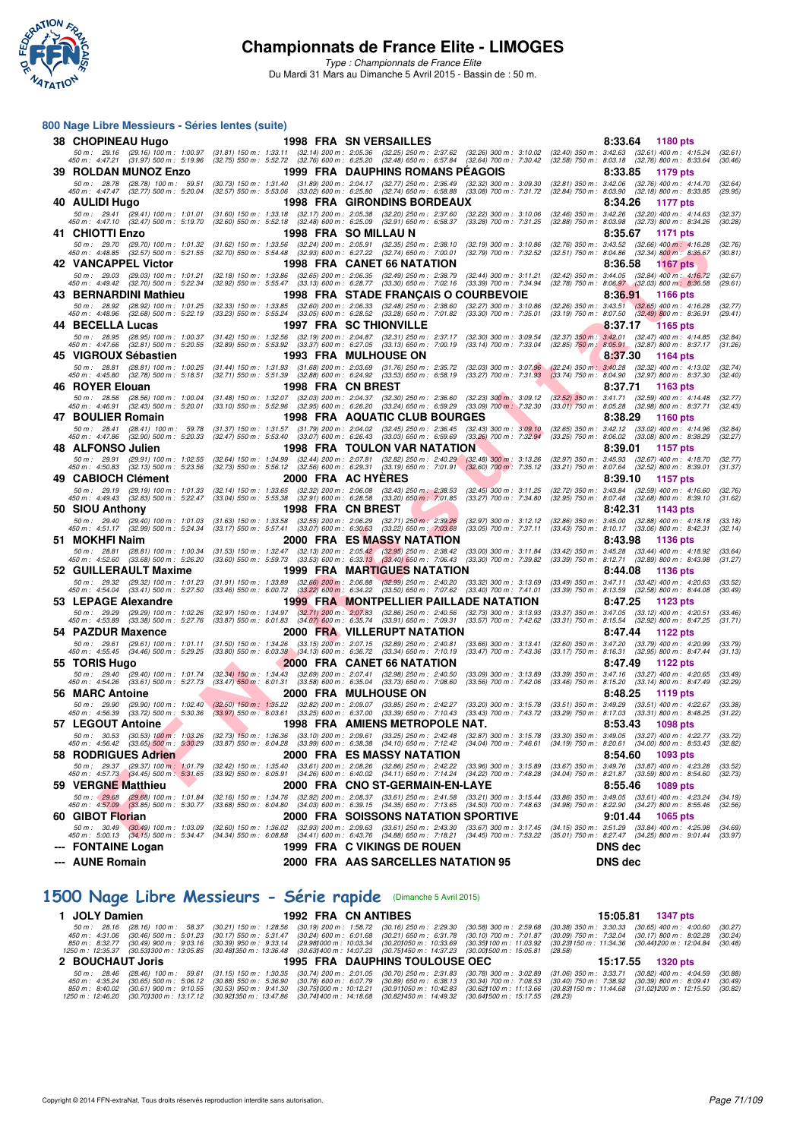

*Type : Championnats de France Elite* Du Mardi 31 Mars au Dimanche 5 Avril 2015 - Bassin de : 50 m.

#### **800 Nage Libre Messieurs - Séries lentes (suite)**

| 38 CHOPINEAU Hugo                                                                                            |                                                                                                                                                                                                                                                                                    | <b>1998 FRA SN VERSAILLES</b>                                                                                                                                                                                                                                                           | 8:33.64<br>1180 pts                                                                                                                |
|--------------------------------------------------------------------------------------------------------------|------------------------------------------------------------------------------------------------------------------------------------------------------------------------------------------------------------------------------------------------------------------------------------|-----------------------------------------------------------------------------------------------------------------------------------------------------------------------------------------------------------------------------------------------------------------------------------------|------------------------------------------------------------------------------------------------------------------------------------|
| 450 m : 4:47.21 (31.97) 500 m : 5:19.96                                                                      |                                                                                                                                                                                                                                                                                    | 50 m : 29.16 (29.16) 100 m : 1:00.97 (31.81) 150 m : 1:33.11 (32.14) 200 m : 2:05.36 (32.25) 250 m : 2:37.62 (32.26) 300 m : 3:10.02 (32.40) 350 m : 3:42.63 (32.61) 400 m : 4:15.24<br>(32.75) 550 m : 5:52.72 (32.76) 600 m : 6:25.20 (32.48) 650 m : 6:57.84 (32.64) 700 m : 7:30.42 | (32.61)<br>(32.58) 750 m : 8:03.18 (32.76) 800 m : 8:33.64<br>(30.46)                                                              |
| 39   ROLDAN MUNOZ Enzo                                                                                       |                                                                                                                                                                                                                                                                                    | 1999 FRA DAUPHINS ROMANS PEAGOIS                                                                                                                                                                                                                                                        | 8:33.85<br>1179 pts                                                                                                                |
| 50 m: 28.78 (28.78) 100 m: 59.51<br>450 m : 4:47.47 (32.77) 500 m : 5:20.04                                  |                                                                                                                                                                                                                                                                                    | (30.73) 150 m : 1:31.40 (31.89) 200 m : 2:04.17 (32.77) 250 m : 2:36.49 (32.32) 300 m : 3:09.30<br>(32.57) 550 m : 5:53.06 (33.02) 600 m : 6:25.80 (32.74) 650 m : 6:58.88 (33.08) 700 m : 7:31.72                                                                                      | (32.81) 350 m: 3:42.06 (32.76) 400 m: 4:14.70<br>(32.64)<br>$(32.84)$ 750 m : $8:03.90$ $(32.18)$ 800 m : $8:33.85$<br>(29.95)     |
| 40 AULIDI Hugo                                                                                               |                                                                                                                                                                                                                                                                                    | 1998 FRA GIRONDINS BORDEAUX                                                                                                                                                                                                                                                             | 8:34.26<br>1177 pts                                                                                                                |
| 50 m : 29.41 (29.41) 100 m : 1:01.01<br>450 m: 4:47.10 (32.47) 500 m: 5:19.70                                | $(31.60)$ 150 m : 1:33.18 $(32.17)$ 200 m : 2:05.38 $(32.20)$ 250 m : 2:37.60<br>(32.60) 550 m: 5:52.18 (32.48) 600 m: 6:25.09 (32.91) 650 m: 6:58.37                                                                                                                              | $(32.22)$ 300 m : 3:10.06<br>$(33.28)$ 700 m : 7:31.25                                                                                                                                                                                                                                  | (32.46) 350 m: 3:42.26 (32.20) 400 m: 4:14.63<br>(32.37)<br>(32.88) 750 m : 8:03.98 (32.73) 800 m : 8:34.26<br>(30.28)             |
| 41 CHIOTTI Enzo                                                                                              |                                                                                                                                                                                                                                                                                    | 1998 FRA SO MILLAU N                                                                                                                                                                                                                                                                    | 8:35.67<br>1171 pts                                                                                                                |
| 50 m: 29.70 (29.70) 100 m: 1:01.32<br>(32.57) 500 m : 5:21.55<br>450 m : 4:48.85                             | $(31.62)$ 150 m : 1:33.56 $(32.24)$ 200 m : 2:05.91 $(32.35)$ 250 m : 2:38.10<br>$(32.70)$ 550 m : 5:54.48 $(32.93)$ 600 m : 6:27.22 $(32.74)$ 650 m : 7:00.01                                                                                                                     | $(32.19)$ 300 m : 3:10.86<br>(32.79) 700 m : 7:32.52                                                                                                                                                                                                                                    | (32.76) 350 m : 3:43.52<br>$(32.66)$ 400 m : 4:16.28<br>(32.76)<br>(32.51) 750 m : 8:04.86<br>$(32.34)$ 800 m : 8:35.67<br>(30.81) |
| 42 VANCAPPEL Victor                                                                                          |                                                                                                                                                                                                                                                                                    | <b>1998 FRA CANET 66 NATATION</b>                                                                                                                                                                                                                                                       | 8:36.58<br><b>1167 pts</b>                                                                                                         |
| 50 m : 29.03 (29.03) 100 m : 1:01.21<br>450 m : 4:49.42 (32.70) 500 m : 5:22.34                              | $\begin{array}{cccc} (32.18) \ 150 \ m \colon \ \ 1.33.86 & \ (32.65) \ 200 \ m \colon \ \ 2.06.35 & \ (32.49) \ 250 \ m \colon \ \ 2.38.79 \\ (32.92) \ 550 \ m \colon \ \ 5.55.47 & \ (33.13) \ 600 \ m \colon \ \ 6.28.77 & \ (33.30) \ 650 \ m \colon \ \ 7.02.16 \end{array}$ | $(32.44)$ 300 m : 3:11.21                                                                                                                                                                                                                                                               | (32.42) 350 m: 3:44.05 (32.84) 400 m: 4:16.72<br>(32.67)<br>(29.61)                                                                |
| 43 BERNARDINI Mathieu                                                                                        |                                                                                                                                                                                                                                                                                    | (33.39) 700 m : 7:34.94<br><b>1998 FRA STADE FRANCAIS O COURBEVOIE</b>                                                                                                                                                                                                                  | $(32.78)$ 750 m : 8:06.97 $(32.03)$ 800 m : 8:36.58<br>8:36.91<br><b>1166 pts</b>                                                  |
| 50 m : 28.92<br>$(28.92)$ 100 m : 1:01.25<br>450 m : 4:48.96                                                 | $\begin{array}{cccc} (32.33) \enspace 150\; m: & 1.33.85 & (32.60) \enspace 200\; m: & 2.06.33 & (32.48) \enspace 250\; m: & 2.38.60 \\ (33.23) \enspace 550\; m: & 5.55.24 & (33.05) \enspace 600\; m: & 6.28.52 & (33.28) \enspace 650\; m: & 7.01.82 \end{array}$               | $(32.27)$ 300 m : 3:10.86<br>$(33.30)$ 700 m : 7:35.01                                                                                                                                                                                                                                  | $(32.26)$ 350 m : 3:43.51<br>$(32.65)$ 400 m : 4:16.28<br>(32.77)<br>$(33.19)$ 750 m : $8:07.50$<br>(29.41)                        |
| (32.68) 500 m : 5:22.19<br>44 BECELLA Lucas                                                                  |                                                                                                                                                                                                                                                                                    | <b>1997 FRA SC THIONVILLE</b>                                                                                                                                                                                                                                                           | $(32.49)$ 800 m : 8:36.91<br>8:37.17<br><b>1165 pts</b>                                                                            |
| 50 m: 28.95 (28.95) 100 m: 1:00.37                                                                           | $(31.42)$ 150 m : 1:32.56                                                                                                                                                                                                                                                          | (32.19) 200 m: 2:04.87 (32.31) 250 m: 2:37.17<br>$(32.30)$ 300 m : 3:09.54                                                                                                                                                                                                              | $(32.37)$ 350 m : 3:42.01 $(32.47)$ 400 m : 4:14.85<br>(32.84)                                                                     |
| 450 m: 4:47.66 (32.81) 500 m: 5:20.55<br>45 VIGROUX Sébastien                                                | (32.89) 550 m : 5:53.92 (33.37) 600 m : 6:27.05 (33.13) 650 m : 7:00.19                                                                                                                                                                                                            | $(33.14)$ 700 m : 7:33.04<br>1993 FRA MULHOUSE ON                                                                                                                                                                                                                                       | $(32.85)$ 750 m $: 8:05.91$ $(32.87)$ 800 m $: 8:37.17$<br>(31.26)<br>8:37.30<br><b>1164 pts</b>                                   |
| 50 m: 28.81 (28.81) 100 m: 1:00.25                                                                           | $(31.44)$ 150 m : 1:31.93                                                                                                                                                                                                                                                          | $(31.68)$ 200 m : 2:03.69 $(31.76)$ 250 m : 2:35.72<br>$(32.03)$ 300 m : 3:07.96                                                                                                                                                                                                        | $(32.24)$ 350 m : 3:40.28<br>$(32.32)$ 400 m : 4:13.02<br>(32.74)                                                                  |
| 450 m : 4:45.80 (32.78) 500 m : 5:18.51<br>46 ROYER Elouan                                                   | $(32.71)$ 550 m : 5:51.39<br>(32.88) 600 m : 6:24.92                                                                                                                                                                                                                               | $(33.53)$ 650 m : 6:58.19<br>$(33.27)$ 700 m : 7:31.93<br>1998 FRA CN BREST                                                                                                                                                                                                             | $(33.74)$ 750 m : 8:04.90<br>$(32.97)$ 800 m : 8:37.30<br>(32.40)<br>8:37.71<br><b>1163 pts</b>                                    |
| 50 m: 28.56 (28.56) 100 m: 1:00.04                                                                           | $(31.48)$ 150 m : 1:32.07 $(32.03)$ 200 m : 2:04.37 $(32.30)$ 250 m : 2:36.60                                                                                                                                                                                                      | $(32.23)$ 300 m : 3:09.12                                                                                                                                                                                                                                                               | $(32.52)$ 350 m : 3:41.71 $(32.59)$ 400 m : 4:14.48<br>(32.77)                                                                     |
| 450 m : 4:46.91 (32.43) 500 m : 5:20.01<br>47 BOULIER Romain                                                 | $(33.10)$ 550 m : 5:52.96                                                                                                                                                                                                                                                          | $(32.95)$ 600 m : 6:26.20 $(33.24)$ 650 m : 6:59.29<br>$(33.09)$ 700 m : 7:32.30<br>1998 FRA AQUATIC CLUB BOURGES                                                                                                                                                                       | (32.43)<br>$(33.01)$ 750 m : 8:05.28<br>$(32.98)$ 800 m : 8:37.71<br>8:38.29<br><b>1160 pts</b>                                    |
| 50 m: 28.41 (28.41) 100 m: 59.78                                                                             | $(31.37)$ 150 m : 1:31.57                                                                                                                                                                                                                                                          | (31.79) 200 m : 2:04.02 (32.45) 250 m : 2:36.45<br>$(32.43)$ 300 m : 3:09.10                                                                                                                                                                                                            | (32.65) 350 m : 3:42.12<br>$(33.02)$ 400 m : 4:14.96<br>(32.84)                                                                    |
| 450 m: 4:47.86 (32.90) 500 m: 5:20.33<br>48 ALFONSO Julien                                                   | (32.47) 550 m : 5:53.40 (33.07) 600 m : 6:26.43 (33.03) 650 m : 6:59.69                                                                                                                                                                                                            | (33.26) 700 m : 7:32.94<br>1998 FRA TOULON VAR NATATION                                                                                                                                                                                                                                 | (33.25) 750 m: 8:06.02 (33.08) 800 m: 8:38.29<br>(32.27)<br>8:39.01<br><b>1157 pts</b>                                             |
| 50 m: 29.91 (29.91) 100 m: 1:02.55                                                                           |                                                                                                                                                                                                                                                                                    | (32.64) 150 m : 1:34.99 (32.44) 200 m : 2:07.81 (32.82) 250 m : 2:40.29 (32.48) 300 m : 3:13.26                                                                                                                                                                                         | (32.97) 350 m: 3:45.93 (32.67) 400 m: 4:18.70<br>(32.77)                                                                           |
| 450 m: 4:50.83 (32.13) 500 m: 5:23.56<br>49 CABIOCH Clément                                                  |                                                                                                                                                                                                                                                                                    | (32.73) 550 m : 5:56.12 (32.56) 600 m : 6:29.31 (33.19) 650 m : 7:01.91 (32.60) 700 m : 7:35.12<br>2000 FRA AC HYERES                                                                                                                                                                   | (33.21) 750 m : 8:07.64 (32.52) 800 m : 8:39.01<br>(31.37)<br>8:39.10<br>1157 pts                                                  |
| 50 m : 29.19 (29.19) 100 m : 1:01.33                                                                         |                                                                                                                                                                                                                                                                                    | $(32.14)$ 150 m : 1:33.65 $(32.32)$ 200 m : 2:06.08 $(32.43)$ 250 m : 2:38.53 $(32.45)$ 300 m : 3:11.25                                                                                                                                                                                 | (32.72) 350 m : 3:43.84 (32.59) 400 m : 4:16.60<br>(32.76)                                                                         |
| 450 m : 4:49.43 (32.83) 500 m : 5:22.47<br>50 SIOU Anthony                                                   | $(33.04)$ 550 m : 5:55.38 $(32.91)$ 600 m : 6:28.58 $(33.20)$ 650 m : 7:01.85                                                                                                                                                                                                      | $(33.27)$ 700 m : 7:34.80<br>1998 FRA CN BREST                                                                                                                                                                                                                                          | (32.95) 750 m : 8:07.48<br>$(32.68)$ 800 m : 8:39.10<br>(31.62)<br>8:42.31<br>1143 pts                                             |
| 50 m: 29.40 (29.40) 100 m: 1:01.03                                                                           | $(31.63)$ 150 m : 1:33.58 $(32.55)$ 200 m : 2:06.29 $(32.71)$ 250 m : 2:39.26                                                                                                                                                                                                      | $(32.97)$ 300 m : 3:12.12                                                                                                                                                                                                                                                               | $(32.86)$ 350 m : 3:45.00 $(32.88)$ 400 m : 4:18.18<br>(33.18)                                                                     |
| 450 m : 4:51.17 (32.99) 500 m : 5:24.34<br>51 MOKHFI Naim                                                    | (33.17) 550 m : 5:57.41                                                                                                                                                                                                                                                            | (33.07) 600 m : 6:30.63 (33.22) 650 m : 7:03.68<br>$(33.05)$ 700 m : 7:37.11<br>2000 FRA ES MASSY NATATION                                                                                                                                                                              | $(33.43)$ 750 m : 8:10.17 $(33.06)$ 800 m : 8:42.31<br>(32.14)<br>8:43.98<br><b>1136 pts</b>                                       |
| 50 m : 28.81<br>(28.81) 100 m : 1:00.34                                                                      | $(31.53)$ 150 m : 1:32.47 $(32.13)$ 200 m : 2:05.42 $(32.95)$ 250 m : 2:38.42<br>$(33.60)$ 550 m : 5:59.73 $(33.53)$ 600 m : 6:33.13 $(33.40)$ 650 m : 7:06.43                                                                                                                     | $(33.00)$ 300 m : 3:11.84                                                                                                                                                                                                                                                               | (33.42) 350 m: 3:45.28 (33.44) 400 m: 4:18.92<br>(33.64)                                                                           |
| 450 m: 4:52.60 (33.68) 500 m: 5:26.20<br>52 GUILLERAULT Maxime                                               |                                                                                                                                                                                                                                                                                    | $(33.30)$ 700 m : 7:39.82<br>1999 FRA MARTIGUES NATATION                                                                                                                                                                                                                                | (33.39) 750 m: 8:12.71 (32.89) 800 m: 8:43.98<br>(31.27)<br>8:44.08<br><b>1136 pts</b>                                             |
| 50 m : 29.32 (29.32) 100 m : 1:01.23                                                                         | (31.91) 150 m : 1:33.89                                                                                                                                                                                                                                                            | $(32.66)$ 200 m : 2:06.88 $(32.99)$ 250 m : 2:40.20<br>$(33.32)$ 300 m : 3:13.69                                                                                                                                                                                                        | (33.49) 350 m : 3:47.11 (33.42) 400 m : 4:20.63<br>(33.52)                                                                         |
| 450 m : 4:54.04 (33.41) 500 m : 5:27.50<br>53 LEPAGE Alexandre                                               |                                                                                                                                                                                                                                                                                    | (33.46) 550 m : 6:00.72 (33.22) 600 m : 6:34.22 (33.50) 650 m : 7:07.62 (33.40) 700 m : 7:41.01<br>1999 FRA MONTPELLIER PAILLADE NATATION                                                                                                                                               | (33.39) 750 m : 8:13.59 (32.58) 800 m : 8:44.08<br>(30.49)<br>8:47.25<br>1123 pts                                                  |
| 50 m: 29.29 (29.29) 100 m: 1:02.26                                                                           | (32.97) 150 m : 1:34.97                                                                                                                                                                                                                                                            | (32.71) 200 m: 2:07.83 (32.86) 250 m: 2:40.56<br>$(32.73)$ 300 m : 3:13.93                                                                                                                                                                                                              | (33.37) 350 m: 3:47.05 (33.12) 400 m: 4:20.51<br>(33.46)                                                                           |
| $(33.38)$ 500 m : 5:27.76<br>450 m : 4:53.89<br>54 PAZDUR Maxence                                            | (33.87) 550 m : 6:01.83 (34.07) 600 m : 6:35.74 (33.91) 650 m : 7:09.31                                                                                                                                                                                                            | (33.57) 700 m : 7:42.62<br>2000 FRA VILLERUPT NATATION                                                                                                                                                                                                                                  | (33.31) 750 m : 8:15.54 (32.92) 800 m : 8:47.25<br>(31.71)<br>8:47.44<br>1122 pts                                                  |
| 50 m: 29.61 (29.61) 100 m: 1:01.11                                                                           | $(31.50)$ 150 m : 1:34.26 $(33.15)$ 200 m : 2:07.15 $(32.89)$ 250 m : 2:40.81                                                                                                                                                                                                      | $(33.66)$ 300 m : 3:13.41                                                                                                                                                                                                                                                               | (32.60) 350 m : 3:47.20 (33.79) 400 m : 4:20.99<br>(33.79)                                                                         |
| 450 m: 4:55.45 (34.46) 500 m: 5:29.25<br>55 TORIS Hugo                                                       | $(33.80)$ 550 m : 6:03.38 $(34.13)$ 600 m : 6:36.72 $(33.34)$ 650 m : 7:10.19                                                                                                                                                                                                      | $(33.47)$ 700 m : 7:43.36<br>2000 FRA CANET 66 NATATION                                                                                                                                                                                                                                 | $(33.17)$ 750 m : $8:16.31$<br>$(32.95)$ 800 m : 8:47.44<br>(31.13)<br>8:47.49<br>1122 pts                                         |
| 50 m: 29.40 (29.40) 100 m: 1:01.74                                                                           | $(32.34)$ 150 m : 1:34.43<br>$(33.47)$ 550 m : 6:01.31                                                                                                                                                                                                                             | (32.69) 200 m : 2:07.41 (32.98) 250 m : 2:40.50<br>$(33.09)$ 300 m : 3:13.89                                                                                                                                                                                                            | (33.39) 350 m : 3:47.16<br>$(33.27)$ 400 m : 4:20.65<br>(33.49)                                                                    |
| 450 m: 4:54.26 (33.61) 500 m: 5:27.73<br>56 MARC Antoine                                                     |                                                                                                                                                                                                                                                                                    | (33.58) 600 m : 6:35.04 (33.73) 650 m : 7:08.60<br>$(33.56)$ 700 m : 7:42.06<br><b>2000 FRA MULHOUSE ON</b>                                                                                                                                                                             | (33.46) 750 m : 8:15.20<br>$(33.14)$ 800 m : 8:47.49<br>(32.29)<br>8:48.25<br>1119 pts                                             |
| 50 m : 29.90 (29.90) 100 m : 1:02.40 (32.50) 150 m : 1:35.22 (32.82) 200 m : 2:09.07 (33.85) 250 m : 2:42.27 |                                                                                                                                                                                                                                                                                    | $(33.20)$ 300 m : 3:15.78<br>$(33.25)$ 600 m : 6:37.00 $(33.39)$ 650 m : 7:10.43<br>$(33.43)$ 700 m : 7:43.72                                                                                                                                                                           | (33.51) 350 m : 3:49.29<br>$(33.51)$ 400 m : 4:22.67<br>(33.38)<br>(33.29) 750 m : 8:17.03<br>$(33.31)$ 800 m : 8:48.25<br>(31.22) |
| 450 m : 4:56.39 (33.72) 500 m : 5:30.36 (33.97) 550 m : 6:03.61<br>57 LEGOUT Antoine                         |                                                                                                                                                                                                                                                                                    | 1998 FRA AMIENS METROPOLE NAT.                                                                                                                                                                                                                                                          | 8:53.43<br><b>1098 pts</b>                                                                                                         |
|                                                                                                              |                                                                                                                                                                                                                                                                                    | 50 m: 30.53 (30.53) 100 m: 1:03.26 (32.73) 150 m: 1:36.36 (33.10) 200 m: 2:09.61 (33.25) 250 m: 2:42.48 (32.87) 300 m: 3:15.78 (33.30) 350 m: 3:49.05 (33.27) 400 m: 4:22.77<br>50 m: 4:56.42 (33.65) 500 m: 5:30.29 (33.87) 550                                                        | (33.72)                                                                                                                            |
| 450 m : 4:56.42 (33.65) 500 m : 5:30.29<br>58 RODRIGUES Adrien                                               |                                                                                                                                                                                                                                                                                    | <b>2000 FRA ES MASSY NATATION</b>                                                                                                                                                                                                                                                       | (32.82)<br>8:54.60<br>1093 pts                                                                                                     |
| 50 m: 29.37 (29.37) 100 m: 1:01.79                                                                           | (32.42) 150 m: 1:35.40 (33.61) 200 m: 2:08.26 (32.86) 250 m: 2:42.22                                                                                                                                                                                                               | $(33.96)$ 300 m : 3:15.89                                                                                                                                                                                                                                                               | (33.67) 350 m: 3:49.76 (33.87) 400 m: 4:23.28<br>(33.52)                                                                           |
| 450 m : 4:57.73 (34.45) 500 m : 5:31.65<br>59 VERGNE Matthieu                                                | (33.92) 550 m: 6:05.91 (34.26) 600 m: 6:40.02 (34.11) 650 m: 7:14.24                                                                                                                                                                                                               | (34.22) 700 m : 7:48.28<br>2000 FRA CNO ST-GERMAIN-EN-LAYE                                                                                                                                                                                                                              | (34.04) 750 m: 8:21.87 (33.59) 800 m: 8:54.60<br>(32.73)<br>8:55.46<br>1089 pts                                                    |
| 50 m: 29.68 (29.68) 100 m: 1:01.84<br>450 m : 4:57.09 (33.85) 500 m : 5:30.77                                | (32.16) 150 m : 1:34.76                                                                                                                                                                                                                                                            | (32.92) 200 m: 2:08.37 (33.61) 250 m: 2:41.58<br>$(33.21)$ 300 m : 3:15.44<br>$(34.03)$ 600 m : 6:39.15 $(34.35)$ 650 m : 7:13.65                                                                                                                                                       | $(33.61)$ 400 m : 4:23.24<br>(33.86) 350 m : 3:49.05<br>(34.19)                                                                    |
| 60 GIBOT Florian                                                                                             | $(33.68)$ 550 m : 6:04.80                                                                                                                                                                                                                                                          | $(34.50)$ 700 m : 7:48.63<br>2000 FRA SOISSONS NATATION SPORTIVE                                                                                                                                                                                                                        | $(34.98)$ 750 m : 8:22.90<br>$(34.27)$ 800 m : 8:55.46<br>(32.56)<br>9:01.44<br>1065 pts                                           |
| 50 m : 30.49 (30.49) 100 m : 1:03.09                                                                         | (32.60) 150 m: 1:36.02 (32.93) 200 m: 2:09.63 (33.61) 250 m: 2:43.30<br>$(34.34)$ 550 m : 6:08.88                                                                                                                                                                                  | $(33.67)$ 300 m : 3:17.45<br>(34.41) 600 m: 6:43.76 (34.88) 650 m: 7:18.21                                                                                                                                                                                                              | (34.15) 350 m: 3:51.29 (33.84) 400 m: 4:25.98<br>(34.69)                                                                           |
| 450 m: 5:00.13 (34.15) 500 m: 5:34.47<br><b>FONTAINE Logan</b>                                               |                                                                                                                                                                                                                                                                                    | $(34.45)$ 700 m : 7:53.22<br>1999 FRA C VIKINGS DE ROUEN                                                                                                                                                                                                                                | (35.01) 750 m: 8:27.47 (34.25) 800 m: 9:01.44<br>(33.97)<br><b>DNS</b> dec                                                         |
| --- AUNE Romain                                                                                              |                                                                                                                                                                                                                                                                                    | 2000 FRA AAS SARCELLES NATATION 95                                                                                                                                                                                                                                                      | <b>DNS dec</b>                                                                                                                     |
|                                                                                                              |                                                                                                                                                                                                                                                                                    |                                                                                                                                                                                                                                                                                         |                                                                                                                                    |

# **[1500 Nage Libre Messieurs - Série rapide](http://www.ffnatation.fr/webffn/resultats.php?idact=nat&go=epr&idcpt=27187&idepr=56)** (Dimanche 5 Avril 2015)

| 1 JOLY Damien                      |  | <b>1992 FRA CN ANTIBES</b> | 15:05.81<br><b>1347 pts</b>                                                                                                                                                                                                                                                   |                         |                                                                         |                 |                    |
|------------------------------------|--|----------------------------|-------------------------------------------------------------------------------------------------------------------------------------------------------------------------------------------------------------------------------------------------------------------------------|-------------------------|-------------------------------------------------------------------------|-----------------|--------------------|
|                                    |  |                            | 50 m : 28.16 (28.16) 100 m : 58.37 (30.21) 150 m : 1:28.56 (30.19) 200 m : 1:58.72 (30.16) 250 m : 2:29.30                                                                                                                                                                    | (30.58) 300 m : 2:59.68 | (30.38) 350 m : 3:30.33 (30.65) 400 m : 4:00.60                         |                 | (30.27)            |
| 450 m : 4:31.06<br>850 m : 8:32.77 |  |                            | (30.46) 500 m : 5:01.23 (30.17) 550 m : 5:31.47 (30.24) 600 m : 6:01.68 (30.21) 650 m : 6:31.78 (30.10) 700 m : 7:01.87 (30.09) 750 m : 7:32.04 (30.17) 800 m : 8:02.28<br>(30.49) 900 m: 9:03.16    (30.39) 950 m: 9:33.14    (29.981000 m:10:03.34    (30.201050 m:10:33.69 | (30.351100 m : 11.03.92 | (30.23) 150 m : 11:34.36 (30.44) 200 m : 12:04.84                       |                 | (30.24)<br>(30.48) |
| 1250 m : 12:35.37                  |  |                            | (30.531300 m : 13:05.85 (30.481350 m : 13:36.48 (30.631400 m : 14:07.23 (30.751450 m : 14:37.23 (30.001500 m : 15:05.81                                                                                                                                                       |                         | (28.58)                                                                 |                 |                    |
|                                    |  |                            |                                                                                                                                                                                                                                                                               |                         |                                                                         |                 |                    |
| 2 BOUCHAUT Joris                   |  |                            | <b>1995 FRA DAUPHINS TOULOUSE OEC</b>                                                                                                                                                                                                                                         |                         | 15:17.55                                                                | <b>1320 pts</b> |                    |
|                                    |  |                            | 50 m : 28.46 (28.46) 100 m : 59.61 (31.15) 150 m : 1:30.35 (30.74) 200 m : 2:01.05 (30.70) 250 m : 2:31.83                                                                                                                                                                    |                         | (30.78) 300 m : 3:02.89 (31.06) 350 m : 3:33.71 (30.82) 400 m : 4:04.59 |                 | (30.88)            |
| 450 m : 4:35.24                    |  |                            | (30.65) 500 m : 5:06.12 (30.88) 550 m : 5:36.90 (30.78) 600 m : 6:07.79 (30.89) 650 m : 6:38.13 (30.34) 700 m : 7:08.53 (30.40) 750 m : 7:38.92 (30.39) 800 m : 8:09.41                                                                                                       |                         |                                                                         |                 | (30.49)            |
| 850 m : 8:40.02                    |  |                            | (30.61) 900 m :   9:10.55     (30.53) 950 m :   9:41.30     (30.751000 m :  10:12.21     (30.911050 m :  10:42.83                                                                                                                                                             | (30.621100 m : 11:13.66 | (30.831150 m : 11:44.68     (31.021200 m : 12:15.50                     |                 | (30.82)            |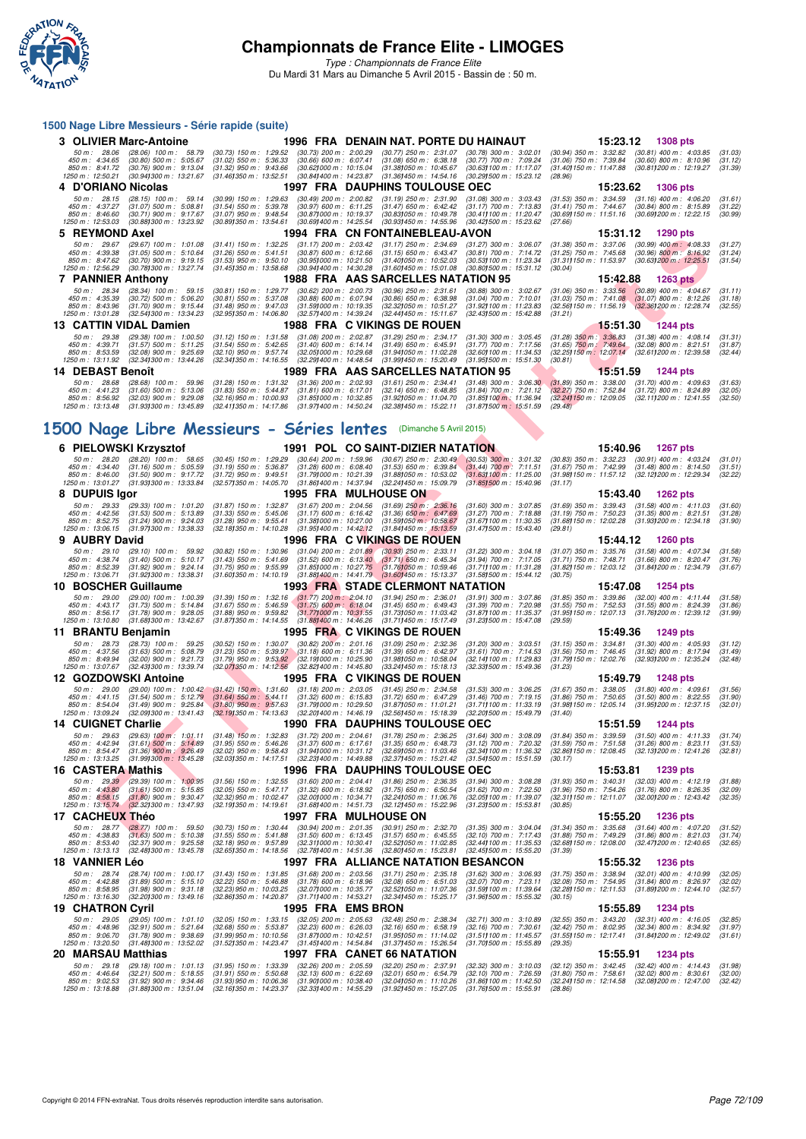

*Type : Championnats de France Elite* Du Mardi 31 Mars au Dimanche 5 Avril 2015 - Bassin de : 50 m.

#### **1500 Nage Libre Messieurs - Série rapide (suite)**

| 3 OLIVIER Marc-Antoine                                                                                    |                                                                                                                 |                                                                                                                           |                                                                                                               | 1996 FRA DENAIN NAT. PORTE DU HAINAUT                                                                                  |                                                                                                                | 15:23.12                                                                                                             | <b>1308 pts</b>                                                                   |                               |
|-----------------------------------------------------------------------------------------------------------|-----------------------------------------------------------------------------------------------------------------|---------------------------------------------------------------------------------------------------------------------------|---------------------------------------------------------------------------------------------------------------|------------------------------------------------------------------------------------------------------------------------|----------------------------------------------------------------------------------------------------------------|----------------------------------------------------------------------------------------------------------------------|-----------------------------------------------------------------------------------|-------------------------------|
| $50 \text{ m}$ : 28.06<br>$450 \text{ m}$ : $4:34.65$<br>$850 \text{ m}$ : $8.41.72$<br>1250 m : 12:50.21 | $(28.06)$ 100 m : 58.79<br>$(30.80)$ 500 m : 5:05.67<br>$(30.76)$ 900 m : 9:13.04<br>(30.941300 m : 13:21.67)   | $(30.73)$ 150 m : 1:29.52<br>$(31.02)$ 550 m : 5:36.33<br>$(31.32)$ 950 m : 9:43.66<br>$(31.461350 \text{ m} : 13.52.51)$ | $(30.73)$ 200 m : 2:00.29<br>$(30.66)$ 600 m : 6:07.41<br>(30.621000 m : 10:15.04<br>(30.841400 m: 14:23.87)  | $(30.77)$ 250 m : 2:31.07<br>$(31.08)$ 650 m : 6:38.18<br>(31.381050 m: 10:45.67<br>$(31.361450 \text{ m} : 14.54.16)$ | $(30.78)$ 300 m : 3:02.01<br>(30.77) 700 m : 7:09.24<br>(30.631100 m: 11:17.07)<br>(30.291500 m : 15:23.12)    | $(30.94)$ 350 m : 3:32.82<br>$(31.06)$ 750 m : 7:39.84<br>(31.40) 150 m : 11:47.88<br>(28.96)                        | $(30.81)$ 400 m : 4:03.85<br>$(30.60)$ 800 m : 8:10.96<br>(30.811200 m : 12:19.27 | (31.03)<br>(31.12)<br>(31.39) |
| 4 D'ORIANO Nicolas                                                                                        |                                                                                                                 |                                                                                                                           |                                                                                                               | 1997 FRA DAUPHINS TOULOUSE OEC                                                                                         |                                                                                                                | 15:23.62                                                                                                             | <b>1306 pts</b>                                                                   |                               |
| $50 \text{ m}$ : 28.15<br>$450 \text{ m}$ : $4:37.27$<br>$850 \text{ m}$ : $8.46.60$<br>1250 m: 12:53.03  | $(28.15)$ 100 m : 59.14<br>$(31.07)$ 500 m : 5:08.81<br>$(30.71)$ 900 m : 9:17.67<br>(30.881300 m : 13:23.92)   | $(30.99)$ 150 m : 1:29.63<br>$(31.54)$ 550 m : 5:39.78<br>$(31.07)$ 950 m : 9:48.54<br>(30.891350 m : 13:54.61            | $(30.49)$ 200 m : 2:00.82<br>$(30.97)$ 600 m : 6:11.25<br>(30.871000 m : 10:19.37<br>(30.691400 m : 14:25.54) | $(31.19)$ 250 m : 2:31.90<br>$(31.47)$ 650 m : 6:42.42<br>(30.831050 m : 10:49.78<br>(30.931450 m : 14:55.96)          | $(31.08)$ 300 m : 3:03.43<br>$(31.17)$ 700 m : 7:13.83<br>(30.411100 m : 11:20.47)<br>(30.421500 m : 15:23.62) | $(31.53)$ 350 m : 3:34.59<br>$(31.41)$ 750 m : 7:44.67<br>(30.69) 150 m: 11:51.16 (30.69) 200 m: 12:22.15<br>(27.66) | $(31.16)$ 400 m : 4:06.20<br>$(30.84)$ 800 m : 8:15.89                            | (31.61)<br>(31.22)<br>(30.99) |
| 5 REYMOND Axel                                                                                            |                                                                                                                 |                                                                                                                           |                                                                                                               | 1994 FRA CN FONTAINEBLEAU-AVON                                                                                         |                                                                                                                | 15:31.12                                                                                                             | 1290 pts                                                                          |                               |
| $50 \text{ m}$ : 29.67<br>450 m : 4:39.38<br>850 m : 8:47.62<br>1250 m : 12:56.29                         | $(29.67)$ 100 m : 1.01.08<br>$(31.05)$ 500 m : 5:10.64<br>$(30.70)$ 900 m : 9:19.15<br>(30.781300 m : 13:27.74) | $(31.41)$ 150 m : 1:32.25<br>$(31.26)$ 550 m : 5:41.51<br>$(31.53)$ 950 m : 9:50.10<br>(31.451350 m : 13:58.68)           | $(31.17)$ 200 m : 2:03.42<br>$(30.87)$ 600 m : 6:12.66<br>(30.951000 m: 10:21.50<br>(30.941400 m : 14:30.28)  | $(31.17)$ 250 m : 2:34.69<br>$(31.15)$ 650 m : 6:43.47<br>(31.401050 m: 10:52.03<br>(31,601450 m : 15:01.08            | $(31.27)$ 300 m : 3:06.07<br>$(30.81)$ 700 m : 7:14.72<br>(30.53) 100 m : 11:23.34<br>(30.801500 m: 15:31.12)  | $(31.38)$ 350 m : 3:37.06<br>$(31.25)$ 750 m : 7:45.68<br>(31.311150 m: 11:53.97<br>(30.04)                          | $(30.99)$ 400 m : 4:08.33<br>$(30.96)$ 800 m : 8:16.92<br>(30.631200 m: 12:25.51  | (31.27)<br>(31.24)<br>(31.54) |
| <b>7 PANNIER Anthony</b>                                                                                  |                                                                                                                 |                                                                                                                           |                                                                                                               | 1988 FRA AAS SARCELLES NATATION 95                                                                                     |                                                                                                                | 15:42.88                                                                                                             | 1263 $pts$                                                                        |                               |
| $50 \text{ m}$ : 28.34<br>450 m : 4:35.39<br>$850 \text{ m}$ : $8.43.96$<br>1250 m : 13:01.28             | $(28.34)$ 100 m : 59.15<br>$(30.72)$ 500 m : 5:06.20<br>$(31.70)$ 900 m : 9:15.44<br>(32.541300 m : 13:34.23)   | $(30.81)$ 150 m : 1:29.77<br>$(30.81)$ 550 m : 5:37.08<br>$(31.48)$ 950 m : 9:47.03<br>(32.951350 m : 14:06.80            | $(30.62)$ 200 m : 2:00.73<br>$(30.88)$ 600 m : 6:07.94<br>(31.591000 m : 10:19.35<br>(32.571400 m : 14:39.24) | $(30.96)$ 250 m : 2:31.61<br>$(30.86)$ 650 m : 6:38.98<br>(32.32) 050 m : 10:51.27<br>(32.441450 m : 15:11.67          | $(30.88)$ 300 m : 3:02.67<br>$(31.04)$ 700 m : 7:10.01<br>(31.92) 100 m : 11:23.83<br>(32.431500 m : 15:42.88  | $(31.06)$ 350 m : 3:33.56<br>$(31.03)$ 750 m : 7:41.08<br>$(32.56)150 \text{ m}$ : 11:56.19<br>(31.21)               | $(30.89)$ 400 m : 4:04.67<br>$(31.07)$ 800 m : 8:12.26<br>(32.361200 m : 12:28.74 | (31.11)<br>(31.18)<br>(32.55) |
| 13 CATTIN VIDAL Damien                                                                                    |                                                                                                                 |                                                                                                                           | 1988 FRA C VIKINGS DE ROUEN                                                                                   |                                                                                                                        |                                                                                                                | 15:51.30                                                                                                             | <b>1244 pts</b>                                                                   |                               |
| 50 m: 29.38<br>$450 \text{ m}$ : $4:39.71$<br>850 m : 8:53.59<br>1250 m : 13:11.92                        | $(29.38)$ 100 m : 1.00.50<br>$(31.57)$ 500 m : 5:11.25<br>$(32.08)$ 900 m : 9:25.69<br>(32.341300 m : 13:44.26) | $(31.12)$ 150 m : 1:31.58<br>$(31.54)$ 550 m : 5:42.65<br>$(32.10)$ 950 m : 9:57.74<br>(32.341350 m : 14.16.55            | $(31.08)$ 200 m : 2:02.87<br>$(31.40)$ 600 m : 6:14.14<br>(32.051000 m : 10:29.68<br>(32.291400 m : 14:48.54  | $(31.29)$ 250 m : 2:34.17<br>$(31.49)$ 650 m : 6:45.91<br>(31.941050 m: 11:02.28)<br>(31.991450 m : 15:20.49           | $(31.30)$ 300 m : 3:05.45<br>$(31.77)$ 700 m : 7:17.56<br>(32.601100 m: 11:34.53)<br>(31.951500 m: 15:51.30    | $(31.28)$ 350 m $: 3.36.83$<br>$(31.65)$ 750 m : 7:49.64<br>(32.25) 150 m : 12:07.14<br>(30.81)                      | $(31.38)$ 400 m : 4:08.14<br>$(32.08)$ 800 m : 8:21.51<br>(32.611200 m: 12:39.58  | (31.31)<br>(31.87)<br>(32.44) |
| 14 DEBAST Benoît                                                                                          |                                                                                                                 |                                                                                                                           |                                                                                                               | 1989 FRA AAS SARCELLES NATATION 95                                                                                     |                                                                                                                | 15:51.59                                                                                                             | <b>1244 pts</b>                                                                   |                               |
| 50 m: 28.68<br>450 m: 4:41.23                                                                             | $(28.68)$ 100 m : 59.96<br>$(31.60)$ 500 m : 5:13.06                                                            | $(31.28)$ 150 m : 1:31.32<br>$(31.83)$ 550 m : 5:44.87                                                                    | $(31.36)$ 200 m : 2:02.93<br>$(31.81)$ 600 m : 6:17.01                                                        | $(31.61)$ 250 m : 2:34.41<br>$(32.14)$ 650 m : 6:48.85                                                                 | $(31.48)$ 300 m : 3:06.30 $(31.89)$ 350 m : 3:38.00<br>$(31.84)$ 700 m : 7:21.12                               | $(32.27)$ 750 m : 7:52.84                                                                                            | $(31.70)$ 400 m : 4:09.63<br>$(31.72)$ 800 m : 8:24.89                            | (31.63)<br>(32.05)            |

# **[1500 Nage Libre Messieurs - Séries lentes](http://www.ffnatation.fr/webffn/resultats.php?idact=nat&go=epr&idcpt=27187&idepr=56)** (Dimanche 5 Avril 2015)

| <b>DETIVIOND AXEL</b>                                                   |                                                                                                                                                      | 1994                                                                                                                                                                                                                                                                                                                                                    |                                                                                                                                  |                                                                                                                                     |                                                                                                                                  |                                                                                               | 1250 pm                                                                                                                                                       |                               |
|-------------------------------------------------------------------------|------------------------------------------------------------------------------------------------------------------------------------------------------|---------------------------------------------------------------------------------------------------------------------------------------------------------------------------------------------------------------------------------------------------------------------------------------------------------------------------------------------------------|----------------------------------------------------------------------------------------------------------------------------------|-------------------------------------------------------------------------------------------------------------------------------------|----------------------------------------------------------------------------------------------------------------------------------|-----------------------------------------------------------------------------------------------|---------------------------------------------------------------------------------------------------------------------------------------------------------------|-------------------------------|
| 50 m: 29.67<br>450 m : 4:39.38<br>850 m : 8:47.62<br>1250 m : 12:56.29  | (29.67) 100 m : 1:01.08<br>$(31.05)$ 500 m : 5:10.64<br>$(30.70)$ 900 m : 9:19.15<br>(30.78) 300 m : 13:27.74                                        | $(31.41)$ 150 m : 1:32.25<br>$(31.26)$ 550 m : 5:41.51<br>$(31.53)$ 950 m : 9:50.10<br>(31.45) 350 m : 13:58.68                                                                                                                                                                                                                                         | $(31.17)$ 200 m : 2:03.42<br>$(30.87)$ 600 m : 6:12.66<br>$(30.95)000 \text{ m}$ : 10:21.50<br>$(30.94)400 \text{ m}$ : 14:30.28 | $(31.17)$ 250 m : 2:34.69<br>$(31.15)$ 650 m : 6:43.47<br>(31.40) 050 m: 10:52.03<br>(31.60)450 m : 15:01.08                        | $(31.27)$ 300 m : 3:06.07<br>$(30.81)$ 700 m : 7:14.72<br>(30.531100 m: 11:23.34)<br>$(30.80)500$ m : 15:31.12                   | $(31.38)$ 350 m : $3.37.06$<br>$(31.25)$ 750 m : 7:45.68<br>(31.311150 m: 11:53.97<br>(30.04) | $(30.99)$ 400 m : 4:08.33<br>$(30.96)$ 800 m : 8:16.92<br>$(30.63)200$ m: 12:25.51                                                                            | (31.27)<br>(31.24)<br>(31.54) |
| <b>7 PANNIER Anthony</b>                                                |                                                                                                                                                      |                                                                                                                                                                                                                                                                                                                                                         |                                                                                                                                  | 1988 FRA AAS SARCELLES NATATION 95                                                                                                  |                                                                                                                                  | 15:42.88                                                                                      | <b>1263 pts</b>                                                                                                                                               |                               |
| 50 m : 28.34<br>450 m: 4:35.39<br>850 m : 8:43.96<br>1250 m : 13:01.28  | $(28.34)$ 100 m : 59.15<br>$(30.72)$ 500 m : 5:06.20<br>$(31.70)$ 900 m : 9:15.44<br>(32.541300 m : 13:34.23                                         | $(30.81)$ 150 m : 1:29.77<br>$(30.81)$ 550 m : 5:37.08<br>$(31.48)$ 950 m : 9:47.03<br>(32.95)350 m : 14:06.80                                                                                                                                                                                                                                          | $(30.62)$ 200 m : 2:00.73<br>$(30.88)$ 600 m : 6:07.94<br>(31.591000 m: 10:19.35<br>(32.571400 m: 14:39.24)                      | $(30.96)$ $250$ m : $2:31.61$<br>$(30.86)$ 650 m : 6:38.98<br>(32.32) 050 m: 10:51.27<br>(32.44) 450 m : 15:11.67                   | $(30.88)$ 300 m : 3:02.67<br>$(31.04)$ 700 m : 7:10.01<br>(31.92) 100 m : 11:23.83<br>(32.43) 500 m : 15:42.88                   | (32.56) 150 m : 11:56.19<br>(31.21)                                                           | $(31.06)$ 350 m : 3:33.56 $(30.89)$ 400 m : 4:04.67<br>$(31.03)$ 750 m : 7:41.08 $(31.07)$ 800 m : 8:12.26<br>$(32.36)200$ m : 12:28.74                       | (31.11)<br>(31.18)<br>(32.55) |
|                                                                         | 13 CATTIN VIDAL Damien                                                                                                                               |                                                                                                                                                                                                                                                                                                                                                         |                                                                                                                                  | 1988 FRA C VIKINGS DE ROUEN                                                                                                         |                                                                                                                                  | 15:51.30                                                                                      | <b>1244 pts</b>                                                                                                                                               |                               |
| 50 m : 29.38<br>450 m : 4:39.71<br>850 m: 8:53.59<br>1250 m: 13:11.92   | (29.38) 100 m : 1:00.50<br>$(31.57)$ 500 m : 5:11.25<br>$(32.08)$ 900 m : 9:25.69<br>(32.34) 300 m : 13:44.26                                        | $(31.12)$ 150 m : 1:31.58<br>$(31.54)$ 550 m : 5:42.65<br>$(32.10)$ 950 m : 9:57.74<br>(32.341350 m : 14:16.55                                                                                                                                                                                                                                          | $(31.08)$ 200 m : 2:02.87<br>$(31.40)$ 600 m : 6:14.14<br>(32.05) 000 m : 10:29.68<br>(32.29) 400 m : 14:48.54                   | $(31.29)$ 250 m : 2:34.17<br>$(31.49)$ 650 m : 6:45.91<br>(31.94) 050 m: 11.02.28<br>(31.99) 450 m : 15:20.49                       | $(31.30)$ 300 m : 3:05.45<br>$(31.77)$ 700 m : 7:17.56<br>(32.60) 100 m : 11:34.53<br>(31.951500 m: 15:51.30                     | $(31.28)$ 350 m : 3:36.83<br>(30.81)                                                          | (31.38) 400 m : 4:08.14<br>(31.65) 750 m: 7:49.64 (32.08) 800 m: 8:21.51<br>(32.25) 150 m: 12:07.14 (32.61) 200 m: 12:39.58                                   | (31.31)<br>(31.87)<br>(32.44) |
| 14 DEBAST Benoît                                                        |                                                                                                                                                      |                                                                                                                                                                                                                                                                                                                                                         |                                                                                                                                  | 1989 FRA AAS SARCELLES NATATION 95                                                                                                  |                                                                                                                                  | 15:51.59                                                                                      | <b>1244 pts</b>                                                                                                                                               |                               |
| 50 m: 28.68<br>450 m : 4:41.23<br>850 m : 8:56.92<br>1250 m : 13:13.48  | $(28.68)$ 100 m : 59.96<br>$(31.60)$ 500 m : 5:13.06<br>$(32.03)$ 900 m : 9:29.08<br>(31.931300 m : 13:45.89                                         | $(31.28)$ 150 m : 1:31.32<br>$(31.83)$ 550 m : 5:44.87<br>$(32.16)$ 950 m : 10:00.93<br>(32.411350 m : 14:17.86                                                                                                                                                                                                                                         | $(31.36)$ 200 m : 2:02.93<br>$(31.81)$ 600 m : 6:17.01<br>$(31.851000 \text{ m} : 10.32.85)$<br>(31.97) 400 m : 14:50.24         | $(31.61)$ 250 m : 2:34.41<br>$(32.14)$ 650 m : 6:48.85<br>(31.92) 050 m : 11:04.70<br>(32.38) 450 m : 15:22.11                      | $(31.48)$ 300 m : 3:06.30<br>$(31.84)$ 700 m : 7:21.12<br>(31.85) 100 m : 11:36.94<br>$(31.87)500 \text{ m}$ : 15:51.59          | $(31.89)$ 350 m : 3:38.00<br>(32.27) 750 m : 7:52.84<br>(29.48)                               | $(31.70)$ 400 m : 4:09.63<br>$(31.72)$ 800 m : 8:24.89<br>(32.24) 150 m: 12:09.05 (32.11) 200 m: 12:41.55                                                     | (31.63)<br>(32.05)<br>(32.50) |
|                                                                         |                                                                                                                                                      | 500 Nage Libre Messieurs - Séries lentes (Dimanche 5 Avril 2015)                                                                                                                                                                                                                                                                                        |                                                                                                                                  |                                                                                                                                     |                                                                                                                                  |                                                                                               |                                                                                                                                                               |                               |
|                                                                         | 6 PIELOWSKI Krzysztof                                                                                                                                |                                                                                                                                                                                                                                                                                                                                                         |                                                                                                                                  | <b>1991 POL CO SAINT-DIZIER NATATION</b>                                                                                            |                                                                                                                                  | 15:40.96                                                                                      | <b>1267 pts</b>                                                                                                                                               |                               |
| 50 m : 28.20<br>450 m: 4:34.40<br>850 m : 8:46.00<br>1250 m : 13:01.27  | $(28.20)$ 100 m : 58.65<br>$(31.16)$ 500 m : 5:05.59<br>$(31.50)$ 900 m : 9:17.72<br>(31.93) 300 m : 13:33.84                                        | $(30.45)$ 150 m : 1:29.29<br>$(31.19)$ 550 m : 5:36.87<br>$(31.72)$ 950 m : 9:49.51<br>(32.57) 350 m : 14:05.70                                                                                                                                                                                                                                         | $(30.64)$ 200 m : 1:59.96<br>$(31.28)$ 600 m : 6:08.40<br>(31.79) 000 m: 10:21.39<br>(31.86) 400 m : 14:37.94                    | $(30.67)$ 250 m : 2:30.49<br>$(31.53)$ 650 m : 6:39.84<br>(31.88) 050 m : 10:53.02<br>(32.24) 450 m : 15:09.79                      | $(30.53)$ 300 m : 3:01.32<br>$(31.44)$ 700 m $: 7:11.51$<br>(31.631100 m: 11:25.00<br>$(31.85)500$ m : 15:40.96                  | $(31.67)$ 750 m : 7:42.99<br>(31.17)                                                          | (30.83) 350 m : 3:32.23 (30.91) 400 m : 4:03.24<br>$(31.48)$ 800 m : 8:14.50<br>(31.98) 150 m: 11:57.12 (32.12) 200 m: 12:29.34                               | (31.01)<br>(31.51)<br>(32.22) |
| 8 DUPUIS Igor                                                           |                                                                                                                                                      |                                                                                                                                                                                                                                                                                                                                                         |                                                                                                                                  | 1995 FRA MULHOUSEON                                                                                                                 |                                                                                                                                  | 15:43.40                                                                                      | <b>1262 pts</b>                                                                                                                                               |                               |
| 50 m : 29.33<br>450 m : 4:42.56<br>850 m : 8:52.75<br>1250 m : 13:06.15 | $(29.33)$ 100 m : 1.01.20<br>$(31.53)$ 500 m : 5:13.89<br>$(31.24)$ 900 m : 9:24.03<br>(31.971300 m: 13:38.33                                        | $(31.87)$ 150 m : 1:32.87<br>$(31.33)$ 550 m : 5:45.06<br>$(31.28)$ 950 m : 9:55.41<br>(32.181350 m: 14:10.28                                                                                                                                                                                                                                           | $(31.67)$ 200 m : 2:04.56<br>$(31.17)$ 600 m : 6:16.42<br>(31.38) 000 m : 10:27.00<br>(31.95) 400 m : 14:42.12                   | $(31.69)$ 250 m : 2:36.16<br>$(31.36)$ 650 m : 6:47.69<br>$(31.59)050 \text{ m}$ : 10:58.67<br>(31.84) 450 m : 15:13.59             | $(31.60)$ 300 m : 3:07.85<br>$(31.27)$ 700 m : 7:18.88<br>$(31.67)100 \text{ m}$ : 11:30.35<br>$(31.47)500 \text{ m}$ : 15:43.40 | $(31.69)$ 350 m : 3:39.43<br>(31.19) 750 m : 7:50.23<br>(31.68) 150 m : 12:02.28<br>(29.81)   | $(31.58)$ 400 m : 4:11.03<br>(31.35) 800 m : 8:21.51<br>(31.93) 200 m : 12:34.18                                                                              | (31.60)<br>(31.28)<br>(31.90) |
| 9 AUBRY David                                                           |                                                                                                                                                      |                                                                                                                                                                                                                                                                                                                                                         |                                                                                                                                  | 1996 FRA C VIKINGS DE ROUEN                                                                                                         |                                                                                                                                  | 15:44.12                                                                                      | <b>1260 pts</b>                                                                                                                                               |                               |
| 50 m: 29.10<br>450 m : 4:38.74<br>850 m : 8:52.39<br>1250 m : 13:06.71  | $(29.10)$ 100 m : 59.92<br>$(31.40)$ 500 m : 5:10.17<br>$(31.92)$ 900 m : 9:24.14<br>(31.92) 300 m : 13:38.31                                        | $(30.82)$ 150 m : 1:30.96<br>$(31.43)$ 550 m : 5:41.69<br>$(31.75)$ 950 m : 9:55.99<br>(31.601350 m : 14.10.19)                                                                                                                                                                                                                                         | $(31.04)$ 200 m : 2:01.89<br>$(31.52)$ 600 m : 6:13.40<br>$(31.85)000 \text{ m}$ : 10:27.75                                      | $(30.93)$ 250 m : 2:33.11<br>$(31.71)$ 650 m : 6:45.34<br>(31.76)050 m : 10:59.46<br>(31.881400 m: 14:41.79 (31.601450 m: 15:13.37) | $(31.22)$ 300 m : 3:04.18<br>$(31.94)$ 700 m : 7:17.05<br>(31.711100 m: 11:31.28<br>(31.581500 m: 15:44.12)                      | $(31.07)$ 350 m : 3:35.76<br>(30.75)                                                          | $(31.58)$ 400 m : 4:07.34<br>(31.71) 750 m: 7:48.71 (31.66) 800 m: 8:20.47<br>(31.82) 150 m : 12:03.12 (31.84) 200 m : 12:34.79                               | (31.58)<br>(31.76)<br>(31.67) |
|                                                                         | 10 BOSCHER Guillaume                                                                                                                                 |                                                                                                                                                                                                                                                                                                                                                         |                                                                                                                                  | <b>1993 FRA STADE CLERMONT NATATION</b>                                                                                             |                                                                                                                                  | 15:47.08                                                                                      | <b>1254 pts</b>                                                                                                                                               |                               |
| 50 m: 29.00<br>450 m: 4:43.17<br>850 m: 8:56.17<br>1250 m : 13:10.80    | (29.00) 100 m : 1:00.39<br>$(31.73)$ 500 m : 5:14.84<br>$(31.78)$ 900 m : 9:28.05<br>(31.681300 m: 13:42.67                                          | $(31.39)$ 150 m : 1:32.16<br>$(31.67)$ 550 m : 5:46.59<br>$(31.88)$ 950 m : 9:59.82<br>(31.87) 350 m : 14:14.55                                                                                                                                                                                                                                         | $(31.77)$ 200 m : 2:04.10<br>$(31.75)$ 600 m : 6:18.04<br>$(31.77)000 \text{ m}$ : 10:31.55<br>$(31.88)400 \text{ m}$ : 14:46.26 | $(31.94)$ 250 m : 2:36.01<br>$(31.45)$ 650 m : 6:49.43<br>(31.73) 050 m: 11:03.42<br>(31.71) 450 m : 15:17.49                       | $(31.91)$ 300 m : 3:07.86<br>$(31.39)$ 700 m : 7:20.98<br>(31.87) 100 m : 11:35.37<br>$(31.23)500 \text{ m}$ : 15:47.08          | $(31.85)$ 350 m : 3:39.86<br>$(31.55)$ 750 m : 7:52.53<br>(31.95) 150 m : 12:07.13<br>(29.59) | $(32.00)$ 400 m : 4:11.44<br>$(31.55)$ 800 m : 8:24.39<br>(31.76) 200 m : 12:39.12                                                                            | (31.58)<br>(31.86)<br>(31.99) |
| 11 BRANTU Benjamin                                                      |                                                                                                                                                      |                                                                                                                                                                                                                                                                                                                                                         |                                                                                                                                  | 1995 FRA C VIKINGS DE ROUEN                                                                                                         |                                                                                                                                  | 15:49.36                                                                                      | 1249 pts                                                                                                                                                      |                               |
| 50 m : 28.73<br>450 m: 4:37.56<br>850 m : 8:49.94<br>1250 m : 13:07.67  | $(28.73)$ 100 m : 59.25<br>$(31.63)$ 500 m : 5:08.79<br>$(32.00)$ 900 m : 9:21.73<br>(32.43) 300 m : 13:39.74                                        | $(30.52)$ 150 m : 1:30.07<br>$(31.23)$ 550 m : 5:39.97<br>$(31.79)$ 950 m : 9:53.92<br>(32.07)350 m : 14.12.56                                                                                                                                                                                                                                          | $(30.82)$ 200 m : 2:01.16<br>(31.18) 600 m : 6:11.36<br>$(32.19)000 \text{ m}$ : 10:25.90<br>$(32.82)400 \text{ m}$ : 14:45.80   | $(31.09)$ 250 m : 2:32.36<br>$(31.39)$ 650 m : 6:42.97<br>(31.98) 050 m : 10.58.04<br>(33.24) 450 m : 15:18.13                      | $(31.20)$ 300 m : 3:03.51<br>$(31.61)$ 700 m : 7:14.53<br>(32.14) 100 m : 11:29.83<br>(32.331500 m: 15:49.36                     | $(31.56)$ 750 m : 7:46.45<br>(31.79) 150 m : 12:02.76<br>(31.23)                              | $(31.15)$ 350 m : 3:34.81 $(31.30)$ 400 m : 4:05.93<br>$(31.92)$ 800 m : 8:17.94<br>(32.93) 200 m : 12:35.24                                                  | (31.12)<br>(31.49)<br>(32.48) |
|                                                                         | 12 GOZDOWSKI Antoine                                                                                                                                 |                                                                                                                                                                                                                                                                                                                                                         |                                                                                                                                  | 1995 FRA C VIKINGS DE ROUEN                                                                                                         |                                                                                                                                  | 15:49.79                                                                                      | <b>1248 pts</b>                                                                                                                                               |                               |
| 50 m: 29.00<br>450 m: 4:41.15<br>850 m: 8:54.04<br>1250 m: 13:09.24     | (29.00) 100 m : 1:00.42<br>$(31.54)$ 500 m : 5:12.79<br>$(31.49)$ 900 m : 9:25.84<br>(32.09) 300 m : 13:41.43                                        | $(31.42)$ 150 m : 1:31.60<br>$(31.64)$ 550 m : 5:44.11<br>$(31.80)$ 950 m : 9:57.63<br>(32.191350 m: 14:13.63                                                                                                                                                                                                                                           | $(31.18)$ 200 m : 2:03.05<br>$(31.32)$ 600 m : 6:15.83<br>(31.79) 000 m : 10:29.50<br>(32.201400 m: 14:46.19                     | $(31.45)$ 250 m : 2:34.58<br>$(31.72)$ 650 m : 6:47.29<br>(31.87) 050 m: 11:01.21<br>(32.56) 450 m : 15:18.39                       | $(31.53)$ 300 m : 3:06.25<br>$(31.46)$ 700 m : 7:19.15<br>(31.711100 m: 11:33.19)<br>(32.201500 m: 15:49.79                      | (31.40)                                                                                       | $(31.67)$ 350 m : 3:38.05 $(31.80)$ 400 m : 4:09.61<br>$(31.86)$ 750 m : 7:50.65 $(31.50)$ 800 m : 8:22.55<br>(31.98) 150 m: 12:05.14 (31.95) 200 m: 12:37.15 | (31.56)<br>(31.90)<br>(32.01) |
| <b>14 CUIGNET Charlie</b>                                               |                                                                                                                                                      |                                                                                                                                                                                                                                                                                                                                                         |                                                                                                                                  | 1990 FRA DAUPHINS TOULOUSE OEC                                                                                                      |                                                                                                                                  | 15:51.59                                                                                      | <b>1244 pts</b>                                                                                                                                               |                               |
| 50 m : 29.63<br>450 m: 4:42.94<br>850 m: 8:54.47<br>1250 m : 13:13.25   | $(29.63)$ 100 m : 1:01.11<br>$(31.61)$ 500 m : 5:14.89<br>$(31.36)$ 900 m : 9:26.49<br>(31.99) 300 m : 13:45.28                                      | $(31.48)$ 150 m : 1:32.83<br>$(31.95)$ 550 m : 5:46.26<br>$(32.02)$ 950 m : 9:58.43<br>(32.03)350 m : 14:17.51                                                                                                                                                                                                                                          | $(31.72)$ 200 m : 2:04.61<br>$(31.37)$ 600 m : 6:17.61<br>(31.941000 m: 10:31.12<br>(32.23) 400 m : 14:49.88                     | $(31.78)$ 250 m : 2:36.25<br>$(31.35)$ 650 m : 6:48.73<br>(32.69) 050 m: 11:03.46<br>(32.37) 450 m : 15:21.42                       | $(31.64)$ 300 m : 3:08.09<br>$(31.12)$ 700 m : 7:20.32<br>(32.34) 100 m: 11:36.32<br>(31.541500 m: 15:51.59                      | $(31.59)$ 750 m : 7:51.58<br>(32.86) 150 m : 12:08.45<br>(30.17)                              | $(31.84)$ 350 m : 3:39.59 $(31.50)$ 400 m : 4:11.33<br>$(31.26)$ 800 m : 8:23.11<br>(32.13) 200 m : 12:41.26                                                  | (31.74)<br>(31.53)<br>(32.81) |
| 16 CASTERA Mathis                                                       |                                                                                                                                                      |                                                                                                                                                                                                                                                                                                                                                         |                                                                                                                                  | 1996 FRA DAUPHINS TOULOUSE OEC                                                                                                      |                                                                                                                                  | 15:53.81                                                                                      | <b>1239 pts</b>                                                                                                                                               |                               |
| 50 m: 29.39<br>450 m : 4:43.80<br>850 m : 8:58.15<br>1250 m: 13:15.74   | (29.39) 100 m : 1:00.95<br>$(31.61)$ 500 m : 5:15.85<br>$(31.80)$ 900 m : 9:30.47<br>$(32.32)300 \text{ m}$ : 13:47.93                               | $(31.56)$ 150 m : 1:32.55<br>$(32.05)$ 550 m : 5:47.17<br>$(32.32)$ 950 m : 10:02.47<br>(32.191350 m: 14:19.61                                                                                                                                                                                                                                          | $(31.60)$ 200 m : 2:04.41<br>$(31.32)$ 600 m : 6:18.92<br>(32.001000 m : 10:34.71<br>(31.68) 400 m : 14:51.73                    | $(31.86)$ 250 m : 2:36.35<br>$(31.75)$ 650 m : 6:50.54<br>(32.24) 050 m: 11:06.76<br>(32.12) 450 m : 15:22.96                       | $(31.94)$ 300 m : 3:08.28<br>$(31.62)$ 700 m : 7:22.50<br>(32.05) 100 m : 11:39.07<br>$(31.23)500 \text{ m}$ : 15:53.81          | $(31.93)$ 350 m : 3:40.31<br>$(31.96)$ 750 m : 7:54.26<br>(32.311150 m: 12:11.07<br>(30.85)   | $(32.03)$ 400 m : 4:12.19<br>$(31.76)$ 800 m : 8:26.35<br>(32.00) 200 m : 12:43.42                                                                            | (31.88)<br>(32.09)<br>(32.35) |
| 17 CACHEUX Théo                                                         |                                                                                                                                                      |                                                                                                                                                                                                                                                                                                                                                         |                                                                                                                                  | <b>1997 FRA MULHOUSE ON</b>                                                                                                         |                                                                                                                                  | 15:55.20                                                                                      | <b>1236 pts</b>                                                                                                                                               |                               |
| 850 m : 8:53.40                                                         | 50 m: 28.77 (28.77) 100 m: 59.50<br>450 m : 4:38.83 (31.63) 500 m : 5:10.38<br>(32.37) 900 m : 9:25.58<br>1250 m : 13:13.13 (32.48) 300 m : 13:45.78 | (30.73) 150 m : 1:30.44 (30.94) 200 m : 2:01.35 (30.91) 250 m : 2:32.70 (31.35) 300 m : 3:04.04<br>(31.55) 550 m: 5:41.88 (31.50) 600 m: 6:13.45 (31.57) 650 m: 6:45.55 (32.10) 700 m: 7:17.43<br>(32.18) 950 m : 9:57.89 (32.311000 m : 10:30.41 (32.521050 m : 11:02.85<br>(32.65) 350 m : 14:18.56 (32.78) 400 m : 14:51.36 (32.80) 450 m : 15:23.81 |                                                                                                                                  |                                                                                                                                     | (32.44 <b>)</b> 100 m : 11:35.53<br>(32.45) 500 m : 15:55.20                                                                     | (31.39)                                                                                       | $(31.34)$ 350 m : 3:35.68 $(31.64)$ 400 m : 4:07.20<br>(31.88) 750 m : 7:49.29 (31.86) 800 m : 8:21.03<br>(32.68) 150 m : 12:08.00 (32.47) 200 m : 12:40.65   | (31.52)<br>(31.74)<br>(32.65  |
| 18 VANNIER Léo                                                          |                                                                                                                                                      |                                                                                                                                                                                                                                                                                                                                                         |                                                                                                                                  | 1997 FRA ALLIANCE NATATION BESANCON                                                                                                 |                                                                                                                                  | 15:55.32                                                                                      | 1236 pts                                                                                                                                                      |                               |
| 50 m: 28.74<br>450 m: 4:42.88<br>850 m : 8:58.95<br>1250 m: 13:16.30    | $(28.74)$ 100 m : 1:00.17<br>$(31.89)$ 500 m : 5:15.10<br>$(31.98)$ 900 m : 9:31.18<br>(32.201300 m : 13:49.16                                       | $(31.43)$ 150 m : 1:31.85<br>$(32.22)$ 550 m : 5:46.88<br>$(32.23)$ 950 m : 10:03.25<br>$(32.861350 \text{ m} : 14.20.87)$                                                                                                                                                                                                                              | $(31.68)$ 200 m : 2:03.56<br>$(31.78)$ 600 m : 6:18.96<br>(32.071000 m: 10:35.77<br>(31.711400 m : 14:53.21                      | $(31.71)$ 250 m : 2:35.18<br>$(32.08)$ 650 m : 6:51.03<br>(32.52)050 m : 11:07.36<br>(32.34) 450 m : 15:25.17                       | $(31.62)$ 300 m : 3:06.93<br>$(32.07)$ 700 m : 7:23.11<br>(31.59) 100 m: 11:39.64<br>(31.961500 m: 15:55.32                      | $(31.75)$ 350 m : 3:38.94<br>$(32.08)$ 750 m : 7:54.95<br>(30.15)                             | $(32.01)$ 400 m : 4:10.99<br>$(31.84)$ 800 m : 8:26.97<br>(32.28) 150 m: 12:11.53 (31.89) 200 m: 12:44.10                                                     | (32.05)<br>(32.02)<br>(32.57) |
| <b>19 CHATRON Cyril</b>                                                 |                                                                                                                                                      |                                                                                                                                                                                                                                                                                                                                                         | 1995 FRA EMS BRON                                                                                                                |                                                                                                                                     |                                                                                                                                  | 15:55.89                                                                                      | 1234 pts                                                                                                                                                      |                               |
| 50 m: 29.05<br>450 m : 4:48.96<br>850 m : 9:06.70<br>1250 m : 13:20.50  | (29.05) 100 m: 1:01.10<br>$(32.91)$ 500 m : 5:21.64<br>$(31.78)$ 900 m : 9:38.69<br>(31.48) 300 m : 13:52.02                                         | $(32.05)$ 150 m : 1:33.15<br>$(32.68)$ 550 m : 5:53.87<br>$(31.99)$ 950 m : 10:10.56<br>(31.52) 350 m : 14:23.47 (31.45) 400 m : 14:54.84                                                                                                                                                                                                               | $(32.05)$ 200 m : 2:05.63<br>$(32.23)$ 600 m : 6:26.03<br>(31.871000 m: 10:42.51                                                 | (32.48) 250 m : 2:38.34<br>$(32.16)$ 650 m : 6:58.19<br>$(31.95)050 \text{ m}$ : 11:14.02<br>(31.37) 450 m : 15:26.54               | $(32.71)$ 300 m : 3:10.89<br>$(32.16)$ 700 m : 7:30.61<br>$(31.51)100 \text{ m}$ : 11:45.57<br>(31.701500 m: 15:55.89            | $(32.55)$ 350 m : 3:43.20<br>$(32.42)$ 750 m : 8:02.95<br>(29.35)                             | $(32.31)$ 400 m : 4:16.05<br>(32.34) 800 m : 8:34.92<br>(31.55) 150 m : 12:17.41 (31.84) 200 m : 12:49.02                                                     | (32.85)<br>(31.97)<br>(31.61) |
| 20 MARSAU Matthias                                                      |                                                                                                                                                      |                                                                                                                                                                                                                                                                                                                                                         |                                                                                                                                  | 1997 FRA CANET 66 NATATION                                                                                                          |                                                                                                                                  | 15:55.91                                                                                      | <b>1234 pts</b>                                                                                                                                               |                               |
| 50 m: 29.18<br>450 m : 4:46.64<br>850 m : 9:02.53<br>1250 m : 13:18.88  | $(29.18)$ 100 m : 1:01.13<br>$(32.21)$ 500 m : 5:18.55<br>$(31.92)$ 900 m : 9:34.46                                                                  | $(31.95)$ 150 m : 1:33.39<br>$(31.91)$ 550 m : 5:50.68<br>$(31.93)$ 950 m : 10:06.36<br>(31.88) 300 m : 13:51.04 (32.16) 350 m : 14:23.37                                                                                                                                                                                                               | $(32.26)$ 200 m : 2:05.59<br>$(32.13)$ 600 m : 6:22.69<br>(31.90) 000 m : 10:38.40<br>(32.33) 400 m : 14:55.29                   | $(32.20)$ $250$ m : $2:37.91$<br>$(32.01)$ 650 m : 6:54.79<br>(32.041050 m: 11:10.26<br>(31.92) 450 m : 15:27.05                    | $(32.32)$ 300 m : 3:10.03<br>$(32.10)$ 700 m : 7:26.59<br>(31.861100 m: 11:42.50<br>$(31.761500 \text{ m} : 15.55.91)$           | $(32.12)$ 350 m : 3:42.45<br>$(31.80)$ 750 m : 7:58.61<br>(28.86)                             | $(32.42)$ 400 m : 4:14.43<br>$(32.02)$ 800 m : 8:30.61<br>(32.24) 150 m : 12:14.58 (32.08) 200 m : 12:47.00                                                   | (31.98)<br>(32.00)<br>(32.42) |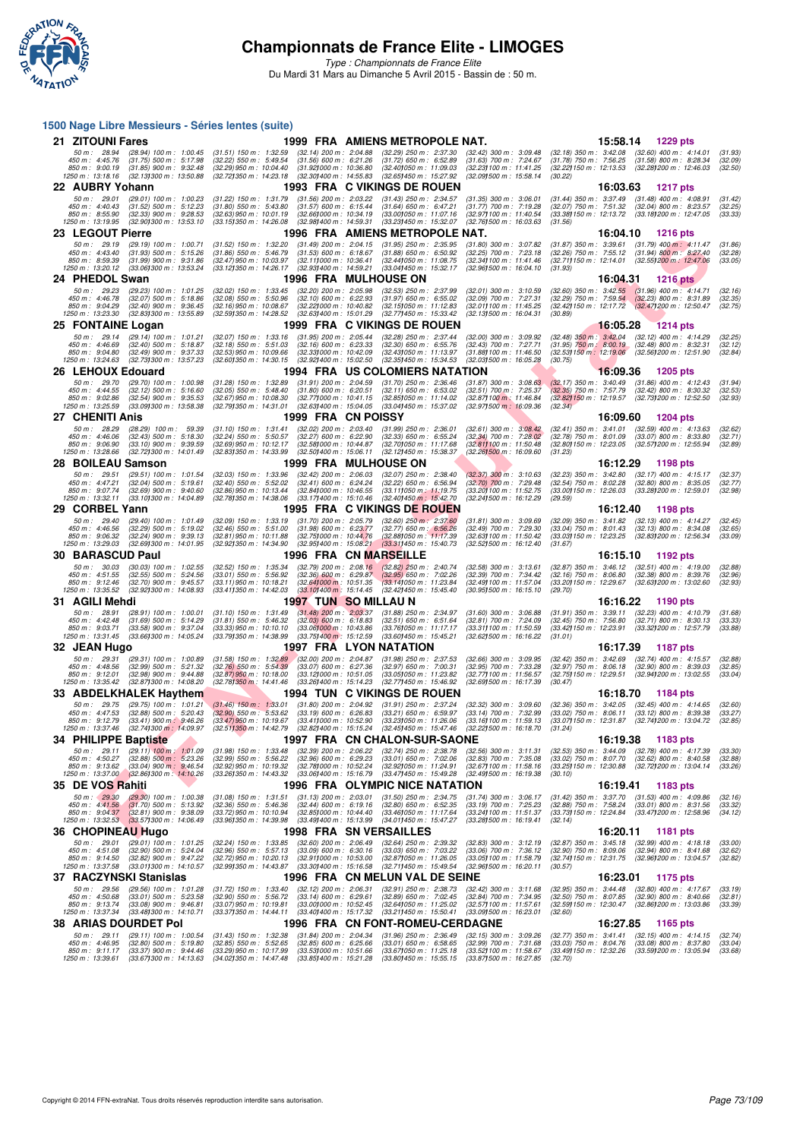

*Type : Championnats de France Elite* Du Mardi 31 Mars au Dimanche 5 Avril 2015 - Bassin de : 50 m.

## F F N - R É SAN HE RE DE LA TINA DE LA TINA DE LA TINA DE LA TINA DE LA TINA DE LA TINA DE LA TINA DE LA TINA DE LA TINA DE LA TINA DE LA TINA DE LA TINA DE LA TINA DE LA TINA DE LA TINA DE LA TINA DE LA TINA DE LA TINA DE **1500 Nage Libre Messieurs - Séries lentes (suite) 21 ZITOUNI Fares** 1999 FRA AMIENS METROPOLE NAT. 15:58.14 1229 pts<br>
50 m: 28.94 (28.94) 100 m: 1:00.45 (31.51) 150 m: 1:32.59 (32.14) 200 m: 2:04.88 (32.29) 250 m: 2:37.30 (32.42) 300 m: 3:09.48 (32.18) 350 m: 3:42.08 (32 50 m : 28.94 (28.94) 100 m : 1:00.45 (31.51) 150 m : 1:32.59 (32.14) 200 m : 2:04.88 (32.29) 250 m : 2:37.30 (32.42) 300 m : 3:09.48 (32.18) 350 m : 3:42.08 (32.60) 400 m : 4:14.01 (31.93,<br>450 m : 4:45.76 (31.75) 500 m : 5 **22 AUBRY Yohann 1993 FRA C VIKINGS DE ROUEN 16:03.63 1217 pts**<br>
50 m: 29.01 (29.01) 100 m: 1:00.23 (31.22) 150 m: 1:31.79 (31.56) 200 m: 2:03.22 (31.43) 250 m: 2:34.57 (31.35) 300 m: 3:06.01 (31.44) 350 m: 3:37.49 (31.48) 50 m : 29.01 (29.01) 100 m : 1:00.23 (31.22) 150 m : 1:31.79 (31.56) 200 m : 2:03.22 (31.43) 250 m : 2:34.57 (31.35) 300 m : 3:06.01 (31.44) 350 m : 3:37.49 (31.48) 400 m : 4:08.91 (31.42) 400 m : 4:02.81 (31.42) 400 m : 5 **23 LEGOUT Pierre** 1996 FRA AMIENS METROPOLE NAT. 13.782 (31.27) 350 m : 201.10 1216 pts<br>
50 m : 29.19 (29.19) 100 m : 1:00.71 (31.52) 150 m : 1:32.20 (31.49) 200 m : 2:04.15 (31.95) 250 m : 2:35.95 (31.80) 300 m : 3:07.82 50 m : 29.19 (29.19) 100 m : 1:00.71 (31.52) 150 m : 1:32.20 (31.49) 200 m : 2:04.15 (31.95) 250 m : 2:35.95 (31.80) 300 m : 3:07.82 (31.87) 350 m : 3:39.61 (31.79) 400 m : 4:11.47 (31.86)<br>450 m : 4:43.40 (31.99) 500 m : 5 **24 PHEDOL Swan** 1216 pts<br>
50 m: 29.23 (29.23) 100 m: 1:01.25 (32.02) 150 m: 1:33.45 (32.20) 200 m: 2:05.98 (32.53) 250 m: 2:37.99 (32.01) 300 m: 3:10.59 (32.60) 350 m: 3:42.55 (31.96) 400 m: 4:14.71<br>
450 m: 4:45.78 (32.07 50 m : 29.23 (29.23) 100 m : 1:01.25 (32.02) 150 m : 1:33.45 (32.20) 200 m : 2:05.98 (32.53) 250 m : 2:37.99 (32.01) 300 m : 3:10.59 (32.60) 350 m : 3:42.55 (31.96) 400 m : 4:14.71 (32.16)<br>450 m : 4:46.78 (32.07) 500 m : 5 **25 FONTAINE Logan** 1999 FRA C VIKINGS DE ROUEN 199.9 FONTAINE Logan 1999 FRA C VIKINGS DE ROUEN 16:05.28 1214 pts<br>
50 m : 29.14 (29.14) 100 m : 1:01.21 (32.07) 150 m : 1:33.16 (31.95) 200 m : 2:05.44 (32.28) 250 m : 2:37. 50 m : 29.14 (29.14) 100 m : 1:01.21 (32.07) 150 m : 1:33.16 (31.95) 200 m : 2:05.44 (32.89) 250 m : 2:37.44 (32.00) 300 m : 3:09.92 (32.48) 350 m : 3:42.04 (32.12) 400 m : 4:14.29 (32.25)<br>450 m : 4:46.69 (32.49) 900 m : 5 **26 LEHOUX Edouard** 1994 FRA US COLOMIERS NATATION 16:09.36 1205 pts<br>
50 m : 29.70 (29.70) 100 m : 1:00.98 (31.28) 150 m : 1:32.89 (31.91) 200 m : 2:04.59 (31.70) 250 m : 2:36.46 (31.87) 300 m : 3:08.88 (32.17) 350 m : 3:4 50 m : 29.70 (29.70) 100 m : 1:00.98 (31.28) 150 m : 1:32.89 (31.31) 200 m : 2:04.59 (31.70) 250 m : 2:04.69 (31.87) 300 m : 3:06.63 (32.17) 350 m : 3:40.49 (31.86) 400 m : 4:12.43 (31.94)<br>450 m : 4:44.55 (32.54) 900 m : 5 **27 CHENITI Anis 1999 FRA CN POISSY**<br>
50 m: 28.29 (28.29) 100 m: 59.39 (31.10) 150 m: 1:31.41 (32.02) 200 m: 2:03.40 (31.99) 250 m: 2:36.01 (32.61) 300 m: 3:08.42 (32.41) 350 m: 3:41.01 (32.59) 400 m: 4:13.63<br>
450 m: 4:0 50 m : 28.29 (28.29) 100 m : 59.39 (31.10) 150 m : 1:31.41 (32.02) 200 m : 2:03.40 (31.99) 250 m : 2:06.01 (32.61) 300 m : 3:06.42 (32.41) 350 m : 3:41.01 (32.59) 400 m : 4:13.63 (32.62)<br>450 m : 4:46.06 (32.41) 500 m : 5:3 **28 BOILEAU Samson** 1999 FRA MULHOUSE ON 1999 FRA 1999 FRA 1999 FRA 200 m i 2:08.40 (32.37) 300 m i 3:10.63 (32.23) 350 m i 3:42.80 (32.17) 400 m i 4:15.17<br>28 m i 4:42.81 (32.41) 50 m i 5:42.80 (32.42) 550 m i 5:42.80 (32. 50 m : 29.51 (29.51) 100 m : 1:01.54 (32.03) 150 m : 1:33.96 (32.42) 200 m : 2:06.03 (32.07) 250 m : 2:38.40 (32.37) 300 m : 3:10.63 (32.23) 350 m : 3:42.80 (32.17) 400 m : 4:15.17 (32.37) 400 m : 4:15.17 (32.37) 560 m : 5 **29 CORBEL Yann 1995 FRA C VIKINGS DE ROUEN** 1995 76.12.40 1198 pts<br>
50 m : 29.40 (29.40) 100 m : 1:01.49 (32.09) 150 m : 1:33.19 (31.70) 200 m : 2:05.79 (32.60) 250 m : 2:37.60 (31.81) 300 m : 3:09.69 (32.09) 350 m : 3:41 50 m : 29.40 (29.40) 100 m : 1:01.49 (32.09) 150 m : 1:33.19 (31.70) 200 m : 2:05.79 (32.60) 250 m : 2:37.60 (31.81) 300 m : 3:09.69 (32.09) 350 m : 3:41.82 (32.13) 400 m : 4:14.27 (32.45)<br>450 m : 4:46.56 (32.24) 900 m : 5 **30 BARASCUD Paul 1996 FRA CN MARSEILLE**<br>50 m : 30.03 (30.03) 100 m : 1:02.55 (32.52) 150 m : 1:35.34 (32.79) 200 m : 2:08.16 (32.82) 250 m : 2:40.74 (32.58) 300 m : 3:13.61 (32.87) 350 m : 3:46.12 (32.51) 400 m : 4:5<br>53 4 50 m : 30.03 (30.03) 100 m : 1:02.55 (32.52) 150 m : 1:35.34 (32.79) 200 m : 2:08.16 (32.82) 250 m : 2:40.74 (32.58) 300 m : 3:13.61 (32.87) 350 m : 3:46.12 (32.51) 400 m : 4:19.00 (32.88)<br>450 m : 4:51.55 (32.55) 500 m : 5 **31 AGILI Mehdi** (1997 TUN SO MILLAU N<br>
50 m: 28.91 (28.91) 100 m: 1:00.01 (31.10) 150 m: 1:31.49 (31.48) 200 m: 2:03.37 (31.88) 250 m: 2:34.97 (31.60) 300 m: 3:06.88 (31.91) 350 m: 3:39.11 (32.23) 400 m: 4:10.79<br>
450 m: 4 50 m : 28.91 (28.91) 100 m : 1:00.01 (31.10) 150 m : 1:31.49 (31.48) 200 m : 2:03.37 (31.88) 250 m : 2:34.97 (31.60) 300 m : 3:06.88 (31.91) 350 m : 3:39.11 (32.23) 400 m : 4:10.79 (31.68)<br>450 m : 4:42.48 (31.68) 500 m : 5 **32 JEAN Hugo**<br> **32 JEAN Hugo** 1997 FRA LYON NATATION 12.069 300 m : 2:04.87 (31.88) 250 m : 2:04.87 (32.68) 300 m : 3:09.95 (32.42) 350 m : 3:42.69 (32.74) 400 m : 4:15.57<br>
450 m : 4:44.56 (32.99) 500 m : 5:44.88 (32.87) 50 m : 29.31 (29.31) 100 m : 1:00.89 (31.58) 150 m : 1:32.89 (32.00) 200 m : 2:04.87 (31.98) 250 m : 2:37.53 (32.66) 300 m : 3:09.95 (32.42) 350 m : 3:42.69 (32.74) 400 m : 4:15.57 (32.88)<br>450 m : 4:45.6 (32.99) 500 m : 5: **33 ABDELKHALEK Haythem 1994 TUN C VIKINGS DE ROUEN 16:18.70 1184 pts**<br>
50 m: 29.75 (29.75) 100 m: 1:01.21 (31.46) 150 m: 1:33.01 (31.80) 200 m: 2:04.92 (31.91) 250 m: 2:37.24 (32.32) 300 m: 3:09.60 (32.36) 350 m: 3:42.05 50 m : 20.75 (29.75) 100 m : 1:01.21 (31.46) 150 m : 1:33.01 (31.80) 200 m : 2:04.92 (31.91) 250 m : 2:37.24 (32.32) 300 m : 3:09.60 (32.36) 350 m : 3:42.05 (32.45) 400 m : 4:14.65 (32.60)<br>1950 m : 4:47.53 (32.45) 500 m : **34 PHILIPPE Baptiste 1997 FRA CN CHALON-SUR-SAONE 16:19.38 1183 pts**<br>
50 m : 29.11 (29.11) 100 m : 1:01.09 (31.98) 150 m : 1:33.48 (32.39) 200 m : 2:06.22 (32.74) 250 m : 2:38.78 (32.56) 300 m : 3:11.31 (32.53) 350 m : 3: 50 m : 29.11 (29.11) 100 m : 1:01.09 (31.98) 150 m : 1:33.48 (32.39) 200 m : 2:06.22 (32.74) 250 m : 2:36.78 (32.56) 300 m : 3:11.31 (32.53) 350 m : 3:44.09 (32.78) 400 m : 4:17.39 (33.30)<br>450 m : 4:50.27 (32.68) 500 m : 5 **35 DE VOS Rahiti** 1996 FRA OLYMPIC NICE NATATION 16:19.41 1183 pts<br>
50 m : 29.30 (29.30) 100 m : 1:00.38 (31.08) 150 m : 1:31.51 (31.13) 200 m : 2:03.01 (31.50) 250 m : 2:34.75 (31.74) 300 m : 3:06.17 (31.42) 350 m : 3:37 50 m : 2930 (2930) 100 m : 1:0038 (31.08) 150 m : 1:31.51 (31.13) 200 m : 2:03.01 (31.50) 250 m : 2:34.75 (31.74) 300 m : 3:06.17 (31.42) 350 m : 3:37.70 (31.53) 400 m : 4:09.86 (32.16)<br>450 m : 4:41.56 (31.70) 500 m : 5:38 **36 CHOPINEAU Hugo** 1998 FRA SN VERSAILLES 16:20.11 1181 pts<br>
50 m: 29.01 (29.01) 100 m: 1:01.25 (32.24) 150 m: 1:33.85 (32.60) 200 m: 2:06.49 (32.64) 250 m: 2:39.32 (32.83) 300 m: 3:12.19 (32.87) 350 m: 3:45.18 (32.99) 40 50 m : 29.01 (29.01) 100 m : 1:01.25 (32.24) 150 m : 1:33.85 (32.60) 200 m : 2:06.49 (32.64) 250 m : 2:39.32 (32.83) 300 m : 3:12.19 (32.87) 350 m : 3:45.18 (32.99) 400 m : 4:18.18 (33.00)<br>450 m : 4:51.08 (32.90) 500 m : 5 **37 RACZYNSKI Stanislas** (32.89) 400 m: 1:33.85 (32.60) 200 m: 2:06.49 (32.64) 250 m: 2:33.32 (32.83) 300 m: 3:12.19 (32.87) 350 m: 3:45.18 (32.99) 400 m: 4:16.18 (39.99) 400 m: 4:16.18 (39.99) 400 m: 4:16.18 (39.99) 400 m 50 m : 29.56 (29.56) 100 m : 1:01.28 (31.72) 150 m : 1:33.40 (32.12) 200 m : 2:06.31 (32.91) 250 m : 2:38.73 (32.42) 300 m : 3:11.68 (32.95) 350 m : 3:44.48 (32.80) 400 m : 4:17.67 (33.19)<br>160 m : 4:50.68 (33.01) 500 m : 9 **38 ARIAS DOURDET Pol 1996 FRA CN FONT-ROMEU-CERDAGNE 16:27.85 1165 pts**<br>
50 m: 29.11 (29.11) 100 m: 1:00.54 (31.43) 150 m: 1:32.38 (31.84) 200 m: 2:04.34 (31.96) 250 m: 2:36.49 (32.15) 300 m: 3:09.26 (32.77) 350 m: 3: 50 m: 29.11 (29.11) 100 m: 1:00.54 (31.43) 150 m: 1:32.38 (31.84) 200 m: 2:04.34 (31.96) 250 m: 2:36.49 (32.15) 300 m: 3:09.26 (32.77) 350 m: 3:41.41 (32.15) 400 m: 4:14.15 (32.74)<br>450 m: 4:46.95 (32.80) 500 m: 5:19.80 (32 . 850 m: 9:11.17 (33.37) 900 m: 9:44.46 (33.29) 950 m: 10:47.49 (33.89100 m: 10:2010 m: 15:36 (33.49100 m: 12:36 (33.491150 m: 12:32.26 (33.591200 m: 13:05.94 (33.68)<br>1250 m: 13:39.61 (33.671300 m: 14:13.63 (34.021350 m: 1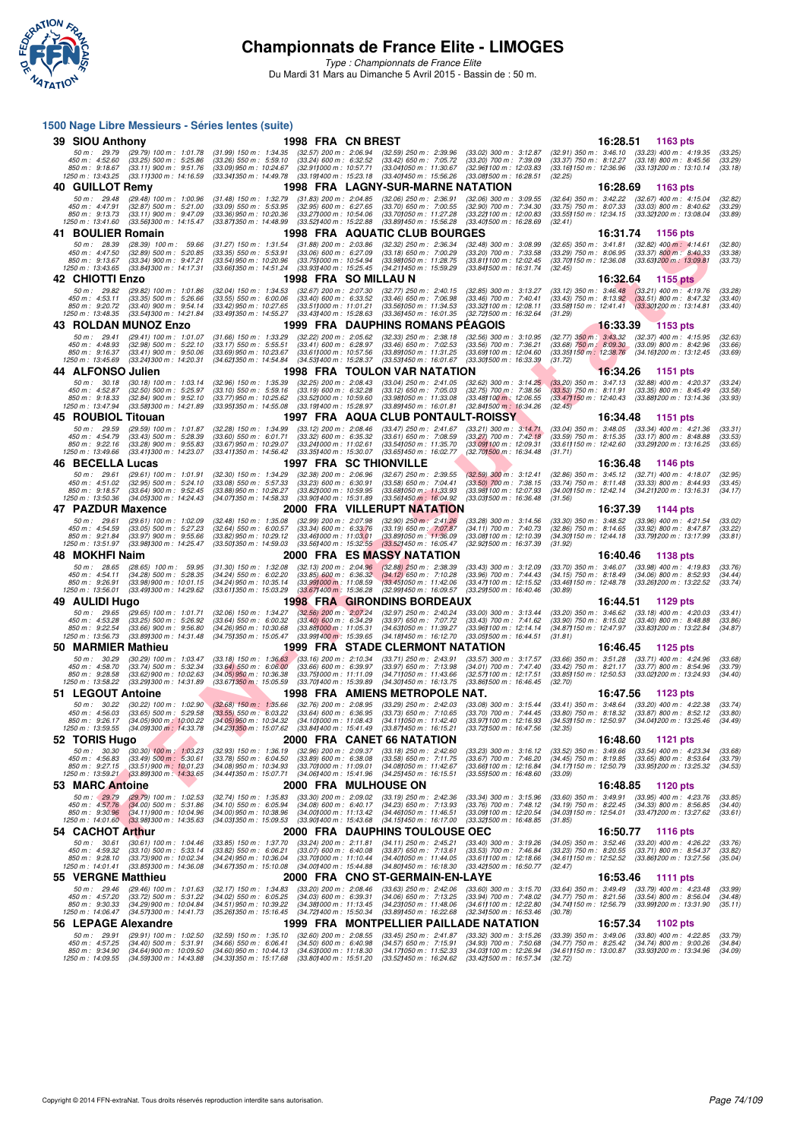

*Type : Championnats de France Elite* Du Mardi 31 Mars au Dimanche 5 Avril 2015 - Bassin de : 50 m.

## **F F N - R é s u l t a t s 1500 Nage Libre Messieurs - Séries lentes (suite) 39 SIOU Anthony**<br> **39 SIOU Anthony**<br>
59 Sum: 2:08.94 (32.59) 100 m: 1:01.78 (31.99) 150 m: 1:34.35 (32.57) 200 m: 2:06.94 (32.59) 250 m: 2:39.96 (33.02) 300 m: 3:12.87 (32.91) 350 m: 3:46.10 (33.23) 400 m: 4:19.35<br>
450 m: 50 m : 29.79 (29.79) 100 m : 1:01.78 (31.99) 150 m : 1:34.35 (32.57) 200 m : 2:06.94 (32.59) 250 m : 2:39.96 (33.02) 300 m : 3:12.87 (32.91) 350 m : 3:46.10 (33.29) 400 m : 4:19.35 (33.25)<br>450 m : 4:32.60 (33.29) 500 m : 5 **40 GUILLOT Remy 1998 FRA LAGNY-SUR-MARNE NATATION 16:28.69 1163 pts**<br>
50 m : 29.48 (29.48) 100 m : 1:00.96 (31.48) 150 m : 1:32.79 (31.83) 200 m : 2:04.85 (32.06) 250 m : 2:36.91 (32.06) 300 m : 3:09.55 (32.64) 350 m : 3: 50 m; 29.48 (29.48) 100 m; 1.00.96 (31.48) 150 m; 1.32.79 (31.83) 200 m; 2.04.85 (32.69) 310 m; 309.79 m; 309.55 (32.69) 300 m; 3.41.22 (32.67) 400 m; 4.47.91 (32.87) 500 m; 4.17.50 m; 3.41.08 (33.03) 800 m; 4.47.91 (32.89 . 850 m: 9:13.73 (33.11) 900 m: 9:47.09 (33.36)950 m: 10:20.36 (33.27)000 m: 10:20 (33.20,000 m: 10:000 m: 12:30 m: 12:34.15 (33.32/200 m: 13:08.04 (33.89)<br>1250 m: 13:41.60 (33.561300 m: 14:15.47 (33.571350 m: 14:48.99 (33 **41 BOULIER Romain** 1998 FRA AQUATIC CLUB BOURGES 16:31.74 1156 pts<br>
50 m : 20.39 (20.39) 100 m : 59.66 (31.27) 150 m : 1:31.54 (31.88) 200 m : 2:03.86 (32.32) 250 m : 2:03.34 (32.48) 300 m : 3:08.99 (32.65) 350 m : 3:41.8 50 m : 28.39 (28.39) 100 m : 59.66 (31.27) 150 m : 1:31.54 (31.88) 200 m : 2:03.86 (32.32) 250 m : 2:06.34 (32.48) 300 m : 3:06.99 (32.65) 350 m : 3:41.81 (32.82) 400 m : 4:14.61 (32.80)<br>450 m : 4:47.50 (32.89) 500 m : 5:2 **42 CHIOTTI Enzo**<br> **42 CHIOTTI Enzo** (29.82) 100 m: 1:01.86 (32.04) 150 m: 1:34.53 (32.67) 200 m: 2:07.30 (32.77) 250 m: 2:40.15 (32.85) 300 m: 3:13.27 (33.12) 350 m: 3:46.48 (33.21) 400 m: 4:19.76<br>
450 m: 4:53.11 (33.35) 50 m : 29.82 (29.82) 100 m : 1:01.86 (32.04) 150 m : 1:34.53 (32.67) 200 m : 2:07.30 (32.77) 250 m : 2:40.15 (32.85) 300 m : 3:13.27 (33.12) 350 m : 3:46.48 (33.21) 400 m : 4:19.76 (33.28) 360 m : 5:45.48 (33.21) 400 m : 4 **43 ROLDAN MUNOZ Enzo** 1999 FRA DAUPHINS ROMANS PÉAGOIS 16:33.39 1153 pts<br>
50 m : 29.41 (29.41) 100 m : 1:01.07 (31.66) 150 m : 1:33.29 (32.22) 200 m : 2:05.62 (32.33) 250 m : 2:38.18 (32.56) 300 m : 3:10.95 (32.77) 350 m 50 m : 29.41 (29.41) 100 m : 1:01.07 (31.66) 150 m : 1:33.29 (32.22) 200 m : 2:05.62 (32.33) 250 m : 2:38.18 (32.56) 300 m : 3:10.95 (32.77) 350 m : 3:43.32 (32.37) 400 m : 4:15.95 (32.63)<br>450 m : 4:48.93 (32.98) 500 m : 5 **44 ALFONSO Julien 1998 FRA TOULON VAR NATATION 16:34.26 1151 pts**<br>
50 m: 30.18 (30.18) 100 m: 1:03.14 (32.96) 150 m: 1:35.39 (32.25) 200 m: 2:08.43 (33.04) 250 m: 2:41.05 (32.62) 300 m: 3:14.25 (33.20) 350 m: 3:47.13 50 m : 30.18 (30.18) 100 m : 1:03.14 (32.96) 150 m : 1:35.39 (32.25) 200 m : 2:08.43 (33.04) 250 m : 2:41.05 (32.62) 300 m : 3:14.25 (33.20) 350 m : 3:47.13 (32.88) 400 m : 4:20.37 (33.24)<br>450 m : 4:52.87 (32.58) 500 m : 5 **45 ROUBIOL Titouan** 1997 FRA AQUA CLUB PONTAULT-ROISSY 16:34.48 1151 pts<br>
50 m : 29.59 (29.59) 100 m : 1:01.87 (32.28) 150 m : 1:34.99 (33.12) 200 m : 2:08.46 (33.47) 250 m : 2:41.67 (33.21) 300 m : 3:14.71 (33.04) 350 m 50 m: 29.59 (29.59) 100 m: 1:01.87 (32.28) 150 m: 1:34.99 (33.12) 200 m: 2:08.46 (33.47) 250 m: 2:41.67 (33.21) 300 m: 3:14.71 (33.04) 350 m: 3:48.05 (33.34) 400 m: 4:21.36 (33.31)<br>450 m: 4:54.79 (33.43) 500 m: 5:28.39 (33 . 850 m : 9:22.16 (33.28) 900 m : 9:55.83 (33.67) 563.7 (33.49100 m : 11:02.61 (33.541050 m : 10:03.24 (33.111<br>1250 m : 13:49.66 (33.411300 m : 14:23.07 (33.411350 m : 14:56.42 (33.351400 m : 15:30.07 (33.651450 m : 16:02. **46 BECELLA Lucas** 1997 FRA SC THIONVILLE 16:36.48 1146 pts<br>
50 m: 29.61 (29.61) 100 m: 1:01.91 (32.30) 150 m: 1:34.29 (32.38) 200 m: 2:06.96 (32.67) 250 m: 2:39.55 (32.59) 300 m: 3:12.41 (32.86) 350 m: 3:45.12 (32.71) 400 50 m : 29.61 (29.61) 100 m : 1:01.91 (32.30) 150 m : 1:34.29 (32.38) 200 m : 2:06.96 (32.67) 250 m : 2:39.55 (32.59) 300 m : 3:12.41 (32.86) 350 m : 3:45.12 (32.71) 400 m : 4:16.07 (32.95<br>450 m : 4:51.02 (32.95) 500 m : 5: **47 PAZDUR Maxence** 2000 FRA VILLERUPT NATATION 16:37.39 1144 pts<br>
50 m : 29.61 (29.61) 100 m : 1:02.09 (32.48) 150 m : 1:35.08 (32.99) 200 m : 2:07.98 (32.90) 250 m : 2:1.26 (33.28) 300 m : 3:14.56 (33.30) 350 m : 3:46.52 50 m : 29.61 (29.61) 100 m : 1:02.09 (32.48) 150 m : 1:35.08 (32.99) 200 m : 2:07.98 (32.90) 250 m : 2:41.26 (32.29) 300 m : 3:14.56 (33.30) 350 m : 3:48.52 (33.96) 400 m : 4:21.54 (33.02)<br>450 m : 4:34.59 (33.05) 500 m : 5 **48 MOKHFI Naim**<br>
50 m: 2005 (2005) 50 m: 2006 50 m: 2006 60 22.13 200 m: 2004 86 (32.88) 250 m: 238.39 (33.43) 300 m: 3:12.09 (33.70) 350 m: 3:46.07 (33.98) 400 m: 4:54.87<br>150 m: 4:54.11 (34.28) 500 m: 5:28.35 (34.24) 550 50 m : 2.08 5 (28.65) 100 m : 59.95 (31.30) 150 m : 1:32.08 (32.13) 200 m : 2:04.96 (32.88) 250 m : 2:38.39 (33.43) 300 m : 3:12.09 (33.70) 350 m : 3:46.07 (33.98) 400 m : 4:19.83 (33.76)<br>450 m : 4:54.11 (34.28) 500 m : 52 **49 AULIDI Hugo 1998 FRA GIRONDINS BORDEAUX 16:44.51 1129 pts**<br> **498 FRA GIRONDINS BORDEAUX 16:44.51 1129 pts**<br>
450 m : 453.20 (33.18) 400 m : 5:16.92 (33.18) 400 m : 5:06.92 (33.18) 400 m : 6:06.92 (33.18) 400 m : 4:20.03 50 m : 29.65 (29.65) 100 m : 1:01.71 (32.06) 150 m : 1:34.27 (32.56) 200 m : 2:07.24 (32.97) 250 m : 2:40.24 (33.00) 300 m : 3:13.44 (33.20) 350 m : 3:46.62 (33.18) 400 m : 4:20.03 (33.41)<br>450 m : 4:35.28 (33.56) 500 m : 5 **50 MARMIER Mathieu 1999 FRA STADE CLERMONT NATATION** 19:366) 50 m: 30.29 (30.29) 100 m: 1:03.47 (33.18) 150 m: 1:36.63 (33.16) 200 m: 2:10.34 (33.71) 250 m: 2:43.91 (33.57) 300 m: 3:17.57 (33.66) 350 m: 3:51.28 (33.71) 40 50 m : 30.29 (30.29) 100 m : 1:03.47 (33.18) 150 m : 1:36.63 (33.16) 200 m : 2:10.34 (33.71) 250 m : 2:43.91 (33.57) 300 m : 3:1.757 (33.66) 350 m : 3:51.28 (33.71) 400 m : 4:24.96 (33.68)<br>450 m : 4:28.58 (33.62) 900 m : 5 **51 LEGOUT Antoine 1998 FRA AMIENS METROPOLE NAT. 16:47.56 1123 pts**<br>
50 m: 30.22 (30.22) 100 m: 1:02.90 (32.68) 150 m: 1:35.66 (32.76) 200 m: 2:08.95 (33.29) 250 m: 2:42.03 (33.08) 300 m: 3:15.44 (33.41) 350 m: 3:48 50 m : 30.22 (30.22) 100 m : 1:02.90 (32.68) 150 m : 1:35.66 (32.76) 200 m : 2:08.95 (33.29) 250 m : 2:42.03 (30.8) 300 m : 3:15.44 (33.41) 350 m : 3:48.64 (33.20) 400 m : 4:22.38 (33.74)<br>450 m : 4:56.03 (33.65) 500 m : 5: **52 TORIS Hugo 2000 FRA CANET 66 NATATION**<br>
50 m: 30.30 (30.30) 100 m: 1:03.23 (32.93) 150 m: 1:36.19 (32.96) 200 m: 2:09.37 (33.18) 250 m: 2:42.60 (33.23) 300 m: 3:16.12 (33.52) 350 m: 3:49.66 (33.54) 400 m: 4:23.34<br>
450 50 m : 30.30 (30.30) 100 m : 1:03.23 (32.93) 150 m : 1:36.19 (32.96) 200 m : 2:09.37 (33.18) 250 m : 2:42.60 (33.23) 300 m : 3:16.12 (33.52) 350 m : 3:49.66 (33.54) 400 m : 4:23.34 (33.68)<br>450 m : 4:26.83 (33.49) 500 m : 5 **53 MARC Antoine**<br> **53 MARC Antoine** 2000 FRA MULHOUSE ON 16:48.85 1120 pts<br> **50 m:** 29.79 (29.79) 100 m: 1:02.53 (32.74) 150 m: 1:35.83 (33.30) 200 m: 2:09.02 (33.19) 250 m: 2:42.36 (33.34) 300 m: 3:15.96 (33.60) 350 m: 3 50 m : 29.79 (29.79) 100 m : 1:02.53 (32.74) 150 m : 1:35.83 (33.30) 200 m : 2:09.02 (33.19) 250 m : 2:42.36 (33.34) 300 m : 3:15.96 (33.60) 350 m : 3:49.91 (33.95) 400 m : 4:23.76 (33.85)<br>450 m : 4:37.76 (34.00) 500 m : 5 **54 CACHOT Arthur 2000 FRA DAUPHINS TOULOUSE OEC 16:50.77 1116 pts**<br>
50 m: 30.61 (30.61) 100 m: 1:04.46 (33.85) 150 m: 1:37.70 (33.24) 200 m: 2:11.81 (34.11) 250 m: 2:45.21 (33.40) 300 m: 3:19.26 (34.05) 350 m: 3:52.46 (33 50 m : 30.61 (30.61) 100 m : 1:04 46 (33.85) 150 m : 1:37.70 (33.24) 200 m : 2:11.81 (34.11) 250 m : 2:45.21 (33.40) 300 m : 3:19.26 (34.05) 350 m : 3:52.46 (33.20) 400 m : 4:26.22 (33.76)<br>450 m : 4:39.22 (33.11) 500 m : 5 **55 VERGNE Matthieu 2000 FRA CNO ST-GERMAIN-EN-LAYE 16:53.46 1111 pts**<br>
50 m: 29.46 (29.46) 100 m: 1:01.63 (32.17) 150 m: 1:34.83 (33.20) 200 m: 2:08.46 (33.63) 250 m: 2:42.06 (33.60) 300 m: 3:15.70 (33.64) 350 m: 3:49.49 50 m : 29.46 (29.46) 100 m : 1:01.63 (32.17) 150 m : 1:34.83 (33.20) 200 m : 2:03.46 (33.63) 250 m : 2:42.06 (33.60) 300 m : 3:15.70 (33.64) 350 m : 3:49.49 (33.79) 400 m : 4:23.48 (33.99) 400 m : 4:23.48 (33.99) 400 m : 5 **56 LEPAGE Alexandre 1999 FRA MONTPELLIER PAILLADE NATATION** 16:57.34 1102 pts<br>
50 m: 29.91 (29.91) 100 m: 1:02.50 (32.59) 150 m: 1:35.10 (32.60) 200 m: 2:08.55 (33.45) 250 m: 2:41.87 (33.32) 300 m: 3:15.26 (33.39) 350 m: 50 m : 29.91 (29.91) 100 m : 1.02.50 (32.59) 150 m : 1.35.10 (32.60) 200 m : 2.08.55 (33.45) 250 m : 2.41.87 (33.32) 300 m : 3.12.26 (33.39) 350 m : 3.49.06 (33.80) 400 m : 4.22.85 (33.79)<br>450 m : . 850 m: 9:34.90 (34.64)900 m: 10:09.50 m: 10:363, 363, 369, 300 m: 15:15.30 (34.171050 m: 12:03.31) m: 12:05.94 (34.611150 m: 13:00.87 (33.931200 m: 13:34.96 (34.09)<br>1250 m: 14:09.55 (34.591300 m: 14:43.88 (34.331350 m: 1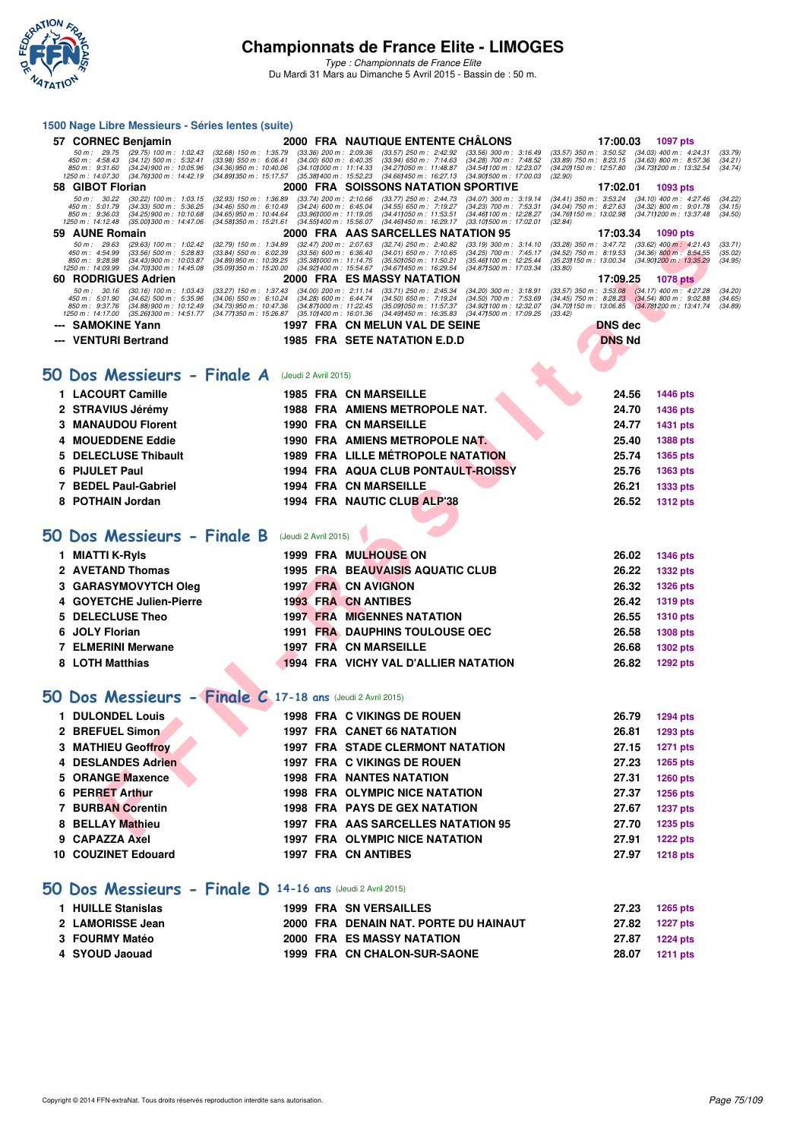

| 1500 Nage Libre Messieurs - Séries lentes (suite)                                                                                                                                                                 |                                                                                                                  |                                                                                                                                                                                                                                                                                                                                                                                                         |                                                                                                                                                                                      |                                                                                                                    |
|-------------------------------------------------------------------------------------------------------------------------------------------------------------------------------------------------------------------|------------------------------------------------------------------------------------------------------------------|---------------------------------------------------------------------------------------------------------------------------------------------------------------------------------------------------------------------------------------------------------------------------------------------------------------------------------------------------------------------------------------------------------|--------------------------------------------------------------------------------------------------------------------------------------------------------------------------------------|--------------------------------------------------------------------------------------------------------------------|
| 57 CORNEC Benjamin                                                                                                                                                                                                |                                                                                                                  | 2000 FRA NAUTIQUE ENTENTE CHÂLONS                                                                                                                                                                                                                                                                                                                                                                       | 17:00.03                                                                                                                                                                             | <b>1097 pts</b>                                                                                                    |
| 50 m : 29.75<br>$(29.75)$ 100 m : 1:02.43<br>$(34.12)$ 500 m : 5:32.41<br>450 m : 4:58.43<br>850 m: 9:31.60<br>$(34.24)$ 900 m : 10:05.96<br>1250 m : 14:07.30<br>(34.76) 300 m : 14:42.19                        | $(32.68)$ 150 m : 1:35.79<br>$(33.98)$ 550 m : 6:06.41<br>$(34.36)$ 950 m : 10:40.06<br>(34.89) 350 m : 15:17.57 | $(33.36)$ 200 m : 2:09.36<br>$(33.57)$ 250 m : 2:42.92<br>$(33.56)$ 300 m : 3:16.49<br>$(34.00)$ 600 m : 6:40.35<br>$(33.94)$ 650 m : 7:14.63<br>(34.28) 700 m : 7:48.52<br>(34.10) 000 m: 11:14.33<br>(34.27) 050 m: 11:48.87<br>(34.54) 100 m : 12:23.07<br>$(35.38)400 \text{ m}$ : 15:52.23<br>(34.66)450 m : 16.27.13<br>(34.90) 500 m : 17:00.03                                                  | (33.57) 350 m : 3:50.52 (34.03) 400 m : 4:24.31<br>(33.89) 750 m: 8:23.15 (34.63) 800 m: 8:57.36<br>(34.201150 m : 12:57.80<br>(32.90)                                               | (33.79)<br>(34.21)<br>(34.73) 200 m : 13:32.54<br>(34.74)                                                          |
| 58 GIBOT Florian                                                                                                                                                                                                  |                                                                                                                  | 2000 FRA SOISSONS NATATION SPORTIVE                                                                                                                                                                                                                                                                                                                                                                     | 17:02.01                                                                                                                                                                             | 1093 pts                                                                                                           |
| $50 m$ : $30.22$<br>$(30.22)$ 100 m : 1:03.15<br>450 m: 5:01.79<br>$(34.33)$ 500 m : 5:36.25<br>850 m : 9:36.03<br>$(34.25)$ 900 m : 10:10.68<br>1250 m : 14:12.48<br>$(35.00)300 \text{ m}$ : 14:47.06           | $(32.93)$ 150 m : 1:36.89<br>$(34.46)$ 550 m : 6:10.49<br>$(34.65)$ 950 m : 10:44.64<br>(34.58)350 m : 15.21.61  | $(33.74)$ 200 m : 2:10.66<br>$(33.77)$ 250 m : 2:44.73<br>(34.07) 300 m : 3:19.14<br>$(34.24)$ 600 m : 6:45.04<br>(34.55) 650 m : 7:19.27<br>(34.23) 700 m : 7:53.31<br>$(33.96)000 \text{ m}$ : 11:19.05<br>$(34.41)050 \text{ m}$ : 11:53.51<br>(34.46) 100 m : 12:28.27<br>$(34.55)400 \text{ m}$ : 15:56.07<br>(34.46)450 m : 16.29.17<br>$(33.10)500 \text{ m}$ : 17:02.01                         | (34.41) 350 m : 3:53.24<br>(34.04) 750 m : 8:27.63<br>(34.76) 150 m : 13:02.98<br>(32.84)                                                                                            | $(34.10)$ 400 m : 4:27.46<br>(34.22)<br>(34.15)<br>$(34.32)$ 800 m : 9:01.78<br>(34.711200 m: 13:37.48)<br>(34.50) |
| 59 AUNE Romain                                                                                                                                                                                                    |                                                                                                                  | 2000 FRA AAS SARCELLES NATATION 95                                                                                                                                                                                                                                                                                                                                                                      | 17:03.34                                                                                                                                                                             | 1090 pts                                                                                                           |
| 50 m: 29.63<br>(29.63) 100 m : 1:02.42<br>450 m : 4:54.99<br>$(33.56)$ 500 m : 5:28.83<br>850 m : 9:28.98<br>$(34.43)$ 900 m : 10:03.87<br>1250 m: 14:09.99<br>(34.70) 300 m : 14:45.08                           | $(32.79)$ 150 m : 1:34.89<br>$(33.84)$ 550 m : 6:02.39<br>$(34.89)$ 950 m : 10:39.25<br>(35.09) 350 m : 15:20.00 | $(32.47)$ 200 m : 2:07.63<br>$(32.74)$ 250 m : 2:40.82<br>$(33.19)$ 300 m : 3:14.10<br>$(33.56)$ 600 m : 6:36.40<br>$(34.01)$ 650 m : 7:10.65<br>(34.25) 700 m : 7:45.17<br>$(35.38)000 \text{ m}$ : 11:14.75<br>(35.50)050 m : 11.50.21<br>(35.46) 100 m : 12:25.44<br>(34.92) 400 m : 15:54.67<br>(34.67) 450 m : 16:29.54<br>(34.87) 500 m: 17:03.34                                                 | $(33.28)$ 350 m : 3:47.72<br>$(34.52)$ 750 m : 8:19.53<br>(35.23) 150 m : 13:00.34<br>(33.80)                                                                                        | $(33.62)$ 400 m : 4:21.43<br>(33.71)<br>$(34.36)$ 800 m : 8:54.55<br>(35.02)<br>(34.901200 m: 13:35.29)<br>(34.95) |
| 60 RODRIGUES Adrien<br>50 m: 30.16<br>$(30.16)$ 100 m : 1:03.43<br>$(34.62)$ 500 m : 5:35.96<br>450 m : 5:01.90<br>850 m : 9:37.76<br>$(34.88)$ 900 m : 10:12.49<br>1250 m : 14:17.00<br>(35.26) 300 m : 14:51.77 | $(33.27)$ 150 m : 1:37.43<br>$(34.06)$ 550 m : 6:10.24<br>$(34.73)$ 950 m : 10:47.36<br>(34.77) 350 m : 15:26.87 | <b>2000 FRA ES MASSY NATATION</b><br>$(34.00)$ 200 m : 2:11.14<br>$(33.71)$ 250 m : 2:45.34<br>$(34.20)$ 300 m : 3:18.91<br>$(34.28)$ 600 m : 6:44.74<br>$(34.50)$ 650 m : 7:19.24<br>(34.50) 700 m : 7:53.69<br>(34.87) 000 m: 11:22.45<br>(35.09) 050 m: 11:57.37<br>(34.92) 100 m : 12:32.07<br>(34.47) 500 m : 17:09.25<br>$(35.101400 \text{ m} : 16.01.36)$<br>$(34.491450 \text{ m} : 16.35.83)$ | 17:09.25<br>$(33.57)$ 350 m : $3.53.08$ $(34.17)$ 400 m : 4.27.28<br>(34.45) 750 m : 8:28.23 (34.54) 800 m : 9:02.88<br>(34.70) 150 m : 13:06.85 (34.78) 200 m : 13:41.74<br>(33.42) | <b>1078 pts</b><br>(34.20)<br>(34.65)<br>(34.89)                                                                   |
| --- SAMOKINE Yann                                                                                                                                                                                                 |                                                                                                                  | 1997 FRA CN MELUN VAL DE SEINE                                                                                                                                                                                                                                                                                                                                                                          | <b>DNS</b> dec                                                                                                                                                                       |                                                                                                                    |
| --- VENTURI Bertrand                                                                                                                                                                                              |                                                                                                                  | <b>1985 FRA SETE NATATION E.D.D</b>                                                                                                                                                                                                                                                                                                                                                                     | <b>DNS Nd</b>                                                                                                                                                                        |                                                                                                                    |
|                                                                                                                                                                                                                   |                                                                                                                  |                                                                                                                                                                                                                                                                                                                                                                                                         |                                                                                                                                                                                      |                                                                                                                    |
| 50 Dos Messieurs - Finale A                                                                                                                                                                                       | (Jeudi 2 Avril 2015)                                                                                             |                                                                                                                                                                                                                                                                                                                                                                                                         |                                                                                                                                                                                      |                                                                                                                    |
| 1 LACOURT Camille                                                                                                                                                                                                 |                                                                                                                  | <b>1985 FRA CN MARSEILLE</b>                                                                                                                                                                                                                                                                                                                                                                            | 24.56                                                                                                                                                                                |                                                                                                                    |
|                                                                                                                                                                                                                   |                                                                                                                  |                                                                                                                                                                                                                                                                                                                                                                                                         |                                                                                                                                                                                      | <b>1446 pts</b>                                                                                                    |
| 2 STRAVIUS Jérémy                                                                                                                                                                                                 |                                                                                                                  | 1988 FRA AMIENS METROPOLE NAT.                                                                                                                                                                                                                                                                                                                                                                          | 24.70                                                                                                                                                                                | 1436 pts                                                                                                           |
| <b>MANAUDOU Florent</b><br>3                                                                                                                                                                                      | 1990 FRA                                                                                                         | <b>CN MARSEILLE</b>                                                                                                                                                                                                                                                                                                                                                                                     | 24.77                                                                                                                                                                                | 1431 pts                                                                                                           |
| <b>MOUEDDENE Eddie</b><br>4                                                                                                                                                                                       |                                                                                                                  | 1990 FRA AMIENS METROPOLE NAT.                                                                                                                                                                                                                                                                                                                                                                          | 25.40                                                                                                                                                                                | 1388 pts                                                                                                           |
| <b>DELECLUSE Thibault</b>                                                                                                                                                                                         |                                                                                                                  | <b>1989 FRA LILLE METROPOLE NATATION</b>                                                                                                                                                                                                                                                                                                                                                                | 25.74                                                                                                                                                                                | 1365 pts                                                                                                           |
| <b>PIJULET Paul</b><br>6                                                                                                                                                                                          |                                                                                                                  | 1994 FRA AQUA CLUB PONTAULT-ROISSY                                                                                                                                                                                                                                                                                                                                                                      | 25.76                                                                                                                                                                                | 1363 pts                                                                                                           |
| <b>BEDEL Paul-Gabriel</b><br>7                                                                                                                                                                                    |                                                                                                                  | 1994 FRA CN MARSEILLE                                                                                                                                                                                                                                                                                                                                                                                   | 26.21                                                                                                                                                                                | 1333 pts                                                                                                           |
| <b>POTHAIN Jordan</b><br>8                                                                                                                                                                                        |                                                                                                                  | 1994 FRA NAUTIC CLUB ALP'38                                                                                                                                                                                                                                                                                                                                                                             | 26.52                                                                                                                                                                                | <b>1312 pts</b>                                                                                                    |
|                                                                                                                                                                                                                   |                                                                                                                  |                                                                                                                                                                                                                                                                                                                                                                                                         |                                                                                                                                                                                      |                                                                                                                    |
| 50 Dos Messieurs - Finale B                                                                                                                                                                                       | (Jeudi 2 Avril 2015)                                                                                             |                                                                                                                                                                                                                                                                                                                                                                                                         |                                                                                                                                                                                      |                                                                                                                    |
| 1 MIATTI K-Ryls                                                                                                                                                                                                   |                                                                                                                  | <b>1999 FRA MULHOUSE ON</b>                                                                                                                                                                                                                                                                                                                                                                             | 26.02                                                                                                                                                                                | <b>1346 pts</b>                                                                                                    |
| 2 AVETAND Thomas                                                                                                                                                                                                  |                                                                                                                  | <b>1995 FRA BEAUVAISIS AQUATIC CLUB</b>                                                                                                                                                                                                                                                                                                                                                                 | 26.22                                                                                                                                                                                | 1332 pts                                                                                                           |
| <b>GARASYMOVYTCH Oleg</b>                                                                                                                                                                                         |                                                                                                                  | 1997 FRA CN AVIGNON                                                                                                                                                                                                                                                                                                                                                                                     | 26.32                                                                                                                                                                                | <b>1326 pts</b>                                                                                                    |
| <b>GOYETCHE Julien-Pierre</b>                                                                                                                                                                                     |                                                                                                                  | <b>1993 FRA CN ANTIBES</b>                                                                                                                                                                                                                                                                                                                                                                              | 26.42                                                                                                                                                                                | 1319 pts                                                                                                           |
| <b>DELECLUSE Theo</b><br>5                                                                                                                                                                                        | 1997 FRA                                                                                                         | <b>MIGENNES NATATION</b>                                                                                                                                                                                                                                                                                                                                                                                | 26.55                                                                                                                                                                                | <b>1310 pts</b>                                                                                                    |
| <b>JOLY Florian</b><br>6                                                                                                                                                                                          |                                                                                                                  | <b>1991 FRA DAUPHINS TOULOUSE OEC</b>                                                                                                                                                                                                                                                                                                                                                                   | 26.58                                                                                                                                                                                | <b>1308 pts</b>                                                                                                    |
| <b>ELMERINI Merwane</b><br>7                                                                                                                                                                                      |                                                                                                                  | 1997 FRA CN MARSEILLE                                                                                                                                                                                                                                                                                                                                                                                   | 26.68                                                                                                                                                                                | <b>1302 pts</b>                                                                                                    |
| 8 LOTH Matthias                                                                                                                                                                                                   |                                                                                                                  | 1994 FRA VICHY VAL D'ALLIER NATATION                                                                                                                                                                                                                                                                                                                                                                    | 26.82                                                                                                                                                                                | <b>1292 pts</b>                                                                                                    |
|                                                                                                                                                                                                                   |                                                                                                                  |                                                                                                                                                                                                                                                                                                                                                                                                         |                                                                                                                                                                                      |                                                                                                                    |
| 50 Dos Messieurs - Finale C 17-18 ans (Jeudi 2 Avril 2015)                                                                                                                                                        |                                                                                                                  |                                                                                                                                                                                                                                                                                                                                                                                                         |                                                                                                                                                                                      |                                                                                                                    |
| 1 DULONDEL Louis                                                                                                                                                                                                  |                                                                                                                  | <b>1998 FRA C VIKINGS DE ROUEN</b>                                                                                                                                                                                                                                                                                                                                                                      | 26.79                                                                                                                                                                                | <b>1294 pts</b>                                                                                                    |
| 2 BREFUEL Simon                                                                                                                                                                                                   |                                                                                                                  | 1997 FRA CANET 66 NATATION                                                                                                                                                                                                                                                                                                                                                                              | 26.81                                                                                                                                                                                | 1293 pts                                                                                                           |
| 3 MATHIEU Geoffroy                                                                                                                                                                                                |                                                                                                                  | <b>1997 FRA STADE CLERMONT NATATION</b>                                                                                                                                                                                                                                                                                                                                                                 | 27.15                                                                                                                                                                                | 1271 pts                                                                                                           |
| 4 DESLANDES Adrien                                                                                                                                                                                                |                                                                                                                  | 1997 FRA C VIKINGS DE ROUEN                                                                                                                                                                                                                                                                                                                                                                             | 27.23                                                                                                                                                                                | 1265 pts                                                                                                           |
| 5 ORANGE Maxence                                                                                                                                                                                                  |                                                                                                                  | <b>1998 FRA NANTES NATATION</b>                                                                                                                                                                                                                                                                                                                                                                         | 27.31                                                                                                                                                                                | 1260 pts                                                                                                           |
| 6 PERRET Arthur                                                                                                                                                                                                   |                                                                                                                  | <b>1998 FRA OLYMPIC NICE NATATION</b>                                                                                                                                                                                                                                                                                                                                                                   | 27.37                                                                                                                                                                                | 1256 pts                                                                                                           |
| <b>7 BURBAN Corentin</b>                                                                                                                                                                                          |                                                                                                                  | <b>1998 FRA PAYS DE GEX NATATION</b>                                                                                                                                                                                                                                                                                                                                                                    | 27.67                                                                                                                                                                                | <b>1237 pts</b>                                                                                                    |
| 8 BELLAY Mathieu                                                                                                                                                                                                  |                                                                                                                  | 1997 FRA AAS SARCELLES NATATION 95                                                                                                                                                                                                                                                                                                                                                                      | 27.70                                                                                                                                                                                | <b>1235 pts</b>                                                                                                    |
| 9 CAPAZZA Axel                                                                                                                                                                                                    |                                                                                                                  | <b>1997 FRA OLYMPIC NICE NATATION</b>                                                                                                                                                                                                                                                                                                                                                                   | 27.91                                                                                                                                                                                |                                                                                                                    |
|                                                                                                                                                                                                                   |                                                                                                                  |                                                                                                                                                                                                                                                                                                                                                                                                         |                                                                                                                                                                                      | <b>1222 pts</b>                                                                                                    |
| 10 COUZINET Edouard                                                                                                                                                                                               |                                                                                                                  | 1997 FRA CN ANTIBES                                                                                                                                                                                                                                                                                                                                                                                     | 27.97                                                                                                                                                                                | <b>1218 pts</b>                                                                                                    |
| 50 Dos Messieurs - Finale D 14-16 ans (Jeudi 2 Avril 2015)                                                                                                                                                        |                                                                                                                  |                                                                                                                                                                                                                                                                                                                                                                                                         |                                                                                                                                                                                      |                                                                                                                    |
| 1 HUILLE Stanislas                                                                                                                                                                                                |                                                                                                                  | <b>1999 FRA SN VERSAILLES</b>                                                                                                                                                                                                                                                                                                                                                                           | 27.23                                                                                                                                                                                | <b>1265 pts</b>                                                                                                    |
| 2 LAMORISSE Jean                                                                                                                                                                                                  |                                                                                                                  | 2000 FRA DENAIN NAT. PORTE DU HAINAUT                                                                                                                                                                                                                                                                                                                                                                   | 27.82                                                                                                                                                                                | <b>1227 pts</b>                                                                                                    |
| 3 FOURMY Matéo                                                                                                                                                                                                    |                                                                                                                  | <b>2000 FRA ES MASSY NATATION</b>                                                                                                                                                                                                                                                                                                                                                                       | 27.87                                                                                                                                                                                | <b>1224 pts</b>                                                                                                    |
| 4 SYOUD Jaouad                                                                                                                                                                                                    |                                                                                                                  | 1999 FRA CN CHALON-SUR-SAONE                                                                                                                                                                                                                                                                                                                                                                            | 28.07                                                                                                                                                                                | <b>1211 pts</b>                                                                                                    |
|                                                                                                                                                                                                                   |                                                                                                                  |                                                                                                                                                                                                                                                                                                                                                                                                         |                                                                                                                                                                                      |                                                                                                                    |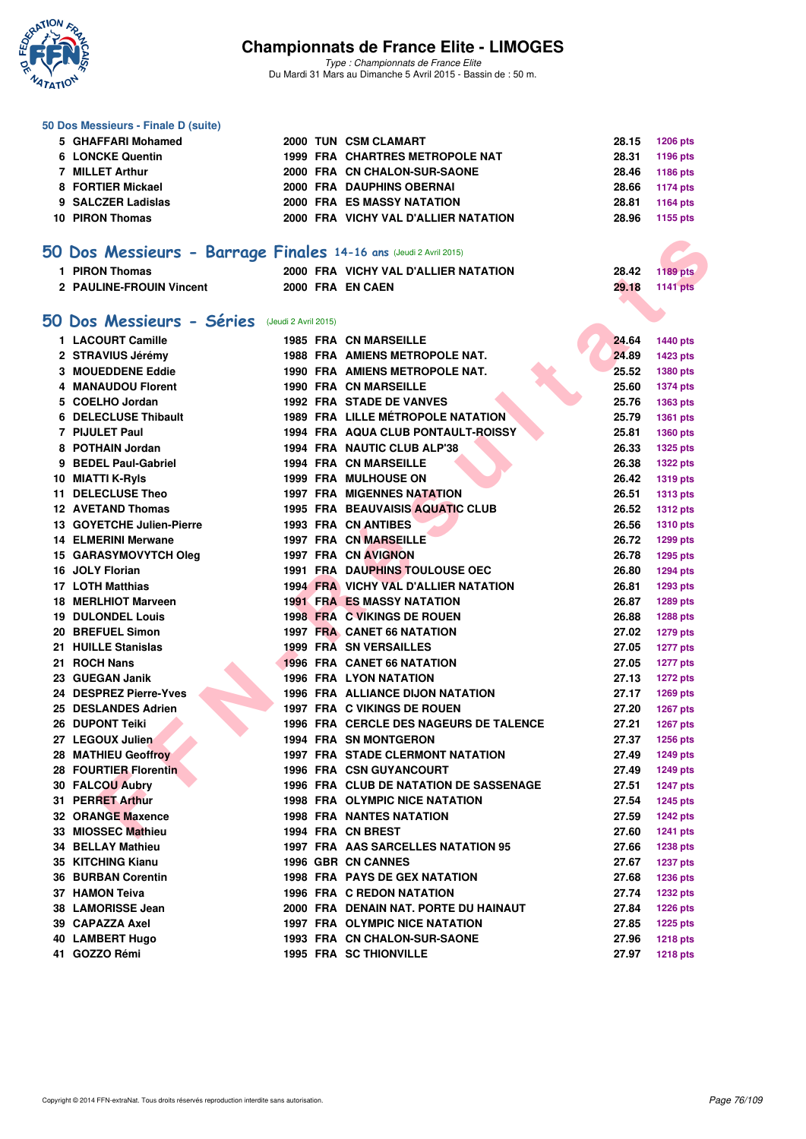

|     | 50 Dos Messieurs - Finale D (suite)                               |  |                                             |       |                 |
|-----|-------------------------------------------------------------------|--|---------------------------------------------|-------|-----------------|
|     | 5 GHAFFARI Mohamed                                                |  | 2000 TUN CSM CLAMART                        | 28.15 | <b>1206 pts</b> |
|     | <b>6 LONCKE Quentin</b>                                           |  | <b>1999 FRA CHARTRES METROPOLE NAT</b>      | 28.31 | 1196 pts        |
|     | 7 MILLET Arthur                                                   |  | 2000 FRA CN CHALON-SUR-SAONE                | 28.46 | 1186 pts        |
|     | 8 FORTIER Mickael                                                 |  | <b>2000 FRA DAUPHINS OBERNAI</b>            | 28.66 | <b>1174 pts</b> |
|     | 9 SALCZER Ladislas                                                |  | <b>2000 FRA ES MASSY NATATION</b>           | 28.81 | 1164 pts        |
|     | <b>10 PIRON Thomas</b>                                            |  | 2000 FRA VICHY VAL D'ALLIER NATATION        | 28.96 | 1155 pts        |
|     |                                                                   |  |                                             |       |                 |
|     | 50 Dos Messieurs - Barrage Finales 14-16 ans (Jeudi 2 Avril 2015) |  |                                             |       |                 |
|     | 1 PIRON Thomas                                                    |  | 2000 FRA VICHY VAL D'ALLIER NATATION        | 28.42 | <b>1189 pts</b> |
|     | 2 PAULINE-FROUIN Vincent                                          |  | 2000 FRA EN CAEN                            | 29.18 | <b>1141 pts</b> |
|     |                                                                   |  |                                             |       |                 |
|     | 50 Dos Messieurs - Séries (Jeudi 2 Avril 2015)                    |  |                                             |       |                 |
|     |                                                                   |  |                                             |       |                 |
|     | 1 LACOURT Camille                                                 |  | <b>1985 FRA CN MARSEILLE</b>                | 24.64 | <b>1440 pts</b> |
|     | 2 STRAVIUS Jérémy                                                 |  | <b>1988 FRA AMIENS METROPOLE NAT.</b>       | 24.89 | 1423 pts        |
|     | 3 MOUEDDENE Eddie                                                 |  | 1990 FRA AMIENS METROPOLE NAT.              | 25.52 | 1380 pts        |
|     | 4 MANAUDOU Florent                                                |  | <b>1990 FRA CN MARSEILLE</b>                | 25.60 | <b>1374 pts</b> |
|     | 5 COELHO Jordan                                                   |  | <b>1992 FRA STADE DE VANVES</b>             | 25.76 | 1363 pts        |
|     | <b>6 DELECLUSE Thibault</b>                                       |  | <b>1989 FRA LILLE MÉTROPOLE NATATION</b>    | 25.79 | 1361 pts        |
|     | 7 PIJULET Paul                                                    |  | 1994 FRA AQUA CLUB PONTAULT-ROISSY          | 25.81 | 1360 pts        |
|     | 8 POTHAIN Jordan                                                  |  | 1994 FRA NAUTIC CLUB ALP'38                 | 26.33 | <b>1325 pts</b> |
|     | 9 BEDEL Paul-Gabriel                                              |  | <b>1994 FRA CN MARSEILLE</b>                | 26.38 | <b>1322 pts</b> |
|     | 10 MIATTI K-Ryls                                                  |  | <b>1999 FRA MULHOUSE ON</b>                 | 26.42 | <b>1319 pts</b> |
| 11  | <b>DELECLUSE Theo</b>                                             |  | 1997 FRA MIGENNES NATATION                  | 26.51 | <b>1313 pts</b> |
|     | <b>12 AVETAND Thomas</b>                                          |  | 1995 FRA BEAUVAISIS AQUATIC CLUB            | 26.52 | <b>1312 pts</b> |
|     | 13 GOYETCHE Julien-Pierre                                         |  | <b>1993 FRA CN ANTIBES</b>                  | 26.56 | <b>1310 pts</b> |
|     | <b>14 ELMERINI Merwane</b>                                        |  | 1997 FRA CN MARSEILLE                       | 26.72 | 1299 pts        |
|     | 15 GARASYMOVYTCH Oleg                                             |  | 1997 FRA CN AVIGNON                         | 26.78 | 1295 pts        |
|     | 16 JOLY Florian                                                   |  | <b>1991 FRA DAUPHINS TOULOUSE OEC</b>       | 26.80 | <b>1294 pts</b> |
|     | 17 LOTH Matthias                                                  |  | <b>1994 FRA VICHY VAL D'ALLIER NATATION</b> | 26.81 | 1293 pts        |
|     | 18 MERLHIOT Marveen                                               |  | <b>1991 FRA ES MASSY NATATION</b>           | 26.87 | 1289 pts        |
|     | <b>19 DULONDEL Louis</b>                                          |  | 1998 FRA C VIKINGS DE ROUEN                 | 26.88 | 1288 pts        |
|     | 20 BREFUEL Simon                                                  |  | <b>1997 FRA CANET 66 NATATION</b>           | 27.02 | <b>1279 pts</b> |
| 21. | <b>HUILLE Stanislas</b>                                           |  | 1999 FRA SN VERSAILLES                      | 27.05 | <b>1277 pts</b> |
|     | 21 ROCH Nans                                                      |  | <b>1996 FRA CANET 66 NATATION</b>           | 27.05 | <b>1277 pts</b> |
|     | 23 GUEGAN Janik                                                   |  | <b>1996 FRA LYON NATATION</b>               | 27.13 | <b>1272 pts</b> |
|     | 24 DESPREZ Pierre-Yves                                            |  | <b>1996 FRA ALLIANCE DIJON NATATION</b>     | 27.17 | 1269 pts        |
|     | 25 DESLANDES Adrien                                               |  | <b>1997 FRA C VIKINGS DE ROUEN</b>          | 27.20 | <b>1267 pts</b> |
|     | 26 DUPONT Teiki                                                   |  | 1996 FRA CERCLE DES NAGEURS DE TALENCE      | 27.21 | 1267 pts        |
|     | 27 LEGOUX Julien                                                  |  | <b>1994 FRA SN MONTGERON</b>                | 27.37 | 1256 pts        |
|     | 28 MATHIEU Geoffroy                                               |  | <b>1997 FRA STADE CLERMONT NATATION</b>     | 27.49 | <b>1249 pts</b> |
|     | 28 FOURTIER Florentin                                             |  | <b>1996 FRA CSN GUYANCOURT</b>              | 27.49 | <b>1249 pts</b> |
|     | 30 FALCOU Aubry                                                   |  | 1996 FRA CLUB DE NATATION DE SASSENAGE      | 27.51 | <b>1247 pts</b> |
|     | 31 PERRET Arthur                                                  |  | <b>1998 FRA OLYMPIC NICE NATATION</b>       | 27.54 | <b>1245 pts</b> |
|     | 32 ORANGE Maxence                                                 |  | <b>1998 FRA NANTES NATATION</b>             | 27.59 | <b>1242 pts</b> |
|     | 33 MIOSSEC Mathieu                                                |  | 1994 FRA CN BREST                           | 27.60 | <b>1241 pts</b> |
|     | <b>34 BELLAY Mathieu</b>                                          |  | 1997 FRA AAS SARCELLES NATATION 95          | 27.66 | <b>1238 pts</b> |
|     | 35 KITCHING Kianu                                                 |  | 1996 GBR CN CANNES                          | 27.67 | <b>1237 pts</b> |
|     | <b>36 BURBAN Corentin</b>                                         |  | 1998 FRA PAYS DE GEX NATATION               | 27.68 | <b>1236 pts</b> |
|     | 37 HAMON Teiva                                                    |  | <b>1996 FRA C REDON NATATION</b>            | 27.74 | <b>1232 pts</b> |
|     | 38 LAMORISSE Jean                                                 |  | 2000 FRA DENAIN NAT. PORTE DU HAINAUT       | 27.84 | <b>1226 pts</b> |
|     | 39 CAPAZZA Axel                                                   |  | 1997 FRA OLYMPIC NICE NATATION              | 27.85 | <b>1225 pts</b> |
|     | 40 LAMBERT Hugo                                                   |  | 1993 FRA CN CHALON-SUR-SAONE                | 27.96 | <b>1218 pts</b> |
|     | 41 GOZZO Rémi                                                     |  | 1995 FRA SC THIONVILLE                      | 27.97 | <b>1218 pts</b> |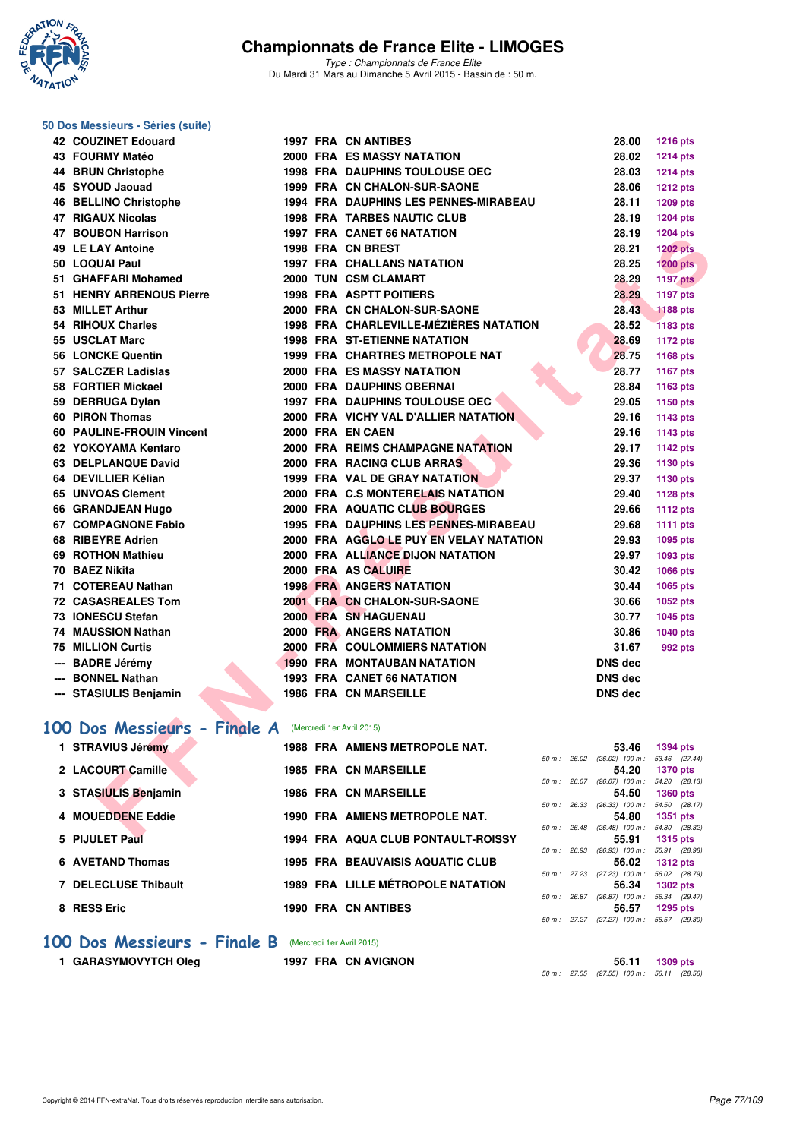

*Type : Championnats de France Elite* Du Mardi 31 Mars au Dimanche 5 Avril 2015 - Bassin de : 50 m.

#### **50 Dos Messieurs - Séries (suite)**

| 42 COUZINET Edouard                                   |  | 1997 FRA CN ANTIBES                          | 28.00                                                 | <b>1216 pts</b> |
|-------------------------------------------------------|--|----------------------------------------------|-------------------------------------------------------|-----------------|
| 43 FOURMY Matéo                                       |  | 2000 FRA ES MASSY NATATION                   | 28.02                                                 | <b>1214 pts</b> |
| 44 BRUN Christophe                                    |  | <b>1998 FRA DAUPHINS TOULOUSE OEC</b>        | 28.03                                                 | <b>1214 pts</b> |
| 45 SYOUD Jaouad                                       |  | 1999 FRA CN CHALON-SUR-SAONE                 | 28.06                                                 | <b>1212 pts</b> |
| 46 BELLINO Christophe                                 |  | <b>1994 FRA DAUPHINS LES PENNES-MIRABEAU</b> | 28.11                                                 | 1209 pts        |
| 47 RIGAUX Nicolas                                     |  | <b>1998 FRA TARBES NAUTIC CLUB</b>           | 28.19                                                 | <b>1204 pts</b> |
| 47 BOUBON Harrison                                    |  | <b>1997 FRA CANET 66 NATATION</b>            | 28.19                                                 | <b>1204 pts</b> |
| 49 LE LAY Antoine                                     |  | 1998 FRA CN BREST                            | 28.21                                                 | <b>1202 pts</b> |
| 50 LOQUAI Paul                                        |  | <b>1997 FRA CHALLANS NATATION</b>            | 28.25                                                 | <b>1200 pts</b> |
| 51 GHAFFARI Mohamed                                   |  | 2000 TUN CSM CLAMART                         | 28.29                                                 | <b>1197 pts</b> |
| 51 HENRY ARRENOUS Pierre                              |  | <b>1998 FRA ASPTT POITIERS</b>               | 28.29                                                 | 1197 pts        |
| 53 MILLET Arthur                                      |  | 2000 FRA CN CHALON-SUR-SAONE                 | 28.43                                                 | <b>1188 pts</b> |
| 54 RIHOUX Charles                                     |  | 1998 FRA CHARLEVILLE-MÉZIÈRES NATATION       | 28.52                                                 | <b>1183 pts</b> |
| 55 USCLAT Marc                                        |  | <b>1998 FRA ST-ETIENNE NATATION</b>          | 28.69                                                 | 1172 pts        |
| 56 LONCKE Quentin                                     |  | <b>1999 FRA CHARTRES METROPOLE NAT</b>       | 28.75                                                 | 1168 pts        |
| 57 SALCZER Ladislas                                   |  | 2000 FRA ES MASSY NATATION                   | 28.77                                                 | 1167 pts        |
| 58 FORTIER Mickael                                    |  | 2000 FRA DAUPHINS OBERNAI                    | 28.84                                                 | 1163 pts        |
| 59 DERRUGA Dylan                                      |  | <b>1997 FRA DAUPHINS TOULOUSE OEC</b>        | 29.05                                                 | 1150 pts        |
| 60 PIRON Thomas                                       |  | 2000 FRA VICHY VAL D'ALLIER NATATION         | 29.16                                                 | 1143 pts        |
| 60 PAULINE-FROUIN Vincent                             |  | 2000 FRA EN CAEN                             | 29.16                                                 | 1143 pts        |
| 62 YOKOYAMA Kentaro                                   |  | 2000 FRA REIMS CHAMPAGNE NATATION            | 29.17                                                 | <b>1142 pts</b> |
| 63 DELPLANQUE David                                   |  | 2000 FRA RACING CLUB ARRAS                   | 29.36                                                 | 1130 pts        |
| 64 DEVILLIER Kélian                                   |  | 1999 FRA VAL DE GRAY NATATION                | 29.37                                                 | 1130 pts        |
| 65 UNVOAS Clement                                     |  | 2000 FRA C.S MONTERELAIS NATATION            | 29.40                                                 | 1128 pts        |
| 66 GRANDJEAN Hugo                                     |  | 2000 FRA AQUATIC CLUB BOURGES                | 29.66                                                 | 1112 pts        |
| 67 COMPAGNONE Fabio                                   |  | <b>1995 FRA DAUPHINS LES PENNES-MIRABEAU</b> | 29.68                                                 | 1111 pts        |
| 68 RIBEYRE Adrien                                     |  | 2000 FRA AGGLO LE PUY EN VELAY NATATION      | 29.93                                                 | 1095 pts        |
| 69 ROTHON Mathieu                                     |  | 2000 FRA ALLIANCE DIJON NATATION             | 29.97                                                 | 1093 pts        |
| 70 BAEZ Nikita                                        |  | 2000 FRA AS CALUIRE                          | 30.42                                                 | 1066 pts        |
| 71 COTEREAU Nathan                                    |  | <b>1998 FRA ANGERS NATATION</b>              | 30.44                                                 | 1065 pts        |
| <b>72 CASASREALES Tom</b>                             |  | 2001 FRA CN CHALON-SUR-SAONE                 | 30.66                                                 | 1052 pts        |
| 73 IONESCU Stefan                                     |  | 2000 FRA SN HAGUENAU                         | 30.77                                                 | 1045 pts        |
| 74 MAUSSION Nathan                                    |  | 2000 FRA ANGERS NATATION                     | 30.86                                                 | 1040 pts        |
| 75 MILLION Curtis                                     |  | 2000 FRA COULOMMIERS NATATION                | 31.67                                                 | 992 pts         |
| --- BADRE Jérémy                                      |  | <b>1990 FRA MONTAUBAN NATATION</b>           | <b>DNS</b> dec                                        |                 |
| --- BONNEL Nathan                                     |  | <b>1993 FRA CANET 66 NATATION</b>            | <b>DNS</b> dec                                        |                 |
| --- STASIULIS Benjamin                                |  | <b>1986 FRA CN MARSEILLE</b>                 | <b>DNS dec</b>                                        |                 |
|                                                       |  |                                              |                                                       |                 |
| 00 Dos Messieurs - Finale A (Mercredi 1er Avril 2015) |  |                                              |                                                       |                 |
| 1 STRAVIUS Jérémy                                     |  | <b>1988 FRA AMIENS METROPOLE NAT.</b>        | 53.46                                                 | <b>1394 pts</b> |
| 2 LACOURT Camille                                     |  | <b>1985 FRA CN MARSEILLE</b>                 | 50 m: 26.02 (26.02) 100 m: 53.46 (27.44)<br>54.20     | <b>1370 pts</b> |
|                                                       |  |                                              | 50 m: 26.07 (26.07) 100 m: 54.20 (28.13)              |                 |
| 3 STASIULIS Benjamin                                  |  | <b>1986 FRA CN MARSEILLE</b>                 | 54.50<br>50 m : $26.33$ (26.33) 100 m : 54.50 (28.17) | <b>1360 pts</b> |
| 4 MOUEDDENE Eddie                                     |  | 1990 FRA AMIENS METROPOLE NAT.               | 54.80                                                 | <b>1351 pts</b> |
| $E = 0.0005$ $E = 0.000$                              |  | 4004 FBA AOUA OLUB BONTAULT BOICOV           | 50 m: 26.48 (26.48) 100 m: 54.80 (28.32)<br>EE O4     | $\overline{AB}$ |

#### [100 Dos Messieurs - Finale A](http://www.ffnatation.fr/webffn/resultats.php?idact=nat&go=epr&idcpt=27187&idepr=62) **(Mercredi 1er Avril 2015**)

| 1 STRAVIUS Jérémy    | <b>1988 FRA AMIENS METROPOLE NAT.</b>   |                        | 53.46             | <b>1394 pts</b> |
|----------------------|-----------------------------------------|------------------------|-------------------|-----------------|
|                      |                                         | 50 m: 26.02            | $(26.02)$ 100 m : | 53.46 (27.44)   |
| 2 LACOURT Camille    | <b>1985 FRA CN MARSEILLE</b>            |                        | 54.20             | <b>1370 pts</b> |
|                      |                                         | 50 m : 26.07           | $(26.07)$ 100 m : | 54.20 (28.13)   |
| 3 STASIULIS Benjamin | <b>1986 FRA CN MARSEILLE</b>            |                        | 54.50             | <b>1360 pts</b> |
|                      |                                         | 50 m: 26.33            | $(26.33)$ 100 m : | 54.50 (28.17)   |
| 4 MOUEDDENE Eddie    | 1990 FRA AMIENS METROPOLE NAT.          |                        | 54.80             | 1351 pts        |
|                      |                                         | $50 \text{ m}$ : 26.48 | $(26.48)$ 100 m : | 54.80 (28.32)   |
| 5 PIJULET Paul       | 1994 FRA AQUA CLUB PONTAULT-ROISSY      |                        | 55.91             | <b>1315 pts</b> |
|                      |                                         | $50 \text{ m}$ : 26.93 | $(26.93)$ 100 m : | 55.91 (28.98)   |
| 6 AVETAND Thomas     | <b>1995 FRA BEAUVAISIS AQUATIC CLUB</b> |                        | 56.02             | <b>1312 pts</b> |
|                      |                                         | $50 \text{ m}$ : 27.23 | $(27.23)$ 100 m : | 56.02 (28.79)   |
| 7 DELECLUSE Thibault | 1989 FRA LILLE MÉTROPOLE NATATION       |                        | 56.34             | <b>1302 pts</b> |
|                      |                                         | $50 m$ : 26.87         | $(26.87)$ 100 m : | 56.34 (29.47)   |
| 8 RESS Eric          | 1990 FRA CN ANTIBES                     |                        | 56.57             | 1295 pts        |
|                      |                                         | 50 m : 27.27           | $(27.27)$ 100 m : | 56.57 (29.30)   |

#### **[100 Dos Messieurs - Finale B](http://www.ffnatation.fr/webffn/resultats.php?idact=nat&go=epr&idcpt=27187&idepr=62)** (Mercredi 1er Avril 2015)

1 GARASYMOVYTCH Oleg 1997 FRA CN AVIGNON

|        |  | 56.11                               | 1309 pts |  |
|--------|--|-------------------------------------|----------|--|
| 50 m : |  | 27.55 (27.55) 100 m : 56.11 (28.56) |          |  |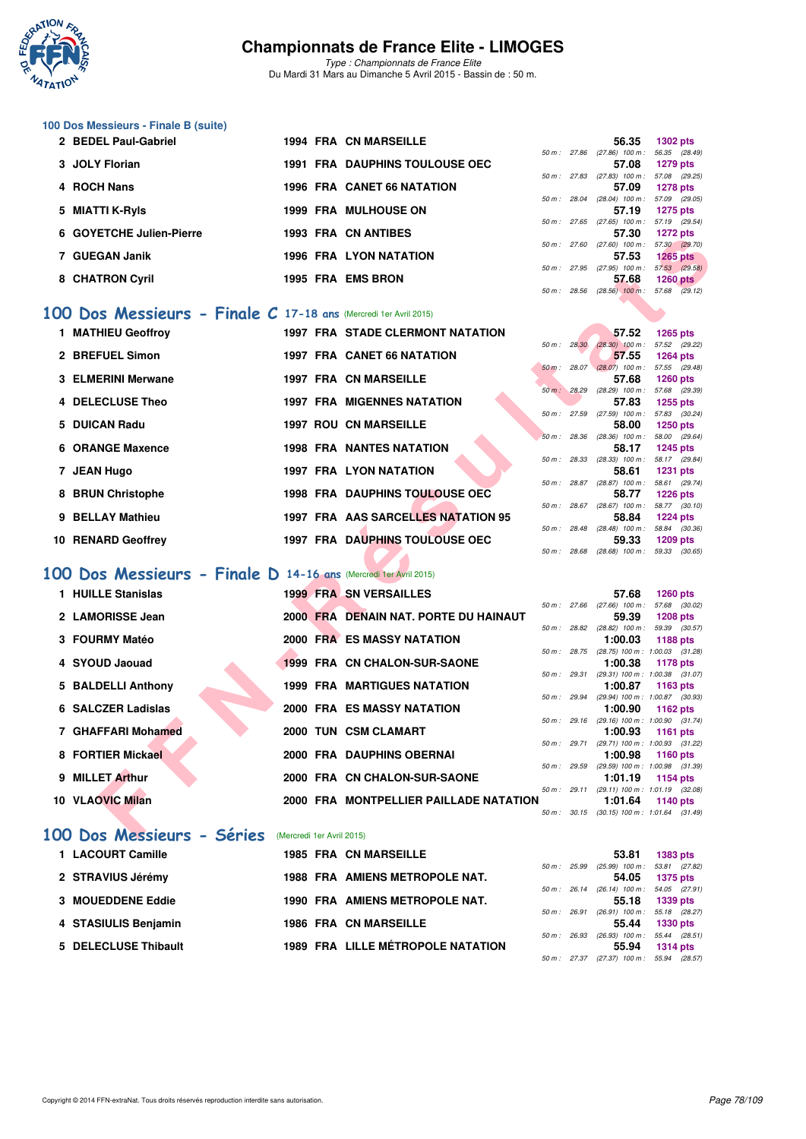

*Type : Championnats de France Elite* Du Mardi 31 Mars au Dimanche 5 Avril 2015 - Bassin de : 50 m.

## **100 Dos Messieurs - Finale B (suite)**

| 2 BEDEL Paul-Gabriel     | <b>1994 FRA CN MARSEILLE</b>          |        |                | 56.35                             | <b>1302 pts</b> |
|--------------------------|---------------------------------------|--------|----------------|-----------------------------------|-----------------|
|                          |                                       |        | 50 m: 27.86    | $(27.86)$ 100 m :                 | 56.35 (28.4     |
| 3 JOLY Florian           | <b>1991 FRA DAUPHINS TOULOUSE OEC</b> |        |                | 57.08                             | <b>1279 pts</b> |
|                          |                                       |        | 50 m : 27.83   | $(27.83)$ 100 m :                 | 57.08 (29.2     |
| 4 ROCH Nans              | <b>1996 FRA CANET 66 NATATION</b>     |        |                | 57.09                             | <b>1278 pts</b> |
|                          |                                       | 50 m : |                | 28.04 (28.04) 100 m : 57.09 (29.0 |                 |
| 5 MIATTI K-Ryls          | <b>1999 FRA MULHOUSE ON</b>           |        |                | 57.19                             | 1275 pts        |
|                          |                                       | 50 m : | 27.65          | $(27.65)$ 100 m : 57.19 $(29.5)$  |                 |
| 6 GOYETCHE Julien-Pierre | <b>1993 FRA CN ANTIBES</b>            |        |                | 57.30                             | <b>1272 pts</b> |
|                          |                                       |        | 50 m: 27.60    | $(27.60)$ 100 m :                 | 57.30 (29.7     |
| 7 GUEGAN Janik           | 1996 FRA LYON NATATION                |        |                | 57.53                             | <b>1265 pts</b> |
|                          |                                       |        | $50 m$ : 27.95 | $(27.95)$ 100 m :                 | 57.53 (29.5     |
| 8 CHATRON Cyril          | 1995 FRA EMSBRON                      |        |                | 57.68                             | <b>1260 pts</b> |

#### **[100 Dos Messieurs - Finale C](http://www.ffnatation.fr/webffn/resultats.php?idact=nat&go=epr&idcpt=27187&idepr=62) 17-18 ans** (Mercredi 1er Avril 2015)

| 1 MATHIEU Geoffroy |  | <b>1997 FRA STADE CLERMONT NATATION</b> |              |              | 57.52                             | $1265$ pts                  |  |
|--------------------|--|-----------------------------------------|--------------|--------------|-----------------------------------|-----------------------------|--|
|                    |  |                                         | 50 m : 28.30 |              | $(28.30)$ 100 m :                 | 57.52 (29.22)               |  |
| 2 BREFUEL Simon    |  | <b>1997 FRA CANET 66 NATATION</b>       |              |              | 57.55                             | <b>1264 pts</b>             |  |
|                    |  |                                         | 50 m: 28.07  |              | $(28.07)$ 100 m :                 | 57.55 (29.48)               |  |
| 3 ELMERINI Merwane |  | <b>1997 FRA CN MARSEILLE</b>            |              |              | 57.68                             | $1260$ pts                  |  |
| 4 DELECLUSE Theo   |  | <b>1997 FRA MIGENNES NATATION</b>       | 50 m: 28.29  |              | $(28.29)$ 100 m :<br>57.83        | 57.68 (29.39)<br>$1255$ pts |  |
|                    |  |                                         | 50 m: 27.59  |              | $(27.59)$ 100 m :                 | 57.83 (30.24)               |  |
| 5 DUICAN Radu      |  | <b>1997 ROU CN MARSEILLE</b>            |              |              | 58.00                             | $1250$ pts                  |  |
|                    |  |                                         | 50 m: 28.36  |              | $(28.36)$ 100 m :                 | 58.00 (29.64)               |  |
| 6 ORANGE Maxence   |  | <b>1998 FRA NANTES NATATION</b>         |              |              | 58.17                             | 1245 pts                    |  |
|                    |  |                                         | 50 m : 28.33 |              | $(28.33)$ 100 m :                 | 58.17 (29.84)               |  |
| 7 JEAN Hugo        |  | <b>1997 FRA LYON NATATION</b>           |              |              | 58.61                             | <b>1231 pts</b>             |  |
|                    |  |                                         |              | 50 m : 28.87 | $(28.87)$ 100 m :                 | 58.61 (29.74)               |  |
| 8 BRUN Christophe  |  | <b>1998 FRA DAUPHINS TOULOUSE OEC</b>   |              |              | 58.77                             | $1226$ pts                  |  |
| 9 BELLAY Mathieu   |  | 1997 FRA AAS SARCELLES NATATION 95      | 50 m: 28.67  |              | $(28.67)$ 100 m :                 | 58.77 (30.10)               |  |
|                    |  |                                         | 50 m: 28.48  |              | 58.84<br>$(28.48)$ 100 m :        | $1224$ pts                  |  |
| 10 RENARD Geoffrey |  | <b>1997 FRA DAUPHINS TOULOUSE OEC</b>   |              |              | 59.33                             | 58.84 (30.36)<br>1209 pts   |  |
|                    |  |                                         | 50 m: 28.68  |              | $(28.68)$ 100 m : 59.33 $(30.65)$ |                             |  |
|                    |  |                                         |              |              |                                   |                             |  |

## **[100 Dos Messieurs - Finale D](http://www.ffnatation.fr/webffn/resultats.php?idact=nat&go=epr&idcpt=27187&idepr=62) 14-16 ans** (Mercredi 1er Avril 2015)

|    | QUTETUITE JUITGITFICITE                                            |  | 1999 FRA VI ANIIDEG                          |                |                | J1.JU                                                 | $1212 \mu s$    |            |
|----|--------------------------------------------------------------------|--|----------------------------------------------|----------------|----------------|-------------------------------------------------------|-----------------|------------|
|    | 7 GUEGAN Janik                                                     |  | <b>1996 FRA LYON NATATION</b>                |                |                | 50 m: 27.60 (27.60) 100 m: 57.30 (29.70)<br>57.53     | $1265$ pts      |            |
|    |                                                                    |  |                                              | 50 m: 27.95    |                | $(27.95)$ 100 m : 57.53 $(29.58)$                     |                 |            |
|    | 8 CHATRON Cyril                                                    |  | <b>1995 FRA EMS BRON</b>                     |                |                | 57.68                                                 |                 | $1260$ pts |
|    |                                                                    |  |                                              |                |                | 50 m: 28.56 (28.56) 100 m: 57.68 (29.12)              |                 |            |
|    | 100 Dos Messieurs - Finale $C$ 17-18 ans (Mercredi 1er Avril 2015) |  |                                              |                |                |                                                       |                 |            |
|    | 1 MATHIEU Geoffrov                                                 |  | <b>1997 FRA STADE CLERMONT NATATION</b>      |                |                | 57.52                                                 | $1265$ pts      |            |
|    |                                                                    |  |                                              | 50 m : 28.30   |                | $(28.30)$ 100 m : 57.52 $(29.22)$                     |                 |            |
|    | 2 BREFUEL Simon                                                    |  | <b>1997 FRA CANET 66 NATATION</b>            | 50 m: 28.07    |                | 57.55<br>$(28.07)$ 100 m : 57.55 (29.48)              | 1264 pts        |            |
|    | <b>ELMERINI Merwane</b>                                            |  | <b>1997 FRA CN MARSEILLE</b>                 |                |                | 57.68                                                 | <b>1260 pts</b> |            |
|    |                                                                    |  |                                              | 50 m: 28.29    |                | (28.29) 100 m: 57.68 (29.39)                          |                 |            |
|    | 4 DELECLUSE Theo                                                   |  | <b>1997 FRA MIGENNES NATATION</b>            |                |                | 57.83                                                 | 1255 pts        |            |
|    | <b>DUICAN Radu</b>                                                 |  | <b>1997 ROU CN MARSEILLE</b>                 |                |                | 50 m: 27.59 (27.59) 100 m: 57.83 (30.24)              |                 |            |
| 5  |                                                                    |  |                                              |                |                | 58.00<br>50 m: 28.36 (28.36) 100 m: 58.00 (29.64)     | 1250 pts        |            |
| 6. | <b>ORANGE Maxence</b>                                              |  | <b>1998 FRA NANTES NATATION</b>              |                |                | 58.17                                                 | <b>1245 pts</b> |            |
|    |                                                                    |  |                                              | 50 m: 28.33    |                | $(28.33)$ 100 m :                                     | 58.17 (29.84)   |            |
| 7  | <b>JEAN Hugo</b>                                                   |  | <b>1997 FRA LYON NATATION</b>                |                |                | 58.61                                                 | <b>1231 pts</b> |            |
| 8  | <b>BRUN Christophe</b>                                             |  | 1998 FRA DAUPHINS TOULOUSE OEC               |                |                | 50 m: 28.87 (28.87) 100 m: 58.61 (29.74)<br>58.77     | <b>1226 pts</b> |            |
|    |                                                                    |  |                                              |                |                | 50 m: 28.67 (28.67) 100 m: 58.77 (30.10)              |                 |            |
| 9  | <b>BELLAY Mathieu</b>                                              |  | 1997 FRA AAS SARCELLES NATATION 95           |                |                | 58.84                                                 | <b>1224 pts</b> |            |
|    |                                                                    |  |                                              | 50 m: 28.48    |                | $(28.48)$ 100 m : 58.84 $(30.36)$                     |                 |            |
|    | 10 RENARD Geoffrey                                                 |  | 1997 FRA DAUPHINS TOULOUSE OEC               |                |                | 59.33                                                 | 1209 pts        |            |
|    |                                                                    |  |                                              |                |                | 50 m: 28.68 (28.68) 100 m: 59.33 (30.65)              |                 |            |
|    | 100 Dos Messieurs - Finale D 14-16 ans (Mercredi ter Avril 2015)   |  |                                              |                |                |                                                       |                 |            |
|    | 1 HUILLE Stanislas                                                 |  | <b>1999 FRA SN VERSAILLES</b>                |                |                | 57.68                                                 | <b>1260 pts</b> |            |
|    |                                                                    |  |                                              |                |                | 50 m: 27.66 (27.66) 100 m: 57.68 (30.02)              |                 |            |
|    | 2 LAMORISSE Jean                                                   |  | <b>2000 FRA DENAIN NAT. PORTE DU HAINAUT</b> |                |                | 59.39                                                 | <b>1208 pts</b> |            |
|    |                                                                    |  |                                              |                | 50 m : 28.82   | $(28.82)$ 100 m : 59.39 $(30.57)$                     |                 |            |
|    | 3 FOURMY Matéo                                                     |  | <b>2000 FRA ES MASSY NATATION</b>            | $50 m$ : 28.75 |                | 1:00.03                                               | <b>1188 pts</b> |            |
| 4  | <b>SYOUD Jaouad</b>                                                |  | 1999 FRA CN CHALON-SUR-SAONE                 |                |                | $(28.75)$ 100 m : 1:00.03 $(31.28)$<br>1:00.38        | 1178 pts        |            |
|    |                                                                    |  |                                              |                | $50 m$ : 29.31 | $(29.31)$ 100 m : 1:00.38 $(31.07)$                   |                 |            |
| 5  | <b>BALDELLI Anthony</b>                                            |  | <b>1999 FRA MARTIGUES NATATION</b>           |                |                | 1:00.87                                               | 1163 pts        |            |
|    |                                                                    |  |                                              |                |                | 50 m: 29.94 (29.94) 100 m: 1:00.87 (30.93)            |                 |            |
|    | 6 SALCZER Ladislas                                                 |  | <b>2000 FRA ES MASSY NATATION</b>            |                |                | 1:00.90                                               | 1162 pts        |            |
|    | 7 GHAFFARI Mohamed                                                 |  | 2000 TUN CSM CLAMART                         |                |                | 50 m: 29.16 (29.16) 100 m: 1:00.90 (31.74)<br>1:00.93 | <b>1161 pts</b> |            |
|    |                                                                    |  |                                              |                |                | 50 m: 29.71 (29.71) 100 m: 1:00.93 (31.22)            |                 |            |
|    | 8 FORTIER Mickael                                                  |  | 2000 FRA DAUPHINS OBERNAI                    |                |                | 1:00.98                                               | 1160 pts        |            |
|    |                                                                    |  |                                              | 50 m: 29.59    |                | (29.59) 100 m: 1:00.98 (31.39)                        |                 |            |
| 9  | <b>MILLET Arthur</b>                                               |  | 2000 FRA CN CHALON-SUR-SAONE                 |                |                | 1:01.19                                               | 1154 pts        |            |
|    | 10 VLAOVIC Milan                                                   |  | 2000 FRA MONTPELLIER PAILLADE NATATION       |                | 50 m : 29.11   | $(29.11)$ 100 m : 1:01.19 $(32.08)$<br>1:01.64        | <b>1140 pts</b> |            |
|    |                                                                    |  |                                              |                |                | 50 m: 30.15 (30.15) 100 m: 1:01.64 (31.49)            |                 |            |
|    |                                                                    |  |                                              |                |                |                                                       |                 |            |
|    | 100 DOS Messieurs - Séries (Mercredi 1er Avril 2015)               |  |                                              |                |                |                                                       |                 |            |

#### **[100 Dos Messieurs - Séries](http://www.ffnatation.fr/webffn/resultats.php?idact=nat&go=epr&idcpt=27187&idepr=62)** (Mercredi 1er Avril 2015)

| 1 LACOURT Camille    |  | <b>1985 FRA CN MARSEILLE</b>          |                | 53.81                                          | <b>1383 pts</b> |
|----------------------|--|---------------------------------------|----------------|------------------------------------------------|-----------------|
|                      |  |                                       | 50 m: 25.99    | $(25.99)$ 100 m : 53.81 $(27.82)$              |                 |
| 2 STRAVIUS Jérémy    |  | <b>1988 FRA AMIENS METROPOLE NAT.</b> |                | 54.05                                          | 1375 pts        |
|                      |  |                                       | $50 m$ : 26.14 | $(26.14)$ 100 m : 54.05 $(27.91)$              |                 |
| 3 MOUEDDENE Eddie    |  | 1990 FRA AMIENS METROPOLE NAT.        |                |                                                | 55.18 1339 pts  |
|                      |  |                                       | 50 m: 26.91    | $(26.91)$ 100 m : 55.18 $(28.27)$              |                 |
| 4 STASIULIS Benjamin |  | <b>1986 FRA CN MARSEILLE</b>          |                | 55.44                                          | <b>1330 pts</b> |
|                      |  |                                       | 50 m : 26.93   | $(26.93)$ 100 m : 55.44 $(28.51)$              |                 |
| 5 DELECLUSE Thibault |  | 1989 FRA LILLE MÉTROPOLE NATATION     |                | 55.94                                          | <b>1314 pts</b> |
|                      |  |                                       |                | $50 m - 27.37$ (27.37) $100 m - 55.94$ (28.57) |                 |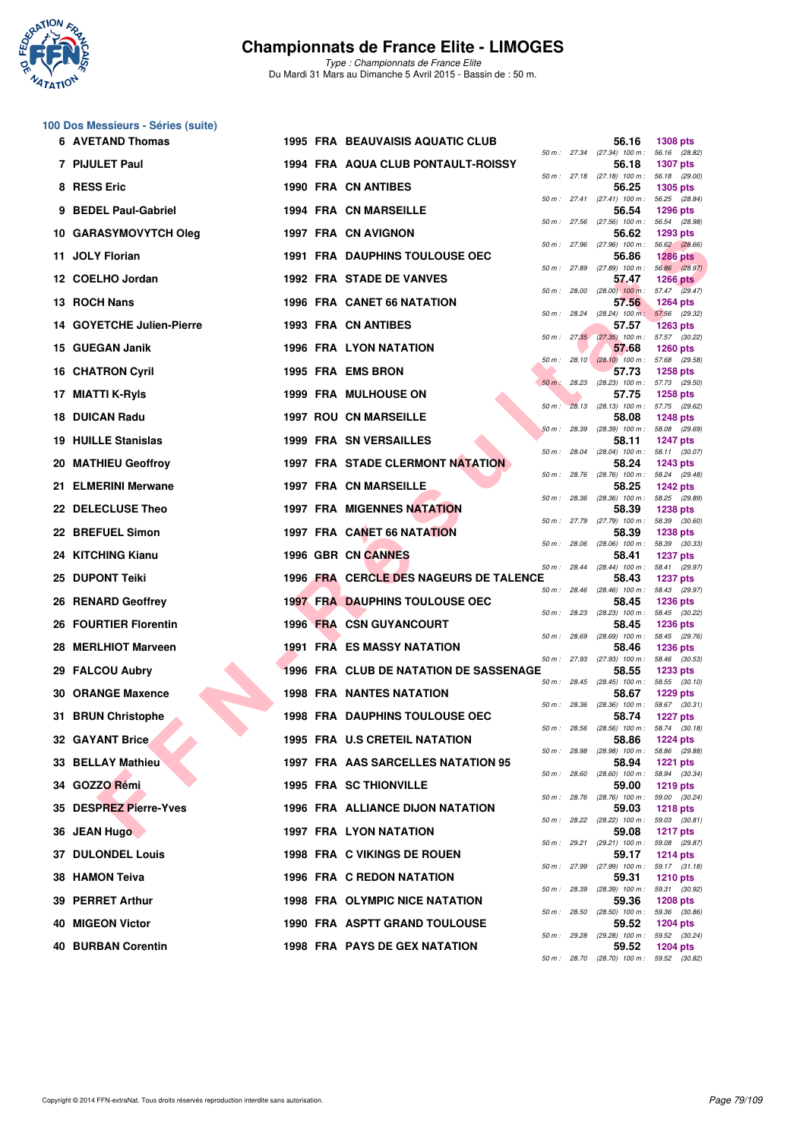

**100 Dos Messieurs - Séries (suite)**

## **Championnats de France Elite - LIMOGES**

| 6 AVETAND Thomas             | <b>1995 FRA BEAUVAISIS AQUATIC CLUB</b> |              | 56.16                                               | <b>1308 pts</b> |
|------------------------------|-----------------------------------------|--------------|-----------------------------------------------------|-----------------|
| 7 PIJULET Paul               | 1994 FRA AQUA CLUB PONTAULT-ROISSY      |              | 50 m : 27.34 (27.34) 100 m : 56.16 (28.82)<br>56.18 | <b>1307 pts</b> |
| 8 RESS Eric                  | <b>1990 FRA CN ANTIBES</b>              |              | 50 m: 27.18 (27.18) 100 m: 56.18 (29.00)<br>56.25   | <b>1305 pts</b> |
| 9 BEDEL Paul-Gabriel         | 1994 FRA CN MARSEILLE                   |              | 50 m: 27.41 (27.41) 100 m: 56.25 (28.84)<br>56.54   | <b>1296 pts</b> |
| 10 GARASYMOVYTCH Oleg        | 1997 FRA CN AVIGNON                     | 50 m: 27.56  | (27.56) 100 m : 56.54 (28.98)<br>56.62              | 1293 pts        |
| 11 JOLY Florian              | <b>1991 FRA DAUPHINS TOULOUSE OEC</b>   |              | 50 m: 27.96 (27.96) 100 m: 56.62 (28.66)<br>56.86   | <b>1286 pts</b> |
| 12 COELHO Jordan             | 1992 FRA STADE DE VANVES                |              | 50 m: 27.89 (27.89) 100 m: 56.86 (28.97)<br>57.47   | 1266 $pts$      |
| 13 ROCH Nans                 | <b>1996 FRA CANET 66 NATATION</b>       |              | 50 m : 28.00 (28.00) 100 m : 57.47 (29.47)<br>57.56 | <b>1264 pts</b> |
| 14 GOYETCHE Julien-Pierre    | <b>1993 FRA CN ANTIBES</b>              |              | 50 m: 28.24 (28.24) 100 m: 57.56 (29.32)<br>57.57   | <b>1263 pts</b> |
| 15 GUEGAN Janik              | 1996 FRA LYON NATATION                  |              | 50 m: 27.35 (27.35) 100 m: 57.57 (30.22)<br>57.68   | <b>1260 pts</b> |
| <b>16 CHATRON Cyril</b>      | 1995 FRA EMS BRON                       |              | 50 m : 28.10 (28.10) 100 m : 57.68 (29.58)<br>57.73 | <b>1258 pts</b> |
| MIATTI K-RyIs<br>17          | <b>1999 FRA MULHOUSE ON</b>             |              | 50 m : 28.23 (28.23) 100 m : 57.73 (29.50)<br>57.75 | <b>1258 pts</b> |
| 18 DUICAN Radu               | <b>1997 ROU CN MARSEILLE</b>            |              | 50 m : 28.13 (28.13) 100 m : 57.75 (29.62)<br>58.08 | <b>1248 pts</b> |
| <b>19 HUILLE Stanislas</b>   | <b>1999 FRA SN VERSAILLES</b>           | 50 m : 28.39 | (28.39) 100 m : 58.08 (29.69)<br>58.11              | <b>1247 pts</b> |
| 20 MATHIEU Geoffroy          | <b>1997 FRA STADE CLERMONT NATATION</b> |              | 50 m: 28.04 (28.04) 100 m: 58.11 (30.07)<br>58.24   | <b>1243 pts</b> |
| 21 ELMERINI Merwane          | 1997 FRA CN MARSEILLE                   |              | 50 m: 28.76 (28.76) 100 m: 58.24 (29.48)<br>58.25   | <b>1242 pts</b> |
| 22 DELECLUSE Theo            | <b>1997 FRA MIGENNES NATATION</b>       | 50 m: 28.36  | (28.36) 100 m: 58.25 (29.89)<br>58.39               | <b>1238 pts</b> |
| 22 BREFUEL Simon             | 1997 FRA CANET 66 NATATION              |              | 50 m: 27.79 (27.79) 100 m: 58.39 (30.60)<br>58.39   | <b>1238 pts</b> |
| 24 KITCHING Kianu            | 1996 GBR CN CANNES                      | 50 m: 28.06  | $(28.06)$ 100 m : 58.39 $(30.33)$<br>58.41          | <b>1237 pts</b> |
| <b>DUPONT Teiki</b><br>25    | 1996 FRA CERCLE DES NAGEURS DE TALENCE  |              | 50 m: 28.44 (28.44) 100 m: 58.41 (29.97)<br>58.43   | <b>1237 pts</b> |
| 26 RENARD Geoffrey           | <b>1997 FRA DAUPHINS TOULOUSE OEC</b>   |              | 50 m: 28.46 (28.46) 100 m: 58.43 (29.97)<br>58.45   | <b>1236 pts</b> |
| <b>26 FOURTIER Florentin</b> | <b>1996 FRA CSN GUYANCOURT</b>          |              | 50 m: 28.23 (28.23) 100 m: 58.45 (30.22)<br>58.45   | <b>1236 pts</b> |
| 28 MERLHIOT Marveen          | <b>1991 FRA ES MASSY NATATION</b>       | 50 m: 28.69  | $(28.69)$ 100 m : 58.45 $(29.76)$<br>58.46          | <b>1236 pts</b> |
| 29 FALCOU Aubry              | 1996 FRA CLUB DE NATATION DE SASSENAGE  | 50 m: 27.93  | $(27.93)$ 100 m : 58.46 $(30.53)$<br>58.55          | <b>1233 pts</b> |
| 30 ORANGE Maxence            | <b>1998 FRA NANTES NATATION</b>         |              | 50 m: 28.45 (28.45) 100 m: 58.55 (30.10)<br>58.67   | <b>1229 pts</b> |
| 31 BRUN Christophe           | <b>1998 FRA DAUPHINS TOULOUSE OEC</b>   | 50 m: 28.36  | $(28.36)$ 100 m : 58.67 $(30.31)$<br>58.74          | <b>1227 pts</b> |
| <b>32 GAYANT Brice</b>       | 1995 FRA U.S CRETEIL NATATION           |              | 50 m: 28.56 (28.56) 100 m: 58.74 (30.18)<br>58.86   | 1224 $pts$      |
| <b>33 BELLAY Mathieu</b>     | 1997 FRA AAS SARCELLES NATATION 95      |              | 50 m : 28.98 (28.98) 100 m : 58.86 (29.88)<br>58.94 | 1221 $pts$      |
| 34 GOZZO Rémi                | <b>1995 FRA SC THIONVILLE</b>           |              | 50 m : 28.60 (28.60) 100 m : 58.94 (30.34)<br>59.00 | 1219 pts        |
| 35 DESPREZ Pierre-Yves       | 1996 FRA ALLIANCE DIJON NATATION        |              | 50 m : 28.76 (28.76) 100 m : 59.00 (30.24)<br>59.03 | <b>1218 pts</b> |
| 36 JEAN Hugo                 | 1997 FRA LYON NATATION                  |              | 50 m: 28.22 (28.22) 100 m: 59.03 (30.81)<br>59.08   | <b>1217 pts</b> |
| <b>37 DULONDEL Louis</b>     | 1998 FRA C VIKINGS DE ROUEN             |              | 50 m: 29.21 (29.21) 100 m: 59.08 (29.87)<br>59.17   | <b>1214 pts</b> |
| 38 HAMON Teiva               | 1996 FRA C REDON NATATION               |              | 50 m: 27.99 (27.99) 100 m: 59.17 (31.18)<br>59.31   | <b>1210 pts</b> |
| 39 PERRET Arthur             | <b>1998 FRA OLYMPIC NICE NATATION</b>   |              | 50 m : 28.39 (28.39) 100 m : 59.31 (30.92)<br>59.36 | <b>1208 pts</b> |
| 40 MIGEON Victor             | 1990 FRA ASPTT GRAND TOULOUSE           |              | 50 m : 28.50 (28.50) 100 m : 59.36 (30.86)<br>59.52 | 1204 pts        |
| 40 BURBAN Corentin           | <b>1998 FRA PAYS DE GEX NATATION</b>    |              | 50 m : 29.28 (29.28) 100 m : 59.52 (30.24)<br>59.52 | 1204 pts        |
|                              |                                         |              | 50 m: 28.70 (28.70) 100 m: 59.52 (30.82)            |                 |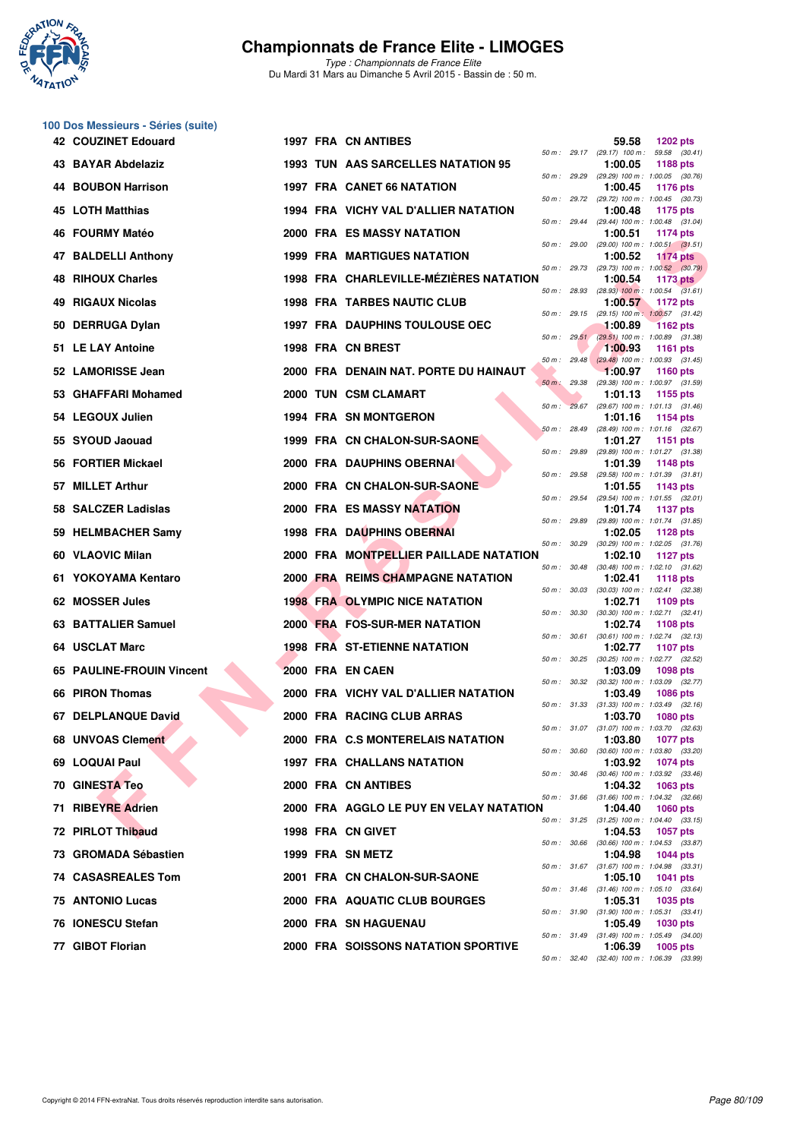

**100 Dos Messieurs - Séries (suite)**

## **Championnats de France Elite - LIMOGES**

|     | <b>42 COUZINET Edouard</b>    |  | 1997 FRA CN ANTIBES                        |              | 59.58                                                   | <b>1202 pts</b> |  |
|-----|-------------------------------|--|--------------------------------------------|--------------|---------------------------------------------------------|-----------------|--|
|     | 43 BAYAR Abdelaziz            |  | 1993 TUN AAS SARCELLES NATATION 95         |              | 50 m: 29.17 (29.17) 100 m: 59.58 (30.41)<br>1:00.05     | <b>1188 pts</b> |  |
|     | <b>BOUBON Harrison</b>        |  | <b>1997 FRA CANET 66 NATATION</b>          |              | 50 m : 29.29 (29.29) 100 m : 1:00.05 (30.76)<br>1:00.45 | <b>1176 pts</b> |  |
|     | 45 LOTH Matthias              |  | 1994 FRA VICHY VAL D'ALLIER NATATION       | 50 m : 29.72 | (29.72) 100 m: 1:00.45 (30.73)<br>1:00.48               | 1175 pts        |  |
| 46  | <b>FOURMY Matéo</b>           |  | <b>2000 FRA ES MASSY NATATION</b>          | 50 m : 29.44 | (29.44) 100 m: 1:00.48 (31.04)<br>1:00.51               | 1174 pts        |  |
| 47  | <b>BALDELLI Anthony</b>       |  | <b>1999 FRA MARTIGUES NATATION</b>         |              | 50 m: 29.00 (29.00) 100 m: 1:00.51 (31.51)<br>1:00.52   | <b>1174 pts</b> |  |
| 48  | <b>RIHOUX Charles</b>         |  | 1998 FRA CHARLEVILLE-MÉZIÈRES NATATION     | 50 m : 29.73 | $(29.73)$ 100 m : 1:00.52 $(30.79)$<br>1:00.54          | 1173 pts        |  |
| 49  | <b>RIGAUX Nicolas</b>         |  | <b>1998 FRA TARBES NAUTIC CLUB</b>         |              | 50 m : 28.93 (28.93) 100 m : 1:00.54 (31.61)<br>1:00.57 | 1172 pts        |  |
|     | 50 DERRUGA Dylan              |  | <b>1997 FRA DAUPHINS TOULOUSE OEC</b>      | 50 m : 29.15 | (29.15) 100 m: 1:00.57 (31.42)<br>1:00.89               | <b>1162 pts</b> |  |
|     | 51 LE LAY Antoine             |  | 1998 FRA CN BREST                          | 50 m: 29.51  | (29.51) 100 m: 1:00.89 (31.38)<br>1:00.93               | <b>1161 pts</b> |  |
|     | 52 LAMORISSE Jean             |  | 2000 FRA DENAIN NAT. PORTE DU HAINAUT      | 50 m: 29.48  | $(29.48)$ 100 m : 1:00.93 $(31.45)$<br>1:00.97          | 1160 pts        |  |
| 53. | <b>GHAFFARI Mohamed</b>       |  | 2000 TUN CSM CLAMART                       | 50 m : 29.38 | (29.38) 100 m: 1:00.97 (31.59)<br>1:01.13               | 1155 pts        |  |
|     | 54 LEGOUX Julien              |  | <b>1994 FRA SN MONTGERON</b>               |              | 50 m: 29.67 (29.67) 100 m: 1:01.13 (31.46)<br>1:01.16   | 1154 pts        |  |
|     | 55 SYOUD Jaouad               |  | 1999 FRA CN CHALON-SUR-SAONE               | 50 m : 28.49 | (28.49) 100 m: 1:01.16 (32.67)<br>1:01.27               | 1151 pts        |  |
|     | 56 FORTIER Mickael            |  | 2000 FRA DAUPHINS OBERNAM                  | 50 m : 29.89 | (29.89) 100 m: 1:01.27 (31.38)<br>1:01.39               | 1148 pts        |  |
| 57  | <b>MILLET Arthur</b>          |  | 2000 FRA CN CHALON-SUR-SAONE               | 50 m : 29.58 | (29.58) 100 m: 1:01.39 (31.81)<br>1:01.55               | 1143 pts        |  |
| 58  | <b>SALCZER Ladislas</b>       |  | <b>2000 FRA ES MASSY NATATION</b>          | 50 m : 29.54 | (29.54) 100 m: 1:01.55 (32.01)<br>1:01.74               | 1137 pts        |  |
|     | 59 HELMBACHER Samy            |  | 1998 FRA DAUPHINS OBERNAI                  |              | 50 m: 29.89 (29.89) 100 m: 1:01.74 (31.85)<br>1:02.05   | 1128 pts        |  |
|     | 60 VLAOVIC Milan              |  | 2000 FRA MONTPELLIER PAILLADE NATATION     | 50 m : 30.29 | $(30.29)$ 100 m : 1:02.05 $(31.76)$<br>1:02.10          | <b>1127 pts</b> |  |
|     | 61 YOKOYAMA Kentaro           |  | 2000 FRA REIMS CHAMPAGNE NATATION          |              | 50 m: 30.48 (30.48) 100 m: 1:02.10 (31.62)<br>1:02.41   | <b>1118 pts</b> |  |
|     | 62 MOSSER Jules               |  | <b>1998 FRA OLYMPIC NICE NATATION</b>      | 50 m : 30.03 | $(30.03)$ 100 m : 1:02.41 $(32.38)$<br>1:02.71          | 1109 pts        |  |
| 63. | <b>BATTALIER Samuel</b>       |  | 2000 FRA FOS-SUR-MER NATATION              | 50 m: 30.30  | $(30.30)$ 100 m : 1:02.71 $(32.41)$<br>1:02.74          | <b>1108 pts</b> |  |
|     | 64 USCLAT Marc                |  | <b>1998 FRA ST-ETIENNE NATATION</b>        | 50 m : 30.61 | $(30.61)$ 100 m : 1:02.74 $(32.13)$<br>1:02.77          | <b>1107 pts</b> |  |
| 65  | <b>PAULINE-FROUIN Vincent</b> |  | 2000 FRA EN CAEN                           | 50 m : 30.25 | $(30.25)$ 100 m : 1:02.77 $(32.52)$<br>1:03.09          | <b>1098 pts</b> |  |
| 66  | <b>PIRON Thomas</b>           |  | 2000 FRA VICHY VAL D'ALLIER NATATION       |              | 50 m: 30.32 (30.32) 100 m: 1:03.09 (32.77)<br>1:03.49   | <b>1086 pts</b> |  |
|     | 67 DELPLANQUE David           |  | 2000 FRA RACING CLUB ARRAS                 |              | 50 m: 31.33 (31.33) 100 m: 1:03.49 (32.16)<br>1:03.70   | 1080 pts        |  |
|     | 68 UNVOAS Clement             |  | 2000 FRA C.S MONTERELAIS NATATION          |              | 50 m: 31.07 (31.07) 100 m: 1:03.70 (32.63)<br>1:03.80   | <b>1077 pts</b> |  |
|     | 69 LOQUAI Paul                |  | <b>1997 FRA CHALLANS NATATION</b>          |              | 50 m: 30.60 (30.60) 100 m: 1:03.80 (33.20)<br>1:03.92   | <b>1074 pts</b> |  |
|     | 70 GINESTA Teo                |  | 2000 FRA CN ANTIBES                        |              | 50 m : 30.46 (30.46) 100 m : 1:03.92 (33.46)<br>1:04.32 | 1063 pts        |  |
|     | 71 RIBEYRE Adrien             |  | 2000 FRA AGGLO LE PUY EN VELAY NATATION    |              | 50 m: 31.66 (31.66) 100 m: 1:04.32 (32.66)<br>1:04.40   | 1060 pts        |  |
|     | 72 PIRLOT Thibaud             |  | 1998 FRA CN GIVET                          |              | 50 m: 31.25 (31.25) 100 m: 1:04.40 (33.15)<br>1:04.53   | <b>1057 pts</b> |  |
|     | 73 GROMADA Sébastien          |  | 1999 FRA SN METZ                           |              | 50 m : 30.66 (30.66) 100 m : 1:04.53 (33.87)<br>1:04.98 | 1044 pts        |  |
|     | 74 CASASREALES Tom            |  | 2001 FRA CN CHALON-SUR-SAONE               |              | 50 m: 31.67 (31.67) 100 m: 1:04.98 (33.31)<br>1:05.10   | <b>1041 pts</b> |  |
|     | 75 ANTONIO Lucas              |  | 2000 FRA AQUATIC CLUB BOURGES              |              | 50 m: 31.46 (31.46) 100 m: 1:05.10 (33.64)<br>1:05.31   | 1035 pts        |  |
|     | 76 IONESCU Stefan             |  | 2000 FRA SN HAGUENAU                       |              | 50 m: 31.90 (31.90) 100 m: 1:05.31 (33.41)<br>1:05.49   | 1030 pts        |  |
|     | 77 GIBOT Florian              |  | <b>2000 FRA SOISSONS NATATION SPORTIVE</b> |              | 50 m: 31.49 (31.49) 100 m: 1:05.49 (34.00)<br>1:06.39   | 1005 pts        |  |
|     |                               |  |                                            |              | 50 m: 32.40 (32.40) 100 m: 1:06.39 (33.99)              |                 |  |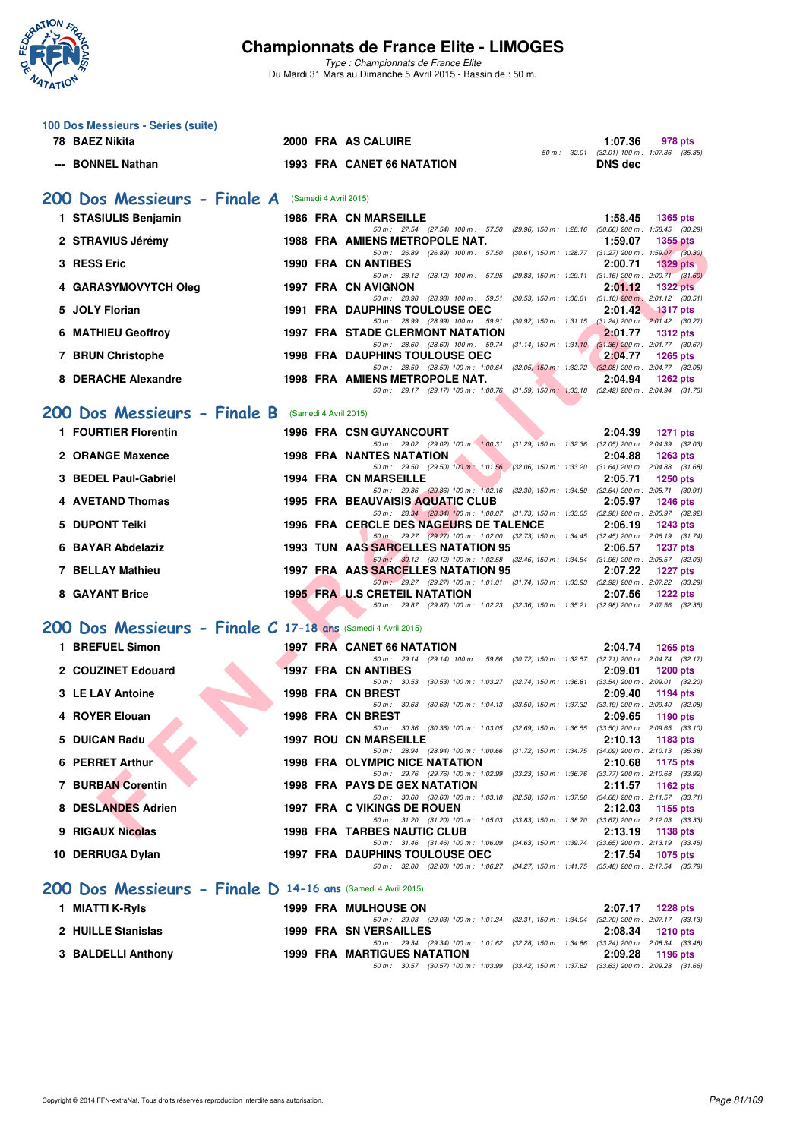

| 100 Dos Messieurs - Séries (suite)                           |                       |                                                                                                                                     |                                                              |
|--------------------------------------------------------------|-----------------------|-------------------------------------------------------------------------------------------------------------------------------------|--------------------------------------------------------------|
| 78 BAEZ Nikita                                               |                       | 2000 FRA AS CALUIRE                                                                                                                 | 1:07.36<br>978 pts                                           |
| <b>BONNEL Nathan</b>                                         |                       | <b>1993 FRA CANET 66 NATATION</b>                                                                                                   | 50 m: 32.01 (32.01) 100 m: 1:07.36 (35.35)<br><b>DNS</b> dec |
| 200 Dos Messieurs - Finale A (Samedi 4 Avril 2015)           |                       |                                                                                                                                     |                                                              |
| 1 STASIULIS Benjamin                                         |                       | <b>1986 FRA CN MARSEILLE</b>                                                                                                        | 1:58.45<br><b>1365 pts</b>                                   |
| 2 STRAVIUS Jérémy                                            |                       | 50 m: 27.54 (27.54) 100 m: 57.50 (29.96) 150 m: 1:28.16 (30.66) 200 m: 1:58.45 (30.29)<br>1988 FRA AMIENS METROPOLE NAT.            | 1:59.07<br>1355 pts                                          |
|                                                              |                       | 50 m: 26.89 (26.89) 100 m: 57.50 (30.61) 150 m: 1:28.77 (31.27) 200 m: 1:59.07 (30.30)                                              |                                                              |
| 3 RESS Eric                                                  |                       | 1990 FRA CN ANTIBES<br>50 m: 28.12 (28.12) 100 m: 57.95 (29.83) 150 m: 1:29.11 (31.16) 200 m: 2:00.71 (31.60)                       | 2:00.71<br><b>1329 pts</b>                                   |
| 4 GARASYMOVYTCH Oleg                                         |                       | 1997 FRA CN AVIGNON<br>50 m: 28.98 (28.98) 100 m: 59.51 (30.53) 150 m: 1:30.61 (31.10) 200 m: 2:01.12 (30.51)                       | 2:01.12<br><b>1322 pts</b>                                   |
| <b>JOLY Florian</b><br>5.                                    |                       | <b>1991 FRA DAUPHINS TOULOUSE OEC</b>                                                                                               | 2:01.42<br><b>1317 pts</b>                                   |
| <b>6 MATHIEU Geoffroy</b>                                    |                       | 50 m: 28.99 (28.99) 100 m: 59.91 (30.92) 150 m: 1.31.15 (31.24) 200 m: 2.01.42 (30.27)<br><b>1997 FRA STADE CLERMONT NATATION</b>   | 2:01.77<br><b>1312 pts</b>                                   |
| 7 BRUN Christophe                                            |                       | 50 m: 28.60 (28.60) 100 m: 59.74 (31.14) 150 m: 1:31.10 (31.36) 200 m: 2:01.77 (30.67)<br><b>1998 FRA DAUPHINS TOULOUSE OEC</b>     | 2:04.77<br><b>1265 pts</b>                                   |
| <b>DERACHE Alexandre</b><br>8                                |                       | 50 m: 28.59 (28.59) 100 m: 1:00.64 (32.05) 150 m: 1:32.72 (32.08) 200 m: 2:04.77 (32.05)<br>1998 FRA AMIENS METROPOLE NAT.          | 2:04.94<br><b>1262 pts</b>                                   |
|                                                              |                       | 50 m: 29.17 (29.17) 100 m: 1:00.76 (31.59) 150 m: 1:33.18 (32.42) 200 m: 2:04.94 (31.76)                                            |                                                              |
| 200 Dos Messieurs - Finale B                                 | (Samedi 4 Avril 2015) |                                                                                                                                     |                                                              |
| 1 FOURTIER Florentin                                         |                       | <b>1996 FRA CSN GUYANCOURT</b>                                                                                                      | 2:04.39<br><b>1271 pts</b>                                   |
| 2 ORANGE Maxence                                             |                       | 50 m: 29.02 (29.02) 100 m: 1:00.31 (31.29) 150 m: 1:32.36 (32.05) 200 m: 2:04.39 (32.03)<br><b>1998 FRA NANTES NATATION</b>         | 2:04.88<br><b>1263 pts</b>                                   |
| 3 BEDEL Paul-Gabriel                                         |                       | 50 m: 29.50 (29.50) 100 m: 1:01.56 (32.06) 150 m: 1:33.20 (31.64) 200 m: 2:04.88 (31.68)<br><b>1994 FRA CN MARSEILLE</b>            | 2:05.71<br>1250 pts                                          |
|                                                              |                       | 50 m: 29.86 (29.86) 100 m: 1:02.16 (32.30) 150 m: 1:34.80 (32.64) 200 m: 2:05.71 (30.91)                                            |                                                              |
| <b>4 AVETAND Thomas</b>                                      |                       | <b>1995 FRA BEAUVAISIS AQUATIC CLUB</b><br>50 m: 28.34 (28.34) 100 m: 1:00.07 (31.73) 150 m: 1:33.05 (32.98) 200 m: 2:05.97 (32.92) | 2:05.97<br><b>1246 pts</b>                                   |
| 5 DUPONT Teiki                                               |                       | 1996 FRA CERCLE DES NAGEURS DE TALENCE<br>50 m: 29.27 (29.27) 100 m: 1:02.00 (32.73) 150 m: 1:34.45 (32.45) 200 m: 2:06.19 (31.74)  | 2:06.19<br>1243 pts                                          |
| 6 BAYAR Abdelaziz                                            |                       | 1993 TUN AAS SARCELLES NATATION 95                                                                                                  | 2:06.57<br><b>1237 pts</b>                                   |
| 7 BELLAY Mathieu                                             |                       | 50 m : 30.12 (30.12) 100 m : 1:02.58 (32.46) 150 m : 1:34.54 (31.96) 200 m : 2:06.57 (32.03)<br>1997 FRA AAS SARCELLES NATATION 95  | 2:07.22<br><b>1227 pts</b>                                   |
| 8 GAYANT Brice                                               |                       | 50 m: 29.27 (29.27) 100 m: 1:01.01 (31.74) 150 m: 1:33.93 (32.92) 200 m: 2:07.22 (33.29)<br><b>1995 FRA U.S CRETEIL NATATION</b>    | 2:07.56<br><b>1222 pts</b>                                   |
|                                                              |                       | 50 m: 29.87 (29.87) 100 m: 1:02.23 (32.36) 150 m: 1:35.21 (32.98) 200 m: 2:07.56 (32.35)                                            |                                                              |
| 200 Dos Messieurs - Finale C 17-18 ans (Samedi 4 Avril 2015) |                       |                                                                                                                                     |                                                              |
| 1 BREFUEL Simon                                              |                       | <b>1997 FRA CANET 66 NATATION</b>                                                                                                   | 2:04.74<br><b>1265 pts</b>                                   |
| 2 COUZINET Edouard                                           |                       | 50 m: 29.14 (29.14) 100 m: 59.86 (30.72) 150 m: 1:32.57 (32.71) 200 m: 2:04.74 (32.17)<br>1997 FRA CN ANTIBES                       | 2:09.01<br><b>1200 pts</b>                                   |
| 3 LE LAY Antoine                                             |                       | 50 m: 30.53 (30.53) 100 m: 1:03.27 (32.74) 150 m: 1:36.81 (33.54) 200 m: 2:09.01 (32.20)<br>1998 FRA CN BREST                       | 2:09.40<br>1194 pts                                          |
|                                                              |                       | 50 m: 30.63 (30.63) 100 m: 1:04.13 (33.50) 150 m: 1:37.32 (33.19) 200 m: 2:09.40 (32.08)                                            |                                                              |
| 4 ROYER Elouan                                               |                       | 1998 FRA CN BREST<br>50 m : 30.36 (30.36) 100 m : 1:03.05 (32.69) 150 m : 1:36.55 (33.50) 200 m : 2:09.65 (33.10)                   | 2:09.65<br>1190 pts                                          |
| 5 DUICAN Radu                                                |                       | <b>1997 ROU CN MARSEILLE</b><br>50 m: 28.94 (28.94) 100 m: 1:00.66 (31.72) 150 m: 1:34.75 (34.09) 200 m: 2:10.13 (35.38)            | 2:10.13<br>1183 pts                                          |
| <b>PERRET Arthur</b>                                         |                       | <b>1998 FRA OLYMPIC NICE NATATION</b>                                                                                               | 2:10.68<br>1175 pts                                          |
| <b>7 BURBAN Corentin</b>                                     |                       | 50 m: 29.76 (29.76) 100 m: 1:02.99 (33.23) 150 m: 1:36.76 (33.77) 200 m: 2:10.68 (33.92)<br><b>1998 FRA PAYS DE GEX NATATION</b>    | 2:11.57<br>1162 pts                                          |
| 8 DESLANDES Adrien                                           |                       | 50 m: 30.60 (30.60) 100 m: 1:03.18 (32.58) 150 m: 1:37.86 (34.68) 200 m: 2:11.57 (33.71)<br>1997 FRA C VIKINGS DE ROUEN             | 2:12.03<br>1155 pts                                          |
| 9 RIGAUX Nicolas                                             |                       | 50 m: 31.20 (31.20) 100 m: 1:05.03 (33.83) 150 m: 1:38.70 (33.67) 200 m: 2:12.03 (33.33)<br>1998 FRA TARBES NAUTIC CLUB             | 2:13.19<br>1138 pts                                          |
|                                                              |                       | 50 m: 31.46 (31.46) 100 m: 1:06.09 (34.63) 150 m: 1:39.74 (33.65) 200 m: 2:13.19 (33.45)                                            |                                                              |
| 10 DERRUGA Dylan                                             |                       | <b>1997 FRA DAUPHINS TOULOUSE OEC</b><br>50 m: 32.00 (32.00) 100 m: 1:06.27 (34.27) 150 m: 1:41.75 (35.48) 200 m: 2:17.54 (35.79)   | 2:17.54<br><b>1075 pts</b>                                   |
| 200 Dos Messieurs - Finale D 14-16 ans (Samedi 4 Avril 2015) |                       |                                                                                                                                     |                                                              |
| 1 MIATTI K-Ryls                                              |                       | <b>1999 FRA MULHOUSE ON</b>                                                                                                         | 2:07.17<br><b>1228 pts</b>                                   |
| 2 HUILLE Stanislas                                           |                       | 50 m : 29.03 (29.03) 100 m : 1:01.34 (32.31) 150 m : 1:34.04                                                                        | $(32.70)$ 200 m : 2:07.17 $(33.13)$                          |
|                                                              |                       | 1999 FRA SN VERSAILLES<br>50 m : 29.34 (29.34) 100 m : 1:01.62 (32.28) 150 m : 1:34.86 (33.24) 200 m : 2:08.34 (33.48)              | 2:08.34<br><b>1210 pts</b>                                   |
| 3 BALDELLI Anthony                                           |                       | 1999 FRA MARTIGUES NATATION<br>50 m: 30.57 (30.57) 100 m: 1:03.99 (33.42) 150 m: 1:37.62 (33.63) 200 m: 2:09.28 (31.66)             | 2:09.28<br>1196 pts                                          |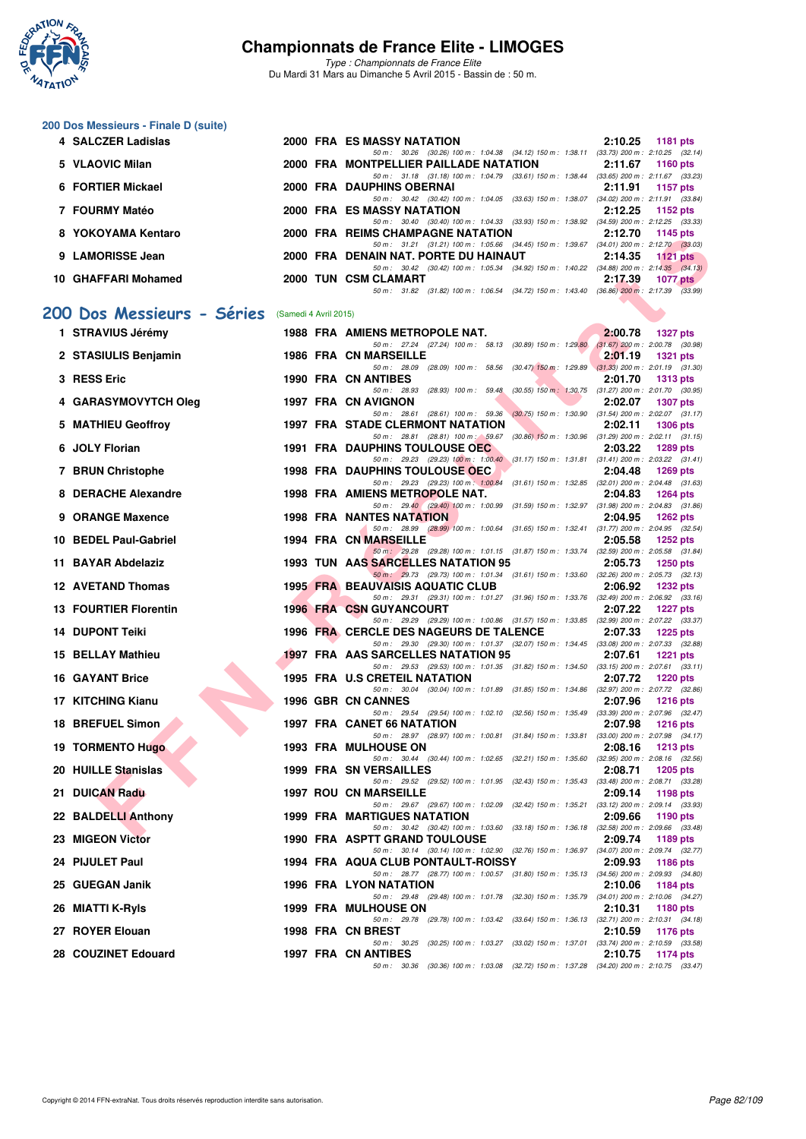

*Type : Championnats de France Elite* Du Mardi 31 Mars au Dimanche 5 Avril 2015 - Bassin de : 50 m.

## **200 Dos Messieurs - Finale D (suite)**

|     | 4 SALCZER Ladislas           |                       | 2000 FRA ES MASSY NATATION                                                                                                          | 2:10.25<br>1181 pts                                               |
|-----|------------------------------|-----------------------|-------------------------------------------------------------------------------------------------------------------------------------|-------------------------------------------------------------------|
|     | 5 VLAOVIC Milan              |                       | 50 m: 30.26 (30.26) 100 m: 1:04.38 (34.12) 150 m: 1:38.11 (33.73) 200 m: 2:10.25 (32.14)<br>2000 FRA MONTPELLIER PAILLADE NATATION  | 2:11.67<br><b>1160 pts</b>                                        |
|     | 6 FORTIER Mickael            |                       | 50 m: 31.18 (31.18) 100 m: 1:04.79 (33.61) 150 m: 1:38.44 (33.65) 200 m: 2:11.67 (33.23)<br>2000 FRA DAUPHINS OBERNAI               | 2:11.91<br>1157 pts                                               |
|     | 7 FOURMY Matéo               |                       | 50 m: 30.42 (30.42) 100 m: 1:04.05 (33.63) 150 m: 1:38.07 (34.02) 200 m: 2:11.91 (33.84)<br>2000 FRA ES MASSY NATATION              | 2:12.25<br>1152 pts                                               |
|     | 8 YOKOYAMA Kentaro           |                       | 50 m: 30.40 (30.40) 100 m: 1:04.33 (33.93) 150 m: 1:38.92 (34.59) 200 m: 2:12.25 (33.33)<br>2000 FRA REIMS CHAMPAGNE NATATION       | 2:12.70<br>1145 pts                                               |
|     | 9 LAMORISSE Jean             |                       | 50 m: 31.21 (31.21) 100 m: 1:05.66 (34.45) 150 m: 1:39.67 (34.01) 200 m: 2:12.70 (33.03)<br>2000 FRA DENAIN NAT. PORTE DU HAINAUT   | 2:14.35<br>1121 pts                                               |
|     | 10 GHAFFARI Mohamed          |                       | 50 m: 30.42 (30.42) 100 m: 1:05.34 (34.92) 150 m: 1:40.22 (34.88) 200 m: 2:14.35 (34.13)<br>2000 TUN CSM CLAMART                    | 2:17.39<br>1077 $p$ ts                                            |
|     |                              |                       | 50 m: 31.82 (31.82) 100 m: 1:06.54 (34.72) 150 m: 1:43.40 (36.86) 200 m: 2:17.39 (33.99)                                            |                                                                   |
|     | 200 Dos Messieurs - Séries   | (Samedi 4 Avril 2015) |                                                                                                                                     |                                                                   |
|     | 1 STRAVIUS Jérémy            |                       | 1988 FRA AMIENS METROPOLE NAT.<br>50 m: 27.24 (27.24) 100 m: 58.13 (30.89) 150 m: 1:29.80 (31.67) 200 m: 2:00.78 (30.98)            | 2:00.78<br><b>1327 pts</b>                                        |
|     | 2 STASIULIS Benjamin         |                       | <b>1986 FRA CN MARSEILLE</b>                                                                                                        | 2:01.19<br><b>1321 pts</b>                                        |
|     | 3 RESS Eric                  |                       | 50 m: 28.09 (28.09) 100 m: 58.56 (30.47) 150 m: 1:29.89 (31.33) 200 m: 2:01.19 (31.30)<br>1990 FRA CN ANTIBES                       | 2:01.70<br><b>1313 pts</b>                                        |
|     | 4 GARASYMOVYTCH Oleg         |                       | 50 m: 28.93 (28.93) 100 m: 59.48 (30.55) 150 m: 1.30.75 (31.27) 200 m: 2:01.70 (30.95)<br>1997 FRA CN AVIGNON                       | 2:02.07<br><b>1307 pts</b>                                        |
| 5.  | <b>MATHIEU Geoffroy</b>      |                       | 50 m: 28.61 (28.61) 100 m: 59.36 (30.75) 150 m: 1:30.90 (31.54) 200 m: 2:02.07 (31.17)<br><b>1997 FRA STADE CLERMONT NATATION</b>   | 2:02.11<br><b>1306 pts</b>                                        |
|     | 6 JOLY Florian               |                       | 50 m: 28.81 (28.81) 100 m: 59.67 (30.86) 150 m: 1:30.96 (31.29) 200 m: 2:02.11 (31.15)<br><b>1991 FRA DAUPHINS TOULOUSE OEC</b>     | 2:03.22<br><b>1289 pts</b>                                        |
|     | 7 BRUN Christophe            |                       | 50 m: 29.23 (29.23) 100 m: 1:00.40 (31.17) 150 m: 1:31.81 (31.41) 200 m: 2:03.22 (31.41)<br><b>1998 FRA DAUPHINS TOULOUSE OEC</b>   | 2:04.48<br>$1269$ pts                                             |
|     | 8 DERACHE Alexandre          |                       | 50 m: 29.23 (29.23) 100 m: 1:00.84 (31.61) 150 m: 1:32.85 (32.01) 200 m: 2:04.48 (31.63)<br>1998 FRA AMIENS METROPOLE NAT.          | 2:04.83<br><b>1264 pts</b>                                        |
|     | 9 ORANGE Maxence             |                       | 50 m: 29.40 (29.40) 100 m: 1:00.99 (31.59) 150 m: 1:32.97 (31.98) 200 m: 2:04.83 (31.86)<br><b>1998 FRA NANTES NATATION</b>         | 2:04.95<br>1262 $pts$                                             |
|     | 10 BEDEL Paul-Gabriel        |                       | 50 m: 28.99 (28.99) 100 m: 1:00.64 (31.65) 150 m: 1:32.41 (31.77) 200 m: 2:04.95 (32.54)                                            |                                                                   |
|     |                              |                       | 1994 FRA CN MARSEILLE<br>50 m: 29.28 (29.28) 100 m: 1:01.15 (31.87) 150 m: 1:33.74 (32.59) 200 m: 2:05.58 (31.84)                   | 2:05.58<br>1252 pts                                               |
|     | 11 BAYAR Abdelaziz           |                       | 1993 TUN AAS SARCELLES NATATION 95<br>50 m: 29.73 (29.73) 100 m: 1:01.34 (31.61) 150 m: 1:33.60 (32.26) 200 m: 2:05.73 (32.13)      | 2:05.73<br>$1250$ pts                                             |
|     | <b>12 AVETAND Thomas</b>     |                       | <b>1995 FRA BEAUVAISIS AQUATIC CLUB</b><br>50 m: 29.31 (29.31) 100 m: 1:01.27 (31.96) 150 m: 1:33.76 (32.49) 200 m: 2:06.92 (33.16) | 2:06.92<br><b>1232 pts</b>                                        |
|     | <b>13 FOURTIER Florentin</b> |                       | <b>1996 FRA CSN GUYANCOURT</b><br>50 m: 29.29 (29.29) 100 m: 1:00.86 (31.57) 150 m: 1:33.85 (32.99) 200 m: 2:07.22 (33.37)          | 2:07.22<br><b>1227 pts</b>                                        |
|     | <b>14 DUPONT Teiki</b>       |                       | 1996 FRA CERCLE DES NAGEURS DE TALENCE<br>50 m: 29.30 (29.30) 100 m: 1:01.37 (32.07) 150 m: 1:34.45 (33.08) 200 m: 2:07.33 (32.88)  | 2:07.33<br>$1225$ pts                                             |
|     | <b>15 BELLAY Mathieu</b>     |                       | 1997 FRA AAS SARCELLES NATATION 95<br>50 m: 29.53 (29.53) 100 m: 1:01.35 (31.82) 150 m: 1:34.50 (33.15) 200 m: 2:07.61 (33.11)      | 2:07.61<br><b>1221 pts</b>                                        |
|     | <b>16 GAYANT Brice</b>       |                       | 1995 FRA U.S CRETEIL NATATION<br>50 m: 30.04 (30.04) 100 m: 1:01.89 (31.85) 150 m: 1:34.86 (32.97) 200 m: 2:07.72 (32.86)           | 2:07.72<br>1220 pts                                               |
|     | 17 KITCHING Kianu            |                       | <b>1996 GBR CN CANNES</b>                                                                                                           | 2:07.96<br><b>1216 pts</b>                                        |
|     | 18 BREFUEL Simon             |                       | 50 m: 29.54 (29.54) 100 m: 1:02.10 (32.56) 150 m: 1:35.49 (33.39) 200 m: 2:07.96 (32.47)<br>1997 FRA CANET 66 NATATION              | 2:07.98<br><b>1216 pts</b>                                        |
|     | <b>19 TORMENTO Hugo</b>      |                       | 50 m: 28.97 (28.97) 100 m: 1:00.81 (31.84) 150 m: 1:33.81 (33.00) 200 m: 2:07.98 (34.17)<br>1993 FRA MULHOUSE ON                    | 2:08.16<br><b>1213 pts</b>                                        |
|     | 20 HUILLE Stanislas          |                       | 50 m: 30.44 (30.44) 100 m: 1:02.65 (32.21) 150 m: 1:35.60<br>1999 FRA SN VERSAILLES                                                 | $(32.95)$ 200 m : 2:08.16 $(32.56)$<br>2:08.71<br><b>1205 pts</b> |
| 21. | <b>DUICAN Radu</b>           |                       | 50 m: 29.52 (29.52) 100 m: 1:01.95 (32.43) 150 m: 1:35.43 (33.48) 200 m: 2:08.71 (33.28)<br><b>1997 ROU CN MARSEILLE</b>            | 2:09.14<br>1198 pts                                               |
| 22  | <b>BALDELLI Anthony</b>      |                       | 50 m: 29.67 (29.67) 100 m: 1:02.09 (32.42) 150 m: 1:35.21<br>1999 FRA MARTIGUES NATATION                                            | $(33.12)$ 200 m : 2:09.14 $(33.93)$<br>2:09.66<br>1190 pts        |
|     | <b>MIGEON Victor</b>         |                       | 50 m: 30.42 (30.42) 100 m: 1:03.60 (33.18) 150 m: 1:36.18 (32.58) 200 m: 2:09.66 (33.48)<br>1990 FRA ASPTT GRAND TOULOUSE           | 2:09.74<br>1189 pts                                               |
| 24. | <b>PIJULET Paul</b>          |                       | 50 m: 30.14 (30.14) 100 m: 1:02.90 (32.76) 150 m: 1:36.97 (34.07) 200 m: 2:09.74 (32.77)<br>1994 FRA AQUA CLUB PONTAULT-ROISSY      | 2:09.93<br><b>1186 pts</b>                                        |
|     | 25 GUEGAN Janik              |                       | 50 m : 28.77 (28.77) 100 m : 1:00.57 (31.80) 150 m : 1:35.13 (34.56) 200 m : 2:09.93 (34.80)<br>1996 FRA LYON NATATION              | 2:10.06                                                           |
|     |                              |                       | 50 m: 29.48 (29.48) 100 m: 1:01.78 (32.30) 150 m: 1:35.79 (34.01) 200 m: 2:10.06 (34.27)                                            | 1184 pts                                                          |
|     | 26 MIATTI K-Ryls             |                       | <b>1999 FRA MULHOUSE ON</b><br>50 m: 29.78 (29.78) 100 m: 1:03.42 (33.64) 150 m: 1:36.13 (32.71) 200 m: 2:10.31 (34.18)             | 2:10.31<br>1180 pts                                               |
|     | 27 ROYER Elouan              |                       | 1998 FRA CN BREST<br>50 m : 30.25 (30.25) 100 m : 1:03.27 (33.02) 150 m : 1:37.01                                                   | 2:10.59<br><b>1176 pts</b><br>$(33.74)$ 200 m : 2:10.59 $(33.58)$ |
|     | 28 COUZINET Edouard          |                       | 1997 FRA CN ANTIBES<br>50 m: 30.36 (30.36) 100 m: 1:03.08 (32.72) 150 m: 1:37.28 (34.20) 200 m: 2:10.75 (33.47)                     | 2:10.75<br>1174 pts                                               |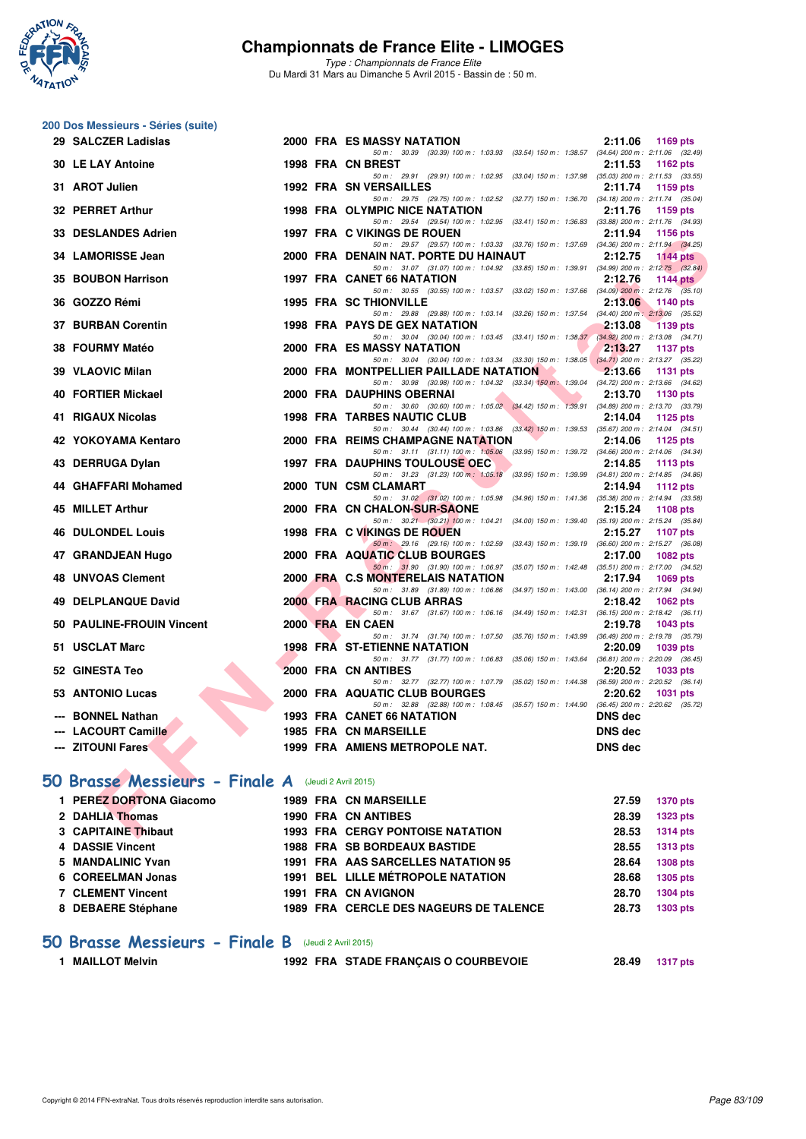

*Type : Championnats de France Elite* Du Mardi 31 Mars au Dimanche 5 Avril 2015 - Bassin de : 50 m.

|     | 200 Dos Messieurs - Séries (suite)                  |  |                                                                                                                                    |                |                 |
|-----|-----------------------------------------------------|--|------------------------------------------------------------------------------------------------------------------------------------|----------------|-----------------|
|     | 29 SALCZER Ladislas                                 |  | 2000 FRA ES MASSY NATATION                                                                                                         | 2:11.06        | 1169 pts        |
|     |                                                     |  | 50 m: 30.39 (30.39) 100 m: 1:03.93 (33.54) 150 m: 1:38.57 (34.64) 200 m: 2:11.06 (32.49)                                           |                |                 |
|     | <b>30 LE LAY Antoine</b>                            |  | 1998 FRA CN BREST<br>50 m: 29.91 (29.91) 100 m: 1:02.95 (33.04) 150 m: 1:37.98 (35.03) 200 m: 2:11.53 (33.55)                      | 2:11.53        | 1162 pts        |
|     | 31 AROT Julien                                      |  | <b>1992 FRA SN VERSAILLES</b>                                                                                                      | 2:11.74        | 1159 pts        |
|     |                                                     |  | 50 m: 29.75 (29.75) 100 m: 1:02.52 (32.77) 150 m: 1:36.70 (34.18) 200 m: 2:11.74 (35.04)                                           |                |                 |
|     | 32 PERRET Arthur                                    |  | 1998 FRA OLYMPIC NICE NATATION                                                                                                     | 2:11.76        | 1159 pts        |
|     | 33 DESLANDES Adrien                                 |  | 50 m: 29.54 (29.54) 100 m: 1:02.95 (33.41) 150 m: 1:36.83 (33.88) 200 m: 2:11.76 (34.93)<br>1997 FRA C VIKINGS DE ROUEN            | 2:11.94        | <b>1156 pts</b> |
|     |                                                     |  | 50 m: 29.57 (29.57) 100 m: 1:03.33 (33.76) 150 m: 1:37.69 (34.36) 200 m: 2:11.94 (34.25)                                           |                |                 |
|     | 34 LAMORISSE Jean                                   |  | 2000 FRA DENAIN NAT. PORTE DU HAINAUT                                                                                              | 2:12.75        | <b>1144 pts</b> |
|     | 35 BOUBON Harrison                                  |  | 50 m: 31.07 (31.07) 100 m: 1:04.92 (33.85) 150 m: 1:39.91 (34.99) 200 m: 2:12.75 (32.84)<br><b>1997 FRA CANET 66 NATATION</b>      | 2:12.76        | <b>1144 pts</b> |
|     |                                                     |  | 50 m: 30.55 (30.55) 100 m: 1:03.57 (33.02) 150 m: 1:37.66 (34.09) 200 m: 2:12.76 (35.10)                                           |                |                 |
|     | 36 GOZZO Rémi                                       |  | <b>1995 FRA SC THIONVILLE</b>                                                                                                      | 2:13.06        | 1140 pts        |
|     | <b>37 BURBAN Corentin</b>                           |  | 50 m: 29.88 (29.88) 100 m: 1:03.14 (33.26) 150 m: 1:37.54 (34.40) 200 m: 2:13.06 (35.52)<br><b>1998 FRA PAYS DE GEX NATATION</b>   | 2:13.08        | <b>1139 pts</b> |
|     |                                                     |  | 50 m: 30.04 (30.04) 100 m: 1:03.45 (33.41) 150 m: 1:38.37 (34.92) 200 m: 2:13.08 (34.71)                                           |                |                 |
|     | 38 FOURMY Matéo                                     |  | 2000 FRA ES MASSY NATATION                                                                                                         | 2:13.27        | <b>1137 pts</b> |
|     | 39 VLAOVIC Milan                                    |  | 50 m: 30.04 (30.04) 100 m: 1:03.34 (33.30) 150 m: 1:38.05 (34.71) 200 m: 2:13.27 (35.22)<br>2000 FRA MONTPELLIER PAILLADE NATATION | 2:13.66        | 1131 pts        |
|     |                                                     |  | 50 m: 30.98 (30.98) 100 m: 1:04.32 (33.34) 150 m: 1:39.04 (34.72) 200 m: 2:13.66 (34.62)                                           |                |                 |
|     | 40 FORTIER Mickael                                  |  | 2000 FRA DAUPHINS OBERNAI                                                                                                          | 2:13.70        | <b>1130 pts</b> |
|     | 41 RIGAUX Nicolas                                   |  | 50 m: 30.60 (30.60) 100 m: 1:05.02 (34.42) 150 m: 1:39.91 (34.89) 200 m: 2:13.70 (33.79)<br>1998 FRA TARBES NAUTIC CLUB            | 2:14.04        | 1125 pts        |
|     |                                                     |  | 50 m: 30.44 (30.44) 100 m: 1:03.86 (33.42) 150 m: 1:39.53 (35.67) 200 m: 2:14.04 (34.51)                                           |                |                 |
|     | 42 YOKOYAMA Kentaro                                 |  | 2000 FRA REIMS CHAMPAGNE NATATION                                                                                                  | 2:14.06        | 1125 pts        |
|     | 43 DERRUGA Dylan                                    |  | 50 m: 31.11 (31.11) 100 m: 1:05.06 (33.95) 150 m: 1:39.72 (34.66) 200 m: 2:14.06 (34.34)<br><b>1997 FRA DAUPHINS TOULOUSE OEC</b>  | 2:14.85        | 1113 pts        |
|     |                                                     |  | 50 m: 31.23 (31.23) 100 m: 1:05.18 (33.95) 150 m: 1:39.99 (34.81) 200 m: 2:14.85 (34.86)                                           |                |                 |
|     | 44 GHAFFARI Mohamed                                 |  | 2000 TUN CSM CLAMART                                                                                                               | 2:14.94        | 1112 pts        |
|     | 45 MILLET Arthur                                    |  | 50 m: 31.02 (31.02) 100 m: 1:05.98 (34.96) 150 m: 1:41.36 (35.38) 200 m: 2:14.94 (33.58)<br>2000 FRA CN CHALON-SUR-SAONE           | 2:15.24        | <b>1108 pts</b> |
|     |                                                     |  | 50 m: 30.21 (30.21) 100 m: 1:04.21 (34.00) 150 m: 1:39.40 (35.19) 200 m: 2:15.24 (35.84)                                           |                |                 |
|     | <b>46 DULONDEL Louis</b>                            |  | 1998 FRA C VIKINGS DE ROUEN                                                                                                        | 2:15.27        | <b>1107 pts</b> |
|     | 47 GRANDJEAN Hugo                                   |  | 50 m: 29.16 (29.16) 100 m: 1:02.59 (33.43) 150 m: 1:39.19 (36.60) 200 m: 2:15.27 (36.08)<br>2000 FRA AQUATIC CLUB BOURGES          | 2:17.00        | <b>1082 pts</b> |
|     |                                                     |  | 50 m: 31.90 (31.90) 100 m: 1:06.97 (35.07) 150 m: 1:42.48 (35.51) 200 m: 2:17.00 (34.52)                                           |                |                 |
|     | <b>48 UNVOAS Clement</b>                            |  | 2000 FRA C.S MONTERELAIS NATATION                                                                                                  | 2:17.94        | <b>1069 pts</b> |
| 49. | <b>DELPLANQUE David</b>                             |  | 50 m: 31.89 (31.89) 100 m: 1:06.86 (34.97) 150 m: 1:43.00 (36.14) 200 m: 2:17.94 (34.94)<br>2000 FRA RACING CLUB ARRAS             | 2:18.42        |                 |
|     |                                                     |  | 50 m: 31.67 (31.67) 100 m: 1:06.16 (34.49) 150 m: 1:42.31 (36.15) 200 m: 2:18.42 (36.11)                                           |                | 1062 pts        |
|     | 50 PAULINE-FROUIN Vincent                           |  | 2000 FRA EN CAEN                                                                                                                   | 2:19.78        | 1043 pts        |
|     | 51 USCLAT Marc                                      |  | 50 m: 31.74 (31.74) 100 m: 1:07.50 (35.76) 150 m: 1:43.99 (36.49) 200 m: 2:19.78 (35.79)<br><b>1998 FRA ST-ETIENNE NATATION</b>    | 2:20.09        | 1039 pts        |
|     |                                                     |  | 50 m: 31.77 (31.77) 100 m: 1:06.83 (35.06) 150 m: 1:43.64 (36.81) 200 m: 2:20.09 (36.45)                                           |                |                 |
|     | 52 GINESTA Teo                                      |  | 2000 FRA CN ANTIBES                                                                                                                | 2:20.52        | 1033 pts        |
|     | 53 ANTONIO Lucas                                    |  | 50 m: 32.77 (32.77) 100 m: 1:07.79 (35.02) 150 m: 1:44.38 (36.59) 200 m: 2:20.52 (36.14)<br>2000 FRA AQUATIC CLUB BOURGES          | 2:20.62        |                 |
|     |                                                     |  | 50 m: 32.88 (32.88) 100 m: 1:08.45 (35.57) 150 m: 1:44.90 (36.45) 200 m: 2:20.62 (35.72)                                           |                | 1031 pts        |
|     | --- BONNEL Nathan                                   |  | <b>1993 FRA CANET 66 NATATION</b>                                                                                                  | <b>DNS dec</b> |                 |
|     | --- LACOURT Camille                                 |  | <b>1985 FRA CN MARSEILLE</b>                                                                                                       | <b>DNS</b> dec |                 |
|     | --- ZITOUNI Fares                                   |  | 1999 FRA AMIENS METROPOLE NAT.                                                                                                     | <b>DNS dec</b> |                 |
|     |                                                     |  |                                                                                                                                    |                |                 |
|     | 50 Brasse Messieurs - Finale A (Jeudi 2 Avril 2015) |  |                                                                                                                                    |                |                 |
|     | 1 PEREZ DORTONA Giacomo                             |  | <b>1989 FRA CN MARSEILLE</b>                                                                                                       | 27.59          | <b>1370 pts</b> |
|     | 2 DAHLIA Thomas                                     |  | <b>1990 FRA CN ANTIBES</b>                                                                                                         | 28.39          | <b>1323 pts</b> |
|     | 3 CAPITAINE Thibaut                                 |  | 1993 FRA CERGY PONTOISE NATATION                                                                                                   | 28.53          |                 |
|     |                                                     |  |                                                                                                                                    |                | <b>1314 pts</b> |

| 1 PEREZ DORTONA Giacomo  |  | <b>1989 FRA CN MARSEILLE</b>             | 27.59 | <b>1370 pts</b> |
|--------------------------|--|------------------------------------------|-------|-----------------|
| 2 DAHLIA Thomas          |  | 1990 FRA CN ANTIBES                      | 28.39 | 1323 pts        |
| 3 CAPITAINE Thibaut      |  | <b>1993 FRA CERGY PONTOISE NATATION</b>  | 28.53 | <b>1314 pts</b> |
| 4 DASSIE Vincent         |  | <b>1988 FRA SB BORDEAUX BASTIDE</b>      | 28.55 | <b>1313 pts</b> |
| 5 MANDALINIC Yvan        |  | 1991 FRA AAS SARCELLES NATATION 95       | 28.64 | <b>1308 pts</b> |
| 6 COREELMAN Jonas        |  | <b>1991 BEL LILLE MÉTROPOLE NATATION</b> | 28.68 | 1305 pts        |
| <b>7 CLEMENT Vincent</b> |  | 1991 FRA CN AVIGNON                      | 28.70 | 1304 pts        |
| 8 DEBAERE Stéphane       |  | 1989 FRA CERCLE DES NAGEURS DE TALENCE   | 28.73 | 1303 pts        |
|                          |  |                                          |       |                 |

## **50 Brasse Messieurs - Finale B** (Jeudi 2 Avril 2015)

| 1 MAILLOT Melvin | 1992 FRA STADE FRANCAIS O COURBEVOIE | 28.49 | 1317 pts |
|------------------|--------------------------------------|-------|----------|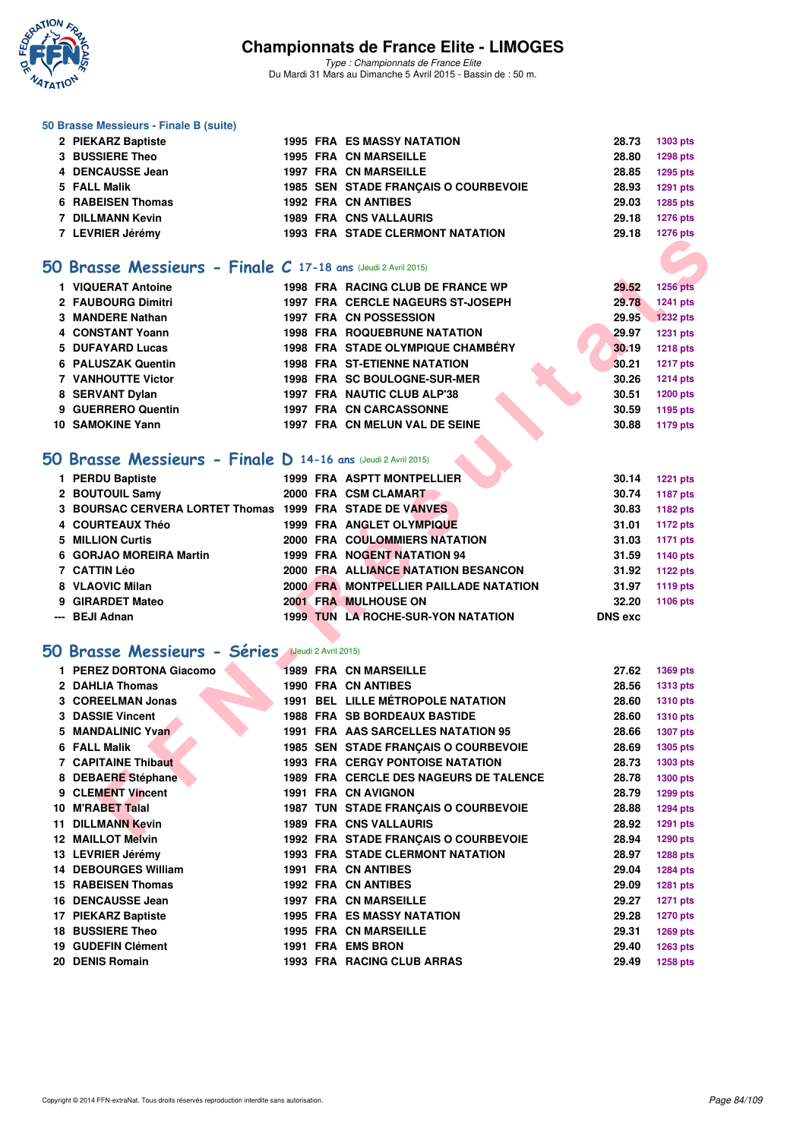

*Type : Championnats de France Elite* Du Mardi 31 Mars au Dimanche 5 Avril 2015 - Bassin de : 50 m.

#### **50 Brasse Messieurs - Finale B (suite)**

| 2 PIEKARZ Baptiste |  | <b>1995 FRA ES MASSY NATATION</b>       |       | 28.73 1303 pts  |
|--------------------|--|-----------------------------------------|-------|-----------------|
| 3 BUSSIERE Theo    |  | <b>1995 FRA CN MARSEILLE</b>            | 28.80 | <b>1298 pts</b> |
| 4 DENCAUSSE Jean   |  | <b>1997 FRA CN MARSEILLE</b>            | 28.85 | 1295 pts        |
| 5 FALL Malik       |  | 1985 SEN STADE FRANCAIS O COURBEVOIE    | 28.93 | <b>1291 pts</b> |
| 6 RABEISEN Thomas  |  | <b>1992 FRA CN ANTIBES</b>              | 29.03 | 1285 pts        |
| 7 DILLMANN Kevin   |  | <b>1989 FRA CNS VALLAURIS</b>           | 29.18 | <b>1276 pts</b> |
| 7 LEVRIER Jérémy   |  | <b>1993 FRA STADE CLERMONT NATATION</b> | 29.18 | <b>1276 pts</b> |
|                    |  |                                         |       |                 |

### **[50 Brasse Messieurs - Finale C](http://www.ffnatation.fr/webffn/resultats.php?idact=nat&go=epr&idcpt=27187&idepr=71) 17-18 ans** (Jeudi 2 Avril 2015)

| 1 VIQUERAT Antoine |  | 1998 FRA RACING CLUB DE FRANCE WP        | 29.52 | <b>1256 pts</b> |
|--------------------|--|------------------------------------------|-------|-----------------|
| 2 FAUBOURG Dimitri |  | <b>1997 FRA CERCLE NAGEURS ST-JOSEPH</b> | 29.78 | <b>1241 pts</b> |
| 3 MANDERE Nathan   |  | 1997 FRA CN POSSESSION                   | 29.95 | <b>1232 pts</b> |
| 4 CONSTANT Yoann   |  | <b>1998 FRA ROQUEBRUNE NATATION</b>      | 29.97 | <b>1231 pts</b> |
| 5 DUFAYARD Lucas   |  | 1998 FRA STADE OLYMPIQUE CHAMBÉRY        | 30.19 | <b>1218 pts</b> |
| 6 PALUSZAK Quentin |  | <b>1998 FRA ST-ETIENNE NATATION</b>      | 30.21 | <b>1217 pts</b> |
| 7 VANHOUTTE Victor |  | 1998 FRA SC BOULOGNE-SUR-MER             | 30.26 | <b>1214 pts</b> |
| 8 SERVANT Dylan    |  | 1997 FRA NAUTIC CLUB ALP'38              | 30.51 | <b>1200 pts</b> |
| 9 GUERRERO Quentin |  | <b>1997 FRA CN CARCASSONNE</b>           | 30.59 | 1195 pts        |
| 10 SAMOKINE Yann   |  | 1997 FRA CN MELUN VAL DE SEINE           | 30.88 | <b>1179 pts</b> |

## **[50 Brasse Messieurs - Finale D](http://www.ffnatation.fr/webffn/resultats.php?idact=nat&go=epr&idcpt=27187&idepr=71) 14-16 ans** (Jeudi 2 Avril 2015)

| 1 PERDU Baptiste                                         |  | <b>1999 FRA ASPTT MONTPELLIER</b>         | 30.14          | 1221 pts |
|----------------------------------------------------------|--|-------------------------------------------|----------------|----------|
| 2 BOUTOUIL Samy                                          |  | 2000 FRA CSM CLAMART                      | 30.74          | 1187 pts |
| 3 BOURSAC CERVERA LORTET Thomas 1999 FRA STADE DE VANVES |  |                                           | 30.83          | 1182 pts |
| 4 COURTEAUX Théo                                         |  | 1999 FRA ANGLET OLYMPIQUE                 | 31.01          | 1172 pts |
| 5 MILLION Curtis                                         |  | 2000 FRA COULOMMIERS NATATION             | 31.03          | 1171 pts |
| 6 GORJAO MOREIRA Martin                                  |  | 1999 FRA NOGENT NATATION 94               | 31.59          | 1140 pts |
| 7 CATTIN Léo                                             |  | 2000 FRA ALLIANCE NATATION BESANCON       | 31.92          | 1122 pts |
| 8 VLAOVIC Milan                                          |  | 2000 FRA MONTPELLIER PAILLADE NATATION    | 31.97          | 1119 pts |
| 9 GIRARDET Mateo                                         |  | <b>2001 FRA MULHOUSE ON</b>               | 32.20          | 1106 pts |
| --- BEJI Adnan                                           |  | <b>1999 TUN LA ROCHE-SUR-YON NATATION</b> | <b>DNS</b> exc |          |

## **[50 Brasse Messieurs - Séries](http://www.ffnatation.fr/webffn/resultats.php?idact=nat&go=epr&idcpt=27187&idepr=71)** (Jeudi 2 Avril 2015)

| <b>I</b> LEVINLER JUIGHIY                                       |  |                                          |                | $1210$ pm       |
|-----------------------------------------------------------------|--|------------------------------------------|----------------|-----------------|
|                                                                 |  |                                          |                |                 |
| $50$ Brasse Messieurs - Finale C 17-18 ans (Jeudi 2 Avril 2015) |  |                                          |                |                 |
| 1 VIQUERAT Antoine                                              |  | 1998 FRA RACING CLUB DE FRANCE WP        | 29.52          | <b>1256 pts</b> |
| 2 FAUBOURG Dimitri                                              |  | 1997 FRA CERCLE NAGEURS ST-JOSEPH        | 29.78          | 1241 pts        |
| 3 MANDERE Nathan                                                |  | 1997 FRA CN POSSESSION                   | 29.95          | <b>1232 pts</b> |
| 4 CONSTANT Yoann                                                |  | <b>1998 FRA ROQUEBRUNE NATATION</b>      | 29.97          | <b>1231 pts</b> |
| 5 DUFAYARD Lucas                                                |  | <b>1998 FRA STADE OLYMPIQUE CHAMBERY</b> | 30.19          | <b>1218 pts</b> |
| <b>6 PALUSZAK Quentin</b>                                       |  | <b>1998 FRA ST-ETIENNE NATATION</b>      | 30.21          | <b>1217 pts</b> |
| <b>7 VANHOUTTE Victor</b>                                       |  | 1998 FRA SC BOULOGNE-SUR-MER             | 30.26          | <b>1214 pts</b> |
| 8 SERVANT Dylan                                                 |  | 1997 FRA NAUTIC CLUB ALP'38              | 30.51          | <b>1200 pts</b> |
| 9 GUERRERO Quentin                                              |  | <b>1997 FRA CN CARCASSONNE</b>           | 30.59          | 1195 pts        |
| <b>10 SAMOKINE Yann</b>                                         |  | 1997 FRA CN MELUN VAL DE SEINE           | 30.88          | <b>1179 pts</b> |
|                                                                 |  |                                          |                |                 |
| $50$ Brasse Messieurs - Finale D 14-16 ans (Jeudi 2 Avril 2015) |  |                                          |                |                 |
| 1 PERDU Baptiste                                                |  | <b>1999 FRA ASPTT MONTPELLIER</b>        | 30.14          | <b>1221 pts</b> |
| 2 BOUTOUIL Samy                                                 |  | 2000 FRA CSM CLAMART                     | 30.74          | <b>1187 pts</b> |
| 3 BOURSAC CERVERA LORTET Thomas 1999 FRA STADE DE VANVES        |  |                                          | 30.83          | <b>1182 pts</b> |
| 4 COURTEAUX Théo                                                |  | 1999 FRA ANGLET OLYMPIQUE                | 31.01          | <b>1172 pts</b> |
| 5 MILLION Curtis                                                |  | 2000 FRA COULOMMIERS NATATION            | 31.03          | <b>1171 pts</b> |
| 6 GORJAO MOREIRA Martin                                         |  | 1999 FRA NOGENT NATATION 94              | 31.59          | 1140 pts        |
| 7 CATTIN Léo                                                    |  | 2000 FRA ALLIANCE NATATION BESANCON      | 31.92          | <b>1122 pts</b> |
| 8 VLAOVIC Milan                                                 |  | 2000 FRA MONTPELLIER PAILLADE NATATION   | 31.97          | 1119 pts        |
| 9 GIRARDET Mateo                                                |  | 2001 FRA MULHOUSE ON                     | 32.20          | 1106 pts        |
| --- BEJI Adnan                                                  |  | 1999 TUN LA ROCHE-SUR-YON NATATION       | <b>DNS</b> exc |                 |
|                                                                 |  |                                          |                |                 |
| <b>50 Brasse Messieurs - Séries (Jeudi 2 Avril 2015)</b>        |  |                                          |                |                 |
| 1 PEREZ DORTONA Giacomo                                         |  | <b>1989 FRA CN MARSEILLE</b>             | 27.62          | <b>1369 pts</b> |
| 2 DAHLIA Thomas                                                 |  | <b>1990 FRA CN ANTIBES</b>               | 28.56          | <b>1313 pts</b> |
| 3 COREELMAN Jonas                                               |  | <b>1991 BEL LILLE MÉTROPOLE NATATION</b> | 28.60          | <b>1310 pts</b> |
| <b>3 DASSIE Vincent</b>                                         |  | <b>1988 FRA SB BORDEAUX BASTIDE</b>      | 28.60          | <b>1310 pts</b> |
| 5 MANDALINIC Yvan                                               |  | 1991 FRA AAS SARCELLES NATATION 95       | 28.66          | <b>1307 pts</b> |
| 6 FALL Malik                                                    |  | 1985 SEN STADE FRANÇAIS O COURBEVOIE     | 28.69          | <b>1305 pts</b> |
| <b>7 CAPITAINE Thibaut</b>                                      |  | <b>1993 FRA CERGY PONTOISE NATATION</b>  | 28.73          | 1303 pts        |
| 8 DEBAERE Stéphane                                              |  | 1989 FRA CERCLE DES NAGEURS DE TALENCE   | 28.78          | <b>1300 pts</b> |
| 9 CLEMENT Vincent                                               |  | 1991 FRA CN AVIGNON                      | 28.79          | 1299 pts        |
| 10 M'RABET Talal                                                |  | 1987 TUN STADE FRANÇAIS O COURBEVOIE     | 28.88          | <b>1294 pts</b> |
| <b>11 DILLMANN Kevin</b>                                        |  | 1989 FRA CNS VALLAURIS                   | 28.92          | 1291 pts        |
| <b>12 MAILLOT Melvin</b>                                        |  | 1992 FRA STADE FRANÇAIS O COURBEVOIE     | 28.94          | <b>1290 pts</b> |
| 13 LEVRIER Jérémy                                               |  | <b>1993 FRA STADE CLERMONT NATATION</b>  | 28.97          | <b>1288 pts</b> |
| <b>14 DEBOURGES William</b>                                     |  | 1991 FRA CN ANTIBES                      | 29.04          | <b>1284 pts</b> |
| 15 RABEISEN Thomas                                              |  | <b>1992 FRA CN ANTIBES</b>               | 29.09          | 1281 pts        |
| 16 DENCAUSSE Jean                                               |  | 1997 FRA CN MARSEILLE                    | 29.27          | <b>1271 pts</b> |
| 17 PIEKARZ Baptiste                                             |  | <b>1995 FRA ES MASSY NATATION</b>        | 29.28          | <b>1270 pts</b> |
| <b>18 BUSSIERE Theo</b>                                         |  | 1995 FRA CN MARSEILLE                    | 29.31          | 1269 pts        |
| 19 GUDEFIN Clément                                              |  | 1991 FRA EMS BRON                        | 29.40          | 1263 pts        |
| 20 DENIS Romain                                                 |  | 1993 FRA RACING CLUB ARRAS               | 29.49          | <b>1258 pts</b> |
|                                                                 |  |                                          |                |                 |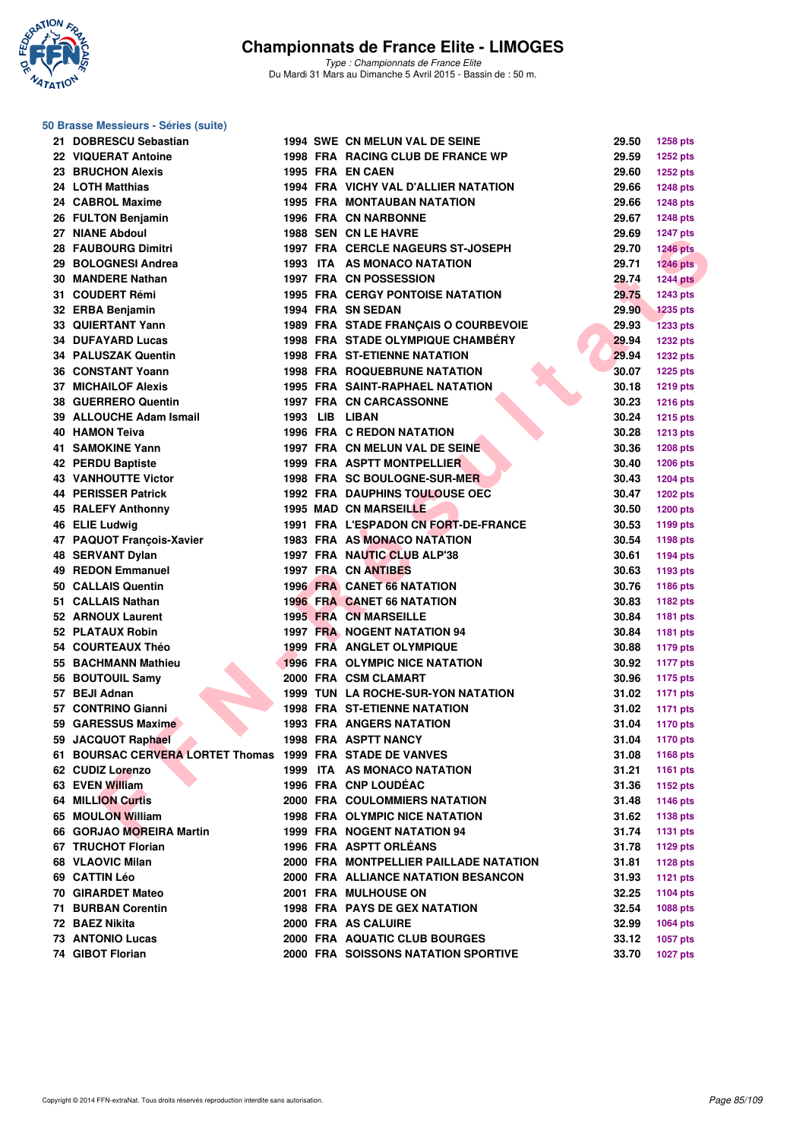

| 50 Brasse Messieurs - Séries (suite)                      |  |                                           |       |                 |
|-----------------------------------------------------------|--|-------------------------------------------|-------|-----------------|
| 21 DOBRESCU Sebastian                                     |  | <b>1994 SWE CN MELUN VAL DE SEINE</b>     | 29.50 | 1258 pts        |
| 22 VIQUERAT Antoine                                       |  | 1998 FRA RACING CLUB DE FRANCE WP         | 29.59 | <b>1252 pts</b> |
| 23 BRUCHON Alexis                                         |  | 1995 FRA EN CAEN                          | 29.60 | <b>1252 pts</b> |
| 24 LOTH Matthias                                          |  | 1994 FRA VICHY VAL D'ALLIER NATATION      | 29.66 | <b>1248 pts</b> |
| 24 CABROL Maxime                                          |  | <b>1995 FRA MONTAUBAN NATATION</b>        | 29.66 | <b>1248 pts</b> |
| 26 FULTON Benjamin                                        |  | 1996 FRA CN NARBONNE                      | 29.67 | <b>1248 pts</b> |
| 27 NIANE Abdoul                                           |  | 1988 SEN CN LE HAVRE                      | 29.69 | <b>1247 pts</b> |
| <b>28 FAUBOURG Dimitri</b>                                |  | 1997 FRA CERCLE NAGEURS ST-JOSEPH         | 29.70 | <b>1246 pts</b> |
| 29 BOLOGNESI Andrea                                       |  | 1993 ITA AS MONACO NATATION               | 29.71 | <b>1246 pts</b> |
| 30 MANDERE Nathan                                         |  | 1997 FRA CN POSSESSION                    | 29.74 | <b>1244 pts</b> |
| 31 COUDERT Rémi                                           |  | <b>1995 FRA CERGY PONTOISE NATATION</b>   | 29.75 | <b>1243 pts</b> |
| 32 ERBA Benjamin                                          |  | 1994 FRA SN SEDAN                         | 29.90 | <b>1235 pts</b> |
| 33 QUIERTANT Yann                                         |  | 1989 FRA STADE FRANÇAIS O COURBEVOIE      | 29.93 | <b>1233 pts</b> |
| <b>34 DUFAYARD Lucas</b>                                  |  | 1998 FRA STADE OLYMPIQUE CHAMBERY         | 29.94 | <b>1232 pts</b> |
| <b>34 PALUSZAK Quentin</b>                                |  | <b>1998 FRA ST-ETIENNE NATATION</b>       | 29.94 | <b>1232 pts</b> |
| 36 CONSTANT Yoann                                         |  | <b>1998 FRA ROQUEBRUNE NATATION</b>       | 30.07 | <b>1225 pts</b> |
| <b>37 MICHAILOF Alexis</b>                                |  | <b>1995 FRA SAINT-RAPHAEL NATATION</b>    | 30.18 | <b>1219 pts</b> |
| 38 GUERRERO Quentin                                       |  | 1997 FRA CN CARCASSONNE                   | 30.23 | <b>1216 pts</b> |
| 39 ALLOUCHE Adam Ismail                                   |  | 1993 LIB LIBAN                            | 30.24 | <b>1215 pts</b> |
| 40 HAMON Teiva                                            |  | <b>1996 FRA C REDON NATATION</b>          | 30.28 | <b>1213 pts</b> |
| 41 SAMOKINE Yann                                          |  | 1997 FRA CN MELUN VAL DE SEINE            | 30.36 | <b>1208 pts</b> |
| 42 PERDU Baptiste                                         |  | 1999 FRA ASPTT MONTPELLIER                | 30.40 |                 |
| <b>43 VANHOUTTE Victor</b>                                |  | 1998 FRA SC BOULOGNE-SUR-MER              | 30.43 | <b>1206 pts</b> |
| 44 PERISSER Patrick                                       |  |                                           | 30.47 | <b>1204 pts</b> |
|                                                           |  | <b>1992 FRA DAUPHINS TOULOUSE OEC</b>     |       | <b>1202 pts</b> |
| 45 RALEFY Anthonny                                        |  | <b>1995 MAD CN MARSEILLE</b>              | 30.50 | <b>1200 pts</b> |
| 46 ELIE Ludwig                                            |  | 1991 FRA L'ESPADON CN FORT-DE-FRANCE      | 30.53 | 1199 pts        |
| 47 PAQUOT François-Xavier                                 |  | 1983 FRA AS MONACO NATATION               | 30.54 | 1198 pts        |
| <b>48 SERVANT Dylan</b>                                   |  | 1997 FRA NAUTIC CLUB ALP'38               | 30.61 | 1194 pts        |
| 49 REDON Emmanuel                                         |  | 1997 FRA CN ANTIBES                       | 30.63 | 1193 pts        |
| 50 CALLAIS Quentin                                        |  | <b>1996 FRA CANET 66 NATATION</b>         | 30.76 | 1186 pts        |
| 51 CALLAIS Nathan                                         |  | <b>1996 FRA CANET 66 NATATION</b>         | 30.83 | 1182 pts        |
| 52 ARNOUX Laurent                                         |  | <b>1995 FRA CN MARSEILLE</b>              | 30.84 | 1181 pts        |
| 52 PLATAUX Robin                                          |  | <b>1997 FRA NOGENT NATATION 94</b>        | 30.84 | 1181 pts        |
| 54 COURTEAUX Théo                                         |  | 1999 FRA ANGLET OLYMPIQUE                 | 30.88 | <b>1179 pts</b> |
| 55 BACHMANN Mathieu                                       |  | <b>1996 FRA OLYMPIC NICE NATATION</b>     | 30.92 | <b>1177 pts</b> |
| 56 BOUTOUIL Samy                                          |  | 2000 FRA CSM CLAMART                      | 30.96 | <b>1175 pts</b> |
| 57 BEJI Adnan                                             |  | <b>1999 TUN LA ROCHE-SUR-YON NATATION</b> | 31.02 | <b>1171 pts</b> |
| 57 CONTRINO Gianni                                        |  | <b>1998 FRA ST-ETIENNE NATATION</b>       | 31.02 | <b>1171 pts</b> |
| 59 GARESSUS Maxime                                        |  | <b>1993 FRA ANGERS NATATION</b>           | 31.04 | <b>1170 pts</b> |
| 59 JACQUOT Raphael                                        |  | 1998 FRA ASPTT NANCY                      | 31.04 | <b>1170 pts</b> |
| 61 BOURSAC CERVERA LORTET Thomas 1999 FRA STADE DE VANVES |  |                                           | 31.08 | 1168 pts        |
| 62 CUDIZ Lorenzo                                          |  | 1999 ITA AS MONACO NATATION               | 31.21 | 1161 pts        |
| 63 EVEN William                                           |  | 1996 FRA CNP LOUDÉAC                      | 31.36 | 1152 pts        |
| <b>64 MILLION Curtis</b>                                  |  | 2000 FRA COULOMMIERS NATATION             | 31.48 | <b>1146 pts</b> |
| 65 MOULON William                                         |  | 1998 FRA OLYMPIC NICE NATATION            | 31.62 | 1138 pts        |
| 66 GORJAO MOREIRA Martin                                  |  | 1999 FRA NOGENT NATATION 94               | 31.74 | <b>1131 pts</b> |
| 67 TRUCHOT Florian                                        |  | 1996 FRA ASPTT ORLÉANS                    | 31.78 | 1129 pts        |
| 68 VLAOVIC Milan                                          |  | 2000 FRA MONTPELLIER PAILLADE NATATION    | 31.81 | <b>1128 pts</b> |
| 69 CATTIN Léo                                             |  | 2000 FRA ALLIANCE NATATION BESANCON       | 31.93 | <b>1121 pts</b> |
| 70 GIRARDET Mateo                                         |  | 2001 FRA MULHOUSE ON                      | 32.25 | 1104 pts        |
| <b>71 BURBAN Corentin</b>                                 |  | <b>1998 FRA PAYS DE GEX NATATION</b>      | 32.54 | 1088 pts        |
| 72 BAEZ Nikita                                            |  | 2000 FRA AS CALUIRE                       | 32.99 | 1064 pts        |
| <b>73 ANTONIO Lucas</b>                                   |  | 2000 FRA AQUATIC CLUB BOURGES             | 33.12 | 1057 pts        |
| 74 GIBOT Florian                                          |  | 2000 FRA SOISSONS NATATION SPORTIVE       | 33.70 | <b>1027 pts</b> |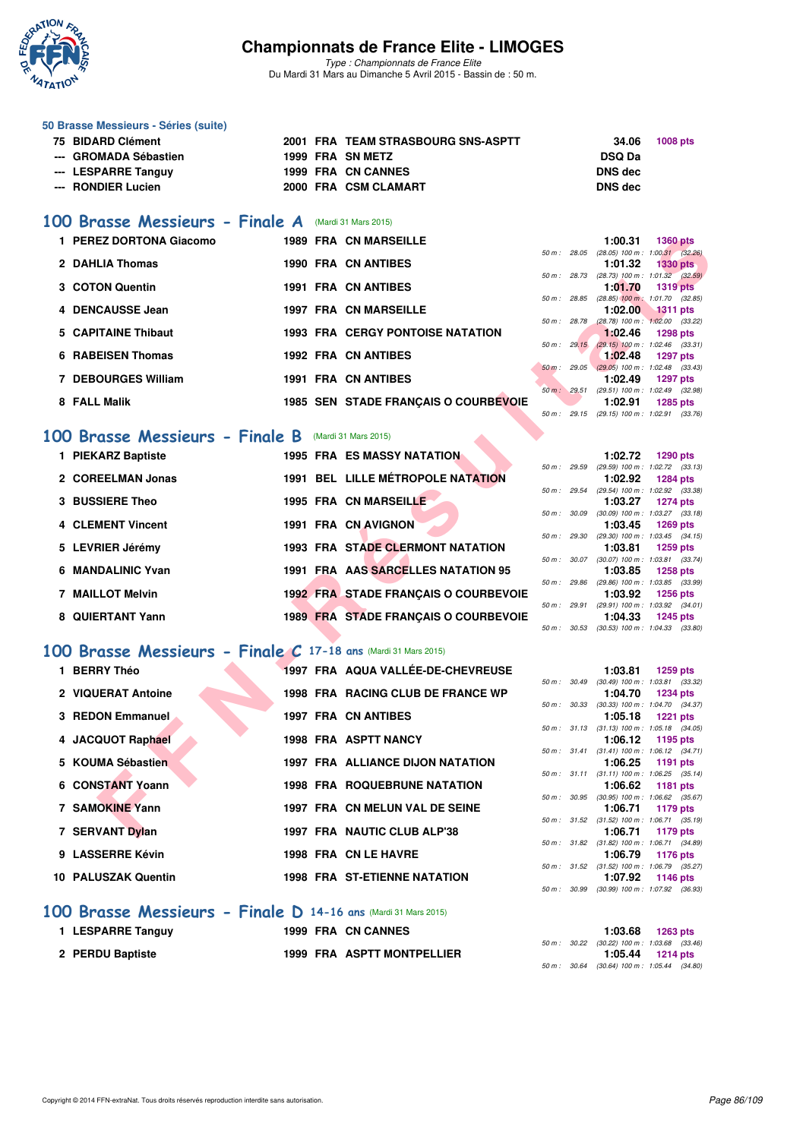

*Type : Championnats de France Elite* Du Mardi 31 Mars au Dimanche 5 Avril 2015 - Bassin de : 50 m.

| 50 Brasse Messieurs - Séries (suite) |  |                                    |                |                 |
|--------------------------------------|--|------------------------------------|----------------|-----------------|
| 75 BIDARD Clément                    |  | 2001 FRA TEAM STRASBOURG SNS-ASPTT | 34.06          | <b>1008 pts</b> |
| --- GROMADA Sébastien                |  | 1999 FRA SN METZ                   | <b>DSQ Da</b>  |                 |
| --- LESPARRE Tanguy                  |  | 1999 FRA CN CANNES                 | <b>DNS</b> dec |                 |
| --- RONDIER Lucien                   |  | 2000 FRA CSM CLAMART               | DNS dec        |                 |
|                                      |  |                                    |                |                 |

## **[100 Brasse Messieurs - Finale A](http://www.ffnatation.fr/webffn/resultats.php?idact=nat&go=epr&idcpt=27187&idepr=72)** (Mardi 31 Mars 2015)

| 1 PEREZ DORTONA Giacomo                                       |  | <b>1989 FRA CN MARSEILLE</b>                |              |              | 1:00.31                                                 | <b>1360 pts</b> |  |
|---------------------------------------------------------------|--|---------------------------------------------|--------------|--------------|---------------------------------------------------------|-----------------|--|
| 2 DAHLIA Thomas                                               |  | <b>1990 FRA CN ANTIBES</b>                  |              |              | 50 m: 28.05 (28.05) 100 m: 1:00.31 (32.26)<br>1:01.32   | $1330$ pts      |  |
|                                                               |  |                                             |              | 50 m : 28.73 | $(28.73)$ 100 m : 1:01.32 $(32.59)$                     |                 |  |
| 3 COTON Quentin                                               |  | 1991 FRA CN ANTIBES                         |              |              | 1:01.70                                                 | <b>1319 pts</b> |  |
|                                                               |  |                                             | 50 m : 28.85 |              | $(28.85)$ 100 m : 1:01.70 $(32.85)$                     |                 |  |
| 4 DENCAUSSE Jean                                              |  | <b>1997 FRA CN MARSEILLE</b>                | 50 m : 28.78 |              | 1:02.00<br>$(28.78)$ 100 m : 1:02.00 $(33.22)$          | <b>1311 pts</b> |  |
| 5 CAPITAINE Thibaut                                           |  | <b>1993 FRA CERGY PONTOISE NATATION</b>     |              |              | 1:02.46                                                 | <b>1298 pts</b> |  |
|                                                               |  |                                             | 50 m: 29.15  |              | $(29.15)$ 100 m : 1:02.46 $(33.31)$                     |                 |  |
| <b>6 RABEISEN Thomas</b>                                      |  | <b>1992 FRA CN ANTIBES</b>                  |              |              | 1:02.48                                                 | <b>1297 pts</b> |  |
|                                                               |  |                                             |              |              | 50 m : 29.05 (29.05) 100 m : 1:02.48 (33.43)            |                 |  |
| <b>7 DEBOURGES William</b>                                    |  | <b>1991 FRA CN ANTIBES</b>                  |              | 50 m: 29.51  | 1:02.49<br>(29.51) 100 m: 1:02.49 (32.98)               | <b>1297 pts</b> |  |
| 8 FALL Malik                                                  |  | 1985 SEN STADE FRANÇAIS O COURBEVOIE        |              |              | 1:02.91                                                 | <b>1285 pts</b> |  |
|                                                               |  |                                             |              |              | 50 m: 29.15 (29.15) 100 m: 1:02.91 (33.76)              |                 |  |
|                                                               |  |                                             |              |              |                                                         |                 |  |
| 00 Brasse Messieurs - Finale B                                |  | (Mardi 31 Mars 2015)                        |              |              |                                                         |                 |  |
| 1 PIEKARZ Baptiste                                            |  | <b>1995 FRA ES MASSY NATATION</b>           |              |              | 1:02.72                                                 | <b>1290 pts</b> |  |
|                                                               |  |                                             |              | 50 m : 29.59 | (29.59) 100 m: 1:02.72 (33.13)                          |                 |  |
| 2 COREELMAN Jonas                                             |  | <b>1991 BEL LILLE MÉTROPOLE NATATION</b>    |              |              | 1:02.92                                                 | <b>1284 pts</b> |  |
| <b>3 BUSSIERE Theo</b>                                        |  | 1995 FRA CN MARSEILLE                       | 50 m : 29.54 |              | $(29.54)$ 100 m : 1:02.92 $(33.38)$<br>1:03.27          | <b>1274 pts</b> |  |
|                                                               |  |                                             | 50 m : 30.09 |              | (30.09) 100 m: 1:03.27 (33.18)                          |                 |  |
| 4 CLEMENT Vincent                                             |  | 1991 FRA CN AVIGNON                         |              |              | 1:03.45                                                 | <b>1269 pts</b> |  |
|                                                               |  |                                             |              | 50 m : 29.30 | $(29.30)$ 100 m : 1:03.45 $(34.15)$                     |                 |  |
| 5 LEVRIER Jérémy                                              |  | <b>1993 FRA STADE CLERMONT NATATION</b>     |              |              | 1:03.81                                                 | <b>1259 pts</b> |  |
| 6 MANDALINIC Yvan                                             |  | 1991 FRA AAS SARCELLES NATATION 95          |              | 50 m : 30.07 | $(30.07)$ 100 m : 1:03.81 $(33.74)$<br>1:03.85          | 1258 pts        |  |
|                                                               |  |                                             |              |              | 50 m : 29.86 (29.86) 100 m : 1:03.85 (33.99)            |                 |  |
| <b>7 MAILLOT Melvin</b>                                       |  | <b>1992 FRA STADE FRANÇAIS O COURBEVOIE</b> |              |              | 1:03.92                                                 | <b>1256 pts</b> |  |
|                                                               |  |                                             |              |              | 50 m: 29.91 (29.91) 100 m: 1:03.92 (34.01)              |                 |  |
| 8 QUIERTANT Yann                                              |  | <b>1989 FRA STADE FRANÇAIS O COURBEVOIE</b> |              | 50 m : 30.53 | 1:04.33<br>$(30.53)$ 100 m : 1:04.33 $(33.80)$          | <b>1245 pts</b> |  |
|                                                               |  |                                             |              |              |                                                         |                 |  |
| OO Brasse Messieurs - Finale C 17-18 ans (Mardi 31 Mars 2015) |  |                                             |              |              |                                                         |                 |  |
| 1 BERRY Théo                                                  |  | 1997 FRA AQUA VALLÉE-DE-CHEVREUSE           |              |              | 1:03.81                                                 | 1259 pts        |  |
|                                                               |  |                                             |              |              | 50 m: 30.49 (30.49) 100 m: 1:03.81 (33.32)              |                 |  |
| 2 VIQUERAT Antoine                                            |  | 1998 FRA RACING CLUB DE FRANCE WP           |              |              | 1:04.70                                                 | <b>1234 pts</b> |  |
|                                                               |  |                                             |              | 50 m : 30.33 | $(30.33)$ 100 m : 1:04.70 $(34.37)$                     |                 |  |
| 3 REDON Emmanuel                                              |  | <b>1997 FRA CN ANTIBES</b>                  |              |              | 1:05.18                                                 | <b>1221 pts</b> |  |
| 4 JACQUOT Raphael                                             |  | <b>1998 FRA ASPTT NANCY</b>                 |              |              | 50 m: 31.13 (31.13) 100 m: 1:05.18 (34.05)<br>1:06.12   | 1195 pts        |  |
|                                                               |  |                                             |              |              | 50 m: 31.41 (31.41) 100 m: 1:06.12 (34.71)              |                 |  |
| 5 KOUMA Sébastien                                             |  | <b>1997 FRA ALLIANCE DIJON NATATION</b>     |              |              | 1:06.25                                                 | 1191 pts        |  |
|                                                               |  |                                             |              |              | 50 m: 31.11 (31.11) 100 m: 1:06.25 (35.14)              |                 |  |
| 6 CONSTANT Yoann                                              |  | <b>1998 FRA ROQUEBRUNE NATATION</b>         |              |              | 1:06.62                                                 | <b>1181 pts</b> |  |
| <b>7 SAMOKINE Yann</b>                                        |  | 1997 FRA CN MELUN VAL DE SEINE              |              |              | 50 m : 30.95 (30.95) 100 m : 1:06.62 (35.67)<br>1:06.71 | 1179 pts        |  |
|                                                               |  |                                             |              |              | 50 m: 31.52 (31.52) 100 m: 1:06.71 (35.19)              |                 |  |
| 7 SERVANT Dylan                                               |  | 1997 FRA NAUTIC CLUB ALP'38                 |              |              | 1:06.71                                                 | 1179 pts        |  |

## **[100 Brasse Messieurs - Finale B](http://www.ffnatation.fr/webffn/resultats.php?idact=nat&go=epr&idcpt=27187&idepr=72)** (Mardi 31 Mars 2015)

| 1 PIEKARZ Baptiste | <b>1995 FRA ES MASSY NATATION</b>           |                |       | 1:02.72                                     | 1290 pts |  |
|--------------------|---------------------------------------------|----------------|-------|---------------------------------------------|----------|--|
| 2 COREELMAN Jonas  | 1991 BEL LILLE MÉTROPOLE NATATION           | 50 m: 29.59    |       | (29.59) 100 m: 1:02.72 (33.<br>1:02.92      | 1284 pts |  |
| 3 BUSSIERE Theo    | 1995 FRA CN MARSEILLE                       | $50 m$ : 29.54 |       | $(29.54)$ 100 m : 1:02.92 (33.<br>1:03.27   | 1274 pts |  |
| 4 CLEMENT Vincent  | 1991 FRA CN AVIGNON                         | 50 m: 30.09    |       | $(30.09)$ 100 m : 1:03.27 $(33.$<br>1:03.45 | 1269 pts |  |
| 5 LEVRIER Jérémy   | <b>1993 FRA STADE CLERMONT NATATION</b>     | 50 m: 29.30    |       | (29.30) 100 m: 1:03.45 (34.<br>1:03.81      | 1259 pts |  |
| 6 MANDALINIC Yvan  | 1991 FRA AAS SARCELLES NATATION 95          | 50 m: 30.07    |       | $(30.07)$ 100 m : 1:03.81 $(33.$<br>1:03.85 | 1258 pts |  |
| 7 MAILLOT Melvin   | <b>1992 FRA STADE FRANCAIS O COURBEVOIE</b> | 50 m :         | 29.86 | $(29.86)$ 100 m : 1:03.85 $(33.$<br>1:03.92 | 1256 pts |  |
|                    |                                             | 50 m: 29.91    |       | (29.91) 100 m: 1:03.92 (34.                 |          |  |
| 8 QUIERTANT Yann   | 1989 FRA STADE FRANCAIS O COURBEVOIE        |                |       | 1:04.33                                     | 1245 pts |  |

## **[100 Brasse Messieurs - Finale C](http://www.ffnatation.fr/webffn/resultats.php?idact=nat&go=epr&idcpt=27187&idepr=72) 17-18 ans** (Mardi 31 Mars 2015)

| 1 BERRY Théo        |  | 1997 FRA AQUA VALLÉE-DE-CHEVREUSE       |              | 1:03.81                                   | 1259 pts |  |
|---------------------|--|-----------------------------------------|--------------|-------------------------------------------|----------|--|
|                     |  |                                         | 50 m : 30.49 | $(30.49)$ 100 m : 1:03.81 (33.            |          |  |
| 2 VIQUERAT Antoine  |  | 1998 FRA RACING CLUB DE FRANCE WP       |              | 1:04.70 1234 pts                          |          |  |
|                     |  |                                         | 50 m : 30.33 | $(30.33)$ 100 m : 1:04.70 $(34.$          |          |  |
| 3 REDON Emmanuel    |  | <b>1997 FRA CN ANTIBES</b>              |              | 1:05.18                                   | 1221 pts |  |
|                     |  |                                         | 50 m: 31.13  | $(31.13)$ 100 m : 1:05.18 (34.            |          |  |
| 4 JACQUOT Raphael   |  | <b>1998 FRA ASPTT NANCY</b>             |              | 1:06.12 1195 pts                          |          |  |
|                     |  |                                         |              | 50 m: 31.41 (31.41) 100 m: 1:06.12 (34.   |          |  |
| 5 KOUMA Sébastien   |  | <b>1997 FRA ALLIANCE DIJON NATATION</b> |              | 1:06.25 1191 pts                          |          |  |
|                     |  |                                         |              | 50 m: 31.11 (31.11) 100 m: 1:06.25 (35.   |          |  |
| 6 CONSTANT Yoann    |  | <b>1998 FRA ROQUEBRUNE NATATION</b>     |              | 1:06.62 1181 pts                          |          |  |
|                     |  |                                         | 50 m : 30.95 | $(30.95)$ 100 m : 1:06.62 (35.            |          |  |
| 7 SAMOKINE Yann     |  | 1997 FRA CN MELUN VAL DE SEINE          |              | 1:06.71 1179 pts                          |          |  |
|                     |  |                                         | 50 m: 31.52  | $(31.52)$ 100 m : 1:06.71 (35.            |          |  |
| 7 SERVANT Dylan     |  | 1997 FRA NAUTIC CLUB ALP'38             |              | 1:06.71                                   | 1179 pts |  |
|                     |  |                                         | 50 m : 31.82 | $(31.82)$ 100 m : 1:06.71 (34.            |          |  |
| 9 LASSERRE Kévin    |  | 1998 FRA CN LE HAVRE                    |              | 1:06.79 1176 pts                          |          |  |
|                     |  |                                         | 50 m : 31.52 | $(31.52)$ 100 m : 1:06.79 (35.            |          |  |
| 10 PALUSZAK Quentin |  | <b>1998 FRA ST-ETIENNE NATATION</b>     |              | 1:07.92 1146 pts                          |          |  |
|                     |  |                                         |              | 50 m : 30.99 (30.99) 100 m : 1:07.92 (36. |          |  |

#### **[100 Brasse Messieurs - Finale D](http://www.ffnatation.fr/webffn/resultats.php?idact=nat&go=epr&idcpt=27187&idepr=72) 14-16 ans** (Mardi 31 Mars 2015)

| 1 LESPARRE Tanguy | 1999 FRA CN CANNES                | 1:03.68                                   | 1263 pts |
|-------------------|-----------------------------------|-------------------------------------------|----------|
|                   |                                   | 50 m : 30.22 (30.22) 100 m : 1:03.68 (33. |          |
| 2 PERDU Baptiste  | <b>1999 FRA ASPTT MONTPELLIER</b> | 1:05.44                                   | 1214 pts |

|              |              | 1:02.72                      | <b>1290 pts</b>     |  |
|--------------|--------------|------------------------------|---------------------|--|
|              |              | 50 m : 29.59 (29.59) 100 m : | $1:02.72$ $(33.13)$ |  |
|              |              | 1:02.92 1284 pts             |                     |  |
| 50 m: 29.54  |              | $(29.54)$ 100 m :            | 1:02.92 (33.38)     |  |
|              |              | 1:03.27                      | 1274 pts            |  |
| 50 m: 30.09  |              | $(30.09)$ 100 m :            | $1:03.27$ $(33.18)$ |  |
|              |              | 1:03.45 1269 pts             |                     |  |
| 50 m: 29.30  |              | $(29.30)$ 100 m :            | $1:03.45$ $(34.15)$ |  |
|              |              | 1:03.81                      | 1259 pts            |  |
| 50 m: 30.07  |              | $(30.07)$ 100 m :            | $1:03.81$ $(33.74)$ |  |
|              |              | 1:03.85                      | <b>1258 pts</b>     |  |
| 50 m : 29.86 |              | $(29.86) 100 m$ :            | 1:03.85 (33.99)     |  |
|              |              | 1:03.92                      | 1256 pts            |  |
|              | 50 m : 29.91 | $(29.91)$ 100 m :            | $1:03.92$ $(34.01)$ |  |
|              |              | $1:04.33$ 1245 pts           |                     |  |
| 50 m: 30.53  |              | $(30.53)$ 100 m :            | 1:04.33 (33.80)     |  |
|              |              |                              |                     |  |

|              |              | 1:03.81                      | 1259 pts            |
|--------------|--------------|------------------------------|---------------------|
| $50 m$ :     | 30.49        | $(30.49)$ 100 m :            | 1:03.81 (33.32)     |
|              |              | 1:04.70                      | 1234 pts            |
| $50 m$ :     | 30.33        | $(30.33)$ 100 m :            | 1:04.70 (34.37)     |
|              |              | 1:05.18                      | 1221 pts            |
|              | 50 m : 31.13 | $(31.13) 100 m$ :            | $1:05.18$ $(34.05)$ |
|              |              | 1:06.12                      | 1195 pts            |
|              | 50 m : 31.41 | $(31.41)$ 100 m :            | $1:06.12$ $(34.71)$ |
|              |              | 1:06.25                      | <b>1191 pts</b>     |
|              |              | 50 m: 31.11 (31.11) 100 m:   | $1:06.25$ $(35.14)$ |
|              |              | 1:06.62                      | 1181 pts            |
| 50 m : 30.95 |              | $(30.95)$ 100 m :            | 1:06.62 (35.67)     |
|              |              | 1:06.71                      | 1179 pts            |
| 50 m: 31.52  |              | $(31.52)$ 100 m :            | $1:06.71$ $(35.19)$ |
|              |              | 1:06.71                      | 1179 pts            |
| 50 m: 31.82  |              | $(31.82) 100 m$ :            | 1:06.71 (34.89)     |
|              |              | 1:06.79                      | 1176 pts            |
|              |              | 50 m: 31.52 (31.52) 100 m:   | 1:06.79 (35.27)     |
|              |              |                              | 1:07.92 1146 pts    |
|              |              | 50 m : 30.99 (30.99) 100 m : | 1:07.92 (36.93)     |

|  | $1:03.68$ 1263 pts                           |  |
|--|----------------------------------------------|--|
|  | 50 m : 30.22 (30.22) 100 m : 1:03.68 (33.46) |  |
|  | $1:05.44$ 1214 pts                           |  |
|  | 50 m : 30.64 (30.64) 100 m : 1:05.44 (34.80) |  |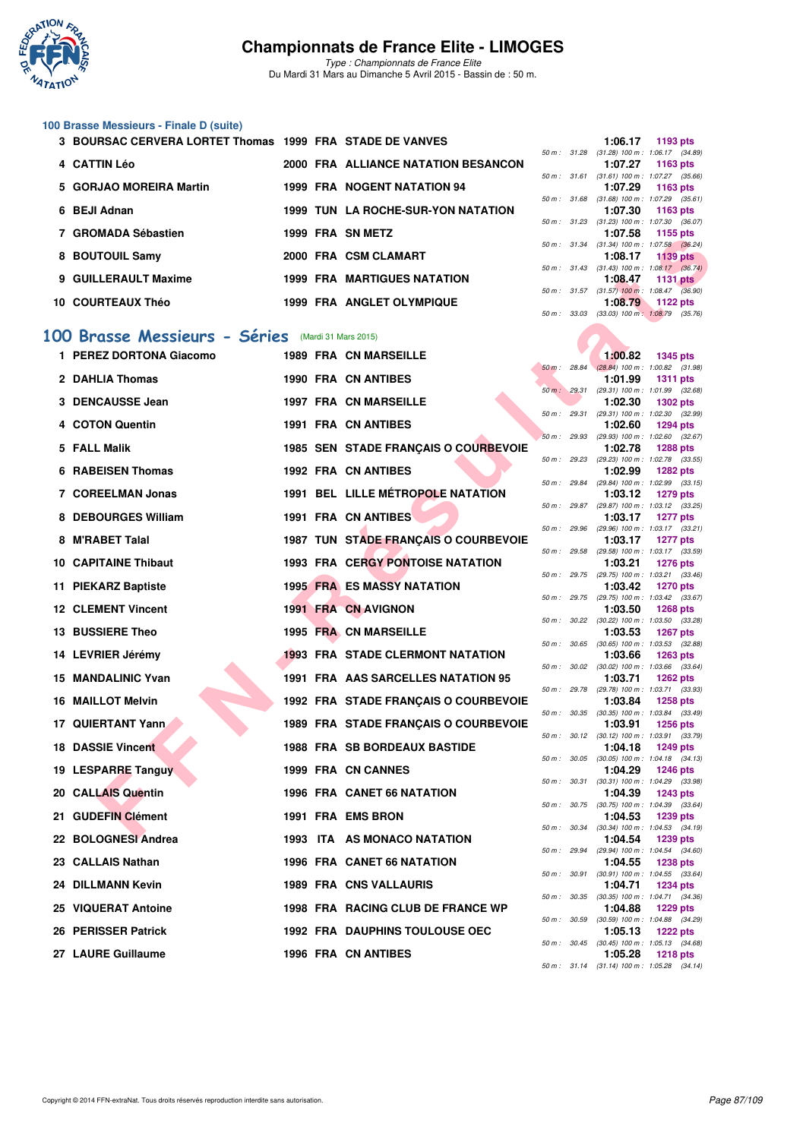

*Type : Championnats de France Elite* Du Mardi 31 Mars au Dimanche 5 Avril 2015 - Bassin de : 50 m.

## **100 Brasse Messieurs - Finale D (suite)**

| 3 BOURSAC CERVERA LORTET Thomas 1999 FRA STADE DE VANVES |  |                                     |                  | $1:06.17$ 1193 pts                                      |             |
|----------------------------------------------------------|--|-------------------------------------|------------------|---------------------------------------------------------|-------------|
|                                                          |  |                                     | 50 m: 31.28      | $(31.28)$ 100 m : 1:06.17 $(34.89)$                     |             |
| 4 CATTIN Léo                                             |  | 2000 FRA ALLIANCE NATATION BESANCON |                  | 1:07.27 1163 pts                                        |             |
|                                                          |  |                                     | 50 m : 31.61     | $(31.61)$ 100 m : 1:07.27 $(35.66)$                     |             |
| 5 GORJAO MOREIRA Martin                                  |  | <b>1999 FRA NOGENT NATATION 94</b>  |                  | $1:07.29$ 1163 pts                                      |             |
|                                                          |  |                                     |                  | 50 m: 31.68 (31.68) 100 m: 1:07.29 (35.61               |             |
| 6 BEJI Adnan                                             |  | 1999 TUN LA ROCHE-SUR-YON NATATION  |                  | $1:07.30$ 1163 pts                                      |             |
|                                                          |  |                                     |                  | 50 m: 31.23 (31.23) 100 m: 1:07.30 (36.07               |             |
| 7 GROMADA Sébastien                                      |  | 1999 FRA SN METZ                    |                  | 1:07.58 1155 pts                                        |             |
|                                                          |  |                                     |                  | 50 m: 31.34 (31.34) 100 m: 1:07.58 (36.24               |             |
| 8 BOUTOUIL Samy                                          |  | 2000 FRA CSM CLAMART                |                  | $1:08.17$ 1139 pts                                      |             |
| 9 GUILLERAULT Maxime                                     |  | <b>1999 FRA MARTIGUES NATATION</b>  |                  | 50 m : 31.43 (31.43) 100 m : 1:08.17 (36.74)<br>1:08.47 |             |
|                                                          |  |                                     |                  |                                                         | 1131 $p$ ts |
| 10 COURTEAUX Théo                                        |  | <b>1999 FRA ANGLET OLYMPIQUE</b>    | $50 m$ : $31.57$ | $(31.57)$ 100 m : 1:08.47 $(36.90)$<br>1:08.79          |             |
|                                                          |  |                                     |                  |                                                         | 1122 $p$ ts |

#### **[100 Brasse Messieurs - Séries](http://www.ffnatation.fr/webffn/resultats.php?idact=nat&go=epr&idcpt=27187&idepr=72)** (Mardi 31 Mars 2015)

| numada Jengsuen                                   |  | ו שוט אוט אחו <i>נ</i> פכו              |              | u <i>.</i> u                                            | ີ 1100 pm       |  |
|---------------------------------------------------|--|-----------------------------------------|--------------|---------------------------------------------------------|-----------------|--|
| 8 BOUTOUIL Samy                                   |  | 2000 FRA CSM CLAMART                    |              | 50 m: 31.34 (31.34) 100 m: 1:07.58 (36.24)<br>1:08.17   | <b>1139 pts</b> |  |
| 9 GUILLERAULT Maxime                              |  | <b>1999 FRA MARTIGUES NATATION</b>      |              | 50 m: 31.43 (31.43) 100 m: 1:08.17 (36.74)<br>1:08.47   | 1131 $pts$      |  |
|                                                   |  |                                         |              | 50 m: 31.57 (31.57) 100 m: 1:08.47 (36.90)              |                 |  |
| 10 COURTEAUX Théo                                 |  | 1999 FRA ANGLET OLYMPIQUE               |              | 1:08.79<br>50 m: 33.03 (33.03) 100 m: 1:08.79 (35.76)   | 1122 $pts$      |  |
| 00 Brasse Messieurs - Séries (Mardi 31 Mars 2015) |  |                                         |              |                                                         |                 |  |
| 1 PEREZ DORTONA Giacomo                           |  | <b>1989 FRA CN MARSEILLE</b>            |              | 1:00.82                                                 | 1345 pts        |  |
| 2 DAHLIA Thomas                                   |  | <b>1990 FRA CN ANTIBES</b>              | 50 m: 28.84  | $(28.84)$ 100 m : 1:00.82 $(31.98)$<br>1:01.99          | <b>1311 pts</b> |  |
| 3 DENCAUSSE Jean                                  |  | <b>1997 FRA CN MARSEILLE</b>            |              | 50 m: 29.31 (29.31) 100 m: 1:01.99 (32.68)<br>1:02.30   | <b>1302 pts</b> |  |
| 4 COTON Quentin                                   |  | 1991 FRA CN ANTIBES                     | 50 m : 29.31 | $(29.31)$ 100 m : 1:02.30 $(32.99)$<br>1:02.60          | <b>1294 pts</b> |  |
|                                                   |  |                                         | 50 m: 29.93  | $(29.93)$ 100 m : 1:02.60 $(32.67)$                     |                 |  |
| 5 FALL Malik                                      |  | 1985 SEN STADE FRANÇAIS O COURBEVOIE    |              | 1:02.78<br>50 m : 29.23 (29.23) 100 m : 1:02.78 (33.55) | <b>1288 pts</b> |  |
| <b>6 RABEISEN Thomas</b>                          |  | <b>1992 FRA CN ANTIBES</b>              |              | 1:02.99<br>50 m: 29.84 (29.84) 100 m: 1:02.99 (33.15)   | <b>1282 pts</b> |  |
| 7 COREELMAN Jonas                                 |  | 1991 BEL LILLE MÉTROPOLE NATATION       |              | 1:03.12<br>50 m: 29.87 (29.87) 100 m: 1:03.12 (33.25)   | 1279 pts        |  |
| 8 DEBOURGES William                               |  | 1991 FRA CN ANTIBES                     |              | 1:03.17                                                 | <b>1277 pts</b> |  |
| 8 M'RABET Talal                                   |  | 1987 TUN STADE FRANÇAIS O COURBEVOIE    |              | 50 m: 29.96 (29.96) 100 m: 1:03.17 (33.21)<br>1:03.17   | <b>1277 pts</b> |  |
| <b>10 CAPITAINE Thibaut</b>                       |  | <b>1993 FRA CERGY PONTOISE NATATION</b> |              | 50 m: 29.58 (29.58) 100 m: 1:03.17 (33.59)<br>1:03.21   | <b>1276 pts</b> |  |
| 11 PIEKARZ Baptiste                               |  | <b>1995 FRA ES MASSY NATATION</b>       |              | 50 m : 29.75 (29.75) 100 m : 1:03.21 (33.46)<br>1:03.42 |                 |  |
|                                                   |  |                                         | 50 m : 29.75 | (29.75) 100 m: 1:03.42 (33.67)                          | <b>1270 pts</b> |  |
| <b>12 CLEMENT Vincent</b>                         |  | 1991 FRA CN AVIGNON                     |              | 1:03.50<br>50 m: 30.22 (30.22) 100 m: 1:03.50 (33.28)   | <b>1268 pts</b> |  |
| 13 BUSSIERE Theo                                  |  | 1995 FRA CN MARSEILLE                   |              | 1:03.53<br>50 m: 30.65 (30.65) 100 m: 1:03.53 (32.88)   | <b>1267 pts</b> |  |
| 14 LEVRIER Jérémy                                 |  | <b>1993 FRA STADE CLERMONT NATATION</b> |              | 1:03.66                                                 | <b>1263 pts</b> |  |
| 15 MANDALINIC Yvan                                |  | 1991 FRA AAS SARCELLES NATATION 95      |              | 50 m : 30.02 (30.02) 100 m : 1:03.66 (33.64)<br>1:03.71 | <b>1262 pts</b> |  |
| <b>16 MAILLOT Melvin</b>                          |  | 1992 FRA STADE FRANÇAIS O COURBEVOIE    |              | 50 m : 29.78 (29.78) 100 m : 1:03.71 (33.93)<br>1:03.84 | <b>1258 pts</b> |  |
| 17 QUIERTANT Yann                                 |  | 1989 FRA STADE FRANÇAIS O COURBEVOIE    |              | 50 m: 30.35 (30.35) 100 m: 1:03.84 (33.49)<br>1:03.91   | <b>1256 pts</b> |  |
|                                                   |  |                                         |              | 50 m: 30.12 (30.12) 100 m: 1:03.91 (33.79)              |                 |  |
| <b>18 DASSIE Vincent</b>                          |  | <b>1988 FRA SB BORDEAUX BASTIDE</b>     |              | 1:04.18<br>50 m : 30.05 (30.05) 100 m : 1:04.18 (34.13) | <b>1249 pts</b> |  |
| 19 LESPARRE Tanguy                                |  | 1999 FRA CN CANNES                      |              | 1:04.29<br>50 m: 30.31 (30.31) 100 m: 1:04.29 (33.98)   | <b>1246 pts</b> |  |
| 20 CALLAIS Quentin                                |  | 1996 FRA CANET 66 NATATION              |              | 1:04.39<br>50 m : 30.75 (30.75) 100 m : 1:04.39 (33.64) | <b>1243 pts</b> |  |
| 21 GUDEFIN Clément                                |  | 1991 FRA EMS BRON                       |              | 1:04.53                                                 | 1239 pts        |  |
| 22 BOLOGNESI Andrea                               |  | 1993 ITA AS MONACO NATATION             |              | 50 m: 30.34 (30.34) 100 m: 1:04.53 (34.19)<br>1:04.54   | 1239 pts        |  |
| 23 CALLAIS Nathan                                 |  | 1996 FRA CANET 66 NATATION              |              | 50 m: 29.94 (29.94) 100 m: 1:04.54 (34.60)<br>1:04.55   | <b>1238 pts</b> |  |
| 24 DILLMANN Kevin                                 |  | <b>1989 FRA CNS VALLAURIS</b>           |              | 50 m: 30.91 (30.91) 100 m: 1:04.55 (33.64)<br>1:04.71   |                 |  |
|                                                   |  |                                         |              | 50 m : 30.35 (30.35) 100 m : 1:04.71 (34.36)            | 1234 pts        |  |
| 25 VIQUERAT Antoine                               |  | 1998 FRA RACING CLUB DE FRANCE WP       |              | 1:04.88<br>50 m: 30.59 (30.59) 100 m: 1:04.88 (34.29)   | <b>1229 pts</b> |  |
| 26 PERISSER Patrick                               |  | <b>1992 FRA DAUPHINS TOULOUSE OEC</b>   |              | 1:05.13<br>50 m: 30.45 (30.45) 100 m: 1:05.13 (34.68)   | <b>1222 pts</b> |  |
| 27 LAURE Guillaume                                |  | 1996 FRA CN ANTIBES                     |              | 1:05.28                                                 | <b>1218 pts</b> |  |

| 50 m :   | 33.03 | $(33.03)$ 100 m : | 1:08.79         | (35.76) |
|----------|-------|-------------------|-----------------|---------|
|          |       |                   |                 |         |
|          |       |                   |                 |         |
|          |       | 1:00.82           | 1345 pts        |         |
| $50 m$ : | 28.84 | $(28.84) 100 m$ : | 1:00.82         | (31.98) |
|          |       | 1:01.99           | 1311            | pts     |
| $50 m$ : | 29.31 | $(29.31)$ 100 m : | 1:01.99         | (32.68) |
|          |       | 1:02.30           | 1302 pts        |         |
| 50 m :   | 29.31 | $(29.31)$ 100 m : | 1:02.30         | (32.99) |
|          |       | 1:02.60           | 1294 pts        |         |
| $50 m$ : | 29.93 | $(29.93) 100 m$ : | 1:02.60         | (32.67) |
|          |       | 1:02.78           | 1288 pts        |         |
| $50 m$ : | 29.23 | (29.23) 100 m :   | 1:02.78         | (33.55) |
|          |       | 1:02.99           | 1282 pts        |         |
| $50 m$ : | 29.84 | (29.84) 100 m :   | 1:02.99         | (33.15) |
|          |       | 1:03.12           | 1279 pts        |         |
| $50 m$ : | 29.87 | (29.87) 100 m :   | 1:03.12         | (33.25) |
|          |       | 1:03.17           | 1277            | pts     |
| $50 m$ : | 29.96 | $(29.96) 100 m$ : | 1:03.17         | (33.21) |
|          |       | 1:03.17           | 1277 pts        |         |
| $50 m$ : | 29.58 | $(29.58) 100 m$ : | 1:03.17         | (33.59) |
|          |       | 1:03.21           | 1276 pts        |         |
| $50 m$ : | 29.75 | (29.75) 100 m :   | 1:03.21         | (33.46) |
|          |       | 1:03.42           | 1270 pts        |         |
| $50 m$ : | 29.75 | (29.75) 100 m :   | 1:03.42         | (33.67) |
|          |       | 1:03.50           | 1268 pts        |         |
| $50 m$ : | 30.22 | $(30.22)$ 100 m : | 1:03.50         | (33.28) |
|          |       | 1:03.53           | 1267            | pts     |
| $50 m$ : | 30.65 | $(30.65)$ 100 m : | 1:03.53         | (32.88) |
|          |       | 1:03.66           | 1263 pts        |         |
| $50 m$ : | 30.02 | $(30.02)$ 100 m : | 1:03.66         | (33.64) |
|          |       | 1:03.71           | 1262 pts        |         |
| 50 m :   | 29.78 | (29.78) 100 m :   | 1:03.71         | (33.93) |
|          |       | 1:03.84           | 1258 pts        |         |
| $50 m$ : | 30.35 | $(30.35)$ 100 m : | 1:03.84         | (33.49) |
|          |       | 1:03.91           | 1256 pts        |         |
| 50 m :   | 30.12 | $(30.12)$ 100 m : | 1:03.91         | (33.79) |
|          |       | 1:04.18           | 1249            | pts     |
| $50 m$ : | 30.05 | $(30.05)$ 100 m : | 1:04.18         | (34.13) |
|          |       | 1:04.29           | 1246 pts        |         |
| $50 m$ : | 30.31 | $(30.31)$ 100 m : | 1:04.29         | (33.98) |
|          |       | 1:04.39           | 1243 pts        |         |
| $50 m$ : | 30.75 | $(30.75)$ 100 m : | 1:04.39         | (33.64) |
|          |       | 1:04.53           | 1239 pts        |         |
| $50 m$ : | 30.34 | $(30.34) 100 m$ : | 1:04.53         | (34.19) |
|          |       | 1:04.54           | 1239            | pts     |
| $50 m$ : | 29.94 | (29.94) 100 m :   | 1:04.54         | (34.60) |
|          |       | 1:04.55           | 1238 pts        |         |
| $50 m$ : | 30.91 | $(30.91)$ 100 m : | 1:04.55         | (33.64) |
|          |       | 1:04.71           | 1234 pts        |         |
| $50 m$ : | 30.35 | $(30.35)$ 100 m : | 1:04.71         | (34.36) |
|          |       | 1:04.88           | 1229 pts        |         |
| $50 m$ : | 30.59 | $(30.59)$ 100 m : | 1:04.88         | (34.29) |
|          |       | 1:05.13           | <b>1222 pts</b> |         |
| $50 m$ : | 30.45 | $(30.45)$ 100 m : | 1:05.13         | (34.68) |
|          |       | 1:05.28           | <b>1218 pts</b> |         |
| 50 m :   | 31.14 | $(31.14) 100 m$ : | 1:05.28         | (34.14) |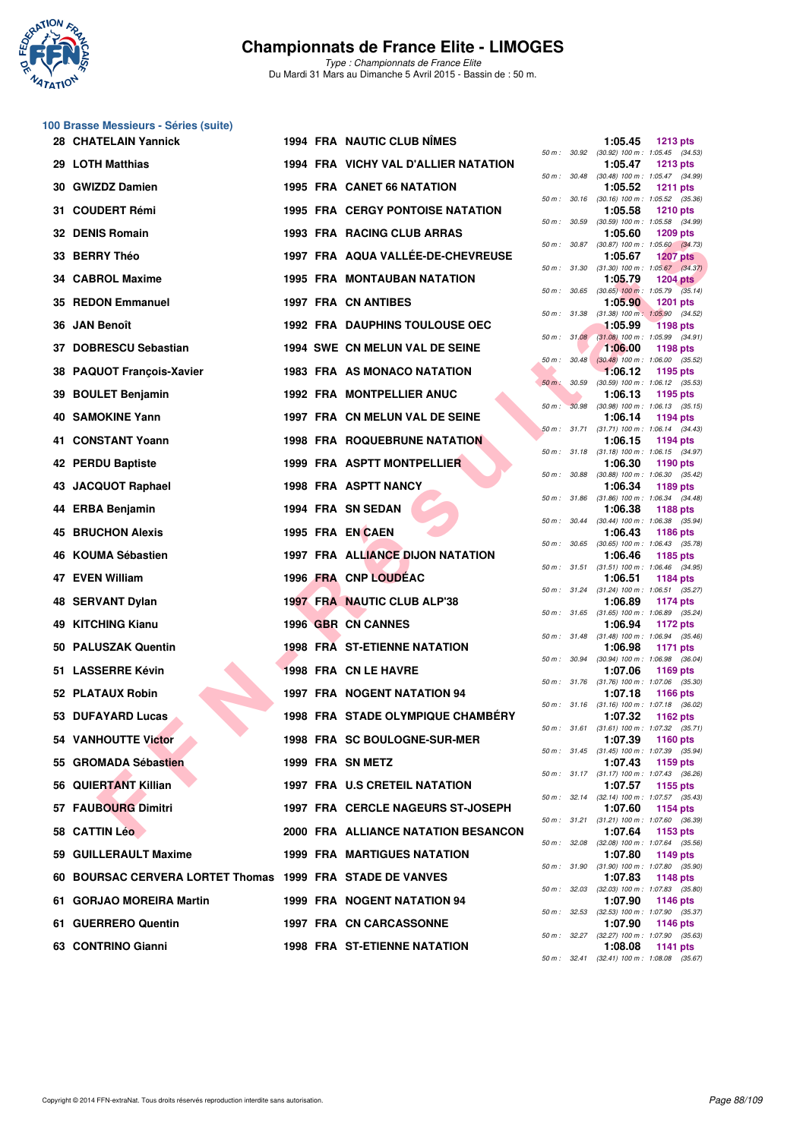

*Type : Championnats de France Elite* Du Mardi 31 Mars au Dimanche 5 Avril 2015 - Bassin de : 50 m.

#### **100 Brasse Messieurs - Séries (suite)**

|     | 28 CHATELAIN Yannick                                      |  | <b>1994 FRA NAUTIC CLUB NIMES</b>        |             |              | 1:05.45 | <b>1213 pts</b>                                                                                                |
|-----|-----------------------------------------------------------|--|------------------------------------------|-------------|--------------|---------|----------------------------------------------------------------------------------------------------------------|
|     | 29 LOTH Matthias                                          |  | 1994 FRA VICHY VAL D'ALLIER NATATION     |             |              | 1:05.47 | 50 m: 30.92 (30.92) 100 m: 1:05.45 (34.53)<br><b>1213 pts</b>                                                  |
|     | 30 GWIZDZ Damien                                          |  | 1995 FRA CANET 66 NATATION               |             | 50 m : 30.48 | 1:05.52 | $(30.48)$ 100 m : 1:05.47 $(34.99)$<br><b>1211 pts</b>                                                         |
|     | 31 COUDERT Rémi                                           |  | <b>1995 FRA CERGY PONTOISE NATATION</b>  |             | 50 m : 30.16 | 1:05.58 | $(30.16)$ 100 m : 1:05.52 $(35.36)$<br><b>1210 pts</b>                                                         |
|     | 32 DENIS Romain                                           |  | 1993 FRA RACING CLUB ARRAS               |             | 50 m : 30.59 | 1:05.60 | $(30.59)$ 100 m : 1:05.58 $(34.99)$<br><b>1209 pts</b>                                                         |
|     | 33 BERRY Théo                                             |  | 1997 FRA AQUA VALLEE-DE-CHEVREUSE        |             | 50 m : 30.87 | 1:05.67 | $(30.87)$ 100 m : 1:05.60 $(34.73)$<br><b>1207 pts</b>                                                         |
|     | 34 CABROL Maxime                                          |  | <b>1995 FRA MONTAUBAN NATATION</b>       |             | 50 m : 31.30 | 1:05.79 | $(31.30)$ 100 m : 1:05.67 $(34.37)$<br><b>1204 pts</b>                                                         |
|     | 35 REDON Emmanuel                                         |  | 1997 FRA CN ANTIBES                      |             | 50 m : 30.65 | 1:05.90 | $(30.65)$ 100 m : 1:05.79 $(35.14)$<br><b>1201 pts</b>                                                         |
|     | 36 JAN Benoît                                             |  | <b>1992 FRA DAUPHINS TOULOUSE OEC</b>    |             | 50 m : 31.38 | 1:05.99 | $(31.38)$ 100 m : 1:05.90 $(34.52)$<br><b>1198 pts</b>                                                         |
|     | 37 DOBRESCU Sebastian                                     |  | 1994 SWE CN MELUN VAL DE SEINE           |             |              | 1:06.00 | 50 m : 31.08 (31.08) 100 m : 1:05.99 (34.91)<br>1198 pts                                                       |
|     | 38 PAQUOT François-Xavier                                 |  | 1983 FRA AS MONACO NATATION              |             | 50 m: 30.48  | 1:06.12 | $(30.48)$ 100 m : 1:06.00 $(35.52)$<br>1195 pts                                                                |
|     | 39 BOULET Benjamin                                        |  | <b>1992 FRA MONTPELLIER ANUC</b>         | 50 m: 30.59 |              | 1:06.13 | $(30.59)$ 100 m : 1:06.12 $(35.53)$<br>1195 pts                                                                |
|     | <b>40 SAMOKINE Yann</b>                                   |  | 1997 FRA CN MELUN VAL DE SEINE           | 50 m :      | 30.98        | 1:06.14 | $(30.98)$ 100 m : 1:06.13 $(35.15)$<br>1194 pts                                                                |
|     | 41 CONSTANT Yoann                                         |  | <b>1998 FRA ROQUEBRUNE NATATION</b>      |             | 50 m : 31.71 | 1:06.15 | $(31.71)$ 100 m : 1:06.14 $(34.43)$<br>1194 pts                                                                |
|     | 42 PERDU Baptiste                                         |  | 1999 FRA ASPTT MONTPELLIER               |             |              | 1:06.30 | 50 m: 31.18 (31.18) 100 m: 1:06.15 (34.97)<br>1190 pts                                                         |
| 43. | <b>JACQUOT Raphael</b>                                    |  | <b>1998 FRA ASPTT NANCY</b>              |             | 50 m : 30.88 | 1:06.34 | $(30.88)$ 100 m : 1:06.30 $(35.42)$<br>1189 pts                                                                |
|     | 44 ERBA Benjamin                                          |  | 1994 FRA SN SEDAN                        |             |              | 1:06.38 | 50 m: 31.86 (31.86) 100 m: 1:06.34 (34.48)<br><b>1188 pts</b>                                                  |
|     | <b>45 BRUCHON Alexis</b>                                  |  | 1995 FRA EN CAEN                         |             |              | 1:06.43 | 50 m: 30.44 (30.44) 100 m: 1:06.38 (35.94)<br>1186 pts                                                         |
|     | 46 KOUMA Sébastien                                        |  | <b>1997 FRA ALLIANCE DIJON NATATION</b>  |             |              | 1:06.46 | 50 m: 30.65 (30.65) 100 m: 1:06.43 (35.78)<br>1185 pts                                                         |
|     | 47 EVEN William                                           |  | 1996 FRA CNP LOUDEAC                     |             | 50 m : 31.51 | 1:06.51 | $(31.51)$ 100 m : 1:06.46 $(34.95)$<br>1184 pts                                                                |
| 48  | <b>SERVANT Dylan</b>                                      |  | 1997 FRA NAUTIC CLUB ALP'38              |             |              | 1:06.89 | 50 m: 31.24 (31.24) 100 m: 1:06.51 (35.27)<br><b>1174 pts</b>                                                  |
|     | 49 KITCHING Kianu                                         |  | 1996 GBR CN CANNES                       |             |              | 1:06.94 | 50 m: 31.65 (31.65) 100 m: 1:06.89 (35.24)<br>1172 pts                                                         |
|     | 50 PALUSZAK Quentin                                       |  | <b>1998 FRA ST-ETIENNE NATATION</b>      |             |              | 1:06.98 | 50 m: 31.48 (31.48) 100 m: 1:06.94 (35.46)<br><b>1171 pts</b>                                                  |
|     | 51 LASSERRE Kévin                                         |  | 1998 FRA CN LE HAVRE                     |             |              | 1:07.06 | 50 m : 30.94 (30.94) 100 m : 1:06.98 (36.04)<br>1169 pts                                                       |
|     | 52 PLATAUX Robin                                          |  | <b>1997 FRA NOGENT NATATION 94</b>       |             |              | 1:07.18 | 50 m: 31.76 (31.76) 100 m: 1:07.06 (35.30)<br><b>1166 pts</b>                                                  |
|     | 53 DUFAYARD Lucas                                         |  | <b>1998 FRA STADE OLYMPIQUE CHAMBERY</b> |             |              | 1:07.32 | 50 m: 31.16 (31.16) 100 m: 1:07.18 (36.02)<br>1162 $pts$                                                       |
|     | <b>54 VANHOUTTE Victor</b>                                |  | 1998 FRA SC BOULOGNE-SUR-MER             |             |              | 1:07.39 | 50 m: 31.61 (31.61) 100 m: 1:07.32 (35.71)<br>1160 pts                                                         |
|     | 55 GROMADA Sébastien                                      |  | 1999 FRA SN METZ                         |             |              | 1:07.43 | 50 m: 31.45 (31.45) 100 m: 1:07.39 (35.94)<br>1159 pts                                                         |
|     | 56 QUIERTANT Killian                                      |  | <b>1997 FRA U.S CRETEIL NATATION</b>     |             |              | 1:07.57 | 50 m: 31.17 (31.17) 100 m: 1:07.43 (36.26)<br>1155 pts                                                         |
|     | 57 FAUBOURG Dimitri                                       |  | <b>1997 FRA CERCLE NAGEURS ST-JOSEPH</b> |             |              | 1:07.60 | 50 m: 32.14 (32.14) 100 m: 1:07.57 (35.43)<br>1154 pts                                                         |
|     | 58 CATTIN Léo                                             |  | 2000 FRA ALLIANCE NATATION BESANCON      |             |              | 1:07.64 | 50 m: 31.21 (31.21) 100 m: 1:07.60 (36.39)<br>1153 pts                                                         |
|     | 59 GUILLERAULT Maxime                                     |  | <b>1999 FRA MARTIGUES NATATION</b>       |             | 50 m : 32.08 | 1:07.80 | $(32.08)$ 100 m : 1:07.64 $(35.56)$<br>1149 pts                                                                |
|     | 60 BOURSAC CERVERA LORTET Thomas 1999 FRA STADE DE VANVES |  |                                          |             |              | 1:07.83 | 50 m: 31.90 (31.90) 100 m: 1:07.80 (35.90)<br><b>1148 pts</b>                                                  |
|     | 61 GORJAO MOREIRA Martin                                  |  | <b>1999 FRA NOGENT NATATION 94</b>       |             |              | 1:07.90 | 50 m : 32.03 (32.03) 100 m : 1:07.83 (35.80)<br>1146 pts                                                       |
|     | 61 GUERRERO Quentin                                       |  | 1997 FRA CN CARCASSONNE                  |             |              | 1:07.90 | 50 m: 32.53 (32.53) 100 m: 1:07.90 (35.37)<br>1146 pts                                                         |
|     | 63 CONTRINO Gianni                                        |  | <b>1998 FRA ST-ETIENNE NATATION</b>      |             |              | 1:08.08 | 50 m: 32.27 (32.27) 100 m: 1:07.90 (35.63)<br>1141 pts<br>$50 m \cdot 3241$ (3241) $100 m \cdot 10808$ (35.67) |

|          |       | 1:05.45                      | <b>1213 pts</b>                       |
|----------|-------|------------------------------|---------------------------------------|
| $50 m$ : | 30.92 | $(30.92)$ 100 m :            | 1:05.45 (34.53)                       |
| $50 m$ : | 30.48 | 1:05.47<br>$(30.48) 100 m$ : | <b>1213 pts</b><br>1:05.47 (34.99)    |
|          |       | 1:05.52                      | <b>1211 pts</b>                       |
| $50 m$ : | 30.16 | $(30.16) 100 m$ :            | 1:05.52<br>(35.36)                    |
| $50 m$ : | 30.59 | 1:05.58<br>$(30.59)$ 100 m : | 1210 pts<br>1:05.58<br>(34.99)        |
|          |       | 1:05.60                      | <b>1209 pts</b>                       |
| $50 m$ : | 30.87 | $(30.87) 100 m$ :            | 1:05.60<br>(34.73)                    |
| $50 m$ : | 31.30 | 1:05.67<br>$(31.30) 100 m$ : | <b>1207 pts</b><br>1:05.67<br>(34.37) |
|          |       | 1:05.79                      | <b>1204 pts</b>                       |
| $50 m$ : | 30.65 | $(30.65)$ 100 m :            | $1:05.79$ $(35.14)$                   |
| $50 m$ : | 31.38 | 1:05.90<br>$(31.38) 100 m$ : | <b>1201 pts</b><br>1:05.90<br>(34.52) |
|          |       | 1:05.99                      | <b>1198 pts</b>                       |
| $50 m$ : | 31.08 | $(31.08) 100 m$ :            | 1:05.99<br>(34.91)                    |
|          |       | 1:06.00                      | 1198 pts                              |
| $50 m$ : | 30.48 | $(30.48)$ 100 m :<br>1:06.12 | 1:06.00<br>(35.52)<br>1195 pts        |
| $50 m$ : | 30.59 | $(30.59)$ 100 m :            | 1:06.12<br>(35.53)                    |
|          |       | 1:06.13                      | 1195 pts                              |
| $50 m$ : | 30.98 | $(30.98) 100 m$ :<br>1:06.14 | 1:06.13<br>(35.15)<br>1194 pts        |
| $50 m$ : | 31.71 | $(31.71) 100 m$ :            | (34.43)<br>1:06.14                    |
|          |       | 1:06.15                      | 1194 pts                              |
| $50 m$ : | 31.18 | $(31.18) 100 m$ :<br>1:06.30 | 1:06.15 (34.97)<br>1190 pts           |
| $50 m$ : | 30.88 | $(30.88) 100 m$ :            | (35.42)<br>1:06.30                    |
|          |       | 1:06.34                      | 1189 pts                              |
| $50 m$ : | 31.86 | $(31.86) 100 m$ :            | 1:06.34<br>(34.48)                    |
| $50 m$ : | 30.44 | 1:06.38<br>$(30.44) 100 m$ : | 1188 pts<br>1:06.38<br>(35.94)        |
|          |       | 1:06.43                      | <b>1186 pts</b>                       |
| $50 m$ : | 30.65 | $(30.65)$ 100 m :            | 1:06.43<br>(35.78)                    |
| $50 m$ : | 31.51 | 1:06.46<br>$(31.51) 100 m$ : | 1185 pts<br>(34.95)<br>1:06.46        |
|          |       | 1:06.51                      | 1184 pts                              |
| $50 m$ : | 31.24 | $(31.24) 100 m$ :            | (35.27)<br>1:06.51                    |
| $50 m$ : | 31.65 | 1:06.89<br>$(31.65) 100 m$ : | 1174 pts<br>1:06.89 (35.24)           |
|          |       | 1:06.94                      | 1172 pts                              |
| $50 m$ : | 31.48 | $(31.48) 100 m$ :            | 1:06.94<br>(35.46)                    |
| $50 m$ : | 30.94 | 1:06.98<br>$(30.94) 100 m$ : | 1171 pts<br>1:06.98 (36.04)           |
|          |       | 1:07.06                      | 1169 pts                              |
| $50 m$ : | 31.76 | $(31.76) 100 m$ :            | 1:07.06<br>(35.30)                    |
| $50 m$ : | 31.16 | 1:07.18<br>$(31.16) 100 m$ : | <b>1166 pts</b><br>1:07.18<br>(36.02) |
|          |       | 1:07.32                      | 1162 pts                              |
| $50 m$ : | 31.61 | $(31.61)$ 100 m :            | 1:07.32<br>(35.71)                    |
| $50 m$ : | 31.45 | 1:07.39                      | 1160 pts                              |
|          |       | $(31.45)$ 100 m :<br>1:07.43 | 1:07.39<br>(35.94)<br>1159 pts        |
| $50 m$ : | 31.17 | $(31.17) 100 m$ :            | 1:07.43<br>(36.26)                    |
|          |       | 1:07.57                      | 1155 pts                              |
| $50 m$ : | 32.14 | $(32.14) 100 m$ :<br>1:07.60 | 1:07.57<br>(35.43)<br>1154 pts        |
| $50 m$ : | 31.21 | $(31.21)$ 100 m :            | 1:07.60<br>(36.39)                    |
|          |       | 1:07.64                      | 1153 pts                              |
| $50 m$ : | 32.08 | $(32.08) 100 m$ :<br>1:07.80 | 1:07.64<br>(35.56)<br>1149 pts        |
| $50 m$ : | 31.90 | $(31.90) 100 m$ :            | 1:07.80<br>(35.90)                    |
|          |       | 1:07.83                      | 1148 pts                              |
| $50 m$ : | 32.03 | (32.03) 100 m :<br>1:07.90   | 1:07.83<br>(35.80)<br>1146 pts        |
| $50 m$ : | 32.53 | $(32.53) 100 m$ :            | 1:07.90<br>(35.37)                    |
|          |       | 1:07.90                      | 1146 pts                              |
| $50 m$ : | 32.27 | $(32.27)$ 100 m :<br>1:08.08 | 1:07.90<br>(35.63)<br>1141 pts        |
| $50 m$ : | 32.41 | $(32.41)$ 100 m :            | 1:08.08<br>(35.67)                    |
|          |       |                              |                                       |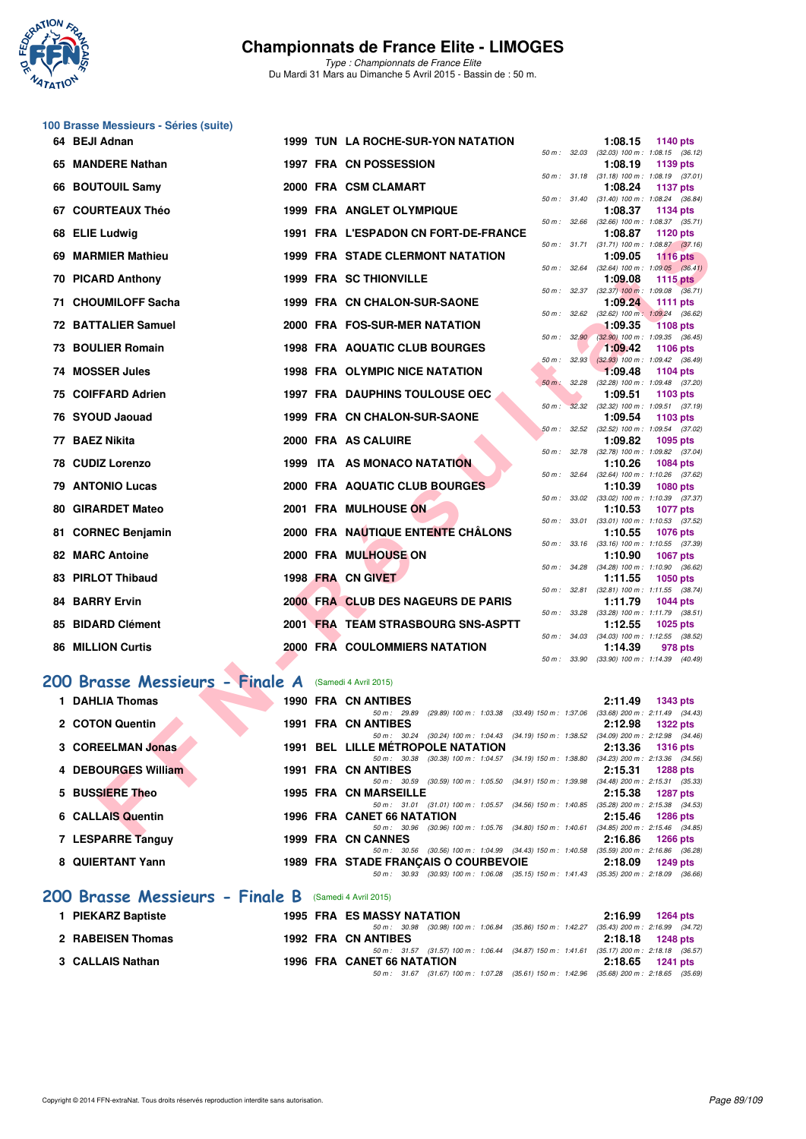

*Type : Championnats de France Elite* Du Mardi 31 Mars au Dimanche 5 Avril 2015 - Bassin de : 50 m.

|    | 100 Brasse Messieurs - Séries (suite) |  |                                                                                                                                      |                   |                                                                          |
|----|---------------------------------------|--|--------------------------------------------------------------------------------------------------------------------------------------|-------------------|--------------------------------------------------------------------------|
|    | 64 BEJI Adnan                         |  | 1999 TUN LA ROCHE-SUR-YON NATATION                                                                                                   |                   | 1:08.15<br>1140 pts                                                      |
|    | 65 MANDERE Nathan                     |  | 1997 FRA CN POSSESSION                                                                                                               |                   | 50 m: 32.03 (32.03) 100 m: 1:08.15 (36.12)<br>1:08.19<br>1139 pts        |
|    | 66 BOUTOUIL Samy                      |  | 2000 FRA CSM CLAMART                                                                                                                 |                   | 50 m: 31.18 (31.18) 100 m: 1:08.19 (37.01)<br>1:08.24<br><b>1137 pts</b> |
|    | 67 COURTEAUX Théo                     |  | <b>1999 FRA ANGLET OLYMPIQUE</b>                                                                                                     | 50 m : 31.40      | $(31.40)$ 100 m : 1:08.24 $(36.84)$<br>1:08.37<br>1134 pts               |
| 68 | <b>ELIE Ludwig</b>                    |  | 1991 FRA L'ESPADON CN FORT-DE-FRANCE                                                                                                 | 50 m: 32.66       | $(32.66)$ 100 m : 1:08.37 $(35.71)$<br>1:08.87<br><b>1120 pts</b>        |
|    | 69 MARMIER Mathieu                    |  | <b>1999 FRA STADE CLERMONT NATATION</b>                                                                                              |                   | 50 m: 31.71 (31.71) 100 m: 1:08.87 (37.16)<br>1:09.05<br><b>1116 pts</b> |
|    | 70 PICARD Anthony                     |  | <b>1999 FRA SC THIONVILLE</b>                                                                                                        | 50 m : 32.64      | $(32.64)$ 100 m : 1:09.05 $(36.41)$<br>1:09.08<br>1115 $pts$             |
|    |                                       |  |                                                                                                                                      |                   | 50 m: 32.37 (32.37) 100 m: 1:09.08 (36.71)                               |
|    | 71 CHOUMILOFF Sacha                   |  | 1999 FRA CN CHALON-SUR-SAONE                                                                                                         | 50 m: 32.62       | 1:09.24<br><b>1111 pts</b><br>(32.62) 100 m: 1:09.24 (36.62)             |
|    | 72 BATTALIER Samuel                   |  | 2000 FRA FOS-SUR-MER NATATION                                                                                                        | 50 m: 32.90       | 1:09.35<br><b>1108 pts</b><br>$(32.90)$ 100 m : 1:09.35 $(36.45)$        |
|    | <b>73 BOULIER Romain</b>              |  | <b>1998 FRA AQUATIC CLUB BOURGES</b>                                                                                                 | 32.93<br>50 m :   | 1:09.42<br><b>1106 pts</b><br>$(32.93)$ 100 m : 1:09.42 $(36.49)$        |
|    | 74 MOSSER Jules                       |  | 1998 FRA OLYMPIC NICE NATATION                                                                                                       | $50 m$ :<br>32.28 | 1:09.48<br>1104 pts<br>(32.28) 100 m: 1:09.48 (37.20)                    |
|    | 75 COIFFARD Adrien                    |  | <b>1997 FRA DAUPHINS TOULOUSE OEC</b>                                                                                                | $50 m$ :          | 1:09.51<br>1103 pts<br>32.32 (32.32) 100 m: 1:09.51 (37.19)              |
|    | 76 SYOUD Jaouad                       |  | 1999 FRA CN CHALON-SUR-SAONE                                                                                                         | 50 m: 32.52       | 1:09.54<br>1103 pts                                                      |
|    | 77 BAEZ Nikita                        |  | 2000 FRA AS CALUIRE                                                                                                                  |                   | (32.52) 100 m: 1:09.54 (37.02)<br>1:09.82<br>1095 pts                    |
|    | 78 CUDIZ Lorenzo                      |  | 1999 ITA AS MONACO NATATION                                                                                                          |                   | 50 m: 32.78 (32.78) 100 m: 1:09.82 (37.04)<br>1:10.26<br>1084 pts        |
|    | <b>79 ANTONIO Lucas</b>               |  | 2000 FRA AQUATIC CLUB BOURGES                                                                                                        | 50 m : 32.64      | (32.64) 100 m: 1:10.26 (37.62)<br>1:10.39<br><b>1080 pts</b>             |
|    | 80 GIRARDET Mateo                     |  | 2001 FRA MULHOUSE ON                                                                                                                 | 50 m : 33.02      | (33.02) 100 m: 1:10.39 (37.37)<br>1:10.53<br><b>1077 pts</b>             |
|    | 81 CORNEC Benjamin                    |  | 2000 FRA NAUTIQUE ENTENTE CHÂLONS                                                                                                    | 50 m : 33.01      | $(33.01)$ 100 m : 1:10.53 $(37.52)$<br>1:10.55<br>1076 pts               |
|    | <b>82 MARC Antoine</b>                |  | 2000 FRA MULHOUSE ON                                                                                                                 |                   | 50 m: 33.16 (33.16) 100 m: 1:10.55 (37.39)<br>1:10.90<br><b>1067 pts</b> |
|    | 83 PIRLOT Thibaud                     |  | <b>1998 FRA CN GIVET</b>                                                                                                             |                   | 50 m: 34.28 (34.28) 100 m: 1:10.90 (36.62)<br>1:11.55<br><b>1050 pts</b> |
|    | <b>84 BARRY Ervin</b>                 |  | 2000 FRA CLUB DES NAGEURS DE PARIS                                                                                                   | 50 m : 32.81      | $(32.81)$ 100 m : 1:11.55 $(38.74)$<br>1:11.79<br>1044 pts               |
|    | 85 BIDARD Clément                     |  | 2001 FRA TEAM STRASBOURG SNS-ASPTT                                                                                                   |                   | 50 m: 33.28 (33.28) 100 m: 1:11.79 (38.51)                               |
|    |                                       |  |                                                                                                                                      | 50 m : 34.03      | 1:12.55<br><b>1025 pts</b><br>(34.03) 100 m: 1:12.55 (38.52)             |
|    | <b>86 MILLION Curtis</b>              |  | 2000 FRA COULOMMIERS NATATION                                                                                                        | 50 m : 33.90      | 1:14.39<br>978 pts<br>(33.90) 100 m: 1:14.39 (40.49)                     |
|    | 200 Brasse Messieurs - Finale A       |  | (Samedi 4 Avril 2015)                                                                                                                |                   |                                                                          |
|    | 1 DAHLIA Thomas                       |  | 1990 FRA CN ANTIBES                                                                                                                  |                   | 2:11.49<br><b>1343 pts</b>                                               |
|    | 2 COTON Quentin                       |  | 50 m: 29.89 (29.89) 100 m: 1:03.38 (33.49) 150 m: 1:37.06<br><b>1991 FRA CN ANTIBES</b>                                              |                   | $(33.68)$ 200 m : 2:11.49 $(34.43)$<br>2:12.98<br>1322 pts               |
|    | 3 COREELMAN Jonas                     |  | 50 m: 30.24 (30.24) 100 m: 1:04.43 (34.19) 150 m: 1:38.52 (34.09) 200 m: 2:12.98 (34.46)<br><b>1991 BEL LILLE METROPOLE NATATION</b> |                   | 2:13.36<br><b>1316 pts</b>                                               |
|    | 4 DEBOURGES William                   |  | 50 m: 30.38 (30.38) 100 m: 1:04.57 (34.19) 150 m: 1:38.80 (34.23) 200 m: 2:13.36 (34.56)<br>1991 FRA CN ANTIBES                      |                   | 2:15.31<br><b>1288 pts</b>                                               |
|    | 5 BUSSIERE Theo                       |  | 50 m : 30.59 (30.59) 100 m : 1:05.50 (34.91) 150 m : 1:39.98<br><b>1995 FRA CN MARSEILLE</b>                                         |                   | $(34.48)$ 200 m : 2:15.31 $(35.33)$<br>2:15.38<br><b>1287 pts</b>        |
|    | 6 CALLAIS Quentin                     |  | 50 m: 31.01 (31.01) 100 m: 1:05.57 (34.56) 150 m: 1:40.85 (35.28) 200 m: 2:15.38 (34.53)<br>1996 FRA CANET 66 NATATION               |                   | 2:15.46<br><b>1286 pts</b>                                               |
|    | $7.1$ CCDADDE $T_{2221}$              |  | 50 m: 30.96 (30.96) 100 m: 1:05.76 (34.80) 150 m: 1:40.61 (34.85) 200 m: 2:15.46 (34.85)<br>$1000$ CDA ON OANNEC                     |                   | $0.4000 - 4000$                                                          |

# 200 Brasse Messieurs - Finale 4

| 200 Brasse Messieurs - Finale A | (Samedi 4 Avril 2015)                                                                    |                                     |
|---------------------------------|------------------------------------------------------------------------------------------|-------------------------------------|
| <b>DAHLIA Thomas</b>            | 1990 FRA CN ANTIBES                                                                      | 2:11.49<br><b>1343 pts</b>          |
|                                 | (29.89) 100 m : 1:03.38 (33.49) 150 m : 1:37.06<br>$50 \text{ m}$ : 29.89                | $(33.68)$ 200 m : 2:11.49 $(34.43)$ |
| 2 COTON Quentin                 | 1991 FRA CN ANTIBES                                                                      | 2:12.98<br><b>1322 pts</b>          |
|                                 | 50 m : 30.24 (30.24) 100 m : 1:04.43 (34.19) 150 m : 1:38.52                             | $(34.09)$ 200 m : 2:12.98 $(34.46)$ |
| 3 COREELMAN Jonas               | <b>1991 BEL LILLE METROPOLE NATATION</b>                                                 | 2:13.36<br><b>1316 pts</b>          |
|                                 | (30.38) 100 m : 1:04.57 (34.19) 150 m : 1:38.80<br>$50 \text{ m}$ : $30.38$              | $(34.23)$ 200 m : 2:13.36 $(34.56)$ |
| 4 DEBOURGES William             | 1991 FRA CN ANTIBES                                                                      | 2:15.31<br><b>1288 pts</b>          |
|                                 | 50 m: 30.59 (30.59) 100 m: 1:05.50 (34.91) 150 m: 1:39.98                                | $(34.48)$ 200 m : 2:15.31 $(35.33)$ |
| 5 BUSSIERE Theo                 | <b>1995 FRA CN MARSEILLE</b>                                                             | 2:15.38<br>1287 pts                 |
|                                 | 50 m: 31.01 (31.01) 100 m: 1:05.57 (34.56) 150 m: 1:40.85                                | $(35.28)$ 200 m : 2:15.38 $(34.53)$ |
| 6 CALLAIS Quentin               | <b>1996 FRA CANET 66 NATATION</b>                                                        | 2:15.46<br>1286 pts                 |
|                                 | $(30.96)$ 100 m : 1:05.76 $(34.80)$ 150 m : 1:40.61<br>$50 \text{ m}$ : $30.96$          | $(34.85)$ 200 m : 2:15.46 $(34.85)$ |
| 7 LESPARRE Tanguy               | 1999 FRA CN CANNES                                                                       | 2:16.86<br>1266 pts                 |
|                                 | 50 m: 30.56 (30.56) 100 m: 1:04.99 (34.43) 150 m: 1:40.58                                | $(35.59)$ 200 m : 2:16.86 $(36.28)$ |
| 8 QUIERTANT Yann                | 1989 FRA STADE FRANCAIS O COURBEVOIE                                                     | 2:18.09<br>1249 pts                 |
|                                 | 50 m: 30.93 (30.93) 100 m: 1:06.08 (35.15) 150 m: 1:41.43 (35.35) 200 m: 2:18.09 (36.66) |                                     |
| 200 Brasse Messieurs - Finale B | (Samedi 4 Avril 2015)                                                                    |                                     |

| 1 PIEKARZ Baptiste |  | <b>1995 FRA ES MASSY NATATION</b>                                                            | 2:16.99 1264 pts   |
|--------------------|--|----------------------------------------------------------------------------------------------|--------------------|
|                    |  | 50 m : 30.98 (30.98) 100 m : 1:06.84 (35.86) 150 m : 1:42.27 (35.43) 200 m : 2:16.99 (34.72) |                    |
| 2 RABEISEN Thomas  |  | 1992 FRA CN ANTIBES                                                                          | 2:18.18 1248 pts   |
|                    |  | 50 m: 31.57 (31.57) 100 m: 1:06.44 (34.87) 150 m: 1:41.61 (35.17) 200 m: 2:18.18 (36.57)     |                    |
| 3 CALLAIS Nathan   |  | 1996 FRA CANET 66 NATATION                                                                   | $2:18.65$ 1241 pts |
|                    |  | 50 m : 31.67 (31.67) 100 m : 1:07.28 (35.61) 150 m : 1:42.96 (35.68) 200 m : 2:18.65 (35.69) |                    |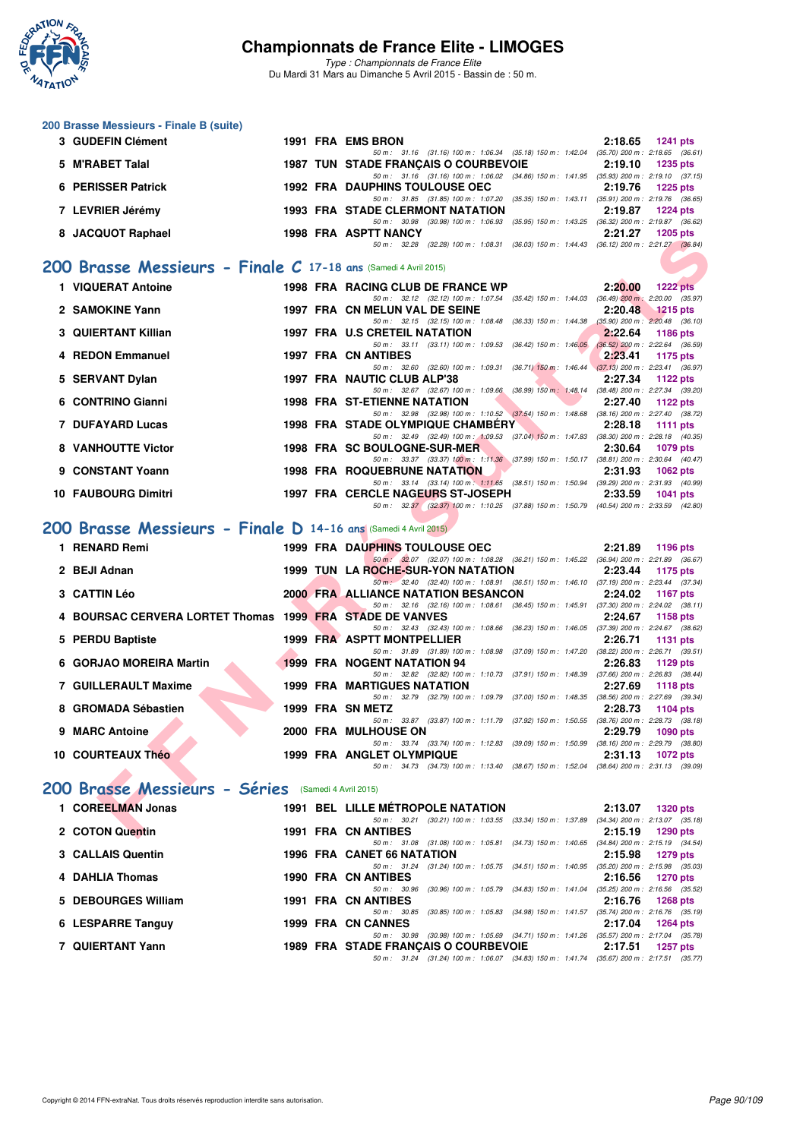

**200 Brasse Messieurs - Finale B (suite)**

## **Championnats de France Elite - LIMOGES**

| 3 GUDEFIN Clément                                               |  | 1991 FRA EMS BRON                                                                                                                       | 2:18.65 | <b>1241 pts</b>    |
|-----------------------------------------------------------------|--|-----------------------------------------------------------------------------------------------------------------------------------------|---------|--------------------|
| 5 M'RABET Talal                                                 |  | 50 m: 31.16 (31.16) 100 m: 1:06.34 (35.18) 150 m: 1:42.04 (35.70) 200 m: 2:18.65 (36.61)<br><b>1987 TUN STADE FRANCAIS O COURBEVOIE</b> | 2:19.10 | 1235 pts           |
| 6 PERISSER Patrick                                              |  | 50 m: 31.16 (31.16) 100 m: 1:06.02 (34.86) 150 m: 1:41.95 (35.93) 200 m: 2:19.10 (37.15)<br><b>1992 FRA DAUPHINS TOULOUSE OEC</b>       | 2:19.76 | <b>1225 pts</b>    |
| 7 LEVRIER Jérémy                                                |  | 50 m: 31.85 (31.85) 100 m: 1:07.20 (35.35) 150 m: 1:43.11 (35.91) 200 m: 2:19.76 (36.65)<br><b>1993 FRA STADE CLERMONT NATATION</b>     | 2:19.87 | <b>1224 pts</b>    |
|                                                                 |  | 50 m: 30.98 (30.98) 100 m: 1.06.93 (35.95) 150 m: 1.43.25 (36.32) 200 m: 2.19.87 (36.62)                                                |         |                    |
| 8 JACQUOT Raphael                                               |  | <b>1998 FRA ASPTT NANCY</b><br>50 m: 32.28 (32.28) 100 m: 1:08.31 (36.03) 150 m: 1:44.43 (36.12) 200 m: 2:21.27 (36.84)                 | 2:21.27 | $1205$ pts         |
| 200 Brasse Messieurs - Finale C 17-18 ans (Samedi 4 Avril 2015) |  |                                                                                                                                         |         |                    |
| 1 VIQUERAT Antoine                                              |  | 1998 FRA RACING CLUB DE FRANCE WP                                                                                                       | 2:20.00 | <b>1222 pts</b>    |
|                                                                 |  | 50 m: 32.12 (32.12) 100 m: 1.07.54 (35.42) 150 m: 1.44.03 (36.49) 200 m: 2.20.00 (35.97)                                                | 2:20.48 |                    |
| 2 SAMOKINE Yann                                                 |  | 1997 FRA CN MELUN VAL DE SEINE<br>50 m: 32.15 (32.15) 100 m: 1.08.48 (36.33) 150 m: 1.44.38 (35.90) 200 m: 2.20.48 (36.10)              |         | $1215$ pts         |
| <b>3 QUIERTANT Killian</b>                                      |  | 1997 FRA U.S CRETEIL NATATION<br>50 m: 33.11 (33.11) 100 m: 1:09.53 (36.42) 150 m: 1:46.05 (36.52) 200 m: 2:22.64 (36.59)               | 2:22.64 | <b>1186 pts</b>    |
| 4 REDON Emmanuel                                                |  | <b>1997 FRA CN ANTIBES</b><br>50 m: 32.60 (32.60) 100 m: 1:09.31 (36.71) 150 m: 1:46.44 (37.13) 200 m: 2:23.41 (36.97)                  | 2:23.41 | 1175 pts           |
| 5 SERVANT Dylan                                                 |  | 1997 FRA NAUTIC CLUB ALP'38                                                                                                             | 2:27.34 | 1122 pts           |
| 6 CONTRINO Gianni                                               |  | 50 m: 32.67 (32.67) 100 m: 1:09.66 (36.99) 150 m: 1:48.14 (38.48) 200 m: 2:27.34 (39.20)<br><b>1998 FRA ST-ETIENNE NATATION</b>         | 2:27.40 | 1122 pts           |
| 7 DUFAYARD Lucas                                                |  | 50 m: 32.98 (32.98) 100 m: 1:10.52 (37.54) 150 m: 1:48.68 (38.16) 200 m: 2:27.40 (38.72)<br><b>1998 FRA STADE OLYMPIQUE CHAMBERY</b>    | 2:28.18 | <b>1111 pts</b>    |
| 8 VANHOUTTE Victor                                              |  | 50 m: 32.49 (32.49) 100 m: 1:09.53 (37.04) 150 m: 1:47.83 (38.30) 200 m: 2:28.18 (40.35)<br>1998 FRA SC BOULOGNE-SUR-MER                | 2:30.64 |                    |
|                                                                 |  | 50 m: 33.37 (33.37) 100 m: 1:11.36 (37.99) 150 m: 1:50.17 (38.81) 200 m: 2:30.64 (40.47)                                                |         | <b>1079 pts</b>    |
| 9 CONSTANT Yoann                                                |  | <b>1998 FRA ROQUEBRUNE NATATION</b><br>50 m: 33.14 (33.14) 100 m: 1:11.65 (38.51) 150 m: 1:50.94 (39.29) 200 m: 2:31.93 (40.99)         | 2:31.93 | <b>1062 pts</b>    |
| <b>10 FAUBOURG Dimitri</b>                                      |  | 1997 FRA CERCLE NAGEURS ST-JOSEPH<br>50 m: 32.37 (32.37) 100 m: 1:10.25 (37.88) 150 m: 1:50.79 (40.54) 200 m: 2:33.59 (42.80)           | 2:33.59 | <b>1041 pts</b>    |
| 200 Brasse Messieurs - Finale D 14-16 ans (Samedi 4 Avril 2015) |  |                                                                                                                                         |         |                    |
|                                                                 |  |                                                                                                                                         |         |                    |
| 1 RENARD Remi                                                   |  | 1999 FRA DAUPHINS TOULOUSE OEC<br>50 m: 32.07 (32.07) 100 m: 1:08.28 (36.21) 150 m: 1:45.22 (36.94) 200 m: 2:21.89 (36.67)              | 2:21.89 | 1196 pts           |
| 2 BEJI Adnan                                                    |  | 1999 TUN LA ROCHE-SUR-YON NATATION<br>50 m: 32.40 (32.40) 100 m: 1:08.91 (36.51) 150 m: 1:46.10 (37.19) 200 m: 2:23.44 (37.34)          | 2:23.44 | 1175 pts           |
| <b>3 CATTIN Léo</b>                                             |  | <b>2000 FRA ALLIANCE NATATION BESANCON</b><br>50 m: 32.16 (32.16) 100 m: 1:08.61 (36.45) 150 m: 1:45.91 (37.30) 200 m: 2:24.02 (38.11)  | 2:24.02 | <b>1167 pts</b>    |
| 4 BOURSAC CERVERA LORTET Thomas 1999 FRA STADE DE VANVES        |  |                                                                                                                                         | 2:24.67 | 1158 pts           |
| 5 PERDU Baptiste                                                |  | 50 m: 32.43 (32.43) 100 m: 1:08.66 (36.23) 150 m: 1:46.05 (37.39) 200 m: 2:24.67 (38.62)<br>1999 FRA ASPTT MONTPELLIER                  | 2:26.71 | <b>1131 pts</b>    |
| 6 GORJAO MOREIRA Martin                                         |  | 50 m: 31.89 (31.89) 100 m: 1:08.98 (37.09) 150 m: 1:47.20 (38.22) 200 m: 2:26.71 (39.51)<br><b>1999 FRA NOGENT NATATION 94</b>          | 2:26.83 | 1129 pts           |
| 7 GUILLERAULT Maxime                                            |  | 50 m: 32.82 (32.82) 100 m: 1:10.73 (37.91) 150 m: 1:48.39 (37.66) 200 m: 2:26.83 (38.44)<br><b>1999 FRA MARTIGUES NATATION</b>          |         |                    |
|                                                                 |  | 50 m: 32.79 (32.79) 100 m: 1:09.79 (37.00) 150 m: 1:48.35 (38.56) 200 m: 2:27.69 (39.34)                                                | 2:27.69 | <b>1118 pts</b>    |
| 8 GROMADA Sébastien                                             |  | 1999 FRA SN METZ<br>50 m: 33.87 (33.87) 100 m: 1:11.79 (37.92) 150 m: 1:50.55 (38.76) 200 m: 2:28.73 (38.18)                            | 2:28.73 | 1104 pts           |
| 9 MARC Antoine                                                  |  | 2000 FRA MULHOUSE ON<br>50 m: 33.74 (33.74) 100 m: 1:12.83 (39.09) 150 m: 1:50.99 (38.16) 200 m: 2:29.79 (38.80)                        | 2:29.79 | <b>1090 pts</b>    |
| 10 COURTEAUX Théo                                               |  | 1999 FRA ANGLET OLYMPIQUE                                                                                                               |         | $2:31.13$ 1072 pts |
|                                                                 |  | 50 m: 34.73 (34.73) 100 m: 1:13.40 (38.67) 150 m: 1:52.04 (38.64) 200 m: 2:31.13 (39.09)                                                |         |                    |
| 200 Brasse Messieurs - Séries (Samedi 4 Avril 2015)             |  |                                                                                                                                         |         |                    |
| 1 COREELMAN Jonas                                               |  | <b>1991 BEL LILLE METROPOLE NATATION</b><br>50 m: 30.21 (30.21) 100 m: 1:03.55 (33.34) 150 m: 1:37.89 (34.34) 200 m: 2:13.07 (35.18)    | 2:13.07 | 1320 pts           |
| 2 COTON Quentin                                                 |  | 1991 FRA CN ANTIBES<br>50 m: 31.08 (31.08) 100 m: 1:05.81 (34.73) 150 m: 1:40.65 (34.84) 200 m: 2:15.19 (34.54)                         | 2:15.19 | <b>1290 pts</b>    |
| 3 CALLAIS Quentin                                               |  | 1996 FRA CANET 66 NATATION                                                                                                              | 2:15.98 | 1279 pts           |
| 4 DAHLIA Thomas                                                 |  | 50 m: 31.24 (31.24) 100 m: 1:05.75 (34.51) 150 m: 1:40.95 (35.20) 200 m: 2:15.98 (35.03)<br><b>1990 FRA CN ANTIBES</b>                  | 2:16.56 | <b>1270 pts</b>    |
| 5 DEBOURGES William                                             |  | 50 m: 30.96 (30.96) 100 m: 1.05.79 (34.83) 150 m: 1.41.04 (35.25) 200 m: 2.16.56 (35.52)<br><b>1991 FRA CN ANTIBES</b>                  | 2:16.76 | <b>1268 pts</b>    |
|                                                                 |  | 50 m: 30.85 (30.85) 100 m: 1:05.83 (34.98) 150 m: 1:41.57 (35.74) 200 m: 2:16.76 (35.19)                                                |         |                    |
| 6 LESPARRE Tanguy                                               |  | 1999 FRA CN CANNES<br>50 m: 30.98 (30.98) 100 m: 1:05.69 (34.71) 150 m: 1:41.26 (35.57) 200 m: 2:17.04 (35.78)                          | 2:17.04 | 1264 pts           |
| 7 QUIERTANT Yann                                                |  | 1989 FRA STADE FRANÇAIS O COURBEVOIE<br>50 m: 31.24 (31.24) 100 m: 1:06.07 (34.83) 150 m: 1:41.74 (35.67) 200 m: 2:17.51 (35.77)        | 2:17.51 | 1257 pts           |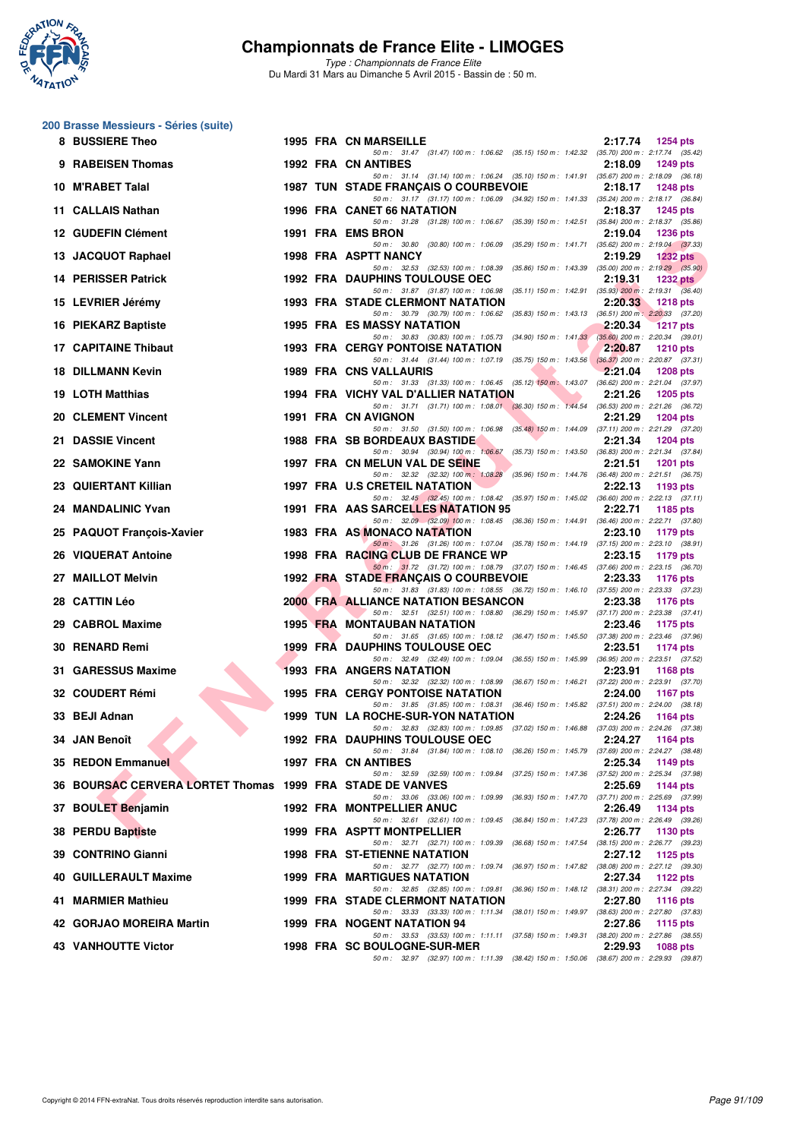

*Type : Championnats de France Elite* Du Mardi 31 Mars au Dimanche 5 Avril 2015 - Bassin de : 50 m.

## **200 Brasse Messieurs - Séries (suite)**

| 8 BUSSIERE Theo                                           |  | 1995 FRA CN MARSEILLE                                                                                                                                                                                                      | 2:17.74                                        | 1254 pts        |
|-----------------------------------------------------------|--|----------------------------------------------------------------------------------------------------------------------------------------------------------------------------------------------------------------------------|------------------------------------------------|-----------------|
| 9 RABEISEN Thomas                                         |  | 50 m: 31.47 (31.47) 100 m: 1.06.62 (35.15) 150 m: 1.42.32 (35.70) 200 m: 2.17.74 (35.42)<br><b>1992 FRA CN ANTIBES</b>                                                                                                     | 2:18.09                                        | <b>1249 pts</b> |
| 10 M'RABET Talal                                          |  | 50 m: 31.14 (31.14) 100 m: 1:06.24 (35.10) 150 m: 1:41.91 (35.67) 200 m: 2:18.09 (36.18)<br>1987 TUN STADE FRANÇAIS O COURBEVOIE                                                                                           | 2:18.17                                        | <b>1248 pts</b> |
| 11 CALLAIS Nathan                                         |  | 50 m: 31.17 (31.17) 100 m: 1.06.09 (34.92) 150 m: 1.41.33 (35.24) 200 m: 2.18.17 (36.84)<br>1996 FRA CANET 66 NATATION                                                                                                     | 2:18.37                                        | <b>1245 pts</b> |
| 12 GUDEFIN Clément                                        |  | 50 m: 31.28 (31.28) 100 m: 1:06.67 (35.39) 150 m: 1:42.51 (35.84) 200 m: 2:18.37 (35.86)<br>1991 FRA EMS BRON                                                                                                              | 2:19.04                                        | <b>1236 pts</b> |
| 13 JACQUOT Raphael                                        |  | 50 m: 30.80 (30.80) 100 m: 1:06.09 (35.29) 150 m: 1:41.71 (35.62) 200 m: 2:19.04 (37.33)<br>1998 FRA ASPTT NANCY                                                                                                           | 2:19.29                                        | <b>1232 pts</b> |
| 14 PERISSER Patrick                                       |  | 50 m: 32.53 (32.53) 100 m: 1:08.39 (35.86) 150 m: 1:43.39 (35.00) 200 m: 2:19.29 (35.90)<br><b>1992 FRA DAUPHINS TOULOUSE OEC</b>                                                                                          | 2:19.31                                        | <b>1232 pts</b> |
| 15 LEVRIER Jérémy                                         |  | 50 m: 31.87 (31.87) 100 m: 1:06.98 (35.11) 150 m: 1:42.91 (35.93) 200 m: 2:19.31 (36.40)<br><b>1993 FRA STADE CLERMONT NATATION</b>                                                                                        | 2:20.33                                        | <b>1218 pts</b> |
| 16 PIEKARZ Baptiste                                       |  | 50 m: 30.79 (30.79) 100 m: 1:06.62 (35.83) 150 m: 1:43.13 (36.51) 200 m: 2:20.33 (37.20)<br>1995 FRA ES MASSY NATATION                                                                                                     | 2:20.34                                        | <b>1217 pts</b> |
| 17 CAPITAINE Thibaut                                      |  | 50 m: 30.83 (30.83) 100 m: 1:05.73 (34.90) 150 m: 1:41.33 (35.60) 200 m: 2:20.34 (39.01)<br><b>1993 FRA CERGY PONTOISE NATATION</b>                                                                                        | 2:20.87                                        | <b>1210 pts</b> |
| <b>18 DILLMANN Kevin</b>                                  |  | 50 m: 31.44 (31.44) 100 m: 1:07.19 (35.75) 150 m: 1:43.56 (36.37) 200 m: 2:20.87 (37.31)<br>1989 FRA CNS VALLAURIS                                                                                                         | 2:21.04                                        | <b>1208 pts</b> |
| <b>19 LOTH Matthias</b>                                   |  | 50 m: 31.33 (31.33) 100 m: 1:06.45 (35.12) 150 m: 1:43.07 (36.62) 200 m: 2:21.04 (37.97)<br>1994 FRA VICHY VAL D'ALLIER NATATION                                                                                           | 2:21.26                                        | <b>1205 pts</b> |
| 20 CLEMENT Vincent                                        |  | 50 m: 31.71 (31.71) 100 m: 1:08.01 (36.30) 150 m: 1:44.54 (36.53) 200 m: 2:21.26 (36.72)<br>1991 FRA CN AVIGNON                                                                                                            | 2:21.29                                        | <b>1204 pts</b> |
| 21 DASSIE Vincent                                         |  | 50 m: 31.50 (31.50) 100 m: 1:06.98 (35.48) 150 m: 1:44.09 (37.11) 200 m: 2:21.29 (37.20)<br><b>1988 FRA SB BORDEAUX BASTIDE</b>                                                                                            | 2:21.34                                        | <b>1204 pts</b> |
| 22 SAMOKINE Yann                                          |  | 50 m: 30.94 (30.94) 100 m: 1:06.67 (35.73) 150 m: 1:43.50 (36.83) 200 m: 2:21.34 (37.84)<br>1997 FRA CN MELUN VAL DE SEINE                                                                                                 | 2:21.51                                        | <b>1201 pts</b> |
| 23 QUIERTANT Killian                                      |  | 50 m: 32.32 (32.32) 100 m: 1:08.28 (35.96) 150 m: 1:44.76 (36.48) 200 m: 2:21.51 (36.75)<br>1997 FRA U.S CRETEIL NATATION                                                                                                  | 2:22.13                                        | 1193 pts        |
| 24 MANDALINIC Yvan                                        |  | 50 m: 32.45 (32.45) 100 m: 1:08.42 (35.97) 150 m: 1:45.02 (36.60) 200 m: 2:22.13 (37.11)<br>1991 FRA AAS SARCELLES NATATION 95                                                                                             | 2:22.71                                        | 1185 pts        |
| 25 PAQUOT François-Xavier                                 |  | 50 m: 32.09 (32.09) 100 m: 1:08.45 (36.36) 150 m: 1:44.91 (36.46) 200 m: 2:22.71 (37.80)<br>1983 FRA AS MONACO NATATION                                                                                                    | 2:23.10                                        | 1179 pts        |
| 26 VIQUERAT Antoine                                       |  | 50 m: 31.26 (31.26) 100 m: 1:07.04 (35.78) 150 m: 1:44.19 (37.15) 200 m: 2:23.10 (38.91)<br>1998 FRA RACING CLUB DE FRANCE WP                                                                                              | 2:23.15                                        | 1179 pts        |
| 27 MAILLOT Melvin                                         |  | 50 m: 31.72 (31.72) 100 m: 1.08.79 (37.07) 150 m: 1.46.45 (37.66) 200 m: 2.23.15 (36.70)<br>1992 FRA STADE FRANÇAIS O COURBEVOIE                                                                                           | 2:23.33                                        | <b>1176 pts</b> |
| 28 CATTIN Léo                                             |  | 50 m: 31.83 (31.83) 100 m: 1:08.55 (36.72) 150 m: 1:46.10 (37.55) 200 m: 2:23.33 (37.23)<br>2000 FRA ALLIANCE NATATION BESANCON                                                                                            | 2:23.38                                        | <b>1176 pts</b> |
| 29 CABROL Maxime                                          |  | 50 m: 32.51 (32.51) 100 m: 1:08.80 (36.29) 150 m: 1:45.97 (37.17) 200 m: 2:23.38 (37.41)<br>1995 FRA MONTAUBAN NATATION                                                                                                    | 2:23.46                                        | 1175 pts        |
| 30 RENARD Remi                                            |  | 50 m: 31.65 (31.65) 100 m: 1:08.12 (36.47) 150 m: 1:45.50 (37.38) 200 m: 2:23.46 (37.96)<br><b>1999 FRA DAUPHINS TOULOUSE OEC</b>                                                                                          | 2:23.51                                        | 1174 pts        |
| 31 GARESSUS Maxime                                        |  | 50 m: 32.49 (32.49) 100 m: 1:09.04 (36.55) 150 m: 1:45.99 (36.95) 200 m: 2:23.51 (37.52)<br><b>1993 FRA ANGERS NATATION</b>                                                                                                | 2:23.91                                        | 1168 pts        |
| 32 COUDERT Rémi                                           |  | 50 m: 32.32 (32.32) 100 m: 1:08.99 (36.67) 150 m: 1:46.21 (37.22) 200 m: 2:23.91 (37.70)<br><b>1995 FRA CERGY PONTOISE NATATION</b>                                                                                        | 2:24.00                                        | <b>1167 pts</b> |
| 33 BEJI Adnan                                             |  | 50 m: 31.85 (31.85) 100 m: 1:08.31 (36.46) 150 m: 1:45.82 (37.51) 200 m: 2:24.00 (38.18)<br>1999 TUN LA ROCHE-SUR-YON NATATION<br>50 m: 32.83 (32.83) 100 m: 1:09.85 (37.02) 150 m: 1:46.88 (37.03) 200 m: 2:24.26 (37.38) | 2:24.26                                        | 1164 pts        |
| 34 JAN Benoît                                             |  | 1992 FRA DAUPHINS TOULOUSE OEC                                                                                                                                                                                             | 2:24.27<br>$(37.69)$ 200 m : 2:24.27 $(38.48)$ | <b>1164 pts</b> |
| 35 REDON Emmanuel                                         |  | 50 m : 31.84 (31.84) 100 m : 1:08.10 (36.26) 150 m : 1:45.79<br>1997 FRA CN ANTIBES                                                                                                                                        | 2:25.34                                        | 1149 pts        |
| 36 BOURSAC CERVERA LORTET Thomas 1999 FRA STADE DE VANVES |  | 50 m: 32.59 (32.59) 100 m: 1:09.84 (37.25) 150 m: 1:47.36 (37.52) 200 m: 2:25.34 (37.98)<br>50 m: 33.06 (33.06) 100 m: 1:09.99<br>(36.93) 150 m : 1:47.70 (37.71) 200 m : 2:25.69 (37.99)                                  | 2:25.69                                        | 1144 pts        |
| 37 BOULET Benjamin                                        |  | 1992 FRA MONTPELLIER ANUC<br>50 m: 32.61 (32.61) 100 m: 1:09.45 (36.84) 150 m: 1:47.23 (37.78) 200 m: 2:26.49 (39.26)                                                                                                      | 2:26.49                                        | <b>1134 pts</b> |
| 38 PERDU Baptiste                                         |  | 1999 FRA ASPTT MONTPELLIER<br>50 m: 32.71 (32.71) 100 m: 1:09.39                                                                                                                                                           | 2:26.77                                        | 1130 pts        |
| 39 CONTRINO Gianni                                        |  | (36.68) 150 m : 1:47.54 (38.15) 200 m : 2:26.77 (39.23)<br><b>1998 FRA ST-ETIENNE NATATION</b>                                                                                                                             | 2:27.12                                        | 1125 pts        |
| 40 GUILLERAULT Maxime                                     |  | 50 m: 32.77 (32.77) 100 m: 1:09.74 (36.97) 150 m: 1:47.82 (38.08) 200 m: 2:27.12 (39.30)<br>1999 FRA MARTIGUES NATATION                                                                                                    | 2:27.34                                        | 1122 pts        |
| 41 MARMIER Mathieu                                        |  | 50 m : 32.85 (32.85) 100 m : 1:09.81 (36.96) 150 m : 1:48.12 (38.31) 200 m : 2:27.34 (39.22)<br><b>1999 FRA STADE CLERMONT NATATION</b>                                                                                    | 2:27.80                                        | <b>1116 pts</b> |
| 42 GORJAO MOREIRA Martin                                  |  | 50 m: 33.33 (33.33) 100 m: 1:11.34 (38.01) 150 m: 1:49.97 (38.63) 200 m: 2:27.80 (37.83)<br>1999 FRA NOGENT NATATION 94<br>50 m: 33.53 (33.53) 100 m: 1:11.11 (37.58) 150 m: 1:49.31 (38.20) 200 m: 2:27.86 (38.55)        | 2:27.86                                        | 1115 pts        |
| 43 VANHOUTTE Victor                                       |  | 1998 FRA SC BOULOGNE-SUR-MER                                                                                                                                                                                               | 2:29.93                                        | 1088 pts        |
|                                                           |  | 50 m: 32.97 (32.97) 100 m: 1:11.39 (38.42) 150 m: 1:50.06 (38.67) 200 m: 2:29.93 (39.87)                                                                                                                                   |                                                |                 |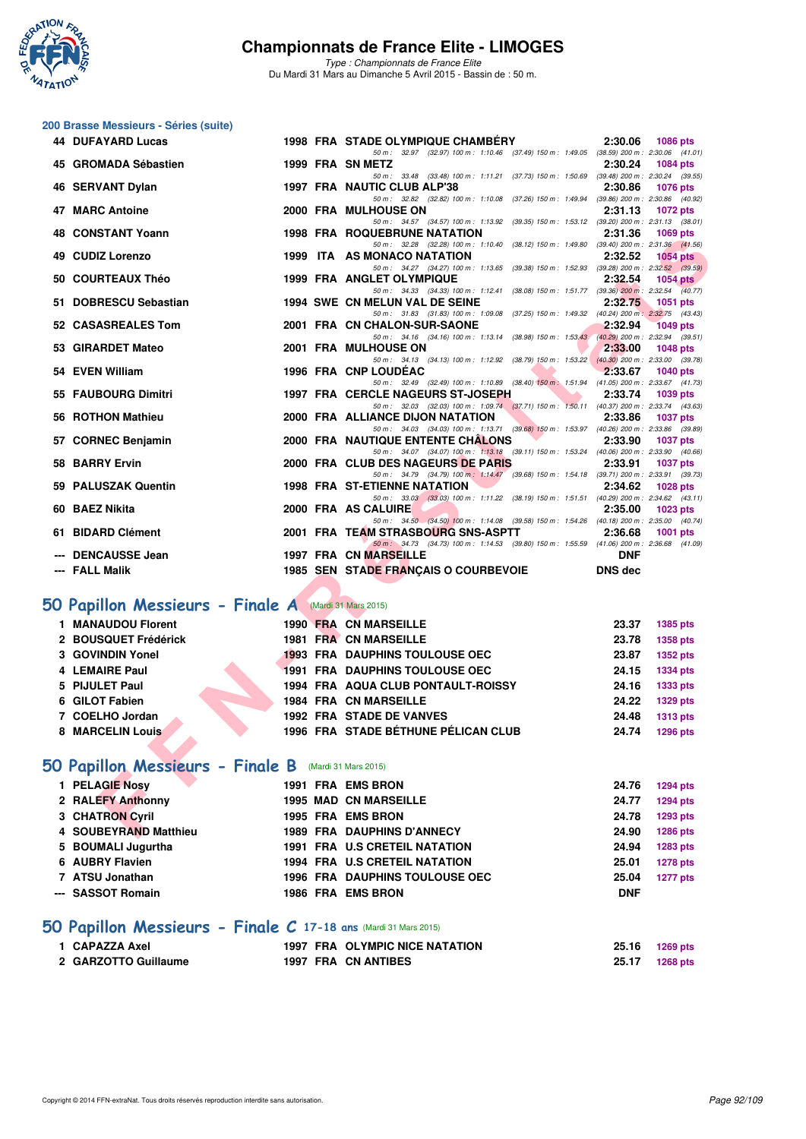

**200 Brasse Messieurs - Séries (suite)**

## **Championnats de France Elite - LIMOGES**

*Type : Championnats de France Elite* Du Mardi 31 Mars au Dimanche 5 Avril 2015 - Bassin de : 50 m.

|    | <b>44 DUFAYARD Lucas</b> |  | <b>1998 FRA STADE OLYMPIQUE CHAMBERY</b>                                                 | 2:30.06 | 1086 pts                            |
|----|--------------------------|--|------------------------------------------------------------------------------------------|---------|-------------------------------------|
|    |                          |  | 50 m: 32.97 (32.97) 100 m: 1:10.46 (37.49) 150 m: 1:49.05                                |         | $(38.59)$ 200 m : 2:30.06 $(41.01)$ |
|    | 45 GROMADA Sébastien     |  | 1999 FRA SN METZ                                                                         | 2:30.24 | 1084 pts                            |
|    |                          |  | (33.48) 100 m : 1:11.21 (37.73) 150 m : 1:50.69<br>$50 \text{ m}$ : 33.48                |         | $(39.48)$ 200 m : 2:30.24 $(39.55)$ |
|    | 46 SERVANT Dylan         |  | 1997 FRA NAUTIC CLUB ALP'38                                                              | 2:30.86 | <b>1076 pts</b>                     |
|    |                          |  | 50 m : 32.82 (32.82) 100 m : 1:10.08 (37.26) 150 m : 1:49.94                             |         | $(39.86)$ 200 m : 2:30.86 $(40.92)$ |
| 47 | <b>MARC Antoine</b>      |  | 2000 FRA MULHOUSE ON                                                                     | 2:31.13 | 1072 pts                            |
|    |                          |  | 50 m: 34.57 (34.57) 100 m: 1:13.92 (39.35) 150 m: 1:53.12 (39.20) 200 m: 2:31.13 (38.01) |         |                                     |
|    | 48 CONSTANT Yoann        |  | <b>1998 FRA ROQUEBRUNE NATATION</b>                                                      | 2:31.36 | 1069 pts                            |
|    |                          |  | 50 m: 32.28 (32.28) 100 m: 1:10.40 (38.12) 150 m: 1:49.80 (39.40) 200 m: 2:31.36 (41.56) |         |                                     |
|    | 49 CUDIZ Lorenzo         |  | 1999 ITA AS MONACO NATATION                                                              | 2:32.52 | <b>1054 pts</b>                     |
|    |                          |  | 50 m: 34.27 (34.27) 100 m: 1:13.65 (39.38) 150 m: 1:52.93                                |         | $(39.28)$ 200 m : 2:32.52 $(39.59)$ |
|    | 50 COURTEAUX Théo        |  | 1999 FRA ANGLET OLYMPIQUE                                                                | 2:32.54 | $1054$ pts                          |
|    |                          |  | 50 m: 34.33 (34.33) 100 m: 1:12.41 (38.08) 150 m: 1:51.77 (39.36) 200 m: 2:32.54 (40.77) |         |                                     |
|    | 51 DOBRESCU Sebastian    |  | <b>1994 SWE CN MELUN VAL DE SEINE</b>                                                    | 2:32.75 | 1051 pts                            |
|    |                          |  | 50 m: 31.83 (31.83) 100 m: 1:09.08 (37.25) 150 m: 1:49.32                                |         | $(40.24)$ 200 m : 2:32.75 $(43.43)$ |
|    | 52 CASASREALES Tom       |  | 2001 FRA CN CHALON-SUR-SAONE                                                             | 2:32.94 | <b>1049 pts</b>                     |
|    |                          |  | 50 m: 34.16 (34.16) 100 m: 1:13.14 (38.98) 150 m: 1:53.43 (40.29) 200 m: 2:32.94 (39.51) |         |                                     |
|    | 53 GIRARDET Mateo        |  | 2001 FRA MULHOUSE ON                                                                     | 2:33.00 | 1048 pts                            |
|    |                          |  | 50 m: 34.13 (34.13) 100 m: 1:12.92 (38.79) 150 m: 1:53.22 (40.30) 200 m: 2:33.00 (39.78) |         |                                     |
|    | 54 EVEN William          |  | 1996 FRA CNP LOUDEAC                                                                     | 2:33.67 | $1040$ pts                          |
|    |                          |  | 50 m: 32.49 (32.49) 100 m: 1:10.89 (38.40) 150 m: 1:51.94 (41.05) 200 m: 2:33.67 (41.73) |         |                                     |

STAN Tuesting and the same of the same of the same of the same of the same of the same of the same of the same of the same of the same of the same of the same of the same of the same of the same of the same of the same of **54 EVEN William 1996 FRA CNP LOUDÉAC 2:33.67 1040 pts** *50 m : 32.49 (32.49) 100 m : 1:10.89 (38.40) 150 m : 1:51.94 (41.05) 200 m : 2:33.67 (41.73)* **55 FAUBOURG Dimitri 1997 FRA CERCLE NAGEURS ST-JOSEPH 2:33.74 1039 pts** *50 m : 32.03 (32.03) 100 m : 1:09.74 (37.71) 150 m : 1:50.11 (40.37) 200 m : 2:33.74 (43.63)*<br>**ANCE DIJON NATATION** 2:33.86 1037 pts **56 ROTHON Mathieu 2000 FRA ALLIANCE DIJON NATATION 2:33.86 1037 pts** *50 m : 34.03 (34.03) 100 m : 1:13.71 (39.68) 150 m : 1:53.97 (40.26) 200 m : 2:33.86 (39.89)* 57 CORNEC Benjamin 2000 FRA NAUTIQUE ENTENTE CHÂLONS *50 m : 34.07 (34.07) 100 m : 1:13.18 (39.11) 150 m : 1:53.24 (40.06) 200 m : 2:33.90 (40.66)* **58 BARRY Ervin 2000 FRA CLUB DES NAGEURS DE PARIS 2:33.91 1037 pts** *50 m : 34.79 (34.79) 100 m : 1:14.47 (39.68) 150 m : 1:54.18 (39.71) 200 m : 2:33.91 (39.73)* **59 PALUSZAK Quentin 1998 FRA ST-ETIENNE NATATION** *50 m : 33.03 (33.03) 100 m : 1:11.22 (38.19) 150 m : 1:51.51 (40.29) 200 m : 2:34.62 (43.11)* **60 BAEZ Nikita 2000 FRA AS CALUIRE** *50 m : 34.50 (34.50) 100 m : 1:14.08 (39.58) 150 m : 1:54.26 (40.18) 200 m : 2:35.00 (40.74)* **61 BIDARD Clément 2001 FRA TEAM STRASBOURG SNS-ASPTT 2:36.68 1001 pts** *50 m : 34.73 (34.73) 100 m : 1:14.53 (39.80) 150 m : 1:55.59 (41.06) 200 m : 2:36.68 (41.09)* **--- DENCAUSSE Jean 1997 FRA CN MARSEILLE --- FALL Malik 1985 SEN STADE FRANÇAIS O COURBEVOIE DNS dec**

#### **[50 Papillon Messieurs - Finale A](http://www.ffnatation.fr/webffn/resultats.php?idact=nat&go=epr&idcpt=27187&idepr=81)** (Mardi 31 Mars 2015)

| 1 MANAUDOU Florent   |  | 1990 FRA CN MARSEILLE                     | 23.37 | 1385 pts |
|----------------------|--|-------------------------------------------|-------|----------|
| 2 BOUSQUET Frédérick |  | <b>1981 FRA CN MARSEILLE</b>              | 23.78 | 1358 pts |
| 3 GOVINDIN Yonel     |  | <b>1993 FRA DAUPHINS TOULOUSE OEC</b>     | 23.87 | 1352 pts |
| 4 LEMAIRE Paul       |  | 1991 FRA DAUPHINS TOULOUSE OEC            | 24.15 | 1334 pts |
| 5 PIJULET Paul       |  | <b>1994 FRA AQUA CLUB PONTAULT-ROISSY</b> | 24.16 | 1333 pts |
| 6 GILOT Fabien       |  | <b>1984 FRA CN MARSEILLE</b>              | 24.22 | 1329 pts |
| 7 COELHO Jordan      |  | <b>1992 FRA STADE DE VANVES</b>           | 24.48 | 1313 pts |
| 8 MARCELIN Louis     |  | 1996 FRA STADE BÉTHUNE PÉLICAN CLUB       | 24.74 | 1296 pts |
|                      |  |                                           |       |          |

#### **[50 Papillon Messieurs - Finale B](http://www.ffnatation.fr/webffn/resultats.php?idact=nat&go=epr&idcpt=27187&idepr=81)** (Mardi 31 Mars 2015)

| 1 PELAGIE Nosy                                                  | 1991 FRA EMS BRON                     | 24.76      | 1294 pts        |
|-----------------------------------------------------------------|---------------------------------------|------------|-----------------|
| 2 RALEFY Anthonny                                               | <b>1995 MAD CN MARSEILLE</b>          | 24.77      | 1294 pts        |
| 3 CHATRON Cyril                                                 | 1995 FRA EMS BRON                     | 24.78      | 1293 pts        |
| 4 SOUBEYRAND Matthieu                                           | <b>1989 FRA DAUPHINS D'ANNECY</b>     | 24.90      | 1286 pts        |
| 5 BOUMALI Jugurtha                                              | <b>1991 FRA U.S CRETEIL NATATION</b>  | 24.94      | 1283 pts        |
| 6 AUBRY Flavien                                                 | <b>1994 FRA U.S CRETEIL NATATION</b>  | 25.01      | <b>1278 pts</b> |
| 7 ATSU Jonathan                                                 | <b>1996 FRA DAUPHINS TOULOUSE OEC</b> | 25.04      | <b>1277 pts</b> |
| --- SASSOT Romain                                               | 1986 FRA EMS BRON                     | <b>DNF</b> |                 |
| 50 Papillon Messieurs - Finale C 17-18 ans (Mardi 31 Mars 2015) |                                       |            |                 |

#### **1 CAPAZZA Axel 1997 FRA OLYMPIC NICE NATATION 25.16 1269 pts 2 GARZOTTO Guillaume 1997 FRA CN ANTIBES 25.17 1268 pts**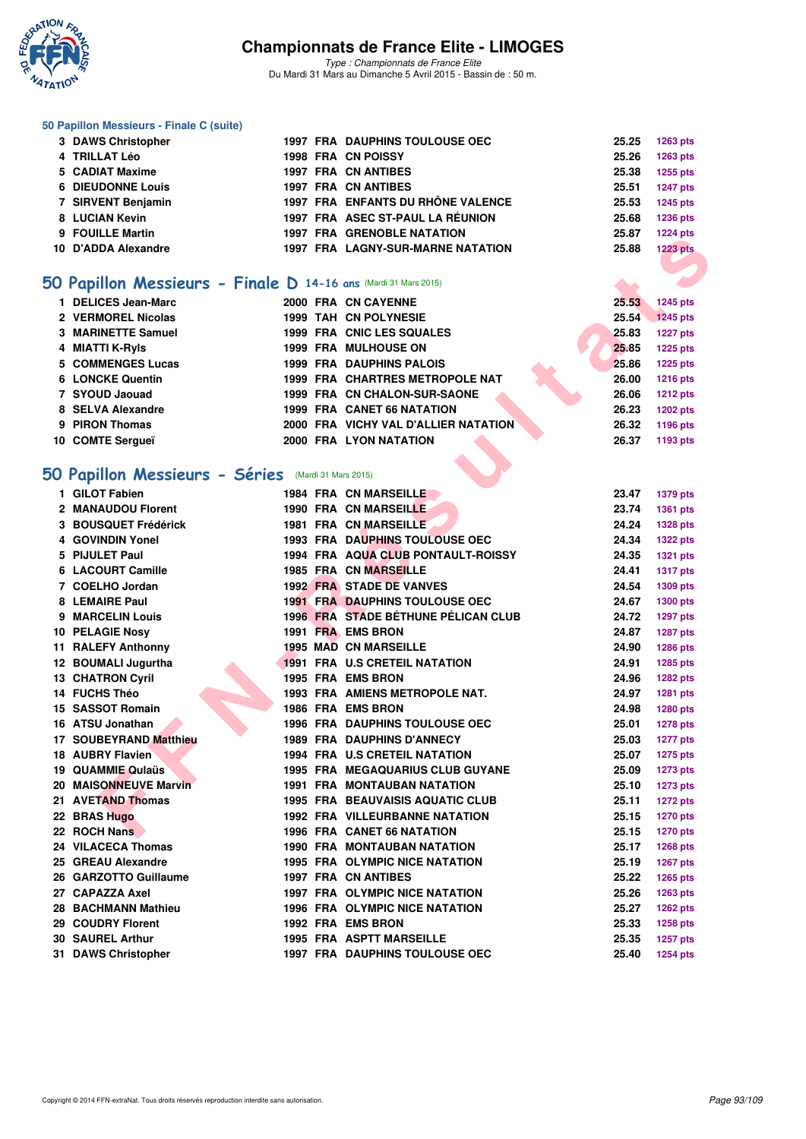

*Type : Championnats de France Elite* Du Mardi 31 Mars au Dimanche 5 Avril 2015 - Bassin de : 50 m.

#### **50 Papillon Messieurs - Finale C (suite)**

| 3 DAWS Christopher       |  | <b>1997 FRA DAUPHINS TOULOUSE OEC</b>    | 25.25 | $1263$ pts      |
|--------------------------|--|------------------------------------------|-------|-----------------|
| 4 TRILLAT Léo            |  | <b>1998 FRA CN POISSY</b>                | 25.26 | 1263 pts        |
| 5 CADIAT Maxime          |  | 1997 FRA CN ANTIBES                      | 25.38 | 1255 pts        |
| <b>6 DIEUDONNE Louis</b> |  | 1997 FRA CN ANTIBES                      | 25.51 | <b>1247 pts</b> |
| 7 SIRVENT Benjamin       |  | 1997 FRA ENFANTS DU RHÔNE VALENCE        | 25.53 | 1245 pts        |
| 8 LUCIAN Kevin           |  | 1997 FRA ASEC ST-PAUL LA RÉUNION         | 25.68 | <b>1236 pts</b> |
| 9 FOUILLE Martin         |  | <b>1997 FRA GRENOBLE NATATION</b>        | 25.87 | <b>1224 pts</b> |
| 10 D'ADDA Alexandre      |  | <b>1997 FRA LAGNY-SUR-MARNE NATATION</b> | 25.88 | <b>1223 pts</b> |
|                          |  |                                          |       |                 |

#### **[50 Papillon Messieurs - Finale D](http://www.ffnatation.fr/webffn/resultats.php?idact=nat&go=epr&idcpt=27187&idepr=81) 14-16 ans** (Mardi 31 Mars 2015)

| <b>DELICES Jean-Marc</b> |  | 2000 FRA CN CAYENNE                    | 25.53 | <b>1245 pts</b> |
|--------------------------|--|----------------------------------------|-------|-----------------|
| 2 VERMOREL Nicolas       |  | 1999 TAH CN POLYNESIE                  | 25.54 | <b>1245 pts</b> |
| 3 MARINETTE Samuel       |  | 1999 FRA CNIC LES SQUALES              | 25.83 | <b>1227 pts</b> |
| 4 MIATTI K-Ryls          |  | <b>1999 FRA MULHOUSE ON</b>            | 25.85 | <b>1225 pts</b> |
| 5 COMMENGES Lucas        |  | <b>1999 FRA DAUPHINS PALOIS</b>        | 25.86 | <b>1225 pts</b> |
| <b>6 LONCKE Quentin</b>  |  | <b>1999 FRA CHARTRES METROPOLE NAT</b> | 26.00 | <b>1216 pts</b> |
| 7 SYOUD Jaouad           |  | 1999 FRA CN CHALON-SUR-SAONE           | 26.06 | <b>1212 pts</b> |
| 8 SELVA Alexandre        |  | <b>1999 FRA CANET 66 NATATION</b>      | 26.23 | <b>1202 pts</b> |
| 9 PIRON Thomas           |  | 2000 FRA VICHY VAL D'ALLIER NATATION   | 26.32 | 1196 pts        |
| 10 COMTE Sergueï         |  | 2000 FRA LYON NATATION                 | 26.37 | 1193 pts        |
|                          |  |                                        |       |                 |

## **[50 Papillon Messieurs - Séries](http://www.ffnatation.fr/webffn/resultats.php?idact=nat&go=epr&idcpt=27187&idepr=81)** (Mardi 31 Mars 2015)

|                                                                 |  | IA GRENOBLE NATATION                     | ,ں.ں  | בוק דבבו        |
|-----------------------------------------------------------------|--|------------------------------------------|-------|-----------------|
| 10 D'ADDA Alexandre                                             |  | <b>1997 FRA LAGNY-SUR-MARNE NATATION</b> | 25.88 | <b>1223 pts</b> |
|                                                                 |  |                                          |       |                 |
| 50 Papillon Messieurs - Finale D 14-16 ans (Mardi 31 Mars 2015) |  |                                          |       |                 |
| 1 DELICES Jean-Marc                                             |  | 2000 FRA CN CAYENNE                      | 25.53 | 1245 pts        |
| 2 VERMOREL Nicolas                                              |  | 1999 TAH CN POLYNESIE                    | 25.54 | <b>1245 pts</b> |
| 3 MARINETTE Samuel                                              |  | 1999 FRA CNIC LES SQUALES                | 25.83 | <b>1227 pts</b> |
| 4 MIATTI K-Ryls                                                 |  | <b>1999 FRA MULHOUSE ON</b>              | 25.85 | <b>1225 pts</b> |
| 5 COMMENGES Lucas                                               |  | <b>1999 FRA DAUPHINS PALOIS</b>          | 25.86 | <b>1225 pts</b> |
| <b>6 LONCKE Quentin</b>                                         |  | 1999 FRA CHARTRES METROPOLE NAT          | 26.00 | <b>1216 pts</b> |
| 7 SYOUD Jaouad                                                  |  | 1999 FRA CN CHALON-SUR-SAONE             | 26.06 | <b>1212 pts</b> |
| 8 SELVA Alexandre                                               |  | <b>1999 FRA CANET 66 NATATION</b>        | 26.23 | <b>1202 pts</b> |
| 9 PIRON Thomas                                                  |  | 2000 FRA VICHY VAL D'ALLIER NATATION     | 26.32 | 1196 pts        |
| 10 COMTE Sergueï                                                |  | 2000 FRA LYON NATATION                   | 26.37 | 1193 pts        |
|                                                                 |  |                                          |       |                 |
| 50 Papillon Messieurs - Séries (Mardi 31 Mars 2015)             |  |                                          |       |                 |
| 1 GILOT Fabien                                                  |  | <b>1984 FRA CN MARSEILLE</b>             | 23.47 | <b>1379 pts</b> |
| 2 MANAUDOU Florent                                              |  | 1990 FRA CN MARSEILLE                    | 23.74 | 1361 pts        |
| 3 BOUSQUET Frédérick                                            |  | <b>1981 FRA CN MARSEILLE</b>             | 24.24 | <b>1328 pts</b> |
| 4 GOVINDIN Yonel                                                |  | 1993 FRA DAUPHINS TOULOUSE OEC           | 24.34 | <b>1322 pts</b> |
| 5 PIJULET Paul                                                  |  | 1994 FRA AQUA CLUB PONTAULT-ROISSY       | 24.35 | <b>1321 pts</b> |
| 6 LACOURT Camille                                               |  | <b>1985 FRA CN MARSEILLE</b>             | 24.41 | <b>1317 pts</b> |
| 7 COELHO Jordan                                                 |  | <b>1992 FRA STADE DE VANVES</b>          | 24.54 | 1309 pts        |
| 8 LEMAIRE Paul                                                  |  | <b>1991 FRA DAUPHINS TOULOUSE OEC</b>    | 24.67 | <b>1300 pts</b> |
| 9 MARCELIN Louis                                                |  | 1996 FRA STADE BÉTHUNE PÉLICAN CLUB      | 24.72 | <b>1297 pts</b> |
| 10 PELAGIE Nosy                                                 |  | 1991 FRA EMS BRON                        | 24.87 | <b>1287 pts</b> |
| 11 RALEFY Anthonny                                              |  | 1995 MAD CN MARSEILLE                    | 24.90 | 1286 pts        |
| 12 BOUMALI Jugurtha                                             |  | 1991 FRA U.S CRETEIL NATATION            | 24.91 | <b>1285 pts</b> |
| <b>13 CHATRON Cyril</b>                                         |  | 1995 FRA EMS BRON                        | 24.96 | <b>1282 pts</b> |
| 14 FUCHS Théo                                                   |  | 1993 FRA AMIENS METROPOLE NAT.           | 24.97 | <b>1281 pts</b> |
| 15 SASSOT Romain                                                |  | <b>1986 FRA EMS BRON</b>                 | 24.98 | 1280 pts        |
| 16 ATSU Jonathan                                                |  | 1996 FRA DAUPHINS TOULOUSE OEC           | 25.01 | <b>1278 pts</b> |
| 17 SOUBEYRAND Matthieu                                          |  | 1989 FRA DAUPHINS D'ANNECY               | 25.03 | <b>1277 pts</b> |
| 18 AUBRY Flavien                                                |  | 1994 FRA U.S CRETEIL NATATION            | 25.07 | <b>1275 pts</b> |
| 19 QUAMMIE Qulaüs                                               |  | <b>1995 FRA MEGAQUARIUS CLUB GUYANE</b>  | 25.09 | <b>1273 pts</b> |
| 20 MAISONNEUVE Marvin                                           |  | <b>1991 FRA MONTAUBAN NATATION</b>       | 25.10 | <b>1273 pts</b> |
| 21 AVETAND Thomas                                               |  | <b>1995 FRA BEAUVAISIS AQUATIC CLUB</b>  | 25.11 | <b>1272 pts</b> |
| 22 BRAS Hugo                                                    |  | <b>1992 FRA VILLEURBANNE NATATION</b>    | 25.15 | <b>1270 pts</b> |
| 22 ROCH Nans                                                    |  | <b>1996 FRA CANET 66 NATATION</b>        | 25.15 | <b>1270 pts</b> |
| 24 VILACECA Thomas                                              |  | 1990 FRA MONTAUBAN NATATION              | 25.17 | <b>1268 pts</b> |
| 25 GREAU Alexandre                                              |  | <b>1995 FRA OLYMPIC NICE NATATION</b>    | 25.19 | 1267 pts        |
| 26 GARZOTTO Guillaume                                           |  | <b>1997 FRA CN ANTIBES</b>               | 25.22 | <b>1265 pts</b> |
| 27 CAPAZZA Axel                                                 |  | 1997 FRA OLYMPIC NICE NATATION           | 25.26 | <b>1263 pts</b> |
| 28 BACHMANN Mathieu                                             |  | 1996 FRA OLYMPIC NICE NATATION           | 25.27 | <b>1262 pts</b> |
| 29 COUDRY Florent                                               |  | 1992 FRA EMS BRON                        | 25.33 | <b>1258 pts</b> |
| <b>30 SAUREL Arthur</b>                                         |  | <b>1995 FRA ASPTT MARSEILLE</b>          | 25.35 | <b>1257 pts</b> |
| 31 DAWS Christopher                                             |  | 1997 FRA DAUPHINS TOULOUSE OEC           | 25.40 | <b>1254 pts</b> |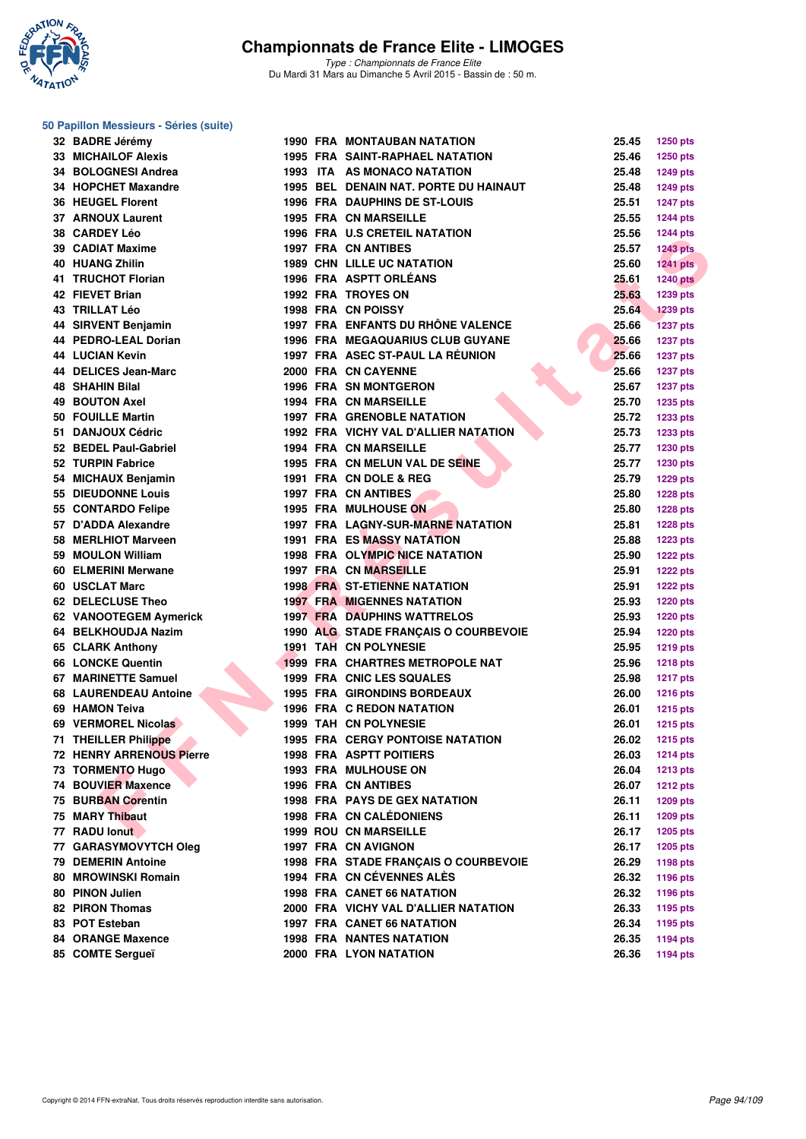

*Type : Championnats de France Elite* Du Mardi 31 Mars au Dimanche 5 Avril 2015 - Bassin de : 50 m.

#### **50 Papillon Messieurs - Séries (suite)**

| 32 BADRE Jérémy                 |  | <b>1990 FRA MONTAUBAN NATATION</b>                                   | 25.45 | <b>1250 pts</b>                    |
|---------------------------------|--|----------------------------------------------------------------------|-------|------------------------------------|
| <b>33 MICHAILOF Alexis</b>      |  | <b>1995 FRA SAINT-RAPHAEL NATATION</b>                               | 25.46 | 1250 pts                           |
| 34 BOLOGNESI Andrea             |  | 1993 ITA AS MONACO NATATION                                          | 25.48 | 1249 pts                           |
| 34 HOPCHET Maxandre             |  | 1995 BEL DENAIN NAT. PORTE DU HAINAUT                                | 25.48 | 1249 pts                           |
| <b>36 HEUGEL Florent</b>        |  | <b>1996 FRA DAUPHINS DE ST-LOUIS</b>                                 | 25.51 | <b>1247 pts</b>                    |
| 37 ARNOUX Laurent               |  | <b>1995 FRA CN MARSEILLE</b>                                         | 25.55 | <b>1244 pts</b>                    |
| 38 CARDEY Léo                   |  | <b>1996 FRA U.S CRETEIL NATATION</b>                                 | 25.56 | <b>1244 pts</b>                    |
| 39 CADIAT Maxime                |  | <b>1997 FRA CN ANTIBES</b>                                           | 25.57 | <b>1243 pts</b>                    |
| <b>40 HUANG Zhilin</b>          |  | <b>1989 CHN LILLE UC NATATION</b>                                    | 25.60 | <b>1241 pts</b>                    |
| 41 TRUCHOT Florian              |  | 1996 FRA ASPTT ORLÉANS                                               | 25.61 | <b>1240 pts</b>                    |
| 42 FIEVET Brian                 |  | <b>1992 FRA TROYES ON</b>                                            | 25.63 | 1239 pts                           |
| <b>43 TRILLAT Léo</b>           |  | <b>1998 FRA CN POISSY</b>                                            | 25.64 | <b>1239 pts</b>                    |
| 44 SIRVENT Benjamin             |  | 1997 FRA ENFANTS DU RHÔNE VALENCE                                    | 25.66 | <b>1237 pts</b>                    |
| 44 PEDRO-LEAL Dorian            |  | <b>1996 FRA MEGAQUARIUS CLUB GUYANE</b>                              | 25.66 | <b>1237 pts</b>                    |
| <b>44 LUCIAN Kevin</b>          |  | 1997 FRA ASEC ST-PAUL LA RÉUNION                                     | 25.66 | 1237 pts                           |
| 44 DELICES Jean-Marc            |  | 2000 FRA CN CAYENNE                                                  | 25.66 | <b>1237 pts</b>                    |
| 48 SHAHIN Bilal                 |  | <b>1996 FRA SN MONTGERON</b>                                         | 25.67 | <b>1237 pts</b>                    |
| <b>49 BOUTON Axel</b>           |  | <b>1994 FRA CN MARSEILLE</b>                                         | 25.70 | <b>1235 pts</b>                    |
| 50 FOUILLE Martin               |  | <b>1997 FRA GRENOBLE NATATION</b>                                    | 25.72 | <b>1233 pts</b>                    |
| 51 DANJOUX Cédric               |  | 1992 FRA VICHY VAL D'ALLIER NATATION                                 | 25.73 | 1233 pts                           |
| 52 BEDEL Paul-Gabriel           |  | <b>1994 FRA CN MARSEILLE</b>                                         | 25.77 | 1230 pts                           |
| 52 TURPIN Fabrice               |  | 1995 FRA CN MELUN VAL DE SEINE                                       | 25.77 | <b>1230 pts</b>                    |
| 54 MICHAUX Benjamin             |  | 1991 FRA CN DOLE & REG                                               | 25.79 | <b>1229 pts</b>                    |
| 55 DIEUDONNE Louis              |  | <b>1997 FRA CN ANTIBES</b>                                           | 25.80 | <b>1228 pts</b>                    |
| 55 CONTARDO Felipe              |  | 1995 FRA MULHOUSE ON                                                 | 25.80 | <b>1228 pts</b>                    |
| 57 D'ADDA Alexandre             |  | 1997 FRA LAGNY-SUR-MARNE NATATION                                    | 25.81 | <b>1228 pts</b>                    |
| 58 MERLHIOT Marveen             |  | <b>1991 FRA ES MASSY NATATION</b>                                    | 25.88 | <b>1223 pts</b>                    |
| 59 MOULON William               |  | <b>1998 FRA OLYMPIC NICE NATATION</b>                                | 25.90 | <b>1222 pts</b>                    |
| 60 ELMERINI Merwane             |  | <b>1997 FRA CN MARSEILLE</b>                                         | 25.91 |                                    |
| 60 USCLAT Marc                  |  | <b>1998 FRA ST-ETIENNE NATATION</b>                                  | 25.91 | <b>1222 pts</b>                    |
| 62 DELECLUSE Theo               |  | <b>1997 FRA MIGENNES NATATION</b>                                    | 25.93 | <b>1222 pts</b><br><b>1220 pts</b> |
| 62 VANOOTEGEM Aymerick          |  | <b>1997 FRA DAUPHINS WATTRELOS</b>                                   | 25.93 | <b>1220 pts</b>                    |
|                                 |  |                                                                      | 25.94 |                                    |
| 64 BELKHOUDJA Nazim             |  | 1990 ALG STADE FRANÇAIS O COURBEVOIE<br><b>1991 TAH CN POLYNESIE</b> | 25.95 | <b>1220 pts</b>                    |
| 65 CLARK Anthony                |  |                                                                      |       | <b>1219 pts</b>                    |
| <b>66 LONCKE Quentin</b>        |  | <b>1999 FRA CHARTRES METROPOLE NAT</b>                               | 25.96 | <b>1218 pts</b>                    |
| 67 MARINETTE Samuel             |  | 1999 FRA CNIC LES SQUALES                                            | 25.98 | <b>1217 pts</b>                    |
| <b>68 LAURENDEAU Antoine</b>    |  | <b>1995 FRA GIRONDINS BORDEAUX</b>                                   | 26.00 | <b>1216 pts</b>                    |
| 69 HAMON Teiva                  |  | <b>1996 FRA C REDON NATATION</b>                                     | 26.01 | 1215 pts                           |
| 69 VERMOREL Nicolas             |  | <b>1999 TAH CN POLYNESIE</b>                                         | 26.01 | <b>1215 pts</b>                    |
| 71 THEILLER Philippe            |  | 1995 FRA CERGY PONTOISE NATATION                                     | 26.02 | 1215 pts                           |
| <b>72 HENRY ARRENOUS Pierre</b> |  | <b>1998 FRA ASPTT POITIERS</b>                                       | 26.03 | <b>1214 pts</b>                    |
| 73 TORMENTO Hugo                |  | <b>1993 FRA MULHOUSE ON</b>                                          | 26.04 | <b>1213 pts</b>                    |
| 74 BOUVIER Maxence              |  | 1996 FRA CN ANTIBES                                                  | 26.07 | <b>1212 pts</b>                    |
| <b>75 BURBAN Corentin</b>       |  | <b>1998 FRA PAYS DE GEX NATATION</b>                                 | 26.11 | 1209 pts                           |
| 75 MARY Thibaut                 |  | <b>1998 FRA CN CALÉDONIENS</b>                                       | 26.11 | <b>1209 pts</b>                    |
| 77 RADU lonut                   |  | <b>1999 ROU CN MARSEILLE</b>                                         | 26.17 | <b>1205 pts</b>                    |
| 77 GARASYMOVYTCH Oleg           |  | <b>1997 FRA CN AVIGNON</b>                                           | 26.17 | <b>1205 pts</b>                    |
| <b>79 DEMERIN Antoine</b>       |  | 1998 FRA STADE FRANÇAIS O COURBEVOIE                                 | 26.29 | 1198 pts                           |
| 80 MROWINSKI Romain             |  | 1994 FRA CN CÉVENNES ALÈS                                            | 26.32 | 1196 pts                           |
| 80 PINON Julien                 |  | 1998 FRA CANET 66 NATATION                                           | 26.32 | 1196 pts                           |
| <b>82 PIRON Thomas</b>          |  | 2000 FRA VICHY VAL D'ALLIER NATATION                                 | 26.33 | 1195 pts                           |
| 83 POT Esteban                  |  | 1997 FRA CANET 66 NATATION                                           | 26.34 | 1195 pts                           |
| <b>84 ORANGE Maxence</b>        |  | <b>1998 FRA NANTES NATATION</b>                                      | 26.35 | <b>1194 pts</b>                    |
| 85 COMTE Sergueï                |  | 2000 FRA LYON NATATION                                               | 26.36 | 1194 pts                           |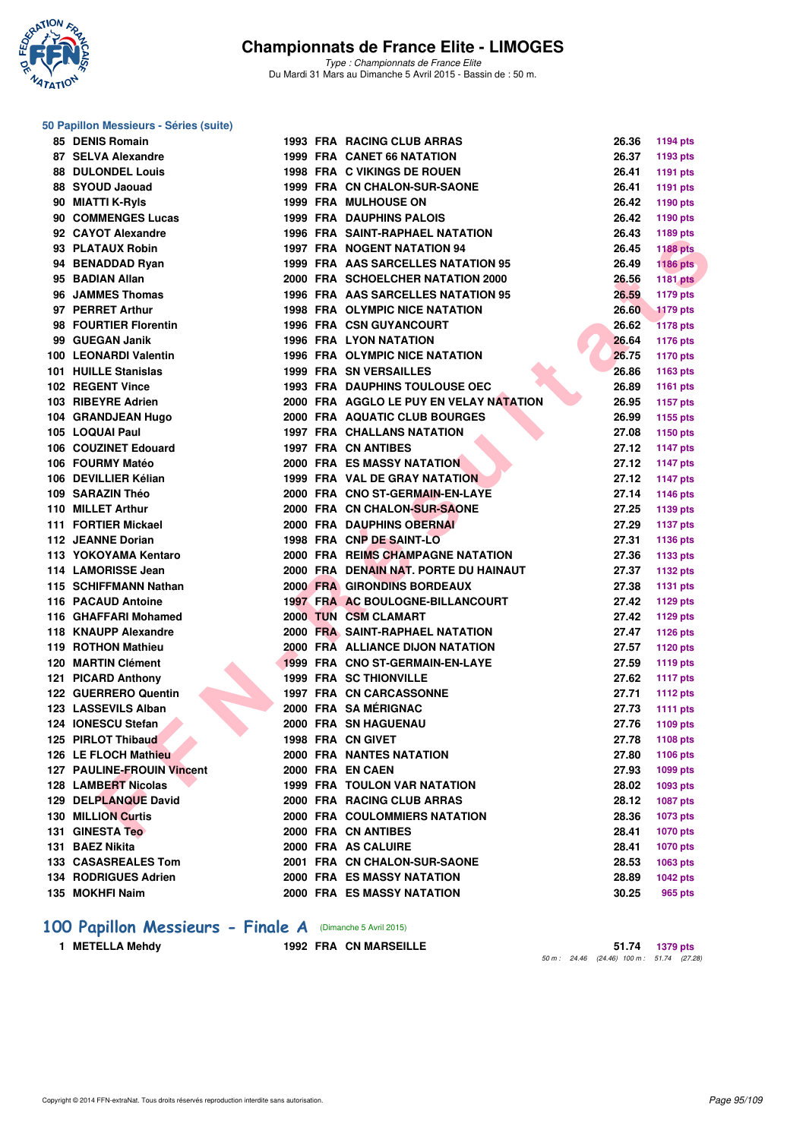

*Type : Championnats de France Elite* Du Mardi 31 Mars au Dimanche 5 Avril 2015 - Bassin de : 50 m.

#### **50 Papillon Messieurs - Séries (suite)**

| 85 DENIS Romain                   |  | 1993 FRA RACING CLUB ARRAS              | 26.36 | <b>1194 pts</b> |
|-----------------------------------|--|-----------------------------------------|-------|-----------------|
| 87 SELVA Alexandre                |  | <b>1999 FRA CANET 66 NATATION</b>       | 26.37 | 1193 pts        |
| <b>88 DULONDEL Louis</b>          |  | <b>1998 FRA C VIKINGS DE ROUEN</b>      | 26.41 | <b>1191 pts</b> |
| 88 SYOUD Jaouad                   |  | 1999 FRA CN CHALON-SUR-SAONE            | 26.41 | <b>1191 pts</b> |
| 90 MIATTI K-Ryls                  |  | <b>1999 FRA MULHOUSE ON</b>             | 26.42 | 1190 pts        |
| 90 COMMENGES Lucas                |  | <b>1999 FRA DAUPHINS PALOIS</b>         | 26.42 | 1190 pts        |
| 92 CAYOT Alexandre                |  | <b>1996 FRA SAINT-RAPHAEL NATATION</b>  | 26.43 | 1189 pts        |
| 93 PLATAUX Robin                  |  | <b>1997 FRA NOGENT NATATION 94</b>      | 26.45 | <b>1188 pts</b> |
| 94 BENADDAD Ryan                  |  | 1999 FRA AAS SARCELLES NATATION 95      | 26.49 | <b>1186 pts</b> |
| 95 BADIAN Allan                   |  | 2000 FRA SCHOELCHER NATATION 2000       | 26.56 | <b>1181 pts</b> |
| 96 JAMMES Thomas                  |  | 1996 FRA AAS SARCELLES NATATION 95      | 26.59 | <b>1179 pts</b> |
| 97 PERRET Arthur                  |  | <b>1998 FRA OLYMPIC NICE NATATION</b>   | 26.60 | <b>1179 pts</b> |
| 98 FOURTIER Florentin             |  | <b>1996 FRA CSN GUYANCOURT</b>          | 26.62 | <b>1178 pts</b> |
| 99 GUEGAN Janik                   |  | <b>1996 FRA LYON NATATION</b>           | 26.64 | <b>1176 pts</b> |
| 100 LEONARDI Valentin             |  | <b>1996 FRA OLYMPIC NICE NATATION</b>   | 26.75 | <b>1170 pts</b> |
| 101 HUILLE Stanislas              |  | <b>1999 FRA SN VERSAILLES</b>           | 26.86 | 1163 pts        |
| 102 REGENT Vince                  |  | <b>1993 FRA DAUPHINS TOULOUSE OEC</b>   | 26.89 | <b>1161 pts</b> |
| 103 RIBEYRE Adrien                |  | 2000 FRA AGGLO LE PUY EN VELAY NATATION | 26.95 | <b>1157 pts</b> |
| 104 GRANDJEAN Hugo                |  | 2000 FRA AQUATIC CLUB BOURGES           | 26.99 | 1155 pts        |
| 105 LOQUAI Paul                   |  | <b>1997 FRA CHALLANS NATATION</b>       | 27.08 | 1150 pts        |
| 106 COUZINET Edouard              |  | <b>1997 FRA CN ANTIBES</b>              | 27.12 | <b>1147 pts</b> |
| 106 FOURMY Matéo                  |  | <b>2000 FRA ES MASSY NATATION</b>       | 27.12 | <b>1147 pts</b> |
| 106 DEVILLIER Kélian              |  | 1999 FRA VAL DE GRAY NATATION           | 27.12 | <b>1147 pts</b> |
| 109 SARAZIN Théo                  |  | 2000 FRA CNO ST-GERMAIN-EN-LAYE         | 27.14 | <b>1146 pts</b> |
| 110 MILLET Arthur                 |  | 2000 FRA CN CHALON-SUR-SAONE            | 27.25 | 1139 pts        |
| 111 FORTIER Mickael               |  | <b>2000 FRA DAUPHINS OBERNAI</b>        | 27.29 | 1137 pts        |
| 112 JEANNE Dorian                 |  | 1998 FRA CNP DE SAINT-LO                | 27.31 | <b>1136 pts</b> |
| 113 YOKOYAMA Kentaro              |  | 2000 FRA REIMS CHAMPAGNE NATATION       | 27.36 | 1133 pts        |
| 114 LAMORISSE Jean                |  | 2000 FRA DENAIN NAT. PORTE DU HAINAUT   | 27.37 | <b>1132 pts</b> |
| 115 SCHIFFMANN Nathan             |  | <b>2000 FRA GIRONDINS BORDEAUX</b>      | 27.38 | <b>1131 pts</b> |
| 116 PACAUD Antoine                |  | 1997 FRA AC BOULOGNE-BILLANCOURT        | 27.42 | <b>1129 pts</b> |
| 116 GHAFFARI Mohamed              |  | 2000 TUN CSM CLAMART                    | 27.42 | <b>1129 pts</b> |
| 118 KNAUPP Alexandre              |  | 2000 FRA SAINT-RAPHAEL NATATION         | 27.47 | <b>1126 pts</b> |
| 119 ROTHON Mathieu                |  | 2000 FRA ALLIANCE DIJON NATATION        | 27.57 | 1120 pts        |
| 120 MARTIN Clément                |  | 1999 FRA CNO ST-GERMAIN-EN-LAYE         | 27.59 | 1119 pts        |
| 121 PICARD Anthony                |  | <b>1999 FRA SC THIONVILLE</b>           | 27.62 | <b>1117 pts</b> |
| 122 GUERRERO Quentin              |  | <b>1997 FRA CN CARCASSONNE</b>          | 27.71 | <b>1112 pts</b> |
| 123 LASSEVILS Alban               |  | 2000 FRA SAMÉRIGNAC                     | 27.73 | <b>1111 pts</b> |
| 124 IONESCU Stefan                |  | 2000 FRA SN HAGUENAU                    | 27.76 | 1109 pts        |
| 125 PIRLOT Thibaud                |  | 1998 FRA CN GIVET                       | 27.78 | 1108 pts        |
| 126 LE FLOCH Mathieu              |  | <b>2000 FRA NANTES NATATION</b>         | 27.80 | 1106 pts        |
| <b>127 PAULINE-FROUIN Vincent</b> |  | 2000 FRA EN CAEN                        | 27.93 | 1099 pts        |
| 128 LAMBERT Nicolas               |  | <b>1999 FRA TOULON VAR NATATION</b>     | 28.02 | 1093 pts        |
| 129 DELPLANQUE David              |  | 2000 FRA RACING CLUB ARRAS              | 28.12 | <b>1087 pts</b> |
| 130 MILLION Curtis                |  | 2000 FRA COULOMMIERS NATATION           | 28.36 | <b>1073 pts</b> |
| <b>131 GINESTA Teo</b>            |  | 2000 FRA CN ANTIBES                     | 28.41 | <b>1070 pts</b> |
| 131 BAEZ Nikita                   |  | 2000 FRA AS CALUIRE                     | 28.41 | <b>1070 pts</b> |
| 133 CASASREALES Tom               |  | 2001 FRA CN CHALON-SUR-SAONE            | 28.53 | 1063 pts        |
| 134 RODRIGUES Adrien              |  | <b>2000 FRA ES MASSY NATATION</b>       | 28.89 | <b>1042 pts</b> |
| 135 MOKHFI Naim                   |  | 2000 FRA ES MASSY NATATION              | 30.25 | 965 pts         |
|                                   |  |                                         |       |                 |

# **100 Papillon Messieurs - Finale A** (Dimanche 5 Avril 2015)<br>1 METELLA Mehdy 1992 FRA CN MARSEILLE

**1 METELLA Mehdy 1992 FRA CN MARSEILLE 51.74 1379 pts** *50 m : 24.46 (24.46) 100 m : 51.74 (27.28)*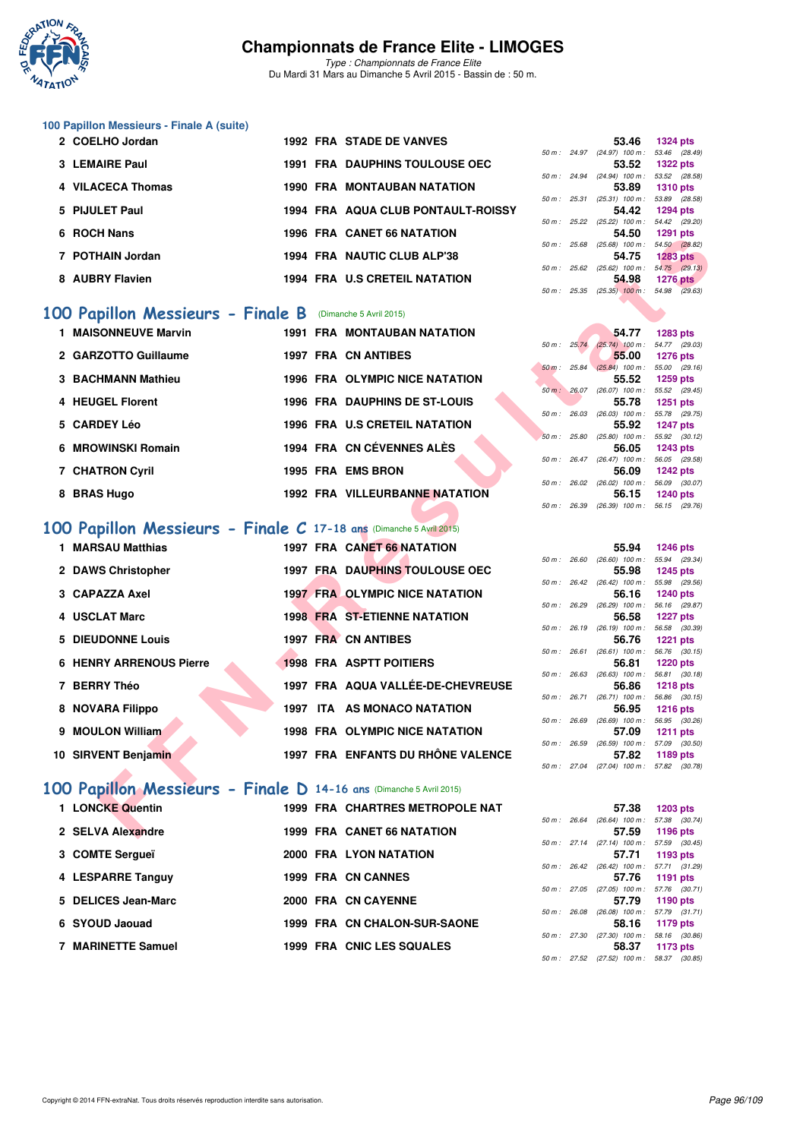

*Type : Championnats de France Elite* Du Mardi 31 Mars au Dimanche 5 Avril 2015 - Bassin de : 50 m.

#### **100 Papillon Messieurs - Finale A (suite)**

| 2 COELHO Jordan   |  | <b>1992 FRA STADE DE VANVES</b>       |                |                | 53.46                                      | 1324 pts        |  |
|-------------------|--|---------------------------------------|----------------|----------------|--------------------------------------------|-----------------|--|
|                   |  |                                       |                | $50 m$ : 24.97 | $(24.97)$ 100 m :                          | 53.46 (28.      |  |
| 3 LEMAIRE Paul    |  | <b>1991 FRA DAUPHINS TOULOUSE OEC</b> |                |                | 53.52                                      | <b>1322 pts</b> |  |
|                   |  |                                       |                |                | 50 m: 24.94 (24.94) 100 m: 53.52 (28.      |                 |  |
| 4 VILACECA Thomas |  | <b>1990 FRA MONTAUBAN NATATION</b>    |                |                | 53.89                                      | <b>1310 pts</b> |  |
|                   |  |                                       | $50 m$ : 25.31 |                | $(25.31)$ 100 m : 53.89 (28.               |                 |  |
| 5 PIJULET Paul    |  | 1994 FRA AQUA CLUB PONTAULT-ROISSY    |                |                | 54.42                                      | 1294 pts        |  |
|                   |  |                                       |                |                | 50 m: 25.22 (25.22) 100 m: 54.42 (29.      |                 |  |
| 6 ROCH Nans       |  | <b>1996 FRA CANET 66 NATATION</b>     |                |                | 54.50                                      | 1291 pts        |  |
|                   |  |                                       | 50 m :         | 25.68          | $(25.68)$ 100 m : 54.50 (28.               |                 |  |
| 7 POTHAIN Jordan  |  | 1994 FRA NAUTIC CLUB ALP'38           |                |                | 54.75                                      | <b>1283 pts</b> |  |
|                   |  |                                       |                | $50 m$ : 25.62 | $(25.62)$ 100 m : 54.75 (29.               |                 |  |
| 8 AUBRY Flavien   |  | <b>1994 FRA U.S CRETEIL NATATION</b>  |                |                | 54.98                                      | <b>1276 pts</b> |  |
|                   |  |                                       |                |                | $F0 \, m : 2F 2F (2F 2F) 100 m : 5400 (20$ |                 |  |

## **[100 Papillon Messieurs - Finale B](http://www.ffnatation.fr/webffn/resultats.php?idact=nat&go=epr&idcpt=27187&idepr=82)** (Dimanche 5 Avril 2015)

| 1 MAISONNEUVE Marvin   |  | <b>1991 FRA MONTAUBAN NATATION</b>   |          |                        | 54.77                                               | 1283 pts                      |  |
|------------------------|--|--------------------------------------|----------|------------------------|-----------------------------------------------------|-------------------------------|--|
| 2 GARZOTTO Guillaume   |  | <b>1997 FRA CN ANTIBES</b>           |          |                        | $50 \text{ m}$ : $25.74$ $(25.74)$ 100 m :<br>55.00 | 54.77 (29.<br>1276 pts        |  |
| 3 BACHMANN Mathieu     |  | 1996 FRA OLYMPIC NICE NATATION       |          |                        | $50 \text{ m}$ : 25.84 (25.84) 100 m :<br>55.52     | 55.00 (29.<br><b>1259 pts</b> |  |
| 4 HEUGEL Florent       |  | <b>1996 FRA DAUPHINS DE ST-LOUIS</b> |          | 50 m: 26.07            | $(26.07)$ 100 m :<br>55.78                          | 55.52 (29.<br>1251 pts        |  |
| 5 CARDEY Léo           |  | <b>1996 FRA U.S CRETEIL NATATION</b> | 50 m :   | 26.03                  | $(26.03)$ 100 m :<br>55.92                          | 55.78 (29.<br>1247 pts        |  |
| 6 MROWINSKI Romain     |  | 1994 FRA CN CÉVENNES ALÈS            | $50 m$ : | 25.80                  | $(25.80)$ 100 m :<br>56.05                          | 55.92 (30.<br>1243 pts        |  |
|                        |  |                                      |          | $50 \text{ m}$ : 26.47 | $(26.47)$ 100 m :                                   | 56.05 (29.                    |  |
| <b>7 CHATRON Cyril</b> |  | 1995 FRA EMS BRON                    |          | $50 \text{ m}$ : 26.02 | 56.09<br>$(26.02)$ 100 m :                          | <b>1242 pts</b><br>56.09 (30. |  |
| 8 BRAS Hugo            |  | 1992 FRA VILLEURBANNE NATATION       |          |                        | 56.15<br>-- ---- ------                             | <b>1240 pts</b>               |  |

#### **[100 Papillon Messieurs - Finale C](http://www.ffnatation.fr/webffn/resultats.php?idact=nat&go=epr&idcpt=27187&idepr=82) 17-18 ans (Dimanche 5 Avril 2015)**<br>**1 MAPSAU Mottbigs 1997 EPA CANET SC NATATION 1 MARSAU Matthias 1997 FRA CANET 66 NATATION 55.94 1246 pts**

| בוואוו וועשח                                                       |  | 1990 FRA CANELOU NATATION              |             | J4.JU                                               | <b>1431 PIS</b>                  |  |
|--------------------------------------------------------------------|--|----------------------------------------|-------------|-----------------------------------------------------|----------------------------------|--|
| 7 POTHAIN Jordan                                                   |  | 1994 FRA NAUTIC CLUB ALP'38            |             | 50 m: 25.68 (25.68) 100 m: 54.50 (28.82)<br>54.75   | <b>1283 pts</b>                  |  |
|                                                                    |  |                                        |             | 50 m: 25.62 (25.62) 100 m: 54.75 (29.13)            |                                  |  |
| 8 AUBRY Flavien                                                    |  | 1994 FRA U.S CRETEIL NATATION          |             | 54.98<br>50 m : 25.35 (25.35) 100 m : 54.98 (29.63) | 1276 $pts$                       |  |
|                                                                    |  |                                        |             |                                                     |                                  |  |
| <b>00 Papillon Messieurs - Finale B</b> (Dimanche 5 Avril 2015)    |  |                                        |             |                                                     |                                  |  |
| <b>1 MAISONNEUVE Marvin</b>                                        |  | <b>1991 FRA MONTAUBAN NATATION</b>     |             | 54.77                                               | <b>1283 pts</b>                  |  |
|                                                                    |  |                                        | 50 m: 25.74 | $(25.74)$ 100 m : 54.77 (29.03)                     |                                  |  |
| 2 GARZOTTO Guillaume                                               |  | <b>1997 FRA CN ANTIBES</b>             |             | 55.00<br>50 m : 25.84 (25.84) 100 m : 55.00 (29.16) | <b>1276 pts</b>                  |  |
| 3 BACHMANN Mathieu                                                 |  | <b>1996 FRA OLYMPIC NICE NATATION</b>  |             | 55.52                                               | <b>1259 pts</b>                  |  |
|                                                                    |  |                                        |             | 50 m: 26.07 (26.07) 100 m: 55.52 (29.45)            |                                  |  |
| 4 HEUGEL Florent                                                   |  | <b>1996 FRA DAUPHINS DE ST-LOUIS</b>   |             | 55.78                                               | <b>1251 pts</b>                  |  |
|                                                                    |  |                                        |             | 50 m : 26.03 (26.03) 100 m : 55.78 (29.75)          |                                  |  |
| 5 CARDEY Léo                                                       |  | <b>1996 FRA U.S CRETEIL NATATION</b>   |             | 55.92<br>50 m: 25.80 (25.80) 100 m: 55.92 (30.12)   | <b>1247 pts</b>                  |  |
| 6 MROWINSKI Romain                                                 |  | 1994 FRA CN CÉVENNES ALÈS              |             | 56.05                                               | <b>1243 pts</b>                  |  |
|                                                                    |  |                                        |             | $50 m$ : $26.47$ (26.47) $100 m$ :                  | 56.05 (29.58)                    |  |
| 7 CHATRON Cyril                                                    |  | 1995 FRA EMS BRON                      |             | 56.09                                               | <b>1242 pts</b>                  |  |
| 8 BRAS Hugo                                                        |  | 1992 FRA VILLEURBANNE NATATION         |             | 50 m: 26.02 (26.02) 100 m: 56.09 (30.07)<br>56.15   | <b>1240 pts</b>                  |  |
|                                                                    |  |                                        |             | 50 m: 26.39 (26.39) 100 m: 56.15 (29.76)            |                                  |  |
|                                                                    |  |                                        |             |                                                     |                                  |  |
| 00 Papillon Messieurs - Finale C 17-18 ans (Dimanche 5 Avril 2015) |  |                                        |             |                                                     |                                  |  |
| 1 MARSAU Matthias                                                  |  | 1997 FRA CANET 66 NATATION             |             | 55.94                                               | <b>1246 pts</b>                  |  |
|                                                                    |  |                                        |             | 50 m: 26.60 (26.60) 100 m: 55.94 (29.34)            |                                  |  |
| 2 DAWS Christopher                                                 |  | 1997 FRA DAUPHINS TOULOUSE OEC         |             | 55.98                                               | <b>1245 pts</b>                  |  |
| 3 CAPAZZA Axel                                                     |  | <b>1997 FRA OLYMPIC NICE NATATION</b>  |             | 50 m: 26.42 (26.42) 100 m: 55.98 (29.56)<br>56.16   | <b>1240 pts</b>                  |  |
|                                                                    |  |                                        |             | 50 m : 26.29 (26.29) 100 m :                        | 56.16 (29.87)                    |  |
| 4 USCLAT Marc                                                      |  | <b>1998 FRA ST-ETIENNE NATATION</b>    |             | 56.58                                               | <b>1227 pts</b>                  |  |
|                                                                    |  |                                        |             | 50 m: 26.19 (26.19) 100 m: 56.58 (30.39)            |                                  |  |
| <b>5 DIEUDONNE Louis</b>                                           |  | <b>1997 FRA CN ANTIBES</b>             |             | 56.76<br>50 m: 26.61 (26.61) 100 m: 56.76 (30.15)   | <b>1221 pts</b>                  |  |
| <b>6 HENRY ARRENOUS Pierre</b>                                     |  | <b>1998 FRA ASPTT POITIERS</b>         |             | 56.81                                               | <b>1220 pts</b>                  |  |
|                                                                    |  |                                        |             | 50 m: 26.63 (26.63) 100 m: 56.81 (30.18)            |                                  |  |
| 7 BERRY Théo                                                       |  | 1997 FRA AQUA VALLÉE-DE-CHEVREUSE      |             | 56.86                                               | <b>1218 pts</b>                  |  |
|                                                                    |  | 1997 ITA AS MONACO NATATION            |             | 50 m: 26.71 (26.71) 100 m: 56.86 (30.15)            |                                  |  |
| 8 NOVARA Filippo                                                   |  |                                        |             | 56.95<br>50 m: 26.69 (26.69) 100 m: 56.95 (30.26)   | <b>1216 pts</b>                  |  |
| 9 MOULON William                                                   |  | <b>1998 FRA OLYMPIC NICE NATATION</b>  |             | 57.09                                               | 1211 pts                         |  |
|                                                                    |  |                                        |             | 50 m: 26.59 (26.59) 100 m: 57.09 (30.50)            |                                  |  |
| 10 SIRVENT Benjamin                                                |  | 1997 FRA ENFANTS DU RHÔNE VALENCE      |             | 57.82                                               | 1189 pts                         |  |
|                                                                    |  |                                        |             | 50 m : 27.04 (27.04) 100 m :                        | 57.82 (30.78)                    |  |
| 00 Papillon Messieurs - Finale D 14-16 ans (Dimanche 5 Avril 2015) |  |                                        |             |                                                     |                                  |  |
| 1 LONCKE Quentin                                                   |  | <b>1999 FRA CHARTRES METROPOLE NAT</b> |             | 57.38                                               |                                  |  |
|                                                                    |  |                                        |             | $50 m$ : $26.64$ $(26.64) 100 m$ :                  | <b>1203 pts</b><br>57.38 (30.74) |  |
| 2 SELVA Alexandre                                                  |  | 1999 FRA CANET 66 NATATION             |             | 57.59                                               | 1196 pts                         |  |
|                                                                    |  |                                        |             |                                                     |                                  |  |

## **[100 Papillon Messieurs - Finale D](http://www.ffnatation.fr/webffn/resultats.php?idact=nat&go=epr&idcpt=27187&idepr=82) 14-16 ans** (Dimanche 5 Avril 2015)

|  |                                                                                                                                                                                                          |       | 57.38            |                                        |                                                                                                                                                                                                                                                                                                       |
|--|----------------------------------------------------------------------------------------------------------------------------------------------------------------------------------------------------------|-------|------------------|----------------------------------------|-------------------------------------------------------------------------------------------------------------------------------------------------------------------------------------------------------------------------------------------------------------------------------------------------------|
|  |                                                                                                                                                                                                          |       |                  |                                        |                                                                                                                                                                                                                                                                                                       |
|  |                                                                                                                                                                                                          |       | 57.59            |                                        |                                                                                                                                                                                                                                                                                                       |
|  |                                                                                                                                                                                                          |       |                  |                                        |                                                                                                                                                                                                                                                                                                       |
|  |                                                                                                                                                                                                          |       | 57.71            |                                        |                                                                                                                                                                                                                                                                                                       |
|  |                                                                                                                                                                                                          |       |                  |                                        |                                                                                                                                                                                                                                                                                                       |
|  |                                                                                                                                                                                                          |       | 57.76            |                                        |                                                                                                                                                                                                                                                                                                       |
|  |                                                                                                                                                                                                          |       |                  |                                        |                                                                                                                                                                                                                                                                                                       |
|  |                                                                                                                                                                                                          |       | 57.79            |                                        |                                                                                                                                                                                                                                                                                                       |
|  |                                                                                                                                                                                                          | 26.08 |                  |                                        |                                                                                                                                                                                                                                                                                                       |
|  |                                                                                                                                                                                                          |       | 58.16            |                                        |                                                                                                                                                                                                                                                                                                       |
|  |                                                                                                                                                                                                          | 27.30 |                  |                                        |                                                                                                                                                                                                                                                                                                       |
|  |                                                                                                                                                                                                          |       | 58.37            |                                        |                                                                                                                                                                                                                                                                                                       |
|  | 1999 FRA CHARTRES METROPOLE NAT<br>1999 FRA CANET 66 NATATION<br>2000 FRA LYON NATATION<br>1999 FRA CN CANNES<br>2000 FRA CN CAYENNE<br><b>1999 FRA CN CHALON-SUR-SAONE</b><br>1999 FRA CNIC LES SQUALES |       | 50 m :<br>50 m : | 50 m : 26.64<br>$50 \text{ m}$ : 26.42 | 1203 pts<br>$(26.64)$ 100 m : 57.38 (30.<br>1196 pts<br>50 m: 27.14 (27.14) 100 m: 57.59 (30.<br>1193 pts<br>$(26.42)$ 100 m : 57.71 (31.<br>1191 pts<br>50 m: 27.05 (27.05) 100 m: 57.76 (30.<br>1190 pts<br>$(26.08)$ 100 m : 57.79 (31.<br>1179 pts<br>58.16 (30.<br>$(27.30)$ 100 m :<br>1173 pts |

|                        |       | 53.46                 | <b>1324 pts</b> |
|------------------------|-------|-----------------------|-----------------|
| $50 m$ : 24.97         |       | $(24.97)$ 100 m :     | 53.46 (28.49)   |
|                        |       | 53.52                 | <b>1322 pts</b> |
| $50 \text{ m}$ : 24.94 |       | $(24.94)$ 100 m :     | 53.52 (28.58)   |
|                        |       | 53.89                 | <b>1310 pts</b> |
| $50 m$ :               |       | 25.31 (25.31) 100 m : | 53.89 (28.58)   |
|                        |       | 54.42                 | <b>1294 pts</b> |
| 50 m: 25.22            |       | $(25.22)$ 100 m :     | 54.42 (29.20)   |
|                        |       | 54.50                 | <b>1291 pts</b> |
| 50 m: 25.68            |       | $(25.68)$ 100 m :     | 54.50 (28.82)   |
|                        |       | 54.75                 | <b>1283 pts</b> |
| 50 m: 25.62            |       | $(25.62)$ 100 m :     | 54.75 (29.13)   |
|                        |       | 54.98                 | <b>1276 pts</b> |
| 50 m :                 | 25.35 | $(25.35)$ 100 m :     | 54.98 (29.63)   |
|                        |       |                       |                 |

|              | 54.77                        | 1283 pts        |
|--------------|------------------------------|-----------------|
| 50 m: 25.74  | $(25.74)$ 100 m :            | 54.77 (29.03)   |
|              | 55.00                        | 1276 pts        |
|              | 50 m : 25.84 (25.84) 100 m : | 55.00 (29.16)   |
|              | 55.52                        | 1259 pts        |
| 50 m : 26.07 | $(26.07)$ 100 m :            | 55.52 (29.45)   |
|              |                              | 55.78 1251 pts  |
| 50 m : 26.03 | $(26.03)$ 100 m :            | 55.78 (29.75)   |
|              |                              | 55.92 1247 pts  |
| 50 m : 25.80 | $(25.80)$ 100 m :            | 55.92 (30.12)   |
|              |                              | 56.05 1243 pts  |
| 50 m : 26.47 | $(26.47)$ 100 m :            | 56.05 (29.58)   |
|              | 56.09                        | <b>1242 pts</b> |
| 50 m : 26.02 | $(26.02)$ 100 m :            | 56.09 (30.07)   |
|              |                              | 56.15 1240 pts  |
|              | 50 m: 26.39 (26.39) 100 m:   | 56.15 (29.76)   |
|              |                              |                 |

|              |              | 55.94             | 1246 pts       |
|--------------|--------------|-------------------|----------------|
| 50 m : 26.60 |              | $(26.60)$ 100 m : | 55.94 (29.34)  |
|              |              | 55.98             | $1245$ pts     |
| 50 m : 26.42 |              | $(26.42)$ 100 m : | 55.98 (29.56)  |
|              |              | 56.16             | 1240 pts       |
| 50 m: 26.29  |              | $(26.29)$ 100 m : | 56.16 (29.87)  |
|              |              | 56.58             | 1227 $p$ ts    |
| 50 m : 26.19 |              | $(26.19)$ 100 m : | 56.58 (30.39)  |
|              |              | 56.76             | $1221$ pts     |
| 50 m: 26.61  |              | $(26.61)$ 100 m : | 56.76 (30.15)  |
|              |              | 56.81             | 1220 pts       |
| 50 m : 26.63 |              | $(26.63)$ 100 m : | 56.81 (30.18)  |
|              |              | 56.86             | 1218 $pts$     |
| 50 m: 26.71  |              | $(26.71)$ 100 m : | 56.86 (30.15)  |
|              |              | 56.95             | $1216$ pts     |
| 50 m : 26.69 |              | $(26.69)$ 100 m : | 56.95 (30.26)  |
|              |              | 57.09             | 1211 $pts$     |
|              | 50 m : 26.59 | $(26.59)$ 100 m : | 57.09 (30.50)  |
|              |              |                   | 57.82 1189 pts |
|              | 50 m : 27.04 | $(27.04)$ 100 m : | 57.82 (30.78)  |

|              | 57.38                            | $1203$ pts     |
|--------------|----------------------------------|----------------|
| 50 m : 26.64 | $(26.64)$ 100 m :                | 57.38 (30.74)  |
|              | 57.59                            | 1196 $pts$     |
|              | 50 m : 27.14 (27.14) 100 m :     | 57.59 (30.45)  |
|              | 57.71                            | 1193 $pts$     |
|              | 50 m : 26.42 (26.42) 100 m :     | 57.71 (31.29)  |
|              | 57.76                            | 1191 $pts$     |
|              | 50 m: 27.05 (27.05) 100 m:       | 57.76 (30.71)  |
|              | 57.79                            | 1190 $pts$     |
|              | 50 m: 26.08 (26.08) 100 m:       | 57.79 (31.71)  |
|              | 58.16                            | 1179 pts       |
|              | 50 m: 27.30 (27.30) 100 m:       | 58.16 (30.86)  |
|              |                                  | 58.37 1173 pts |
|              | $50 m$ : 27.52 (27.52) $100 m$ : | 58.37 (30.85)  |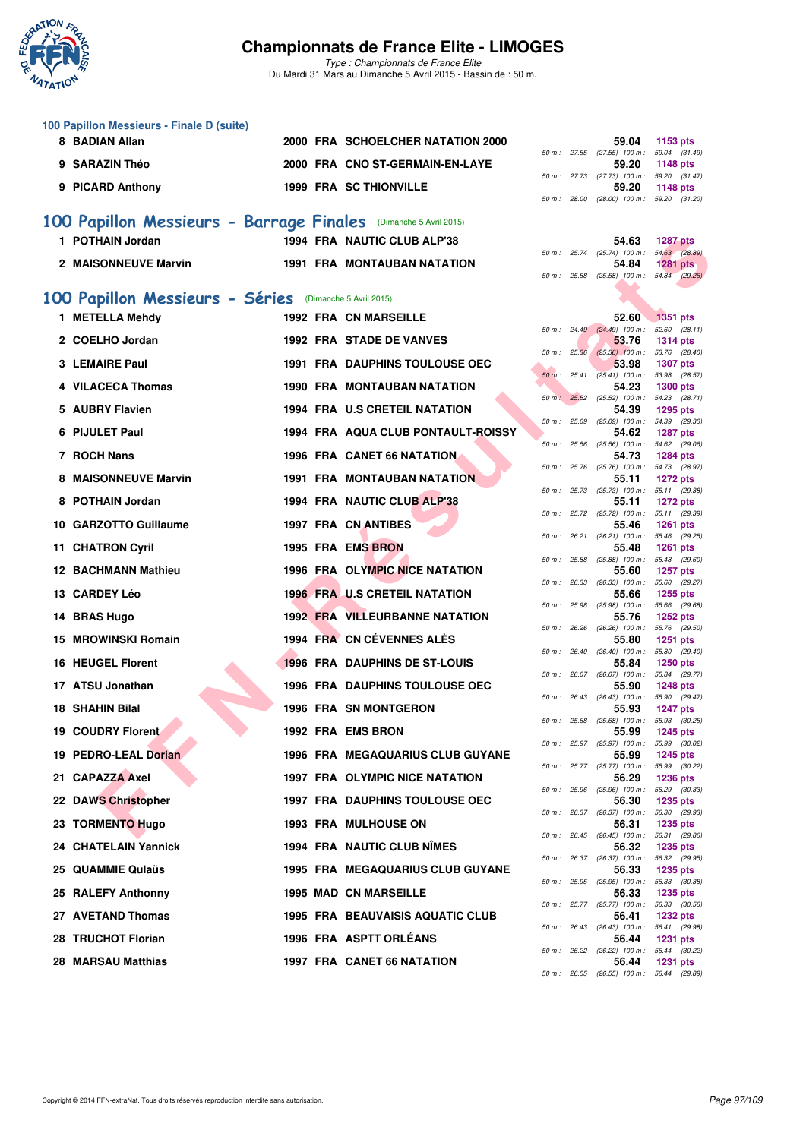

*Type : Championnats de France Elite* Du Mardi 31 Mars au Dimanche 5 Avril 2015 - Bassin de : 50 m.

| 100 Papillon Messieurs - Finale D (suite) |  |                                   |  |                                              |                |
|-------------------------------------------|--|-----------------------------------|--|----------------------------------------------|----------------|
| 8 BADIAN Allan                            |  | 2000 FRA SCHOELCHER NATATION 2000 |  | 59.04                                        | 1153 pts       |
|                                           |  |                                   |  | 50 m: 27.55 (27.55) 100 m: 59.04 (31.49      |                |
| 9 SARAZIN Théo                            |  | 2000 FRA CNO ST-GERMAIN-EN-LAYE   |  |                                              | 59.20 1148 pts |
|                                           |  |                                   |  | 50 m: 27.73 (27.73) 100 m: 59.20 (31.47)     |                |
| 9 PICARD Anthony                          |  | <b>1999 FRA SC THIONVILLE</b>     |  | 59.20                                        | 1148 pts       |
|                                           |  |                                   |  | $50 m : 28.00 (28.00) 100 m : 59.20 (31.20)$ |                |

### **[100 Papillon Messieurs - Barrage Finales](http://www.ffnatation.fr/webffn/resultats.php?idact=nat&go=epr&idcpt=27187&idepr=82)** (Dimanche 5 Avril 2015)

| 1 POTHAIN Jordan            |  | 1994 FRA NAUTIC CLUB ALP'38        |  | 54.63                                 | <b>1287 pts</b> |  |
|-----------------------------|--|------------------------------------|--|---------------------------------------|-----------------|--|
|                             |  |                                    |  | 50 m: 25.74 (25.74) 100 m: 54.63 (28. |                 |  |
| <b>2 MAISONNEUVE Marvin</b> |  | <b>1991 FRA MONTAUBAN NATATION</b> |  | 54.84                                 | <b>1281 pts</b> |  |

#### **[100 Papillon Messieurs - Séries](http://www.ffnatation.fr/webffn/resultats.php?idact=nat&go=epr&idcpt=27187&idepr=82)** (Dimanche 5 Avril 2015)

|   | 1 POTHAIN Jordan                                       |  | 1994 FRA NAUTIC CLUB ALP'38             |              |       | 54.63                                               | <b>1287 pts</b>                  |               |
|---|--------------------------------------------------------|--|-----------------------------------------|--------------|-------|-----------------------------------------------------|----------------------------------|---------------|
|   | 2 MAISONNEUVE Marvin                                   |  | <b>1991 FRA MONTAUBAN NATATION</b>      |              |       | $50 m$ : 25.74 (25.74) 100 m :<br>54.84             | 54.63 (28.89)<br>1281 pts        |               |
|   |                                                        |  |                                         | 50 m: 25.58  |       | $(25.58)$ 100 m :                                   | 54.84 (29.26)                    |               |
|   | 00 Papillon Messieurs - Séries (Dimanche 5 Avril 2015) |  |                                         |              |       |                                                     |                                  |               |
|   | 1 METELLA Mehdy                                        |  | <b>1992 FRA CN MARSEILLE</b>            |              |       | 52.60                                               | <b>1351 pts</b>                  |               |
|   |                                                        |  | <b>1992 FRA STADE DE VANVES</b>         |              |       | 50 m: 24.49 (24.49) 100 m: 52.60 (28.11)            |                                  |               |
|   | 2 COELHO Jordan                                        |  |                                         | 50 m: 25.36  |       | 53.76<br>$(25.36)$ 100 m : 53.76 $(28.40)$          | <b>1314 pts</b>                  |               |
|   | 3 LEMAIRE Paul                                         |  | <b>1991 FRA DAUPHINS TOULOUSE OEC</b>   |              |       | 53.98                                               | <b>1307 pts</b>                  |               |
|   | 4 VILACECA Thomas                                      |  | <b>1990 FRA MONTAUBAN NATATION</b>      | $50 m$ :     |       | 25.41 (25.41) 100 m :<br>54.23                      | 53.98 (28.57)<br><b>1300 pts</b> |               |
|   |                                                        |  |                                         | 50 m: 25.52  |       | $(25.52)$ 100 m :                                   | 54.23 (28.71)                    |               |
|   | 5 AUBRY Flavien                                        |  | 1994 FRA U.S CRETEIL NATATION           |              |       | 54.39<br>50 m: 25.09 (25.09) 100 m: 54.39 (29.30)   | 1295 pts                         |               |
|   | 6 PIJULET Paul                                         |  | 1994 FRA AQUA CLUB PONTAULT-ROISSY      |              |       | 54.62                                               | <b>1287 pts</b>                  |               |
|   | 7 ROCH Nans                                            |  | 1996 FRA CANET 66 NATATION              | 50 m: 25.56  |       | $(25.56)$ 100 m :<br>54.73                          | 54.62 (29.06)<br><b>1284 pts</b> |               |
|   |                                                        |  |                                         | 50 m : 25.76 |       | (25.76) 100 m : 54.73 (28.97)                       |                                  |               |
| 8 | <b>MAISONNEUVE Marvin</b>                              |  | <b>1991 FRA MONTAUBAN NATATION</b>      |              |       | 55.11<br>50 m : 25.73 (25.73) 100 m : 55.11 (29.38) | <b>1272 pts</b>                  |               |
|   | 8 POTHAIN Jordan                                       |  | 1994 FRA NAUTIC CLUB ALP'38             |              |       | 55.11                                               | <b>1272 pts</b>                  |               |
|   |                                                        |  |                                         |              |       | 50 m: 25.72 (25.72) 100 m: 55.11 (29.39)            |                                  |               |
|   | 10 GARZOTTO Guillaume                                  |  | 1997 FRA CN ANTIBES                     |              |       | 55.46<br>50 m: 26.21 (26.21) 100 m: 55.46 (29.25)   | <b>1261 pts</b>                  |               |
|   | 11 CHATRON Cyril                                       |  | 1995 FRA EMS BRON                       |              |       | 55.48                                               | <b>1261 pts</b>                  |               |
|   | 12 BACHMANN Mathieu                                    |  | 1996 FRA OLYMPIC NICE NATATION          | 50 m : 25.88 |       | $(25.88)$ 100 m :<br>55.60                          | 55.48 (29.60)<br><b>1257 pts</b> |               |
|   |                                                        |  |                                         | 50 m: 26.33  |       | $(26.33)$ 100 m :                                   | 55.60 (29.27)                    |               |
|   | 13 CARDEY Léo                                          |  | <b>1996 FRA U.S CRETEIL NATATION</b>    | 50 m: 25.98  |       | 55.66<br>$(25.98)$ 100 m :                          | 1255 pts<br>55.66 (29.68)        |               |
|   | 14 BRAS Hugo                                           |  | <b>1992 FRA VILLEURBANNE NATATION</b>   |              |       | 55.76                                               | <b>1252 pts</b>                  |               |
|   | <b>15 MROWINSKI Romain</b>                             |  | 1994 FRA CN CÉVENNES ALÈS               |              |       | 50 m : 26.26 (26.26) 100 m : 55.76 (29.50)<br>55.80 | <b>1251 pts</b>                  |               |
|   |                                                        |  |                                         |              |       | $50 m$ : $26.40$ $(26.40)$ $100 m$ :                |                                  | 55.80 (29.40) |
|   | <b>16 HEUGEL Florent</b>                               |  | <b>1996 FRA DAUPHINS DE ST-LOUIS</b>    |              |       | 55.84<br>50 m : 26.07 (26.07) 100 m :               | <b>1250 pts</b><br>55.84 (29.77) |               |
|   | 17 ATSU Jonathan                                       |  | <b>1996 FRA DAUPHINS TOULOUSE OEC</b>   |              |       | 55.90                                               | <b>1248 pts</b>                  |               |
|   | 18 SHAHIN Bilal                                        |  | <b>1996 FRA SN MONTGERON</b>            |              |       | $50 m$ : 26.43 (26.43) 100 m :<br>55.93             | 55.90 (29.47)                    |               |
|   |                                                        |  |                                         | $50 m$ :     | 25.68 | $(25.68)$ 100 m :                                   | <b>1247 pts</b><br>55.93 (30.25) |               |
|   | 19 COUDRY Florent                                      |  | <b>1992 FRA EMS BRON</b>                |              |       | 55.99                                               | <b>1245 pts</b>                  |               |
|   | 19 PEDRO-LEAL Dorian                                   |  | <b>1996 FRA MEGAQUARIUS CLUB GUYANE</b> |              |       | 50 m : 25.97 (25.97) 100 m :<br>55.99               | 55.99 (30.02)<br><b>1245 pts</b> |               |
|   |                                                        |  |                                         |              |       | 50 m: 25.77 (25.77) 100 m:                          | 55.99 (30.22)                    |               |
|   | 21 CAPAZZA Axel                                        |  | 1997 FRA OLYMPIC NICE NATATION          | 50 m: 25.96  |       | 56.29<br>$(25.96)$ 100 m :                          | <b>1236 pts</b><br>56.29 (30.33) |               |
|   | 22 DAWS Christopher                                    |  | <b>1997 FRA DAUPHINS TOULOUSE OEC</b>   |              |       | 56.30                                               | <b>1235 pts</b>                  |               |
|   | 23 TORMENTO Hugo                                       |  | <b>1993 FRA MULHOUSE ON</b>             |              |       | 50 m : 26.37 (26.37) 100 m :<br>56.31               | 56.30 (29.93)<br><b>1235 pts</b> |               |
|   |                                                        |  |                                         |              |       | 50 m: 26.45 (26.45) 100 m: 56.31 (29.86)            |                                  |               |
|   | 24 CHATELAIN Yannick                                   |  | <b>1994 FRA NAUTIC CLUB NIMES</b>       |              |       | 56.32<br>50 m : 26.37 (26.37) 100 m :               | <b>1235 pts</b>                  | 56.32 (29.95) |
|   | 25 QUAMMIE Qulaüs                                      |  | <b>1995 FRA MEGAQUARIUS CLUB GUYANE</b> |              |       | 56.33                                               | <b>1235 pts</b>                  |               |
|   | 25 RALEFY Anthonny                                     |  | <b>1995 MAD CN MARSEILLE</b>            |              |       | 50 m: 25.95 (25.95) 100 m: 56.33 (30.38)<br>56.33   | <b>1235 pts</b>                  |               |
|   |                                                        |  |                                         |              |       | 50 m : 25.77 (25.77) 100 m :                        | 56.33 (30.56)                    |               |
|   | 27 AVETAND Thomas                                      |  | <b>1995 FRA BEAUVAISIS AQUATIC CLUB</b> |              |       | 56.41<br>$50 m$ : $26.43$ $(26.43)$ $100 m$ :       | <b>1232 pts</b><br>56.41 (29.98) |               |
|   | 28 TRUCHOT Florian                                     |  | 1996 FRA ASPTT ORLEANS                  |              |       | 56.44                                               | 1231 pts                         |               |
|   | <b>28 MARSAU Matthias</b>                              |  | 1997 FRA CANET 66 NATATION              |              |       | 50 m : 26.22 (26.22) 100 m : 56.44 (30.22)<br>56.44 | <b>1231 pts</b>                  |               |
|   |                                                        |  |                                         |              |       |                                                     |                                  |               |

|  | 50 m: 27.73 (27.73) 100 m: 59.20 (31.47)   |  |
|--|--------------------------------------------|--|
|  | 59.20 1148 pts                             |  |
|  | 50 m : 28.00 (28.00) 100 m : 59.20 (31.20) |  |
|  |                                            |  |
|  |                                            |  |
|  |                                            |  |
|  | 54.63 1287 pts                             |  |
|  | 50 m: 25.74 (25.74) 100 m: 54.63 (28.89)   |  |
|  | 54.84 1281 pts                             |  |
|  | 50 m: 25.58 (25.58) 100 m: 54.84 (29.26)   |  |
|  |                                            |  |
|  |                                            |  |
|  |                                            |  |
|  | 52.60 1351 pts                             |  |
|  | 50 m: 24.49 (24.49) 100 m: 52.60 (28.11)   |  |
|  | <b>53.76</b> 1314 pts                      |  |
|  | 50 m : 25.36 (25.36) 100 m : 53.76 (28.40) |  |
|  | 53.98 1307 pts                             |  |
|  | 50 m: 25.41 (25.41) 100 m: 53.98 (28.57)   |  |
|  | 54.23 1300 pts                             |  |
|  | 50 m: 25.52 (25.52) 100 m: 54.23 (28.71)   |  |
|  |                                            |  |

*50 m : 26.55 (26.55) 100 m : 56.44 (29.89)*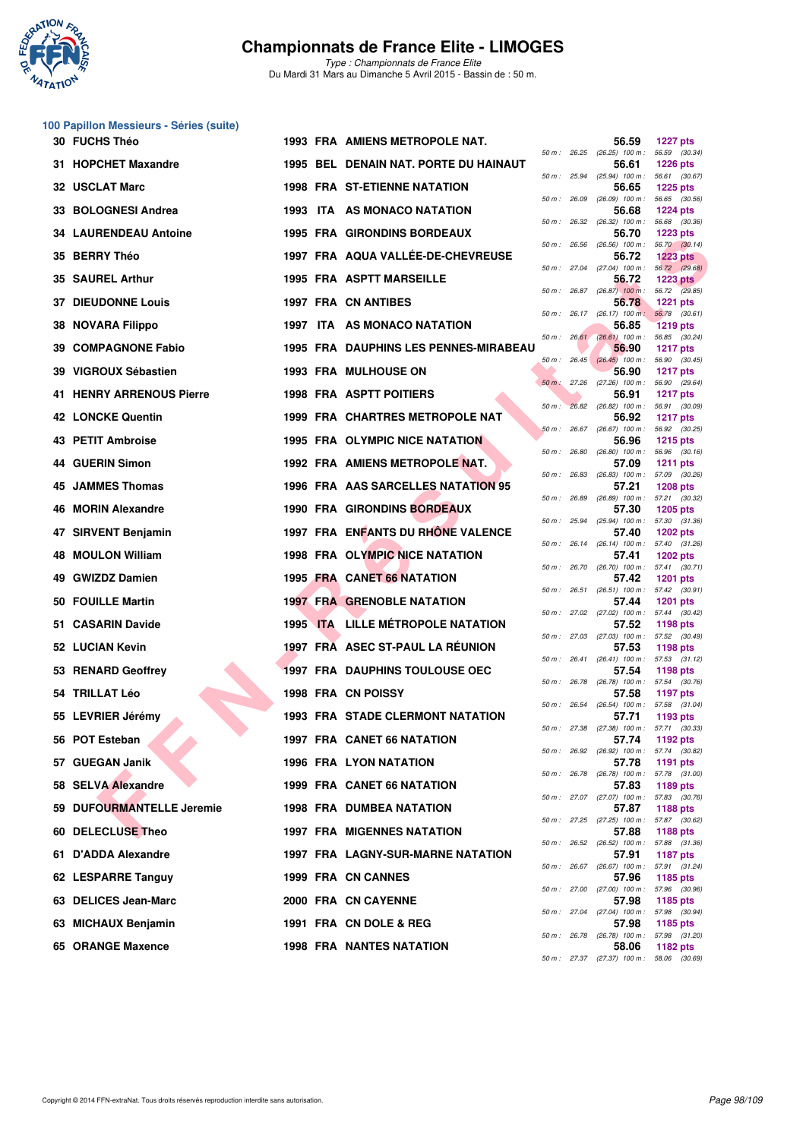

*Type : Championnats de France Elite* Du Mardi 31 Mars au Dimanche 5 Avril 2015 - Bassin de : 50 m.

## **100 Papillon Messieurs - Séries (suite)**

| 30 FUCHS Théo                |  | <b>1993 FRA AMIENS METROPOLE NAT.</b>    |              | 56.59                                                 | <b>1227 pts</b>                  |  |
|------------------------------|--|------------------------------------------|--------------|-------------------------------------------------------|----------------------------------|--|
| 31 HOPCHET Maxandre          |  | 1995 BEL DENAIN NAT. PORTE DU HAINAUT    |              | 50 m : 26.25 (26.25) 100 m : 56.59 (30.34)<br>56.61   | <b>1226 pts</b>                  |  |
| 32 USCLAT Marc               |  | <b>1998 FRA ST-ETIENNE NATATION</b>      |              | 50 m : 25.94 (25.94) 100 m :<br>56.65                 | 56.61 (30.67)<br><b>1225 pts</b> |  |
| 33 BOLOGNESI Andrea          |  | 1993 ITA AS MONACO NATATION              | 50 m: 26.09  | $(26.09)$ 100 m :<br>56.68                            | 56.65 (30.56)<br><b>1224 pts</b> |  |
| <b>34 LAURENDEAU Antoine</b> |  | <b>1995 FRA GIRONDINS BORDEAUX</b>       |              | 50 m: 26.32 (26.32) 100 m: 56.68 (30.36)<br>56.70     | <b>1223 pts</b>                  |  |
| 35 BERRY Théo                |  | 1997 FRA AQUA VALLÉE-DE-CHEVREUSE        | 50 m: 26.56  | $(26.56)$ 100 m :<br>56.72                            | 56.70 (30.14)<br>$1223$ pts      |  |
| 35 SAUREL Arthur             |  | <b>1995 FRA ASPTT MARSEILLE</b>          |              | 50 m : 27.04 (27.04) 100 m : 56.72 (29.68)<br>56.72   | 1223 $pts$                       |  |
| <b>37 DIEUDONNE Louis</b>    |  | 1997 FRA CN ANTIBES                      |              | 50 m : $26.87$ (26.87) 100 m : 56.72 (29.85)<br>56.78 | <b>1221 pts</b>                  |  |
| 38 NOVARA Filippo            |  | 1997 ITA AS MONACO NATATION              |              | 50 m: 26.17 (26.17) 100 m: 56.78 (30.61)<br>56.85     | <b>1219 pts</b>                  |  |
| 39 COMPAGNONE Fabio          |  | 1995 FRA DAUPHINS LES PENNES-MIRABEAU    |              | 50 m: 26.61 (26.61) 100 m: 56.85 (30.24)<br>56.90     | <b>1217 pts</b>                  |  |
| 39 VIGROUX Sébastien         |  | <b>1993 FRA MULHOUSE ON</b>              |              | $50 m$ : $26.45$ $(26.45)$ 100 m:<br>56.90            | 56.90 (30.45)<br><b>1217 pts</b> |  |
| 41 HENRY ARRENOUS Pierre     |  | <b>1998 FRA ASPTT POITIERS</b>           |              | 50 m : 27.26 (27.26) 100 m : 56.90 (29.64)<br>56.91   | <b>1217 pts</b>                  |  |
| <b>42 LONCKE Quentin</b>     |  | <b>1999 FRA CHARTRES METROPOLE NAT</b>   | $50 m$ :     | 26.82 (26.82) 100 m: 56.91 (30.09)<br>56.92           | <b>1217 pts</b>                  |  |
| 43 PETIT Ambroise            |  | <b>1995 FRA OLYMPIC NICE NATATION</b>    |              | 50 m: 26.67 (26.67) 100 m: 56.92 (30.25)<br>56.96     | 1215 pts                         |  |
| 44 GUERIN Simon              |  | 1992 FRA AMIENS METROPOLE NAT.           |              | 50 m : 26.80 (26.80) 100 m : 56.96 (30.16)<br>57.09   | <b>1211 pts</b>                  |  |
| 45 JAMMES Thomas             |  | 1996 FRA AAS SARCELLES NATATION 95       | 50 m : 26.83 | $(26.83)$ 100 m : 57.09 $(30.26)$<br>57.21            | <b>1208 pts</b>                  |  |
| 46 MORIN Alexandre           |  | <b>1990 FRA GIRONDINS BORDEAUX</b>       |              | 50 m: 26.89 (26.89) 100 m: 57.21 (30.32)<br>57.30     | <b>1205 pts</b>                  |  |
| 47 SIRVENT Benjamin          |  | 1997 FRA ENFANTS DU RHONE VALENCE        | 50 m : 25.94 | $(25.94)$ 100 m :<br>57.40                            | 57.30 (31.36)<br><b>1202 pts</b> |  |
| <b>MOULON William</b>        |  | 1998 FRA OLYMPIC NICE NATATION           |              | 50 m: 26.14 (26.14) 100 m: 57.40 (31.26)<br>57.41     | <b>1202 pts</b>                  |  |
| 49 GWIZDZ Damien             |  | 1995 FRA CANET 66 NATATION               |              | 50 m: 26.70 (26.70) 100 m: 57.41 (30.71)<br>57.42     | <b>1201 pts</b>                  |  |
| 50 FOUILLE Martin            |  | <b>1997 FRA GRENOBLE NATATION</b>        |              | 50 m: 26.51 (26.51) 100 m: 57.42 (30.91)<br>57.44     | <b>1201 pts</b>                  |  |
| 51 CASARIN Davide            |  | <b>1995 ITA LILLE MÉTROPOLE NATATION</b> |              | 50 m: 27.02 (27.02) 100 m: 57.44 (30.42)<br>57.52     | 1198 pts                         |  |
| 52 LUCIAN Kevin              |  | 1997 FRA ASEC ST-PAUL LA REUNION         |              | 50 m: 27.03 (27.03) 100 m: 57.52 (30.49)<br>57.53     | 1198 pts                         |  |
| 53 RENARD Geoffrey           |  | <b>1997 FRA DAUPHINS TOULOUSE OEC</b>    |              | 50 m: 26.41 (26.41) 100 m: 57.53 (31.12)<br>57.54     | 1198 pts                         |  |
| 54 TRILLAT Léo               |  | 1998 FRA CN POISSY                       | 50 m: 26.78  | $(26.78)$ 100 m : 57.54 $(30.76)$<br>57.58            | 1197 pts                         |  |
| 55 LEVRIER Jérémy            |  | <b>1993 FRA STADE CLERMONT NATATION</b>  |              | 50 m: 26.54 (26.54) 100 m: 57.58 (31.04)<br>57.71     | 1193 pts                         |  |
| 56 POT Esteban               |  | 1997 FRA CANET 66 NATATION               |              | 50 m: 27.38 (27.38) 100 m: 57.71 (30.33)<br>57.74     | 1192 pts                         |  |
| 57 GUEGAN Janik              |  | 1996 FRA LYON NATATION                   |              | 50 m: 26.92 (26.92) 100 m: 57.74 (30.82)<br>57.78     | 1191 pts                         |  |
| 58 SELVA Alexandre           |  | 1999 FRA CANET 66 NATATION               | 50 m : 26.78 | $(26.78)$ 100 m :<br>57.83                            | 57.78 (31.00)<br>1189 pts        |  |
| 59 DUFOURMANTELLE Jeremie    |  | <b>1998 FRA DUMBEA NATATION</b>          |              | 50 m: 27.07 (27.07) 100 m: 57.83 (30.76)<br>57.87     | <b>1188 pts</b>                  |  |
| 60 DELECLUSE Theo            |  | <b>1997 FRA MIGENNES NATATION</b>        |              | 50 m: 27.25 (27.25) 100 m: 57.87 (30.62)<br>57.88     | 1188 pts                         |  |
| 61 D'ADDA Alexandre          |  | <b>1997 FRA LAGNY-SUR-MARNE NATATION</b> |              | 50 m : 26.52 (26.52) 100 m :<br>57.91                 | 57.88 (31.36)<br><b>1187 pts</b> |  |
| 62 LESPARRE Tanguy           |  | 1999 FRA CN CANNES                       |              | 50 m : 26.67 (26.67) 100 m :<br>57.96                 | 57.91 (31.24)<br>1185 pts        |  |
| 63 DELICES Jean-Marc         |  | 2000 FRA CN CAYENNE                      |              | 50 m : 27.00 (27.00) 100 m : 57.96 (30.96)<br>57.98   | 1185 pts                         |  |
| 63 MICHAUX Benjamin          |  | 1991 FRA CN DOLE & REG                   |              | 50 m : 27.04 (27.04) 100 m :<br>57.98                 | 57.98 (30.94)<br>1185 pts        |  |
| 65 ORANGE Maxence            |  | <b>1998 FRA NANTES NATATION</b>          |              | 50 m : 26.78 (26.78) 100 m :<br>58.06                 | 57.98 (31.20)<br>1182 pts        |  |
|                              |  |                                          |              | 50 m : 27.37 (27.37) 100 m :                          | 58.06 (30.69)                    |  |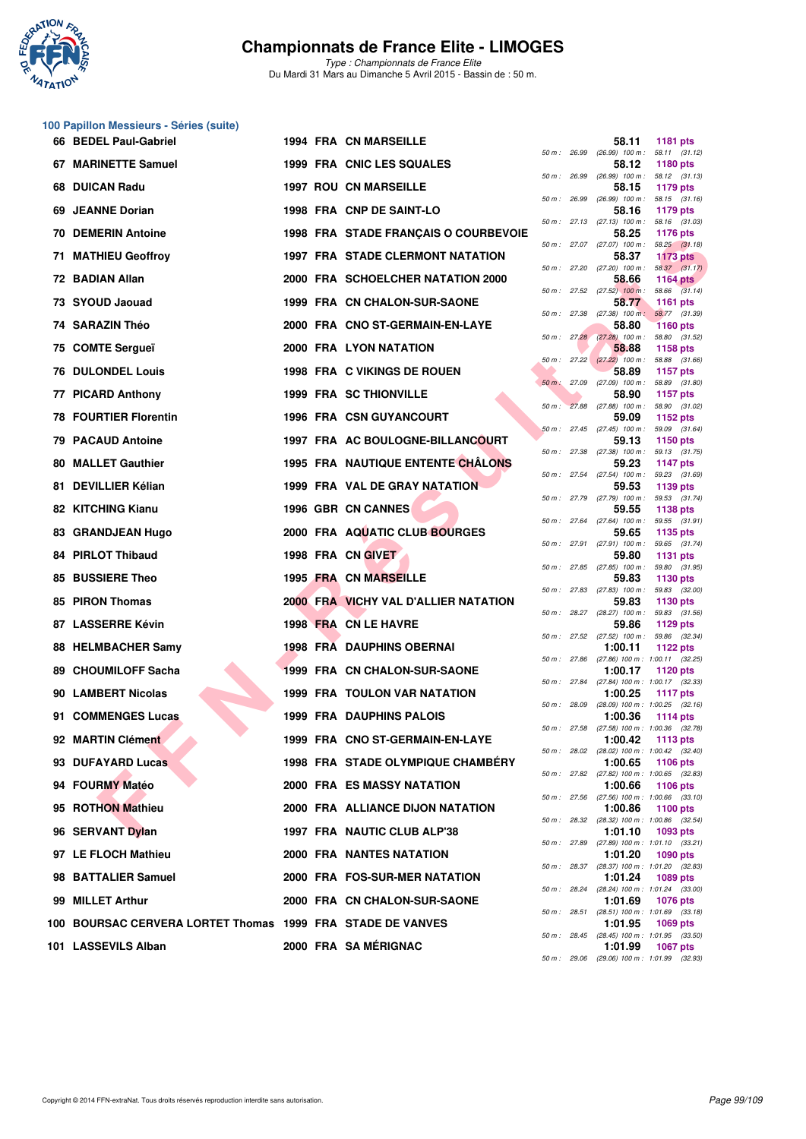

*Type : Championnats de France Elite* Du Mardi 31 Mars au Dimanche 5 Avril 2015 - Bassin de : 50 m.

#### **100 Papillon Messieurs - Séries (suite)**

|     | 66 BEDEL Paul-Gabriel                                  |  | 1994 FRA CN MARSEILLE                                       |              |              | 58.11                                                    | 1181 pts                         |               |
|-----|--------------------------------------------------------|--|-------------------------------------------------------------|--------------|--------------|----------------------------------------------------------|----------------------------------|---------------|
|     | 67 MARINETTE Samuel                                    |  | 1999 FRA CNIC LES SQUALES                                   | 50 m: 26.99  |              | $(26.99)$ 100 m : 58.11 $(31.12)$<br>58.12               | <b>1180 pts</b>                  |               |
| 68  | <b>DUICAN Radu</b>                                     |  | <b>1997 ROU CN MARSEILLE</b>                                | 50 m : 26.99 |              | $(26.99)$ 100 m : 58.12 $(31.13)$<br>58.15               | 1179 pts                         |               |
| 69. | <b>JEANNE Dorian</b>                                   |  | 1998 FRA CNP DE SAINT-LO                                    |              |              | 50 m: 26.99 (26.99) 100 m: 58.15 (31.16)<br>58.16        | 1179 pts                         |               |
| 70  | <b>DEMERIN Antoine</b>                                 |  | 1998 FRA STADE FRANÇAIS O COURBEVOIE                        |              |              | 50 m: 27.13 (27.13) 100 m: 58.16 (31.03)<br>58.25        | 1176 pts                         |               |
| 71. | <b>MATHIEU Geoffroy</b>                                |  | <b>1997 FRA STADE CLERMONT NATATION</b>                     |              |              | 50 m: 27.07 (27.07) 100 m: 58.25 (31.18)<br>58.37        | <b>1173 pts</b>                  |               |
|     | 72 BADIAN Allan                                        |  | 2000 FRA SCHOELCHER NATATION 2000                           |              |              | 50 m : 27.20 (27.20) 100 m :<br>58.66                    | 1164 $pts$                       | 58.37 (31.17) |
|     | 73 SYOUD Jaouad                                        |  | 1999 FRA CN CHALON-SUR-SAONE                                |              |              | 50 m : 27.52 (27.52) 100 m : 58.66 (31.14)<br>58.77      | <b>1161 pts</b>                  |               |
|     | 74 SARAZIN Théo                                        |  | 2000 FRA CNO ST-GERMAIN-EN-LAYE                             | 50 m: 27.38  |              | $(27.38)$ 100 m:<br>58.80                                | 58.77 (31.39)<br><b>1160 pts</b> |               |
| 75. | <b>COMTE Sergueï</b>                                   |  | 2000 FRA LYON NATATION                                      |              |              | $50 m$ : $27.28$ $(27.28)$ 100 m:<br>58,88               | 58.80 (31.52)<br>1158 pts        |               |
| 76  | <b>DULONDEL Louis</b>                                  |  | 1998 FRA C VIKINGS DE ROUEN                                 |              |              | 50 m : 27.22 (27.22) 100 m : 58.88 (31.66)<br>58.89      | 1157 pts                         |               |
| 77  | <b>PICARD Anthony</b>                                  |  | <b>1999 FRA SC THIONVILLE</b>                               | 50 m : 27.09 |              | $(27.09)$ 100 m :<br>58.90                               | 58.89 (31.80)<br>1157 pts        |               |
|     | <b>78 FOURTIER Florentin</b>                           |  | <b>1996 FRA CSN GUYANCOURT</b>                              |              |              | 50 m : 27.88 (27.88) 100 m : 58.90 (31.02)<br>59.09      | 1152 pts                         |               |
|     | <b>79 PACAUD Antoine</b>                               |  | 1997 FRA AC BOULOGNE-BILLANCOURT                            |              |              | $50 m$ : 27.45 (27.45) 100 m :<br>59.13                  | 59.09 (31.64)<br><b>1150 pts</b> |               |
| 80  | <b>MALLET Gauthier</b>                                 |  | <b>1995 FRA NAUTIQUE ENTENTE CHÂLONS</b>                    | 50 m : 27.38 |              | $(27.38)$ 100 m : 59.13 $(31.75)$<br>59.23               | 1147 $pts$                       |               |
|     | 81 DEVILLIER Kélian                                    |  | <b>1999 FRA VAL DE GRAY NATATION</b>                        |              | 50 m : 27.54 | $(27.54)$ 100 m :<br>59.53                               | 59.23 (31.69)<br>1139 pts        |               |
|     | 82 KITCHING Kianu                                      |  | 1996 GBR CN CANNES                                          |              |              | 50 m: 27.79 (27.79) 100 m: 59.53 (31.74)<br>59.55        | 1138 pts                         |               |
|     | 83 GRANDJEAN Hugo                                      |  | 2000 FRA AQUATIC CLUB BOURGES                               |              |              | 50 m: 27.64 (27.64) 100 m: 59.55 (31.91)<br>59.65        | 1135 pts                         |               |
|     | <b>84 PIRLOT Thibaud</b>                               |  | 1998 FRA CN GIVET                                           |              |              | 50 m : 27.91 (27.91) 100 m :<br>59.80                    | 59.65 (31.74)<br>1131 pts        |               |
| 85  | <b>BUSSIERE Theo</b>                                   |  | 1995 FRA CN MARSEILLE                                       |              |              | 50 m: 27.85 (27.85) 100 m: 59.80 (31.95)<br>59.83        | 1130 pts                         |               |
|     | 85 PIRON Thomas                                        |  | 2000 FRA VICHY VAL D'ALLIER NATATION                        | 50 m: 27.83  |              | $(27.83)$ 100 m :<br>59.83                               | 59.83 (32.00)<br>1130 pts        |               |
| 87. | <b>LASSERRE Kévin</b>                                  |  | 1998 FRA CN LE HAVRE                                        | 50 m: 28.27  |              | (28.27) 100 m : 59.83 (31.56)<br>59.86                   | 1129 pts                         |               |
|     | 88 HELMBACHER Samy                                     |  | <b>1998 FRA DAUPHINS OBERNAI</b>                            |              |              | 50 m : 27.52 (27.52) 100 m : 59.86 (32.34)<br>1:00.11    | 1122 pts                         |               |
|     | 89 CHOUMILOFF Sacha                                    |  | 1999 FRA CN CHALON-SUR-SAONE                                | 50 m : 27.86 |              | $(27.86)$ 100 m : 1:00.11 $(32.25)$<br>1:00.17           | 1120 pts                         |               |
|     | 90 LAMBERT Nicolas                                     |  | 1999 FRA TOULON VAR NATATION                                |              |              | 50 m: 27.84 (27.84) 100 m: 1:00.17 (32.33)<br>1:00.25    | <b>1117 pts</b>                  |               |
|     |                                                        |  |                                                             | 50 m: 28.09  |              | $(28.09)$ 100 m : 1:00.25 $(32.16)$                      |                                  |               |
|     | 91 COMMENGES Lucas                                     |  | 1999 FRA DAUPHINS PALOIS<br>1999 FRA CNO ST-GERMAIN-EN-LAYE | 50 m: 27.58  |              | 1:00.36<br>$(27.58)$ 100 m : 1:00.36 $(32.78)$           | 1114 pts                         |               |
|     | 92 MARTIN Clément                                      |  | 1998 FRA STADE OLYMPIQUE CHAMBERY                           | 50 m: 28.02  |              | 1:00.42<br>(28.02) 100 m: 1:00.42 (32.40)                | <b>1113 pts</b>                  |               |
|     | 93 DUFAYARD Lucas                                      |  |                                                             |              |              | 1:00.65<br>50 m: 27.82 (27.82) 100 m: 1:00.65 (32.83)    | 1106 pts                         |               |
|     | 94 FOURMY Matéo                                        |  | <b>2000 FRA ES MASSY NATATION</b>                           |              | 50 m : 27.56 | 1:00.66<br>$(27.56)$ 100 m : 1:00.66 $(33.10)$           | 1106 pts                         |               |
|     | 95 ROTHON Mathieu                                      |  | 2000 FRA ALLIANCE DIJON NATATION                            |              | 50 m : 28.32 | 1:00.86<br>(28.32) 100 m: 1:00.86 (32.54)                | 1100 pts                         |               |
|     | 96 SERVANT Dylan                                       |  | 1997 FRA NAUTIC CLUB ALP'38                                 | 50 m : 27.89 |              | 1:01.10<br>$(27.89)$ 100 m : 1:01.10 $(33.21)$           | 1093 pts                         |               |
|     | 97 LE FLOCH Mathieu                                    |  | <b>2000 FRA NANTES NATATION</b>                             |              | 50 m : 28.37 | 1:01.20<br>(28.37) 100 m : 1:01.20 (32.83)               | 1090 pts                         |               |
|     | 98 BATTALIER Samuel                                    |  | 2000 FRA FOS-SUR-MER NATATION                               |              | 50 m : 28.24 | 1:01.24<br>(28.24) 100 m: 1:01.24 (33.00)                | 1089 pts                         |               |
|     | 99 MILLET Arthur                                       |  | 2000 FRA CN CHALON-SUR-SAONE                                |              | 50 m : 28.51 | 1:01.69<br>$(28.51)$ 100 m : 1:01.69 $(33.18)$           | 1076 pts                         |               |
| 100 | BOURSAC CERVERA LORTET Thomas 1999 FRA STADE DE VANVES |  |                                                             |              | 50 m : 28.45 | 1:01.95<br>$(28.45)$ 100 m : 1:01.95 $(33.50)$           | 1069 pts                         |               |
|     | 101 LASSEVILS Alban                                    |  | 2000 FRA SA MÉRIGNAC                                        |              |              | 1:01.99<br>$50 m - 2906$ (29.06) $100 m + 10199$ (32.93) | <b>1067 pts</b>                  |               |
|     |                                                        |  |                                                             |              |              |                                                          |                                  |               |

| 50 m :   | 26.99 | 58.11<br>$(26.99)$ 100 m :   | 1181 pts<br>58.11<br>(31.12)          |
|----------|-------|------------------------------|---------------------------------------|
|          |       | 58.12                        | 1180 pts                              |
| $50 m$ : | 26.99 | $(26.99)$ 100 m :<br>58.15   | 58.12<br>(31.13)<br>1179 pts          |
| $50 m$ : | 26.99 | $(26.99)$ 100 m :            | 58.15<br>(31.16)                      |
| 50 m :   | 27.13 | 58.16<br>$(27.13)$ 100 m :   | 1179 pts<br>(31.03)<br>58.16          |
|          |       | 58.25                        | 1176 pts                              |
| $50 m$ : | 27.07 | $(27.07)$ 100 m :<br>58.37   | 58.25<br>(31.18)<br><b>1173 pts</b>   |
| $50 m$ : | 27.20 | $(27.20)$ 100 m :            | 58.37<br>(31.17)                      |
| 50 m :   | 27.52 | 58.66<br>$(27.52)$ 100 m :   | 1164 pts<br>(31.14)<br>58.66          |
|          |       | 58.77                        | 1161 pts                              |
| $50 m$ : | 27.38 | $(27.38)$ 100 m :<br>58.80   | 58.77<br>(31.39)<br><b>1160 pts</b>   |
| $50 m$ : | 27.28 | $(27.28)$ 100 m :            | (31.52)<br>58.80                      |
| 50 m :   | 27.22 | 58.88<br>$(27.22)$ 100 m :   | 1158 pts<br>(31.66)<br>58.88          |
|          |       | 58.89                        | 1157 pts                              |
| $50 m$ : | 27.09 | $(27.09)$ 100 m :            | 58.89<br>(31.80)                      |
| 50 m :   | 27.88 | 58.90<br>$(27.88)$ 100 m :   | 1157 pts<br>58.90<br>(31.02)          |
|          |       | 59.09                        | 1152 pts                              |
| $50 m$ : | 27.45 | $(27.45)$ 100 m :<br>59.13   | (31.64)<br>59.09<br>1150 pts          |
| $50 m$ : | 27.38 | $(27.38)$ 100 m :            | 59.13<br>(31.75)                      |
| $50 m$ : | 27.54 | 59.23<br>$(27.54)$ 100 m :   | <b>1147 pts</b><br>59.23<br>(31.69)   |
|          |       | 59.53                        | 1139 pts                              |
| 50 m :   | 27.79 | $(27.79)$ 100 m :<br>59.55   | (31.74)<br>59.53<br>1138 pts          |
| $50 m$ : | 27.64 | $(27.64)$ 100 m :            | 59.55<br>(31.91)                      |
| 50 m :   | 27.91 | 59.65<br>$(27.91)$ 100 m :   | 1135 pts<br>59.65<br>(31.74)          |
|          |       | 59.80                        | 1131 pts                              |
| $50 m$ : | 27.85 | $(27.85)$ 100 m :<br>59.83   | 59.80<br>(31.95)<br>1130 pts          |
| $50 m$ : | 27.83 | $(27.83)$ 100 m :            | 59.83<br>(32.00)                      |
| 50 m :   | 28.27 | 59.83<br>$(28.27)$ 100 m :   | 1130 pts<br>59.83<br>(31.56)          |
|          |       | 59.86                        | 1129 pts                              |
| 50 m :   | 27.52 | $(27.52)$ 100 m :<br>1:00.11 | (32.34)<br>59.86<br><b>1122 pts</b>   |
| $50 m$ : | 27.86 | $(27.86) 100 m$ :            | 1:00.11<br>(32.25)                    |
| $50 m$ : | 27.84 | 1:00.17<br>(27.84) 100 m :   | 1120 pts<br>1:00.17<br>(32.33)        |
|          |       | 1:00.25                      | <b>1117 pts</b>                       |
| 50 m :   | 28.09 | (28.09) 100 m :<br>1:00.36   | 1:00.25<br>(32.16)<br>1114 pts        |
| 50 m :   | 27.58 | $(27.58) 100 m$ :            | 1:00.36<br>(32.78)                    |
| 50 m :   | 28.02 | 1:00.42<br>$(28.02)$ 100 m : | 1113 pts<br>(32.40)<br>1:00.42        |
|          |       | 1:00.65                      | 1106 pts                              |
| $50 m$ : | 27.82 | (27.82) 100 m :<br>1:00.66   | 1:00.65<br>(32.83)<br>1106 pts        |
| $50 m$ : | 27.56 | $(27.56) 100 m$ :            | 1:00.66<br>(33.10)                    |
| 50 m :   | 28.32 | 1:00.86<br>(28.32) 100 m :   | 1100 pts<br>1:00.86<br>(32.54)        |
|          |       | 1:01.10                      | 1093 pts                              |
| $50 m$ : | 27.89 | $(27.89) 100 m$ :<br>1:01.20 | 1:01.10<br>(33.21)<br>1090 pts        |
| $50 m$ : | 28.37 | $(28.37) 100 m$ :            | 1:01.20<br>(32.83)                    |
| $50 m$ : | 28.24 | 1:01.24<br>$(28.24) 100 m$ : | 1089 pts<br>1:01.24<br>(33.00)        |
|          |       | 1:01.69                      | 1076 pts                              |
| $50 m$ : | 28.51 | (28.51) 100 m :<br>1:01.95   | 1:01.69<br>(33.18)<br>1069 pts        |
| $50 m$ : | 28.45 | $(28.45)$ 100 m :            | 1:01.95<br>(33.50)                    |
| 50 m :   | 29.06 | 1:01.99<br>$(29.06)$ 100 m : | <b>1067 pts</b><br>1:01.99<br>(32.93) |
|          |       |                              |                                       |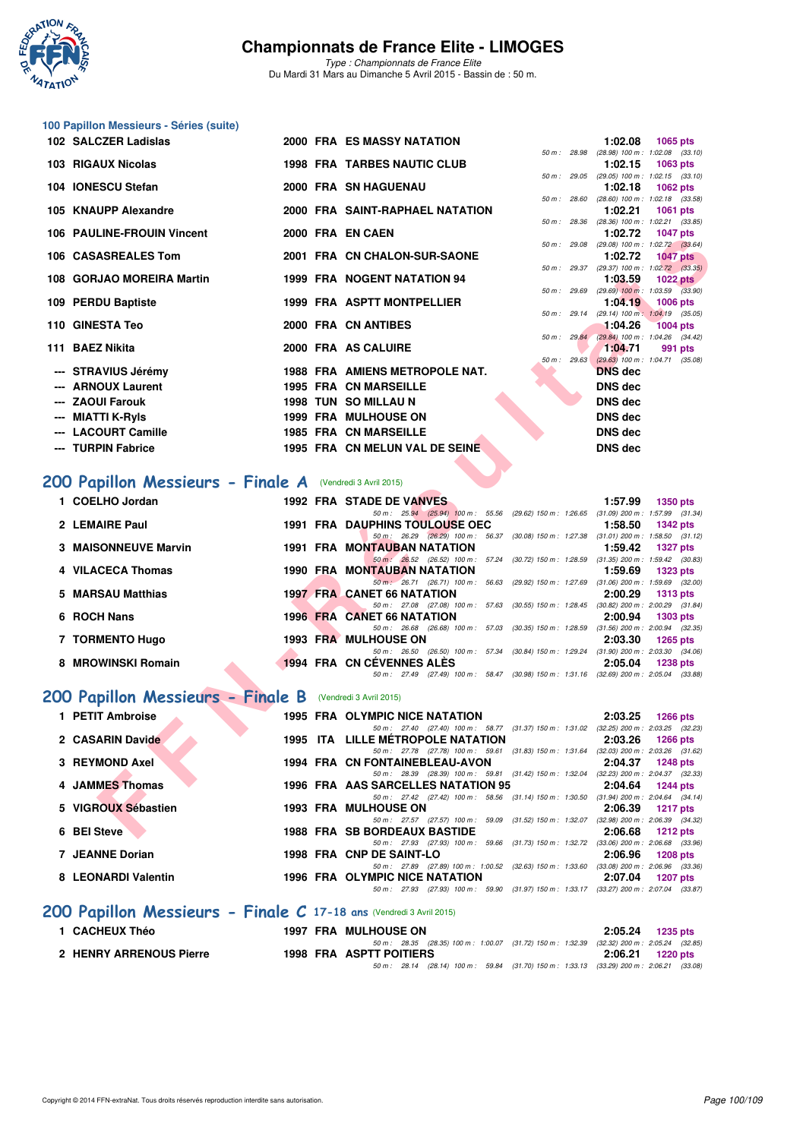

*Type : Championnats de France Elite* Du Mardi 31 Mars au Dimanche 5 Avril 2015 - Bassin de : 50 m.

## **100 Papillon Messieurs - Séries (suite)**

|   | 102 SALCZER Ladislas                                                         |  | <b>2000 FRA ES MASSY NATATION</b>                                                                                               |                           | 1:02.08        | 1065 pts                                                        |
|---|------------------------------------------------------------------------------|--|---------------------------------------------------------------------------------------------------------------------------------|---------------------------|----------------|-----------------------------------------------------------------|
|   | 103 RIGAUX Nicolas                                                           |  | <b>1998 FRA TARBES NAUTIC CLUB</b>                                                                                              | 50 m : 28.98              | 1:02.15        | $(28.98)$ 100 m : 1:02.08 $(33.10)$<br>1063 pts                 |
|   | 104 IONESCU Stefan                                                           |  | 2000 FRA SN HAGUENAU                                                                                                            | 50 m: 29.05               | 1:02.18        | $(29.05)$ 100 m : 1:02.15 $(33.10)$<br>1062 pts                 |
|   | 105 KNAUPP Alexandre                                                         |  | 2000 FRA SAINT-RAPHAEL NATATION                                                                                                 | 50 m : 28.60              | 1:02.21        | $(28.60)$ 100 m : 1:02.18 $(33.58)$<br>1061 pts                 |
|   | 106 PAULINE-FROUIN Vincent                                                   |  | 2000 FRA EN CAEN                                                                                                                |                           | 1:02.72        | 50 m : 28.36 (28.36) 100 m : 1:02.21 (33.85)<br><b>1047 pts</b> |
|   |                                                                              |  |                                                                                                                                 | 50 m: 29.08               |                | $(29.08)$ 100 m : 1:02.72 $(33.64)$                             |
|   | 106 CASASREALES Tom                                                          |  | 2001 FRA CN CHALON-SUR-SAONE                                                                                                    |                           | 1:02.72        | <b>1047 pts</b><br>50 m: 29.37 (29.37) 100 m: 1:02.72 (33.35)   |
|   | 108 GORJAO MOREIRA Martin                                                    |  | 1999 FRA NOGENT NATATION 94                                                                                                     | 50 m : 29.69              | 1:03.59        | <b>1022 pts</b><br>$(29.69)$ 100 m : 1:03.59 $(33.90)$          |
|   | 109 PERDU Baptiste                                                           |  | 1999 FRA ASPTT MONTPELLIER                                                                                                      |                           | 1:04.19        | <b>1006 pts</b><br>50 m: 29.14 (29.14) 100 m: 1:04.19 (35.05)   |
|   | 110 GINESTA Teo                                                              |  | 2000 FRA CN ANTIBES                                                                                                             |                           | 1:04.26        | <b>1004 pts</b>                                                 |
|   | 111 BAEZ Nikita                                                              |  | 2000 FRA AS CALUIRE                                                                                                             | 50 m: 29.84               | 1:04.71        | (29.84) 100 m : 1:04.26 (34.42)<br>991 pts                      |
|   | --- STRAVIUS Jérémy                                                          |  | 1988 FRA AMIENS METROPOLE NAT.                                                                                                  | 50 m: 29.63               | <b>DNS</b> dec | $(29.63)$ 100 m : 1:04.71 $(35.08)$                             |
|   | <b>ARNOUX Laurent</b>                                                        |  | <b>1995 FRA CN MARSEILLE</b>                                                                                                    |                           | <b>DNS dec</b> |                                                                 |
|   | --- ZAOUI Farouk                                                             |  | <b>1998 TUN SO MILLAU N</b>                                                                                                     |                           | <b>DNS</b> dec |                                                                 |
|   | <b>MIATTI K-Ryls</b>                                                         |  | 1999 FRA MULHOUSE ON                                                                                                            |                           | <b>DNS</b> dec |                                                                 |
|   | <b>LACOURT Camille</b>                                                       |  | <b>1985 FRA CN MARSEILLE</b>                                                                                                    |                           | <b>DNS dec</b> |                                                                 |
|   | --- TURPIN Fabrice                                                           |  | 1995 FRA CN MELUN VAL DE SEINE                                                                                                  |                           | <b>DNS dec</b> |                                                                 |
|   | 200 Papillon Messieurs - Finale A (Vendredi 3 Avril 2015)<br>1 COELHO Jordan |  | 1992 FRA STADE DE VANVES                                                                                                        |                           | 1:57.99        | <b>1350 pts</b>                                                 |
|   | 2 LEMAIRE Paul                                                               |  | 50 m: 25.94 (25.94) 100 m: 55.56 (29.62) 150 m: 1:26.65 (31.09) 200 m: 1:57.99 (31.34)<br><b>1991 FRA DAUPHINS TOULOUSE OEC</b> |                           | 1:58.50        | <b>1342 pts</b>                                                 |
| 3 | <b>MAISONNEUVE Marvin</b>                                                    |  | 50 m: 26.29 (26.29) 100 m: 56.37<br><b>1991 FRA MONTAUBAN NATATION</b>                                                          | $(30.08)$ 150 m : 1:27.38 | 1:59.42        | $(31.01)$ 200 m : 1:58.50 $(31.12)$<br><b>1327 pts</b>          |
|   |                                                                              |  | 50 m: 26.52 (26.52) 100 m: 57.24 (30.72) 150 m: 1:28.59 (31.35) 200 m: 1:59.42 (30.83)                                          |                           |                |                                                                 |
|   | <b>VILACECA Thomas</b>                                                       |  | 1990 FRA MONTAUBAN NATATION<br>50 m: 26.71 (26.71) 100 m: 56.63 (29.92) 150 m: 1:27.69 (31.06) 200 m: 1:59.69 (32.00)           |                           | 1:59.69        | <b>1323 pts</b>                                                 |
|   | 5 MARSAU Matthias                                                            |  | <b>1997 FRA CANET 66 NATATION</b>                                                                                               |                           | 2:00.29        | <b>1313 pts</b>                                                 |
| 6 | <b>ROCH Nans</b>                                                             |  | 50 m: 27.08 (27.08) 100 m: 57.63 (30.55) 150 m: 1:28.45 (30.82) 200 m: 2:00.29 (31.84)<br><b>1996 FRA CANET 66 NATATION</b>     |                           | 2:00.94        | <b>1303 pts</b>                                                 |
|   |                                                                              |  | 50 m: 26.68 (26.68) 100 m: 57.03 (30.35) 150 m: 1:28.59 (31.56) 200 m: 2:00.94 (32.35)                                          |                           |                |                                                                 |
|   | 7 TORMENTO Hugo                                                              |  | 1993 FRA MULHOUSE ON<br>50 m: 26.50 (26.50) 100 m: 57.34 (30.84) 150 m: 1.29.24 (31.90) 200 m: 2:03.30 (34.06)                  |                           | 2:03.30        | 1265 pts                                                        |
|   | 8 MROWINSKI Romain                                                           |  | <b>1994 FRA CN CEVENNES ALES</b>                                                                                                |                           | 2:05.04        | <b>1238 pts</b>                                                 |
|   |                                                                              |  | 50 m: 27.49 (27.49) 100 m: 58.47 (30.98) 150 m: 1:31.16 (32.69) 200 m: 2:05.04 (33.88)                                          |                           |                |                                                                 |
|   | 200 Papillon Messieurs - Finale B                                            |  | (Vendredi 3 Avril 2015)                                                                                                         |                           |                |                                                                 |
|   | 1 PETIT Ambroise                                                             |  | 1995 FRA OLYMPIC NICE NATATION                                                                                                  |                           | 2:03.25        | <b>1266 pts</b>                                                 |
|   | 2 CASARIN Davide                                                             |  | 50 m: 27.40 (27.40) 100 m: 58.77 (31.37) 150 m: 1:31.02 (32.25) 200 m: 2:03.25 (32.23)<br>1995 ITA LILLE METROPOLE NATATION     |                           | 2:03.26        | <b>1266 pts</b>                                                 |
|   | 3 REYMOND Axel                                                               |  | 50 m: 27.78 (27.78) 100 m: 59.61 (31.83) 150 m: 1:31.64 (32.03) 200 m: 2:03.26 (31.62)<br>1994 FRA CN FONTAINEBLEAU-AVON        |                           | 2:04.37        | <b>1248 pts</b>                                                 |
|   |                                                                              |  | 50 m: 28.39 (28.39) 100 m: 59.81 (31.42) 150 m: 1:32.04 (32.23) 200 m: 2:04.37 (32.33)                                          |                           |                |                                                                 |
|   | <b>JAMMES Thomas</b>                                                         |  | 1996 FRA AAS SARCELLES NATATION 95                                                                                              |                           | 2:04.64        | <b>1244 pts</b>                                                 |
|   | VIGROUX Sébastien                                                            |  | 50 m: 27.42 (27.42) 100 m: 58.56 (31.14) 150 m: 1:30.50 (31.94) 200 m: 2:04.64 (34.14)<br>1993 FRA MULHOUSE ON                  |                           | 2:06.39        | <b>1217 pts</b>                                                 |
|   |                                                                              |  | 50 m: 27.57 (27.57) 100 m: 59.09 (31.52) 150 m: 1.32.07 (32.98) 200 m: 2:06.39 (34.32)                                          |                           |                |                                                                 |
|   | 6 BEI Steve                                                                  |  | <b>1988 FRA SB BORDEAUX BASTIDE</b>                                                                                             |                           | 2:06.68        | <b>1212 pts</b>                                                 |

## **[200 Papillon Messieurs - Finale A](http://www.ffnatation.fr/webffn/resultats.php?idact=nat&go=epr&idcpt=27187&idepr=83)** (Vendredi 3 Avril 2015)

| 1 COELHO Jordan             | <b>1992 FRA STADE DE VANVES</b>                                                        |                                                         | 1:57.99 | <b>1350 pts</b>                     |
|-----------------------------|----------------------------------------------------------------------------------------|---------------------------------------------------------|---------|-------------------------------------|
|                             | 50 m : 25.94 (25.94) 100 m : 55.56                                                     | (29.62) 150 m : 1:26.65 (31.09) 200 m : 1:57.99 (31.34) |         |                                     |
| 2 LEMAIRE Paul              | <b>1991 FRA DAUPHINS TOULOUSE OEC</b>                                                  |                                                         | 1:58.50 | $1342$ pts                          |
|                             | $(26.29)$ 100 m : 56.37<br>50 m : 26.29                                                | (30.08) 150 m : 1:27.38                                 |         | $(31.01)$ 200 m : 1:58.50 $(31.12)$ |
| <b>3 MAISONNEUVE Marvin</b> | <b>1991 FRA MONTAUBAN NATATION</b>                                                     |                                                         | 1:59.42 | <b>1327 pts</b>                     |
|                             | 50 m : 26.52 (26.52) 100 m : 57.24                                                     | (30.72) 150 m : 1:28.59                                 |         | $(31.35)$ 200 m : 1:59.42 $(30.83)$ |
| 4 VILACECA Thomas           | 1990 FRA MONTAUBAN NATATION                                                            |                                                         | 1:59.69 | <b>1323 pts</b>                     |
|                             | 50 m: 26.71 (26.71) 100 m: 56.63                                                       | (29.92) 150 m : 1:27.69                                 |         | $(31.06)$ 200 m : 1:59.69 $(32.00)$ |
| 5 MARSAU Matthias           | <b>1997 FRA CANET 66 NATATION</b>                                                      |                                                         | 2:00.29 | $1313$ pts                          |
|                             | 50 m: 27.08 (27.08) 100 m: 57.63                                                       | (30.55) 150 m : 1:28.45                                 |         | $(30.82)$ 200 m : 2:00.29 $(31.84)$ |
| 6 ROCH Nans                 | <b>1996 FRA CANET 66 NATATION</b>                                                      |                                                         | 2:00.94 | $1303$ pts                          |
|                             | 50 m: 26.68                                                                            | (26.68) 100 m : 57.03 (30.35) 150 m : 1:28.59           |         | $(31.56)$ 200 m : 2:00.94 $(32.35)$ |
| 7 TORMENTO Hugo             | 1993 FRA MULHOUSE ON                                                                   |                                                         | 2:03.30 | $1265$ pts                          |
|                             | 50 m : 26.50 (26.50) 100 m : 57.34                                                     | (30.84) 150 m : 1:29.24                                 |         | $(31.90)$ 200 m : 2:03.30 $(34.06)$ |
| 8 MROWINSKI Romain          | 1994 FRA CN CEVENNES ALES                                                              |                                                         | 2:05.04 | <b>1238 pts</b>                     |
|                             | 50 m: 27.49 (27.49) 100 m: 58.47 (30.98) 150 m: 1:31.16 (32.69) 200 m: 2:05.04 (33.88) |                                                         |         |                                     |

## **[200 Papillon Messieurs - Finale B](http://www.ffnatation.fr/webffn/resultats.php?idact=nat&go=epr&idcpt=27187&idepr=83)** (Vendredi 3 Avril 2015)

| 1 PETIT Ambroise                     | 1995 FRA OLYMPIC NICE NATATION                                                                      | 2:03.25 | <b>1266 pts</b>                       |
|--------------------------------------|-----------------------------------------------------------------------------------------------------|---------|---------------------------------------|
|                                      | 50 m : 27.40 (27.40) 100 m : 58.77 (31.37) 150 m : 1:31.02                                          |         | $(32.25)$ 200 m : 2:03.25 $(32.23)$   |
| 2 CASARIN Davide                     | <b>1995 ITA LILLE MÉTROPOLE NATATION</b>                                                            | 2:03.26 | $1266$ pts                            |
|                                      | 50 m: 27.78 (27.78) 100 m: 59.61 (31.83) 150 m: 1:31.64                                             |         | $(32.03)$ 200 m : 2:03.26 $(31.62)$   |
| 3 REYMOND Axel                       | 1994 FRA CN FONTAINEBLEAU-AVON                                                                      | 2:04.37 | <b>1248 pts</b>                       |
|                                      | 50 m: 28.39 (28.39) 100 m: 59.81 (31.42) 150 m: 1:32.04                                             |         | $(32.23)$ 200 m : 2:04.37 $(32.33)$   |
| 4 JAMMES Thomas                      | 1996 FRA AAS SARCELLES NATATION 95                                                                  | 2:04.64 | 1244 pts                              |
|                                      | 50 m : 27.42 (27.42) 100 m : 58.56 (31.14) 150 m : 1:30.50                                          |         | $(31.94)$ 200 m : 2:04.64 $(34.14)$   |
| 5 VIGROUX Sébastien                  | <b>1993 FRA MULHOUSE ON</b>                                                                         | 2:06.39 | <b>1217 pts</b>                       |
|                                      | 50 m: 27.57 (27.57) 100 m: 59.09 (31.52) 150 m: 1:32.07                                             |         | $(32.98)$ 200 m : $2.06.39$ $(34.32)$ |
| 6 BEI Steve                          | <b>1988 FRA SB BORDEAUX BASTIDE</b>                                                                 | 2:06.68 | 1212 $pts$                            |
|                                      | 50 m: 27.93 (27.93) 100 m: 59.66 (31.73) 150 m: 1:32.72                                             |         | $(33.06)$ 200 m : 2:06.68 $(33.96)$   |
| 7 JEANNE Dorian                      | 1998 FRA CNP DE SAINT-LO                                                                            | 2:06.96 | $1208$ pts                            |
|                                      | 50 m : 27.89 (27.89) 100 m : 1:00.52 (32.63) 150 m : 1:33.60                                        |         | $(33.08)$ 200 m : 2:06.96 $(33.36)$   |
| 8 LEONARDI Valentin                  | <b>1996 FRA OLYMPIC NICE NATATION</b>                                                               | 2:07.04 | 1207 pts                              |
|                                      | $(31.97)$ 150 m : 1:33.17 $(33.27)$ 200 m : 2:07.04 $(33.87)$<br>50 m : 27.93 (27.93) 100 m : 59.90 |         |                                       |
| 88. S.IL<br>$\overline{\phantom{a}}$ |                                                                                                     |         |                                       |

#### **[200 Papillon Messieurs - Finale C](http://www.ffnatation.fr/webffn/resultats.php?idact=nat&go=epr&idcpt=27187&idepr=83) 17-18 ans** (Vendredi 3 Avril 2015)

| 1 CACHEUX Théo          | <b>1997 FRA MULHOUSE ON</b>                                                                  | $2:05.24$ 1235 pts |
|-------------------------|----------------------------------------------------------------------------------------------|--------------------|
|                         | 50 m : 28.35 (28.35) 100 m : 1:00.07 (31.72) 150 m : 1:32.39 (32.32) 200 m : 2:05.24 (32.85) |                    |
|                         |                                                                                              |                    |
| 2 HENRY ARRENOUS Pierre | <b>1998 FRA ASPTT POITIERS</b>                                                               | $2:06.21$ 1220 pts |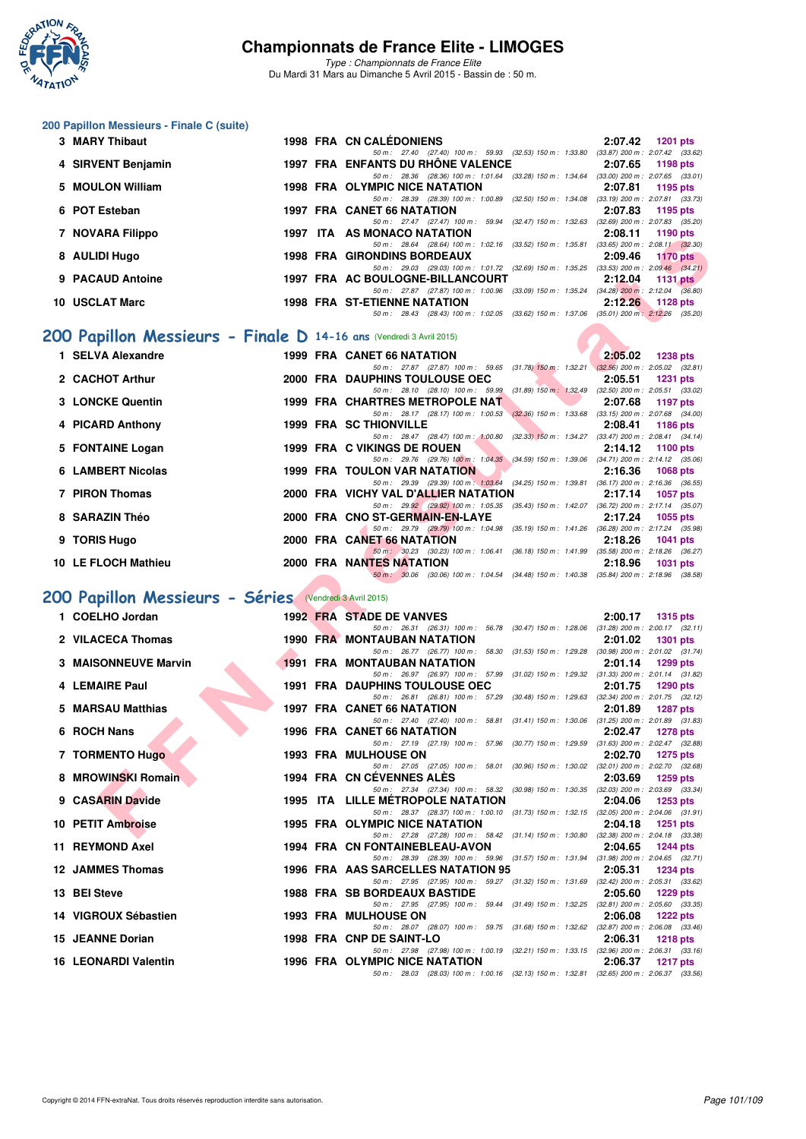

*Type : Championnats de France Elite* Du Mardi 31 Mars au Dimanche 5 Avril 2015 - Bassin de : 50 m.

#### **200 Papillon Messieurs - Finale C (suite)**

| 3 MARY Thibaut     |  | 1998 FRA CN CALÉDONIENS                                                                               | 2:07.42 1201 pts                      |                    |
|--------------------|--|-------------------------------------------------------------------------------------------------------|---------------------------------------|--------------------|
|                    |  | 50 m: 27.40 (27.40) 100 m: 59.93 (32.53) 150 m: 1:33.80 (33.87) 200 m: 2:07.42 (33.62)                |                                       |                    |
| 4 SIRVENT Benjamin |  | 1997 FRA ENFANTS DU RHÔNE VALENCE                                                                     | 2:07.65 1198 pts                      |                    |
|                    |  | 50 m: 28.36 (28.36) 100 m: 1.01.64 (33.28) 150 m: 1.34.64 (33.00) 200 m: 2:07.65 (33.01)              |                                       |                    |
| 5 MOULON William   |  | <b>1998 FRA OLYMPIC NICE NATATION</b>                                                                 | 2:07.81 1195 pts                      |                    |
|                    |  | 50 m: 28.39 (28.39) 100 m: 1:00.89 (32.50) 150 m: 1:34.08                                             | $(33.19)$ 200 m : 2:07.81 $(33.73)$   |                    |
| 6 POT Esteban      |  | 1997 FRA CANET 66 NATATION                                                                            |                                       | 2:07.83 1195 pts   |
|                    |  | 50 m: 27.47 (27.47) 100 m: 59.94<br>$(32.47)$ 150 m : 1:32.63                                         | $(32.69)$ 200 m : $2.07.83$ $(35.20)$ |                    |
| 7 NOVARA Filippo   |  | 1997 ITA AS MONACO NATATION                                                                           | 2:08.11                               | 1190 pts           |
|                    |  | 50 m : 28.64 (28.64) 100 m : 1:02.16 (33.52) 150 m : 1:35.81                                          | $(33.65)$ 200 m : 2:08.11 $(32.30)$   |                    |
| 8 AULIDI Hugo      |  | 1998 FRA GIRONDINS BORDEAUX                                                                           |                                       | $2:09.46$ 1170 pts |
|                    |  | 50 m: 29.03 (29.03) 100 m: 1:01.72 (32.69) 150 m: 1:35.25                                             | $(33.53)$ 200 m : 2:09.46 $(34.21)$   |                    |
| 9 PACAUD Antoine   |  | 1997 FRA AC BOULOGNE-BILLANCOURT                                                                      | 2:12.04                               | 1131 $pts$         |
|                    |  | $(33.09)$ 150 m : 1:35.24 $(34.28)$ 200 m : 2:12.04 $(36.80)$<br>50 m : 27.87 (27.87) 100 m : 1:00.96 |                                       |                    |
| 10 USCLAT Marc     |  | <b>1998 FRA ST-ETIENNE NATATION</b>                                                                   | 2:12.26                               | $1128$ pts         |
|                    |  | 50 m: 28.43 (28.43) 100 m: 1:02.05 (33.62) 150 m: 1:37.06 (35.01) 200 m: 2:12.26 (35.20)              |                                       |                    |

## **[200 Papillon Messieurs - Finale D](http://www.ffnatation.fr/webffn/resultats.php?idact=nat&go=epr&idcpt=27187&idepr=83) 14-16 ans** (Vendredi 3 Avril 2015)

| <b>I</b> INVERTING FIIIDDU                                         |  | <b>AS MUNACU NATATION</b><br>4.00.II<br>ີ 1 ເ <i>ລ</i> ບ ນເວ                                                                                                  |
|--------------------------------------------------------------------|--|---------------------------------------------------------------------------------------------------------------------------------------------------------------|
| 8 AULIDI Hugo                                                      |  | 50 m: 28.64 (28.64) 100 m: 1:02.16 (33.52) 150 m: 1:35.81 (33.65) 200 m: 2:08.11 (32.30)<br><b>1998 FRA GIRONDINS BORDEAUX</b><br>2:09.46<br><b>1170 pts</b>  |
|                                                                    |  | 50 m: 29.03 (29.03) 100 m: 1:01.72 (32.69) 150 m: 1:35.25 (33.53) 200 m: 2:09.46 (34.21)                                                                      |
| 9 PACAUD Antoine                                                   |  | 1997 FRA AC BOULOGNE-BILLANCOURT<br>2:12.04<br>1131 $p$ ts                                                                                                    |
| 10 USCLAT Marc                                                     |  | 50 m: 27.87 (27.87) 100 m: 1:00.96 (33.09) 150 m: 1:35.24 (34.28) 200 m: 2:12.04 (36.80)<br><b>1998 FRA ST-ETIENNE NATATION</b><br>2:12.26                    |
|                                                                    |  | 1128 pts<br>50 m: 28.43 (28.43) 100 m: 1:02.05 (33.62) 150 m: 1:37.06 (35.01) 200 m: 2:12.26 (35.20)                                                          |
|                                                                    |  |                                                                                                                                                               |
| OO Papillon Messieurs - Finale D 14-16 ans (Vendredi 3 Avril 2015) |  |                                                                                                                                                               |
| 1 SELVA Alexandre                                                  |  | <b>1999 FRA CANET 66 NATATION</b><br>2:05.02<br><b>1238 pts</b>                                                                                               |
|                                                                    |  | 50 m: 27.87 (27.87) 100 m: 59.65 (31.78) 150 m: 1.32.21 (32.56) 200 m: 2.05.02 (32.81)                                                                        |
| 2 CACHOT Arthur                                                    |  | 2000 FRA DAUPHINS TOULOUSE OEC<br>2:05.51<br><b>1231 pts</b>                                                                                                  |
| 3 LONCKE Quentin                                                   |  | 50 m: 28.10 (28.10) 100 m: 59.99 (31.89) 150 m: 1:32.49 (32.50) 200 m: 2:05.51 (33.02)<br>1999 FRA CHARTRES METROPOLE NAT<br>2:07.68<br>1197 pts              |
|                                                                    |  | 50 m: 28.17 (28.17) 100 m: 1:00.53 (32.36) 150 m: 1:33.68 (33.15) 200 m: 2:07.68 (34.00)                                                                      |
| 4 PICARD Anthony                                                   |  | <b>1999 FRA SC THIONVILLE</b><br>2:08.41<br>1186 pts                                                                                                          |
|                                                                    |  | 50 m: 28.47 (28.47) 100 m: 1:00.80 (32.33) 150 m: 1:34.27 (33.47) 200 m: 2:08.41 (34.14)                                                                      |
| 5 FONTAINE Logan                                                   |  | 1999 FRA C VIKINGS DE ROUEN<br>2:14.12<br>1100 pts                                                                                                            |
| 6 LAMBERT Nicolas                                                  |  | 50 m: 29.76 (29.76) 100 m: 1:04.35 (34.59) 150 m: 1:39.06 (34.71) 200 m: 2:14.12 (35.06)<br><b>1999 FRA TOULON VAR NATATION</b><br>2:16.36<br><b>1068 pts</b> |
|                                                                    |  | 50 m: 29.39 (29.39) 100 m: 1:03.64 (34.25) 150 m: 1:39.81 (36.17) 200 m: 2:16.36 (36.55)                                                                      |
| 7 PIRON Thomas                                                     |  | 2000 FRA VICHY VAL D'ALLIER NATATION<br>2:17.14<br><b>1057 pts</b>                                                                                            |
|                                                                    |  | 50 m: 29.92 (29.92) 100 m: 1:05.35 (35.43) 150 m: 1:42.07 (36.72) 200 m: 2:17.14 (35.07)                                                                      |
| 8 SARAZIN Théo                                                     |  | 2000 FRA CNO ST-GERMAIN-EN-LAYE<br>2:17.24<br>1055 pts                                                                                                        |
| 9 TORIS Hugo                                                       |  | 50 m: 29.79 (29.79) 100 m: 1:04.98 (35.19) 150 m: 1:41.26 (36.28) 200 m: 2:17.24 (35.98)<br>2000 FRA CANET 66 NATATION<br>2:18.26<br><b>1041 pts</b>          |
|                                                                    |  | 50 m: 30.23 (30.23) 100 m: 1:06.41 (36.18) 150 m: 1:41.99 (35.58) 200 m: 2:18.26 (36.27)                                                                      |
| 10 LE FLOCH Mathieu                                                |  | 2000 FRA NANTES NATATION<br>2:18.96<br><b>1031 pts</b>                                                                                                        |
|                                                                    |  | 50 m: 30.06 (30.06) 100 m: 1:04.54 (34.48) 150 m: 1:40.38 (35.84) 200 m: 2:18.96 (38.58)                                                                      |
| 00 Papillon Messieurs - Séries (Vendredi 3 Avril 2015)             |  |                                                                                                                                                               |
|                                                                    |  |                                                                                                                                                               |
| 1 COELHO Jordan                                                    |  | 1992 FRA STADE DE VANVES<br>2:00.17<br><b>1315 pts</b><br>50 m: 26.31 (26.31) 100 m: 56.78 (30.47) 150 m: 1:28.06 (31.28) 200 m: 2:00.17 (32.11)              |
| 2 VILACECA Thomas                                                  |  | <b>1990 FRA MONTAUBAN NATATION</b><br>2:01.02<br><b>1301 pts</b>                                                                                              |
|                                                                    |  | 50 m: 26.77 (26.77) 100 m: 58.30<br>$(31.53)$ 150 m : 1:29.28 $(30.98)$ 200 m : 2:01.02 $(31.74)$                                                             |
| <b>3 MAISONNEUVE Marvin</b>                                        |  | <b>1991 FRA MONTAUBAN NATATION</b><br>2:01.14<br>1299 pts                                                                                                     |
|                                                                    |  | 50 m: 26.97 (26.97) 100 m: 57.99 (31.02) 150 m: 1:29.32 (31.33) 200 m: 2:01.14 (31.82)                                                                        |
| 4 LEMAIRE Paul                                                     |  | 1991 FRA DAUPHINS TOULOUSE OEC<br>2:01.75<br>1290 pts<br>50 m: 26.81 (26.81) 100 m: 57.29 (30.48) 150 m: 1:29.63 (32.34) 200 m: 2:01.75 (32.12)               |
| 5 MARSAU Matthias                                                  |  | <b>1997 FRA CANET 66 NATATION</b><br>2:01.89<br><b>1287 pts</b>                                                                                               |
|                                                                    |  | 50 m: 27.40 (27.40) 100 m: 58.81 (31.41) 150 m: 1:30.06 (31.25) 200 m: 2:01.89 (31.83)                                                                        |
| 6 ROCH Nans                                                        |  | <b>1996 FRA CANET 66 NATATION</b><br>2:02.47<br><b>1278 pts</b>                                                                                               |
|                                                                    |  | 50 m: 27.19 (27.19) 100 m: 57.96 (30.77) 150 m: 1.29.59 (31.63) 200 m: 2:02.47 (32.88)                                                                        |
| 7 TORMENTO Hugo                                                    |  | <b>1993 FRA MULHOUSE ON</b><br>2:02.70<br>1275 pts<br>50 m: 27.05 (27.05) 100 m: 58.01 (30.96) 150 m: 1:30.02 (32.01) 200 m: 2:02.70 (32.68)                  |
| 8 MROWINSKI Romain                                                 |  | 1994 FRA CN CÉVENNES ALÈS<br>2:03.69<br><b>1259 pts</b>                                                                                                       |
|                                                                    |  | 50 m: 27.34 (27.34) 100 m: 58.32 (30.98) 150 m: 1:30.35 (32.03) 200 m: 2:03.69 (33.34)                                                                        |
| 9 CASARIN Davide                                                   |  | <b>1995 ITA LILLE METROPOLE NATATION</b><br>2:04.06<br><b>1253 pts</b>                                                                                        |
| 10 PETIT Ambroise                                                  |  | 50 m: 28.37 (28.37) 100 m: 1:00.10 (31.73) 150 m: 1:32.15 (32.05) 200 m: 2:04.06 (31.91)<br>1995 FRA OLYMPIC NICE NATATION<br>2:04.18<br><b>1251 pts</b>      |
|                                                                    |  | 50 m: 27.28 (27.28) 100 m: 58.42 (31.14) 150 m: 1:30.80 (32.38) 200 m: 2:04.18 (33.38)                                                                        |
|                                                                    |  |                                                                                                                                                               |

## **[200 Papillon Messieurs - Séries](http://www.ffnatation.fr/webffn/resultats.php?idact=nat&go=epr&idcpt=27187&idepr=83)** (Vendredi 3 Avril 2015)

| 1 COELHO Jordan 1992 FRA STADE DE VANVES<br>2 VILACECA Thomas 1990 FRA MONTAUBAN NATATION                                                                                                                                      |  |                                                                                                                                       | 2:00.17            | 1315 pts |  |
|--------------------------------------------------------------------------------------------------------------------------------------------------------------------------------------------------------------------------------|--|---------------------------------------------------------------------------------------------------------------------------------------|--------------------|----------|--|
|                                                                                                                                                                                                                                |  | 50 m: 26.31 (26.31) 100 m: 56.78 (30.47) 150 m: 1:28.06 (31.28) 200 m: 2:00.17 (32.11)                                                |                    |          |  |
|                                                                                                                                                                                                                                |  |                                                                                                                                       | 2:01.02 1301 pts   |          |  |
|                                                                                                                                                                                                                                |  | 50 m: 26.77 (26.77) 100 m: 58.30 (31.53) 150 m: 1:29.28 (30.98) 200 m: 2:01.02 (31.74)                                                |                    |          |  |
| 3 MAISONNEUVE Marvin                                                                                                                                                                                                           |  | <b>1991 FRA MONTAUBAN NATATION</b>                                                                                                    | 2:01.14 1299 pts   |          |  |
|                                                                                                                                                                                                                                |  | 50 m: 26.97 (26.97) 100 m: 57.99 (31.02) 150 m: 1:29.32 (31.33) 200 m: 2:01.14 (31.82)                                                |                    |          |  |
| 4 LEMAIRE Paul                                                                                                                                                                                                                 |  | 1991 FRA DAUPHINS TOULOUSE OEC                                                                                                        | 2:01.75            | 1290 pts |  |
| 5 MARSAU Matthias                                                                                                                                                                                                              |  | 50 m: 26.81 (26.81) 100 m: 57.29 (30.48) 150 m: 1:29.63 (32.34) 200 m: 2:01.75 (32.12)                                                |                    |          |  |
|                                                                                                                                                                                                                                |  | 1997 FRA CANET 66 NATATION 2:01.89 1287 pts<br>50 m: 27.40 (27.40) 100 m: 58.81 (31.41) 150 m: 1:30.06 (31.25) 200 m: 2:01.89 (31.83) |                    |          |  |
| 6 ROCH Nans                                                                                                                                                                                                                    |  | 1996 FRA CANET 66 NATATION<br>$2:02.47$ 1278 pts                                                                                      |                    |          |  |
|                                                                                                                                                                                                                                |  | 50 m: 27.19 (27.19) 100 m: 57.96 (30.77) 150 m: 1:29.59 (31.63) 200 m: 2:02.47 (32.88)                                                |                    |          |  |
|                                                                                                                                                                                                                                |  | <b>1993 FRA MULHOUSE ON</b>                                                                                                           | 2:02.70 1275 pts   |          |  |
|                                                                                                                                                                                                                                |  | 50 m: 27.05 (27.05) 100 m: 58.01 (30.96) 150 m: 1.30.02 (32.01) 200 m: 2.02.70 (32.68)                                                |                    |          |  |
|                                                                                                                                                                                                                                |  | 1994 FRA CN CÉVENNES ALÈS 2:03.69 1259 pts                                                                                            |                    |          |  |
|                                                                                                                                                                                                                                |  | 50 m: 27.34 (27.34) 100 m: 58.32 (30.98) 150 m: 1:30.35 (32.03) 200 m: 2:03.69 (33.34)                                                |                    |          |  |
| EXEREN UNIVERSITY OF THE MERIDIAN SERIES OF THE MARIN DAVID AND STRIP THAT THE MERIDIAN SERIES OF THE MERIDIAN SERIES OF THE MERIDIAN SERIES OF THE MERIDIAN SERIES OF THE MERIDIAN SERIES OF THE MERIDIAN SERIES OF THE MERID |  | 1995 ITA LILLE METROPOLE NATATION 2:04.06 1253 pts                                                                                    |                    |          |  |
|                                                                                                                                                                                                                                |  | 50 m: 28.37 (28.37) 100 m: 1:00.10 (31.73) 150 m: 1:32.15 (32.05) 200 m: 2:04.06 (31.91)                                              |                    |          |  |
|                                                                                                                                                                                                                                |  | 1995 FRA OLYMPIC NICE NATATION                                                                                                        | $2:04.18$ 1251 pts |          |  |
|                                                                                                                                                                                                                                |  | 50 m: 27.28 (27.28) 100 m: 58.42 (31.14) 150 m: 1.30.80 (32.38) 200 m: 2.04.18 (33.38)                                                |                    |          |  |
|                                                                                                                                                                                                                                |  | 1994 FRA CN FONTAINEBLEAU-AVON 2:04.65 1244 pts                                                                                       |                    |          |  |
|                                                                                                                                                                                                                                |  | 50 m: 28.39 (28.39) 100 m: 59.96 (31.57) 150 m: 1.31.94 (31.98) 200 m: 2.04.65 (32.71)                                                |                    |          |  |
|                                                                                                                                                                                                                                |  | 1996 FRA AAS SARCELLES NATATION 95 2:05.31 1234 pts                                                                                   |                    |          |  |
|                                                                                                                                                                                                                                |  | 50 m: 27.95 (27.95) 100 m: 59.27 (31.32) 150 m: 1.31.69 (32.42) 200 m: 2.05.31 (33.62)                                                | 2:05.60            |          |  |
| 13 BEI Steve                                                                                                                                                                                                                   |  | <b>1988 FRA SB BORDEAUX BASTIDE</b>                                                                                                   |                    | 1229 pts |  |
| 14 VIGROUX Sébastien                                                                                                                                                                                                           |  | 50 m: 27.95 (27.95) 100 m: 59.44 (31.49) 150 m: 1:32.25 (32.81) 200 m: 2:05.60 (33.35)<br><b>1993 FRA MULHOUSE ON</b>                 | 2:06.08 1222 pts   |          |  |
|                                                                                                                                                                                                                                |  | 50 m: 28.07 (28.07) 100 m: 59.75 (31.68) 150 m: 1:32.62 (32.87) 200 m: 2:06.08 (33.46)                                                |                    |          |  |
| <b>1998 FRA CNP DE SAINT-LO</b><br>15 JEANNE Dorian                                                                                                                                                                            |  |                                                                                                                                       | 2:06.31            | 1218 pts |  |
|                                                                                                                                                                                                                                |  | 50 m: 27.98 (27.98) 100 m: 1:00.19 (32.21) 150 m: 1:33.15 (32.96) 200 m: 2:06.31 (33.16)                                              |                    |          |  |
| 16 LEONARDI Valentin                                                                                                                                                                                                           |  | 1996 FRA OLYMPIC NICE NATATION                                                                                                        | 2:06.37            | 1217 pts |  |
|                                                                                                                                                                                                                                |  | 50 m: 28.03 (28.03) 100 m: 1:00.16 (32.13) 150 m: 1:32.81 (32.65) 200 m: 2:06.37 (33.56)                                              |                    |          |  |
|                                                                                                                                                                                                                                |  |                                                                                                                                       |                    |          |  |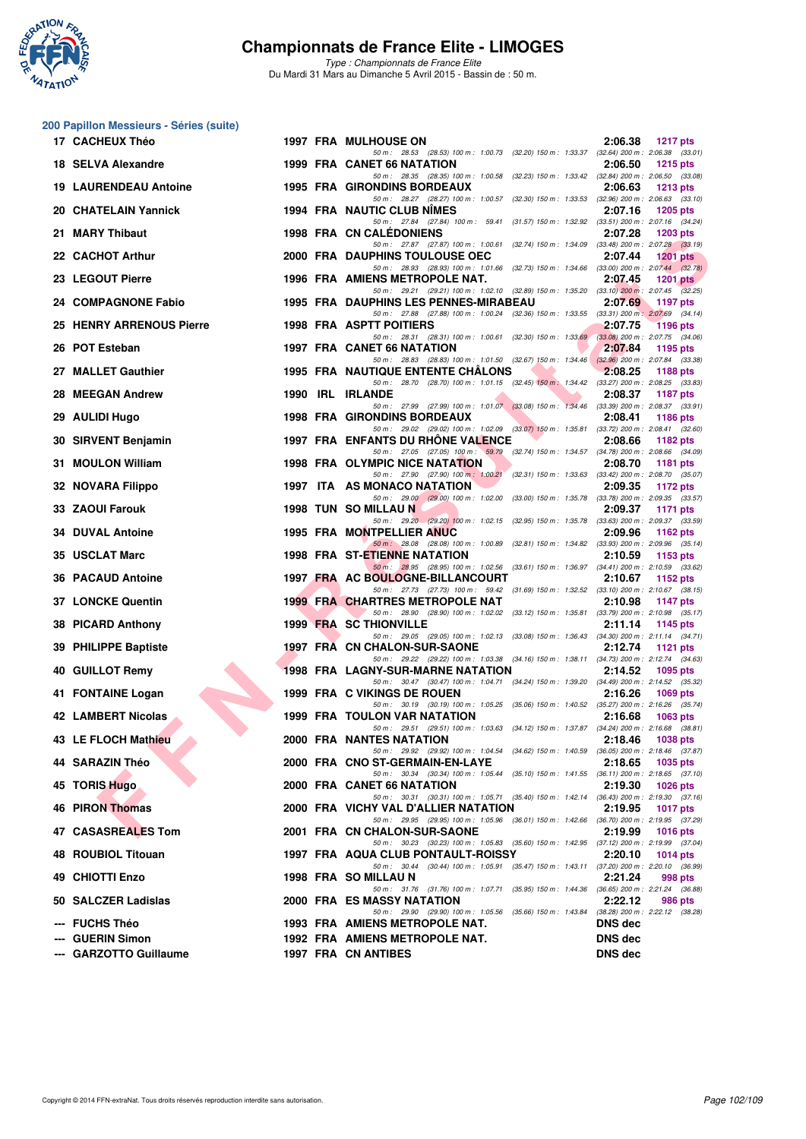

*Type : Championnats de France Elite* Du Mardi 31 Mars au Dimanche 5 Avril 2015 - Bassin de : 50 m.

#### **200 Papillon Messieurs - Séries (suite)**

| 17 CACHEUX Théo                            |      | <b>1997 FRA MULHOUSE ON</b>                                                                                                          | 2:06.38<br><b>1217 pts</b>       |
|--------------------------------------------|------|--------------------------------------------------------------------------------------------------------------------------------------|----------------------------------|
| 18 SELVA Alexandre                         |      | 50 m: 28.53 (28.53) 100 m: 1:00.73 (32.20) 150 m: 1:33.37 (32.64) 200 m: 2:06.38 (33.01)<br>1999 FRA CANET 66 NATATION               | 2:06.50<br><b>1215 pts</b>       |
| <b>19 LAURENDEAU Antoine</b>               |      | 50 m: 28.35 (28.35) 100 m: 1:00.58 (32.23) 150 m: 1:33.42 (32.84) 200 m: 2:06.50 (33.08)<br>1995 FRA GIRONDINS BORDEAUX              | 2:06.63<br>$1213$ pts            |
| 20 CHATELAIN Yannick                       |      | 50 m: 28.27 (28.27) 100 m: 1:00.57 (32.30) 150 m: 1:33.53 (32.96) 200 m: 2:06.63 (33.10)<br>1994 FRA NAUTIC CLUB NIMES               | 2:07.16<br><b>1205 pts</b>       |
| 21 MARY Thibaut                            |      | 50 m: 27.84 (27.84) 100 m: 59.41 (31.57) 150 m: 1:32.92 (33.51) 200 m: 2:07.16 (34.24)<br><b>1998 FRA CN CALEDONIENS</b>             | 2:07.28<br>1203 pts              |
| 22 CACHOT Arthur                           |      | 50 m: 27.87 (27.87) 100 m: 1:00.61 (32.74) 150 m: 1:34.09 (33.48) 200 m: 2:07.28 (33.19)<br>2000 FRA DAUPHINS TOULOUSE OEC           | 2:07.44<br><b>1201 pts</b>       |
| 23 LEGOUT Pierre                           |      | 50 m: 28.93 (28.93) 100 m: 1:01.66 (32.73) 150 m: 1:34.66 (33.00) 200 m: 2:07.44 (32.78)<br>1996 FRA AMIENS METROPOLE NAT.           | 2:07.45<br>1201 $pts$            |
| 24 COMPAGNONE Fabio                        |      | 50 m: 29.21 (29.21) 100 m: 1:02.10 (32.89) 150 m: 1:35.20 (33.10) 200 m: 2:07.45 (32.25)<br>1995 FRA DAUPHINS LES PENNES-MIRABEAU    | 2:07.69<br>1197 pts              |
| 25 HENRY ARRENOUS Pierre                   |      | 50 m: 27.88 (27.88) 100 m: 1:00.24 (32.36) 150 m: 1:33.55 (33.31) 200 m: 2:07.69 (34.14)<br><b>1998 FRA ASPTT POITIERS</b>           | 2:07.75<br><b>1196 pts</b>       |
| 26 POT Esteban                             |      | 50 m: 28.31 (28.31) 100 m: 1:00.61 (32.30) 150 m: 1:33.69 (33.08) 200 m: 2:07.75 (34.06)<br>1997 FRA CANET 66 NATATION               | 2:07.84<br>1195 pts              |
| 27 MALLET Gauthier                         |      | 50 m: 28.83 (28.83) 100 m: 1:01.50 (32.67) 150 m: 1:34.46 (32.96) 200 m: 2:07.84 (33.38)<br><b>1995 FRA NAUTIQUE ENTENTE CHALONS</b> | 2:08.25<br>1188 pts              |
| 28 MEEGAN Andrew                           | 1990 | 50 m: 28.70 (28.70) 100 m: 1:01.15 (32.45) 150 m: 1:34.42 (33.27) 200 m: 2:08.25 (33.83)<br><b>IRL IRLANDE</b>                       | 2:08.37<br><b>1187 pts</b>       |
| 29 AULIDI Hugo                             |      | 50 m: 27.99 (27.99) 100 m: 1:01.07 (33.08) 150 m: 1:34.46 (33.39) 200 m: 2:08.37 (33.91)<br><b>1998 FRA GIRONDINS BORDEAUX</b>       | 2:08.41<br>1186 pts              |
| 30 SIRVENT Benjamin                        |      | 50 m: 29.02 (29.02) 100 m: 1:02.09 (33.07) 150 m: 1:35.81 (33.72) 200 m: 2:08.41 (32.60)<br>1997 FRA ENFANTS DU RHONE VALENCE        | 2:08.66<br>1182 pts              |
| 31 MOULON William                          |      | 50 m: 27.05 (27.05) 100 m: 59.79 (32.74) 150 m: 1.34.57 (34.78) 200 m: 2:08.66 (34.09)<br>1998 FRA OLYMPIC NICE NATATION             | 2:08.70<br><b>1181 pts</b>       |
| 32 NOVARA Filippo                          |      | 50 m: 27.90 (27.90) 100 m: 1:00.21 (32.31) 150 m: 1:33.63 (33.42) 200 m: 2:08.70 (35.07)<br>1997 ITA AS MONACO NATATION              | 2:09.35<br>1172 pts              |
| 33 ZAOUI Farouk                            |      | 50 m: 29.00 (29.00) 100 m: 1:02.00 (33.00) 150 m: 1:35.78 (33.78) 200 m: 2:09.35 (33.57)<br>1998 TUN SO MILLAU N                     | 2:09.37<br>1171 pts              |
| <b>34 DUVAL Antoine</b>                    |      | 50 m: 29.20 (29.20) 100 m: 1:02.15 (32.95) 150 m: 1:35.78 (33.63) 200 m: 2:09.37 (33.59)<br><b>1995 FRA MONTPELLIER ANUC</b>         | 2:09.96<br>1162 pts              |
| 35 USCLAT Marc                             |      | 50 m : 28.08 (28.08) 100 m : 1:00.89 (32.81) 150 m : 1:34.82 (33.93) 200 m : 2:09.96 (35.14)<br><b>1998 FRA ST-ETIENNE NATATION</b>  | 2:10.59                          |
| <b>36 PACAUD Antoine</b>                   |      | 50 m: 28.95 (28.95) 100 m: 1:02.56 (33.61) 150 m: 1:36.97 (34.41) 200 m: 2:10.59 (33.62)                                             | 1153 pts                         |
|                                            |      | 1997 FRA AC BOULOGNE-BILLANCOURT<br>50 m: 27.73 (27.73) 100 m: 59.42 (31.69) 150 m: 1:32.52 (33.10) 200 m: 2:10.67 (38.15)           | 2:10.67<br>1152 $pts$            |
| <b>37 LONCKE Quentin</b>                   |      | <b>1999 FRA CHARTRES METROPOLE NAT</b><br>50 m: 28.90 (28.90) 100 m: 1:02.02 (33.12) 150 m: 1:35.81 (33.79) 200 m: 2:10.98 (35.17)   | 2:10.98<br><b>1147 pts</b>       |
| 38 PICARD Anthony                          |      | 1999 FRA SC THIONVILLE<br>50 m: 29.05 (29.05) 100 m: 1:02.13 (33.08) 150 m: 1:36.43 (34.30) 200 m: 2:11.14 (34.71)                   | 2:11.14<br>1145 pts              |
| 39 PHILIPPE Baptiste                       |      | 1997 FRA CN CHALON-SUR-SAONE<br>50 m : 29.22 (29.22) 100 m : 1:03.38 (34.16) 150 m : 1:38.11 (34.73) 200 m : 2:12.74 (34.63)         | 2:12.74<br>1121 $pts$            |
| 40 GUILLOT Remy                            |      | <b>1998 FRA LAGNY-SUR-MARNE NATATION</b><br>50 m: 30.47 (30.47) 100 m: 1:04.71 (34.24) 150 m: 1:39.20 (34.49) 200 m: 2:14.52 (35.32) | 2:14.52<br>1095 pts              |
| 41 FONTAINE Logan                          |      | 1999 FRA C VIKINGS DE ROUEN<br>50 m: 30.19 (30.19) 100 m: 1:05.25 (35.06) 150 m: 1:40.52 (35.27) 200 m: 2:16.26 (35.74)              | 2:16.26<br>1069 pts              |
| 42 LAMBERT Nicolas                         |      | 1999 FRA TOULON VAR NATATION<br>50 m: 29.51 (29.51) 100 m: 1:03.63 (34.12) 150 m: 1:37.87 (34.24) 200 m: 2:16.68 (38.81)             | 2:16.68<br>1063 pts              |
| 43 LE FLOCH Mathieu                        |      | 2000 FRA NANTES NATATION<br>50 m : 29.92 (29.92) 100 m : 1:04.54 (34.62) 150 m : 1:40.59 (36.05) 200 m : 2:18.46 (37.87)             | 2:18.46<br><b>1038 pts</b>       |
| 44 SARAZIN Théo                            |      | 2000 FRA CNO ST-GERMAIN-EN-LAYE<br>50 m: 30.34 (30.34) 100 m: 1:05.44 (35.10) 150 m: 1:41.55 (36.11) 200 m: 2:18.65 (37.10)          | 2:18.65<br><b>1035 pts</b>       |
| 45 TORIS Hugo                              |      | 2000 FRA CANET 66 NATATION<br>50 m: 30.31 (30.31) 100 m: 1:05.71 (35.40) 150 m: 1:42.14 (36.43) 200 m: 2:19.30 (37.16)               | 2:19.30<br>1026 pts              |
| <b>46 PIRON Thomas</b>                     |      | 2000 FRA VICHY VAL D'ALLIER NATATION<br>50 m: 29.95 (29.95) 100 m: 1:05.96 (36.01) 150 m: 1:42.66 (36.70) 200 m: 2:19.95 (37.29)     | 2:19.95<br><b>1017 pts</b>       |
| 47 CASASREALES Tom                         |      | 2001 FRA CN CHALON-SUR-SAONE<br>50 m: 30.23 (30.23) 100 m: 1:05.83 (35.60) 150 m: 1:42.95 (37.12) 200 m: 2:19.99 (37.04)             | 2:19.99<br><b>1016 pts</b>       |
| 48 ROUBIOL Titouan                         |      | 1997 FRA AQUA CLUB PONTAULT-ROISSY<br>50 m: 30.44 (30.44) 100 m: 1:05.91 (35.47) 150 m: 1:43.11 (37.20) 200 m: 2:20.10 (36.99)       | 2:20.10<br>1014 pts              |
| 49 CHIOTTI Enzo                            |      | 1998 FRA SO MILLAU N<br>50 m: 31.76 (31.76) 100 m: 1:07.71 (35.95) 150 m: 1:44.36 (36.65) 200 m: 2:21.24 (36.88)                     | 2:21.24<br>998 pts               |
| 50 SALCZER Ladislas                        |      | 2000 FRA ES MASSY NATATION<br>50 m: 29.90 (29.90) 100 m: 1:05.56 (35.66) 150 m: 1:43.84 (38.28) 200 m: 2:22.12 (38.28)               | 2:22.12<br>986 pts               |
| --- FUCHS Théo                             |      | 1993 FRA AMIENS METROPOLE NAT.                                                                                                       | <b>DNS</b> dec                   |
| --- GUERIN Simon<br>--- GARZOTTO Guillaume |      | 1992 FRA AMIENS METROPOLE NAT.<br>1997 FRA CN ANTIBES                                                                                | <b>DNS dec</b><br><b>DNS dec</b> |
|                                            |      |                                                                                                                                      |                                  |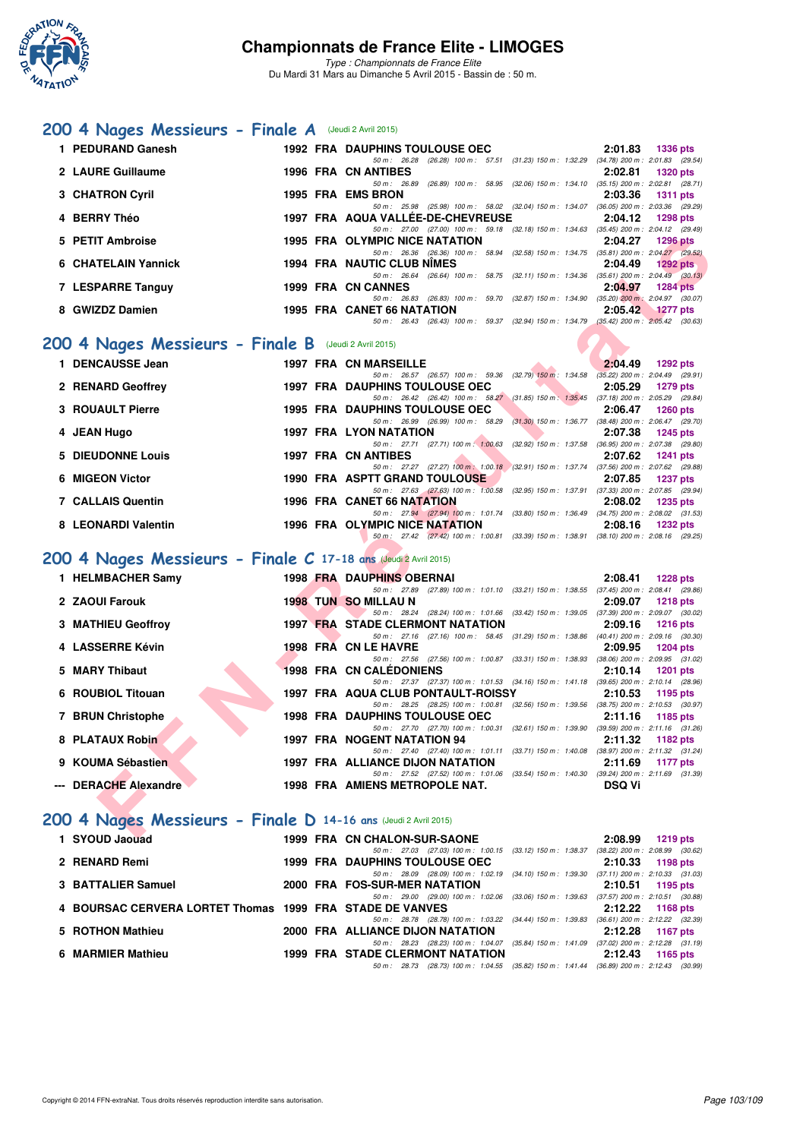

Du Mardi 31 Mars au Dimanche 5 Avril 2015 - Bassin de : 50 m.

### [200 4 Nages Messieurs - Finale A](http://www.ffnatation.fr/webffn/resultats.php?idact=nat&go=epr&idcpt=27187&idepr=91) (Jeudi 2 Avril 2015)

| 1 PEDURAND Ganesh   | <b>1992 FRA DAUPHINS TOULOUSE OEC</b>                                                                | 2:01.83                   | <b>1336 pts</b>                     |
|---------------------|------------------------------------------------------------------------------------------------------|---------------------------|-------------------------------------|
|                     |                                                                                                      |                           |                                     |
|                     | (26.28) 100 m : 57.51 (31.23) 150 m : 1:32.29<br>50 m: 26.28                                         |                           | $(34.78)$ 200 m : 2:01.83 $(29.54)$ |
| 2 LAURE Guillaume   | <b>1996 FRA CN ANTIBES</b>                                                                           | 2:02.81                   | <b>1320 pts</b>                     |
|                     | $(26.89)$ 100 m : 58.95<br>(32.06) 150 m : 1:34.10<br>$50 \text{ m}$ : 26.89                         |                           | $(35.15)$ 200 m : 2:02.81 $(28.71)$ |
| 3 CHATRON Cyril     | 1995 FRA EMS BRON                                                                                    | 2:03.36                   | <b>1311 pts</b>                     |
|                     | (25.98) 100 m: 58.02 (32.04) 150 m: 1.34.07 (36.05) 200 m: 2.03.36 (29.29)<br>$50 \text{ m}$ : 25.98 |                           |                                     |
| 4 BERRY Théo        | 1997 FRA AQUA VALLÉE-DE-CHEVREUSE                                                                    | 2:04.12                   | <b>1298 pts</b>                     |
|                     | 50 m: 27.00 (27.00) 100 m: 59.18 (32.18) 150 m: 1:34.63                                              |                           | $(35.45)$ 200 m : 2:04.12 $(29.49)$ |
| 5 PETIT Ambroise    | <b>1995 FRA OLYMPIC NICE NATATION</b>                                                                | 2:04.27                   | <b>1296 pts</b>                     |
|                     | 50 m: 26.36 (26.36) 100 m: 58.94 (32.58) 150 m: 1:34.75                                              |                           | $(35.81)$ 200 m : 2:04.27 $(29.52)$ |
| 6 CHATELAIN Yannick | 1994 FRA NAUTIC CLUB NIMES                                                                           | 2:04.49                   | 1292 pts                            |
|                     | $(26.64)$ 100 m :<br>58.75 (32.11) 150 m : 1:34.36<br>50 m: 26.64                                    |                           | $(35.61)$ 200 m : 2:04.49 $(30.13)$ |
| 7 LESPARRE Tanguy   | 1999 FRA CN CANNES                                                                                   | 2:04.97                   | <b>1284 pts</b>                     |
|                     | (32.87) 150 m : 1:34.90<br>50 m: 26.83<br>$(26.83)$ 100 m : 59.70                                    |                           | $(35.20)$ 200 m : 2:04.97 $(30.07)$ |
| 8 GWIZDZ Damien     | 1995 FRA CANET 66 NATATION                                                                           | 2:05.42                   | $1277$ pts                          |
|                     | (32.94) 150 m : 1:34.79<br>$(26.43)$ 100 m : 59.37<br>$50 \text{ m}$ : 26.43                         | $(35.42)$ 200 m : 2:05.42 | (30.63)                             |

## **[200 4 Nages Messieurs - Finale B](http://www.ffnatation.fr/webffn/resultats.php?idact=nat&go=epr&idcpt=27187&idepr=91)** (Jeudi 2 Avril 2015)

| 1 DENCAUSSE Jean         |  | <b>1997 FRA CN MARSEILLE</b>                            |                             | 2:04.49 | 1292 pts                            |
|--------------------------|--|---------------------------------------------------------|-----------------------------|---------|-------------------------------------|
|                          |  | 50 m: 26.57 (26.57) 100 m: 59.36 (32.79) 150 m: 1:34.58 |                             |         | $(35.22)$ 200 m : 2:04.49 (29.91)   |
| 2 RENARD Geoffrey        |  | <b>1997 FRA DAUPHINS TOULOUSE OEC</b>                   |                             | 2:05.29 | <b>1279 pts</b>                     |
|                          |  | 50 m: 26.42 (26.42) 100 m: 58.27                        | $(31.85)$ 150 m $: 1.35.45$ |         | $(37.18)$ 200 m : 2:05.29 $(29.84)$ |
| 3 ROUAULT Pierre         |  | <b>1995 FRA DAUPHINS TOULOUSE OEC</b>                   |                             | 2:06.47 | <b>1260 pts</b>                     |
|                          |  | 50 m : 26.99 (26.99) 100 m : 58.29                      | $(31.30)$ 150 m : 1:36.77   |         | $(38.48)$ 200 m : 2:06.47 $(29.70)$ |
| 4 JEAN Hugo              |  | <b>1997 FRA LYON NATATION</b>                           |                             | 2:07.38 | <b>1245 pts</b>                     |
|                          |  | 50 m: 27.71 (27.71) 100 m: 1:00.63                      | $(32.92)$ 150 m : 1:37.58   |         | $(36.95)$ 200 m : 2:07.38 (29.80)   |
|                          |  |                                                         |                             |         |                                     |
| 5 DIEUDONNE Louis        |  | 1997 FRA CN ANTIBES                                     |                             | 2:07.62 | $1241$ pts                          |
|                          |  | 50 m : 27.27 (27.27) 100 m : 1:00.18                    | $(32.91)$ 150 m : 1:37.74   |         | $(37.56)$ 200 m : 2:07.62 $(29.88)$ |
| 6 MIGEON Victor          |  | <b>1990 FRA ASPTT GRAND TOULOUSE</b>                    |                             | 2:07.85 | <b>1237 pts</b>                     |
|                          |  | 50 m : 27.63 (27.63) 100 m : 1:00.58                    | $(32.95)$ 150 m : 1:37.91   |         | $(37.33)$ 200 m : 2:07.85 $(29.94)$ |
| <b>7 CALLAIS Quentin</b> |  | 1996 FRA CANET 66 NATATION                              |                             | 2:08.02 | 1235 pts                            |
|                          |  | 50 m: 27.94 (27.94) 100 m: 1:01.74                      | $(33.80)$ 150 m : 1:36.49   |         | $(34.75)$ 200 m : 2:08.02 $(31.53)$ |
| 8 LEONARDI Valentin      |  | 1996 FRA OLYMPIC NICE NATATION                          |                             | 2:08.16 | <b>1232 pts</b>                     |

## **[200 4 Nages Messieurs - Finale C](http://www.ffnatation.fr/webffn/resultats.php?idact=nat&go=epr&idcpt=27187&idepr=91) 17-18 ans** (Jeudi 2 Avril 2015)

| 5 PETIT Ambroise                                               | <b>1995 FRA OLYMPIC NICE NATATION</b>                                                                                          | 2:04.27<br><b>1296 pts</b> |
|----------------------------------------------------------------|--------------------------------------------------------------------------------------------------------------------------------|----------------------------|
|                                                                | 50 m: 26.36 (26.36) 100 m: 58.94 (32.58) 150 m: 1.34.75 (35.81) 200 m: 2:04.27 (29.52)                                         |                            |
| <b>6 CHATELAIN Yannick</b>                                     | <b>1994 FRA NAUTIC CLUB NIMES</b>                                                                                              | 2:04.49<br>$1292$ pts      |
| 7 LESPARRE Tanguy                                              | 50 m: 26.64 (26.64) 100 m: 58.75 (32.11) 150 m: 1:34.36 (35.61) 200 m: 2:04.49 (30.13)<br>1999 FRA CN CANNES                   | 2:04.97<br><b>1284 pts</b> |
|                                                                | 50 m: 26.83 (26.83) 100 m: 59.70 (32.87) 150 m: 1:34.90 (35.20) 200 m: 2:04.97 (30.07)                                         |                            |
| 8 GWIZDZ Damien                                                | 1995 FRA CANET 66 NATATION                                                                                                     | 2:05.42<br><b>1277 pts</b> |
|                                                                | 50 m: 26.43 (26.43) 100 m: 59.37 (32.94) 150 m: 1:34.79 (35.42) 200 m: 2:05.42 (30.63)                                         |                            |
| 00 4 Nages Messieurs - Finale B (Jeudi 2 Avril 2015)           |                                                                                                                                |                            |
| 1 DENCAUSSE Jean                                               | <b>1997 FRA CN MARSEILLE</b><br>50 m: 26.57 (26.57) 100 m: 59.36 (32.79) 150 m: 1.34.58 (35.22) 200 m: 2.04.49 (29.91)         | 2:04.49<br>1292 pts        |
| 2 RENARD Geoffrey                                              | <b>1997 FRA DAUPHINS TOULOUSE OEC</b>                                                                                          | 2:05.29<br>1279 pts        |
|                                                                | 50 m: 26.42 (26.42) 100 m: 58.27 (31.85) 150 m: 1:35.45 (37.18) 200 m: 2:05.29 (29.84)                                         |                            |
| 3 ROUAULT Pierre                                               | <b>1995 FRA DAUPHINS TOULOUSE OEC</b>                                                                                          | 2:06.47<br><b>1260 pts</b> |
|                                                                | 50 m: 26.99 (26.99) 100 m: 58.29 (31.30) 150 m: 1:36.77 (38.48) 200 m: 2:06.47 (29.70)                                         |                            |
| 4 JEAN Hugo                                                    | <b>1997 FRA LYON NATATION</b>                                                                                                  | 2:07.38<br>1245 pts        |
|                                                                | 50 m: 27.71 (27.71) 100 m: 1:00.63 (32.92) 150 m: 1:37.58 (36.95) 200 m: 2:07.38 (29.80)                                       |                            |
| <b>5 DIEUDONNE Louis</b>                                       | <b>1997 FRA CN ANTIBES</b><br>50 m: 27.27 (27.27) 100 m: 1:00.18 (32.91) 150 m: 1:37.74 (37.56) 200 m: 2:07.62 (29.88)         | 2:07.62<br><b>1241 pts</b> |
| 6 MIGEON Victor                                                | <b>1990 FRA ASPTT GRAND TOULOUSE</b>                                                                                           | 2:07.85<br>1237 pts        |
|                                                                | 50 m: 27.63 (27.63) 100 m: 1:00.58 (32.95) 150 m: 1:37.91 (37.33) 200 m: 2:07.85 (29.94)                                       |                            |
| <b>7 CALLAIS Quentin</b>                                       | 1996 FRA CANET 66 NATATION                                                                                                     | 2:08.02<br>1235 pts        |
|                                                                | 50 m: 27.94 (27.94) 100 m: 1:01.74 (33.80) 150 m: 1:36.49 (34.75) 200 m: 2:08.02 (31.53)                                       |                            |
| 8 LEONARDI Valentin                                            | 1996 FRA OLYMPIC NICE NATATION<br>50 m: 27.42 (27.42) 100 m: 1:00.81 (33.39) 150 m: 1:38.91 (38.10) 200 m: 2:08.16 (29.25)     | 2:08.16<br>1232 pts        |
| 00 4 Nages Messieurs - Finale C 17-18 ans (Jeudi 2 Avril 2015) |                                                                                                                                |                            |
| 1 HELMBACHER Samy                                              | <b>1998 FRA DAUPHINS OBERNAI</b>                                                                                               | 2:08.41<br><b>1228 pts</b> |
| 2 ZAOUI Farouk                                                 | 50 m: 27.89 (27.89) 100 m: 1:01.10 (33.21) 150 m: 1:38.55 (37.45) 200 m: 2:08.41 (29.86)<br><b>1998 TUN SO MILLAU N</b>        | 2:09.07                    |
|                                                                | 50 m: 28.24 (28.24) 100 m: 1:01.66 (33.42) 150 m: 1:39.05 (37.39) 200 m: 2:09.07 (30.02)                                       | <b>1218 pts</b>            |
| 3 MATHIEU Geoffroy                                             | <b>1997 FRA STADE CLERMONT NATATION</b>                                                                                        | 2:09.16<br><b>1216 pts</b> |
|                                                                | 50 m: 27.16 (27.16) 100 m: 58.45 (31.29) 150 m: 1:38.86 (40.41) 200 m: 2:09.16 (30.30)                                         |                            |
| 4 LASSERRE Kévin                                               | 1998 FRA CN LE HAVRE                                                                                                           | 2:09.95<br><b>1204 pts</b> |
|                                                                | 50 m: 27.56 (27.56) 100 m: 1:00.87 (33.31) 150 m: 1:38.93 (38.06) 200 m: 2:09.95 (31.02)                                       |                            |
| 5 MARY Thibaut                                                 | <b>1998 FRA CN CALEDONIENS</b>                                                                                                 | 2:10.14<br>1201 pts        |
| 6 ROUBIOL Titouan                                              | 50 m: 27.37 (27.37) 100 m: 1:01.53 (34.16) 150 m: 1:41.18 (39.65) 200 m: 2:10.14 (28.96)<br>1997 FRA AQUA CLUB PONTAULT-ROISSY | 2:10.53<br>1195 pts        |
|                                                                | 50 m: 28.25 (28.25) 100 m: 1:00.81 (32.56) 150 m: 1:39.56 (38.75) 200 m: 2:10.53 (30.97)                                       |                            |
| 7 BRUN Christophe                                              | <b>1998 FRA DAUPHINS TOULOUSE OEC</b>                                                                                          | 2:11.16<br>1185 pts        |
|                                                                | 50 m: 27.70 (27.70) 100 m: 1:00.31 (32.61) 150 m: 1:39.90 (39.59) 200 m: 2:11.16 (31.26)                                       |                            |
| 8 PLATAUX Robin                                                | 1997 FRA NOGENT NATATION 94                                                                                                    | 2:11.32<br>1182 pts        |
|                                                                | 50 m: 27.40 (27.40) 100 m: 1:01.11 (33.71) 150 m: 1:40.08 (38.97) 200 m: 2:11.32 (31.24)                                       |                            |
| 9 KOUMA Sébastien                                              | 1997 FRA ALLIANCE DIJON NATATION                                                                                               | 2:11.69<br>1177 $pts$      |
| --- DERACHE Alexandre                                          | 50 m: 27.52 (27.52) 100 m: 1:01.06 (33.54) 150 m: 1:40.30 (39.24) 200 m: 2:11.69 (31.39)<br>1998 FRA AMIENS METROPOLE NAT.     | <b>DSQ Vi</b>              |
| 00 4 Nages Messieurs - Finale D 14-16 ans (Jeudi 2 Avril 2015) |                                                                                                                                |                            |
| <b>EXALID Joseph H</b>                                         | 1000 EDA ON CHALON CUP CAONE                                                                                                   | $0.0000 - 1010 + 1$        |

## **[200 4 Nages Messieurs - Finale D](http://www.ffnatation.fr/webffn/resultats.php?idact=nat&go=epr&idcpt=27187&idepr=91) 14-16 ans** (Jeudi 2 Avril 2015)

| 1 SYOUD Jaouad                                           |  | 1999 FRA CN CHALON-SUR-SAONE            |              |                         |                                                                                              | 2:08.99 | 1219 pts                            |  |
|----------------------------------------------------------|--|-----------------------------------------|--------------|-------------------------|----------------------------------------------------------------------------------------------|---------|-------------------------------------|--|
|                                                          |  |                                         |              |                         | 50 m: 27.03 (27.03) 100 m: 1:00.15 (33.12) 150 m: 1:38.37                                    |         | $(38.22)$ 200 m : 2:08.99 $(30.62)$ |  |
| 2 RENARD Remi                                            |  | <b>1999 FRA DAUPHINS TOULOUSE OEC</b>   |              |                         |                                                                                              |         | 2:10.33 1198 pts                    |  |
|                                                          |  |                                         |              |                         | 50 m: 28.09 (28.09) 100 m: 1:02.19 (34.10) 150 m: 1:39.30                                    |         | $(37.11)$ 200 m : 2:10.33 $(31.03)$ |  |
| 3 BATTALIER Samuel                                       |  | 2000 FRA FOS-SUR-MER NATATION           |              |                         |                                                                                              |         | $2:10.51$ 1195 pts                  |  |
|                                                          |  |                                         |              |                         | 50 m: 29.00 (29.00) 100 m: 1:02.06 (33.06) 150 m: 1:39.63                                    |         | $(37.57)$ 200 m : 2:10.51 $(30.88)$ |  |
| 4 BOURSAC CERVERA LORTET Thomas 1999 FRA STADE DE VANVES |  |                                         |              |                         |                                                                                              |         | 2:12.22 1168 pts                    |  |
|                                                          |  |                                         |              |                         | 50 m: 28.78 (28.78) 100 m: 1:03.22 (34.44) 150 m: 1:39.83                                    |         | $(36.61)$ 200 m : 2:12.22 $(32.39)$ |  |
| 5 ROTHON Mathieu                                         |  | 2000 FRA ALLIANCE DIJON NATATION        |              |                         |                                                                                              | 2:12.28 | 1167 pts                            |  |
|                                                          |  |                                         | 50 m : 28.23 | (28.23) 100 m : 1:04.07 | $(35.84)$ 150 m : 1:41.09                                                                    |         | $(37.02)$ 200 m : 2:12.28 $(31.19)$ |  |
| 6 MARMIER Mathieu                                        |  | <b>1999 FRA STADE CLERMONT NATATION</b> |              |                         |                                                                                              | 2:12.43 | 1165 pts                            |  |
|                                                          |  |                                         |              |                         | 50 m : 28.73 (28.73) 100 m : 1:04.55 (35.82) 150 m : 1:41.44 (36.89) 200 m : 2:12.43 (30.99) |         |                                     |  |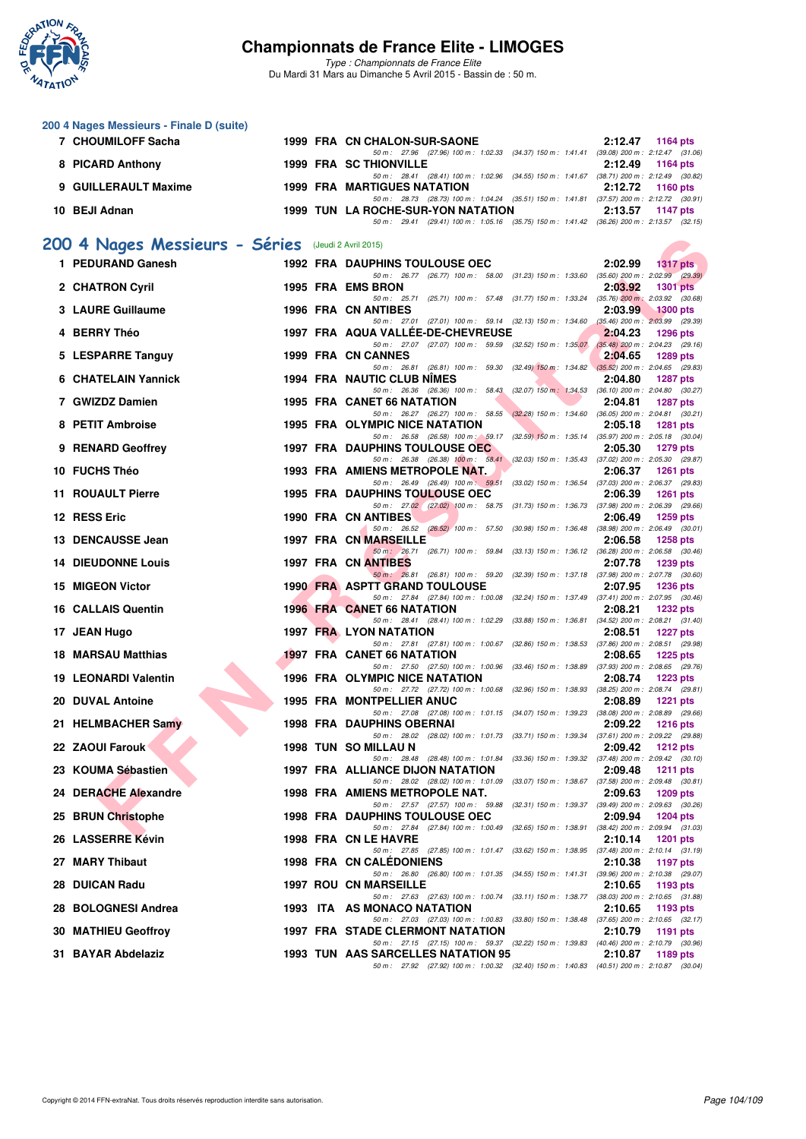

| 200 4 Nages Messieurs - Finale D (suite)                                 |  |                                                                                                                                 |         |                    |
|--------------------------------------------------------------------------|--|---------------------------------------------------------------------------------------------------------------------------------|---------|--------------------|
| 7 CHOUMILOFF Sacha                                                       |  | 1999 FRA CN CHALON-SUR-SAONE<br>50 m: 27.96 (27.96) 100 m: 1:02.33 (34.37) 150 m: 1:41.41 (39.08) 200 m: 2:12.47 (31.06)        |         | $2:12.47$ 1164 pts |
| 8 PICARD Anthony                                                         |  | <b>1999 FRA SC THIONVILLE</b><br>50 m: 28.41 (28.41) 100 m: 1:02.96 (34.55) 150 m: 1:41.67 (38.71) 200 m: 2:12.49 (30.82)       | 2:12.49 | 1164 pts           |
| 9 GUILLERAULT Maxime                                                     |  | <b>1999 FRA MARTIGUES NATATION</b><br>50 m: 28.73 (28.73) 100 m: 1:04.24 (35.51) 150 m: 1:41.81 (37.57) 200 m: 2:12.72 (30.91)  | 2:12.72 | 1160 pts           |
| 10 BEJI Adnan                                                            |  | 1999 TUN LA ROCHE-SUR-YON NATATION                                                                                              | 2:13.57 | <b>1147 pts</b>    |
|                                                                          |  | 50 m: 29.41 (29.41) 100 m: 1:05.16 (35.75) 150 m: 1:41.42 (36.26) 200 m: 2:13.57 (32.15)                                        |         |                    |
| 200 4 Nages Messieurs - Séries (Jeudi 2 Avril 2015)<br>1 PEDURAND Ganesh |  |                                                                                                                                 |         |                    |
|                                                                          |  | 1992 FRA DAUPHINS TOULOUSE OEC<br>50 m: 26.77 (26.77) 100 m: 58.00 (31.23) 150 m: 1:33.60 (35.60) 200 m: 2:02.99 (29.39)        | 2:02.99 | <b>1317 pts</b>    |
| 2 CHATRON Cyril                                                          |  | 1995 FRA EMS BRON<br>50 m: 25.71 (25.71) 100 m: 57.48 (31.77) 150 m: 1:33.24 (35.76) 200 m: 2:03.92 (30.68)                     | 2:03.92 | <b>1301 pts</b>    |
| 3 LAURE Guillaume                                                        |  | <b>1996 FRA CN ANTIBES</b><br>50 m: 27.01 (27.01) 100 m: 59.14 (32.13) 150 m: 1:34.60 (35.46) 200 m: 2:03.99 (29.39)            | 2:03.99 | <b>1300 pts</b>    |
| 4 BERRY Théo                                                             |  | 1997 FRA AQUA VALLEE-DE-CHEVREUSE<br>50 m: 27.07 (27.07) 100 m: 59.59 (32.52) 150 m: 1:35.07 (35.48) 200 m: 2:04.23 (29.16)     | 2:04.23 | <b>1296 pts</b>    |
| 5 LESPARRE Tanguy                                                        |  | 1999 FRA CN CANNES                                                                                                              | 2:04.65 | <b>1289 pts</b>    |
| 6 CHATELAIN Yannick                                                      |  | 50 m: 26.81 (26.81) 100 m: 59.30 (32.49) 150 m: 1:34.82 (35.52) 200 m: 2:04.65 (29.83)<br>1994 FRA NAUTIC CLUB NIMES            | 2:04.80 | <b>1287 pts</b>    |
| 7 GWIZDZ Damien                                                          |  | 50 m: 26.36 (26.36) 100 m: 58.43 (32.07) 150 m: 1.34.53 (36.10) 200 m: 2.04.80 (30.27)<br>1995 FRA CANET 66 NATATION            | 2:04.81 | <b>1287 pts</b>    |
| 8 PETIT Ambroise                                                         |  | 50 m: 26.27 (26.27) 100 m: 58.55 (32.28) 150 m: 1:34.60 (36.05) 200 m: 2:04.81 (30.21)<br><b>1995 FRA OLYMPIC NICE NATATION</b> | 2:05.18 | <b>1281 pts</b>    |
| 9 RENARD Geoffrey                                                        |  | 50 m: 26.58 (26.58) 100 m: 59.17 (32.59) 150 m: 1:35.14 (35.97) 200 m: 2:05.18 (30.04)<br><b>1997 FRA DAUPHINS TOULOUSE OEC</b> | 2:05.30 | <b>1279 pts</b>    |
| 10 FUCHS Théo                                                            |  | 50 m: 26.38 (26.38) 100 m: 58.41 (32.03) 150 m: 1:35.43 (37.02) 200 m: 2:05.30 (29.87)                                          | 2:06.37 |                    |
|                                                                          |  | 1993 FRA AMIENS METROPOLE NAT.<br>50 m: 26.49 (26.49) 100 m: 59.51 (33.02) 150 m: 1:36.54 (37.03) 200 m: 2:06.37 (29.83)        |         | 1261 pts           |
| 11 ROUAULT Pierre                                                        |  | <b>1995 FRA DAUPHINS TOULOUSE OEC</b><br>50 m: 27.02 (27.02) 100 m: 58.75 (31.73) 150 m: 1:36.73 (37.98) 200 m: 2:06.39 (29.66) | 2:06.39 | <b>1261 pts</b>    |
| 12 RESS Eric                                                             |  | 1990 FRA CN ANTIBES<br>50 m : 26.52 (26.52) 100 m : 57.50 (30.98) 150 m : 1:36.48 (38.98) 200 m : 2:06.49 (30.01)               | 2:06.49 | 1259 pts           |
| 13 DENCAUSSE Jean                                                        |  | 1997 FRA CN MARSEILLE<br>50 m: 26.71 (26.71) 100 m: 59.84 (33.13) 150 m: 1:36.12 (36.28) 200 m: 2:06.58 (30.46)                 | 2:06.58 | <b>1258 pts</b>    |
| <b>14 DIEUDONNE Louis</b>                                                |  | 1997 FRA CN ANTIBES<br>50 m: 26.81 (26.81) 100 m: 59.20 (32.39) 150 m: 1:37.18 (37.98) 200 m: 2:07.78 (30.60)                   | 2:07.78 | <b>1239 pts</b>    |
| 15 MIGEON Victor                                                         |  | <b>1990 FRA ASPTT GRAND TOULOUSE</b>                                                                                            | 2:07.95 | <b>1236 pts</b>    |
| <b>16 CALLAIS Quentin</b>                                                |  | 50 m: 27.84 (27.84) 100 m: 1:00.08 (32.24) 150 m: 1:37.49 (37.41) 200 m: 2:07.95 (30.46)<br><b>1996 FRA CANET 66 NATATION</b>   | 2:08.21 | <b>1232 pts</b>    |
| 17 JEAN Hugo                                                             |  | 50 m: 28.41 (28.41) 100 m: 1:02.29 (33.88) 150 m: 1:36.81 (34.52) 200 m: 2:08.21 (31.40)<br>1997 FRA LYON NATATION              | 2:08.51 | <b>1227 pts</b>    |
| <b>18 MARSAU Matthias</b>                                                |  | 50 m: 27.81 (27.81) 100 m: 1:00.67 (32.86) 150 m: 1:38.53 (37.86) 200 m: 2:08.51 (29.98)<br><b>1997 FRA CANET 66 NATATION</b>   | 2:08.65 | <b>1225 pts</b>    |
| <b>19 LEONARDI Valentin</b>                                              |  | 50 m: 27.50 (27.50) 100 m: 1:00.96 (33.46) 150 m: 1:38.89 (37.93) 200 m: 2:08.65 (29.76)<br>1996 FRA OLYMPIC NICE NATATION      | 2:08.74 | 1223 pts           |
| 20 DUVAL Antoine                                                         |  | 50 m: 27.72 (27.72) 100 m: 1:00.68 (32.96) 150 m: 1:38.93 (38.25) 200 m: 2:08.74 (29.81)<br><b>1995 FRA MONTPELLIER ANUC</b>    | 2:08.89 | 1221 $pts$         |
|                                                                          |  | 50 m: 27.08 (27.08) 100 m: 1:01.15 (34.07) 150 m: 1:39.23 (38.08) 200 m: 2:08.89 (29.66)                                        |         |                    |
| 21 HELMBACHER Samy                                                       |  | 1998 FRA DAUPHINS OBERNAI<br>50 m: 28.02 (28.02) 100 m: 1:01.73 (33.71) 150 m: 1:39.34 (37.61) 200 m: 2:09.22 (29.88)           | 2:09.22 | 1216 pts           |
| 22 ZAOUI Farouk                                                          |  | 1998 TUN SO MILLAU N<br>50 m: 28.48 (28.48) 100 m: 1:01.84 (33.36) 150 m: 1:39.32 (37.48) 200 m: 2:09.42 (30.10)                | 2:09.42 | <b>1212 pts</b>    |
| 23 KOUMA Sébastien                                                       |  | 1997 FRA ALLIANCE DIJON NATATION<br>50 m: 28.02 (28.02) 100 m: 1:01.09 (33.07) 150 m: 1:38.67 (37.58) 200 m: 2:09.48 (30.81)    | 2:09.48 | 1211 pts           |
| 24 DERACHE Alexandre                                                     |  | 1998 FRA AMIENS METROPOLE NAT.<br>50 m: 27.57 (27.57) 100 m: 59.88 (32.31) 150 m: 1:39.37 (39.49) 200 m: 2:09.63 (30.26)        | 2:09.63 | <b>1209 pts</b>    |
| 25 BRUN Christophe                                                       |  | <b>1998 FRA DAUPHINS TOULOUSE OEC</b>                                                                                           | 2:09.94 | 1204 pts           |
| 26 LASSERRE Kévin                                                        |  | 50 m: 27.84 (27.84) 100 m: 1:00.49 (32.65) 150 m: 1:38.91 (38.42) 200 m: 2:09.94 (31.03)<br>1998 FRA CN LE HAVRE                | 2:10.14 | <b>1201 pts</b>    |
| 27 MARY Thibaut                                                          |  | 50 m: 27.85 (27.85) 100 m: 1:01.47 (33.62) 150 m: 1:38.95 (37.48) 200 m: 2:10.14 (31.19)<br><b>1998 FRA CN CALEDONIENS</b>      | 2:10.38 | <b>1197 pts</b>    |
| 28 DUICAN Radu                                                           |  | 50 m: 26.80 (26.80) 100 m: 1:01.35 (34.55) 150 m: 1:41.31 (39.96) 200 m: 2:10.38 (29.07)<br><b>1997 ROU CN MARSEILLE</b>        | 2:10.65 | 1193 pts           |
| 28 BOLOGNESI Andrea                                                      |  | 50 m: 27.63 (27.63) 100 m: 1:00.74 (33.11) 150 m: 1:38.77 (38.03) 200 m: 2:10.65 (31.88)<br>1993 ITA AS MONACO NATATION         | 2:10.65 | 1193 pts           |
| 30 MATHIEU Geoffroy                                                      |  | 50 m: 27.03 (27.03) 100 m: 1:00.83 (33.80) 150 m: 1:38.48 (37.65) 200 m: 2:10.65 (32.17)<br>1997 FRA STADE CLERMONT NATATION    | 2:10.79 | 1191 pts           |
|                                                                          |  | 50 m: 27.15 (27.15) 100 m: 59.37 (32.22) 150 m: 1:39.83 (40.46) 200 m: 2:10.79 (30.96)                                          |         |                    |
| 31 BAYAR Abdelaziz                                                       |  | 1993 TUN AAS SARCELLES NATATION 95<br>50 m: 27.92 (27.92) 100 m: 1:00.32 (32.40) 150 m: 1:40.83 (40.51) 200 m: 2:10.87 (30.04)  | 2:10.87 | 1189 pts           |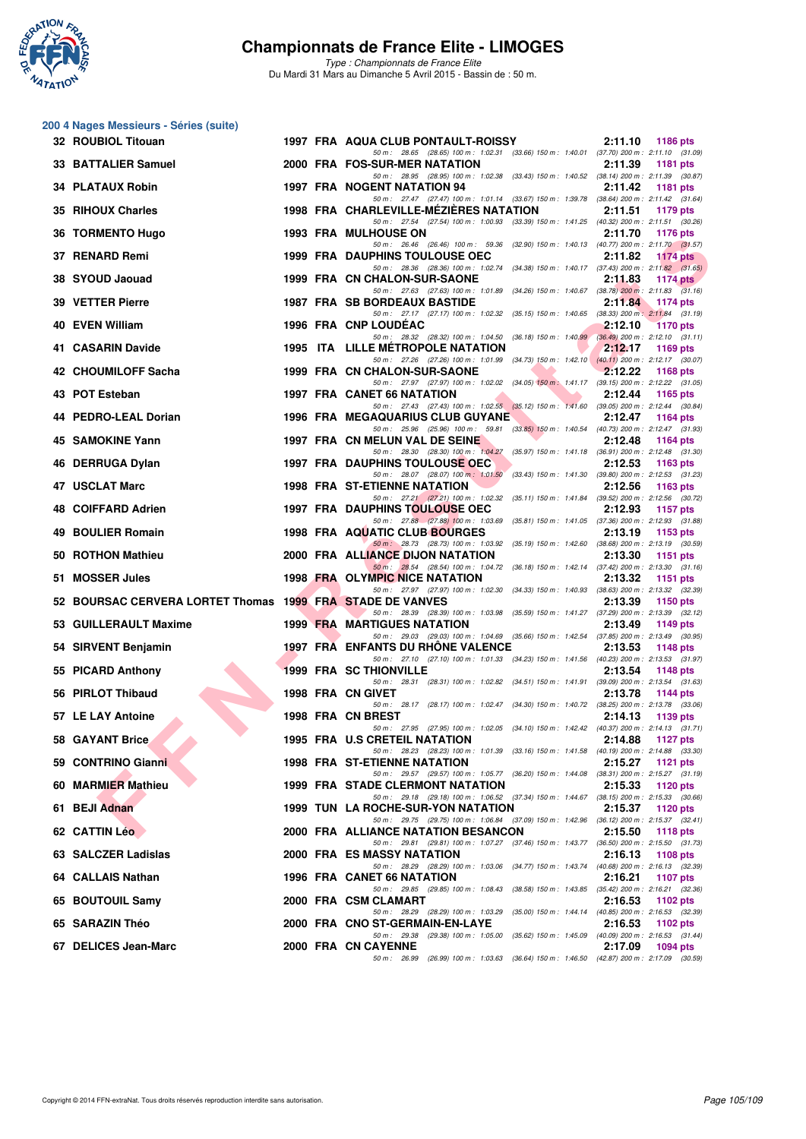

|    | 200 4 Nages Messieurs - Séries (suite)                    |  |                                                                                                                                      |                            |
|----|-----------------------------------------------------------|--|--------------------------------------------------------------------------------------------------------------------------------------|----------------------------|
|    | 32 ROUBIOL Titouan                                        |  | 1997 FRA AQUA CLUB PONTAULT-ROISSY<br>50 m: 28.65 (28.65) 100 m: 1:02.31 (33.66) 150 m: 1:40.01 (37.70) 200 m: 2:11.10 (31.09)       | 2:11.10<br>1186 pts        |
|    | 33 BATTALIER Samuel                                       |  | 2000 FRA FOS-SUR-MER NATATION<br>50 m: 28.95 (28.95) 100 m: 1:02.38 (33.43) 150 m: 1:40.52 (38.14) 200 m: 2:11.39 (30.87)            | 2:11.39<br>1181 pts        |
|    | <b>34 PLATAUX Robin</b>                                   |  | 1997 FRA NOGENT NATATION 94                                                                                                          | 2:11.42<br><b>1181 pts</b> |
|    | 35 RIHOUX Charles                                         |  | 50 m: 27.47 (27.47) 100 m: 1:01.14 (33.67) 150 m: 1:39.78 (38.64) 200 m: 2:11.42 (31.64)<br>1998 FRA CHARLEVILLE-MEZIERES NATATION   | 2:11.51<br>1179 pts        |
|    | 36 TORMENTO Hugo                                          |  | 50 m: 27.54 (27.54) 100 m: 1:00.93 (33.39) 150 m: 1:41.25 (40.32) 200 m: 2:11.51 (30.26)<br><b>1993 FRA MULHOUSE ON</b>              | 2:11.70<br><b>1176 pts</b> |
|    | 37 RENARD Remi                                            |  | 50 m: 26.46 (26.46) 100 m: 59.36 (32.90) 150 m: 1:40.13 (40.77) 200 m: 2:11.70 (31.57)<br><b>1999 FRA DAUPHINS TOULOUSE OEC</b>      | 2:11.82<br><b>1174 pts</b> |
|    | 38 SYOUD Jaouad                                           |  | 50 m: 28.36 (28.36) 100 m: 1:02.74 (34.38) 150 m: 1:40.17 (37.43) 200 m: 2:11.82 (31.65)<br>1999 FRA CN CHALON-SUR-SAONE             | 2:11.83<br>1174 $pts$      |
|    | 39 VETTER Pierre                                          |  | 50 m: 27.63 (27.63) 100 m: 1:01.89 (34.26) 150 m: 1:40.67 (38.78) 200 m: 2:11.83 (31.16)<br><b>1987 FRA SB BORDEAUX BASTIDE</b>      | 2:11.84<br>$1174$ pts      |
|    | 40 EVEN William                                           |  | 50 m: 27.17 (27.17) 100 m: 1:02.32 (35.15) 150 m: 1:40.65 (38.33) 200 m: 2:11.84 (31.19)<br><b>1996 FRA CNP LOUDEAC</b>              | 2:12.10<br><b>1170 pts</b> |
|    | 41 CASARIN Davide                                         |  | 50 m: 28.32 (28.32) 100 m: 1:04.50 (36.18) 150 m: 1:40.99 (36.49) 200 m: 2:12.10 (31.11)<br><b>1995 ITA LILLE METROPOLE NATATION</b> | 2:12.17<br>1169 pts        |
|    | 42 CHOUMILOFF Sacha                                       |  | 50 m: 27.26 (27.26) 100 m: 1:01.99 (34.73) 150 m: 1:42.10 (40.11) 200 m: 2:12.17 (30.07)<br>1999 FRA CN CHALON-SUR-SAONE             | 2:12.22<br><b>1168 pts</b> |
|    | 43 POT Esteban                                            |  | 50 m: 27.97 (27.97) 100 m: 1:02.02 (34.05) 150 m: 1:41.17 (39.15) 200 m: 2:12.22 (31.05)<br><b>1997 FRA CANET 66 NATATION</b>        | 2:12.44<br>1165 pts        |
|    | 44 PEDRO-LEAL Dorian                                      |  | 50 m: 27.43 (27.43) 100 m: 1.02.55 (35.12) 150 m: 1.41.60 (39.05) 200 m: 2.12.44 (30.84)<br><b>1996 FRA MEGAQUARIUS CLUB GUYANE</b>  | 2:12.47<br>1164 pts        |
|    | 45 SAMOKINE Yann                                          |  | 50 m: 25.96 (25.96) 100 m: 59.81 (33.85) 150 m: 1:40.54 (40.73) 200 m: 2:12.47 (31.93)<br>1997 FRA CN MELUN VAL DE SEINE             | 2:12.48<br>1164 pts        |
|    |                                                           |  | 50 m: 28.30 (28.30) 100 m: 1:04.27 (35.97) 150 m: 1:41.18 (36.91) 200 m: 2:12.48 (31.30)                                             |                            |
|    | 46 DERRUGA Dylan                                          |  | <b>1997 FRA DAUPHINS TOULOUSE OEC</b><br>50 m: 28.07 (28.07) 100 m: 1:01.50 (33.43) 150 m: 1:41.30 (39.80) 200 m: 2:12.53 (31.23)    | 2:12.53<br>1163 pts        |
|    | 47 USCLAT Marc                                            |  | <b>1998 FRA ST-ETIENNE NATATION</b><br>50 m: 27.21 (27.21) 100 m: 1:02.32 (35.11) 150 m: 1:41.84 (39.52) 200 m: 2:12.56 (30.72)      | 2:12.56<br>1163 pts        |
|    | 48 COIFFARD Adrien                                        |  | <b>1997 FRA DAUPHINS TOULOUSE OEC</b><br>50 m: 27.88 (27.88) 100 m: 1:03.69 (35.81) 150 m: 1:41.05 (37.36) 200 m: 2:12.93 (31.88)    | 2:12.93<br>1157 pts        |
| 49 | <b>BOULIER Romain</b>                                     |  | 1998 FRA AQUATIC CLUB BOURGES                                                                                                        | 2:13.19<br>1153 pts        |
| 50 | <b>ROTHON Mathieu</b>                                     |  | 50 m: 28.73 (28.73) 100 m: 1:03.92 (35.19) 150 m: 1:42.60 (38.68) 200 m: 2:13.19 (30.59)<br>2000 FRA ALLIANCE DIJON NATATION         | 2:13.30<br>1151 pts        |
|    | 51 MOSSER Jules                                           |  | 50 m: 28.54 (28.54) 100 m: 1:04.72 (36.18) 150 m: 1:42.14 (37.42) 200 m: 2:13.30 (31.16)<br>1998 FRA OLYMPIC NICE NATATION           | 2:13.32<br>1151 pts        |
|    | 52 BOURSAC CERVERA LORTET Thomas 1999 FRA STADE DE VANVES |  | 50 m: 27.97 (27.97) 100 m: 1:02.30 (34.33) 150 m: 1:40.93 (38.63) 200 m: 2:13.32 (32.39)                                             | 2:13.39<br>1150 pts        |
|    | 53 GUILLERAULT Maxime                                     |  | 50 m: 28.39 (28.39) 100 m: 1:03.98 (35.59) 150 m: 1:41.27 (37.29) 200 m: 2:13.39 (32.12)<br><b>1999 FRA MARTIGUES NATATION</b>       | 2:13.49<br>1149 pts        |
|    | 54 SIRVENT Benjamin                                       |  | 50 m: 29.03 (29.03) 100 m: 1:04.69 (35.66) 150 m: 1:42.54 (37.85) 200 m: 2:13.49 (30.95)<br>1997 FRA ENFANTS DU RHONE VALENCE        | 2:13.53<br><b>1148 pts</b> |
|    | 55 PICARD Anthony                                         |  | 50 m: 27.10 (27.10) 100 m: 1:01.33 (34.23) 150 m: 1:41.56 (40.23) 200 m: 2:13.53 (31.97)<br><b>1999 FRA SC THIONVILLE</b>            | 2:13.54<br>1148 pts        |
|    | 56 PIRLOT Thibaud                                         |  | 50 m: 28.31 (28.31) 100 m: 1.02.82 (34.51) 150 m: 1.41.91 (39.09) 200 m: 2.13.54 (31.63)<br>1998 FRA CN GIVET                        | 2:13.78<br>1144 pts        |
|    |                                                           |  | 50 m: 28.17 (28.17) 100 m: 1:02.47 (34.30) 150 m: 1:40.72 (38.25) 200 m: 2:13.78 (33.06)                                             |                            |
|    | 57 LE LAY Antoine                                         |  | 1998 FRA CN BREST<br>50 m : 27.95 (27.95) 100 m : 1:02.05 (34.10) 150 m : 1:42.42 (40.37) 200 m : 2:14.13 (31.71)                    | 2:14.13<br>1139 pts        |
|    | 58 GAYANT Brice                                           |  | 1995 FRA U.S CRETEIL NATATION<br>50 m: 28.23 (28.23) 100 m: 1.01.39 (33.16) 150 m: 1.41.58 (40.19) 200 m: 2.14.88 (33.30)            | 2:14.88<br><b>1127 pts</b> |
|    | 59 CONTRINO Gianni                                        |  | <b>1998 FRA ST-ETIENNE NATATION</b><br>50 m: 29.57 (29.57) 100 m: 1:05.77 (36.20) 150 m: 1:44.08 (38.31) 200 m: 2:15.27 (31.19)      | 2:15.27<br>1121 $pts$      |
|    | 60 MARMIER Mathieu                                        |  | <b>1999 FRA STADE CLERMONT NATATION</b>                                                                                              | 2:15.33<br>1120 pts        |
|    | 61 BEJI Adnan                                             |  | 50 m : 29.18 (29.18) 100 m : 1:06.52 (37.34) 150 m : 1:44.67 (38.15) 200 m : 2:15.33 (30.66)<br>1999 TUN LA ROCHE-SUR-YON NATATION   | 2:15.37<br>1120 pts        |
|    | 62 CATTIN Léo                                             |  | 50 m: 29.75 (29.75) 100 m: 1:06.84 (37.09) 150 m: 1:42.96 (36.12) 200 m: 2:15.37 (32.41)<br>2000 FRA ALLIANCE NATATION BESANCON      | 2:15.50<br><b>1118 pts</b> |
|    | 63 SALCZER Ladislas                                       |  | 50 m: 29.81 (29.81) 100 m: 1:07.27 (37.46) 150 m: 1:43.77 (36.50) 200 m: 2:15.50 (31.73)<br>2000 FRA ES MASSY NATATION               | 2:16.13<br>1108 pts        |
|    | 64 CALLAIS Nathan                                         |  | 50 m: 28.29 (28.29) 100 m: 1:03.06 (34.77) 150 m: 1:43.74 (40.68) 200 m: 2:16.13 (32.39)<br>1996 FRA CANET 66 NATATION               | 2:16.21<br><b>1107 pts</b> |
|    | 65 BOUTOUIL Samy                                          |  | 50 m: 29.85 (29.85) 100 m: 1:08.43 (38.58) 150 m: 1:43.85 (35.42) 200 m: 2:16.21 (32.36)<br>2000 FRA CSM CLAMART                     | 2:16.53<br>1102 pts        |
|    | 65 SARAZIN Théo                                           |  | 50 m: 28.29 (28.29) 100 m: 1:03.29 (35.00) 150 m: 1:44.14 (40.85) 200 m: 2:16.53 (32.39)<br>2000 FRA CNO ST-GERMAIN-EN-LAYE          | 2:16.53<br>1102 pts        |
|    |                                                           |  | (29.38) 100 m : 1:05.00 (35.62) 150 m : 1:45.09 (40.09) 200 m : 2:16.53 (31.44)<br>50 m : 29.38                                      |                            |
|    | 67 DELICES Jean-Marc                                      |  | 2000 FRA CN CAYENNE<br>50 m: 26.99 (26.99) 100 m: 1:03.63 (36.64) 150 m: 1:46.50 (42.87) 200 m: 2:17.09 (30.59)                      | 2:17.09<br>1094 pts        |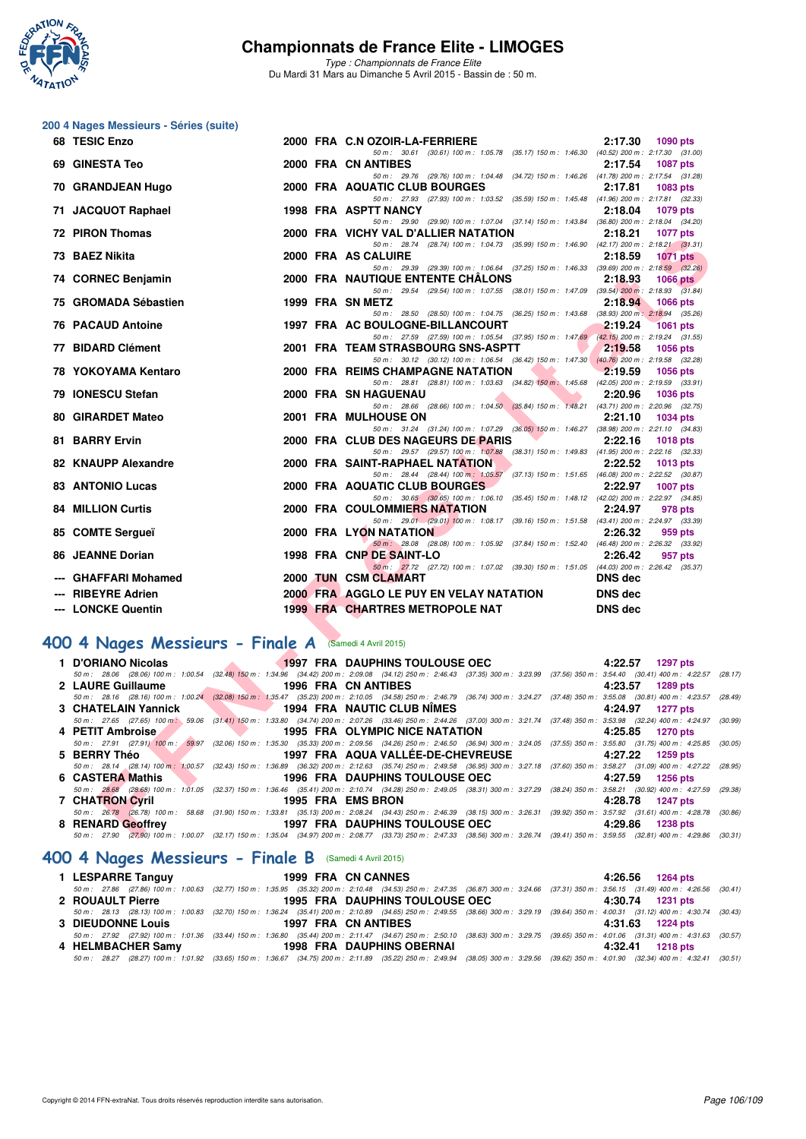

**200 4 Nages Messieurs - Séries (suite)**

## **Championnats de France Elite - LIMOGES**

*Type : Championnats de France Elite* Du Mardi 31 Mars au Dimanche 5 Avril 2015 - Bassin de : 50 m.

#### **F F NEO Second True 2000 FRA AGAINE SE CONFERENT CONFERENCE CONFERENCE SURFACE AND ANOTHER SET CONFERENCE CONFERENCE CONFERENCE CONFERENCE CONFERENCE CONFERENCE CONFERENCE CONFERENCE CONFERENCE CONFERENCE CONFERENCE CONF 68 TESIC Enzo 2000 FRA C.N OZOIR-LA-FERRIERE 2:17.30 1090 pts** *50 m : 30.61 (30.61) 100 m : 1:05.78 (35.17) 150 m : 1:46.30 (40.52) 200 m : 2:17.30 (31.00)* **69 GINESTA Teo 2000 FRA CN ANTIBES 2:17.54 1087 pts** *50 m : 29.76 (29.76) 100 m : 1:04.48 (34.72) 150 m : 1:46.26 (41.78) 200 m : 2:17.54 (31.28)* **70 GRANDJEAN Hugo 2000 FRA AQUATIC CLUB BOURGES** *50 m : 27.93 (27.93) 100 m : 1:03.52 (35.59) 150 m : 1:45.48 (41.96) 200 m : 2:17.81 (32.33)* **71 JACQUOT Raphael 1998 FRA ASPTT NANCY 2:18.04 1079 pts** *50 m : 29.90 (29.90) 100 m : 1:07.04 (37.14) 150 m : 1:43.84 (36.80) 200 m : 2:18.04 (34.20)* **72 PIRON Thomas 2000 FRA VICHY VAL D'ALLIER NATATION 2:18.21 1077 pts** *50 m : 28.74 (28.74) 100 m : 1:04.73 (35.99) 150 m : 1:46.90 (42.17) 200 m : 2:18.21 (31.31)* **73 BAEZ Nikita 2000 FRA AS CALUIRE 2:18.59 1071 pts** *50 m : 29.39 (29.39) 100 m : 1:06.64 (37.25) 150 m : 1:46.33 (39.69) 200 m : 2:18.59 (32.26)* **74 CORNEC Benjamin 2000 FRA NAUTIQUE ENTENTE CHÂLONS 2:18.93 1066 pts** *50 m : 29.54 (29.54) 100 m : 1:07.55 (38.01) 150 m : 1:47.09 (39.54) 200 m : 2:18.93 (31.84)*<br>**1999 FRA SN METZ** 22:18.94 1066 pts **75 GROMADA Sébastien 1999 FRA SN METZ 2:18.94 1066 pts** *50 m : 28.50 (28.50) 100 m : 1:04.75 (36.25) 150 m : 1:43.68 (38.93) 200 m : 2:18.94 (35.26)* **76 PACAUD Antoine 1997 FRA AC BOULOGNE-BILLANCOURT 2:19.24 1061 pts** *50 m : 27.59 (27.59) 100 m : 1:05.54 (37.95) 150 m : 1:47.69 (42.15) 200 m : 2:19.24 (31.55)* **77 BIDARD Clément 2001 FRA TEAM STRASBOURG SNS-ASPTT 2:19.58 1056 pts** *50 m : 30.12 (30.12) 100 m : 1:06.54 (36.42) 150 m : 1:47.30 (40.76) 200 m : 2:19.58 (32.28)* **78 YOKOYAMA Kentaro 2000 FRA REIMS CHAMPAGNE NATATION 2:19.59 1056 pts** *50 m : 28.81 (28.81) 100 m : 1:03.63 (34.82) 150 m : 1:45.68 (42.05) 200 m : 2:19.59 (33.91)* **79 IONESCU Stefan 2000 FRA SN HAGUENAU 2:20.96 1036 pts** *50 m : 28.66 (28.66) 100 m : 1:04.50 (35.84) 150 m : 1:48.21 (43.71) 200 m : 2:20.96 (32.75)* 80 GIRARDET Mateo **2001 FRA MULHOUSE ON** *50 m : 31.24 (31.24) 100 m : 1:07.29 (36.05) 150 m : 1:46.27 (38.98) 200 m : 2:21.10 (34.83)* 81 BARRY Ervin **2000 FRA CLUB DES NAGEURS DE PARIS** *50 m : 29.57 (29.57) 100 m : 1:07.88 (38.31) 150 m : 1:49.83 (41.95) 200 m : 2:22.16 (32.33)* **82 KNAUPP Alexandre** 2000 FRA SAINT-RAPHAEL NATATION 2:22.52 2:22.52 1013 pts<br><sup>50 m:</sup> 28.44 (28.44) 100 m: 1:05.57 (37.13) 150 m: 1:51.65 (46.08) 200 m: 2:22.52 (30.6 *50 m : 28.44 (28.44) 100 m : 1:05.57 (37.13) 150 m : 1:51.65 (46.08) 200 m : 2:22.52 (30.87)* **83 ANTONIO Lucas 2000 FRA AQUATIC CLUB BOURGES 2:22.97 1007 pts** *50 m : 30.65 (30.65) 100 m : 1:06.10 (35.45) 150 m : 1:48.12 (42.02) 200 m : 2:22.97 (34.85)* **84 MILLION Curtis 2000 FRA COULOMMIERS NATATION 2:24.97 978 pts** *50 m : 29.01 (29.01) 100 m : 1:08.17 (39.16) 150 m : 1:51.58 (43.41) 200 m : 2:24.97 (33.39)* **85 COMTE Sergueï 2000 FRA LYON NATATION 2:26.32 959 pts** *50 m : 28.08 (28.08) 100 m : 1:05.92 (37.84) 150 m : 1:52.40 (46.48) 200 m : 2:26.32 (33.92)* 86 JEANNE Dorian **1998 FRA CNP DE SAINT-LO** *50 m : 27.72 (27.72) 100 m : 1:07.02 (39.30) 150 m : 1:51.05 (44.03) 200 m : 2:26.42 (35.37)* **--- GHAFFARI Mohamed 2000 TUN CSM CLAMART DNS dec --- RIBEYRE Adrien 2000 FRA AGGLO LE PUY EN VELAY NATATION DNS dec --- LONCKE Quentin 1999 FRA CHARTRES METROPOLE NAT DNS dec**

#### **[400 4 Nages Messieurs - Finale A](http://www.ffnatation.fr/webffn/resultats.php?idact=nat&go=epr&idcpt=27187&idepr=92)** (Samedi 4 Avril 2015)

| 1 D'ORIANO Nicolas                                           | <b>EXAMPLE 1997 FRA DAUPHINS TOULOUSE OEC</b>                                                                                                                                                | 4:22.57 1297 pts    |
|--------------------------------------------------------------|----------------------------------------------------------------------------------------------------------------------------------------------------------------------------------------------|---------------------|
|                                                              | 50 m: 28.06 (28.06) 100 m: 1:00.54 (32.48) 150 m: 1:34.96 (34.42) 200 m: 2:09.08 (34.12) 250 m: 2:46.43 (37.35) 300 m: 3:23.99 (37.56) 350 m: 3:54.40 (30.41) 400 m: 4:22.57 (28.17)         |                     |
| 2 LAURE Guillaume                                            | 1996 FRA CN ANTIBES                                                                                                                                                                          | 4:23.57 1289 pts    |
|                                                              | 50 m : 28.16 (28.16) 100 m : 1:00.24 (32.08) 150 m : 1:35.47 (35.23) 200 m : 2:10.05 (34.58) 250 m : 2:46.79 (36.74) 300 m : 3:24.27 (37.48) 350 m : 3:55.08 (30.81) 400 m : 4:23.57 (28.49) |                     |
|                                                              | 3 CHATELAIN Yannick 1994 FRA NAUTIC CLUB NIMES                                                                                                                                               | 4:24.97 1277 pts    |
|                                                              | 50 m: 27.65 (27.65) 100 m; 59.06 (31.41) 150 m; 1:33.80 (34.74) 200 m; 2:07.26 (33.46) 250 m; 2:44.26 (37.00) 300 m; 3:21.74 (37.48) 350 m; 3:53.98 (32.24) 400 m; 4:24.97 (30.99)           |                     |
| 4 PETIT Ambroise                                             | <b>EXAMPLE 1995 FRA OLYMPIC NICE NATATION</b>                                                                                                                                                | 4:25.85 1270 pts    |
|                                                              | 50 m : 27.91 (27.91) 100 m : 59.97 (32.06) 150 m : 1:35.30 (35.33) 200 m : 2:09.56 (34.26) 250 m : 2:46.50 (36.94) 300 m : 3:24.05 (37.55) 350 m : 3:55.80 (31.75) 400 m : 4:25.85 (30.05)   |                     |
| 5 BERRY Théo                                                 | 1997 FRA AQUA VALLÉE-DE-CHEVREUSE                                                                                                                                                            | 4:27.22 1259 pts    |
|                                                              | 50 m : 28.14 (28.14) 100 m : 1:00.57 (32.43) 150 m : 1:36.89 (36.32) 200 m : 2:12.63 (35.74) 250 m : 2:49.58 (36.95) 300 m : 3:27.18 (37.60) 350 m : 3:58.27 (31.09) 400 m : 4:27.22 (28.95) |                     |
| 6 CASTERA Mathis Castle Castle Control of the CASTERA Mathis | 1996 FRA DAUPHINS TOULOUSE OEC                                                                                                                                                               | 4:27.59 1256 pts    |
|                                                              | 50 m : 28.68 (28.68) 100 m : 1:01.05 (32.37) 150 m : 1:36.46 (35.41) 200 m : 2:10.74 (34.28) 250 m : 2:49.05 (38.31) 300 m : 3:27.29 (38.24) 350 m : 3:58.21 (30.92) 400 m : 4:27.59 (29.38) |                     |
| 7 CHATRON Cyril                                              | 1995 FRA EMS BRON                                                                                                                                                                            | 4:28.78 1247 pts    |
|                                                              | 50 m: 26.78 (26.78) 100 m: 58.68 (31.90) 150 m: 1:33.81 (35.13) 200 m: 2:08.24 (34.43) 250 m: 2:46.39 (38.15) 300 m: 3:26.31 (39.92) 350 m: 3:57.92 (31.61) 400 m: 4:28.78 (30.86)           |                     |
|                                                              |                                                                                                                                                                                              | 4:29.86<br>1238 pts |
|                                                              | 50 m : 27.90 (27.90) 100 m : 1:00.07 (32.17) 150 m : 1:35.04 (34.97) 200 m : 2:08.77 (33.73) 250 m : 2:47.33 (38.56) 300 m : 3:26.74 (39.41) 350 m : 3:59.55 (32.81) 400 m : 4:29.86 (30.31) |                     |

#### **[400 4 Nages Messieurs - Finale B](http://www.ffnatation.fr/webffn/resultats.php?idact=nat&go=epr&idcpt=27187&idepr=92)** (Samedi 4 Avril 2015)

| 1 LESPARRE Tanguy        | 1999 FRA CN CANNES                    | 4:26.56 1264 pts                                                                                                                                                                             |
|--------------------------|---------------------------------------|----------------------------------------------------------------------------------------------------------------------------------------------------------------------------------------------|
|                          |                                       | 50 m: 27.86 (27.86) 100 m: 1:00.63 (32.77) 150 m: 1:35.95 (35.32) 200 m: 2:10.48 (34.53) 250 m: 2:47.35 (36.87) 300 m: 3:24.66 (37.31) 350 m: 3:56.15 (31.49) 400 m: 4:26.56 (30.41)         |
| 2 ROUAULT Pierre         | <b>1995 FRA DAUPHINS TOULOUSE OEC</b> | 4:30.74 1231 pts                                                                                                                                                                             |
|                          |                                       | 50 m: 28.13 (28.13) 100 m: 1:00.83 (32.70) 150 m: 1:36.24 (35.41) 200 m: 2:10.89 (34.65) 250 m: 2:49.55 (38.66) 300 m: 3:29.19 (39.64) 350 m: 4:00.31 (31.12) 400 m: 4:30.74 (30.43)         |
| <b>3 DIEUDONNE Louis</b> | 1997 FRA CN ANTIBES                   | 4:31.63 1224 pts                                                                                                                                                                             |
|                          |                                       | 50 m: 27.92 (27.92) 100 m: 1:01.36 (33.44) 150 m: 1:36.80 (35.44) 200 m: 2:11.47 (34.67) 250 m: 2:50.10 (38.63) 300 m: 3:29.75 (39.65) 350 m: 4:01.06 (31.31) 400 m: 4:31.63 (30.57)         |
| 4 HELMBACHER Samy        | <b>1998 FRA DAUPHINS OBERNAI</b>      | 4:32.41 1218 pts                                                                                                                                                                             |
|                          |                                       | 50 m : 28.27 (28.27) 100 m : 1:01.92 (33.65) 150 m : 1:36.67 (34.75) 200 m : 2:11.89 (35.22) 250 m : 2:49.94 (38.05) 300 m : 3:29.56 (39.62) 350 m : 4:01.90 (32.34) 400 m : 4:32.41 (30.51) |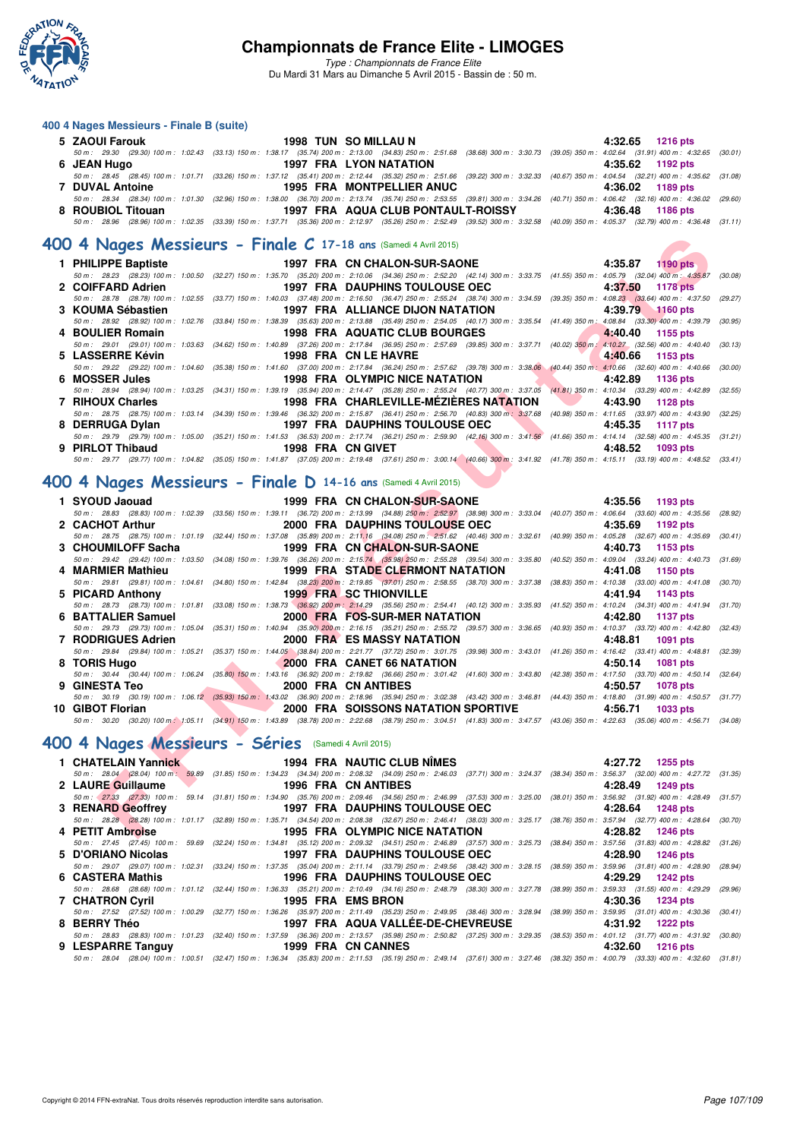

*Type : Championnats de France Elite* Du Mardi 31 Mars au Dimanche 5 Avril 2015 - Bassin de : 50 m.

#### **400 4 Nages Messieurs - Finale B (suite)**

| 5 ZAOUI Farouk    | 1998 TUN SO MILLAU N               | $4:32.65$ 1216 pts                                                                                                                                                                           |
|-------------------|------------------------------------|----------------------------------------------------------------------------------------------------------------------------------------------------------------------------------------------|
|                   |                                    | 50 m : 29.30 (29.30) 100 m : 1:02.43 (33.13) 150 m : 1:38.17 (35.74) 200 m : 2:13.00 (34.83) 250 m : 2:51.68 (38.68) 300 m : 3:30.73 (39.05) 350 m : 4:02.64 (31.91) 400 m : 4:32.65 (30.01) |
| 6 JEAN Hugo       | 1997 FRA LYON NATATION             | 4:35.62 1192 pts                                                                                                                                                                             |
|                   |                                    | 50 m: 28.45 (28.45) 100 m: 1:01.71 (33.26) 150 m: 1:37.12 (35.41) 200 m: 2:12.44 (35.32) 250 m: 2:51.66 (39.22) 300 m: 3:32.33 (40.67) 350 m: 4:04.54 (32.21) 400 m: 4:35.62 (31.08)         |
| 7 DUVAL Antoine   | <b>1995 FRA MONTPELLIER ANUC</b>   | 4:36.02 1189 pts                                                                                                                                                                             |
|                   |                                    | 50 m: 28.34 (28.34) 100 m: 1:01.30 (32.96) 150 m: 1:38.00 (36.70) 200 m: 2:13.74 (35.74) 250 m: 2:53.55 (39.81) 300 m: 3:34.26 (40.71) 350 m: 4:06.42 (32.16) 400 m: 4:36.02 (29.60)         |
| 8 ROUBIOL Titouan | 1997 FRA AQUA CLUB PONTAULT-ROISSY | 4:36.48 1186 pts                                                                                                                                                                             |
|                   |                                    | 50 m : 28.96 (28.96) 100 m : 1:02.35 (33.39) 150 m : 1:37.71 (35.36) 200 m : 2:12.97 (35.26) 250 m : 2:52.49 (39.52) 300 m : 3:32.58 (40.09) 350 m : 4:05.37 (32.79) 400 m : 4:36.48 (31.11) |

#### **[400 4 Nages Messieurs - Finale C](http://www.ffnatation.fr/webffn/resultats.php?idact=nat&go=epr&idcpt=27187&idepr=92) 17-18 ans** (Samedi 4 Avril 2015)

| 1 PHILIPPE Baptiste |                   | 1997 FRA CN CHALON-SUR-SAONE                                                                                                                                                                 | 4:35.87 1190 pts   |
|---------------------|-------------------|----------------------------------------------------------------------------------------------------------------------------------------------------------------------------------------------|--------------------|
|                     |                   | 50 m: 28.23 (28.23) 100 m: 1:00.50 (32.27) 150 m: 1:35.70 (35.20) 200 m: 2:10.06 (34.36) 250 m: 2:52.20 (42.14) 300 m: 3:33.75 (41.55) 350 m: 4:05.79 (32.04) 400 m: 4:35.87 (30.08)         |                    |
| 2 COIFFARD Adrien   |                   | 1997 FRA DAUPHINS TOULOUSE OEC                                                                                                                                                               | 4:37.50 1178 pts   |
|                     |                   | 50 m : 28.78 (28.78) 100 m : 1:02.55 (33.77) 150 m : 1:40.03 (37.48) 200 m : 2:16.50 (36.47) 250 m : 2:55.24 (38.74) 300 m : 3:34.59 (39.35) 350 m : 4:08.23 (33.64) 400 m : 4:37.50 (29.27) |                    |
| 3 KOUMA Sébastien   |                   | 1997 FRA ALLIANCE DIJON NATATION                                                                                                                                                             | 4:39.79 1160 pts   |
|                     |                   | 50 m : 28.92 (28.92) 100 m : 1:02.76 (33.84) 150 m : 1:38.39 (35.63) 200 m : 2:13.88 (35.49) 250 m : 2:54.05 (40.17) 300 m : 3:35.54 (41.49) 350 m : 4:08.84 (33.30) 400 m : 4:39.79 (30.95) |                    |
| 4 BOULIER Romain    |                   | 1998 FRA AQUATIC CLUB BOURGES                                                                                                                                                                | $4:40.40$ 1155 pts |
|                     |                   | 50 m : 29.01 (29.01) 100 m : 1:03.63 (34.62) 150 m : 1:40.89 (37.26) 200 m : 2:17.84 (36.95) 250 m : 2:57.69 (39.85) 300 m : 3:37.71 (40.02) 350 m : 4:10.27 (32.56) 400 m : 4:40.40 (30.13) |                    |
| 5 LASSERRE Kévin    |                   | 1998 FRA CN LE HAVRE                                                                                                                                                                         | $4:40.66$ 1153 pts |
|                     |                   | 50 m : 29.22 (29.22) 100 m : 1:04.60 (35.38) 150 m : 1:41.60 (37.00) 200 m : 2:17.84 (36.24) 250 m : 2:57.62 (39.78) 300 m : 3:38.06 (40.44) 350 m : 4:10.66 (32.60) 400 m : 4:40.66 (30.00) |                    |
| 6 MOSSER Jules      |                   | 1998 FRA OLYMPIC NICE NATATION 4:42.89 1136 pts                                                                                                                                              |                    |
|                     |                   | 50 m: 28.94 (28.94) 100 m: 1:03.25 (34.31) 150 m: 1:39.19 (35.94) 200 m: 2:14.47 (35.28) 250 m: 2:55.24 (40.77) 300 m: 3:37.05 (41.81) 350 m: 4:10.34 (33.29) 400 m: 4:42.89 (32.55)         |                    |
| 7 RIHOUX Charles    |                   | 1998 FRA CHARLEVILLE-MEZIERES NATATION 4:43.90 1128 pts                                                                                                                                      |                    |
|                     |                   | 50 m : 28.75 (28.75) 100 m : 1:03.14 (34.39) 150 m : 1:39.46 (36.32) 200 m : 2:15.87 (36.41) 250 m : 2:56.70 (40.83) 300 m : 3:37.68 (40.98) 350 m : 4:11.65 (33.97) 400 m : 4:43.90 (32.25) |                    |
| 8 DERRUGA Dylan     |                   | 1997 FRA DAUPHINS TOULOUSE OECNESS AND THE RESERVE THE RESERVE TO A 1997 FRAUD AND TO THE RESERVE THE RESERVE T                                                                              | 4:45.35 1117 pts   |
|                     |                   | 50 m: 29.79 (29.79) 100 m: 1:05.00 (35.21) 150 m: 1:41.53 (36.53) 200 m: 2:17.74 (36.21) 250 m: 2:59.90 (42.16) 300 m: 3:41.56 (41.66) 350 m: 4:14.14 (32.58) 400 m: 4:45.35 (31.21)         |                    |
| 9 PIRLOT Thibaud    | 1998 FRA CN GIVET |                                                                                                                                                                                              | 4:48.52 1093 pts   |
|                     |                   | 50 m: 29.77 (29.77) 100 m: 1:04.82 (35.05) 150 m: 1:41.87 (37.05) 200 m: 2:19.48 (37.61) 250 m: 3:00.14 (40.66) 300 m: 3:41.92 (41.78) 350 m: 4:15.11 (33.19) 400 m: 4:48.52 (33.41)         |                    |

## **[400 4 Nages Messieurs - Finale D](http://www.ffnatation.fr/webffn/resultats.php?idact=nat&go=epr&idcpt=27187&idepr=92) 14-16 ans** (Samedi 4 Avril 2015)

| 00 4 Nages Messieurs - Finale C 17-18 ans (Samedi 4 Avril 2015) |                                                                                                                                      |                                                                                                                                                                                                 |  |
|-----------------------------------------------------------------|--------------------------------------------------------------------------------------------------------------------------------------|-------------------------------------------------------------------------------------------------------------------------------------------------------------------------------------------------|--|
| 1 PHILIPPE Baptiste                                             | 1997 FRA CN CHALON-SUR-SAONE                                                                                                         | 4:35.87<br><b>1190 pts</b>                                                                                                                                                                      |  |
|                                                                 |                                                                                                                                      | 50 m: 28.23 (28.23) 100 m: 1:00.50 (32.27) 150 m: 1:35.70 (35.20) 200 m: 2:10.06 (34.36) 250 m: 2:52.20 (42.14) 300 m: 3:33.75 (41.55) 350 m: 4:05.79 (32.04) 400 m: 4:35.87<br>(30.08)         |  |
| 2 COIFFARD Adrien                                               | <b>1997 FRA DAUPHINS TOULOUSE OEC</b>                                                                                                | 4:37.50<br><b>1178 pts</b>                                                                                                                                                                      |  |
|                                                                 |                                                                                                                                      | 50 m: 28.78 (28.78) 100 m: 1:02.55 (33.77) 150 m: 1:40.03 (37.48) 200 m: 2:16.50 (36.47) 250 m: 2:55.24 (38.74) 300 m: 3:34.59 (39.35) 350 m: 4:08.23 (33.64) 400 m: 4:37.50<br>(29.27)         |  |
| 3 KOUMA Sébastien                                               | 1997 FRA ALLIANCE DIJON NATATION                                                                                                     | 4:39.79<br>$1160$ pts                                                                                                                                                                           |  |
|                                                                 |                                                                                                                                      | 50 m: 28.92 (28.92) 100 m: 1:02.76 (33.84) 150 m: 1:38.39 (35.63) 200 m: 2:13.88 (35.49) 250 m: 2:54.05 (40.17) 300 m: 3:35.54 (41.49) 350 m: 4:08.84 (33.30) 400 m: 4:39.79<br>(30.95)         |  |
| 4 BOULIER Romain                                                | 1998 FRA AQUATIC CLUB BOURGES                                                                                                        | 4:40.40<br>1155 pts                                                                                                                                                                             |  |
|                                                                 |                                                                                                                                      | 50 m : 29.01 (29.01) 100 m : 1:03.63 (34.62) 150 m : 1:40.89 (37.26) 200 m : 2:17.84 (36.95) 250 m : 2:57.69 (39.85) 300 m : 3:37.71 (40.02) 350 m : 4:10.27 (32.56) 400 m : 4:40.40<br>(30.13) |  |
| 5 LASSERRE Kévin                                                | 1998 FRA CN LE HAVRE                                                                                                                 | 4:40.66<br>1153 pts                                                                                                                                                                             |  |
|                                                                 |                                                                                                                                      | 50 m : 29.22 (29.22) 100 m : 1:04.60 (35.38) 150 m : 1:41.60 (37.00) 200 m : 2:17.84 (36.24) 250 m : 2:57.62 (39.78) 300 m : 3:38.06 (40.44) 350 m : 4:10.66 (32.60) 400 m : 4:40.66<br>(30.00) |  |
| 6 MOSSER Jules                                                  | <b>1998 FRA OLYMPIC NICE NATATION</b>                                                                                                | 4:42.89<br>1136 pts                                                                                                                                                                             |  |
|                                                                 |                                                                                                                                      | 50 m : 28.94 (28.94) 100 m : 1:03.25 (34.31) 150 m : 1:39.19 (35.94) 200 m : 2:14.47 (35.28) 250 m : 2:55.24 (40.77) 300 m : 3:37.05 (41.81) 350 m : 4:10.34 (33.29) 400 m : 4:42.89<br>(32.55) |  |
| 7 RIHOUX Charles                                                | 1998 FRA CHARLEVILLE-MEZIERES NATATION                                                                                               | 4:43.90<br>1128 pts                                                                                                                                                                             |  |
|                                                                 |                                                                                                                                      | 50 m: 28.75 (28.75) 100 m: 1:03.14 (34.39) 150 m: 1:39.46 (36.32) 200 m: 2:15.87 (36.41) 250 m: 2:56.70 (40.83) 300 m: 3:37.68 (40.98) 350 m: 4:11.65 (33.97) 400 m: 4:43.90<br>(32.25)         |  |
| 8 DERRUGA Dylan                                                 | <b>1997 FRA DAUPHINS TOULOUSE OEC</b>                                                                                                | 4:45.35<br><b>1117 pts</b>                                                                                                                                                                      |  |
|                                                                 |                                                                                                                                      | 50 m: 29.79 (29.79) 100 m: 1:05.00 (35.21) 150 m: 1:41.53 (36.53) 200 m: 2:17.74 (36.21) 250 m: 2:59.90 (42.16) 300 m: 3:41.56 (41.66) 350 m: 4:14.14 (32.58) 400 m: 4:45.35 (31.21)            |  |
| 9 PIRLOT Thibaud                                                | <b>1998 FRA CN GIVET</b>                                                                                                             | 4:48.52<br>1093 pts                                                                                                                                                                             |  |
|                                                                 |                                                                                                                                      | 50 m: 29.77 (29.77) 100 m: 1:04.82 (35.05) 150 m: 1:41.87 (37.05) 200 m: 2:19.48 (37.61) 250 m: 3:00.14 (40.66) 300 m: 3:41.92 (41.78) 350 m: 4:15.11 (33.19) 400 m: 4:48.52 (33.41)            |  |
|                                                                 |                                                                                                                                      |                                                                                                                                                                                                 |  |
| 00 4 Nages Messieurs - Finale D 14-16 ans (Samedi 4 Avril 2015) |                                                                                                                                      |                                                                                                                                                                                                 |  |
| 1 SYOUD Jaouad                                                  | 1999 FRA CN CHALON-SUR-SAONE                                                                                                         | 4:35.56<br>1193 pts                                                                                                                                                                             |  |
|                                                                 |                                                                                                                                      | 50 m: 28.83 (28.83) 100 m: 1:02.39 (33.56) 150 m: 1:39.11 (36.72) 200 m: 2:13.99 (34.88) 250 m: 2:52.97 (38.98) 300 m: 3:33.04 (40.07) 350 m: 4:06.64 (33.60) 400 m: 4:35.56<br>(28.92)         |  |
| 2 CACHOT Arthur                                                 | <b>2000 FRA DAUPHINS TOULOUSE OEC</b>                                                                                                | 4:35.69<br>1192 pts                                                                                                                                                                             |  |
|                                                                 |                                                                                                                                      | 50 m: 28.75 (28.75) 100 m: 1:01.19 (32.44) 150 m: 1:37.08 (35.89) 200 m: 2:11.16 (34.08) 250 m: 2:51.62 (40.46) 300 m: 3:32.61 (40.99) 350 m: 4:05.28 (32.67) 400 m: 4:35.69<br>(30.41)         |  |
| 3 CHOUMILOFF Sacha                                              | 1999 FRA CN CHALON-SUR-SAONE                                                                                                         | 4:40.73<br>1153 pts                                                                                                                                                                             |  |
|                                                                 |                                                                                                                                      | 50 m : 29.42 (29.42) 100 m : 1:03.50 (34.08) 150 m : 1:39.76 (36.26) 200 m : 2:15.74 (35.98) 250 m : 2:55.28 (39.54) 300 m : 3:35.80 (40.52) 350 m : 4:09.04 (33.24) 400 m : 4:40.73<br>(31.69) |  |
| 4 MARMIER Mathieu                                               | <b>1999 FRA STADE CLERMONT NATATION</b>                                                                                              | 4:41.08<br>1150 pts                                                                                                                                                                             |  |
|                                                                 | 50 m : 29.81 (29.81) 100 m : 1:04.61 (34.80) 150 m : 1:42.84 (38.23) 200 m : 2:19.85 (37.01) 250 m : 2:58.55 (38.70) 300 m : 3:37.38 | $(38.83)$ 350 m : 4:10.38 $(33.00)$ 400 m : 4:41.08<br>(30.70)                                                                                                                                  |  |
| 5 PICARD Anthony                                                | <b>1999 FRA SC THIONVILLE</b>                                                                                                        | 4:41.94<br>1143 pts                                                                                                                                                                             |  |
|                                                                 |                                                                                                                                      | 50 m: 28.73 (28.73) 100 m: 1:01.81 (33.08) 150 m: 1:38.73 (36.92) 200 m: 2:14.29 (35.56) 250 m: 2:54.41 (40.12) 300 m: 3:35.93 (41.52) 350 m: 4:10.24 (34.31) 400 m: 4:41.94<br>(31.70)         |  |
| 6 BATTALIER Samuel                                              | <b>2000 FRA FOS-SUR-MER NATATION</b>                                                                                                 | 4:42.80<br><b>1137 pts</b>                                                                                                                                                                      |  |
|                                                                 |                                                                                                                                      | 50 m: 29.73 (29.73) 100 m: 1:05.04 (35.31) 150 m: 1:40.94 (35.90) 200 m: 2:16.15 (35.21) 250 m: 2:55.72 (39.57) 300 m: 3:36.65 (40.93) 350 m: 4:10.37 (33.72) 400 m: 4:42.80<br>(32.43)         |  |
| 7 RODRIGUES Adrien                                              | 2000 FRA ES MASSY NATATION                                                                                                           | 4:48.81<br><b>1091 pts</b>                                                                                                                                                                      |  |
|                                                                 |                                                                                                                                      | 50 m : 29.84 (29.84) 100 m : 1:05.21 (35.37) 150 m : 1:44.05 (38.84) 200 m : 2:21.77 (37.72) 250 m : 3:01.75 (39.98) 300 m : 3:43.01 (41.26) 350 m : 4:16.42 (33.41) 400 m : 4:48.81<br>(32.39) |  |
| 8 TORIS Hugo                                                    | 2000 FRA CANET 66 NATATION                                                                                                           | 4:50.14<br><b>1081 pts</b>                                                                                                                                                                      |  |
|                                                                 |                                                                                                                                      | 50 m : 30.44 (30.44) 100 m : 1:06.24 (35.80) 150 m : 1:43.16 (36.92) 200 m : 2:19.82 (36.66) 250 m : 3:01.42 (41.60) 300 m : 3:43.80 (42.38) 350 m : 4:17.50 (33.70) 400 m : 4:50.14<br>(32.64) |  |
| <b>9 GINESTA Teo</b>                                            | 2000 FRA CN ANTIBES                                                                                                                  | 4:50.57<br><b>1078 pts</b>                                                                                                                                                                      |  |
|                                                                 |                                                                                                                                      | 50 m : 30.19 (30.19) 100 m : 1:06.12 (35.93) 150 m : 1:43.02 (36.90) 200 m : 2:18.96 (35.94) 250 m : 3:02.38 (43.42) 300 m : 3:46.81 (44.43) 350 m : 4:18.80 (31.99) 400 m : 4:50.57 (31.77)    |  |
| 10 GIBOT Florian                                                | <b>2000 FRA SOISSONS NATATION SPORTIVE</b>                                                                                           | 4:56.71<br><b>1033 pts</b>                                                                                                                                                                      |  |
|                                                                 |                                                                                                                                      | 50 m: 30.20 (30.20) 100 m: 1:05.11 (34.91) 150 m: 1:43.89 (38.78) 200 m: 2:22.68 (38.79) 250 m: 3:04.51 (41.83) 300 m: 3:47.57 (43.06) 350 m: 4:22.63 (35.06) 400 m: 4:56.71 (34.08)            |  |
|                                                                 |                                                                                                                                      |                                                                                                                                                                                                 |  |
| 00 4 Nages Messieurs - Séries (Samedi 4 Avril 2015)             |                                                                                                                                      |                                                                                                                                                                                                 |  |
| 1 CHATELAIN Yannick                                             | <b>1994 FRA NAUTIC CLUB NIMES</b>                                                                                                    | 4:27.72<br>1255 pts                                                                                                                                                                             |  |
|                                                                 |                                                                                                                                      | 50 m: 28.04 (28.04) 100 m: 59.89 (31.85) 150 m: 1:34.23 (34.34) 200 m: 2:08.32 (34.09) 250 m: 2:46.03 (37.71) 300 m: 3:24.37 (38.34) 350 m: 3:56.37 (32.00) 400 m: 4:27.72 (31.35)              |  |
| 2 LAURE Guillaume                                               | <b>1996 FRA CN ANTIBES</b>                                                                                                           | 4:28.49<br>1249 pts                                                                                                                                                                             |  |
|                                                                 |                                                                                                                                      | 50 m : 27.33 (27.33) 100 m : 59.14 (31.81) 150 m : 1:34.90 (35.76) 200 m : 2:09.46 (34.56) 250 m : 2:46.99 (37.53) 300 m : 3:25.00 (38.01) 350 m : 3:56.92 (31.92) 400 m : 4:28.49<br>(31.57)   |  |
| 3 RENARD Geoffrey                                               | <b>1997 FRA DAUPHINS TOULOUSE OEC</b>                                                                                                | 4:28.64<br><b>1248 pts</b>                                                                                                                                                                      |  |
|                                                                 |                                                                                                                                      | 50 m: 28.28 (28.28) 100 m: 1:01.17 (32.89) 150 m: 1:35.71 (34.54) 200 m: 2:08.38 (32.67) 250 m: 2:46.41 (38.03) 300 m: 3:25.17 (38.76) 350 m: 3:57.94 (32.77) 400 m: 4:28.64<br>(30.70)         |  |
| 4 PETIT Ambroise                                                | 1995 FRA OLYMPIC NICE NATATION                                                                                                       | 4:28.82<br>1246 pts                                                                                                                                                                             |  |
|                                                                 |                                                                                                                                      |                                                                                                                                                                                                 |  |

## **[400 4 Nages Messieurs - Séries](http://www.ffnatation.fr/webffn/resultats.php?idact=nat&go=epr&idcpt=27187&idepr=92)** (Samedi 4 Avril 2015)

|                                              |                          | 1 CHATELAIN Yannick <b>Marson Strutter 1994 FRA NAUTIC CLUB NÎMES</b> 4:27.72 1255 pts                                                                                                       |                    |
|----------------------------------------------|--------------------------|----------------------------------------------------------------------------------------------------------------------------------------------------------------------------------------------|--------------------|
|                                              |                          | 50 m: 28.04 (28.04) 100 m: 59.89 (31.85) 150 m: 1:34.23 (34.34) 200 m: 2:08.32 (34.09) 250 m: 2:46.03 (37.71) 300 m: 3:24.37 (38.34) 350 m: 3:56.37 (32.00) 400 m: 4:27.72 (31.35)           |                    |
| 2 LAURE Guillaume <b>1996 FRA</b> CN ANTIBES |                          |                                                                                                                                                                                              | 4:28.49 1249 pts   |
|                                              |                          | 50 m: 27.33 (27.33) 100 m: 59.14 (31.81) 150 m: 1:34.90 (35.76) 200 m: 2:09.46 (34.56) 250 m: 2:46.99 (37.53) 300 m: 3:25.00 (38.01) 350 m: 3:56.92 (31.92) 400 m: 4:28.49 (31.57)           |                    |
| 3 RENARD Geoffrey                            |                          | 1997 FRA DAUPHINS TOULOUSE OEC 4:28.64 1248 pts                                                                                                                                              |                    |
|                                              |                          | 50 m: 28.28 (28.28) 100 m: 1:01.17 (32.89) 150 m: 1:35.71 (34.54) 200 m: 2:08.38 (32.67) 250 m: 2:46.41 (38.03) 300 m: 3:25.17 (38.76) 350 m: 3:57.94 (32.77) 400 m: 4:28.64 (30.70)         |                    |
|                                              |                          | 4 PETIT Ambroise 1995 FRA OLYMPIC NICE NATATION 4:28.82 1246 pts                                                                                                                             |                    |
|                                              |                          | 50 m: 27.45 (27.45) 100 m: 59.69 (32.24) 150 m: 1:34.81 (35.12) 200 m: 2:09.32 (34.51) 250 m: 2:46.89 (37.57) 300 m: 3:25.73 (38.84) 350 m: 3:57.56 (31.83) 400 m: 4:28.82 (31.26)           |                    |
| 5 D'ORIANO Nicolas                           |                          | 1997 FRA DAUPHINS TOULOUSE OEC 4:28.90 1246 pts                                                                                                                                              |                    |
|                                              |                          | 50 m: 29.07 (29.07) 100 m: 1:02.31 (33.24) 150 m: 1:37.35 (35.04) 200 m: 2:11.14 (33.79) 250 m: 2:49.56 (38.42) 300 m: 3:28.15 (38.59) 350 m: 3:59.96 (31.81) 400 m: 4:28.90 (28.94)         |                    |
| 6 CASTERA Mathis                             |                          | 1996 FRA DAUPHINS TOULOUSE OEC 4:29.29 1242 pts                                                                                                                                              |                    |
|                                              |                          | 50 m : 28.68 (28.68) 100 m : 1:01.12 (32.44) 150 m : 1:36.33 (35.21) 200 m : 2:10.49 (34.16) 250 m : 2:48.79 (38.30) 300 m : 3:27.78 (38.99) 350 m : 3:59.33 (31.55) 400 m : 4:29.29 (29.96) |                    |
| <b>7 CHATRON Cyril</b>                       | <b>1995 FRA EMS BRON</b> |                                                                                                                                                                                              | 4:30.36 1234 pts   |
|                                              |                          | 50 m: 27.52 (27.52) 100 m: 1:00.29 (32.77) 150 m: 1:36.26 (35.97) 200 m: 2:11.49 (35.23) 250 m: 2:49.95 (38.46) 300 m: 3:28.94 (38.99) 350 m: 3:59.95 (31.01) 400 m: 4:30.36 (30.41)         |                    |
| 8 BERRY Théo                                 |                          | 1997 FRA AQUA VALLÉE-DE-CHEVREUSE 4:31.92 1222 pts                                                                                                                                           |                    |
|                                              |                          | 50 m : 28.83 (28.83) 100 m : 1:01.23 (32.40) 150 m : 1:37.59 (36.36) 200 m : 2:13.57 (35.98) 250 m : 2:50.82 (37.25) 300 m : 3:29.35 (38.53) 350 m : 4:01.12 (31.77) 400 m : 4:31.92 (30.80) |                    |
| 9 LESPARRE Tanguy                            | 1999 FRA CN CANNES       |                                                                                                                                                                                              | $4:32.60$ 1216 pts |
|                                              |                          | 50 m : 28.04 (28.04) 100 m : 1:00.51 (32.47) 150 m : 1:36.34 (35.83) 200 m : 2:11.53 (35.19) 250 m : 2:49.14 (37.61) 300 m : 3:27.46 (38.32) 350 m : 4:00.79 (33.33) 400 m : 4:32.60 (31.81) |                    |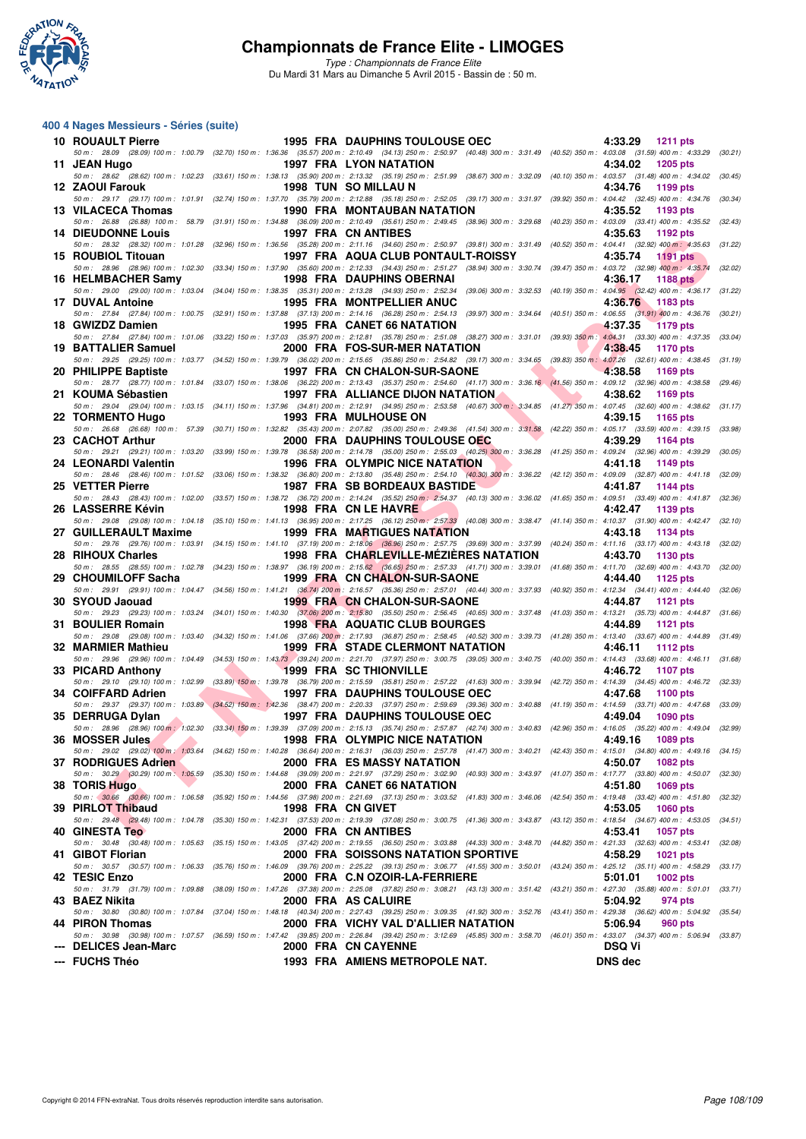

*Type : Championnats de France Elite* Du Mardi 31 Mars au Dimanche 5 Avril 2015 - Bassin de : 50 m.

#### **400 4 Nages Messieurs - Séries (suite)**

| 10 ROUAULT Pierre                                        |                   | <b>1995 FRA DAUPHINS TOULOUSE OEC</b>                                                                                                                                                                                                              | 4:33.29 1211 pts                      |
|----------------------------------------------------------|-------------------|----------------------------------------------------------------------------------------------------------------------------------------------------------------------------------------------------------------------------------------------------|---------------------------------------|
| 11 JEAN Hugo                                             |                   | 50 m: 28.09 (28.09) 100 m: 1:00.79 (32.70) 150 m: 1:36.36 (35.57) 200 m: 2:10.49 (34.13) 250 m: 2:50.97 (40.48) 300 m: 3:31.49 (40.52) 350 m: 4:03.08 (31.59) 400 m: 4:33.29 (30.21)<br>1997 FRA LYON NATATION                                     | 4:34.02<br>1205 pts                   |
| 12 ZAOUI Farouk                                          |                   | 50 m: 28.62 (28.62) 100 m: 1:02.23 (33.61) 150 m: 1:38.13 (35.90) 200 m: 2:13.32 (35.19) 250 m: 2:51.99 (38.67) 300 m: 3:32.09 (40.10) 350 m: 4:03.57 (31.48) 400 m: 4:34.02 (30.45)<br>1998 TUN SO MILLAU N                                       | 4:34.76<br>1199 pts                   |
| 13 VILACECA Thomas                                       |                   | 50 m: 29.17 (29.17) 100 m: 1:01.91 (32.74) 150 m: 1:37.70 (35.79) 200 m: 2:12.88 (35.18) 250 m: 2:52.05 (39.17) 300 m: 3:31.97 (39.92) 350 m: 4:04.42 (32.45) 400 m: 4:34.76 (30.34)<br>1990 FRA MONTAUBAN NATATION                                | 4:35.52<br>1193 pts                   |
|                                                          |                   | 50 m: 26.88 (26.88) 100 m: 58.79 (31.91) 150 m: 1:34.88 (36.09) 200 m: 2:10.49 (35.61) 250 m: 2:49.45 (38.96) 300 m: 3:29.68 (40.23) 350 m: 4:03.09 (33.41) 400 m: 4:35.52 (32.43)                                                                 |                                       |
| <b>14 DIEUDONNE Louis</b>                                |                   | 1997 FRA CN ANTIBES<br>50 m: 28.32 (28.32) 100 m: 1:01.28 (32.96) 150 m: 1:36.56 (35.28) 200 m: 2:11.16 (34.60) 250 m: 2:50.97 (39.81) 300 m: 3:31.49 (40.52) 350 m: 4:04.41 (32.92) 400 m: 4:35.63 (31.22)                                        | 4:35.63<br>1192 pts                   |
| 15 ROUBIOL Titouan                                       |                   | 1997 FRA AQUA CLUB PONTAULT-ROISSY<br>50 m : 28.96 (28.96) 100 m : 1:02.30 (33.34) 150 m : 1:37.90 (35.60) 200 m : 2:12.33 (34.43) 250 m : 2:51.27 (38.94) 300 m : 3:30.74 (39.47) 350 m : 4:03.72 (32.98) 400 m : 4:35.74                         | 4:35.74<br>1191 pts<br>(32.02)        |
| 16 HELMBACHER Samy                                       |                   | <b>1998 FRA DAUPHINS OBERNAI</b>                                                                                                                                                                                                                   | 4:36.17<br>1188 pts                   |
| 17 DUVAL Antoine                                         |                   | 50 m: 29.00 (29.00) 100 m: 1:03.04 (34.04) 150 m: 1:38.35 (35.31) 200 m: 2:13.28 (34.93) 250 m: 2:52.34 (39.06) 300 m: 3:32.53 (40.19) 350 m: 4:04.95 (32.42) 400 m: 4:36.17 (31.22)<br><b>1995 FRA MONTPELLIER ANUC</b>                           | 4:36.76<br>1183 pts                   |
| 18 GWIZDZ Damien                                         |                   | 50 m: 27.84 (27.84) 100 m: 1:00.75 (32.91) 150 m: 1:37.88 (37.13) 200 m: 2:14.16 (36.28) 250 m: 2:54.13 (39.97) 300 m: 3:34.64 (40.51) 350 m: 4:06.55 (31.91) 400 m: 4:36.76 (30.21)<br>1995 FRA CANET 66 NATATION                                 | 4:37.35<br><b>1179 pts</b>            |
|                                                          |                   | 50 m: 27.84 (27.84) 100 m: 1:01.06 (33.22) 150 m: 1:37.03 (35.97) 200 m: 2:12.81 (35.78) 250 m: 2:51.08 (38.27) 300 m: 3:31.01 (39.93) 350 m: 4:04.31 (33.30) 400 m: 4:37.35 (33.04)                                                               |                                       |
| 19 BATTALIER Samuel                                      |                   | 2000 FRA FOS-SUR-MER NATATION<br>50 m : 29.25 (29.25) 100 m : 1:03.77 (34.52) 150 m : 1:39.79 (36.02) 200 m : 2:15.65 (35.86) 250 m : 2:54.82 (39.17) 300 m : 3:34.65 (39.83) 350 m : 4:07.26 (32.61) 400 m : 4:38.45 (31.19)                      | 4:38.45<br>1170 pts                   |
| 20 PHILIPPE Baptiste                                     |                   | 1997 FRA CN CHALON-SUR-SAONE<br>50 m: 28.77 (28.77) 100 m: 1:01.84 (33.07) 150 m: 1:38.06 (36.22) 200 m: 2:13.43 (35.37) 250 m: 2:54.60 (41.17) 300 m: 3:36.16 (41.56) 350 m: 4:09.12 (32.96) 400 m: 4:38.58 (29.46)                               | 4:38.58<br>1169 pts                   |
| 21 KOUMA Sébastien                                       |                   | 1997 FRA ALLIANCE DIJON NATATION                                                                                                                                                                                                                   | 4:38.62<br>1169 pts                   |
| 22 TORMENTO Hugo                                         |                   | 50 m: 29.04 (29.04) 100 m: 1:03.15 (34.11) 150 m: 1:37.96 (34.81) 200 m: 2:12.91 (34.95) 250 m: 2:53.58 (40.67) 300 m: 3:34.85 (41.27) 350 m: 4:07.45 (32.60) 400 m: 4:38.62 (31.17)<br><b>1993 FRA MULHOUSE ON</b>                                | 4:39.15<br>1165 pts                   |
|                                                          |                   | 50 m: 26.68 (26.68) 100 m: 57.39 (30.71) 150 m: 1:32.82 (35.43) 200 m: 2:07.82 (35.00) 250 m: 2:49.36 (41.54) 300 m: 3:31.58 (42.22) 350 m: 4:05.17 (33.59) 400 m: 4:39.15 (33.98)<br>2000 FRA DAUPHINS TOULOUSE OEC                               |                                       |
| 23 CACHOT Arthur                                         |                   | 50 m: 29.21 (29.21) 100 m: 1:03.20 (33.99) 150 m: 1:39.78 (36.58) 200 m: 2:14.78 (35.00) 250 m: 2:55.03 (40.25) 300 m: 3:36.28 (41.25) 350 m: 4:09.24 (32.96) 400 m: 4:39.29 (30.05)                                                               | 4:39.29<br>1164 pts                   |
| 24 LEONARDI Valentin                                     |                   | <b>The Common</b><br><b>1996 FRA OLYMPIC NICE NATATION</b><br>50 m: 28.46 (28.46) 100 m: 1:01.52 (33.06) 150 m: 1:38.32 (36.80) 200 m: 2:13.80 (35.48) 250 m: 2:54.10 (40.30) 300 m: 3:36.22 (42.12) 350 m: 4:09.09 (32.87) 400 m: 4:41.18 (32.09) | 4:41.18<br>1149 pts                   |
| 25 VETTER Pierre                                         |                   | 1987 FRA SB BORDEAUX BASTIDE<br>50 m: 28.43 (28.43) 100 m: 1:02.00 (33.57) 150 m: 1:38.72 (36.72) 200 m: 2:14.24 (35.52) 250 m: 2:54.37 (40.13) 300 m: 3:36.02 (41.65) 350 m: 4:09.51 (33.49) 400 m: 4:41.87 (32.36)                               | 4:41.87<br>1144 pts                   |
| 26 LASSERRE Kévin                                        |                   | 1998 FRA CN LE HAVRE                                                                                                                                                                                                                               | 4:42.47<br>1139 pts                   |
| 27 GUILLERAULT Maxime                                    |                   | 50 m: 29.08 (29.08) 100 m: 1:04.18 (35.10) 150 m: 1:41.13 (36.95) 200 m: 2:17.25 (36.12) 250 m: 2:57.33 (40.08) 300 m: 3:38.47 (41.14) 350 m: 4:10.37 (31.90) 400 m: 4:42.47 (32.10)<br><b>1999 FRA MARTIGUES NATATION</b>                         | 4:43.18<br>1134 pts                   |
| 28 RIHOUX Charles                                        |                   | 50 m: 29.76 (29.76) 100 m: 1:03.91 (34.15) 150 m: 1:41.10 (37.19) 200 m: 2:18.06 (36.96) 250 m: 2:57.75 (39.69) 300 m: 3:37.99 (40.24) 350 m: 4:11.16 (33.17) 400 m: 4:43.18 (32.02)<br>1998 FRA CHARLEVILLE-MEZIERES NATATION                     | 4:43.70                               |
|                                                          |                   | 50 m: 28.55 (28.55) 100 m: 1:02.78 (34.23) 150 m: 1:38.97 (36.19) 200 m: 2:15.62 (36.65) 250 m: 2:57.33 (41.71) 300 m: 3:39.01 (41.68) 350 m: 4:11.70 (32.69) 400 m: 4:43.70 (32.00)                                                               | 1130 pts                              |
| 29 CHOUMILOFF Sacha                                      |                   | 1999 FRA CN CHALON-SUR-SAONE<br>50 m: 29.91 (29.91) 100 m: 1:04.47 (34.56) 150 m: 1:41.21 (36.74) 200 m: 2:16.57 (35.36) 250 m: 2:57.01 (40.44) 300 m: 3:37.93 (40.92) 350 m: 4:12.34 (34.41) 400 m: 4:44.40                                       | 4:44.40<br>1125 pts<br>(32.06)        |
| 30 SYOUD Jaouad                                          |                   | <b>1999 FRA CN CHALON-SUR-SAONE</b><br>50 m: 29.23 (29.23) 100 m: 1:03.24 (34.01) 150 m: 1:40.30 (37.06) 200 m: 2:15.80 (35.50) 250 m: 2:56.45 (40.65) 300 m: 3:37.48 (41.03) 350 m: 4:13.21 (35.73) 400 m: 4:44.87 (31.66)                        | 4:44.87<br>1121 pts                   |
| 31 BOULIER Romain                                        |                   | 1998 FRA AQUATIC CLUB BOURGES                                                                                                                                                                                                                      | 4:44.89<br><b>1121 pts</b>            |
| 32 MARMIER Mathieu                                       |                   | 50 m: 29.08 (29.08) 100 m: 1:03.40 (34.32) 150 m: 1:41.06 (37.66) 200 m: 2:17.93 (36.87) 250 m: 2:58.45 (40.52) 300 m: 3:39.73 (41.28) 350 m: 4:13.40 (33.67) 400 m: 4:44.89 (31.49)<br>1999 FRA STADE CLERMONT NATATION                           | 4:46.11<br>1112 pts                   |
| 33 PICARD Anthony                                        |                   | 50 m: 29.96 (29.96) 100 m: 1:04.49 (34.53) 150 m: 1:43.73 (39.24) 200 m: 2:21.70 (37.97) 250 m: 3:00.75 (39.05) 300 m: 3:40.75 (40.00) 350 m: 4:14.43 (33.68) 400 m: 4:46.11 (31.68)<br><b>1999 FRA SC THIONVILLE</b>                              | 4:46.72<br>1107 pts                   |
|                                                          |                   | 50 m: 29.10 (29.10) 100 m: 1:02.99 (33.89) 150 m: 1:39.78 (36.79) 200 m: 2:15.59 (35.81) 250 m: 2:57.22 (41.63) 300 m: 3:39.94 (42.72) 350 m: 4:14.39 (34.45) 400 m: 4:46.72 (32.33)                                                               |                                       |
| 34 COIFFARD Adrien                                       |                   | <b>1997 FRA DAUPHINS TOULOUSE OEC</b><br>50 m : 29.37 (29.37) 100 m : 1:03.89 (34.52) 150 m : 1:42.36 (38.47) 200 m : 2:20.33 (37.97) 250 m : 2:59.69 (39.36) 300 m : 3:40.88 (41.19) 350 m : 4:14.59 (33.71) 400 m : 4:47.68 (33.09)              | 4:47.68<br>1100 pts                   |
| 35 DERRUGA Dylan                                         |                   | <b>1997 FRA DAUPHINS TOULOUSE OEC</b><br>50 m : 28.96 (28.96) 100 m : 1:02.30 (33.34) 150 m : 1:39.39 (37.09) 200 m : 2:15.13 (35.74) 250 m : 2:57.87 (42.74) 300 m : 3:40.83 (42.96) 350 m : 4:16.05 (35.22) 400 m : 4:49.04 (32.99)              | 4:49.04<br><b>1090 pts</b>            |
| 36 MOSSER Jules                                          |                   | 1998 FRA OLYMPIC NICE NATATION                                                                                                                                                                                                                     | 4:49.16<br>1089 pts                   |
| 37 RODRIGUES Adrien                                      |                   | 50 m: 29.02 (29.02) 100 m: 1:03.64 (34.62) 150 m: 1:40.28 (36.64) 200 m: 2:16.31 (36.03) 250 m: 2:57.78 (41.47) 300 m: 3:40.21 (42.43) 350 m: 4:15.01 (34.80) 400 m: 4:49.16 (34.15)<br><b>2000 FRA ES MASSY NATATION</b>                          | 4:50.07<br><b>1082 pts</b>            |
| 50 m : 30.29 (30.29) 100 m : 1:05.59<br>38 TORIS Hugo    |                   | (35.30) 150 m : 1:44.68 (39.09) 200 m : 2:21.97 (37.29) 250 m : 3:02.90 (40.93) 300 m : 3:43.97 (41.07) 350 m : 4:17.77 (33.80) 400 m : 4:50.07<br>2000 FRA CANET 66 NATATION                                                                      | (32.30)<br>4:51.80<br>1069 pts        |
| 50 m : 30.66 (30.66) 100 m : 1:06.58                     |                   | (35.92) 150 m : 1:44.56 (37.98) 200 m : 2:21.69 (37.13) 250 m : 3:03.52 (41.83) 300 m : 3:46.06 (42.54) 350 m : 4:19.48 (33.42) 400 m : 4:51.80 (32.32)                                                                                            |                                       |
| 39 PIRLOT Thibaud<br>50 m: 29.48 (29.48) 100 m: 1:04.78  | 1998 FRA CN GIVET | (35.30) 150 m: 1:42.31 (37.53) 200 m: 2:19.39 (37.08) 250 m: 3:00.75 (41.36) 300 m: 3:43.87 (43.12) 350 m: 4:18.54 (34.67) 400 m: 4:53.05 (34.51)                                                                                                  | 4:53.05<br><b>1060 pts</b>            |
| 40 GINESTA Teo                                           |                   | 2000 FRA CN ANTIBES                                                                                                                                                                                                                                | 4:53.41<br><b>1057 pts</b>            |
| 50 m : 30.48 (30.48) 100 m : 1:05.63<br>41 GIBOT Florian |                   | (35.15) 150 m : 1:43.05 (37.42) 200 m : 2:19.55 (36.50) 250 m : 3:03.88 (44.33) 300 m : 3:48.70 (44.82) 350 m : 4:21.33 (32.63) 400 m : 4:53.41<br><b>2000 FRA SOISSONS NATATION SPORTIVE</b>                                                      | (32.08)<br>4:58.29<br>1021 pts        |
| 50 m: 30.57 (30.57) 100 m: 1:06.33<br>42 TESIC Enzo      |                   | (35.76) 150 m : 1:46.09 (39.76) 200 m : 2:25.22 (39.13) 250 m : 3:06.77 (41.55) 300 m : 3:50.01 (43.24) 350 m : 4:25.12 (35.11) 400 m : 4:58.29<br>2000 FRA C.N OZOIR-LA-FERRIERE                                                                  | (33.17)<br>5:01.01<br><b>1002 pts</b> |
| 50 m: 31.79 (31.79) 100 m: 1:09.88                       |                   | (38.09) 150 m : 1:47.26 (37.38) 200 m : 2:25.08 (37.82) 250 m : 3:08.21 (43.13) 300 m : 3:51.42 (43.21) 350 m : 4:27.30 (35.88) 400 m : 5:01.01                                                                                                    | (33.71)                               |
| 43 BAEZ Nikita                                           |                   | 2000 FRA AS CALUIRE<br>50 m : 30.80 (30.80) 100 m : 1:07.84 (37.04) 150 m : 1:48.18 (40.34) 200 m : 2:27.43 (39.25) 250 m : 3:09.35 (41.92) 300 m : 3:52.76 (43.41) 350 m : 4:29.38 (36.62) 400 m : 5:04.92 (35.54)                                | 5:04.92<br>974 pts                    |
| 44 PIRON Thomas                                          |                   | 2000 FRA VICHY VAL D'ALLIER NATATION<br>50 m : 30.98 (30.98) 100 m : 1:07.57 (36.59) 150 m : 1:47.42 (39.85) 200 m : 2:26.84 (39.42) 250 m : 3:12.69 (45.85) 300 m : 3:58.70 (46.01) 350 m : 4:33.07 (34.37) 400 m : 5:06.94 (33.87)               | 5:06.94<br>960 pts                    |
| --- DELICES Jean-Marc                                    |                   | 2000 FRA CN CAYENNE                                                                                                                                                                                                                                | <b>DSQ Vi</b>                         |
| --- FUCHS Théo                                           |                   | 1993 FRA AMIENS METROPOLE NAT.                                                                                                                                                                                                                     | <b>DNS</b> dec                        |